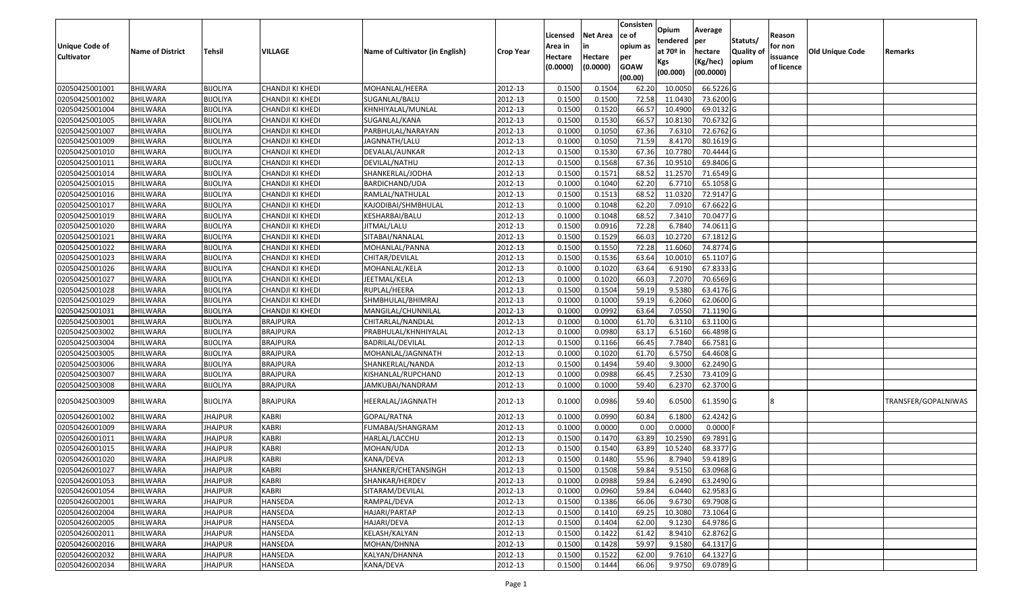|                       |                         |                 |                  |                                 |                  |                    | <b>Net Area</b> | Consisten<br>ce of | Opium       | Average     |                  |                   |                 |                     |
|-----------------------|-------------------------|-----------------|------------------|---------------------------------|------------------|--------------------|-----------------|--------------------|-------------|-------------|------------------|-------------------|-----------------|---------------------|
| <b>Unique Code of</b> |                         |                 |                  |                                 |                  | Licensed           | in              | opium as           | tendered    | per         | Statuts/         | Reason<br>for non |                 |                     |
| <b>Cultivator</b>     | <b>Name of District</b> | <b>Tehsil</b>   | VILLAGE          | Name of Cultivator (in English) | <b>Crop Year</b> | Area in<br>Hectare | Hectare         | per                | at $70°$ in | hectare     | <b>Quality o</b> | issuance          | Old Unique Code | Remarks             |
|                       |                         |                 |                  |                                 |                  | (0.0000)           | (0.0000)        | <b>GOAW</b>        | Kgs         | (Kg/hec)    | opium            | of licence        |                 |                     |
|                       |                         |                 |                  |                                 |                  |                    |                 | (00.00)            | (00.000)    | (00.0000)   |                  |                   |                 |                     |
| 02050425001001        | <b>BHILWARA</b>         | <b>BIJOLIYA</b> | CHANDJI KI KHEDI | MOHANLAL/HEERA                  | 2012-13          | 0.1500             | 0.1504          | 62.20              | 10.005      | 66.5226 G   |                  |                   |                 |                     |
| 02050425001002        | <b>BHILWARA</b>         | <b>BIJOLIYA</b> | CHANDJI KI KHEDI | SUGANLAL/BALU                   | 2012-13          | 0.1500             | 0.1500          | 72.58              | 11.0430     | 73.6200G    |                  |                   |                 |                     |
| 02050425001004        | BHILWARA                | <b>BIJOLIYA</b> | CHANDJI KI KHEDI | KHNHIYALAL/MUNLAL               | 2012-13          | 0.1500             | 0.1520          | 66.57              | 10.4900     | 69.0132G    |                  |                   |                 |                     |
| 02050425001005        | <b>BHILWARA</b>         | <b>BIJOLIYA</b> | CHANDJI KI KHEDI | SUGANLAL/KANA                   | 2012-13          | 0.1500             | 0.1530          | 66.57              | 10.8130     | $70.6732$ G |                  |                   |                 |                     |
| 02050425001007        | BHILWARA                | <b>BIJOLIYA</b> | CHANDJI KI KHEDI | PARBHULAL/NARAYAN               | 2012-13          | 0.1000             | 0.1050          | 67.36              | 7.631       | 72.6762 G   |                  |                   |                 |                     |
| 02050425001009        | <b>BHILWARA</b>         | <b>BIJOLIYA</b> | CHANDJI KI KHEDI | JAGNNATH/LALU                   | 2012-13          | 0.1000             | 0.1050          | 71.59              | 8.4170      | $80.1619$ G |                  |                   |                 |                     |
| 02050425001010        | BHILWARA                | <b>BIJOLIYA</b> | CHANDJI KI KHEDI | DEVALAL/AUNKAR                  | 2012-13          | 0.1500             | 0.1530          | 67.36              | 10.7780     | 70.4444 G   |                  |                   |                 |                     |
| 02050425001011        | <b>BHILWARA</b>         | <b>BIJOLIYA</b> | CHANDJI KI KHEDI | DEVILAL/NATHU                   | 2012-13          | 0.1500             | 0.1568          | 67.36              | 10.951      | 69.8406 G   |                  |                   |                 |                     |
| 02050425001014        | <b>BHILWARA</b>         | <b>BIJOLIYA</b> | CHANDJI KI KHEDI | SHANKERLAL/JODHA                | 2012-13          | 0.1500             | 0.1571          | 68.52              | 11.2570     | 71.6549 G   |                  |                   |                 |                     |
| 02050425001015        | <b>BHILWARA</b>         | <b>BIJOLIYA</b> | CHANDJI KI KHEDI | BARDICHAND/UDA                  | 2012-13          | 0.1000             | 0.1040          | 62.20              | 6.7710      | 65.1058 G   |                  |                   |                 |                     |
| 02050425001016        | BHILWARA                | <b>BIJOLIYA</b> | CHANDJI KI KHEDI | RAMLAL/NATHULAL                 | 2012-13          | 0.1500             | 0.1513          | 68.52              | 11.0320     | 72.9147 G   |                  |                   |                 |                     |
| 02050425001017        | <b>BHILWARA</b>         | <b>BIJOLIYA</b> | CHANDJI KI KHEDI | KAJODIBAI/SHMBHULAL             | 2012-13          | 0.1000             | 0.1048          | 62.20              | 7.091       | 67.6622 G   |                  |                   |                 |                     |
| 02050425001019        | <b>BHILWARA</b>         | <b>BIJOLIYA</b> | CHANDJI KI KHEDI | KESHARBAI/BALU                  | 2012-13          | 0.1000             | 0.1048          | 68.52              | 7.3410      | 70.0477 G   |                  |                   |                 |                     |
| 02050425001020        | <b>BHILWARA</b>         | <b>BIJOLIYA</b> | CHANDJI KI KHEDI | JITMAL/LALU                     | 2012-13          | 0.1500             | 0.0916          | 72.28              | 6.7840      | 74.0611 G   |                  |                   |                 |                     |
| 02050425001021        | <b>BHILWARA</b>         | <b>BIJOLIYA</b> | CHANDJI KI KHEDI | SITABAI/NANALAL                 | 2012-13          | 0.1500             | 0.1529          | 66.03              | 10.2720     | 67.1812 G   |                  |                   |                 |                     |
| 02050425001022        | <b>BHILWARA</b>         | <b>BIJOLIYA</b> | CHANDJI KI KHEDI | MOHANLAL/PANNA                  | 2012-13          | 0.1500             | 0.1550          | 72.28              | 11.6060     | 74.8774 G   |                  |                   |                 |                     |
| 02050425001023        | <b>BHILWARA</b>         | <b>BIJOLIYA</b> | CHANDJI KI KHEDI | CHITAR/DEVILAL                  | 2012-13          | 0.1500             | 0.1536          | 63.64              | 10.0010     | 65.1107 G   |                  |                   |                 |                     |
| 02050425001026        | BHILWARA                | <b>BIJOLIYA</b> | CHANDJI KI KHEDI | MOHANLAL/KELA                   | 2012-13          | 0.1000             | 0.1020          | 63.64              | 6.9190      | 67.8333 G   |                  |                   |                 |                     |
| 02050425001027        | <b>BHILWARA</b>         | <b>BIJOLIYA</b> | CHANDJI KI KHEDI | JEETMAL/KELA                    | 2012-13          | 0.100              | 0.1020          | 66.03              | 7.2070      | 70.6569 G   |                  |                   |                 |                     |
| 02050425001028        | <b>BHILWARA</b>         | <b>BIJOLIYA</b> | CHANDJI KI KHEDI | RUPLAL/HEERA                    | 2012-13          | 0.1500             | 0.1504          | 59.19              | 9.5380      | 63.4176 G   |                  |                   |                 |                     |
| 02050425001029        | <b>BHILWARA</b>         | <b>BIJOLIYA</b> | CHANDJI KI KHEDI | SHMBHULAL/BHIMRAJ               | 2012-13          | 0.1000             | 0.1000          | 59.19              | 6.2060      | 62.0600G    |                  |                   |                 |                     |
| 02050425001031        | BHILWARA                | <b>BIJOLIYA</b> | CHANDJI KI KHEDI | MANGILAL/CHUNNILAL              | 2012-13          | 0.1000             | 0.0992          | 63.64              | 7.055       | 71.1190 G   |                  |                   |                 |                     |
| 02050425003001        | <b>BHILWARA</b>         | <b>BIJOLIYA</b> | <b>BRAJPURA</b>  | CHITARLAL/NANDLAL               | 2012-13          | 0.1000             | 0.1000          | 61.70              | 6.3110      | 63.1100 G   |                  |                   |                 |                     |
| 02050425003002        | <b>BHILWARA</b>         | <b>BIJOLIYA</b> | <b>BRAJPURA</b>  | PRABHULAL/KHNHIYALAL            | 2012-13          | 0.1000             | 0.0980          | 63.17              | 6.5160      | 66.4898 G   |                  |                   |                 |                     |
| 02050425003004        | <b>BHILWARA</b>         | <b>BIJOLIYA</b> | <b>BRAJPURA</b>  | BADRILAL/DEVILAL                | 2012-13          | 0.1500             | 0.1166          | 66.45              | 7.7840      | 66.7581 G   |                  |                   |                 |                     |
| 02050425003005        | BHILWARA                | <b>BIJOLIYA</b> | <b>BRAJPURA</b>  | MOHANLAL/JAGNNATH               | 2012-13          | 0.1000             | 0.1020          | 61.70              | 6.5750      | 64.4608 G   |                  |                   |                 |                     |
| 02050425003006        | <b>BHILWARA</b>         | <b>BIJOLIYA</b> | <b>BRAJPURA</b>  | SHANKERLAL/NANDA                | 2012-13          | 0.1500             | 0.1494          | 59.40              | 9.3000      | 62.2490 G   |                  |                   |                 |                     |
| 02050425003007        | BHILWARA                | <b>BIJOLIYA</b> | <b>BRAJPURA</b>  | KISHANLAL/RUPCHAND              | 2012-13          | 0.1000             | 0.0988          | 66.45              | 7.2530      | 73.4109 G   |                  |                   |                 |                     |
| 02050425003008        | <b>BHILWARA</b>         | <b>BIJOLIYA</b> | <b>BRAJPURA</b>  | JAMKUBAI/NANDRAM                | 2012-13          | 0.1000             | 0.1000          | 59.40              | 6.2370      | 62.3700 G   |                  |                   |                 |                     |
| 02050425003009        | <b>BHILWARA</b>         | <b>BIJOLIYA</b> | <b>BRAJPURA</b>  | HEERALAL/JAGNNATH               | 2012-13          | 0.1000             | 0.0986          | 59.40              | 6.0500      | 61.3590 G   |                  |                   |                 | TRANSFER/GOPALNIWAS |
| 02050426001002        | BHILWARA                | <b>JHAJPUR</b>  | <b>KABRI</b>     | GOPAL/RATNA                     | 2012-13          | 0.1000             | 0.0990          | 60.84              | 6.1800      | 62.4242 G   |                  |                   |                 |                     |
| 02050426001009        | <b>BHILWARA</b>         | <b>JHAJPUR</b>  | <b>KABRI</b>     | FUMABAI/SHANGRAM                | 2012-13          | 0.1000             | 0.0000          | 0.00               | 0.0000      | $0.0000$ F  |                  |                   |                 |                     |
| 02050426001011        | BHILWARA                | <b>JHAJPUR</b>  | <b>KABRI</b>     | HARLAL/LACCHU                   | 2012-13          | 0.1500             | 0.1470          | 63.89              | 10.2590     | 69.7891 G   |                  |                   |                 |                     |
| 02050426001015        | BHILWARA                | JHAJPUR         | <b>KABRI</b>     | MOHAN/UDA                       | 2012-13          | 0.150              | 0.1540          | 63.89              | 10.5240     | 68.3377 G   |                  |                   |                 |                     |
| 02050426001020        | BHILWARA                | <b>JHAJPUR</b>  | <b>KABRI</b>     | KANA/DEVA                       | 2012-13          | 0.1500             | 0.1480          | 55.96              | 8.7940      | 59.4189 G   |                  |                   |                 |                     |
| 02050426001027        | <b>BHILWARA</b>         | <b>JHAJPUR</b>  | <b>KABRI</b>     | SHANKER/CHETANSINGH             | 2012-13          | 0.1500             | 0.1508          | 59.84              | 9.5150      | 63.0968 G   |                  |                   |                 |                     |
| 02050426001053        | <b>BHILWARA</b>         | <b>JHAJPUR</b>  | <b>KABRI</b>     | SHANKAR/HERDEV                  | 2012-13          | 0.1000             | 0.0988          | 59.84              | 6.2490      | 63.2490 G   |                  |                   |                 |                     |
| 02050426001054        | <b>BHILWARA</b>         | <b>JHAJPUR</b>  | <b>KABRI</b>     | SITARAM/DEVILAL                 | 2012-13          | 0.1000             | 0.0960          | 59.84              | 6.0440      | 62.9583 G   |                  |                   |                 |                     |
| 02050426002001        | <b>BHILWARA</b>         | <b>JHAJPUR</b>  | <b>HANSEDA</b>   | RAMPAL/DEVA                     | 2012-13          | 0.1500             | 0.1386          | 66.06              | 9.6730      | 69.7908 G   |                  |                   |                 |                     |
| 02050426002004        | <b>BHILWARA</b>         | <b>JHAJPUR</b>  | <b>HANSEDA</b>   | HAJARI/PARTAP                   | 2012-13          | 0.1500             | 0.1410          | 69.25              | 10.3080     | 73.1064 G   |                  |                   |                 |                     |
| 02050426002005        | <b>BHILWARA</b>         | <b>JHAJPUR</b>  | <b>HANSEDA</b>   | HAJARI/DEVA                     | 2012-13          | 0.1500             | 0.1404          | 62.00              | 9.1230      | 64.9786 G   |                  |                   |                 |                     |
| 02050426002011        | <b>BHILWARA</b>         | <b>JHAJPUR</b>  | <b>HANSEDA</b>   | KELASH/KALYAN                   | 2012-13          | 0.1500             | 0.1422          | 61.42              | 8.9410      | 62.8762 G   |                  |                   |                 |                     |
| 02050426002016        | <b>BHILWARA</b>         | <b>JHAJPUR</b>  | HANSEDA          | MOHAN/DHNNA                     | 2012-13          | 0.1500             | 0.1428          | 59.97              | 9.1580      | 64.1317 G   |                  |                   |                 |                     |
| 02050426002032        | <b>BHILWARA</b>         | <b>JHAJPUR</b>  | <b>HANSEDA</b>   | KALYAN/DHANNA                   | 2012-13          | 0.1500             | 0.1522          | 62.00              | 9.7610      | 64.1327 G   |                  |                   |                 |                     |
| 02050426002034        | <b>BHILWARA</b>         | <b>JHAJPUR</b>  | HANSEDA          | KANA/DEVA                       | 2012-13          | 0.1500             | 0.1444          | 66.06              | 9.9750      | 69.0789 G   |                  |                   |                 |                     |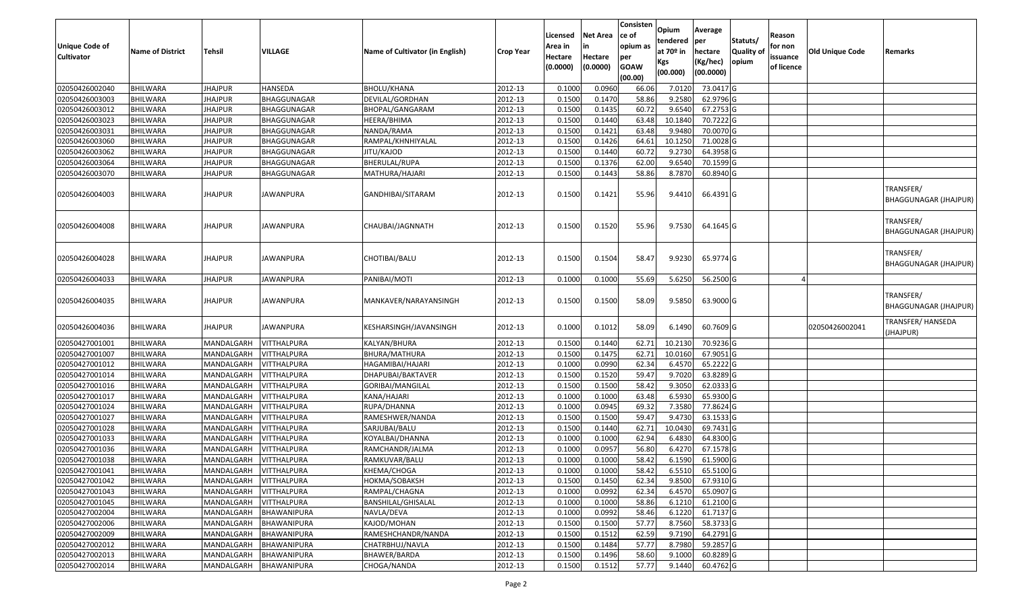| <b>Unique Code of</b><br><b>Cultivator</b> | <b>Name of District</b> | Tehsil                 | VILLAGE            | Name of Cultivator (in English) | <b>Crop Year</b> | Licensed<br>Area in<br>Hectare<br>(0.0000) | <b>Net Area</b><br>in<br>Hectare<br>(0.0000) | Consisten<br>ce of<br>opium as<br>per<br><b>GOAW</b><br>(00.00) | Opium<br>tendered<br>at 70º in<br>Kgs<br>(00.000) | Average<br>per<br>hectare<br>(Kg/hec)<br>(00.0000) | Statuts/<br><b>Quality of</b><br>opium | Reason<br>for non<br>issuance<br>of licence | <b>Old Unique Code</b> | Remarks                                   |
|--------------------------------------------|-------------------------|------------------------|--------------------|---------------------------------|------------------|--------------------------------------------|----------------------------------------------|-----------------------------------------------------------------|---------------------------------------------------|----------------------------------------------------|----------------------------------------|---------------------------------------------|------------------------|-------------------------------------------|
| 02050426002040                             | <b>BHILWARA</b>         | <b>JHAJPUR</b>         | HANSEDA            | BHOLU/KHANA                     | 2012-13          | 0.1000                                     | 0.0960                                       | 66.06                                                           | 7.0120                                            | 73.0417 G                                          |                                        |                                             |                        |                                           |
| 02050426003003                             | <b>BHILWARA</b>         | <b>JHAJPUR</b>         | BHAGGUNAGAR        | DEVILAL/GORDHAN                 | 2012-13          | 0.1500                                     | 0.1470                                       | 58.86                                                           | 9.2580                                            | 62.9796 G                                          |                                        |                                             |                        |                                           |
| 02050426003012                             | BHILWARA                | <b>JHAJPUR</b>         | BHAGGUNAGAR        | BHOPAL/GANGARAM                 | 2012-13          | 0.1500                                     | 0.1435                                       | 60.72                                                           | 9.6540                                            | 67.2753 G                                          |                                        |                                             |                        |                                           |
| 02050426003023                             | <b>BHILWARA</b>         | <b>JHAJPUR</b>         | BHAGGUNAGAR        | HEERA/BHIMA                     | 2012-13          | 0.1500                                     | 0.1440                                       | 63.48                                                           | 10.1840                                           | 70.7222 G                                          |                                        |                                             |                        |                                           |
| 02050426003031                             | <b>BHILWARA</b>         | <b>JHAJPUR</b>         | BHAGGUNAGAR        | NANDA/RAMA                      | 2012-13          | 0.1500                                     | 0.1421                                       | 63.48                                                           | 9.9480                                            | 70.0070 G                                          |                                        |                                             |                        |                                           |
| 02050426003060                             | <b>BHILWARA</b>         | <b>JHAJPUR</b>         | BHAGGUNAGAR        | RAMPAL/KHNHIYALAL               | 2012-13          | 0.1500                                     | 0.1426                                       | 64.61                                                           | 10.1250                                           | 71.0028 G                                          |                                        |                                             |                        |                                           |
| 02050426003062                             | BHILWARA                | <b>JHAJPUR</b>         | BHAGGUNAGAR        | JITU/KAJOD                      | 2012-13          | 0.1500                                     | 0.1440                                       | 60.72                                                           | 9.2730                                            | 64.3958 G                                          |                                        |                                             |                        |                                           |
| 02050426003064                             | <b>BHILWARA</b>         | <b>JHAJPUR</b>         | BHAGGUNAGAR        | BHERULAL/RUPA                   | 2012-13          | 0.1500                                     | 0.1376                                       | 62.00                                                           | 9.6540                                            | 70.1599 G                                          |                                        |                                             |                        |                                           |
| 02050426003070                             | <b>BHILWARA</b>         | <b>JHAJPUR</b>         | BHAGGUNAGAR        | MATHURA/HAJARI                  | 2012-13          | 0.1500                                     | 0.1443                                       | 58.86                                                           | 8.7870                                            | 60.8940 G                                          |                                        |                                             |                        |                                           |
| 02050426004003                             | <b>BHILWARA</b>         | <b>JHAJPUR</b>         | JAWANPURA          | GANDHIBAI/SITARAM               | 2012-13          | 0.1500                                     | 0.1421                                       | 55.96                                                           | 9.4410                                            | 66.4391 G                                          |                                        |                                             |                        | TRANSFER/<br><b>BHAGGUNAGAR (JHAJPUR)</b> |
| 02050426004008                             | BHILWARA                | <b>JHAJPUR</b>         | JAWANPURA          | CHAUBAI/JAGNNATH                | 2012-13          | 0.1500                                     | 0.1520                                       | 55.96                                                           | 9.7530                                            | 64.1645 G                                          |                                        |                                             |                        | TRANSFER/<br><b>BHAGGUNAGAR (JHAJPUR)</b> |
| 02050426004028                             | <b>BHILWARA</b>         | <b>JHAJPUR</b>         | JAWANPURA          | CHOTIBAI/BALU                   | 2012-13          | 0.1500                                     | 0.1504                                       | 58.47                                                           | 9.9230                                            | 65.9774 G                                          |                                        |                                             |                        | TRANSFER/<br><b>BHAGGUNAGAR (JHAJPUR)</b> |
| 02050426004033                             | <b>BHILWARA</b>         | JHAJPUR                | <b>JAWANPURA</b>   | PANIBAI/MOTI                    | 2012-13          | 0.1000                                     | 0.1000                                       | 55.69                                                           | 5.6250                                            | 56.2500 G                                          |                                        |                                             |                        |                                           |
| 02050426004035                             | <b>BHILWARA</b>         | <b>JHAJPUR</b>         | JAWANPURA          | MANKAVER/NARAYANSINGH           | 2012-13          | 0.1500                                     | 0.1500                                       | 58.09                                                           | 9.5850                                            | 63.9000 G                                          |                                        |                                             |                        | TRANSFER/<br><b>BHAGGUNAGAR (JHAJPUR)</b> |
| 02050426004036                             | <b>BHILWARA</b>         | <b>JHAJPUR</b>         | JAWANPURA          | KESHARSINGH/JAVANSINGH          | 2012-13          | 0.1000                                     | 0.1012                                       | 58.09                                                           | 6.1490                                            | 60.7609 G                                          |                                        |                                             | 02050426002041         | TRANSFER/ HANSEDA<br>JHAJPUR)             |
| 02050427001001                             | <b>BHILWARA</b>         | MANDALGARH             | <b>VITTHALPURA</b> | KALYAN/BHURA                    | 2012-13          | 0.1500                                     | 0.1440                                       | 62.71                                                           | 10.2130                                           | 70.9236 G                                          |                                        |                                             |                        |                                           |
| 02050427001007                             | <b>BHILWARA</b>         | MANDALGARH             | <b>VITTHALPURA</b> | BHURA/MATHURA                   | 2012-13          | 0.1500                                     | 0.1475                                       | 62.71                                                           | 10.0160                                           | 67.9051 G                                          |                                        |                                             |                        |                                           |
| 02050427001012                             | <b>BHILWARA</b>         | MANDALGARH             | <b>VITTHALPURA</b> | HAGAMIBAI/HAJARI                | 2012-13          | 0.1000                                     | 0.0990                                       | 62.34                                                           | 6.4570                                            | 65.2222 G                                          |                                        |                                             |                        |                                           |
| 02050427001014                             | BHILWARA                | MANDALGARH             | <b>VITTHALPURA</b> | DHAPUBAI/BAKTAVER               | 2012-13          | 0.1500                                     | 0.1520                                       | 59.47                                                           | 9.7020                                            | 63.8289 G                                          |                                        |                                             |                        |                                           |
| 02050427001016                             | <b>BHILWARA</b>         | MANDALGARH             | <b>VITTHALPURA</b> | GORIBAI/MANGILAL                | 2012-13          | 0.1500                                     | 0.1500                                       | 58.42                                                           | 9.3050                                            | 62.0333 G                                          |                                        |                                             |                        |                                           |
| 02050427001017                             | <b>BHILWARA</b>         | MANDALGARH             | <b>VITTHALPURA</b> | KANA/HAJARI                     | 2012-13          | 0.1000                                     | 0.1000                                       | 63.48                                                           | 6.5930                                            | 65.9300 G                                          |                                        |                                             |                        |                                           |
| 02050427001024                             | <b>BHILWARA</b>         | MANDALGARH             | <b>VITTHALPURA</b> | RUPA/DHANNA                     | 2012-13          | 0.1000                                     | 0.0945                                       | 69.32                                                           | 7.3580                                            | 77.8624 G                                          |                                        |                                             |                        |                                           |
| 02050427001027                             | BHILWARA                | MANDALGARH             | VITTHALPURA        | RAMESHWER/NANDA                 | 2012-13          | 0.1500                                     | 0.1500                                       | 59.47                                                           | 9.4730                                            | 63.1533 G                                          |                                        |                                             |                        |                                           |
| 02050427001028                             | <b>BHILWARA</b>         | MANDALGARH             | <b>VITTHALPURA</b> | SARJUBAI/BALU                   | 2012-13          | 0.1500                                     | 0.1440                                       | 62.71                                                           | 10.0430                                           | 69.7431 G                                          |                                        |                                             |                        |                                           |
| 02050427001033                             | <b>BHILWARA</b>         | MANDALGARH             | VITTHALPURA        | KOYALBAI/DHANNA                 | 2012-13          | 0.1000                                     | 0.1000                                       | 62.94                                                           | 6.4830                                            | 64.8300 G                                          |                                        |                                             |                        |                                           |
| 02050427001036                             | <b>BHILWARA</b>         | MANDALGARH             | VITTHALPURA        | RAMCHANDR/JALMA                 | 2012-13          | 0.1000                                     | 0.0957                                       | 56.80                                                           | 6.4270                                            | 67.1578 G                                          |                                        |                                             |                        |                                           |
| 02050427001038                             | <b>BHILWARA</b>         | MANDALGARH             | <b>VITTHALPURA</b> | RAMKUVAR/BALU                   | 2012-13          | 0.1000                                     | 0.1000                                       | 58.42                                                           | 6.1590                                            | 61.5900 G                                          |                                        |                                             |                        |                                           |
| 02050427001041                             | <b>BHILWARA</b>         | MANDALGARH VITTHALPURA |                    | KHEMA/CHOGA                     | 2012-13          | 0.1000                                     | 0.1000                                       | 58.42                                                           |                                                   | 6.5510 65.5100 G                                   |                                        |                                             |                        |                                           |
| 02050427001042                             | <b>BHILWARA</b>         | MANDALGARH             | <b>VITTHALPURA</b> | HOKMA/SOBAKSH                   | 2012-13          | 0.1500                                     | 0.1450                                       | 62.34                                                           | 9.8500                                            | 67.9310 G                                          |                                        |                                             |                        |                                           |
| 02050427001043                             | <b>BHILWARA</b>         | MANDALGARH             | <b>VITTHALPURA</b> | RAMPAL/CHAGNA                   | 2012-13          | 0.1000                                     | 0.0992                                       | 62.34                                                           | 6.4570                                            | 65.0907 G                                          |                                        |                                             |                        |                                           |
| 02050427001045                             | <b>BHILWARA</b>         | MANDALGARH             | <b>VITTHALPURA</b> | BANSHILAL/GHISALAL              | 2012-13          | 0.1000                                     | 0.1000                                       | 58.86                                                           | 6.1210                                            | 61.2100 G                                          |                                        |                                             |                        |                                           |
| 02050427002004                             | <b>BHILWARA</b>         | MANDALGARH             | BHAWANIPURA        | NAVLA/DEVA                      | 2012-13          | 0.1000                                     | 0.0992                                       | 58.46                                                           | 6.1220                                            | 61.7137 G                                          |                                        |                                             |                        |                                           |
| 02050427002006                             | <b>BHILWARA</b>         | MANDALGARH             | BHAWANIPURA        | KAJOD/MOHAN                     | 2012-13          | 0.1500                                     | 0.1500                                       | 57.77                                                           | 8.7560                                            | 58.3733 G                                          |                                        |                                             |                        |                                           |
| 02050427002009                             | <b>BHILWARA</b>         | MANDALGARH             | <b>BHAWANIPURA</b> | RAMESHCHANDR/NANDA              | 2012-13          | 0.1500                                     | 0.1512                                       | 62.59                                                           | 9.7190                                            | 64.2791 G                                          |                                        |                                             |                        |                                           |
| 02050427002012                             | <b>BHILWARA</b>         | MANDALGARH             | <b>BHAWANIPURA</b> | CHATRBHUJ/NAVLA                 | 2012-13          | 0.1500                                     | 0.1484                                       | 57.77                                                           | 8.7980                                            | 59.2857 G                                          |                                        |                                             |                        |                                           |
| 02050427002013                             | <b>BHILWARA</b>         | MANDALGARH             | <b>BHAWANIPURA</b> | BHAWER/BARDA                    | 2012-13          | 0.1500                                     | 0.1496                                       | 58.60                                                           | 9.1000                                            | 60.8289 G                                          |                                        |                                             |                        |                                           |
| 02050427002014                             | <b>BHILWARA</b>         | MANDALGARH             | BHAWANIPURA        | CHOGA/NANDA                     | 2012-13          | 0.1500                                     | 0.1512                                       | 57.77                                                           | 9.1440                                            | 60.4762 G                                          |                                        |                                             |                        |                                           |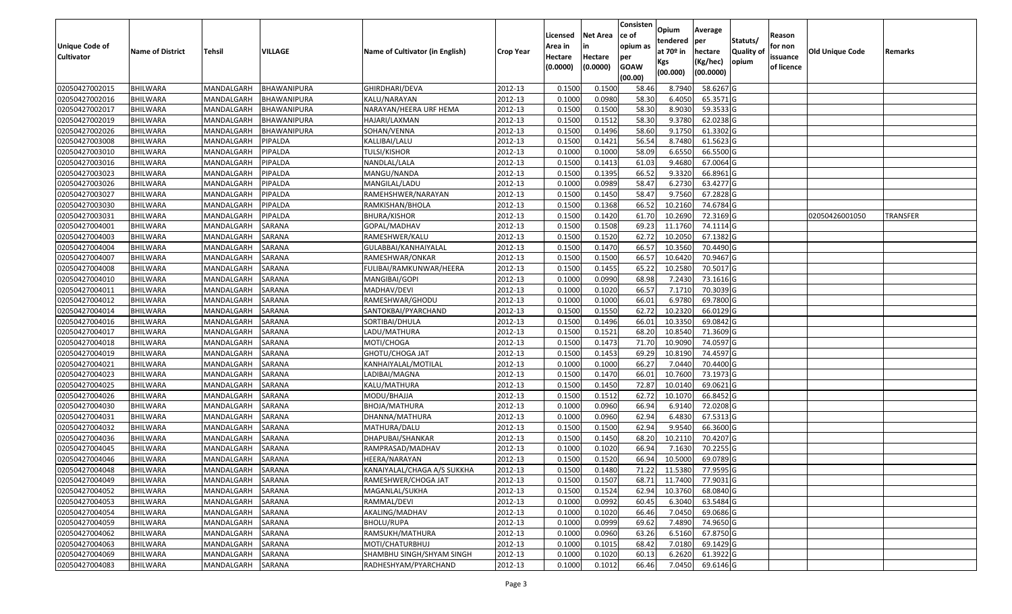| Opium<br>Average<br><b>Net Area</b><br>Licensed<br>ce of<br>Reason<br>Statuts/<br>tendered<br>per<br><b>Unique Code of</b><br>opium as<br>for non<br>Area in<br>at $70°$ in<br><b>Quality o</b><br>VILLAGE<br>Name of Cultivator (in English)<br>Old Unique Code<br><b>Name of District</b><br><b>Tehsil</b><br>hectare<br><b>Crop Year</b><br>Remarks<br><b>Cultivator</b><br>Hectare<br>Hectare<br>issuance<br>per<br>opium<br>(Kg/hec)<br>Kgs<br>(0.0000)<br><b>GOAW</b><br>(0.0000)<br>of licence<br>(00.0000)<br>(00.000)<br>(00.00)<br>02050427002015<br><b>BHILWARA</b><br>0.1500<br>0.1500<br>8.7940<br>58.6267 G<br>MANDALGARH<br>BHAWANIPURA<br>GHIRDHARI/DEVA<br>2012-13<br>58.46<br>02050427002016<br>0.1000<br>0.0980<br>58.30<br>6.4050<br>65.3571 G<br><b>BHILWARA</b><br>MANDALGARH<br>BHAWANIPURA<br>KALU/NARAYAN<br>2012-13<br>2012-13<br>0.1500<br>0.1500<br>58.30<br>8.9030<br>59.3533 G<br>02050427002017<br>BHILWARA<br>MANDALGARH<br>NARAYAN/HEERA URF HEMA<br>BHAWANIPURA<br>02050427002019<br><b>BHILWARA</b><br>MANDALGARH<br><b>BHAWANIPURA</b><br>HAJARI/LAXMAN<br>2012-13<br>0.1500<br>0.1512<br>58.30<br>9.3780<br>62.0238 G<br>02050427002026<br>2012-13<br>0.1500<br>0.1496<br>58.60<br>61.3302G<br>BHILWARA<br>MANDALGARH<br>BHAWANIPURA<br>SOHAN/VENNA<br>9.1750<br>02050427003008<br><b>BHILWARA</b><br>MANDALGARH<br>2012-13<br>0.1500<br>0.1421<br>56.54<br>8.7480<br>61.5623 G<br>PIPALDA<br>KALLIBAI/LALU<br>2012-13<br>0.1000<br>0.1000<br>58.09<br>6.6550<br>66.5500 G<br>02050427003010<br>BHILWARA<br>PIPALDA<br>TULSI/KISHOR<br>MANDALGARH<br>2012-13<br>0.1500<br>02050427003016<br><b>BHILWARA</b><br>MANDALGARH<br>PIPALDA<br>NANDLAL/LALA<br>0.1413<br>61.03<br>9.4680<br>67.0064G<br>02050427003023<br>2012-13<br>0.1500<br>0.1395<br>66.52<br>9.3320<br>66.8961 G<br>BHILWARA<br>MANDALGARH<br>PIPALDA<br>MANGU/NANDA<br>02050427003026<br>2012-13<br>0.1000<br>0.0989<br>58.47<br>6.2730<br>63.4277 G<br><b>BHILWARA</b><br>MANDALGARH<br>PIPALDA<br>MANGILAL/LADU<br>0.1500<br>0.1450<br>58.47<br>9.7560<br>02050427003027<br>PIPALDA<br>2012-13<br>67.2828 G<br>BHILWARA<br>MANDALGARH<br>RAMEHSHWER/NARAYAN<br>02050427003030<br><b>BHILWARA</b><br>MANDALGARH<br>PIPALDA<br>2012-13<br>0.1500<br>0.1368<br>66.52<br>10.2160<br>74.6784 G<br>RAMKISHAN/BHOLA<br>0.1500<br>0.1420<br>10.2690<br>72.3169 G<br>02050427003031<br><b>BHILWARA</b><br>2012-13<br>61.70<br>MANDALGARH<br>PIPALDA<br><b>BHURA/KISHOR</b><br>02050426001050<br><b>TRANSFER</b><br>02050427004001<br>2012-13<br>0.1500<br>0.1508<br>69.23<br>11.1760<br>74.1114 G<br>BHILWARA<br>MANDALGARH<br>SARANA<br>GOPAL/MADHAV |  |
|----------------------------------------------------------------------------------------------------------------------------------------------------------------------------------------------------------------------------------------------------------------------------------------------------------------------------------------------------------------------------------------------------------------------------------------------------------------------------------------------------------------------------------------------------------------------------------------------------------------------------------------------------------------------------------------------------------------------------------------------------------------------------------------------------------------------------------------------------------------------------------------------------------------------------------------------------------------------------------------------------------------------------------------------------------------------------------------------------------------------------------------------------------------------------------------------------------------------------------------------------------------------------------------------------------------------------------------------------------------------------------------------------------------------------------------------------------------------------------------------------------------------------------------------------------------------------------------------------------------------------------------------------------------------------------------------------------------------------------------------------------------------------------------------------------------------------------------------------------------------------------------------------------------------------------------------------------------------------------------------------------------------------------------------------------------------------------------------------------------------------------------------------------------------------------------------------------------------------------------------------------------------------------------------------------------------------------------------------------------------------------------------------------------------------------------------------------------------------------------------------------------------------------------------------------------------------------------------------------------------------------------------------|--|
|                                                                                                                                                                                                                                                                                                                                                                                                                                                                                                                                                                                                                                                                                                                                                                                                                                                                                                                                                                                                                                                                                                                                                                                                                                                                                                                                                                                                                                                                                                                                                                                                                                                                                                                                                                                                                                                                                                                                                                                                                                                                                                                                                                                                                                                                                                                                                                                                                                                                                                                                                                                                                                                    |  |
|                                                                                                                                                                                                                                                                                                                                                                                                                                                                                                                                                                                                                                                                                                                                                                                                                                                                                                                                                                                                                                                                                                                                                                                                                                                                                                                                                                                                                                                                                                                                                                                                                                                                                                                                                                                                                                                                                                                                                                                                                                                                                                                                                                                                                                                                                                                                                                                                                                                                                                                                                                                                                                                    |  |
|                                                                                                                                                                                                                                                                                                                                                                                                                                                                                                                                                                                                                                                                                                                                                                                                                                                                                                                                                                                                                                                                                                                                                                                                                                                                                                                                                                                                                                                                                                                                                                                                                                                                                                                                                                                                                                                                                                                                                                                                                                                                                                                                                                                                                                                                                                                                                                                                                                                                                                                                                                                                                                                    |  |
|                                                                                                                                                                                                                                                                                                                                                                                                                                                                                                                                                                                                                                                                                                                                                                                                                                                                                                                                                                                                                                                                                                                                                                                                                                                                                                                                                                                                                                                                                                                                                                                                                                                                                                                                                                                                                                                                                                                                                                                                                                                                                                                                                                                                                                                                                                                                                                                                                                                                                                                                                                                                                                                    |  |
|                                                                                                                                                                                                                                                                                                                                                                                                                                                                                                                                                                                                                                                                                                                                                                                                                                                                                                                                                                                                                                                                                                                                                                                                                                                                                                                                                                                                                                                                                                                                                                                                                                                                                                                                                                                                                                                                                                                                                                                                                                                                                                                                                                                                                                                                                                                                                                                                                                                                                                                                                                                                                                                    |  |
|                                                                                                                                                                                                                                                                                                                                                                                                                                                                                                                                                                                                                                                                                                                                                                                                                                                                                                                                                                                                                                                                                                                                                                                                                                                                                                                                                                                                                                                                                                                                                                                                                                                                                                                                                                                                                                                                                                                                                                                                                                                                                                                                                                                                                                                                                                                                                                                                                                                                                                                                                                                                                                                    |  |
|                                                                                                                                                                                                                                                                                                                                                                                                                                                                                                                                                                                                                                                                                                                                                                                                                                                                                                                                                                                                                                                                                                                                                                                                                                                                                                                                                                                                                                                                                                                                                                                                                                                                                                                                                                                                                                                                                                                                                                                                                                                                                                                                                                                                                                                                                                                                                                                                                                                                                                                                                                                                                                                    |  |
|                                                                                                                                                                                                                                                                                                                                                                                                                                                                                                                                                                                                                                                                                                                                                                                                                                                                                                                                                                                                                                                                                                                                                                                                                                                                                                                                                                                                                                                                                                                                                                                                                                                                                                                                                                                                                                                                                                                                                                                                                                                                                                                                                                                                                                                                                                                                                                                                                                                                                                                                                                                                                                                    |  |
|                                                                                                                                                                                                                                                                                                                                                                                                                                                                                                                                                                                                                                                                                                                                                                                                                                                                                                                                                                                                                                                                                                                                                                                                                                                                                                                                                                                                                                                                                                                                                                                                                                                                                                                                                                                                                                                                                                                                                                                                                                                                                                                                                                                                                                                                                                                                                                                                                                                                                                                                                                                                                                                    |  |
|                                                                                                                                                                                                                                                                                                                                                                                                                                                                                                                                                                                                                                                                                                                                                                                                                                                                                                                                                                                                                                                                                                                                                                                                                                                                                                                                                                                                                                                                                                                                                                                                                                                                                                                                                                                                                                                                                                                                                                                                                                                                                                                                                                                                                                                                                                                                                                                                                                                                                                                                                                                                                                                    |  |
|                                                                                                                                                                                                                                                                                                                                                                                                                                                                                                                                                                                                                                                                                                                                                                                                                                                                                                                                                                                                                                                                                                                                                                                                                                                                                                                                                                                                                                                                                                                                                                                                                                                                                                                                                                                                                                                                                                                                                                                                                                                                                                                                                                                                                                                                                                                                                                                                                                                                                                                                                                                                                                                    |  |
|                                                                                                                                                                                                                                                                                                                                                                                                                                                                                                                                                                                                                                                                                                                                                                                                                                                                                                                                                                                                                                                                                                                                                                                                                                                                                                                                                                                                                                                                                                                                                                                                                                                                                                                                                                                                                                                                                                                                                                                                                                                                                                                                                                                                                                                                                                                                                                                                                                                                                                                                                                                                                                                    |  |
|                                                                                                                                                                                                                                                                                                                                                                                                                                                                                                                                                                                                                                                                                                                                                                                                                                                                                                                                                                                                                                                                                                                                                                                                                                                                                                                                                                                                                                                                                                                                                                                                                                                                                                                                                                                                                                                                                                                                                                                                                                                                                                                                                                                                                                                                                                                                                                                                                                                                                                                                                                                                                                                    |  |
|                                                                                                                                                                                                                                                                                                                                                                                                                                                                                                                                                                                                                                                                                                                                                                                                                                                                                                                                                                                                                                                                                                                                                                                                                                                                                                                                                                                                                                                                                                                                                                                                                                                                                                                                                                                                                                                                                                                                                                                                                                                                                                                                                                                                                                                                                                                                                                                                                                                                                                                                                                                                                                                    |  |
|                                                                                                                                                                                                                                                                                                                                                                                                                                                                                                                                                                                                                                                                                                                                                                                                                                                                                                                                                                                                                                                                                                                                                                                                                                                                                                                                                                                                                                                                                                                                                                                                                                                                                                                                                                                                                                                                                                                                                                                                                                                                                                                                                                                                                                                                                                                                                                                                                                                                                                                                                                                                                                                    |  |
|                                                                                                                                                                                                                                                                                                                                                                                                                                                                                                                                                                                                                                                                                                                                                                                                                                                                                                                                                                                                                                                                                                                                                                                                                                                                                                                                                                                                                                                                                                                                                                                                                                                                                                                                                                                                                                                                                                                                                                                                                                                                                                                                                                                                                                                                                                                                                                                                                                                                                                                                                                                                                                                    |  |
|                                                                                                                                                                                                                                                                                                                                                                                                                                                                                                                                                                                                                                                                                                                                                                                                                                                                                                                                                                                                                                                                                                                                                                                                                                                                                                                                                                                                                                                                                                                                                                                                                                                                                                                                                                                                                                                                                                                                                                                                                                                                                                                                                                                                                                                                                                                                                                                                                                                                                                                                                                                                                                                    |  |
|                                                                                                                                                                                                                                                                                                                                                                                                                                                                                                                                                                                                                                                                                                                                                                                                                                                                                                                                                                                                                                                                                                                                                                                                                                                                                                                                                                                                                                                                                                                                                                                                                                                                                                                                                                                                                                                                                                                                                                                                                                                                                                                                                                                                                                                                                                                                                                                                                                                                                                                                                                                                                                                    |  |
|                                                                                                                                                                                                                                                                                                                                                                                                                                                                                                                                                                                                                                                                                                                                                                                                                                                                                                                                                                                                                                                                                                                                                                                                                                                                                                                                                                                                                                                                                                                                                                                                                                                                                                                                                                                                                                                                                                                                                                                                                                                                                                                                                                                                                                                                                                                                                                                                                                                                                                                                                                                                                                                    |  |
| 0.1520<br>62.72<br>10.2050<br>2012-13<br>0.1500<br>67.1382 G<br>02050427004003<br>BHILWARA<br>MANDALGARH<br>SARANA<br>RAMESHWER/KALU                                                                                                                                                                                                                                                                                                                                                                                                                                                                                                                                                                                                                                                                                                                                                                                                                                                                                                                                                                                                                                                                                                                                                                                                                                                                                                                                                                                                                                                                                                                                                                                                                                                                                                                                                                                                                                                                                                                                                                                                                                                                                                                                                                                                                                                                                                                                                                                                                                                                                                               |  |
| 70.4490 G<br>02050427004004<br>MANDALGARH<br>SARANA<br>2012-13<br>0.1500<br>0.1470<br>66.57<br>10.3560<br><b>BHILWARA</b><br>GULABBAI/KANHAIYALAL                                                                                                                                                                                                                                                                                                                                                                                                                                                                                                                                                                                                                                                                                                                                                                                                                                                                                                                                                                                                                                                                                                                                                                                                                                                                                                                                                                                                                                                                                                                                                                                                                                                                                                                                                                                                                                                                                                                                                                                                                                                                                                                                                                                                                                                                                                                                                                                                                                                                                                  |  |
| 02050427004007<br>2012-13<br>0.1500<br>0.1500<br>66.57<br>10.6420<br>70.9467 G<br><b>BHILWARA</b><br>MANDALGARH<br><b>SARANA</b><br>RAMESHWAR/ONKAR                                                                                                                                                                                                                                                                                                                                                                                                                                                                                                                                                                                                                                                                                                                                                                                                                                                                                                                                                                                                                                                                                                                                                                                                                                                                                                                                                                                                                                                                                                                                                                                                                                                                                                                                                                                                                                                                                                                                                                                                                                                                                                                                                                                                                                                                                                                                                                                                                                                                                                |  |
| 02050427004008<br>2012-13<br>0.1500<br>0.1455<br>65.22<br>10.2580<br>70.5017 G<br>BHILWARA<br>MANDALGARH<br><b>SARANA</b><br>FULIBAI/RAMKUNWAR/HEERA                                                                                                                                                                                                                                                                                                                                                                                                                                                                                                                                                                                                                                                                                                                                                                                                                                                                                                                                                                                                                                                                                                                                                                                                                                                                                                                                                                                                                                                                                                                                                                                                                                                                                                                                                                                                                                                                                                                                                                                                                                                                                                                                                                                                                                                                                                                                                                                                                                                                                               |  |
| 02050427004010<br>0.1000<br>0.0990<br>68.98<br>7.2430<br>73.1616 G<br><b>BHILWARA</b><br>MANDALGARH<br>SARANA<br>2012-13<br>MANGIBAI/GOPI                                                                                                                                                                                                                                                                                                                                                                                                                                                                                                                                                                                                                                                                                                                                                                                                                                                                                                                                                                                                                                                                                                                                                                                                                                                                                                                                                                                                                                                                                                                                                                                                                                                                                                                                                                                                                                                                                                                                                                                                                                                                                                                                                                                                                                                                                                                                                                                                                                                                                                          |  |
| 2012-13<br>0.1000<br>0.1020<br>66.57<br>7.1710<br>70.3039 G<br>02050427004011<br><b>BHILWARA</b><br>MANDALGARH<br>SARANA<br>MADHAV/DEVI                                                                                                                                                                                                                                                                                                                                                                                                                                                                                                                                                                                                                                                                                                                                                                                                                                                                                                                                                                                                                                                                                                                                                                                                                                                                                                                                                                                                                                                                                                                                                                                                                                                                                                                                                                                                                                                                                                                                                                                                                                                                                                                                                                                                                                                                                                                                                                                                                                                                                                            |  |
| 02050427004012<br>MANDALGARH<br>2012-13<br>0.1000<br>0.1000<br>66.01<br>6.9780<br>69.7800 G<br><b>BHILWARA</b><br><b>SARANA</b><br>RAMESHWAR/GHODU                                                                                                                                                                                                                                                                                                                                                                                                                                                                                                                                                                                                                                                                                                                                                                                                                                                                                                                                                                                                                                                                                                                                                                                                                                                                                                                                                                                                                                                                                                                                                                                                                                                                                                                                                                                                                                                                                                                                                                                                                                                                                                                                                                                                                                                                                                                                                                                                                                                                                                 |  |
| 02050427004014<br>0.150<br>0.1550<br>62.72<br>10.2320<br>66.0129 G<br><b>BHILWARA</b><br>MANDALGARH<br><b>SARANA</b><br>SANTOKBAI/PYARCHAND<br>2012-13                                                                                                                                                                                                                                                                                                                                                                                                                                                                                                                                                                                                                                                                                                                                                                                                                                                                                                                                                                                                                                                                                                                                                                                                                                                                                                                                                                                                                                                                                                                                                                                                                                                                                                                                                                                                                                                                                                                                                                                                                                                                                                                                                                                                                                                                                                                                                                                                                                                                                             |  |
| 0.1500<br>02050427004016<br>0.1496<br>66.01<br>10.3350<br>69.0842 G<br>BHILWARA<br>MANDALGARH<br>SARANA<br>2012-13<br>SORTIBAI/DHULA                                                                                                                                                                                                                                                                                                                                                                                                                                                                                                                                                                                                                                                                                                                                                                                                                                                                                                                                                                                                                                                                                                                                                                                                                                                                                                                                                                                                                                                                                                                                                                                                                                                                                                                                                                                                                                                                                                                                                                                                                                                                                                                                                                                                                                                                                                                                                                                                                                                                                                               |  |
| 68.20<br>0.1500<br>0.1521<br>71.3609 G<br>02050427004017<br>BHILWARA<br>MANDALGARH<br>SARANA<br>LADU/MATHURA<br>2012-13<br>10.854                                                                                                                                                                                                                                                                                                                                                                                                                                                                                                                                                                                                                                                                                                                                                                                                                                                                                                                                                                                                                                                                                                                                                                                                                                                                                                                                                                                                                                                                                                                                                                                                                                                                                                                                                                                                                                                                                                                                                                                                                                                                                                                                                                                                                                                                                                                                                                                                                                                                                                                  |  |
| 0.1500<br>0.1473<br>74.0597 G<br>02050427004018<br><b>BHILWARA</b><br>MANDALGARH<br>SARANA<br>MOTI/CHOGA<br>2012-13<br>71.70<br>10.909                                                                                                                                                                                                                                                                                                                                                                                                                                                                                                                                                                                                                                                                                                                                                                                                                                                                                                                                                                                                                                                                                                                                                                                                                                                                                                                                                                                                                                                                                                                                                                                                                                                                                                                                                                                                                                                                                                                                                                                                                                                                                                                                                                                                                                                                                                                                                                                                                                                                                                             |  |
| 02050427004019<br>2012-13<br>0.1500<br>0.1453<br>69.29<br>74.4597 G<br>BHILWARA<br>MANDALGARH<br>SARANA<br>GHOTU/CHOGA JAT<br>10.8190                                                                                                                                                                                                                                                                                                                                                                                                                                                                                                                                                                                                                                                                                                                                                                                                                                                                                                                                                                                                                                                                                                                                                                                                                                                                                                                                                                                                                                                                                                                                                                                                                                                                                                                                                                                                                                                                                                                                                                                                                                                                                                                                                                                                                                                                                                                                                                                                                                                                                                              |  |
| 02050427004021<br><b>BHILWARA</b><br>0.1000<br>0.1000<br>66.27<br>7.0440<br>70.4400 G<br>MANDALGARH<br>SARANA<br>KANHAIYALAL/MOTILAL<br>2012-13                                                                                                                                                                                                                                                                                                                                                                                                                                                                                                                                                                                                                                                                                                                                                                                                                                                                                                                                                                                                                                                                                                                                                                                                                                                                                                                                                                                                                                                                                                                                                                                                                                                                                                                                                                                                                                                                                                                                                                                                                                                                                                                                                                                                                                                                                                                                                                                                                                                                                                    |  |
| 2012-13<br>0.1500<br>0.1470<br>66.01<br>10.7600<br>73.1973 G<br>02050427004023<br>BHILWARA<br>MANDALGARH<br>SARANA<br>LADIBAI/MAGNA                                                                                                                                                                                                                                                                                                                                                                                                                                                                                                                                                                                                                                                                                                                                                                                                                                                                                                                                                                                                                                                                                                                                                                                                                                                                                                                                                                                                                                                                                                                                                                                                                                                                                                                                                                                                                                                                                                                                                                                                                                                                                                                                                                                                                                                                                                                                                                                                                                                                                                                |  |
| 02050427004025<br><b>BHILWARA</b><br>MANDALGARH<br>SARANA<br>2012-13<br>0.1500<br>0.1450<br>72.87<br>10.0140<br>69.0621 G<br>KALU/MATHURA                                                                                                                                                                                                                                                                                                                                                                                                                                                                                                                                                                                                                                                                                                                                                                                                                                                                                                                                                                                                                                                                                                                                                                                                                                                                                                                                                                                                                                                                                                                                                                                                                                                                                                                                                                                                                                                                                                                                                                                                                                                                                                                                                                                                                                                                                                                                                                                                                                                                                                          |  |
| 62.72<br>66.8452 G<br>02050427004026<br>MANDALGARH<br>MODU/BHAJJA<br>2012-13<br>0.1500<br>0.1512<br>10.1070<br>BHILWARA<br>SARANA                                                                                                                                                                                                                                                                                                                                                                                                                                                                                                                                                                                                                                                                                                                                                                                                                                                                                                                                                                                                                                                                                                                                                                                                                                                                                                                                                                                                                                                                                                                                                                                                                                                                                                                                                                                                                                                                                                                                                                                                                                                                                                                                                                                                                                                                                                                                                                                                                                                                                                                  |  |
| 02050427004030<br>MANDALGARH<br>2012-13<br>0.1000<br>0.0960<br>66.94<br>6.9140<br>72.0208G<br>BHILWARA<br>SARANA<br>BHOJA/MATHURA                                                                                                                                                                                                                                                                                                                                                                                                                                                                                                                                                                                                                                                                                                                                                                                                                                                                                                                                                                                                                                                                                                                                                                                                                                                                                                                                                                                                                                                                                                                                                                                                                                                                                                                                                                                                                                                                                                                                                                                                                                                                                                                                                                                                                                                                                                                                                                                                                                                                                                                  |  |
| 2012-13<br>0.1000<br>0.0960<br>62.94<br>6.4830<br>67.5313 G<br>02050427004031<br>BHILWARA<br>MANDALGARH<br>SARANA<br>DHANNA/MATHURA                                                                                                                                                                                                                                                                                                                                                                                                                                                                                                                                                                                                                                                                                                                                                                                                                                                                                                                                                                                                                                                                                                                                                                                                                                                                                                                                                                                                                                                                                                                                                                                                                                                                                                                                                                                                                                                                                                                                                                                                                                                                                                                                                                                                                                                                                                                                                                                                                                                                                                                |  |
| 02050427004032<br><b>BHILWARA</b><br>MANDALGARH<br>SARANA<br>2012-13<br>0.1500<br>0.1500<br>62.94<br>9.9540<br>66.3600G<br>MATHURA/DALU                                                                                                                                                                                                                                                                                                                                                                                                                                                                                                                                                                                                                                                                                                                                                                                                                                                                                                                                                                                                                                                                                                                                                                                                                                                                                                                                                                                                                                                                                                                                                                                                                                                                                                                                                                                                                                                                                                                                                                                                                                                                                                                                                                                                                                                                                                                                                                                                                                                                                                            |  |
| 2012-13<br>0.1450<br>10.211<br>70.4207 G<br>02050427004036<br>BHILWARA<br>MANDALGARH<br>SARANA<br>DHAPUBAI/SHANKAR<br>0.1500<br>68.20                                                                                                                                                                                                                                                                                                                                                                                                                                                                                                                                                                                                                                                                                                                                                                                                                                                                                                                                                                                                                                                                                                                                                                                                                                                                                                                                                                                                                                                                                                                                                                                                                                                                                                                                                                                                                                                                                                                                                                                                                                                                                                                                                                                                                                                                                                                                                                                                                                                                                                              |  |
| 02050427004045<br>0.1000<br>0.1020<br>66.94<br>7.1630<br>70.2255 G<br>BHILWARA<br>MANDALGARH<br>SARANA<br>RAMPRASAD/MADHAV<br>2012-13                                                                                                                                                                                                                                                                                                                                                                                                                                                                                                                                                                                                                                                                                                                                                                                                                                                                                                                                                                                                                                                                                                                                                                                                                                                                                                                                                                                                                                                                                                                                                                                                                                                                                                                                                                                                                                                                                                                                                                                                                                                                                                                                                                                                                                                                                                                                                                                                                                                                                                              |  |
| 0.1500<br>0.1520<br>66.94<br>10.5000<br>69.0789 G<br>02050427004046<br><b>BHILWARA</b><br>MANDALGARH<br><b>SARANA</b><br>2012-13<br>HEERA/NARAYAN                                                                                                                                                                                                                                                                                                                                                                                                                                                                                                                                                                                                                                                                                                                                                                                                                                                                                                                                                                                                                                                                                                                                                                                                                                                                                                                                                                                                                                                                                                                                                                                                                                                                                                                                                                                                                                                                                                                                                                                                                                                                                                                                                                                                                                                                                                                                                                                                                                                                                                  |  |
| 02050427004048<br>MANDALGARH SARANA<br>2012-13<br>0.1500<br>0.1480<br>71.22 11.5380 77.9595 G<br><b>BHILWARA</b><br>KANAIYALAL/CHAGA A/S SUKKHA                                                                                                                                                                                                                                                                                                                                                                                                                                                                                                                                                                                                                                                                                                                                                                                                                                                                                                                                                                                                                                                                                                                                                                                                                                                                                                                                                                                                                                                                                                                                                                                                                                                                                                                                                                                                                                                                                                                                                                                                                                                                                                                                                                                                                                                                                                                                                                                                                                                                                                    |  |
| 77.9031 G<br>02050427004049<br><b>BHILWARA</b><br>MANDALGARH<br>SARANA<br>2012-13<br>0.1500<br>0.1507<br>68.71<br>11.7400<br>RAMESHWER/CHOGA JAT                                                                                                                                                                                                                                                                                                                                                                                                                                                                                                                                                                                                                                                                                                                                                                                                                                                                                                                                                                                                                                                                                                                                                                                                                                                                                                                                                                                                                                                                                                                                                                                                                                                                                                                                                                                                                                                                                                                                                                                                                                                                                                                                                                                                                                                                                                                                                                                                                                                                                                   |  |
| 02050427004052<br>68.0840 G<br><b>BHILWARA</b><br>MANDALGARH<br>SARANA<br>2012-13<br>0.1500<br>0.1524<br>62.94<br>10.3760<br>MAGANLAL/SUKHA                                                                                                                                                                                                                                                                                                                                                                                                                                                                                                                                                                                                                                                                                                                                                                                                                                                                                                                                                                                                                                                                                                                                                                                                                                                                                                                                                                                                                                                                                                                                                                                                                                                                                                                                                                                                                                                                                                                                                                                                                                                                                                                                                                                                                                                                                                                                                                                                                                                                                                        |  |
| 6.3040<br>63.5484 G<br>02050427004053<br>SARANA<br>2012-13<br>0.0992<br>60.45<br><b>BHILWARA</b><br>MANDALGARH<br>RAMMAL/DEVI<br>0.1000                                                                                                                                                                                                                                                                                                                                                                                                                                                                                                                                                                                                                                                                                                                                                                                                                                                                                                                                                                                                                                                                                                                                                                                                                                                                                                                                                                                                                                                                                                                                                                                                                                                                                                                                                                                                                                                                                                                                                                                                                                                                                                                                                                                                                                                                                                                                                                                                                                                                                                            |  |
| 69.0686 G<br>02050427004054<br>MANDALGARH<br>SARANA<br>2012-13<br>0.1020<br>7.0450<br><b>BHILWARA</b><br>AKALING/MADHAV<br>0.1000<br>66.46                                                                                                                                                                                                                                                                                                                                                                                                                                                                                                                                                                                                                                                                                                                                                                                                                                                                                                                                                                                                                                                                                                                                                                                                                                                                                                                                                                                                                                                                                                                                                                                                                                                                                                                                                                                                                                                                                                                                                                                                                                                                                                                                                                                                                                                                                                                                                                                                                                                                                                         |  |
| 02050427004059<br>0.0999<br>7.4890<br>74.9650 G<br><b>BHILWARA</b><br>MANDALGARH<br>BHOLU/RUPA<br>2012-13<br>0.1000<br>69.62<br><b>SARANA</b>                                                                                                                                                                                                                                                                                                                                                                                                                                                                                                                                                                                                                                                                                                                                                                                                                                                                                                                                                                                                                                                                                                                                                                                                                                                                                                                                                                                                                                                                                                                                                                                                                                                                                                                                                                                                                                                                                                                                                                                                                                                                                                                                                                                                                                                                                                                                                                                                                                                                                                      |  |
| 02050427004062<br>67.8750 G<br>MANDALGARH<br>SARANA<br>RAMSUKH/MATHURA<br>2012-13<br>0.1000<br>0.0960<br>63.26<br>6.5160<br><b>BHILWARA</b>                                                                                                                                                                                                                                                                                                                                                                                                                                                                                                                                                                                                                                                                                                                                                                                                                                                                                                                                                                                                                                                                                                                                                                                                                                                                                                                                                                                                                                                                                                                                                                                                                                                                                                                                                                                                                                                                                                                                                                                                                                                                                                                                                                                                                                                                                                                                                                                                                                                                                                        |  |
| 69.1429 G<br>02050427004063<br>0.1000<br>0.1015<br>68.42<br>7.0180<br><b>BHILWARA</b><br>MANDALGARH<br>SARANA<br>MOTI/CHATURBHUJ<br>2012-13                                                                                                                                                                                                                                                                                                                                                                                                                                                                                                                                                                                                                                                                                                                                                                                                                                                                                                                                                                                                                                                                                                                                                                                                                                                                                                                                                                                                                                                                                                                                                                                                                                                                                                                                                                                                                                                                                                                                                                                                                                                                                                                                                                                                                                                                                                                                                                                                                                                                                                        |  |
| 61.3922 G<br>2012-13<br>0.1020<br>60.13<br>6.2620<br>02050427004069<br><b>BHILWARA</b><br>MANDALGARH<br>SARANA<br>SHAMBHU SINGH/SHYAM SINGH<br>0.1000                                                                                                                                                                                                                                                                                                                                                                                                                                                                                                                                                                                                                                                                                                                                                                                                                                                                                                                                                                                                                                                                                                                                                                                                                                                                                                                                                                                                                                                                                                                                                                                                                                                                                                                                                                                                                                                                                                                                                                                                                                                                                                                                                                                                                                                                                                                                                                                                                                                                                              |  |
| 69.6146 G<br>02050427004083<br>MANDALGARH<br>2012-13<br>0.1000<br>0.1012<br>66.46<br>7.0450<br><b>BHILWARA</b><br>SARANA<br>RADHESHYAM/PYARCHAND                                                                                                                                                                                                                                                                                                                                                                                                                                                                                                                                                                                                                                                                                                                                                                                                                                                                                                                                                                                                                                                                                                                                                                                                                                                                                                                                                                                                                                                                                                                                                                                                                                                                                                                                                                                                                                                                                                                                                                                                                                                                                                                                                                                                                                                                                                                                                                                                                                                                                                   |  |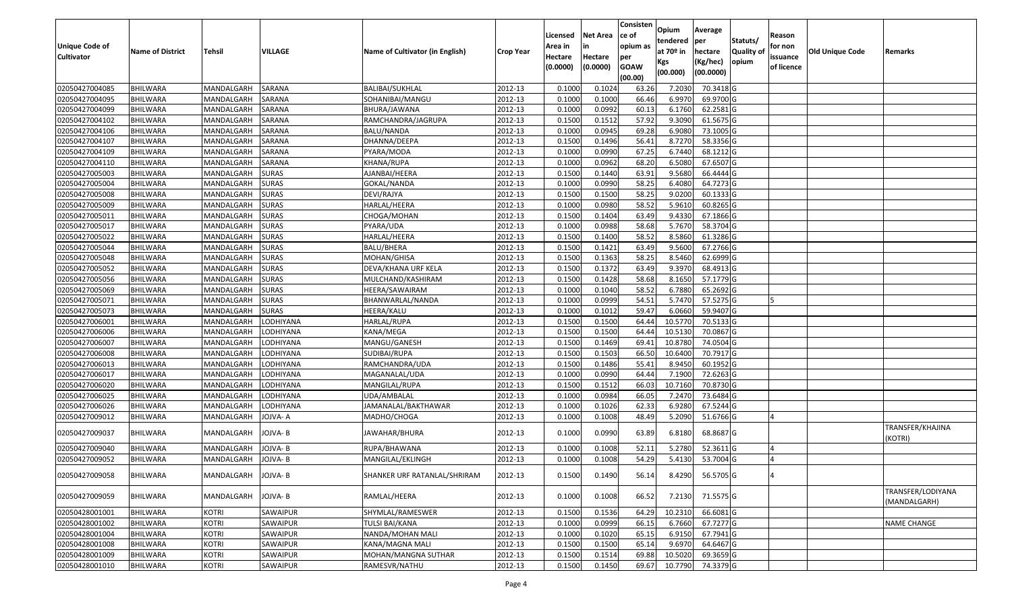| <b>Unique Code of</b><br><b>Cultivator</b> | <b>Name of District</b> | <b>Tehsil</b> | VILLAGE      | Name of Cultivator (in English) | <b>Crop Year</b> | Licensed<br>Area in<br>Hectare<br>(0.0000) | Net Area<br>in<br>Hectare<br>(0.0000) | Consisten<br>ce of<br>opium as<br>per<br><b>GOAW</b><br>(00.00) | Opium<br>tendered<br>at 70º in<br>Kgs<br>(00.000) | Average<br>per<br>hectare<br>(Kg/hec)<br>(00.0000) | Statuts/<br><b>Quality of</b><br>opium | Reason<br>for non<br>issuance<br>of licence | Old Unique Code | Remarks                           |
|--------------------------------------------|-------------------------|---------------|--------------|---------------------------------|------------------|--------------------------------------------|---------------------------------------|-----------------------------------------------------------------|---------------------------------------------------|----------------------------------------------------|----------------------------------------|---------------------------------------------|-----------------|-----------------------------------|
| 02050427004085                             | <b>BHILWARA</b>         | MANDALGARH    | SARANA       | <b>BALIBAI/SUKHLAL</b>          | 2012-13          | 0.1000                                     | 0.1024                                | 63.26                                                           | 7.2030                                            | 70.3418 G                                          |                                        |                                             |                 |                                   |
| 02050427004095                             | <b>BHILWARA</b>         | MANDALGARH    | SARANA       | SOHANIBAI/MANGU                 | 2012-13          | 0.1000                                     | 0.1000                                | 66.46                                                           | 6.9970                                            | 69.9700 G                                          |                                        |                                             |                 |                                   |
| 02050427004099                             | <b>BHILWARA</b>         | MANDALGARH    | SARANA       | BHURA/JAWANA                    | 2012-13          | 0.1000                                     | 0.0992                                | 60.13                                                           | 6.1760                                            | 62.2581 G                                          |                                        |                                             |                 |                                   |
| 02050427004102                             | <b>BHILWARA</b>         | MANDALGARH    | SARANA       | RAMCHANDRA/JAGRUPA              | 2012-13          | 0.1500                                     | 0.1512                                | 57.92                                                           | 9.3090                                            | 61.5675 G                                          |                                        |                                             |                 |                                   |
| 02050427004106                             | BHILWARA                | MANDALGARH    | SARANA       | BALU/NANDA                      | 2012-13          | 0.1000                                     | 0.0945                                | 69.28                                                           | 6.9080                                            | 73.1005 G                                          |                                        |                                             |                 |                                   |
| 02050427004107                             | <b>BHILWARA</b>         | MANDALGARH    | SARANA       | DHANNA/DEEPA                    | 2012-13          | 0.1500                                     | 0.1496                                | 56.41                                                           | 8.7270                                            | 58.3356 G                                          |                                        |                                             |                 |                                   |
| 02050427004109                             | <b>BHILWARA</b>         | MANDALGARH    | SARANA       | PYARA/MODA                      | 2012-13          | 0.1000                                     | 0.0990                                | 67.25                                                           | 6.7440                                            | 68.1212 G                                          |                                        |                                             |                 |                                   |
| 02050427004110                             | <b>BHILWARA</b>         | MANDALGARH    | SARANA       | KHANA/RUPA                      | 2012-13          | 0.1000                                     | 0.0962                                | 68.20                                                           | 6.5080                                            | 67.6507 G                                          |                                        |                                             |                 |                                   |
| 02050427005003                             | <b>BHILWARA</b>         | MANDALGARH    | <b>SURAS</b> | AJANBAI/HEERA                   | 2012-13          | 0.1500                                     | 0.1440                                | 63.91                                                           | 9.5680                                            | 66.4444 G                                          |                                        |                                             |                 |                                   |
| 02050427005004                             | <b>BHILWARA</b>         | MANDALGARH    | <b>SURAS</b> | GOKAL/NANDA                     | 2012-13          | 0.1000                                     | 0.0990                                | 58.25                                                           | 6.4080                                            | 64.7273 G                                          |                                        |                                             |                 |                                   |
| 02050427005008                             | <b>BHILWARA</b>         | MANDALGARH    | <b>SURAS</b> | DEVI/RAJYA                      | 2012-13          | 0.1500                                     | 0.1500                                | 58.25                                                           | 9.0200                                            | 60.1333 G                                          |                                        |                                             |                 |                                   |
| 02050427005009                             | <b>BHILWARA</b>         | MANDALGARH    | <b>SURAS</b> | HARLAL/HEERA                    | 2012-13          | 0.1000                                     | 0.0980                                | 58.52                                                           | 5.9610                                            | 60.8265 G                                          |                                        |                                             |                 |                                   |
| 02050427005011                             | <b>BHILWARA</b>         | MANDALGARH    | <b>SURAS</b> | CHOGA/MOHAN                     | 2012-13          | 0.1500                                     | 0.1404                                | 63.49                                                           | 9.4330                                            | 67.1866 G                                          |                                        |                                             |                 |                                   |
| 02050427005017                             | <b>BHILWARA</b>         | MANDALGARH    | <b>SURAS</b> | PYARA/UDA                       | 2012-13          | 0.1000                                     | 0.0988                                | 58.68                                                           | 5.7670                                            | 58.3704 G                                          |                                        |                                             |                 |                                   |
| 02050427005022                             | BHILWARA                | MANDALGARH    | <b>SURAS</b> | HARLAL/HEERA                    | 2012-13          | 0.1500                                     | 0.1400                                | 58.52                                                           | 8.5860                                            | 61.3286 G                                          |                                        |                                             |                 |                                   |
| 02050427005044                             | <b>BHILWARA</b>         | MANDALGARH    | <b>SURAS</b> | BALU/BHERA                      | 2012-13          | 0.1500                                     | 0.1421                                | 63.49                                                           | 9.5600                                            | 67.2766 G                                          |                                        |                                             |                 |                                   |
| 02050427005048                             | <b>BHILWARA</b>         | MANDALGARH    | <b>SURAS</b> | MOHAN/GHISA                     | 2012-13          | 0.1500                                     | 0.1363                                | 58.25                                                           | 8.5460                                            | 62.6999 G                                          |                                        |                                             |                 |                                   |
| 02050427005052                             | <b>BHILWARA</b>         | MANDALGARH    | <b>SURAS</b> | DEVA/KHANA URF KELA             | 2012-13          | 0.1500                                     | 0.1372                                | 63.49                                                           | 9.3970                                            | 68.4913 G                                          |                                        |                                             |                 |                                   |
| 02050427005056                             | <b>BHILWARA</b>         | MANDALGARH    | <b>SURAS</b> | MULCHAND/KASHIRAM               | 2012-13          | 0.1500                                     | 0.1428                                | 58.68                                                           | 8.1650                                            | 57.1779 G                                          |                                        |                                             |                 |                                   |
| 02050427005069                             | <b>BHILWARA</b>         | MANDALGARH    | <b>SURAS</b> | HEERA/SAWAIRAM                  | 2012-13          | 0.1000                                     | 0.1040                                | 58.52                                                           | 6.7880                                            | 65.2692 G                                          |                                        |                                             |                 |                                   |
| 02050427005071                             | <b>BHILWARA</b>         | MANDALGARH    | <b>SURAS</b> | BHANWARLAL/NANDA                | 2012-13          | 0.1000                                     | 0.0999                                | 54.51                                                           | 5.7470                                            | 57.5275 G                                          |                                        |                                             |                 |                                   |
| 02050427005073                             | <b>BHILWARA</b>         | MANDALGARH    | <b>SURAS</b> | HEERA/KALU                      | 2012-13          | 0.1000                                     | 0.1012                                | 59.47                                                           | 6.0660                                            | 59.9407 G                                          |                                        |                                             |                 |                                   |
| 02050427006001                             | <b>BHILWARA</b>         | MANDALGARH    | LODHIYANA    | HARLAL/RUPA                     | 2012-13          | 0.1500                                     | 0.1500                                | 64.44                                                           | 10.5770                                           | 70.5133 G                                          |                                        |                                             |                 |                                   |
| 02050427006006                             | <b>BHILWARA</b>         | MANDALGARH    | LODHIYANA    | KANA/MEGA                       | 2012-13          | 0.1500                                     | 0.1500                                | 64.44                                                           | 10.5130                                           | 70.0867 G                                          |                                        |                                             |                 |                                   |
| 02050427006007                             | <b>BHILWARA</b>         | MANDALGARH    | LODHIYANA    | MANGU/GANESH                    | 2012-13          | 0.1500                                     | 0.1469                                | 69.41                                                           | 10.8780                                           | 74.0504 G                                          |                                        |                                             |                 |                                   |
| 02050427006008                             | <b>BHILWARA</b>         | MANDALGARH    | LODHIYANA    | SUDIBAI/RUPA                    | 2012-13          | 0.1500                                     | 0.1503                                | 66.50                                                           | 10.6400                                           | 70.7917 G                                          |                                        |                                             |                 |                                   |
| 02050427006013                             | <b>BHILWARA</b>         | MANDALGARH    | LODHIYANA    | RAMCHANDRA/UDA                  | 2012-13          | 0.1500                                     | 0.1486                                | 55.41                                                           | 8.9450                                            | 60.1952 G                                          |                                        |                                             |                 |                                   |
| 02050427006017                             | BHILWARA                | MANDALGARH    | LODHIYANA    | MAGANALAL/UDA                   | 2012-13          | 0.1000                                     | 0.0990                                | 64.44                                                           | 7.1900                                            | 72.6263 G                                          |                                        |                                             |                 |                                   |
| 02050427006020                             | <b>BHILWARA</b>         | MANDALGARH    | LODHIYANA    | MANGILAL/RUPA                   | 2012-13          | 0.1500                                     | 0.1512                                | 66.03                                                           | 10.7160                                           | 70.8730 G                                          |                                        |                                             |                 |                                   |
| 02050427006025                             | <b>BHILWARA</b>         | MANDALGARH    | LODHIYANA    | UDA/AMBALAL                     | 2012-13          | 0.1000                                     | 0.0984                                | 66.05                                                           | 7.2470                                            | 73.6484 G                                          |                                        |                                             |                 |                                   |
| 02050427006026                             | <b>BHILWARA</b>         | MANDALGARH    | LODHIYANA    | JAMANALAL/BAKTHAWAR             | 2012-13          | 0.1000                                     | 0.1026                                | 62.33                                                           | 6.9280                                            | 67.5244 G                                          |                                        |                                             |                 |                                   |
| 02050427009012                             | BHILWARA                | MANDALGARH    | JOJVA- A     | MADHO/CHOGA                     | 2012-13          | 0.100                                      | 0.1008                                | 48.49                                                           | 5.2090                                            | 51.6766 G                                          |                                        | $\Delta$                                    |                 |                                   |
| 02050427009037                             | <b>BHILWARA</b>         | MANDALGARH    | JOJVA- B     | JAWAHAR/BHURA                   | 2012-13          | 0.1000                                     | 0.0990                                | 63.89                                                           | 6.8180                                            | 68.8687 G                                          |                                        |                                             |                 | TRANSFER/KHAJINA<br>(KOTRI)       |
| 02050427009040                             | BHILWARA                | MANDALGARH    | JOJVA- B     | RUPA/BHAWANA                    | 2012-13          | 0.1000                                     | 0.1008                                | 52.11                                                           | 5.2780                                            | 52.3611 G                                          |                                        | $\overline{4}$                              |                 |                                   |
| 02050427009052                             | BHILWARA                | MANDALGARH    | JOJVA-B      | MANGILAL/EKLINGH                | 2012-13          | 0.1000                                     | 0.1008                                | 54.29                                                           | 5.4130                                            | 53.7004 G                                          |                                        |                                             |                 |                                   |
| 02050427009058                             | BHILWARA                | MANDALGARH    | JOJVA-B      | SHANKER URF RATANLAL/SHRIRAM    | 2012-13          | 0.1500                                     | 0.1490                                | 56.14                                                           |                                                   | 8.4290 56.5705 G                                   |                                        | 4                                           |                 |                                   |
| 02050427009059                             | BHILWARA                | MANDALGARH    | JOJVA-B      | RAMLAL/HEERA                    | 2012-13          | 0.1000                                     | 0.1008                                | 66.52                                                           | 7.2130                                            | 71.5575 G                                          |                                        |                                             |                 | TRANSFER/LODIYANA<br>(MANDALGARH) |
| 02050428001001                             | <b>BHILWARA</b>         | <b>KOTRI</b>  | SAWAIPUR     | SHYMLAL/RAMESWER                | 2012-13          | 0.1500                                     | 0.1536                                | 64.29                                                           | 10.2310                                           | 66.6081 G                                          |                                        |                                             |                 |                                   |
| 02050428001002                             | <b>BHILWARA</b>         | <b>KOTRI</b>  | SAWAIPUR     | TULSI BAI/KANA                  | 2012-13          | 0.1000                                     | 0.0999                                | 66.15                                                           | 6.7660                                            | 67.7277 G                                          |                                        |                                             |                 | <b>NAME CHANGE</b>                |
| 02050428001004                             | <b>BHILWARA</b>         | <b>KOTRI</b>  | SAWAIPUR     | NANDA/MOHAN MALI                | 2012-13          | 0.1000                                     | 0.1020                                | 65.15                                                           | 6.9150                                            | 67.7941 G                                          |                                        |                                             |                 |                                   |
| 02050428001008                             | <b>BHILWARA</b>         | <b>KOTRI</b>  | SAWAIPUR     | KANA/MAGNA MALI                 | 2012-13          | 0.1500                                     | 0.1500                                | 65.14                                                           | 9.6970                                            | 64.6467 G                                          |                                        |                                             |                 |                                   |
| 02050428001009                             | <b>BHILWARA</b>         | <b>KOTRI</b>  | SAWAIPUR     | MOHAN/MANGNA SUTHAR             | 2012-13          | 0.1500                                     | 0.1514                                | 69.88                                                           | 10.5020                                           | 69.3659 G                                          |                                        |                                             |                 |                                   |
| 02050428001010                             | <b>BHILWARA</b>         | <b>KOTRI</b>  | SAWAIPUR     | RAMESVR/NATHU                   | 2012-13          | 0.1500                                     | 0.1450                                | 69.67                                                           | 10.7790                                           | 74.3379 G                                          |                                        |                                             |                 |                                   |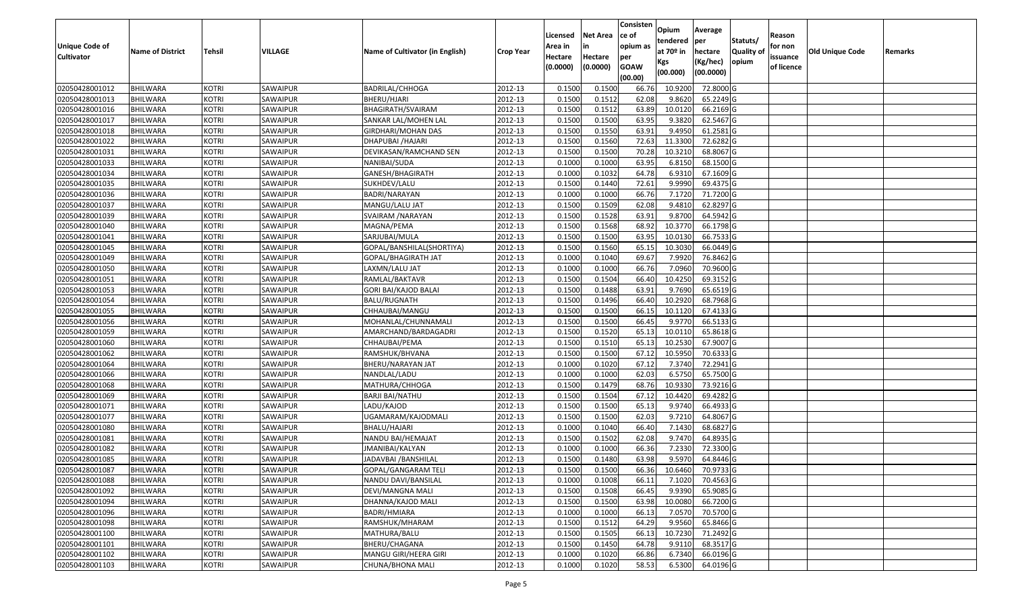|                   |                         |               |                             |                                 |                  |          |                 | Consisten   | Opium       | Average   |                  |            |                        |         |
|-------------------|-------------------------|---------------|-----------------------------|---------------------------------|------------------|----------|-----------------|-------------|-------------|-----------|------------------|------------|------------------------|---------|
|                   |                         |               |                             |                                 |                  | Licensed | <b>Net Area</b> | ce of       | tendered    | per       | Statuts/         | Reason     |                        |         |
| Unique Code of    | <b>Name of District</b> | <b>Tehsil</b> | VILLAGE                     | Name of Cultivator (in English) | <b>Crop Year</b> | Area in  | in              | opium as    | at $70°$ in | hectare   | <b>Quality o</b> | for non    | <b>Old Unique Code</b> | Remarks |
| <b>Cultivator</b> |                         |               |                             |                                 |                  | Hectare  | Hectare         | per         | Kgs         | (Kg/hec)  | opium            | issuance   |                        |         |
|                   |                         |               |                             |                                 |                  | (0.0000) | (0.0000)        | <b>GOAW</b> | (00.000)    | (00.0000) |                  | of licence |                        |         |
|                   |                         |               |                             |                                 |                  |          |                 | (00.00)     |             |           |                  |            |                        |         |
| 02050428001012    | <b>BHILWARA</b>         | <b>KOTRI</b>  | SAWAIPUR                    | <b>BADRILAL/CHHOGA</b>          | 2012-13          | 0.1500   | 0.1500          | 66.76       | 10.9200     | 72.8000 G |                  |            |                        |         |
| 02050428001013    | <b>BHILWARA</b>         | <b>KOTRI</b>  | SAWAIPUR                    | BHERU/HJARI                     | 2012-13          | 0.1500   | 0.1512          | 62.08       | 9.8620      | 65.2249 G |                  |            |                        |         |
| 02050428001016    | BHILWARA                | <b>KOTRI</b>  | SAWAIPUR<br><b>SAWAIPUR</b> | BHAGIRATH/SVAIRAM               | 2012-13          | 0.1500   | 0.1512          | 63.89       | 10.0120     | 66.2169 G |                  |            |                        |         |
| 02050428001017    | <b>BHILWARA</b>         | <b>KOTRI</b>  |                             | SANKAR LAL/MOHEN LAL            | 2012-13          | 0.1500   | 0.1500          | 63.95       | 9.3820      | 62.5467 G |                  |            |                        |         |
| 02050428001018    | BHILWARA                | <b>KOTRI</b>  | SAWAIPUR                    | GIRDHARI/MOHAN DAS              | 2012-13          | 0.1500   | 0.1550          | 63.91       | 9.495       | 61.2581 G |                  |            |                        |         |
| 02050428001022    | <b>BHILWARA</b>         | <b>KOTRI</b>  | SAWAIPUR                    | DHAPUBAI /HAJARI                | 2012-13          | 0.1500   | 0.1560          | 72.63       | 11.3300     | 72.6282 G |                  |            |                        |         |
| 02050428001031    | BHILWARA                | <b>KOTRI</b>  | SAWAIPUR                    | DEVIKASAN/RAMCHAND SEN          | 2012-13          | 0.1500   | 0.1500          | 70.28       | 10.3210     | 68.8067 G |                  |            |                        |         |
| 02050428001033    | <b>BHILWARA</b>         | <b>KOTRI</b>  | SAWAIPUR                    | NANIBAI/SUDA                    | 2012-13          | 0.1000   | 0.1000          | 63.95       | 6.8150      | 68.1500 G |                  |            |                        |         |
| 02050428001034    | <b>BHILWARA</b>         | <b>KOTRI</b>  | SAWAIPUR                    | GANESH/BHAGIRATH                | 2012-13          | 0.1000   | 0.1032          | 64.78       | 6.931       | 67.1609 G |                  |            |                        |         |
| 02050428001035    | <b>BHILWARA</b>         | <b>KOTRI</b>  | SAWAIPUR                    | SUKHDEV/LALU                    | 2012-13          | 0.1500   | 0.1440          | 72.61       | 9.9990      | 69.4375 G |                  |            |                        |         |
| 02050428001036    | BHILWARA                | <b>KOTRI</b>  | SAWAIPUR                    | BADRI/NARAYAN                   | 2012-13          | 0.1000   | 0.1000          | 66.76       | 7.1720      | 71.7200 G |                  |            |                        |         |
| 02050428001037    | <b>BHILWARA</b>         | <b>KOTRI</b>  | SAWAIPUR                    | MANGU/LALU JAT                  | 2012-13          | 0.1500   | 0.1509          | 62.08       | 9.4810      | 62.8297 G |                  |            |                        |         |
| 02050428001039    | <b>BHILWARA</b>         | <b>KOTRI</b>  | SAWAIPUR                    | SVAIRAM / NARAYAN               | 2012-13          | 0.1500   | 0.1528          | 63.91       | 9.8700      | 64.5942 G |                  |            |                        |         |
| 02050428001040    | <b>BHILWARA</b>         | <b>KOTRI</b>  | SAWAIPUR                    | MAGNA/PEMA                      | 2012-13          | 0.1500   | 0.1568          | 68.92       | 10.3770     | 66.1798 G |                  |            |                        |         |
| 02050428001041    | BHILWARA                | <b>KOTRI</b>  | SAWAIPUR                    | SARJUBAI/MULA                   | 2012-13          | 0.1500   | 0.1500          | 63.95       | 10.0130     | 66.7533 G |                  |            |                        |         |
| 02050428001045    | <b>BHILWARA</b>         | <b>KOTRI</b>  | SAWAIPUR                    | GOPAL/BANSHILAL(SHORTIYA)       | 2012-13          | 0.1500   | 0.1560          | 65.15       | 10.3030     | 66.0449 G |                  |            |                        |         |
| 02050428001049    | <b>BHILWARA</b>         | <b>KOTRI</b>  | SAWAIPUR                    | GOPAL/BHAGIRATH JAT             | 2012-13          | 0.1000   | 0.1040          | 69.67       | 7.9920      | 76.8462 G |                  |            |                        |         |
| 02050428001050    | BHILWARA                | <b>KOTRI</b>  | SAWAIPUR                    | LAXMN/LALU JAT                  | 2012-13          | 0.1000   | 0.1000          | 66.76       | 7.0960      | 70.9600 G |                  |            |                        |         |
| 02050428001051    | <b>BHILWARA</b>         | <b>KOTRI</b>  | SAWAIPUR                    | RAMLAL/BAKTAVR                  | 2012-13          | 0.1500   | 0.1504          | 66.40       | 10.4250     | 69.3152G  |                  |            |                        |         |
| 02050428001053    | BHILWARA                | <b>KOTRI</b>  | SAWAIPUR                    | GORI BAI/KAJOD BALAI            | 2012-13          | 0.1500   | 0.1488          | 63.91       | 9.7690      | 65.6519 G |                  |            |                        |         |
| 02050428001054    | <b>BHILWARA</b>         | <b>KOTRI</b>  | SAWAIPUR                    | <b>BALU/RUGNATH</b>             | 2012-13          | 0.1500   | 0.1496          | 66.40       | 10.2920     | 68.7968 G |                  |            |                        |         |
| 02050428001055    | <b>BHILWARA</b>         | <b>KOTRI</b>  | SAWAIPUR                    | CHHAUBAI/MANGU                  | 2012-13          | 0.1500   | 0.1500          | 66.15       | 10.1120     | 67.4133 G |                  |            |                        |         |
| 02050428001056    | <b>BHILWARA</b>         | <b>KOTRI</b>  | SAWAIPUR                    | MOHANLAL/CHUNNAMALI             | 2012-13          | 0.1500   | 0.1500          | 66.45       | 9.9770      | 66.5133 G |                  |            |                        |         |
| 02050428001059    | <b>BHILWARA</b>         | <b>KOTRI</b>  | SAWAIPUR                    | AMARCHAND/BARDAGADRI            | 2012-13          | 0.1500   | 0.1520          | 65.13       | 10.0110     | 65.8618 G |                  |            |                        |         |
| 02050428001060    | <b>BHILWARA</b>         | <b>KOTRI</b>  | SAWAIPUR                    | CHHAUBAI/PEMA                   | 2012-13          | 0.1500   | 0.1510          | 65.13       | 10.2530     | 67.9007 G |                  |            |                        |         |
| 02050428001062    | BHILWARA                | <b>KOTRI</b>  | SAWAIPUR                    | RAMSHUK/BHVANA                  | 2012-13          | 0.1500   | 0.1500          | 67.12       | 10.595      | 70.6333 G |                  |            |                        |         |
| 02050428001064    | <b>BHILWARA</b>         | <b>KOTRI</b>  | SAWAIPUR                    | BHERU/NARAYAN JAT               | 2012-13          | 0.1000   | 0.1020          | 67.12       | 7.3740      | 72.2941G  |                  |            |                        |         |
| 02050428001066    | BHILWARA                | <b>KOTRI</b>  | SAWAIPUR                    | NANDLAL/LADU                    | 2012-13          | 0.1000   | 0.1000          | 62.03       | 6.5750      | 65.7500 G |                  |            |                        |         |
| 02050428001068    | <b>BHILWARA</b>         | <b>KOTRI</b>  | SAWAIPUR                    | MATHURA/CHHOGA                  | 2012-13          | 0.1500   | 0.1479          | 68.76       | 10.9330     | 73.9216 G |                  |            |                        |         |
| 02050428001069    | <b>BHILWARA</b>         | <b>KOTRI</b>  | SAWAIPUR                    | <b>BARJI BAI/NATHU</b>          | 2012-13          | 0.1500   | 0.1504          | 67.12       | 10.4420     | 69.4282 G |                  |            |                        |         |
| 02050428001071    | <b>BHILWARA</b>         | <b>KOTRI</b>  | SAWAIPUR                    | LADU/KAJOD                      | 2012-13          | 0.1500   | 0.1500          | 65.13       | 9.974       | 66.4933 G |                  |            |                        |         |
| 02050428001077    | BHILWARA                | <b>KOTRI</b>  | SAWAIPUR                    | JGAMARAM/KAJODMALI              | 2012-13          | 0.1500   | 0.1500          | 62.03       | 9.7210      | 64.8067 G |                  |            |                        |         |
| 02050428001080    | <b>BHILWARA</b>         | <b>KOTRI</b>  | SAWAIPUR                    | BHALU/HAJARI                    | 2012-13          | 0.1000   | 0.1040          | 66.40       | 7.1430      | 68.6827 G |                  |            |                        |         |
| 02050428001081    | BHILWARA                | <b>KOTRI</b>  | SAWAIPUR                    | NANDU BAI/HEMAJAT               | 2012-13          | 0.1500   | 0.1502          | 62.08       | 9.7470      | 64.8935 G |                  |            |                        |         |
| 02050428001082    | <b>BHILWARA</b>         | <b>KOTRI</b>  | SAWAIPUR                    | JMANIBAI/KALYAN                 | 2012-13          | 0.1000   | 0.1000          | 66.36       | 7.2330      | 72.3300 G |                  |            |                        |         |
| 02050428001085    | <b>BHILWARA</b>         | <b>KOTRI</b>  | SAWAIPUR                    | JADAVBAI /BANSHILAL             | 2012-13          | 0.1500   | 0.1480          | 63.98       | 9.5970      | 64.8446 G |                  |            |                        |         |
| 02050428001087    | <b>BHILWARA</b>         | <b>KOTRI</b>  | SAWAIPUR                    | GOPAL/GANGARAM TELI             | 2012-13          | 0.1500   | 0.1500          | 66.36       | 10.6460     | 70.9733 G |                  |            |                        |         |
| 02050428001088    | <b>BHILWARA</b>         | <b>KOTRI</b>  | SAWAIPUR                    | NANDU DAVI/BANSILAL             | 2012-13          | 0.1000   | 0.1008          | 66.11       | 7.1020      | 70.4563 G |                  |            |                        |         |
| 02050428001092    | <b>BHILWARA</b>         | <b>KOTRI</b>  | SAWAIPUR                    | DEVI/MANGNA MALI                | 2012-13          | 0.1500   | 0.1508          | 66.45       | 9.9390      | 65.9085 G |                  |            |                        |         |
| 02050428001094    | <b>BHILWARA</b>         | <b>KOTRI</b>  | SAWAIPUR                    | DHANNA/KAJOD MALI               | 2012-13          | 0.1500   | 0.1500          | 63.98       | 10.0080     | 66.7200 G |                  |            |                        |         |
| 02050428001096    | <b>BHILWARA</b>         | <b>KOTRI</b>  | SAWAIPUR                    | BADRI/HMIARA                    | 2012-13          | 0.1000   | 0.1000          | 66.13       | 7.0570      | 70.5700 G |                  |            |                        |         |
| 02050428001098    | <b>BHILWARA</b>         | <b>KOTRI</b>  | SAWAIPUR                    | RAMSHUK/MHARAM                  | 2012-13          | 0.1500   | 0.1512          | 64.29       | 9.9560      | 65.8466 G |                  |            |                        |         |
| 02050428001100    | <b>BHILWARA</b>         | <b>KOTRI</b>  | SAWAIPUR                    | MATHURA/BALU                    | 2012-13          | 0.1500   | 0.1505          | 66.13       | 10.7230     | 71.2492 G |                  |            |                        |         |
| 02050428001101    | <b>BHILWARA</b>         | <b>KOTRI</b>  | SAWAIPUR                    | BHERU/CHAGANA                   | 2012-13          | 0.1500   | 0.1450          | 64.78       | 9.9110      | 68.3517 G |                  |            |                        |         |
| 02050428001102    | <b>BHILWARA</b>         | <b>KOTRI</b>  | SAWAIPUR                    | MANGU GIRI/HEERA GIRI           | 2012-13          | 0.1000   | 0.1020          | 66.86       | 6.7340      | 66.0196 G |                  |            |                        |         |
| 02050428001103    | <b>BHILWARA</b>         | <b>KOTRI</b>  | SAWAIPUR                    | CHUNA/BHONA MALI                | 2012-13          | 0.1000   | 0.1020          | 58.53       | 6.5300      | 64.0196 G |                  |            |                        |         |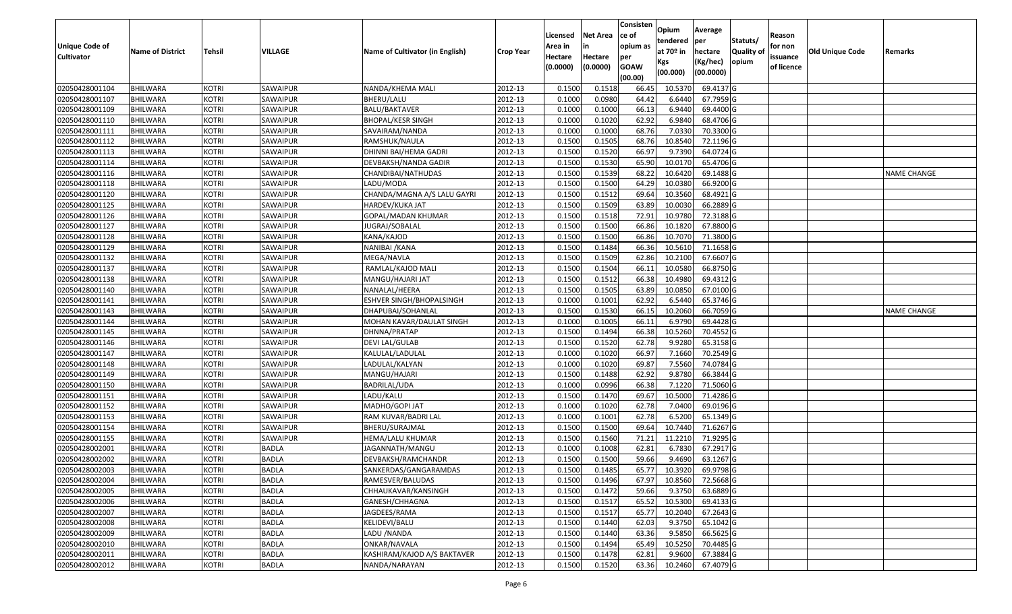|                       |                         |               |              |                                 |                  |          |                 | Consisten              | Opium         | Average   |                  |            |                        |                    |
|-----------------------|-------------------------|---------------|--------------|---------------------------------|------------------|----------|-----------------|------------------------|---------------|-----------|------------------|------------|------------------------|--------------------|
|                       |                         |               |              |                                 |                  | Licensed | <b>Net Area</b> | ce of                  | tendered      | per       | Statuts/         | Reason     |                        |                    |
| <b>Unique Code of</b> | <b>Name of District</b> | <b>Tehsil</b> | VILLAGE      | Name of Cultivator (in English) | <b>Crop Year</b> | Area in  | in              | opium as               | at $70°$ in   | hectare   | <b>Quality o</b> | for non    | <b>Old Unique Code</b> | Remarks            |
| <b>Cultivator</b>     |                         |               |              |                                 |                  | Hectare  | Hectare         | per                    | Kgs           | (Kg/hec)  | opium            | issuance   |                        |                    |
|                       |                         |               |              |                                 |                  | (0.0000) | (0.0000)        | <b>GOAW</b><br>(00.00) | (00.000)      | (00.0000) |                  | of licence |                        |                    |
| 02050428001104        | <b>BHILWARA</b>         | <b>KOTRI</b>  | SAWAIPUR     | NANDA/KHEMA MALI                | 2012-13          | 0.1500   | 0.1518          | 66.45                  | 10.5370       | 69.4137 G |                  |            |                        |                    |
| 02050428001107        | <b>BHILWARA</b>         | <b>KOTRI</b>  | SAWAIPUR     | BHERU/LALU                      | 2012-13          | 0.1000   | 0.0980          | 64.42                  | 6.6440        | 67.7959 G |                  |            |                        |                    |
| 02050428001109        | BHILWARA                | <b>KOTRI</b>  | SAWAIPUR     | BALU/BAKTAVER                   | 2012-13          | 0.1000   | 0.1000          | 66.13                  | 6.9440        | 69.4400 G |                  |            |                        |                    |
| 02050428001110        | <b>BHILWARA</b>         | <b>KOTRI</b>  | SAWAIPUR     | <b>BHOPAL/KESR SINGH</b>        | 2012-13          | 0.1000   | 0.1020          | 62.92                  | 6.9840        | 68.4706 G |                  |            |                        |                    |
| 02050428001111        | BHILWARA                | <b>KOTRI</b>  | SAWAIPUR     | SAVAIRAM/NANDA                  | 2012-13          | 0.1000   | 0.1000          | 68.76                  | 7.0330        | 70.3300 G |                  |            |                        |                    |
| 02050428001112        | <b>BHILWARA</b>         | <b>KOTRI</b>  | SAWAIPUR     | RAMSHUK/NAULA                   | 2012-13          | 0.1500   | 0.1505          | 68.76                  | 10.8540       | 72.1196 G |                  |            |                        |                    |
| 02050428001113        | BHILWARA                | <b>KOTRI</b>  | SAWAIPUR     | DHINNI BAI/HEMA GADRI           | 2012-13          | 0.1500   | 0.1520          | 66.97                  | 9.739         | 64.0724 G |                  |            |                        |                    |
| 02050428001114        | <b>BHILWARA</b>         | <b>KOTRI</b>  | SAWAIPUR     | DEVBAKSH/NANDA GADIR            | 2012-13          | 0.1500   | 0.1530          | 65.90                  | 10.0170       | 65.4706 G |                  |            |                        |                    |
| 02050428001116        | <b>BHILWARA</b>         | <b>KOTRI</b>  | SAWAIPUR     | CHANDIBAI/NATHUDAS              | 2012-13          | 0.1500   | 0.1539          | 68.22                  | 10.6420       | 69.1488 G |                  |            |                        | <b>NAME CHANGE</b> |
| 02050428001118        | <b>BHILWARA</b>         | <b>KOTRI</b>  | SAWAIPUR     | LADU/MODA                       | 2012-13          | 0.1500   | 0.1500          | 64.29                  | 10.0380       | 66.9200 G |                  |            |                        |                    |
| 02050428001120        | BHILWARA                | <b>KOTRI</b>  | SAWAIPUR     | CHANDA/MAGNA A/S LALU GAYRI     | 2012-13          | 0.1500   | 0.1512          | 69.64                  | 10.3560       | 68.4921G  |                  |            |                        |                    |
| 02050428001125        | <b>BHILWARA</b>         | <b>KOTRI</b>  | SAWAIPUR     | HARDEV/KUKA JAT                 | 2012-13          | 0.1500   | 0.1509          | 63.89                  | 10.003        | 66.2889 G |                  |            |                        |                    |
| 02050428001126        | <b>BHILWARA</b>         | <b>KOTRI</b>  | SAWAIPUR     | GOPAL/MADAN KHUMAR              | 2012-13          | 0.1500   | 0.1518          | 72.91                  | 10.9780       | 72.3188 G |                  |            |                        |                    |
| 02050428001127        | <b>BHILWARA</b>         | <b>KOTRI</b>  | SAWAIPUR     | JUGRAJ/SOBALAL                  | 2012-13          | 0.1500   | 0.1500          | 66.86                  | 10.1820       | 67.8800 G |                  |            |                        |                    |
| 02050428001128        | BHILWARA                | <b>KOTRI</b>  | SAWAIPUR     | KANA/KAJOD                      | 2012-13          | 0.1500   | 0.1500          | 66.86                  | 10.7070       | 71.3800 G |                  |            |                        |                    |
| 02050428001129        | <b>BHILWARA</b>         | <b>KOTRI</b>  | SAWAIPUR     | NANIBAI / KANA                  | 2012-13          | 0.1500   | 0.1484          | 66.36                  | 10.5610       | 71.1658 G |                  |            |                        |                    |
| 02050428001132        | <b>BHILWARA</b>         | <b>KOTRI</b>  | SAWAIPUR     | MEGA/NAVLA                      | 2012-13          | 0.1500   | 0.1509          | 62.86                  | 10.2100       | 67.6607 G |                  |            |                        |                    |
| 02050428001137        | <b>BHILWARA</b>         | <b>KOTRI</b>  | SAWAIPUR     | RAMLAL/KAJOD MALI               | 2012-13          | 0.1500   | 0.1504          | 66.1                   | 10.0580       | 66.8750 G |                  |            |                        |                    |
| 02050428001138        | <b>BHILWARA</b>         | <b>KOTRI</b>  | SAWAIPUR     | MANGU/HAJARI JAT                | 2012-13          | 0.1500   | 0.1512          | 66.38                  | 10.4980       | 69.4312G  |                  |            |                        |                    |
| 02050428001140        | BHILWARA                | <b>KOTRI</b>  | SAWAIPUR     | NANALAL/HEERA                   | 2012-13          | 0.1500   | 0.1505          | 63.89                  | 10.085        | 67.0100G  |                  |            |                        |                    |
| 02050428001141        | <b>BHILWARA</b>         | <b>KOTRI</b>  | SAWAIPUR     | <b>ESHVER SINGH/BHOPALSINGH</b> | 2012-13          | 0.1000   | 0.1001          | 62.92                  | 6.5440        | 65.3746 G |                  |            |                        |                    |
| 02050428001143        | <b>BHILWARA</b>         | <b>KOTRI</b>  | SAWAIPUR     | DHAPUBAI/SOHANLAL               | 2012-13          | 0.150    | 0.1530          | 66.15                  | 10.2060       | 66.7059 G |                  |            |                        | <b>NAME CHANGE</b> |
| 02050428001144        | <b>BHILWARA</b>         | <b>KOTRI</b>  | SAWAIPUR     | MOHAN KAVAR/DAULAT SINGH        | 2012-13          | 0.1000   | 0.1005          | 66.1                   | 6.9790        | 69.4428 G |                  |            |                        |                    |
| 02050428001145        | <b>BHILWARA</b>         | <b>KOTRI</b>  | SAWAIPUR     | DHNNA/PRATAP                    | 2012-13          | 0.150    | 0.1494          | 66.38                  | 10.5260       | 70.4552G  |                  |            |                        |                    |
| 02050428001146        | <b>BHILWARA</b>         | <b>KOTRI</b>  | SAWAIPUR     | <b>DEVI LAL/GULAB</b>           | 2012-13          | 0.1500   | 0.1520          | 62.78                  | 9.9280        | 65.3158 G |                  |            |                        |                    |
| 02050428001147        | BHILWARA                | <b>KOTRI</b>  | SAWAIPUR     | KALULAL/LADULAL                 | 2012-13          | 0.1000   | 0.1020          | 66.97                  | 7.1660        | 70.2549 G |                  |            |                        |                    |
| 02050428001148        | <b>BHILWARA</b>         | <b>KOTRI</b>  | SAWAIPUR     | LADULAL/KALYAN                  | 2012-13          | 0.1000   | 0.1020          | 69.87                  | 7.5560        | 74.0784 G |                  |            |                        |                    |
| 02050428001149        | BHILWARA                | <b>KOTRI</b>  | SAWAIPUR     | MANGU/HAJARI                    | 2012-13          | 0.1500   | 0.1488          | 62.92                  | 9.8780        | 66.3844 G |                  |            |                        |                    |
| 02050428001150        | <b>BHILWARA</b>         | <b>KOTRI</b>  | SAWAIPUR     | BADRILAL/UDA                    | 2012-13          | 0.1000   | 0.0996          | 66.38                  | 7.1220        | 71.5060 G |                  |            |                        |                    |
| 02050428001151        | BHILWARA                | <b>KOTRI</b>  | SAWAIPUR     | LADU/KALU                       | 2012-13          | 0.1500   | 0.1470          | 69.67                  | 10.5000       | 71.4286 G |                  |            |                        |                    |
| 02050428001152        | BHILWARA                | <b>KOTRI</b>  | SAWAIPUR     | MADHO/GOPI JAT                  | 2012-13          | 0.1000   | 0.1020          | 62.78                  | 7.0400        | 69.0196 G |                  |            |                        |                    |
| 02050428001153        | BHILWARA                | <b>KOTRI</b>  | SAWAIPUR     | RAM KUVAR/BADRI LAL             | 2012-13          | 0.1000   | 0.1001          | 62.78                  | 6.5200        | 65.1349 G |                  |            |                        |                    |
| 02050428001154        | <b>BHILWARA</b>         | <b>KOTRI</b>  | SAWAIPUR     | BHERU/SURAJMAL                  | 2012-13          | 0.1500   | 0.1500          | 69.64                  | 10.7440       | 71.6267 G |                  |            |                        |                    |
| 02050428001155        | BHILWARA                | <b>KOTRI</b>  | SAWAIPUR     | HEMA/LALU KHUMAR                | 2012-13          | 0.1500   | 0.1560          | 71.21                  | 11.2210       | 71.9295 G |                  |            |                        |                    |
| 02050428002001        | <b>BHILWARA</b>         | <b>KOTRI</b>  | <b>BADLA</b> | JAGANNATH/MANGU                 | 2012-13          | 0.1000   | 0.1008          | 62.8                   | 6.7830        | 67.2917 G |                  |            |                        |                    |
| 02050428002002        | BHILWARA                | <b>KOTRI</b>  | <b>BADLA</b> | DEVBAKSH/RAMCHANDR              | 2012-13          | 0.1500   | 0.1500          | 59.66                  | 9.4690        | 63.1267 G |                  |            |                        |                    |
| 02050428002003        | <b>BHILWARA</b>         | <b>KOTRI</b>  | <b>BADLA</b> | SANKERDAS/GANGARAMDAS           | 2012-13          | 0.1500   | 0.1485          |                        | 65.77 10.3920 | 69.9798 G |                  |            |                        |                    |
| 02050428002004        | <b>BHILWARA</b>         | <b>KOTRI</b>  | <b>BADLA</b> | RAMESVER/BALUDAS                | 2012-13          | 0.1500   | 0.1496          | 67.97                  | 10.8560       | 72.5668 G |                  |            |                        |                    |
| 02050428002005        | <b>BHILWARA</b>         | <b>KOTRI</b>  | <b>BADLA</b> | CHHAUKAVAR/KANSINGH             | 2012-13          | 0.1500   | 0.1472          | 59.66                  | 9.3750        | 63.6889 G |                  |            |                        |                    |
| 02050428002006        | <b>BHILWARA</b>         | <b>KOTRI</b>  | <b>BADLA</b> | GANESH/CHHAGNA                  | 2012-13          | 0.1500   | 0.1517          | 65.52                  | 10.5300       | 69.4133 G |                  |            |                        |                    |
| 02050428002007        | <b>BHILWARA</b>         | <b>KOTRI</b>  | <b>BADLA</b> | JAGDEES/RAMA                    | 2012-13          | 0.1500   | 0.1517          | 65.77                  | 10.2040       | 67.2643 G |                  |            |                        |                    |
| 02050428002008        | <b>BHILWARA</b>         | <b>KOTRI</b>  | <b>BADLA</b> | KELIDEVI/BALU                   | 2012-13          | 0.1500   | 0.1440          | 62.03                  | 9.3750        | 65.1042 G |                  |            |                        |                    |
| 02050428002009        | <b>BHILWARA</b>         | <b>KOTRI</b>  | <b>BADLA</b> | LADU / NANDA                    | 2012-13          | 0.1500   | 0.1440          | 63.36                  | 9.5850        | 66.5625 G |                  |            |                        |                    |
| 02050428002010        | <b>BHILWARA</b>         | <b>KOTRI</b>  | <b>BADLA</b> | ONKAR/NAVALA                    | 2012-13          | 0.1500   | 0.1494          | 65.49                  | 10.5250       | 70.4485 G |                  |            |                        |                    |
| 02050428002011        | <b>BHILWARA</b>         | <b>KOTRI</b>  | <b>BADLA</b> | KASHIRAM/KAJOD A/S BAKTAVER     | 2012-13          | 0.1500   | 0.1478          | 62.81                  | 9.9600        | 67.3884 G |                  |            |                        |                    |
| 02050428002012        | <b>BHILWARA</b>         | <b>KOTRI</b>  | <b>BADLA</b> | NANDA/NARAYAN                   | 2012-13          | 0.1500   | 0.1520          | 63.36                  | 10.2460       | 67.4079 G |                  |            |                        |                    |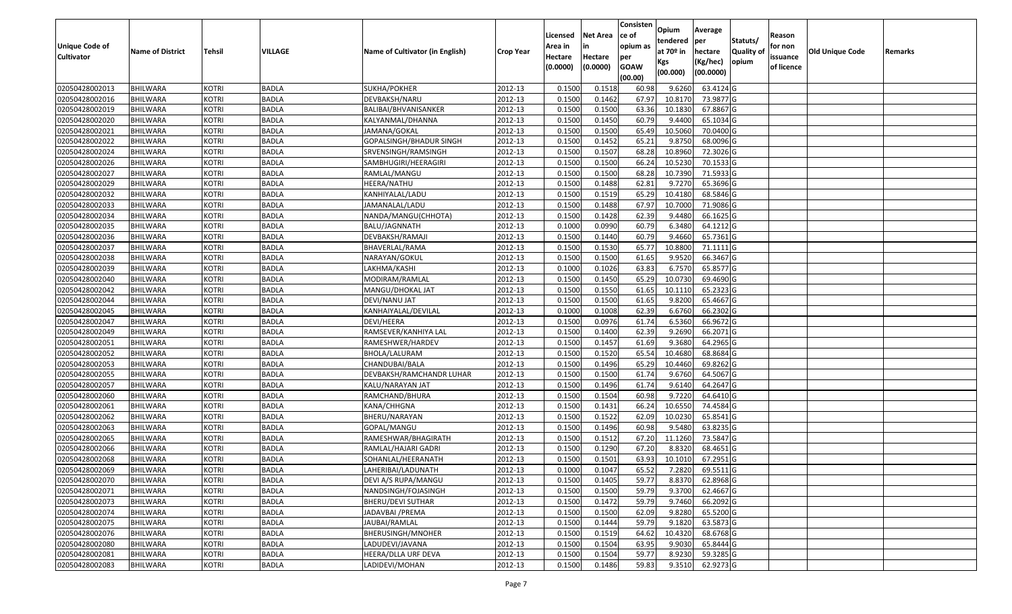|                       |                         |               |              |                                 |                  |          |                 | Consisten              | Opium       | Average   |                  |            |                 |         |
|-----------------------|-------------------------|---------------|--------------|---------------------------------|------------------|----------|-----------------|------------------------|-------------|-----------|------------------|------------|-----------------|---------|
|                       |                         |               |              |                                 |                  | Licensed | <b>Net Area</b> | ce of                  | tendered    | per       | Statuts/         | Reason     |                 |         |
| <b>Unique Code of</b> | <b>Name of District</b> | <b>Tehsil</b> | VILLAGE      | Name of Cultivator (in English) | <b>Crop Year</b> | Area in  |                 | opium as               | at $70°$ in | hectare   | <b>Quality o</b> | for non    | Old Unique Code | Remarks |
| <b>Cultivator</b>     |                         |               |              |                                 |                  | Hectare  | Hectare         | per                    | Kgs         | (Kg/hec)  | opium            | issuance   |                 |         |
|                       |                         |               |              |                                 |                  | (0.0000) | (0.0000)        | <b>GOAW</b><br>(00.00) | (00.000)    | (00.0000) |                  | of licence |                 |         |
| 02050428002013        | <b>BHILWARA</b>         | <b>KOTRI</b>  | <b>BADLA</b> | SUKHA/POKHER                    | 2012-13          | 0.1500   | 0.1518          | 60.98                  | 9.6260      | 63.4124 G |                  |            |                 |         |
| 02050428002016        | <b>BHILWARA</b>         | <b>KOTRI</b>  | <b>BADLA</b> | DEVBAKSH/NARU                   | 2012-13          | 0.1500   | 0.1462          | 67.97                  | 10.8170     | 73.9877 G |                  |            |                 |         |
| 02050428002019        | <b>BHILWARA</b>         | <b>KOTRI</b>  | <b>BADLA</b> | BALIBAI/BHVANISANKER            | 2012-13          | 0.1500   | 0.1500          | 63.36                  | 10.1830     | 67.8867 G |                  |            |                 |         |
| 02050428002020        | <b>BHILWARA</b>         | <b>KOTRI</b>  | <b>BADLA</b> | KALYANMAL/DHANNA                | 2012-13          | 0.1500   | 0.1450          | 60.79                  | 9.4400      | 65.1034 G |                  |            |                 |         |
| 02050428002021        | BHILWARA                | <b>KOTRI</b>  | <b>BADLA</b> | JAMANA/GOKAL                    | 2012-13          | 0.1500   | 0.1500          | 65.49                  | 10.5060     | 70.0400 G |                  |            |                 |         |
| 02050428002022        | <b>BHILWARA</b>         | <b>KOTRI</b>  | <b>BADLA</b> | GOPALSINGH/BHADUR SINGH         | 2012-13          | 0.1500   | 0.1452          | 65.21                  | 9.8750      | 68.0096 G |                  |            |                 |         |
| 02050428002024        | BHILWARA                | <b>KOTRI</b>  | <b>BADLA</b> | SRVENSINGH/RAMSINGH             | 2012-13          | 0.1500   | 0.1507          | 68.28                  | 10.8960     | 72.3026 G |                  |            |                 |         |
| 02050428002026        | <b>BHILWARA</b>         | <b>KOTRI</b>  | <b>BADLA</b> | SAMBHUGIRI/HEERAGIRI            | 2012-13          | 0.1500   | 0.1500          | 66.24                  | 10.5230     | 70.1533 G |                  |            |                 |         |
| 02050428002027        | BHILWARA                | <b>KOTRI</b>  | <b>BADLA</b> | RAMLAL/MANGU                    | 2012-13          | 0.1500   | 0.1500          | 68.28                  | 10.7390     | 71.5933 G |                  |            |                 |         |
| 02050428002029        | BHILWARA                | <b>KOTRI</b>  | <b>BADLA</b> | HEERA/NATHU                     | 2012-13          | 0.1500   | 0.1488          | 62.81                  | 9.7270      | 65.3696 G |                  |            |                 |         |
| 02050428002032        | BHILWARA                | <b>KOTRI</b>  | <b>BADLA</b> | KANHIYALAL/LADU                 | 2012-13          | 0.1500   | 0.1519          | 65.29                  | 10.4180     | 68.5846 G |                  |            |                 |         |
| 02050428002033        | <b>BHILWARA</b>         | <b>KOTRI</b>  | <b>BADLA</b> | JAMANALAL/LADU                  | 2012-13          | 0.1500   | 0.1488          | 67.97                  | 10.7000     | 71.9086 G |                  |            |                 |         |
| 02050428002034        | <b>BHILWARA</b>         | <b>KOTRI</b>  | <b>BADLA</b> | NANDA/MANGU(CHHOTA)             | 2012-13          | 0.1500   | 0.1428          | 62.39                  | 9.4480      | 66.1625 G |                  |            |                 |         |
| 02050428002035        | <b>BHILWARA</b>         | <b>KOTRI</b>  | <b>BADLA</b> | <b>BALU/JAGNNATH</b>            | 2012-13          | 0.1000   | 0.0990          | 60.79                  | 6.3480      | 64.1212G  |                  |            |                 |         |
| 02050428002036        | BHILWARA                | <b>KOTRI</b>  | <b>BADLA</b> | DEVBAKSH/RAMAJI                 | 2012-13          | 0.1500   | 0.1440          | 60.79                  | 9.4660      | 65.7361G  |                  |            |                 |         |
| 02050428002037        | <b>BHILWARA</b>         | <b>KOTRI</b>  | <b>BADLA</b> | BHAVERLAL/RAMA                  | 2012-13          | 0.1500   | 0.1530          | 65.77                  | 10.8800     | 71.1111G  |                  |            |                 |         |
| 02050428002038        | <b>BHILWARA</b>         | <b>KOTRI</b>  | <b>BADLA</b> | NARAYAN/GOKUL                   | 2012-13          | 0.1500   | 0.1500          | 61.65                  | 9.9520      | 66.3467 G |                  |            |                 |         |
| 02050428002039        | BHILWARA                | <b>KOTRI</b>  | <b>BADLA</b> | LAKHMA/KASHI                    | 2012-13          | 0.1000   | 0.1026          | 63.83                  | 6.7570      | 65.8577 G |                  |            |                 |         |
| 02050428002040        | BHILWARA                | <b>KOTRI</b>  | <b>BADLA</b> | MODIRAM/RAMLAL                  | 2012-13          | 0.1500   | 0.1450          | 65.29                  | 10.073      | 69.4690 G |                  |            |                 |         |
| 02050428002042        | BHILWARA                | <b>KOTRI</b>  | <b>BADLA</b> | MANGU/DHOKAL JAT                | 2012-13          | 0.1500   | 0.1550          | 61.65                  | 10.1110     | 65.2323 G |                  |            |                 |         |
| 02050428002044        | BHILWARA                | <b>KOTRI</b>  | <b>BADLA</b> | DEVI/NANU JAT                   | 2012-13          | 0.1500   | 0.1500          | 61.65                  | 9.8200      | 65.4667G  |                  |            |                 |         |
| 02050428002045        | BHILWARA                | <b>KOTRI</b>  | <b>BADLA</b> | KANHAIYALAL/DEVILAL             | 2012-13          | 0.1000   | 0.1008          | 62.39                  | 6.6760      | 66.2302 G |                  |            |                 |         |
| 02050428002047        | <b>BHILWARA</b>         | <b>KOTRI</b>  | <b>BADLA</b> | DEVI/HEERA                      | 2012-13          | 0.1500   | 0.0976          | 61.74                  | 6.5360      | 66.9672 G |                  |            |                 |         |
| 02050428002049        | BHILWARA                | <b>KOTRI</b>  | <b>BADLA</b> | RAMSEVER/KANHIYA LAL            | 2012-13          | 0.1500   | 0.1400          | 62.39                  | 9.2690      | 66.2071 G |                  |            |                 |         |
| 02050428002051        | <b>BHILWARA</b>         | <b>KOTRI</b>  | <b>BADLA</b> | RAMESHWER/HARDEV                | 2012-13          | 0.1500   | 0.1457          | 61.69                  | 9.3680      | 64.2965 G |                  |            |                 |         |
| 02050428002052        | BHILWARA                | <b>KOTRI</b>  | <b>BADLA</b> | BHOLA/LALURAM                   | 2012-13          | 0.1500   | 0.1520          | 65.54                  | 10.4680     | 68.8684 G |                  |            |                 |         |
| 02050428002053        | <b>BHILWARA</b>         | <b>KOTRI</b>  | <b>BADLA</b> | CHANDUBAI/BALA                  | 2012-13          | 0.1500   | 0.1496          | 65.29                  | 10.4460     | 69.8262G  |                  |            |                 |         |
| 02050428002055        | BHILWARA                | <b>KOTRI</b>  | <b>BADLA</b> | DEVBAKSH/RAMCHANDR LUHAR        | 2012-13          | 0.1500   | 0.1500          | 61.74                  | 9.6760      | 64.5067 G |                  |            |                 |         |
| 02050428002057        | <b>BHILWARA</b>         | <b>KOTRI</b>  | <b>BADLA</b> | KALU/NARAYAN JAT                | 2012-13          | 0.1500   | 0.1496          | 61.74                  | 9.6140      | 64.2647 G |                  |            |                 |         |
| 02050428002060        | <b>BHILWARA</b>         | <b>KOTRI</b>  | <b>BADLA</b> | RAMCHAND/BHURA                  | 2012-13          | 0.1500   | 0.1504          | 60.98                  | 9.7220      | 64.6410 G |                  |            |                 |         |
| 02050428002061        | BHILWARA                | <b>KOTRI</b>  | <b>BADLA</b> | KANA/CHHGNA                     | 2012-13          | 0.1500   | 0.1431          | 66.24                  | 10.6550     | 74.4584 G |                  |            |                 |         |
| 02050428002062        | BHILWARA                | <b>KOTRI</b>  | <b>BADLA</b> | BHERU/NARAYAN                   | 2012-13          | 0.1500   | 0.1522          | 62.09                  | 10.0230     | 65.8541 G |                  |            |                 |         |
| 02050428002063        | <b>BHILWARA</b>         | <b>KOTRI</b>  | <b>BADLA</b> | GOPAL/MANGU                     | 2012-13          | 0.1500   | 0.1496          | 60.98                  | 9.5480      | 63.8235 G |                  |            |                 |         |
| 02050428002065        | BHILWARA                | <b>KOTRI</b>  | <b>BADLA</b> | RAMESHWAR/BHAGIRATH             | 2012-13          | 0.1500   | 0.1512          | 67.20                  | 11.1260     | 73.5847 G |                  |            |                 |         |
| 02050428002066        | BHILWARA                | <b>KOTRI</b>  | <b>BADLA</b> | RAMLAL/HAJARI GADRI             | 2012-13          | 0.1500   | 0.1290          | 67.20                  | 8.8320      | 68.4651 G |                  |            |                 |         |
| 02050428002068        | BHILWARA                | <b>KOTRI</b>  | <b>BADLA</b> | SOHANLAL/HEERANATH              | 2012-13          | 0.1500   | 0.1501          | 63.93                  | 10.1010     | 67.2951G  |                  |            |                 |         |
| 02050428002069        | <b>BHILWARA</b>         | <b>KOTRI</b>  | <b>BADLA</b> | LAHERIBAI/LADUNATH              | 2012-13          | 0.1000   | 0.1047          | 65.52                  | 7.2820      | 69.5511 G |                  |            |                 |         |
| 02050428002070        | <b>BHILWARA</b>         | <b>KOTRI</b>  | <b>BADLA</b> | DEVI A/S RUPA/MANGU             | 2012-13          | 0.1500   | 0.1405          | 59.77                  | 8.8370      | 62.8968 G |                  |            |                 |         |
| 02050428002071        | <b>BHILWARA</b>         | <b>KOTRI</b>  | <b>BADLA</b> | NANDSINGH/FOJASINGH             | 2012-13          | 0.1500   | 0.1500          | 59.79                  | 9.3700      | 62.4667 G |                  |            |                 |         |
| 02050428002073        | <b>BHILWARA</b>         | <b>KOTRI</b>  | <b>BADLA</b> | BHERU/DEVI SUTHAR               | 2012-13          | 0.1500   | 0.1472          | 59.79                  | 9.7460      | 66.2092 G |                  |            |                 |         |
| 02050428002074        | <b>BHILWARA</b>         | <b>KOTRI</b>  | <b>BADLA</b> | JADAVBAI /PREMA                 | 2012-13          | 0.1500   | 0.1500          | 62.09                  | 9.8280      | 65.5200 G |                  |            |                 |         |
| 02050428002075        | <b>BHILWARA</b>         | <b>KOTRI</b>  | <b>BADLA</b> | JAUBAI/RAMLAL                   | 2012-13          | 0.1500   | 0.1444          | 59.79                  | 9.1820      | 63.5873 G |                  |            |                 |         |
| 02050428002076        | <b>BHILWARA</b>         | <b>KOTRI</b>  | <b>BADLA</b> | BHERUSINGH/MNOHER               | 2012-13          | 0.1500   | 0.1519          | 64.62                  | 10.4320     | 68.6768 G |                  |            |                 |         |
| 02050428002080        | <b>BHILWARA</b>         | <b>KOTRI</b>  | <b>BADLA</b> | LADUDEVI/JAVANA                 | 2012-13          | 0.1500   | 0.1504          | 63.95                  | 9.9030      | 65.8444 G |                  |            |                 |         |
| 02050428002081        | <b>BHILWARA</b>         | <b>KOTRI</b>  | <b>BADLA</b> | HEERA/DLLA URF DEVA             | 2012-13          | 0.1500   | 0.1504          | 59.77                  | 8.9230      | 59.3285 G |                  |            |                 |         |
| 02050428002083        | <b>BHILWARA</b>         | <b>KOTRI</b>  | <b>BADLA</b> | LADIDEVI/MOHAN                  | 2012-13          | 0.1500   | 0.1486          | 59.83                  | 9.3510      | 62.9273 G |                  |            |                 |         |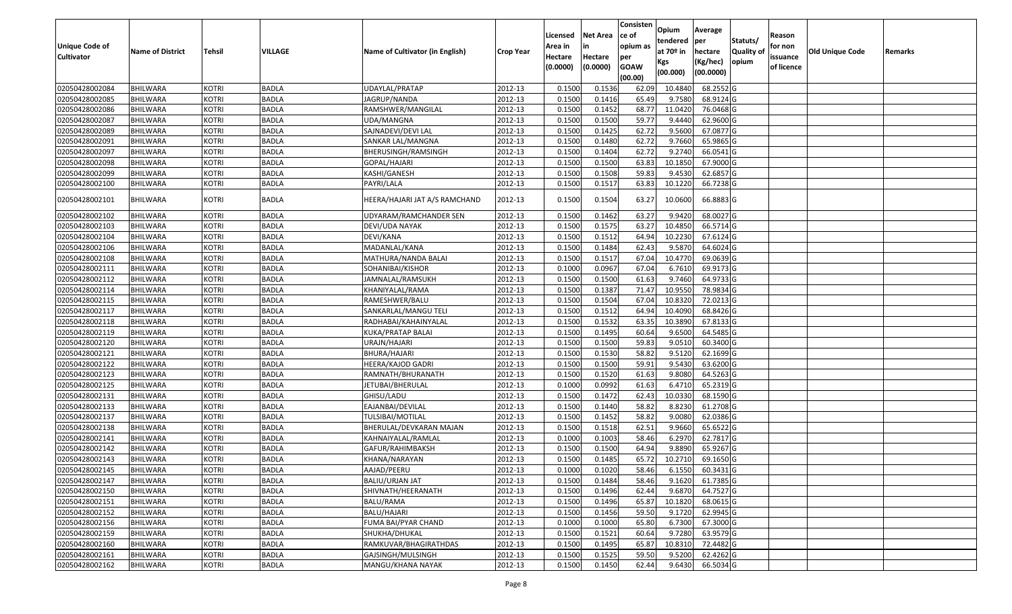|                   |                         |               |              |                                 |                  |          |                 | Consisten   | Opium       | Average     |                  |            |                 |         |
|-------------------|-------------------------|---------------|--------------|---------------------------------|------------------|----------|-----------------|-------------|-------------|-------------|------------------|------------|-----------------|---------|
|                   |                         |               |              |                                 |                  | Licensed | <b>Net Area</b> | ce of       | tendered    | per         | Statuts/         | Reason     |                 |         |
| Unique Code of    | <b>Name of District</b> | <b>Tehsil</b> | VILLAGE      | Name of Cultivator (in English) | <b>Crop Year</b> | Area in  |                 | opium as    | at $70°$ in | hectare     | <b>Quality o</b> | for non    | Old Unique Code | Remarks |
| <b>Cultivator</b> |                         |               |              |                                 |                  | Hectare  | Hectare         | per         | Kgs         | (Kg/hec)    | opium            | issuance   |                 |         |
|                   |                         |               |              |                                 |                  | (0.0000) | (0.0000)        | <b>GOAW</b> | (00.000)    | (00.0000)   |                  | of licence |                 |         |
|                   |                         |               |              |                                 |                  |          |                 | (00.00)     |             |             |                  |            |                 |         |
| 02050428002084    | <b>BHILWARA</b>         | <b>KOTRI</b>  | <b>BADLA</b> | UDAYLAL/PRATAP                  | 2012-13          | 0.1500   | 0.1536          | 62.09       | 10.4840     | 68.2552 G   |                  |            |                 |         |
| 02050428002085    | <b>BHILWARA</b>         | <b>KOTRI</b>  | <b>BADLA</b> | JAGRUP/NANDA                    | 2012-13          | 0.1500   | 0.1416          | 65.49       | 9.7580      | 68.9124 G   |                  |            |                 |         |
| 02050428002086    | BHILWARA                | <b>KOTRI</b>  | <b>BADLA</b> | RAMSHWER/MANGILAL               | 2012-13          | 0.1500   | 0.1452          | 68.77       | 11.0420     | 76.0468 G   |                  |            |                 |         |
| 02050428002087    | <b>BHILWARA</b>         | <b>KOTRI</b>  | <b>BADLA</b> | UDA/MANGNA                      | 2012-13          | 0.1500   | 0.1500          | 59.77       | 9.4440      | 62.9600 G   |                  |            |                 |         |
| 02050428002089    | BHILWARA                | <b>KOTRI</b>  | <b>BADLA</b> | SAJNADEVI/DEVI LAL              | 2012-13          | 0.1500   | 0.1425          | 62.72       | 9.5600      | 67.0877 G   |                  |            |                 |         |
| 02050428002091    | <b>BHILWARA</b>         | <b>KOTRI</b>  | <b>BADLA</b> | SANKAR LAL/MANGNA               | 2012-13          | 0.1500   | 0.1480          | 62.72       | 9.7660      | 65.9865 G   |                  |            |                 |         |
| 02050428002097    | BHILWARA                | <b>KOTRI</b>  | <b>BADLA</b> | BHERUSINGH/RAMSINGH             | 2012-13          | 0.1500   | 0.1404          | 62.72       | 9.2740      | 66.0541 G   |                  |            |                 |         |
| 02050428002098    | <b>BHILWARA</b>         | <b>KOTRI</b>  | <b>BADLA</b> | GOPAL/HAJARI                    | 2012-13          | 0.1500   | 0.1500          | 63.83       | 10.1850     | 67.9000 G   |                  |            |                 |         |
| 02050428002099    | BHILWARA                | <b>KOTRI</b>  | <b>BADLA</b> | KASHI/GANESH                    | 2012-13          | 0.1500   | 0.1508          | 59.83       | 9.4530      | 62.6857 G   |                  |            |                 |         |
| 02050428002100    | BHILWARA                | <b>KOTRI</b>  | <b>BADLA</b> | PAYRI/LALA                      | 2012-13          | 0.1500   | 0.1517          | 63.83       | 10.1220     | 66.7238 G   |                  |            |                 |         |
| 02050428002101    | BHILWARA                | <b>KOTRI</b>  | <b>BADLA</b> | HEERA/HAJARI JAT A/S RAMCHAND   | 2012-13          | 0.1500   | 0.1504          | 63.27       | 10.0600     | 66.8883 G   |                  |            |                 |         |
| 02050428002102    | <b>BHILWARA</b>         | <b>KOTRI</b>  | <b>BADLA</b> | UDYARAM/RAMCHANDER SEN          | 2012-13          | 0.1500   | 0.1462          | 63.27       | 9.9420      | 68.0027 G   |                  |            |                 |         |
| 02050428002103    | <b>BHILWARA</b>         | <b>KOTRI</b>  | <b>BADLA</b> | DEVI/UDA NAYAK                  | 2012-13          | 0.1500   | 0.1575          | 63.27       | 10.4850     | 66.5714 G   |                  |            |                 |         |
| 02050428002104    | BHILWARA                | <b>KOTRI</b>  | <b>BADLA</b> | DEVI/KANA                       | 2012-13          | 0.1500   | 0.1512          | 64.94       | 10.2230     | 67.6124 G   |                  |            |                 |         |
| 02050428002106    | BHILWARA                | <b>KOTRI</b>  | <b>BADLA</b> | MADANLAL/KANA                   | 2012-13          | 0.1500   | 0.1484          | 62.43       | 9.5870      | 64.6024 G   |                  |            |                 |         |
| 02050428002108    | <b>BHILWARA</b>         | <b>KOTRI</b>  | <b>BADLA</b> | MATHURA/NANDA BALAI             | 2012-13          | 0.1500   | 0.1517          | 67.04       | 10.4770     | 69.0639 G   |                  |            |                 |         |
| 02050428002111    | BHILWARA                | <b>KOTRI</b>  | <b>BADLA</b> | SOHANIBAI/KISHOR                | 2012-13          | 0.1000   | 0.0967          | 67.04       | 6.7610      | 69.9173 G   |                  |            |                 |         |
| 02050428002112    | <b>BHILWARA</b>         | <b>KOTRI</b>  | <b>BADLA</b> | JAMNALAL/RAMSUKH                | 2012-13          | 0.1500   | 0.1500          | 61.63       | 9.7460      | 64.9733 G   |                  |            |                 |         |
| 02050428002114    | BHILWARA                | <b>KOTRI</b>  | <b>BADLA</b> | KHANIYALAL/RAMA                 | 2012-13          | 0.1500   | 0.1387          | 71.47       | 10.955      | 78.9834 G   |                  |            |                 |         |
| 02050428002115    | <b>BHILWARA</b>         | <b>KOTRI</b>  | <b>BADLA</b> | RAMESHWER/BALU                  | 2012-13          | 0.1500   | 0.1504          | 67.04       | 10.8320     | 72.0213 G   |                  |            |                 |         |
| 02050428002117    | BHILWARA                | <b>KOTRI</b>  | <b>BADLA</b> | SANKARLAL/MANGU TELI            | 2012-13          | 0.1500   | 0.1512          | 64.94       | 10.4090     | 68.8426 G   |                  |            |                 |         |
| 02050428002118    | BHILWARA                | <b>KOTRI</b>  | <b>BADLA</b> | RADHABAI/KAHAINYALAL            | 2012-13          | 0.1500   | 0.1532          | 63.35       | 10.3890     | 67.8133 G   |                  |            |                 |         |
| 02050428002119    | BHILWARA                | <b>KOTRI</b>  | <b>BADLA</b> | KUKA/PRATAP BALAI               | 2012-13          | 0.1500   | 0.1495          | 60.64       | 9.6500      | 64.5485 G   |                  |            |                 |         |
| 02050428002120    | <b>BHILWARA</b>         | <b>KOTRI</b>  | <b>BADLA</b> | URAJN/HAJARI                    | 2012-13          | 0.1500   | 0.1500          | 59.83       | 9.0510      | 60.3400 G   |                  |            |                 |         |
| 02050428002121    | BHILWARA                | <b>KOTRI</b>  | <b>BADLA</b> | BHURA/HAJARI                    | 2012-13          | 0.1500   | 0.1530          | 58.82       | 9.5120      | 62.1699 G   |                  |            |                 |         |
| 02050428002122    | <b>BHILWARA</b>         | <b>KOTRI</b>  | <b>BADLA</b> | HEERA/KAJOD GADRI               | 2012-13          | 0.1500   | 0.1500          | 59.91       | 9.5430      | 63.6200 G   |                  |            |                 |         |
| 02050428002123    | BHILWARA                | <b>KOTRI</b>  | <b>BADLA</b> | RAMNATH/BHURANATH               | 2012-13          | 0.1500   | 0.1520          | 61.63       | 9.8080      | 64.5263 G   |                  |            |                 |         |
| 02050428002125    | <b>BHILWARA</b>         | <b>KOTRI</b>  | <b>BADLA</b> | IETUBAI/BHERULAL                | 2012-13          | 0.1000   | 0.0992          | 61.63       | 6.4710      | 65.2319 G   |                  |            |                 |         |
| 02050428002131    | BHILWARA                | <b>KOTRI</b>  | <b>BADLA</b> | GHISU/LADU                      | 2012-13          | 0.1500   | 0.1472          | 62.43       | 10.033      | 68.1590 G   |                  |            |                 |         |
| 02050428002133    | <b>BHILWARA</b>         | <b>KOTRI</b>  | <b>BADLA</b> | EAJANBAI/DEVILAL                | 2012-13          | 0.1500   | 0.1440          | 58.82       | 8.8230      | 61.2708 G   |                  |            |                 |         |
| 02050428002137    | BHILWARA                | <b>KOTRI</b>  | <b>BADLA</b> | TULSIBAI/MOTILAL                | 2012-13          | 0.1500   | 0.1452          | 58.82       | 9.008       | 62.0386 G   |                  |            |                 |         |
| 02050428002138    | <b>BHILWARA</b>         | <b>KOTRI</b>  | <b>BADLA</b> | BHERULAL/DEVKARAN MAJAN         | 2012-13          | 0.1500   | 0.1518          | 62.51       | 9.9660      | 65.6522 G   |                  |            |                 |         |
| 02050428002141    | BHILWARA                | <b>KOTRI</b>  | <b>BADLA</b> | KAHNAIYALAL/RAMLAL              | 2012-13          | 0.1000   | 0.1003          | 58.46       | 6.2970      | 62.7817 G   |                  |            |                 |         |
| 02050428002142    | BHILWARA                | <b>KOTRI</b>  | <b>BADLA</b> | GAFUR/RAHIMBAKSH                | 2012-13          | 0.150    | 0.1500          | 64.94       | 9.8890      | 65.9267 G   |                  |            |                 |         |
| 02050428002143    | BHILWARA                | <b>KOTRI</b>  | <b>BADLA</b> | KHANA/NARAYAN                   | 2012-13          | 0.1500   | 0.1485          | 65.72       | 10.2710     | 69.1650 G   |                  |            |                 |         |
| 02050428002145    | <b>BHILWARA</b>         | <b>KOTRI</b>  | <b>BADLA</b> | AAJAD/PEERU                     | 2012-13          | 0.1000   | 0.1020          | 58.46       | 6.1550      | 60.3431 G   |                  |            |                 |         |
| 02050428002147    | <b>BHILWARA</b>         | <b>KOTRI</b>  | <b>BADLA</b> | BALIU/URJAN JAT                 | 2012-13          | 0.1500   | 0.1484          | 58.46       | 9.1620      | 61.7385 G   |                  |            |                 |         |
| 02050428002150    | <b>BHILWARA</b>         | <b>KOTRI</b>  | <b>BADLA</b> | SHIVNATH/HEERANATH              | 2012-13          | 0.1500   | 0.1496          | 62.44       | 9.6870      | 64.7527 G   |                  |            |                 |         |
| 02050428002151    | <b>BHILWARA</b>         | <b>KOTRI</b>  | <b>BADLA</b> | BALU/RAMA                       | 2012-13          | 0.1500   | 0.1496          | 65.87       | 10.1820     | 68.0615 G   |                  |            |                 |         |
| 02050428002152    | <b>BHILWARA</b>         | <b>KOTRI</b>  | <b>BADLA</b> | BALU/HAJARI                     | 2012-13          | 0.1500   | 0.1456          | 59.50       | 9.1720      | 62.9945 G   |                  |            |                 |         |
| 02050428002156    | <b>BHILWARA</b>         | <b>KOTRI</b>  | <b>BADLA</b> | FUMA BAI/PYAR CHAND             | 2012-13          | 0.1000   | 0.1000          | 65.80       | 6.7300      | 67.3000 G   |                  |            |                 |         |
| 02050428002159    | <b>BHILWARA</b>         | <b>KOTRI</b>  | <b>BADLA</b> | SHUKHA/DHUKAL                   | 2012-13          | 0.1500   | 0.1521          | 60.64       | 9.7280      | 63.9579 G   |                  |            |                 |         |
| 02050428002160    | <b>BHILWARA</b>         | <b>KOTRI</b>  | <b>BADLA</b> | RAMKUVAR/BHAGIRATHDAS           | 2012-13          | 0.1500   | 0.1495          | 65.87       | 10.8310     | 72.4482 G   |                  |            |                 |         |
| 02050428002161    | <b>BHILWARA</b>         | <b>KOTRI</b>  | <b>BADLA</b> | GAJSINGH/MULSINGH               | 2012-13          | 0.1500   | 0.1525          | 59.50       | 9.5200      | 62.4262 G   |                  |            |                 |         |
| 02050428002162    | <b>BHILWARA</b>         | <b>KOTRI</b>  | <b>BADLA</b> | MANGU/KHANA NAYAK               | 2012-13          | 0.1500   | 0.1450          | 62.44       | 9.6430      | $66.5034$ G |                  |            |                 |         |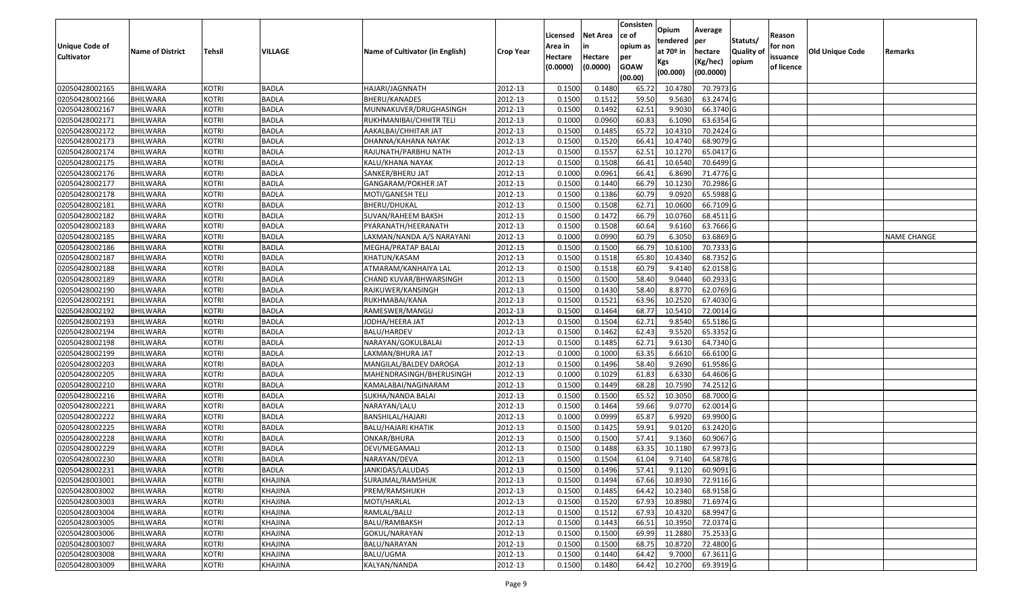|                                  |                                    |                              |                              |                                                   |                    |                  |                  | Consisten      | Opium            | Average                |                  |            |                 |                    |
|----------------------------------|------------------------------------|------------------------------|------------------------------|---------------------------------------------------|--------------------|------------------|------------------|----------------|------------------|------------------------|------------------|------------|-----------------|--------------------|
|                                  |                                    |                              |                              |                                                   |                    | Licensed         | <b>Net Area</b>  | ce of          | tendered         | per                    | Statuts/         | Reason     |                 |                    |
| Unique Code of                   | <b>Name of District</b>            | <b>Tehsil</b>                | VILLAGE                      | Name of Cultivator (in English)                   | <b>Crop Year</b>   | Area in          |                  | opium as       | at $70°$ in      | hectare                | <b>Quality o</b> | for non    | Old Unique Code | Remarks            |
| <b>Cultivator</b>                |                                    |                              |                              |                                                   |                    | Hectare          | Hectare          | per            | Kgs              | (Kg/hec)               | opium            | issuance   |                 |                    |
|                                  |                                    |                              |                              |                                                   |                    | (0.0000)         | (0.0000)         | <b>GOAW</b>    | (00.000)         | (00.0000)              |                  | of licence |                 |                    |
|                                  |                                    |                              |                              |                                                   |                    |                  |                  | (00.00)        |                  |                        |                  |            |                 |                    |
| 02050428002165                   | <b>BHILWARA</b>                    | <b>KOTRI</b>                 | <b>BADLA</b>                 | HAJARI/JAGNNATH                                   | 2012-13            | 0.1500           | 0.1480           | 65.72          | 10.478           | 70.7973 G              |                  |            |                 |                    |
| 02050428002166                   | <b>BHILWARA</b><br><b>BHILWARA</b> | <b>KOTRI</b><br><b>KOTRI</b> | <b>BADLA</b><br><b>BADLA</b> | BHERU/KANADES                                     | 2012-13<br>2012-13 | 0.1500<br>0.1500 | 0.1512<br>0.1492 | 59.50<br>62.51 | 9.5630<br>9.9030 | 63.2474 G<br>66.3740 G |                  |            |                 |                    |
| 02050428002167<br>02050428002171 | <b>BHILWARA</b>                    | <b>KOTRI</b>                 | <b>BADLA</b>                 | MUNNAKUVER/DRUGHASINGH<br>RUKHMANIBAI/CHHITR TELI | 2012-13            | 0.1000           | 0.0960           | 60.83          | 6.1090           | 63.6354 G              |                  |            |                 |                    |
| 02050428002172                   | BHILWARA                           | <b>KOTRI</b>                 | <b>BADLA</b>                 | AAKALBAI/CHHITAR JAT                              | 2012-13            | 0.1500           | 0.1485           | 65.72          | 10.431           | 70.2424 G              |                  |            |                 |                    |
| 02050428002173                   | <b>BHILWARA</b>                    | <b>KOTRI</b>                 | <b>BADLA</b>                 | DHANNA/KAHANA NAYAK                               | 2012-13            | 0.1500           | 0.1520           | 66.41          | 10.4740          | 68.9079 G              |                  |            |                 |                    |
| 02050428002174                   | BHILWARA                           | <b>KOTRI</b>                 | <b>BADLA</b>                 | RAJUNATH/PARBHU NATH                              | 2012-13            | 0.1500           | 0.1557           | 62.51          | 10.1270          | 65.0417 G              |                  |            |                 |                    |
| 02050428002175                   | <b>BHILWARA</b>                    | <b>KOTRI</b>                 | <b>BADLA</b>                 | KALU/KHANA NAYAK                                  | 2012-13            | 0.1500           | 0.1508           | 66.41          | 10.6540          | 70.6499 G              |                  |            |                 |                    |
| 02050428002176                   | <b>BHILWARA</b>                    | <b>KOTRI</b>                 | <b>BADLA</b>                 | SANKER/BHERU JAT                                  | 2012-13            | 0.1000           | 0.0961           | 66.41          | 6.8690           | 71.4776 G              |                  |            |                 |                    |
| 02050428002177                   | <b>BHILWARA</b>                    | <b>KOTRI</b>                 | <b>BADLA</b>                 | GANGARAM/POKHER JAT                               | 2012-13            | 0.1500           | 0.1440           | 66.79          | 10.1230          | 70.2986 G              |                  |            |                 |                    |
| 02050428002178                   | BHILWARA                           | <b>KOTRI</b>                 | <b>BADLA</b>                 | MOTI/GANESH TELI                                  | 2012-13            | 0.1500           | 0.1386           | 60.79          | 9.0920           | 65.5988 G              |                  |            |                 |                    |
| 02050428002181                   | <b>BHILWARA</b>                    | <b>KOTRI</b>                 | <b>BADLA</b>                 | BHERU/DHUKAL                                      | 2012-13            | 0.1500           | 0.1508           | 62.72          | 10.0600          | 66.7109 G              |                  |            |                 |                    |
| 02050428002182                   | BHILWARA                           | <b>KOTRI</b>                 | <b>BADLA</b>                 | SUVAN/RAHEEM BAKSH                                | 2012-13            | 0.1500           | 0.1472           | 66.79          | 10.0760          | 68.4511G               |                  |            |                 |                    |
| 02050428002183                   | <b>BHILWARA</b>                    | <b>KOTRI</b>                 | <b>BADLA</b>                 | PYARANATH/HEERANATH                               | 2012-13            | 0.1500           | 0.1508           | 60.64          | 9.6160           | 63.7666 G              |                  |            |                 |                    |
| 02050428002185                   | BHILWARA                           | <b>KOTRI</b>                 | <b>BADLA</b>                 | LAXMAN/NANDA A/S NARAYANI                         | 2012-13            | 0.1000           | 0.0990           | 60.79          | 6.3050           | 63.6869 G              |                  |            |                 | <b>NAME CHANGE</b> |
| 02050428002186                   | <b>BHILWARA</b>                    | <b>KOTRI</b>                 | <b>BADLA</b>                 | MEGHA/PRATAP BALAI                                | 2012-13            | 0.1500           | 0.1500           | 66.79          | 10.6100          | 70.7333 G              |                  |            |                 |                    |
| 02050428002187                   | <b>BHILWARA</b>                    | <b>KOTRI</b>                 | <b>BADLA</b>                 | KHATUN/KASAM                                      | 2012-13            | 0.1500           | 0.1518           | 65.80          | 10.4340          | 68.7352 G              |                  |            |                 |                    |
| 02050428002188                   | <b>BHILWARA</b>                    | <b>KOTRI</b>                 | <b>BADLA</b>                 | ATMARAM/KANHAIYA LAL                              | 2012-13            | 0.1500           | 0.1518           | 60.79          | 9.4140           | 62.0158 G              |                  |            |                 |                    |
| 02050428002189                   | <b>BHILWARA</b>                    | <b>KOTRI</b>                 | <b>BADLA</b>                 | CHAND KUVAR/BHWARSINGH                            | 2012-13            | 0.1500           | 0.1500           | 58.40          | 9.0440           | 60.2933 G              |                  |            |                 |                    |
| 02050428002190                   | BHILWARA                           | <b>KOTRI</b>                 | <b>BADLA</b>                 | RAJKUWER/KANSINGH                                 | 2012-13            | 0.1500           | 0.1430           | 58.40          | 8.8770           | 62.0769 G              |                  |            |                 |                    |
| 02050428002191                   | <b>BHILWARA</b>                    | <b>KOTRI</b>                 | <b>BADLA</b>                 | RUKHMABAI/KANA                                    | 2012-13            | 0.1500           | 0.1521           | 63.96          | 10.2520          | 67.4030 G              |                  |            |                 |                    |
| 02050428002192                   | <b>BHILWARA</b>                    | <b>KOTRI</b>                 | <b>BADLA</b>                 | RAMESWER/MANGU                                    | 2012-13            | 0.150            | 0.1464           | 68.77          | 10.541           | 72.0014 G              |                  |            |                 |                    |
| 02050428002193                   | <b>BHILWARA</b>                    | <b>KOTRI</b>                 | <b>BADLA</b>                 | JODHA/HEERA JAT                                   | 2012-13            | 0.1500           | 0.1504           | 62.71          | 9.8540           | 65.5186 G              |                  |            |                 |                    |
| 02050428002194                   | <b>BHILWARA</b>                    | <b>KOTRI</b>                 | <b>BADLA</b>                 | BALU/HARDEV                                       | 2012-13            | 0.150            | 0.1462           | 62.43          | 9.5520           | 65.3352 G              |                  |            |                 |                    |
| 02050428002198                   | <b>BHILWARA</b>                    | <b>KOTRI</b>                 | <b>BADLA</b>                 | NARAYAN/GOKULBALAI                                | 2012-13            | 0.1500           | 0.1485           | 62.71          | 9.6130           | 64.7340 G              |                  |            |                 |                    |
| 02050428002199                   | BHILWARA                           | <b>KOTRI</b>                 | <b>BADLA</b>                 | LAXMAN/BHURA JAT                                  | 2012-13            | 0.1000           | 0.1000           | 63.35          | 6.6610           | 66.6100 G              |                  |            |                 |                    |
| 02050428002203                   | <b>BHILWARA</b>                    | <b>KOTRI</b>                 | <b>BADLA</b>                 | MANGILAL/BALDEV DAROGA                            | 2012-13            | 0.1500           | 0.1496           | 58.40          | 9.2690           | 61.9586 G              |                  |            |                 |                    |
| 02050428002205                   | <b>BHILWARA</b>                    | <b>KOTRI</b>                 | <b>BADLA</b>                 | MAHENDRASINGH/BHERUSINGH                          | 2012-13            | 0.1000           | 0.1029           | 61.83          | 6.6330           | 64.4606 G              |                  |            |                 |                    |
| 02050428002210                   | <b>BHILWARA</b>                    | <b>KOTRI</b>                 | <b>BADLA</b>                 | KAMALABAI/NAGINARAM                               | 2012-13            | 0.1500           | 0.1449           | 68.28          | 10.7590          | 74.2512 G              |                  |            |                 |                    |
| 02050428002216                   | <b>BHILWARA</b>                    | <b>KOTRI</b>                 | <b>BADLA</b>                 | SUKHA/NANDA BALAI                                 | 2012-13            | 0.1500           | 0.1500           | 65.52          | 10.3050          | 68.7000 G              |                  |            |                 |                    |
| 02050428002221                   | <b>BHILWARA</b>                    | <b>KOTRI</b>                 | <b>BADLA</b>                 | NARAYAN/LALU                                      | 2012-13            | 0.1500           | 0.1464           | 59.66          | 9.0770           | 62.0014 G              |                  |            |                 |                    |
| 02050428002222                   | BHILWARA                           | <b>KOTRI</b>                 | <b>BADLA</b>                 | BANSHILAL/HAJARI                                  | 2012-13            | 0.1000           | 0.0999           | 65.87          | 6.9920           | 69.9900 G              |                  |            |                 |                    |
| 02050428002225                   | <b>BHILWARA</b>                    | <b>KOTRI</b>                 | <b>BADLA</b>                 | BALU/HAJARI KHATIK                                | 2012-13            | 0.1500           | 0.1425           | 59.91          | 9.0120           | 63.2420 G              |                  |            |                 |                    |
| 02050428002228                   | BHILWARA                           | <b>KOTRI</b>                 | <b>BADLA</b>                 | ONKAR/BHURA                                       | 2012-13            | 0.1500           | 0.1500           | 57.41          | 9.1360           | 60.9067G               |                  |            |                 |                    |
| 02050428002229                   | BHILWARA                           | <b>KOTRI</b>                 | <b>BADLA</b>                 | DEVI/MEGAMALI                                     | 2012-13            | 0.150            | 0.1488           | 63.35          | 10.1180          | 67.9973 G              |                  |            |                 |                    |
| 02050428002230                   | BHILWARA                           | <b>KOTRI</b>                 | <b>BADLA</b>                 | NARAYAN/DEVA                                      | 2012-13            | 0.1500           | 0.1504           | 61.04          | 9.7140           | 64.5878 G              |                  |            |                 |                    |
| 02050428002231                   | <b>BHILWARA</b>                    | <b>KOTRI</b>                 | <b>BADLA</b>                 | JANKIDAS/LALUDAS                                  | 2012-13            | 0.1500           | 0.1496           | 57.41          | 9.1120           | 60.9091 G              |                  |            |                 |                    |
| 02050428003001                   | <b>BHILWARA</b>                    | <b>KOTRI</b>                 | <b>KHAJINA</b>               | SURAJMAL/RAMSHUK                                  | 2012-13            | 0.1500           | 0.1494           | 67.66          | 10.8930          | 72.9116 G              |                  |            |                 |                    |
| 02050428003002                   | <b>BHILWARA</b>                    | <b>KOTRI</b>                 | KHAJINA                      | PREM/RAMSHUKH                                     | 2012-13            | 0.1500           | 0.1485           | 64.42          | 10.2340          | 68.9158 G              |                  |            |                 |                    |
| 02050428003003                   | <b>BHILWARA</b>                    | <b>KOTRI</b>                 | KHAJINA                      | MOTI/HARLAL                                       | 2012-13            | 0.1500           | 0.1520           | 67.93          | 10.8980          | 71.6974 G              |                  |            |                 |                    |
| 02050428003004                   | <b>BHILWARA</b>                    | <b>KOTRI</b>                 | KHAJINA                      | RAMLAL/BALU                                       | 2012-13            | 0.1500           | 0.1512           | 67.93          | 10.4320          | 68.9947 G              |                  |            |                 |                    |
| 02050428003005                   | <b>BHILWARA</b>                    | <b>KOTRI</b>                 | KHAJINA                      | BALU/RAMBAKSH                                     | 2012-13            | 0.1500           | 0.1443           | 66.51          | 10.3950          | 72.0374 G              |                  |            |                 |                    |
| 02050428003006                   | <b>BHILWARA</b>                    | <b>KOTRI</b>                 | KHAJINA                      | GOKUL/NARAYAN                                     | 2012-13            | 0.1500           | 0.1500           | 69.99          | 11.2880          | 75.2533 G              |                  |            |                 |                    |
| 02050428003007                   | <b>BHILWARA</b>                    | <b>KOTRI</b>                 | KHAJINA                      | BALU/NARAYAN                                      | 2012-13            | 0.1500           | 0.1500           | 68.75          | 10.8720          | 72.4800 G              |                  |            |                 |                    |
| 02050428003008                   | <b>BHILWARA</b>                    | <b>KOTRI</b>                 | KHAJINA                      | BALU/UGMA                                         | 2012-13            | 0.1500           | 0.1440           | 64.42          | 9.7000           | 67.3611 G              |                  |            |                 |                    |
| 02050428003009                   | <b>BHILWARA</b>                    | <b>KOTRI</b>                 | <b>KHAJINA</b>               | KALYAN/NANDA                                      | 2012-13            | 0.1500           | 0.1480           | 64.42          | 10.2700          | 69.3919 G              |                  |            |                 |                    |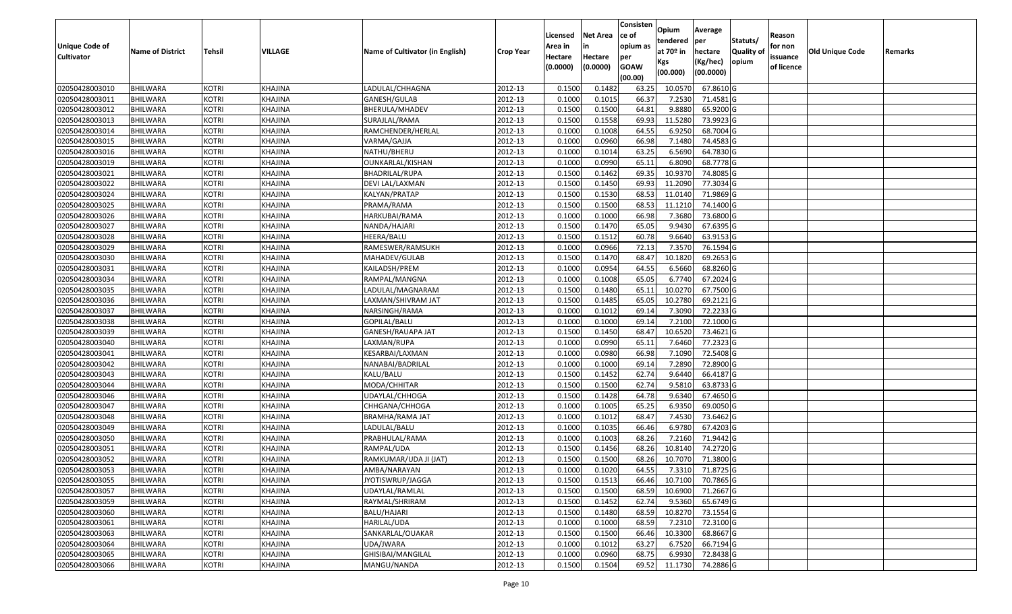| Unique Code of<br>Cultivator | <b>Name of District</b> | Tehsil       | <b>VILLAGE</b> | Name of Cultivator (in English) | <b>Crop Year</b> | Licensed<br>Area in<br>Hectare<br>(0.0000) | Net Area<br>Hectare<br>(0.0000) | Consisten<br>ce of<br>opium as<br>per<br><b>GOAW</b><br>(00.00) | Opium<br>tendered<br>at 70 <sup>o</sup> in<br>Kgs<br>(00.000) | Average<br>per<br>hectare<br>(Kg/hec)<br>(00.0000) | Statuts/<br>Quality of<br>opium | Reason<br>for non<br>issuance<br>of licence | Old Unique Code | Remarks |
|------------------------------|-------------------------|--------------|----------------|---------------------------------|------------------|--------------------------------------------|---------------------------------|-----------------------------------------------------------------|---------------------------------------------------------------|----------------------------------------------------|---------------------------------|---------------------------------------------|-----------------|---------|
| 02050428003010               | <b>BHILWARA</b>         | <b>KOTRI</b> | <b>KHAJINA</b> | LADULAL/CHHAGNA                 | 2012-13          | 0.1500                                     | 0.1482                          | 63.25                                                           | 10.0570                                                       | 67.8610 G                                          |                                 |                                             |                 |         |
| 02050428003011               | <b>BHILWARA</b>         | <b>KOTRI</b> | <b>KHAJINA</b> | GANESH/GULAB                    | 2012-13          | 0.1000                                     | 0.1015                          | 66.37                                                           | 7.2530                                                        | 71.4581 G                                          |                                 |                                             |                 |         |
| 02050428003012               | <b>BHILWARA</b>         | <b>KOTRI</b> | <b>KHAJINA</b> | <b>BHERULA/MHADEV</b>           | 2012-13          | 0.1500                                     | 0.1500                          | 64.81                                                           | 9.8880                                                        | 65.9200 G                                          |                                 |                                             |                 |         |
| 02050428003013               | <b>BHILWARA</b>         | <b>KOTRI</b> | <b>KHAJINA</b> | SURAJLAL/RAMA                   | 2012-13          | 0.1500                                     | 0.1558                          | 69.93                                                           | 11.5280                                                       | 73.9923 G                                          |                                 |                                             |                 |         |
| 02050428003014               | <b>BHILWARA</b>         | <b>KOTRI</b> | <b>KHAJINA</b> | RAMCHENDER/HERLAL               | 2012-13          | 0.1000                                     | 0.1008                          | 64.55                                                           | 6.9250                                                        | 68.7004 G                                          |                                 |                                             |                 |         |
| 02050428003015               | <b>BHILWARA</b>         | <b>KOTRI</b> | <b>KHAJINA</b> | VARMA/GAJJA                     | 2012-13          | 0.1000                                     | 0.0960                          | 66.98                                                           | 7.1480                                                        | 74.4583 G                                          |                                 |                                             |                 |         |
| 02050428003016               | <b>BHILWARA</b>         | <b>KOTRI</b> | <b>KHAJINA</b> | NATHU/BHERU                     | 2012-13          | 0.1000                                     | 0.1014                          | 63.25                                                           | 6.5690                                                        | 64.7830 G                                          |                                 |                                             |                 |         |
| 02050428003019               | <b>BHILWARA</b>         | <b>KOTRI</b> | <b>KHAJINA</b> | OUNKARLAL/KISHAN                | 2012-13          | 0.1000                                     | 0.0990                          | 65.11                                                           | 6.8090                                                        | 68.7778 G                                          |                                 |                                             |                 |         |
| 02050428003021               | <b>BHILWARA</b>         | <b>KOTRI</b> | <b>KHAJINA</b> | <b>BHADRILAL/RUPA</b>           | 2012-13          | 0.1500                                     | 0.1462                          | 69.35                                                           | 10.9370                                                       | 74.8085 G                                          |                                 |                                             |                 |         |
| 02050428003022               | <b>BHILWARA</b>         | <b>KOTRI</b> | <b>KHAJINA</b> | DEVI LAL/LAXMAN                 | 2012-13          | 0.1500                                     | 0.1450                          | 69.93                                                           | 11.2090                                                       | 77.3034 G                                          |                                 |                                             |                 |         |
| 02050428003024               | <b>BHILWARA</b>         | <b>KOTRI</b> | <b>KHAJINA</b> | KALYAN/PRATAP                   | 2012-13          | 0.1500                                     | 0.1530                          | 68.53                                                           | 11.0140                                                       | 71.9869 G                                          |                                 |                                             |                 |         |
| 02050428003025               | <b>BHILWARA</b>         | <b>KOTRI</b> | <b>KHAJINA</b> | PRAMA/RAMA                      | 2012-13          | 0.1500                                     | 0.1500                          | 68.53                                                           | 11.1210                                                       | 74.1400 G                                          |                                 |                                             |                 |         |
| 02050428003026               | <b>BHILWARA</b>         | <b>KOTRI</b> | <b>KHAJINA</b> | HARKUBAI/RAMA                   | 2012-13          | 0.1000                                     | 0.1000                          | 66.98                                                           | 7.3680                                                        | 73.6800 G                                          |                                 |                                             |                 |         |
| 02050428003027               | <b>BHILWARA</b>         | <b>KOTRI</b> | <b>KHAJINA</b> | NANDA/HAJARI                    | 2012-13          | 0.1500                                     | 0.1470                          | 65.05                                                           | 9.9430                                                        | 67.6395 G                                          |                                 |                                             |                 |         |
| 02050428003028               | <b>BHILWARA</b>         | <b>KOTRI</b> | <b>KHAJINA</b> | HEERA/BALU                      | 2012-13          | 0.1500                                     | 0.1512                          | 60.78                                                           | 9.6640                                                        | 63.9153 G                                          |                                 |                                             |                 |         |
| 02050428003029               | <b>BHILWARA</b>         | <b>KOTRI</b> | <b>KHAJINA</b> | RAMESWER/RAMSUKH                | 2012-13          | 0.1000                                     | 0.0966                          | 72.13                                                           | 7.3570                                                        | 76.1594 G                                          |                                 |                                             |                 |         |
| 02050428003030               | <b>BHILWARA</b>         | <b>KOTRI</b> | <b>KHAJINA</b> | MAHADEV/GULAB                   | 2012-13          | 0.1500                                     | 0.1470                          | 68.47                                                           | 10.1820                                                       | 69.2653 G                                          |                                 |                                             |                 |         |
| 02050428003031               | <b>BHILWARA</b>         | <b>KOTRI</b> | <b>KHAJINA</b> | KAILADSH/PREM                   | 2012-13          | 0.1000                                     | 0.0954                          | 64.55                                                           | 6.5660                                                        | 68.8260 G                                          |                                 |                                             |                 |         |
| 02050428003034               | <b>BHILWARA</b>         | <b>KOTRI</b> | <b>KHAJINA</b> | RAMPAL/MANGNA                   | 2012-13          | 0.1000                                     | 0.1008                          | 65.05                                                           | 6.7740                                                        | 67.2024 G                                          |                                 |                                             |                 |         |
| 02050428003035               | <b>BHILWARA</b>         | <b>KOTRI</b> | <b>KHAJINA</b> | LADULAL/MAGNARAM                | 2012-13          | 0.1500                                     | 0.1480                          | 65.11                                                           | 10.0270                                                       | 67.7500 G                                          |                                 |                                             |                 |         |
| 02050428003036               | <b>BHILWARA</b>         | <b>KOTRI</b> | <b>KHAJINA</b> | LAXMAN/SHIVRAM JAT              | 2012-13          | 0.1500                                     | 0.1485                          | 65.05                                                           | 10.2780                                                       | 69.2121 G                                          |                                 |                                             |                 |         |
| 02050428003037               | <b>BHILWARA</b>         | <b>KOTRI</b> | <b>KHAJINA</b> | NARSINGH/RAMA                   | 2012-13          | 0.1000                                     | 0.1012                          | 69.14                                                           | 7.3090                                                        | 72.2233 G                                          |                                 |                                             |                 |         |
| 02050428003038               | <b>BHILWARA</b>         | <b>KOTRI</b> | <b>KHAJINA</b> | GOPILAL/BALU                    | 2012-13          | 0.1000                                     | 0.1000                          | 69.14                                                           | 7.2100                                                        | 72.1000 G                                          |                                 |                                             |                 |         |
| 02050428003039               | <b>BHILWARA</b>         | <b>KOTRI</b> | <b>KHAJINA</b> | GANESH/RAUAPA JAT               | 2012-13          | 0.1500                                     | 0.1450                          | 68.4                                                            | 10.6520                                                       | 73.4621 G                                          |                                 |                                             |                 |         |
| 02050428003040               | <b>BHILWARA</b>         | <b>KOTRI</b> | <b>KHAJINA</b> | LAXMAN/RUPA                     | 2012-13          | 0.1000                                     | 0.0990                          | 65.11                                                           | 7.6460                                                        | 77.2323 G                                          |                                 |                                             |                 |         |
| 02050428003041               | <b>BHILWARA</b>         | <b>KOTRI</b> | <b>KHAJINA</b> | KESARBAI/LAXMAN                 | 2012-13          | 0.1000                                     | 0.0980                          | 66.98                                                           | 7.1090                                                        | 72.5408 G                                          |                                 |                                             |                 |         |
| 02050428003042               | <b>BHILWARA</b>         | <b>KOTRI</b> | <b>KHAJINA</b> | NANABAI/BADRILAL                | 2012-13          | 0.1000                                     | 0.1000                          | 69.14                                                           | 7.2890                                                        | 72.8900 G                                          |                                 |                                             |                 |         |
| 02050428003043               | <b>BHILWARA</b>         | <b>KOTRI</b> | <b>KHAJINA</b> | KALU/BALU                       | 2012-13          | 0.1500                                     | 0.1452                          | 62.74                                                           | 9.6440                                                        | 66.4187 G                                          |                                 |                                             |                 |         |
| 02050428003044               | <b>BHILWARA</b>         | <b>KOTRI</b> | <b>KHAJINA</b> | MODA/CHHITAR                    | 2012-13          | 0.1500                                     | 0.1500                          | 62.74                                                           | 9.5810                                                        | 63.8733 G                                          |                                 |                                             |                 |         |
| 02050428003046               | <b>BHILWARA</b>         | <b>KOTRI</b> | <b>KHAJINA</b> | UDAYLAL/CHHOGA                  | 2012-13          | 0.1500                                     | 0.1428                          | 64.78                                                           | 9.6340                                                        | 67.4650 G                                          |                                 |                                             |                 |         |
| 02050428003047               | <b>BHILWARA</b>         | <b>KOTRI</b> | <b>KHAJINA</b> | CHHGANA/CHHOGA                  | 2012-13          | 0.1000                                     | 0.1005                          | 65.25                                                           | 6.9350                                                        | 69.0050 G                                          |                                 |                                             |                 |         |
| 02050428003048               | <b>BHILWARA</b>         | <b>KOTRI</b> | <b>KHAJINA</b> | <b>BRAMHA/RAMA JAT</b>          | 2012-13          | 0.1000                                     | 0.1012                          | 68.47                                                           | 7.4530                                                        | 73.6462 G                                          |                                 |                                             |                 |         |
| 02050428003049               | <b>BHILWARA</b>         | <b>KOTRI</b> | <b>KHAJINA</b> | LADULAL/BALU                    | 2012-13          | 0.1000                                     | 0.1035                          | 66.46                                                           | 6.9780                                                        | 67.4203 G                                          |                                 |                                             |                 |         |
| 02050428003050               | <b>BHILWARA</b>         | <b>KOTRI</b> | <b>KHAJINA</b> | PRABHULAL/RAMA                  | 2012-13          | 0.1000                                     | 0.1003                          | 68.26                                                           | 7.2160                                                        | 71.9442 G                                          |                                 |                                             |                 |         |
| 02050428003051               | <b>BHILWARA</b>         | <b>KOTRI</b> | <b>KHAJINA</b> | RAMPAL/UDA                      | 2012-13          | 0.1500                                     | 0.1456                          | 68.26                                                           | 10.8140                                                       | 74.2720 G                                          |                                 |                                             |                 |         |
| 02050428003052               | <b>BHILWARA</b>         | <b>KOTRI</b> | <b>KHAJINA</b> | RAMKUMAR/UDA JI (JAT)           | 2012-13          | 0.1500                                     | 0.1500                          | 68.26                                                           | 10.7070                                                       | 71.3800 G                                          |                                 |                                             |                 |         |
| 02050428003053               | <b>BHILWARA</b>         | <b>KOTRI</b> | <b>KHAJINA</b> | AMBA/NARAYAN                    | $\sqrt{2012-13}$ | 0.1000                                     | 0.1020                          | 64.55                                                           | 7.3310                                                        | 71.8725 G                                          |                                 |                                             |                 |         |
| 02050428003055               | <b>BHILWARA</b>         | <b>KOTRI</b> | <b>KHAJINA</b> | JYOTISWRUP/JAGGA                | 2012-13          | 0.1500                                     | 0.1513                          | 66.46                                                           | 10.7100                                                       | 70.7865 G                                          |                                 |                                             |                 |         |
| 02050428003057               | <b>BHILWARA</b>         | <b>KOTRI</b> | KHAJINA        | UDAYLAL/RAMLAL                  | 2012-13          | 0.1500                                     | 0.1500                          | 68.59                                                           | 10.6900                                                       | 71.2667 G                                          |                                 |                                             |                 |         |
| 02050428003059               | <b>BHILWARA</b>         | <b>KOTRI</b> | <b>KHAJINA</b> | RAYMAL/SHRIRAM                  | 2012-13          | 0.1500                                     | 0.1452                          | 62.74                                                           | 9.5360                                                        | 65.6749 G                                          |                                 |                                             |                 |         |
| 02050428003060               | <b>BHILWARA</b>         | <b>KOTRI</b> | <b>KHAJINA</b> | BALU/HAJARI                     | 2012-13          | 0.1500                                     | 0.1480                          | 68.59                                                           | 10.8270                                                       | 73.1554 G                                          |                                 |                                             |                 |         |
| 02050428003061               | <b>BHILWARA</b>         | <b>KOTRI</b> | <b>KHAJINA</b> | HARILAL/UDA                     | 2012-13          | 0.1000                                     | 0.1000                          | 68.59                                                           | 7.2310                                                        | 72.3100 G                                          |                                 |                                             |                 |         |
| 02050428003063               | <b>BHILWARA</b>         | <b>KOTRI</b> | KHAJINA        | SANKARLAL/OUAKAR                | 2012-13          | 0.1500                                     | 0.1500                          | 66.46                                                           | 10.3300                                                       | 68.8667 G                                          |                                 |                                             |                 |         |
| 02050428003064               | <b>BHILWARA</b>         | <b>KOTRI</b> | KHAJINA        | UDA/JWARA                       | 2012-13          | 0.1000                                     | 0.1012                          | 63.27                                                           | 6.7520                                                        | 66.7194 G                                          |                                 |                                             |                 |         |
| 02050428003065               | <b>BHILWARA</b>         | <b>KOTRI</b> | <b>KHAJINA</b> | GHISIBAI/MANGILAL               | 2012-13          | 0.1000                                     | 0.0960                          | 68.75                                                           | 6.9930                                                        | 72.8438 G                                          |                                 |                                             |                 |         |
| 02050428003066               | BHILWARA                | <b>KOTRI</b> | <b>KHAJINA</b> | MANGU/NANDA                     | 2012-13          | 0.1500                                     | 0.1504                          | 69.52                                                           | 11.1730                                                       | 74.2886 G                                          |                                 |                                             |                 |         |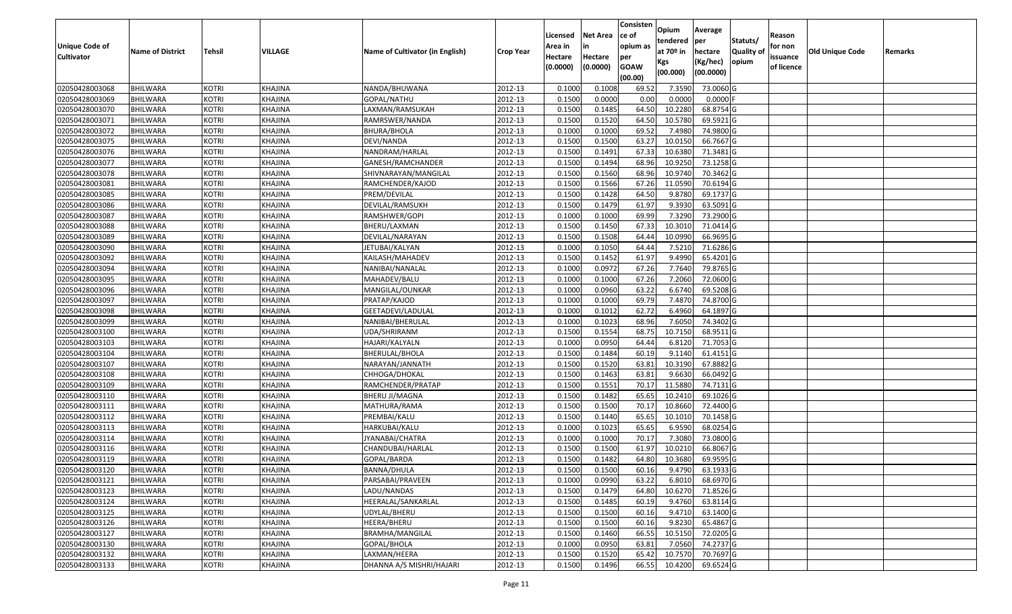|                   |                         |               |                |                                 |                  | Licensed | <b>Net Area</b> | Consisten<br>ce of | Opium           | Average               |                  | Reason     |                        |         |
|-------------------|-------------------------|---------------|----------------|---------------------------------|------------------|----------|-----------------|--------------------|-----------------|-----------------------|------------------|------------|------------------------|---------|
| Unique Code of    |                         |               |                |                                 |                  | Area in  | in              | opium as           | tendered        | per                   | Statuts/         | for non    |                        |         |
| <b>Cultivator</b> | <b>Name of District</b> | <b>Tehsil</b> | VILLAGE        | Name of Cultivator (in English) | <b>Crop Year</b> | Hectare  | Hectare         | per                | at $70°$ in     | hectare               | <b>Quality o</b> | issuance   | <b>Old Unique Code</b> | Remarks |
|                   |                         |               |                |                                 |                  | (0.0000) | (0.0000)        | <b>GOAW</b>        | Kgs<br>(00.000) | (Kg/hec)<br>(00.0000) | opium            | of licence |                        |         |
|                   |                         |               |                |                                 |                  |          |                 | (00.00)            |                 |                       |                  |            |                        |         |
| 02050428003068    | <b>BHILWARA</b>         | <b>KOTRI</b>  | KHAJINA        | NANDA/BHUWANA                   | 2012-13          | 0.1000   | 0.1008          | 69.52              | 7.3590          | 73.0060 G             |                  |            |                        |         |
| 02050428003069    | <b>BHILWARA</b>         | <b>KOTRI</b>  | KHAJINA        | GOPAL/NATHU                     | 2012-13          | 0.1500   | 0.0000          | 0.00               | 0.0000          | $0.0000$ F            |                  |            |                        |         |
| 02050428003070    | BHILWARA                | <b>KOTRI</b>  | KHAJINA        | LAXMAN/RAMSUKAH                 | 2012-13          | 0.1500   | 0.1485          | 64.50              | 10.2280         | 68.8754 G             |                  |            |                        |         |
| 02050428003071    | <b>BHILWARA</b>         | <b>KOTRI</b>  | KHAJINA        | RAMRSWER/NANDA                  | 2012-13          | 0.1500   | 0.1520          | 64.50              | 10.5780         | 69.5921G              |                  |            |                        |         |
| 02050428003072    | BHILWARA                | <b>KOTRI</b>  | KHAJINA        | <b>BHURA/BHOLA</b>              | 2012-13          | 0.1000   | 0.1000          | 69.52              | 7.4980          | 74.9800 G             |                  |            |                        |         |
| 02050428003075    | <b>BHILWARA</b>         | <b>KOTRI</b>  | KHAJINA        | DEVI/NANDA                      | 2012-13          | 0.1500   | 0.1500          | 63.27              | 10.0150         | 66.7667 G             |                  |            |                        |         |
| 02050428003076    | BHILWARA                | <b>KOTRI</b>  | KHAJINA        | NANDRAM/HARLAL                  | 2012-13          | 0.1500   | 0.1491          | 67.33              | 10.6380         | 71.3481G              |                  |            |                        |         |
| 02050428003077    | <b>BHILWARA</b>         | <b>KOTRI</b>  | KHAJINA        | GANESH/RAMCHANDER               | 2012-13          | 0.1500   | 0.1494          | 68.96              | 10.9250         | 73.1258 G             |                  |            |                        |         |
| 02050428003078    | BHILWARA                | <b>KOTRI</b>  | KHAJINA        | SHIVNARAYAN/MANGILAL            | 2012-13          | 0.1500   | 0.1560          | 68.96              | 10.974          | 70.3462 G             |                  |            |                        |         |
| 02050428003081    | BHILWARA                | <b>KOTRI</b>  | KHAJINA        | RAMCHENDER/KAJOD                | 2012-13          | 0.1500   | 0.1566          | 67.26              | 11.0590         | 70.6194 G             |                  |            |                        |         |
| 02050428003085    | BHILWARA                | <b>KOTRI</b>  | KHAJINA        | PREM/DEVILAL                    | 2012-13          | 0.1500   | 0.1428          | 64.50              | 9.8780          | 69.1737 G             |                  |            |                        |         |
| 02050428003086    | <b>BHILWARA</b>         | <b>KOTRI</b>  | KHAJINA        | DEVILAL/RAMSUKH                 | 2012-13          | 0.1500   | 0.1479          | 61.97              | 9.393           | 63.5091 G             |                  |            |                        |         |
| 02050428003087    | <b>BHILWARA</b>         | <b>KOTRI</b>  | KHAJINA        | RAMSHWER/GOPI                   | 2012-13          | 0.1000   | 0.1000          | 69.99              | 7.3290          | 73.2900 G             |                  |            |                        |         |
| 02050428003088    | <b>BHILWARA</b>         | <b>KOTRI</b>  | KHAJINA        | BHERU/LAXMAN                    | 2012-13          | 0.1500   | 0.1450          | 67.33              | 10.3010         | 71.0414 G             |                  |            |                        |         |
| 02050428003089    | BHILWARA                | <b>KOTRI</b>  | KHAJINA        | DEVILAL/NARAYAN                 | 2012-13          | 0.1500   | 0.1508          | 64.44              | 10.0990         | 66.9695 G             |                  |            |                        |         |
| 02050428003090    | <b>BHILWARA</b>         | <b>KOTRI</b>  | KHAJINA        | JETUBAI/KALYAN                  | 2012-13          | 0.1000   | 0.1050          | 64.44              | 7.5210          | 71.6286 G             |                  |            |                        |         |
| 02050428003092    | <b>BHILWARA</b>         | <b>KOTRI</b>  | KHAJINA        | KAILASH/MAHADEV                 | 2012-13          | 0.1500   | 0.1452          | 61.97              | 9.4990          | 65.4201G              |                  |            |                        |         |
| 02050428003094    | BHILWARA                | <b>KOTRI</b>  | KHAJINA        | NANIBAI/NANALAL                 | 2012-13          | 0.1000   | 0.0972          | 67.26              | 7.7640          | 79.8765 G             |                  |            |                        |         |
| 02050428003095    | BHILWARA                | <b>KOTRI</b>  | KHAJINA        | MAHADEV/BALU                    | 2012-13          | 0.1000   | 0.1000          | 67.26              | 7.2060          | 72.0600G              |                  |            |                        |         |
| 02050428003096    | BHILWARA                | <b>KOTRI</b>  | KHAJINA        | MANGILAL/OUNKAR                 | 2012-13          | 0.1000   | 0.0960          | 63.22              | 6.6740          | 69.5208 G             |                  |            |                        |         |
| 02050428003097    | BHILWARA                | <b>KOTRI</b>  | KHAJINA        | PRATAP/KAJOD                    | 2012-13          | 0.1000   | 0.1000          | 69.79              | 7.4870          | 74.8700 G             |                  |            |                        |         |
| 02050428003098    | BHILWARA                | <b>KOTRI</b>  | KHAJINA        | GEETADEVI/LADULAL               | 2012-13          | 0.1000   | 0.1012          | 62.72              | 6.4960          | 64.1897 G             |                  |            |                        |         |
| 02050428003099    | <b>BHILWARA</b>         | <b>KOTRI</b>  | KHAJINA        | NANIBAI/BHERULAL                | 2012-13          | 0.1000   | 0.1023          | 68.96              | 7.6050          | 74.3402 G             |                  |            |                        |         |
| 02050428003100    | <b>BHILWARA</b>         | <b>KOTRI</b>  | KHAJINA        | UDA/SHRIRANM                    | 2012-13          | 0.150    | 0.1554          | 68.75              | 10.7150         | 68.9511G              |                  |            |                        |         |
| 02050428003103    | <b>BHILWARA</b>         | <b>KOTRI</b>  | KHAJINA        | HAJARI/KALYALN                  | 2012-13          | 0.1000   | 0.0950          | 64.44              | 6.8120          | 71.7053 G             |                  |            |                        |         |
| 02050428003104    | BHILWARA                | <b>KOTRI</b>  | KHAJINA        | BHERULAL/BHOLA                  | 2012-13          | 0.1500   | 0.1484          | 60.19              | 9.1140          | $61.4151$ G           |                  |            |                        |         |
| 02050428003107    | <b>BHILWARA</b>         | <b>KOTRI</b>  | KHAJINA        | NARAYAN/JANNATH                 | 2012-13          | 0.1500   | 0.1520          | 63.81              | 10.3190         | 67.8882 G             |                  |            |                        |         |
| 02050428003108    | <b>BHILWARA</b>         | <b>KOTRI</b>  | KHAJINA        | CHHOGA/DHOKAL                   | 2012-13          | 0.1500   | 0.1463          | 63.81              | 9.6630          | 66.0492 G             |                  |            |                        |         |
| 02050428003109    | <b>BHILWARA</b>         | <b>KOTRI</b>  | KHAJINA        | RAMCHENDER/PRATAP               | 2012-13          | 0.1500   | 0.1551          | 70.17              | 11.5880         | 74.7131 G             |                  |            |                        |         |
| 02050428003110    | <b>BHILWARA</b>         | <b>KOTRI</b>  | KHAJINA        | <b>BHERU JI/MAGNA</b>           | 2012-13          | 0.1500   | 0.1482          | 65.65              | 10.2410         | 69.1026 G             |                  |            |                        |         |
| 02050428003111    | BHILWARA                | <b>KOTRI</b>  | KHAJINA        | MATHURA/RAMA                    | 2012-13          | 0.1500   | 0.1500          | 70.1               | 10.8660         | 72.4400 G             |                  |            |                        |         |
| 02050428003112    | BHILWARA                | <b>KOTRI</b>  | KHAJINA        | PREMBAI/KALU                    | 2012-13          | 0.1500   | 0.1440          | 65.65              | 10.1010         | 70.1458 G             |                  |            |                        |         |
| 02050428003113    | <b>BHILWARA</b>         | <b>KOTRI</b>  | KHAJINA        | HARKUBAI/KALU                   | 2012-13          | 0.1000   | 0.1023          | 65.65              | 6.9590          | 68.0254 G             |                  |            |                        |         |
| 02050428003114    | BHILWARA                | <b>KOTRI</b>  | KHAJINA        | JYANABAI/CHATRA                 | 2012-13          | 0.1000   | 0.1000          | 70.17              | 7.3080          | 73.0800 G             |                  |            |                        |         |
| 02050428003116    | BHILWARA                | <b>KOTRI</b>  | <b>KHAJINA</b> | CHANDUBAI/HARLAL                | 2012-13          | 0.150    | 0.1500          | 61.97              | 10.0210         | 66.8067 G             |                  |            |                        |         |
| 02050428003119    | <b>BHILWARA</b>         | <b>KOTRI</b>  | KHAJINA        | GOPAL/BARDA                     | 2012-13          | 0.1500   | 0.1482          | 64.80              | 10.3680         | 69.9595 G             |                  |            |                        |         |
| 02050428003120    | <b>BHILWARA</b>         | <b>KOTRI</b>  | KHAJINA        | <b>BANNA/DHULA</b>              | 2012-13          | 0.1500   | 0.1500          | 60.16              | 9.4790          | 63.1933 G             |                  |            |                        |         |
| 02050428003121    | <b>BHILWARA</b>         | <b>KOTRI</b>  | KHAJINA        | PARSABAI/PRAVEEN                | 2012-13          | 0.1000   | 0.0990          | 63.22              | 6.8010          | 68.6970 G             |                  |            |                        |         |
| 02050428003123    | <b>BHILWARA</b>         | <b>KOTRI</b>  | KHAJINA        | LADU/NANDAS                     | 2012-13          | 0.1500   | 0.1479          | 64.80              | 10.6270         | 71.8526 G             |                  |            |                        |         |
| 02050428003124    | <b>BHILWARA</b>         | <b>KOTRI</b>  | KHAJINA        | HEERALAL/SANKARLAL              | 2012-13          | 0.1500   | 0.1485          | 60.19              | 9.4760          | 63.8114 G             |                  |            |                        |         |
| 02050428003125    | <b>BHILWARA</b>         | <b>KOTRI</b>  | KHAJINA        | UDYLAL/BHERU                    | 2012-13          | 0.1500   | 0.1500          | 60.16              | 9.4710          | 63.1400 G             |                  |            |                        |         |
| 02050428003126    | <b>BHILWARA</b>         | <b>KOTRI</b>  | <b>KHAJINA</b> | HEERA/BHERU                     | 2012-13          | 0.1500   | 0.1500          | 60.16              | 9.8230          | 65.4867 G             |                  |            |                        |         |
| 02050428003127    | <b>BHILWARA</b>         | <b>KOTRI</b>  | KHAJINA        | BRAMHA/MANGILAL                 | 2012-13          | 0.1500   | 0.1460          | 66.55              | 10.5150         | 72.0205 G             |                  |            |                        |         |
| 02050428003130    | <b>BHILWARA</b>         | <b>KOTRI</b>  | KHAJINA        | GOPAL/BHOLA                     | 2012-13          | 0.1000   | 0.0950          | 63.81              | 7.0560          | 74.2737 G             |                  |            |                        |         |
| 02050428003132    | <b>BHILWARA</b>         | <b>KOTRI</b>  | KHAJINA        | LAXMAN/HEERA                    | 2012-13          | 0.1500   | 0.1520          | 65.42              | 10.7570         | 70.7697 G             |                  |            |                        |         |
| 02050428003133    | <b>BHILWARA</b>         | <b>KOTRI</b>  | <b>KHAJINA</b> | DHANNA A/S MISHRI/HAJARI        | 2012-13          | 0.1500   | 0.1496          | 66.55              | 10.4200         | 69.6524 G             |                  |            |                        |         |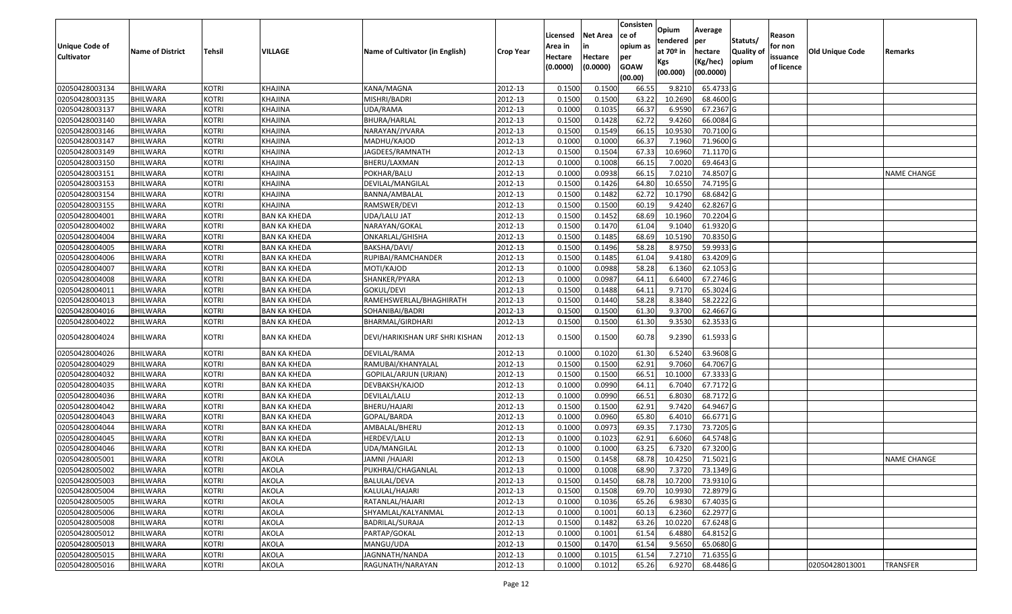| <b>Unique Code of</b><br><b>Cultivator</b> | <b>Name of District</b> | Tehsil       | VILLAGE             | Name of Cultivator (in English) | <b>Crop Year</b> | Licensed<br>Area in<br>Hectare<br>(0.0000) | Net Area<br>in<br>Hectare<br>(0.0000) | Consisten<br>ce of<br>opium as<br>per<br><b>GOAW</b> | Opium<br>tendered<br>at 70º in<br>Kgs | Average<br>per<br>hectare<br>(Kg/hec) | Statuts/<br><b>Quality of</b><br>opium | Reason<br>for non<br>issuance<br>of licence | Old Unique Code | Remarks            |
|--------------------------------------------|-------------------------|--------------|---------------------|---------------------------------|------------------|--------------------------------------------|---------------------------------------|------------------------------------------------------|---------------------------------------|---------------------------------------|----------------------------------------|---------------------------------------------|-----------------|--------------------|
|                                            |                         |              |                     |                                 |                  |                                            |                                       | (00.00)                                              | (00.000)                              | (00.0000)                             |                                        |                                             |                 |                    |
| 02050428003134                             | <b>BHILWARA</b>         | <b>KOTRI</b> | KHAJINA             | KANA/MAGNA                      | 2012-13          | 0.1500                                     | 0.1500                                | 66.55                                                | 9.8210                                | 65.4733 G                             |                                        |                                             |                 |                    |
| 02050428003135                             | <b>BHILWARA</b>         | <b>KOTRI</b> | KHAJINA             | MISHRI/BADRI                    | 2012-13          | 0.1500                                     | 0.1500                                | 63.22                                                | 10.2690                               | 68.4600 G                             |                                        |                                             |                 |                    |
| 02050428003137                             | BHILWARA                | <b>KOTRI</b> | KHAJINA             | UDA/RAMA                        | 2012-13          | 0.1000                                     | 0.1035                                | 66.37                                                | 6.9590                                | 67.2367 G                             |                                        |                                             |                 |                    |
| 02050428003140                             | <b>BHILWARA</b>         | <b>KOTRI</b> | KHAJINA             | BHURA/HARLAL                    | 2012-13          | 0.1500                                     | 0.1428                                | 62.72                                                | 9.4260                                | 66.0084 G                             |                                        |                                             |                 |                    |
| 02050428003146                             | BHILWARA                | <b>KOTRI</b> | KHAJINA             | NARAYAN/JYVARA                  | 2012-13          | 0.1500                                     | 0.1549                                | 66.15                                                | 10.9530                               | 70.7100 G                             |                                        |                                             |                 |                    |
| 02050428003147                             | <b>BHILWARA</b>         | <b>KOTRI</b> | KHAJINA             | MADHU/KAJOD                     | 2012-13          | 0.1000                                     | 0.1000                                | 66.37                                                | 7.1960                                | 71.9600 G                             |                                        |                                             |                 |                    |
| 02050428003149                             | <b>BHILWARA</b>         | <b>KOTRI</b> | KHAJINA             | JAGDEES/RAMNATH                 | 2012-13          | 0.1500                                     | 0.1504                                | 67.33                                                | 10.6960                               | 71.1170 G                             |                                        |                                             |                 |                    |
| 02050428003150                             | <b>BHILWARA</b>         | <b>KOTRI</b> | KHAJINA             | BHERU/LAXMAN                    | 2012-13          | 0.1000                                     | 0.1008                                | 66.15                                                | 7.0020                                | 69.4643 G                             |                                        |                                             |                 |                    |
| 02050428003151                             | <b>BHILWARA</b>         | <b>KOTRI</b> | KHAJINA             | POKHAR/BALU                     | 2012-13          | 0.1000                                     | 0.0938                                | 66.15                                                | 7.0210                                | 74.8507 G                             |                                        |                                             |                 | <b>NAME CHANGE</b> |
| 02050428003153                             | <b>BHILWARA</b>         | <b>KOTRI</b> | KHAJINA             | DEVILAL/MANGILAL                | 2012-13          | 0.1500                                     | 0.1426                                | 64.80                                                | 10.6550                               | 74.7195 G                             |                                        |                                             |                 |                    |
| 02050428003154                             | <b>BHILWARA</b>         | <b>KOTRI</b> | KHAJINA             | BANNA/AMBALAL                   | 2012-13          | 0.1500                                     | 0.1482                                | 62.72                                                | 10.1790                               | 68.6842 G                             |                                        |                                             |                 |                    |
| 02050428003155                             | <b>BHILWARA</b>         | <b>KOTRI</b> | KHAJINA             | RAMSWER/DEVI                    | 2012-13          | 0.1500                                     | 0.1500                                | 60.19                                                | 9.4240                                | 62.8267 G                             |                                        |                                             |                 |                    |
| 02050428004001                             | <b>BHILWARA</b>         | <b>KOTRI</b> | <b>BAN KA KHEDA</b> | UDA/LALU JAT                    | 2012-13          | 0.1500                                     | 0.1452                                | 68.69                                                | 10.1960                               | 70.2204 G                             |                                        |                                             |                 |                    |
| 02050428004002                             | <b>BHILWARA</b>         | <b>KOTRI</b> | BAN KA KHEDA        | NARAYAN/GOKAL                   | 2012-13          | 0.1500                                     | 0.1470                                | 61.04                                                | 9.1040                                | 61.9320 G                             |                                        |                                             |                 |                    |
| 02050428004004                             | BHILWARA                | <b>KOTRI</b> | <b>BAN KA KHEDA</b> | ONKARLAL/GHISHA                 | 2012-13          | 0.1500                                     | 0.1485                                | 68.69                                                | 10.5190                               | 70.8350 G                             |                                        |                                             |                 |                    |
| 02050428004005                             | <b>BHILWARA</b>         | <b>KOTRI</b> | <b>BAN KA KHEDA</b> | BAKSHA/DAVI/                    | 2012-13          | 0.1500                                     | 0.1496                                | 58.28                                                | 8.9750                                | 59.9933 G                             |                                        |                                             |                 |                    |
| 02050428004006                             | <b>BHILWARA</b>         | <b>KOTRI</b> | <b>BAN KA KHEDA</b> | RUPIBAI/RAMCHANDER              | 2012-13          | 0.1500                                     | 0.1485                                | 61.04                                                | 9.4180                                | 63.4209 G                             |                                        |                                             |                 |                    |
| 02050428004007                             | <b>BHILWARA</b>         | <b>KOTRI</b> | <b>BAN KA KHEDA</b> | MOTI/KAJOD                      | 2012-13          | 0.1000                                     | 0.0988                                | 58.28                                                | 6.1360                                | 62.1053 G                             |                                        |                                             |                 |                    |
| 02050428004008                             | <b>BHILWARA</b>         | <b>KOTRI</b> | <b>BAN KA KHEDA</b> | SHANKER/PYARA                   | 2012-13          | 0.1000                                     | 0.0987                                | 64.11                                                | 6.6400                                | 67.2746 G                             |                                        |                                             |                 |                    |
| 02050428004011                             | BHILWARA                | <b>KOTRI</b> | BAN KA KHEDA        | <b>GOKUL/DEVI</b>               | 2012-13          | 0.1500                                     | 0.1488                                | 64.11                                                | 9.7170                                | 65.3024 G                             |                                        |                                             |                 |                    |
| 02050428004013                             | <b>BHILWARA</b>         | <b>KOTRI</b> | <b>BAN KA KHEDA</b> | RAMEHSWERLAL/BHAGHIRATH         | 2012-13          | 0.1500                                     | 0.1440                                | 58.28                                                | 8.3840                                | 58.2222 G                             |                                        |                                             |                 |                    |
| 02050428004016                             | <b>BHILWARA</b>         | <b>KOTRI</b> | BAN KA KHEDA        | SOHANIBAI/BADRI                 | 2012-13          | 0.1500                                     | 0.1500                                | 61.30                                                | 9.3700                                | 62.4667 G                             |                                        |                                             |                 |                    |
| 02050428004022                             | <b>BHILWARA</b>         | <b>KOTRI</b> | <b>BAN KA KHEDA</b> | BHARMAL/GIRDHARI                | 2012-13          | 0.1500                                     | 0.1500                                | 61.30                                                | 9.3530                                | 62.3533 G                             |                                        |                                             |                 |                    |
| 02050428004024                             | BHILWARA                | <b>KOTRI</b> | BAN KA KHEDA        | DEVI/HARIKISHAN URF SHRI KISHAN | 2012-13          | 0.1500                                     | 0.1500                                | 60.78                                                | 9.2390                                | 61.5933 G                             |                                        |                                             |                 |                    |
| 02050428004026                             | <b>BHILWARA</b>         | <b>KOTRI</b> | <b>BAN KA KHEDA</b> | DEVILAL/RAMA                    | 2012-13          | 0.1000                                     | 0.1020                                | 61.30                                                | 6.5240                                | 63.9608 G                             |                                        |                                             |                 |                    |
| 02050428004029                             | <b>BHILWARA</b>         | <b>KOTRI</b> | <b>BAN KA KHEDA</b> | RAMUBAI/KHANYALAL               | 2012-13          | 0.1500                                     | 0.1500                                | 62.91                                                | 9.7060                                | 64.7067 G                             |                                        |                                             |                 |                    |
| 02050428004032                             | <b>BHILWARA</b>         | <b>KOTRI</b> | <b>BAN KA KHEDA</b> | GOPILAL/ARJUN (URJAN)           | 2012-13          | 0.1500                                     | 0.1500                                | 66.51                                                | 10.1000                               | 67.3333 G                             |                                        |                                             |                 |                    |
| 02050428004035                             | <b>BHILWARA</b>         | <b>KOTRI</b> | <b>BAN KA KHEDA</b> | DEVBAKSH/KAJOD                  | 2012-13          | 0.1000                                     | 0.0990                                | 64.11                                                | 6.7040                                | 67.7172 G                             |                                        |                                             |                 |                    |
| 02050428004036                             | <b>BHILWARA</b>         | <b>KOTRI</b> | <b>BAN KA KHEDA</b> | DEVILAL/LALU                    | 2012-13          | 0.1000                                     | 0.0990                                | 66.51                                                | 6.8030                                | 68.7172 G                             |                                        |                                             |                 |                    |
| 02050428004042                             | <b>BHILWARA</b>         | <b>KOTRI</b> | BAN KA KHEDA        | BHERU/HAJARI                    | 2012-13          | 0.1500                                     | 0.1500                                | 62.91                                                | 9.7420                                | 64.9467 G                             |                                        |                                             |                 |                    |
| 02050428004043                             | <b>BHILWARA</b>         | <b>KOTRI</b> | <b>BAN KA KHEDA</b> | GOPAL/BARDA                     | 2012-13          | 0.1000                                     | 0.0960                                | 65.80                                                | 6.4010                                | 66.6771 G                             |                                        |                                             |                 |                    |
| 02050428004044                             | <b>BHILWARA</b>         | <b>KOTRI</b> | <b>BAN KA KHEDA</b> | AMBALAL/BHERU                   | 2012-13          | 0.1000                                     | 0.0973                                | 69.35                                                | 7.1730                                | 73.7205 G                             |                                        |                                             |                 |                    |
| 02050428004045                             | <b>BHILWARA</b>         | <b>KOTRI</b> | <b>BAN KA KHEDA</b> | HERDEV/LALU                     | 2012-13          | 0.1000                                     | 0.1023                                | 62.91                                                | 6.6060                                | 64.5748 G                             |                                        |                                             |                 |                    |
| 02050428004046                             | BHILWARA                | <b>KOTRI</b> | <b>BAN KA KHEDA</b> | UDA/MANGILAL                    | 2012-13          | 0.1000                                     | 0.1000                                | 63.25                                                | 6.7320                                | 67.3200 G                             |                                        |                                             |                 |                    |
| 02050428005001                             | <b>BHILWARA</b>         | KOTRI        | AKOLA               | JAMNI /HAJARI                   | 2012-13          | 0.1500                                     | 0.1458                                | 68.78                                                | 10.4250                               | 71.5021G                              |                                        |                                             |                 | <b>NAME CHANGE</b> |
| 02050428005002                             | <b>BHILWARA</b>         | <b>KOTRI</b> | <b>AKOLA</b>        | PUKHRAJ/CHAGANLAL               | 2012-13          | 0.1000                                     | 0.1008                                | 68.90                                                |                                       | 7.3720 73.1349 G                      |                                        |                                             |                 |                    |
| 02050428005003                             | <b>BHILWARA</b>         | <b>KOTRI</b> | <b>AKOLA</b>        | BALULAL/DEVA                    | 2012-13          | 0.1500                                     | 0.1450                                | 68.78                                                | 10.7200                               | 73.9310 G                             |                                        |                                             |                 |                    |
| 02050428005004                             | <b>BHILWARA</b>         | <b>KOTRI</b> | AKOLA               | KALULAL/HAJARI                  | 2012-13          | 0.1500                                     | 0.1508                                | 69.70                                                | 10.9930                               | 72.8979 G                             |                                        |                                             |                 |                    |
| 02050428005005                             | <b>BHILWARA</b>         | <b>KOTRI</b> | AKOLA               | RATANLAL/HAJARI                 | 2012-13          | 0.1000                                     | 0.1036                                | 65.26                                                | 6.9830                                | 67.4035 G                             |                                        |                                             |                 |                    |
| 02050428005006                             | <b>BHILWARA</b>         | <b>KOTRI</b> | AKOLA               | SHYAMLAL/KALYANMAL              | 2012-13          | 0.1000                                     | 0.1001                                | 60.13                                                | 6.2360                                | 62.2977 G                             |                                        |                                             |                 |                    |
| 02050428005008                             | <b>BHILWARA</b>         | <b>KOTRI</b> | <b>AKOLA</b>        | <b>BADRILAL/SURAJA</b>          | 2012-13          | 0.1500                                     | 0.1482                                | 63.26                                                | 10.0220                               | 67.6248 G                             |                                        |                                             |                 |                    |
| 02050428005012                             | <b>BHILWARA</b>         | <b>KOTRI</b> | AKOLA               | PARTAP/GOKAL                    | 2012-13          | 0.1000                                     | 0.1001                                | 61.54                                                | 6.4880                                | 64.8152 G                             |                                        |                                             |                 |                    |
| 02050428005013                             | <b>BHILWARA</b>         | <b>KOTRI</b> | AKOLA               | MANGU/UDA                       | 2012-13          | 0.1500                                     | 0.1470                                | 61.54                                                | 9.5650                                | 65.0680 G                             |                                        |                                             |                 |                    |
| 02050428005015                             | <b>BHILWARA</b>         | <b>KOTRI</b> | AKOLA               | JAGNNATH/NANDA                  | 2012-13          | 0.1000                                     | 0.1015                                | 61.54                                                | 7.2710                                | 71.6355 G                             |                                        |                                             |                 |                    |
| 02050428005016                             | <b>BHILWARA</b>         | <b>KOTRI</b> | AKOLA               | RAGUNATH/NARAYAN                | 2012-13          | 0.1000                                     | 0.1012                                | 65.26                                                | 6.9270                                | 68.4486 G                             |                                        |                                             | 02050428013001  | <b>TRANSFER</b>    |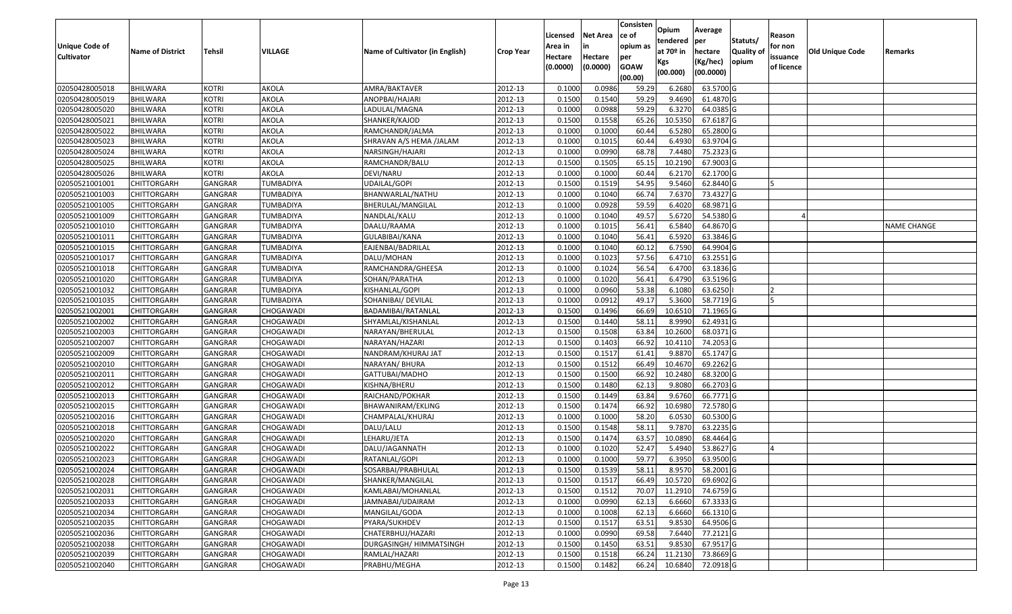|                   |                         |                |                  |                                 |                  |          |                 | Consisten              | Opium       | Average         |                  |            |                 |                    |
|-------------------|-------------------------|----------------|------------------|---------------------------------|------------------|----------|-----------------|------------------------|-------------|-----------------|------------------|------------|-----------------|--------------------|
|                   |                         |                |                  |                                 |                  | Licensed | <b>Net Area</b> | ce of                  | tendered    | per             | Statuts/         | Reason     |                 |                    |
| Unique Code of    | <b>Name of District</b> | <b>Tehsil</b>  | VILLAGE          | Name of Cultivator (in English) | <b>Crop Year</b> | Area in  | in              | opium as               | at $70°$ in | hectare         | <b>Quality o</b> | for non    | Old Unique Code | Remarks            |
| <b>Cultivator</b> |                         |                |                  |                                 |                  | Hectare  | Hectare         | per                    | Kgs         | (Kg/hec)        | opium            | issuance   |                 |                    |
|                   |                         |                |                  |                                 |                  | (0.0000) | (0.0000)        | <b>GOAW</b><br>(00.00) | (00.000)    | (00.0000)       |                  | of licence |                 |                    |
| 02050428005018    | BHILWARA                | <b>KOTRI</b>   | AKOLA            | AMRA/BAKTAVER                   | 2012-13          | 0.1000   | 0.0986          | 59.29                  | 6.2680      | 63.5700 G       |                  |            |                 |                    |
| 02050428005019    | <b>BHILWARA</b>         | <b>KOTRI</b>   | AKOLA            | ANOPBAI/HAJARI                  | 2012-13          | 0.1500   | 0.1540          | 59.29                  | 9.4690      | 61.4870 G       |                  |            |                 |                    |
| 02050428005020    | BHILWARA                | <b>KOTRI</b>   | AKOLA            | LADULAL/MAGNA                   | 2012-13          | 0.1000   | 0.0988          | 59.29                  | 6.3270      | 64.0385 G       |                  |            |                 |                    |
| 02050428005021    | <b>BHILWARA</b>         | <b>KOTRI</b>   | AKOLA            | SHANKER/KAJOD                   | 2012-13          | 0.1500   | 0.1558          | 65.26                  | 10.5350     | 67.6187 G       |                  |            |                 |                    |
| 02050428005022    | BHILWARA                | <b>KOTRI</b>   | AKOLA            | RAMCHANDR/JALMA                 | 2012-13          | 0.1000   | 0.1000          | 60.44                  | 6.5280      | 65.2800 G       |                  |            |                 |                    |
| 02050428005023    | <b>BHILWARA</b>         | <b>KOTRI</b>   | AKOLA            | SHRAVAN A/S HEMA /JALAM         | 2012-13          | 0.1000   | 0.1015          | 60.44                  | 6.4930      | 63.9704 G       |                  |            |                 |                    |
| 02050428005024    | BHILWARA                | <b>KOTRI</b>   | AKOLA            | NARSINGH/HAJARI                 | 2012-13          | 0.1000   | 0.0990          | 68.78                  | 7.4480      | 75.2323 G       |                  |            |                 |                    |
| 02050428005025    | <b>BHILWARA</b>         | <b>KOTRI</b>   | <b>AKOLA</b>     | RAMCHANDR/BALU                  | 2012-13          | 0.1500   | 0.1505          | 65.15                  | 10.2190     | 67.9003 G       |                  |            |                 |                    |
| 02050428005026    | BHILWARA                | <b>KOTRI</b>   | AKOLA            | DEVI/NARU                       | 2012-13          | 0.1000   | 0.1000          | 60.44                  | 6.2170      | 62.1700 G       |                  |            |                 |                    |
| 02050521001001    | <b>CHITTORGARH</b>      | GANGRAR        | TUMBADIYA        | UDAILAL/GOPI                    | 2012-13          | 0.1500   | 0.1519          | 54.95                  | 9.5460      | 62.8440 G       |                  |            |                 |                    |
| 02050521001003    | CHITTORGARH             | GANGRAR        | TUMBADIYA        | BHANWARLAL/NATHU                | 2012-13          | 0.1000   | 0.1040          | 66.74                  | 7.6370      | 73.4327 G       |                  |            |                 |                    |
| 02050521001005    | CHITTORGARH             | <b>GANGRAR</b> | TUMBADIYA        | BHERULAL/MANGILAL               | 2012-13          | 0.1000   | 0.0928          | 59.59                  | 6.4020      | 68.9871 G       |                  |            |                 |                    |
| 02050521001009    | <b>CHITTORGARH</b>      | <b>GANGRAR</b> | <b>TUMBADIYA</b> | NANDLAL/KALU                    | 2012-13          | 0.1000   | 0.1040          | 49.57                  | 5.6720      | 54.5380 G       |                  |            |                 |                    |
| 02050521001010    | <b>CHITTORGARH</b>      | GANGRAR        | TUMBADIYA        | DAALU/RAAMA                     | 2012-13          | 0.1000   | 0.1015          | 56.41                  | 6.5840      | 64.8670 G       |                  |            |                 | <b>NAME CHANGE</b> |
| 02050521001011    | <b>CHITTORGARH</b>      | <b>GANGRAR</b> | TUMBADIYA        | GULABIBAI/KANA                  | 2012-13          | 0.1000   | 0.1040          | 56.41                  | 6.5920      | 63.3846 G       |                  |            |                 |                    |
| 02050521001015    | <b>CHITTORGARH</b>      | <b>GANGRAR</b> | TUMBADIYA        | EAJENBAI/BADRILAL               | 2012-13          | 0.1000   | 0.1040          | 60.12                  | 6.7590      | 64.9904 G       |                  |            |                 |                    |
| 02050521001017    | <b>CHITTORGARH</b>      | <b>GANGRAR</b> | TUMBADIYA        | DALU/MOHAN                      | 2012-13          | 0.1000   | 0.1023          | 57.56                  | 6.4710      | 63.2551G        |                  |            |                 |                    |
| 02050521001018    | CHITTORGARH             | GANGRAR        | TUMBADIYA        | RAMCHANDRA/GHEESA               | 2012-13          | 0.1000   | 0.1024          | 56.54                  | 6.4700      | 63.1836 G       |                  |            |                 |                    |
| 02050521001020    | CHITTORGARH             | GANGRAR        | TUMBADIYA        | SOHAN/PARATHA                   | 2012-13          | 0.1000   | 0.1020          | 56.41                  | 6.4790      | 63.5196 G       |                  |            |                 |                    |
| 02050521001032    | CHITTORGARH             | GANGRAR        | TUMBADIYA        | KISHANLAL/GOPI                  | 2012-13          | 0.1000   | 0.0960          | 53.38                  | 6.1080      | 63.6250         |                  |            |                 |                    |
| 02050521001035    | CHITTORGARH             | <b>GANGRAR</b> | <b>TUMBADIYA</b> | SOHANIBAI/ DEVILAL              | 2012-13          | 0.1000   | 0.0912          | 49.17                  | 5.3600      | 58.7719 G       |                  |            |                 |                    |
| 02050521002001    | CHITTORGARH             | GANGRAR        | CHOGAWADI        | BADAMIBAI/RATANLAL              | 2012-13          | 0.1500   | 0.1496          | 66.69                  | 10.651      | 71.1965 G       |                  |            |                 |                    |
| 02050521002002    | CHITTORGARH             | GANGRAR        | CHOGAWADI        | SHYAMLAL/KISHANLAL              | 2012-13          | 0.1500   | 0.1440          | 58.13                  | 8.9990      | 62.4931 G       |                  |            |                 |                    |
| 02050521002003    | <b>CHITTORGARH</b>      | GANGRAR        | CHOGAWADI        | NARAYAN/BHERULAL                | 2012-13          | 0.1500   | 0.1508          | 63.84                  | 10.2600     | 68.0371G        |                  |            |                 |                    |
| 02050521002007    | <b>CHITTORGARH</b>      | <b>GANGRAR</b> | CHOGAWADI        | NARAYAN/HAZARI                  | 2012-13          | 0.1500   | 0.1403          | 66.92                  | 10.4110     | 74.2053 G       |                  |            |                 |                    |
| 02050521002009    | CHITTORGARH             | GANGRAR        | CHOGAWADI        | NANDRAM/KHURAJ JAT              | 2012-13          | 0.1500   | 0.1517          | 61.41                  | 9.8870      | 65.1747 G       |                  |            |                 |                    |
| 02050521002010    | CHITTORGARH             | GANGRAR        | CHOGAWADI        | NARAYAN/ BHURA                  | 2012-13          | 0.1500   | 0.1512          | 66.49                  | 10.4670     | 69.2262 G       |                  |            |                 |                    |
| 02050521002011    | CHITTORGARH             | GANGRAR        | CHOGAWADI        | GATTUBAI/MADHO                  | 2012-13          | 0.1500   | 0.1500          | 66.92                  | 10.2480     | 68.3200 G       |                  |            |                 |                    |
| 02050521002012    | CHITTORGARH             | <b>GANGRAR</b> | CHOGAWADI        | KISHNA/BHERU                    | 2012-13          | 0.1500   | 0.1480          | 62.13                  | 9.8080      | 66.2703 G       |                  |            |                 |                    |
| 02050521002013    | CHITTORGARH             | <b>GANGRAR</b> | CHOGAWADI        | RAICHAND/POKHAR                 | 2012-13          | 0.1500   | 0.1449          | 63.84                  | 9.6760      | 66.7771 G       |                  |            |                 |                    |
| 02050521002015    | CHITTORGARH             | GANGRAR        | CHOGAWADI        | BHAWANIRAM/EKLING               | 2012-13          | 0.1500   | 0.1474          | 66.92                  | 10.6980     | 72.5780 G       |                  |            |                 |                    |
| 02050521002016    | CHITTORGARH             | GANGRAR        | CHOGAWADI        | CHAMPALAL/KHURAJ                | 2012-13          | 0.1000   | 0.1000          | 58.20                  | 6.0530      | 60.5300 G       |                  |            |                 |                    |
| 02050521002018    | CHITTORGARH             | <b>GANGRAR</b> | CHOGAWADI        | DALU/LALU                       | 2012-13          | 0.1500   | 0.1548          | 58.1                   | 9.7870      | 63.2235 G       |                  |            |                 |                    |
| 02050521002020    | <b>CHITTORGARH</b>      | GANGRAR        | CHOGAWADI        | LEHARU/JETA                     | 2012-13          | 0.1500   | 0.1474          | 63.57                  | 10.0890     | 68.4464 G       |                  |            |                 |                    |
| 02050521002022    | CHITTORGARH             | GANGRAR        | CHOGAWADI        | DALU/JAGANNATH                  | 2012-13          | 0.1000   | 0.1020          | 52.47                  | 5.4940      | 53.8627 G       |                  |            |                 |                    |
| 02050521002023    | CHITTORGARH             | GANGRAR        | CHOGAWADI        | RATANLAL/GOPI                   | 2012-13          | 0.1000   | 0.1000          | 59.77                  | 6.3950      | 63.9500 G       |                  |            |                 |                    |
| 02050521002024    | <b>CHITTORGARH</b>      | GANGRAR        | CHOGAWADI        | SOSARBAI/PRABHULAL              | 2012-13          | 0.1500   | 0.1539          | 58.11                  |             | 8.9570 58.2001G |                  |            |                 |                    |
| 02050521002028    | <b>CHITTORGARH</b>      | <b>GANGRAR</b> | CHOGAWADI        | SHANKER/MANGILAL                | 2012-13          | 0.1500   | 0.1517          | 66.49                  | 10.5720     | 69.6902 G       |                  |            |                 |                    |
| 02050521002031    | <b>CHITTORGARH</b>      | <b>GANGRAR</b> | CHOGAWADI        | KAMLABAI/MOHANLAL               | 2012-13          | 0.1500   | 0.1512          | 70.07                  | 11.2910     | 74.6759 G       |                  |            |                 |                    |
| 02050521002033    | <b>CHITTORGARH</b>      | <b>GANGRAR</b> | CHOGAWADI        | JAMNABAI/UDAIRAM                | 2012-13          | 0.1000   | 0.0990          | 62.13                  | 6.6660      | 67.3333 G       |                  |            |                 |                    |
| 02050521002034    | CHITTORGARH             | <b>GANGRAR</b> | CHOGAWADI        | MANGILAL/GODA                   | 2012-13          | 0.1000   | 0.1008          | 62.13                  | 6.6660      | 66.1310 G       |                  |            |                 |                    |
| 02050521002035    | <b>CHITTORGARH</b>      | <b>GANGRAR</b> | CHOGAWADI        | PYARA/SUKHDEV                   | 2012-13          | 0.1500   | 0.1517          | 63.51                  | 9.8530      | 64.9506 G       |                  |            |                 |                    |
| 02050521002036    | <b>CHITTORGARH</b>      | <b>GANGRAR</b> | CHOGAWADI        | CHATERBHUJ/HAZARI               | 2012-13          | 0.1000   | 0.0990          | 69.58                  | 7.6440      | 77.2121 G       |                  |            |                 |                    |
| 02050521002038    | <b>CHITTORGARH</b>      | <b>GANGRAR</b> | CHOGAWADI        | DURGASINGH/ HIMMATSINGH         | 2012-13          | 0.1500   | 0.1450          | 63.51                  | 9.8530      | 67.9517 G       |                  |            |                 |                    |
| 02050521002039    | <b>CHITTORGARH</b>      | <b>GANGRAR</b> | CHOGAWADI        | RAMLAL/HAZARI                   | 2012-13          | 0.1500   | 0.1518          | 66.24                  | 11.2130     | 73.8669 G       |                  |            |                 |                    |
| 02050521002040    | <b>CHITTORGARH</b>      | <b>GANGRAR</b> | CHOGAWADI        | PRABHU/MEGHA                    | 2012-13          | 0.1500   | 0.1482          | 66.24                  | 10.6840     | 72.0918 G       |                  |            |                 |                    |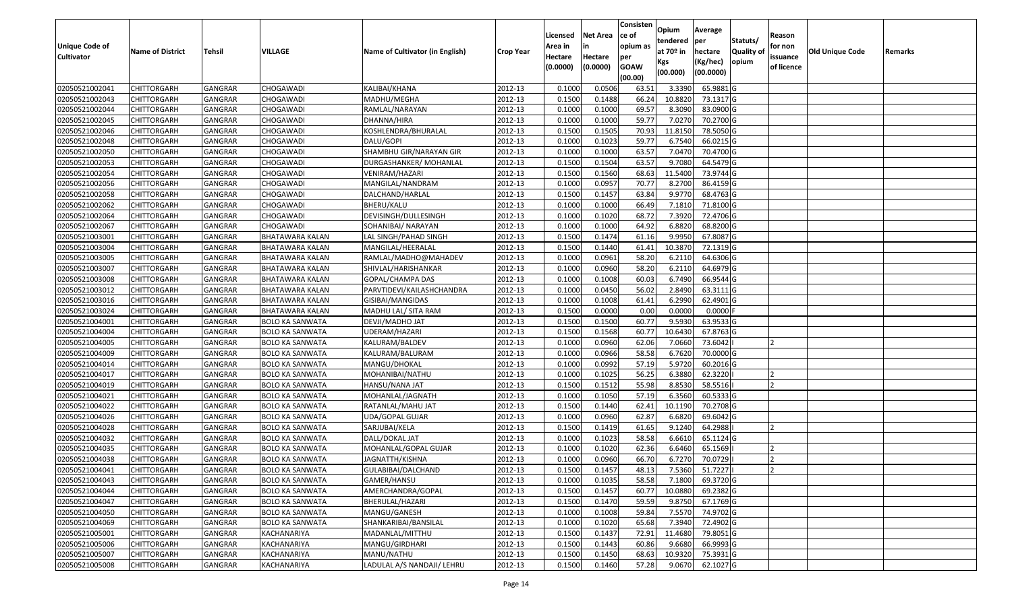|                       |                         |                |                        |                                 |                  | Licensed | <b>Net Area</b> | Consisten<br>ce of | Opium       | Average   |                  | Reason     |                        |         |
|-----------------------|-------------------------|----------------|------------------------|---------------------------------|------------------|----------|-----------------|--------------------|-------------|-----------|------------------|------------|------------------------|---------|
| <b>Unique Code of</b> |                         |                |                        |                                 |                  | Area in  | in              | opium as           | tendered    | per       | Statuts/         | for non    |                        |         |
| <b>Cultivator</b>     | <b>Name of District</b> | <b>Tehsil</b>  | VILLAGE                | Name of Cultivator (in English) | <b>Crop Year</b> | Hectare  | Hectare         | per                | at $70°$ in | hectare   | <b>Quality o</b> | issuance   | <b>Old Unique Code</b> | Remarks |
|                       |                         |                |                        |                                 |                  | (0.0000) | (0.0000)        | <b>GOAW</b>        | Kgs         | (Kg/hec)  | opium            | of licence |                        |         |
|                       |                         |                |                        |                                 |                  |          |                 | (00.00)            | (00.000)    | (00.0000) |                  |            |                        |         |
| 02050521002041        | CHITTORGARH             | GANGRAR        | CHOGAWADI              | KALIBAI/KHANA                   | 2012-13          | 0.1000   | 0.0506          | 63.5               | 3.3390      | 65.9881G  |                  |            |                        |         |
| 02050521002043        | CHITTORGARH             | GANGRAR        | CHOGAWADI              | MADHU/MEGHA                     | 2012-13          | 0.1500   | 0.1488          | 66.24              | 10.8820     | 73.1317 G |                  |            |                        |         |
| 02050521002044        | CHITTORGARH             | GANGRAR        | CHOGAWADI              | RAMLAL/NARAYAN                  | 2012-13          | 0.1000   | 0.1000          | 69.57              | 8.3090      | 83.0900 G |                  |            |                        |         |
| 02050521002045        | <b>CHITTORGARH</b>      | <b>GANGRAR</b> | CHOGAWADI              | DHANNA/HIRA                     | 2012-13          | 0.1000   | 0.1000          | 59.77              | 7.0270      | 70.2700 G |                  |            |                        |         |
| 02050521002046        | CHITTORGARH             | GANGRAR        | CHOGAWADI              | KOSHLENDRA/BHURALAL             | 2012-13          | 0.1500   | 0.1505          | 70.93              | 11.815      | 78.5050 G |                  |            |                        |         |
| 02050521002048        | CHITTORGARH             | GANGRAR        | CHOGAWADI              | DALU/GOPI                       | 2012-13          | 0.1000   | 0.1023          | 59.77              | 6.7540      | 66.0215 G |                  |            |                        |         |
| 02050521002050        | CHITTORGARH             | GANGRAR        | CHOGAWADI              | SHAMBHU GIR/NARAYAN GIR         | 2012-13          | 0.1000   | 0.1000          | 63.57              | 7.0470      | 70.4700 G |                  |            |                        |         |
| 02050521002053        | <b>CHITTORGARH</b>      | <b>GANGRAR</b> | CHOGAWADI              | DURGASHANKER/ MOHANLAL          | 2012-13          | 0.1500   | 0.1504          | 63.57              | 9.7080      | 64.5479 G |                  |            |                        |         |
| 02050521002054        | <b>CHITTORGARH</b>      | GANGRAR        | CHOGAWADI              | VENIRAM/HAZARI                  | 2012-13          | 0.1500   | 0.1560          | 68.63              | 11.5400     | 73.9744 G |                  |            |                        |         |
| 02050521002056        | CHITTORGARH             | GANGRAR        | CHOGAWADI              | MANGILAL/NANDRAM                | 2012-13          | 0.1000   | 0.0957          | 70.77              | 8.2700      | 86.4159 G |                  |            |                        |         |
| 02050521002058        | CHITTORGARH             | GANGRAR        | CHOGAWADI              | DALCHAND/HARLAL                 | 2012-13          | 0.1500   | 0.1457          | 63.84              | 9.9770      | 68.4763 G |                  |            |                        |         |
| 02050521002062        | <b>CHITTORGARH</b>      | GANGRAR        | CHOGAWADI              | BHERU/KALU                      | 2012-13          | 0.1000   | 0.1000          | 66.49              | 7.1810      | 71.8100 G |                  |            |                        |         |
| 02050521002064        | <b>CHITTORGARH</b>      | <b>GANGRAR</b> | CHOGAWADI              | DEVISINGH/DULLESINGH            | 2012-13          | 0.1000   | 0.1020          | 68.72              | 7.3920      | 72.4706 G |                  |            |                        |         |
| 02050521002067        | <b>CHITTORGARH</b>      | GANGRAR        | CHOGAWADI              | SOHANIBAI/ NARAYAN              | 2012-13          | 0.1000   | 0.1000          | 64.92              | 6.8820      | 68.8200 G |                  |            |                        |         |
| 02050521003001        | CHITTORGARH             | <b>GANGRAR</b> | BHATAWARA KALAN        | LAL SINGH/PAHAD SINGH           | 2012-13          | 0.1500   | 0.1474          | 61.16              | 9.9950      | 67.8087 G |                  |            |                        |         |
| 02050521003004        | <b>CHITTORGARH</b>      | <b>GANGRAR</b> | BHATAWARA KALAN        | MANGILAL/HEERALAL               | 2012-13          | 0.1500   | 0.1440          | 61.41              | 10.3870     | 72.1319 G |                  |            |                        |         |
| 02050521003005        | <b>CHITTORGARH</b>      | <b>GANGRAR</b> | <b>BHATAWARA KALAN</b> | RAMLAL/MADHO@MAHADEV            | 2012-13          | 0.1000   | 0.0961          | 58.20              | 6.2110      | 64.6306 G |                  |            |                        |         |
| 02050521003007        | CHITTORGARH             | GANGRAR        | BHATAWARA KALAN        | SHIVLAL/HARISHANKAR             | 2012-13          | 0.1000   | 0.0960          | 58.20              | 6.2110      | 64.6979 G |                  |            |                        |         |
| 02050521003008        | CHITTORGARH             | <b>GANGRAR</b> | BHATAWARA KALAN        | GOPAL/CHAMPA DAS                | 2012-13          | 0.1000   | 0.1008          | 60.03              | 6.7490      | 66.9544 G |                  |            |                        |         |
| 02050521003012        | CHITTORGARH             | GANGRAR        | BHATAWARA KALAN        | PARVTIDEVI/KAILASHCHANDRA       | 2012-13          | 0.1000   | 0.0450          | 56.02              | 2.8490      | 63.3111G  |                  |            |                        |         |
| 02050521003016        | CHITTORGARH             | <b>GANGRAR</b> | <b>BHATAWARA KALAN</b> | GISIBAI/MANGIDAS                | 2012-13          | 0.1000   | 0.1008          | 61.41              | 6.2990      | 62.4901G  |                  |            |                        |         |
| 02050521003024        | CHITTORGARH             | GANGRAR        | BHATAWARA KALAN        | MADHU LAL/ SITA RAM             | 2012-13          | 0.1500   | 0.0000          | 0.00               | 0.0000      | 0.0000    |                  |            |                        |         |
| 02050521004001        | CHITTORGARH             | GANGRAR        | <b>BOLO KA SANWATA</b> | DEVJI/MADHO JAT                 | 2012-13          | 0.1500   | 0.1500          | 60.77              | 9.5930      | 63.9533 G |                  |            |                        |         |
| 02050521004004        | <b>CHITTORGARH</b>      | <b>GANGRAR</b> | <b>BOLO KA SANWATA</b> | UDERAM/HAZARI                   | 2012-13          | 0.1500   | 0.1568          | 60.77              | 10.6430     | 67.8763 G |                  |            |                        |         |
| 02050521004005        | CHITTORGARH             | <b>GANGRAR</b> | <b>BOLO KA SANWATA</b> | KALURAM/BALDEV                  | 2012-13          | 0.1000   | 0.0960          | 62.06              | 7.0660      | 73.6042   |                  |            |                        |         |
| 02050521004009        | CHITTORGARH             | GANGRAR        | <b>BOLO KA SANWATA</b> | KALURAM/BALURAM                 | 2012-13          | 0.1000   | 0.0966          | 58.58              | 6.7620      | 70.0000G  |                  |            |                        |         |
| 02050521004014        | CHITTORGARH             | GANGRAR        | <b>BOLO KA SANWATA</b> | MANGU/DHOKAL                    | 2012-13          | 0.1000   | 0.0992          | 57.19              | 5.9720      | 60.2016 G |                  |            |                        |         |
| 02050521004017        | CHITTORGARH             | GANGRAR        | <b>BOLO KA SANWATA</b> | MOHANIBAI/NATHU                 | 2012-13          | 0.1000   | 0.1025          | 56.25              | 6.3880      | 62.3220   |                  |            |                        |         |
| 02050521004019        | CHITTORGARH             | <b>GANGRAR</b> | <b>BOLO KA SANWATA</b> | HANSU/NANA JAT                  | 2012-13          | 0.1500   | 0.1512          | 55.98              | 8.8530      | 58.5516   |                  |            |                        |         |
| 02050521004021        | CHITTORGARH             | <b>GANGRAR</b> | <b>BOLO KA SANWATA</b> | MOHANLAL/JAGNATH                | 2012-13          | 0.1000   | 0.1050          | 57.19              | 6.3560      | 60.5333 G |                  |            |                        |         |
| 02050521004022        | CHITTORGARH             | GANGRAR        | <b>BOLO KA SANWATA</b> | RATANLAL/MAHU JAT               | 2012-13          | 0.1500   | 0.1440          | 62.41              | 10.1190     | 70.2708 G |                  |            |                        |         |
| 02050521004026        | CHITTORGARH             | GANGRAR        | <b>BOLO KA SANWATA</b> | UDA/GOPAL GUJAR                 | 2012-13          | 0.1000   | 0.0960          | 62.87              | 6.6820      | 69.6042 G |                  |            |                        |         |
| 02050521004028        | CHITTORGARH             | <b>GANGRAR</b> | <b>BOLO KA SANWATA</b> | SARJUBAI/KELA                   | 2012-13          | 0.1500   | 0.1419          | 61.65              | 9.1240      | 64.2988   |                  |            |                        |         |
| 02050521004032        | <b>CHITTORGARH</b>      | GANGRAR        | BOLO KA SANWATA        | DALL/DOKAL JAT                  | 2012-13          | 0.1000   | 0.1023          | 58.58              | 6.6610      | 65.1124 G |                  |            |                        |         |
| 02050521004035        | CHITTORGARH             | GANGRAR        | <b>BOLO KA SANWATA</b> | MOHANLAL/GOPAL GUJAR            | 2012-13          | 0.1000   | 0.1020          | 62.36              | 6.6460      | 65.1569   |                  |            |                        |         |
| 02050521004038        | CHITTORGARH             | GANGRAR        | <b>BOLO KA SANWATA</b> | JAGNATTH/KISHNA                 | 2012-13          | 0.1000   | 0.0960          | 66.70              | 6.7270      | 70.0729   |                  | 12         |                        |         |
| 02050521004041        | <b>CHITTORGARH</b>      | GANGRAR        | <b>BOLO KA SANWATA</b> | GULABIBAI/DALCHAND              | 2012-13          | 0.1500   | 0.1457          | 48.13              | 7.5360      | 51.7227   |                  | 12         |                        |         |
| 02050521004043        | <b>CHITTORGARH</b>      | <b>GANGRAR</b> | <b>BOLO KA SANWATA</b> | GAMER/HANSU                     | 2012-13          | 0.1000   | 0.1035          | 58.58              | 7.1800      | 69.3720 G |                  |            |                        |         |
| 02050521004044        | <b>CHITTORGARH</b>      | <b>GANGRAR</b> | <b>BOLO KA SANWATA</b> | AMERCHANDRA/GOPAL               | 2012-13          | 0.1500   | 0.1457          | 60.77              | 10.0880     | 69.2382 G |                  |            |                        |         |
| 02050521004047        | <b>CHITTORGARH</b>      | <b>GANGRAR</b> | <b>BOLO KA SANWATA</b> | BHERULAL/HAZARI                 | 2012-13          | 0.1500   | 0.1470          | 59.59              | 9.8750      | 67.1769 G |                  |            |                        |         |
| 02050521004050        | CHITTORGARH             | <b>GANGRAR</b> | <b>BOLO KA SANWATA</b> | MANGU/GANESH                    | 2012-13          | 0.1000   | 0.1008          | 59.84              | 7.5570      | 74.9702 G |                  |            |                        |         |
| 02050521004069        | <b>CHITTORGARH</b>      | <b>GANGRAR</b> | <b>BOLO KA SANWATA</b> | SHANKARIBAI/BANSILAL            | 2012-13          | 0.1000   | 0.1020          | 65.68              | 7.3940      | 72.4902 G |                  |            |                        |         |
| 02050521005001        | <b>CHITTORGARH</b>      | <b>GANGRAR</b> | KACHANARIYA            | MADANLAL/MITTHU                 | 2012-13          | 0.1500   | 0.1437          | 72.91              | 11.4680     | 79.8051 G |                  |            |                        |         |
| 02050521005006        | <b>CHITTORGARH</b>      | <b>GANGRAR</b> | KACHANARIYA            | MANGU/GIRDHARI                  | 2012-13          | 0.1500   | 0.1443          | 60.86              | 9.6680      | 66.9993 G |                  |            |                        |         |
| 02050521005007        | <b>CHITTORGARH</b>      | <b>GANGRAR</b> | KACHANARIYA            | MANU/NATHU                      | 2012-13          | 0.1500   | 0.1450          | 68.63              | 10.9320     | 75.3931 G |                  |            |                        |         |
| 02050521005008        | <b>CHITTORGARH</b>      | <b>GANGRAR</b> | KACHANARIYA            | LADULAL A/S NANDAJI/ LEHRU      | 2012-13          | 0.1500   | 0.1460          | 57.28              | 9.0670      | 62.1027 G |                  |            |                        |         |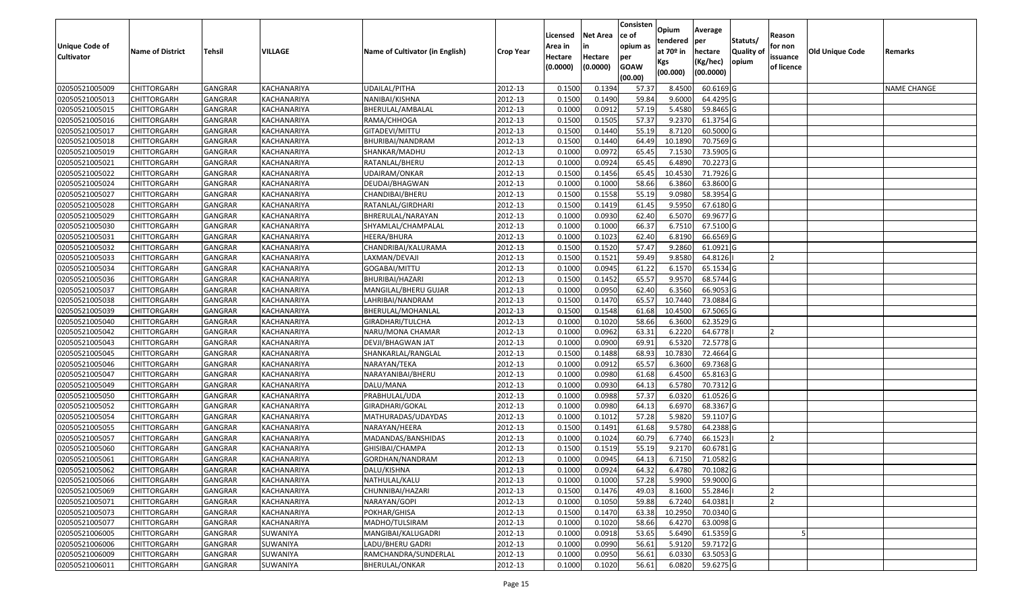| <b>Unique Code of</b> |                         |                |             |                                 |                  | Licensed<br>Area in | <b>Net Area</b><br>in | Consisten<br>ce of<br>opium as | Opium<br>tendered            | Average<br>per                   | Statuts/                  | Reason<br>for non      |                 |                    |
|-----------------------|-------------------------|----------------|-------------|---------------------------------|------------------|---------------------|-----------------------|--------------------------------|------------------------------|----------------------------------|---------------------------|------------------------|-----------------|--------------------|
| <b>Cultivator</b>     | <b>Name of District</b> | Tehsil         | VILLAGE     | Name of Cultivator (in English) | <b>Crop Year</b> | Hectare<br>(0.0000) | Hectare<br>(0.0000)   | per<br><b>GOAW</b><br>(00.00)  | at 70º in<br>Kgs<br>(00.000) | hectare<br>(Kg/hec)<br>(00.0000) | <b>Quality o</b><br>opium | issuance<br>of licence | Old Unique Code | Remarks            |
| 02050521005009        | <b>CHITTORGARH</b>      | <b>GANGRAR</b> | KACHANARIYA | <b>UDAILAL/PITHA</b>            | 2012-13          | 0.1500              | 0.1394                | 57.37                          | 8.4500                       | 60.6169 G                        |                           |                        |                 | <b>NAME CHANGE</b> |
| 02050521005013        | <b>CHITTORGARH</b>      | GANGRAR        | KACHANARIYA | NANIBAI/KISHNA                  | 2012-13          | 0.1500              | 0.1490                | 59.84                          | 9.6000                       | 64.4295 G                        |                           |                        |                 |                    |
| 02050521005015        | <b>CHITTORGARH</b>      | GANGRAR        | KACHANARIYA | BHERULAL/AMBALAL                | 2012-13          | 0.1000              | 0.0912                | 57.19                          | 5.4580                       | 59.8465 G                        |                           |                        |                 |                    |
| 02050521005016        | <b>CHITTORGARH</b>      | <b>GANGRAR</b> | KACHANARIYA | RAMA/CHHOGA                     | 2012-13          | 0.1500              | 0.1505                | 57.37                          | 9.2370                       | 61.3754 G                        |                           |                        |                 |                    |
| 02050521005017        | <b>CHITTORGARH</b>      | GANGRAR        | KACHANARIYA | GITADEVI/MITTU                  | 2012-13          | 0.1500              | 0.1440                | 55.19                          | 8.7120                       | 60.5000 G                        |                           |                        |                 |                    |
| 02050521005018        | <b>CHITTORGARH</b>      | <b>GANGRAR</b> | KACHANARIYA | BHURIBAI/NANDRAM                | 2012-13          | 0.1500              | 0.1440                | 64.49                          | 10.1890                      | 70.7569 G                        |                           |                        |                 |                    |
| 02050521005019        | CHITTORGARH             | GANGRAR        | KACHANARIYA | SHANKAR/MADHU                   | 2012-13          | 0.1000              | 0.0972                | 65.45                          | 7.1530                       | 73.5905 G                        |                           |                        |                 |                    |
| 02050521005021        | <b>CHITTORGARH</b>      | GANGRAR        | KACHANARIYA | RATANLAL/BHERU                  | 2012-13          | 0.1000              | 0.0924                | 65.45                          | 6.4890                       | 70.2273 G                        |                           |                        |                 |                    |
| 02050521005022        | <b>CHITTORGARH</b>      | GANGRAR        | KACHANARIYA | UDAIRAM/ONKAR                   | 2012-13          | 0.1500              | 0.1456                | 65.45                          | 10.4530                      | 71.7926 G                        |                           |                        |                 |                    |
| 02050521005024        | <b>CHITTORGARH</b>      | <b>GANGRAR</b> | KACHANARIYA | DEUDAI/BHAGWAN                  | 2012-13          | 0.1000              | 0.1000                | 58.66                          | 6.3860                       | 63.8600 G                        |                           |                        |                 |                    |
| 02050521005027        | <b>CHITTORGARH</b>      | GANGRAR        | KACHANARIYA | CHANDIBAI/BHERU                 | 2012-13          | 0.1500              | 0.1558                | 55.19                          | 9.0980                       | 58.3954 G                        |                           |                        |                 |                    |
| 02050521005028        | <b>CHITTORGARH</b>      | GANGRAR        | KACHANARIYA | RATANLAL/GIRDHARI               | 2012-13          | 0.1500              | 0.1419                | 61.45                          | 9.5950                       | 67.6180 G                        |                           |                        |                 |                    |
| 02050521005029        | <b>CHITTORGARH</b>      | GANGRAR        | KACHANARIYA | BHRERULAL/NARAYAN               | 2012-13          | 0.1000              | 0.0930                | 62.40                          | 6.5070                       | 69.9677 G                        |                           |                        |                 |                    |
| 02050521005030        | <b>CHITTORGARH</b>      | GANGRAR        | KACHANARIYA | SHYAMLAL/CHAMPALAL              | 2012-13          | 0.1000              | 0.1000                | 66.37                          | 6.7510                       | 67.5100 G                        |                           |                        |                 |                    |
| 02050521005031        | CHITTORGARH             | GANGRAR        | KACHANARIYA | HEERA/BHURA                     | 2012-13          | 0.1000              | 0.1023                | 62.40                          | 6.8190                       | 66.6569 G                        |                           |                        |                 |                    |
| 02050521005032        | <b>CHITTORGARH</b>      | GANGRAR        | KACHANARIYA | CHANDRIBAI/KALURAMA             | 2012-13          | 0.1500              | 0.1520                | 57.47                          | 9.2860                       | 61.0921 G                        |                           |                        |                 |                    |
| 02050521005033        | <b>CHITTORGARH</b>      | GANGRAR        | KACHANARIYA | LAXMAN/DEVAJI                   | 2012-13          | 0.1500              | 0.1521                | 59.49                          | 9.8580                       | 64.8126                          |                           |                        |                 |                    |
| 02050521005034        | <b>CHITTORGARH</b>      | GANGRAR        | KACHANARIYA | GOGABAI/MITTU                   | 2012-13          | 0.1000              | 0.0945                | 61.22                          | 6.1570                       | 65.1534 G                        |                           |                        |                 |                    |
| 02050521005036        | <b>CHITTORGARH</b>      | GANGRAR        | KACHANARIYA | BHURIBAI/HAZARI                 | 2012-13          | 0.1500              | 0.1452                | 65.57                          | 9.9570                       | 68.5744 G                        |                           |                        |                 |                    |
| 02050521005037        | <b>CHITTORGARH</b>      | <b>GANGRAR</b> | KACHANARIYA | MANGILAL/BHERU GUJAR            | 2012-13          | 0.1000              | 0.0950                | 62.40                          | 6.3560                       | 66.9053 G                        |                           |                        |                 |                    |
| 02050521005038        | <b>CHITTORGARH</b>      | GANGRAR        | KACHANARIYA | LAHRIBAI/NANDRAM                | 2012-13          | 0.1500              | 0.1470                | 65.57                          | 10.7440                      | 73.0884 G                        |                           |                        |                 |                    |
| 02050521005039        | <b>CHITTORGARH</b>      | GANGRAR        | KACHANARIYA | BHERULAL/MOHANLAL               | 2012-13          | 0.1500              | 0.1548                | 61.68                          | 10.4500                      | 67.5065 G                        |                           |                        |                 |                    |
| 02050521005040        | <b>CHITTORGARH</b>      | GANGRAR        | KACHANARIYA | GIRADHARI/TULCHA                | 2012-13          | 0.1000              | 0.1020                | 58.66                          | 6.3600                       | 62.3529 G                        |                           |                        |                 |                    |
| 02050521005042        | <b>CHITTORGARH</b>      | GANGRAR        | KACHANARIYA | NARU/MONA CHAMAR                | 2012-13          | 0.1000              | 0.0962                | 63.31                          | 6.2220                       | 64.6778                          |                           |                        |                 |                    |
| 02050521005043        | <b>CHITTORGARH</b>      | <b>GANGRAR</b> | KACHANARIYA | DEVJI/BHAGWAN JAT               | 2012-13          | 0.1000              | 0.0900                | 69.91                          | 6.5320                       | 72.5778 G                        |                           |                        |                 |                    |
| 02050521005045        | <b>CHITTORGARH</b>      | GANGRAR        | KACHANARIYA | SHANKARLAL/RANGLAL              | 2012-13          | 0.1500              | 0.1488                | 68.93                          | 10.7830                      | 72.4664 G                        |                           |                        |                 |                    |
| 02050521005046        | <b>CHITTORGARH</b>      | <b>GANGRAR</b> | KACHANARIYA | NARAYAN/TEKA                    | 2012-13          | 0.1000              | 0.0912                | 65.57                          | 6.3600                       | 69.7368 G                        |                           |                        |                 |                    |
| 02050521005047        | <b>CHITTORGARH</b>      | GANGRAR        | KACHANARIYA | NARAYANIBAI/BHERU               | 2012-13          | 0.1000              | 0.0980                | 61.68                          | 6.4500                       | 65.8163 G                        |                           |                        |                 |                    |
| 02050521005049        | <b>CHITTORGARH</b>      | <b>GANGRAR</b> | KACHANARIYA | DALU/MANA                       | 2012-13          | 0.1000              | 0.0930                | 64.13                          | 6.5780                       | 70.7312 G                        |                           |                        |                 |                    |
| 02050521005050        | <b>CHITTORGARH</b>      | <b>GANGRAR</b> | KACHANARIYA | PRABHULAL/UDA                   | 2012-13          | 0.1000              | 0.0988                | 57.37                          | 6.0320                       | 61.0526 G                        |                           |                        |                 |                    |
| 02050521005052        | <b>CHITTORGARH</b>      | GANGRAR        | KACHANARIYA | GIRADHARI/GOKAL                 | 2012-13          | 0.1000              | 0.0980                | 64.13                          | 6.6970                       | 68.3367 G                        |                           |                        |                 |                    |
| 02050521005054        | CHITTORGARH             | GANGRAR        | KACHANARIYA | MATHURADAS/UDAYDAS              | 2012-13          | 0.1000              | 0.1012                | 57.28                          | 5.9820                       | 59.1107 G                        |                           |                        |                 |                    |
| 02050521005055        | <b>CHITTORGARH</b>      | GANGRAR        | KACHANARIYA | NARAYAN/HEERA                   | 2012-13          | 0.1500              | 0.1491                | 61.68                          | 9.5780                       | 64.2388 G                        |                           |                        |                 |                    |
| 02050521005057        | <b>CHITTORGARH</b>      | <b>GANGRAR</b> | KACHANARIYA | MADANDAS/BANSHIDAS              | 2012-13          | 0.1000              | 0.1024                | 60.79                          | 6.7740                       | 66.1523                          |                           |                        |                 |                    |
| 02050521005060        | CHITTORGARH             | GANGRAR        | KACHANARIYA | GHISIBAI/CHAMPA                 | 2012-13          | 0.1500              | 0.1519                | 55.19                          | 9.2170                       | 60.6781 G                        |                           |                        |                 |                    |
| 02050521005061        | <b>CHITTORGARH</b>      | GANGRAR        | KACHANARIYA | GORDHAN/NANDRAM                 | 2012-13          | 0.1000              | 0.0945                | 64.13                          | 6.7150                       | 71.0582 G                        |                           |                        |                 |                    |
| 02050521005062        | <b>CHITTORGARH</b>      | GANGRAR        | KACHANARIYA | DALU/KISHNA                     | 2012-13          | 0.1000              | 0.0924                | 64.32                          | 6.4780                       | 70.1082 G                        |                           |                        |                 |                    |
| 02050521005066        | <b>CHITTORGARH</b>      | GANGRAR        | KACHANARIYA | NATHULAL/KALU                   | 2012-13          | 0.1000              | 0.1000                | 57.28                          | 5.9900                       | 59.9000 G                        |                           |                        |                 |                    |
| 02050521005069        | <b>CHITTORGARH</b>      | GANGRAR        | KACHANARIYA | CHUNNIBAI/HAZARI                | 2012-13          | 0.1500              | 0.1476                | 49.03                          | 8.1600                       | 55.2846                          |                           |                        |                 |                    |
| 02050521005071        | <b>CHITTORGARH</b>      | GANGRAR        | KACHANARIYA | NARAYAN/GOPI                    | 2012-13          | 0.1000              | 0.1050                | 59.88                          | 6.7240                       | 64.0381                          |                           | $\overline{2}$         |                 |                    |
| 02050521005073        | <b>CHITTORGARH</b>      | GANGRAR        | KACHANARIYA | POKHAR/GHISA                    | 2012-13          | 0.1500              | 0.1470                | 63.38                          | 10.2950                      | 70.0340G                         |                           |                        |                 |                    |
| 02050521005077        | <b>CHITTORGARH</b>      | <b>GANGRAR</b> | KACHANARIYA | MADHO/TULSIRAM                  | 2012-13          | 0.1000              | 0.1020                | 58.66                          | 6.4270                       | 63.0098 G                        |                           |                        |                 |                    |
| 02050521006005        | <b>CHITTORGARH</b>      | GANGRAR        | SUWANIYA    | MANGIBAI/KALUGADRI              | 2012-13          | 0.1000              | 0.0918                | 53.65                          | 5.6490                       | 61.5359 G                        |                           |                        |                 |                    |
| 02050521006006        | <b>CHITTORGARH</b>      | GANGRAR        | SUWANIYA    | LADU/BHERU GADRI                | 2012-13          | 0.1000              | 0.0990                | 56.61                          | 5.9120                       | 59.7172 G                        |                           |                        |                 |                    |
| 02050521006009        | <b>CHITTORGARH</b>      | GANGRAR        | SUWANIYA    | RAMCHANDRA/SUNDERLAL            | 2012-13          | 0.1000              | 0.0950                | 56.61                          | 6.0330                       | 63.5053 G                        |                           |                        |                 |                    |
| 02050521006011        | <b>CHITTORGARH</b>      | GANGRAR        | SUWANIYA    | BHERULAL/ONKAR                  | 2012-13          | 0.1000              | 0.1020                | 56.61                          | 6.0820                       | 59.6275 G                        |                           |                        |                 |                    |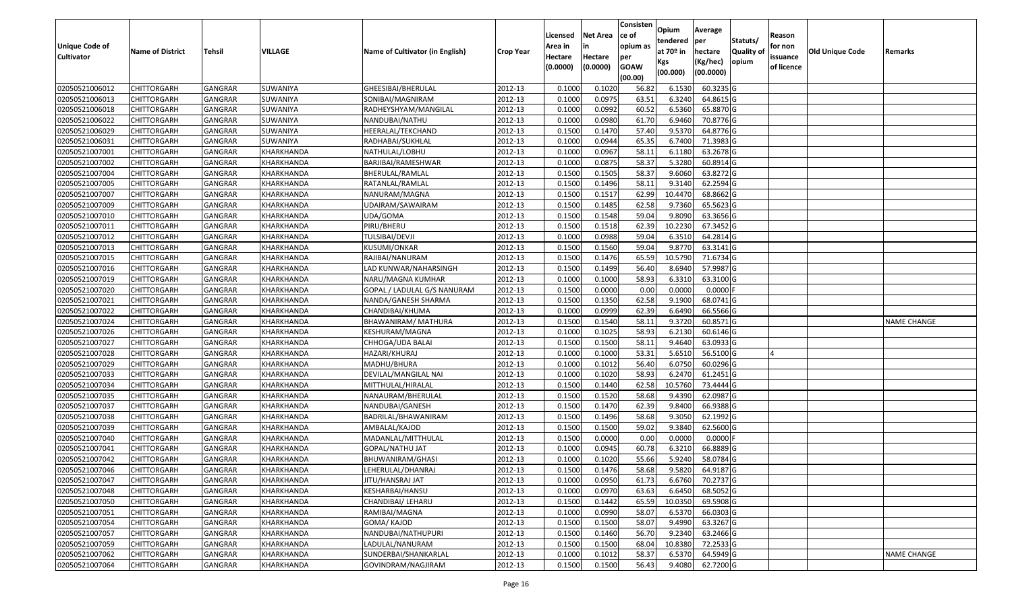|                   |                         |                |                   |                                 |                  |          |                 | Consisten   | Opium       | Average                |                  |            |                        |                    |
|-------------------|-------------------------|----------------|-------------------|---------------------------------|------------------|----------|-----------------|-------------|-------------|------------------------|------------------|------------|------------------------|--------------------|
|                   |                         |                |                   |                                 |                  | Licensed | <b>Net Area</b> | ce of       | tendered    | per                    | Statuts/         | Reason     |                        |                    |
| Unique Code of    | <b>Name of District</b> | <b>Tehsil</b>  | VILLAGE           | Name of Cultivator (in English) | <b>Crop Year</b> | Area in  | in              | opium as    | at $70°$ in | hectare                | <b>Quality o</b> | for non    | <b>Old Unique Code</b> | Remarks            |
| <b>Cultivator</b> |                         |                |                   |                                 |                  | Hectare  | Hectare         | per         | Kgs         | (Kg/hec)               | opium            | issuance   |                        |                    |
|                   |                         |                |                   |                                 |                  | (0.0000) | (0.0000)        | <b>GOAW</b> | (00.000)    | (00.0000)              |                  | of licence |                        |                    |
|                   |                         |                |                   |                                 |                  |          |                 | (00.00)     |             |                        |                  |            |                        |                    |
| 02050521006012    | CHITTORGARH             | GANGRAR        | SUWANIYA          | GHEESIBAI/BHERULAL              | 2012-13          | 0.1000   | 0.1020          | 56.82       | 6.1530      | 60.3235 G              |                  |            |                        |                    |
| 02050521006013    | CHITTORGARH             | GANGRAR        | SUWANIYA          | SONIBAI/MAGNIRAM                | 2012-13          | 0.1000   | 0.0975          | 63.5        | 6.3240      | 64.8615 G              |                  |            |                        |                    |
| 02050521006018    | CHITTORGARH             | GANGRAR        | SUWANIYA          | RADHEYSHYAM/MANGILAL            | 2012-13          | 0.1000   | 0.0992          | 60.52       | 6.5360      | 65.8870 G              |                  |            |                        |                    |
| 02050521006022    | <b>CHITTORGARH</b>      | <b>GANGRAR</b> | SUWANIYA          | NANDUBAI/NATHU                  | 2012-13          | 0.1000   | 0.0980          | 61.70       | 6.9460      | 70.8776 G              |                  |            |                        |                    |
| 02050521006029    | CHITTORGARH             | GANGRAR        | SUWANIYA          | HEERALAL/TEKCHAND               | 2012-13          | 0.1500   | 0.1470          | 57.40       | 9.5370      | 64.8776 G              |                  |            |                        |                    |
| 02050521006031    | CHITTORGARH             | GANGRAR        | SUWANIYA          | RADHABAI/SUKHLAL                | 2012-13          | 0.1000   | 0.0944          | 65.35       | 6.7400      | $\overline{71.3983}$ G |                  |            |                        |                    |
| 02050521007001    | CHITTORGARH             | GANGRAR        | KHARKHANDA        | NATHULAL/LOBHU                  | 2012-13          | 0.1000   | 0.0967          | 58.1        | 6.1180      | 63.2678 G              |                  |            |                        |                    |
| 02050521007002    | CHITTORGARH             | <b>GANGRAR</b> | KHARKHANDA        | BARJIBAI/RAMESHWAR              | 2012-13          | 0.1000   | 0.0875          | 58.37       | 5.3280      | 60.8914 G              |                  |            |                        |                    |
| 02050521007004    | CHITTORGARH             | GANGRAR        | KHARKHANDA        | BHERULAL/RAMLAL                 | 2012-13          | 0.1500   | 0.1505          | 58.37       | 9.6060      | 63.8272 G              |                  |            |                        |                    |
| 02050521007005    | CHITTORGARH             | GANGRAR        | KHARKHANDA        | RATANLAL/RAMLAL                 | 2012-13          | 0.1500   | 0.1496          | 58.13       | 9.3140      | 62.2594 G              |                  |            |                        |                    |
| 02050521007007    | CHITTORGARH             | GANGRAR        | KHARKHANDA        | NANURAM/MAGNA                   | 2012-13          | 0.1500   | 0.1517          | 62.99       | 10.4470     | 68.8662G               |                  |            |                        |                    |
| 02050521007009    | <b>CHITTORGARH</b>      | <b>GANGRAR</b> | KHARKHANDA        | UDAIRAM/SAWAIRAM                | 2012-13          | 0.1500   | 0.1485          | 62.58       | 9.7360      | 65.5623 G              |                  |            |                        |                    |
| 02050521007010    | <b>CHITTORGARH</b>      | <b>GANGRAR</b> | KHARKHANDA        | UDA/GOMA                        | 2012-13          | 0.1500   | 0.1548          | 59.04       | 9.8090      | 63.3656 G              |                  |            |                        |                    |
| 02050521007011    | <b>CHITTORGARH</b>      | GANGRAR        | KHARKHANDA        | PIRU/BHERU                      | 2012-13          | 0.1500   | 0.1518          | 62.39       | 10.2230     | 67.3452 G              |                  |            |                        |                    |
| 02050521007012    | CHITTORGARH             | <b>GANGRAR</b> | KHARKHANDA        | TULSIBAI/DEVJI                  | 2012-13          | 0.1000   | 0.0988          | 59.04       | 6.3510      | 64.2814 G              |                  |            |                        |                    |
| 02050521007013    | <b>CHITTORGARH</b>      | <b>GANGRAR</b> | KHARKHANDA        | KUSUMI/ONKAR                    | 2012-13          | 0.1500   | 0.1560          | 59.04       | 9.8770      | 63.3141 G              |                  |            |                        |                    |
| 02050521007015    | CHITTORGARH             | <b>GANGRAR</b> | KHARKHANDA        | RAJIBAI/NANURAM                 | 2012-13          | 0.1500   | 0.1476          | 65.59       | 10.5790     | 71.6734 G              |                  |            |                        |                    |
| 02050521007016    | CHITTORGARH             | GANGRAR        | KHARKHANDA        | LAD KUNWAR/NAHARSINGH           | 2012-13          | 0.1500   | 0.1499          | 56.40       | 8.6940      | 57.9987 G              |                  |            |                        |                    |
| 02050521007019    | CHITTORGARH             | <b>GANGRAR</b> | KHARKHANDA        | NARU/MAGNA KUMHAR               | 2012-13          | 0.1000   | 0.1000          | 58.93       | 6.3310      | 63.3100G               |                  |            |                        |                    |
| 02050521007020    | CHITTORGARH             | GANGRAR        | KHARKHANDA        | GOPAL / LADULAL G/S NANURAM     | 2012-13          | 0.1500   | 0.0000          | 0.00        | 0.0000      | 0.0000                 |                  |            |                        |                    |
| 02050521007021    | CHITTORGARH             | <b>GANGRAR</b> | KHARKHANDA        | NANDA/GANESH SHARMA             | 2012-13          | 0.1500   | 0.1350          | 62.58       | 9.1900      | 68.0741G               |                  |            |                        |                    |
| 02050521007022    | CHITTORGARH             | GANGRAR        | KHARKHANDA        | CHANDIBAI/KHUMA                 | 2012-13          | 0.1000   | 0.0999          | 62.39       | 6.6490      | 66.5566 G              |                  |            |                        |                    |
| 02050521007024    | CHITTORGARH             | GANGRAR        | KHARKHANDA        | BHAWANIRAM/ MATHURA             | 2012-13          | 0.1500   | 0.1540          | 58.1        | 9.3720      | 60.8571 G              |                  |            |                        | <b>NAME CHANGE</b> |
| 02050521007026    | CHITTORGARH             | <b>GANGRAR</b> | KHARKHANDA        | KESHURAM/MAGNA                  | 2012-13          | 0.1000   | 0.1025          | 58.93       | 6.2130      | 60.6146 G              |                  |            |                        |                    |
| 02050521007027    | <b>CHITTORGARH</b>      | <b>GANGRAR</b> | KHARKHANDA        | CHHOGA/UDA BALAI                | 2012-13          | 0.1500   | 0.1500          | 58.11       | 9.4640      | 63.0933 G              |                  |            |                        |                    |
| 02050521007028    | CHITTORGARH             | GANGRAR        | KHARKHANDA        | HAZARI/KHURAJ                   | 2012-13          | 0.1000   | 0.1000          | 53.31       | 5.6510      | 56.5100G               |                  |            |                        |                    |
| 02050521007029    | CHITTORGARH             | GANGRAR        | KHARKHANDA        | MADHU/BHURA                     | 2012-13          | 0.1000   | 0.1012          | 56.40       | 6.0750      | 60.0296 G              |                  |            |                        |                    |
| 02050521007033    | CHITTORGARH             | GANGRAR        | KHARKHANDA        | DEVILAL/MANGILAL NAI            | 2012-13          | 0.1000   | 0.1020          | 58.93       | 6.2470      | $61.2451$ G            |                  |            |                        |                    |
| 02050521007034    | CHITTORGARH             | <b>GANGRAR</b> | KHARKHANDA        | MITTHULAL/HIRALAL               | 2012-13          | 0.1500   | 0.1440          | 62.58       | 10.5760     | 73.4444 G              |                  |            |                        |                    |
| 02050521007035    | CHITTORGARH             | <b>GANGRAR</b> | KHARKHANDA        | NANAURAM/BHERULAL               | 2012-13          | 0.1500   | 0.1520          | 58.68       | 9.4390      | 62.0987 G              |                  |            |                        |                    |
| 02050521007037    | CHITTORGARH             | <b>GANGRAR</b> | KHARKHANDA        | NANDUBAI/GANESH                 | 2012-13          | 0.1500   | 0.1470          | 62.39       | 9.8400      | 66.9388 G              |                  |            |                        |                    |
| 02050521007038    | CHITTORGARH             | GANGRAR        | KHARKHANDA        | BADRILAL/BHAWANIRAM             | 2012-13          | 0.1500   | 0.1496          | 58.68       | 9.3050      | 62.1992 G              |                  |            |                        |                    |
| 02050521007039    | CHITTORGARH             | <b>GANGRAR</b> | KHARKHANDA        | AMBALAL/KAJOD                   | 2012-13          | 0.1500   | 0.1500          | 59.02       | 9.3840      | 62.5600 G              |                  |            |                        |                    |
| 02050521007040    | CHITTORGARH             | GANGRAR        | KHARKHANDA        | MADANLAL/MITTHULAL              | 2012-13          | 0.1500   | 0.0000          | 0.00        | 0.0000      | 0.0000                 |                  |            |                        |                    |
| 02050521007041    | CHITTORGARH             | <b>GANGRAR</b> | KHARKHANDA        | GOPAL/NATHU JAT                 | 2012-13          | 0.1000   | 0.0945          | 60.78       | 6.3210      | 66.8889 G              |                  |            |                        |                    |
| 02050521007042    | CHITTORGARH             | GANGRAR        | KHARKHANDA        | BHUWANIRAM/GHASI                | 2012-13          | 0.1000   | 0.1020          | 55.66       | 5.9240      | 58.0784 G              |                  |            |                        |                    |
| 02050521007046    | <b>CHITTORGARH</b>      | GANGRAR        | KHARKHANDA        | LEHERULAL/DHANRAJ               | 2012-13          | 0.1500   | 0.1476          | 58.68       | 9.5820      | $64.9187$ G            |                  |            |                        |                    |
| 02050521007047    | <b>CHITTORGARH</b>      | <b>GANGRAR</b> | KHARKHANDA        | JITU/HANSRAJ JAT                | 2012-13          | 0.1000   | 0.0950          | 61.73       | 6.6760      | 70.2737 G              |                  |            |                        |                    |
| 02050521007048    | <b>CHITTORGARH</b>      | <b>GANGRAR</b> | KHARKHANDA        | KESHARBAI/HANSU                 | 2012-13          | 0.1000   | 0.0970          | 63.63       | 6.6450      | 68.5052 G              |                  |            |                        |                    |
| 02050521007050    | <b>CHITTORGARH</b>      | <b>GANGRAR</b> | KHARKHANDA        | CHANDIBAI/ LEHARU               | 2012-13          | 0.1500   | 0.1442          | 65.59       | 10.0350     | 69.5908 G              |                  |            |                        |                    |
| 02050521007051    | <b>CHITTORGARH</b>      | <b>GANGRAR</b> | KHARKHANDA        | RAMIBAI/MAGNA                   | 2012-13          | 0.1000   | 0.0990          | 58.07       | 6.5370      | 66.0303 G              |                  |            |                        |                    |
| 02050521007054    | <b>CHITTORGARH</b>      | <b>GANGRAR</b> | <b>KHARKHANDA</b> | GOMA/KAJOD                      | 2012-13          | 0.1500   | 0.1500          | 58.07       | 9.4990      | 63.3267 G              |                  |            |                        |                    |
| 02050521007057    | <b>CHITTORGARH</b>      | <b>GANGRAR</b> | KHARKHANDA        | NANDUBAI/NATHUPURI              | 2012-13          | 0.1500   | 0.1460          | 56.70       | 9.2340      | 63.2466 G              |                  |            |                        |                    |
| 02050521007059    | <b>CHITTORGARH</b>      | <b>GANGRAR</b> | KHARKHANDA        | LADULAL/NANURAM                 | 2012-13          | 0.1500   | 0.1500          | 68.04       | 10.8380     | 72.2533 G              |                  |            |                        |                    |
| 02050521007062    | <b>CHITTORGARH</b>      | <b>GANGRAR</b> | KHARKHANDA        | SUNDERBAI/SHANKARLAL            | 2012-13          | 0.1000   | 0.1012          | 58.37       | 6.5370      | 64.5949 G              |                  |            |                        | <b>NAME CHANGE</b> |
| 02050521007064    | <b>CHITTORGARH</b>      | <b>GANGRAR</b> | KHARKHANDA        | GOVINDRAM/NAGJIRAM              | 2012-13          | 0.1500   | 0.1500          | 56.43       | 9.4080      | 62.7200 G              |                  |            |                        |                    |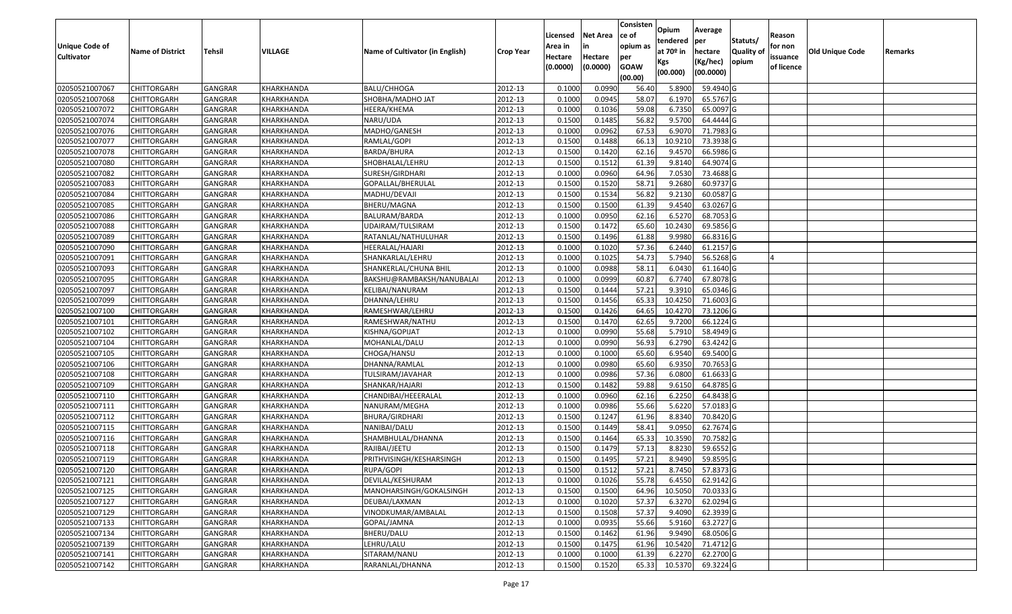|                       |                         |                |                |                                 |                  |          |                 | Consisten   | Opium       | Average          |                  |            |                 |         |
|-----------------------|-------------------------|----------------|----------------|---------------------------------|------------------|----------|-----------------|-------------|-------------|------------------|------------------|------------|-----------------|---------|
|                       |                         |                |                |                                 |                  | Licensed | <b>Net Area</b> | ce of       | tendered    | per              | Statuts/         | Reason     |                 |         |
| <b>Unique Code of</b> | <b>Name of District</b> | <b>Tehsil</b>  | <b>VILLAGE</b> | Name of Cultivator (in English) | <b>Crop Year</b> | Area in  | in              | opium as    | at $70°$ in | hectare          | <b>Quality o</b> | for non    | Old Unique Code | Remarks |
| <b>Cultivator</b>     |                         |                |                |                                 |                  | Hectare  | Hectare         | per         | Kgs         | (Kg/hec)         | opium            | issuance   |                 |         |
|                       |                         |                |                |                                 |                  | (0.0000) | (0.0000)        | <b>GOAW</b> | (00.000)    | (00.0000)        |                  | of licence |                 |         |
|                       |                         |                |                |                                 |                  |          |                 | (00.00)     |             |                  |                  |            |                 |         |
| 02050521007067        | CHITTORGARH             | GANGRAR        | KHARKHANDA     | <b>BALU/CHHOGA</b>              | 2012-13          | 0.1000   | 0.0990          | 56.40       | 5.8900      | 59.4940 G        |                  |            |                 |         |
| 02050521007068        | CHITTORGARH             | GANGRAR        | KHARKHANDA     | SHOBHA/MADHO JAT                | 2012-13          | 0.1000   | 0.0945          | 58.07       | 6.1970      | 65.5767 G        |                  |            |                 |         |
| 02050521007072        | CHITTORGARH             | GANGRAR        | KHARKHANDA     | HEERA/KHEMA                     | 2012-13          | 0.1000   | 0.1036          | 59.08       | 6.7350      | 65.0097 G        |                  |            |                 |         |
| 02050521007074        | <b>CHITTORGARH</b>      | <b>GANGRAR</b> | KHARKHANDA     | NARU/UDA                        | 2012-13          | 0.1500   | 0.1485          | 56.82       | 9.5700      | 64.4444 G        |                  |            |                 |         |
| 02050521007076        | CHITTORGARH             | GANGRAR        | KHARKHANDA     | MADHO/GANESH                    | 2012-13          | 0.1000   | 0.0962          | 67.53       | 6.907       | 71.7983 G        |                  |            |                 |         |
| 02050521007077        | CHITTORGARH             | <b>GANGRAR</b> | KHARKHANDA     | RAMLAL/GOPI                     | 2012-13          | 0.1500   | 0.1488          | 66.13       | 10.9210     | 73.3938 G        |                  |            |                 |         |
| 02050521007078        | CHITTORGARH             | GANGRAR        | KHARKHANDA     | BARDA/BHURA                     | 2012-13          | 0.1500   | 0.1420          | 62.16       | 9.4570      | 66.5986 G        |                  |            |                 |         |
| 02050521007080        | <b>CHITTORGARH</b>      | <b>GANGRAR</b> | KHARKHANDA     | SHOBHALAL/LEHRU                 | 2012-13          | 0.1500   | 0.1512          | 61.39       | 9.8140      | 64.9074 G        |                  |            |                 |         |
| 02050521007082        | CHITTORGARH             | GANGRAR        | KHARKHANDA     | SURESH/GIRDHARI                 | 2012-13          | 0.1000   | 0.0960          | 64.96       | 7.0530      | 73.4688 G        |                  |            |                 |         |
| 02050521007083        | CHITTORGARH             | <b>GANGRAR</b> | KHARKHANDA     | GOPALLAL/BHERULAL               | 2012-13          | 0.1500   | 0.1520          | 58.71       | 9.2680      | 60.9737 G        |                  |            |                 |         |
| 02050521007084        | CHITTORGARH             | GANGRAR        | KHARKHANDA     | MADHU/DEVAJI                    | 2012-13          | 0.1500   | 0.1534          | 56.82       | 9.2130      | 60.0587G         |                  |            |                 |         |
| 02050521007085        | <b>CHITTORGARH</b>      | <b>GANGRAR</b> | KHARKHANDA     | BHERU/MAGNA                     | 2012-13          | 0.1500   | 0.1500          | 61.39       | 9.4540      | 63.0267 G        |                  |            |                 |         |
| 02050521007086        | <b>CHITTORGARH</b>      | <b>GANGRAR</b> | KHARKHANDA     | BALURAM/BARDA                   | 2012-13          | 0.1000   | 0.0950          | 62.16       | 6.5270      | 68.7053 G        |                  |            |                 |         |
| 02050521007088        | <b>CHITTORGARH</b>      | GANGRAR        | KHARKHANDA     | UDAIRAM/TULSIRAM                | 2012-13          | 0.1500   | 0.1472          | 65.60       | 10.2430     | 69.5856 G        |                  |            |                 |         |
| 02050521007089        | CHITTORGARH             | <b>GANGRAR</b> | KHARKHANDA     | RATANLAL/NATHULUHAR             | 2012-13          | 0.1500   | 0.1496          | 61.88       | 9.9980      | 66.8316 G        |                  |            |                 |         |
| 02050521007090        | CHITTORGARH             | <b>GANGRAR</b> | KHARKHANDA     | HEERALAL/HAJARI                 | 2012-13          | 0.1000   | 0.1020          | 57.36       | 6.2440      | 61.2157 G        |                  |            |                 |         |
| 02050521007091        | CHITTORGARH             | <b>GANGRAR</b> | KHARKHANDA     | SHANKARLAL/LEHRU                | 2012-13          | 0.1000   | 0.1025          | 54.73       | 5.7940      | 56.5268 G        |                  |            |                 |         |
| 02050521007093        | CHITTORGARH             | GANGRAR        | KHARKHANDA     | SHANKERLAL/CHUNA BHIL           | 2012-13          | 0.1000   | 0.0988          | 58.13       | 6.0430      | 61.1640 G        |                  |            |                 |         |
| 02050521007095        | CHITTORGARH             | GANGRAR        | KHARKHANDA     | BAKSHU@RAMBAKSH/NANUBALAI       | 2012-13          | 0.1000   | 0.0999          | 60.87       | 6.7740      | 67.8078 G        |                  |            |                 |         |
| 02050521007097        | CHITTORGARH             | GANGRAR        | KHARKHANDA     | KELIBAI/NANURAM                 | 2012-13          | 0.1500   | 0.1444          | 57.21       | 9.391       | 65.0346 G        |                  |            |                 |         |
| 02050521007099        | CHITTORGARH             | <b>GANGRAR</b> | KHARKHANDA     | DHANNA/LEHRU                    | 2012-13          | 0.1500   | 0.1456          | 65.33       | 10.4250     | 71.6003 G        |                  |            |                 |         |
| 02050521007100        | CHITTORGARH             | GANGRAR        | KHARKHANDA     | RAMESHWAR/LEHRU                 | 2012-13          | 0.150    | 0.1426          | 64.65       | 10.4270     | 73.1206 G        |                  |            |                 |         |
| 02050521007101        | CHITTORGARH             | GANGRAR        | KHARKHANDA     | RAMESHWAR/NATHU                 | 2012-13          | 0.1500   | 0.1470          | 62.65       | 9.7200      | 66.1224 G        |                  |            |                 |         |
| 02050521007102        | CHITTORGARH             | <b>GANGRAR</b> | KHARKHANDA     | KISHNA/GOPIJAT                  | 2012-13          | 0.1000   | 0.0990          | 55.68       | 5.791       | 58.4949 G        |                  |            |                 |         |
| 02050521007104        | <b>CHITTORGARH</b>      | <b>GANGRAR</b> | KHARKHANDA     | MOHANLAL/DALU                   | 2012-13          | 0.1000   | 0.0990          | 56.93       | 6.2790      | 63.4242 G        |                  |            |                 |         |
| 02050521007105        | CHITTORGARH             | GANGRAR        | KHARKHANDA     | CHOGA/HANSU                     | 2012-13          | 0.1000   | 0.1000          | 65.60       | 6.9540      | 69.5400 G        |                  |            |                 |         |
| 02050521007106        | CHITTORGARH             | GANGRAR        | KHARKHANDA     | DHANNA/RAMLAL                   | 2012-13          | 0.1000   | 0.0980          | 65.60       | 6.9350      | 70.7653 G        |                  |            |                 |         |
| 02050521007108        | CHITTORGARH             | GANGRAR        | KHARKHANDA     | TULSIRAM/JAVAHAR                | 2012-13          | 0.1000   | 0.0986          | 57.36       | 6.0800      | 61.6633 G        |                  |            |                 |         |
| 02050521007109        | CHITTORGARH             | <b>GANGRAR</b> | KHARKHANDA     | SHANKAR/HAJARI                  | 2012-13          | 0.1500   | 0.1482          | 59.88       | 9.6150      | 64.8785 G        |                  |            |                 |         |
| 02050521007110        | CHITTORGARH             | <b>GANGRAR</b> | KHARKHANDA     | CHANDIBAI/HEEERALAL             | 2012-13          | 0.1000   | 0.0960          | 62.16       | 6.2250      | $64.8438$ G      |                  |            |                 |         |
| 02050521007111        | CHITTORGARH             | GANGRAR        | KHARKHANDA     | NANURAM/MEGHA                   | 2012-13          | 0.1000   | 0.0986          | 55.66       | 5.6220      | 57.0183 G        |                  |            |                 |         |
| 02050521007112        | CHITTORGARH             | GANGRAR        | KHARKHANDA     | BHURA/GIRDHARI                  | 2012-13          | 0.1500   | 0.1247          | 61.96       | 8.8340      | 70.8420 G        |                  |            |                 |         |
| 02050521007115        | CHITTORGARH             | <b>GANGRAR</b> | KHARKHANDA     | NANIBAI/DALU                    | 2012-13          | 0.1500   | 0.1449          | 58.41       | 9.095       | 62.7674 G        |                  |            |                 |         |
| 02050521007116        | CHITTORGARH             | GANGRAR        | KHARKHANDA     | SHAMBHULAL/DHANNA               | 2012-13          | 0.1500   | 0.1464          | 65.33       | 10.3590     | 70.7582 G        |                  |            |                 |         |
| 02050521007118        | CHITTORGARH             | GANGRAR        | KHARKHANDA     | RAJIBAI/JEETU                   | 2012-13          | 0.150    | 0.1479          | 57.13       | 8.8230      | 59.6552G         |                  |            |                 |         |
| 02050521007119        | CHITTORGARH             | GANGRAR        | KHARKHANDA     | PRITHVISINGH/KESHARSINGH        | 2012-13          | 0.1500   | 0.1495          | 57.21       | 8.9490      | 59.8595 G        |                  |            |                 |         |
| 02050521007120        | <b>CHITTORGARH</b>      | <b>GANGRAR</b> | KHARKHANDA     | RUPA/GOPI                       | 2012-13          | 0.1500   | 0.1512          | 57.21       |             | 8.7450 57.8373 G |                  |            |                 |         |
| 02050521007121        | <b>CHITTORGARH</b>      | <b>GANGRAR</b> | KHARKHANDA     | DEVILAL/KESHURAM                | 2012-13          | 0.1000   | 0.1026          | 55.78       | 6.4550      | 62.9142 G        |                  |            |                 |         |
| 02050521007125        | <b>CHITTORGARH</b>      | <b>GANGRAR</b> | KHARKHANDA     | MANOHARSINGH/GOKALSINGH         | 2012-13          | 0.1500   | 0.1500          | 64.96       | 10.5050     | 70.0333 G        |                  |            |                 |         |
| 02050521007127        | <b>CHITTORGARH</b>      | <b>GANGRAR</b> | KHARKHANDA     | DEUBAI/LAXMAN                   | 2012-13          | 0.1000   | 0.1020          | 57.37       | 6.3270      | 62.0294 G        |                  |            |                 |         |
| 02050521007129        | <b>CHITTORGARH</b>      | <b>GANGRAR</b> | KHARKHANDA     | VINODKUMAR/AMBALAL              | 2012-13          | 0.1500   | 0.1508          | 57.37       | 9.4090      | 62.3939 G        |                  |            |                 |         |
| 02050521007133        | <b>CHITTORGARH</b>      | <b>GANGRAR</b> | KHARKHANDA     | GOPAL/JAMNA                     | 2012-13          | 0.1000   | 0.0935          | 55.66       | 5.9160      | 63.2727 G        |                  |            |                 |         |
| 02050521007134        | <b>CHITTORGARH</b>      | <b>GANGRAR</b> | KHARKHANDA     | BHERU/DALU                      | 2012-13          | 0.1500   | 0.1462          | 61.96       | 9.9490      | 68.0506 G        |                  |            |                 |         |
| 02050521007139        | <b>CHITTORGARH</b>      | <b>GANGRAR</b> | KHARKHANDA     | LEHRU/LALU                      | 2012-13          | 0.1500   | 0.1475          | 61.96       | 10.5420     | 71.4712 G        |                  |            |                 |         |
| 02050521007141        | <b>CHITTORGARH</b>      | <b>GANGRAR</b> | KHARKHANDA     | SITARAM/NANU                    | 2012-13          | 0.1000   | 0.1000          | 61.39       | 6.2270      | 62.2700 G        |                  |            |                 |         |
| 02050521007142        | <b>CHITTORGARH</b>      | <b>GANGRAR</b> | KHARKHANDA     | RARANLAL/DHANNA                 | 2012-13          | 0.1500   | 0.1520          | 65.33       | 10.5370     | 69.3224 G        |                  |            |                 |         |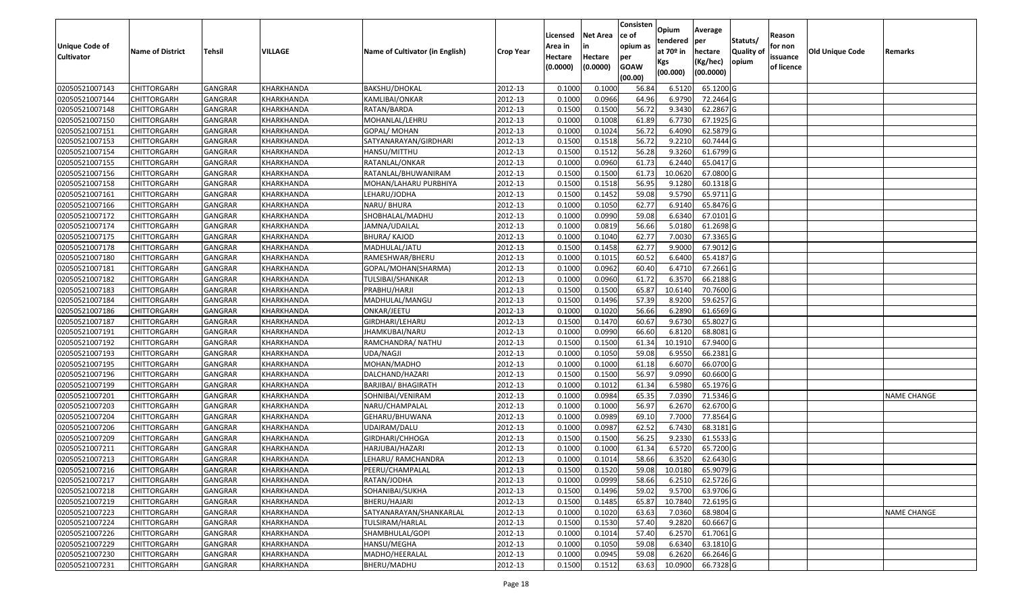|                       |                         |                |            |                                 |                  |          |                 | Consisten   | Opium       | Average   |                  |            |                 |                    |
|-----------------------|-------------------------|----------------|------------|---------------------------------|------------------|----------|-----------------|-------------|-------------|-----------|------------------|------------|-----------------|--------------------|
|                       |                         |                |            |                                 |                  | Licensed | <b>Net Area</b> | ce of       | tendered    | per       | Statuts/         | Reason     |                 |                    |
| <b>Unique Code of</b> | <b>Name of District</b> | <b>Tehsil</b>  | VILLAGE    | Name of Cultivator (in English) | <b>Crop Year</b> | Area in  | in              | opium as    | at $70°$ in | hectare   | <b>Quality o</b> | for non    | Old Unique Code | Remarks            |
| <b>Cultivator</b>     |                         |                |            |                                 |                  | Hectare  | Hectare         | per         | Kgs         | (Kg/hec)  | opium            | issuance   |                 |                    |
|                       |                         |                |            |                                 |                  | (0.0000) | (0.0000)        | <b>GOAW</b> | (00.000)    | (00.0000) |                  | of licence |                 |                    |
|                       |                         |                |            |                                 |                  |          |                 | (00.00)     |             |           |                  |            |                 |                    |
| 02050521007143        | CHITTORGARH             | GANGRAR        | KHARKHANDA | BAKSHU/DHOKAL                   | 2012-13          | 0.1000   | 0.1000          | 56.84       | 6.5120      | 65.1200 G |                  |            |                 |                    |
| 02050521007144        | CHITTORGARH             | GANGRAR        | KHARKHANDA | KAMLIBAI/ONKAR                  | 2012-13          | 0.1000   | 0.0966          | 64.96       | 6.9790      | 72.2464 G |                  |            |                 |                    |
| 02050521007148        | CHITTORGARH             | GANGRAR        | KHARKHANDA | RATAN/BARDA                     | 2012-13          | 0.1500   | 0.1500          | 56.72       | 9.3430      | 62.2867 G |                  |            |                 |                    |
| 02050521007150        | <b>CHITTORGARH</b>      | <b>GANGRAR</b> | KHARKHANDA | MOHANLAL/LEHRU                  | 2012-13          | 0.1000   | 0.1008          | 61.89       | 6.7730      | 67.1925 G |                  |            |                 |                    |
| 02050521007151        | CHITTORGARH             | GANGRAR        | KHARKHANDA | GOPAL/ MOHAN                    | 2012-13          | 0.1000   | 0.1024          | 56.72       | 6.4090      | 62.5879 G |                  |            |                 |                    |
| 02050521007153        | CHITTORGARH             | GANGRAR        | KHARKHANDA | SATYANARAYAN/GIRDHARI           | 2012-13          | 0.1500   | 0.1518          | 56.72       | 9.2210      | 60.7444 G |                  |            |                 |                    |
| 02050521007154        | CHITTORGARH             | GANGRAR        | KHARKHANDA | HANSU/MITTHU                    | 2012-13          | 0.1500   | 0.1512          | 56.28       | 9.3260      | 61.6799 G |                  |            |                 |                    |
| 02050521007155        | <b>CHITTORGARH</b>      | <b>GANGRAR</b> | KHARKHANDA | RATANLAL/ONKAR                  | 2012-13          | 0.1000   | 0.0960          | 61.73       | 6.2440      | 65.0417 G |                  |            |                 |                    |
| 02050521007156        | CHITTORGARH             | GANGRAR        | KHARKHANDA | RATANLAL/BHUWANIRAM             | 2012-13          | 0.1500   | 0.1500          | 61.73       | 10.0620     | 67.0800 G |                  |            |                 |                    |
| 02050521007158        | CHITTORGARH             | GANGRAR        | KHARKHANDA | MOHAN/LAHARU PURBHIYA           | 2012-13          | 0.1500   | 0.1518          | 56.95       | 9.1280      | 60.1318 G |                  |            |                 |                    |
| 02050521007161        | CHITTORGARH             | GANGRAR        | KHARKHANDA | LEHARU/JODHA                    | 2012-13          | 0.1500   | 0.1452          | 59.08       | 9.5790      | 65.9711 G |                  |            |                 |                    |
| 02050521007166        | <b>CHITTORGARH</b>      | GANGRAR        | KHARKHANDA | NARU/ BHURA                     | 2012-13          | 0.1000   | 0.1050          | 62.77       | 6.9140      | 65.8476 G |                  |            |                 |                    |
| 02050521007172        | <b>CHITTORGARH</b>      | <b>GANGRAR</b> | KHARKHANDA | SHOBHALAL/MADHU                 | 2012-13          | 0.1000   | 0.0990          | 59.08       | 6.6340      | 67.0101G  |                  |            |                 |                    |
| 02050521007174        | <b>CHITTORGARH</b>      | GANGRAR        | KHARKHANDA | JAMNA/UDAILAL                   | 2012-13          | 0.1000   | 0.0819          | 56.66       | 5.0180      | 61.2698 G |                  |            |                 |                    |
| 02050521007175        | CHITTORGARH             | <b>GANGRAR</b> | KHARKHANDA | <b>BHURA/ KAJOD</b>             | 2012-13          | 0.1000   | 0.1040          | 62.77       | 7.0030      | 67.3365 G |                  |            |                 |                    |
| 02050521007178        | <b>CHITTORGARH</b>      | <b>GANGRAR</b> | KHARKHANDA | MADHULAL/JATU                   | 2012-13          | 0.1500   | 0.1458          | 62.77       | 9.9000      | 67.9012 G |                  |            |                 |                    |
| 02050521007180        | CHITTORGARH             | <b>GANGRAR</b> | KHARKHANDA | RAMESHWAR/BHERU                 | 2012-13          | 0.1000   | 0.1015          | 60.52       | 6.6400      | 65.4187 G |                  |            |                 |                    |
| 02050521007181        | CHITTORGARH             | GANGRAR        | KHARKHANDA | GOPAL/MOHAN(SHARMA)             | 2012-13          | 0.1000   | 0.0962          | 60.40       | 6.4710      | 67.2661 G |                  |            |                 |                    |
| 02050521007182        | CHITTORGARH             | GANGRAR        | KHARKHANDA | TULSIBAI/SHANKAR                | 2012-13          | 0.1000   | 0.0960          | 61.72       | 6.3570      | 66.2188 G |                  |            |                 |                    |
| 02050521007183        | CHITTORGARH             | GANGRAR        | KHARKHANDA | PRABHU/HARJI                    | 2012-13          | 0.1500   | 0.1500          | 65.87       | 10.6140     | 70.7600 G |                  |            |                 |                    |
| 02050521007184        | CHITTORGARH             | <b>GANGRAR</b> | KHARKHANDA | MADHULAL/MANGU                  | 2012-13          | 0.1500   | 0.1496          | 57.39       | 8.9200      | 59.6257 G |                  |            |                 |                    |
| 02050521007186        | CHITTORGARH             | GANGRAR        | KHARKHANDA | ONKAR/JEETU                     | 2012-13          | 0.100    | 0.1020          | 56.66       | 6.2890      | 61.6569 G |                  |            |                 |                    |
| 02050521007187        | CHITTORGARH             | GANGRAR        | KHARKHANDA | GIRDHARI/LEHARU                 | 2012-13          | 0.1500   | 0.1470          | 60.67       | 9.6730      | 65.8027 G |                  |            |                 |                    |
| 02050521007191        | CHITTORGARH             | <b>GANGRAR</b> | KHARKHANDA | JHAMKUBAI/NARU                  | 2012-13          | 0.1000   | 0.0990          | 66.60       | 6.8120      | 68.8081 G |                  |            |                 |                    |
| 02050521007192        | <b>CHITTORGARH</b>      | <b>GANGRAR</b> | KHARKHANDA | RAMCHANDRA/ NATHU               | 2012-13          | 0.1500   | 0.1500          | 61.34       | 10.1910     | 67.9400 G |                  |            |                 |                    |
| 02050521007193        | CHITTORGARH             | GANGRAR        | KHARKHANDA | UDA/NAGJI                       | 2012-13          | 0.1000   | 0.1050          | 59.08       | 6.9550      | 66.2381 G |                  |            |                 |                    |
| 02050521007195        | CHITTORGARH             | GANGRAR        | KHARKHANDA | MOHAN/MADHO                     | 2012-13          | 0.100    | 0.1000          | 61.18       | 6.6070      | 66.0700 G |                  |            |                 |                    |
| 02050521007196        | CHITTORGARH             | GANGRAR        | KHARKHANDA | DALCHAND/HAZARI                 | 2012-13          | 0.1500   | 0.1500          | 56.97       | 9.0990      | 60.6600 G |                  |            |                 |                    |
| 02050521007199        | CHITTORGARH             | <b>GANGRAR</b> | KHARKHANDA | <b>BARJIBAI/ BHAGIRATH</b>      | 2012-13          | 0.1000   | 0.1012          | 61.34       | 6.5980      | 65.1976 G |                  |            |                 |                    |
| 02050521007201        | CHITTORGARH             | <b>GANGRAR</b> | KHARKHANDA | SOHNIBAI/VENIRAM                | 2012-13          | 0.1000   | 0.0984          | 65.35       | 7.0390      | 71.5346 G |                  |            |                 | <b>NAME CHANGE</b> |
| 02050521007203        | CHITTORGARH             | <b>GANGRAR</b> | KHARKHANDA | NARU/CHAMPALAL                  | 2012-13          | 0.100    | 0.1000          | 56.97       | 6.2670      | 62.6700 G |                  |            |                 |                    |
| 02050521007204        | CHITTORGARH             | GANGRAR        | KHARKHANDA | GEHARU/BHUWANA                  | 2012-13          | 0.1000   | 0.0989          | 69.10       | 7.7000      | 77.8564 G |                  |            |                 |                    |
| 02050521007206        | CHITTORGARH             | <b>GANGRAR</b> | KHARKHANDA | UDAIRAM/DALU                    | 2012-13          | 0.1000   | 0.0987          | 62.52       | 6.7430      | 68.3181G  |                  |            |                 |                    |
| 02050521007209        | CHITTORGARH             | GANGRAR        | KHARKHANDA | GIRDHARI/CHHOGA                 | 2012-13          | 0.1500   | 0.1500          | 56.25       | 9.2330      | 61.5533 G |                  |            |                 |                    |
| 02050521007211        | CHITTORGARH             | <b>GANGRAR</b> | KHARKHANDA | HARJUBAI/HAZARI                 | 2012-13          | 0.1000   | 0.1000          | 61.34       | 6.5720      | 65.7200 G |                  |            |                 |                    |
| 02050521007213        | CHITTORGARH             | GANGRAR        | KHARKHANDA | LEHARU/ RAMCHANDRA              | 2012-13          | 0.1000   | 0.1014          | 58.66       | 6.3520      | 62.6430 G |                  |            |                 |                    |
| 02050521007216        | <b>CHITTORGARH</b>      | <b>GANGRAR</b> | KHARKHANDA | PEERU/CHAMPALAL                 | 2012-13          | 0.1500   | 0.1520          | 59.08       | 10.0180     | 65.9079 G |                  |            |                 |                    |
| 02050521007217        | <b>CHITTORGARH</b>      | <b>GANGRAR</b> | KHARKHANDA | RATAN/JODHA                     | 2012-13          | 0.1000   | 0.0999          | 58.66       | 6.2510      | 62.5726 G |                  |            |                 |                    |
| 02050521007218        | <b>CHITTORGARH</b>      | <b>GANGRAR</b> | KHARKHANDA | SOHANIBAI/SUKHA                 | 2012-13          | 0.1500   | 0.1496          | 59.02       | 9.5700      | 63.9706 G |                  |            |                 |                    |
| 02050521007219        | <b>CHITTORGARH</b>      | <b>GANGRAR</b> | KHARKHANDA | BHERU/HAJARI                    | 2012-13          | 0.1500   | 0.1485          | 65.87       | 10.7840     | 72.6195 G |                  |            |                 |                    |
| 02050521007223        | CHITTORGARH             | <b>GANGRAR</b> | KHARKHANDA | SATYANARAYAN/SHANKARLAL         | 2012-13          | 0.1000   | 0.1020          | 63.63       | 7.0360      | 68.9804 G |                  |            |                 | <b>NAME CHANGE</b> |
| 02050521007224        | <b>CHITTORGARH</b>      | <b>GANGRAR</b> | KHARKHANDA | TULSIRAM/HARLAL                 | 2012-13          | 0.1500   | 0.1530          | 57.40       | 9.2820      | 60.6667G  |                  |            |                 |                    |
| 02050521007226        | <b>CHITTORGARH</b>      | <b>GANGRAR</b> | KHARKHANDA | SHAMBHULAL/GOPI                 | 2012-13          | 0.1000   | 0.1014          | 57.40       | 6.2570      | 61.7061 G |                  |            |                 |                    |
| 02050521007229        | <b>CHITTORGARH</b>      | <b>GANGRAR</b> | KHARKHANDA | HANSU/MEGHA                     | 2012-13          | 0.1000   | 0.1050          | 59.08       | 6.6340      | 63.1810 G |                  |            |                 |                    |
| 02050521007230        | CHITTORGARH             | <b>GANGRAR</b> | KHARKHANDA | MADHO/HEERALAL                  | 2012-13          | 0.1000   | 0.0945          | 59.08       | 6.2620      | 66.2646 G |                  |            |                 |                    |
| 02050521007231        | <b>CHITTORGARH</b>      | <b>GANGRAR</b> | KHARKHANDA | BHERU/MADHU                     | 2012-13          | 0.1500   | 0.1512          | 63.63       | 10.0900     | 66.7328 G |                  |            |                 |                    |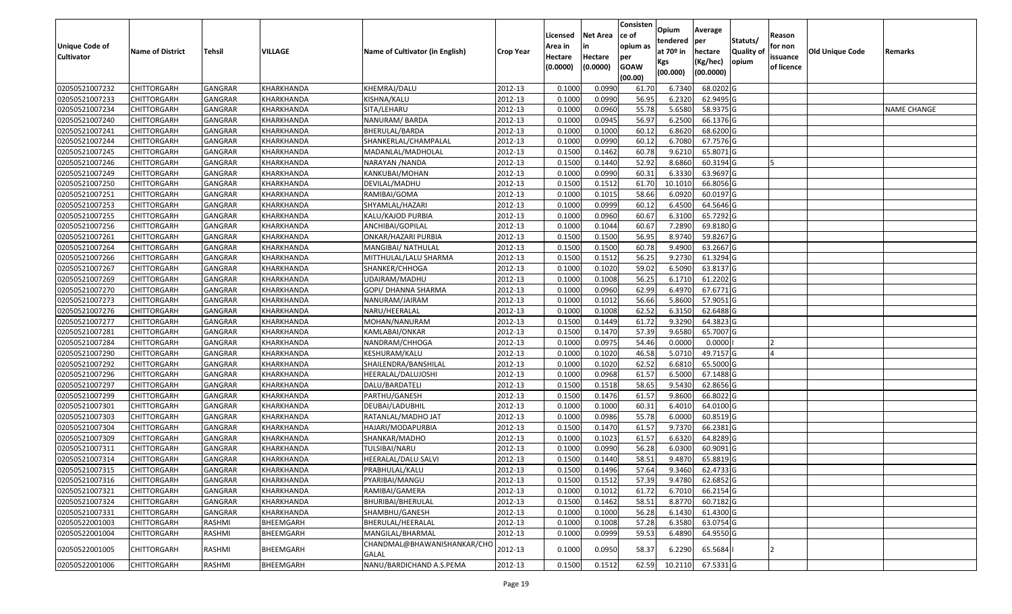| <b>Cultivator</b><br>Hectare<br>Hectare<br>issuance<br>per<br>opium<br>(Kg/hec)<br>Kgs<br>(0.0000)<br><b>GOAW</b><br>(0.0000)<br>of licence<br>(00.0000)<br>(00.000)<br>(00.00)<br>02050521007232<br>GANGRAR<br>KHEMRAJ/DALU<br>2012-13<br>0.1000<br>0.0990<br>6.7340<br>68.0202G<br><b>CHITTORGARH</b><br>KHARKHANDA<br>61.70<br>02050521007233<br>0.1000<br>0.0990<br>56.95<br>6.2320<br>62.9495 G<br><b>CHITTORGARH</b><br>GANGRAR<br>KHARKHANDA<br>KISHNA/KALU<br>2012-13<br>55.78<br>2012-13<br>0.1000<br>0.0960<br>5.6580<br>58.9375 G<br>02050521007234<br><b>CHITTORGARH</b><br>GANGRAR<br>SITA/LEHARU<br><b>NAME CHANGE</b><br>KHARKHANDA<br>6.2500<br>02050521007240<br><b>CHITTORGARH</b><br><b>GANGRAR</b><br>KHARKHANDA<br>NANURAM/BARDA<br>2012-13<br>0.1000<br>0.0945<br>56.97<br>66.1376 G<br>02050521007241<br>BHERULAL/BARDA<br>2012-13<br>0.1000<br>0.1000<br>6.8620<br>68.6200 G<br><b>CHITTORGARH</b><br>GANGRAR<br>KHARKHANDA<br>60.12<br>02050521007244<br><b>GANGRAR</b><br>2012-13<br>0.1000<br>0.0990<br>60.12<br>6.7080<br>67.7576 G<br><b>CHITTORGARH</b><br>KHARKHANDA<br>SHANKERLAL/CHAMPALAL<br>0.1500<br>60.78<br>9.6210<br>65.8071 G<br>02050521007245<br>GANGRAR<br>2012-13<br>0.1462<br>CHITTORGARH<br>KHARKHANDA<br>MADANLAL/MADHOLAL<br>0.1500<br>52.92<br>8.6860<br>02050521007246<br>GANGRAR<br>KHARKHANDA<br>2012-13<br>0.1440<br>60.3194 G<br><b>CHITTORGARH</b><br>NARAYAN / NANDA<br>02050521007249<br>GANGRAR<br>2012-13<br>0.1000<br>0.0990<br>60.31<br>6.3330<br>63.9697 G<br><b>CHITTORGARH</b><br>KHARKHANDA<br>KANKUBAI/MOHAN<br>02050521007250<br>GANGRAR<br>2012-13<br>0.1500<br>0.1512<br>10.1010<br>66.8056 G<br><b>CHITTORGARH</b><br>KHARKHANDA<br>DEVILAL/MADHU<br>61.70<br>0.1000<br>58.66<br>02050521007251<br>GANGRAR<br>2012-13<br>0.1015<br>6.0920<br>60.0197 G<br><b>CHITTORGARH</b><br>KHARKHANDA<br>RAMIBAI/GOMA<br>02050521007253<br>GANGRAR<br>KHARKHANDA<br>2012-13<br>0.1000<br>0.0999<br>60.12<br>6.4500<br>64.5646 G<br><b>CHITTORGARH</b><br>SHYAMLAL/HAZARI<br>02050521007255<br>GANGRAR<br>2012-13<br>0.1000<br>0.0960<br>60.67<br>6.3100<br>65.7292 G<br><b>CHITTORGARH</b><br>KHARKHANDA<br>KALU/KAJOD PURBIA<br>02050521007256<br>GANGRAR<br>2012-13<br>0.1000<br>0.1044<br>60.67<br>7.2890<br>69.8180 G<br><b>CHITTORGARH</b><br>KHARKHANDA<br>ANCHIBAI/GOPILAL<br>0.1500<br>0.1500<br>56.95<br>8.9740<br>59.8267 G<br>02050521007261<br>GANGRAR<br>KHARKHANDA<br>ONKAR/HAZARI PURBIA<br>2012-13<br>CHITTORGARH<br>02050521007264<br>2012-13<br>0.1500<br>0.1500<br>60.78<br>9.4900<br>63.2667 G<br><b>CHITTORGARH</b><br>GANGRAR<br>KHARKHANDA<br>MANGIBAI/ NATHULAL<br>9.2730<br>02050521007266<br>0.1500<br>0.1512<br>56.25<br>61.3294 G<br><b>CHITTORGARH</b><br>GANGRAR<br>KHARKHANDA<br>MITTHULAL/LALU SHARMA<br>2012-13<br>02050521007267<br>0.1000<br>59.02<br>6.5090<br>63.8137 G<br><b>CHITTORGARH</b><br>GANGRAR<br>KHARKHANDA<br>SHANKER/CHHOGA<br>2012-13<br>0.1020<br>56.25<br>6.1710<br>02050521007269<br>0.1000<br>0.1008<br>61.2202 G<br><b>CHITTORGARH</b><br>GANGRAR<br>KHARKHANDA<br>UDAIRAM/MADHU<br>2012-13<br>62.99<br>2012-13<br>0.1000<br>0.0960<br>6.4970<br>67.6771 G<br>02050521007270<br><b>CHITTORGARH</b><br><b>GANGRAR</b><br>KHARKHANDA<br>GOPI/ DHANNA SHARMA<br>56.66<br>5.8600<br>02050521007273<br>2012-13<br>0.1000<br>0.1012<br>57.9051G<br><b>CHITTORGARH</b><br>GANGRAR<br>KHARKHANDA<br>NANURAM/JAIRAM<br>02050521007276<br>2012-13<br>0.1000<br>62.52<br>6.3150<br>62.6488 G<br><b>CHITTORGARH</b><br>GANGRAR<br>KHARKHANDA<br>NARU/HEERALAL<br>0.1008<br>02050521007277<br>0.1500<br>0.1449<br>9.3290<br>64.3823 G<br><b>CHITTORGARH</b><br>GANGRAR<br>KHARKHANDA<br>MOHAN/NANURAM<br>2012-13<br>61.72<br>57.39<br>0.1500<br>0.1470<br>9.6580<br>65.7007 G<br>02050521007281<br><b>CHITTORGARH</b><br>GANGRAR<br>KHARKHANDA<br>2012-13<br>KAMLABAI/ONKAR<br>02050521007284<br><b>GANGRAR</b><br>2012-13<br>0.1000<br>0.0975<br>54.46<br>0.0000<br>0.0000<br><b>CHITTORGARH</b><br>KHARKHANDA<br>NANDRAM/CHHOGA<br>02050521007290<br>2012-13<br>0.1000<br>0.1020<br>46.58<br>5.0710<br>49.7157 G<br><b>CHITTORGARH</b><br>GANGRAR<br>KHARKHANDA<br>KESHURAM/KALU<br>02050521007292<br>2012-13<br>0.1000<br>0.1020<br>62.52<br>6.6810<br>65.5000 G<br><b>CHITTORGARH</b><br>GANGRAR<br>KHARKHANDA<br>SHAILENDRA/BANSHILAL<br>0.1000<br>0.0968<br>61.57<br>6.5000<br>67.1488 G<br>02050521007296<br><b>CHITTORGARH</b><br>GANGRAR<br>KHARKHANDA<br>2012-13<br>HEERALAL/DALUJOSHI<br>02050521007297<br><b>GANGRAR</b><br>2012-13<br>0.1500<br>0.1518<br>58.65<br>9.5430<br>62.8656 G<br><b>CHITTORGARH</b><br>KHARKHANDA<br>DALU/BARDATELI<br>02050521007299<br><b>GANGRAR</b><br>2012-13<br>0.1500<br>0.1476<br>61.57<br>9.8600<br>66.8022 G<br><b>CHITTORGARH</b><br>KHARKHANDA<br>PARTHU/GANESH<br>0.1000<br>02050521007301<br>GANGRAR<br>2012-13<br>0.1000<br>60.3<br>6.4010<br>64.0100 G<br><b>CHITTORGARH</b><br>KHARKHANDA<br>DEUBAI/LADUBHIL<br>2012-13<br>0.1000<br>0.0986<br>55.78<br>6.0000<br>60.8519 G<br>02050521007303<br>GANGRAR<br>KHARKHANDA<br>CHITTORGARH<br>RATANLAL/MADHO JAT<br>02050521007304<br>GANGRAR<br>2012-13<br>0.1500<br>0.1470<br>61.57<br>9.7370<br>66.2381 G<br><b>CHITTORGARH</b><br>KHARKHANDA<br>HAJARI/MODAPURBIA<br>02050521007309<br>2012-13<br>0.1023<br>6.6320<br>64.8289 G<br><b>CHITTORGARH</b><br>GANGRAR<br>SHANKAR/MADHO<br>0.1000<br>61.57<br>KHARKHANDA<br>02050521007311<br>GANGRAR<br>2012-13<br>0.1000<br>0.0990<br>56.28<br>6.0300<br>60.9091 G<br>CHITTORGARH<br>KHARKHANDA<br>TULSIBAI/NARU<br>58.51<br>0.1500<br>0.1440<br>9.4870<br>65.8819 G<br>02050521007314<br><b>CHITTORGARH</b><br>GANGRAR<br>2012-13<br>KHARKHANDA<br>HEERALAL/DALU SALVI<br>2012-13<br>0.1500<br>0.1496<br>9.3460<br>62.4733 G<br>02050521007315<br><b>CHITTORGARH</b><br>GANGRAR<br>KHARKHANDA<br>PRABHULAL/KALU<br>57.64<br>2012-13<br>02050521007316<br><b>GANGRAR</b><br>KHARKHANDA<br>PYARIBAI/MANGU<br>0.1500<br>0.1512<br>57.39<br>9.4780<br>62.6852 G<br><b>CHITTORGARH</b><br>02050521007321<br>66.2154 G<br><b>CHITTORGARH</b><br>GANGRAR<br>KHARKHANDA<br>RAMIBAI/GAMERA<br>2012-13<br>0.1000<br>0.1012<br>61.72<br>6.7010<br>58.51<br>8.8770<br>60.7182 G<br>02050521007324<br>2012-13<br>0.1500<br>0.1462<br><b>CHITTORGARH</b><br>GANGRAR<br>KHARKHANDA<br>BHURIBAI/BHERULAL<br>61.4300 G<br>02050521007331<br><b>CHITTORGARH</b><br>GANGRAR<br>KHARKHANDA<br>SHAMBHU/GANESH<br>2012-13<br>0.1000<br>0.1000<br>56.28<br>6.1430<br>02050522001003<br>57.28<br>6.3580<br>63.0754 G<br><b>CHITTORGARH</b><br>RASHMI<br>BHEEMGARH<br>BHERULAL/HEERALAL<br>2012-13<br>0.1000<br>0.1008<br>02050522001004<br>RASHMI<br>MANGILAL/BHARMAL<br>2012-13<br>0.0999<br>59.53<br>6.4890<br>64.9550 G<br><b>CHITTORGARH</b><br>BHEEMGARH<br>0.1000<br>CHANDMAL@BHAWANISHANKAR/CHO<br>2012-13<br>0.0950<br>6.2290<br>65.5684<br>02050522001005<br><b>CHITTORGARH</b><br>RASHMI<br>BHEEMGARH<br>0.1000<br>58.37<br>GALAL<br>NANU/BARDICHAND A.S.PEMA<br>2012-13<br>0.1500<br>0.1512<br>62.59<br>10.2110 67.5331 G<br>02050522001006<br><b>CHITTORGARH</b><br>RASHMI<br>BHEEMGARH | <b>Unique Code of</b> | <b>Name of District</b> | Tehsil | VILLAGE | Name of Cultivator (in English) | <b>Crop Year</b> | Licensed<br>Area in | <b>Net Area</b><br>in | Consisten<br>lce of<br>opium as | Opium<br>tendered<br>at 70º in | Average<br>per<br>hectare | Statuts/<br><b>Quality o</b> | Reason<br>for non | Old Unique Code | Remarks |
|--------------------------------------------------------------------------------------------------------------------------------------------------------------------------------------------------------------------------------------------------------------------------------------------------------------------------------------------------------------------------------------------------------------------------------------------------------------------------------------------------------------------------------------------------------------------------------------------------------------------------------------------------------------------------------------------------------------------------------------------------------------------------------------------------------------------------------------------------------------------------------------------------------------------------------------------------------------------------------------------------------------------------------------------------------------------------------------------------------------------------------------------------------------------------------------------------------------------------------------------------------------------------------------------------------------------------------------------------------------------------------------------------------------------------------------------------------------------------------------------------------------------------------------------------------------------------------------------------------------------------------------------------------------------------------------------------------------------------------------------------------------------------------------------------------------------------------------------------------------------------------------------------------------------------------------------------------------------------------------------------------------------------------------------------------------------------------------------------------------------------------------------------------------------------------------------------------------------------------------------------------------------------------------------------------------------------------------------------------------------------------------------------------------------------------------------------------------------------------------------------------------------------------------------------------------------------------------------------------------------------------------------------------------------------------------------------------------------------------------------------------------------------------------------------------------------------------------------------------------------------------------------------------------------------------------------------------------------------------------------------------------------------------------------------------------------------------------------------------------------------------------------------------------------------------------------------------------------------------------------------------------------------------------------------------------------------------------------------------------------------------------------------------------------------------------------------------------------------------------------------------------------------------------------------------------------------------------------------------------------------------------------------------------------------------------------------------------------------------------------------------------------------------------------------------------------------------------------------------------------------------------------------------------------------------------------------------------------------------------------------------------------------------------------------------------------------------------------------------------------------------------------------------------------------------------------------------------------------------------------------------------------------------------------------------------------------------------------------------------------------------------------------------------------------------------------------------------------------------------------------------------------------------------------------------------------------------------------------------------------------------------------------------------------------------------------------------------------------------------------------------------------------------------------------------------------------------------------------------------------------------------------------------------------------------------------------------------------------------------------------------------------------------------------------------------------------------------------------------------------------------------------------------------------------------------------------------------------------------------------------------------------------------------------------------------------------------------------------------------------------------------------------------------------------------------------------------------------------------------------------------------------------------------------------------------------------------------------------------------------------------------------------------------------------------------------------------------------------------------------------------------------------------------------------------------------------------------------------------------------------------------------------------------------------------------------------------------------------------------------------------------------------------------------------------------------------------------------------------------------------------------------------------------------------------------------------------------------------------------------------------------------------------------------------------------------------------------------------------------------------------------------------------------------------------------------------------------------------------------------------------------------------------------------------------------------------------------------------------------------------------------------------------------------------------------------------------------------------------------------------------------------------------------------------------------------------------------------------------------------------------------------------------------------------------------------------------------------------------------------------------------------------------------------------------------------------------------------------------------------------------------|-----------------------|-------------------------|--------|---------|---------------------------------|------------------|---------------------|-----------------------|---------------------------------|--------------------------------|---------------------------|------------------------------|-------------------|-----------------|---------|
|                                                                                                                                                                                                                                                                                                                                                                                                                                                                                                                                                                                                                                                                                                                                                                                                                                                                                                                                                                                                                                                                                                                                                                                                                                                                                                                                                                                                                                                                                                                                                                                                                                                                                                                                                                                                                                                                                                                                                                                                                                                                                                                                                                                                                                                                                                                                                                                                                                                                                                                                                                                                                                                                                                                                                                                                                                                                                                                                                                                                                                                                                                                                                                                                                                                                                                                                                                                                                                                                                                                                                                                                                                                                                                                                                                                                                                                                                                                                                                                                                                                                                                                                                                                                                                                                                                                                                                                                                                                                                                                                                                                                                                                                                                                                                                                                                                                                                                                                                                                                                                                                                                                                                                                                                                                                                                                                                                                                                                                                                                                                                                                                                                                                                                                                                                                                                                                                                                                                                                                                                                                                                                                                                                                                                                                                                                                                                                                                                                                                                                                                                                                                                                                                                                                                                                                                                                                                                                                                                                                                                                                                                                                                      |                       |                         |        |         |                                 |                  |                     |                       |                                 |                                |                           |                              |                   |                 |         |
|                                                                                                                                                                                                                                                                                                                                                                                                                                                                                                                                                                                                                                                                                                                                                                                                                                                                                                                                                                                                                                                                                                                                                                                                                                                                                                                                                                                                                                                                                                                                                                                                                                                                                                                                                                                                                                                                                                                                                                                                                                                                                                                                                                                                                                                                                                                                                                                                                                                                                                                                                                                                                                                                                                                                                                                                                                                                                                                                                                                                                                                                                                                                                                                                                                                                                                                                                                                                                                                                                                                                                                                                                                                                                                                                                                                                                                                                                                                                                                                                                                                                                                                                                                                                                                                                                                                                                                                                                                                                                                                                                                                                                                                                                                                                                                                                                                                                                                                                                                                                                                                                                                                                                                                                                                                                                                                                                                                                                                                                                                                                                                                                                                                                                                                                                                                                                                                                                                                                                                                                                                                                                                                                                                                                                                                                                                                                                                                                                                                                                                                                                                                                                                                                                                                                                                                                                                                                                                                                                                                                                                                                                                                                      |                       |                         |        |         |                                 |                  |                     |                       |                                 |                                |                           |                              |                   |                 |         |
|                                                                                                                                                                                                                                                                                                                                                                                                                                                                                                                                                                                                                                                                                                                                                                                                                                                                                                                                                                                                                                                                                                                                                                                                                                                                                                                                                                                                                                                                                                                                                                                                                                                                                                                                                                                                                                                                                                                                                                                                                                                                                                                                                                                                                                                                                                                                                                                                                                                                                                                                                                                                                                                                                                                                                                                                                                                                                                                                                                                                                                                                                                                                                                                                                                                                                                                                                                                                                                                                                                                                                                                                                                                                                                                                                                                                                                                                                                                                                                                                                                                                                                                                                                                                                                                                                                                                                                                                                                                                                                                                                                                                                                                                                                                                                                                                                                                                                                                                                                                                                                                                                                                                                                                                                                                                                                                                                                                                                                                                                                                                                                                                                                                                                                                                                                                                                                                                                                                                                                                                                                                                                                                                                                                                                                                                                                                                                                                                                                                                                                                                                                                                                                                                                                                                                                                                                                                                                                                                                                                                                                                                                                                                      |                       |                         |        |         |                                 |                  |                     |                       |                                 |                                |                           |                              |                   |                 |         |
|                                                                                                                                                                                                                                                                                                                                                                                                                                                                                                                                                                                                                                                                                                                                                                                                                                                                                                                                                                                                                                                                                                                                                                                                                                                                                                                                                                                                                                                                                                                                                                                                                                                                                                                                                                                                                                                                                                                                                                                                                                                                                                                                                                                                                                                                                                                                                                                                                                                                                                                                                                                                                                                                                                                                                                                                                                                                                                                                                                                                                                                                                                                                                                                                                                                                                                                                                                                                                                                                                                                                                                                                                                                                                                                                                                                                                                                                                                                                                                                                                                                                                                                                                                                                                                                                                                                                                                                                                                                                                                                                                                                                                                                                                                                                                                                                                                                                                                                                                                                                                                                                                                                                                                                                                                                                                                                                                                                                                                                                                                                                                                                                                                                                                                                                                                                                                                                                                                                                                                                                                                                                                                                                                                                                                                                                                                                                                                                                                                                                                                                                                                                                                                                                                                                                                                                                                                                                                                                                                                                                                                                                                                                                      |                       |                         |        |         |                                 |                  |                     |                       |                                 |                                |                           |                              |                   |                 |         |
|                                                                                                                                                                                                                                                                                                                                                                                                                                                                                                                                                                                                                                                                                                                                                                                                                                                                                                                                                                                                                                                                                                                                                                                                                                                                                                                                                                                                                                                                                                                                                                                                                                                                                                                                                                                                                                                                                                                                                                                                                                                                                                                                                                                                                                                                                                                                                                                                                                                                                                                                                                                                                                                                                                                                                                                                                                                                                                                                                                                                                                                                                                                                                                                                                                                                                                                                                                                                                                                                                                                                                                                                                                                                                                                                                                                                                                                                                                                                                                                                                                                                                                                                                                                                                                                                                                                                                                                                                                                                                                                                                                                                                                                                                                                                                                                                                                                                                                                                                                                                                                                                                                                                                                                                                                                                                                                                                                                                                                                                                                                                                                                                                                                                                                                                                                                                                                                                                                                                                                                                                                                                                                                                                                                                                                                                                                                                                                                                                                                                                                                                                                                                                                                                                                                                                                                                                                                                                                                                                                                                                                                                                                                                      |                       |                         |        |         |                                 |                  |                     |                       |                                 |                                |                           |                              |                   |                 |         |
|                                                                                                                                                                                                                                                                                                                                                                                                                                                                                                                                                                                                                                                                                                                                                                                                                                                                                                                                                                                                                                                                                                                                                                                                                                                                                                                                                                                                                                                                                                                                                                                                                                                                                                                                                                                                                                                                                                                                                                                                                                                                                                                                                                                                                                                                                                                                                                                                                                                                                                                                                                                                                                                                                                                                                                                                                                                                                                                                                                                                                                                                                                                                                                                                                                                                                                                                                                                                                                                                                                                                                                                                                                                                                                                                                                                                                                                                                                                                                                                                                                                                                                                                                                                                                                                                                                                                                                                                                                                                                                                                                                                                                                                                                                                                                                                                                                                                                                                                                                                                                                                                                                                                                                                                                                                                                                                                                                                                                                                                                                                                                                                                                                                                                                                                                                                                                                                                                                                                                                                                                                                                                                                                                                                                                                                                                                                                                                                                                                                                                                                                                                                                                                                                                                                                                                                                                                                                                                                                                                                                                                                                                                                                      |                       |                         |        |         |                                 |                  |                     |                       |                                 |                                |                           |                              |                   |                 |         |
|                                                                                                                                                                                                                                                                                                                                                                                                                                                                                                                                                                                                                                                                                                                                                                                                                                                                                                                                                                                                                                                                                                                                                                                                                                                                                                                                                                                                                                                                                                                                                                                                                                                                                                                                                                                                                                                                                                                                                                                                                                                                                                                                                                                                                                                                                                                                                                                                                                                                                                                                                                                                                                                                                                                                                                                                                                                                                                                                                                                                                                                                                                                                                                                                                                                                                                                                                                                                                                                                                                                                                                                                                                                                                                                                                                                                                                                                                                                                                                                                                                                                                                                                                                                                                                                                                                                                                                                                                                                                                                                                                                                                                                                                                                                                                                                                                                                                                                                                                                                                                                                                                                                                                                                                                                                                                                                                                                                                                                                                                                                                                                                                                                                                                                                                                                                                                                                                                                                                                                                                                                                                                                                                                                                                                                                                                                                                                                                                                                                                                                                                                                                                                                                                                                                                                                                                                                                                                                                                                                                                                                                                                                                                      |                       |                         |        |         |                                 |                  |                     |                       |                                 |                                |                           |                              |                   |                 |         |
|                                                                                                                                                                                                                                                                                                                                                                                                                                                                                                                                                                                                                                                                                                                                                                                                                                                                                                                                                                                                                                                                                                                                                                                                                                                                                                                                                                                                                                                                                                                                                                                                                                                                                                                                                                                                                                                                                                                                                                                                                                                                                                                                                                                                                                                                                                                                                                                                                                                                                                                                                                                                                                                                                                                                                                                                                                                                                                                                                                                                                                                                                                                                                                                                                                                                                                                                                                                                                                                                                                                                                                                                                                                                                                                                                                                                                                                                                                                                                                                                                                                                                                                                                                                                                                                                                                                                                                                                                                                                                                                                                                                                                                                                                                                                                                                                                                                                                                                                                                                                                                                                                                                                                                                                                                                                                                                                                                                                                                                                                                                                                                                                                                                                                                                                                                                                                                                                                                                                                                                                                                                                                                                                                                                                                                                                                                                                                                                                                                                                                                                                                                                                                                                                                                                                                                                                                                                                                                                                                                                                                                                                                                                                      |                       |                         |        |         |                                 |                  |                     |                       |                                 |                                |                           |                              |                   |                 |         |
|                                                                                                                                                                                                                                                                                                                                                                                                                                                                                                                                                                                                                                                                                                                                                                                                                                                                                                                                                                                                                                                                                                                                                                                                                                                                                                                                                                                                                                                                                                                                                                                                                                                                                                                                                                                                                                                                                                                                                                                                                                                                                                                                                                                                                                                                                                                                                                                                                                                                                                                                                                                                                                                                                                                                                                                                                                                                                                                                                                                                                                                                                                                                                                                                                                                                                                                                                                                                                                                                                                                                                                                                                                                                                                                                                                                                                                                                                                                                                                                                                                                                                                                                                                                                                                                                                                                                                                                                                                                                                                                                                                                                                                                                                                                                                                                                                                                                                                                                                                                                                                                                                                                                                                                                                                                                                                                                                                                                                                                                                                                                                                                                                                                                                                                                                                                                                                                                                                                                                                                                                                                                                                                                                                                                                                                                                                                                                                                                                                                                                                                                                                                                                                                                                                                                                                                                                                                                                                                                                                                                                                                                                                                                      |                       |                         |        |         |                                 |                  |                     |                       |                                 |                                |                           |                              |                   |                 |         |
|                                                                                                                                                                                                                                                                                                                                                                                                                                                                                                                                                                                                                                                                                                                                                                                                                                                                                                                                                                                                                                                                                                                                                                                                                                                                                                                                                                                                                                                                                                                                                                                                                                                                                                                                                                                                                                                                                                                                                                                                                                                                                                                                                                                                                                                                                                                                                                                                                                                                                                                                                                                                                                                                                                                                                                                                                                                                                                                                                                                                                                                                                                                                                                                                                                                                                                                                                                                                                                                                                                                                                                                                                                                                                                                                                                                                                                                                                                                                                                                                                                                                                                                                                                                                                                                                                                                                                                                                                                                                                                                                                                                                                                                                                                                                                                                                                                                                                                                                                                                                                                                                                                                                                                                                                                                                                                                                                                                                                                                                                                                                                                                                                                                                                                                                                                                                                                                                                                                                                                                                                                                                                                                                                                                                                                                                                                                                                                                                                                                                                                                                                                                                                                                                                                                                                                                                                                                                                                                                                                                                                                                                                                                                      |                       |                         |        |         |                                 |                  |                     |                       |                                 |                                |                           |                              |                   |                 |         |
|                                                                                                                                                                                                                                                                                                                                                                                                                                                                                                                                                                                                                                                                                                                                                                                                                                                                                                                                                                                                                                                                                                                                                                                                                                                                                                                                                                                                                                                                                                                                                                                                                                                                                                                                                                                                                                                                                                                                                                                                                                                                                                                                                                                                                                                                                                                                                                                                                                                                                                                                                                                                                                                                                                                                                                                                                                                                                                                                                                                                                                                                                                                                                                                                                                                                                                                                                                                                                                                                                                                                                                                                                                                                                                                                                                                                                                                                                                                                                                                                                                                                                                                                                                                                                                                                                                                                                                                                                                                                                                                                                                                                                                                                                                                                                                                                                                                                                                                                                                                                                                                                                                                                                                                                                                                                                                                                                                                                                                                                                                                                                                                                                                                                                                                                                                                                                                                                                                                                                                                                                                                                                                                                                                                                                                                                                                                                                                                                                                                                                                                                                                                                                                                                                                                                                                                                                                                                                                                                                                                                                                                                                                                                      |                       |                         |        |         |                                 |                  |                     |                       |                                 |                                |                           |                              |                   |                 |         |
|                                                                                                                                                                                                                                                                                                                                                                                                                                                                                                                                                                                                                                                                                                                                                                                                                                                                                                                                                                                                                                                                                                                                                                                                                                                                                                                                                                                                                                                                                                                                                                                                                                                                                                                                                                                                                                                                                                                                                                                                                                                                                                                                                                                                                                                                                                                                                                                                                                                                                                                                                                                                                                                                                                                                                                                                                                                                                                                                                                                                                                                                                                                                                                                                                                                                                                                                                                                                                                                                                                                                                                                                                                                                                                                                                                                                                                                                                                                                                                                                                                                                                                                                                                                                                                                                                                                                                                                                                                                                                                                                                                                                                                                                                                                                                                                                                                                                                                                                                                                                                                                                                                                                                                                                                                                                                                                                                                                                                                                                                                                                                                                                                                                                                                                                                                                                                                                                                                                                                                                                                                                                                                                                                                                                                                                                                                                                                                                                                                                                                                                                                                                                                                                                                                                                                                                                                                                                                                                                                                                                                                                                                                                                      |                       |                         |        |         |                                 |                  |                     |                       |                                 |                                |                           |                              |                   |                 |         |
|                                                                                                                                                                                                                                                                                                                                                                                                                                                                                                                                                                                                                                                                                                                                                                                                                                                                                                                                                                                                                                                                                                                                                                                                                                                                                                                                                                                                                                                                                                                                                                                                                                                                                                                                                                                                                                                                                                                                                                                                                                                                                                                                                                                                                                                                                                                                                                                                                                                                                                                                                                                                                                                                                                                                                                                                                                                                                                                                                                                                                                                                                                                                                                                                                                                                                                                                                                                                                                                                                                                                                                                                                                                                                                                                                                                                                                                                                                                                                                                                                                                                                                                                                                                                                                                                                                                                                                                                                                                                                                                                                                                                                                                                                                                                                                                                                                                                                                                                                                                                                                                                                                                                                                                                                                                                                                                                                                                                                                                                                                                                                                                                                                                                                                                                                                                                                                                                                                                                                                                                                                                                                                                                                                                                                                                                                                                                                                                                                                                                                                                                                                                                                                                                                                                                                                                                                                                                                                                                                                                                                                                                                                                                      |                       |                         |        |         |                                 |                  |                     |                       |                                 |                                |                           |                              |                   |                 |         |
|                                                                                                                                                                                                                                                                                                                                                                                                                                                                                                                                                                                                                                                                                                                                                                                                                                                                                                                                                                                                                                                                                                                                                                                                                                                                                                                                                                                                                                                                                                                                                                                                                                                                                                                                                                                                                                                                                                                                                                                                                                                                                                                                                                                                                                                                                                                                                                                                                                                                                                                                                                                                                                                                                                                                                                                                                                                                                                                                                                                                                                                                                                                                                                                                                                                                                                                                                                                                                                                                                                                                                                                                                                                                                                                                                                                                                                                                                                                                                                                                                                                                                                                                                                                                                                                                                                                                                                                                                                                                                                                                                                                                                                                                                                                                                                                                                                                                                                                                                                                                                                                                                                                                                                                                                                                                                                                                                                                                                                                                                                                                                                                                                                                                                                                                                                                                                                                                                                                                                                                                                                                                                                                                                                                                                                                                                                                                                                                                                                                                                                                                                                                                                                                                                                                                                                                                                                                                                                                                                                                                                                                                                                                                      |                       |                         |        |         |                                 |                  |                     |                       |                                 |                                |                           |                              |                   |                 |         |
|                                                                                                                                                                                                                                                                                                                                                                                                                                                                                                                                                                                                                                                                                                                                                                                                                                                                                                                                                                                                                                                                                                                                                                                                                                                                                                                                                                                                                                                                                                                                                                                                                                                                                                                                                                                                                                                                                                                                                                                                                                                                                                                                                                                                                                                                                                                                                                                                                                                                                                                                                                                                                                                                                                                                                                                                                                                                                                                                                                                                                                                                                                                                                                                                                                                                                                                                                                                                                                                                                                                                                                                                                                                                                                                                                                                                                                                                                                                                                                                                                                                                                                                                                                                                                                                                                                                                                                                                                                                                                                                                                                                                                                                                                                                                                                                                                                                                                                                                                                                                                                                                                                                                                                                                                                                                                                                                                                                                                                                                                                                                                                                                                                                                                                                                                                                                                                                                                                                                                                                                                                                                                                                                                                                                                                                                                                                                                                                                                                                                                                                                                                                                                                                                                                                                                                                                                                                                                                                                                                                                                                                                                                                                      |                       |                         |        |         |                                 |                  |                     |                       |                                 |                                |                           |                              |                   |                 |         |
|                                                                                                                                                                                                                                                                                                                                                                                                                                                                                                                                                                                                                                                                                                                                                                                                                                                                                                                                                                                                                                                                                                                                                                                                                                                                                                                                                                                                                                                                                                                                                                                                                                                                                                                                                                                                                                                                                                                                                                                                                                                                                                                                                                                                                                                                                                                                                                                                                                                                                                                                                                                                                                                                                                                                                                                                                                                                                                                                                                                                                                                                                                                                                                                                                                                                                                                                                                                                                                                                                                                                                                                                                                                                                                                                                                                                                                                                                                                                                                                                                                                                                                                                                                                                                                                                                                                                                                                                                                                                                                                                                                                                                                                                                                                                                                                                                                                                                                                                                                                                                                                                                                                                                                                                                                                                                                                                                                                                                                                                                                                                                                                                                                                                                                                                                                                                                                                                                                                                                                                                                                                                                                                                                                                                                                                                                                                                                                                                                                                                                                                                                                                                                                                                                                                                                                                                                                                                                                                                                                                                                                                                                                                                      |                       |                         |        |         |                                 |                  |                     |                       |                                 |                                |                           |                              |                   |                 |         |
|                                                                                                                                                                                                                                                                                                                                                                                                                                                                                                                                                                                                                                                                                                                                                                                                                                                                                                                                                                                                                                                                                                                                                                                                                                                                                                                                                                                                                                                                                                                                                                                                                                                                                                                                                                                                                                                                                                                                                                                                                                                                                                                                                                                                                                                                                                                                                                                                                                                                                                                                                                                                                                                                                                                                                                                                                                                                                                                                                                                                                                                                                                                                                                                                                                                                                                                                                                                                                                                                                                                                                                                                                                                                                                                                                                                                                                                                                                                                                                                                                                                                                                                                                                                                                                                                                                                                                                                                                                                                                                                                                                                                                                                                                                                                                                                                                                                                                                                                                                                                                                                                                                                                                                                                                                                                                                                                                                                                                                                                                                                                                                                                                                                                                                                                                                                                                                                                                                                                                                                                                                                                                                                                                                                                                                                                                                                                                                                                                                                                                                                                                                                                                                                                                                                                                                                                                                                                                                                                                                                                                                                                                                                                      |                       |                         |        |         |                                 |                  |                     |                       |                                 |                                |                           |                              |                   |                 |         |
|                                                                                                                                                                                                                                                                                                                                                                                                                                                                                                                                                                                                                                                                                                                                                                                                                                                                                                                                                                                                                                                                                                                                                                                                                                                                                                                                                                                                                                                                                                                                                                                                                                                                                                                                                                                                                                                                                                                                                                                                                                                                                                                                                                                                                                                                                                                                                                                                                                                                                                                                                                                                                                                                                                                                                                                                                                                                                                                                                                                                                                                                                                                                                                                                                                                                                                                                                                                                                                                                                                                                                                                                                                                                                                                                                                                                                                                                                                                                                                                                                                                                                                                                                                                                                                                                                                                                                                                                                                                                                                                                                                                                                                                                                                                                                                                                                                                                                                                                                                                                                                                                                                                                                                                                                                                                                                                                                                                                                                                                                                                                                                                                                                                                                                                                                                                                                                                                                                                                                                                                                                                                                                                                                                                                                                                                                                                                                                                                                                                                                                                                                                                                                                                                                                                                                                                                                                                                                                                                                                                                                                                                                                                                      |                       |                         |        |         |                                 |                  |                     |                       |                                 |                                |                           |                              |                   |                 |         |
|                                                                                                                                                                                                                                                                                                                                                                                                                                                                                                                                                                                                                                                                                                                                                                                                                                                                                                                                                                                                                                                                                                                                                                                                                                                                                                                                                                                                                                                                                                                                                                                                                                                                                                                                                                                                                                                                                                                                                                                                                                                                                                                                                                                                                                                                                                                                                                                                                                                                                                                                                                                                                                                                                                                                                                                                                                                                                                                                                                                                                                                                                                                                                                                                                                                                                                                                                                                                                                                                                                                                                                                                                                                                                                                                                                                                                                                                                                                                                                                                                                                                                                                                                                                                                                                                                                                                                                                                                                                                                                                                                                                                                                                                                                                                                                                                                                                                                                                                                                                                                                                                                                                                                                                                                                                                                                                                                                                                                                                                                                                                                                                                                                                                                                                                                                                                                                                                                                                                                                                                                                                                                                                                                                                                                                                                                                                                                                                                                                                                                                                                                                                                                                                                                                                                                                                                                                                                                                                                                                                                                                                                                                                                      |                       |                         |        |         |                                 |                  |                     |                       |                                 |                                |                           |                              |                   |                 |         |
|                                                                                                                                                                                                                                                                                                                                                                                                                                                                                                                                                                                                                                                                                                                                                                                                                                                                                                                                                                                                                                                                                                                                                                                                                                                                                                                                                                                                                                                                                                                                                                                                                                                                                                                                                                                                                                                                                                                                                                                                                                                                                                                                                                                                                                                                                                                                                                                                                                                                                                                                                                                                                                                                                                                                                                                                                                                                                                                                                                                                                                                                                                                                                                                                                                                                                                                                                                                                                                                                                                                                                                                                                                                                                                                                                                                                                                                                                                                                                                                                                                                                                                                                                                                                                                                                                                                                                                                                                                                                                                                                                                                                                                                                                                                                                                                                                                                                                                                                                                                                                                                                                                                                                                                                                                                                                                                                                                                                                                                                                                                                                                                                                                                                                                                                                                                                                                                                                                                                                                                                                                                                                                                                                                                                                                                                                                                                                                                                                                                                                                                                                                                                                                                                                                                                                                                                                                                                                                                                                                                                                                                                                                                                      |                       |                         |        |         |                                 |                  |                     |                       |                                 |                                |                           |                              |                   |                 |         |
|                                                                                                                                                                                                                                                                                                                                                                                                                                                                                                                                                                                                                                                                                                                                                                                                                                                                                                                                                                                                                                                                                                                                                                                                                                                                                                                                                                                                                                                                                                                                                                                                                                                                                                                                                                                                                                                                                                                                                                                                                                                                                                                                                                                                                                                                                                                                                                                                                                                                                                                                                                                                                                                                                                                                                                                                                                                                                                                                                                                                                                                                                                                                                                                                                                                                                                                                                                                                                                                                                                                                                                                                                                                                                                                                                                                                                                                                                                                                                                                                                                                                                                                                                                                                                                                                                                                                                                                                                                                                                                                                                                                                                                                                                                                                                                                                                                                                                                                                                                                                                                                                                                                                                                                                                                                                                                                                                                                                                                                                                                                                                                                                                                                                                                                                                                                                                                                                                                                                                                                                                                                                                                                                                                                                                                                                                                                                                                                                                                                                                                                                                                                                                                                                                                                                                                                                                                                                                                                                                                                                                                                                                                                                      |                       |                         |        |         |                                 |                  |                     |                       |                                 |                                |                           |                              |                   |                 |         |
|                                                                                                                                                                                                                                                                                                                                                                                                                                                                                                                                                                                                                                                                                                                                                                                                                                                                                                                                                                                                                                                                                                                                                                                                                                                                                                                                                                                                                                                                                                                                                                                                                                                                                                                                                                                                                                                                                                                                                                                                                                                                                                                                                                                                                                                                                                                                                                                                                                                                                                                                                                                                                                                                                                                                                                                                                                                                                                                                                                                                                                                                                                                                                                                                                                                                                                                                                                                                                                                                                                                                                                                                                                                                                                                                                                                                                                                                                                                                                                                                                                                                                                                                                                                                                                                                                                                                                                                                                                                                                                                                                                                                                                                                                                                                                                                                                                                                                                                                                                                                                                                                                                                                                                                                                                                                                                                                                                                                                                                                                                                                                                                                                                                                                                                                                                                                                                                                                                                                                                                                                                                                                                                                                                                                                                                                                                                                                                                                                                                                                                                                                                                                                                                                                                                                                                                                                                                                                                                                                                                                                                                                                                                                      |                       |                         |        |         |                                 |                  |                     |                       |                                 |                                |                           |                              |                   |                 |         |
|                                                                                                                                                                                                                                                                                                                                                                                                                                                                                                                                                                                                                                                                                                                                                                                                                                                                                                                                                                                                                                                                                                                                                                                                                                                                                                                                                                                                                                                                                                                                                                                                                                                                                                                                                                                                                                                                                                                                                                                                                                                                                                                                                                                                                                                                                                                                                                                                                                                                                                                                                                                                                                                                                                                                                                                                                                                                                                                                                                                                                                                                                                                                                                                                                                                                                                                                                                                                                                                                                                                                                                                                                                                                                                                                                                                                                                                                                                                                                                                                                                                                                                                                                                                                                                                                                                                                                                                                                                                                                                                                                                                                                                                                                                                                                                                                                                                                                                                                                                                                                                                                                                                                                                                                                                                                                                                                                                                                                                                                                                                                                                                                                                                                                                                                                                                                                                                                                                                                                                                                                                                                                                                                                                                                                                                                                                                                                                                                                                                                                                                                                                                                                                                                                                                                                                                                                                                                                                                                                                                                                                                                                                                                      |                       |                         |        |         |                                 |                  |                     |                       |                                 |                                |                           |                              |                   |                 |         |
|                                                                                                                                                                                                                                                                                                                                                                                                                                                                                                                                                                                                                                                                                                                                                                                                                                                                                                                                                                                                                                                                                                                                                                                                                                                                                                                                                                                                                                                                                                                                                                                                                                                                                                                                                                                                                                                                                                                                                                                                                                                                                                                                                                                                                                                                                                                                                                                                                                                                                                                                                                                                                                                                                                                                                                                                                                                                                                                                                                                                                                                                                                                                                                                                                                                                                                                                                                                                                                                                                                                                                                                                                                                                                                                                                                                                                                                                                                                                                                                                                                                                                                                                                                                                                                                                                                                                                                                                                                                                                                                                                                                                                                                                                                                                                                                                                                                                                                                                                                                                                                                                                                                                                                                                                                                                                                                                                                                                                                                                                                                                                                                                                                                                                                                                                                                                                                                                                                                                                                                                                                                                                                                                                                                                                                                                                                                                                                                                                                                                                                                                                                                                                                                                                                                                                                                                                                                                                                                                                                                                                                                                                                                                      |                       |                         |        |         |                                 |                  |                     |                       |                                 |                                |                           |                              |                   |                 |         |
|                                                                                                                                                                                                                                                                                                                                                                                                                                                                                                                                                                                                                                                                                                                                                                                                                                                                                                                                                                                                                                                                                                                                                                                                                                                                                                                                                                                                                                                                                                                                                                                                                                                                                                                                                                                                                                                                                                                                                                                                                                                                                                                                                                                                                                                                                                                                                                                                                                                                                                                                                                                                                                                                                                                                                                                                                                                                                                                                                                                                                                                                                                                                                                                                                                                                                                                                                                                                                                                                                                                                                                                                                                                                                                                                                                                                                                                                                                                                                                                                                                                                                                                                                                                                                                                                                                                                                                                                                                                                                                                                                                                                                                                                                                                                                                                                                                                                                                                                                                                                                                                                                                                                                                                                                                                                                                                                                                                                                                                                                                                                                                                                                                                                                                                                                                                                                                                                                                                                                                                                                                                                                                                                                                                                                                                                                                                                                                                                                                                                                                                                                                                                                                                                                                                                                                                                                                                                                                                                                                                                                                                                                                                                      |                       |                         |        |         |                                 |                  |                     |                       |                                 |                                |                           |                              |                   |                 |         |
|                                                                                                                                                                                                                                                                                                                                                                                                                                                                                                                                                                                                                                                                                                                                                                                                                                                                                                                                                                                                                                                                                                                                                                                                                                                                                                                                                                                                                                                                                                                                                                                                                                                                                                                                                                                                                                                                                                                                                                                                                                                                                                                                                                                                                                                                                                                                                                                                                                                                                                                                                                                                                                                                                                                                                                                                                                                                                                                                                                                                                                                                                                                                                                                                                                                                                                                                                                                                                                                                                                                                                                                                                                                                                                                                                                                                                                                                                                                                                                                                                                                                                                                                                                                                                                                                                                                                                                                                                                                                                                                                                                                                                                                                                                                                                                                                                                                                                                                                                                                                                                                                                                                                                                                                                                                                                                                                                                                                                                                                                                                                                                                                                                                                                                                                                                                                                                                                                                                                                                                                                                                                                                                                                                                                                                                                                                                                                                                                                                                                                                                                                                                                                                                                                                                                                                                                                                                                                                                                                                                                                                                                                                                                      |                       |                         |        |         |                                 |                  |                     |                       |                                 |                                |                           |                              |                   |                 |         |
|                                                                                                                                                                                                                                                                                                                                                                                                                                                                                                                                                                                                                                                                                                                                                                                                                                                                                                                                                                                                                                                                                                                                                                                                                                                                                                                                                                                                                                                                                                                                                                                                                                                                                                                                                                                                                                                                                                                                                                                                                                                                                                                                                                                                                                                                                                                                                                                                                                                                                                                                                                                                                                                                                                                                                                                                                                                                                                                                                                                                                                                                                                                                                                                                                                                                                                                                                                                                                                                                                                                                                                                                                                                                                                                                                                                                                                                                                                                                                                                                                                                                                                                                                                                                                                                                                                                                                                                                                                                                                                                                                                                                                                                                                                                                                                                                                                                                                                                                                                                                                                                                                                                                                                                                                                                                                                                                                                                                                                                                                                                                                                                                                                                                                                                                                                                                                                                                                                                                                                                                                                                                                                                                                                                                                                                                                                                                                                                                                                                                                                                                                                                                                                                                                                                                                                                                                                                                                                                                                                                                                                                                                                                                      |                       |                         |        |         |                                 |                  |                     |                       |                                 |                                |                           |                              |                   |                 |         |
|                                                                                                                                                                                                                                                                                                                                                                                                                                                                                                                                                                                                                                                                                                                                                                                                                                                                                                                                                                                                                                                                                                                                                                                                                                                                                                                                                                                                                                                                                                                                                                                                                                                                                                                                                                                                                                                                                                                                                                                                                                                                                                                                                                                                                                                                                                                                                                                                                                                                                                                                                                                                                                                                                                                                                                                                                                                                                                                                                                                                                                                                                                                                                                                                                                                                                                                                                                                                                                                                                                                                                                                                                                                                                                                                                                                                                                                                                                                                                                                                                                                                                                                                                                                                                                                                                                                                                                                                                                                                                                                                                                                                                                                                                                                                                                                                                                                                                                                                                                                                                                                                                                                                                                                                                                                                                                                                                                                                                                                                                                                                                                                                                                                                                                                                                                                                                                                                                                                                                                                                                                                                                                                                                                                                                                                                                                                                                                                                                                                                                                                                                                                                                                                                                                                                                                                                                                                                                                                                                                                                                                                                                                                                      |                       |                         |        |         |                                 |                  |                     |                       |                                 |                                |                           |                              |                   |                 |         |
|                                                                                                                                                                                                                                                                                                                                                                                                                                                                                                                                                                                                                                                                                                                                                                                                                                                                                                                                                                                                                                                                                                                                                                                                                                                                                                                                                                                                                                                                                                                                                                                                                                                                                                                                                                                                                                                                                                                                                                                                                                                                                                                                                                                                                                                                                                                                                                                                                                                                                                                                                                                                                                                                                                                                                                                                                                                                                                                                                                                                                                                                                                                                                                                                                                                                                                                                                                                                                                                                                                                                                                                                                                                                                                                                                                                                                                                                                                                                                                                                                                                                                                                                                                                                                                                                                                                                                                                                                                                                                                                                                                                                                                                                                                                                                                                                                                                                                                                                                                                                                                                                                                                                                                                                                                                                                                                                                                                                                                                                                                                                                                                                                                                                                                                                                                                                                                                                                                                                                                                                                                                                                                                                                                                                                                                                                                                                                                                                                                                                                                                                                                                                                                                                                                                                                                                                                                                                                                                                                                                                                                                                                                                                      |                       |                         |        |         |                                 |                  |                     |                       |                                 |                                |                           |                              |                   |                 |         |
|                                                                                                                                                                                                                                                                                                                                                                                                                                                                                                                                                                                                                                                                                                                                                                                                                                                                                                                                                                                                                                                                                                                                                                                                                                                                                                                                                                                                                                                                                                                                                                                                                                                                                                                                                                                                                                                                                                                                                                                                                                                                                                                                                                                                                                                                                                                                                                                                                                                                                                                                                                                                                                                                                                                                                                                                                                                                                                                                                                                                                                                                                                                                                                                                                                                                                                                                                                                                                                                                                                                                                                                                                                                                                                                                                                                                                                                                                                                                                                                                                                                                                                                                                                                                                                                                                                                                                                                                                                                                                                                                                                                                                                                                                                                                                                                                                                                                                                                                                                                                                                                                                                                                                                                                                                                                                                                                                                                                                                                                                                                                                                                                                                                                                                                                                                                                                                                                                                                                                                                                                                                                                                                                                                                                                                                                                                                                                                                                                                                                                                                                                                                                                                                                                                                                                                                                                                                                                                                                                                                                                                                                                                                                      |                       |                         |        |         |                                 |                  |                     |                       |                                 |                                |                           |                              |                   |                 |         |
|                                                                                                                                                                                                                                                                                                                                                                                                                                                                                                                                                                                                                                                                                                                                                                                                                                                                                                                                                                                                                                                                                                                                                                                                                                                                                                                                                                                                                                                                                                                                                                                                                                                                                                                                                                                                                                                                                                                                                                                                                                                                                                                                                                                                                                                                                                                                                                                                                                                                                                                                                                                                                                                                                                                                                                                                                                                                                                                                                                                                                                                                                                                                                                                                                                                                                                                                                                                                                                                                                                                                                                                                                                                                                                                                                                                                                                                                                                                                                                                                                                                                                                                                                                                                                                                                                                                                                                                                                                                                                                                                                                                                                                                                                                                                                                                                                                                                                                                                                                                                                                                                                                                                                                                                                                                                                                                                                                                                                                                                                                                                                                                                                                                                                                                                                                                                                                                                                                                                                                                                                                                                                                                                                                                                                                                                                                                                                                                                                                                                                                                                                                                                                                                                                                                                                                                                                                                                                                                                                                                                                                                                                                                                      |                       |                         |        |         |                                 |                  |                     |                       |                                 |                                |                           |                              |                   |                 |         |
|                                                                                                                                                                                                                                                                                                                                                                                                                                                                                                                                                                                                                                                                                                                                                                                                                                                                                                                                                                                                                                                                                                                                                                                                                                                                                                                                                                                                                                                                                                                                                                                                                                                                                                                                                                                                                                                                                                                                                                                                                                                                                                                                                                                                                                                                                                                                                                                                                                                                                                                                                                                                                                                                                                                                                                                                                                                                                                                                                                                                                                                                                                                                                                                                                                                                                                                                                                                                                                                                                                                                                                                                                                                                                                                                                                                                                                                                                                                                                                                                                                                                                                                                                                                                                                                                                                                                                                                                                                                                                                                                                                                                                                                                                                                                                                                                                                                                                                                                                                                                                                                                                                                                                                                                                                                                                                                                                                                                                                                                                                                                                                                                                                                                                                                                                                                                                                                                                                                                                                                                                                                                                                                                                                                                                                                                                                                                                                                                                                                                                                                                                                                                                                                                                                                                                                                                                                                                                                                                                                                                                                                                                                                                      |                       |                         |        |         |                                 |                  |                     |                       |                                 |                                |                           |                              |                   |                 |         |
|                                                                                                                                                                                                                                                                                                                                                                                                                                                                                                                                                                                                                                                                                                                                                                                                                                                                                                                                                                                                                                                                                                                                                                                                                                                                                                                                                                                                                                                                                                                                                                                                                                                                                                                                                                                                                                                                                                                                                                                                                                                                                                                                                                                                                                                                                                                                                                                                                                                                                                                                                                                                                                                                                                                                                                                                                                                                                                                                                                                                                                                                                                                                                                                                                                                                                                                                                                                                                                                                                                                                                                                                                                                                                                                                                                                                                                                                                                                                                                                                                                                                                                                                                                                                                                                                                                                                                                                                                                                                                                                                                                                                                                                                                                                                                                                                                                                                                                                                                                                                                                                                                                                                                                                                                                                                                                                                                                                                                                                                                                                                                                                                                                                                                                                                                                                                                                                                                                                                                                                                                                                                                                                                                                                                                                                                                                                                                                                                                                                                                                                                                                                                                                                                                                                                                                                                                                                                                                                                                                                                                                                                                                                                      |                       |                         |        |         |                                 |                  |                     |                       |                                 |                                |                           |                              |                   |                 |         |
|                                                                                                                                                                                                                                                                                                                                                                                                                                                                                                                                                                                                                                                                                                                                                                                                                                                                                                                                                                                                                                                                                                                                                                                                                                                                                                                                                                                                                                                                                                                                                                                                                                                                                                                                                                                                                                                                                                                                                                                                                                                                                                                                                                                                                                                                                                                                                                                                                                                                                                                                                                                                                                                                                                                                                                                                                                                                                                                                                                                                                                                                                                                                                                                                                                                                                                                                                                                                                                                                                                                                                                                                                                                                                                                                                                                                                                                                                                                                                                                                                                                                                                                                                                                                                                                                                                                                                                                                                                                                                                                                                                                                                                                                                                                                                                                                                                                                                                                                                                                                                                                                                                                                                                                                                                                                                                                                                                                                                                                                                                                                                                                                                                                                                                                                                                                                                                                                                                                                                                                                                                                                                                                                                                                                                                                                                                                                                                                                                                                                                                                                                                                                                                                                                                                                                                                                                                                                                                                                                                                                                                                                                                                                      |                       |                         |        |         |                                 |                  |                     |                       |                                 |                                |                           |                              |                   |                 |         |
|                                                                                                                                                                                                                                                                                                                                                                                                                                                                                                                                                                                                                                                                                                                                                                                                                                                                                                                                                                                                                                                                                                                                                                                                                                                                                                                                                                                                                                                                                                                                                                                                                                                                                                                                                                                                                                                                                                                                                                                                                                                                                                                                                                                                                                                                                                                                                                                                                                                                                                                                                                                                                                                                                                                                                                                                                                                                                                                                                                                                                                                                                                                                                                                                                                                                                                                                                                                                                                                                                                                                                                                                                                                                                                                                                                                                                                                                                                                                                                                                                                                                                                                                                                                                                                                                                                                                                                                                                                                                                                                                                                                                                                                                                                                                                                                                                                                                                                                                                                                                                                                                                                                                                                                                                                                                                                                                                                                                                                                                                                                                                                                                                                                                                                                                                                                                                                                                                                                                                                                                                                                                                                                                                                                                                                                                                                                                                                                                                                                                                                                                                                                                                                                                                                                                                                                                                                                                                                                                                                                                                                                                                                                                      |                       |                         |        |         |                                 |                  |                     |                       |                                 |                                |                           |                              |                   |                 |         |
|                                                                                                                                                                                                                                                                                                                                                                                                                                                                                                                                                                                                                                                                                                                                                                                                                                                                                                                                                                                                                                                                                                                                                                                                                                                                                                                                                                                                                                                                                                                                                                                                                                                                                                                                                                                                                                                                                                                                                                                                                                                                                                                                                                                                                                                                                                                                                                                                                                                                                                                                                                                                                                                                                                                                                                                                                                                                                                                                                                                                                                                                                                                                                                                                                                                                                                                                                                                                                                                                                                                                                                                                                                                                                                                                                                                                                                                                                                                                                                                                                                                                                                                                                                                                                                                                                                                                                                                                                                                                                                                                                                                                                                                                                                                                                                                                                                                                                                                                                                                                                                                                                                                                                                                                                                                                                                                                                                                                                                                                                                                                                                                                                                                                                                                                                                                                                                                                                                                                                                                                                                                                                                                                                                                                                                                                                                                                                                                                                                                                                                                                                                                                                                                                                                                                                                                                                                                                                                                                                                                                                                                                                                                                      |                       |                         |        |         |                                 |                  |                     |                       |                                 |                                |                           |                              |                   |                 |         |
|                                                                                                                                                                                                                                                                                                                                                                                                                                                                                                                                                                                                                                                                                                                                                                                                                                                                                                                                                                                                                                                                                                                                                                                                                                                                                                                                                                                                                                                                                                                                                                                                                                                                                                                                                                                                                                                                                                                                                                                                                                                                                                                                                                                                                                                                                                                                                                                                                                                                                                                                                                                                                                                                                                                                                                                                                                                                                                                                                                                                                                                                                                                                                                                                                                                                                                                                                                                                                                                                                                                                                                                                                                                                                                                                                                                                                                                                                                                                                                                                                                                                                                                                                                                                                                                                                                                                                                                                                                                                                                                                                                                                                                                                                                                                                                                                                                                                                                                                                                                                                                                                                                                                                                                                                                                                                                                                                                                                                                                                                                                                                                                                                                                                                                                                                                                                                                                                                                                                                                                                                                                                                                                                                                                                                                                                                                                                                                                                                                                                                                                                                                                                                                                                                                                                                                                                                                                                                                                                                                                                                                                                                                                                      |                       |                         |        |         |                                 |                  |                     |                       |                                 |                                |                           |                              |                   |                 |         |
|                                                                                                                                                                                                                                                                                                                                                                                                                                                                                                                                                                                                                                                                                                                                                                                                                                                                                                                                                                                                                                                                                                                                                                                                                                                                                                                                                                                                                                                                                                                                                                                                                                                                                                                                                                                                                                                                                                                                                                                                                                                                                                                                                                                                                                                                                                                                                                                                                                                                                                                                                                                                                                                                                                                                                                                                                                                                                                                                                                                                                                                                                                                                                                                                                                                                                                                                                                                                                                                                                                                                                                                                                                                                                                                                                                                                                                                                                                                                                                                                                                                                                                                                                                                                                                                                                                                                                                                                                                                                                                                                                                                                                                                                                                                                                                                                                                                                                                                                                                                                                                                                                                                                                                                                                                                                                                                                                                                                                                                                                                                                                                                                                                                                                                                                                                                                                                                                                                                                                                                                                                                                                                                                                                                                                                                                                                                                                                                                                                                                                                                                                                                                                                                                                                                                                                                                                                                                                                                                                                                                                                                                                                                                      |                       |                         |        |         |                                 |                  |                     |                       |                                 |                                |                           |                              |                   |                 |         |
|                                                                                                                                                                                                                                                                                                                                                                                                                                                                                                                                                                                                                                                                                                                                                                                                                                                                                                                                                                                                                                                                                                                                                                                                                                                                                                                                                                                                                                                                                                                                                                                                                                                                                                                                                                                                                                                                                                                                                                                                                                                                                                                                                                                                                                                                                                                                                                                                                                                                                                                                                                                                                                                                                                                                                                                                                                                                                                                                                                                                                                                                                                                                                                                                                                                                                                                                                                                                                                                                                                                                                                                                                                                                                                                                                                                                                                                                                                                                                                                                                                                                                                                                                                                                                                                                                                                                                                                                                                                                                                                                                                                                                                                                                                                                                                                                                                                                                                                                                                                                                                                                                                                                                                                                                                                                                                                                                                                                                                                                                                                                                                                                                                                                                                                                                                                                                                                                                                                                                                                                                                                                                                                                                                                                                                                                                                                                                                                                                                                                                                                                                                                                                                                                                                                                                                                                                                                                                                                                                                                                                                                                                                                                      |                       |                         |        |         |                                 |                  |                     |                       |                                 |                                |                           |                              |                   |                 |         |
|                                                                                                                                                                                                                                                                                                                                                                                                                                                                                                                                                                                                                                                                                                                                                                                                                                                                                                                                                                                                                                                                                                                                                                                                                                                                                                                                                                                                                                                                                                                                                                                                                                                                                                                                                                                                                                                                                                                                                                                                                                                                                                                                                                                                                                                                                                                                                                                                                                                                                                                                                                                                                                                                                                                                                                                                                                                                                                                                                                                                                                                                                                                                                                                                                                                                                                                                                                                                                                                                                                                                                                                                                                                                                                                                                                                                                                                                                                                                                                                                                                                                                                                                                                                                                                                                                                                                                                                                                                                                                                                                                                                                                                                                                                                                                                                                                                                                                                                                                                                                                                                                                                                                                                                                                                                                                                                                                                                                                                                                                                                                                                                                                                                                                                                                                                                                                                                                                                                                                                                                                                                                                                                                                                                                                                                                                                                                                                                                                                                                                                                                                                                                                                                                                                                                                                                                                                                                                                                                                                                                                                                                                                                                      |                       |                         |        |         |                                 |                  |                     |                       |                                 |                                |                           |                              |                   |                 |         |
|                                                                                                                                                                                                                                                                                                                                                                                                                                                                                                                                                                                                                                                                                                                                                                                                                                                                                                                                                                                                                                                                                                                                                                                                                                                                                                                                                                                                                                                                                                                                                                                                                                                                                                                                                                                                                                                                                                                                                                                                                                                                                                                                                                                                                                                                                                                                                                                                                                                                                                                                                                                                                                                                                                                                                                                                                                                                                                                                                                                                                                                                                                                                                                                                                                                                                                                                                                                                                                                                                                                                                                                                                                                                                                                                                                                                                                                                                                                                                                                                                                                                                                                                                                                                                                                                                                                                                                                                                                                                                                                                                                                                                                                                                                                                                                                                                                                                                                                                                                                                                                                                                                                                                                                                                                                                                                                                                                                                                                                                                                                                                                                                                                                                                                                                                                                                                                                                                                                                                                                                                                                                                                                                                                                                                                                                                                                                                                                                                                                                                                                                                                                                                                                                                                                                                                                                                                                                                                                                                                                                                                                                                                                                      |                       |                         |        |         |                                 |                  |                     |                       |                                 |                                |                           |                              |                   |                 |         |
|                                                                                                                                                                                                                                                                                                                                                                                                                                                                                                                                                                                                                                                                                                                                                                                                                                                                                                                                                                                                                                                                                                                                                                                                                                                                                                                                                                                                                                                                                                                                                                                                                                                                                                                                                                                                                                                                                                                                                                                                                                                                                                                                                                                                                                                                                                                                                                                                                                                                                                                                                                                                                                                                                                                                                                                                                                                                                                                                                                                                                                                                                                                                                                                                                                                                                                                                                                                                                                                                                                                                                                                                                                                                                                                                                                                                                                                                                                                                                                                                                                                                                                                                                                                                                                                                                                                                                                                                                                                                                                                                                                                                                                                                                                                                                                                                                                                                                                                                                                                                                                                                                                                                                                                                                                                                                                                                                                                                                                                                                                                                                                                                                                                                                                                                                                                                                                                                                                                                                                                                                                                                                                                                                                                                                                                                                                                                                                                                                                                                                                                                                                                                                                                                                                                                                                                                                                                                                                                                                                                                                                                                                                                                      |                       |                         |        |         |                                 |                  |                     |                       |                                 |                                |                           |                              |                   |                 |         |
|                                                                                                                                                                                                                                                                                                                                                                                                                                                                                                                                                                                                                                                                                                                                                                                                                                                                                                                                                                                                                                                                                                                                                                                                                                                                                                                                                                                                                                                                                                                                                                                                                                                                                                                                                                                                                                                                                                                                                                                                                                                                                                                                                                                                                                                                                                                                                                                                                                                                                                                                                                                                                                                                                                                                                                                                                                                                                                                                                                                                                                                                                                                                                                                                                                                                                                                                                                                                                                                                                                                                                                                                                                                                                                                                                                                                                                                                                                                                                                                                                                                                                                                                                                                                                                                                                                                                                                                                                                                                                                                                                                                                                                                                                                                                                                                                                                                                                                                                                                                                                                                                                                                                                                                                                                                                                                                                                                                                                                                                                                                                                                                                                                                                                                                                                                                                                                                                                                                                                                                                                                                                                                                                                                                                                                                                                                                                                                                                                                                                                                                                                                                                                                                                                                                                                                                                                                                                                                                                                                                                                                                                                                                                      |                       |                         |        |         |                                 |                  |                     |                       |                                 |                                |                           |                              |                   |                 |         |
|                                                                                                                                                                                                                                                                                                                                                                                                                                                                                                                                                                                                                                                                                                                                                                                                                                                                                                                                                                                                                                                                                                                                                                                                                                                                                                                                                                                                                                                                                                                                                                                                                                                                                                                                                                                                                                                                                                                                                                                                                                                                                                                                                                                                                                                                                                                                                                                                                                                                                                                                                                                                                                                                                                                                                                                                                                                                                                                                                                                                                                                                                                                                                                                                                                                                                                                                                                                                                                                                                                                                                                                                                                                                                                                                                                                                                                                                                                                                                                                                                                                                                                                                                                                                                                                                                                                                                                                                                                                                                                                                                                                                                                                                                                                                                                                                                                                                                                                                                                                                                                                                                                                                                                                                                                                                                                                                                                                                                                                                                                                                                                                                                                                                                                                                                                                                                                                                                                                                                                                                                                                                                                                                                                                                                                                                                                                                                                                                                                                                                                                                                                                                                                                                                                                                                                                                                                                                                                                                                                                                                                                                                                                                      |                       |                         |        |         |                                 |                  |                     |                       |                                 |                                |                           |                              |                   |                 |         |
|                                                                                                                                                                                                                                                                                                                                                                                                                                                                                                                                                                                                                                                                                                                                                                                                                                                                                                                                                                                                                                                                                                                                                                                                                                                                                                                                                                                                                                                                                                                                                                                                                                                                                                                                                                                                                                                                                                                                                                                                                                                                                                                                                                                                                                                                                                                                                                                                                                                                                                                                                                                                                                                                                                                                                                                                                                                                                                                                                                                                                                                                                                                                                                                                                                                                                                                                                                                                                                                                                                                                                                                                                                                                                                                                                                                                                                                                                                                                                                                                                                                                                                                                                                                                                                                                                                                                                                                                                                                                                                                                                                                                                                                                                                                                                                                                                                                                                                                                                                                                                                                                                                                                                                                                                                                                                                                                                                                                                                                                                                                                                                                                                                                                                                                                                                                                                                                                                                                                                                                                                                                                                                                                                                                                                                                                                                                                                                                                                                                                                                                                                                                                                                                                                                                                                                                                                                                                                                                                                                                                                                                                                                                                      |                       |                         |        |         |                                 |                  |                     |                       |                                 |                                |                           |                              |                   |                 |         |
|                                                                                                                                                                                                                                                                                                                                                                                                                                                                                                                                                                                                                                                                                                                                                                                                                                                                                                                                                                                                                                                                                                                                                                                                                                                                                                                                                                                                                                                                                                                                                                                                                                                                                                                                                                                                                                                                                                                                                                                                                                                                                                                                                                                                                                                                                                                                                                                                                                                                                                                                                                                                                                                                                                                                                                                                                                                                                                                                                                                                                                                                                                                                                                                                                                                                                                                                                                                                                                                                                                                                                                                                                                                                                                                                                                                                                                                                                                                                                                                                                                                                                                                                                                                                                                                                                                                                                                                                                                                                                                                                                                                                                                                                                                                                                                                                                                                                                                                                                                                                                                                                                                                                                                                                                                                                                                                                                                                                                                                                                                                                                                                                                                                                                                                                                                                                                                                                                                                                                                                                                                                                                                                                                                                                                                                                                                                                                                                                                                                                                                                                                                                                                                                                                                                                                                                                                                                                                                                                                                                                                                                                                                                                      |                       |                         |        |         |                                 |                  |                     |                       |                                 |                                |                           |                              |                   |                 |         |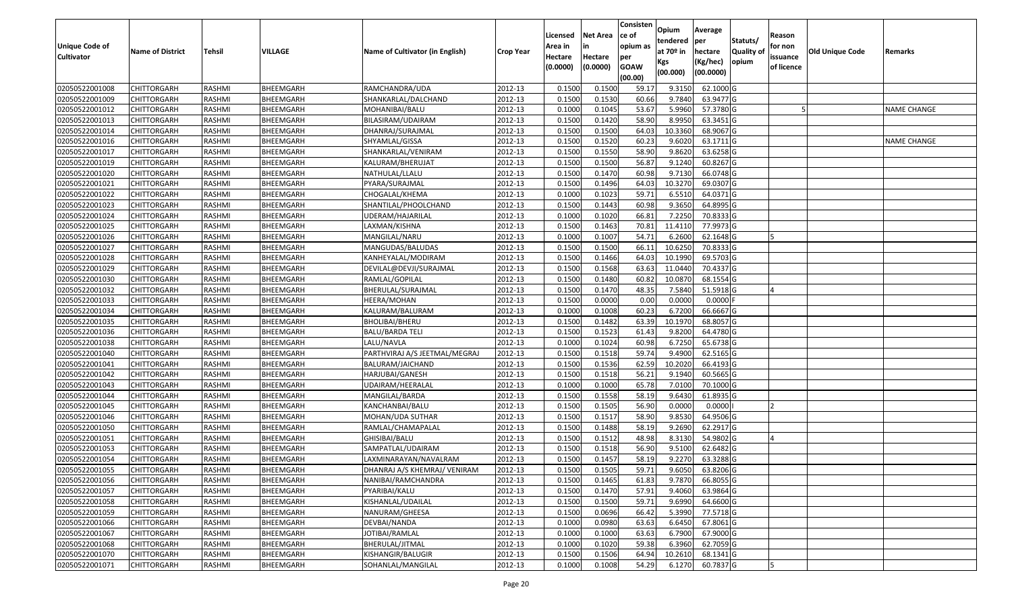| <b>Unique Code of</b><br><b>Cultivator</b> | <b>Name of District</b> | <b>Tehsil</b> | VILLAGE   | Name of Cultivator (in English) | <b>Crop Year</b> | Licensed<br>Area in<br>Hectare<br>(0.0000) | Net Area<br>in<br>Hectare<br>(0.0000) | Consisten<br>ce of<br>opium as<br>per<br><b>GOAW</b><br>(00.00) | Opium<br>tendered<br>at 70º in<br>Kgs<br>(00.000) | Average<br> per<br>hectare<br>(Kg/hec)<br>(00.0000) | Statuts/<br><b>Quality of</b><br>opium | Reason<br>for non<br>issuance<br>of licence | <b>Old Unique Code</b> | Remarks     |
|--------------------------------------------|-------------------------|---------------|-----------|---------------------------------|------------------|--------------------------------------------|---------------------------------------|-----------------------------------------------------------------|---------------------------------------------------|-----------------------------------------------------|----------------------------------------|---------------------------------------------|------------------------|-------------|
| 02050522001008                             | <b>CHITTORGARH</b>      | RASHMI        | BHEEMGARH | RAMCHANDRA/UDA                  | 2012-13          | 0.1500                                     | 0.150                                 | 59.17                                                           | 9.3150                                            | 62.1000 G                                           |                                        |                                             |                        |             |
| 02050522001009                             | CHITTORGARH             | RASHMI        | BHEEMGARH | SHANKARLAL/DALCHAND             | 2012-13          | 0.1500                                     | 0.1530                                | 60.66                                                           | 9.7840                                            | 63.9477 G                                           |                                        |                                             |                        |             |
| 02050522001012                             | CHITTORGARH             | RASHMI        | BHEEMGARH | MOHANIBAI/BALU                  | 2012-13          | 0.1000                                     | 0.1045                                | 53.67                                                           | 5.9960                                            | 57.3780 G                                           |                                        |                                             |                        | NAME CHANGE |
| 02050522001013                             | <b>CHITTORGARH</b>      | <b>RASHMI</b> | BHEEMGARH | BILASIRAM/UDAIRAM               | 2012-13          | 0.1500                                     | 0.1420                                | 58.90                                                           | 8.9950                                            | 63.3451 G                                           |                                        |                                             |                        |             |
| 02050522001014                             | <b>CHITTORGARH</b>      | RASHMI        | BHEEMGARH | DHANRAJ/SURAJMAL                | 2012-13          | 0.1500                                     | 0.1500                                | 64.03                                                           | 10.3360                                           | 68.9067 G                                           |                                        |                                             |                        |             |
| 02050522001016                             | <b>CHITTORGARH</b>      | RASHMI        | BHEEMGARH | SHYAMLAL/GISSA                  | 2012-13          | 0.1500                                     | 0.1520                                | 60.23                                                           | 9.6020                                            | 63.1711 G                                           |                                        |                                             |                        | NAME CHANGE |
| 02050522001017                             | CHITTORGARH             | RASHMI        | BHEEMGARH | SHANKARLAL/VENIRAM              | 2012-13          | 0.1500                                     | 0.1550                                | 58.90                                                           | 9.8620                                            | 63.6258 G                                           |                                        |                                             |                        |             |
| 02050522001019                             | <b>CHITTORGARH</b>      | RASHMI        | BHEEMGARH | KALURAM/BHERUJAT                | 2012-13          | 0.1500                                     | 0.1500                                | 56.87                                                           | 9.1240                                            | 60.8267 G                                           |                                        |                                             |                        |             |
| 02050522001020                             | <b>CHITTORGARH</b>      | RASHMI        | BHEEMGARH | NATHULAL/LLALU                  | 2012-13          | 0.1500                                     | 0.1470                                | 60.98                                                           | 9.7130                                            | 66.0748 G                                           |                                        |                                             |                        |             |
| 02050522001021                             | <b>CHITTORGARH</b>      | RASHMI        | BHEEMGARH | PYARA/SURAJMAL                  | 2012-13          | 0.1500                                     | 0.1496                                | 64.03                                                           | 10.3270                                           | 69.0307 G                                           |                                        |                                             |                        |             |
| 02050522001022                             | CHITTORGARH             | RASHMI        | BHEEMGARH | CHOGALAL/KHEMA                  | 2012-13          | 0.1000                                     | 0.1023                                | 59.71                                                           | 6.5510                                            | 64.0371 G                                           |                                        |                                             |                        |             |
| 02050522001023                             | CHITTORGARH             | RASHMI        | BHEEMGARH | SHANTILAL/PHOOLCHAND            | 2012-13          | 0.1500                                     | 0.1443                                | 60.98                                                           | 9.3650                                            | 64.8995 G                                           |                                        |                                             |                        |             |
| 02050522001024                             | CHITTORGARH             | RASHMI        | BHEEMGARH | UDERAM/HAJARILAL                | 2012-13          | 0.1000                                     | 0.1020                                | 66.81                                                           | 7.2250                                            | 70.8333 G                                           |                                        |                                             |                        |             |
| 02050522001025                             | CHITTORGARH             | RASHMI        | BHEEMGARH | LAXMAN/KISHNA                   | 2012-13          | 0.1500                                     | 0.1463                                | 70.81                                                           | 11.4110                                           | 77.9973 G                                           |                                        |                                             |                        |             |
| 02050522001026                             | CHITTORGARH             | RASHMI        | BHEEMGARH | MANGILAL/NARU                   | 2012-13          | 0.1000                                     | 0.1007                                | 54.71                                                           | 6.2600                                            | 62.1648 G                                           |                                        |                                             |                        |             |
| 02050522001027                             | CHITTORGARH             | RASHMI        | BHEEMGARH | MANGUDAS/BALUDAS                | 2012-13          | 0.1500                                     | 0.1500                                | 66.11                                                           | 10.6250                                           | 70.8333 G                                           |                                        |                                             |                        |             |
| 02050522001028                             | CHITTORGARH             | RASHMI        | BHEEMGARH | KANHEYALAL/MODIRAM              | 2012-13          | 0.1500                                     | 0.1466                                | 64.03                                                           | 10.1990                                           | 69.5703 G                                           |                                        |                                             |                        |             |
| 02050522001029                             | <b>CHITTORGARH</b>      | RASHMI        | BHEEMGARH | DEVILAL@DEVJI/SURAJMAL          | 2012-13          | 0.1500                                     | 0.1568                                | 63.63                                                           | 11.0440                                           | 70.4337 G                                           |                                        |                                             |                        |             |
| 02050522001030                             | <b>CHITTORGARH</b>      | RASHMI        | BHEEMGARH | RAMLAL/GOPILAL                  | 2012-13          | 0.1500                                     | 0.1480                                | 60.82                                                           | 10.0870                                           | 68.1554 G                                           |                                        |                                             |                        |             |
| 02050522001032                             | CHITTORGARH             | RASHMI        | BHEEMGARH | BHERULAL/SURAJMAL               | 2012-13          | 0.1500                                     | 0.1470                                | 48.35                                                           | 7.5840                                            | 51.5918 G                                           |                                        |                                             |                        |             |
| 02050522001033                             | <b>CHITTORGARH</b>      | RASHMI        | BHEEMGARH | HEERA/MOHAN                     | 2012-13          | 0.1500                                     | 0.0000                                | 0.00                                                            | 0.0000                                            | $0.0000$ F                                          |                                        |                                             |                        |             |
| 02050522001034                             | <b>CHITTORGARH</b>      | RASHMI        | BHEEMGARH | KALURAM/BALURAM                 | 2012-13          | 0.1000                                     | 0.1008                                | 60.23                                                           | 6.7200                                            | 66.6667 G                                           |                                        |                                             |                        |             |
| 02050522001035                             | CHITTORGARH             | RASHMI        | BHEEMGARH | <b>BHOLIBAI/BHERU</b>           | 2012-13          | 0.1500                                     | 0.1482                                | 63.39                                                           | 10.1970                                           | 68.8057 G                                           |                                        |                                             |                        |             |
| 02050522001036                             | CHITTORGARH             | RASHMI        | BHEEMGARH | <b>BALU/BARDA TELI</b>          | 2012-13          | 0.1500                                     | 0.1523                                | 61.43                                                           | 9.8200                                            | 64.4780 G                                           |                                        |                                             |                        |             |
| 02050522001038                             | <b>CHITTORGARH</b>      | <b>RASHMI</b> | BHEEMGARH | LALU/NAVLA                      | 2012-13          | 0.1000                                     | 0.1024                                | 60.98                                                           | 6.7250                                            | 65.6738 G                                           |                                        |                                             |                        |             |
| 02050522001040                             | CHITTORGARH             | <b>RASHMI</b> | BHEEMGARH | PARTHVIRAJ A/S JEETMAL/MEGRAJ   | 2012-13          | 0.1500                                     | 0.1518                                | 59.74                                                           | 9.4900                                            | 62.5165 G                                           |                                        |                                             |                        |             |
| 02050522001041                             | CHITTORGARH             | RASHMI        | BHEEMGARH | BALURAM/JAICHAND                | 2012-13          | 0.1500                                     | 0.1536                                | 62.59                                                           | 10.2020                                           | 66.4193 G                                           |                                        |                                             |                        |             |
| 02050522001042                             | CHITTORGARH             | RASHMI        | BHEEMGARH | HARJUBAI/GANESH                 | 2012-13          | 0.1500                                     | 0.1518                                | 56.21                                                           | 9.1940                                            | 60.5665 G                                           |                                        |                                             |                        |             |
| 02050522001043                             | <b>CHITTORGARH</b>      | RASHMI        | BHEEMGARH | UDAIRAM/HEERALAL                | 2012-13          | 0.1000                                     | 0.1000                                | 65.78                                                           | 7.0100                                            | 70.1000 G                                           |                                        |                                             |                        |             |
| 02050522001044                             | <b>CHITTORGARH</b>      | RASHMI        | BHEEMGARH | MANGILAL/BARDA                  | 2012-13          | 0.1500                                     | 0.1558                                | 58.19                                                           | 9.6430                                            | 61.8935 G                                           |                                        |                                             |                        |             |
| 02050522001045                             | <b>CHITTORGARH</b>      | RASHMI        | BHEEMGARH | KANCHANBAI/BALU                 | 2012-13          | 0.1500                                     | 0.1505                                | 56.90                                                           | 0.0000                                            | 0.0000                                              |                                        |                                             |                        |             |
| 02050522001046                             | CHITTORGARH             | RASHMI        | BHEEMGARH | MOHAN/UDA SUTHAR                | 2012-13          | 0.1500                                     | 0.1517                                | 58.90                                                           | 9.8530                                            | 64.9506 G                                           |                                        |                                             |                        |             |
| 02050522001050                             | <b>CHITTORGARH</b>      | RASHMI        | BHEEMGARH | RAMLAL/CHAMAPALAL               | 2012-13          | 0.1500                                     | 0.1488                                | 58.19                                                           | 9.2690                                            | 62.2917 G                                           |                                        |                                             |                        |             |
| 02050522001051                             | <b>CHITTORGARH</b>      | RASHMI        | BHEEMGARH | GHISIBAI/BALU                   | 2012-13          | 0.1500                                     | 0.1512                                | 48.98                                                           | 8.3130                                            | 54.9802 G                                           |                                        |                                             |                        |             |
| 02050522001053                             | CHITTORGARH             | RASHMI        | BHEEMGARH | SAMPATLAL/UDAIRAM               | 2012-13          | 0.1500                                     | 0.1518                                | 56.90                                                           | 9.5100                                            | 62.6482 G                                           |                                        |                                             |                        |             |
| 02050522001054                             | <b>CHITTORGARH</b>      | RASHMI        | BHEEMGARH | LAXMINARAYAN/NAVALRAM           | 2012-13          | 0.1500                                     | 0.1457                                | 58.19                                                           | 9.2270                                            | 63.3288 G                                           |                                        |                                             |                        |             |
| 02050522001055                             | <b>CHITTORGARH</b>      | RASHMI        | BHEEMGARH | DHANRAJ A/S KHEMRAJ/ VENIRAM    | 2012-13          | 0.1500                                     | 0.1505                                | 59.71                                                           | 9.6050                                            | 63.8206 G                                           |                                        |                                             |                        |             |
| 02050522001056                             | <b>CHITTORGARH</b>      | RASHMI        | BHEEMGARH | NANIBAI/RAMCHANDRA              | 2012-13          | 0.1500                                     | 0.1465                                | 61.83                                                           | 9.7870                                            | 66.8055 G                                           |                                        |                                             |                        |             |
| 02050522001057                             | <b>CHITTORGARH</b>      | RASHMI        | BHEEMGARH | PYARIBAI/KALU                   | 2012-13          | 0.1500                                     | 0.1470                                | 57.91                                                           | 9.4060                                            | 63.9864 G                                           |                                        |                                             |                        |             |
| 02050522001058                             | <b>CHITTORGARH</b>      | RASHMI        | BHEEMGARH | KISHANLAL/UDAILAL               | 2012-13          | 0.1500                                     | 0.1500                                | 59.71                                                           | 9.6990                                            | 64.6600 G                                           |                                        |                                             |                        |             |
| 02050522001059                             | <b>CHITTORGARH</b>      | RASHMI        | BHEEMGARH | NANURAM/GHEESA                  | 2012-13          | 0.1500                                     | 0.0696                                | 66.42                                                           | 5.3990                                            | 77.5718 G                                           |                                        |                                             |                        |             |
| 02050522001066                             | <b>CHITTORGARH</b>      | RASHMI        | BHEEMGARH | DEVBAI/NANDA                    | 2012-13          | 0.1000                                     | 0.0980                                | 63.63                                                           | 6.6450                                            | 67.8061 G                                           |                                        |                                             |                        |             |
| 02050522001067                             | <b>CHITTORGARH</b>      | RASHMI        | BHEEMGARH | JOTIBAI/RAMLAL                  | 2012-13          | 0.1000                                     | 0.1000                                | 63.63                                                           | 6.7900                                            | 67.9000 G                                           |                                        |                                             |                        |             |
| 02050522001068                             | <b>CHITTORGARH</b>      | RASHMI        | BHEEMGARH | BHERULAL/JITMAL                 | 2012-13          | 0.1000                                     | 0.1020                                | 59.38                                                           | 6.3960                                            | 62.7059 G                                           |                                        |                                             |                        |             |
| 02050522001070                             | <b>CHITTORGARH</b>      | RASHMI        | BHEEMGARH | KISHANGIR/BALUGIR               | 2012-13          | 0.1500                                     | 0.1506                                | 64.94                                                           | 10.2610                                           | 68.1341 G                                           |                                        |                                             |                        |             |
| 02050522001071                             | <b>CHITTORGARH</b>      | RASHMI        | BHEEMGARH | SOHANLAL/MANGILAL               | 2012-13          | 0.1000                                     | 0.1008                                | 54.29                                                           | 6.1270                                            | 60.7837 G                                           |                                        | 5                                           |                        |             |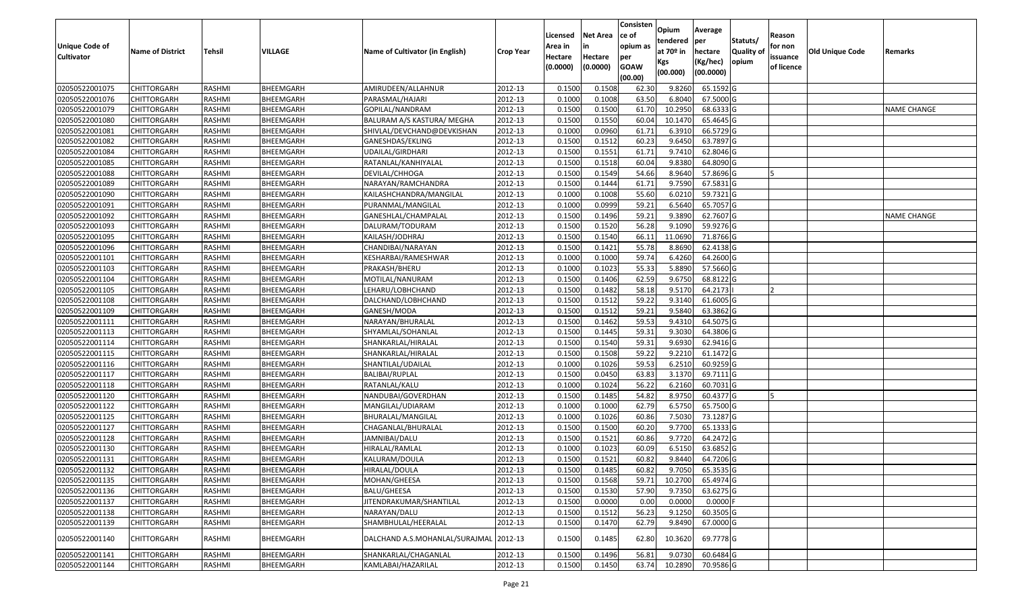| <b>Unique Code of</b><br><b>Cultivator</b> | <b>Name of District</b> | <b>Tehsil</b> | VILLAGE   | Name of Cultivator (in English)        | <b>Crop Year</b> | Licensed<br>Area in<br>Hectare<br>(0.0000) | <b>Net Area</b><br>in<br>Hectare<br>(0.0000) | Consisten<br>ce of<br>opium as<br>per<br><b>GOAW</b><br>(00.00) | Opium<br>tendered<br>at $70°$ in<br>Kgs<br>(00.000) | Average<br>per<br>hectare<br>(Kg/hec)<br>(00.0000) | Statuts/<br>Quality of<br>opium | Reason<br>for non<br>issuance<br>of licence | <b>Old Unique Code</b> | Remarks            |
|--------------------------------------------|-------------------------|---------------|-----------|----------------------------------------|------------------|--------------------------------------------|----------------------------------------------|-----------------------------------------------------------------|-----------------------------------------------------|----------------------------------------------------|---------------------------------|---------------------------------------------|------------------------|--------------------|
| 02050522001075                             | <b>CHITTORGARH</b>      | RASHMI        | BHEEMGARH | AMIRUDEEN/ALLAHNUR                     | 2012-13          | 0.1500                                     | 0.1508                                       | 62.30                                                           | 9.8260                                              | 65.1592 G                                          |                                 |                                             |                        |                    |
| 02050522001076                             | CHITTORGARH             | RASHMI        | BHEEMGARH | PARASMAL/HAJARI                        | 2012-13          | 0.1000                                     | 0.1008                                       | 63.50                                                           | 6.8040                                              | 67.5000 G                                          |                                 |                                             |                        |                    |
| 02050522001079                             | CHITTORGARH             | RASHMI        | BHEEMGARH | GOPILAL/NANDRAM                        | 2012-13          | 0.1500                                     | 0.1500                                       | 61.70                                                           | 10.2950                                             | 68.6333 G                                          |                                 |                                             |                        | <b>NAME CHANGE</b> |
| 02050522001080                             | <b>CHITTORGARH</b>      | RASHMI        | BHEEMGARH | BALURAM A/S KASTURA/ MEGHA             | 2012-13          | 0.1500                                     | 0.1550                                       | 60.04                                                           | 10.1470                                             | 65.4645 G                                          |                                 |                                             |                        |                    |
| 02050522001081                             | <b>CHITTORGARH</b>      | RASHMI        | BHEEMGARH | SHIVLAL/DEVCHAND@DEVKISHAN             | 2012-13          | 0.1000                                     | 0.0960                                       | 61.71                                                           | 6.3910                                              | 66.5729 G                                          |                                 |                                             |                        |                    |
| 02050522001082                             | <b>CHITTORGARH</b>      | RASHMI        | BHEEMGARH | GANESHDAS/EKLING                       | 2012-13          | 0.1500                                     | 0.1512                                       | 60.23                                                           | 9.6450                                              | 63.7897 G                                          |                                 |                                             |                        |                    |
| 02050522001084                             | CHITTORGARH             | RASHMI        | BHEEMGARH | UDAILAL/GIRDHARI                       | 2012-13          | 0.1500                                     | 0.1551                                       | 61.71                                                           | 9.7410                                              | 62.8046 G                                          |                                 |                                             |                        |                    |
| 02050522001085                             | <b>CHITTORGARH</b>      | RASHMI        | BHEEMGARH | RATANLAL/KANHIYALAL                    | 2012-13          | 0.1500                                     | 0.1518                                       | 60.04                                                           | 9.8380                                              | 64.8090 G                                          |                                 |                                             |                        |                    |
| 02050522001088                             | CHITTORGARH             | RASHMI        | BHEEMGARH | DEVILAL/CHHOGA                         | 2012-13          | 0.1500                                     | 0.1549                                       | 54.66                                                           | 8.9640                                              | 57.8696 G                                          |                                 |                                             |                        |                    |
| 02050522001089                             | CHITTORGARH             | RASHMI        | BHEEMGARH | NARAYAN/RAMCHANDRA                     | 2012-13          | 0.1500                                     | 0.1444                                       | 61.71                                                           | 9.7590                                              | 67.5831 G                                          |                                 |                                             |                        |                    |
| 02050522001090                             | CHITTORGARH             | RASHMI        | BHEEMGARH | KAILASHCHANDRA/MANGILAL                | 2012-13          | 0.1000                                     | 0.1008                                       | 55.60                                                           | 6.0210                                              | 59.7321 G                                          |                                 |                                             |                        |                    |
| 02050522001091                             | CHITTORGARH             | RASHMI        | BHEEMGARH | PURANMAL/MANGILAL                      | 2012-13          | 0.1000                                     | 0.0999                                       | 59.21                                                           | 6.5640                                              | 65.7057 G                                          |                                 |                                             |                        |                    |
| 02050522001092                             | CHITTORGARH             | RASHMI        | BHEEMGARH | GANESHLAL/CHAMPALAL                    | 2012-13          | 0.1500                                     | 0.1496                                       | 59.21                                                           | 9.3890                                              | 62.7607 G                                          |                                 |                                             |                        | <b>NAME CHANGE</b> |
| 02050522001093                             | CHITTORGARH             | RASHMI        | BHEEMGARH | DALURAM/TODURAM                        | 2012-13          | 0.1500                                     | 0.1520                                       | 56.28                                                           | 9.1090                                              | 59.9276 G                                          |                                 |                                             |                        |                    |
| 02050522001095                             | CHITTORGARH             | RASHMI        | BHEEMGARH | KAILASH/JODHRAJ                        | 2012-13          | 0.1500                                     | 0.1540                                       | 66.1                                                            | 11.0690                                             | 71.8766 G                                          |                                 |                                             |                        |                    |
| 02050522001096                             | CHITTORGARH             | RASHMI        | BHEEMGARH | CHANDIBAI/NARAYAN                      | 2012-13          | 0.1500                                     | 0.1421                                       | 55.78                                                           | 8.8690                                              | 62.4138 G                                          |                                 |                                             |                        |                    |
| 02050522001101                             | CHITTORGARH             | RASHMI        | BHEEMGARH | KESHARBAI/RAMESHWAR                    | 2012-13          | 0.1000                                     | 0.1000                                       | 59.74                                                           | 6.4260                                              | 64.2600 G                                          |                                 |                                             |                        |                    |
| 02050522001103                             | CHITTORGARH             | RASHMI        | BHEEMGARH | PRAKASH/BHERU                          | 2012-13          | 0.1000                                     | 0.1023                                       | 55.33                                                           | 5.8890                                              | 57.5660 G                                          |                                 |                                             |                        |                    |
| 02050522001104                             | <b>CHITTORGARH</b>      | RASHMI        | BHEEMGARH | MOTILAL/NANURAM                        | 2012-13          | 0.1500                                     | 0.1406                                       | 62.59                                                           | 9.6750                                              | 68.8122 G                                          |                                 |                                             |                        |                    |
| 02050522001105                             | CHITTORGARH             | RASHMI        | BHEEMGARH | LEHARU/LOBHCHAND                       | 2012-13          | 0.1500                                     | 0.1482                                       | 58.18                                                           | 9.5170                                              | 64.2173                                            |                                 |                                             |                        |                    |
| 02050522001108                             | <b>CHITTORGARH</b>      | RASHMI        | BHEEMGARH | DALCHAND/LOBHCHAND                     | 2012-13          | 0.1500                                     | 0.1512                                       | 59.22                                                           | 9.3140                                              | 61.6005 G                                          |                                 |                                             |                        |                    |
| 02050522001109                             | CHITTORGARH             | RASHMI        | BHEEMGARH | GANESH/MODA                            | 2012-13          | 0.1500                                     | 0.1512                                       | 59.21                                                           | 9.5840                                              | 63.3862 G                                          |                                 |                                             |                        |                    |
| 02050522001111                             | CHITTORGARH             | RASHMI        | BHEEMGARH | NARAYAN/BHURALAL                       | 2012-13          | 0.1500                                     | 0.1462                                       | 59.53                                                           | 9.4310                                              | 64.5075 G                                          |                                 |                                             |                        |                    |
| 02050522001113                             | CHITTORGARH             | RASHMI        | BHEEMGARH | SHYAMLAL/SOHANLAL                      | 2012-13          | 0.1500                                     | 0.1445                                       | 59.31                                                           | 9.3030                                              | 64.3806 G                                          |                                 |                                             |                        |                    |
| 02050522001114                             | CHITTORGARH             | <b>RASHMI</b> | BHEEMGARH | SHANKARLAL/HIRALAL                     | 2012-13          | 0.1500                                     | 0.1540                                       | 59.31                                                           | 9.6930                                              | 62.9416 G                                          |                                 |                                             |                        |                    |
| 02050522001115                             | <b>CHITTORGARH</b>      | <b>RASHMI</b> | BHEEMGARH | SHANKARLAL/HIRALAL                     | 2012-13          | 0.1500                                     | 0.1508                                       | 59.22                                                           | 9.2210                                              | 61.1472 G                                          |                                 |                                             |                        |                    |
| 02050522001116                             | CHITTORGARH             | RASHMI        | BHEEMGARH | SHANTILAL/UDAILAL                      | 2012-13          | 0.1000                                     | 0.1026                                       | 59.53                                                           | 6.2510                                              | 60.9259 G                                          |                                 |                                             |                        |                    |
| 02050522001117                             | CHITTORGARH             | RASHMI        | BHEEMGARH | BALIBAI/RUPLAL                         | 2012-13          | 0.1500                                     | 0.0450                                       | 63.83                                                           | 3.1370                                              | 69.7111G                                           |                                 |                                             |                        |                    |
| 02050522001118                             | <b>CHITTORGARH</b>      | RASHMI        | BHEEMGARH | RATANLAL/KALU                          | 2012-13          | 0.1000                                     | 0.1024                                       | 56.22                                                           | 6.2160                                              | 60.7031 G                                          |                                 |                                             |                        |                    |
| 02050522001120                             | <b>CHITTORGARH</b>      | RASHMI        | BHEEMGARH | NANDUBAI/GOVERDHAN                     | 2012-13          | 0.1500                                     | 0.1485                                       | 54.82                                                           | 8.9750                                              | 60.4377 G                                          |                                 |                                             |                        |                    |
| 02050522001122                             | <b>CHITTORGARH</b>      | RASHMI        | BHEEMGARH | MANGILAL/UDIARAM                       | 2012-13          | 0.1000                                     | 0.1000                                       | 62.79                                                           | 6.5750                                              | 65.7500 G                                          |                                 |                                             |                        |                    |
| 02050522001125                             | CHITTORGARH             | RASHMI        | BHEEMGARH | BHURALAL/MANGILAL                      | 2012-13          | 0.1000                                     | 0.1026                                       | 60.86                                                           | 7.5030                                              | 73.1287 G                                          |                                 |                                             |                        |                    |
| 02050522001127                             | CHITTORGARH             | RASHMI        | BHEEMGARH | CHAGANLAL/BHURALAL                     | 2012-13          | 0.1500                                     | 0.1500                                       | 60.20                                                           | 9.7700                                              | 65.1333 G                                          |                                 |                                             |                        |                    |
| 02050522001128                             | CHITTORGARH             | RASHMI        | BHEEMGARH | JAMNIBAI/DALU                          | 2012-13          | 0.1500                                     | 0.1521                                       | 60.86                                                           | 9.7720                                              | 64.2472 G                                          |                                 |                                             |                        |                    |
| 02050522001130                             | CHITTORGARH             | RASHMI        | BHEEMGARH | HIRALAL/RAMLAL                         | 2012-13          | 0.1000                                     | 0.1023                                       | 60.09                                                           | 6.5150                                              | 63.6852 G                                          |                                 |                                             |                        |                    |
| 02050522001131                             | <b>CHITTORGARH</b>      | RASHMI        | BHEEMGARH | KALURAM/DOULA                          | 2012-13          | 0.1500                                     | 0.1521                                       | 60.82                                                           | 9.8440                                              | 64.7206 G                                          |                                 |                                             |                        |                    |
| 02050522001132                             | <b>CHITTORGARH</b>      | RASHMI        | BHEEMGARH | HIRALAL/DOULA                          | 2012-13          | 0.1500                                     | 0.1485                                       | 60.82                                                           | 9.7050                                              | 65.3535 G                                          |                                 |                                             |                        |                    |
| 02050522001135                             | <b>CHITTORGARH</b>      | RASHMI        | BHEEMGARH | MOHAN/GHEESA                           | 2012-13          | 0.1500                                     | 0.1568                                       | 59.71                                                           | 10.2700                                             | 65.4974 G                                          |                                 |                                             |                        |                    |
| 02050522001136                             | <b>CHITTORGARH</b>      | RASHMI        | BHEEMGARH | BALU/GHEESA                            | 2012-13          | 0.1500                                     | 0.1530                                       | 57.90                                                           | 9.7350                                              | 63.6275 G                                          |                                 |                                             |                        |                    |
| 02050522001137                             | <b>CHITTORGARH</b>      | RASHMI        | BHEEMGARH | JITENDRAKUMAR/SHANTILAL                | 2012-13          | 0.1500                                     | 0.0000                                       | 0.00                                                            | 0.0000                                              | $0.0000$ F                                         |                                 |                                             |                        |                    |
| 02050522001138                             | <b>CHITTORGARH</b>      | RASHMI        | BHEEMGARH | NARAYAN/DALU                           | 2012-13          | 0.1500                                     | 0.1512                                       | 56.23                                                           | 9.1250                                              | 60.3505 G                                          |                                 |                                             |                        |                    |
| 02050522001139                             | <b>CHITTORGARH</b>      | RASHMI        | BHEEMGARH | SHAMBHULAL/HEERALAL                    | 2012-13          | 0.1500                                     | 0.1470                                       | 62.79                                                           | 9.8490                                              | 67.0000 G                                          |                                 |                                             |                        |                    |
| 02050522001140                             | <b>CHITTORGARH</b>      | RASHMI        | BHEEMGARH | DALCHAND A.S.MOHANLAL/SURAJMAL 2012-13 |                  | 0.1500                                     | 0.1485                                       | 62.80                                                           | 10.3620                                             | 69.7778 G                                          |                                 |                                             |                        |                    |
| 02050522001141                             | CHITTORGARH             | RASHMI        | BHEEMGARH | SHANKARLAL/CHAGANLAL                   | 2012-13          | 0.1500                                     | 0.1496                                       | 56.81                                                           | 9.0730                                              | 60.6484 G                                          |                                 |                                             |                        |                    |
| 02050522001144                             | <b>CHITTORGARH</b>      | RASHMI        | BHEEMGARH | KAMLABAI/HAZARILAL                     | 2012-13          | 0.1500                                     | 0.1450                                       | 63.74                                                           | 10.2890                                             | 70.9586 G                                          |                                 |                                             |                        |                    |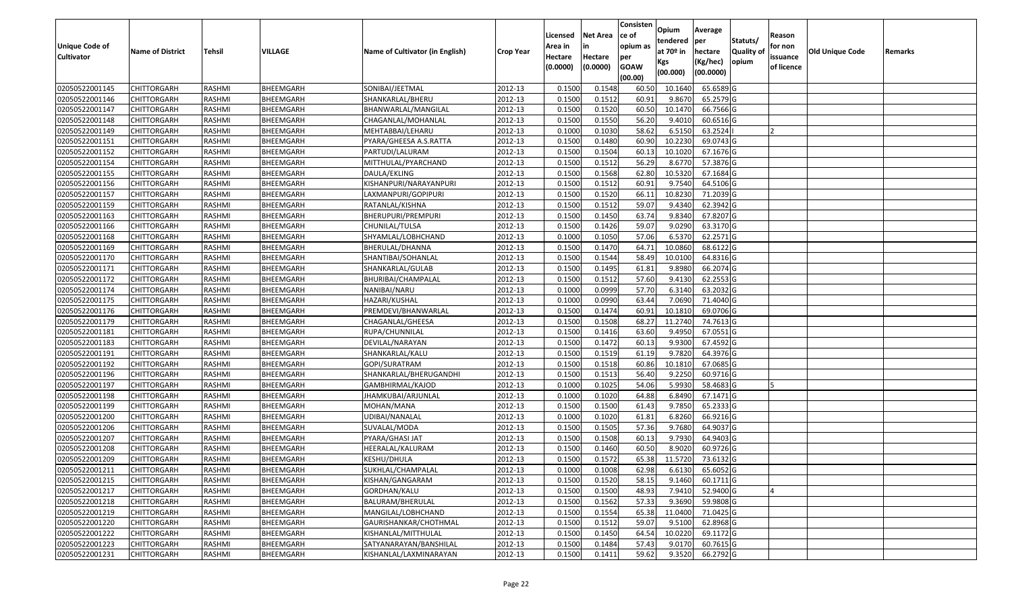| <b>Unique Code of</b><br><b>Cultivator</b> | <b>Name of District</b> | <b>Tehsil</b> | VILLAGE   | Name of Cultivator (in English) | <b>Crop Year</b> | Licensed<br>Area in<br>Hectare<br>(0.0000) | <b>Net Area</b><br>in<br>Hectare<br>(0.0000) | Consisten<br>ce of<br>opium as<br>per<br><b>GOAW</b><br>(00.00) | Opium<br>tendered<br>at $70°$ in<br>Kgs<br>(00.000) | Average<br>per<br>hectare<br>(Kg/hec)<br>(00.0000) | Statuts/<br>Quality of<br>opium | Reason<br>for non<br>issuance<br>of licence | <b>Old Unique Code</b> | Remarks |
|--------------------------------------------|-------------------------|---------------|-----------|---------------------------------|------------------|--------------------------------------------|----------------------------------------------|-----------------------------------------------------------------|-----------------------------------------------------|----------------------------------------------------|---------------------------------|---------------------------------------------|------------------------|---------|
| 02050522001145                             | <b>CHITTORGARH</b>      | RASHMI        | BHEEMGARH | SONIBAI/JEETMAL                 | 2012-13          | 0.1500                                     | 0.1548                                       | 60.50                                                           | 10.1640                                             | 65.6589 G                                          |                                 |                                             |                        |         |
| 02050522001146                             | CHITTORGARH             | RASHMI        | BHEEMGARH | SHANKARLAL/BHERU                | 2012-13          | 0.1500                                     | 0.1512                                       | 60.91                                                           | 9.8670                                              | 65.2579 G                                          |                                 |                                             |                        |         |
| 02050522001147                             | CHITTORGARH             | RASHMI        | BHEEMGARH | BHANWARLAL/MANGILAL             | 2012-13          | 0.1500                                     | 0.1520                                       | 60.50                                                           | 10.1470                                             | 66.7566 G                                          |                                 |                                             |                        |         |
| 02050522001148                             | <b>CHITTORGARH</b>      | RASHMI        | BHEEMGARH | CHAGANLAL/MOHANLAL              | 2012-13          | 0.1500                                     | 0.1550                                       | 56.20                                                           | 9.4010                                              | 60.6516 G                                          |                                 |                                             |                        |         |
| 02050522001149                             | <b>CHITTORGARH</b>      | RASHMI        | BHEEMGARH | MEHTABBAI/LEHARU                | 2012-13          | 0.1000                                     | 0.1030                                       | 58.62                                                           | 6.5150                                              | 63.2524                                            |                                 | $\overline{2}$                              |                        |         |
| 02050522001151                             | <b>CHITTORGARH</b>      | RASHMI        | BHEEMGARH | PYARA/GHEESA A.S.RATTA          | 2012-13          | 0.1500                                     | 0.1480                                       | 60.90                                                           | 10.2230                                             | 69.0743 G                                          |                                 |                                             |                        |         |
| 02050522001152                             | <b>CHITTORGARH</b>      | RASHMI        | BHEEMGARH | PARTUDI/LALURAM                 | 2012-13          | 0.1500                                     | 0.1504                                       | 60.13                                                           | 10.1020                                             | 67.1676 G                                          |                                 |                                             |                        |         |
| 02050522001154                             | <b>CHITTORGARH</b>      | RASHMI        | BHEEMGARH | MITTHULAL/PYARCHAND             | 2012-13          | 0.1500                                     | 0.1512                                       | 56.29                                                           | 8.6770                                              | 57.3876 G                                          |                                 |                                             |                        |         |
| 02050522001155                             | <b>CHITTORGARH</b>      | RASHMI        | BHEEMGARH | DAULA/EKLING                    | 2012-13          | 0.1500                                     | 0.1568                                       | 62.80                                                           | 10.5320                                             | 67.1684 G                                          |                                 |                                             |                        |         |
| 02050522001156                             | CHITTORGARH             | RASHMI        | BHEEMGARH | KISHANPURI/NARAYANPURI          | 2012-13          | 0.1500                                     | 0.1512                                       | 60.91                                                           | 9.7540                                              | 64.5106 G                                          |                                 |                                             |                        |         |
| 02050522001157                             | <b>CHITTORGARH</b>      | RASHMI        | BHEEMGARH | LAXMANPURI/GOPIPURI             | 2012-13          | 0.1500                                     | 0.1520                                       | 66.1                                                            | 10.8230                                             | 71.2039 G                                          |                                 |                                             |                        |         |
| 02050522001159                             | CHITTORGARH             | RASHMI        | BHEEMGARH | RATANLAL/KISHNA                 | 2012-13          | 0.1500                                     | 0.1512                                       | 59.07                                                           | 9.4340                                              | 62.3942 G                                          |                                 |                                             |                        |         |
| 02050522001163                             | CHITTORGARH             | RASHMI        | BHEEMGARH | BHERUPURI/PREMPURI              | 2012-13          | 0.1500                                     | 0.1450                                       | 63.74                                                           | 9.8340                                              | 67.8207 G                                          |                                 |                                             |                        |         |
| 02050522001166                             | CHITTORGARH             | RASHMI        | BHEEMGARH | CHUNILAL/TULSA                  | 2012-13          | 0.150                                      | 0.1426                                       | 59.07                                                           | 9.0290                                              | 63.3170 G                                          |                                 |                                             |                        |         |
| 02050522001168                             | CHITTORGARH             | RASHMI        | BHEEMGARH | SHYAMLAL/LOBHCHAND              | 2012-13          | 0.1000                                     | 0.1050                                       | 57.06                                                           | 6.5370                                              | 62.2571 G                                          |                                 |                                             |                        |         |
| 02050522001169                             | CHITTORGARH             | RASHMI        | BHEEMGARH | BHERULAL/DHANNA                 | 2012-13          | 0.150                                      | 0.1470                                       | 64.71                                                           | 10.0860                                             | 68.6122 G                                          |                                 |                                             |                        |         |
| 02050522001170                             | CHITTORGARH             | RASHMI        | BHEEMGARH | SHANTIBAI/SOHANLAL              | 2012-13          | 0.1500                                     | 0.1544                                       | 58.49                                                           | 10.0100                                             | 64.8316 G                                          |                                 |                                             |                        |         |
| 02050522001171                             | CHITTORGARH             | RASHMI        | BHEEMGARH | SHANKARLAL/GULAB                | 2012-13          | 0.1500                                     | 0.1495                                       | 61.8                                                            | 9.8980                                              | 66.2074 G                                          |                                 |                                             |                        |         |
| 02050522001172                             | <b>CHITTORGARH</b>      | RASHMI        | BHEEMGARH | BHURIBAI/CHAMPALAL              | 2012-13          | 0.1500                                     | 0.1512                                       | 57.60                                                           | 9.4130                                              | 62.2553 G                                          |                                 |                                             |                        |         |
| 02050522001174                             | CHITTORGARH             | RASHMI        | BHEEMGARH | NANIBAI/NARU                    | 2012-13          | 0.1000                                     | 0.0999                                       | 57.70                                                           | 6.3140                                              | 63.2032 G                                          |                                 |                                             |                        |         |
| 02050522001175                             | <b>CHITTORGARH</b>      | RASHMI        | BHEEMGARH | HAZARI/KUSHAL                   | 2012-13          | 0.1000                                     | 0.0990                                       | 63.44                                                           | 7.0690                                              | 71.4040 G                                          |                                 |                                             |                        |         |
| 02050522001176                             | CHITTORGARH             | RASHMI        | BHEEMGARH | PREMDEVI/BHANWARLAL             | 2012-13          | 0.1500                                     | 0.1474                                       | 60.91                                                           | 10.1810                                             | 69.0706 G                                          |                                 |                                             |                        |         |
| 02050522001179                             | CHITTORGARH             | RASHMI        | BHEEMGARH | CHAGANLAL/GHEESA                | 2012-13          | 0.1500                                     | 0.1508                                       | 68.27                                                           | 11.2740                                             | 74.7613 G                                          |                                 |                                             |                        |         |
| 02050522001181                             | CHITTORGARH             | RASHMI        | BHEEMGARH | RUPA/CHUNNILAL                  | 2012-13          | 0.1500                                     | 0.1416                                       | 63.60                                                           | 9.4950                                              | 67.0551G                                           |                                 |                                             |                        |         |
| 02050522001183                             | <b>CHITTORGARH</b>      | RASHMI        | BHEEMGARH | DEVILAL/NARAYAN                 | 2012-13          | 0.1500                                     | 0.1472                                       | 60.13                                                           | 9.9300                                              | 67.4592 G                                          |                                 |                                             |                        |         |
| 02050522001191                             | CHITTORGARH             | RASHMI        | BHEEMGARH | SHANKARLAL/KALU                 | 2012-13          | 0.1500                                     | 0.1519                                       | 61.19                                                           | 9.7820                                              | 64.3976 G                                          |                                 |                                             |                        |         |
| 02050522001192                             | CHITTORGARH             | RASHMI        | BHEEMGARH | GOPI/SURATRAM                   | 2012-13          | 0.1500                                     | 0.1518                                       | 60.86                                                           | 10.1810                                             | 67.0685 G                                          |                                 |                                             |                        |         |
| 02050522001196                             | CHITTORGARH             | RASHMI        | BHEEMGARH | SHANKARLAL/BHERUGANDHI          | 2012-13          | 0.1500                                     | 0.1513                                       | 56.40                                                           | 9.2250                                              | 60.9716 G                                          |                                 |                                             |                        |         |
| 02050522001197                             | <b>CHITTORGARH</b>      | RASHMI        | BHEEMGARH | GAMBHIRMAL/KAJOD                | 2012-13          | 0.1000                                     | 0.1025                                       | 54.06                                                           | 5.9930                                              | 58.4683 G                                          |                                 |                                             |                        |         |
| 02050522001198                             | <b>CHITTORGARH</b>      | RASHMI        | BHEEMGARH | JHAMKUBAI/ARJUNLAL              | 2012-13          | 0.1000                                     | 0.1020                                       | 64.88                                                           | 6.8490                                              | 67.1471 G                                          |                                 |                                             |                        |         |
| 02050522001199                             | <b>CHITTORGARH</b>      | RASHMI        | BHEEMGARH | MOHAN/MANA                      | 2012-13          | 0.1500                                     | 0.1500                                       | 61.43                                                           | 9.7850                                              | 65.2333 G                                          |                                 |                                             |                        |         |
| 02050522001200                             | <b>CHITTORGARH</b>      | RASHMI        | BHEEMGARH | UDIBAI/NANALAL                  | 2012-13          | 0.1000                                     | 0.1020                                       | 61.81                                                           | 6.8260                                              | 66.9216 G                                          |                                 |                                             |                        |         |
| 02050522001206                             | <b>CHITTORGARH</b>      | RASHMI        | BHEEMGARH | SUVALAL/MODA                    | 2012-13          | 0.1500                                     | 0.1505                                       | 57.36                                                           | 9.7680                                              | 64.9037 G                                          |                                 |                                             |                        |         |
| 02050522001207                             | <b>CHITTORGARH</b>      | RASHMI        | BHEEMGARH | PYARA/GHASI JAT                 | 2012-13          | 0.1500                                     | 0.1508                                       | 60.13                                                           | 9.7930                                              | 64.9403 G                                          |                                 |                                             |                        |         |
| 02050522001208                             | CHITTORGARH             | RASHMI        | BHEEMGARH | HEERALAL/KALURAM                | 2012-13          | 0.150                                      | 0.1460                                       | 60.50                                                           | 8.9020                                              | 60.9726 G                                          |                                 |                                             |                        |         |
| 02050522001209                             | CHITTORGARH             | RASHMI        | BHEEMGARH | KESHU/DHULA                     | 2012-13          | 0.1500                                     | 0.1572                                       | 65.38                                                           | 11.5720                                             | 73.6132 G                                          |                                 |                                             |                        |         |
| 02050522001211                             | <b>CHITTORGARH</b>      | RASHMI        | BHEEMGARH | SUKHLAL/CHAMPALAL               | 2012-13          | 0.1000                                     | 0.1008                                       | 62.98                                                           | 6.6130                                              | 65.6052 G                                          |                                 |                                             |                        |         |
| 02050522001215                             | <b>CHITTORGARH</b>      | RASHMI        | BHEEMGARH | KISHAN/GANGARAM                 | 2012-13          | 0.1500                                     | 0.1520                                       | 58.15                                                           | 9.1460                                              | 60.1711 G                                          |                                 |                                             |                        |         |
| 02050522001217                             | <b>CHITTORGARH</b>      | RASHMI        | BHEEMGARH | GORDHAN/KALU                    | 2012-13          | 0.1500                                     | 0.1500                                       | 48.93                                                           | 7.9410                                              | 52.9400 G                                          |                                 |                                             |                        |         |
| 02050522001218                             | <b>CHITTORGARH</b>      | RASHMI        | BHEEMGARH | BALURAM/BHERULAL                | 2012-13          | 0.1500                                     | 0.1562                                       | 57.33                                                           | 9.3690                                              | 59.9808 G                                          |                                 |                                             |                        |         |
| 02050522001219                             | <b>CHITTORGARH</b>      | RASHMI        | BHEEMGARH | MANGILAL/LOBHCHAND              | 2012-13          | 0.1500                                     | 0.1554                                       | 65.38                                                           | 11.0400                                             | 71.0425 G                                          |                                 |                                             |                        |         |
| 02050522001220                             | <b>CHITTORGARH</b>      | RASHMI        | BHEEMGARH | GAURISHANKAR/CHOTHMAL           | 2012-13          | 0.1500                                     | 0.1512                                       | 59.07                                                           | 9.5100                                              | 62.8968 G                                          |                                 |                                             |                        |         |
| 02050522001222                             | <b>CHITTORGARH</b>      | RASHMI        | BHEEMGARH | KISHANLAL/MITTHULAL             | 2012-13          | 0.1500                                     | 0.1450                                       | 64.54                                                           | 10.0220                                             | 69.1172 G                                          |                                 |                                             |                        |         |
| 02050522001223                             | <b>CHITTORGARH</b>      | RASHMI        | BHEEMGARH | SATYANARAYAN/BANSHILAL          | 2012-13          | 0.1500                                     | 0.1484                                       | 57.43                                                           | 9.0170                                              | 60.7615 G                                          |                                 |                                             |                        |         |
| 02050522001231                             | <b>CHITTORGARH</b>      | RASHMI        | BHEEMGARH | KISHANLAL/LAXMINARAYAN          | 2012-13          | 0.1500                                     | 0.1411                                       | 59.62                                                           | 9.3520                                              | 66.2792 G                                          |                                 |                                             |                        |         |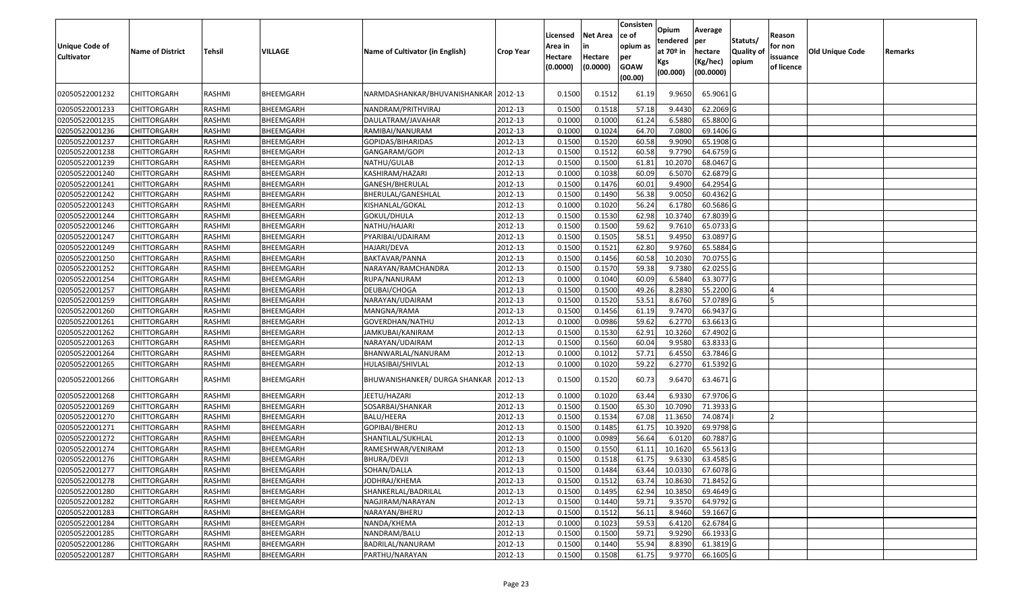| <b>Unique Code of</b><br><b>Cultivator</b> | <b>Name of District</b> | Tehsil        | <b>VILLAGE</b>   | Name of Cultivator (in English)      | <b>Crop Year</b> | Licensed<br>Area in<br>Hectare<br>(0.0000) | <b>Net Area</b><br>Hectare<br>(0.0000) | Consisten<br>ce of<br>opium as<br>per<br><b>GOAW</b><br>(00.00) | Opium<br>tendered<br>at $70°$ in<br><b>Kgs</b><br>(00.000) | Average<br>per<br>hectare<br>(Kg/hec)<br>(00.0000) | Statuts/<br>Quality of<br>opium | Reason<br>for non<br>issuance<br>of licence | Old Unique Code | Remarks |
|--------------------------------------------|-------------------------|---------------|------------------|--------------------------------------|------------------|--------------------------------------------|----------------------------------------|-----------------------------------------------------------------|------------------------------------------------------------|----------------------------------------------------|---------------------------------|---------------------------------------------|-----------------|---------|
| 02050522001232                             | CHITTORGARH             | RASHMI        | BHEEMGARH        | NARMDASHANKAR/BHUVANISHANKAR 2012-13 |                  | 0.1500                                     | 0.1512                                 | 61.19                                                           | 9.9650                                                     | 65.9061 G                                          |                                 |                                             |                 |         |
| 02050522001233                             | CHITTORGARH             | RASHMI        | BHEEMGARH        | NANDRAM/PRITHVIRAJ                   | 2012-13          | 0.1500                                     | 0.1518                                 | 57.18                                                           | 9.4430                                                     | 62.2069 G                                          |                                 |                                             |                 |         |
| 02050522001235                             | <b>CHITTORGARH</b>      | RASHMI        | BHEEMGARH        | DAULATRAM/JAVAHAR                    | 2012-13          | 0.1000                                     | 0.1000                                 | 61.24                                                           | 6.5880                                                     | 65.8800 G                                          |                                 |                                             |                 |         |
| 02050522001236                             | <b>CHITTORGARH</b>      | RASHMI        | BHEEMGARH        | RAMIBAI/NANURAM                      | 2012-13          | 0.1000                                     | 0.1024                                 | 64.70                                                           | 7.0800                                                     | 69.1406 G                                          |                                 |                                             |                 |         |
| 02050522001237                             | <b>CHITTORGARH</b>      | RASHMI        | BHEEMGARH        | GOPIDAS/BIHARIDAS                    | 2012-13          | 0.1500                                     | 0.1520                                 | 60.58                                                           | 9.9090                                                     | 65.1908 G                                          |                                 |                                             |                 |         |
| 02050522001238                             | CHITTORGARH             | RASHMI        | <b>BHEEMGARH</b> | GANGARAM/GOPI                        | 2012-13          | 0.1500                                     | 0.1512                                 | 60.58                                                           | 9.7790                                                     | 64.6759 G                                          |                                 |                                             |                 |         |
| 02050522001239                             | CHITTORGARH             | RASHMI        | BHEEMGARH        | NATHU/GULAB                          | 2012-13          | 0.1500                                     | 0.1500                                 | 61.81                                                           | 10.2070                                                    | 68.0467 G                                          |                                 |                                             |                 |         |
| 02050522001240                             | <b>CHITTORGARH</b>      | RASHMI        | BHEEMGARH        | KASHIRAM/HAZARI                      | 2012-13          | 0.1000                                     | 0.1038                                 | 60.09                                                           | 6.5070                                                     | 62.6879 G                                          |                                 |                                             |                 |         |
| 02050522001241                             | <b>CHITTORGARH</b>      | RASHMI        | BHEEMGARH        | GANESH/BHERULAL                      | 2012-13          | 0.1500                                     | 0.1476                                 | 60.01                                                           | 9.4900                                                     | 64.2954 G                                          |                                 |                                             |                 |         |
| 02050522001242                             | <b>CHITTORGARH</b>      | RASHMI        | BHEEMGARH        | BHERULAL/GANESHLAL                   | 2012-13          | 0.1500                                     | 0.1490                                 | 56.38                                                           | 9.0050                                                     | 60.4362 G                                          |                                 |                                             |                 |         |
| 02050522001243                             | <b>CHITTORGARH</b>      | <b>RASHMI</b> | BHEEMGARH        | KISHANLAL/GOKAL                      | 2012-13          | 0.1000                                     | 0.1020                                 | 56.24                                                           | 6.1780                                                     | 60.5686 G                                          |                                 |                                             |                 |         |
| 02050522001244                             | <b>CHITTORGARH</b>      | RASHMI        | BHEEMGARH        | GOKUL/DHULA                          | 2012-13          | 0.1500                                     | 0.1530                                 | 62.98                                                           | 10.3740                                                    | 67.8039 G                                          |                                 |                                             |                 |         |
| 02050522001246                             | <b>CHITTORGARH</b>      | RASHMI        | BHEEMGARH        | NATHU/HAJARI                         | 2012-13          | 0.1500                                     | 0.1500                                 | 59.62                                                           | 9.7610                                                     | 65.0733 G                                          |                                 |                                             |                 |         |
| 02050522001247                             | <b>CHITTORGARH</b>      | RASHMI        | <b>BHEEMGARH</b> | PYARIBAI/UDAIRAM                     | 2012-13          | 0.1500                                     | 0.1505                                 | 58.51                                                           | 9.4950                                                     | 63.0897 G                                          |                                 |                                             |                 |         |
| 02050522001249                             | CHITTORGARH             | RASHMI        | <b>BHEEMGARH</b> | HAJARI/DEVA                          | 2012-13          | 0.1500                                     | 0.1521                                 | 62.80                                                           | 9.9760                                                     | 65.5884 G                                          |                                 |                                             |                 |         |
| 02050522001250                             | <b>CHITTORGARH</b>      | <b>RASHMI</b> | BHEEMGARH        | BAKTAVAR/PANNA                       | 2012-13          | 0.1500                                     | 0.1456                                 | 60.58                                                           | 10.2030                                                    | 70.0755 G                                          |                                 |                                             |                 |         |
| 02050522001252                             | <b>CHITTORGARH</b>      | <b>RASHMI</b> | BHEEMGARH        | NARAYAN/RAMCHANDRA                   | 2012-13          | 0.1500                                     | 0.1570                                 | 59.38                                                           | 9.7380                                                     | 62.0255 G                                          |                                 |                                             |                 |         |
| 02050522001254                             | <b>CHITTORGARH</b>      | RASHMI        | <b>BHEEMGARH</b> | RUPA/NANURAM                         | 2012-13          | 0.1000                                     | 0.1040                                 | 60.09                                                           | 6.5840                                                     | 63.3077 G                                          |                                 |                                             |                 |         |
| 02050522001257                             | <b>CHITTORGARH</b>      | RASHMI        | BHEEMGARH        | DEUBAI/CHOGA                         | 2012-13          | 0.1500                                     | 0.1500                                 | 49.26                                                           | 8.2830                                                     | 55.2200 G                                          |                                 |                                             |                 |         |
| 02050522001259                             | <b>CHITTORGARH</b>      | <b>RASHMI</b> | BHEEMGARH        | NARAYAN/UDAIRAM                      | 2012-13          | 0.1500                                     | 0.1520                                 | 53.51                                                           | 8.6760                                                     | 57.0789 G                                          |                                 |                                             |                 |         |
| 02050522001260                             | <b>CHITTORGARH</b>      | <b>RASHMI</b> | BHEEMGARH        | MANGNA/RAMA                          | 2012-13          | 0.1500                                     | 0.1456                                 | 61.19                                                           | 9.7470                                                     | 66.9437 G                                          |                                 |                                             |                 |         |
| 02050522001261                             | <b>CHITTORGARH</b>      | RASHMI        | BHEEMGARH        | GOVERDHAN/NATHU                      | 2012-13          | 0.1000                                     | 0.0986                                 | 59.62                                                           | 6.2770                                                     | 63.6613 G                                          |                                 |                                             |                 |         |
| 02050522001262                             | <b>CHITTORGARH</b>      | RASHMI        | <b>BHEEMGARH</b> | JAMKUBAI/KANIRAM                     | 2012-13          | 0.1500                                     | 0.1530                                 | 62.91                                                           | 10.3260                                                    | 67.4902 G                                          |                                 |                                             |                 |         |
| 02050522001263                             | <b>CHITTORGARH</b>      | <b>RASHMI</b> | BHEEMGARH        | NARAYAN/UDAIRAM                      | 2012-13          | 0.1500                                     | 0.1560                                 | 60.04                                                           | 9.9580                                                     | 63.8333 G                                          |                                 |                                             |                 |         |
| 02050522001264                             | <b>CHITTORGARH</b>      | <b>RASHMI</b> | BHEEMGARH        | BHANWARLAL/NANURAM                   | 2012-13          | 0.1000                                     | 0.1012                                 | 57.71                                                           | 6.4550                                                     | 63.7846 G                                          |                                 |                                             |                 |         |
| 02050522001265                             | <b>CHITTORGARH</b>      | RASHMI        | BHEEMGARH        | HULASIBAI/SHIVLAL                    | 2012-13          | 0.1000                                     | 0.1020                                 | 59.22                                                           | 6.2770                                                     | 61.5392 G                                          |                                 |                                             |                 |         |
| 02050522001266                             | CHITTORGARH             | RASHMI        | BHEEMGARH        | BHUWANISHANKER/DURGA SHANKAR 2012-13 |                  | 0.1500                                     | 0.1520                                 | 60.73                                                           | 9.6470                                                     | 63.4671 G                                          |                                 |                                             |                 |         |
| 02050522001268                             | <b>CHITTORGARH</b>      | RASHMI        | BHEEMGARH        | JEETU/HAZARI                         | 2012-13          | 0.1000                                     | 0.1020                                 | 63.44                                                           | 6.9330                                                     | 67.9706 G                                          |                                 |                                             |                 |         |
| 02050522001269                             | <b>CHITTORGARH</b>      | RASHMI        | BHEEMGARH        | SOSARBAI/SHANKAR                     | 2012-13          | 0.1500                                     | 0.1500                                 | 65.30                                                           | 10.7090                                                    | 71.3933 G                                          |                                 |                                             |                 |         |
| 02050522001270                             | <b>CHITTORGARH</b>      | RASHMI        | <b>BHEEMGARH</b> | BALU/HEERA                           | 2012-13          | 0.1500                                     | 0.1534                                 | 67.08                                                           | 11.3650                                                    | 74.0874                                            |                                 |                                             |                 |         |
| 02050522001271                             | CHITTORGARH             | <b>RASHMI</b> | <b>BHEEMGARH</b> | GOPIBAI/BHERU                        | 2012-13          | 0.1500                                     | 0.1485                                 | 61.75                                                           | 10.3920                                                    | 69.9798 G                                          |                                 |                                             |                 |         |
| 02050522001272                             | <b>CHITTORGARH</b>      | <b>RASHMI</b> | BHEEMGARH        | SHANTILAL/SUKHLAL                    | 2012-13          | 0.1000                                     | 0.0989                                 | 56.64                                                           | 6.0120                                                     | 60.7887 G                                          |                                 |                                             |                 |         |
| 02050522001274                             | <b>CHITTORGARH</b>      | <b>RASHMI</b> | BHEEMGARH        | RAMESHWAR/VENIRAM                    | 2012-13          | 0.150                                      | 0.1550                                 | 61.11                                                           | 10.1620                                                    | 65.5613 G                                          |                                 |                                             |                 |         |
| 02050522001276                             | <b>CHITTORGARH</b>      | RASHMI        | <b>BHEEMGARH</b> | BHURA/DEVJI                          | 2012-13          | 0.1500                                     | 0.1518                                 | 61.75                                                           | 9.6330                                                     | 63.4585 G                                          |                                 |                                             |                 |         |
| 02050522001277                             | <b>CHITTORGARH</b>      | RASHMI        | BHEEMGARH        | SOHAN/DALLA                          | 2012-13          | 0.1500                                     | 0.1484                                 | 63.44                                                           | 10.0330                                                    | 67.6078 G                                          |                                 |                                             |                 |         |
| 02050522001278                             | <b>CHITTORGARH</b>      | RASHMI        | BHEEMGARH        | JODHRAJ/KHEMA                        | 2012-13          | 0.1500                                     | 0.1512                                 | 63.74                                                           | 10.8630                                                    | 71.8452 G                                          |                                 |                                             |                 |         |
| 02050522001280                             | <b>CHITTORGARH</b>      | RASHMI        | BHEEMGARH        | SHANKERLAL/BADRILAL                  | 2012-13          | 0.1500                                     | 0.1495                                 | 62.94                                                           | 10.3850                                                    | 69.4649 G                                          |                                 |                                             |                 |         |
| 02050522001282                             | <b>CHITTORGARH</b>      | RASHMI        | BHEEMGARH        | NAGJIRAM/NARAYAN                     | 2012-13          | 0.1500                                     | 0.1440                                 | 59.71                                                           | 9.3570                                                     | 64.9792 G                                          |                                 |                                             |                 |         |
| 02050522001283                             | CHITTORGARH             | RASHMI        | BHEEMGARH        | NARAYAN/BHERU                        | 2012-13          | 0.1500                                     | 0.1512                                 | 56.11                                                           | 8.9460                                                     | 59.1667 G                                          |                                 |                                             |                 |         |
| 02050522001284                             | <b>CHITTORGARH</b>      | RASHMI        | BHEEMGARH        | NANDA/KHEMA                          | 2012-13          | 0.1000                                     | 0.1023                                 | 59.53                                                           | 6.4120                                                     | 62.6784 G                                          |                                 |                                             |                 |         |
| 02050522001285                             | <b>CHITTORGARH</b>      | RASHMI        | BHEEMGARH        | NANDRAM/BALU                         | 2012-13          | 0.1500                                     | 0.1500                                 | 59.71                                                           | 9.9290                                                     | 66.1933 G                                          |                                 |                                             |                 |         |
| 02050522001286                             | <b>CHITTORGARH</b>      | RASHMI        | BHEEMGARH        | BADRILAL/NANURAM                     | 2012-13          | 0.1500                                     | 0.1440                                 | 55.94                                                           | 8.8390                                                     | 61.3819 G                                          |                                 |                                             |                 |         |
| 02050522001287                             | <b>CHITTORGARH</b>      | RASHMI        | BHEEMGARH        | PARTHU/NARAYAN                       | 2012-13          | 0.1500                                     | 0.1508                                 | 61.75                                                           | 9.9770                                                     | 66.1605 G                                          |                                 |                                             |                 |         |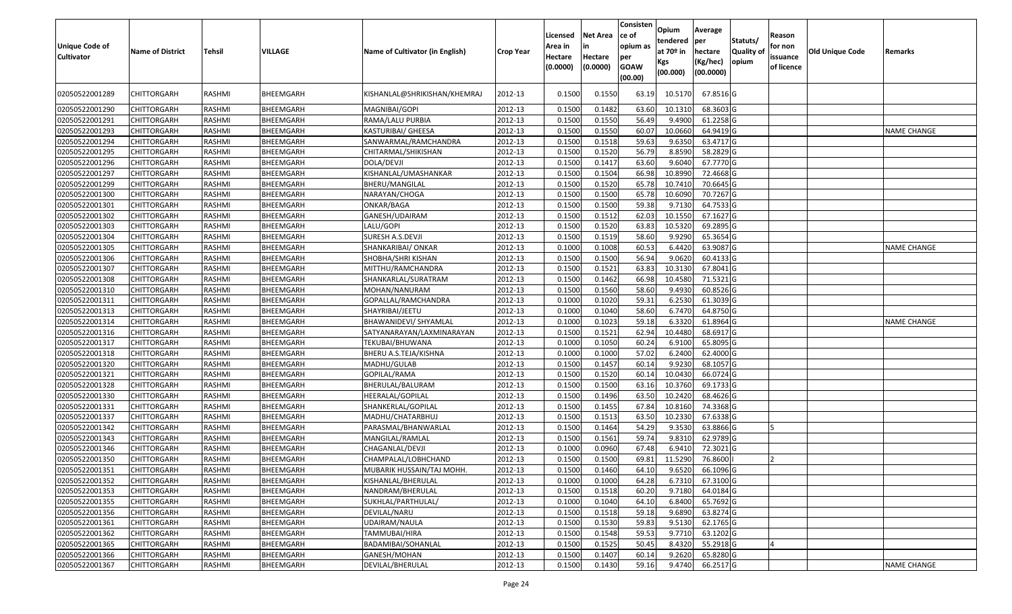| <b>Unique Code of</b><br><b>Cultivator</b> | <b>Name of District</b> | <b>Tehsil</b> | VILLAGE   | Name of Cultivator (in English) | <b>Crop Year</b> | Licensed<br>Area in<br>Hectare<br>(0.0000) | <b>Net Area</b><br>in<br>Hectare<br>(0.0000) | Consisten<br>ce of<br>opium as<br>per<br><b>GOAW</b><br>(00.00) | Opium<br>tendered<br>at 70º in<br>Kgs<br>(00.000) | Average<br><b>per</b><br>hectare<br>(Kg/hec)<br>(00.0000) | Statuts/<br><b>Quality of</b><br>opium | Reason<br>for non<br>issuance<br>of licence | <b>Old Unique Code</b> | Remarks            |
|--------------------------------------------|-------------------------|---------------|-----------|---------------------------------|------------------|--------------------------------------------|----------------------------------------------|-----------------------------------------------------------------|---------------------------------------------------|-----------------------------------------------------------|----------------------------------------|---------------------------------------------|------------------------|--------------------|
| 02050522001289                             | <b>CHITTORGARH</b>      | RASHMI        | BHEEMGARH | KISHANLAL@SHRIKISHAN/KHEMRAJ    | 2012-13          | 0.1500                                     | 0.1550                                       | 63.19                                                           | 10.5170                                           | 67.8516 G                                                 |                                        |                                             |                        |                    |
| 02050522001290                             | <b>CHITTORGARH</b>      | RASHMI        | BHEEMGARH | MAGNIBAI/GOPI                   | 2012-13          | 0.1500                                     | 0.1482                                       | 63.60                                                           | 10.1310                                           | 68.3603 G                                                 |                                        |                                             |                        |                    |
| 02050522001291                             | <b>CHITTORGARH</b>      | RASHMI        | BHEEMGARH | RAMA/LALU PURBIA                | 2012-13          | 0.1500                                     | 0.1550                                       | 56.49                                                           | 9.4900                                            | 61.2258 G                                                 |                                        |                                             |                        |                    |
| 02050522001293                             | <b>CHITTORGARH</b>      | RASHMI        | BHEEMGARH | KASTURIBAI/ GHEESA              | 2012-13          | 0.1500                                     | 0.1550                                       | 60.07                                                           | 10.0660                                           | 64.9419 G                                                 |                                        |                                             |                        | <b>NAME CHANGE</b> |
| 02050522001294                             | <b>CHITTORGARH</b>      | RASHMI        | BHEEMGARH | SANWARMAL/RAMCHANDRA            | 2012-13          | 0.1500                                     | 0.1518                                       | 59.63                                                           | 9.6350                                            | 63.4717 G                                                 |                                        |                                             |                        |                    |
| 02050522001295                             | <b>CHITTORGARH</b>      | RASHMI        | BHEEMGARH | CHITARMAL/SHIKISHAN             | 2012-13          | 0.1500                                     | 0.1520                                       | 56.79                                                           | 8.8590                                            | 58.2829 G                                                 |                                        |                                             |                        |                    |
| 02050522001296                             | <b>CHITTORGARH</b>      | RASHMI        | BHEEMGARH | DOLA/DEVJI                      | 2012-13          | 0.1500                                     | 0.1417                                       | 63.60                                                           | 9.6040                                            | 67.7770 G                                                 |                                        |                                             |                        |                    |
| 02050522001297                             | <b>CHITTORGARH</b>      | RASHMI        | BHEEMGARH | KISHANLAL/UMASHANKAR            | 2012-13          | 0.1500                                     | 0.1504                                       | 66.98                                                           | 10.8990                                           | 72.4668 G                                                 |                                        |                                             |                        |                    |
| 02050522001299                             | <b>CHITTORGARH</b>      | RASHMI        | BHEEMGARH | BHERU/MANGILAL                  | 2012-13          | 0.1500                                     | 0.1520                                       | 65.78                                                           | 10.7410                                           | 70.6645 G                                                 |                                        |                                             |                        |                    |
| 02050522001300                             | <b>CHITTORGARH</b>      | RASHMI        | BHEEMGARH | NARAYAN/CHOGA                   | 2012-13          | 0.1500                                     | 0.1500                                       | 65.78                                                           | 10.6090                                           | 70.7267 G                                                 |                                        |                                             |                        |                    |
| 02050522001301                             | <b>CHITTORGARH</b>      | RASHMI        | BHEEMGARH | ONKAR/BAGA                      | 2012-13          | 0.1500                                     | 0.1500                                       | 59.38                                                           | 9.7130                                            | 64.7533 G                                                 |                                        |                                             |                        |                    |
| 02050522001302                             | <b>CHITTORGARH</b>      | RASHMI        | BHEEMGARH | GANESH/UDAIRAM                  | 2012-13          | 0.1500                                     | 0.1512                                       | 62.03                                                           | 10.1550                                           | 67.1627 G                                                 |                                        |                                             |                        |                    |
| 02050522001303                             | <b>CHITTORGARH</b>      | RASHMI        | BHEEMGARH | LALU/GOPI                       | 2012-13          | 0.1500                                     | 0.1520                                       | 63.83                                                           | 10.5320                                           | 69.2895 G                                                 |                                        |                                             |                        |                    |
| 02050522001304                             | <b>CHITTORGARH</b>      | RASHMI        | BHEEMGARH | SURESH A.S.DEVJI                | 2012-13          | 0.1500                                     | 0.1519                                       | 58.60                                                           | 9.9290                                            | 65.3654 G                                                 |                                        |                                             |                        |                    |
| 02050522001305                             | <b>CHITTORGARH</b>      | RASHMI        | BHEEMGARH | SHANKARIBAI/ ONKAR              | 2012-13          | 0.1000                                     | 0.1008                                       | 60.53                                                           | 6.4420                                            | 63.9087 G                                                 |                                        |                                             |                        | <b>NAME CHANGE</b> |
| 02050522001306                             | <b>CHITTORGARH</b>      | RASHMI        | BHEEMGARH | SHOBHA/SHRI KISHAN              | 2012-13          | 0.1500                                     | 0.1500                                       | 56.94                                                           | 9.0620                                            | 60.4133 G                                                 |                                        |                                             |                        |                    |
| 02050522001307                             | <b>CHITTORGARH</b>      | RASHMI        | BHEEMGARH | MITTHU/RAMCHANDRA               | 2012-13          | 0.1500                                     | 0.1521                                       | 63.83                                                           | 10.3130                                           | 67.8041 G                                                 |                                        |                                             |                        |                    |
| 02050522001308                             | <b>CHITTORGARH</b>      | RASHMI        | BHEEMGARH | SHANKARLAL/SURATRAM             | 2012-13          | 0.1500                                     | 0.1462                                       | 66.98                                                           | 10.4580                                           | 71.5321 G                                                 |                                        |                                             |                        |                    |
| 02050522001310                             | <b>CHITTORGARH</b>      | RASHMI        | BHEEMGARH | MOHAN/NANURAM                   | 2012-13          | 0.1500                                     | 0.1560                                       | 58.60                                                           | 9.4930                                            | 60.8526 G                                                 |                                        |                                             |                        |                    |
| 02050522001311                             | <b>CHITTORGARH</b>      | RASHMI        | BHEEMGARH | GOPALLAL/RAMCHANDRA             | 2012-13          | 0.1000                                     | 0.1020                                       | 59.31                                                           | 6.2530                                            | 61.3039 G                                                 |                                        |                                             |                        |                    |
| 02050522001313                             | <b>CHITTORGARH</b>      | RASHMI        | BHEEMGARH | SHAYRIBAI/JEETU                 | 2012-13          | 0.1000                                     | 0.1040                                       | 58.60                                                           | 6.7470                                            | 64.8750 G                                                 |                                        |                                             |                        |                    |
| 02050522001314                             | <b>CHITTORGARH</b>      | RASHMI        | BHEEMGARH | BHAWANIDEVI/ SHYAMLAL           | 2012-13          | 0.1000                                     | 0.1023                                       | 59.18                                                           | 6.3320                                            | 61.8964 G                                                 |                                        |                                             |                        | <b>NAME CHANGE</b> |
| 02050522001316                             | <b>CHITTORGARH</b>      | RASHMI        | BHEEMGARH | SATYANARAYAN/LAXMINARAYAN       | 2012-13          | 0.1500                                     | 0.1521                                       | 62.94                                                           | 10.4480                                           | 68.6917 G                                                 |                                        |                                             |                        |                    |
| 02050522001317                             | <b>CHITTORGARH</b>      | RASHMI        | BHEEMGARH | TEKUBAI/BHUWANA                 | 2012-13          | 0.1000                                     | 0.1050                                       | 60.24                                                           | 6.9100                                            | 65.8095 G                                                 |                                        |                                             |                        |                    |
| 02050522001318                             | <b>CHITTORGARH</b>      | RASHMI        | BHEEMGARH | BHERU A.S.TEJA/KISHNA           | 2012-13          | 0.1000                                     | 0.1000                                       | 57.02                                                           | 6.2400                                            | 62.4000 G                                                 |                                        |                                             |                        |                    |
| 02050522001320                             | <b>CHITTORGARH</b>      | RASHMI        | BHEEMGARH | MADHU/GULAB                     | 2012-13          | 0.1500                                     | 0.1457                                       | 60.14                                                           | 9.9230                                            | 68.1057 G                                                 |                                        |                                             |                        |                    |
| 02050522001321                             | <b>CHITTORGARH</b>      | RASHMI        | BHEEMGARH | GOPILAL/RAMA                    | 2012-13          | 0.1500                                     | 0.1520                                       | 60.14                                                           | 10.0430                                           | 66.0724 G                                                 |                                        |                                             |                        |                    |
| 02050522001328                             | <b>CHITTORGARH</b>      | RASHMI        | BHEEMGARH | BHERULAL/BALURAM                | 2012-13          | 0.1500                                     | 0.1500                                       | 63.16                                                           | 10.3760                                           | 69.1733 G                                                 |                                        |                                             |                        |                    |
| 02050522001330                             | <b>CHITTORGARH</b>      | RASHMI        | BHEEMGARH | HEERALAL/GOPILAL                | 2012-13          | 0.1500                                     | 0.1496                                       | 63.50                                                           | 10.2420                                           | 68.4626 G                                                 |                                        |                                             |                        |                    |
| 02050522001331                             | <b>CHITTORGARH</b>      | RASHMI        | BHEEMGARH | SHANKERLAL/GOPILAL              | 2012-13          | 0.1500                                     | 0.1455                                       | 67.84                                                           | 10.8160                                           | 74.3368 G                                                 |                                        |                                             |                        |                    |
| 02050522001337                             | <b>CHITTORGARH</b>      | RASHMI        | BHEEMGARH | MADHU/CHATARBHUJ                | 2012-13          | 0.1500                                     | 0.1513                                       | 63.50                                                           | 10.2330                                           | 67.6338 G                                                 |                                        |                                             |                        |                    |
| 02050522001342                             | <b>CHITTORGARH</b>      | RASHMI        | BHEEMGARH | PARASMAL/BHANWARLAL             | 2012-13          | 0.1500                                     | 0.1464                                       | 54.29                                                           | 9.3530                                            | 63.8866 G                                                 |                                        | 15                                          |                        |                    |
| 02050522001343                             | <b>CHITTORGARH</b>      | RASHMI        | BHEEMGARH | MANGILAL/RAMLAL                 | 2012-13          | 0.1500                                     | 0.1561                                       | 59.74                                                           | 9.8310                                            | 62.9789 G                                                 |                                        |                                             |                        |                    |
| 02050522001346                             | CHITTORGARH             | RASHMI        | BHEEMGARH | CHAGANLAL/DEVJI                 | 2012-13          | 0.1000                                     | 0.0960                                       | 67.48                                                           | 6.9410                                            | 72.3021 G                                                 |                                        |                                             |                        |                    |
| 02050522001350                             | <b>CHITTORGARH</b>      | RASHMI        | BHEEMGARH | CHAMPALAL/LOBHCHAND             | 2012-13          | 0.1500                                     | 0.1500                                       | 69.81                                                           | 11.5290                                           | 76.8600                                                   |                                        |                                             |                        |                    |
| 02050522001351                             | CHITTORGARH             | RASHMI        | BHEEMGARH | MUBARIK HUSSAIN/TAJ MOHH.       | 2012-13          | 0.1500                                     | 0.1460                                       | 64.10                                                           | 9.6520                                            | 66.1096 G                                                 |                                        |                                             |                        |                    |
| 02050522001352                             | <b>CHITTORGARH</b>      | RASHMI        | BHEEMGARH | KISHANLAL/BHERULAL              | 2012-13          | 0.1000                                     | 0.1000                                       | 64.28                                                           | 6.7310                                            | 67.3100 G                                                 |                                        |                                             |                        |                    |
| 02050522001353                             | <b>CHITTORGARH</b>      | RASHMI        | BHEEMGARH | NANDRAM/BHERULAL                | 2012-13          | 0.1500                                     | 0.1518                                       | 60.20                                                           | 9.7180                                            | 64.0184 G                                                 |                                        |                                             |                        |                    |
| 02050522001355                             | <b>CHITTORGARH</b>      | RASHMI        | BHEEMGARH | SUKHLAL/PARTHULAL/              | 2012-13          | 0.1000                                     | 0.1040                                       | 64.10                                                           | 6.8400                                            | 65.7692 G                                                 |                                        |                                             |                        |                    |
| 02050522001356                             | <b>CHITTORGARH</b>      | RASHMI        | BHEEMGARH | DEVILAL/NARU                    | 2012-13          | 0.1500                                     | 0.1518                                       | 59.18                                                           | 9.6890                                            | 63.8274 G                                                 |                                        |                                             |                        |                    |
| 02050522001361                             | <b>CHITTORGARH</b>      | RASHMI        | BHEEMGARH | UDAIRAM/NAULA                   | 2012-13          | 0.1500                                     | 0.1530                                       | 59.83                                                           | 9.5130                                            | 62.1765 G                                                 |                                        |                                             |                        |                    |
| 02050522001362                             | <b>CHITTORGARH</b>      | RASHMI        | BHEEMGARH | TAMMUBAI/HIRA                   | 2012-13          | 0.1500                                     | 0.1548                                       | 59.53                                                           | 9.7710                                            | 63.1202 G                                                 |                                        |                                             |                        |                    |
| 02050522001365                             | <b>CHITTORGARH</b>      | RASHMI        | BHEEMGARH | BADAMIBAI/SOHANLAL              | 2012-13          | 0.1500                                     | 0.1525                                       | 50.45                                                           | 8.4320                                            | 55.2918 G                                                 |                                        |                                             |                        |                    |
| 02050522001366                             | <b>CHITTORGARH</b>      | RASHMI        | BHEEMGARH | GANESH/MOHAN                    | 2012-13          | 0.1500                                     | 0.1407                                       | 60.14                                                           | 9.2620                                            | 65.8280 G                                                 |                                        |                                             |                        |                    |
| 02050522001367                             | <b>CHITTORGARH</b>      | RASHMI        | BHEEMGARH | DEVILAL/BHERULAL                | 2012-13          | 0.1500                                     | 0.1430                                       | 59.16                                                           | 9.4740                                            | 66.2517 G                                                 |                                        |                                             |                        | <b>NAME CHANGE</b> |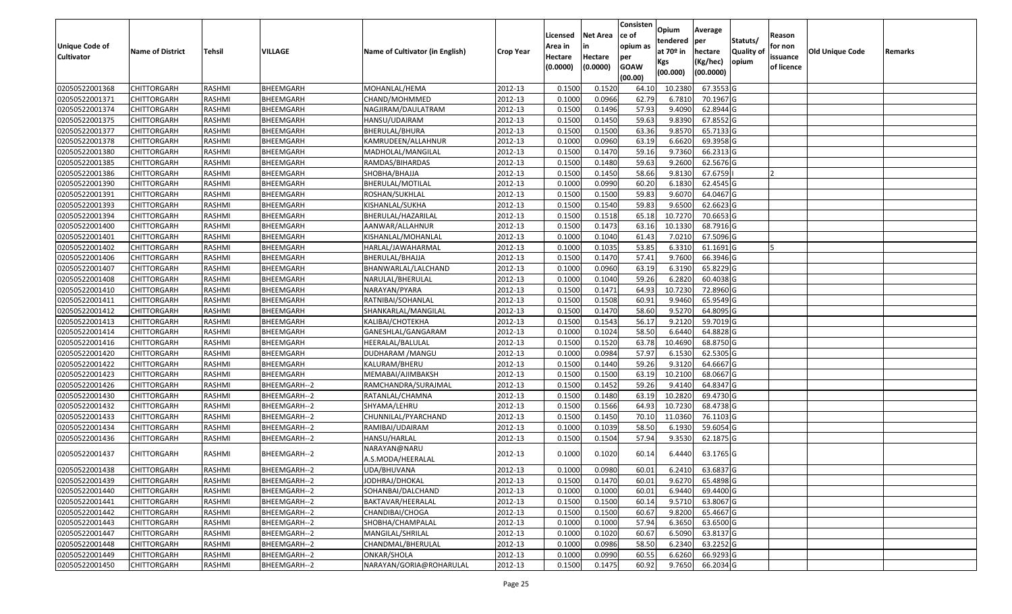|                       |                         |               |                  |                                   |                  | Licensed | <b>Net Area</b> | Consisten<br>ce of | Opium       | Average          |                  | Reason     |                 |         |
|-----------------------|-------------------------|---------------|------------------|-----------------------------------|------------------|----------|-----------------|--------------------|-------------|------------------|------------------|------------|-----------------|---------|
| <b>Unique Code of</b> |                         |               |                  |                                   |                  | Area in  | in              | opium as           | tendered    | per              | Statuts/         | for non    |                 |         |
| <b>Cultivator</b>     | <b>Name of District</b> | <b>Tehsil</b> | VILLAGE          | Name of Cultivator (in English)   | <b>Crop Year</b> | Hectare  | Hectare         | per                | at $70°$ in | hectare          | <b>Quality o</b> | issuance   | Old Unique Code | Remarks |
|                       |                         |               |                  |                                   |                  | (0.0000) | (0.0000)        | <b>GOAW</b>        | Kgs         | (Kg/hec)         | opium            | of licence |                 |         |
|                       |                         |               |                  |                                   |                  |          |                 | (00.00)            | (00.000)    | (00.0000)        |                  |            |                 |         |
| 02050522001368        | CHITTORGARH             | RASHMI        | BHEEMGARH        | MOHANLAL/HEMA                     | 2012-13          | 0.1500   | 0.1520          | 64.10              | 10.2380     | 67.3553 G        |                  |            |                 |         |
| 02050522001371        | CHITTORGARH             | RASHMI        | BHEEMGARH        | CHAND/MOHMMED                     | 2012-13          | 0.1000   | 0.0966          | 62.79              | 6.7810      | 70.1967 G        |                  |            |                 |         |
| 02050522001374        | CHITTORGARH             | RASHMI        | BHEEMGARH        | NAGJIRAM/DAULATRAM                | 2012-13          | 0.1500   | 0.1496          | 57.93              | 9.4090      | 62.8944 G        |                  |            |                 |         |
| 02050522001375        | <b>CHITTORGARH</b>      | RASHMI        | BHEEMGARH        | HANSU/UDAIRAM                     | 2012-13          | 0.1500   | 0.1450          | 59.63              | 9.8390      | 67.8552 G        |                  |            |                 |         |
| 02050522001377        | CHITTORGARH             | RASHMI        | BHEEMGARH        | BHERULAL/BHURA                    | 2012-13          | 0.1500   | 0.1500          | 63.36              | 9.8570      | 65.7133 G        |                  |            |                 |         |
| 02050522001378        | CHITTORGARH             | RASHMI        | <b>BHEEMGARH</b> | KAMRUDEEN/ALLAHNUR                | 2012-13          | 0.1000   | 0.0960          | 63.19              | 6.6620      | 69.3958 G        |                  |            |                 |         |
| 02050522001380        | CHITTORGARH             | RASHMI        | BHEEMGARH        | MADHOLAL/MANGILAL                 | 2012-13          | 0.1500   | 0.1470          | 59.1               | 9.7360      | 66.2313 G        |                  |            |                 |         |
| 02050522001385        | CHITTORGARH             | <b>RASHMI</b> | BHEEMGARH        | RAMDAS/BIHARDAS                   | 2012-13          | 0.1500   | 0.1480          | 59.63              | 9.2600      | 62.5676 G        |                  |            |                 |         |
| 02050522001386        | CHITTORGARH             | RASHMI        | BHEEMGARH        | SHOBHA/BHAJJA                     | 2012-13          | 0.1500   | 0.1450          | 58.66              | 9.8130      | 67.6759          |                  |            |                 |         |
| 02050522001390        | CHITTORGARH             | RASHMI        | BHEEMGARH        | BHERULAL/MOTILAL                  | 2012-13          | 0.1000   | 0.0990          | 60.20              | 6.1830      | 62.4545 G        |                  |            |                 |         |
| 02050522001391        | CHITTORGARH             | RASHMI        | BHEEMGARH        | ROSHAN/SUKHLAL                    | 2012-13          | 0.1500   | 0.1500          | 59.83              | 9.6070      | 64.0467 G        |                  |            |                 |         |
| 02050522001393        | CHITTORGARH             | RASHMI        | BHEEMGARH        | KISHANLAL/SUKHA                   | 2012-13          | 0.1500   | 0.1540          | 59.83              | 9.6500      | 62.6623 G        |                  |            |                 |         |
| 02050522001394        | <b>CHITTORGARH</b>      | RASHMI        | BHEEMGARH        | BHERULAL/HAZARILAL                | 2012-13          | 0.1500   | 0.1518          | 65.18              | 10.7270     | 70.6653 G        |                  |            |                 |         |
| 02050522001400        | CHITTORGARH             | RASHMI        | BHEEMGARH        | AANWAR/ALLAHNUR                   | 2012-13          | 0.1500   | 0.1473          | 63.16              | 10.1330     | 68.7916 G        |                  |            |                 |         |
| 02050522001401        | <b>CHITTORGARH</b>      | RASHMI        | BHEEMGARH        | KISHANLAL/MOHANLAL                | 2012-13          | 0.1000   | 0.1040          | 61.43              | 7.0210      | 67.5096 G        |                  |            |                 |         |
| 02050522001402        | CHITTORGARH             | RASHMI        | BHEEMGARH        | HARLAL/JAWAHARMAL                 | 2012-13          | 0.1000   | 0.1035          | 53.85              | 6.3310      | 61.1691 G        |                  |            |                 |         |
| 02050522001406        | <b>CHITTORGARH</b>      | RASHMI        | BHEEMGARH        | BHERULAL/BHAJJA                   | 2012-13          | 0.1500   | 0.1470          | 57.41              | 9.7600      | 66.3946 G        |                  |            |                 |         |
| 02050522001407        | CHITTORGARH             | RASHMI        | BHEEMGARH        | BHANWARLAL/LALCHAND               | 2012-13          | 0.1000   | 0.0960          | 63.19              | 6.3190      | 65.8229 G        |                  |            |                 |         |
| 02050522001408        | CHITTORGARH             | RASHMI        | BHEEMGARH        | NARULAL/BHERULAL                  | 2012-13          | 0.1000   | 0.1040          | 59.26              | 6.2820      | 60.4038 G        |                  |            |                 |         |
| 02050522001410        | CHITTORGARH             | RASHMI        | BHEEMGARH        | NARAYAN/PYARA                     | 2012-13          | 0.1500   | 0.1471          | 64.93              | 10.7230     | 72.8960 G        |                  |            |                 |         |
| 02050522001411        | CHITTORGARH             | RASHMI        | BHEEMGARH        | RATNIBAI/SOHANLAL                 | 2012-13          | 0.1500   | 0.1508          | 60.91              | 9.9460      | 65.9549 G        |                  |            |                 |         |
| 02050522001412        | CHITTORGARH             | RASHMI        | BHEEMGARH        | SHANKARLAL/MANGILAL               | 2012-13          | 0.1500   | 0.1470          | 58.60              | 9.5270      | 64.8095 G        |                  |            |                 |         |
| 02050522001413        | CHITTORGARH             | RASHMI        | BHEEMGARH        | KALIBAI/CHOTEKHA                  | 2012-13          | 0.1500   | 0.1543          | 56.17              | 9.2120      | 59.7019 G        |                  |            |                 |         |
| 02050522001414        | CHITTORGARH             | RASHMI        | BHEEMGARH        | GANESHLAL/GANGARAM                | 2012-13          | 0.1000   | 0.1024          | 58.50              | 6.6440      | 64.8828 G        |                  |            |                 |         |
| 02050522001416        | CHITTORGARH             | RASHMI        | BHEEMGARH        | HEERALAL/BALULAL                  | 2012-13          | 0.1500   | 0.1520          | 63.78              | 10.4690     | 68.8750 G        |                  |            |                 |         |
| 02050522001420        | CHITTORGARH             | RASHMI        | BHEEMGARH        | DUDHARAM / MANGU                  | 2012-13          | 0.1000   | 0.0984          | 57.97              | 6.1530      | 62.5305 G        |                  |            |                 |         |
| 02050522001422        | CHITTORGARH             | RASHMI        | BHEEMGARH        | KALURAM/BHERU                     | 2012-13          | 0.1500   | 0.1440          | 59.26              | 9.3120      | 64.6667 G        |                  |            |                 |         |
| 02050522001423        | CHITTORGARH             | RASHMI        | BHEEMGARH        | MEMABAI/AJIMBAKSH                 | 2012-13          | 0.1500   | 0.1500          | 63.19              | 10.2100     | 68.0667 G        |                  |            |                 |         |
| 02050522001426        | CHITTORGARH             | RASHMI        | BHEEMGARH--2     | RAMCHANDRA/SURAJMAL               | 2012-13          | 0.1500   | 0.1452          | 59.26              | 9.4140      | 64.8347 G        |                  |            |                 |         |
| 02050522001430        | CHITTORGARH             | RASHMI        | BHEEMGARH--2     | RATANLAL/CHAMNA                   | 2012-13          | 0.1500   | 0.1480          | 63.19              | 10.2820     | 69.4730 G        |                  |            |                 |         |
| 02050522001432        | CHITTORGARH             | RASHMI        | BHEEMGARH--2     | SHYAMA/LEHRU                      | 2012-13          | 0.1500   | 0.1566          | 64.93              | 10.7230     | 68.4738 G        |                  |            |                 |         |
| 02050522001433        | CHITTORGARH             | RASHMI        | BHEEMGARH--2     | CHUNNILAL/PYARCHAND               | 2012-13          | 0.1500   | 0.1450          | 70.1               | 11.0360     | 76.1103 G        |                  |            |                 |         |
| 02050522001434        | CHITTORGARH             | RASHMI        | BHEEMGARH--2     | RAMIBAI/UDAIRAM                   | 2012-13          | 0.1000   | 0.1039          | 58.50              | 6.1930      | 59.6054G         |                  |            |                 |         |
| 02050522001436        | CHITTORGARH             | RASHMI        | BHEEMGARH--2     | HANSU/HARLAL                      | 2012-13          | 0.1500   | 0.1504          | 57.94              | 9.3530      | 62.1875 G        |                  |            |                 |         |
| 02050522001437        | CHITTORGARH             | RASHMI        | BHEEMGARH--2     | NARAYAN@NARU<br>A.S.MODA/HEERALAL | 2012-13          | 0.1000   | 0.1020          | 60.14              | 6.4440      | 63.1765 G        |                  |            |                 |         |
| 02050522001438        | <b>CHITTORGARH</b>      | RASHMI        | BHEEMGARH--2     | UDA/BHUVANA                       | 2012-13          | 0.1000   | 0.0980          | 60.01              |             | 6.2410 63.6837 G |                  |            |                 |         |
| 02050522001439        | <b>CHITTORGARH</b>      | RASHMI        | BHEEMGARH--2     | JODHRAJ/DHOKAL                    | 2012-13          | 0.1500   | 0.1470          | 60.01              | 9.6270      | 65.4898 G        |                  |            |                 |         |
| 02050522001440        | <b>CHITTORGARH</b>      | RASHMI        | BHEEMGARH--2     | SOHANBAI/DALCHAND                 | 2012-13          | 0.1000   | 0.1000          | 60.01              | 6.9440      | 69.4400 G        |                  |            |                 |         |
| 02050522001441        | <b>CHITTORGARH</b>      | RASHMI        | BHEEMGARH--2     | BAKTAVAR/HEERALAL                 | 2012-13          | 0.1500   | 0.1500          | 60.14              | 9.5710      | 63.8067 G        |                  |            |                 |         |
| 02050522001442        | CHITTORGARH             | RASHMI        | BHEEMGARH--2     | CHANDIBAI/CHOGA                   | 2012-13          | 0.1500   | 0.1500          | 60.67              | 9.8200      | 65.4667 G        |                  |            |                 |         |
| 02050522001443        | <b>CHITTORGARH</b>      | RASHMI        | BHEEMGARH--2     | SHOBHA/CHAMPALAL                  | 2012-13          | 0.1000   | 0.1000          | 57.94              | 6.3650      | 63.6500 G        |                  |            |                 |         |
| 02050522001447        | <b>CHITTORGARH</b>      | RASHMI        | BHEEMGARH--2     | MANGILAL/SHRILAL                  | 2012-13          | 0.1000   | 0.1020          | 60.67              | 6.5090      | 63.8137 G        |                  |            |                 |         |
| 02050522001448        | CHITTORGARH             | RASHMI        | BHEEMGARH--2     | CHANDMAL/BHERULAL                 | 2012-13          | 0.1000   | 0.0986          | 58.50              | 6.2340      | 63.2252 G        |                  |            |                 |         |
| 02050522001449        | <b>CHITTORGARH</b>      | RASHMI        | BHEEMGARH--2     | ONKAR/SHOLA                       | 2012-13          | 0.1000   | 0.0990          | 60.55              | 6.6260      | 66.9293 G        |                  |            |                 |         |
| 02050522001450        | <b>CHITTORGARH</b>      | RASHMI        | BHEEMGARH--2     | NARAYAN/GORIA@ROHARULAL           | 2012-13          | 0.1500   | 0.1475          | 60.92              | 9.7650      | 66.2034 G        |                  |            |                 |         |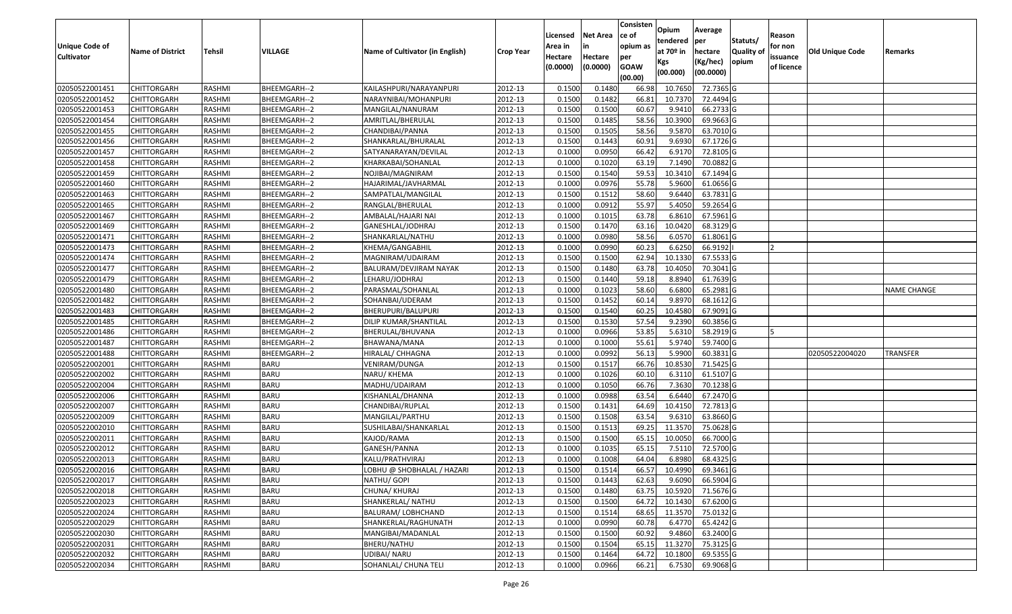| <b>Unique Code of</b><br><b>Cultivator</b> | <b>Name of District</b> | <b>Tehsil</b> | VILLAGE      | Name of Cultivator (in English) | <b>Crop Year</b> | Licensed<br>Area in<br>Hectare<br>(0.0000) | <b>Net Area</b><br>in<br>Hectare<br>(0.0000) | Consisten<br>ce of<br>opium as<br>per<br><b>GOAW</b><br>(00.00) | Opium<br>tendered<br>at $70°$ in<br>Kgs<br>(00.000) | Average<br>per<br>hectare<br>(Kg/hec)<br>(00.0000) | Statuts/<br>Quality of<br>opium | Reason<br>for non<br>issuance<br>of licence | <b>Old Unique Code</b> | Remarks            |
|--------------------------------------------|-------------------------|---------------|--------------|---------------------------------|------------------|--------------------------------------------|----------------------------------------------|-----------------------------------------------------------------|-----------------------------------------------------|----------------------------------------------------|---------------------------------|---------------------------------------------|------------------------|--------------------|
| 02050522001451                             | <b>CHITTORGARH</b>      | RASHMI        | BHEEMGARH--2 | KAILASHPURI/NARAYANPURI         | 2012-13          | 0.1500                                     | 0.1480                                       | 66.98                                                           | 10.765                                              | 72.7365 G                                          |                                 |                                             |                        |                    |
| 02050522001452                             | CHITTORGARH             | RASHMI        | BHEEMGARH--2 | NARAYNIBAI/MOHANPURI            | 2012-13          | 0.1500                                     | 0.1482                                       | 66.8                                                            | 10.7370                                             | 72.4494 G                                          |                                 |                                             |                        |                    |
| 02050522001453                             | CHITTORGARH             | RASHMI        | BHEEMGARH--2 | MANGILAL/NANURAM                | 2012-13          | 0.1500                                     | 0.1500                                       | 60.67                                                           | 9.9410                                              | 66.2733 G                                          |                                 |                                             |                        |                    |
| 02050522001454                             | <b>CHITTORGARH</b>      | <b>RASHMI</b> | BHEEMGARH--2 | AMRITLAL/BHERULAL               | 2012-13          | 0.1500                                     | 0.1485                                       | 58.56                                                           | 10.3900                                             | 69.9663 G                                          |                                 |                                             |                        |                    |
| 02050522001455                             | <b>CHITTORGARH</b>      | RASHMI        | BHEEMGARH--2 | CHANDIBAI/PANNA                 | 2012-13          | 0.1500                                     | 0.1505                                       | 58.56                                                           | 9.5870                                              | 63.7010 G                                          |                                 |                                             |                        |                    |
| 02050522001456                             | CHITTORGARH             | RASHMI        | BHEEMGARH--2 | SHANKARLAL/BHURALAL             | 2012-13          | 0.1500                                     | 0.1443                                       | 60.91                                                           | 9.6930                                              | 67.1726 G                                          |                                 |                                             |                        |                    |
| 02050522001457                             | <b>CHITTORGARH</b>      | RASHMI        | BHEEMGARH--2 | SATYANARAYAN/DEVILAL            | 2012-13          | 0.1000                                     | 0.0950                                       | 66.42                                                           | 6.9170                                              | 72.8105G                                           |                                 |                                             |                        |                    |
| 02050522001458                             | <b>CHITTORGARH</b>      | RASHMI        | BHEEMGARH--2 | KHARKABAI/SOHANLAL              | 2012-13          | 0.1000                                     | 0.1020                                       | 63.19                                                           | 7.1490                                              | 70.0882 G                                          |                                 |                                             |                        |                    |
| 02050522001459                             | CHITTORGARH             | RASHMI        | BHEEMGARH--2 | NOJIBAI/MAGNIRAM                | 2012-13          | 0.1500                                     | 0.1540                                       | 59.53                                                           | 10.3410                                             | 67.1494 G                                          |                                 |                                             |                        |                    |
| 02050522001460                             | CHITTORGARH             | RASHMI        | BHEEMGARH--2 | HAJARIMAL/JAVHARMAL             | 2012-13          | 0.100                                      | 0.0976                                       | 55.78                                                           | 5.9600                                              | 61.0656 G                                          |                                 |                                             |                        |                    |
| 02050522001463                             | <b>CHITTORGARH</b>      | RASHMI        | BHEEMGARH--2 | SAMPATLAL/MANGILAL              | 2012-13          | 0.1500                                     | 0.1512                                       | 58.60                                                           | 9.6440                                              | 63.7831 G                                          |                                 |                                             |                        |                    |
| 02050522001465                             | CHITTORGARH             | RASHMI        | BHEEMGARH--2 | RANGLAL/BHERULAL                | 2012-13          | 0.1000                                     | 0.0912                                       | 55.97                                                           | 5.4050                                              | 59.2654 G                                          |                                 |                                             |                        |                    |
| 02050522001467                             | CHITTORGARH             | RASHMI        | BHEEMGARH--2 | AMBALAL/HAJARI NAI              | 2012-13          | 0.1000                                     | 0.1015                                       | 63.78                                                           | 6.8610                                              | 67.5961 G                                          |                                 |                                             |                        |                    |
| 02050522001469                             | CHITTORGARH             | RASHMI        | BHEEMGARH--2 | GANESHLAL/JODHRAJ               | 2012-13          | 0.150                                      | 0.1470                                       | 63.16                                                           | 10.0420                                             | 68.3129 G                                          |                                 |                                             |                        |                    |
| 02050522001471                             | CHITTORGARH             | RASHMI        | BHEEMGARH--2 | SHANKARLAL/NATHU                | 2012-13          | 0.100                                      | 0.0980                                       | 58.56                                                           | 6.0570                                              | 61.8061G                                           |                                 |                                             |                        |                    |
| 02050522001473                             | CHITTORGARH             | RASHMI        | BHEEMGARH--2 | KHEMA/GANGABHIL                 | 2012-13          | 0.100                                      | 0.0990                                       | 60.23                                                           | 6.625                                               | 66.9192                                            |                                 |                                             |                        |                    |
| 02050522001474                             | CHITTORGARH             | RASHMI        | BHEEMGARH--2 | MAGNIRAM/UDAIRAM                | 2012-13          | 0.1500                                     | 0.1500                                       | 62.94                                                           | 10.1330                                             | 67.5533 G                                          |                                 |                                             |                        |                    |
| 02050522001477                             | CHITTORGARH             | RASHMI        | BHEEMGARH--2 | BALURAM/DEVJIRAM NAYAK          | 2012-13          | 0.1500                                     | 0.1480                                       | 63.78                                                           | 10.405                                              | 70.3041 G                                          |                                 |                                             |                        |                    |
| 02050522001479                             | <b>CHITTORGARH</b>      | RASHMI        | BHEEMGARH--2 | LEHARU/JODHRAJ                  | 2012-13          | 0.1500                                     | 0.1440                                       | 59.18                                                           | 8.8940                                              | 61.7639 G                                          |                                 |                                             |                        |                    |
| 02050522001480                             | CHITTORGARH             | RASHMI        | BHEEMGARH--2 | PARASMAL/SOHANLAL               | 2012-13          | 0.1000                                     | 0.1023                                       | 58.60                                                           | 6.6800                                              | 65.2981G                                           |                                 |                                             |                        | <b>NAME CHANGE</b> |
| 02050522001482                             | <b>CHITTORGARH</b>      | RASHMI        | BHEEMGARH--2 | SOHANBAI/UDERAM                 | 2012-13          | 0.1500                                     | 0.1452                                       | 60.14                                                           | 9.8970                                              | 68.1612 G                                          |                                 |                                             |                        |                    |
| 02050522001483                             | CHITTORGARH             | RASHMI        | BHEEMGARH--2 | BHERUPURI/BALUPURI              | 2012-13          | 0.1500                                     | 0.1540                                       | 60.25                                                           | 10.4580                                             | 67.9091G                                           |                                 |                                             |                        |                    |
| 02050522001485                             | CHITTORGARH             | RASHMI        | BHEEMGARH--2 | DILIP KUMAR/SHANTILAL           | 2012-13          | 0.1500                                     | 0.1530                                       | 57.54                                                           | 9.2390                                              | 60.3856 G                                          |                                 |                                             |                        |                    |
| 02050522001486                             | CHITTORGARH             | RASHMI        | BHEEMGARH--2 | BHERULAL/BHUVANA                | 2012-13          | 0.1000                                     | 0.0966                                       | 53.85                                                           | 5.6310                                              | 58.2919 G                                          |                                 |                                             |                        |                    |
| 02050522001487                             | CHITTORGARH             | RASHMI        | BHEEMGARH--2 | BHAWANA/MANA                    | 2012-13          | 0.1000                                     | 0.1000                                       | 55.61                                                           | 5.9740                                              | 59.7400 G                                          |                                 |                                             |                        |                    |
| 02050522001488                             | CHITTORGARH             | <b>RASHMI</b> | BHEEMGARH--2 | HIRALAL/ CHHAGNA                | 2012-13          | 0.1000                                     | 0.0992                                       | 56.13                                                           | 5.9900                                              | 60.3831 G                                          |                                 |                                             | 02050522004020         | <b>TRANSFER</b>    |
| 02050522002001                             | CHITTORGARH             | RASHMI        | <b>BARU</b>  | VENIRAM/DUNGA                   | 2012-13          | 0.1500                                     | 0.1517                                       | 66.76                                                           | 10.8530                                             | 71.5425 G                                          |                                 |                                             |                        |                    |
| 02050522002002                             | CHITTORGARH             | RASHMI        | <b>BARU</b>  | NARU/ KHEMA                     | 2012-13          | 0.1000                                     | 0.1026                                       | 60.1                                                            | 6.3110                                              | 61.5107 G                                          |                                 |                                             |                        |                    |
| 02050522002004                             | <b>CHITTORGARH</b>      | RASHMI        | <b>BARU</b>  | MADHU/UDAIRAM                   | 2012-13          | 0.1000                                     | 0.1050                                       | 66.76                                                           | 7.3630                                              | 70.1238 G                                          |                                 |                                             |                        |                    |
| 02050522002006                             | <b>CHITTORGARH</b>      | RASHMI        | <b>BARU</b>  | KISHANLAL/DHANNA                | 2012-13          | 0.1000                                     | 0.0988                                       | 63.54                                                           | 6.6440                                              | 67.2470 G                                          |                                 |                                             |                        |                    |
| 02050522002007                             | CHITTORGARH             | RASHMI        | <b>BARU</b>  | CHANDIBAI/RUPLAL                | 2012-13          | 0.1500                                     | 0.1431                                       | 64.69                                                           | 10.4150                                             | 72.7813 G                                          |                                 |                                             |                        |                    |
| 02050522002009                             | <b>CHITTORGARH</b>      | RASHMI        | <b>BARU</b>  | MANGILAL/PARTHU                 | 2012-13          | 0.1500                                     | 0.1508                                       | 63.54                                                           | 9.6310                                              | 63.8660 G                                          |                                 |                                             |                        |                    |
| 02050522002010                             | <b>CHITTORGARH</b>      | RASHMI        | <b>BARU</b>  | SUSHILABAI/SHANKARLAL           | 2012-13          | 0.1500                                     | 0.1513                                       | 69.25                                                           | 11.3570                                             | 75.0628 G                                          |                                 |                                             |                        |                    |
| 02050522002011                             | CHITTORGARH             | RASHMI        | <b>BARU</b>  | KAJOD/RAMA                      | 2012-13          | 0.1500                                     | 0.1500                                       | 65.15                                                           | 10.0050                                             | 66.7000 G                                          |                                 |                                             |                        |                    |
| 02050522002012                             | CHITTORGARH             | RASHMI        | <b>BARU</b>  | GANESH/PANNA                    | 2012-13          | 0.1000                                     | 0.1035                                       | 65.15                                                           | 7.511                                               | 72.5700 G                                          |                                 |                                             |                        |                    |
| 02050522002013                             | CHITTORGARH             | RASHMI        | <b>BARU</b>  | KALU/PRATHVIRAJ                 | 2012-13          | 0.1000                                     | 0.1008                                       | 64.04                                                           | 6.8980                                              | 68.4325 G                                          |                                 |                                             |                        |                    |
| 02050522002016                             | <b>CHITTORGARH</b>      | RASHMI        | <b>BARU</b>  | LOBHU @ SHOBHALAL / HAZARI      | 2012-13          | 0.1500                                     | 0.1514                                       | 66.57                                                           | 10.4990                                             | 69.3461 G                                          |                                 |                                             |                        |                    |
| 02050522002017                             | <b>CHITTORGARH</b>      | RASHMI        | <b>BARU</b>  | NATHU/ GOPI                     | 2012-13          | 0.1500                                     | 0.1443                                       | 62.63                                                           | 9.6090                                              | 66.5904 G                                          |                                 |                                             |                        |                    |
| 02050522002018                             | <b>CHITTORGARH</b>      | RASHMI        | <b>BARU</b>  | CHUNA/ KHURAJ                   | 2012-13          | 0.1500                                     | 0.1480                                       | 63.75                                                           | 10.5920                                             | 71.5676 G                                          |                                 |                                             |                        |                    |
| 02050522002023                             | <b>CHITTORGARH</b>      | RASHMI        | <b>BARU</b>  | SHANKERLAL/ NATHU               | 2012-13          | 0.1500                                     | 0.1500                                       | 64.72                                                           | 10.1430                                             | 67.6200 G                                          |                                 |                                             |                        |                    |
| 02050522002024                             | <b>CHITTORGARH</b>      | RASHMI        | <b>BARU</b>  | BALURAM/ LOBHCHAND              | 2012-13          | 0.1500                                     | 0.1514                                       | 68.65                                                           | 11.3570                                             | 75.0132 G                                          |                                 |                                             |                        |                    |
| 02050522002029                             | <b>CHITTORGARH</b>      | RASHMI        | <b>BARU</b>  | SHANKERLAL/RAGHUNATH            | 2012-13          | 0.1000                                     | 0.0990                                       | 60.78                                                           | 6.4770                                              | 65.4242 G                                          |                                 |                                             |                        |                    |
| 02050522002030                             | <b>CHITTORGARH</b>      | RASHMI        | <b>BARU</b>  | MANGIBAI/MADANLAL               | 2012-13          | 0.1500                                     | 0.1500                                       | 60.92                                                           | 9.4860                                              | 63.2400 G                                          |                                 |                                             |                        |                    |
| 02050522002031                             | <b>CHITTORGARH</b>      | RASHMI        | <b>BARU</b>  | BHERU/NATHU                     | 2012-13          | 0.1500                                     | 0.1504                                       | 65.15                                                           | 11.3270                                             | 75.3125 G                                          |                                 |                                             |                        |                    |
| 02050522002032                             | CHITTORGARH             | RASHMI        | <b>BARU</b>  | UDIBAI/ NARU                    | 2012-13          | 0.1500                                     | 0.1464                                       | 64.72                                                           | 10.1800                                             | 69.5355 G                                          |                                 |                                             |                        |                    |
| 02050522002034                             | <b>CHITTORGARH</b>      | RASHMI        | <b>BARU</b>  | SOHANLAL/ CHUNA TELI            | 2012-13          | 0.1000                                     | 0.0966                                       | 66.21                                                           | 6.7530                                              | 69.9068 G                                          |                                 |                                             |                        |                    |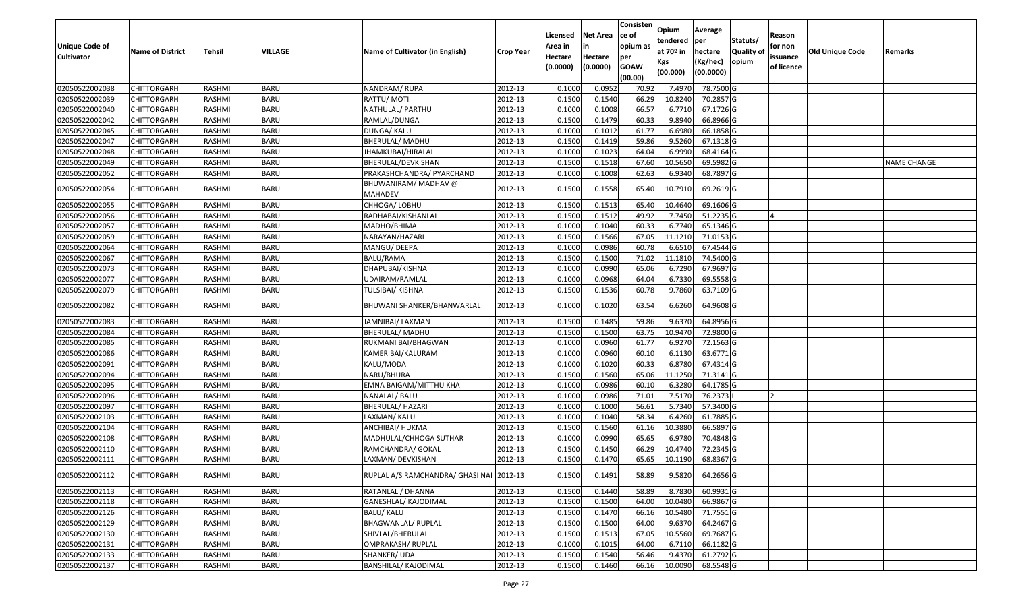|                   |                         |               |             |                                          |                  | Licensed | <b>Net Area</b> | Consisten<br>ce of | Opium<br>tendered | Average<br>per | Statuts/         | Reason     |                        |                    |
|-------------------|-------------------------|---------------|-------------|------------------------------------------|------------------|----------|-----------------|--------------------|-------------------|----------------|------------------|------------|------------------------|--------------------|
| Unique Code of    | <b>Name of District</b> | <b>Tehsil</b> | VILLAGE     | Name of Cultivator (in English)          | <b>Crop Year</b> | Area in  | in              | opium as           | at $70°$ in       | hectare        | <b>Quality o</b> | for non    | <b>Old Unique Code</b> | Remarks            |
| <b>Cultivator</b> |                         |               |             |                                          |                  | Hectare  | Hectare         | per                | Kgs               | (Kg/hec)       | opium            | issuance   |                        |                    |
|                   |                         |               |             |                                          |                  | (0.0000) | (0.0000)        | <b>GOAW</b>        | (00.000)          | (00.0000)      |                  | of licence |                        |                    |
|                   |                         |               |             |                                          |                  |          |                 | (00.00)            |                   |                |                  |            |                        |                    |
| 02050522002038    | CHITTORGARH             | RASHMI        | <b>BARU</b> | NANDRAM/RUPA                             | 2012-13          | 0.1000   | 0.0952          | 70.92              | 7.4970            | 78.7500G       |                  |            |                        |                    |
| 02050522002039    | CHITTORGARH             | RASHMI        | <b>BARU</b> | RATTU/ MOTI                              | 2012-13          | 0.1500   | 0.1540          | 66.29              | 10.8240           | 70.2857 G      |                  |            |                        |                    |
| 02050522002040    | CHITTORGARH             | RASHMI        | <b>BARU</b> | NATHULAL/ PARTHU                         | 2012-13          | 0.1000   | 0.1008          | 66.57              | 6.7710            | 67.1726 G      |                  |            |                        |                    |
| 02050522002042    | <b>CHITTORGARH</b>      | RASHMI        | <b>BARU</b> | RAMLAL/DUNGA                             | 2012-13          | 0.1500   | 0.1479          | 60.33              | 9.8940            | 66.8966 G      |                  |            |                        |                    |
| 02050522002045    | CHITTORGARH             | RASHMI        | <b>BARU</b> | DUNGA/ KALU                              | 2012-13          | 0.1000   | 0.1012          | 61.77              | 6.6980            | 66.1858 G      |                  |            |                        |                    |
| 02050522002047    | <b>CHITTORGARH</b>      | RASHMI        | <b>BARU</b> | BHERULAL/ MADHU                          | 2012-13          | 0.1500   | 0.1419          | 59.86              | 9.5260            | 67.1318 G      |                  |            |                        |                    |
| 02050522002048    | CHITTORGARH             | RASHMI        | <b>BARU</b> | JHAMKUBAI/HIRALAL                        | 2012-13          | 0.1000   | 0.1023          | 64.04              | 6.9990            | 68.4164 G      |                  |            |                        |                    |
| 02050522002049    | CHITTORGARH             | <b>RASHMI</b> | <b>BARU</b> | BHERULAL/DEVKISHAN                       | 2012-13          | 0.1500   | 0.1518          | 67.60              | 10.5650           | 69.5982 G      |                  |            |                        | <b>NAME CHANGE</b> |
| 02050522002052    | CHITTORGARH             | RASHMI        | <b>BARU</b> | PRAKASHCHANDRA/ PYARCHAND                | 2012-13          | 0.1000   | 0.1008          | 62.63              | 6.9340            | 68.7897 G      |                  |            |                        |                    |
| 02050522002054    | CHITTORGARH             | RASHMI        | <b>BARU</b> | BHUWANIRAM/ MADHAV @<br><b>MAHADEV</b>   | 2012-13          | 0.1500   | 0.1558          | 65.40              | 10.7910           | 69.2619 G      |                  |            |                        |                    |
| 02050522002055    | CHITTORGARH             | RASHMI        | <b>BARU</b> | CHHOGA/ LOBHU                            | 2012-13          | 0.1500   | 0.1513          | 65.40              | 10.4640           | 69.1606 G      |                  |            |                        |                    |
| 02050522002056    | <b>CHITTORGARH</b>      | RASHMI        | <b>BARU</b> | RADHABAI/KISHANLAL                       | 2012-13          | 0.1500   | 0.1512          | 49.92              | 7.7450            | 51.2235 G      |                  |            |                        |                    |
| 02050522002057    | CHITTORGARH             | RASHMI        | <b>BARU</b> | MADHO/BHIMA                              | 2012-13          | 0.1000   | 0.1040          | 60.33              | 6.7740            | 65.1346 G      |                  |            |                        |                    |
| 02050522002059    | <b>CHITTORGARH</b>      | RASHMI        | <b>BARU</b> | NARAYAN/HAZARI                           | 2012-13          | 0.1500   | 0.1566          | 67.05              | 11.1210           | 71.0153 G      |                  |            |                        |                    |
| 02050522002064    | CHITTORGARH             | RASHMI        | <b>BARU</b> | MANGU/ DEEPA                             | 2012-13          | 0.1000   | 0.0986          | 60.78              | 6.651             | 67.4544 G      |                  |            |                        |                    |
| 02050522002067    | CHITTORGARH             | RASHMI        | <b>BARU</b> | BALU/RAMA                                | 2012-13          | 0.1500   | 0.1500          | 71.02              | 11.1810           | 74.5400 G      |                  |            |                        |                    |
| 02050522002073    | CHITTORGARH             | RASHMI        | <b>BARU</b> | DHAPUBAI/KISHNA                          | 2012-13          | 0.100    | 0.0990          | 65.06              | 6.7290            | 67.9697 G      |                  |            |                        |                    |
| 02050522002077    | CHITTORGARH             | RASHMI        | <b>BARU</b> | UDAIRAM/RAMLAL                           | 2012-13          | 0.100    | 0.0968          | 64.04              | 6.7330            | 69.5558 G      |                  |            |                        |                    |
| 02050522002079    | CHITTORGARH             | RASHMI        | <b>BARU</b> | TULSIBAI/ KISHNA                         | 2012-13          | 0.1500   | 0.1536          | 60.78              | 9.7860            | 63.7109 G      |                  |            |                        |                    |
| 02050522002082    | CHITTORGARH             | RASHMI        | <b>BARU</b> | BHUWANI SHANKER/BHANWARLAL               | 2012-13          | 0.1000   | 0.1020          | 63.54              | 6.6260            | 64.9608 G      |                  |            |                        |                    |
| 02050522002083    | CHITTORGARH             | RASHMI        | <b>BARU</b> | JAMNIBAI/ LAXMAN                         | 2012-13          | 0.1500   | 0.1485          | 59.86              | 9.6370            | 64.8956 G      |                  |            |                        |                    |
| 02050522002084    | CHITTORGARH             | RASHMI        | <b>BARU</b> | BHERULAL/ MADHU                          | 2012-13          | 0.1500   | 0.1500          | 63.75              | 10.9470           | 72.9800 G      |                  |            |                        |                    |
| 02050522002085    | CHITTORGARH             | RASHMI        | <b>BARU</b> | RUKMANI BAI/BHAGWAN                      | 2012-13          | 0.1000   | 0.0960          | 61.77              | 6.9270            | 72.1563 G      |                  |            |                        |                    |
| 02050522002086    | CHITTORGARH             | RASHMI        | <b>BARU</b> | KAMERIBAI/KALURAM                        | 2012-13          | 0.1000   | 0.0960          | 60.10              | 6.1130            | 63.6771 G      |                  |            |                        |                    |
| 02050522002091    | CHITTORGARH             | RASHMI        | <b>BARU</b> | KALU/MODA                                | 2012-13          | 0.100    | 0.1020          | 60.33              | 6.8780            | 67.4314 G      |                  |            |                        |                    |
| 02050522002094    | CHITTORGARH             | RASHMI        | <b>BARU</b> | NARU/BHURA                               | 2012-13          | 0.1500   | 0.1560          | 65.06              | 11.1250           | 71.3141 G      |                  |            |                        |                    |
| 02050522002095    | CHITTORGARH             | <b>RASHMI</b> | <b>BARU</b> | EMNA BAIGAM/MITTHU KHA                   | 2012-13          | 0.1000   | 0.0986          | 60.10              | 6.3280            | 64.1785 G      |                  |            |                        |                    |
| 02050522002096    | CHITTORGARH             | RASHMI        | <b>BARU</b> | NANALAL/ BALU                            | 2012-13          | 0.1000   | 0.0986          | 71.01              | 7.5170            | 76.2373        |                  |            |                        |                    |
| 02050522002097    | CHITTORGARH             | RASHMI        | <b>BARU</b> | BHERULAL/ HAZARI                         | 2012-13          | 0.1000   | 0.1000          | 56.61              | 5.7340            | 57.3400 G      |                  |            |                        |                    |
| 02050522002103    | CHITTORGARH             | RASHMI        | <b>BARU</b> | LAXMAN/ KALU                             | 2012-13          | 0.1000   | 0.1040          | 58.34              | 6.4260            | 61.7885 G      |                  |            |                        |                    |
| 02050522002104    | CHITTORGARH             | RASHMI        | <b>BARU</b> | ANCHIBAI/ HUKMA                          | 2012-13          | 0.150    | 0.1560          | 61.16              | 10.3880           | 66.5897 G      |                  |            |                        |                    |
| 02050522002108    | <b>CHITTORGARH</b>      | RASHMI        | <b>BARU</b> | MADHULAL/CHHOGA SUTHAR                   | 2012-13          | 0.1000   | 0.0990          | 65.65              | 6.9780            | 70.4848 G      |                  |            |                        |                    |
| 02050522002110    | CHITTORGARH             | RASHMI        | <b>BARU</b> | RAMCHANDRA/ GOKAL                        | 2012-13          | 0.150    | 0.1450          | 66.29              | 10.4740           | 72.2345 G      |                  |            |                        |                    |
| 02050522002111    | CHITTORGARH             | RASHMI        | <b>BARU</b> | LAXMAN/ DEVKISHAN                        | 2012-13          | 0.1500   | 0.1470          | 65.65              | 10.1190           | 68.8367 G      |                  |            |                        |                    |
| 02050522002112    | <b>CHITTORGARH</b>      | RASHMI        | <b>BARU</b> | RUPLAL A/S RAMCHANDRA/ GHASI NAI 2012-13 |                  | 0.1500   | 0.1491          | 58.89              | 9.5820            | 64.2656 G      |                  |            |                        |                    |
| 02050522002113    | <b>CHITTORGARH</b>      | RASHMI        | <b>BARU</b> | RATANLAL / DHANNA                        | 2012-13          | 0.1500   | 0.1440          | 58.89              | 8.7830            | 60.9931G       |                  |            |                        |                    |
| 02050522002118    | <b>CHITTORGARH</b>      | RASHMI        | <b>BARU</b> | GANESHLAL/ KAJODIMAL                     | 2012-13          | 0.1500   | 0.1500          | 64.00              | 10.0480           | 66.9867 G      |                  |            |                        |                    |
| 02050522002126    | <b>CHITTORGARH</b>      | RASHMI        | <b>BARU</b> | <b>BALU/ KALU</b>                        | 2012-13          | 0.1500   | 0.1470          | 66.16              | 10.5480           | 71.7551 G      |                  |            |                        |                    |
| 02050522002129    | <b>CHITTORGARH</b>      | RASHMI        | <b>BARU</b> | <b>BHAGWANLAL/ RUPLAL</b>                | 2012-13          | 0.1500   | 0.1500          | 64.00              | 9.6370            | 64.2467 G      |                  |            |                        |                    |
| 02050522002130    | CHITTORGARH             | RASHMI        | <b>BARU</b> | SHIVLAL/BHERULAL                         | 2012-13          | 0.1500   | 0.1513          | 67.05              | 10.5560           | 69.7687 G      |                  |            |                        |                    |
| 02050522002131    | <b>CHITTORGARH</b>      | RASHMI        | <b>BARU</b> | OMPRAKASH/ RUPLAL                        | 2012-13          | 0.1000   | 0.1015          | 64.00              | 6.7110            | 66.1182 G      |                  |            |                        |                    |
| 02050522002133    | CHITTORGARH             | RASHMI        | <b>BARU</b> | SHANKER/ UDA                             | 2012-13          | 0.1500   | 0.1540          | 56.46              | 9.4370            | 61.2792 G      |                  |            |                        |                    |
| 02050522002137    | <b>CHITTORGARH</b>      | RASHMI        | <b>BARU</b> | <b>BANSHILAL/ KAJODIMAL</b>              | 2012-13          | 0.1500   | 0.1460          | 66.16              | 10.0090           | 68.5548 G      |                  |            |                        |                    |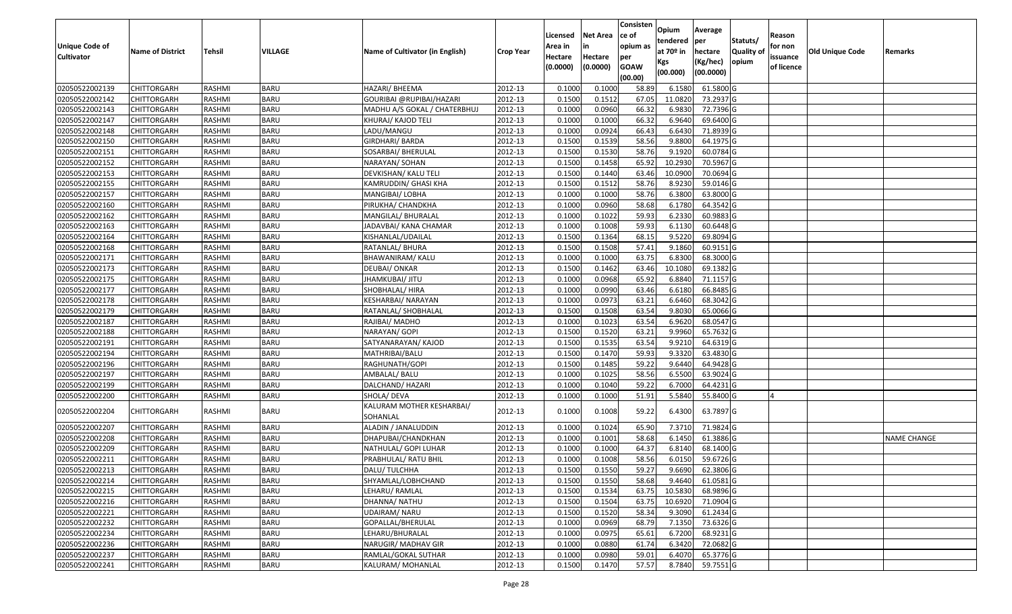|                       |                         |               |             |                                       |                  |          |                 | Consisten              | Opium       | Average     |                  |            |                        |                    |
|-----------------------|-------------------------|---------------|-------------|---------------------------------------|------------------|----------|-----------------|------------------------|-------------|-------------|------------------|------------|------------------------|--------------------|
|                       |                         |               |             |                                       |                  | Licensed | <b>Net Area</b> | ce of                  | tendered    | per         | Statuts/         | Reason     |                        |                    |
| <b>Unique Code of</b> | <b>Name of District</b> | <b>Tehsil</b> | VILLAGE     | Name of Cultivator (in English)       | <b>Crop Year</b> | Area in  |                 | opium as               | at $70°$ in | hectare     | <b>Quality o</b> | for non    | <b>Old Unique Code</b> | Remarks            |
| <b>Cultivator</b>     |                         |               |             |                                       |                  | Hectare  | Hectare         | per                    | Kgs         | (Kg/hec)    | opium            | issuance   |                        |                    |
|                       |                         |               |             |                                       |                  | (0.0000) | (0.0000)        | <b>GOAW</b><br>(00.00) | (00.000)    | (00.0000)   |                  | of licence |                        |                    |
| 02050522002139        | CHITTORGARH             | RASHMI        | <b>BARU</b> | HAZARI/ BHEEMA                        | 2012-13          | 0.1000   | 0.1000          | 58.89                  | 6.1580      | 61.5800 G   |                  |            |                        |                    |
| 02050522002142        | CHITTORGARH             | RASHMI        | <b>BARU</b> | GOURIBAI @RUPIBAI/HAZARI              | 2012-13          | 0.1500   | 0.1512          | 67.05                  | 11.0820     | 73.2937 G   |                  |            |                        |                    |
| 02050522002143        | CHITTORGARH             | RASHMI        | <b>BARU</b> | MADHU A/S GOKAL / CHATERBHUJ          | 2012-13          | 0.1000   | 0.0960          | 66.32                  | 6.9830      | 72.7396 G   |                  |            |                        |                    |
| 02050522002147        | <b>CHITTORGARH</b>      | RASHMI        | <b>BARU</b> | KHURAJ/ KAJOD TELI                    | 2012-13          | 0.1000   | 0.1000          | 66.32                  | 6.9640      | 69.6400G    |                  |            |                        |                    |
| 02050522002148        | CHITTORGARH             | RASHMI        | <b>BARU</b> | LADU/MANGU                            | 2012-13          | 0.1000   | 0.0924          | 66.43                  | 6.6430      | 71.8939 G   |                  |            |                        |                    |
| 02050522002150        | <b>CHITTORGARH</b>      | RASHMI        | <b>BARU</b> | GIRDHARI/ BARDA                       | 2012-13          | 0.1500   | 0.1539          | 58.56                  | 9.8800      | 64.1975 G   |                  |            |                        |                    |
| 02050522002151        | CHITTORGARH             | RASHMI        | <b>BARU</b> | SOSARBAI/ BHERULAL                    | 2012-13          | 0.1500   | 0.1530          | 58.76                  | 9.1920      | 60.0784 G   |                  |            |                        |                    |
| 02050522002152        | <b>CHITTORGARH</b>      | <b>RASHMI</b> | <b>BARU</b> | NARAYAN/ SOHAN                        | 2012-13          | 0.1500   | 0.1458          | 65.92                  | 10.2930     | 70.5967 G   |                  |            |                        |                    |
| 02050522002153        | CHITTORGARH             | RASHMI        | <b>BARU</b> | DEVKISHAN/ KALU TELI                  | 2012-13          | 0.1500   | 0.1440          | 63.46                  | 10.0900     | 70.0694 G   |                  |            |                        |                    |
| 02050522002155        | CHITTORGARH             | RASHMI        | <b>BARU</b> | KAMRUDDIN/ GHASI KHA                  | 2012-13          | 0.1500   | 0.1512          | 58.76                  | 8.9230      | 59.0146 G   |                  |            |                        |                    |
| 02050522002157        | CHITTORGARH             | RASHMI        | <b>BARU</b> | MANGIBAI/ LOBHA                       | 2012-13          | 0.1000   | 0.1000          | 58.76                  | 6.3800      | 63.8000 G   |                  |            |                        |                    |
| 02050522002160        | <b>CHITTORGARH</b>      | RASHMI        | <b>BARU</b> | PIRUKHA/ CHANDKHA                     | 2012-13          | 0.1000   | 0.0960          | 58.68                  | 6.1780      | 64.3542 G   |                  |            |                        |                    |
| 02050522002162        | <b>CHITTORGARH</b>      | RASHMI        | <b>BARU</b> | MANGILAL/ BHURALAL                    | 2012-13          | 0.1000   | 0.1022          | 59.93                  | 6.2330      | 60.9883 G   |                  |            |                        |                    |
| 02050522002163        | <b>CHITTORGARH</b>      | RASHMI        | <b>BARU</b> | JADAVBAI/ KANA CHAMAR                 | 2012-13          | 0.1000   | 0.1008          | 59.93                  | 6.1130      | 60.6448 G   |                  |            |                        |                    |
| 02050522002164        | <b>CHITTORGARH</b>      | RASHMI        | <b>BARU</b> | KISHANLAL/UDAILAL                     | 2012-13          | 0.1500   | 0.1364          | 68.15                  | 9.5220      | 69.8094 G   |                  |            |                        |                    |
| 02050522002168        | <b>CHITTORGARH</b>      | RASHMI        | <b>BARU</b> | RATANLAL/ BHURA                       | 2012-13          | 0.1500   | 0.1508          | 57.41                  | 9.1860      | 60.9151 G   |                  |            |                        |                    |
| 02050522002171        | <b>CHITTORGARH</b>      | RASHMI        | <b>BARU</b> | BHAWANIRAM/ KALU                      | 2012-13          | 0.1000   | 0.1000          | 63.75                  | 6.8300      | 68.3000G    |                  |            |                        |                    |
| 02050522002173        | CHITTORGARH             | RASHMI        | <b>BARU</b> | DEUBAI/ ONKAR                         | 2012-13          | 0.1500   | 0.1462          | 63.46                  | 10.1080     | 69.1382G    |                  |            |                        |                    |
| 02050522002175        | CHITTORGARH             | RASHMI        | <b>BARU</b> | JHAMKUBAI/ JITU                       | 2012-13          | 0.100    | 0.0968          | 65.92                  | 6.8840      | 71.1157 G   |                  |            |                        |                    |
| 02050522002177        | CHITTORGARH             | RASHMI        | <b>BARU</b> | SHOBHALAL/ HIRA                       | 2012-13          | 0.1000   | 0.0990          | 63.46                  | 6.6180      | 66.8485 G   |                  |            |                        |                    |
| 02050522002178        | CHITTORGARH             | RASHMI        | <b>BARU</b> | KESHARBAI/NARAYAN                     | 2012-13          | 0.1000   | 0.0973          | 63.21                  | 6.6460      | 68.3042 G   |                  |            |                        |                    |
| 02050522002179        | CHITTORGARH             | RASHMI        | <b>BARU</b> | RATANLAL/ SHOBHALAL                   | 2012-13          | 0.150    | 0.1508          | 63.54                  | 9.8030      | 65.0066 G   |                  |            |                        |                    |
| 02050522002187        | CHITTORGARH             | RASHMI        | <b>BARU</b> | RAJIBAI/ MADHO                        | 2012-13          | 0.1000   | 0.1023          | 63.54                  | 6.9620      | 68.0547 G   |                  |            |                        |                    |
| 02050522002188        | CHITTORGARH             | RASHMI        | <b>BARU</b> | NARAYAN/ GOPI                         | 2012-13          | 0.1500   | 0.1520          | 63.21                  | 9.9960      | 65.7632 G   |                  |            |                        |                    |
| 02050522002191        | <b>CHITTORGARH</b>      | RASHMI        | <b>BARU</b> | SATYANARAYAN/ KAJOD                   | 2012-13          | 0.1500   | 0.1535          | 63.54                  | 9.9210      | 64.6319 G   |                  |            |                        |                    |
| 02050522002194        | CHITTORGARH             | RASHMI        | <b>BARU</b> | MATHRIBAI/BALU                        | 2012-13          | 0.1500   | 0.1470          | 59.93                  | 9.3320      | 63.4830 G   |                  |            |                        |                    |
| 02050522002196        | CHITTORGARH             | RASHMI        | <b>BARU</b> | RAGHUNATH/GOPI                        | 2012-13          | 0.1500   | 0.1485          | 59.22                  | 9.6440      | 64.9428 G   |                  |            |                        |                    |
| 02050522002197        | CHITTORGARH             | RASHMI        | <b>BARU</b> | AMBALAL/BALU                          | 2012-13          | 0.1000   | 0.1025          | 58.56                  | 6.5500      | 63.9024 G   |                  |            |                        |                    |
| 02050522002199        | CHITTORGARH             | RASHMI        | <b>BARU</b> | DALCHAND/ HAZARI                      | 2012-13          | 0.1000   | 0.1040          | 59.22                  | 6.7000      | 64.4231 G   |                  |            |                        |                    |
| 02050522002200        | CHITTORGARH             | RASHMI        | <b>BARU</b> | SHOLA/ DEVA                           | 2012-13          | 0.1000   | 0.1000          | 51.91                  | 5.5840      | 55.8400 G   |                  |            |                        |                    |
| 02050522002204        | CHITTORGARH             | RASHMI        | <b>BARU</b> | KALURAM MOTHER KESHARBAI/<br>SOHANLAL | 2012-13          | 0.1000   | 0.1008          | 59.22                  | 6.4300      | 63.7897 G   |                  |            |                        |                    |
| 02050522002207        | CHITTORGARH             | RASHMI        | <b>BARU</b> | ALADIN / JANALUDDIN                   | 2012-13          | 0.1000   | 0.1024          | 65.90                  | 7.3710      | 71.9824 G   |                  |            |                        |                    |
| 02050522002208        | <b>CHITTORGARH</b>      | RASHMI        | <b>BARU</b> | DHAPUBAI/CHANDKHAN                    | 2012-13          | 0.1000   | 0.1001          | 58.68                  | 6.1450      | 61.3886 G   |                  |            |                        | <b>NAME CHANGE</b> |
| 02050522002209        | CHITTORGARH             | RASHMI        | <b>BARU</b> | NATHULAL/ GOPI LUHAR                  | 2012-13          | 0.1000   | 0.1000          | 64.37                  | 6.8140      | 68.1400 G   |                  |            |                        |                    |
| 02050522002211        | CHITTORGARH             | RASHMI        | <b>BARU</b> | PRABHULAL/ RATU BHIL                  | 2012-13          | 0.1000   | 0.1008          | 58.56                  | 6.0150      | 59.6726 G   |                  |            |                        |                    |
| 02050522002213        | <b>CHITTORGARH</b>      | RASHMI        | <b>BARU</b> | DALU/TULCHHA                          | 2012-13          | 0.1500   | 0.1550          | 59.27                  | 9.6690      | 62.3806 G   |                  |            |                        |                    |
| 02050522002214        | <b>CHITTORGARH</b>      | RASHMI        | <b>BARU</b> | SHYAMLAL/LOBHCHAND                    | 2012-13          | 0.1500   | 0.1550          | 58.68                  | 9.4640      | 61.0581 G   |                  |            |                        |                    |
| 02050522002215        | <b>CHITTORGARH</b>      | RASHMI        | <b>BARU</b> | LEHARU/RAMLAL                         | 2012-13          | 0.1500   | 0.1534          | 63.75                  | 10.5830     | 68.9896 G   |                  |            |                        |                    |
| 02050522002216        | <b>CHITTORGARH</b>      | RASHMI        | <b>BARU</b> | DHANNA/ NATHU                         | 2012-13          | 0.1500   | 0.1504          | 63.75                  | 10.6920     | 71.0904 G   |                  |            |                        |                    |
| 02050522002221        | CHITTORGARH             | RASHMI        | <b>BARU</b> | UDAIRAM/ NARU                         | 2012-13          | 0.1500   | 0.1520          | 58.34                  | 9.3090      | $61.2434$ G |                  |            |                        |                    |
| 02050522002232        | <b>CHITTORGARH</b>      | RASHMI        | <b>BARU</b> | GOPALLAL/BHERULAL                     | 2012-13          | 0.1000   | 0.0969          | 68.79                  | 7.1350      | 73.6326 G   |                  |            |                        |                    |
| 02050522002234        | <b>CHITTORGARH</b>      | RASHMI        | <b>BARU</b> | LEHARU/BHURALAL                       | 2012-13          | 0.1000   | 0.0975          | 65.61                  | 6.7200      | 68.9231 G   |                  |            |                        |                    |
| 02050522002236        | CHITTORGARH             | RASHMI        | <b>BARU</b> | NARUGIR/ MADHAV GIR                   | 2012-13          | 0.1000   | 0.0880          | 61.74                  | 6.3420      | 72.0682 G   |                  |            |                        |                    |
| 02050522002237        | CHITTORGARH             | RASHMI        | <b>BARU</b> | RAMLAL/GOKAL SUTHAR                   | 2012-13          | 0.1000   | 0.0980          | 59.01                  | 6.4070      | 65.3776 G   |                  |            |                        |                    |
| 02050522002241        | <b>CHITTORGARH</b>      | RASHMI        | <b>BARU</b> | KALURAM/ MOHANLAL                     | 2012-13          | 0.1500   | 0.1470          | 57.57                  | 8.7840      | 59.7551 G   |                  |            |                        |                    |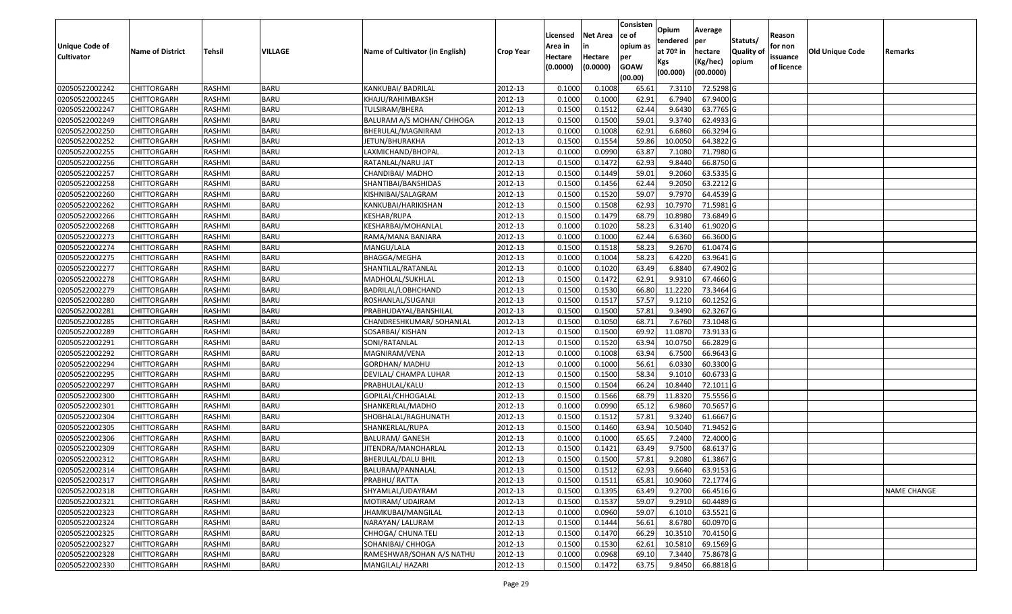|                   |                         |               |             |                                 |                  |          |                 | Consisten              | Opium       | Average   |                  |            |                 |                    |
|-------------------|-------------------------|---------------|-------------|---------------------------------|------------------|----------|-----------------|------------------------|-------------|-----------|------------------|------------|-----------------|--------------------|
|                   |                         |               |             |                                 |                  | Licensed | <b>Net Area</b> | ce of                  | tendered    | per       | Statuts/         | Reason     |                 |                    |
| Unique Code of    | <b>Name of District</b> | <b>Tehsil</b> | VILLAGE     | Name of Cultivator (in English) | <b>Crop Year</b> | Area in  |                 | opium as               | at $70°$ in | hectare   | <b>Quality o</b> | for non    | Old Unique Code | Remarks            |
| <b>Cultivator</b> |                         |               |             |                                 |                  | Hectare  | Hectare         | per                    | Kgs         | (Kg/hec)  | opium            | issuance   |                 |                    |
|                   |                         |               |             |                                 |                  | (0.0000) | (0.0000)        | <b>GOAW</b><br>(00.00) | (00.000)    | (00.0000) |                  | of licence |                 |                    |
| 02050522002242    | CHITTORGARH             | RASHMI        | <b>BARU</b> | KANKUBAI/ BADRILAL              | 2012-13          | 0.1000   | 0.1008          | 65.61                  | 7.3110      | 72.5298 G |                  |            |                 |                    |
| 02050522002245    | CHITTORGARH             | RASHMI        | <b>BARU</b> | KHAJU/RAHIMBAKSH                | 2012-13          | 0.1000   | 0.1000          | 62.91                  | 6.7940      | 67.9400 G |                  |            |                 |                    |
| 02050522002247    | CHITTORGARH             | RASHMI        | <b>BARU</b> | TULSIRAM/BHERA                  | 2012-13          | 0.1500   | 0.1512          | 62.44                  | 9.6430      | 63.7765 G |                  |            |                 |                    |
| 02050522002249    | <b>CHITTORGARH</b>      | RASHMI        | <b>BARU</b> | BALURAM A/S MOHAN/ CHHOGA       | 2012-13          | 0.1500   | 0.1500          | 59.01                  | 9.3740      | 62.4933 G |                  |            |                 |                    |
| 02050522002250    | CHITTORGARH             | RASHMI        | <b>BARU</b> | BHERULAL/MAGNIRAM               | 2012-13          | 0.1000   | 0.1008          | 62.91                  | 6.6860      | 66.3294 G |                  |            |                 |                    |
| 02050522002252    | CHITTORGARH             | RASHMI        | <b>BARU</b> | JETUN/BHURAKHA                  | 2012-13          | 0.1500   | 0.1554          | 59.86                  | 10.0050     | 64.3822 G |                  |            |                 |                    |
| 02050522002255    | CHITTORGARH             | RASHMI        | <b>BARU</b> | LAXMICHAND/BHOPAL               | 2012-13          | 0.1000   | 0.0990          | 63.87                  | 7.1080      | 71.7980 G |                  |            |                 |                    |
| 02050522002256    | CHITTORGARH             | <b>RASHMI</b> | <b>BARU</b> | RATANLAL/NARU JAT               | 2012-13          | 0.1500   | 0.1472          | 62.93                  | 9.8440      | 66.8750 G |                  |            |                 |                    |
| 02050522002257    | CHITTORGARH             | RASHMI        | <b>BARU</b> | CHANDIBAI/ MADHO                | 2012-13          | 0.1500   | 0.1449          | 59.01                  | 9.2060      | 63.5335 G |                  |            |                 |                    |
| 02050522002258    | CHITTORGARH             | RASHMI        | <b>BARU</b> | SHANTIBAI/BANSHIDAS             | 2012-13          | 0.1500   | 0.1456          | 62.44                  | 9.2050      | 63.2212 G |                  |            |                 |                    |
| 02050522002260    | CHITTORGARH             | RASHMI        | <b>BARU</b> | KISHNIBAI/SALAGRAM              | 2012-13          | 0.1500   | 0.1520          | 59.07                  | 9.7970      | 64.4539 G |                  |            |                 |                    |
| 02050522002262    | <b>CHITTORGARH</b>      | RASHMI        | <b>BARU</b> | KANKUBAI/HARIKISHAN             | 2012-13          | 0.1500   | 0.1508          | 62.93                  | 10.7970     | 71.5981 G |                  |            |                 |                    |
| 02050522002266    | <b>CHITTORGARH</b>      | RASHMI        | <b>BARU</b> | <b>KESHAR/RUPA</b>              | 2012-13          | 0.1500   | 0.1479          | 68.79                  | 10.8980     | 73.6849 G |                  |            |                 |                    |
| 02050522002268    | CHITTORGARH             | RASHMI        | <b>BARU</b> | KESHARBAI/MOHANLAL              | 2012-13          | 0.100    | 0.1020          | 58.23                  | 6.3140      | 61.9020G  |                  |            |                 |                    |
| 02050522002273    | <b>CHITTORGARH</b>      | RASHMI        | <b>BARU</b> | RAMA/MANA BANJARA               | 2012-13          | 0.1000   | 0.1000          | 62.44                  | 6.6360      | 66.3600 G |                  |            |                 |                    |
| 02050522002274    | CHITTORGARH             | RASHMI        | <b>BARU</b> | MANGU/LALA                      | 2012-13          | 0.1500   | 0.1518          | 58.23                  | 9.2670      | 61.0474 G |                  |            |                 |                    |
| 02050522002275    | CHITTORGARH             | RASHMI        | <b>BARU</b> | BHAGGA/MEGHA                    | 2012-13          | 0.1000   | 0.1004          | 58.23                  | 6.4220      | 63.9641 G |                  |            |                 |                    |
| 02050522002277    | CHITTORGARH             | RASHMI        | <b>BARU</b> | SHANTILAL/RATANLAL              | 2012-13          | 0.1000   | 0.1020          | 63.49                  | 6.8840      | 67.4902 G |                  |            |                 |                    |
| 02050522002278    | CHITTORGARH             | RASHMI        | <b>BARU</b> | MADHOLAL/SUKHLAL                | 2012-13          | 0.1500   | 0.1472          | 62.91                  | 9.9310      | 67.4660G  |                  |            |                 |                    |
| 02050522002279    | CHITTORGARH             | RASHMI        | <b>BARU</b> | BADRILAL/LOBHCHAND              | 2012-13          | 0.1500   | 0.1530          | 66.80                  | 11.2220     | 73.3464 G |                  |            |                 |                    |
| 02050522002280    | CHITTORGARH             | RASHMI        | <b>BARU</b> | ROSHANLAL/SUGANJI               | 2012-13          | 0.1500   | 0.1517          | 57.57                  | 9.1210      | 60.1252 G |                  |            |                 |                    |
| 02050522002281    | CHITTORGARH             | RASHMI        | <b>BARU</b> | PRABHUDAYAL/BANSHILAL           | 2012-13          | 0.150    | 0.1500          | 57.81                  | 9.3490      | 62.3267 G |                  |            |                 |                    |
| 02050522002285    | CHITTORGARH             | RASHMI        | <b>BARU</b> | CHANDRESHKUMAR/ SOHANLAL        | 2012-13          | 0.1500   | 0.1050          | 68.71                  | 7.6760      | 73.1048 G |                  |            |                 |                    |
| 02050522002289    | CHITTORGARH             | RASHMI        | <b>BARU</b> | SOSARBAI/ KISHAN                | 2012-13          | 0.1500   | 0.1500          | 69.92                  | 11.0870     | 73.9133 G |                  |            |                 |                    |
| 02050522002291    | <b>CHITTORGARH</b>      | RASHMI        | <b>BARU</b> | SONI/RATANLAL                   | 2012-13          | 0.1500   | 0.1520          | 63.94                  | 10.0750     | 66.2829 G |                  |            |                 |                    |
| 02050522002292    | CHITTORGARH             | RASHMI        | <b>BARU</b> | MAGNIRAM/VENA                   | 2012-13          | 0.1000   | 0.1008          | 63.94                  | 6.7500      | 66.9643 G |                  |            |                 |                    |
| 02050522002294    | CHITTORGARH             | RASHMI        | <b>BARU</b> | GORDHAN/ MADHU                  | 2012-13          | 0.1000   | 0.1000          | 56.6                   | 6.0330      | 60.3300 G |                  |            |                 |                    |
| 02050522002295    | CHITTORGARH             | RASHMI        | <b>BARU</b> | DEVILAL/ CHAMPA LUHAR           | 2012-13          | 0.1500   | 0.1500          | 58.34                  | 9.1010      | 60.6733 G |                  |            |                 |                    |
| 02050522002297    | CHITTORGARH             | RASHMI        | <b>BARU</b> | PRABHULAL/KALU                  | 2012-13          | 0.1500   | 0.1504          | 66.24                  | 10.8440     | 72.1011 G |                  |            |                 |                    |
| 02050522002300    | CHITTORGARH             | RASHMI        | <b>BARU</b> | GOPILAL/CHHOGALAL               | 2012-13          | 0.1500   | 0.1566          | 68.79                  | 11.8320     | 75.5556 G |                  |            |                 |                    |
| 02050522002301    | CHITTORGARH             | RASHMI        | <b>BARU</b> | SHANKERLAL/MADHO                | 2012-13          | 0.1000   | 0.0990          | 65.1                   | 6.9860      | 70.5657 G |                  |            |                 |                    |
| 02050522002304    | CHITTORGARH             | RASHMI        | <b>BARU</b> | SHOBHALAL/RAGHUNATH             | 2012-13          | 0.1500   | 0.1512          | 57.8                   | 9.3240      | 61.6667G  |                  |            |                 |                    |
| 02050522002305    | CHITTORGARH             | <b>RASHMI</b> | <b>BARU</b> | SHANKERLAL/RUPA                 | 2012-13          | 0.1500   | 0.1460          | 63.94                  | 10.5040     | 71.9452 G |                  |            |                 |                    |
| 02050522002306    | <b>CHITTORGARH</b>      | RASHMI        | <b>BARU</b> | <b>BALURAM/ GANESH</b>          | 2012-13          | 0.1000   | 0.1000          | 65.65                  | 7.2400      | 72.4000 G |                  |            |                 |                    |
| 02050522002309    | CHITTORGARH             | RASHMI        | <b>BARU</b> | JITENDRA/MANOHARLAL             | 2012-13          | 0.150    | 0.1421          | 63.49                  | 9.7500      | 68.6137 G |                  |            |                 |                    |
| 02050522002312    | CHITTORGARH             | RASHMI        | <b>BARU</b> | BHERULAL/DALU BHIL              | 2012-13          | 0.1500   | 0.1500          | 57.81                  | 9.2080      | 61.3867 G |                  |            |                 |                    |
| 02050522002314    | <b>CHITTORGARH</b>      | RASHMI        | <b>BARU</b> | BALURAM/PANNALAL                | 2012-13          | 0.1500   | 0.1512          | 62.93                  | 9.6640      | 63.9153 G |                  |            |                 |                    |
| 02050522002317    | <b>CHITTORGARH</b>      | RASHMI        | <b>BARU</b> | PRABHU/RATTA                    | 2012-13          | 0.1500   | 0.1511          | 65.81                  | 10.9060     | 72.1774 G |                  |            |                 |                    |
| 02050522002318    | <b>CHITTORGARH</b>      | RASHMI        | <b>BARU</b> | SHYAMLAL/UDAYRAM                | 2012-13          | 0.1500   | 0.1395          | 63.49                  | 9.2700      | 66.4516 G |                  |            |                 | <b>NAME CHANGE</b> |
| 02050522002321    | <b>CHITTORGARH</b>      | RASHMI        | <b>BARU</b> | MOTIRAM/ UDAIRAM                | 2012-13          | 0.1500   | 0.1537          | 59.07                  | 9.2910      | 60.4489 G |                  |            |                 |                    |
| 02050522002323    | CHITTORGARH             | RASHMI        | <b>BARU</b> | JHAMKUBAI/MANGILAL              | 2012-13          | 0.1000   | 0.0960          | 59.07                  | 6.1010      | 63.5521 G |                  |            |                 |                    |
| 02050522002324    | <b>CHITTORGARH</b>      | RASHMI        | <b>BARU</b> | NARAYAN/ LALURAM                | 2012-13          | 0.1500   | 0.1444          | 56.61                  | 8.6780      | 60.0970 G |                  |            |                 |                    |
| 02050522002325    | <b>CHITTORGARH</b>      | RASHMI        | <b>BARU</b> | CHHOGA/ CHUNA TELI              | 2012-13          | 0.1500   | 0.1470          | 66.29                  | 10.3510     | 70.4150 G |                  |            |                 |                    |
| 02050522002327    | <b>CHITTORGARH</b>      | RASHMI        | <b>BARU</b> | SOHANIBAI/ CHHOGA               | 2012-13          | 0.1500   | 0.1530          | 62.61                  | 10.5810     | 69.1569 G |                  |            |                 |                    |
| 02050522002328    | <b>CHITTORGARH</b>      | RASHMI        | <b>BARU</b> | RAMESHWAR/SOHAN A/S NATHU       | 2012-13          | 0.1000   | 0.0968          | 69.10                  | 7.3440      | 75.8678 G |                  |            |                 |                    |
| 02050522002330    | <b>CHITTORGARH</b>      | RASHMI        | <b>BARU</b> | MANGILAL/ HAZARI                | 2012-13          | 0.1500   | 0.1472          | 63.75                  | 9.8450      | 66.8818 G |                  |            |                 |                    |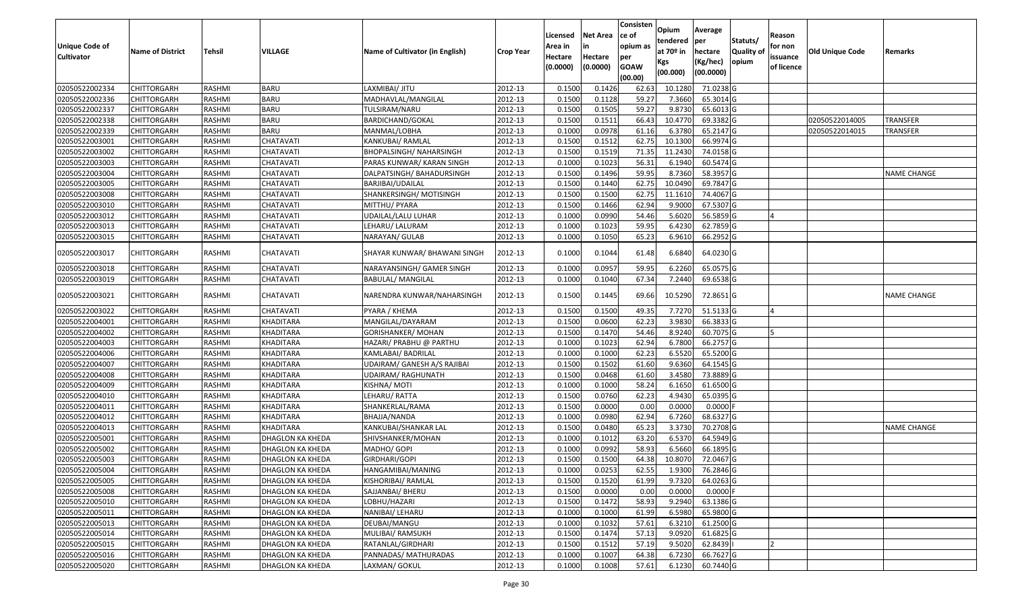| <b>Unique Code of</b> | <b>Name of District</b> | <b>Tehsil</b> | VILLAGE                 | Name of Cultivator (in English) | Crop Year | Licensed<br>Area in | <b>Net Area</b><br>in | Consisten<br>ce of<br>opium as | Opium<br>tendered<br>at 70º in | Average<br>per<br>hectare | Statuts/<br><b>Quality of</b> | Reason<br>for non      | <b>Old Unique Code</b> | Remarks            |
|-----------------------|-------------------------|---------------|-------------------------|---------------------------------|-----------|---------------------|-----------------------|--------------------------------|--------------------------------|---------------------------|-------------------------------|------------------------|------------------------|--------------------|
| <b>Cultivator</b>     |                         |               |                         |                                 |           | Hectare<br>(0.0000) | Hectare<br>(0.0000)   | per<br><b>GOAW</b><br>(00.00)  | Kgs<br>(00.000)                | (Kg/hec)<br>(00.0000)     | opium                         | issuance<br>of licence |                        |                    |
| 02050522002334        | <b>CHITTORGARH</b>      | RASHMI        | BARU                    | LAXMIBAI/ JITU                  | 2012-13   | 0.1500              | 0.1426                | 62.63                          | 10.1280                        | 71.0238 G                 |                               |                        |                        |                    |
| 02050522002336        | <b>CHITTORGARH</b>      | RASHMI        | BARU                    | MADHAVLAL/MANGILAL              | 2012-13   | 0.1500              | 0.1128                | 59.27                          | 7.3660                         | 65.3014 G                 |                               |                        |                        |                    |
| 02050522002337        | <b>CHITTORGARH</b>      | RASHMI        | <b>BARU</b>             | TULSIRAM/NARU                   | 2012-13   | 0.1500              | 0.1505                | 59.27                          | 9.8730                         | 65.6013 G                 |                               |                        |                        |                    |
| 02050522002338        | <b>CHITTORGARH</b>      | RASHMI        | <b>BARU</b>             | BARDICHAND/GOKAL                | 2012-13   | 0.1500              | 0.1511                | 66.43                          | 10.4770                        | 69.3382 G                 |                               |                        | 02050522014005         | <b>TRANSFER</b>    |
| 02050522002339        | <b>CHITTORGARH</b>      | RASHMI        | BARU                    | MANMAL/LOBHA                    | 2012-13   | 0.1000              | 0.0978                | 61.16                          | 6.3780                         | 65.2147 G                 |                               |                        | 02050522014015         | <b>TRANSFER</b>    |
| 02050522003001        | <b>CHITTORGARH</b>      | RASHMI        | CHATAVATI               | KANKUBAI/ RAMLAL                | 2012-13   | 0.1500              | 0.1512                | 62.75                          | 10.1300                        | 66.9974 G                 |                               |                        |                        |                    |
| 02050522003002        | <b>CHITTORGARH</b>      | RASHMI        | CHATAVATI               | BHOPALSINGH/ NAHARSINGH         | 2012-13   | 0.1500              | 0.1519                | 71.35                          | 11.2430                        | 74.0158 G                 |                               |                        |                        |                    |
| 02050522003003        | <b>CHITTORGARH</b>      | RASHMI        | CHATAVATI               | PARAS KUNWAR/ KARAN SINGH       | 2012-13   | 0.1000              | 0.1023                | 56.31                          | 6.1940                         | 60.5474 G                 |                               |                        |                        |                    |
| 02050522003004        | <b>CHITTORGARH</b>      | RASHMI        | CHATAVATI               | DALPATSINGH/ BAHADURSINGH       | 2012-13   | 0.1500              | 0.1496                | 59.95                          | 8.7360                         | 58.3957 G                 |                               |                        |                        | <b>NAME CHANGE</b> |
| 02050522003005        | <b>CHITTORGARH</b>      | RASHMI        | CHATAVATI               | BARJIBAI/UDAILAL                | 2012-13   | 0.1500              | 0.1440                | 62.75                          | 10.0490                        | 69.7847 G                 |                               |                        |                        |                    |
| 02050522003008        | <b>CHITTORGARH</b>      | RASHMI        | CHATAVATI               | SHANKERSINGH/ MOTISINGH         | 2012-13   | 0.1500              | 0.1500                | 62.75                          | 11.1610                        | 74.4067 G                 |                               |                        |                        |                    |
| 02050522003010        | <b>CHITTORGARH</b>      | RASHMI        | CHATAVATI               | MITTHU/ PYARA                   | 2012-13   | 0.1500              | 0.1466                | 62.94                          | 9.9000                         | 67.5307 G                 |                               |                        |                        |                    |
| 02050522003012        | <b>CHITTORGARH</b>      | RASHMI        | CHATAVATI               | UDAILAL/LALU LUHAR              | 2012-13   | 0.1000              | 0.0990                | 54.46                          | 5.6020                         | 56.5859 G                 |                               | $\overline{A}$         |                        |                    |
| 02050522003013        | <b>CHITTORGARH</b>      | RASHMI        | CHATAVATI               | LEHARU/ LALURAM                 | 2012-13   | 0.1000              | 0.1023                | 59.95                          | 6.4230                         | 62.7859 G                 |                               |                        |                        |                    |
| 02050522003015        | <b>CHITTORGARH</b>      | RASHMI        | CHATAVATI               | NARAYAN/ GULAB                  | 2012-13   | 0.1000              | 0.1050                | 65.23                          | 6.9610                         | 66.2952 G                 |                               |                        |                        |                    |
| 02050522003017        | <b>CHITTORGARH</b>      | RASHMI        | CHATAVATI               | SHAYAR KUNWAR/ BHAWANI SINGH    | 2012-13   | 0.1000              | 0.1044                | 61.48                          | 6.6840                         | 64.0230 G                 |                               |                        |                        |                    |
| 02050522003018        | <b>CHITTORGARH</b>      | RASHMI        | CHATAVATI               | NARAYANSINGH/ GAMER SINGH       | 2012-13   | 0.1000              | 0.0957                | 59.95                          | 6.2260                         | 65.0575 G                 |                               |                        |                        |                    |
| 02050522003019        | <b>CHITTORGARH</b>      | RASHMI        | CHATAVATI               | <b>BABULAL/ MANGILAL</b>        | 2012-13   | 0.1000              | 0.1040                | 67.34                          | 7.2440                         | 69.6538 G                 |                               |                        |                        |                    |
| 02050522003021        | <b>CHITTORGARH</b>      | RASHMI        | CHATAVATI               | NARENDRA KUNWAR/NAHARSINGH      | 2012-13   | 0.1500              | 0.1445                | 69.66                          | 10.5290                        | 72.8651 G                 |                               |                        |                        | NAME CHANGE        |
| 02050522003022        | <b>CHITTORGARH</b>      | RASHMI        | CHATAVATI               | PYARA / KHEMA                   | 2012-13   | 0.1500              | 0.1500                | 49.35                          | 7.7270                         | 51.5133 G                 |                               | IΔ                     |                        |                    |
| 02050522004001        | <b>CHITTORGARH</b>      | RASHMI        | KHADITARA               | MANGILAL/DAYARAM                | 2012-13   | 0.1500              | 0.0600                | 62.23                          | 3.9830                         | 66.3833 G                 |                               |                        |                        |                    |
| 02050522004002        | <b>CHITTORGARH</b>      | RASHMI        | KHADITARA               | GORISHANKER/MOHAN               | 2012-13   | 0.1500              | 0.1470                | 54.46                          | 8.9240                         | 60.7075 G                 |                               |                        |                        |                    |
| 02050522004003        | <b>CHITTORGARH</b>      | RASHMI        | KHADITARA               | HAZARI/ PRABHU @ PARTHU         | 2012-13   | 0.1000              | 0.1023                | 62.94                          | 6.7800                         | 66.2757 G                 |                               |                        |                        |                    |
| 02050522004006        | <b>CHITTORGARH</b>      | RASHMI        | KHADITARA               | KAMLABAI/ BADRILAL              | 2012-13   | 0.1000              | 0.1000                | 62.23                          | 6.5520                         | 65.5200 G                 |                               |                        |                        |                    |
| 02050522004007        | <b>CHITTORGARH</b>      | RASHMI        | KHADITARA               | UDAIRAM/ GANESH A/S RAJIBAI     | 2012-13   | 0.1500              | 0.1502                | 61.60                          | 9.6360                         | 64.1545 G                 |                               |                        |                        |                    |
| 02050522004008        | <b>CHITTORGARH</b>      | RASHMI        | KHADITARA               | UDAIRAM/ RAGHUNATH              | 2012-13   | 0.1500              | 0.0468                | 61.60                          | 3.4580                         | 73.8889 G                 |                               |                        |                        |                    |
| 02050522004009        | <b>CHITTORGARH</b>      | RASHMI        | KHADITARA               | KISHNA/ MOTI                    | 2012-13   | 0.1000              | 0.1000                | 58.24                          | 6.1650                         | 61.6500 G                 |                               |                        |                        |                    |
| 02050522004010        | <b>CHITTORGARH</b>      | RASHMI        | KHADITARA               | LEHARU/RATTA                    | 2012-13   | 0.1500              | 0.0760                | 62.23                          | 4.9430                         | 65.0395 G                 |                               |                        |                        |                    |
| 02050522004011        | <b>CHITTORGARH</b>      | RASHMI        | KHADITARA               | SHANKERLAL/RAMA                 | 2012-13   | 0.1500              | 0.0000                | 0.00                           | 0.0000                         | $0.0000$ F                |                               |                        |                        |                    |
| 02050522004012        | <b>CHITTORGARH</b>      | RASHMI        | KHADITARA               | BHAJJA/NANDA                    | 2012-13   | 0.1000              | 0.0980                | 62.94                          | 6.7260                         | 68.6327 G                 |                               |                        |                        |                    |
| 02050522004013        | <b>CHITTORGARH</b>      | RASHMI        | KHADITARA               | KANKUBAI/SHANKAR LAL            | 2012-13   | 0.1500              | 0.0480                | 65.23                          | 3.3730                         | 70.2708 G                 |                               |                        |                        | <b>NAME CHANGE</b> |
| 02050522005001        | <b>CHITTORGARH</b>      | RASHMI        | DHAGLON KA KHEDA        | SHIVSHANKER/MOHAN               | 2012-13   | 0.1000              | 0.1012                | 63.20                          | 6.5370                         | 64.5949 G                 |                               |                        |                        |                    |
| 02050522005002        | <b>CHITTORGARH</b>      | RASHMI        | DHAGLON KA KHEDA        | MADHO/ GOPI                     | 2012-13   | 0.1000              | 0.0992                | 58.93                          | 6.5660                         | 66.1895 G                 |                               |                        |                        |                    |
| 02050522005003        | <b>CHITTORGARH</b>      | RASHMI        | DHAGLON KA KHEDA        | GIRDHARI/GOPI                   | 2012-13   | 0.1500              | 0.1500                | 64.38                          | 10.8070                        | 72.0467 G                 |                               |                        |                        |                    |
| 02050522005004        | <b>CHITTORGARH</b>      | RASHMI        | DHAGLON KA KHEDA        | HANGAMIBAI/MANING               | 2012-13   | 0.1000              | 0.0253                | 62.55                          | 1.9300                         | 76.2846 G                 |                               |                        |                        |                    |
| 02050522005005        | <b>CHITTORGARH</b>      | RASHMI        | <b>DHAGLON KA KHEDA</b> | KISHORIBAI/ RAMLAL              | 2012-13   | 0.1500              | 0.1520                | 61.99                          | 9.7320                         | 64.0263 G                 |                               |                        |                        |                    |
| 02050522005008        | <b>CHITTORGARH</b>      | RASHMI        | <b>DHAGLON KA KHEDA</b> | SAJJANBAI/ BHERU                | 2012-13   | 0.1500              | 0.0000                | 0.00                           | 0.0000                         | $0.0000$ F                |                               |                        |                        |                    |
| 02050522005010        | <b>CHITTORGARH</b>      | RASHMI        | DHAGLON KA KHEDA        | LOBHU/HAZARI                    | 2012-13   | 0.1500              | 0.1472                | 58.93                          | 9.2940                         | 63.1386 G                 |                               |                        |                        |                    |
| 02050522005011        | <b>CHITTORGARH</b>      | RASHMI        | DHAGLON KA KHEDA        | NANIBAI/ LEHARU                 | 2012-13   | 0.1000              | 0.1000                | 61.99                          | 6.5980                         | 65.9800 G                 |                               |                        |                        |                    |
| 02050522005013        | <b>CHITTORGARH</b>      | RASHMI        | <b>DHAGLON KA KHEDA</b> | DEUBAI/MANGU                    | 2012-13   | 0.1000              | 0.1032                | 57.61                          | 6.3210                         | 61.2500 G                 |                               |                        |                        |                    |
| 02050522005014        | <b>CHITTORGARH</b>      | RASHMI        | <b>DHAGLON KA KHEDA</b> | MULIBAI/ RAMSUKH                | 2012-13   | 0.1500              | 0.1474                | 57.13                          | 9.0920                         | 61.6825 G                 |                               |                        |                        |                    |
| 02050522005015        | <b>CHITTORGARH</b>      | RASHMI        | DHAGLON KA KHEDA        | RATANLAL/GIRDHARI               | 2012-13   | 0.1500              | 0.1512                | 57.19                          | 9.5020                         | 62.8439                   |                               | 12                     |                        |                    |
| 02050522005016        | <b>CHITTORGARH</b>      | RASHMI        | DHAGLON KA KHEDA        | PANNADAS/ MATHURADAS            | 2012-13   | 0.1000              | 0.1007                | 64.38                          | 6.7230                         | 66.7627 G                 |                               |                        |                        |                    |
| 02050522005020        | <b>CHITTORGARH</b>      | RASHMI        | <b>DHAGLON KA KHEDA</b> | LAXMAN/ GOKUL                   | 2012-13   | 0.1000              | 0.1008                | 57.61                          | 6.1230                         | 60.7440 G                 |                               |                        |                        |                    |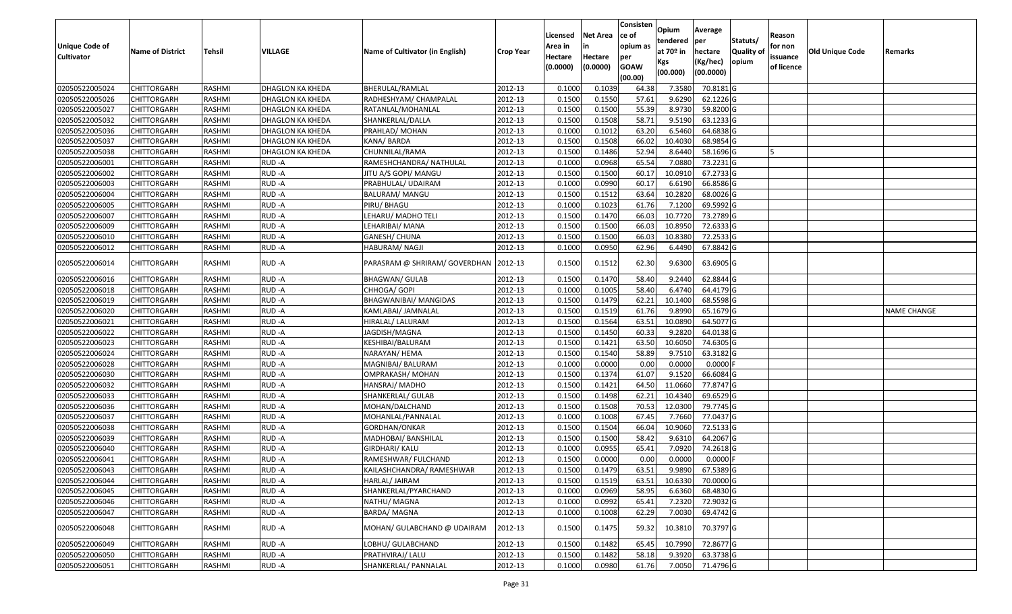| <b>Unique Code of</b><br><b>Cultivator</b> | <b>Name of District</b> | <b>Tehsil</b> | VILLAGE          | Name of Cultivator (in English) | <b>Crop Year</b> | Licensed<br>Area in<br>Hectare<br>(0.0000) | <b>Net Area</b><br>in<br>Hectare<br>(0.0000) | Consisten<br>ce of<br>opium as<br>per<br><b>GOAW</b><br>(00.00) | Opium<br>tendered<br>at $70°$ in<br>Kgs<br>(00.000) | Average<br>per<br>hectare<br>(Kg/hec)<br>(00.0000) | Statuts/<br>Quality of<br>opium | Reason<br>for non<br>issuance<br>of licence | <b>Old Unique Code</b> | Remarks            |
|--------------------------------------------|-------------------------|---------------|------------------|---------------------------------|------------------|--------------------------------------------|----------------------------------------------|-----------------------------------------------------------------|-----------------------------------------------------|----------------------------------------------------|---------------------------------|---------------------------------------------|------------------------|--------------------|
| 02050522005024                             | <b>CHITTORGARH</b>      | RASHMI        | DHAGLON KA KHEDA | BHERULAL/RAMLAL                 | 2012-13          | 0.1000                                     | 0.1039                                       | 64.38                                                           | 7.3580                                              | 70.8181 G                                          |                                 |                                             |                        |                    |
| 02050522005026                             | CHITTORGARH             | RASHMI        | DHAGLON KA KHEDA | RADHESHYAM/ CHAMPALAL           | 2012-13          | 0.1500                                     | 0.1550                                       | 57.61                                                           | 9.6290                                              | 62.1226 G                                          |                                 |                                             |                        |                    |
| 02050522005027                             | <b>CHITTORGARH</b>      | RASHMI        | DHAGLON KA KHEDA | RATANLAL/MOHANLAL               | 2012-13          | 0.1500                                     | 0.1500                                       | 55.39                                                           | 8.9730                                              | 59.8200 G                                          |                                 |                                             |                        |                    |
| 02050522005032                             | <b>CHITTORGARH</b>      | <b>RASHMI</b> | DHAGLON KA KHEDA | SHANKERLAL/DALLA                | 2012-13          | 0.1500                                     | 0.1508                                       | 58.71                                                           | 9.5190                                              | 63.1233 G                                          |                                 |                                             |                        |                    |
| 02050522005036                             | <b>CHITTORGARH</b>      | RASHMI        | DHAGLON KA KHEDA | PRAHLAD/ MOHAN                  | 2012-13          | 0.1000                                     | 0.1012                                       | 63.20                                                           | 6.5460                                              | 64.6838 G                                          |                                 |                                             |                        |                    |
| 02050522005037                             | CHITTORGARH             | RASHMI        | DHAGLON KA KHEDA | KANA/BARDA                      | 2012-13          | 0.1500                                     | 0.1508                                       | 66.02                                                           | 10.4030                                             | 68.9854 G                                          |                                 |                                             |                        |                    |
| 02050522005038                             | <b>CHITTORGARH</b>      | RASHMI        | DHAGLON KA KHEDA | CHUNNILAL/RAMA                  | 2012-13          | 0.1500                                     | 0.1486                                       | 52.94                                                           | 8.6440                                              | 58.1696 G                                          |                                 |                                             |                        |                    |
| 02050522006001                             | <b>CHITTORGARH</b>      | RASHMI        | RUD-A            | RAMESHCHANDRA/ NATHULAL         | 2012-13          | 0.1000                                     | 0.0968                                       | 65.54                                                           | 7.0880                                              | 73.2231 G                                          |                                 |                                             |                        |                    |
| 02050522006002                             | CHITTORGARH             | RASHMI        | RUD-A            | JITU A/S GOPI/ MANGU            | 2012-13          | 0.1500                                     | 0.1500                                       | 60.17                                                           | 10.0910                                             | 67.2733 G                                          |                                 |                                             |                        |                    |
| 02050522006003                             | CHITTORGARH             | RASHMI        | RUD-A            | PRABHULAL/ UDAIRAM              | 2012-13          | 0.1000                                     | 0.0990                                       | 60.17                                                           | 6.6190                                              | 66.8586 G                                          |                                 |                                             |                        |                    |
| 02050522006004                             | <b>CHITTORGARH</b>      | RASHMI        | RUD-A            | BALURAM/ MANGU                  | 2012-13          | 0.1500                                     | 0.1512                                       | 63.64                                                           | 10.2820                                             | 68.0026 G                                          |                                 |                                             |                        |                    |
| 02050522006005                             | CHITTORGARH             | RASHMI        | RUD-A            | PIRU/ BHAGU                     | 2012-13          | 0.1000                                     | 0.1023                                       | 61.76                                                           | 7.1200                                              | 69.5992 G                                          |                                 |                                             |                        |                    |
| 02050522006007                             | CHITTORGARH             | RASHMI        | RUD-A            | LEHARU/ MADHO TELI              | 2012-13          | 0.1500                                     | 0.1470                                       | 66.03                                                           | 10.7720                                             | 73.2789 G                                          |                                 |                                             |                        |                    |
| 02050522006009                             | CHITTORGARH             | RASHMI        | RUD-A            | LEHARIBAI/ MANA                 | 2012-13          | 0.1500                                     | 0.1500                                       | 66.03                                                           | 10.895                                              | 72.6333 G                                          |                                 |                                             |                        |                    |
| 02050522006010                             | CHITTORGARH             | RASHMI        | RUD-A            | GANESH/ CHUNA                   | 2012-13          | 0.1500                                     | 0.1500                                       | 66.03                                                           | 10.8380                                             | 72.2533 G                                          |                                 |                                             |                        |                    |
| 02050522006012                             | CHITTORGARH             | RASHMI        | RUD-A            | HABURAM/NAGJI                   | 2012-13          | 0.1000                                     | 0.0950                                       | 62.96                                                           | 6.4490                                              | 67.8842 G                                          |                                 |                                             |                        |                    |
| 02050522006014                             | CHITTORGARH             | RASHMI        | RUD-A            | PARASRAM @ SHRIRAM/ GOVERDHAN   | 2012-13          | 0.1500                                     | 0.1512                                       | 62.30                                                           | 9.6300                                              | 63.6905 G                                          |                                 |                                             |                        |                    |
| 02050522006016                             | <b>CHITTORGARH</b>      | RASHMI        | RUD-A            | <b>BHAGWAN/ GULAB</b>           | 2012-13          | 0.1500                                     | 0.1470                                       | 58.40                                                           | 9.2440                                              | 62.8844 G                                          |                                 |                                             |                        |                    |
| 02050522006018                             | CHITTORGARH             | RASHMI        | RUD-A            | CHHOGA/ GOPI                    | 2012-13          | 0.1000                                     | 0.1005                                       | 58.40                                                           | 6.4740                                              | 64.4179 G                                          |                                 |                                             |                        |                    |
| 02050522006019                             | <b>CHITTORGARH</b>      | RASHMI        | RUD-A            | <b>BHAGWANIBAI/ MANGIDAS</b>    | 2012-13          | 0.1500                                     | 0.1479                                       | 62.21                                                           | 10.1400                                             | 68.5598 G                                          |                                 |                                             |                        |                    |
| 02050522006020                             | CHITTORGARH             | RASHMI        | RUD-A            | KAMLABAI/ JAMNALAL              | 2012-13          | 0.1500                                     | 0.1519                                       | 61.76                                                           | 9.8990                                              | 65.1679 G                                          |                                 |                                             |                        | <b>NAME CHANGE</b> |
| 02050522006021                             | CHITTORGARH             | RASHMI        | RUD-A            | HIRALAL/ LALURAM                | 2012-13          | 0.1500                                     | 0.1564                                       | 63.5                                                            | 10.0890                                             | 64.5077 G                                          |                                 |                                             |                        |                    |
| 02050522006022                             | CHITTORGARH             | RASHMI        | RUD-A            | JAGDISH/MAGNA                   | 2012-13          | 0.1500                                     | 0.1450                                       | 60.33                                                           | 9.2820                                              | 64.0138 G                                          |                                 |                                             |                        |                    |
| 02050522006023                             | CHITTORGARH             | <b>RASHMI</b> | RUD-A            | KESHIBAI/BALURAM                | 2012-13          | 0.1500                                     | 0.1421                                       | 63.50                                                           | 10.6050                                             | 74.6305 G                                          |                                 |                                             |                        |                    |
| 02050522006024                             | CHITTORGARH             | <b>RASHMI</b> | RUD-A            | NARAYAN/ HEMA                   | 2012-13          | 0.1500                                     | 0.1540                                       | 58.89                                                           | 9.7510                                              | 63.3182 G                                          |                                 |                                             |                        |                    |
| 02050522006028                             | <b>CHITTORGARH</b>      | RASHMI        | RUD-A            | MAGNIBAI/ BALURAM               | 2012-13          | 0.1000                                     | 0.0000                                       | 0.00                                                            | 0.0000                                              | $0.0000$ F                                         |                                 |                                             |                        |                    |
| 02050522006030                             | <b>CHITTORGARH</b>      | RASHMI        | RUD-A            | OMPRAKASH/ MOHAN                | 2012-13          | 0.1500                                     | 0.1374                                       | 61.07                                                           | 9.1520                                              | 66.6084 G                                          |                                 |                                             |                        |                    |
| 02050522006032                             | CHITTORGARH             | RASHMI        | RUD-A            | HANSRAJ/MADHO                   | 2012-13          | 0.1500                                     | 0.1421                                       | 64.50                                                           | 11.0660                                             | 77.8747 G                                          |                                 |                                             |                        |                    |
| 02050522006033                             | <b>CHITTORGARH</b>      | RASHMI        | RUD-A            | SHANKERLAL/ GULAB               | 2012-13          | 0.1500                                     | 0.1498                                       | 62.21                                                           | 10.4340                                             | 69.6529 G                                          |                                 |                                             |                        |                    |
| 02050522006036                             | <b>CHITTORGARH</b>      | RASHMI        | RUD-A            | MOHAN/DALCHAND                  | 2012-13          | 0.1500                                     | 0.1508                                       | 70.53                                                           | 12.0300                                             | 79.7745 G                                          |                                 |                                             |                        |                    |
| 02050522006037                             | <b>CHITTORGARH</b>      | RASHMI        | RUD-A            | MOHANLAL/PANNALAL               | 2012-13          | 0.1000                                     | 0.1008                                       | 67.45                                                           | 7.7660                                              | 77.0437 G                                          |                                 |                                             |                        |                    |
| 02050522006038                             | CHITTORGARH             | RASHMI        | RUD-A            | GORDHAN/ONKAR                   | 2012-13          | 0.1500                                     | 0.1504                                       | 66.04                                                           | 10.9060                                             | 72.5133 G                                          |                                 |                                             |                        |                    |
| 02050522006039                             | <b>CHITTORGARH</b>      | RASHMI        | RUD-A            | MADHOBAI/ BANSHILAL             | 2012-13          | 0.1500                                     | 0.1500                                       | 58.42                                                           | 9.6310                                              | 64.2067 G                                          |                                 |                                             |                        |                    |
| 02050522006040                             | CHITTORGARH             | RASHMI        | RUD-A            | GIRDHARI/ KALU                  | 2012-13          | 0.1000                                     | 0.0955                                       | 65.41                                                           | 7.0920                                              | 74.2618 G                                          |                                 |                                             |                        |                    |
| 02050522006041                             | CHITTORGARH             | RASHMI        | RUD-A            | RAMESHWAR/ FULCHAND             | 2012-13          | 0.1500                                     | 0.0000                                       | 0.00                                                            | 0.0000                                              | $0.0000$ F                                         |                                 |                                             |                        |                    |
| 02050522006043                             | <b>CHITTORGARH</b>      | RASHMI        | RUD-A            | KAILASHCHANDRA/ RAMESHWAR       | 2012-13          | 0.1500                                     | 0.1479                                       | 63.51                                                           | 9.9890                                              | 67.5389 G                                          |                                 |                                             |                        |                    |
| 02050522006044                             | <b>CHITTORGARH</b>      | RASHMI        | RUD-A            | HARLAL/ JAIRAM                  | 2012-13          | 0.1500                                     | 0.1519                                       | 63.51                                                           | 10.6330                                             | 70.0000 G                                          |                                 |                                             |                        |                    |
| 02050522006045                             | <b>CHITTORGARH</b>      | RASHMI        | RUD-A            | SHANKERLAL/PYARCHAND            | 2012-13          | 0.1000                                     | 0.0969                                       | 58.95                                                           | 6.6360                                              | 68.4830 G                                          |                                 |                                             |                        |                    |
| 02050522006046                             | <b>CHITTORGARH</b>      | RASHMI        | RUD-A            | NATHU/ MAGNA                    | 2012-13          | 0.1000                                     | 0.0992                                       | 65.41                                                           | 7.2320                                              | 72.9032 G                                          |                                 |                                             |                        |                    |
| 02050522006047                             | CHITTORGARH             | RASHMI        | RUD-A            | BARDA/MAGNA                     | 2012-13          | 0.1000                                     | 0.1008                                       | 62.29                                                           | 7.0030                                              | 69.4742 G                                          |                                 |                                             |                        |                    |
| 02050522006048                             | <b>CHITTORGARH</b>      | RASHMI        | RUD-A            | MOHAN/ GULABCHAND @ UDAIRAM     | 2012-13          | 0.1500                                     | 0.1475                                       | 59.32                                                           | 10.3810                                             | 70.3797 G                                          |                                 |                                             |                        |                    |
| 02050522006049                             | <b>CHITTORGARH</b>      | RASHMI        | RUD-A            | LOBHU/ GULABCHAND               | 2012-13          | 0.1500                                     | 0.1482                                       | 65.45                                                           | 10.7990                                             | 72.8677 G                                          |                                 |                                             |                        |                    |
| 02050522006050                             | CHITTORGARH             | RASHMI        | RUD-A            | PRATHVIRAJ/ LALU                | 2012-13          | 0.1500                                     | 0.1482                                       | 58.18                                                           | 9.3920                                              | 63.3738 G                                          |                                 |                                             |                        |                    |
| 02050522006051                             | <b>CHITTORGARH</b>      | RASHMI        | RUD-A            | SHANKERLAL/ PANNALAL            | 2012-13          | 0.1000                                     | 0.0980                                       | 61.76                                                           | 7.0050                                              | 71.4796 G                                          |                                 |                                             |                        |                    |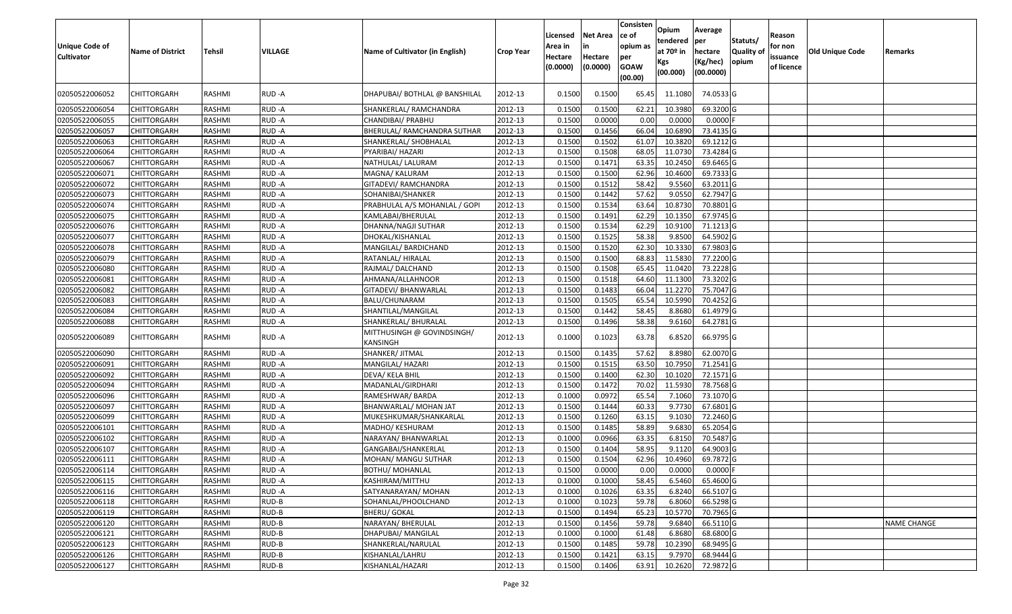| Unique Code of<br>Cultivator | <b>Name of District</b> | Tehsil        | <b>VILLAGE</b> | Name of Cultivator (in English)        | <b>Crop Year</b> | Licensed<br>Area in<br>Hectare<br>(0.0000) | Net Area<br>Hectare<br>(0.0000) | Consisten<br>ce of<br>opium as<br>per<br><b>GOAW</b><br>(00.00) | Opium<br>tendered<br>at 70º in<br>Kgs<br>(00.000) | Average<br>per<br>hectare<br>(Kg/hec)<br>(00.0000) | Statuts/<br>Quality of<br>opium | Reason<br>for non<br>issuance<br>of licence | Old Unique Code | Remarks            |
|------------------------------|-------------------------|---------------|----------------|----------------------------------------|------------------|--------------------------------------------|---------------------------------|-----------------------------------------------------------------|---------------------------------------------------|----------------------------------------------------|---------------------------------|---------------------------------------------|-----------------|--------------------|
| 02050522006052               | CHITTORGARH             | RASHMI        | RUD -A         | DHAPUBAI/ BOTHLAL @ BANSHILAL          | 2012-13          | 0.1500                                     | 0.1500                          | 65.45                                                           | 11.1080                                           | 74.0533 G                                          |                                 |                                             |                 |                    |
| 02050522006054               | <b>CHITTORGARH</b>      | RASHMI        | RUD-A          | SHANKERLAL/ RAMCHANDRA                 | 2012-13          | 0.1500                                     | 0.1500                          | 62.21                                                           | 10.3980                                           | 69.3200 G                                          |                                 |                                             |                 |                    |
| 02050522006055               | <b>CHITTORGARH</b>      | RASHMI        | RUD-A          | CHANDIBAI/ PRABHU                      | 2012-13          | 0.1500                                     | 0.0000                          | 0.00                                                            | 0.0000                                            | $0.0000$ F                                         |                                 |                                             |                 |                    |
| 02050522006057               | <b>CHITTORGARH</b>      | RASHMI        | RUD-A          | <b>BHERULAL/ RAMCHANDRA SUTHAR</b>     | 2012-13          | 0.1500                                     | 0.1456                          | 66.04                                                           | 10.6890                                           | 73.4135 G                                          |                                 |                                             |                 |                    |
| 02050522006063               | CHITTORGARH             | RASHMI        | RUD-A          | SHANKERLAL/ SHOBHALAL                  | 2012-13          | 0.1500                                     | 0.1502                          | 61.07                                                           | 10.3820                                           | 69.1212 G                                          |                                 |                                             |                 |                    |
| 02050522006064               | CHITTORGARH             | RASHMI        | RUD-A          | PYARIBAI/ HAZARI                       | 2012-13          | 0.1500                                     | 0.1508                          | 68.05                                                           | 11.0730                                           | 73.4284 G                                          |                                 |                                             |                 |                    |
| 02050522006067               | CHITTORGARH             | RASHMI        | RUD-A          | NATHULAL/ LALURAM                      | 2012-13          | 0.1500                                     | 0.1471                          | 63.35                                                           | 10.2450                                           | 69.6465 G                                          |                                 |                                             |                 |                    |
| 02050522006071               | CHITTORGARH             | RASHMI        | RUD-A          | MAGNA/ KALURAM                         | 2012-13          | 0.1500                                     | 0.1500                          | 62.96                                                           | 10.4600                                           | 69.7333 G                                          |                                 |                                             |                 |                    |
| 02050522006072               | <b>CHITTORGARH</b>      | RASHMI        | RUD-A          | GITADEVI/ RAMCHANDRA                   | 2012-13          | 0.1500                                     | 0.1512                          | 58.42                                                           | 9.5560                                            | 63.2011 G                                          |                                 |                                             |                 |                    |
| 02050522006073               | <b>CHITTORGARH</b>      | RASHMI        | RUD-A          | SOHANIBAI/SHANKER                      | 2012-13          | 0.1500                                     | 0.1442                          | 57.62                                                           | 9.0550                                            | 62.7947 G                                          |                                 |                                             |                 |                    |
| 02050522006074               | <b>CHITTORGARH</b>      | RASHMI        | RUD-A          | PRABHULAL A/S MOHANLAL / GOPI          | 2012-13          | 0.1500                                     | 0.1534                          | 63.64                                                           | 10.8730                                           | 70.8801 G                                          |                                 |                                             |                 |                    |
| 02050522006075               | <b>CHITTORGARH</b>      | RASHMI        | RUD-A          | KAMLABAI/BHERULAL                      | 2012-13          | 0.1500                                     | 0.1491                          | 62.29                                                           | 10.1350                                           | 67.9745 G                                          |                                 |                                             |                 |                    |
| 02050522006076               | <b>CHITTORGARH</b>      | RASHMI        | RUD-A          | DHANNA/NAGJI SUTHAR                    | 2012-13          | 0.1500                                     | 0.1534                          | 62.29                                                           | 10.9100                                           | 71.1213 G                                          |                                 |                                             |                 |                    |
| 02050522006077               | <b>CHITTORGARH</b>      | RASHMI        | RUD-A          | DHOKAL/KISHANLAL                       | 2012-13          | 0.1500                                     | 0.1525                          | 58.38                                                           | 9.8500                                            | 64.5902 G                                          |                                 |                                             |                 |                    |
| 02050522006078               | <b>CHITTORGARH</b>      | RASHMI        | RUD-A          | MANGILAL/ BARDICHAND                   | 2012-13          | 0.1500                                     | 0.1520                          | 62.30                                                           | 10.3330                                           | 67.9803 G                                          |                                 |                                             |                 |                    |
| 02050522006079               | CHITTORGARH             | RASHMI        | RUD-A          | RATANLAL/ HIRALAL                      | 2012-13          | 0.1500                                     | 0.1500                          | 68.83                                                           | 11.5830                                           | 77.2200 G                                          |                                 |                                             |                 |                    |
| 02050522006080               | CHITTORGARH             | RASHMI        | RUD-A          | RAJMAL/DALCHAND                        | 2012-13          | 0.1500                                     | 0.1508                          | 65.45                                                           | 11.0420                                           | 73.2228 G                                          |                                 |                                             |                 |                    |
| 02050522006081               | CHITTORGARH             | RASHMI        | RUD-A          | AHMANA/ALLAHNOOR                       | 2012-13          | 0.1500                                     | 0.1518                          | 64.60                                                           | 11.1300                                           | 73.3202 G                                          |                                 |                                             |                 |                    |
| 02050522006082               | CHITTORGARH             | RASHMI        | RUD-A          | GITADEVI/ BHANWARLAL                   | 2012-13          | 0.1500                                     | 0.1483                          | 66.04                                                           | 11.2270                                           | 75.7047 G                                          |                                 |                                             |                 |                    |
| 02050522006083               | <b>CHITTORGARH</b>      | RASHMI        | RUD-A          | BALU/CHUNARAM                          | 2012-13          | 0.1500                                     | 0.1505                          | 65.54                                                           | 10.5990                                           | 70.4252 G                                          |                                 |                                             |                 |                    |
| 02050522006084               | CHITTORGARH             | RASHMI        | RUD-A          | SHANTILAL/MANGILAL                     | 2012-13          | 0.1500                                     | 0.1442                          | 58.45                                                           | 8.8680                                            | 61.4979 G                                          |                                 |                                             |                 |                    |
| 02050522006088               | <b>CHITTORGARH</b>      | RASHMI        | RUD-A          | SHANKERLAL/ BHURALAL                   | 2012-13          | 0.1500                                     | 0.1496                          | 58.38                                                           | 9.6160                                            | 64.2781 G                                          |                                 |                                             |                 |                    |
| 02050522006089               | <b>CHITTORGARH</b>      | RASHMI        | RUD-A          | MITTHUSINGH @ GOVINDSINGH/<br>KANSINGH | 2012-13          | 0.1000                                     | 0.1023                          | 63.78                                                           | 6.8520                                            | 66.9795 G                                          |                                 |                                             |                 |                    |
| 02050522006090               | CHITTORGARH             | RASHMI        | RUD-A          | SHANKER/ JITMAL                        | 2012-13          | 0.1500                                     | 0.1435                          | 57.62                                                           | 8.8980                                            | 62.0070 G                                          |                                 |                                             |                 |                    |
| 02050522006091               | CHITTORGARH             | RASHMI        | RUD-A          | MANGILAL/ HAZARI                       | 2012-13          | 0.1500                                     | 0.1515                          | 63.50                                                           | 10.7950                                           | 71.2541 G                                          |                                 |                                             |                 |                    |
| 02050522006092               | CHITTORGARH             | RASHMI        | RUD-A          | DEVA/ KELA BHIL                        | 2012-13          | 0.1500                                     | 0.1400                          | 62.30                                                           | 10.1020                                           | 72.1571 G                                          |                                 |                                             |                 |                    |
| 02050522006094               | CHITTORGARH             | RASHMI        | RUD-A          | MADANLAL/GIRDHARI                      | 2012-13          | 0.1500                                     | 0.1472                          | 70.02                                                           | 11.5930                                           | 78.7568 G                                          |                                 |                                             |                 |                    |
| 02050522006096               | CHITTORGARH             | RASHMI        | RUD-A          | RAMESHWAR/ BARDA                       | 2012-13          | 0.1000                                     | 0.0972                          | 65.54                                                           | 7.1060                                            | 73.1070 G                                          |                                 |                                             |                 |                    |
| 02050522006097               | <b>CHITTORGARH</b>      | RASHMI        | RUD-A          | BHANWARLAL/ MOHAN JAT                  | 2012-13          | 0.1500                                     | 0.1444                          | 60.33                                                           | 9.7730                                            | 67.6801 G                                          |                                 |                                             |                 |                    |
| 02050522006099               | <b>CHITTORGARH</b>      | RASHMI        | RUD-A          | MUKESHKUMAR/SHANKARLAL                 | 2012-13          | 0.1500                                     | 0.1260                          | 63.15                                                           | 9.1030                                            | 72.2460 G                                          |                                 |                                             |                 |                    |
| 02050522006101               | <b>CHITTORGARH</b>      | RASHMI        | RUD-A          | MADHO/ KESHURAM                        | 2012-13          | 0.1500                                     | 0.1485                          | 58.89                                                           | 9.6830                                            | 65.2054 G                                          |                                 |                                             |                 |                    |
| 02050522006102               | CHITTORGARH             | RASHMI        | RUD-A          | NARAYAN/ BHANWARLAL                    | 2012-13          | 0.1000                                     | 0.0966                          | 63.35                                                           | 6.8150                                            | 70.5487 G                                          |                                 |                                             |                 |                    |
| 02050522006107               | CHITTORGARH             | RASHMI        | RUD-A          | GANGABAI/SHANKERLAL                    | 2012-13          | 0.1500                                     | 0.1404                          | 58.95                                                           | 9.1120                                            | 64.9003 G                                          |                                 |                                             |                 |                    |
| 02050522006111               | <b>CHITTORGARH</b>      | RASHMI        | RUD-A          | MOHAN/ MANGU SUTHAR                    | 2012-13          | 0.1500                                     | 0.1504                          | 62.96                                                           | 10.4960                                           | 69.7872 G                                          |                                 |                                             |                 |                    |
| 02050522006114               | <b>CHITTORGARH</b>      | <b>RASHMI</b> | RUD-A          | <b>BOTHU/ MOHANLAL</b>                 | 2012-13          | 0.1500                                     | 0.0000                          | 0.00                                                            | 0.0000                                            | $0.0000$ F                                         |                                 |                                             |                 |                    |
| 02050522006115               | <b>CHITTORGARH</b>      | RASHMI        | RUD-A          | KASHIRAM/MITTHU                        | 2012-13          | 0.1000                                     | 0.1000                          | 58.45                                                           | 6.5460                                            | 65.4600 G                                          |                                 |                                             |                 |                    |
| 02050522006116               | <b>CHITTORGARH</b>      | RASHMI        | RUD-A          | SATYANARAYAN/ MOHAN                    | 2012-13          | 0.1000                                     | 0.1026                          | 63.35                                                           | 6.8240                                            | 66.5107 G                                          |                                 |                                             |                 |                    |
| 02050522006118               | <b>CHITTORGARH</b>      | RASHMI        | RUD-B          | SOHANLAL/PHOOLCHAND                    | 2012-13          | 0.1000                                     | 0.1023                          | 59.78                                                           | 6.8060                                            | 66.5298 G                                          |                                 |                                             |                 |                    |
| 02050522006119               | <b>CHITTORGARH</b>      | RASHMI        | RUD-B          | BHERU/ GOKAL                           | 2012-13          | 0.1500                                     | 0.1494                          | 65.23                                                           | 10.5770                                           | 70.7965 G                                          |                                 |                                             |                 |                    |
| 02050522006120               | <b>CHITTORGARH</b>      | RASHMI        | RUD-B          | NARAYAN/ BHERULAL                      | 2012-13          | 0.1500                                     | 0.1456                          | 59.78                                                           | 9.6840                                            | 66.5110 G                                          |                                 |                                             |                 | <b>NAME CHANGE</b> |
| 02050522006121               | <b>CHITTORGARH</b>      | RASHMI        | RUD-B          | DHAPUBAI/ MANGILAL                     | 2012-13          | 0.1000                                     | 0.1000                          | 61.48                                                           | 6.8680                                            | 68.6800 G                                          |                                 |                                             |                 |                    |
| 02050522006123               | <b>CHITTORGARH</b>      | RASHMI        | RUD-B          | SHANKERLAL/NARULAL                     | 2012-13          | 0.1500                                     | 0.1485                          | 59.78                                                           | 10.2390                                           | 68.9495 G                                          |                                 |                                             |                 |                    |
| 02050522006126               | <b>CHITTORGARH</b>      | RASHMI        | RUD-B          | KISHANLAL/LAHRU                        | 2012-13          | 0.1500                                     | 0.1421                          | 63.15                                                           | 9.7970                                            | 68.9444 G                                          |                                 |                                             |                 |                    |
| 02050522006127               | <b>CHITTORGARH</b>      | RASHMI        | RUD-B          | KISHANLAL/HAZARI                       | 2012-13          | 0.1500                                     | 0.1406                          | 63.91                                                           | 10.2620                                           | 72.9872 G                                          |                                 |                                             |                 |                    |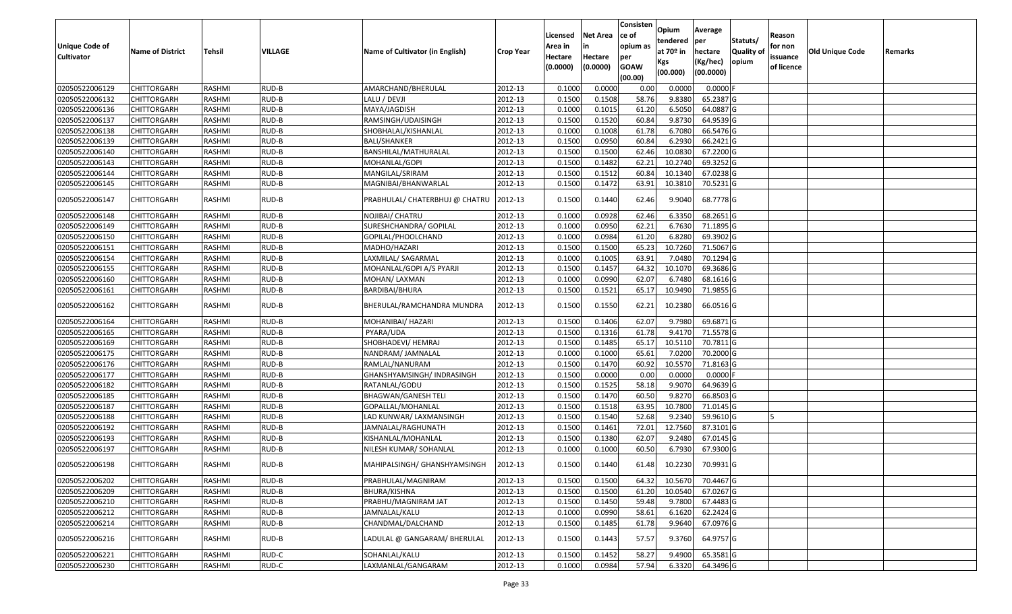|                       |                         |               |         |                                 |                  | Licensed | <b>Net Area</b> | Consisten<br>ce of | Opium<br>tendered | Average<br>per | Statuts/         | Reason     |                 |         |
|-----------------------|-------------------------|---------------|---------|---------------------------------|------------------|----------|-----------------|--------------------|-------------------|----------------|------------------|------------|-----------------|---------|
| <b>Unique Code of</b> | <b>Name of District</b> | Tehsil        | VILLAGE | Name of Cultivator (in English) | <b>Crop Year</b> | Area in  | in              | opium as           | at $70°$ in       | hectare        | <b>Quality o</b> | for non    | Old Unique Code | Remarks |
| <b>Cultivator</b>     |                         |               |         |                                 |                  | Hectare  | Hectare         | per                | Kgs               | (Kg/hec)       | opium            | issuance   |                 |         |
|                       |                         |               |         |                                 |                  | (0.0000) | (0.0000)        | <b>GOAW</b>        | (00.000)          | (00.0000)      |                  | of licence |                 |         |
|                       |                         |               |         |                                 |                  |          |                 | (00.00)            |                   |                |                  |            |                 |         |
| 02050522006129        | CHITTORGARH             | RASHMI        | RUD-B   | AMARCHAND/BHERULAL              | 2012-13          | 0.1000   | 0.0000          | 0.00               | 0.0000            | $0.0000$ F     |                  |            |                 |         |
| 02050522006132        | CHITTORGARH             | RASHMI        | RUD-B   | LALU / DEVJI                    | 2012-13          | 0.1500   | 0.1508          | 58.76              | 9.8380            | 65.2387 G      |                  |            |                 |         |
| 02050522006136        | CHITTORGARH             | RASHMI        | RUD-B   | MAYA/JAGDISH                    | 2012-13          | 0.1000   | 0.1015          | 61.20              | 6.5050            | 64.0887 G      |                  |            |                 |         |
| 02050522006137        | <b>CHITTORGARH</b>      | RASHMI        | RUD-B   | RAMSINGH/UDAISINGH              | 2012-13          | 0.1500   | 0.1520          | 60.84              | 9.8730            | 64.9539 G      |                  |            |                 |         |
| 02050522006138        | CHITTORGARH             | RASHMI        | RUD-B   | SHOBHALAL/KISHANLAL             | 2012-13          | 0.1000   | 0.1008          | 61.78              | 6.7080            | 66.5476 G      |                  |            |                 |         |
| 02050522006139        | <b>CHITTORGARH</b>      | RASHMI        | RUD-B   | <b>BALI/SHANKER</b>             | 2012-13          | 0.1500   | 0.0950          | 60.84              | 6.2930            | 66.2421 G      |                  |            |                 |         |
| 02050522006140        | CHITTORGARH             | RASHMI        | RUD-B   | BANSHILAL/MATHURALAL            | 2012-13          | 0.1500   | 0.1500          | 62.46              | 10.0830           | 67.2200 G      |                  |            |                 |         |
| 02050522006143        | CHITTORGARH             | <b>RASHMI</b> | RUD-B   | MOHANLAL/GOPI                   | 2012-13          | 0.1500   | 0.1482          | 62.21              | 10.2740           | 69.3252 G      |                  |            |                 |         |
| 02050522006144        | CHITTORGARH             | RASHMI        | RUD-B   | MANGILAL/SRIRAM                 | 2012-13          | 0.1500   | 0.1512          | 60.84              | 10.1340           | 67.0238 G      |                  |            |                 |         |
| 02050522006145        | CHITTORGARH             | RASHMI        | RUD-B   | MAGNIBAI/BHANWARLAL             | 2012-13          | 0.1500   | 0.1472          | 63.91              | 10.3810           | 70.5231 G      |                  |            |                 |         |
| 02050522006147        | CHITTORGARH             | RASHMI        | RUD-B   | PRABHULAL/ CHATERBHUJ @ CHATRU  | 2012-13          | 0.1500   | 0.1440          | 62.46              | 9.9040            | 68.7778 G      |                  |            |                 |         |
| 02050522006148        | <b>CHITTORGARH</b>      | RASHMI        | RUD-B   | NOJIBAI/ CHATRU                 | 2012-13          | 0.1000   | 0.0928          | 62.46              | 6.3350            | 68.2651 G      |                  |            |                 |         |
| 02050522006149        | CHITTORGARH             | RASHMI        | RUD-B   | SURESHCHANDRA/ GOPILAL          | 2012-13          | 0.1000   | 0.0950          | 62.21              | 6.7630            | 71.1895 G      |                  |            |                 |         |
| 02050522006150        | CHITTORGARH             | RASHMI        | RUD-B   | GOPILAL/PHOOLCHAND              | 2012-13          | 0.1000   | 0.0984          | 61.20              | 6.8280            | 69.3902 G      |                  |            |                 |         |
| 02050522006151        | CHITTORGARH             | RASHMI        | RUD-B   | MADHO/HAZARI                    | 2012-13          | 0.1500   | 0.1500          | 65.23              | 10.7260           | 71.5067 G      |                  |            |                 |         |
| 02050522006154        | CHITTORGARH             | RASHMI        | RUD-B   | LAXMILAL/ SAGARMAL              | 2012-13          | 0.1000   | 0.1005          | 63.91              | 7.0480            | 70.1294 G      |                  |            |                 |         |
| 02050522006155        | CHITTORGARH             | RASHMI        | RUD-B   | MOHANLAL/GOPI A/S PYARJI        | 2012-13          | 0.150    | 0.1457          | 64.32              | 10.1070           | 69.3686 G      |                  |            |                 |         |
| 02050522006160        | CHITTORGARH             | RASHMI        | RUD-B   | MOHAN/ LAXMAN                   | 2012-13          | 0.100    | 0.0990          | 62.07              | 6.7480            | 68.1616 G      |                  |            |                 |         |
| 02050522006161        | CHITTORGARH             | RASHMI        | RUD-B   | BARDIBAI/BHURA                  | 2012-13          | 0.1500   | 0.1521          | 65.17              | 10.9490           | 71.9855 G      |                  |            |                 |         |
| 02050522006162        | CHITTORGARH             | RASHMI        | RUD-B   | BHERULAL/RAMCHANDRA MUNDRA      | 2012-13          | 0.1500   | 0.1550          | 62.21              | 10.2380           | 66.0516 G      |                  |            |                 |         |
| 02050522006164        | CHITTORGARH             | RASHMI        | RUD-B   | MOHANIBAI/ HAZARI               | 2012-13          | 0.1500   | 0.1406          | 62.07              | 9.7980            | 69.6871G       |                  |            |                 |         |
| 02050522006165        | CHITTORGARH             | RASHMI        | RUD-B   | PYARA/UDA                       | 2012-13          | 0.1500   | 0.1316          | 61.78              | 9.4170            | 71.5578 G      |                  |            |                 |         |
| 02050522006169        | CHITTORGARH             | RASHMI        | RUD-B   | SHOBHADEVI/ HEMRAJ              | 2012-13          | 0.1500   | 0.1485          | 65.17              | 10.5110           | 70.7811 G      |                  |            |                 |         |
| 02050522006175        | CHITTORGARH             | RASHMI        | RUD-B   | NANDRAM/ JAMNALAL               | 2012-13          | 0.1000   | 0.1000          | 65.61              | 7.0200            | 70.2000 G      |                  |            |                 |         |
| 02050522006176        | CHITTORGARH             | RASHMI        | RUD-B   | RAMLAL/NANURAM                  | 2012-13          | 0.1500   | 0.1470          | 60.92              | 10.5570           | 71.8163 G      |                  |            |                 |         |
| 02050522006177        | CHITTORGARH             | RASHMI        | RUD-B   | GHANSHYAMSINGH/ INDRASINGH      | 2012-13          | 0.1500   | 0.0000          | 0.00               | 0.0000            | 0.0000F        |                  |            |                 |         |
| 02050522006182        | CHITTORGARH             | <b>RASHMI</b> | RUD-B   | RATANLAL/GODU                   | 2012-13          | 0.1500   | 0.1525          | 58.18              | 9.9070            | 64.9639 G      |                  |            |                 |         |
| 02050522006185        | CHITTORGARH             | RASHMI        | RUD-B   | BHAGWAN/GANESH TELI             | 2012-13          | 0.1500   | 0.1470          | 60.50              | 9.8270            | 66.8503 G      |                  |            |                 |         |
| 02050522006187        | CHITTORGARH             | RASHMI        | RUD-B   | GOPALLAL/MOHANLAL               | 2012-13          | 0.1500   | 0.1518          | 63.95              | 10.7800           | 71.0145 G      |                  |            |                 |         |
| 02050522006188        | CHITTORGARH             | RASHMI        | RUD-B   | LAD KUNWAR/ LAXMANSINGH         | 2012-13          | 0.1500   | 0.1540          | 52.68              | 9.2340            | 59.9610 G      |                  |            |                 |         |
| 02050522006192        | CHITTORGARH             | RASHMI        | RUD-B   | JAMNALAL/RAGHUNATH              | 2012-13          | 0.1500   | 0.1461          | 72.01              | 12.7560           | 87.3101G       |                  |            |                 |         |
| 02050522006193        | CHITTORGARH             | RASHMI        | RUD-B   | KISHANLAL/MOHANLAL              | 2012-13          | 0.1500   | 0.1380          | 62.07              | 9.2480            | 67.0145 G      |                  |            |                 |         |
| 02050522006197        | <b>CHITTORGARH</b>      | RASHMI        | RUD-B   | NILESH KUMAR/ SOHANLAL          | 2012-13          | 0.100    | 0.1000          | 60.50              | 6.7930            | 67.9300 G      |                  |            |                 |         |
| 02050522006198        | CHITTORGARH             | RASHMI        | RUD-B   | MAHIPALSINGH/ GHANSHYAMSINGH    | 2012-13          | 0.1500   | 0.1440          | 61.48              | 10.2230           | 70.9931 G      |                  |            |                 |         |
| 02050522006202        | <b>CHITTORGARH</b>      | RASHMI        | RUD-B   | PRABHULAL/MAGNIRAM              | 2012-13          | 0.1500   | 0.1500          | 64.32              | 10.5670           | 70.4467 G      |                  |            |                 |         |
| 02050522006209        | <b>CHITTORGARH</b>      | RASHMI        | RUD-B   | BHURA/KISHNA                    | 2012-13          | 0.1500   | 0.1500          | 61.20              | 10.0540           | 67.0267 G      |                  |            |                 |         |
| 02050522006210        | CHITTORGARH             | RASHMI        | RUD-B   | PRABHU/MAGNIRAM JAT             | 2012-13          | 0.1500   | 0.1450          | 59.48              | 9.7800            | 67.4483 G      |                  |            |                 |         |
| 02050522006212        | CHITTORGARH             | RASHMI        | RUD-B   | JAMNALAL/KALU                   | 2012-13          | 0.1000   | 0.0990          | 58.61              | 6.1620            | 62.2424 G      |                  |            |                 |         |
| 02050522006214        | <b>CHITTORGARH</b>      | RASHMI        | RUD-B   | CHANDMAL/DALCHAND               | 2012-13          | 0.1500   | 0.1485          | 61.78              | 9.9640            | 67.0976 G      |                  |            |                 |         |
| 02050522006216        | <b>CHITTORGARH</b>      | RASHMI        | RUD-B   | LADULAL @ GANGARAM/ BHERULAL    | 2012-13          | 0.1500   | 0.1443          | 57.57              | 9.3760            | 64.9757 G      |                  |            |                 |         |
| 02050522006221        | CHITTORGARH             | RASHMI        | RUD-C   | SOHANLAL/KALU                   | 2012-13          | 0.1500   | 0.1452          | 58.27              | 9.4900            | 65.3581 G      |                  |            |                 |         |
| 02050522006230        | <b>CHITTORGARH</b>      | RASHMI        | RUD-C   | LAXMANLAL/GANGARAM              | 2012-13          | 0.1000   | 0.0984          | 57.94              | 6.3320            | 64.3496 G      |                  |            |                 |         |
|                       |                         |               |         |                                 |                  |          |                 |                    |                   |                |                  |            |                 |         |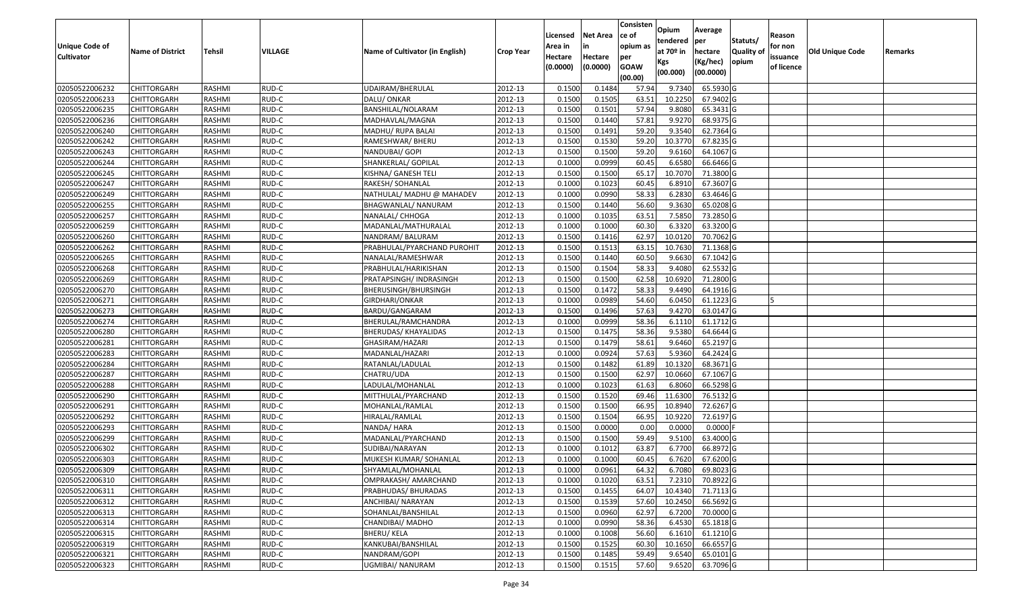| <b>Unique Code of</b> | <b>Name of District</b> | Tehsil        | VILLAGE | Name of Cultivator (in English) | <b>Crop Year</b> | Licensed<br>Area in | Net Area<br>in      | Consisten<br>ce of<br>opium as | Opium<br>tendered<br>at $70°$ in | Average<br>per<br>hectare | Statuts/<br><b>Quality of</b> | Reason<br>for non      | Old Unique Code | Remarks |
|-----------------------|-------------------------|---------------|---------|---------------------------------|------------------|---------------------|---------------------|--------------------------------|----------------------------------|---------------------------|-------------------------------|------------------------|-----------------|---------|
| <b>Cultivator</b>     |                         |               |         |                                 |                  | Hectare<br>(0.0000) | Hectare<br>(0.0000) | per<br><b>GOAW</b><br>(00.00)  | Kgs<br>(00.000)                  | (Kg/hec)<br>(00.0000)     | opium                         | issuance<br>of licence |                 |         |
| 02050522006232        | CHITTORGARH             | RASHMI        | RUD-C   | UDAIRAM/BHERULAL                | 2012-13          | 0.1500              | 0.1484              | 57.94                          | 9.7340                           | 65.5930 G                 |                               |                        |                 |         |
| 02050522006233        | CHITTORGARH             | RASHMI        | RUD-C   | DALU/ ONKAR                     | 2012-13          | 0.1500              | 0.1505              | 63.51                          | 10.2250                          | 67.9402 G                 |                               |                        |                 |         |
| 02050522006235        | CHITTORGARH             | RASHMI        | RUD-C   | BANSHILAL/NOLARAM               | 2012-13          | 0.1500              | 0.1501              | 57.94                          | 9.8080                           | 65.3431 G                 |                               |                        |                 |         |
| 02050522006236        | <b>CHITTORGARH</b>      | RASHMI        | RUD-C   | MADHAVLAL/MAGNA                 | 2012-13          | 0.1500              | 0.1440              | 57.81                          | 9.9270                           | 68.9375 G                 |                               |                        |                 |         |
| 02050522006240        | CHITTORGARH             | RASHMI        | RUD-C   | MADHU/ RUPA BALAI               | 2012-13          | 0.1500              | 0.1491              | 59.20                          | 9.3540                           | 62.7364 G                 |                               |                        |                 |         |
| 02050522006242        | CHITTORGARH             | RASHMI        | RUD-C   | RAMESHWAR/ BHERU                | 2012-13          | 0.1500              | 0.1530              | 59.20                          | 10.3770                          | 67.8235 G                 |                               |                        |                 |         |
| 02050522006243        | CHITTORGARH             | RASHMI        | RUD-C   | NANDUBAI/ GOPI                  | 2012-13          | 0.1500              | 0.1500              | 59.20                          | 9.6160                           | 64.1067 G                 |                               |                        |                 |         |
| 02050522006244        | <b>CHITTORGARH</b>      | <b>RASHMI</b> | RUD-C   | SHANKERLAL/ GOPILAL             | 2012-13          | 0.1000              | 0.0999              | 60.45                          | 6.6580                           | 66.6466 G                 |                               |                        |                 |         |
| 02050522006245        | CHITTORGARH             | RASHMI        | RUD-C   | KISHNA/ GANESH TELI             | 2012-13          | 0.1500              | 0.1500              | 65.17                          | 10.7070                          | 71.3800 G                 |                               |                        |                 |         |
| 02050522006247        | CHITTORGARH             | RASHMI        | RUD-C   | RAKESH/ SOHANLAL                | 2012-13          | 0.1000              | 0.1023              | 60.45                          | 6.8910                           | 67.3607 G                 |                               |                        |                 |         |
| 02050522006249        | CHITTORGARH             | RASHMI        | RUD-C   | NATHULAL/ MADHU @ MAHADEV       | 2012-13          | 0.1000              | 0.0990              | 58.33                          | 6.2830                           | 63.4646 G                 |                               |                        |                 |         |
| 02050522006255        | <b>CHITTORGARH</b>      | RASHMI        | RUD-C   | BHAGWANLAL/ NANURAM             | 2012-13          | 0.1500              | 0.1440              | 56.60                          | 9.3630                           | 65.0208 G                 |                               |                        |                 |         |
| 02050522006257        | <b>CHITTORGARH</b>      | RASHMI        | RUD-C   | NANALAL/ CHHOGA                 | 2012-13          | 0.1000              | 0.1035              | 63.51                          | 7.5850                           | 73.2850 G                 |                               |                        |                 |         |
| 02050522006259        | <b>CHITTORGARH</b>      | RASHMI        | RUD-C   | MADANLAL/MATHURALAL             | 2012-13          | 0.1000              | 0.1000              | 60.30                          | 6.3320                           | 63.3200 G                 |                               |                        |                 |         |
| 02050522006260        | CHITTORGARH             | RASHMI        | RUD-C   | NANDRAM/ BALURAM                | 2012-13          | 0.1500              | 0.1416              | 62.97                          | 10.0120                          | 70.7062 G                 |                               |                        |                 |         |
| 02050522006262        | <b>CHITTORGARH</b>      | RASHMI        | RUD-C   | PRABHULAL/PYARCHAND PUROHIT     | 2012-13          | 0.1500              | 0.1513              | 63.15                          | 10.7630                          | 71.1368 G                 |                               |                        |                 |         |
| 02050522006265        | CHITTORGARH             | RASHMI        | RUD-C   | NANALAL/RAMESHWAR               | 2012-13          | 0.1500              | 0.1440              | 60.50                          | 9.6630                           | 67.1042 G                 |                               |                        |                 |         |
| 02050522006268        | CHITTORGARH             | RASHMI        | RUD-C   | PRABHULAL/HARIKISHAN            | 2012-13          | 0.1500              | 0.1504              | 58.33                          | 9.4080                           | 62.5532 G                 |                               |                        |                 |         |
| 02050522006269        | CHITTORGARH             | RASHMI        | RUD-C   | PRATAPSINGH/ INDRASINGH         | 2012-13          | 0.1500              | 0.1500              | 62.58                          | 10.6920                          | 71.2800 G                 |                               |                        |                 |         |
| 02050522006270        | CHITTORGARH             | RASHMI        | RUD-C   | BHERUSINGH/BHURSINGH            | 2012-13          | 0.1500              | 0.1472              | 58.33                          | 9.4490                           | 64.1916 G                 |                               |                        |                 |         |
| 02050522006271        | CHITTORGARH             | RASHMI        | RUD-C   | GIRDHARI/ONKAR                  | 2012-13          | 0.1000              | 0.0989              | 54.60                          | 6.0450                           | 61.1223 G                 |                               |                        |                 |         |
| 02050522006273        | CHITTORGARH             | RASHMI        | RUD-C   | BARDU/GANGARAM                  | 2012-13          | 0.1500              | 0.1496              | 57.63                          | 9.4270                           | 63.0147 G                 |                               |                        |                 |         |
| 02050522006274        | CHITTORGARH             | RASHMI        | RUD-C   | BHERULAL/RAMCHANDRA             | 2012-13          | 0.1000              | 0.0999              | 58.36                          | 6.1110                           | 61.1712 G                 |                               |                        |                 |         |
| 02050522006280        | CHITTORGARH             | RASHMI        | RUD-C   | BHERUDAS/ KHAYALIDAS            | 2012-13          | 0.1500              | 0.1475              | 58.36                          | 9.5380                           | 64.6644 G                 |                               |                        |                 |         |
| 02050522006281        | CHITTORGARH             | RASHMI        | RUD-C   | GHASIRAM/HAZARI                 | 2012-13          | 0.1500              | 0.1479              | 58.61                          | 9.6460                           | 65.2197 G                 |                               |                        |                 |         |
| 02050522006283        | CHITTORGARH             | RASHMI        | RUD-C   | MADANLAL/HAZARI                 | 2012-13          | 0.1000              | 0.0924              | 57.63                          | 5.9360                           | 64.2424 G                 |                               |                        |                 |         |
| 02050522006284        | CHITTORGARH             | RASHMI        | RUD-C   | RATANLAL/LADULAL                | 2012-13          | 0.1500              | 0.1482              | 61.89                          | 10.1320                          | 68.3671 G                 |                               |                        |                 |         |
| 02050522006287        | CHITTORGARH             | RASHMI        | RUD-C   | CHATRU/UDA                      | 2012-13          | 0.1500              | 0.1500              | 62.97                          | 10.0660                          | 67.1067 G                 |                               |                        |                 |         |
| 02050522006288        | CHITTORGARH             | RASHMI        | RUD-C   | LADULAL/MOHANLAL                | 2012-13          | 0.1000              | 0.1023              | 61.63                          | 6.8060                           | 66.5298 G                 |                               |                        |                 |         |
| 02050522006290        | CHITTORGARH             | RASHMI        | RUD-C   | MITTHULAL/PYARCHAND             | 2012-13          | 0.1500              | 0.1520              | 69.46                          | 11.6300                          | 76.5132 G                 |                               |                        |                 |         |
| 02050522006291        | CHITTORGARH             | RASHMI        | RUD-C   | MOHANLAL/RAMLAL                 | 2012-13          | 0.1500              | 0.1500              | 66.95                          | 10.8940                          | 72.6267 G                 |                               |                        |                 |         |
| 02050522006292        | CHITTORGARH             | RASHMI        | RUD-C   | HIRALAL/RAMLAL                  | 2012-13          | 0.1500              | 0.1504              | 66.95                          | 10.9220                          | 72.6197 G                 |                               |                        |                 |         |
| 02050522006293        | CHITTORGARH             | <b>RASHMI</b> | RUD-C   | NANDA/ HARA                     | 2012-13          | 0.1500              | 0.0000              | 0.00                           | 0.0000                           | $0.0000$ F                |                               |                        |                 |         |
| 02050522006299        | CHITTORGARH             | RASHMI        | RUD-C   | MADANLAL/PYARCHAND              | 2012-13          | 0.1500              | 0.1500              | 59.49                          | 9.5100                           | 63.4000 G                 |                               |                        |                 |         |
| 02050522006302        | CHITTORGARH             | RASHMI        | RUD-C   | SUDIBAI/NARAYAN                 | 2012-13          | 0.1000              | 0.1012              | 63.87                          | 6.7700                           | 66.8972 G                 |                               |                        |                 |         |
| 02050522006303        | CHITTORGARH             | RASHMI        | RUD-C   | MUKESH KUMAR/ SOHANLAL          | 2012-13          | 0.1000              | 0.1000              | 60.45                          | 6.7620                           | 67.6200 G                 |                               |                        |                 |         |
| 02050522006309        | <b>CHITTORGARH</b>      | RASHMI        | RUD-C   | SHYAMLAL/MOHANLAL               | 2012-13          | 0.1000              | 0.0961              | 64.32                          |                                  | 6.7080 69.8023 G          |                               |                        |                 |         |
| 02050522006310        | <b>CHITTORGARH</b>      | RASHMI        | RUD-C   | OMPRAKASH/ AMARCHAND            | 2012-13          | 0.1000              | 0.1020              | 63.51                          | 7.2310                           | 70.8922 G                 |                               |                        |                 |         |
| 02050522006311        | <b>CHITTORGARH</b>      | RASHMI        | RUD-C   | PRABHUDAS/ BHURADAS             | 2012-13          | 0.1500              | 0.1455              | 64.07                          | 10.4340                          | 71.7113 G                 |                               |                        |                 |         |
| 02050522006312        | <b>CHITTORGARH</b>      | RASHMI        | RUD-C   | ANCHIBAI/ NARAYAN               | 2012-13          | 0.1500              | 0.1539              | 57.60                          | 10.2450                          | 66.5692 G                 |                               |                        |                 |         |
| 02050522006313        | <b>CHITTORGARH</b>      | RASHMI        | RUD-C   | SOHANLAL/BANSHILAL              | 2012-13          | 0.1500              | 0.0960              | 62.97                          | 6.7200                           | 70.0000 G                 |                               |                        |                 |         |
| 02050522006314        | <b>CHITTORGARH</b>      | RASHMI        | RUD-C   | CHANDIBAI/ MADHO                | 2012-13          | 0.1000              | 0.0990              | 58.36                          | 6.4530                           | 65.1818 G                 |                               |                        |                 |         |
| 02050522006315        | <b>CHITTORGARH</b>      | RASHMI        | RUD-C   | <b>BHERU/ KELA</b>              | 2012-13          | 0.1000              | 0.1008              | 56.60                          | 6.1610                           | $61.1210$ G               |                               |                        |                 |         |
| 02050522006319        | <b>CHITTORGARH</b>      | RASHMI        | RUD-C   | KANKUBAI/BANSHILAL              | 2012-13          | 0.1500              | 0.1525              | 60.30                          | 10.1650                          | 66.6557 G                 |                               |                        |                 |         |
| 02050522006321        | <b>CHITTORGARH</b>      | RASHMI        | RUD-C   | NANDRAM/GOPI                    | 2012-13          | 0.1500              | 0.1485              | 59.49                          | 9.6540                           | 65.0101G                  |                               |                        |                 |         |
| 02050522006323        | <b>CHITTORGARH</b>      | RASHMI        | RUD-C   | UGMIBAI/ NANURAM                | 2012-13          | 0.1500              | 0.1515              | 57.60                          | 9.6520                           | 63.7096 G                 |                               |                        |                 |         |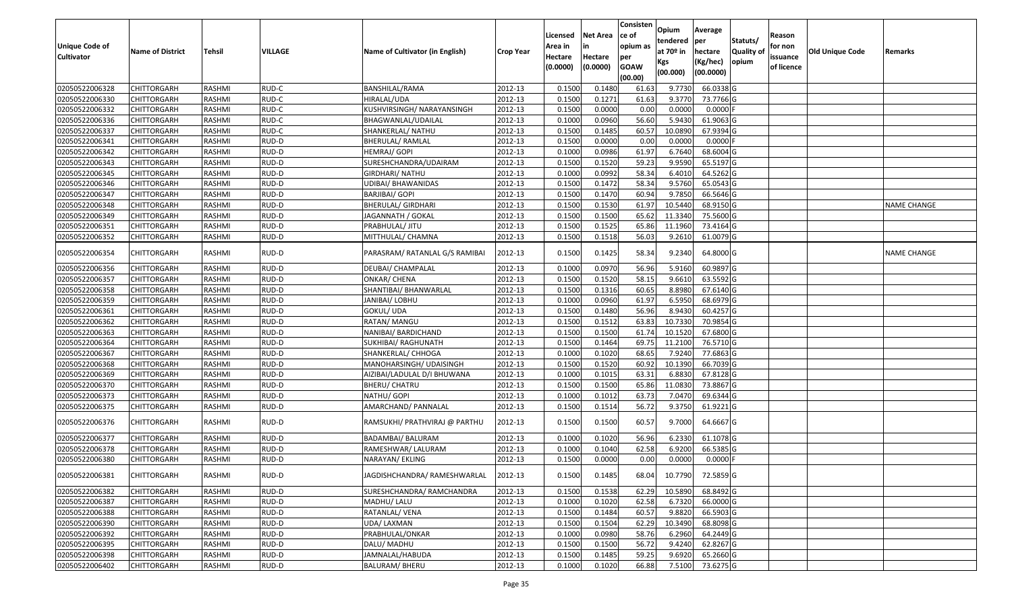| <b>Unique Code of</b><br><b>Cultivator</b> | <b>Name of District</b> | Tehsil        | VILLAGE | Name of Cultivator (in English) | <b>Crop Year</b> | Licensed<br>Area in<br>Hectare<br>(0.0000) | Net Area<br>in<br>Hectare<br>(0.0000) | Consisten<br>ce of<br>opium as<br>per<br><b>GOAW</b><br>(00.00) | <b>Opium</b><br>tendered<br>at 70º in<br>Kgs<br>(00.000) | Average<br>per<br>hectare<br>(Kg/hec)<br>(00.0000) | Statuts/<br><b>Quality of</b><br>opium | Reason<br>for non<br>issuance<br>of licence | <b>Old Unique Code</b> | Remarks            |
|--------------------------------------------|-------------------------|---------------|---------|---------------------------------|------------------|--------------------------------------------|---------------------------------------|-----------------------------------------------------------------|----------------------------------------------------------|----------------------------------------------------|----------------------------------------|---------------------------------------------|------------------------|--------------------|
| 02050522006328                             | <b>CHITTORGARH</b>      | RASHMI        | RUD-C   | <b>BANSHILAL/RAMA</b>           | 2012-13          | 0.1500                                     | 0.1480                                | 61.63                                                           | 9.7730                                                   | 66.0338 G                                          |                                        |                                             |                        |                    |
| 02050522006330                             | CHITTORGARH             | RASHMI        | RUD-C   | HIRALAL/UDA                     | 2012-13          | 0.1500                                     | 0.1271                                | 61.63                                                           | 9.3770                                                   | 73.7766 G                                          |                                        |                                             |                        |                    |
| 02050522006332                             | CHITTORGARH             | RASHMI        | RUD-C   | KUSHVIRSINGH/ NARAYANSINGH      | 2012-13          | 0.1500                                     | 0.0000                                | 0.00                                                            | 0.0000                                                   | $0.0000$ F                                         |                                        |                                             |                        |                    |
| 02050522006336                             | CHITTORGARH             | RASHMI        | RUD-C   | BHAGWANLAL/UDAILAL              | 2012-13          | 0.1000                                     | 0.0960                                | 56.60                                                           | 5.9430                                                   | 61.9063 G                                          |                                        |                                             |                        |                    |
| 02050522006337                             | CHITTORGARH             | RASHMI        | RUD-C   | SHANKERLAL/ NATHU               | 2012-13          | 0.1500                                     | 0.1485                                | 60.57                                                           | 10.0890                                                  | 67.9394 G                                          |                                        |                                             |                        |                    |
| 02050522006341                             | CHITTORGARH             | RASHMI        | RUD-D   | BHERULAL/ RAMLAL                | 2012-13          | 0.1500                                     | 0.0000                                | 0.00                                                            | 0.0000                                                   | $0.0000$ F                                         |                                        |                                             |                        |                    |
| 02050522006342                             | CHITTORGARH             | RASHMI        | RUD-D   | HEMRAJ/ GOPI                    | 2012-13          | 0.1000                                     | 0.0986                                | 61.97                                                           | 6.7640                                                   | 68.6004 G                                          |                                        |                                             |                        |                    |
| 02050522006343                             | <b>CHITTORGARH</b>      | <b>RASHMI</b> | RUD-D   | SURESHCHANDRA/UDAIRAM           | 2012-13          | 0.1500                                     | 0.1520                                | 59.23                                                           | 9.9590                                                   | 65.5197 G                                          |                                        |                                             |                        |                    |
| 02050522006345                             | CHITTORGARH             | RASHMI        | RUD-D   | <b>GIRDHARI/ NATHU</b>          | 2012-13          | 0.1000                                     | 0.0992                                | 58.34                                                           | 6.4010                                                   | 64.5262 G                                          |                                        |                                             |                        |                    |
| 02050522006346                             | CHITTORGARH             | RASHMI        | RUD-D   | <b>UDIBAI/ BHAWANIDAS</b>       | 2012-13          | 0.1500                                     | 0.1472                                | 58.34                                                           | 9.5760                                                   | 65.0543 G                                          |                                        |                                             |                        |                    |
| 02050522006347                             | CHITTORGARH             | RASHMI        | RUD-D   | BARJIBAI/ GOPI                  | 2012-13          | 0.1500                                     | 0.1470                                | 60.94                                                           | 9.7850                                                   | 66.5646 G                                          |                                        |                                             |                        |                    |
| 02050522006348                             | <b>CHITTORGARH</b>      | RASHMI        | RUD-D   | <b>BHERULAL/ GIRDHARI</b>       | 2012-13          | 0.1500                                     | 0.1530                                | 61.97                                                           | 10.5440                                                  | 68.9150 G                                          |                                        |                                             |                        | <b>NAME CHANGE</b> |
| 02050522006349                             | <b>CHITTORGARH</b>      | RASHMI        | RUD-D   | JAGANNATH / GOKAL               | 2012-13          | 0.1500                                     | 0.1500                                | 65.62                                                           | 11.3340                                                  | 75.5600 G                                          |                                        |                                             |                        |                    |
| 02050522006351                             | <b>CHITTORGARH</b>      | RASHMI        | RUD-D   | PRABHULAL/ JITU                 | 2012-13          | 0.1500                                     | 0.1525                                | 65.86                                                           | 11.1960                                                  | 73.4164 G                                          |                                        |                                             |                        |                    |
| 02050522006352                             | CHITTORGARH             | RASHMI        | RUD-D   | MITTHULAL/ CHAMNA               | 2012-13          | 0.1500                                     | 0.1518                                | 56.03                                                           | 9.2610                                                   | 61.0079 G                                          |                                        |                                             |                        |                    |
| 02050522006354                             | CHITTORGARH             | RASHMI        | RUD-D   | PARASRAM/ RATANLAL G/S RAMIBAI  | 2012-13          | 0.1500                                     | 0.1425                                | 58.34                                                           | 9.2340                                                   | 64.8000 G                                          |                                        |                                             |                        | NAME CHANGE        |
| 02050522006356                             | CHITTORGARH             | RASHMI        | RUD-D   | DEUBAI/ CHAMPALAL               | 2012-13          | 0.1000                                     | 0.0970                                | 56.96                                                           | 5.9160                                                   | 60.9897 G                                          |                                        |                                             |                        |                    |
| 02050522006357                             | CHITTORGARH             | RASHMI        | RUD-D   | ONKAR/ CHENA                    | 2012-13          | 0.1500                                     | 0.1520                                | 58.15                                                           | 9.6610                                                   | 63.5592 G                                          |                                        |                                             |                        |                    |
| 02050522006358                             | CHITTORGARH             | RASHMI        | RUD-D   | SHANTIBAI/ BHANWARLAL           | 2012-13          | 0.1500                                     | 0.1316                                | 60.65                                                           | 8.8980                                                   | 67.6140 G                                          |                                        |                                             |                        |                    |
| 02050522006359                             | CHITTORGARH             | RASHMI        | RUD-D   | JANIBAI/ LOBHU                  | 2012-13          | 0.1000                                     | 0.0960                                | 61.97                                                           | 6.5950                                                   | 68.6979 G                                          |                                        |                                             |                        |                    |
| 02050522006361                             | CHITTORGARH             | RASHMI        | RUD-D   | GOKUL/ UDA                      | 2012-13          | 0.1500                                     | 0.1480                                | 56.96                                                           | 8.9430                                                   | 60.4257 G                                          |                                        |                                             |                        |                    |
| 02050522006362                             | CHITTORGARH             | RASHMI        | RUD-D   | RATAN/ MANGU                    | 2012-13          | 0.1500                                     | 0.1512                                | 63.83                                                           | 10.7330                                                  | 70.9854 G                                          |                                        |                                             |                        |                    |
| 02050522006363                             | CHITTORGARH             | RASHMI        | RUD-D   | NANIBAI/ BARDICHAND             | 2012-13          | 0.1500                                     | 0.1500                                | 61.74                                                           | 10.1520                                                  | 67.6800 G                                          |                                        |                                             |                        |                    |
| 02050522006364                             | CHITTORGARH             | RASHMI        | RUD-D   | SUKHIBAI/ RAGHUNATH             | 2012-13          | 0.1500                                     | 0.1464                                | 69.75                                                           | 11.2100                                                  | 76.5710 G                                          |                                        |                                             |                        |                    |
| 02050522006367                             | CHITTORGARH             | RASHMI        | RUD-D   | SHANKERLAL/ CHHOGA              | 2012-13          | 0.1000                                     | 0.1020                                | 68.65                                                           | 7.9240                                                   | 77.6863 G                                          |                                        |                                             |                        |                    |
| 02050522006368                             | CHITTORGARH             | RASHMI        | RUD-D   | MANOHARSINGH/ UDAISINGH         | 2012-13          | 0.1500                                     | 0.1520                                | 60.92                                                           | 10.1390                                                  | 66.7039 G                                          |                                        |                                             |                        |                    |
| 02050522006369                             | CHITTORGARH             | RASHMI        | RUD-D   | AIZIBAI/LADULAL D/I BHUWANA     | 2012-13          | 0.1000                                     | 0.1015                                | 63.31                                                           | 6.8830                                                   | 67.8128 G                                          |                                        |                                             |                        |                    |
| 02050522006370                             | <b>CHITTORGARH</b>      | <b>RASHMI</b> | RUD-D   | <b>BHERU/ CHATRU</b>            | 2012-13          | 0.1500                                     | 0.1500                                | 65.86                                                           | 11.0830                                                  | 73.8867 G                                          |                                        |                                             |                        |                    |
| 02050522006373                             | CHITTORGARH             | RASHMI        | RUD-D   | NATHU/ GOPI                     | 2012-13          | 0.1000                                     | 0.101                                 | 63.73                                                           | 7.0470                                                   | 69.6344 G                                          |                                        |                                             |                        |                    |
| 02050522006375                             | CHITTORGARH             | RASHMI        | RUD-D   | AMARCHAND/ PANNALAL             | 2012-13          | 0.1500                                     | 0.1514                                | 56.72                                                           | 9.3750                                                   | 61.9221 G                                          |                                        |                                             |                        |                    |
| 02050522006376                             | CHITTORGARH             | RASHMI        | RUD-D   | RAMSUKHI/ PRATHVIRAJ @ PARTHU   | 2012-13          | 0.1500                                     | 0.1500                                | 60.57                                                           | 9.7000                                                   | 64.6667 G                                          |                                        |                                             |                        |                    |
| 02050522006377                             | CHITTORGARH             | RASHMI        | RUD-D   | BADAMBAI/ BALURAM               | 2012-13          | 0.1000                                     | 0.1020                                | 56.96                                                           | 6.2330                                                   | 61.1078 G                                          |                                        |                                             |                        |                    |
| 02050522006378                             | CHITTORGARH             | RASHMI        | RUD-D   | RAMESHWAR/ LALURAM              | 2012-13          | 0.1000                                     | 0.1040                                | 62.58                                                           | 6.9200                                                   | 66.5385 G                                          |                                        |                                             |                        |                    |
| 02050522006380                             | CHITTORGARH             | RASHMI        | RUD-D   | NARAYAN/ EKLING                 | 2012-13          | 0.1500                                     | 0.0000                                | 0.00                                                            | 0.0000                                                   | $0.0000$ F                                         |                                        |                                             |                        |                    |
| 02050522006381                             | <b>CHITTORGARH</b>      | RASHMI        | RUD-D   | JAGDISHCHANDRA/ RAMESHWARLAL    | 2012-13          | 0.1500                                     | 0.1485                                | 68.04                                                           | 10.7790                                                  | 72.5859 G                                          |                                        |                                             |                        |                    |
| 02050522006382                             | <b>CHITTORGARH</b>      | RASHMI        | RUD-D   | SURESHCHANDRA/ RAMCHANDRA       | 2012-13          | 0.1500                                     | 0.1538                                | 62.29                                                           | 10.5890                                                  | 68.8492 G                                          |                                        |                                             |                        |                    |
| 02050522006387                             | <b>CHITTORGARH</b>      | RASHMI        | RUD-D   | MADHU/ LALU                     | 2012-13          | 0.1000                                     | 0.1020                                | 62.58                                                           | 6.7320                                                   | 66.0000 G                                          |                                        |                                             |                        |                    |
| 02050522006388                             | <b>CHITTORGARH</b>      | RASHMI        | RUD-D   | RATANLAL/ VENA                  | 2012-13          | 0.1500                                     | 0.1484                                | 60.57                                                           | 9.8820                                                   | 66.5903 G                                          |                                        |                                             |                        |                    |
| 02050522006390                             | <b>CHITTORGARH</b>      | RASHMI        | RUD-D   | UDA/ LAXMAN                     | 2012-13          | 0.1500                                     | 0.1504                                | 62.29                                                           | 10.3490                                                  | 68.8098 G                                          |                                        |                                             |                        |                    |
| 02050522006392                             | <b>CHITTORGARH</b>      | RASHMI        | RUD-D   | PRABHULAL/ONKAR                 | 2012-13          | 0.1000                                     | 0.0980                                | 58.76                                                           | 6.2960                                                   | 64.2449 G                                          |                                        |                                             |                        |                    |
| 02050522006395                             | <b>CHITTORGARH</b>      | RASHMI        | RUD-D   | DALU/ MADHU                     | 2012-13          | 0.1500                                     | 0.1500                                | 56.72                                                           | 9.4240                                                   | 62.8267 G                                          |                                        |                                             |                        |                    |
| 02050522006398                             | <b>CHITTORGARH</b>      | RASHMI        | RUD-D   | JAMNALAL/HABUDA                 | 2012-13          | 0.1500                                     | 0.1485                                | 59.25                                                           | 9.6920                                                   | 65.2660 G                                          |                                        |                                             |                        |                    |
| 02050522006402                             | <b>CHITTORGARH</b>      | RASHMI        | RUD-D   | <b>BALURAM/ BHERU</b>           | 2012-13          | 0.1000                                     | 0.1020                                | 66.88                                                           | 7.5100                                                   | 73.6275 G                                          |                                        |                                             |                        |                    |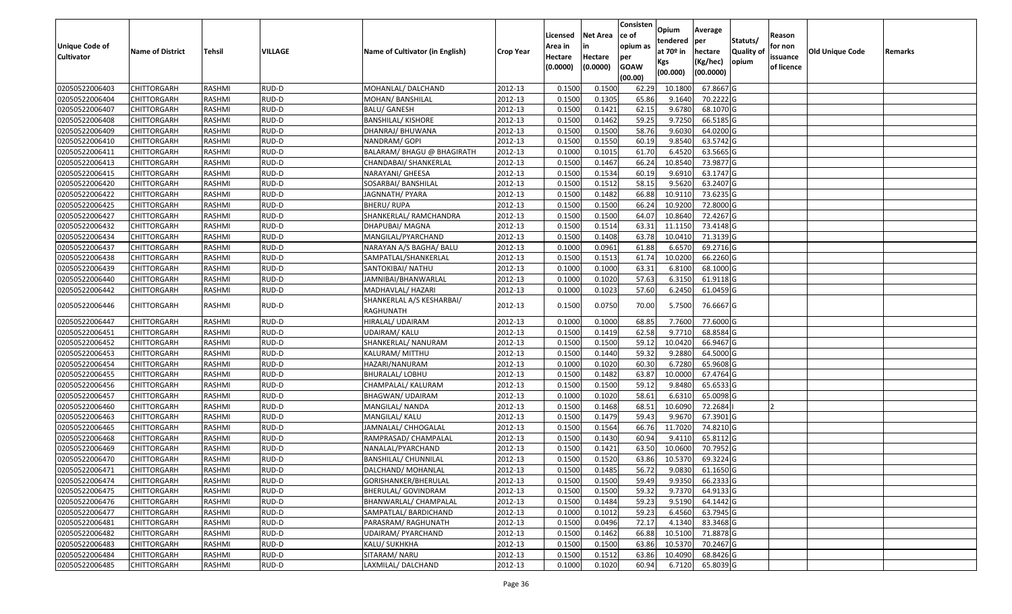|                   |                         |               |         |                                        |                  | Licensed | <b>Net Area</b> | Consisten<br>ce of | Opium       | Average   |                  | Reason     |                 |         |
|-------------------|-------------------------|---------------|---------|----------------------------------------|------------------|----------|-----------------|--------------------|-------------|-----------|------------------|------------|-----------------|---------|
| Unique Code of    |                         |               |         |                                        |                  | Area in  | in              | opium as           | tendered    | per       | Statuts/         | for non    |                 |         |
| <b>Cultivator</b> | <b>Name of District</b> | <b>Tehsil</b> | VILLAGE | Name of Cultivator (in English)        | <b>Crop Year</b> | Hectare  | Hectare         | per                | at $70°$ in | hectare   | <b>Quality o</b> | issuance   | Old Unique Code | Remarks |
|                   |                         |               |         |                                        |                  | (0.0000) | (0.0000)        | <b>GOAW</b>        | Kgs         | (Kg/hec)  | opium            | of licence |                 |         |
|                   |                         |               |         |                                        |                  |          |                 | (00.00)            | (00.000)    | (00.0000) |                  |            |                 |         |
| 02050522006403    | CHITTORGARH             | RASHMI        | RUD-D   | MOHANLAL/ DALCHAND                     | 2012-13          | 0.1500   | 0.1500          | 62.29              | 10.1800     | 67.8667 G |                  |            |                 |         |
| 02050522006404    | CHITTORGARH             | RASHMI        | RUD-D   | MOHAN/ BANSHILAL                       | 2012-13          | 0.1500   | 0.1305          | 65.86              | 9.1640      | 70.2222G  |                  |            |                 |         |
| 02050522006407    | CHITTORGARH             | RASHMI        | RUD-D   | <b>BALU/ GANESH</b>                    | 2012-13          | 0.1500   | 0.1421          | 62.15              | 9.6780      | 68.1070 G |                  |            |                 |         |
| 02050522006408    | <b>CHITTORGARH</b>      | RASHMI        | RUD-D   | <b>BANSHILAL/ KISHORE</b>              | 2012-13          | 0.1500   | 0.1462          | 59.25              | 9.7250      | 66.5185 G |                  |            |                 |         |
| 02050522006409    | CHITTORGARH             | RASHMI        | RUD-D   | DHANRAJ/ BHUWANA                       | 2012-13          | 0.1500   | 0.1500          | 58.76              | 9.6030      | 64.0200 G |                  |            |                 |         |
| 02050522006410    | CHITTORGARH             | RASHMI        | RUD-D   | NANDRAM/ GOPI                          | 2012-13          | 0.1500   | 0.1550          | 60.19              | 9.8540      | 63.5742 G |                  |            |                 |         |
| 02050522006411    | CHITTORGARH             | RASHMI        | RUD-D   | BALARAM/ BHAGU @ BHAGIRATH             | 2012-13          | 0.1000   | 0.1015          | 61.70              | 6.4520      | 63.5665 G |                  |            |                 |         |
| 02050522006413    | CHITTORGARH             | <b>RASHMI</b> | RUD-D   | CHANDABAI/ SHANKERLAL                  | 2012-13          | 0.1500   | 0.1467          | 66.24              | 10.8540     | 73.9877 G |                  |            |                 |         |
| 02050522006415    | CHITTORGARH             | RASHMI        | RUD-D   | NARAYANI/ GHEESA                       | 2012-13          | 0.1500   | 0.1534          | 60.19              | 9.6910      | 63.1747 G |                  |            |                 |         |
| 02050522006420    | CHITTORGARH             | RASHMI        | RUD-D   | SOSARBAI/ BANSHILAL                    | 2012-13          | 0.1500   | 0.1512          | 58.15              | 9.5620      | 63.2407 G |                  |            |                 |         |
| 02050522006422    | CHITTORGARH             | RASHMI        | RUD-D   | JAGNNATH/ PYARA                        | 2012-13          | 0.1500   | 0.1482          | 66.88              | 10.9110     | 73.6235 G |                  |            |                 |         |
| 02050522006425    | CHITTORGARH             | RASHMI        | RUD-D   | BHERU/ RUPA                            | 2012-13          | 0.1500   | 0.1500          | 66.24              | 10.9200     | 72.8000 G |                  |            |                 |         |
| 02050522006427    | <b>CHITTORGARH</b>      | RASHMI        | RUD-D   | SHANKERLAL/ RAMCHANDRA                 | 2012-13          | 0.1500   | 0.1500          | 64.07              | 10.8640     | 72.4267 G |                  |            |                 |         |
| 02050522006432    | CHITTORGARH             | RASHMI        | RUD-D   | DHAPUBAI/ MAGNA                        | 2012-13          | 0.1500   | 0.1514          | 63.3               | 11.1150     | 73.4148 G |                  |            |                 |         |
| 02050522006434    | <b>CHITTORGARH</b>      | RASHMI        | RUD-D   | MANGILAL/PYARCHAND                     | 2012-13          | 0.1500   | 0.1408          | 63.78              | 10.0410     | 71.3139 G |                  |            |                 |         |
| 02050522006437    | <b>CHITTORGARH</b>      | RASHMI        | RUD-D   | NARAYAN A/S BAGHA/ BALU                | 2012-13          | 0.1000   | 0.0961          | 61.88              | 6.6570      | 69.2716 G |                  |            |                 |         |
| 02050522006438    | CHITTORGARH             | RASHMI        | RUD-D   | SAMPATLAL/SHANKERLAL                   | 2012-13          | 0.1500   | 0.1513          | 61.74              | 10.0200     | 66.2260 G |                  |            |                 |         |
| 02050522006439    | CHITTORGARH             | RASHMI        | RUD-D   | SANTOKIBAI/ NATHU                      | 2012-13          | 0.100    | 0.1000          | 63.3               | 6.8100      | 68.1000G  |                  |            |                 |         |
| 02050522006440    | CHITTORGARH             | RASHMI        | RUD-D   | JAMNIBAI/BHANWARLAL                    | 2012-13          | 0.100    | 0.1020          | 57.63              | 6.3150      | 61.9118 G |                  |            |                 |         |
| 02050522006442    | CHITTORGARH             | RASHMI        | RUD-D   | MADHAVLAL/ HAZARI                      | 2012-13          | 0.1000   | 0.1023          | 57.60              | 6.2450      | 61.0459 G |                  |            |                 |         |
| 02050522006446    | CHITTORGARH             | RASHMI        | RUD-D   | SHANKERLAL A/S KESHARBAI/<br>RAGHUNATH | 2012-13          | 0.1500   | 0.0750          | 70.00              | 5.7500      | 76.6667 G |                  |            |                 |         |
| 02050522006447    | CHITTORGARH             | RASHMI        | RUD-D   | HIRALAL/ UDAIRAM                       | 2012-13          | 0.1000   | 0.1000          | 68.85              | 7.7600      | 77.6000 G |                  |            |                 |         |
| 02050522006451    | CHITTORGARH             | RASHMI        | RUD-D   | JDAIRAM/ KALU                          | 2012-13          | 0.1500   | 0.1419          | 62.58              | 9.7710      | 68.8584 G |                  |            |                 |         |
| 02050522006452    | CHITTORGARH             | RASHMI        | RUD-D   | SHANKERLAL/ NANURAM                    | 2012-13          | 0.1500   | 0.1500          | 59.12              | 10.0420     | 66.9467 G |                  |            |                 |         |
| 02050522006453    | CHITTORGARH             | RASHMI        | RUD-D   | KALURAM/ MITTHU                        | 2012-13          | 0.1500   | 0.1440          | 59.32              | 9.2880      | 64.5000 G |                  |            |                 |         |
| 02050522006454    | CHITTORGARH             | RASHMI        | RUD-D   | HAZARI/NANURAM                         | 2012-13          | 0.1000   | 0.1020          | 60.30              | 6.7280      | 65.9608 G |                  |            |                 |         |
| 02050522006455    | CHITTORGARH             | RASHMI        | RUD-D   | BHURALAL/ LOBHU                        | 2012-13          | 0.1500   | 0.1482          | 63.87              | 10.0000     | 67.4764 G |                  |            |                 |         |
| 02050522006456    | CHITTORGARH             | <b>RASHMI</b> | RUD-D   | CHAMPALAL/ KALURAM                     | 2012-13          | 0.1500   | 0.1500          | 59.12              | 9.8480      | 65.6533 G |                  |            |                 |         |
| 02050522006457    | CHITTORGARH             | RASHMI        | RUD-D   | BHAGWAN/ UDAIRAM                       | 2012-13          | 0.1000   | 0.1020          | 58.61              | 6.6310      | 65.0098 G |                  |            |                 |         |
| 02050522006460    | CHITTORGARH             | RASHMI        | RUD-D   | MANGILAL/ NANDA                        | 2012-13          | 0.1500   | 0.1468          | 68.5               | 10.6090     | 72.2684   |                  |            |                 |         |
| 02050522006463    | CHITTORGARH             | RASHMI        | RUD-D   | MANGILAL/ KALU                         | 2012-13          | 0.1500   | 0.1479          | 59.43              | 9.9670      | 67.3901G  |                  |            |                 |         |
| 02050522006465    | CHITTORGARH             | RASHMI        | RUD-D   | JAMNALAL/ CHHOGALAL                    | 2012-13          | 0.1500   | 0.1564          | 66.76              | 11.7020     | 74.8210 G |                  |            |                 |         |
| 02050522006468    | <b>CHITTORGARH</b>      | RASHMI        | RUD-D   | RAMPRASAD/ CHAMPALAL                   | 2012-13          | 0.1500   | 0.1430          | 60.94              | 9.4110      | 65.8112 G |                  |            |                 |         |
| 02050522006469    | CHITTORGARH             | RASHMI        | RUD-D   | NANALAL/PYARCHAND                      | 2012-13          | 0.150    | 0.1421          | 63.50              | 10.0600     | 70.7952 G |                  |            |                 |         |
| 02050522006470    | CHITTORGARH             | RASHMI        | RUD-D   | BANSHILAL/ CHUNNILAL                   | 2012-13          | 0.1500   | 0.1520          | 63.86              | 10.5370     | 69.3224 G |                  |            |                 |         |
| 02050522006471    | <b>CHITTORGARH</b>      | RASHMI        | RUD-D   | DALCHAND/ MOHANLAL                     | 2012-13          | 0.1500   | 0.1485          | 56.72              | 9.0830      | 61.1650 G |                  |            |                 |         |
| 02050522006474    | <b>CHITTORGARH</b>      | RASHMI        | RUD-D   | GORISHANKER/BHERULAL                   | 2012-13          | 0.1500   | 0.1500          | 59.49              | 9.9350      | 66.2333 G |                  |            |                 |         |
| 02050522006475    | <b>CHITTORGARH</b>      | RASHMI        | RUD-D   | BHERULAL/ GOVINDRAM                    | 2012-13          | 0.1500   | 0.1500          | 59.32              | 9.7370      | 64.9133 G |                  |            |                 |         |
| 02050522006476    | <b>CHITTORGARH</b>      | RASHMI        | RUD-D   | BHANWARLAL/ CHAMPALAL                  | 2012-13          | 0.1500   | 0.1484          | 59.23              | 9.5190      | 64.1442 G |                  |            |                 |         |
| 02050522006477    | <b>CHITTORGARH</b>      | RASHMI        | RUD-D   | SAMPATLAL/ BARDICHAND                  | 2012-13          | 0.1000   | 0.1012          | 59.23              | 6.4560      | 63.7945 G |                  |            |                 |         |
| 02050522006481    | <b>CHITTORGARH</b>      | RASHMI        | RUD-D   | PARASRAM/ RAGHUNATH                    | 2012-13          | 0.1500   | 0.0496          | 72.17              | 4.1340      | 83.3468 G |                  |            |                 |         |
| 02050522006482    | <b>CHITTORGARH</b>      | RASHMI        | RUD-D   | UDAIRAM/ PYARCHAND                     | 2012-13          | 0.1500   | 0.1462          | 66.88              | 10.5100     | 71.8878 G |                  |            |                 |         |
| 02050522006483    | CHITTORGARH             | RASHMI        | RUD-D   | KALU/ SUKHKHA                          | 2012-13          | 0.1500   | 0.1500          | 63.86              | 10.5370     | 70.2467 G |                  |            |                 |         |
| 02050522006484    | <b>CHITTORGARH</b>      | RASHMI        | RUD-D   | SITARAM/ NARU                          | 2012-13          | 0.1500   | 0.1512          | 63.86              | 10.4090     | 68.8426 G |                  |            |                 |         |
| 02050522006485    | <b>CHITTORGARH</b>      | RASHMI        | RUD-D   | LAXMILAL/ DALCHAND                     | 2012-13          | 0.1000   | 0.1020          | 60.94              | 6.7120      | 65.8039 G |                  |            |                 |         |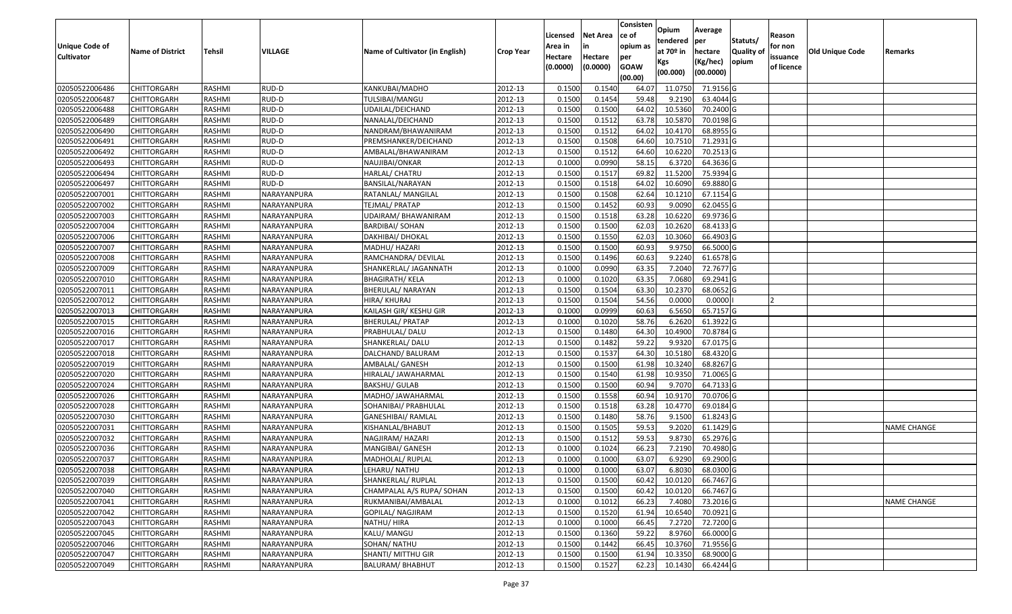|                   |                         |               |             |                                 |                  |          |                 | Consisten   | Opium       | Average   |                  |            |                        |                    |
|-------------------|-------------------------|---------------|-------------|---------------------------------|------------------|----------|-----------------|-------------|-------------|-----------|------------------|------------|------------------------|--------------------|
|                   |                         |               |             |                                 |                  | Licensed | <b>Net Area</b> | ce of       | tendered    | per       | Statuts/         | Reason     |                        |                    |
| Unique Code of    | <b>Name of District</b> | <b>Tehsil</b> | VILLAGE     | Name of Cultivator (in English) | <b>Crop Year</b> | Area in  | in              | opium as    | at $70°$ in | hectare   | <b>Quality o</b> | for non    | <b>Old Unique Code</b> | Remarks            |
| <b>Cultivator</b> |                         |               |             |                                 |                  | Hectare  | Hectare         | per         | Kgs         | (Kg/hec)  | opium            | issuance   |                        |                    |
|                   |                         |               |             |                                 |                  | (0.0000) | (0.0000)        | <b>GOAW</b> | (00.000)    | (00.0000) |                  | of licence |                        |                    |
|                   |                         |               |             |                                 |                  |          |                 | (00.00)     |             |           |                  |            |                        |                    |
| 02050522006486    | CHITTORGARH             | RASHMI        | RUD-D       | KANKUBAI/MADHO                  | 2012-13          | 0.1500   | 0.1540          | 64.07       | 11.075      | 71.9156 G |                  |            |                        |                    |
| 02050522006487    | CHITTORGARH             | RASHMI        | RUD-D       | TULSIBAI/MANGU                  | 2012-13          | 0.1500   | 0.1454          | 59.48       | 9.2190      | 63.4044 G |                  |            |                        |                    |
| 02050522006488    | CHITTORGARH             | RASHMI        | RUD-D       | UDAILAL/DEICHAND                | 2012-13          | 0.1500   | 0.1500          | 64.02       | 10.5360     | 70.2400 G |                  |            |                        |                    |
| 02050522006489    | <b>CHITTORGARH</b>      | RASHMI        | RUD-D       | NANALAL/DEICHAND                | 2012-13          | 0.1500   | 0.1512          | 63.78       | 10.5870     | 70.0198G  |                  |            |                        |                    |
| 02050522006490    | CHITTORGARH             | RASHMI        | RUD-D       | NANDRAM/BHAWANIRAM              | 2012-13          | 0.1500   | 0.1512          | 64.02       | 10.4170     | 68.8955 G |                  |            |                        |                    |
| 02050522006491    | CHITTORGARH             | RASHMI        | RUD-D       | PREMSHANKER/DEICHAND            | 2012-13          | 0.1500   | 0.1508          | 64.60       | 10.7510     | 71.2931G  |                  |            |                        |                    |
| 02050522006492    | CHITTORGARH             | RASHMI        | RUD-D       | AMBALAL/BHAWANIRAM              | 2012-13          | 0.1500   | 0.1512          | 64.60       | 10.6220     | 70.2513 G |                  |            |                        |                    |
| 02050522006493    | CHITTORGARH             | <b>RASHMI</b> | RUD-D       | NAUJIBAI/ONKAR                  | 2012-13          | 0.1000   | 0.0990          | 58.15       | 6.3720      | 64.3636 G |                  |            |                        |                    |
| 02050522006494    | CHITTORGARH             | RASHMI        | RUD-D       | HARLAL/ CHATRU                  | 2012-13          | 0.1500   | 0.1517          | 69.82       | 11.5200     | 75.9394 G |                  |            |                        |                    |
| 02050522006497    | CHITTORGARH             | RASHMI        | RUD-D       | BANSILAL/NARAYAN                | 2012-13          | 0.1500   | 0.1518          | 64.02       | 10.6090     | 69.8880 G |                  |            |                        |                    |
| 02050522007001    | CHITTORGARH             | RASHMI        | NARAYANPURA | RATANLAL/ MANGILAL              | 2012-13          | 0.1500   | 0.1508          | 62.64       | 10.1210     | 67.1154 G |                  |            |                        |                    |
| 02050522007002    | <b>CHITTORGARH</b>      | RASHMI        | NARAYANPURA | TEJMAL/ PRATAP                  | 2012-13          | 0.1500   | 0.1452          | 60.93       | 9.0090      | 62.0455 G |                  |            |                        |                    |
| 02050522007003    | <b>CHITTORGARH</b>      | RASHMI        | NARAYANPURA | UDAIRAM/BHAWANIRAM              | 2012-13          | 0.1500   | 0.1518          | 63.28       | 10.6220     | 69.9736 G |                  |            |                        |                    |
| 02050522007004    | CHITTORGARH             | RASHMI        | NARAYANPURA | <b>BARDIBAI/ SOHAN</b>          | 2012-13          | 0.1500   | 0.1500          | 62.03       | 10.2620     | 68.4133 G |                  |            |                        |                    |
| 02050522007006    | <b>CHITTORGARH</b>      | RASHMI        | NARAYANPURA | DAKHIBAI/ DHOKAL                | 2012-13          | 0.1500   | 0.1550          | 62.03       | 10.3060     | 66.4903 G |                  |            |                        |                    |
| 02050522007007    | <b>CHITTORGARH</b>      | RASHMI        | NARAYANPURA | MADHU/ HAZARI                   | 2012-13          | 0.1500   | 0.1500          | 60.93       | 9.9750      | 66.5000 G |                  |            |                        |                    |
| 02050522007008    | CHITTORGARH             | RASHMI        | NARAYANPURA | RAMCHANDRA/ DEVILAL             | 2012-13          | 0.1500   | 0.1496          | 60.63       | 9.2240      | 61.6578 G |                  |            |                        |                    |
| 02050522007009    | CHITTORGARH             | RASHMI        | NARAYANPURA | SHANKERLAL/ JAGANNATH           | 2012-13          | 0.1000   | 0.0990          | 63.35       | 7.2040      | 72.7677 G |                  |            |                        |                    |
| 02050522007010    | CHITTORGARH             | RASHMI        | NARAYANPURA | BHAGIRATH/ KELA                 | 2012-13          | 0.1000   | 0.1020          | 63.35       | 7.0680      | 69.2941 G |                  |            |                        |                    |
| 02050522007011    | CHITTORGARH             | RASHMI        | NARAYANPURA | BHERULAL/ NARAYAN               | 2012-13          | 0.1500   | 0.1504          | 63.30       | 10.2370     | 68.0652 G |                  |            |                        |                    |
| 02050522007012    | CHITTORGARH             | RASHMI        | NARAYANPURA | HIRA/ KHURAJ                    | 2012-13          | 0.1500   | 0.1504          | 54.56       | 0.0000      | 0.0000    |                  |            |                        |                    |
| 02050522007013    | CHITTORGARH             | RASHMI        | NARAYANPURA | KAILASH GIR/ KESHU GIR          | 2012-13          | 0.1000   | 0.0999          | 60.63       | 6.5650      | 65.7157 G |                  |            |                        |                    |
| 02050522007015    | CHITTORGARH             | RASHMI        | NARAYANPURA | BHERULAL/ PRATAP                | 2012-13          | 0.1000   | 0.1020          | 58.76       | 6.2620      | 61.3922 G |                  |            |                        |                    |
| 02050522007016    | <b>CHITTORGARH</b>      | RASHMI        | NARAYANPURA | PRABHULAL/DALU                  | 2012-13          | 0.1500   | 0.1480          | 64.30       | 10.4900     | 70.8784 G |                  |            |                        |                    |
| 02050522007017    | <b>CHITTORGARH</b>      | RASHMI        | NARAYANPURA | SHANKERLAL/ DALU                | 2012-13          | 0.1500   | 0.1482          | 59.22       | 9.9320      | 67.0175 G |                  |            |                        |                    |
| 02050522007018    | CHITTORGARH             | RASHMI        | NARAYANPURA | DALCHAND/ BALURAM               | 2012-13          | 0.1500   | 0.1537          | 64.30       | 10.5180     | 68.4320 G |                  |            |                        |                    |
| 02050522007019    | CHITTORGARH             | RASHMI        | NARAYANPURA | AMBALAL/ GANESH                 | 2012-13          | 0.1500   | 0.1500          | 61.98       | 10.3240     | 68.8267 G |                  |            |                        |                    |
| 02050522007020    | CHITTORGARH             | RASHMI        | NARAYANPURA | HIRALAL/ JAWAHARMAL             | 2012-13          | 0.1500   | 0.1540          | 61.98       | 10.9350     | 71.0065 G |                  |            |                        |                    |
| 02050522007024    | CHITTORGARH             | RASHMI        | NARAYANPURA | <b>BAKSHU/ GULAB</b>            | 2012-13          | 0.1500   | 0.1500          | 60.94       | 9.7070      | 64.7133 G |                  |            |                        |                    |
| 02050522007026    | CHITTORGARH             | RASHMI        | NARAYANPURA | MADHO/ JAWAHARMAL               | 2012-13          | 0.1500   | 0.1558          | 60.94       | 10.9170     | 70.0706 G |                  |            |                        |                    |
| 02050522007028    | CHITTORGARH             | RASHMI        | NARAYANPURA | SOHANIBAI/ PRABHULAL            | 2012-13          | 0.1500   | 0.1518          | 63.28       | 10.4770     | 69.0184 G |                  |            |                        |                    |
| 02050522007030    | CHITTORGARH             | RASHMI        | NARAYANPURA | GANESHIBAI/ RAMLAL              | 2012-13          | 0.1500   | 0.1480          | 58.76       | 9.1500      | 61.8243 G |                  |            |                        |                    |
| 02050522007031    | CHITTORGARH             | <b>RASHMI</b> | NARAYANPURA | KISHANLAL/BHABUT                | 2012-13          | 0.1500   | 0.1505          | 59.53       | 9.2020      | 61.1429 G |                  |            |                        | <b>NAME CHANGE</b> |
| 02050522007032    | <b>CHITTORGARH</b>      | RASHMI        | NARAYANPURA | NAGJIRAM/ HAZARI                | 2012-13          | 0.1500   | 0.1512          | 59.53       | 9.8730      | 65.2976 G |                  |            |                        |                    |
| 02050522007036    | CHITTORGARH             | RASHMI        | NARAYANPURA | MANGIBAI/ GANESH                | 2012-13          | 0.1000   | 0.1024          | 66.23       | 7.2190      | 70.4980 G |                  |            |                        |                    |
| 02050522007037    | CHITTORGARH             | RASHMI        | NARAYANPURA | MADHOLAL/ RUPLAL                | 2012-13          | 0.1000   | 0.1000          | 63.07       | 6.9290      | 69.2900 G |                  |            |                        |                    |
| 02050522007038    | <b>CHITTORGARH</b>      | RASHMI        | NARAYANPURA | LEHARU/ NATHU                   | 2012-13          | 0.1000   | 0.1000          | 63.07       | 6.8030      | 68.0300G  |                  |            |                        |                    |
| 02050522007039    | <b>CHITTORGARH</b>      | RASHMI        | NARAYANPURA | SHANKERLAL/ RUPLAL              | 2012-13          | 0.1500   | 0.1500          | 60.42       | 10.0120     | 66.7467 G |                  |            |                        |                    |
| 02050522007040    | <b>CHITTORGARH</b>      | RASHMI        | NARAYANPURA | CHAMPALAL A/S RUPA/ SOHAN       | 2012-13          | 0.1500   | 0.1500          | 60.42       | 10.0120     | 66.7467 G |                  |            |                        |                    |
| 02050522007041    | <b>CHITTORGARH</b>      | RASHMI        | NARAYANPURA | RUKMANIBAI/AMBALAL              | 2012-13          | 0.1000   | 0.1012          | 66.23       | 7.4080      | 73.2016 G |                  |            |                        | <b>NAME CHANGE</b> |
| 02050522007042    | <b>CHITTORGARH</b>      | RASHMI        | NARAYANPURA | GOPILAL/ NAGJIRAM               | 2012-13          | 0.1500   | 0.1520          | 61.94       | 10.6540     | 70.0921 G |                  |            |                        |                    |
| 02050522007043    | <b>CHITTORGARH</b>      | RASHMI        | NARAYANPURA | NATHU/ HIRA                     | 2012-13          | 0.1000   | 0.1000          | 66.45       | 7.2720      | 72.7200 G |                  |            |                        |                    |
| 02050522007045    | <b>CHITTORGARH</b>      | RASHMI        | NARAYANPURA | KALU/ MANGU                     | 2012-13          | 0.1500   | 0.1360          | 59.22       | 8.9760      | 66.0000 G |                  |            |                        |                    |
| 02050522007046    | <b>CHITTORGARH</b>      | RASHMI        | NARAYANPURA | SOHAN/ NATHU                    | 2012-13          | 0.1500   | 0.1442          | 66.45       | 10.3760     | 71.9556 G |                  |            |                        |                    |
| 02050522007047    | <b>CHITTORGARH</b>      | RASHMI        | NARAYANPURA | SHANTI/ MITTHU GIR              | 2012-13          | 0.1500   | 0.1500          | 61.94       | 10.3350     | 68.9000 G |                  |            |                        |                    |
| 02050522007049    | <b>CHITTORGARH</b>      | RASHMI        | NARAYANPURA | BALURAM/ BHABHUT                | 2012-13          | 0.1500   | 0.1527          | 62.23       | 10.1430     | 66.4244 G |                  |            |                        |                    |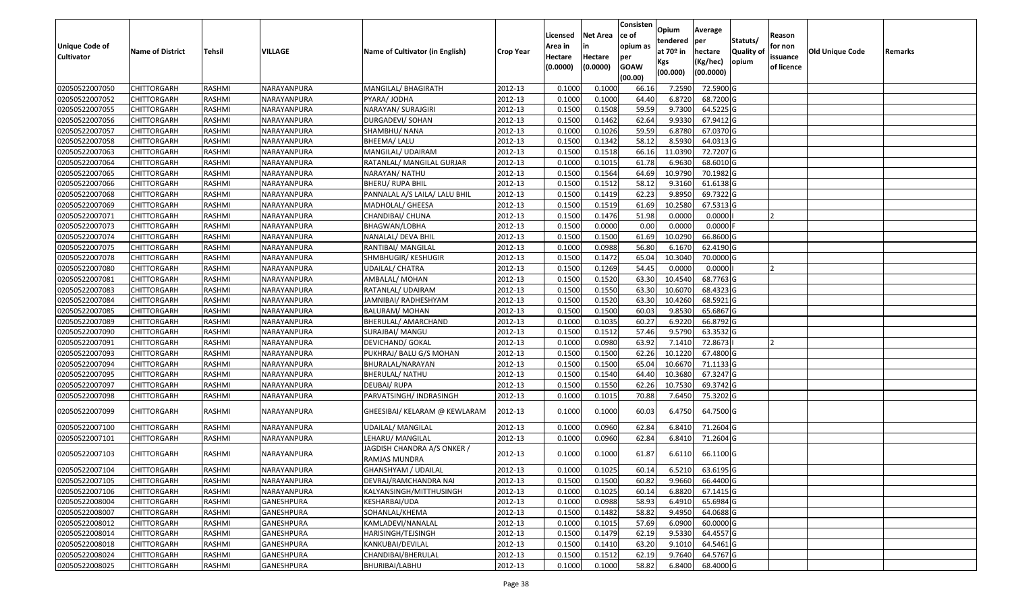| <b>Unique Code of</b><br><b>Cultivator</b> | <b>Name of District</b> | <b>Tehsil</b> | VILLAGE           | Name of Cultivator (in English)              | <b>Crop Year</b> | Licensed<br>Area in<br>Hectare<br>(0.0000) | <b>Net Area</b><br>in<br>Hectare<br>(0.0000) | Consisten<br>ce of<br>opium as<br>per<br><b>GOAW</b><br>(00.00) | Opium<br>tendered<br>at $70°$ in<br>Kgs<br>(00.000) | Average<br>per<br>hectare<br>(Kg/hec)<br>(00.0000) | Statuts/<br>Quality of<br>opium | Reason<br>for non<br>issuance<br>of licence | <b>Old Unique Code</b> | Remarks |
|--------------------------------------------|-------------------------|---------------|-------------------|----------------------------------------------|------------------|--------------------------------------------|----------------------------------------------|-----------------------------------------------------------------|-----------------------------------------------------|----------------------------------------------------|---------------------------------|---------------------------------------------|------------------------|---------|
| 02050522007050                             | <b>CHITTORGARH</b>      | RASHMI        | NARAYANPURA       | MANGILAL/ BHAGIRATH                          | 2012-13          | 0.1000                                     | 0.1000                                       | 66.16                                                           | 7.2590                                              | 72.5900 G                                          |                                 |                                             |                        |         |
| 02050522007052                             | CHITTORGARH             | RASHMI        | NARAYANPURA       | PYARA/ JODHA                                 | 2012-13          | 0.1000                                     | 0.1000                                       | 64.40                                                           | 6.8720                                              | 68.7200 G                                          |                                 |                                             |                        |         |
| 02050522007055                             | CHITTORGARH             | RASHMI        | NARAYANPURA       | NARAYAN/ SURAJGIRI                           | 2012-13          | 0.1500                                     | 0.1508                                       | 59.59                                                           | 9.7300                                              | 64.5225 G                                          |                                 |                                             |                        |         |
| 02050522007056                             | <b>CHITTORGARH</b>      | RASHMI        | NARAYANPURA       | <b>DURGADEVI/ SOHAN</b>                      | 2012-13          | 0.1500                                     | 0.1462                                       | 62.64                                                           | 9.9330                                              | 67.9412 G                                          |                                 |                                             |                        |         |
| 02050522007057                             | <b>CHITTORGARH</b>      | RASHMI        | NARAYANPURA       | SHAMBHU/ NANA                                | 2012-13          | 0.1000                                     | 0.1026                                       | 59.59                                                           | 6.8780                                              | 67.0370 G                                          |                                 |                                             |                        |         |
| 02050522007058                             | <b>CHITTORGARH</b>      | RASHMI        | NARAYANPURA       | <b>BHEEMA/ LALU</b>                          | 2012-13          | 0.1500                                     | 0.1342                                       | 58.12                                                           | 8.5930                                              | 64.0313 G                                          |                                 |                                             |                        |         |
| 02050522007063                             | <b>CHITTORGARH</b>      | RASHMI        | NARAYANPURA       | MANGILAL/UDAIRAM                             | 2012-13          | 0.1500                                     | 0.1518                                       | 66.16                                                           | 11.0390                                             | 72.7207 G                                          |                                 |                                             |                        |         |
| 02050522007064                             | <b>CHITTORGARH</b>      | RASHMI        | NARAYANPURA       | RATANLAL/ MANGILAL GURJAR                    | 2012-13          | 0.1000                                     | 0.1015                                       | 61.78                                                           | 6.9630                                              | 68.6010 G                                          |                                 |                                             |                        |         |
| 02050522007065                             | <b>CHITTORGARH</b>      | RASHMI        | NARAYANPURA       | NARAYAN/ NATHU                               | 2012-13          | 0.1500                                     | 0.1564                                       | 64.69                                                           | 10.9790                                             | 70.1982 G                                          |                                 |                                             |                        |         |
| 02050522007066                             | CHITTORGARH             | RASHMI        | NARAYANPURA       | BHERU/ RUPA BHIL                             | 2012-13          | 0.1500                                     | 0.1512                                       | 58.12                                                           | 9.3160                                              | 61.6138 G                                          |                                 |                                             |                        |         |
| 02050522007068                             | <b>CHITTORGARH</b>      | RASHMI        | NARAYANPURA       | PANNALAL A/S LAILA/ LALU BHIL                | 2012-13          | 0.1500                                     | 0.1419                                       | 62.23                                                           | 9.8950                                              | 69.7322 G                                          |                                 |                                             |                        |         |
| 02050522007069                             | CHITTORGARH             | RASHMI        | NARAYANPURA       | MADHOLAL/ GHEESA                             | 2012-13          | 0.1500                                     | 0.1519                                       | 61.69                                                           | 10.2580                                             | 67.5313 G                                          |                                 |                                             |                        |         |
| 02050522007071                             | CHITTORGARH             | RASHMI        | NARAYANPURA       | CHANDIBAI/ CHUNA                             | 2012-13          | 0.1500                                     | 0.1476                                       | 51.98                                                           | 0.0000                                              | 0.0000                                             |                                 |                                             |                        |         |
| 02050522007073                             | CHITTORGARH             | RASHMI        | NARAYANPURA       | BHAGWAN/LOBHA                                | 2012-13          | 0.1500                                     | 0.0000                                       | 0.00                                                            | 0.0000                                              | 0.0000                                             |                                 |                                             |                        |         |
| 02050522007074                             | CHITTORGARH             | RASHMI        | NARAYANPURA       | NANALAL/ DEVA BHIL                           | 2012-13          | 0.1500                                     | 0.1500                                       | 61.69                                                           | 10.0290                                             | 66.8600 G                                          |                                 |                                             |                        |         |
| 02050522007075                             | CHITTORGARH             | RASHMI        | NARAYANPURA       | RANTIBAI/ MANGILAL                           | 2012-13          | 0.1000                                     | 0.0988                                       | 56.80                                                           | 6.1670                                              | 62.4190 G                                          |                                 |                                             |                        |         |
| 02050522007078                             | CHITTORGARH             | RASHMI        | NARAYANPURA       | SHMBHUGIR/ KESHUGIR                          | 2012-13          | 0.1500                                     | 0.1472                                       | 65.04                                                           | 10.3040                                             | 70.0000 G                                          |                                 |                                             |                        |         |
| 02050522007080                             | <b>CHITTORGARH</b>      | RASHMI        | NARAYANPURA       | UDAILAL/ CHATRA                              | 2012-13          | 0.1500                                     | 0.1269                                       | 54.45                                                           | 0.0000                                              | 0.0000                                             |                                 |                                             |                        |         |
| 02050522007081                             | CHITTORGARH             | RASHMI        | NARAYANPURA       | AMBALAL/ MOHAN                               | 2012-13          | 0.1500                                     | 0.1520                                       | 63.30                                                           | 10.4540                                             | 68.7763 G                                          |                                 |                                             |                        |         |
| 02050522007083                             | CHITTORGARH             | RASHMI        | NARAYANPURA       | RATANLAL/ UDAIRAM                            | 2012-13          | 0.1500                                     | 0.1550                                       | 63.30                                                           | 10.6070                                             | 68.4323 G                                          |                                 |                                             |                        |         |
| 02050522007084                             | <b>CHITTORGARH</b>      | RASHMI        | NARAYANPURA       | JAMNIBAI/ RADHESHYAM                         | 2012-13          | 0.1500                                     | 0.1520                                       | 63.30                                                           | 10.4260                                             | 68.5921 G                                          |                                 |                                             |                        |         |
| 02050522007085                             | CHITTORGARH             | RASHMI        | NARAYANPURA       | <b>BALURAM/MOHAN</b>                         | 2012-13          | 0.1500                                     | 0.1500                                       | 60.03                                                           | 9.8530                                              | 65.6867 G                                          |                                 |                                             |                        |         |
| 02050522007089                             | CHITTORGARH             | RASHMI        | NARAYANPURA       | BHERULAL/ AMARCHAND                          | 2012-13          | 0.1000                                     | 0.1035                                       | 60.27                                                           | 6.9220                                              | 66.8792 G                                          |                                 |                                             |                        |         |
| 02050522007090                             | CHITTORGARH             | RASHMI        | NARAYANPURA       | <b>SURAJBAI/ MANGU</b>                       | 2012-13          | 0.1500                                     | 0.1512                                       | 57.46                                                           | 9.5790                                              | 63.3532 G                                          |                                 |                                             |                        |         |
| 02050522007091                             | CHITTORGARH             | RASHMI        | NARAYANPURA       | DEVICHAND/ GOKAL                             | 2012-13          | 0.1000                                     | 0.0980                                       | 63.92                                                           | 7.1410                                              | 72.8673                                            |                                 |                                             |                        |         |
| 02050522007093                             | CHITTORGARH             | RASHMI        | NARAYANPURA       | PUKHRAJ/ BALU G/S MOHAN                      | 2012-13          | 0.1500                                     | 0.1500                                       | 62.26                                                           | 10.1220                                             | 67.4800 G                                          |                                 |                                             |                        |         |
| 02050522007094                             | CHITTORGARH             | RASHMI        | NARAYANPURA       | BHURALAL/NARAYAN                             | 2012-13          | 0.1500                                     | 0.1500                                       | 65.04                                                           | 10.6670                                             | 71.1133 G                                          |                                 |                                             |                        |         |
| 02050522007095                             | CHITTORGARH             | RASHMI        | NARAYANPURA       | BHERULAL/ NATHU                              | 2012-13          | 0.1500                                     | 0.1540                                       | 64.40                                                           | 10.3680                                             | 67.3247 G                                          |                                 |                                             |                        |         |
| 02050522007097                             | <b>CHITTORGARH</b>      | RASHMI        | NARAYANPURA       | <b>DEUBAI/RUPA</b>                           | 2012-13          | 0.1500                                     | 0.1550                                       | 62.26                                                           | 10.7530                                             | 69.3742 G                                          |                                 |                                             |                        |         |
| 02050522007098                             | <b>CHITTORGARH</b>      | RASHMI        | NARAYANPURA       | PARVATSINGH/ INDRASINGH                      | 2012-13          | 0.1000                                     | 0.1015                                       | 70.88                                                           | 7.6450                                              | 75.3202 G                                          |                                 |                                             |                        |         |
| 02050522007099                             | CHITTORGARH             | RASHMI        | NARAYANPURA       | GHEESIBAI/ KELARAM @ KEWLARAM                | 2012-13          | 0.1000                                     | 0.1000                                       | 60.03                                                           | 6.4750                                              | 64.7500 G                                          |                                 |                                             |                        |         |
| 02050522007100                             | CHITTORGARH             | RASHMI        | NARAYANPURA       | <b>UDAILAL/ MANGILAL</b>                     | 2012-13          | 0.1000                                     | 0.0960                                       | 62.84                                                           | 6.8410                                              | 71.2604 G                                          |                                 |                                             |                        |         |
| 02050522007101                             | CHITTORGARH             | RASHMI        | NARAYANPURA       | LEHARU/ MANGILAL                             | 2012-13          | 0.1000                                     | 0.0960                                       | 62.84                                                           | 6.8410                                              | $71.2604$ G                                        |                                 |                                             |                        |         |
| 02050522007103                             | CHITTORGARH             | RASHMI        | NARAYANPURA       | JAGDISH CHANDRA A/S ONKER /<br>RAMJAS MUNDRA | 2012-13          | 0.1000                                     | 0.1000                                       | 61.87                                                           | 6.6110                                              | 66.1100 G                                          |                                 |                                             |                        |         |
| 02050522007104                             | <b>CHITTORGARH</b>      | RASHMI        | NARAYANPURA       | GHANSHYAM / UDAILAL                          | 2012-13          | 0.1000                                     | 0.1025                                       | 60.14                                                           |                                                     | 6.5210 63.6195 G                                   |                                 |                                             |                        |         |
| 02050522007105                             | <b>CHITTORGARH</b>      | RASHMI        | NARAYANPURA       | DEVRAJ/RAMCHANDRA NAI                        | 2012-13          | 0.1500                                     | 0.1500                                       | 60.82                                                           | 9.9660                                              | 66.4400 G                                          |                                 |                                             |                        |         |
| 02050522007106                             | <b>CHITTORGARH</b>      | RASHMI        | NARAYANPURA       | KALYANSINGH/MITTHUSINGH                      | 2012-13          | 0.1000                                     | 0.1025                                       | 60.14                                                           | 6.8820                                              | 67.1415 G                                          |                                 |                                             |                        |         |
| 02050522008004                             | <b>CHITTORGARH</b>      | RASHMI        | <b>GANESHPURA</b> | KESHARBAI/UDA                                | 2012-13          | 0.1000                                     | 0.0988                                       | 58.93                                                           | 6.4910                                              | 65.6984 G                                          |                                 |                                             |                        |         |
| 02050522008007                             | <b>CHITTORGARH</b>      | RASHMI        | <b>GANESHPURA</b> | SOHANLAL/KHEMA                               | 2012-13          | 0.1500                                     | 0.1482                                       | 58.82                                                           | 9.4950                                              | 64.0688 G                                          |                                 |                                             |                        |         |
| 02050522008012                             | <b>CHITTORGARH</b>      | RASHMI        | GANESHPURA        | KAMLADEVI/NANALAL                            | 2012-13          | 0.1000                                     | 0.1015                                       | 57.69                                                           | 6.0900                                              | 60.0000 G                                          |                                 |                                             |                        |         |
| 02050522008014                             | <b>CHITTORGARH</b>      | RASHMI        | GANESHPURA        | HARISINGH/TEJSINGH                           | 2012-13          | 0.1500                                     | 0.1479                                       | 62.19                                                           | 9.5330                                              | 64.4557 G                                          |                                 |                                             |                        |         |
| 02050522008018                             | <b>CHITTORGARH</b>      | RASHMI        | GANESHPURA        | KANKUBAI/DEVILAL                             | 2012-13          | 0.1500                                     | 0.1410                                       | 63.20                                                           | 9.1010                                              | 64.5461 G                                          |                                 |                                             |                        |         |
| 02050522008024                             | CHITTORGARH             | RASHMI        | GANESHPURA        | CHANDIBAI/BHERULAL                           | 2012-13          | 0.1500                                     | 0.1512                                       | 62.19                                                           | 9.7640                                              | 64.5767 G                                          |                                 |                                             |                        |         |
| 02050522008025                             | <b>CHITTORGARH</b>      | RASHMI        | GANESHPURA        | BHURIBAI/LABHU                               | 2012-13          | 0.1000                                     | 0.1000                                       | 58.82                                                           | 6.8400                                              | 68.4000 G                                          |                                 |                                             |                        |         |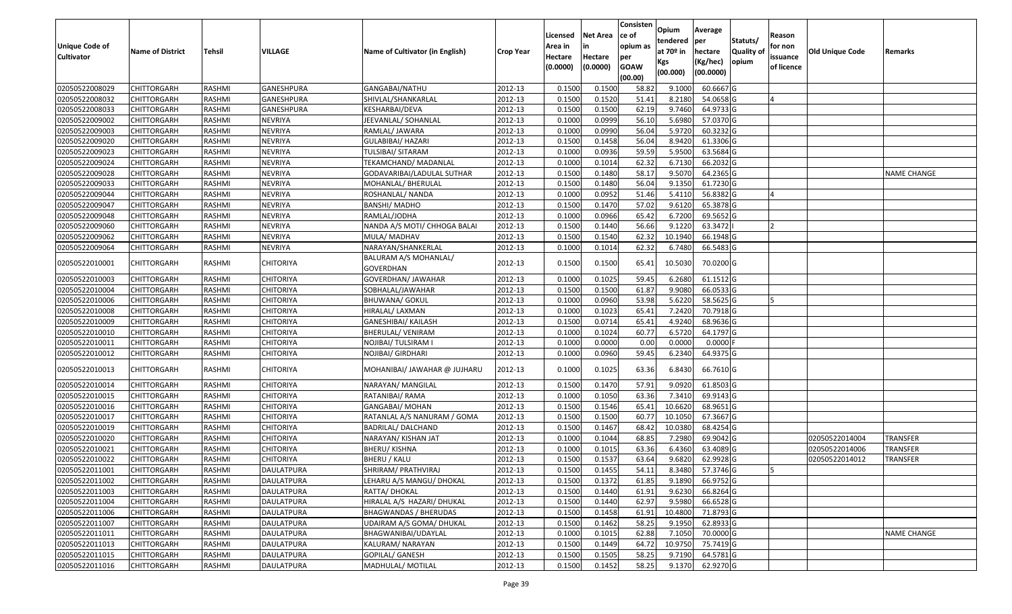| <b>Unique Code of</b><br><b>Cultivator</b> | <b>Name of District</b> | <b>Tehsil</b> | VILLAGE           | Name of Cultivator (in English)    | <b>Crop Year</b> | Licensed<br>Area in<br>Hectare<br>(0.0000) | <b>Net Area</b><br>in<br>Hectare<br>(0.0000) | Consisten<br>ce of<br>opium as<br>per<br><b>GOAW</b><br>(00.00) | Opium<br>tendered<br>at $70°$ in<br>Kgs<br>(00.000) | Average<br>per<br>hectare<br>(Kg/hec)<br>(00.0000) | Statuts/<br>Quality of<br>opium | Reason<br>for non<br>issuance<br>of licence | <b>Old Unique Code</b> | Remarks            |
|--------------------------------------------|-------------------------|---------------|-------------------|------------------------------------|------------------|--------------------------------------------|----------------------------------------------|-----------------------------------------------------------------|-----------------------------------------------------|----------------------------------------------------|---------------------------------|---------------------------------------------|------------------------|--------------------|
| 02050522008029                             | <b>CHITTORGARH</b>      | RASHMI        | <b>GANESHPURA</b> | GANGABAI/NATHU                     | 2012-13          | 0.1500                                     | 0.1500                                       | 58.82                                                           | 9.1000                                              | 60.6667 G                                          |                                 |                                             |                        |                    |
| 02050522008032                             | CHITTORGARH             | RASHMI        | GANESHPURA        | SHIVLAL/SHANKARLAL                 | 2012-13          | 0.1500                                     | 0.1520                                       | 51.41                                                           | 8.2180                                              | 54.0658 G                                          |                                 |                                             |                        |                    |
| 02050522008033                             | CHITTORGARH             | RASHMI        | GANESHPURA        | KESHARBAI/DEVA                     | 2012-13          | 0.1500                                     | 0.1500                                       | 62.19                                                           | 9.7460                                              | 64.9733 G                                          |                                 |                                             |                        |                    |
| 02050522009002                             | <b>CHITTORGARH</b>      | RASHMI        | <b>NEVRIYA</b>    | JEEVANLAL/ SOHANLAL                | 2012-13          | 0.1000                                     | 0.0999                                       | 56.10                                                           | 5.6980                                              | 57.0370 G                                          |                                 |                                             |                        |                    |
| 02050522009003                             | <b>CHITTORGARH</b>      | RASHMI        | <b>NEVRIYA</b>    | RAMLAL/ JAWARA                     | 2012-13          | 0.1000                                     | 0.0990                                       | 56.04                                                           | 5.9720                                              | 60.3232 G                                          |                                 |                                             |                        |                    |
| 02050522009020                             | CHITTORGARH             | RASHMI        | <b>NEVRIYA</b>    | GULABIBAI/ HAZARI                  | 2012-13          | 0.1500                                     | 0.1458                                       | 56.04                                                           | 8.9420                                              | 61.3306 G                                          |                                 |                                             |                        |                    |
| 02050522009023                             | <b>CHITTORGARH</b>      | RASHMI        | <b>NEVRIYA</b>    | TULSIBAI/ SITARAM                  | 2012-13          | 0.1000                                     | 0.0936                                       | 59.59                                                           | 5.9500                                              | 63.5684 G                                          |                                 |                                             |                        |                    |
| 02050522009024                             | <b>CHITTORGARH</b>      | RASHMI        | <b>NEVRIYA</b>    | TEKAMCHAND/ MADANLAL               | 2012-13          | 0.1000                                     | 0.1014                                       | 62.32                                                           | 6.7130                                              | 66.2032 G                                          |                                 |                                             |                        |                    |
| 02050522009028                             | CHITTORGARH             | RASHMI        | <b>NEVRIYA</b>    | GODAVARIBAI/LADULAL SUTHAR         | 2012-13          | 0.1500                                     | 0.1480                                       | 58.17                                                           | 9.5070                                              | 64.2365 G                                          |                                 |                                             |                        | <b>NAME CHANGE</b> |
| 02050522009033                             | CHITTORGARH             | RASHMI        | <b>NEVRIYA</b>    | MOHANLAL/ BHERULAL                 | 2012-13          | 0.1500                                     | 0.1480                                       | 56.04                                                           | 9.1350                                              | 61.7230 G                                          |                                 |                                             |                        |                    |
| 02050522009044                             | <b>CHITTORGARH</b>      | RASHMI        | <b>NEVRIYA</b>    | ROSHANLAL/ NANDA                   | 2012-13          | 0.1000                                     | 0.0952                                       | 51.46                                                           | 5.4110                                              | 56.8382 G                                          |                                 |                                             |                        |                    |
| 02050522009047                             | CHITTORGARH             | RASHMI        | <b>NEVRIYA</b>    | <b>BANSHI/ MADHO</b>               | 2012-13          | 0.1500                                     | 0.1470                                       | 57.02                                                           | 9.6120                                              | 65.3878 G                                          |                                 |                                             |                        |                    |
| 02050522009048                             | CHITTORGARH             | RASHMI        | <b>NEVRIYA</b>    | RAMLAL/JODHA                       | 2012-13          | 0.1000                                     | 0.0966                                       | 65.42                                                           | 6.7200                                              | 69.5652 G                                          |                                 |                                             |                        |                    |
| 02050522009060                             | CHITTORGARH             | RASHMI        | NEVRIYA           | NANDA A/S MOTI/ CHHOGA BALAI       | 2012-13          | 0.150                                      | 0.1440                                       | 56.66                                                           | 9.1220                                              | 63.3472                                            |                                 |                                             |                        |                    |
| 02050522009062                             | CHITTORGARH             | RASHMI        | <b>NEVRIYA</b>    | MULA/ MADHAV                       | 2012-13          | 0.1500                                     | 0.1540                                       | 62.32                                                           | 10.1940                                             | 66.1948 G                                          |                                 |                                             |                        |                    |
| 02050522009064                             | CHITTORGARH             | RASHMI        | <b>NEVRIYA</b>    | NARAYAN/SHANKERLAL                 | 2012-13          | 0.1000                                     | 0.1014                                       | 62.32                                                           | 6.7480                                              | 66.5483 G                                          |                                 |                                             |                        |                    |
| 02050522010001                             | <b>CHITTORGARH</b>      | RASHMI        | <b>CHITORIYA</b>  | BALURAM A/S MOHANLAL/<br>GOVERDHAN | 2012-13          | 0.1500                                     | 0.1500                                       | 65.41                                                           | 10.5030                                             | 70.0200 G                                          |                                 |                                             |                        |                    |
| 02050522010003                             | <b>CHITTORGARH</b>      | RASHMI        | <b>CHITORIYA</b>  | GOVERDHAN/ JAWAHAR                 | 2012-13          | 0.1000                                     | 0.1025                                       | 59.45                                                           | 6.2680                                              | 61.1512 G                                          |                                 |                                             |                        |                    |
| 02050522010004                             | CHITTORGARH             | RASHMI        | CHITORIYA         | SOBHALAL/JAWAHAR                   | 2012-13          | 0.1500                                     | 0.1500                                       | 61.87                                                           | 9.9080                                              | 66.0533 G                                          |                                 |                                             |                        |                    |
| 02050522010006                             | <b>CHITTORGARH</b>      | RASHMI        | <b>CHITORIYA</b>  | <b>BHUWANA/ GOKUL</b>              | 2012-13          | 0.1000                                     | 0.0960                                       | 53.98                                                           | 5.6220                                              | 58.5625 G                                          |                                 |                                             |                        |                    |
| 02050522010008                             | CHITTORGARH             | RASHMI        | <b>CHITORIYA</b>  | HIRALAL/ LAXMAN                    | 2012-13          | 0.1000                                     | 0.1023                                       | 65.41                                                           | 7.2420                                              | 70.7918 G                                          |                                 |                                             |                        |                    |
| 02050522010009                             | CHITTORGARH             | RASHMI        | <b>CHITORIYA</b>  | GANESHIBAI/ KAILASH                | 2012-13          | 0.1500                                     | 0.0714                                       | 65.41                                                           | 4.9240                                              | 68.9636 G                                          |                                 |                                             |                        |                    |
| 02050522010010                             | CHITTORGARH             | RASHMI        | <b>CHITORIYA</b>  | BHERULAL/ VENIRAM                  | 2012-13          | 0.1000                                     | 0.1024                                       | 60.77                                                           | 6.5720                                              | 64.1797 G                                          |                                 |                                             |                        |                    |
| 02050522010011                             | CHITTORGARH             | RASHMI        | <b>CHITORIYA</b>  | NOJIBAI/ TULSIRAM I                | 2012-13          | 0.1000                                     | 0.0000                                       | 0.00                                                            | 0.0000                                              | 0.0000F                                            |                                 |                                             |                        |                    |
| 02050522010012                             | CHITTORGARH             | RASHMI        | <b>CHITORIYA</b>  | NOJIBAI/ GIRDHARI                  | 2012-13          | 0.1000                                     | 0.0960                                       | 59.45                                                           | 6.2340                                              | 64.9375 G                                          |                                 |                                             |                        |                    |
| 02050522010013                             | CHITTORGARH             | RASHMI        | <b>CHITORIYA</b>  | MOHANIBAI/ JAWAHAR @ JUJHARU       | 2012-13          | 0.1000                                     | 0.1025                                       | 63.36                                                           | 6.8430                                              | 66.7610 G                                          |                                 |                                             |                        |                    |
| 02050522010014                             | <b>CHITTORGARH</b>      | RASHMI        | <b>CHITORIYA</b>  | NARAYAN/ MANGILAL                  | 2012-13          | 0.1500                                     | 0.1470                                       | 57.91                                                           | 9.0920                                              | 61.8503 G                                          |                                 |                                             |                        |                    |
| 02050522010015                             | <b>CHITTORGARH</b>      | RASHMI        | <b>CHITORIYA</b>  | RATANIBAI/ RAMA                    | 2012-13          | 0.1000                                     | 0.1050                                       | 63.36                                                           | 7.3410                                              | 69.9143 G                                          |                                 |                                             |                        |                    |
| 02050522010016                             | CHITTORGARH             | RASHMI        | <b>CHITORIYA</b>  | GANGABAI/ MOHAN                    | 2012-13          | 0.1500                                     | 0.1546                                       | 65.41                                                           | 10.6620                                             | 68.9651 G                                          |                                 |                                             |                        |                    |
| 02050522010017                             | <b>CHITTORGARH</b>      | RASHMI        | <b>CHITORIYA</b>  | RATANLAL A/S NANURAM / GOMA        | 2012-13          | 0.1500                                     | 0.1500                                       | 60.7                                                            | 10.1050                                             | 67.3667G                                           |                                 |                                             |                        |                    |
| 02050522010019                             | CHITTORGARH             | RASHMI        | <b>CHITORIYA</b>  | BADRILAL/ DALCHAND                 | 2012-13          | 0.1500                                     | 0.1467                                       | 68.42                                                           | 10.0380                                             | 68.4254 G                                          |                                 |                                             |                        |                    |
| 02050522010020                             | CHITTORGARH             | RASHMI        | <b>CHITORIYA</b>  | NARAYAN/ KISHAN JAT                | 2012-13          | 0.1000                                     | 0.1044                                       | 68.85                                                           | 7.2980                                              | 69.9042 G                                          |                                 |                                             | 02050522014004         | <b>TRANSFER</b>    |
| 02050522010021                             | CHITTORGARH             | RASHMI        | <b>CHITORIYA</b>  | BHERU/KISHNA                       | 2012-13          | 0.1000                                     | 0.1015                                       | 63.36                                                           | 6.4360                                              | 63.4089 G                                          |                                 |                                             | 02050522014006         | <b>TRANSFER</b>    |
| 02050522010022                             | CHITTORGARH             | RASHMI        | <b>CHITORIYA</b>  | BHERU / KALU                       | 2012-13          | 0.1500                                     | 0.1537                                       | 63.64                                                           | 9.6820                                              | 62.9928 G                                          |                                 |                                             | 02050522014012         | <b>TRANSFER</b>    |
| 02050522011001                             | <b>CHITTORGARH</b>      | RASHMI        | DAULATPURA        | SHRIRAM/ PRATHVIRAJ                | 2012-13          | 0.1500                                     | 0.1455                                       | 54.11                                                           | 8.3480                                              | 57.3746 G                                          |                                 | 15                                          |                        |                    |
| 02050522011002                             | <b>CHITTORGARH</b>      | RASHMI        | <b>DAULATPURA</b> | LEHARU A/S MANGU/ DHOKAL           | 2012-13          | 0.1500                                     | 0.1372                                       | 61.85                                                           | 9.1890                                              | $66.9752$ G                                        |                                 |                                             |                        |                    |
| 02050522011003                             | <b>CHITTORGARH</b>      | RASHMI        | DAULATPURA        | RATTA/ DHOKAL                      | 2012-13          | 0.1500                                     | 0.1440                                       | 61.91                                                           | 9.6230                                              | 66.8264 G                                          |                                 |                                             |                        |                    |
| 02050522011004                             | <b>CHITTORGARH</b>      | RASHMI        | <b>DAULATPURA</b> | HIRALAL A/S HAZARI/ DHUKAL         | 2012-13          | 0.1500                                     | 0.1440                                       | 62.97                                                           | 9.5980                                              | 66.6528 G                                          |                                 |                                             |                        |                    |
| 02050522011006                             | <b>CHITTORGARH</b>      | RASHMI        | DAULATPURA        | <b>BHAGWANDAS / BHERUDAS</b>       | 2012-13          | 0.1500                                     | 0.1458                                       | 61.91                                                           | 10.4800                                             | 71.8793 G                                          |                                 |                                             |                        |                    |
| 02050522011007                             | <b>CHITTORGARH</b>      | RASHMI        | <b>DAULATPURA</b> | UDAIRAM A/S GOMA/ DHUKAL           | 2012-13          | 0.1500                                     | 0.1462                                       | 58.25                                                           | 9.1950                                              | 62.8933 G                                          |                                 |                                             |                        |                    |
| 02050522011011                             | <b>CHITTORGARH</b>      | RASHMI        | <b>DAULATPURA</b> | BHAGWANIBAI/UDAYLAL                | 2012-13          | 0.1000                                     | 0.1015                                       | 62.88                                                           | 7.1050                                              | 70.0000 G                                          |                                 |                                             |                        | <b>NAME CHANGE</b> |
| 02050522011013                             | <b>CHITTORGARH</b>      | RASHMI        | DAULATPURA        | KALURAM/ NARAYAN                   | 2012-13          | 0.1500                                     | 0.1449                                       | 64.72                                                           | 10.9750                                             | 75.7419 G                                          |                                 |                                             |                        |                    |
| 02050522011015                             | CHITTORGARH             | RASHMI        | DAULATPURA        | GOPILAL/ GANESH                    | 2012-13          | 0.1500                                     | 0.1505                                       | 58.25                                                           | 9.7190                                              | 64.5781 G                                          |                                 |                                             |                        |                    |
| 02050522011016                             | <b>CHITTORGARH</b>      | RASHMI        | DAULATPURA        | MADHULAL/ MOTILAL                  | 2012-13          | 0.1500                                     | 0.1452                                       | 58.25                                                           | 9.1370                                              | 62.9270 G                                          |                                 |                                             |                        |                    |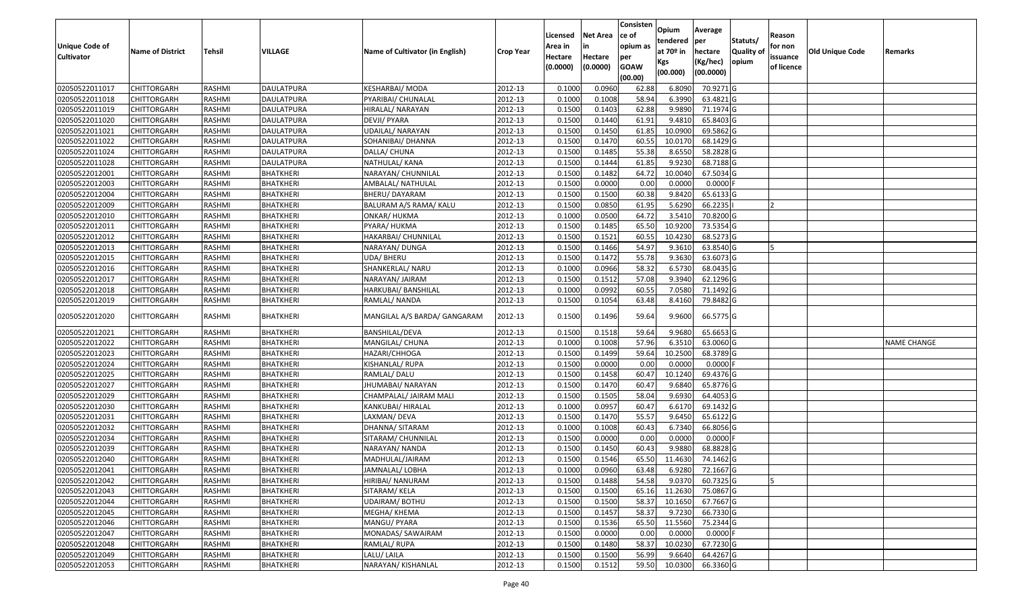|                       |                         |               |                   |                                 |                  |          |                 | Consisten   | Opium       | Average                |                  |            |                 |                    |
|-----------------------|-------------------------|---------------|-------------------|---------------------------------|------------------|----------|-----------------|-------------|-------------|------------------------|------------------|------------|-----------------|--------------------|
|                       |                         |               |                   |                                 |                  | Licensed | <b>Net Area</b> | ce of       | tendered    | per                    | Statuts/         | Reason     |                 |                    |
| <b>Unique Code of</b> | <b>Name of District</b> | <b>Tehsil</b> | VILLAGE           | Name of Cultivator (in English) | <b>Crop Year</b> | Area in  | in              | opium as    | at $70°$ in | hectare                | <b>Quality o</b> | for non    | Old Unique Code | Remarks            |
| <b>Cultivator</b>     |                         |               |                   |                                 |                  | Hectare  | Hectare         | per         | Kgs         | (Kg/hec)               | opium            | issuance   |                 |                    |
|                       |                         |               |                   |                                 |                  | (0.0000) | (0.0000)        | <b>GOAW</b> | (00.000)    | (00.0000)              |                  | of licence |                 |                    |
|                       |                         |               |                   |                                 |                  |          |                 | (00.00)     |             |                        |                  |            |                 |                    |
| 02050522011017        | CHITTORGARH             | RASHMI        | DAULATPURA        | KESHARBAI/ MODA                 | 2012-13          | 0.1000   | 0.0960          | 62.88       | 6.8090      | 70.9271 G              |                  |            |                 |                    |
| 02050522011018        | CHITTORGARH             | RASHMI        | <b>DAULATPURA</b> | PYARIBAI/ CHUNALAL              | 2012-13          | 0.1000   | 0.1008          | 58.94       | 6.3990      | 63.4821 G              |                  |            |                 |                    |
| 02050522011019        | CHITTORGARH             | RASHMI        | DAULATPURA        | HIRALAL/ NARAYAN                | 2012-13          | 0.1500   | 0.1403          | 62.88       | 9.9890      | 71.1974 G              |                  |            |                 |                    |
| 02050522011020        | <b>CHITTORGARH</b>      | RASHMI        | DAULATPURA        | DEVJI/ PYARA                    | 2012-13          | 0.1500   | 0.1440          | 61.91       | 9.4810      | 65.8403 G              |                  |            |                 |                    |
| 02050522011021        | CHITTORGARH             | RASHMI        | <b>DAULATPURA</b> | UDAILAL/ NARAYAN                | 2012-13          | 0.1500   | 0.1450          | 61.85       | 10.0900     | 69.5862 G              |                  |            |                 |                    |
| 02050522011022        | <b>CHITTORGARH</b>      | RASHMI        | DAULATPURA        | SOHANIBAI/ DHANNA               | 2012-13          | 0.1500   | 0.1470          | 60.55       | 10.0170     | 68.1429 G              |                  |            |                 |                    |
| 02050522011024        | CHITTORGARH             | RASHMI        | DAULATPURA        | DALLA/ CHUNA                    | 2012-13          | 0.1500   | 0.1485          | 55.38       | 8.6550      | 58.2828 G              |                  |            |                 |                    |
| 02050522011028        | <b>CHITTORGARH</b>      | <b>RASHMI</b> | <b>DAULATPURA</b> | NATHULAL/ KANA                  | 2012-13          | 0.1500   | 0.1444          | 61.85       | 9.9230      | 68.7188 G              |                  |            |                 |                    |
| 02050522012001        | CHITTORGARH             | RASHMI        | <b>BHATKHERI</b>  | NARAYAN/ CHUNNILAL              | 2012-13          | 0.1500   | 0.1482          | 64.72       | 10.0040     | 67.5034 G              |                  |            |                 |                    |
| 02050522012003        | CHITTORGARH             | RASHMI        | <b>BHATKHERI</b>  | AMBALAL/ NATHULAL               | 2012-13          | 0.1500   | 0.0000          | 0.00        | 0.0000      | $0.0000$ F             |                  |            |                 |                    |
| 02050522012004        | CHITTORGARH             | RASHMI        | BHATKHERI         | BHERU/ DAYARAM                  | 2012-13          | 0.1500   | 0.1500          | 60.38       | 9.8420      | 65.6133 G              |                  |            |                 |                    |
| 02050522012009        | <b>CHITTORGARH</b>      | RASHMI        | <b>BHATKHERI</b>  | BALURAM A/S RAMA/ KALU          | 2012-13          | 0.1500   | 0.0850          | 61.95       | 5.6290      | 66.2235                |                  | 12         |                 |                    |
| 02050522012010        | <b>CHITTORGARH</b>      | RASHMI        | <b>BHATKHERI</b>  | <b>ONKAR/ HUKMA</b>             | 2012-13          | 0.1000   | 0.0500          | 64.72       | 3.5410      | 70.8200 G              |                  |            |                 |                    |
| 02050522012011        | <b>CHITTORGARH</b>      | RASHMI        | BHATKHERI         | PYARA/ HUKMA                    | 2012-13          | 0.1500   | 0.1485          | 65.50       | 10.9200     | 73.5354 G              |                  |            |                 |                    |
| 02050522012012        | <b>CHITTORGARH</b>      | RASHMI        | BHATKHERI         | HAKARBAI/ CHUNNILAL             | 2012-13          | 0.1500   | 0.1521          | 60.55       | 10.4230     | 68.5273 G              |                  |            |                 |                    |
| 02050522012013        | <b>CHITTORGARH</b>      | RASHMI        | <b>BHATKHERI</b>  | NARAYAN/ DUNGA                  | 2012-13          | 0.1500   | 0.1466          | 54.97       | 9.3610      | 63.8540 G              |                  |            |                 |                    |
| 02050522012015        | CHITTORGARH             | RASHMI        | <b>BHATKHERI</b>  | UDA/BHERU                       | 2012-13          | 0.1500   | 0.1472          | 55.78       | 9.3630      | 63.6073 G              |                  |            |                 |                    |
| 02050522012016        | CHITTORGARH             | RASHMI        | <b>BHATKHERI</b>  | SHANKERLAL/ NARU                | 2012-13          | 0.1000   | 0.0966          | 58.32       | 6.5730      | 68.0435 G              |                  |            |                 |                    |
| 02050522012017        | CHITTORGARH             | RASHMI        | <b>BHATKHERI</b>  | NARAYAN/ JAIRAM                 | 2012-13          | 0.1500   | 0.1512          | 57.08       | 9.3940      | 62.1296 G              |                  |            |                 |                    |
| 02050522012018        | CHITTORGARH             | RASHMI        | <b>BHATKHERI</b>  | HARKUBAI/ BANSHILAL             | 2012-13          | 0.1000   | 0.0992          | 60.55       | 7.0580      | 71.1492 G              |                  |            |                 |                    |
| 02050522012019        | CHITTORGARH             | RASHMI        | BHATKHERI         | RAMLAL/ NANDA                   | 2012-13          | 0.1500   | 0.1054          | 63.48       | 8.4160      | 79.8482 G              |                  |            |                 |                    |
| 02050522012020        | CHITTORGARH             | RASHMI        | BHATKHERI         | MANGILAL A/S BARDA/ GANGARAM    | 2012-13          | 0.1500   | 0.1496          | 59.64       | 9.9600      | 66.5775 G              |                  |            |                 |                    |
| 02050522012021        | CHITTORGARH             | RASHMI        | <b>BHATKHERI</b>  | BANSHILAL/DEVA                  | 2012-13          | 0.1500   | 0.1518          | 59.64       | 9.9680      | 65.6653 G              |                  |            |                 |                    |
| 02050522012022        | <b>CHITTORGARH</b>      | RASHMI        | <b>BHATKHERI</b>  | MANGILAL/ CHUNA                 | 2012-13          | 0.1000   | 0.1008          | 57.96       | 6.3510      | 63.0060 G              |                  |            |                 | <b>NAME CHANGE</b> |
| 02050522012023        | CHITTORGARH             | RASHMI        | BHATKHERI         | HAZARI/CHHOGA                   | 2012-13          | 0.1500   | 0.1499          | 59.64       | 10.2500     | 68.3789 G              |                  |            |                 |                    |
| 02050522012024        | CHITTORGARH             | RASHMI        | <b>BHATKHERI</b>  | KISHANLAL/ RUPA                 | 2012-13          | 0.1500   | 0.0000          | 0.00        | 0.0000      | $0.0000$ F             |                  |            |                 |                    |
| 02050522012025        | <b>CHITTORGARH</b>      | RASHMI        | BHATKHERI         | RAMLAL/DALU                     | 2012-13          | 0.1500   | 0.1458          | 60.47       | 10.1240     | 69.4376 G              |                  |            |                 |                    |
| 02050522012027        | CHITTORGARH             | <b>RASHMI</b> | <b>BHATKHERI</b>  | JHUMABAI/NARAYAN                | 2012-13          | 0.1500   | 0.1470          | 60.47       | 9.6840      | 65.8776 G              |                  |            |                 |                    |
| 02050522012029        | CHITTORGARH             | RASHMI        | <b>BHATKHERI</b>  | CHAMPALAL/ JAIRAM MALI          | 2012-13          | 0.1500   | 0.1505          | 58.04       | 9.6930      | 64.4053 G              |                  |            |                 |                    |
| 02050522012030        | CHITTORGARH             | RASHMI        | <b>BHATKHERI</b>  | KANKUBAI/ HIRALAL               | 2012-13          | 0.1000   | 0.0957          | 60.47       | 6.6170      | 69.1432 G              |                  |            |                 |                    |
| 02050522012031        | CHITTORGARH             | RASHMI        | BHATKHERI         | LAXMAN/ DEVA                    | 2012-13          | 0.1500   | 0.1470          | 55.57       | 9.6450      | 65.6122G               |                  |            |                 |                    |
| 02050522012032        | CHITTORGARH             | RASHMI        | <b>BHATKHERI</b>  | DHANNA/ SITARAM                 | 2012-13          | 0.1000   | 0.1008          | 60.43       | 6.7340      | 66.8056 G              |                  |            |                 |                    |
| 02050522012034        | <b>CHITTORGARH</b>      | RASHMI        | <b>BHATKHERI</b>  | SITARAM/ CHUNNILAL              | 2012-13          | 0.1500   | 0.0000          | 0.00        | 0.0000      | $0.0000$ F             |                  |            |                 |                    |
| 02050522012039        | CHITTORGARH             | RASHMI        | BHATKHERI         | NARAYAN/ NANDA                  | 2012-13          | 0.150    | 0.1450          | 60.43       | 9.9880      | 68.8828 G              |                  |            |                 |                    |
| 02050522012040        | <b>CHITTORGARH</b>      | RASHMI        | <b>BHATKHERI</b>  | MADHULAL/JAIRAM                 | 2012-13          | 0.1500   | 0.1546          | 65.50       | 11.4630     | 74.1462 G              |                  |            |                 |                    |
| 02050522012041        | <b>CHITTORGARH</b>      | RASHMI        | <b>BHATKHERI</b>  | JAMNALAL/ LOBHA                 | 2012-13          | 0.1000   | 0.0960          | 63.48       |             | 6.9280 72.1667 G       |                  |            |                 |                    |
| 02050522012042        | <b>CHITTORGARH</b>      | RASHMI        | <b>BHATKHERI</b>  | HIRIBAI/ NANURAM                | 2012-13          | 0.1500   | 0.1488          | 54.58       | 9.0370      | 60.7325 G              |                  |            |                 |                    |
| 02050522012043        | <b>CHITTORGARH</b>      | RASHMI        | <b>BHATKHERI</b>  | SITARAM/KELA                    | 2012-13          | 0.1500   | 0.1500          | 65.16       | 11.2630     | 75.0867 G              |                  |            |                 |                    |
| 02050522012044        | <b>CHITTORGARH</b>      | RASHMI        | <b>BHATKHERI</b>  | UDAIRAM/ BOTHU                  | 2012-13          | 0.1500   | 0.1500          | 58.37       | 10.1650     | 67.7667 G              |                  |            |                 |                    |
| 02050522012045        | <b>CHITTORGARH</b>      | RASHMI        | <b>BHATKHERI</b>  | MEGHA/ КНЕМА                    | 2012-13          | 0.1500   | 0.1457          | 58.37       | 9.7230      | 66.7330 G              |                  |            |                 |                    |
| 02050522012046        | <b>CHITTORGARH</b>      | RASHMI        | <b>BHATKHERI</b>  | MANGU/ PYARA                    | 2012-13          | 0.1500   | 0.1536          | 65.50       | 11.5560     | 75.2344 G              |                  |            |                 |                    |
| 02050522012047        | <b>CHITTORGARH</b>      | RASHMI        | <b>BHATKHERI</b>  | MONADAS/ SAWAIRAM               | 2012-13          | 0.1500   | 0.0000          | 0.00        | 0.0000      | $0.0000$ F             |                  |            |                 |                    |
| 02050522012048        | <b>CHITTORGARH</b>      | RASHMI        | <b>BHATKHERI</b>  | RAMLAL/RUPA                     | 2012-13          | 0.1500   | 0.1480          | 58.37       | 10.0230     | $\overline{67.7230}$ G |                  |            |                 |                    |
| 02050522012049        | <b>CHITTORGARH</b>      | RASHMI        | <b>BHATKHERI</b>  | LALU/ LAILA                     | 2012-13          | 0.1500   | 0.1500          | 56.99       | 9.6640      | 64.4267 G              |                  |            |                 |                    |
| 02050522012053        | <b>CHITTORGARH</b>      | RASHMI        | <b>BHATKHERI</b>  | NARAYAN/ KISHANLAL              | 2012-13          | 0.1500   | 0.1512          | 59.50       | 10.0300     | 66.3360 G              |                  |            |                 |                    |
|                       |                         |               |                   |                                 |                  |          |                 |             |             |                        |                  |            |                 |                    |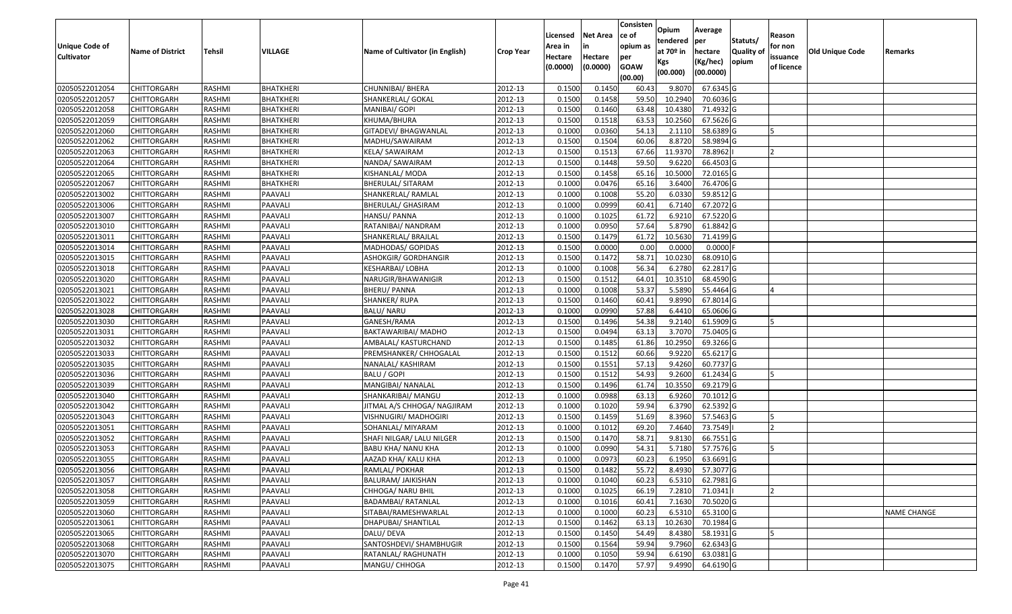|                       |                         |               |                  |                                 |                  |          |                 | Consisten   | Opium       | Average          |                  |            |                 |                    |
|-----------------------|-------------------------|---------------|------------------|---------------------------------|------------------|----------|-----------------|-------------|-------------|------------------|------------------|------------|-----------------|--------------------|
|                       |                         |               |                  |                                 |                  | Licensed | <b>Net Area</b> | ce of       | tendered    | per              | Statuts/         | Reason     |                 |                    |
| <b>Unique Code of</b> | <b>Name of District</b> | <b>Tehsil</b> | VILLAGE          | Name of Cultivator (in English) | <b>Crop Year</b> | Area in  | in              | opium as    | at $70°$ in | hectare          | <b>Quality o</b> | for non    | Old Unique Code | Remarks            |
| <b>Cultivator</b>     |                         |               |                  |                                 |                  | Hectare  | Hectare         | per         | Kgs         | (Kg/hec)         | opium            | issuance   |                 |                    |
|                       |                         |               |                  |                                 |                  | (0.0000) | (0.0000)        | <b>GOAW</b> | (00.000)    | (00.0000)        |                  | of licence |                 |                    |
|                       |                         |               |                  |                                 |                  |          |                 | (00.00)     |             |                  |                  |            |                 |                    |
| 02050522012054        | CHITTORGARH             | RASHMI        | <b>BHATKHERI</b> | CHUNNIBAI/ BHERA                | 2012-13          | 0.1500   | 0.1450          | 60.43       | 9.8070      | 67.6345 G        |                  |            |                 |                    |
| 02050522012057        | CHITTORGARH             | RASHMI        | <b>BHATKHERI</b> | SHANKERLAL/ GOKAL               | 2012-13          | 0.1500   | 0.1458          | 59.50       | 10.2940     | 70.6036 G        |                  |            |                 |                    |
| 02050522012058        | CHITTORGARH             | RASHMI        | BHATKHERI        | MANIBAI/ GOPI                   | 2012-13          | 0.1500   | 0.1460          | 63.48       | 10.4380     | 71.4932 G        |                  |            |                 |                    |
| 02050522012059        | CHITTORGARH             | RASHMI        | <b>BHATKHERI</b> | KHUMA/BHURA                     | 2012-13          | 0.1500   | 0.1518          | 63.53       | 10.2560     | 67.5626 G        |                  |            |                 |                    |
| 02050522012060        | CHITTORGARH             | RASHMI        | BHATKHERI        | GITADEVI/ BHAGWANLAL            | 2012-13          | 0.1000   | 0.0360          | 54.13       | 2.111       | 58.6389 G        |                  |            |                 |                    |
| 02050522012062        | CHITTORGARH             | RASHMI        | <b>BHATKHERI</b> | MADHU/SAWAIRAM                  | 2012-13          | 0.1500   | 0.1504          | 60.06       | 8.8720      | 58.9894 G        |                  |            |                 |                    |
| 02050522012063        | CHITTORGARH             | RASHMI        | BHATKHERI        | KELA/ SAWAIRAM                  | 2012-13          | 0.1500   | 0.1513          | 67.66       | 11.937      | 78.8962          |                  |            |                 |                    |
| 02050522012064        | CHITTORGARH             | <b>RASHMI</b> | <b>BHATKHERI</b> | NANDA/ SAWAIRAM                 | 2012-13          | 0.1500   | 0.1448          | 59.50       | 9.6220      | 66.4503 G        |                  |            |                 |                    |
| 02050522012065        | CHITTORGARH             | RASHMI        | <b>BHATKHERI</b> | KISHANLAL/ MODA                 | 2012-13          | 0.1500   | 0.1458          | 65.16       | 10.5000     | 72.0165 G        |                  |            |                 |                    |
| 02050522012067        | CHITTORGARH             | RASHMI        | <b>BHATKHERI</b> | BHERULAL/ SITARAM               | 2012-13          | 0.1000   | 0.0476          | 65.16       | 3.6400      | 76.4706 G        |                  |            |                 |                    |
| 02050522013002        | CHITTORGARH             | RASHMI        | PAAVALI          | SHANKERLAL/ RAMLAL              | 2012-13          | 0.1000   | 0.1008          | 55.20       | 6.0330      | 59.8512 G        |                  |            |                 |                    |
| 02050522013006        | <b>CHITTORGARH</b>      | RASHMI        | PAAVALI          | BHERULAL/ GHASIRAM              | 2012-13          | 0.1000   | 0.0999          | 60.41       | 6.7140      | 67.2072 G        |                  |            |                 |                    |
| 02050522013007        | <b>CHITTORGARH</b>      | RASHMI        | PAAVALI          | HANSU/ PANNA                    | 2012-13          | 0.1000   | 0.1025          | 61.72       | 6.9210      | 67.5220 G        |                  |            |                 |                    |
| 02050522013010        | <b>CHITTORGARH</b>      | RASHMI        | PAAVALI          | RATANIBAI/ NANDRAM              | 2012-13          | 0.1000   | 0.0950          | 57.64       | 5.8790      | 61.8842 G        |                  |            |                 |                    |
| 02050522013011        | <b>CHITTORGARH</b>      | RASHMI        | PAAVALI          | SHANKERLAL/ BRAJLAL             | 2012-13          | 0.1500   | 0.1479          | 61.72       | 10.5630     | 71.4199 G        |                  |            |                 |                    |
| 02050522013014        | <b>CHITTORGARH</b>      | RASHMI        | PAAVALI          | MADHODAS/ GOPIDAS               | 2012-13          | 0.1500   | 0.0000          | 0.00        | 0.0000      | $0.0000$ F       |                  |            |                 |                    |
| 02050522013015        | CHITTORGARH             | RASHMI        | PAAVALI          | ASHOKGIR/ GORDHANGIR            | 2012-13          | 0.1500   | 0.1472          | 58.71       | 10.0230     | 68.0910G         |                  |            |                 |                    |
| 02050522013018        | CHITTORGARH             | RASHMI        | PAAVALI          | KESHARBAI/ LOBHA                | 2012-13          | 0.1000   | 0.1008          | 56.34       | 6.2780      | 62.2817 G        |                  |            |                 |                    |
| 02050522013020        | CHITTORGARH             | RASHMI        | PAAVALI          | NARUGIR/BHAWANIGIR              | 2012-13          | 0.1500   | 0.1512          | 64.01       | 10.3510     | 68.4590 G        |                  |            |                 |                    |
| 02050522013021        | CHITTORGARH             | RASHMI        | PAAVALI          | <b>BHERU/ PANNA</b>             | 2012-13          | 0.1000   | 0.1008          | 53.37       | 5.5890      | 55.4464 G        |                  |            |                 |                    |
| 02050522013022        | CHITTORGARH             | RASHMI        | PAAVALI          | SHANKER/RUPA                    | 2012-13          | 0.1500   | 0.1460          | 60.41       | 9.8990      | 67.8014 G        |                  |            |                 |                    |
| 02050522013028        | CHITTORGARH             | RASHMI        | PAAVALI          | <b>BALU/ NARU</b>               | 2012-13          | 0.100    | 0.0990          | 57.88       | 6.4410      | 65.0606 G        |                  |            |                 |                    |
| 02050522013030        | CHITTORGARH             | RASHMI        | PAAVALI          | GANESH/RAMA                     | 2012-13          | 0.1500   | 0.1496          | 54.38       | 9.2140      | 61.5909 G        |                  |            |                 |                    |
| 02050522013031        | <b>CHITTORGARH</b>      | RASHMI        | PAAVALI          | BAKTAWARIBAI/ MADHO             | 2012-13          | 0.1500   | 0.0494          | 63.13       | 3.7070      | 75.0405 G        |                  |            |                 |                    |
| 02050522013032        | <b>CHITTORGARH</b>      | RASHMI        | PAAVALI          | AMBALAL/ KASTURCHAND            | 2012-13          | 0.1500   | 0.1485          | 61.86       | 10.2950     | 69.3266 G        |                  |            |                 |                    |
| 02050522013033        | CHITTORGARH             | RASHMI        | PAAVALI          | PREMSHANKER/ CHHOGALAL          | 2012-13          | 0.1500   | 0.1512          | 60.66       | 9.9220      | 65.6217 G        |                  |            |                 |                    |
| 02050522013035        | CHITTORGARH             | RASHMI        | PAAVALI          | NANALAL/ KASHIRAM               | 2012-13          | 0.1500   | 0.1551          | 57.13       | 9.4260      | 60.7737 G        |                  |            |                 |                    |
| 02050522013036        | CHITTORGARH             | RASHMI        | PAAVALI          | BALU / GOPI                     | 2012-13          | 0.1500   | 0.1512          | 54.93       | 9.2600      | 61.2434 G        |                  |            |                 |                    |
| 02050522013039        | CHITTORGARH             | RASHMI        | PAAVALI          | MANGIBAI/ NANALAL               | 2012-13          | 0.1500   | 0.1496          | 61.74       | 10.3550     | 69.2179 G        |                  |            |                 |                    |
| 02050522013040        | CHITTORGARH             | RASHMI        | PAAVALI          | SHANKARIBAI/ MANGU              | 2012-13          | 0.1000   | 0.0988          | 63.13       | 6.9260      | 70.1012G         |                  |            |                 |                    |
| 02050522013042        | CHITTORGARH             | RASHMI        | PAAVALI          | JITMAL A/S CHHOGA/ NAGJIRAM     | 2012-13          | 0.100    | 0.1020          | 59.94       | 6.3790      | 62.5392 G        |                  |            |                 |                    |
| 02050522013043        | CHITTORGARH             | RASHMI        | PAAVALI          | VISHNUGIRI/ MADHOGIRI           | 2012-13          | 0.1500   | 0.1459          | 51.69       | 8.3960      | 57.5463 G        |                  |            |                 |                    |
| 02050522013051        | CHITTORGARH             | <b>RASHMI</b> | PAAVALI          | SOHANLAL/ MIYARAM               | 2012-13          | 0.1000   | 0.1012          | 69.20       | 7.4640      | 73.7549          |                  |            |                 |                    |
| 02050522013052        | <b>CHITTORGARH</b>      | RASHMI        | PAAVALI          | SHAFI NILGAR/ LALU NILGER       | 2012-13          | 0.1500   | 0.1470          | 58.7        | 9.8130      | 66.7551 G        |                  |            |                 |                    |
| 02050522013053        | CHITTORGARH             | RASHMI        | PAAVALI          | <b>BABU KHA/ NANU KHA</b>       | 2012-13          | 0.1000   | 0.0990          | 54.3        | 5.7180      | 57.7576 G        |                  |            |                 |                    |
| 02050522013055        | CHITTORGARH             | RASHMI        | PAAVALI          | AAZAD KHA/ KALU KHA             | 2012-13          | 0.1000   | 0.0973          | 60.23       | 6.1950      | 63.6691G         |                  |            |                 |                    |
| 02050522013056        | <b>CHITTORGARH</b>      | RASHMI        | PAAVALI          | RAMLAL/ POKHAR                  | 2012-13          | 0.1500   | 0.1482          | 55.72       |             | 8.4930 57.3077 G |                  |            |                 |                    |
| 02050522013057        | <b>CHITTORGARH</b>      | RASHMI        | PAAVALI          | BALURAM/ JAIKISHAN              | 2012-13          | 0.1000   | 0.1040          | 60.23       | 6.5310      | 62.7981 G        |                  |            |                 |                    |
| 02050522013058        | <b>CHITTORGARH</b>      | RASHMI        | PAAVALI          | CHHOGA/ NARU BHIL               | 2012-13          | 0.1000   | 0.1025          | 66.19       | 7.2810      | 71.0341          |                  |            |                 |                    |
| 02050522013059        | <b>CHITTORGARH</b>      | RASHMI        | PAAVALI          | <b>BADAMBAI/ RATANLAL</b>       | 2012-13          | 0.1000   | 0.1016          | 60.41       | 7.1630      | 70.5020 G        |                  |            |                 |                    |
| 02050522013060        | CHITTORGARH             | RASHMI        | PAAVALI          | SITABAI/RAMESHWARLAL            | 2012-13          | 0.1000   | 0.1000          | 60.23       | 6.5310      | 65.3100 G        |                  |            |                 | <b>NAME CHANGE</b> |
| 02050522013061        | <b>CHITTORGARH</b>      | RASHMI        | PAAVALI          | DHAPUBAI/ SHANTILAL             | 2012-13          | 0.1500   | 0.1462          | 63.13       | 10.2630     | 70.1984 G        |                  |            |                 |                    |
| 02050522013065        | <b>CHITTORGARH</b>      | RASHMI        | PAAVALI          | DALU/ DEVA                      | 2012-13          | 0.1500   | 0.1450          | 54.49       | 8.4380      | 58.1931 G        |                  |            |                 |                    |
| 02050522013068        | <b>CHITTORGARH</b>      | RASHMI        | PAAVALI          | SANTOSHDEVI/ SHAMBHUGIR         | 2012-13          | 0.1500   | 0.1564          | 59.94       | 9.7960      | 62.6343 G        |                  |            |                 |                    |
| 02050522013070        | <b>CHITTORGARH</b>      | RASHMI        | PAAVALI          | RATANLAL/ RAGHUNATH             | 2012-13          | 0.1000   | 0.1050          | 59.94       | 6.6190      | 63.0381 G        |                  |            |                 |                    |
| 02050522013075        | <b>CHITTORGARH</b>      | RASHMI        | PAAVALI          | MANGU/ CHHOGA                   | 2012-13          | 0.1500   | 0.1470          | 57.97       | 9.4990      | 64.6190 G        |                  |            |                 |                    |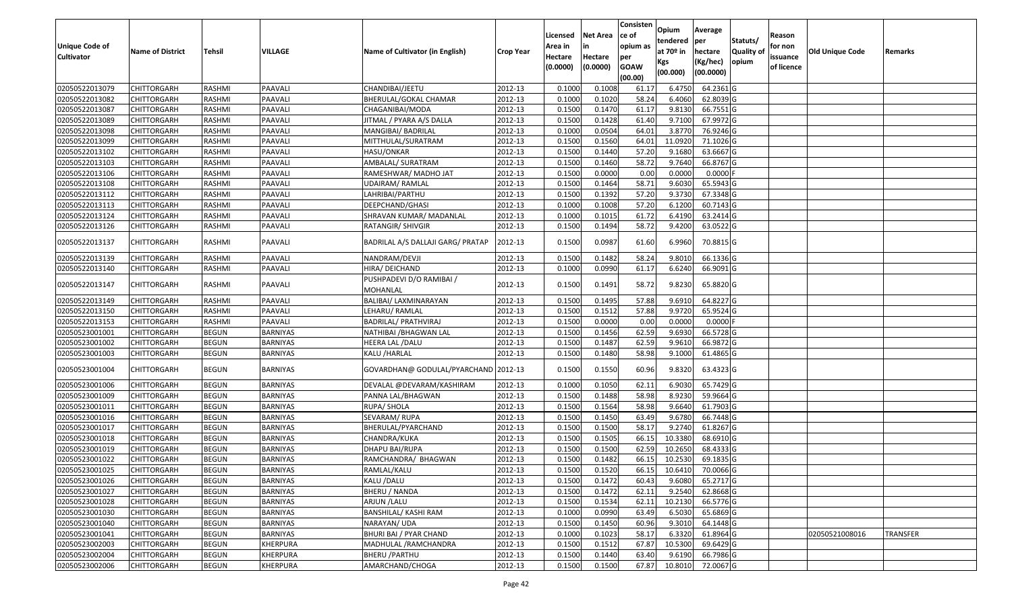|                       |                         |               |                 |                                      |                  |          |                 | Consisten        | Opium       | Average    |           |            |                        |                 |
|-----------------------|-------------------------|---------------|-----------------|--------------------------------------|------------------|----------|-----------------|------------------|-------------|------------|-----------|------------|------------------------|-----------------|
|                       |                         |               |                 |                                      |                  | Licensed | <b>Net Area</b> | ce of            | tendered    | per        | Statuts/  | Reason     |                        |                 |
| <b>Unique Code of</b> | <b>Name of District</b> | Tehsil        | VILLAGE         | Name of Cultivator (in English)      | <b>Crop Year</b> | Area in  |                 | opium as         | at $70°$ in | hectare    | Quality o | for non    | <b>Old Unique Code</b> | Remarks         |
| <b>Cultivator</b>     |                         |               |                 |                                      |                  | Hectare  | Hectare         | per              | Kgs         | (Kg/hec)   | opium     | issuance   |                        |                 |
|                       |                         |               |                 |                                      |                  | (0.0000) | (0.0000)        | <b>GOAW</b>      | (00.000)    | (00.0000)  |           | of licence |                        |                 |
| 02050522013079        | CHITTORGARH             | RASHMI        | PAAVALI         | CHANDIBAI/JEETU                      | 2012-13          | 0.1000   | 0.1008          | (00.00)<br>61.17 | 6.4750      | 64.2361 G  |           |            |                        |                 |
| 02050522013082        | CHITTORGARH             | RASHMI        | PAAVALI         | BHERULAL/GOKAL CHAMAR                | 2012-13          | 0.1000   | 0.1020          | 58.24            | 6.4060      | 62.8039 G  |           |            |                        |                 |
| 02050522013087        | CHITTORGARH             | RASHMI        | PAAVALI         | CHAGANIBAI/MODA                      | 2012-13          | 0.1500   | 0.1470          | 61.17            | 9.8130      | 66.7551G   |           |            |                        |                 |
| 02050522013089        | CHITTORGARH             | RASHMI        | PAAVALI         | JITMAL / PYARA A/S DALLA             | 2012-13          | 0.1500   | 0.1428          | 61.40            | 9.7100      | 67.9972 G  |           |            |                        |                 |
| 02050522013098        | CHITTORGARH             | RASHMI        | PAAVALI         | MANGIBAI/ BADRILAL                   | 2012-13          | 0.1000   | 0.0504          | 64.01            | 3.8770      | 76.9246 G  |           |            |                        |                 |
| 02050522013099        | CHITTORGARH             | RASHMI        | PAAVALI         | MITTHULAL/SURATRAM                   | 2012-13          | 0.1500   | 0.1560          | 64.01            | 11.0920     | 71.1026 G  |           |            |                        |                 |
| 02050522013102        | CHITTORGARH             | RASHMI        | PAAVALI         | HASU/ONKAR                           | 2012-13          | 0.1500   | 0.1440          | 57.20            | 9.1680      | 63.6667 G  |           |            |                        |                 |
| 02050522013103        | <b>CHITTORGARH</b>      | <b>RASHMI</b> | PAAVALI         | AMBALAL/ SURATRAM                    | 2012-13          | 0.1500   | 0.1460          | 58.72            | 9.7640      | 66.8767 G  |           |            |                        |                 |
| 02050522013106        | <b>CHITTORGARH</b>      | RASHMI        | PAAVALI         | RAMESHWAR/ MADHO JAT                 | 2012-13          | 0.1500   | 0.0000          | 0.00             | 0.0000      | 0.0000F    |           |            |                        |                 |
| 02050522013108        | CHITTORGARH             | RASHMI        | PAAVALI         | UDAIRAM/RAMLAL                       | 2012-13          | 0.1500   | 0.1464          | 58.71            | 9.6030      | 65.5943 G  |           |            |                        |                 |
| 02050522013112        | CHITTORGARH             | RASHMI        | PAAVALI         | LAHRIBAI/PARTHU                      | 2012-13          | 0.1500   | 0.1392          | 57.20            | 9.3730      | 67.3348 G  |           |            |                        |                 |
| 02050522013113        | <b>CHITTORGARH</b>      | RASHMI        | PAAVALI         | DEEPCHAND/GHASI                      | 2012-13          | 0.1000   | 0.1008          | 57.20            | 6.1200      | 60.7143 G  |           |            |                        |                 |
| 02050522013124        | <b>CHITTORGARH</b>      | RASHMI        | PAAVALI         | SHRAVAN KUMAR/ MADANLAL              | 2012-13          | 0.1000   | 0.1015          | 61.72            | 6.4190      | 63.2414 G  |           |            |                        |                 |
| 02050522013126        | CHITTORGARH             | RASHMI        | PAAVALI         | RATANGIR/ SHIVGIR                    | 2012-13          | 0.1500   | 0.1494          | 58.72            | 9.4200      | 63.0522 G  |           |            |                        |                 |
|                       |                         |               |                 |                                      |                  |          |                 |                  |             |            |           |            |                        |                 |
| 02050522013137        | CHITTORGARH             | RASHMI        | PAAVALI         | BADRILAL A/S DALLAJI GARG/ PRATAP    | 2012-13          | 0.1500   | 0.0987          | 61.60            | 6.9960      | 70.8815 G  |           |            |                        |                 |
| 02050522013139        | CHITTORGARH             | RASHMI        | PAAVALI         | NANDRAM/DEVJI                        | 2012-13          | 0.1500   | 0.1482          | 58.24            | 9.8010      | 66.1336 G  |           |            |                        |                 |
| 02050522013140        | CHITTORGARH             | RASHMI        | PAAVALI         | HIRA/ DEICHAND                       | 2012-13          | 0.1000   | 0.0990          | 61.17            | 6.6240      | 66.9091 G  |           |            |                        |                 |
| 02050522013147        | CHITTORGARH             | RASHMI        | PAAVALI         | PUSHPADEVI D/O RAMIBAI /<br>MOHANLAL | 2012-13          | 0.1500   | 0.1491          | 58.72            | 9.8230      | 65.8820 G  |           |            |                        |                 |
| 02050522013149        | CHITTORGARH             | RASHMI        | PAAVALI         | BALIBAI/ LAXMINARAYAN                | 2012-13          | 0.1500   | 0.1495          | 57.88            | 9.691       | 64.8227 G  |           |            |                        |                 |
| 02050522013150        | CHITTORGARH             | RASHMI        | PAAVALI         | LEHARU/RAMLAL                        | 2012-13          | 0.1500   | 0.1512          | 57.88            | 9.9720      | 65.9524 G  |           |            |                        |                 |
| 02050522013153        | CHITTORGARH             | RASHMI        | PAAVALI         | BADRILAL/ PRATHVIRAJ                 | 2012-13          | 0.1500   | 0.0000          | 0.00             | 0.0000      | $0.0000$ F |           |            |                        |                 |
| 02050523001001        | CHITTORGARH             | <b>BEGUN</b>  | BARNIYAS        | NATHIBAI / BHAGWAN LAL               | 2012-13          | 0.1500   | 0.1456          | 62.59            | 9.6930      | 66.5728 G  |           |            |                        |                 |
| 02050523001002        | CHITTORGARH             | <b>BEGUN</b>  | <b>BARNIYAS</b> | HEERA LAL /DALU                      | 2012-13          | 0.1500   | 0.1487          | 62.59            | 9.9610      | 66.9872 G  |           |            |                        |                 |
| 02050523001003        | CHITTORGARH             | <b>BEGUN</b>  | BARNIYAS        | KALU /HARLAL                         | 2012-13          | 0.1500   | 0.1480          | 58.98            | 9.1000      | 61.4865 G  |           |            |                        |                 |
| 02050523001004        | CHITTORGARH             | <b>BEGUN</b>  | BARNIYAS        | GOVARDHAN@ GODULAL/PYARCHAND 2012-13 |                  | 0.1500   | 0.1550          | 60.96            | 9.8320      | 63.4323 G  |           |            |                        |                 |
| 02050523001006        | <b>CHITTORGARH</b>      | <b>BEGUN</b>  | <b>BARNIYAS</b> | DEVALAL @DEVARAM/KASHIRAM            | 2012-13          | 0.1000   | 0.1050          | 62.11            | 6.9030      | 65.7429 G  |           |            |                        |                 |
| 02050523001009        | <b>CHITTORGARH</b>      | <b>BEGUN</b>  | <b>BARNIYAS</b> | PANNA LAL/BHAGWAN                    | 2012-13          | 0.1500   | 0.1488          | 58.98            | 8.9230      | 59.9664 G  |           |            |                        |                 |
| 02050523001011        | <b>CHITTORGARH</b>      | <b>BEGUN</b>  | BARNIYAS        | RUPA/ SHOLA                          | 2012-13          | 0.1500   | 0.1564          | 58.98            | 9.6640      | 61.7903 G  |           |            |                        |                 |
| 02050523001016        | CHITTORGARH             | <b>BEGUN</b>  | <b>BARNIYAS</b> | SEVARAM/ RUPA                        | 2012-13          | 0.1500   | 0.1450          | 63.49            | 9.6780      | 66.7448 G  |           |            |                        |                 |
| 02050523001017        | CHITTORGARH             | <b>BEGUN</b>  | BARNIYAS        | BHERULAL/PYARCHAND                   | 2012-13          | 0.1500   | 0.1500          | 58.17            | 9.274       | 61.8267 G  |           |            |                        |                 |
| 02050523001018        | <b>CHITTORGARH</b>      | <b>BEGUN</b>  | BARNIYAS        | CHANDRA/KUKA                         | 2012-13          | 0.1500   | 0.1505          | 66.15            | 10.3380     | 68.6910G   |           |            |                        |                 |
| 02050523001019        | CHITTORGARH             | <b>BEGUN</b>  | BARNIYAS        | DHAPU BAI/RUPA                       | 2012-13          | 0.150    | 0.1500          | 62.59            | 10.2650     | 68.4333 G  |           |            |                        |                 |
| 02050523001022        | CHITTORGARH             | <b>BEGUN</b>  | BARNIYAS        | RAMCHANDRA/ BHAGWAN                  | 2012-13          | 0.1500   | 0.1482          | 66.15            | 10.2530     | 69.1835 G  |           |            |                        |                 |
| 02050523001025        | <b>CHITTORGARH</b>      | <b>BEGUN</b>  | <b>BARNIYAS</b> | RAMLAL/KALU                          | 2012-13          | 0.1500   | 0.1520          | 66.15            | 10.6410     | 70.0066G   |           |            |                        |                 |
| 02050523001026        | <b>CHITTORGARH</b>      | <b>BEGUN</b>  | BARNIYAS        | KALU /DALU                           | 2012-13          | 0.1500   | 0.1472          | 60.43            | 9.6080      | 65.2717 G  |           |            |                        |                 |
| 02050523001027        | <b>CHITTORGARH</b>      | <b>BEGUN</b>  | BARNIYAS        | BHERU / NANDA                        | 2012-13          | 0.1500   | 0.1472          | 62.11            | 9.2540      | 62.8668 G  |           |            |                        |                 |
| 02050523001028        | <b>CHITTORGARH</b>      | <b>BEGUN</b>  | BARNIYAS        | ARJUN / LALU                         | 2012-13          | 0.1500   | 0.1534          | 62.11            | 10.2130     | 66.5776 G  |           |            |                        |                 |
| 02050523001030        | <b>CHITTORGARH</b>      | <b>BEGUN</b>  | BARNIYAS        | BANSHILAL/ KASHI RAM                 | 2012-13          | 0.1000   | 0.0990          | 63.49            | 6.5030      | 65.6869 G  |           |            |                        |                 |
| 02050523001040        | <b>CHITTORGARH</b>      | <b>BEGUN</b>  | <b>BARNIYAS</b> | NARAYAN/ UDA                         | 2012-13          | 0.1500   | 0.1450          | 60.96            | 9.3010      | 64.1448 G  |           |            |                        |                 |
| 02050523001041        | <b>CHITTORGARH</b>      | <b>BEGUN</b>  | BARNIYAS        | BHURI BAI / PYAR CHAND               | 2012-13          | 0.1000   | 0.1023          | 58.17            | 6.3320      | 61.8964 G  |           |            | 02050521008016         | <b>TRANSFER</b> |
| 02050523002003        | <b>CHITTORGARH</b>      | <b>BEGUN</b>  | KHERPURA        | MADHULAL / RAMCHANDRA                | 2012-13          | 0.1500   | 0.1512          | 67.87            | 10.5300     | 69.6429 G  |           |            |                        |                 |
| 02050523002004        | CHITTORGARH             | <b>BEGUN</b>  | KHERPURA        | BHERU /PARTHU                        | 2012-13          | 0.1500   | 0.1440          | 63.40            | 9.6190      | 66.7986 G  |           |            |                        |                 |
| 02050523002006        | <b>CHITTORGARH</b>      | <b>BEGUN</b>  | KHERPURA        | AMARCHAND/CHOGA                      | 2012-13          | 0.1500   | 0.1500          | 67.87            | 10.8010     | 72.0067 G  |           |            |                        |                 |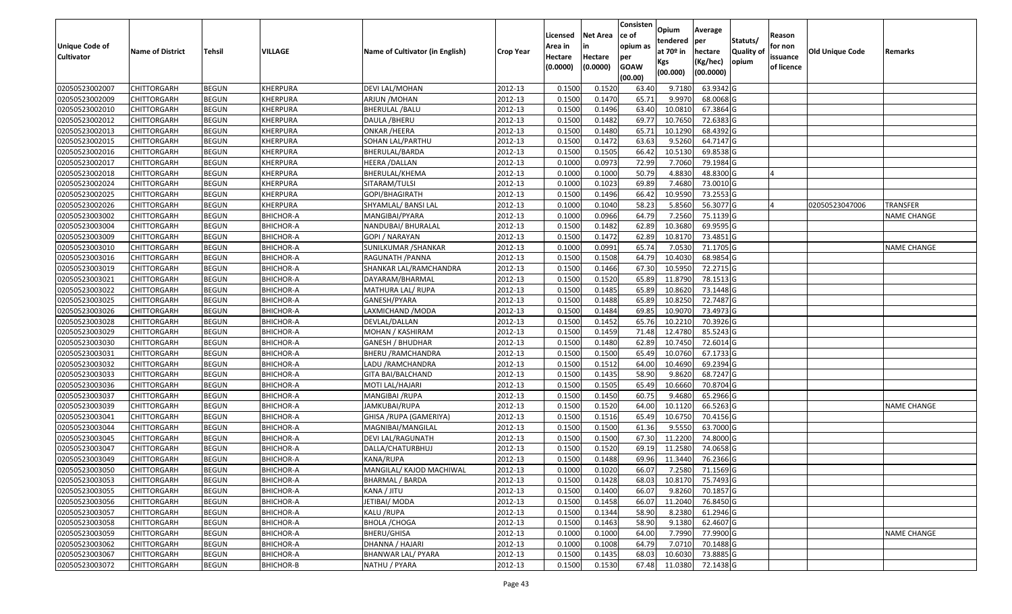|                       |                         |               |                  |                                 |                  |          |                 | Consisten   | Opium       | Average          |                  |            |                 |                    |
|-----------------------|-------------------------|---------------|------------------|---------------------------------|------------------|----------|-----------------|-------------|-------------|------------------|------------------|------------|-----------------|--------------------|
|                       |                         |               |                  |                                 |                  | Licensed | <b>Net Area</b> | ce of       | tendered    | per              | Statuts/         | Reason     |                 |                    |
| <b>Unique Code of</b> | <b>Name of District</b> | <b>Tehsil</b> | VILLAGE          | Name of Cultivator (in English) | <b>Crop Year</b> | Area in  |                 | opium as    | at $70°$ in | hectare          | <b>Quality o</b> | for non    | Old Unique Code | Remarks            |
| <b>Cultivator</b>     |                         |               |                  |                                 |                  | Hectare  | Hectare         | per         | Kgs         | (Kg/hec)         | opium            | issuance   |                 |                    |
|                       |                         |               |                  |                                 |                  | (0.0000) | (0.0000)        | <b>GOAW</b> | (00.000)    | (00.0000)        |                  | of licence |                 |                    |
|                       |                         |               |                  |                                 |                  |          |                 | (00.00)     |             |                  |                  |            |                 |                    |
| 02050523002007        | CHITTORGARH             | <b>BEGUN</b>  | KHERPURA         | DEVI LAL/MOHAN                  | 2012-13          | 0.1500   | 0.1520          | 63.40       | 9.7180      | 63.9342 G        |                  |            |                 |                    |
| 02050523002009        | CHITTORGARH             | <b>BEGUN</b>  | KHERPURA         | ARJUN /MOHAN                    | 2012-13          | 0.1500   | 0.1470          | 65.71       | 9.9970      | 68.0068G         |                  |            |                 |                    |
| 02050523002010        | CHITTORGARH             | <b>BEGUN</b>  | KHERPURA         | <b>BHERULAL / BALU</b>          | 2012-13          | 0.1500   | 0.1496          | 63.40       | 10.081      | 67.3864 G        |                  |            |                 |                    |
| 02050523002012        | <b>CHITTORGARH</b>      | <b>BEGUN</b>  | <b>KHERPURA</b>  | DAULA / BHERU                   | 2012-13          | 0.1500   | 0.1482          | 69.77       | 10.7650     | 72.6383 G        |                  |            |                 |                    |
| 02050523002013        | CHITTORGARH             | <b>BEGUN</b>  | KHERPURA         | <b>ONKAR /HEERA</b>             | 2012-13          | 0.1500   | 0.1480          | 65.7        | 10.1290     | 68.4392 G        |                  |            |                 |                    |
| 02050523002015        | CHITTORGARH             | <b>BEGUN</b>  | KHERPURA         | SOHAN LAL/PARTHU                | 2012-13          | 0.1500   | 0.1472          | 63.63       | 9.5260      | 64.7147 G        |                  |            |                 |                    |
| 02050523002016        | CHITTORGARH             | <b>BEGUN</b>  | KHERPURA         | BHERULAL/BARDA                  | 2012-13          | 0.1500   | 0.1505          | 66.42       | 10.5130     | 69.8538 G        |                  |            |                 |                    |
| 02050523002017        | CHITTORGARH             | <b>BEGUN</b>  | KHERPURA         | HEERA / DALLAN                  | 2012-13          | 0.1000   | 0.0973          | 72.99       | 7.7060      | 79.1984 G        |                  |            |                 |                    |
| 02050523002018        | CHITTORGARH             | <b>BEGUN</b>  | KHERPURA         | BHERULAL/KHEMA                  | 2012-13          | 0.1000   | 0.1000          | 50.79       | 4.8830      | 48.8300 G        |                  |            |                 |                    |
| 02050523002024        | CHITTORGARH             | <b>BEGUN</b>  | KHERPURA         | SITARAM/TULSI                   | 2012-13          | 0.1000   | 0.1023          | 69.89       | 7.4680      | 73.0010 G        |                  |            |                 |                    |
| 02050523002025        | CHITTORGARH             | <b>BEGUN</b>  | KHERPURA         | GOPI/BHAGIRATH                  | 2012-13          | 0.1500   | 0.1496          | 66.42       | 10.9590     | 73.2553 G        |                  |            |                 |                    |
| 02050523002026        | CHITTORGARH             | <b>BEGUN</b>  | KHERPURA         | SHYAMLAL/ BANSI LAL             | 2012-13          | 0.1000   | 0.1040          | 58.23       | 5.8560      | 56.3077 G        |                  |            | 02050523047006  | <b>TRANSFER</b>    |
| 02050523003002        | <b>CHITTORGARH</b>      | <b>BEGUN</b>  | <b>BHICHOR-A</b> | MANGIBAI/PYARA                  | 2012-13          | 0.1000   | 0.0966          | 64.79       | 7.2560      | 75.1139 G        |                  |            |                 | <b>NAME CHANGE</b> |
| 02050523003004        | CHITTORGARH             | <b>BEGUN</b>  | <b>BHICHOR-A</b> | NANDUBAI/ BHURALAL              | 2012-13          | 0.1500   | 0.1482          | 62.89       | 10.3680     | 69.9595 G        |                  |            |                 |                    |
| 02050523003009        | <b>CHITTORGARH</b>      | <b>BEGUN</b>  | <b>BHICHOR-A</b> | GOPI / NARAYAN                  | 2012-13          | 0.1500   | 0.1472          | 62.89       | 10.8170     | 73.4851 G        |                  |            |                 |                    |
| 02050523003010        | <b>CHITTORGARH</b>      | <b>BEGUN</b>  | <b>BHICHOR-A</b> | SUNILKUMAR / SHANKAR            | 2012-13          | 0.1000   | 0.0991          | 65.74       | 7.0530      | 71.1705 G        |                  |            |                 | NAME CHANGE        |
| 02050523003016        | <b>CHITTORGARH</b>      | <b>BEGUN</b>  | <b>BHICHOR-A</b> | RAGUNATH /PANNA                 | 2012-13          | 0.1500   | 0.1508          | 64.79       | 10.4030     | 68.9854 G        |                  |            |                 |                    |
| 02050523003019        | CHITTORGARH             | <b>BEGUN</b>  | <b>BHICHOR-A</b> | SHANKAR LAL/RAMCHANDRA          | 2012-13          | 0.1500   | 0.1466          | 67.30       | 10.595      | 72.2715 G        |                  |            |                 |                    |
| 02050523003021        | CHITTORGARH             | <b>BEGUN</b>  | <b>BHICHOR-A</b> | DAYARAM/BHARMAL                 | 2012-13          | 0.1500   | 0.1520          | 65.89       | 11.8790     | 78.1513 G        |                  |            |                 |                    |
| 02050523003022        | CHITTORGARH             | <b>BEGUN</b>  | <b>BHICHOR-A</b> | MATHURA LAL/ RUPA               | 2012-13          | 0.1500   | 0.1485          | 65.89       | 10.8620     | 73.1448 G        |                  |            |                 |                    |
| 02050523003025        | CHITTORGARH             | <b>BEGUN</b>  | <b>BHICHOR-A</b> | GANESH/PYARA                    | 2012-13          | 0.1500   | 0.1488          | 65.89       | 10.8250     | 72.7487 G        |                  |            |                 |                    |
| 02050523003026        | CHITTORGARH             | <b>BEGUN</b>  | <b>BHICHOR-A</b> | LAXMICHAND /MODA                | 2012-13          | 0.1500   | 0.1484          | 69.85       | 10.907      | 73.4973 G        |                  |            |                 |                    |
| 02050523003028        | CHITTORGARH             | <b>BEGUN</b>  | <b>BHICHOR-A</b> | DEVLAL/DALLAN                   | 2012-13          | 0.1500   | 0.1452          | 65.76       | 10.2210     | 70.3926 G        |                  |            |                 |                    |
| 02050523003029        | <b>CHITTORGARH</b>      | <b>BEGUN</b>  | <b>BHICHOR-A</b> | MOHAN / KASHIRAM                | 2012-13          | 0.1500   | 0.1459          | 71.48       | 12.4780     | 85.5243 G        |                  |            |                 |                    |
| 02050523003030        | <b>CHITTORGARH</b>      | <b>BEGUN</b>  | <b>BHICHOR-A</b> | <b>GANESH / BHUDHAR</b>         | 2012-13          | 0.1500   | 0.1480          | 62.89       | 10.7450     | 72.6014 G        |                  |            |                 |                    |
| 02050523003031        | CHITTORGARH             | <b>BEGUN</b>  | <b>BHICHOR-A</b> | <b>BHERU / RAMCHANDRA</b>       | 2012-13          | 0.1500   | 0.1500          | 65.49       | 10.0760     | 67.1733 G        |                  |            |                 |                    |
| 02050523003032        | CHITTORGARH             | <b>BEGUN</b>  | <b>BHICHOR-A</b> | LADU /RAMCHANDRA                | 2012-13          | 0.1500   | 0.1512          | 64.00       | 10.4690     | 69.2394 G        |                  |            |                 |                    |
| 02050523003033        | CHITTORGARH             | <b>BEGUN</b>  | <b>BHICHOR-A</b> | GITA BAI/BALCHAND               | 2012-13          | 0.1500   | 0.1435          | 58.90       | 9.8620      | 68.7247 G        |                  |            |                 |                    |
| 02050523003036        | CHITTORGARH             | <b>BEGUN</b>  | <b>BHICHOR-A</b> | MOTI LAL/HAJARI                 | 2012-13          | 0.1500   | 0.1505          | 65.49       | 10.6660     | 70.8704 G        |                  |            |                 |                    |
| 02050523003037        | CHITTORGARH             | <b>BEGUN</b>  | <b>BHICHOR-A</b> | MANGIBAI / RUPA                 | 2012-13          | 0.1500   | 0.1450          | 60.75       | 9.4680      | 65.2966 G        |                  |            |                 |                    |
| 02050523003039        | CHITTORGARH             | <b>BEGUN</b>  | <b>BHICHOR-A</b> | JAMKUBAI/RUPA                   | 2012-13          | 0.1500   | 0.1520          | 64.00       | 10.1120     | 66.5263 G        |                  |            |                 | <b>NAME CHANGE</b> |
| 02050523003041        | CHITTORGARH             | <b>BEGUN</b>  | <b>BHICHOR-A</b> | GHISA /RUPA (GAMERIYA)          | 2012-13          | 0.1500   | 0.1516          | 65.49       | 10.675      | 70.4156 G        |                  |            |                 |                    |
| 02050523003044        | CHITTORGARH             | <b>BEGUN</b>  | <b>BHICHOR-A</b> | MAGNIBAI/MANGILAL               | 2012-13          | 0.1500   | 0.1500          | 61.36       | 9.555       | 63.7000G         |                  |            |                 |                    |
| 02050523003045        | CHITTORGARH             | <b>BEGUN</b>  | <b>BHICHOR-A</b> | DEVI LAL/RAGUNATH               | 2012-13          | 0.1500   | 0.1500          | 67.30       | 11.2200     | 74.8000 G        |                  |            |                 |                    |
| 02050523003047        | CHITTORGARH             | <b>BEGUN</b>  | <b>BHICHOR-A</b> | DALLA/CHATURBHUJ                | 2012-13          | 0.1500   | 0.1520          | 69.19       | 11.2580     | 74.0658 G        |                  |            |                 |                    |
| 02050523003049        | CHITTORGARH             | <b>BEGUN</b>  | <b>BHICHOR-A</b> | KANA/RUPA                       | 2012-13          | 0.1500   | 0.1488          | 69.96       | 11.3440     | 76.2366 G        |                  |            |                 |                    |
| 02050523003050        | <b>CHITTORGARH</b>      | <b>BEGUN</b>  | BHICHOR-A        | MANGILAL/ KAJOD MACHIWAL        | 2012-13          | 0.1000   | 0.1020          | 66.07       |             | 7.2580 71.1569 G |                  |            |                 |                    |
| 02050523003053        | <b>CHITTORGARH</b>      | <b>BEGUN</b>  | BHICHOR-A        | BHARMAL / BARDA                 | 2012-13          | 0.1500   | 0.1428          | 68.03       | 10.8170     | 75.7493 G        |                  |            |                 |                    |
| 02050523003055        | <b>CHITTORGARH</b>      | <b>BEGUN</b>  | <b>BHICHOR-A</b> | KANA / JITU                     | 2012-13          | 0.1500   | 0.1400          | 66.07       | 9.8260      | 70.1857 G        |                  |            |                 |                    |
| 02050523003056        | <b>CHITTORGARH</b>      | <b>BEGUN</b>  | <b>BHICHOR-A</b> | JETIBAI/ MODA                   | 2012-13          | 0.1500   | 0.1458          | 66.07       | 11.2040     | 76.8450 G        |                  |            |                 |                    |
| 02050523003057        | CHITTORGARH             | <b>BEGUN</b>  | <b>BHICHOR-A</b> | KALU /RUPA                      | 2012-13          | 0.1500   | 0.1344          | 58.90       | 8.2380      | 61.2946 G        |                  |            |                 |                    |
| 02050523003058        | <b>CHITTORGARH</b>      | <b>BEGUN</b>  | <b>BHICHOR-A</b> | <b>BHOLA / CHOGA</b>            | 2012-13          | 0.1500   | 0.1463          | 58.90       | 9.1380      | 62.4607 G        |                  |            |                 |                    |
| 02050523003059        | <b>CHITTORGARH</b>      | <b>BEGUN</b>  | <b>BHICHOR-A</b> | BHERU/GHISA                     | 2012-13          | 0.1000   | 0.1000          | 64.00       | 7.7990      | 77.9900 G        |                  |            |                 | <b>NAME CHANGE</b> |
| 02050523003062        | <b>CHITTORGARH</b>      | <b>BEGUN</b>  | <b>BHICHOR-A</b> | DHANNA / HAJARI                 | 2012-13          | 0.1000   | 0.1008          | 64.79       | 7.0710      | 70.1488 G        |                  |            |                 |                    |
| 02050523003067        | <b>CHITTORGARH</b>      | <b>BEGUN</b>  | BHICHOR-A        | <b>BHANWAR LAL/ PYARA</b>       | 2012-13          | 0.1500   | 0.1435          | 68.03       | 10.6030     | 73.8885 G        |                  |            |                 |                    |
| 02050523003072        | <b>CHITTORGARH</b>      | <b>BEGUN</b>  | <b>BHICHOR-B</b> | NATHU / PYARA                   | 2012-13          | 0.1500   | 0.1530          | 67.48       | 11.0380     | 72.1438 G        |                  |            |                 |                    |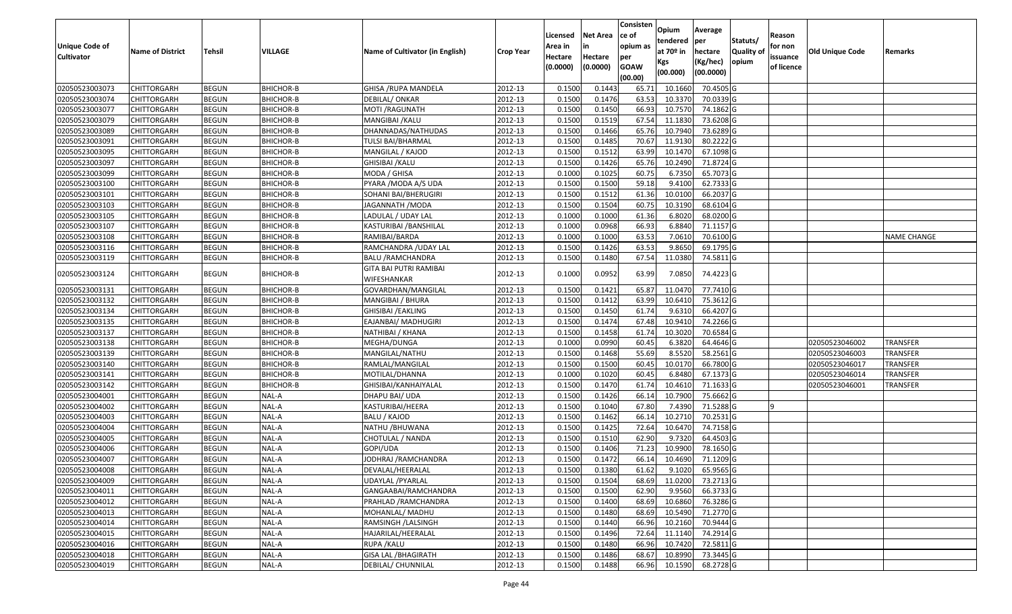| <b>Unique Code of</b><br><b>Cultivator</b> | <b>Name of District</b> | <b>Tehsil</b> | VILLAGE          | Name of Cultivator (in English)       | <b>Crop Year</b> | Licensed<br>Area in<br>Hectare<br>(0.0000) | <b>Net Area</b><br>in<br>Hectare<br>(0.0000) | Consisten<br>ce of<br>opium as<br>per<br><b>GOAW</b><br>(00.00) | Opium<br>tendered<br>at $70°$ in<br>Kgs<br>(00.000) | Average<br>per<br>hectare<br>(Kg/hec)<br>(00.0000) | Statuts/<br>Quality of<br>opium | Reason<br>for non<br>issuance<br>of licence | <b>Old Unique Code</b> | Remarks            |
|--------------------------------------------|-------------------------|---------------|------------------|---------------------------------------|------------------|--------------------------------------------|----------------------------------------------|-----------------------------------------------------------------|-----------------------------------------------------|----------------------------------------------------|---------------------------------|---------------------------------------------|------------------------|--------------------|
| 02050523003073                             | <b>CHITTORGARH</b>      | <b>BEGUN</b>  | BHICHOR-B        | GHISA / RUPA MANDELA                  | 2012-13          | 0.1500                                     | 0.1443                                       | 65.7                                                            | 10.1660                                             | 70.4505 G                                          |                                 |                                             |                        |                    |
| 02050523003074                             | CHITTORGARH             | <b>BEGUN</b>  | BHICHOR-B        | DEBILAL/ ONKAR                        | 2012-13          | 0.1500                                     | 0.1476                                       | 63.53                                                           | 10.3370                                             | 70.0339 G                                          |                                 |                                             |                        |                    |
| 02050523003077                             | CHITTORGARH             | <b>BEGUN</b>  | <b>BHICHOR-B</b> | MOTI /RAGUNATH                        | 2012-13          | 0.1500                                     | 0.1450                                       | 66.93                                                           | 10.7570                                             | 74.1862 G                                          |                                 |                                             |                        |                    |
| 02050523003079                             | <b>CHITTORGARH</b>      | <b>BEGUN</b>  | BHICHOR-B        | MANGIBAI / KALU                       | 2012-13          | 0.1500                                     | 0.1519                                       | 67.54                                                           | 11.1830                                             | 73.6208 G                                          |                                 |                                             |                        |                    |
| 02050523003089                             | <b>CHITTORGARH</b>      | <b>BEGUN</b>  | <b>BHICHOR-B</b> | DHANNADAS/NATHUDAS                    | 2012-13          | 0.1500                                     | 0.1466                                       | 65.76                                                           | 10.7940                                             | 73.6289 G                                          |                                 |                                             |                        |                    |
| 02050523003091                             | CHITTORGARH             | <b>BEGUN</b>  | BHICHOR-B        | TULSI BAI/BHARMAL                     | 2012-13          | 0.1500                                     | 0.1485                                       | 70.67                                                           | 11.9130                                             | 80.2222 G                                          |                                 |                                             |                        |                    |
| 02050523003095                             | <b>CHITTORGARH</b>      | <b>BEGUN</b>  | <b>BHICHOR-B</b> | MANGILAL / KAJOD                      | 2012-13          | 0.1500                                     | 0.1512                                       | 63.99                                                           | 10.1470                                             | 67.1098 G                                          |                                 |                                             |                        |                    |
| 02050523003097                             | CHITTORGARH             | <b>BEGUN</b>  | <b>BHICHOR-B</b> | GHISIBAI /KALU                        | 2012-13          | 0.1500                                     | 0.1426                                       | 65.76                                                           | 10.2490                                             | 71.8724 G                                          |                                 |                                             |                        |                    |
| 02050523003099                             | CHITTORGARH             | <b>BEGUN</b>  | <b>BHICHOR-B</b> | MODA / GHISA                          | 2012-13          | 0.1000                                     | 0.1025                                       | 60.75                                                           | 6.7350                                              | 65.7073 G                                          |                                 |                                             |                        |                    |
| 02050523003100                             | CHITTORGARH             | <b>BEGUN</b>  | <b>BHICHOR-B</b> | PYARA / MODA A/S UDA                  | 2012-13          | 0.1500                                     | 0.1500                                       | 59.18                                                           | 9.4100                                              | 62.7333 G                                          |                                 |                                             |                        |                    |
| 02050523003101                             | <b>CHITTORGARH</b>      | <b>BEGUN</b>  | <b>BHICHOR-B</b> | SOHANI BAI/BHERUGIRI                  | 2012-13          | 0.1500                                     | 0.1512                                       | 61.36                                                           | 10.0100                                             | 66.2037 G                                          |                                 |                                             |                        |                    |
| 02050523003103                             | CHITTORGARH             | <b>BEGUN</b>  | <b>BHICHOR-B</b> | JAGANNATH / MODA                      | 2012-13          | 0.1500                                     | 0.1504                                       | 60.75                                                           | 10.3190                                             | 68.6104 G                                          |                                 |                                             |                        |                    |
| 02050523003105                             | CHITTORGARH             | <b>BEGUN</b>  | <b>BHICHOR-B</b> | LADULAL / UDAY LAL                    | 2012-13          | 0.1000                                     | 0.1000                                       | 61.36                                                           | 6.8020                                              | 68.0200G                                           |                                 |                                             |                        |                    |
| 02050523003107                             | CHITTORGARH             | <b>BEGUN</b>  | BHICHOR-B        | KASTURIBAI /BANSHILAL                 | 2012-13          | 0.1000                                     | 0.0968                                       | 66.93                                                           | 6.8840                                              | 71.1157 G                                          |                                 |                                             |                        |                    |
| 02050523003108                             | CHITTORGARH             | <b>BEGUN</b>  | BHICHOR-B        | RAMIBAI/BARDA                         | 2012-13          | 0.100                                      | 0.1000                                       | 63.53                                                           | 7.0610                                              | 70.6100G                                           |                                 |                                             |                        | <b>NAME CHANGE</b> |
| 02050523003116                             | CHITTORGARH             | <b>BEGUN</b>  | BHICHOR-B        | RAMCHANDRA / UDAY LAL                 | 2012-13          | 0.150                                      | 0.1426                                       | 63.53                                                           | 9.865                                               | 69.1795 G                                          |                                 |                                             |                        |                    |
| 02050523003119                             | CHITTORGARH             | <b>BEGUN</b>  | BHICHOR-B        | <b>BALU /RAMCHANDRA</b>               | 2012-13          | 0.1500                                     | 0.1480                                       | 67.54                                                           | 11.0380                                             | 74.5811 G                                          |                                 |                                             |                        |                    |
| 02050523003124                             | CHITTORGARH             | <b>BEGUN</b>  | <b>BHICHOR-B</b> | GITA BAI PUTRI RAMIBAI<br>WIFESHANKAR | 2012-13          | 0.1000                                     | 0.0952                                       | 63.99                                                           | 7.0850                                              | 74.4223 G                                          |                                 |                                             |                        |                    |
| 02050523003131                             | CHITTORGARH             | <b>BEGUN</b>  | <b>BHICHOR-B</b> | GOVARDHAN/MANGILAL                    | 2012-13          | 0.1500                                     | 0.1421                                       | 65.87                                                           | 11.0470                                             | 77.7410 G                                          |                                 |                                             |                        |                    |
| 02050523003132                             | <b>CHITTORGARH</b>      | <b>BEGUN</b>  | <b>BHICHOR-B</b> | MANGIBAI / BHURA                      | 2012-13          | 0.1500                                     | 0.1412                                       | 63.99                                                           | 10.6410                                             | 75.3612G                                           |                                 |                                             |                        |                    |
| 02050523003134                             | CHITTORGARH             | <b>BEGUN</b>  | <b>BHICHOR-B</b> | GHISIBAI / EAKLING                    | 2012-13          | 0.1500                                     | 0.1450                                       | 61.74                                                           | 9.631                                               | 66.4207 G                                          |                                 |                                             |                        |                    |
| 02050523003135                             | CHITTORGARH             | <b>BEGUN</b>  | BHICHOR-B        | EAJANBAI/ MADHUGIRI                   | 2012-13          | 0.1500                                     | 0.1474                                       | 67.48                                                           | 10.941                                              | 74.2266 G                                          |                                 |                                             |                        |                    |
| 02050523003137                             | CHITTORGARH             | <b>BEGUN</b>  | <b>BHICHOR-B</b> | NATHIBAI / KHANA                      | 2012-13          | 0.1500                                     | 0.1458                                       | 61.7                                                            | 10.3020                                             | 70.6584 G                                          |                                 |                                             |                        |                    |
| 02050523003138                             | CHITTORGARH             | <b>BEGUN</b>  | BHICHOR-B        | MEGHA/DUNGA                           | 2012-13          | 0.1000                                     | 0.0990                                       | 60.45                                                           | 6.3820                                              | 64.4646 G                                          |                                 |                                             | 02050523046002         | <b>TRANSFER</b>    |
| 02050523003139                             | CHITTORGARH             | <b>BEGUN</b>  | <b>BHICHOR-B</b> | MANGILAL/NATHU                        | 2012-13          | 0.1500                                     | 0.1468                                       | 55.69                                                           | 8.5520                                              | 58.2561 G                                          |                                 |                                             | 02050523046003         | <b>TRANSFER</b>    |
| 02050523003140                             | <b>CHITTORGARH</b>      | <b>BEGUN</b>  | BHICHOR-B        | RAMLAL/MANGILAL                       | 2012-13          | 0.1500                                     | 0.1500                                       | 60.45                                                           | 10.0170                                             | 66.7800 G                                          |                                 |                                             | 02050523046017         | <b>TRANSFER</b>    |
| 02050523003141                             | <b>CHITTORGARH</b>      | <b>BEGUN</b>  | BHICHOR-B        | MOTILAL/DHANNA                        | 2012-13          | 0.1000                                     | 0.1020                                       | 60.45                                                           | 6.8480                                              | 67.1373 G                                          |                                 |                                             | 02050523046014         | <b>TRANSFER</b>    |
| 02050523003142                             | CHITTORGARH             | <b>BEGUN</b>  | <b>BHICHOR-B</b> | GHISIBAI/KANHAIYALAL                  | 2012-13          | 0.1500                                     | 0.1470                                       | 61.74                                                           | 10.4610                                             | 71.1633 G                                          |                                 |                                             | 02050523046001         | <b>TRANSFER</b>    |
| 02050523004001                             | <b>CHITTORGARH</b>      | <b>BEGUN</b>  | NAL-A            | DHAPU BAI/ UDA                        | 2012-13          | 0.1500                                     | 0.1426                                       | 66.14                                                           | 10.7900                                             | 75.6662 G                                          |                                 |                                             |                        |                    |
| 02050523004002                             | CHITTORGARH             | <b>BEGUN</b>  | NAL-A            | KASTURIBAI/HEERA                      | 2012-13          | 0.1500                                     | 0.1040                                       | 67.80                                                           | 7.4390                                              | 71.5288 G                                          |                                 |                                             |                        |                    |
| 02050523004003                             | <b>CHITTORGARH</b>      | <b>BEGUN</b>  | NAL-A            | BALU / KAJOD                          | 2012-13          | 0.1500                                     | 0.1462                                       | 66.14                                                           | 10.2710                                             | 70.2531G                                           |                                 |                                             |                        |                    |
| 02050523004004                             | CHITTORGARH             | <b>BEGUN</b>  | NAL-A            | NATHU / BHUWANA                       | 2012-13          | 0.1500                                     | 0.1425                                       | 72.64                                                           | 10.6470                                             | 74.7158 G                                          |                                 |                                             |                        |                    |
| 02050523004005                             | CHITTORGARH             | <b>BEGUN</b>  | NAL-A            | CHOTULAL / NANDA                      | 2012-13          | 0.1500                                     | 0.1510                                       | 62.90                                                           | 9.7320                                              | 64.4503 G                                          |                                 |                                             |                        |                    |
| 02050523004006                             | CHITTORGARH             | <b>BEGUN</b>  | NAL-A            | GOPI/UDA                              | 2012-13          | 0.150                                      | 0.1406                                       | 71.23                                                           | 10.9900                                             | 78.1650 G                                          |                                 |                                             |                        |                    |
| 02050523004007                             | CHITTORGARH             | <b>BEGUN</b>  | NAL-A            | IODHRAJ /RAMCHANDRA                   | 2012-13          | 0.1500                                     | 0.1472                                       | 66.14                                                           | 10.4690                                             | 71.1209 G                                          |                                 |                                             |                        |                    |
| 02050523004008                             | <b>CHITTORGARH</b>      | <b>BEGUN</b>  | NAL-A            | DEVALAL/HEERALAL                      | 2012-13          | 0.1500                                     | 0.1380                                       | 61.62                                                           | 9.1020                                              | 65.9565G                                           |                                 |                                             |                        |                    |
| 02050523004009                             | <b>CHITTORGARH</b>      | <b>BEGUN</b>  | <b>NAL-A</b>     | UDAYLAL /PYARLAL                      | 2012-13          | 0.1500                                     | 0.1504                                       | 68.69                                                           | 11.0200                                             | 73.2713 G                                          |                                 |                                             |                        |                    |
| 02050523004011                             | <b>CHITTORGARH</b>      | <b>BEGUN</b>  | NAL-A            | GANGAABAI/RAMCHANDRA                  | 2012-13          | 0.1500                                     | 0.1500                                       | 62.90                                                           | 9.9560                                              | 66.3733 G                                          |                                 |                                             |                        |                    |
| 02050523004012                             | <b>CHITTORGARH</b>      | <b>BEGUN</b>  | NAL-A            | PRAHLAD / RAMCHANDRA                  | 2012-13          | 0.1500                                     | 0.1400                                       | 68.69                                                           | 10.6860                                             | 76.3286 G                                          |                                 |                                             |                        |                    |
| 02050523004013                             | <b>CHITTORGARH</b>      | <b>BEGUN</b>  | NAL-A            | MOHANLAL/ MADHU                       | 2012-13          | 0.1500                                     | 0.1480                                       | 68.69                                                           | 10.5490                                             | 71.2770 G                                          |                                 |                                             |                        |                    |
| 02050523004014                             | <b>CHITTORGARH</b>      | <b>BEGUN</b>  | NAL-A            | RAMSINGH / LALSINGH                   | 2012-13          | 0.1500                                     | 0.1440                                       | 66.96                                                           | 10.2160                                             | 70.9444 G                                          |                                 |                                             |                        |                    |
| 02050523004015                             | <b>CHITTORGARH</b>      | <b>BEGUN</b>  | NAL-A            | HAJARILAL/HEERALAL                    | 2012-13          | 0.1500                                     | 0.1496                                       | 72.64                                                           | 11.1140                                             | 74.2914 G                                          |                                 |                                             |                        |                    |
| 02050523004016                             | CHITTORGARH             | <b>BEGUN</b>  | NAL-A            | RUPA / KALU                           | 2012-13          | 0.1500                                     | 0.1480                                       | 66.96                                                           | 10.7420                                             | 72.5811 G                                          |                                 |                                             |                        |                    |
| 02050523004018                             | CHITTORGARH             | <b>BEGUN</b>  | NAL-A            | <b>GISA LAL /BHAGIRATH</b>            | 2012-13          | 0.1500                                     | 0.1486                                       | 68.67                                                           | 10.8990                                             | 73.3445 G                                          |                                 |                                             |                        |                    |
| 02050523004019                             | <b>CHITTORGARH</b>      | <b>BEGUN</b>  | NAL-A            | DEBILAL/ CHUNNILAL                    | 2012-13          | 0.1500                                     | 0.1488                                       | 66.96                                                           | 10.1590                                             | 68.2728 G                                          |                                 |                                             |                        |                    |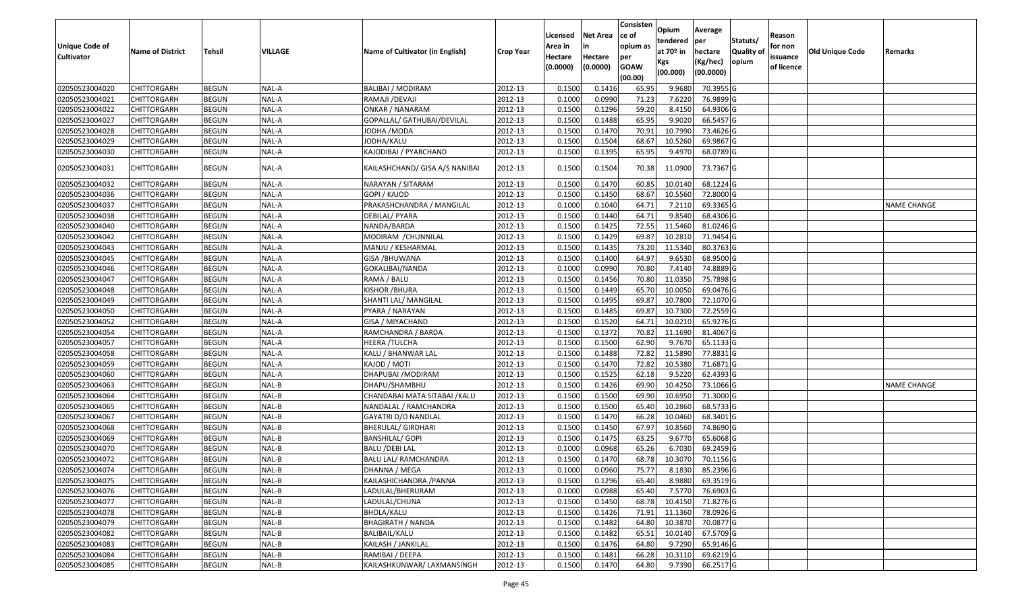| Unique Code of<br><b>Cultivator</b> | <b>Name of District</b> | Tehsil       | VILLAGE | Name of Cultivator (in English) | <b>Crop Year</b> | Licensed<br>Area in<br>Hectare | Net Area<br>in<br>Hectare | Consisten<br>ce of<br>opium as<br>per | Opium<br>tendered<br>at 70º in<br>Kgs | Average<br>per<br>hectare<br>(Kg/hec) | Statuts/<br><b>Quality of</b><br>opium | Reason<br>for non<br>issuance | <b>Old Unique Code</b> | Remarks            |
|-------------------------------------|-------------------------|--------------|---------|---------------------------------|------------------|--------------------------------|---------------------------|---------------------------------------|---------------------------------------|---------------------------------------|----------------------------------------|-------------------------------|------------------------|--------------------|
|                                     |                         |              |         |                                 |                  | (0.0000)                       | (0.0000)                  | <b>GOAW</b><br>(00.00)                | (00.000)                              | (00.0000)                             |                                        | of licence                    |                        |                    |
| 02050523004020                      | <b>CHITTORGARH</b>      | <b>BEGUN</b> | NAL-A   | <b>BALIBAI / MODIRAM</b>        | 2012-13          | 0.1500                         | 0.1416                    | 65.95                                 | 9.9680                                | 70.3955 G                             |                                        |                               |                        |                    |
| 02050523004021                      | CHITTORGARH             | <b>BEGUN</b> | NAL-A   | RAMAJI / DEVAJI                 | 2012-13          | 0.1000                         | 0.0990                    | 71.23                                 | 7.6220                                | 76.9899 G                             |                                        |                               |                        |                    |
| 02050523004022                      | CHITTORGARH             | <b>BEGUN</b> | NAL-A   | ONKAR / NANARAM                 | 2012-13          | 0.1500                         | 0.1296                    | 59.20                                 | 8.4150                                | 64.9306 G                             |                                        |                               |                        |                    |
| 02050523004027                      | <b>CHITTORGARH</b>      | <b>BEGUN</b> | NAL-A   | GOPALLAL/ GATHUBAI/DEVILAL      | 2012-13          | 0.1500                         | 0.1488                    | 65.95                                 | 9.9020                                | 66.5457 G                             |                                        |                               |                        |                    |
| 02050523004028                      | CHITTORGARH             | <b>BEGUN</b> | NAL-A   | JODHA /MODA                     | 2012-13          | 0.1500                         | 0.1470                    | 70.91                                 | 10.7990                               | 73.4626 G                             |                                        |                               |                        |                    |
| 02050523004029                      | <b>CHITTORGARH</b>      | <b>BEGUN</b> | NAL-A   | JODHA/KALU                      | 2012-13          | 0.1500                         | 0.1504                    | 68.67                                 | 10.5260                               | 69.9867 G                             |                                        |                               |                        |                    |
| 02050523004030                      | CHITTORGARH             | <b>BEGUN</b> | NAL-A   | KAJODIBAI / PYARCHAND           | 2012-13          | 0.1500                         | 0.1395                    | 65.95                                 | 9.4970                                | 68.0789 G                             |                                        |                               |                        |                    |
| 02050523004031                      | CHITTORGARH             | <b>BEGUN</b> | NAL-A   | KAILASHCHAND/ GISA A/S NANIBAI  | 2012-13          | 0.1500                         | 0.1504                    | 70.38                                 | 11.0900                               | 73.7367 G                             |                                        |                               |                        |                    |
| 02050523004032                      | <b>CHITTORGARH</b>      | <b>BEGUN</b> | NAL-A   | NARAYAN / SITARAM               | 2012-13          | 0.1500                         | 0.1470                    | 60.85                                 | 10.0140                               | 68.1224 G                             |                                        |                               |                        |                    |
| 02050523004036                      | <b>CHITTORGARH</b>      | <b>BEGUN</b> | NAL-A   | GOPI / KAJOD                    | 2012-13          | 0.1500                         | 0.1450                    | 68.67                                 | 10.5560                               | 72.8000 G                             |                                        |                               |                        |                    |
| 02050523004037                      | <b>CHITTORGARH</b>      | <b>BEGUN</b> | NAL-A   | PRAKASHCHANDRA / MANGILAL       | 2012-13          | 0.1000                         | 0.1040                    | 64.71                                 | 7.2110                                | 69.3365 G                             |                                        |                               |                        | NAME CHANGE        |
| 02050523004038                      | <b>CHITTORGARH</b>      | <b>BEGUN</b> | NAL-A   | DEBILAL/ PYARA                  | 2012-13          | 0.1500                         | 0.1440                    | 64.71                                 | 9.8540                                | 68.4306 G                             |                                        |                               |                        |                    |
| 02050523004040                      | CHITTORGARH             | <b>BEGUN</b> | NAL-A   | NANDA/BARDA                     | 2012-13          | 0.1500                         | 0.1425                    | 72.55                                 | 11.5460                               | 81.0246 G                             |                                        |                               |                        |                    |
| 02050523004042                      | CHITTORGARH             | <b>BEGUN</b> | NAL-A   | MODIRAM / CHUNNILAL             | 2012-13          | 0.1500                         | 0.1429                    | 69.87                                 | 10.2810                               | 71.9454 G                             |                                        |                               |                        |                    |
| 02050523004043                      | CHITTORGARH             | <b>BEGUN</b> | NAL-A   | MANJU / KESHARMAL               | 2012-13          | 0.1500                         | 0.1435                    | 73.20                                 | 11.5340                               | 80.3763 G                             |                                        |                               |                        |                    |
| 02050523004045                      | CHITTORGARH             | <b>BEGUN</b> | NAL-A   | <b>GISA / BHUWANA</b>           | 2012-13          | 0.1500                         | 0.1400                    | 64.97                                 | 9.6530                                | 68.9500 G                             |                                        |                               |                        |                    |
| 02050523004046                      | CHITTORGARH             | <b>BEGUN</b> | NAL-A   | GOKALIBAI/NANDA                 | 2012-13          | 0.1000                         | 0.0990                    | 70.80                                 | 7.4140                                | 74.8889 G                             |                                        |                               |                        |                    |
| 02050523004047                      | CHITTORGARH             | <b>BEGUN</b> | NAL-A   | RAMA / BALU                     | 2012-13          | 0.1500                         | 0.1456                    | 70.80                                 | 11.0350                               | 75.7898 G                             |                                        |                               |                        |                    |
| 02050523004048                      | CHITTORGARH             | <b>BEGUN</b> | NAL-A   | KISHOR /BHURA                   | 2012-13          | 0.1500                         | 0.1449                    | 65.70                                 | 10.0050                               | 69.0476 G                             |                                        |                               |                        |                    |
| 02050523004049                      | CHITTORGARH             | <b>BEGUN</b> | NAL-A   | SHANTI LAL/ MANGILAL            | 2012-13          | 0.1500                         | 0.1495                    | 69.87                                 | 10.7800                               | 72.1070 G                             |                                        |                               |                        |                    |
| 02050523004050                      | CHITTORGARH             | <b>BEGUN</b> | NAL-A   | PYARA / NARAYAN                 | 2012-13          | 0.1500                         | 0.1485                    | 69.87                                 | 10.7300                               | 72.2559 G                             |                                        |                               |                        |                    |
| 02050523004052                      | CHITTORGARH             | <b>BEGUN</b> | NAL-A   | GISA / MIYACHAND                | 2012-13          | 0.1500                         | 0.1520                    | 64.71                                 | 10.0210                               | 65.9276 G                             |                                        |                               |                        |                    |
| 02050523004054                      | CHITTORGARH             | <b>BEGUN</b> | NAL-A   | RAMCHANDRA / BARDA              | 2012-13          | 0.1500                         | 0.1372                    | 70.82                                 | 11.1690                               | 81.4067 G                             |                                        |                               |                        |                    |
| 02050523004057                      | <b>CHITTORGARH</b>      | <b>BEGUN</b> | NAL-A   | <b>HEERA /TULCHA</b>            | 2012-13          | 0.1500                         | 0.1500                    | 62.90                                 | 9.7670                                | 65.1133 G                             |                                        |                               |                        |                    |
| 02050523004058                      | CHITTORGARH             | <b>BEGUN</b> | NAL-A   | KALU / BHANWAR LAL              | 2012-13          | 0.1500                         | 0.1488                    | 72.82                                 | 11.5890                               | 77.8831 G                             |                                        |                               |                        |                    |
| 02050523004059                      | CHITTORGARH             | <b>BEGUN</b> | NAL-A   | KAJOD / MOTI                    | 2012-13          | 0.1500                         | 0.1470                    | 72.82                                 | 10.5380                               | 71.6871 G                             |                                        |                               |                        |                    |
| 02050523004060                      | CHITTORGARH             | <b>BEGUN</b> | NAL-A   | DHAPUBAI / MODIRAM              | 2012-13          | 0.1500                         | 0.1525                    | 62.18                                 | 9.5220                                | 62.4393 G                             |                                        |                               |                        |                    |
| 02050523004063                      | <b>CHITTORGARH</b>      | <b>BEGUN</b> | NAL-B   | DHAPU/SHAMBHU                   | 2012-13          | 0.1500                         | 0.1426                    | 69.90                                 | 10.4250                               | 73.1066 G                             |                                        |                               |                        | <b>NAME CHANGE</b> |
| 02050523004064                      | CHITTORGARH             | <b>BEGUN</b> | NAL-B   | CHANDABAI MATA SITABAI / KALU   | 2012-13          | 0.1500                         | 0.1500                    | 69.90                                 | 10.6950                               | 71.3000 G                             |                                        |                               |                        |                    |
| 02050523004065                      | CHITTORGARH             | <b>BEGUN</b> | NAL-B   | NANDALAL / RAMCHANDRA           | 2012-13          | 0.1500                         | 0.1500                    | 65.40                                 | 10.2860                               | 68.5733 G                             |                                        |                               |                        |                    |
| 02050523004067                      | CHITTORGARH             | <b>BEGUN</b> | NAL-B   | GAYATRI D/O NANDLAL             | 2012-13          | 0.1500                         | 0.1470                    | 66.28                                 | 10.0460                               | 68.3401 G                             |                                        |                               |                        |                    |
| 02050523004068                      | <b>CHITTORGARH</b>      | <b>BEGUN</b> | NAL-B   | <b>BHERULAL/ GIRDHARI</b>       | 2012-13          | 0.1500                         | 0.1450                    | 67.97                                 | 10.8560                               | 74.8690 G                             |                                        |                               |                        |                    |
| 02050523004069                      | <b>CHITTORGARH</b>      | <b>BEGUN</b> | NAL-B   | <b>BANSHILAL/ GOPI</b>          | 2012-13          | 0.1500                         | 0.1475                    | 63.25                                 | 9.6770                                | 65.6068 G                             |                                        |                               |                        |                    |
| 02050523004070                      | CHITTORGARH             | <b>BEGUN</b> | NAL-B   | <b>BALU /DEBI LAL</b>           | 2012-13          | 0.1000                         | 0.0968                    | 65.26                                 | 6.7030                                | 69.2459 G                             |                                        |                               |                        |                    |
| 02050523004072                      | <b>CHITTORGARH</b>      | <b>BEGUN</b> | NAL-B   | BALU LAL/ RAMCHANDRA            | 2012-13          | 0.1500                         | 0.1470                    | 68.78                                 | 10.3070                               | 70.1156 G                             |                                        |                               |                        |                    |
| 02050523004074                      | <b>CHITTORGARH</b>      | <b>BEGUN</b> | NAL-B   | DHANNA / MEGA                   | 2012-13          | 0.1000                         | 0.0960                    | 75.77                                 |                                       | 8.1830 85.2396 G                      |                                        |                               |                        |                    |
| 02050523004075                      | <b>CHITTORGARH</b>      | <b>BEGUN</b> | NAL-B   | KAILASHICHANDRA / PANNA         | 2012-13          | 0.1500                         | 0.1296                    | 65.40                                 | 8.9880                                | 69.3519 G                             |                                        |                               |                        |                    |
| 02050523004076                      | <b>CHITTORGARH</b>      | <b>BEGUN</b> | NAL-B   | LADULAL/BHERURAM                | 2012-13          | 0.1000                         | 0.0988                    | 65.40                                 | 7.5770                                | 76.6903 G                             |                                        |                               |                        |                    |
| 02050523004077                      | <b>CHITTORGARH</b>      | <b>BEGUN</b> | NAL-B   | LADULAL/CHUNA                   | 2012-13          | 0.1500                         | 0.1450                    | 68.78                                 | 10.4150                               | 71.8276 G                             |                                        |                               |                        |                    |
| 02050523004078                      | <b>CHITTORGARH</b>      | <b>BEGUN</b> | NAL-B   | BHOLA/KALU                      | 2012-13          | 0.1500                         | 0.1426                    | 71.91                                 | 11.1360                               | 78.0926 G                             |                                        |                               |                        |                    |
| 02050523004079                      | <b>CHITTORGARH</b>      | <b>BEGUN</b> | NAL-B   | <b>BHAGIRATH / NANDA</b>        | 2012-13          | 0.1500                         | 0.1482                    | 64.80                                 | 10.3870                               | 70.0877 G                             |                                        |                               |                        |                    |
| 02050523004082                      | <b>CHITTORGARH</b>      | <b>BEGUN</b> | NAL-B   | BALIBAIL/KALU                   | 2012-13          | 0.1500                         | 0.1482                    | 65.51                                 | 10.0140                               | 67.5709 G                             |                                        |                               |                        |                    |
| 02050523004083                      | <b>CHITTORGARH</b>      | <b>BEGUN</b> | NAL-B   | KAILASH / JANKILAL              | 2012-13          | 0.1500                         | 0.1476                    | 64.80                                 | 9.7290                                | 65.9146 G                             |                                        |                               |                        |                    |
| 02050523004084                      | <b>CHITTORGARH</b>      | <b>BEGUN</b> | NAL-B   | RAMIBAI / DEEPA                 | 2012-13          | 0.1500                         | 0.1481                    | 66.28                                 | 10.3110                               | 69.6219 G                             |                                        |                               |                        |                    |
| 02050523004085                      | <b>CHITTORGARH</b>      | <b>BEGUN</b> | NAL-B   | KAILASHKUNWAR/ LAXMANSINGH      | 2012-13          | 0.1500                         | 0.1470                    | 64.80                                 | 9.7390                                | 66.2517 G                             |                                        |                               |                        |                    |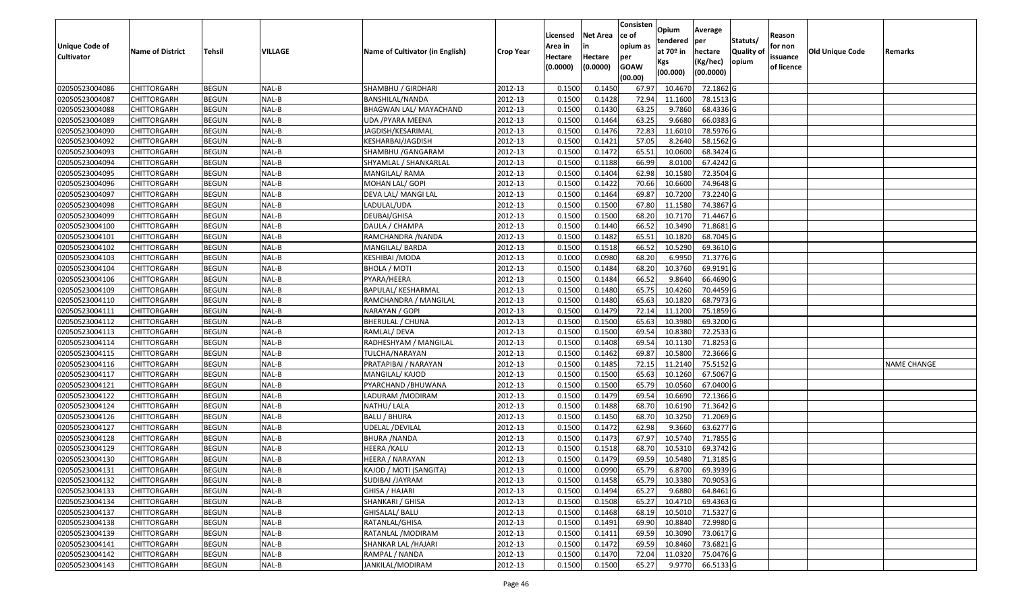|                   |                         |               |         |                                 |                  |          |                 | Consisten   | Opium       | Average   |                  |            |                        |                    |
|-------------------|-------------------------|---------------|---------|---------------------------------|------------------|----------|-----------------|-------------|-------------|-----------|------------------|------------|------------------------|--------------------|
|                   |                         |               |         |                                 |                  | Licensed | <b>Net Area</b> | ce of       | tendered    | per       | Statuts/         | Reason     |                        |                    |
| Unique Code of    | <b>Name of District</b> | <b>Tehsil</b> | VILLAGE | Name of Cultivator (in English) | <b>Crop Year</b> | Area in  | in              | opium as    | at $70°$ in | hectare   | <b>Quality o</b> | for non    | <b>Old Unique Code</b> | Remarks            |
| <b>Cultivator</b> |                         |               |         |                                 |                  | Hectare  | Hectare         | per         | Kgs         | (Kg/hec)  | opium            | issuance   |                        |                    |
|                   |                         |               |         |                                 |                  | (0.0000) | (0.0000)        | <b>GOAW</b> | (00.000)    | (00.0000) |                  | of licence |                        |                    |
|                   |                         |               |         |                                 |                  |          |                 | (00.00)     |             |           |                  |            |                        |                    |
| 02050523004086    | CHITTORGARH             | <b>BEGUN</b>  | NAL-B   | SHAMBHU / GIRDHARI              | 2012-13          | 0.1500   | 0.1450          | 67.97       | 10.4670     | 72.1862 G |                  |            |                        |                    |
| 02050523004087    | CHITTORGARH             | <b>BEGUN</b>  | NAL-B   | BANSHILAL/NANDA                 | 2012-13          | 0.1500   | 0.1428          | 72.94       | 11.1600     | 78.1513 G |                  |            |                        |                    |
| 02050523004088    | CHITTORGARH             | <b>BEGUN</b>  | NAL-B   | BHAGWAN LAL/ MAYACHAND          | 2012-13          | 0.1500   | 0.1430          | 63.25       | 9.7860      | 68.4336 G |                  |            |                        |                    |
| 02050523004089    | <b>CHITTORGARH</b>      | <b>BEGUN</b>  | NAL-B   | UDA /PYARA MEENA                | 2012-13          | 0.1500   | 0.1464          | 63.25       | 9.6680      | 66.0383 G |                  |            |                        |                    |
| 02050523004090    | CHITTORGARH             | <b>BEGUN</b>  | NAL-B   | JAGDISH/KESARIMAL               | 2012-13          | 0.1500   | 0.1476          | 72.83       | 11.6010     | 78.5976 G |                  |            |                        |                    |
| 02050523004092    | CHITTORGARH             | <b>BEGUN</b>  | NAL-B   | KESHARBAI/JAGDISH               | 2012-13          | 0.1500   | 0.1421          | 57.05       | 8.2640      | 58.1562 G |                  |            |                        |                    |
| 02050523004093    | CHITTORGARH             | <b>BEGUN</b>  | NAL-B   | SHAMBHU /GANGARAM               | 2012-13          | 0.1500   | 0.1472          | 65.51       | 10.0600     | 68.3424 G |                  |            |                        |                    |
| 02050523004094    | CHITTORGARH             | <b>BEGUN</b>  | NAL-B   | SHYAMLAL / SHANKARLAL           | 2012-13          | 0.1500   | 0.1188          | 66.99       | 8.0100      | 67.4242 G |                  |            |                        |                    |
| 02050523004095    | CHITTORGARH             | <b>BEGUN</b>  | NAL-B   | MANGILAL/ RAMA                  | 2012-13          | 0.1500   | 0.1404          | 62.98       | 10.1580     | 72.3504 G |                  |            |                        |                    |
| 02050523004096    | CHITTORGARH             | <b>BEGUN</b>  | NAL-B   | MOHAN LAL/ GOPI                 | 2012-13          | 0.1500   | 0.1422          | 70.66       | 10.6600     | 74.9648 G |                  |            |                        |                    |
| 02050523004097    | CHITTORGARH             | <b>BEGUN</b>  | NAL-B   | DEVA LAL/ MANGI LAL             | 2012-13          | 0.1500   | 0.1464          | 69.87       | 10.7200     | 73.2240 G |                  |            |                        |                    |
| 02050523004098    | CHITTORGARH             | <b>BEGUN</b>  | NAL-B   | LADULAL/UDA                     | 2012-13          | 0.1500   | 0.1500          | 67.80       | 11.1580     | 74.3867 G |                  |            |                        |                    |
| 02050523004099    | <b>CHITTORGARH</b>      | <b>BEGUN</b>  | NAL-B   | DEUBAI/GHISA                    | 2012-13          | 0.1500   | 0.1500          | 68.20       | 10.7170     | 71.4467 G |                  |            |                        |                    |
| 02050523004100    | <b>CHITTORGARH</b>      | <b>BEGUN</b>  | NAL-B   | DAULA / CHAMPA                  | 2012-13          | 0.1500   | 0.1440          | 66.52       | 10.3490     | 71.8681 G |                  |            |                        |                    |
| 02050523004101    | <b>CHITTORGARH</b>      | <b>BEGUN</b>  | NAL-B   | RAMCHANDRA / NANDA              | 2012-13          | 0.1500   | 0.1482          | 65.51       | 10.1820     | 68.7045 G |                  |            |                        |                    |
| 02050523004102    | CHITTORGARH             | <b>BEGUN</b>  | NAL-B   | MANGILAL/ BARDA                 | 2012-13          | 0.1500   | 0.1518          | 66.52       | 10.5290     | 69.3610 G |                  |            |                        |                    |
| 02050523004103    | CHITTORGARH             | <b>BEGUN</b>  | NAL-B   | KESHIBAI /MODA                  | 2012-13          | 0.1000   | 0.0980          | 68.20       | 6.9950      | 71.3776 G |                  |            |                        |                    |
| 02050523004104    | CHITTORGARH             | <b>BEGUN</b>  | NAL-B   | <b>BHOLA / MOTI</b>             | 2012-13          | 0.1500   | 0.1484          | 68.20       | 10.3760     | 69.9191G  |                  |            |                        |                    |
| 02050523004106    | CHITTORGARH             | <b>BEGUN</b>  | NAL-B   | PYARA/HEERA                     | 2012-13          | 0.1500   | 0.1484          | 66.52       | 9.8640      | 66.4690 G |                  |            |                        |                    |
| 02050523004109    | CHITTORGARH             | <b>BEGUN</b>  | NAL-B   | BAPULAL/ KESHARMAL              | 2012-13          | 0.1500   | 0.1480          | 65.75       | 10.4260     | 70.4459 G |                  |            |                        |                    |
| 02050523004110    | CHITTORGARH             | <b>BEGUN</b>  | NAL-B   | RAMCHANDRA / MANGILAL           | 2012-13          | 0.1500   | 0.1480          | 65.63       | 10.1820     | 68.7973 G |                  |            |                        |                    |
| 02050523004111    | CHITTORGARH             | <b>BEGUN</b>  | NAL-B   | NARAYAN / GOPI                  | 2012-13          | 0.1500   | 0.1479          | 72.1        | 11.1200     | 75.1859 G |                  |            |                        |                    |
| 02050523004112    | CHITTORGARH             | <b>BEGUN</b>  | NAL-B   | BHERULAL / CHUNA                | 2012-13          | 0.1500   | 0.1500          | 65.63       | 10.3980     | 69.3200 G |                  |            |                        |                    |
| 02050523004113    | CHITTORGARH             | <b>BEGUN</b>  | NAL-B   | RAMLAL/ DEVA                    | 2012-13          | 0.1500   | 0.1500          | 69.54       | 10.8380     | 72.2533 G |                  |            |                        |                    |
| 02050523004114    | CHITTORGARH             | <b>BEGUN</b>  | NAL-B   | RADHESHYAM / MANGILAL           | 2012-13          | 0.1500   | 0.1408          | 69.54       | 10.1130     | 71.8253 G |                  |            |                        |                    |
| 02050523004115    | CHITTORGARH             | <b>BEGUN</b>  | NAL-B   | TULCHA/NARAYAN                  | 2012-13          | 0.1500   | 0.1462          | 69.87       | 10.5800     | 72.3666 G |                  |            |                        |                    |
| 02050523004116    | CHITTORGARH             | <b>BEGUN</b>  | NAL-B   | PRATAPIBAI / NARAYAN            | 2012-13          | 0.1500   | 0.1485          | 72.15       | 11.2140     | 75.5152G  |                  |            |                        | <b>NAME CHANGE</b> |
| 02050523004117    | CHITTORGARH             | <b>BEGUN</b>  | NAL-B   | MANGILAL/ KAJOD                 | 2012-13          | 0.1500   | 0.1500          | 65.63       | 10.1260     | 67.5067 G |                  |            |                        |                    |
| 02050523004121    | CHITTORGARH             | <b>BEGUN</b>  | NAL-B   | PYARCHAND /BHUWANA              | 2012-13          | 0.1500   | 0.1500          | 65.79       | 10.0560     | 67.0400 G |                  |            |                        |                    |
| 02050523004122    | CHITTORGARH             | <b>BEGUN</b>  | NAL-B   | LADURAM /MODIRAM                | 2012-13          | 0.1500   | 0.1479          | 69.54       | 10.6690     | 72.1366 G |                  |            |                        |                    |
| 02050523004124    | CHITTORGARH             | <b>BEGUN</b>  | NAL-B   | NATHU/ LALA                     | 2012-13          | 0.1500   | 0.1488          | 68.7        | 10.6190     | 71.3642 G |                  |            |                        |                    |
| 02050523004126    | CHITTORGARH             | <b>BEGUN</b>  | NAL-B   | BALU / BHURA                    | 2012-13          | 0.1500   | 0.1450          | 68.70       | 10.3250     | 71.2069 G |                  |            |                        |                    |
| 02050523004127    | CHITTORGARH             | <b>BEGUN</b>  | NAL-B   | JDELAL /DEVILAL                 | 2012-13          | 0.1500   | 0.1472          | 62.98       | 9.3660      | 63.6277 G |                  |            |                        |                    |
| 02050523004128    | CHITTORGARH             | <b>BEGUN</b>  | NAL-B   | <b>BHURA /NANDA</b>             | 2012-13          | 0.1500   | 0.1473          | 67.97       | 10.5740     | 71.7855 G |                  |            |                        |                    |
| 02050523004129    | CHITTORGARH             | <b>BEGUN</b>  | NAL-B   | HEERA /KALU                     | 2012-13          | 0.1500   | 0.1518          | 68.70       | 10.531      | 69.3742 G |                  |            |                        |                    |
| 02050523004130    | CHITTORGARH             | <b>BEGUN</b>  | NAL-B   | HEERA / NARAYAN                 | 2012-13          | 0.1500   | 0.1479          | 69.59       | 10.5480     | 71.3185 G |                  |            |                        |                    |
| 02050523004131    | CHITTORGARH             | <b>BEGUN</b>  | NAL-B   | KAJOD / MOTI (SANGITA)          | 2012-13          | 0.1000   | 0.0990          | 65.79       | 6.8700      | 69.3939 G |                  |            |                        |                    |
| 02050523004132    | <b>CHITTORGARH</b>      | <b>BEGUN</b>  | NAL-B   | SUDIBAI /JAYRAM                 | 2012-13          | 0.1500   | 0.1458          | 65.79       | 10.3380     | 70.9053 G |                  |            |                        |                    |
| 02050523004133    | <b>CHITTORGARH</b>      | <b>BEGUN</b>  | NAL-B   | GHISA / HAJARI                  | 2012-13          | 0.1500   | 0.1494          | 65.27       | 9.6880      | 64.8461 G |                  |            |                        |                    |
| 02050523004134    | <b>CHITTORGARH</b>      | <b>BEGUN</b>  | NAL-B   | SHANKARI / GHISA                | 2012-13          | 0.1500   | 0.1508          | 65.27       | 10.4710     | 69.4363 G |                  |            |                        |                    |
| 02050523004137    | <b>CHITTORGARH</b>      | <b>BEGUN</b>  | NAL-B   | GHISALAL/ BALU                  | 2012-13          | 0.1500   | 0.1468          | 68.19       | 10.5010     | 71.5327 G |                  |            |                        |                    |
| 02050523004138    | <b>CHITTORGARH</b>      | <b>BEGUN</b>  | NAL-B   | RATANLAL/GHISA                  | 2012-13          | 0.1500   | 0.1491          | 69.90       | 10.8840     | 72.9980 G |                  |            |                        |                    |
| 02050523004139    | <b>CHITTORGARH</b>      | <b>BEGUN</b>  | NAL-B   | RATANLAL / MODIRAM              | 2012-13          | 0.1500   | 0.1411          | 69.59       | 10.3090     | 73.0617 G |                  |            |                        |                    |
| 02050523004141    | <b>CHITTORGARH</b>      | <b>BEGUN</b>  | NAL-B   | SHANKAR LAL /HAJARI             | 2012-13          | 0.1500   | 0.1472          | 69.59       | 10.8460     | 73.6821 G |                  |            |                        |                    |
| 02050523004142    | <b>CHITTORGARH</b>      | <b>BEGUN</b>  | $NAL-B$ | RAMPAL / NANDA                  | 2012-13          | 0.1500   | 0.1470          | 72.04       | 11.0320     | 75.0476 G |                  |            |                        |                    |
| 02050523004143    | <b>CHITTORGARH</b>      | <b>BEGUN</b>  | $NAL-B$ | JANKILAL/MODIRAM                | 2012-13          | 0.1500   | 0.1500          | 65.27       | 9.9770      | 66.5133 G |                  |            |                        |                    |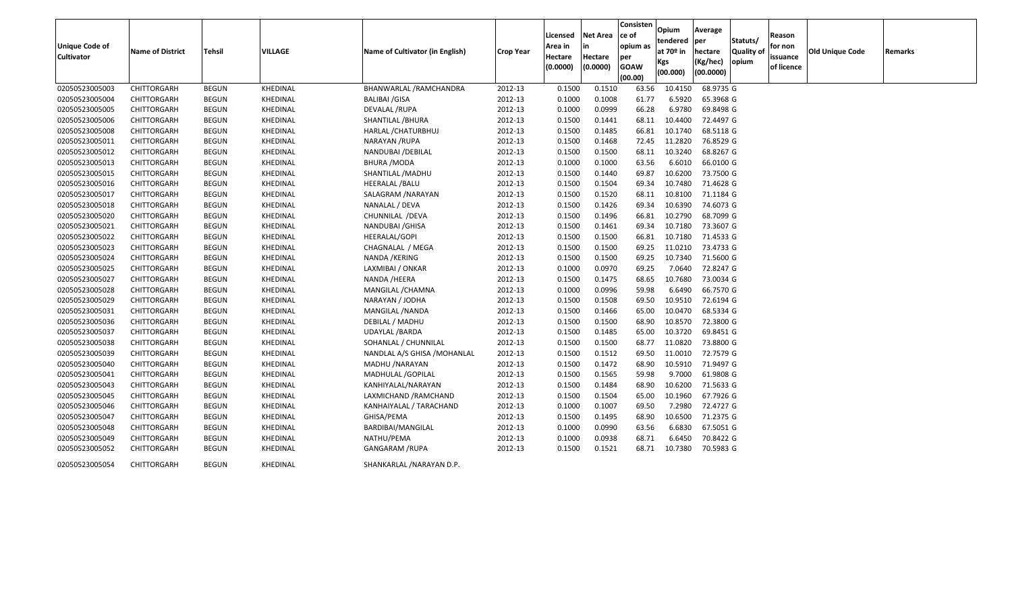| <b>Unique Code of</b><br><b>Cultivator</b> | <b>Name of District</b> | <b>Tehsil</b> | VILLAGE         | Name of Cultivator (in English) | <b>Crop Year</b> | Licensed<br>Area in<br>Hectare<br>(0.0000) | <b>Net Area</b><br>in<br>Hectare<br>(0.0000) | Consisten<br>ce of<br>opium as<br>per<br><b>GOAW</b><br>(00.00) | Opium<br>tendered<br>at $70°$ in<br>Kgs<br>(00.000) | Average<br>per<br>hectare<br>(Kg/hec)<br>(00.0000) | Statuts/<br><b>Quality of</b><br>opium | Reason<br>for non<br>issuance<br>of licence | Old Unique Code | Remarks |
|--------------------------------------------|-------------------------|---------------|-----------------|---------------------------------|------------------|--------------------------------------------|----------------------------------------------|-----------------------------------------------------------------|-----------------------------------------------------|----------------------------------------------------|----------------------------------------|---------------------------------------------|-----------------|---------|
| 02050523005003                             | CHITTORGARH             | <b>BEGUN</b>  | KHEDINAL        | BHANWARLAL /RAMCHANDRA          | 2012-13          | 0.1500                                     | 0.1510                                       | 63.56                                                           | 10.4150                                             | 68.9735 G                                          |                                        |                                             |                 |         |
| 02050523005004                             | CHITTORGARH             | <b>BEGUN</b>  | KHEDINAL        | BALIBAI /GISA                   | 2012-13          | 0.1000                                     | 0.1008                                       | 61.77                                                           | 6.5920                                              | 65.3968 G                                          |                                        |                                             |                 |         |
| 02050523005005                             | CHITTORGARH             | <b>BEGUN</b>  | KHEDINAL        | DEVALAL /RUPA                   | 2012-13          | 0.1000                                     | 0.0999                                       | 66.28                                                           | 6.9780                                              | 69.8498 G                                          |                                        |                                             |                 |         |
| 02050523005006                             | CHITTORGARH             | <b>BEGUN</b>  | KHEDINAL        | SHANTILAL / BHURA               | 2012-13          | 0.1500                                     | 0.1441                                       | 68.11                                                           | 10.4400                                             | 72.4497 G                                          |                                        |                                             |                 |         |
| 02050523005008                             | CHITTORGARH             | <b>BEGUN</b>  | KHEDINAL        | HARLAL / CHATURBHUJ             | 2012-13          | 0.1500                                     | 0.1485                                       | 66.81                                                           | 10.1740                                             | 68.5118 G                                          |                                        |                                             |                 |         |
| 02050523005011                             | CHITTORGARH             | <b>BEGUN</b>  | KHEDINAL        | NARAYAN /RUPA                   | 2012-13          | 0.1500                                     | 0.1468                                       | 72.45                                                           | 11.2820                                             | 76.8529 G                                          |                                        |                                             |                 |         |
| 02050523005012                             | CHITTORGARH             | <b>BEGUN</b>  | KHEDINAL        | NANDUBAI / DEBILAL              | 2012-13          | 0.1500                                     | 0.1500                                       | 68.11                                                           | 10.3240                                             | 68.8267 G                                          |                                        |                                             |                 |         |
| 02050523005013                             | CHITTORGARH             | <b>BEGUN</b>  | KHEDINAL        | <b>BHURA /MODA</b>              | 2012-13          | 0.1000                                     | 0.1000                                       | 63.56                                                           | 6.6010                                              | 66.0100 G                                          |                                        |                                             |                 |         |
| 02050523005015                             | CHITTORGARH             | <b>BEGUN</b>  | KHEDINAL        | SHANTILAL / MADHU               | 2012-13          | 0.1500                                     | 0.1440                                       | 69.87                                                           | 10.6200                                             | 73.7500 G                                          |                                        |                                             |                 |         |
| 02050523005016                             | CHITTORGARH             | <b>BEGUN</b>  | KHEDINAL        | <b>HEERALAL /BALU</b>           | 2012-13          | 0.1500                                     | 0.1504                                       | 69.34                                                           | 10.7480                                             | 71.4628 G                                          |                                        |                                             |                 |         |
| 02050523005017                             | CHITTORGARH             | <b>BEGUN</b>  | KHEDINAL        | SALAGRAM / NARAYAN              | 2012-13          | 0.1500                                     | 0.1520                                       | 68.11                                                           | 10.8100                                             | 71.1184 G                                          |                                        |                                             |                 |         |
| 02050523005018                             | CHITTORGARH             | <b>BEGUN</b>  | KHEDINAL        | NANALAL / DEVA                  | 2012-13          | 0.1500                                     | 0.1426                                       | 69.34                                                           | 10.6390                                             | 74.6073 G                                          |                                        |                                             |                 |         |
| 02050523005020                             | CHITTORGARH             | <b>BEGUN</b>  | KHEDINAL        | CHUNNILAL / DEVA                | 2012-13          | 0.1500                                     | 0.1496                                       | 66.81                                                           | 10.2790                                             | 68.7099 G                                          |                                        |                                             |                 |         |
| 02050523005021                             | CHITTORGARH             | <b>BEGUN</b>  | KHEDINAL        | NANDUBAI / GHISA                | 2012-13          | 0.1500                                     | 0.1461                                       | 69.34                                                           | 10.7180                                             | 73.3607 G                                          |                                        |                                             |                 |         |
| 02050523005022                             | CHITTORGARH             | <b>BEGUN</b>  | KHEDINAL        | <b>HEERALAL/GOPI</b>            | 2012-13          | 0.1500                                     | 0.1500                                       | 66.81                                                           | 10.7180                                             | 71.4533 G                                          |                                        |                                             |                 |         |
| 02050523005023                             | CHITTORGARH             | <b>BEGUN</b>  | KHEDINAL        | CHAGNALAL / MEGA                | 2012-13          | 0.1500                                     | 0.1500                                       | 69.25                                                           | 11.0210                                             | 73.4733 G                                          |                                        |                                             |                 |         |
| 02050523005024                             | CHITTORGARH             | <b>BEGUN</b>  | KHEDINAL        | NANDA / KERING                  | 2012-13          | 0.1500                                     | 0.1500                                       | 69.25                                                           | 10.7340                                             | 71.5600 G                                          |                                        |                                             |                 |         |
| 02050523005025                             | CHITTORGARH             | <b>BEGUN</b>  | KHEDINAL        | LAXMIBAI / ONKAR                | 2012-13          | 0.1000                                     | 0.0970                                       | 69.25                                                           | 7.0640                                              | 72.8247 G                                          |                                        |                                             |                 |         |
| 02050523005027                             | CHITTORGARH             | <b>BEGUN</b>  | KHEDINAL        | NANDA / HEERA                   | 2012-13          | 0.1500                                     | 0.1475                                       | 68.65                                                           | 10.7680                                             | 73.0034 G                                          |                                        |                                             |                 |         |
| 02050523005028                             | CHITTORGARH             | <b>BEGUN</b>  | KHEDINAL        | MANGILAL / CHAMNA               | 2012-13          | 0.1000                                     | 0.0996                                       | 59.98                                                           | 6.6490                                              | 66.7570 G                                          |                                        |                                             |                 |         |
| 02050523005029                             | CHITTORGARH             | <b>BEGUN</b>  | KHEDINAL        | NARAYAN / JODHA                 | 2012-13          | 0.1500                                     | 0.1508                                       | 69.50                                                           | 10.9510                                             | 72.6194 G                                          |                                        |                                             |                 |         |
| 02050523005031                             | CHITTORGARH             | <b>BEGUN</b>  | KHEDINAL        | MANGILAL / NANDA                | 2012-13          | 0.1500                                     | 0.1466                                       | 65.00                                                           | 10.0470                                             | 68.5334 G                                          |                                        |                                             |                 |         |
| 02050523005036                             | CHITTORGARH             | <b>BEGUN</b>  | KHEDINAL        | DEBILAL / MADHU                 | 2012-13          | 0.1500                                     | 0.1500                                       | 68.90                                                           | 10.8570                                             | 72.3800 G                                          |                                        |                                             |                 |         |
| 02050523005037                             | CHITTORGARH             | <b>BEGUN</b>  | KHEDINAL        | UDAYLAL / BARDA                 | 2012-13          | 0.1500                                     | 0.1485                                       | 65.00                                                           | 10.3720                                             | 69.8451 G                                          |                                        |                                             |                 |         |
| 02050523005038                             | CHITTORGARH             | <b>BEGUN</b>  | KHEDINAL        | SOHANLAL / CHUNNILAL            | 2012-13          | 0.1500                                     | 0.1500                                       | 68.77                                                           | 11.0820                                             | 73.8800 G                                          |                                        |                                             |                 |         |
| 02050523005039                             | CHITTORGARH             | <b>BEGUN</b>  | KHEDINAL        | NANDLAL A/S GHISA / MOHANLAL    | 2012-13          | 0.1500                                     | 0.1512                                       | 69.50                                                           | 11.0010                                             | 72.7579 G                                          |                                        |                                             |                 |         |
| 02050523005040                             | CHITTORGARH             | <b>BEGUN</b>  | KHEDINAL        | MADHU / NARAYAN                 | 2012-13          | 0.1500                                     | 0.1472                                       | 68.90                                                           | 10.5910                                             | 71.9497 G                                          |                                        |                                             |                 |         |
| 02050523005041                             | CHITTORGARH             | <b>BEGUN</b>  | KHEDINAL        | MADHULAL / GOPILAL              | 2012-13          | 0.1500                                     | 0.1565                                       | 59.98                                                           | 9.7000                                              | 61.9808 G                                          |                                        |                                             |                 |         |
| 02050523005043                             | CHITTORGARH             | <b>BEGUN</b>  | KHEDINAL        | KANHIYALAL/NARAYAN              | 2012-13          | 0.1500                                     | 0.1484                                       | 68.90                                                           | 10.6200                                             | 71.5633 G                                          |                                        |                                             |                 |         |
| 02050523005045                             | CHITTORGARH             | BEGUN         | KHEDINAL        | LAXMICHAND / RAMCHAND           | 2012-13          | 0.1500                                     | 0.1504                                       | 65.00                                                           | 10.1960                                             | 67.7926 G                                          |                                        |                                             |                 |         |
| 02050523005046                             | CHITTORGARH             | <b>BEGUN</b>  | KHEDINAL        | KANHAIYALAL / TARACHAND         | 2012-13          | 0.1000                                     | 0.1007                                       | 69.50                                                           | 7.2980                                              | 72.4727 G                                          |                                        |                                             |                 |         |
| 02050523005047                             | CHITTORGARH             | <b>BEGUN</b>  | KHEDINAL        | GHISA/PEMA                      | 2012-13          | 0.1500                                     | 0.1495                                       | 68.90                                                           | 10.6500                                             | 71.2375 G                                          |                                        |                                             |                 |         |
| 02050523005048                             | CHITTORGARH             | <b>BEGUN</b>  | KHEDINAL        | BARDIBAI/MANGILAL               | 2012-13          | 0.1000                                     | 0.0990                                       | 63.56                                                           | 6.6830                                              | 67.5051 G                                          |                                        |                                             |                 |         |
| 02050523005049                             | CHITTORGARH             | BEGUN         | KHEDINAL        | NATHU/PEMA                      | 2012-13          | 0.1000                                     | 0.0938                                       | 68.71                                                           | 6.6450                                              | 70.8422 G                                          |                                        |                                             |                 |         |
| 02050523005052                             | CHITTORGARH             | BEGUN         | KHEDINAL        | <b>GANGARAM /RUPA</b>           | 2012-13          | 0.1500                                     | 0.1521                                       | 68.71                                                           | 10.7380                                             | 70.5983 G                                          |                                        |                                             |                 |         |
| 02050523005054                             | CHITTORGARH             | <b>BEGUN</b>  | <b>KHEDINAL</b> | SHANKARLAL /NARAYAN D.P.        |                  |                                            |                                              |                                                                 |                                                     |                                                    |                                        |                                             |                 |         |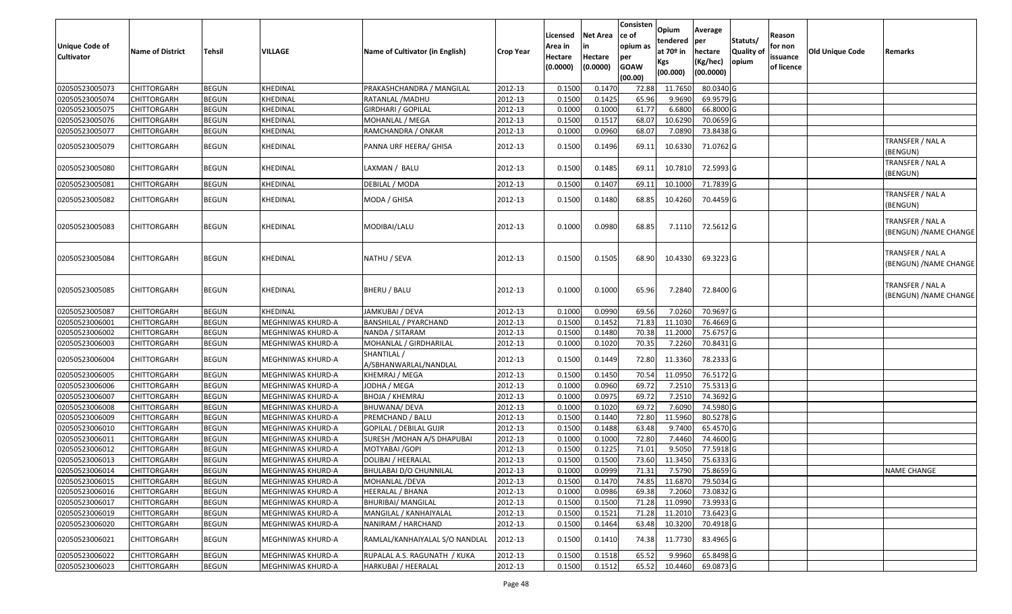| <b>Unique Code of</b><br>Cultivator | <b>Name of District</b> | <b>Tehsil</b> | <b>VILLAGE</b>           | Name of Cultivator (in English)      | <b>Crop Year</b> | Licensed<br>Area in<br>Hectare<br>(0.0000) | <b>Net Area</b><br>Hectare<br>(0.0000) | <b>Consisten</b><br>ce of<br>opium as<br>per<br><b>GOAW</b><br>(00.00) | <b>Opium</b><br>tendered per<br>at 70 <sup>o</sup> in<br><b>Kgs</b><br>(00.000) | Average<br>hectare<br>(Kg/hec)<br>(00.0000) | Statuts/<br>Quality of<br>opium | Reason<br>for non<br>issuance<br>of licence | Old Unique Code | Remarks                                    |
|-------------------------------------|-------------------------|---------------|--------------------------|--------------------------------------|------------------|--------------------------------------------|----------------------------------------|------------------------------------------------------------------------|---------------------------------------------------------------------------------|---------------------------------------------|---------------------------------|---------------------------------------------|-----------------|--------------------------------------------|
| 02050523005073                      | <b>CHITTORGARH</b>      | <b>BEGUN</b>  | KHEDINAL                 | PRAKASHCHANDRA / MANGILAL            | 2012-13          | 0.1500                                     | 0.1470                                 | 72.88                                                                  | 11.7650                                                                         | 80.0340 G                                   |                                 |                                             |                 |                                            |
| 02050523005074                      | <b>CHITTORGARH</b>      | <b>BEGUN</b>  | KHEDINAL                 | RATANLAL / MADHU                     | 2012-13          | 0.1500                                     | 0.1425                                 | 65.96                                                                  | 9.9690                                                                          | 69.9579 G                                   |                                 |                                             |                 |                                            |
| 02050523005075                      | CHITTORGARH             | <b>BEGUN</b>  | KHEDINAL                 | <b>GIRDHARI / GOPILAL</b>            | 2012-13          | 0.1000                                     | 0.1000                                 | 61.77                                                                  | 6.6800                                                                          | 66.8000 G                                   |                                 |                                             |                 |                                            |
| 02050523005076                      | CHITTORGARH             | <b>BEGUN</b>  | KHEDINAL                 | MOHANLAL / MEGA                      | 2012-13          | 0.1500                                     | 0.1517                                 | 68.07                                                                  | 10.6290                                                                         | 70.0659 G                                   |                                 |                                             |                 |                                            |
| 02050523005077                      | <b>CHITTORGARH</b>      | <b>BEGUN</b>  | KHEDINAL                 | RAMCHANDRA / ONKAR                   | 2012-13          | 0.1000                                     | 0.0960                                 | 68.07                                                                  | 7.0890                                                                          | 73.8438 G                                   |                                 |                                             |                 |                                            |
| 02050523005079                      | <b>CHITTORGARH</b>      | <b>BEGUN</b>  | KHEDINAL                 | PANNA URF HEERA/ GHISA               | 2012-13          | 0.1500                                     | 0.1496                                 | 69.11                                                                  | 10.6330                                                                         | 71.0762 G                                   |                                 |                                             |                 | TRANSFER / NAL A<br>(BENGUN)               |
| 02050523005080                      | <b>CHITTORGARH</b>      | <b>BEGUN</b>  | KHEDINAL                 | LAXMAN / BALU                        | 2012-13          | 0.1500                                     | 0.1485                                 | 69.11                                                                  | 10.7810                                                                         | 72.5993 G                                   |                                 |                                             |                 | TRANSFER / NAL A<br>(BENGUN)               |
| 02050523005081                      | <b>CHITTORGARH</b>      | <b>BEGUN</b>  | KHEDINAL                 | DEBILAL / MODA                       | 2012-13          | 0.1500                                     | 0.1407                                 | 69.11                                                                  | 10.1000                                                                         | 71.7839 G                                   |                                 |                                             |                 |                                            |
| 02050523005082                      | CHITTORGARH             | <b>BEGUN</b>  | KHEDINAL                 | MODA / GHISA                         | 2012-13          | 0.1500                                     | 0.1480                                 | 68.85                                                                  | 10.4260                                                                         | 70.4459 G                                   |                                 |                                             |                 | TRANSFER / NAL A<br>(BENGUN)               |
| 02050523005083                      | <b>CHITTORGARH</b>      | <b>BEGUN</b>  | KHEDINAL                 | MODIBAI/LALU                         | 2012-13          | 0.1000                                     | 0.0980                                 | 68.85                                                                  | 7.1110                                                                          | 72.5612 G                                   |                                 |                                             |                 | TRANSFER / NAL A<br>(BENGUN) /NAME CHANGE  |
| 02050523005084                      | CHITTORGARH             | <b>BEGUN</b>  | KHEDINAL                 | NATHU / SEVA                         | 2012-13          | 0.1500                                     | 0.1505                                 | 68.90                                                                  | 10.4330                                                                         | 69.3223 G                                   |                                 |                                             |                 | TRANSFER / NAL A<br>(BENGUN) /NAME CHANGE  |
| 02050523005085                      | <b>CHITTORGARH</b>      | <b>BEGUN</b>  | KHEDINAL                 | <b>BHERU / BALU</b>                  | 2012-13          | 0.1000                                     | 0.1000                                 | 65.96                                                                  | 7.2840                                                                          | 72.8400 G                                   |                                 |                                             |                 | TRANSFER / NAL A<br>(BENGUN) / NAME CHANGE |
| 02050523005087                      | <b>CHITTORGARH</b>      | <b>BEGUN</b>  | KHEDINAL                 | JAMKUBAI / DEVA                      | 2012-13          | 0.100                                      | 0.0990                                 | 69.56                                                                  | 7.0260                                                                          | 70.9697 G                                   |                                 |                                             |                 |                                            |
| 02050523006001                      | <b>CHITTORGARH</b>      | <b>BEGUN</b>  | MEGHNIWAS KHURD-A        | <b>BANSHILAL / PYARCHAND</b>         | 2012-13          | 0.1500                                     | 0.1452                                 | 71.83                                                                  | 11.1030                                                                         | 76.4669 G                                   |                                 |                                             |                 |                                            |
| 02050523006002                      | <b>CHITTORGARH</b>      | <b>BEGUN</b>  | MEGHNIWAS KHURD-A        | NANDA / SITARAM                      | 2012-13          | 0.1500                                     | 0.1480                                 | 70.38                                                                  | 11.2000                                                                         | 75.6757 G                                   |                                 |                                             |                 |                                            |
| 02050523006003                      | <b>CHITTORGARH</b>      | <b>BEGUN</b>  | MEGHNIWAS KHURD-A        | MOHANLAL / GIRDHARILAL               | 2012-13          | 0.1000                                     | 0.1020                                 | 70.35                                                                  | 7.2260                                                                          | 70.8431 G                                   |                                 |                                             |                 |                                            |
| 02050523006004                      | <b>CHITTORGARH</b>      | <b>BEGUN</b>  | MEGHNIWAS KHURD-A        | SHANTILAL /<br>A/SBHANWARLAL/NANDLAL | 2012-13          | 0.1500                                     | 0.1449                                 | 72.80                                                                  | 11.3360                                                                         | 78.2333 G                                   |                                 |                                             |                 |                                            |
| 02050523006005                      | <b>CHITTORGARH</b>      | <b>BEGUN</b>  | MEGHNIWAS KHURD-A        | KHEMRAJ / MEGA                       | 2012-13          | 0.1500                                     | 0.1450                                 | 70.54                                                                  | 11.0950                                                                         | 76.5172 G                                   |                                 |                                             |                 |                                            |
| 02050523006006                      | <b>CHITTORGARH</b>      | <b>BEGUN</b>  | MEGHNIWAS KHURD-A        | JODHA / MEGA                         | 2012-13          | 0.1000                                     | 0.0960                                 | 69.72                                                                  | 7.2510                                                                          | 75.5313 G                                   |                                 |                                             |                 |                                            |
| 02050523006007                      | <b>CHITTORGARH</b>      | <b>BEGUN</b>  | MEGHNIWAS KHURD-A        | <b>BHOJA / KHEMRAJ</b>               | 2012-13          | 0.1000                                     | 0.0975                                 | 69.72                                                                  | 7.2510                                                                          | 74.3692 G                                   |                                 |                                             |                 |                                            |
| 02050523006008                      | <b>CHITTORGARH</b>      | <b>BEGUN</b>  | MEGHNIWAS KHURD-A        | BHUWANA/ DEVA                        | 2012-13          | 0.1000                                     | 0.1020                                 | 69.72                                                                  | 7.6090                                                                          | 74.5980 G                                   |                                 |                                             |                 |                                            |
| 02050523006009                      | <b>CHITTORGARH</b>      | <b>BEGUN</b>  | <b>MEGHNIWAS KHURD-A</b> | PREMCHAND / BALU                     | 2012-13          | 0.1500                                     | 0.1440                                 | 72.80                                                                  | 11.5960                                                                         | 80.5278 G                                   |                                 |                                             |                 |                                            |
| 02050523006010                      | <b>CHITTORGARH</b>      | <b>BEGUN</b>  | MEGHNIWAS KHURD-A        | GOPILAL / DEBILAL GUJR               | 2012-13          | 0.1500                                     | 0.1488                                 | 63.48                                                                  | 9.7400                                                                          | 65.4570 G                                   |                                 |                                             |                 |                                            |
| 02050523006011                      | <b>CHITTORGARH</b>      | <b>BEGUN</b>  | MEGHNIWAS KHURD-A        | SURESH / MOHAN A/S DHAPUBAI          | 2012-13          | 0.1000                                     | 0.1000                                 | 72.80                                                                  | 7.4460                                                                          | 74.4600 G                                   |                                 |                                             |                 |                                            |
| 02050523006012                      | <b>CHITTORGARH</b>      | <b>BEGUN</b>  | MEGHNIWAS KHURD-A        | MOTYABAI / GOPI                      | 2012-13          | 0.1500                                     | 0.1225                                 | 71.01                                                                  | 9.505                                                                           | 77.5918 G                                   |                                 |                                             |                 |                                            |
| 02050523006013                      | <b>CHITTORGARH</b>      | <b>BEGUN</b>  | MEGHNIWAS KHURD-A        | DOLIBAI / HEERALAL                   | 2012-13          | 0.1500                                     | 0.1500                                 | 73.60                                                                  | 11.345                                                                          | 75.6333 G                                   |                                 |                                             |                 |                                            |
| 02050523006014                      | <b>CHITTORGARH</b>      | <b>BEGUN</b>  | MEGHNIWAS KHURD-A        | BHULABAI D/O CHUNNILAL               | 2012-13          | 0.1000                                     | 0.0999                                 | 71.31                                                                  | 7.5790                                                                          | 75.8659 G                                   |                                 |                                             |                 | NAME CHANGE                                |
| 02050523006015                      | <b>CHITTORGARH</b>      | <b>BEGUN</b>  | MEGHNIWAS KHURD-A        | MOHANLAL / DEVA                      | 2012-13          | 0.1500                                     | 0.1470                                 | 74.85                                                                  | 11.6870                                                                         | 79.5034 G                                   |                                 |                                             |                 |                                            |
| 02050523006016                      | <b>CHITTORGARH</b>      | <b>BEGUN</b>  | MEGHNIWAS KHURD-A        | HEERALAL / BHANA                     | 2012-13          | 0.1000                                     | 0.0986                                 | 69.38                                                                  | 7.2060                                                                          | 73.0832 G                                   |                                 |                                             |                 |                                            |
| 02050523006017                      | <b>CHITTORGARH</b>      | <b>BEGUN</b>  | MEGHNIWAS KHURD-A        | <b>BHURIBAI/ MANGILAL</b>            | 2012-13          | 0.1500                                     | 0.1500                                 | 71.28                                                                  | 11.0990                                                                         | 73.9933 G                                   |                                 |                                             |                 |                                            |
| 02050523006019                      | <b>CHITTORGARH</b>      | <b>BEGUN</b>  | MEGHNIWAS KHURD-A        | MANGILAL / KANHAIYALAL               | 2012-13          | 0.1500                                     | 0.1521                                 | 71.28                                                                  | 11.2010                                                                         | 73.6423 G                                   |                                 |                                             |                 |                                            |
| 02050523006020                      | <b>CHITTORGARH</b>      | <b>BEGUN</b>  | MEGHNIWAS KHURD-A        | NANIRAM / HARCHAND                   | 2012-13          | 0.1500                                     | 0.1464                                 | 63.48                                                                  | 10.3200                                                                         | 70.4918 G                                   |                                 |                                             |                 |                                            |
| 02050523006021                      | <b>CHITTORGARH</b>      | <b>BEGUN</b>  | MEGHNIWAS KHURD-A        | RAMLAL/KANHAIYALAL S/O NANDLAL       | 2012-13          | 0.1500                                     | 0.1410                                 | 74.38                                                                  | 11.7730                                                                         | 83.4965 G                                   |                                 |                                             |                 |                                            |
| 02050523006022                      | <b>CHITTORGARH</b>      | <b>BEGUN</b>  | MEGHNIWAS KHURD-A        | RUPALAL A.S. RAGUNATH / KUKA         | 2012-13          | 0.1500                                     | 0.1518                                 | 65.52                                                                  | 9.9960                                                                          | 65.8498 G                                   |                                 |                                             |                 |                                            |
| 02050523006023                      | <b>CHITTORGARH</b>      | <b>BEGUN</b>  | MEGHNIWAS KHURD-A        | HARKUBAI / HEERALAL                  | 2012-13          | 0.1500                                     | 0.1512                                 | 65.52                                                                  | 10.4460                                                                         | 69.0873 G                                   |                                 |                                             |                 |                                            |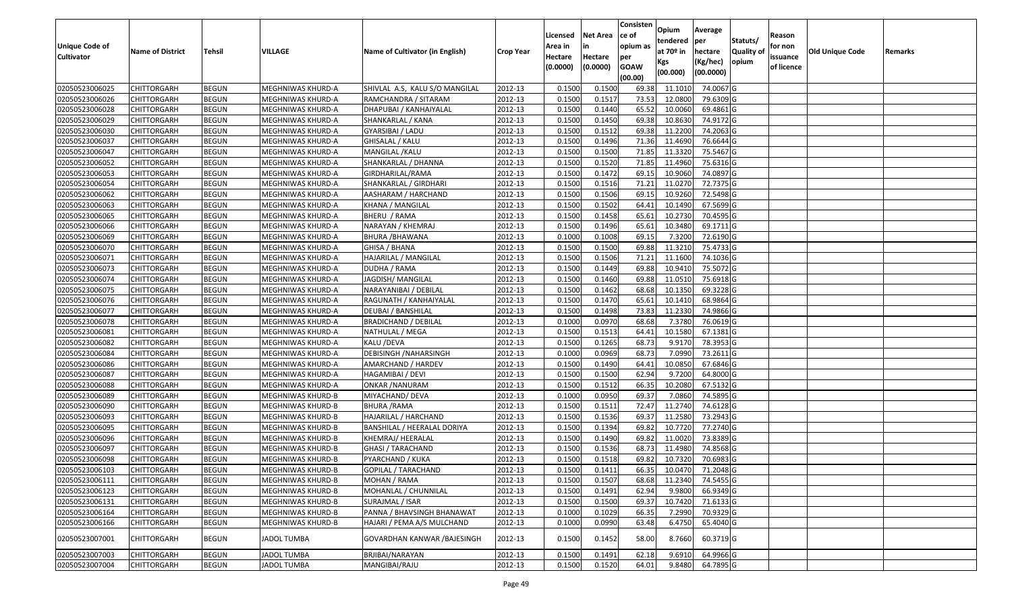| <b>Unique Code of</b><br><b>Cultivator</b> | <b>Name of District</b> | Tehsil       | VILLAGE            | Name of Cultivator (in English) | <b>Crop Year</b> | Licensed<br>Area in<br>Hectare<br>(0.0000) | <b>Net Area</b><br>in<br>Hectare<br>(0.0000) | Consisten<br>ce of<br>opium as<br>per<br><b>GOAW</b><br>(00.00) | Opium<br>tendered<br>at 70º in<br>Kgs<br>(00.000) | Average<br>per<br>hectare<br>(Kg/hec)<br>(00.0000) | Statuts/<br><b>Quality of</b><br>opium | Reason<br>for non<br>issuance<br>of licence | <b>Old Unique Code</b> | Remarks |
|--------------------------------------------|-------------------------|--------------|--------------------|---------------------------------|------------------|--------------------------------------------|----------------------------------------------|-----------------------------------------------------------------|---------------------------------------------------|----------------------------------------------------|----------------------------------------|---------------------------------------------|------------------------|---------|
| 02050523006025                             | <b>CHITTORGARH</b>      | <b>BEGUN</b> | MEGHNIWAS KHURD-A  | SHIVLAL A.S, KALU S/O MANGILAL  | 2012-13          | 0.1500                                     | 0.1500                                       | 69.38                                                           | 11.1010                                           | 74.0067 G                                          |                                        |                                             |                        |         |
| 02050523006026                             | CHITTORGARH             | <b>BEGUN</b> | MEGHNIWAS KHURD-A  | RAMCHANDRA / SITARAM            | 2012-13          | 0.1500                                     | 0.1517                                       | 73.53                                                           | 12.0800                                           | 79.6309 G                                          |                                        |                                             |                        |         |
| 02050523006028                             | CHITTORGARH             | <b>BEGUN</b> | MEGHNIWAS KHURD-A  | DHAPUBAI / KANHAIYALAL          | 2012-13          | 0.1500                                     | 0.1440                                       | 65.52                                                           | 10.0060                                           | 69.4861 G                                          |                                        |                                             |                        |         |
| 02050523006029                             | <b>CHITTORGARH</b>      | <b>BEGUN</b> | MEGHNIWAS KHURD-A  | SHANKARLAL / KANA               | 2012-13          | 0.1500                                     | 0.1450                                       | 69.38                                                           | 10.8630                                           | 74.9172 G                                          |                                        |                                             |                        |         |
| 02050523006030                             | <b>CHITTORGARH</b>      | <b>BEGUN</b> | MEGHNIWAS KHURD-A  | GYARSIBAI / LADU                | 2012-13          | 0.1500                                     | 0.1512                                       | 69.38                                                           | 11.2200                                           | 74.2063 G                                          |                                        |                                             |                        |         |
| 02050523006037                             | <b>CHITTORGARH</b>      | <b>BEGUN</b> | MEGHNIWAS KHURD-A  | GHISALAL / KALU                 | 2012-13          | 0.1500                                     | 0.1496                                       | 71.36                                                           | 11.4690                                           | 76.6644 G                                          |                                        |                                             |                        |         |
| 02050523006047                             | CHITTORGARH             | <b>BEGUN</b> | MEGHNIWAS KHURD-A  | MANGILAL / KALU                 | 2012-13          | 0.1500                                     | 0.1500                                       | 71.85                                                           | 11.3320                                           | 75.5467 G                                          |                                        |                                             |                        |         |
| 02050523006052                             | <b>CHITTORGARH</b>      | <b>BEGUN</b> | MEGHNIWAS KHURD-A  | SHANKARLAL / DHANNA             | 2012-13          | 0.1500                                     | 0.1520                                       | 71.85                                                           | 11.4960                                           | 75.6316 G                                          |                                        |                                             |                        |         |
| 02050523006053                             | <b>CHITTORGARH</b>      | <b>BEGUN</b> | MEGHNIWAS KHURD-A  | GIRDHARILAL/RAMA                | 2012-13          | 0.1500                                     | 0.1472                                       | 69.15                                                           | 10.9060                                           | 74.0897 G                                          |                                        |                                             |                        |         |
| 02050523006054                             | <b>CHITTORGARH</b>      | <b>BEGUN</b> | MEGHNIWAS KHURD-A  | SHANKARLAL / GIRDHARI           | 2012-13          | 0.1500                                     | 0.1516                                       | 71.21                                                           | 11.0270                                           | 72.7375 G                                          |                                        |                                             |                        |         |
| 02050523006062                             | <b>CHITTORGARH</b>      | <b>BEGUN</b> | MEGHNIWAS KHURD-A  | AASHARAM / HARCHAND             | 2012-13          | 0.1500                                     | 0.1506                                       | 69.15                                                           | 10.9260                                           | 72.5498 G                                          |                                        |                                             |                        |         |
| 02050523006063                             | <b>CHITTORGARH</b>      | <b>BEGUN</b> | MEGHNIWAS KHURD-A  | KHANA / MANGILAL                | 2012-13          | 0.1500                                     | 0.1502                                       | 64.41                                                           | 10.1490                                           | 67.5699 G                                          |                                        |                                             |                        |         |
| 02050523006065                             | <b>CHITTORGARH</b>      | <b>BEGUN</b> | MEGHNIWAS KHURD-A  | BHERU / RAMA                    | 2012-13          | 0.1500                                     | 0.1458                                       | 65.61                                                           | 10.2730                                           | 70.4595 G                                          |                                        |                                             |                        |         |
| 02050523006066                             | <b>CHITTORGARH</b>      | <b>BEGUN</b> | MEGHNIWAS KHURD-A  | NARAYAN / KHEMRAJ               | 2012-13          | 0.1500                                     | 0.1496                                       | 65.61                                                           | 10.3480                                           | 69.1711 G                                          |                                        |                                             |                        |         |
| 02050523006069                             | <b>CHITTORGARH</b>      | <b>BEGUN</b> | MEGHNIWAS KHURD-A  | BHURA /BHAWANA                  | 2012-13          | 0.1000                                     | 0.1008                                       | 69.15                                                           | 7.3200                                            | 72.6190 G                                          |                                        |                                             |                        |         |
| 02050523006070                             | <b>CHITTORGARH</b>      | <b>BEGUN</b> | MEGHNIWAS KHURD-A  | GHISA / BHANA                   | 2012-13          | 0.1500                                     | 0.1500                                       | 69.88                                                           | 11.3210                                           | 75.4733 G                                          |                                        |                                             |                        |         |
| 02050523006071                             | <b>CHITTORGARH</b>      | <b>BEGUN</b> | MEGHNIWAS KHURD-A  | HAJARILAL / MANGILAL            | 2012-13          | 0.1500                                     | 0.1506                                       | 71.21                                                           | 11.1600                                           | 74.1036 G                                          |                                        |                                             |                        |         |
| 02050523006073                             | <b>CHITTORGARH</b>      | <b>BEGUN</b> | MEGHNIWAS KHURD-A  | DUDHA / RAMA                    | 2012-13          | 0.1500                                     | 0.1449                                       | 69.88                                                           | 10.9410                                           | 75.5072 G                                          |                                        |                                             |                        |         |
| 02050523006074                             | <b>CHITTORGARH</b>      | <b>BEGUN</b> | MEGHNIWAS KHURD-A  | JAGDISH/MANGILAL                | 2012-13          | 0.1500                                     | 0.1460                                       | 69.88                                                           | 11.0510                                           | 75.6918 G                                          |                                        |                                             |                        |         |
| 02050523006075                             | <b>CHITTORGARH</b>      | <b>BEGUN</b> | MEGHNIWAS KHURD-A  | NARAYANIBAI / DEBILAL           | 2012-13          | 0.1500                                     | 0.1462                                       | 68.68                                                           | 10.1350                                           | 69.3228 G                                          |                                        |                                             |                        |         |
| 02050523006076                             | <b>CHITTORGARH</b>      | <b>BEGUN</b> | MEGHNIWAS KHURD-A  | RAGUNATH / KANHAIYALAL          | 2012-13          | 0.1500                                     | 0.1470                                       | 65.61                                                           | 10.1410                                           | 68.9864 G                                          |                                        |                                             |                        |         |
| 02050523006077                             | <b>CHITTORGARH</b>      | <b>BEGUN</b> | MEGHNIWAS KHURD-A  | DEUBAI / BANSHILAL              | 2012-13          | 0.1500                                     | 0.1498                                       | 73.83                                                           | 11.2330                                           | 74.9866 G                                          |                                        |                                             |                        |         |
| 02050523006078                             | <b>CHITTORGARH</b>      | <b>BEGUN</b> | MEGHNIWAS KHURD-A  | <b>BRADICHAND / DEBILAL</b>     | 2012-13          | 0.1000                                     | 0.0970                                       | 68.68                                                           | 7.3780                                            | 76.0619 G                                          |                                        |                                             |                        |         |
| 02050523006081                             | <b>CHITTORGARH</b>      | <b>BEGUN</b> | MEGHNIWAS KHURD-A  | NATHULAL / MEGA                 | 2012-13          | 0.1500                                     | 0.1513                                       | 64.41                                                           | 10.1580                                           | 67.1381 G                                          |                                        |                                             |                        |         |
| 02050523006082                             | <b>CHITTORGARH</b>      | <b>BEGUN</b> | MEGHNIWAS KHURD-A  | KALU /DEVA                      | 2012-13          | 0.1500                                     | 0.1265                                       | 68.73                                                           | 9.9170                                            | 78.3953 G                                          |                                        |                                             |                        |         |
| 02050523006084                             | <b>CHITTORGARH</b>      | <b>BEGUN</b> | MEGHNIWAS KHURD-A  | DEBISINGH / NAHARSINGH          | 2012-13          | 0.1000                                     | 0.0969                                       | 68.73                                                           | 7.0990                                            | 73.2611 G                                          |                                        |                                             |                        |         |
| 02050523006086                             | <b>CHITTORGARH</b>      | <b>BEGUN</b> | MEGHNIWAS KHURD-A  | AMARCHAND / HARDEV              | 2012-13          | 0.1500                                     | 0.1490                                       | 64.41                                                           | 10.0850                                           | 67.6846 G                                          |                                        |                                             |                        |         |
| 02050523006087                             | CHITTORGARH             | <b>BEGUN</b> | MEGHNIWAS KHURD-A  | HAGAMIBAI / DEVI                | 2012-13          | 0.1500                                     | 0.1500                                       | 62.94                                                           | 9.7200                                            | 64.8000 G                                          |                                        |                                             |                        |         |
| 02050523006088                             | <b>CHITTORGARH</b>      | <b>BEGUN</b> | MEGHNIWAS KHURD-A  | ONKAR / NANURAM                 | 2012-13          | 0.1500                                     | 0.1512                                       | 66.35                                                           | 10.2080                                           | 67.5132 G                                          |                                        |                                             |                        |         |
| 02050523006089                             | <b>CHITTORGARH</b>      | <b>BEGUN</b> | MEGHNIWAS KHURD-B  | MIYACHAND/ DEVA                 | 2012-13          | 0.1000                                     | 0.0950                                       | 69.37                                                           | 7.0860                                            | 74.5895 G                                          |                                        |                                             |                        |         |
| 02050523006090                             | <b>CHITTORGARH</b>      | <b>BEGUN</b> | MEGHNIWAS KHURD-B  | <b>BHURA / RAMA</b>             | 2012-13          | 0.1500                                     | 0.1511                                       | 72.47                                                           | 11.2740                                           | 74.6128 G                                          |                                        |                                             |                        |         |
| 02050523006093                             | <b>CHITTORGARH</b>      | <b>BEGUN</b> | MEGHNIWAS KHURD-B  | HAJARILAL / HARCHAND            | 2012-13          | 0.1500                                     | 0.1536                                       | 69.37                                                           | 11.2580                                           | 73.2943 G                                          |                                        |                                             |                        |         |
| 02050523006095                             | <b>CHITTORGARH</b>      | <b>BEGUN</b> | MEGHNIWAS KHURD-B  | BANSHILAL / HEERALAL DORIYA     | 2012-13          | 0.1500                                     | 0.1394                                       | 69.82                                                           | 10.7720                                           | 77.2740 G                                          |                                        |                                             |                        |         |
| 02050523006096                             | <b>CHITTORGARH</b>      | <b>BEGUN</b> | MEGHNIWAS KHURD-B  | KHEMRAJ/ HEERALAL               | 2012-13          | 0.1500                                     | 0.1490                                       | 69.82                                                           | 11.0020                                           | 73.8389 G                                          |                                        |                                             |                        |         |
| 02050523006097                             | <b>CHITTORGARH</b>      | <b>BEGUN</b> | MEGHNIWAS KHURD-B  | <b>GHASI / TARACHAND</b>        | 2012-13          | 0.1500                                     | 0.1536                                       | 68.73                                                           | 11.4980                                           | 74.8568 G                                          |                                        |                                             |                        |         |
| 02050523006098                             | <b>CHITTORGARH</b>      | <b>BEGUN</b> | MEGHNIWAS KHURD-B  | PYARCHAND / KUKA                | 2012-13          | 0.1500                                     | 0.1518                                       | 69.82                                                           | 10.7320                                           | 70.6983 G                                          |                                        |                                             |                        |         |
| 02050523006103                             | <b>CHITTORGARH</b>      | <b>BEGUN</b> | MEGHNIWAS KHURD-B  | GOPILAL / TARACHAND             | 2012-13          | 0.1500                                     | 0.1411                                       | 66.35                                                           |                                                   | 10.0470 71.2048 G                                  |                                        |                                             |                        |         |
| 02050523006111                             | <b>CHITTORGARH</b>      | <b>BEGUN</b> | MEGHNIWAS KHURD-B  | MOHAN / RAMA                    | 2012-13          | 0.1500                                     | 0.1507                                       | 68.68                                                           | 11.2340                                           | 74.5455 G                                          |                                        |                                             |                        |         |
| 02050523006123                             | <b>CHITTORGARH</b>      | <b>BEGUN</b> | MEGHNIWAS KHURD-B  | MOHANLAL / CHUNNILAL            | 2012-13          | 0.1500                                     | 0.1491                                       | 62.94                                                           | 9.9800                                            | 66.9349 G                                          |                                        |                                             |                        |         |
| 02050523006131                             | <b>CHITTORGARH</b>      | <b>BEGUN</b> | MEGHNIWAS KHURD-B  | SURAJMAL / ISAR                 | 2012-13          | 0.1500                                     | 0.1500                                       | 69.37                                                           | 10.7420                                           | 71.6133 G                                          |                                        |                                             |                        |         |
| 02050523006164                             | <b>CHITTORGARH</b>      | <b>BEGUN</b> | MEGHNIWAS KHURD-B  | PANNA / BHAVSINGH BHANAWAT      | 2012-13          | 0.1000                                     | 0.1029                                       | 66.35                                                           | 7.2990                                            | 70.9329 G                                          |                                        |                                             |                        |         |
| 02050523006166                             | <b>CHITTORGARH</b>      | <b>BEGUN</b> | MEGHNIWAS KHURD-B  | HAJARI / PEMA A/S MULCHAND      | 2012-13          | 0.1000                                     | 0.0990                                       | 63.48                                                           | 6.4750                                            | 65.4040 G                                          |                                        |                                             |                        |         |
| 02050523007001                             | <b>CHITTORGARH</b>      | <b>BEGUN</b> | JADOL TUMBA        | GOVARDHAN KANWAR / BAJESINGH    | 2012-13          | 0.1500                                     | 0.1452                                       | 58.00                                                           | 8.7660                                            | 60.3719 G                                          |                                        |                                             |                        |         |
| 02050523007003                             | <b>CHITTORGARH</b>      | <b>BEGUN</b> | JADOL TUMBA        | BRJIBAI/NARAYAN                 | 2012-13          | 0.1500                                     | 0.1491                                       | 62.18                                                           | 9.6910                                            | 64.9966 G                                          |                                        |                                             |                        |         |
| 02050523007004                             | <b>CHITTORGARH</b>      | <b>BEGUN</b> | <b>JADOL TUMBA</b> | MANGIBAI/RAJU                   | 2012-13          | 0.1500                                     | 0.1520                                       | 64.01                                                           | 9.8480                                            | 64.7895 G                                          |                                        |                                             |                        |         |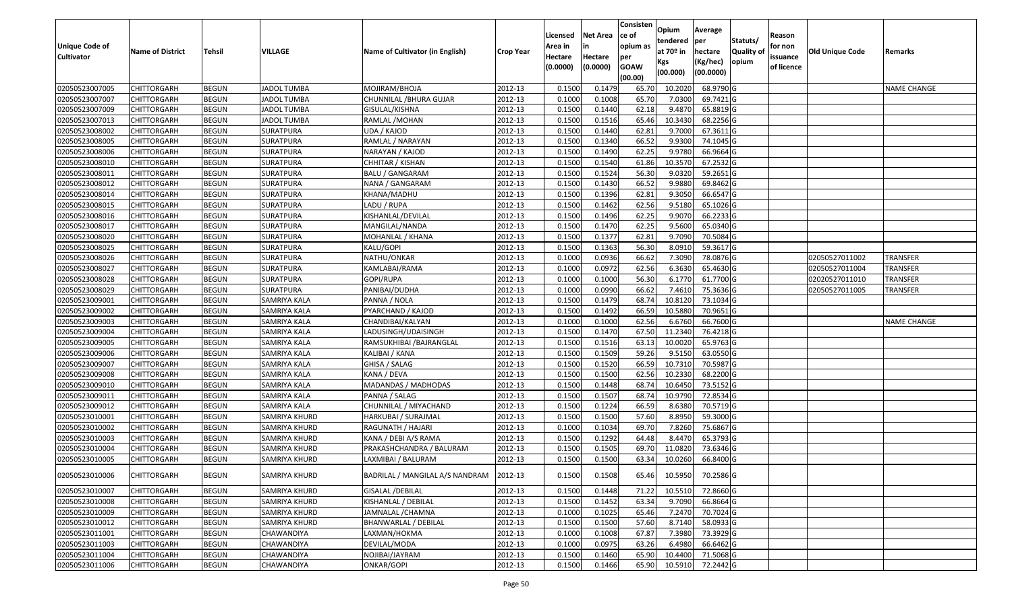|                   |                         |               |                      |                                 |                  | Licensed | <b>Net Area</b> | Consisten<br>ce of     | Opium<br>tendered     | Average<br>per | Statuts/         | Reason     |                        |                    |
|-------------------|-------------------------|---------------|----------------------|---------------------------------|------------------|----------|-----------------|------------------------|-----------------------|----------------|------------------|------------|------------------------|--------------------|
| Unique Code of    | <b>Name of District</b> | <b>Tehsil</b> | <b>VILLAGE</b>       | Name of Cultivator (in English) | <b>Crop Year</b> | Area in  |                 | opium as               | at 70 <sup>o</sup> in | hectare        | <b>Quality o</b> | for non    | <b>Old Unique Code</b> | Remarks            |
| <b>Cultivator</b> |                         |               |                      |                                 |                  | Hectare  | Hectare         | per                    | Kgs                   | (Kg/hec)       | opium            | issuance   |                        |                    |
|                   |                         |               |                      |                                 |                  | (0.0000) | (0.0000)        | <b>GOAW</b><br>(00.00) | (00.000)              | (00.0000)      |                  | of licence |                        |                    |
| 02050523007005    | CHITTORGARH             | <b>BEGUN</b>  | <b>JADOL TUMBA</b>   | MOJIRAM/BHOJA                   | 2012-13          | 0.1500   | 0.1479          | 65.70                  | 10.2020               | 68.9790 G      |                  |            |                        | <b>NAME CHANGE</b> |
| 02050523007007    | CHITTORGARH             | <b>BEGUN</b>  | <b>JADOL TUMBA</b>   | CHUNNILAL /BHURA GUJAR          | 2012-13          | 0.1000   | 0.1008          | 65.70                  | 7.0300                | 69.7421G       |                  |            |                        |                    |
| 02050523007009    | CHITTORGARH             | <b>BEGUN</b>  | <b>JADOL TUMBA</b>   | GISULAL/KISHNA                  | 2012-13          | 0.1500   | 0.1440          | 62.18                  | 9.4870                | 65.8819 G      |                  |            |                        |                    |
| 02050523007013    | <b>CHITTORGARH</b>      | <b>BEGUN</b>  | <b>JADOL TUMBA</b>   | RAMLAL / MOHAN                  | 2012-13          | 0.1500   | 0.1516          | 65.46                  | 10.3430               | 68.2256 G      |                  |            |                        |                    |
| 02050523008002    | CHITTORGARH             | <b>BEGUN</b>  | SURATPURA            | UDA / KAJOD                     | 2012-13          | 0.1500   | 0.1440          | 62.81                  | 9.7000                | 67.3611 G      |                  |            |                        |                    |
| 02050523008005    | CHITTORGARH             | <b>BEGUN</b>  | SURATPURA            | RAMLAL / NARAYAN                | 2012-13          | 0.1500   | 0.1340          | 66.52                  | 9.9300                | 74.1045 G      |                  |            |                        |                    |
| 02050523008006    | CHITTORGARH             | <b>BEGUN</b>  | SURATPURA            | NARAYAN / KAJOD                 | 2012-13          | 0.1500   | 0.1490          | 62.25                  | 9.978                 | 66.9664 G      |                  |            |                        |                    |
| 02050523008010    | CHITTORGARH             | <b>BEGUN</b>  | SURATPURA            | CHHITAR / KISHAN                | 2012-13          | 0.1500   | 0.1540          | 61.86                  | 10.3570               | 67.2532 G      |                  |            |                        |                    |
| 02050523008011    | CHITTORGARH             | <b>BEGUN</b>  | SURATPURA            | <b>BALU / GANGARAM</b>          | 2012-13          | 0.1500   | 0.1524          | 56.30                  | 9.0320                | 59.2651 G      |                  |            |                        |                    |
| 02050523008012    | CHITTORGARH             | <b>BEGUN</b>  | SURATPURA            | NANA / GANGARAM                 | 2012-13          | 0.1500   | 0.1430          | 66.52                  | 9.9880                | 69.8462 G      |                  |            |                        |                    |
| 02050523008014    | CHITTORGARH             | <b>BEGUN</b>  | SURATPURA            | KHANA/MADHU                     | 2012-13          | 0.1500   | 0.1396          | 62.81                  | 9.3050                | 66.6547 G      |                  |            |                        |                    |
| 02050523008015    | CHITTORGARH             | <b>BEGUN</b>  | <b>SURATPURA</b>     | LADU / RUPA                     | 2012-13          | 0.1500   | 0.1462          | 62.56                  | 9.5180                | 65.1026 G      |                  |            |                        |                    |
| 02050523008016    | <b>CHITTORGARH</b>      | <b>BEGUN</b>  | SURATPURA            | KISHANLAL/DEVILAL               | 2012-13          | 0.1500   | 0.1496          | 62.25                  | 9.9070                | 66.2233 G      |                  |            |                        |                    |
| 02050523008017    | CHITTORGARH             | <b>BEGUN</b>  | SURATPURA            | MANGILAL/NANDA                  | 2012-13          | 0.1500   | 0.1470          | 62.25                  | 9.5600                | 65.0340 G      |                  |            |                        |                    |
| 02050523008020    | <b>CHITTORGARH</b>      | <b>BEGUN</b>  | SURATPURA            | MOHANLAL / KHANA                | 2012-13          | 0.1500   | 0.1377          | 62.81                  | 9.7090                | 70.5084 G      |                  |            |                        |                    |
| 02050523008025    | <b>CHITTORGARH</b>      | <b>BEGUN</b>  | SURATPURA            | KALU/GOPI                       | 2012-13          | 0.1500   | 0.1363          | 56.30                  | 8.0910                | 59.3617 G      |                  |            |                        |                    |
| 02050523008026    | <b>CHITTORGARH</b>      | <b>BEGUN</b>  | SURATPURA            | NATHU/ONKAR                     | 2012-13          | 0.1000   | 0.0936          | 66.62                  | 7.3090                | 78.0876 G      |                  |            | 02050527011002         | <b>TRANSFER</b>    |
| 02050523008027    | CHITTORGARH             | <b>BEGUN</b>  | SURATPURA            | KAMLABAI/RAMA                   | 2012-13          | 0.1000   | 0.0972          | 62.56                  | 6.3630                | 65.4630 G      |                  |            | 02050527011004         | <b>TRANSFER</b>    |
| 02050523008028    | CHITTORGARH             | <b>BEGUN</b>  | SURATPURA            | GOPI/RUPA                       | 2012-13          | 0.100    | 0.1000          | 56.30                  | 6.1770                | 61.7700 G      |                  |            | 02020527011010         | <b>TRANSFER</b>    |
| 02050523008029    | CHITTORGARH             | <b>BEGUN</b>  | SURATPURA            | PANIBAI/DUDHA                   | 2012-13          | 0.1000   | 0.0990          | 66.62                  | 7.461                 | 75.3636 G      |                  |            | 02050527011005         | <b>TRANSFER</b>    |
| 02050523009001    | CHITTORGARH             | <b>BEGUN</b>  | SAMRIYA KALA         | PANNA / NOLA                    | 2012-13          | 0.1500   | 0.1479          | 68.74                  | 10.8120               | 73.1034 G      |                  |            |                        |                    |
| 02050523009002    | CHITTORGARH             | <b>BEGUN</b>  | SAMRIYA KALA         | PYARCHAND / KAJOD               | 2012-13          | 0.150    | 0.1492          | 66.59                  | 10.5880               | 70.9651 G      |                  |            |                        |                    |
| 02050523009003    | CHITTORGARH             | <b>BEGUN</b>  | SAMRIYA KALA         | CHANDIBAI/KALYAN                | 2012-13          | 0.1000   | 0.1000          | 62.56                  | 6.6760                | 66.7600 G      |                  |            |                        | <b>NAME CHANGE</b> |
| 02050523009004    | CHITTORGARH             | <b>BEGUN</b>  | SAMRIYA KALA         | LADUSINGH/UDAISINGH             | 2012-13          | 0.1500   | 0.1470          | 67.50                  | 11.2340               | 76.4218 G      |                  |            |                        |                    |
| 02050523009005    | <b>CHITTORGARH</b>      | <b>BEGUN</b>  | <b>SAMRIYA KALA</b>  | RAMSUKHIBAI / BAJRANGLAL        | 2012-13          | 0.1500   | 0.1516          | 63.13                  | 10.0020               | 65.9763 G      |                  |            |                        |                    |
| 02050523009006    | CHITTORGARH             | <b>BEGUN</b>  | SAMRIYA KALA         | KALIBAI / KANA                  | 2012-13          | 0.1500   | 0.1509          | 59.26                  | 9.5150                | 63.0550 G      |                  |            |                        |                    |
| 02050523009007    | CHITTORGARH             | <b>BEGUN</b>  | SAMRIYA KALA         | GHISA / SALAG                   | 2012-13          | 0.1500   | 0.1520          | 66.59                  | 10.731                | 70.5987 G      |                  |            |                        |                    |
| 02050523009008    | CHITTORGARH             | <b>BEGUN</b>  | SAMRIYA KALA         | KANA / DEVA                     | 2012-13          | 0.1500   | 0.1500          | 62.56                  | 10.2330               | 68.2200 G      |                  |            |                        |                    |
| 02050523009010    | CHITTORGARH             | <b>BEGUN</b>  | <b>SAMRIYA KALA</b>  | MADANDAS / MADHODAS             | 2012-13          | 0.1500   | 0.1448          | 68.74                  | 10.6450               | 73.5152 G      |                  |            |                        |                    |
| 02050523009011    | CHITTORGARH             | <b>BEGUN</b>  | SAMRIYA KALA         | PANNA / SALAG                   | 2012-13          | 0.1500   | 0.1507          | 68.74                  | 10.9790               | 72.8534 G      |                  |            |                        |                    |
| 02050523009012    | CHITTORGARH             | <b>BEGUN</b>  | SAMRIYA KALA         | CHUNNILAL / MIYACHAND           | 2012-13          | 0.1500   | 0.1224          | 66.59                  | 8.6380                | 70.5719 G      |                  |            |                        |                    |
| 02050523010001    | CHITTORGARH             | <b>BEGUN</b>  | SAMRIYA KHURD        | HARKUBAI / SURAJMAL             | 2012-13          | 0.1500   | 0.1500          | 57.60                  | 8.8950                | 59.3000G       |                  |            |                        |                    |
| 02050523010002    | CHITTORGARH             | <b>BEGUN</b>  | SAMRIYA KHURD        | RAGUNATH / HAJARI               | 2012-13          | 0.1000   | 0.1034          | 69.70                  | 7.8260                | 75.6867 G      |                  |            |                        |                    |
| 02050523010003    | CHITTORGARH             | <b>BEGUN</b>  | SAMRIYA KHURD        | KANA / DEBI A/S RAMA            | 2012-13          | 0.1500   | 0.1292          | 64.48                  | 8.4470                | 65.3793 G      |                  |            |                        |                    |
| 02050523010004    | CHITTORGARH             | <b>BEGUN</b>  | SAMRIYA KHURD        | PRAKASHCHANDRA / BALURAM        | 2012-13          | 0.150    | 0.1505          | 69.7                   | 11.0820               | 73.6346 G      |                  |            |                        |                    |
| 02050523010005    | CHITTORGARH             | <b>BEGUN</b>  | SAMRIYA KHURD        | LAXMIBAI / BALURAM              | 2012-13          | 0.1500   | 0.1500          | 63.34                  | 10.0260               | 66.8400 G      |                  |            |                        |                    |
|                   |                         |               |                      |                                 |                  |          |                 |                        |                       |                |                  |            |                        |                    |
| 02050523010006    | <b>CHITTORGARH</b>      | <b>BEGUN</b>  | <b>SAMRIYA KHURD</b> | BADRILAL / MANGILAL A/S NANDRAM | 2012-13          | 0.1500   | 0.1508          | 65.46                  | 10.5950               | 70.2586 G      |                  |            |                        |                    |
| 02050523010007    | <b>CHITTORGARH</b>      | <b>BEGUN</b>  | SAMRIYA KHURD        | <b>GISALAL / DEBILAL</b>        | 2012-13          | 0.1500   | 0.1448          | 71.22                  | 10.5510               | 72.8660 G      |                  |            |                        |                    |
| 02050523010008    | <b>CHITTORGARH</b>      | <b>BEGUN</b>  | SAMRIYA KHURD        | KISHANLAL / DEBILAL             | 2012-13          | 0.1500   | 0.1452          | 63.34                  | 9.7090                | 66.8664 G      |                  |            |                        |                    |
| 02050523010009    | <b>CHITTORGARH</b>      | <b>BEGUN</b>  | SAMRIYA KHURD        | JAMNALAL /CHAMNA                | 2012-13          | 0.1000   | 0.1025          | 65.46                  | 7.2470                | 70.7024 G      |                  |            |                        |                    |
| 02050523010012    | <b>CHITTORGARH</b>      | <b>BEGUN</b>  | SAMRIYA KHURD        | BHANWARLAL / DEBILAL            | 2012-13          | 0.1500   | 0.1500          | 57.60                  | 8.7140                | 58.0933 G      |                  |            |                        |                    |
| 02050523011001    | <b>CHITTORGARH</b>      | <b>BEGUN</b>  | CHAWANDIYA           | LAXMAN/HOKMA                    | 2012-13          | 0.1000   | 0.1008          | 67.87                  | 7.3980                | 73.3929 G      |                  |            |                        |                    |
| 02050523011003    | CHITTORGARH             | <b>BEGUN</b>  | CHAWANDIYA           | DEVILAL/MODA                    | 2012-13          | 0.1000   | 0.0975          | 63.26                  | 6.4980                | 66.6462 G      |                  |            |                        |                    |
| 02050523011004    | <b>CHITTORGARH</b>      | <b>BEGUN</b>  | CHAWANDIYA           | NOJIBAI/JAYRAM                  | 2012-13          | 0.1500   | 0.1460          | 65.90                  | 10.4400               | 71.5068 G      |                  |            |                        |                    |
| 02050523011006    | <b>CHITTORGARH</b>      | <b>BEGUN</b>  | CHAWANDIYA           | ONKAR/GOPI                      | 2012-13          | 0.1500   | 0.1466          | 65.90                  | 10.5910               | 72.2442 G      |                  |            |                        |                    |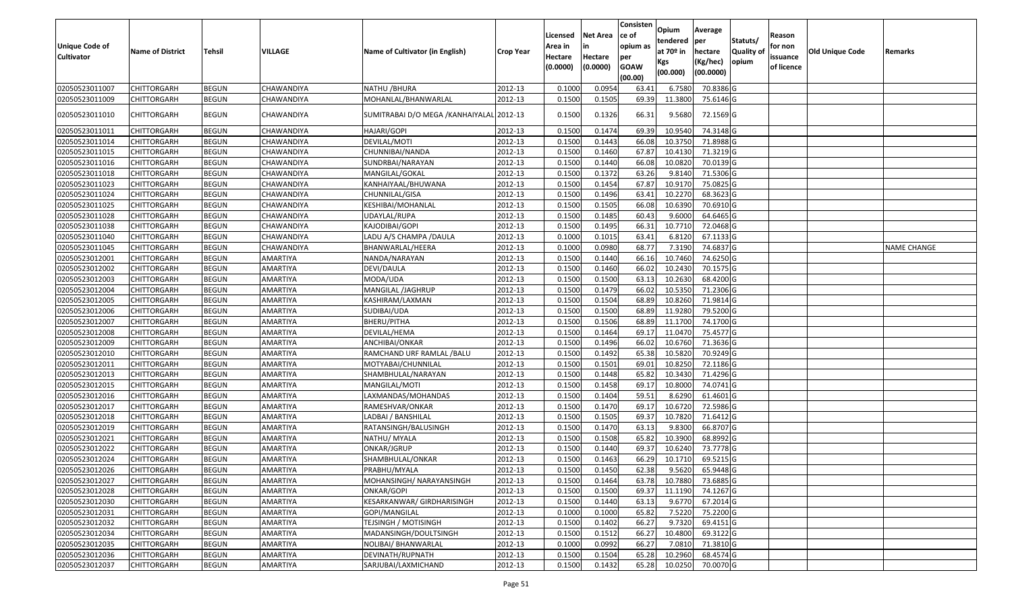| <b>Unique Code of</b><br><b>Cultivator</b> | <b>Name of District</b> | <b>Tehsil</b> | VILLAGE         | Name of Cultivator (in English)          | <b>Crop Year</b> | Licensed<br>Area in<br>Hectare<br>(0.0000) | <b>Net Area</b><br>in<br>Hectare<br>(0.0000) | Consisten<br>lce of<br>opium as<br>per<br><b>GOAW</b><br>(00.00) | Opium<br>tendered<br>at 70º in<br>Kgs<br>(00.000) | Average<br><b>per</b><br>hectare<br>(Kg/hec)<br>(00.0000) | Statuts/<br><b>Quality of</b><br>opium | Reason<br>for non<br>issuance<br>of licence | <b>Old Unique Code</b> | Remarks            |
|--------------------------------------------|-------------------------|---------------|-----------------|------------------------------------------|------------------|--------------------------------------------|----------------------------------------------|------------------------------------------------------------------|---------------------------------------------------|-----------------------------------------------------------|----------------------------------------|---------------------------------------------|------------------------|--------------------|
| 02050523011007                             | <b>CHITTORGARH</b>      | <b>BEGUN</b>  | CHAWANDIYA      | NATHU /BHURA                             | 2012-13          | 0.1000                                     | 0.0954                                       | 63.41                                                            | 6.7580                                            | 70.8386 G                                                 |                                        |                                             |                        |                    |
| 02050523011009                             | <b>CHITTORGARH</b>      | <b>BEGUN</b>  | CHAWANDIYA      | MOHANLAL/BHANWARLAL                      | 2012-13          | 0.1500                                     | 0.1505                                       | 69.39                                                            | 11.3800                                           | 75.6146 G                                                 |                                        |                                             |                        |                    |
| 02050523011010                             | <b>CHITTORGARH</b>      | <b>BEGUN</b>  | CHAWANDIYA      | SUMITRABAI D/O MEGA /KANHAIYALAL 2012-13 |                  | 0.1500                                     | 0.1326                                       | 66.31                                                            | 9.5680                                            | 72.1569 G                                                 |                                        |                                             |                        |                    |
| 02050523011011                             | <b>CHITTORGARH</b>      | <b>BEGUN</b>  | CHAWANDIYA      | HAJARI/GOPI                              | 2012-13          | 0.1500                                     | 0.1474                                       | 69.39                                                            | 10.9540                                           | 74.3148 G                                                 |                                        |                                             |                        |                    |
| 02050523011014                             | <b>CHITTORGARH</b>      | <b>BEGUN</b>  | CHAWANDIYA      | DEVILAL/MOTI                             | 2012-13          | 0.1500                                     | 0.1443                                       | 66.08                                                            | 10.3750                                           | 71.8988 G                                                 |                                        |                                             |                        |                    |
| 02050523011015                             | <b>CHITTORGARH</b>      | <b>BEGUN</b>  | CHAWANDIYA      | CHUNNIBAI/NANDA                          | 2012-13          | 0.1500                                     | 0.1460                                       | 67.87                                                            | 10.4130                                           | 71.3219 G                                                 |                                        |                                             |                        |                    |
| 02050523011016                             | <b>CHITTORGARH</b>      | <b>BEGUN</b>  | CHAWANDIYA      | SUNDRBAI/NARAYAN                         | 2012-13          | 0.1500                                     | 0.1440                                       | 66.08                                                            | 10.0820                                           | 70.0139 G                                                 |                                        |                                             |                        |                    |
| 02050523011018                             | <b>CHITTORGARH</b>      | <b>BEGUN</b>  | CHAWANDIYA      | MANGILAL/GOKAL                           | 2012-13          | 0.1500                                     | 0.1372                                       | 63.26                                                            | 9.8140                                            | 71.5306 G                                                 |                                        |                                             |                        |                    |
| 02050523011023                             | <b>CHITTORGARH</b>      | <b>BEGUN</b>  | CHAWANDIYA      | KANHAIYAAL/BHUWANA                       | 2012-13          | 0.1500                                     | 0.1454                                       | 67.87                                                            | 10.9170                                           | 75.0825 G                                                 |                                        |                                             |                        |                    |
| 02050523011024                             | <b>CHITTORGARH</b>      | <b>BEGUN</b>  | CHAWANDIYA      | CHUNNILAL/GISA                           | 2012-13          | 0.1500                                     | 0.1496                                       | 63.41                                                            | 10.2270                                           | 68.3623 G                                                 |                                        |                                             |                        |                    |
| 02050523011025                             | <b>CHITTORGARH</b>      | <b>BEGUN</b>  | CHAWANDIYA      | KESHIBAI/MOHANLAL                        | 2012-13          | 0.1500                                     | 0.1505                                       | 66.08                                                            | 10.6390                                           | 70.6910 G                                                 |                                        |                                             |                        |                    |
| 02050523011028                             | <b>CHITTORGARH</b>      | <b>BEGUN</b>  | CHAWANDIYA      | UDAYLAL/RUPA                             | 2012-13          | 0.1500                                     | 0.1485                                       | 60.43                                                            | 9.6000                                            | 64.6465 G                                                 |                                        |                                             |                        |                    |
| 02050523011038                             | <b>CHITTORGARH</b>      | <b>BEGUN</b>  | CHAWANDIYA      | KAJODIBAI/GOPI                           | 2012-13          | 0.1500                                     | 0.1495                                       | 66.31                                                            | 10.7710                                           | 72.0468 G                                                 |                                        |                                             |                        |                    |
| 02050523011040                             | <b>CHITTORGARH</b>      | <b>BEGUN</b>  | CHAWANDIYA      | LADU A/S CHAMPA /DAULA                   | 2012-13          | 0.1000                                     | 0.1015                                       | 63.41                                                            | 6.8120                                            | 67.1133 G                                                 |                                        |                                             |                        |                    |
| 02050523011045                             | <b>CHITTORGARH</b>      | <b>BEGUN</b>  | CHAWANDIYA      | BHANWARLAL/HEERA                         | 2012-13          | 0.1000                                     | 0.0980                                       | 68.77                                                            | 7.3190                                            | 74.6837 G                                                 |                                        |                                             |                        | <b>NAME CHANGE</b> |
| 02050523012001                             | <b>CHITTORGARH</b>      | <b>BEGUN</b>  | <b>AMARTIYA</b> | NANDA/NARAYAN                            | 2012-13          | 0.1500                                     | 0.1440                                       | 66.16                                                            | 10.7460                                           | 74.6250 G                                                 |                                        |                                             |                        |                    |
| 02050523012002                             | <b>CHITTORGARH</b>      | <b>BEGUN</b>  | AMARTIYA        | DEVI/DAULA                               | 2012-13          | 0.1500                                     | 0.1460                                       | 66.02                                                            | 10.2430                                           | 70.1575 G                                                 |                                        |                                             |                        |                    |
| 02050523012003                             | <b>CHITTORGARH</b>      | <b>BEGUN</b>  | AMARTIYA        | MODA/UDA                                 | 2012-13          | 0.1500                                     | 0.1500                                       | 63.13                                                            | 10.2630                                           | 68.4200 G                                                 |                                        |                                             |                        |                    |
| 02050523012004                             | <b>CHITTORGARH</b>      | <b>BEGUN</b>  | AMARTIYA        | MANGILAL /JAGHRUP                        | 2012-13          | 0.1500                                     | 0.1479                                       | 66.02                                                            | 10.5350                                           | 71.2306 G                                                 |                                        |                                             |                        |                    |
| 02050523012005                             | <b>CHITTORGARH</b>      | <b>BEGUN</b>  | AMARTIYA        | KASHIRAM/LAXMAN                          | 2012-13          | 0.1500                                     | 0.1504                                       | 68.89                                                            | 10.8260                                           | 71.9814 G                                                 |                                        |                                             |                        |                    |
| 02050523012006                             | <b>CHITTORGARH</b>      | <b>BEGUN</b>  | AMARTIYA        | SUDIBAI/UDA                              | 2012-13          | 0.1500                                     | 0.1500                                       | 68.89                                                            | 11.9280                                           | 79.5200 G                                                 |                                        |                                             |                        |                    |
| 02050523012007                             | <b>CHITTORGARH</b>      | <b>BEGUN</b>  | AMARTIYA        | BHERU/PITHA                              | 2012-13          | 0.1500                                     | 0.1506                                       | 68.89                                                            | 11.1700                                           | 74.1700 G                                                 |                                        |                                             |                        |                    |
| 02050523012008                             | <b>CHITTORGARH</b>      | <b>BEGUN</b>  | AMARTIYA        | DEVILAL/HEMA                             | 2012-13          | 0.1500                                     | 0.1464                                       | 69.1                                                             | 11.0470                                           | 75.4577 G                                                 |                                        |                                             |                        |                    |
| 02050523012009                             | <b>CHITTORGARH</b>      | <b>BEGUN</b>  | AMARTIYA        | ANCHIBAI/ONKAR                           | 2012-13          | 0.1500                                     | 0.1496                                       | 66.02                                                            | 10.6760                                           | 71.3636 G                                                 |                                        |                                             |                        |                    |
| 02050523012010                             | <b>CHITTORGARH</b>      | <b>BEGUN</b>  | AMARTIYA        | RAMCHAND URF RAMLAL /BALU                | 2012-13          | 0.1500                                     | 0.1492                                       | 65.38                                                            | 10.5820                                           | 70.9249 G                                                 |                                        |                                             |                        |                    |
| 02050523012011                             | <b>CHITTORGARH</b>      | <b>BEGUN</b>  | AMARTIYA        | MOTYABAI/CHUNNILAL                       | 2012-13          | 0.1500                                     | 0.1501                                       | 69.01                                                            | 10.8250                                           | 72.1186 G                                                 |                                        |                                             |                        |                    |
| 02050523012013                             | <b>CHITTORGARH</b>      | <b>BEGUN</b>  | AMARTIYA        | SHAMBHULAL/NARAYAN                       | 2012-13          | 0.1500                                     | 0.1448                                       | 65.82                                                            | 10.3430                                           | 71.4296 G                                                 |                                        |                                             |                        |                    |
| 02050523012015                             | <b>CHITTORGARH</b>      | <b>BEGUN</b>  | AMARTIYA        | MANGILAL/MOTI                            | 2012-13          | 0.1500                                     | 0.1458                                       | 69.17                                                            | 10.8000                                           | 74.0741 G                                                 |                                        |                                             |                        |                    |
| 02050523012016                             | <b>CHITTORGARH</b>      | <b>BEGUN</b>  | AMARTIYA        | LAXMANDAS/MOHANDAS                       | 2012-13          | 0.1500                                     | 0.1404                                       | 59.51                                                            | 8.6290                                            | 61.4601 G                                                 |                                        |                                             |                        |                    |
| 02050523012017                             | <b>CHITTORGARH</b>      | <b>BEGUN</b>  | AMARTIYA        | RAMESHVAR/ONKAR                          | 2012-13          | 0.1500                                     | 0.1470                                       | 69.17                                                            | 10.6720                                           | 72.5986 G                                                 |                                        |                                             |                        |                    |
| 02050523012018                             | <b>CHITTORGARH</b>      | <b>BEGUN</b>  | AMARTIYA        | LADBAI / BANSHILAL                       | 2012-13          | 0.1500                                     | 0.1505                                       | 69.37                                                            | 10.7820                                           | 71.6412 G                                                 |                                        |                                             |                        |                    |
| 02050523012019                             | <b>CHITTORGARH</b>      | <b>BEGUN</b>  | AMARTIYA        | RATANSINGH/BALUSINGH                     | 2012-13          | 0.1500                                     | 0.1470                                       | 63.13                                                            | 9.8300                                            | 66.8707 G                                                 |                                        |                                             |                        |                    |
| 02050523012021                             | <b>CHITTORGARH</b>      | <b>BEGUN</b>  | AMARTIYA        | NATHU/ MYALA                             | 2012-13          | 0.1500                                     | 0.1508                                       | 65.82                                                            | 10.3900                                           | 68.8992 G                                                 |                                        |                                             |                        |                    |
| 02050523012022                             | CHITTORGARH             | <b>BEGUN</b>  | AMARTIYA        | ONKAR/JGRUP                              | 2012-13          | 0.1500                                     | 0.1440                                       | 69.37                                                            | 10.6240                                           | 73.7778 G                                                 |                                        |                                             |                        |                    |
| 02050523012024                             | <b>CHITTORGARH</b>      | <b>BEGUN</b>  | AMARTIYA        | SHAMBHULAL/ONKAR                         | 2012-13          | 0.1500                                     | 0.1463                                       | 66.29                                                            | 10.1710                                           | 69.5215 G                                                 |                                        |                                             |                        |                    |
| 02050523012026                             | <b>CHITTORGARH</b>      | <b>BEGUN</b>  | <b>AMARTIYA</b> | PRABHU/MYALA                             | 2012-13          | 0.1500                                     | 0.1450                                       | 62.38                                                            | 9.5620                                            | 65.9448 G                                                 |                                        |                                             |                        |                    |
| 02050523012027                             | <b>CHITTORGARH</b>      | <b>BEGUN</b>  | AMARTIYA        | MOHANSINGH/ NARAYANSINGH                 | 2012-13          | 0.1500                                     | 0.1464                                       | 63.78                                                            | 10.7880                                           | 73.6885 G                                                 |                                        |                                             |                        |                    |
| 02050523012028                             | <b>CHITTORGARH</b>      | <b>BEGUN</b>  | AMARTIYA        | ONKAR/GOPI                               | 2012-13          | 0.1500                                     | 0.1500                                       | 69.37                                                            | 11.1190                                           | 74.1267 G                                                 |                                        |                                             |                        |                    |
| 02050523012030                             | <b>CHITTORGARH</b>      | <b>BEGUN</b>  | AMARTIYA        | KESARKANWAR/ GIRDHARISINGH               | 2012-13          | 0.1500                                     | 0.1440                                       | 63.13                                                            | 9.6770                                            | 67.2014 G                                                 |                                        |                                             |                        |                    |
| 02050523012031                             | <b>CHITTORGARH</b>      | <b>BEGUN</b>  | AMARTIYA        | GOPI/MANGILAL                            | 2012-13          | 0.1000                                     | 0.1000                                       | 65.82                                                            | 7.5220                                            | 75.2200 G                                                 |                                        |                                             |                        |                    |
| 02050523012032                             | <b>CHITTORGARH</b>      | <b>BEGUN</b>  | <b>AMARTIYA</b> | <b>TEJSINGH / MOTISINGH</b>              | 2012-13          | 0.1500                                     | 0.1402                                       | 66.27                                                            | 9.7320                                            | 69.4151 G                                                 |                                        |                                             |                        |                    |
| 02050523012034                             | <b>CHITTORGARH</b>      | <b>BEGUN</b>  | AMARTIYA        | MADANSINGH/DOULTSINGH                    | 2012-13          | 0.1500                                     | 0.1512                                       | 66.27                                                            | 10.4800                                           | 69.3122 G                                                 |                                        |                                             |                        |                    |
| 02050523012035                             | <b>CHITTORGARH</b>      | <b>BEGUN</b>  | AMARTIYA        | NOLIBAI/ BHANWARLAL                      | 2012-13          | 0.1000                                     | 0.0992                                       | 66.27                                                            | 7.0810                                            | 71.3810 G                                                 |                                        |                                             |                        |                    |
| 02050523012036                             | <b>CHITTORGARH</b>      | <b>BEGUN</b>  | AMARTIYA        | DEVINATH/RUPNATH                         | 2012-13          | 0.1500                                     | 0.1504                                       | 65.28                                                            | 10.2960                                           | 68.4574 G                                                 |                                        |                                             |                        |                    |
| 02050523012037                             | <b>CHITTORGARH</b>      | <b>BEGUN</b>  | AMARTIYA        | SARJUBAI/LAXMICHAND                      | 2012-13          | 0.1500                                     | 0.1432                                       | 65.28                                                            | 10.0250                                           | 70.0070 G                                                 |                                        |                                             |                        |                    |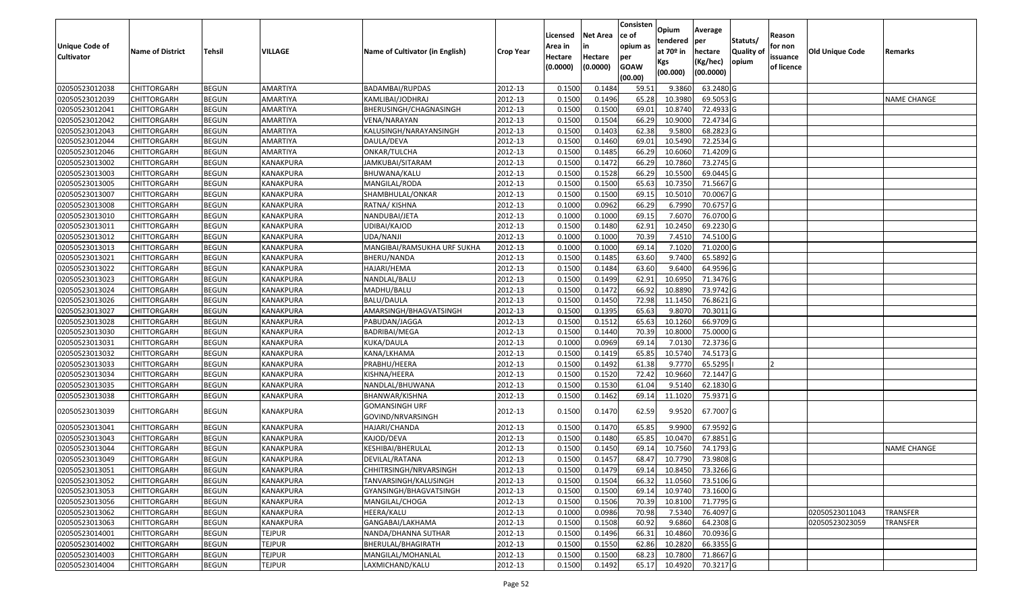| <b>Unique Code of</b><br><b>Cultivator</b> | <b>Name of District</b> | Tehsil       | VILLAGE          | Name of Cultivator (in English)            | <b>Crop Year</b> | Licensed<br>Area in<br>Hectare<br>(0.0000) | <b>Net Area</b><br>in<br>Hectare<br>(0.0000) | Consisten<br>ce of<br>opium as<br>per<br><b>GOAW</b><br>(00.00) | Opium<br>tendered<br>at $70°$ in<br>Kgs<br>(00.000) | Average<br>per<br>hectare<br>(Kg/hec)<br>(00.0000) | Statuts/<br><b>Quality o</b><br>opium | Reason<br>for non<br>issuance<br>of licence | Old Unique Code | Remarks            |
|--------------------------------------------|-------------------------|--------------|------------------|--------------------------------------------|------------------|--------------------------------------------|----------------------------------------------|-----------------------------------------------------------------|-----------------------------------------------------|----------------------------------------------------|---------------------------------------|---------------------------------------------|-----------------|--------------------|
| 02050523012038                             | <b>CHITTORGARH</b>      | <b>BEGUN</b> | AMARTIYA         | BADAMBAI/RUPDAS                            | 2012-13          | 0.1500                                     | 0.1484                                       | 59.51                                                           | 9.3860                                              | 63.2480 G                                          |                                       |                                             |                 |                    |
| 02050523012039                             | <b>CHITTORGARH</b>      | <b>BEGUN</b> | AMARTIYA         | KAMLIBAI/JODHRAJ                           | 2012-13          | 0.1500                                     | 0.1496                                       | 65.28                                                           | 10.3980                                             | 69.5053 G                                          |                                       |                                             |                 | <b>NAME CHANGE</b> |
| 02050523012041                             | <b>CHITTORGARH</b>      | <b>BEGUN</b> | AMARTIYA         | BHERUSINGH/CHAGNASINGH                     | 2012-13          | 0.1500                                     | 0.1500                                       | 69.01                                                           | 10.8740                                             | 72.4933 G                                          |                                       |                                             |                 |                    |
| 02050523012042                             | <b>CHITTORGARH</b>      | <b>BEGUN</b> | AMARTIYA         | VENA/NARAYAN                               | 2012-13          | 0.1500                                     | 0.1504                                       | 66.29                                                           | 10.9000                                             | 72.4734 G                                          |                                       |                                             |                 |                    |
| 02050523012043                             | <b>CHITTORGARH</b>      | <b>BEGUN</b> | AMARTIYA         | KALUSINGH/NARAYANSINGH                     | 2012-13          | 0.1500                                     | 0.1403                                       | 62.38                                                           | 9.5800                                              | 68.2823 G                                          |                                       |                                             |                 |                    |
| 02050523012044                             | <b>CHITTORGARH</b>      | <b>BEGUN</b> | AMARTIYA         | DAULA/DEVA                                 | 2012-13          | 0.1500                                     | 0.1460                                       | 69.01                                                           | 10.5490                                             | 72.2534 G                                          |                                       |                                             |                 |                    |
| 02050523012046                             | CHITTORGARH             | <b>BEGUN</b> | AMARTIYA         | ONKAR/TULCHA                               | 2012-13          | 0.1500                                     | 0.1485                                       | 66.29                                                           | 10.6060                                             | 71.4209 G                                          |                                       |                                             |                 |                    |
| 02050523013002                             | <b>CHITTORGARH</b>      | <b>BEGUN</b> | KANAKPURA        | JAMKUBAI/SITARAM                           | 2012-13          | 0.1500                                     | 0.1472                                       | 66.29                                                           | 10.7860                                             | 73.2745 G                                          |                                       |                                             |                 |                    |
| 02050523013003                             | <b>CHITTORGARH</b>      | <b>BEGUN</b> | KANAKPURA        | BHUWANA/KALU                               | 2012-13          | 0.1500                                     | 0.1528                                       | 66.29                                                           | 10.5500                                             | 69.0445 G                                          |                                       |                                             |                 |                    |
| 02050523013005                             | <b>CHITTORGARH</b>      | <b>BEGUN</b> | KANAKPURA        | MANGILAL/RODA                              | 2012-13          | 0.1500                                     | 0.1500                                       | 65.63                                                           | 10.7350                                             | 71.5667 G                                          |                                       |                                             |                 |                    |
| 02050523013007                             | <b>CHITTORGARH</b>      | <b>BEGUN</b> | KANAKPURA        | SHAMBHULAL/ONKAR                           | 2012-13          | 0.1500                                     | 0.1500                                       | 69.15                                                           | 10.5010                                             | 70.0067 G                                          |                                       |                                             |                 |                    |
| 02050523013008                             | <b>CHITTORGARH</b>      | <b>BEGUN</b> | KANAKPURA        | RATNA/ KISHNA                              | 2012-13          | 0.1000                                     | 0.0962                                       | 66.29                                                           | 6.7990                                              | 70.6757 G                                          |                                       |                                             |                 |                    |
| 02050523013010                             | <b>CHITTORGARH</b>      | <b>BEGUN</b> | KANAKPURA        | NANDUBAI/JETA                              | 2012-13          | 0.1000                                     | 0.1000                                       | 69.15                                                           | 7.6070                                              | 76.0700 G                                          |                                       |                                             |                 |                    |
| 02050523013011                             | <b>CHITTORGARH</b>      | <b>BEGUN</b> | KANAKPURA        | UDIBAI/KAJOD                               | 2012-13          | 0.1500                                     | 0.1480                                       | 62.91                                                           | 10.2450                                             | 69.2230 G                                          |                                       |                                             |                 |                    |
| 02050523013012                             | <b>CHITTORGARH</b>      | <b>BEGUN</b> | KANAKPURA        | UDA/NANJI                                  | 2012-13          | 0.1000                                     | 0.1000                                       | 70.39                                                           | 7.4510                                              | 74.5100 G                                          |                                       |                                             |                 |                    |
| 02050523013013                             | <b>CHITTORGARH</b>      | <b>BEGUN</b> | KANAKPURA        | MANGIBAI/RAMSUKHA URF SUKHA                | 2012-13          | 0.1000                                     | 0.1000                                       | 69.14                                                           | 7.1020                                              | 71.0200 G                                          |                                       |                                             |                 |                    |
| 02050523013021                             | <b>CHITTORGARH</b>      | <b>BEGUN</b> | KANAKPURA        | BHERU/NANDA                                | 2012-13          | 0.1500                                     | 0.1485                                       | 63.60                                                           | 9.7400                                              | 65.5892 G                                          |                                       |                                             |                 |                    |
| 02050523013022                             | <b>CHITTORGARH</b>      | <b>BEGUN</b> | KANAKPURA        | HAJARI/HEMA                                | 2012-13          | 0.1500                                     | 0.1484                                       | 63.60                                                           | 9.6400                                              | 64.9596 G                                          |                                       |                                             |                 |                    |
| 02050523013023                             | <b>CHITTORGARH</b>      | <b>BEGUN</b> | KANAKPURA        | NANDLAL/BALU                               | 2012-13          | 0.1500                                     | 0.1499                                       | 62.91                                                           | 10.6950                                             | 71.3476 G                                          |                                       |                                             |                 |                    |
| 02050523013024                             | <b>CHITTORGARH</b>      | <b>BEGUN</b> | KANAKPURA        | MADHU/BALU                                 | 2012-13          | 0.1500                                     | 0.1472                                       | 66.92                                                           | 10.8890                                             | 73.9742 G                                          |                                       |                                             |                 |                    |
| 02050523013026                             | <b>CHITTORGARH</b>      | <b>BEGUN</b> | KANAKPURA        | <b>BALU/DAULA</b>                          | 2012-13          | 0.1500                                     | 0.1450                                       | 72.98                                                           | 11.1450                                             | 76.8621 G                                          |                                       |                                             |                 |                    |
| 02050523013027                             | <b>CHITTORGARH</b>      | <b>BEGUN</b> | KANAKPURA        | AMARSINGH/BHAGVATSINGH                     | 2012-13          | 0.1500                                     | 0.1395                                       | 65.63                                                           | 9.8070                                              | 70.3011G                                           |                                       |                                             |                 |                    |
| 02050523013028                             | <b>CHITTORGARH</b>      | <b>BEGUN</b> | KANAKPURA        | PABUDAN/JAGGA                              | 2012-13          | 0.1500                                     | 0.1512                                       | 65.63                                                           | 10.1260                                             | 66.9709 G                                          |                                       |                                             |                 |                    |
| 02050523013030                             | <b>CHITTORGARH</b>      | <b>BEGUN</b> | KANAKPURA        | BADRIBAI/MEGA                              | 2012-13          | 0.1500                                     | 0.1440                                       | 70.39                                                           | 10.8000                                             | 75.0000 G                                          |                                       |                                             |                 |                    |
| 02050523013031                             | <b>CHITTORGARH</b>      | <b>BEGUN</b> | KANAKPURA        | KUKA/DAULA                                 | 2012-13          | 0.1000                                     | 0.0969                                       | 69.14                                                           | 7.0130                                              | 72.3736 G                                          |                                       |                                             |                 |                    |
| 02050523013032                             | <b>CHITTORGARH</b>      | <b>BEGUN</b> | KANAKPURA        | KANA/LKHAMA                                | 2012-13          | 0.1500                                     | 0.1419                                       | 65.85                                                           | 10.5740                                             | 74.5173 G                                          |                                       |                                             |                 |                    |
| 02050523013033                             | <b>CHITTORGARH</b>      | <b>BEGUN</b> | KANAKPURA        | PRABHU/HEERA                               | 2012-13          | 0.1500                                     | 0.1492                                       | 61.38                                                           | 9.7770                                              | 65.5295                                            |                                       |                                             |                 |                    |
| 02050523013034                             | <b>CHITTORGARH</b>      | <b>BEGUN</b> | KANAKPURA        | KISHNA/HEERA                               | 2012-13          | 0.1500                                     | 0.1520                                       | 72.42                                                           | 10.9660                                             | 72.1447 G                                          |                                       |                                             |                 |                    |
| 02050523013035                             | <b>CHITTORGARH</b>      | <b>BEGUN</b> | KANAKPURA        | NANDLAL/BHUWANA                            | 2012-13          | 0.1500                                     | 0.1530                                       | 61.04                                                           | 9.5140                                              | 62.1830 G                                          |                                       |                                             |                 |                    |
| 02050523013038                             | <b>CHITTORGARH</b>      | <b>BEGUN</b> | KANAKPURA        | BHANWAR/KISHNA                             | 2012-13          | 0.1500                                     | 0.1462                                       | 69.14                                                           | 11.1020                                             | 75.9371 G                                          |                                       |                                             |                 |                    |
| 02050523013039                             | <b>CHITTORGARH</b>      | <b>BEGUN</b> | KANAKPURA        | <b>GOMANSINGH URF</b><br>GOVIND/NRVARSINGH | 2012-13          | 0.1500                                     | 0.1470                                       | 62.59                                                           | 9.9520                                              | 67.7007 G                                          |                                       |                                             |                 |                    |
| 02050523013041                             | <b>CHITTORGARH</b>      | <b>BEGUN</b> | KANAKPURA        | HAJARI/CHANDA                              | 2012-13          | 0.1500                                     | 0.1470                                       | 65.85                                                           | 9.9900                                              | 67.9592 G                                          |                                       |                                             |                 |                    |
| 02050523013043                             | <b>CHITTORGARH</b>      | <b>BEGUN</b> | KANAKPURA        | KAJOD/DEVA                                 | 2012-13          | 0.1500                                     | 0.1480                                       | 65.85                                                           | 10.0470                                             | 67.8851 G                                          |                                       |                                             |                 |                    |
| 02050523013044                             | <b>CHITTORGARH</b>      | <b>BEGUN</b> | KANAKPURA        | KESHIBAI/BHERULAL                          | 2012-13          | 0.1500                                     | 0.1450                                       | 69.14                                                           | 10.7560                                             | 74.1793 G                                          |                                       |                                             |                 | <b>NAME CHANGE</b> |
| 02050523013049                             | <b>CHITTORGARH</b>      | <b>BEGUN</b> | KANAKPURA        | DEVILAL/RATANA                             | 2012-13          | 0.1500                                     | 0.1457                                       | 68.47                                                           | 10.7790                                             | 73.9808 G                                          |                                       |                                             |                 |                    |
| 02050523013051                             | <b>CHITTORGARH</b>      | <b>BEGUN</b> | KANAKPURA        | CHHITRSINGH/NRVARSINGH                     | 2012-13          | 0.1500                                     | 0.1479                                       | 69.14                                                           |                                                     | 10.8450 73.3266 G                                  |                                       |                                             |                 |                    |
| 02050523013052                             | <b>CHITTORGARH</b>      | <b>BEGUN</b> | KANAKPURA        | TANVARSINGH/KALUSINGH                      | 2012-13          | 0.1500                                     | 0.1504                                       | 66.32                                                           | 11.0560                                             | 73.5106 G                                          |                                       |                                             |                 |                    |
| 02050523013053                             | <b>CHITTORGARH</b>      | <b>BEGUN</b> | KANAKPURA        | GYANSINGH/BHAGVATSINGH                     | 2012-13          | 0.1500                                     | 0.1500                                       | 69.14                                                           | 10.9740                                             | 73.1600 G                                          |                                       |                                             |                 |                    |
| 02050523013056                             | <b>CHITTORGARH</b>      | <b>BEGUN</b> | KANAKPURA        | MANGILAL/CHOGA                             | 2012-13          | 0.1500                                     | 0.1506                                       | 70.39                                                           | 10.8100                                             | 71.7795 G                                          |                                       |                                             |                 |                    |
| 02050523013062                             | <b>CHITTORGARH</b>      | <b>BEGUN</b> | KANAKPURA        | HEERA/KALU                                 | 2012-13          | 0.1000                                     | 0.0986                                       | 70.98                                                           | 7.5340                                              | 76.4097 G                                          |                                       |                                             | 02050523011043  | TRANSFER           |
| 02050523013063                             | <b>CHITTORGARH</b>      | <b>BEGUN</b> | <b>KANAKPURA</b> | GANGABAI/LAKHAMA                           | 2012-13          | 0.1500                                     | 0.1508                                       | 60.92                                                           | 9.6860                                              | 64.2308 G                                          |                                       |                                             | 02050523023059  | <b>TRANSFER</b>    |
| 02050523014001                             | <b>CHITTORGARH</b>      | <b>BEGUN</b> | <b>TEJPUR</b>    | NANDA/DHANNA SUTHAR                        | 2012-13          | 0.1500                                     | 0.1496                                       | 66.31                                                           | 10.4860                                             | 70.0936 G                                          |                                       |                                             |                 |                    |
| 02050523014002                             | <b>CHITTORGARH</b>      | <b>BEGUN</b> | <b>TEJPUR</b>    | BHERULAL/BHAGIRATH                         | 2012-13          | 0.1500                                     | 0.1550                                       | 62.86                                                           | 10.2820                                             | 66.3355 G                                          |                                       |                                             |                 |                    |
| 02050523014003                             | <b>CHITTORGARH</b>      | <b>BEGUN</b> | <b>TEJPUR</b>    | MANGILAL/MOHANLAL                          | 2012-13          | 0.1500                                     | 0.1500                                       | 68.23                                                           | 10.7800                                             | 71.8667 G                                          |                                       |                                             |                 |                    |
| 02050523014004                             | <b>CHITTORGARH</b>      | <b>BEGUN</b> | <b>TEJPUR</b>    | LAXMICHAND/KALU                            | 2012-13          | 0.1500                                     | 0.1492                                       | 65.17                                                           |                                                     | 10.4920 70.3217 G                                  |                                       |                                             |                 |                    |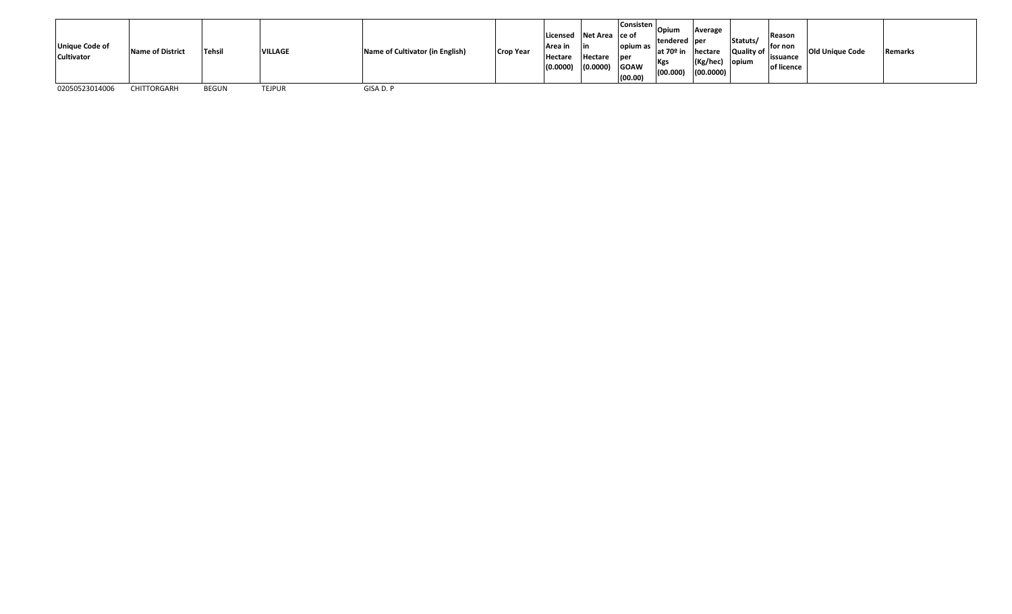| <b>Unique Code of</b><br><b>Cultivator</b> | Name of District | <b>Tehsil</b> | <b>VILLAGE</b> | Name of Cultivator (in English) | <b>Crop Year</b> | Area in<br>Hectare<br>(0.0000) | Licensed Net Area ce of<br>l in<br>Hectare<br>(0.0000) | opium as<br><b>lper</b><br><b>GOAW</b><br>(00.00) | <b>Consisten</b> Opium<br>Itendered lper<br>at 70 <sup>o</sup> in<br>Kgs<br>(00.000) | Average<br>hectare<br>$(Kg/$ hec $)$<br>(00.0000) | Statuts/<br>Quality of<br>opium | Reason<br>for non<br>lissuance<br>of licence | <b>Old Unique Code</b> | Remarks |
|--------------------------------------------|------------------|---------------|----------------|---------------------------------|------------------|--------------------------------|--------------------------------------------------------|---------------------------------------------------|--------------------------------------------------------------------------------------|---------------------------------------------------|---------------------------------|----------------------------------------------|------------------------|---------|
| 02050523014006                             | CHITTORGARH      | <b>BEGUN</b>  | <b>TEJPUR</b>  | GISA D. P                       |                  |                                |                                                        |                                                   |                                                                                      |                                                   |                                 |                                              |                        |         |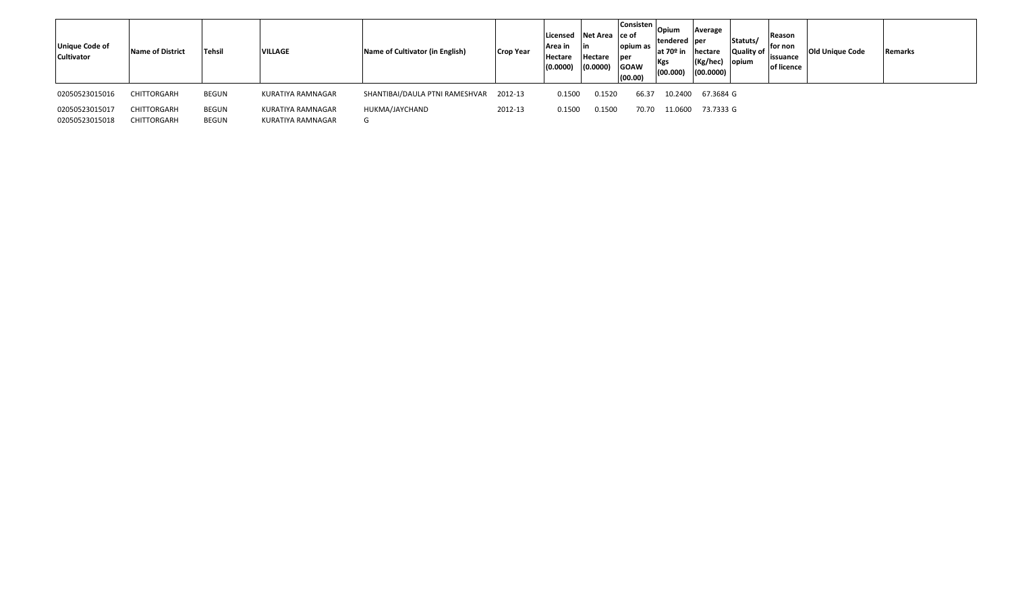| <b>Unique Code of</b><br><b>Cultivator</b> | <b>Name of District</b> | Tehsil       | <b>VILLAGE</b>    | Name of Cultivator (in English) | <b>Crop Year</b> | Licensed<br>Area in<br>Hectare<br>(0.0000) | Net Area ce of<br>l in<br>Hectare<br>(0.0000) | <b>Consisten</b> Opium<br>opium as<br>per<br><b>GOAW</b><br>(00.00) | tendered  per<br>$at 70°$ in<br><b>Kgs</b><br>(00.000) | Average<br>hectare<br>$(Kg/$ hec $)$<br>(00.0000) | Statuts/<br>Quality of<br>opium | Reason<br>for non<br>lissuance<br>of licence | <b>Old Unique Code</b> | Remarks |  |
|--------------------------------------------|-------------------------|--------------|-------------------|---------------------------------|------------------|--------------------------------------------|-----------------------------------------------|---------------------------------------------------------------------|--------------------------------------------------------|---------------------------------------------------|---------------------------------|----------------------------------------------|------------------------|---------|--|
| 02050523015016                             | CHITTORGARH             | <b>BEGUN</b> | KURATIYA RAMNAGAR | SHANTIBAI/DAULA PTNI RAMESHVAR  | 2012-13          | 0.1500                                     | 0.1520                                        | 66.37                                                               | 10.2400                                                | 67.3684 G                                         |                                 |                                              |                        |         |  |
| 02050523015017                             | CHITTORGARH             | <b>BEGUN</b> | KURATIYA RAMNAGAR | HUKMA/JAYCHAND                  | 2012-13          | 0.1500                                     | 0.1500                                        | 70.70                                                               | 11.0600                                                | 73.7333 G                                         |                                 |                                              |                        |         |  |
| 02050523015018                             | CHITTORGARH             | <b>BEGUN</b> | KURATIYA RAMNAGAR | G                               |                  |                                            |                                               |                                                                     |                                                        |                                                   |                                 |                                              |                        |         |  |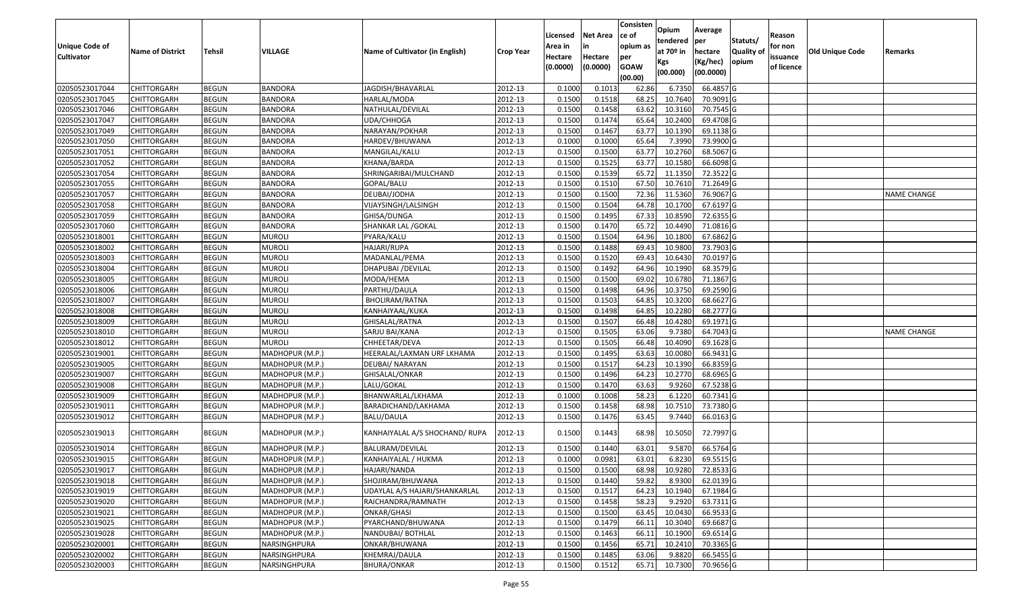| <b>Unique Code of</b> | <b>Name of District</b> | <b>Tehsil</b> | VILLAGE         | Name of Cultivator (in English) | <b>Crop Year</b> | Licensed<br>Area in | <b>Net Area</b><br>in | Consisten<br>ce of<br>opium as | Opium<br>tendered<br>at 70º in | Average<br>per<br>hectare | Statuts/<br><b>Quality of</b> | Reason<br>for non      | <b>Old Unique Code</b> | Remarks            |
|-----------------------|-------------------------|---------------|-----------------|---------------------------------|------------------|---------------------|-----------------------|--------------------------------|--------------------------------|---------------------------|-------------------------------|------------------------|------------------------|--------------------|
| <b>Cultivator</b>     |                         |               |                 |                                 |                  | Hectare<br>(0.0000) | Hectare<br>(0.0000)   | per<br><b>GOAW</b><br>(00.00)  | Kgs<br>(00.000)                | (Kg/hec)<br>(00.0000)     | opium                         | issuance<br>of licence |                        |                    |
| 02050523017044        | <b>CHITTORGARH</b>      | <b>BEGUN</b>  | <b>BANDORA</b>  | JAGDISH/BHAVARLAL               | 2012-13          | 0.1000              | 0.1013                | 62.86                          | 6.7350                         | 66.4857 G                 |                               |                        |                        |                    |
| 02050523017045        | <b>CHITTORGARH</b>      | <b>BEGUN</b>  | BANDORA         | HARLAL/MODA                     | 2012-13          | 0.1500              | 0.1518                | 68.25                          | 10.7640                        | 70.9091G                  |                               |                        |                        |                    |
| 02050523017046        | <b>CHITTORGARH</b>      | <b>BEGUN</b>  | BANDORA         | NATHULAL/DEVILAL                | 2012-13          | 0.1500              | 0.1458                | 63.62                          | 10.3160                        | 70.7545 G                 |                               |                        |                        |                    |
| 02050523017047        | <b>CHITTORGARH</b>      | <b>BEGUN</b>  | <b>BANDORA</b>  | UDA/CHHOGA                      | 2012-13          | 0.1500              | 0.1474                | 65.64                          | 10.2400                        | 69.4708 G                 |                               |                        |                        |                    |
| 02050523017049        | <b>CHITTORGARH</b>      | <b>BEGUN</b>  | <b>BANDORA</b>  | NARAYAN/POKHAR                  | 2012-13          | 0.1500              | 0.1467                | 63.77                          | 10.1390                        | 69.1138 G                 |                               |                        |                        |                    |
| 02050523017050        | <b>CHITTORGARH</b>      | <b>BEGUN</b>  | <b>BANDORA</b>  | HARDEV/BHUWANA                  | 2012-13          | 0.1000              | 0.1000                | 65.64                          | 7.3990                         | 73.9900 G                 |                               |                        |                        |                    |
| 02050523017051        | CHITTORGARH             | <b>BEGUN</b>  | BANDORA         | MANGILAL/KALU                   | 2012-13          | 0.1500              | 0.1500                | 63.77                          | 10.2760                        | 68.5067 G                 |                               |                        |                        |                    |
| 02050523017052        | <b>CHITTORGARH</b>      | <b>BEGUN</b>  | <b>BANDORA</b>  | KHANA/BARDA                     | 2012-13          | 0.1500              | 0.1525                | 63.77                          | 10.1580                        | 66.6098 G                 |                               |                        |                        |                    |
| 02050523017054        | <b>CHITTORGARH</b>      | <b>BEGUN</b>  | <b>BANDORA</b>  | SHRINGARIBAI/MULCHAND           | 2012-13          | 0.1500              | 0.1539                | 65.72                          | 11.1350                        | 72.3522 G                 |                               |                        |                        |                    |
| 02050523017055        | <b>CHITTORGARH</b>      | <b>BEGUN</b>  | <b>BANDORA</b>  | GOPAL/BALU                      | 2012-13          | 0.1500              | 0.1510                | 67.50                          | 10.7610                        | 71.2649 G                 |                               |                        |                        |                    |
| 02050523017057        | <b>CHITTORGARH</b>      | <b>BEGUN</b>  | <b>BANDORA</b>  | DEUBAI/JODHA                    | 2012-13          | 0.1500              | 0.1500                | 72.36                          | 11.5360                        | 76.9067 G                 |                               |                        |                        | <b>NAME CHANGE</b> |
| 02050523017058        | <b>CHITTORGARH</b>      | <b>BEGUN</b>  | <b>BANDORA</b>  | VIJAYSINGH/LALSINGH             | 2012-13          | 0.1500              | 0.1504                | 64.78                          | 10.1700                        | 67.6197 G                 |                               |                        |                        |                    |
| 02050523017059        | <b>CHITTORGARH</b>      | <b>BEGUN</b>  | <b>BANDORA</b>  | GHISA/DUNGA                     | 2012-13          | 0.1500              | 0.1495                | 67.33                          | 10.8590                        | 72.6355 G                 |                               |                        |                        |                    |
| 02050523017060        | <b>CHITTORGARH</b>      | <b>BEGUN</b>  | BANDORA         | SHANKAR LAL /GOKAL              | 2012-13          | 0.1500              | 0.1470                | 65.72                          | 10.4490                        | 71.0816 G                 |                               |                        |                        |                    |
| 02050523018001        | <b>CHITTORGARH</b>      | <b>BEGUN</b>  | <b>MUROLI</b>   | PYARA/KALU                      | 2012-13          | 0.1500              | 0.1504                | 64.96                          | 10.1800                        | 67.6862 G                 |                               |                        |                        |                    |
| 02050523018002        | <b>CHITTORGARH</b>      | <b>BEGUN</b>  | <b>MUROLI</b>   | HAJARI/RUPA                     | 2012-13          | 0.1500              | 0.1488                | 69.43                          | 10.9800                        | 73.7903 G                 |                               |                        |                        |                    |
| 02050523018003        | <b>CHITTORGARH</b>      | <b>BEGUN</b>  | <b>MUROLI</b>   | MADANLAL/PEMA                   | 2012-13          | 0.1500              | 0.1520                | 69.43                          | 10.6430                        | 70.0197 G                 |                               |                        |                        |                    |
| 02050523018004        | <b>CHITTORGARH</b>      | <b>BEGUN</b>  | <b>MUROLI</b>   | DHAPUBAI / DEVILAL              | 2012-13          | 0.1500              | 0.1492                | 64.96                          | 10.1990                        | 68.3579 G                 |                               |                        |                        |                    |
| 02050523018005        | <b>CHITTORGARH</b>      | <b>BEGUN</b>  | <b>MUROLI</b>   | MODA/HEMA                       | 2012-13          | 0.1500              | 0.1500                | 69.02                          | 10.6780                        | 71.1867 G                 |                               |                        |                        |                    |
| 02050523018006        | <b>CHITTORGARH</b>      | <b>BEGUN</b>  | muroli          | PARTHU/DAULA                    | 2012-13          | 0.1500              | 0.1498                | 64.96                          | 10.3750                        | 69.2590 G                 |                               |                        |                        |                    |
| 02050523018007        | <b>CHITTORGARH</b>      | <b>BEGUN</b>  | <b>MUROLI</b>   | BHOLIRAM/RATNA                  | 2012-13          | 0.1500              | 0.1503                | 64.85                          | 10.3200                        | 68.6627 G                 |                               |                        |                        |                    |
| 02050523018008        | <b>CHITTORGARH</b>      | <b>BEGUN</b>  | <b>MUROLI</b>   | KANHAIYAAL/KUKA                 | 2012-13          | 0.1500              | 0.1498                | 64.85                          | 10.2280                        | 68.2777 G                 |                               |                        |                        |                    |
| 02050523018009        | <b>CHITTORGARH</b>      | <b>BEGUN</b>  | MUROLI          | GHISALAL/RATNA                  | 2012-13          | 0.1500              | 0.1507                | 66.48                          | 10.4280                        | 69.1971 G                 |                               |                        |                        |                    |
| 02050523018010        | <b>CHITTORGARH</b>      | <b>BEGUN</b>  | muroli          | SARJU BAI/KANA                  | 2012-13          | 0.1500              | 0.1505                | 63.06                          | 9.7380                         | 64.7043 G                 |                               |                        |                        | NAME CHANGE        |
| 02050523018012        | <b>CHITTORGARH</b>      | <b>BEGUN</b>  | MUROLI          | CHHEETAR/DEVA                   | 2012-13          | 0.1500              | 0.1505                | 66.48                          | 10.4090                        | 69.1628 G                 |                               |                        |                        |                    |
| 02050523019001        | <b>CHITTORGARH</b>      | <b>BEGUN</b>  | MADHOPUR (M.P.) | HEERALAL/LAXMAN URF LKHAMA      | 2012-13          | 0.1500              | 0.1495                | 63.63                          | 10.0080                        | 66.9431 G                 |                               |                        |                        |                    |
| 02050523019005        | <b>CHITTORGARH</b>      | <b>BEGUN</b>  | MADHOPUR (M.P.) | DEUBAI/ NARAYAN                 | 2012-13          | 0.1500              | 0.1517                | 64.23                          | 10.1390                        | 66.8359 G                 |                               |                        |                        |                    |
| 02050523019007        | <b>CHITTORGARH</b>      | <b>BEGUN</b>  | MADHOPUR (M.P.) | GHISALAL/ONKAR                  | 2012-13          | 0.1500              | 0.1496                | 64.23                          | 10.2770                        | 68.6965 G                 |                               |                        |                        |                    |
| 02050523019008        | <b>CHITTORGARH</b>      | <b>BEGUN</b>  | MADHOPUR (M.P.) | LALU/GOKAL                      | 2012-13          | 0.1500              | 0.1470                | 63.63                          | 9.9260                         | 67.5238 G                 |                               |                        |                        |                    |
| 02050523019009        | <b>CHITTORGARH</b>      | <b>BEGUN</b>  | MADHOPUR (M.P.) | BHANWARLAL/LKHAMA               | 2012-13          | 0.1000              | 0.1008                | 58.23                          | 6.1220                         | 60.7341 G                 |                               |                        |                        |                    |
| 02050523019011        | <b>CHITTORGARH</b>      | <b>BEGUN</b>  | MADHOPUR (M.P.) | BARADICHAND/LAKHAMA             | 2012-13          | 0.1500              | 0.1458                | 68.98                          | 10.7510                        | 73.7380 G                 |                               |                        |                        |                    |
| 02050523019012        | CHITTORGARH             | BEGUN         | MADHOPUR (M.P.) | BALU/DAULA                      | 2012-13          | 0.1500              | 0.1476                | 63.45                          | 9.7440                         | 66.0163 G                 |                               |                        |                        |                    |
| 02050523019013        | <b>CHITTORGARH</b>      | <b>BEGUN</b>  | MADHOPUR (M.P.) | KANHAIYALAL A/S SHOCHAND/ RUPA  | 2012-13          | 0.1500              | 0.1443                | 68.98                          | 10.5050                        | 72.7997 G                 |                               |                        |                        |                    |
| 02050523019014        | <b>CHITTORGARH</b>      | BEGUN         | MADHOPUR (M.P.) | BALURAM/DEVILAL                 | 2012-13          | 0.1500              | 0.1440                | 63.01                          | 9.5870                         | 66.5764 G                 |                               |                        |                        |                    |
| 02050523019015        | <b>CHITTORGARH</b>      | <b>BEGUN</b>  | MADHOPUR (M.P.) | KANHAIYALAL / HUKMA             | 2012-13          | 0.1000              | 0.0981                | 63.01                          | 6.8230                         | 69.5515 G                 |                               |                        |                        |                    |
| 02050523019017        | <b>CHITTORGARH</b>      | <b>BEGUN</b>  | MADHOPUR (M.P.) | HAJARI/NANDA                    | 2012-13          | 0.1500              | 0.1500                | 68.98                          | 10.9280                        | 72.8533 G                 |                               |                        |                        |                    |
| 02050523019018        | <b>CHITTORGARH</b>      | <b>BEGUN</b>  | MADHOPUR (M.P.) | SHOJIRAM/BHUWANA                | 2012-13          | 0.1500              | 0.1440                | 59.82                          | 8.9300                         | 62.0139 G                 |                               |                        |                        |                    |
| 02050523019019        | <b>CHITTORGARH</b>      | <b>BEGUN</b>  | MADHOPUR (M.P.) | UDAYLAL A/S HAJARI/SHANKARLAL   | 2012-13          | 0.1500              | 0.1517                | 64.23                          | 10.1940                        | 67.1984 G                 |                               |                        |                        |                    |
| 02050523019020        | <b>CHITTORGARH</b>      | <b>BEGUN</b>  | MADHOPUR (M.P.) | RAICHANDRA/RAMNATH              | 2012-13          | 0.1500              | 0.1458                | 58.23                          | 9.2920                         | 63.7311 G                 |                               |                        |                        |                    |
| 02050523019021        | <b>CHITTORGARH</b>      | <b>BEGUN</b>  | MADHOPUR (M.P.) | <b>ONKAR/GHASI</b>              | 2012-13          | 0.1500              | 0.1500                | 63.45                          | 10.0430                        | 66.9533 G                 |                               |                        |                        |                    |
| 02050523019025        | <b>CHITTORGARH</b>      | <b>BEGUN</b>  | MADHOPUR (M.P.) | PYARCHAND/BHUWANA               | 2012-13          | 0.1500              | 0.1479                | 66.11                          | 10.3040                        | 69.6687 G                 |                               |                        |                        |                    |
| 02050523019028        | <b>CHITTORGARH</b>      | <b>BEGUN</b>  | MADHOPUR (M.P.) | NANDUBAI/ BOTHLAL               | 2012-13          | 0.1500              | 0.1463                | 66.11                          | 10.1900                        | 69.6514 G                 |                               |                        |                        |                    |
| 02050523020001        | <b>CHITTORGARH</b>      | <b>BEGUN</b>  | NARSINGHPURA    | ONKAR/BHUWANA                   | 2012-13          | 0.1500              | 0.1456                | 65.71                          | 10.2410                        | 70.3365 G                 |                               |                        |                        |                    |
| 02050523020002        | <b>CHITTORGARH</b>      | <b>BEGUN</b>  | NARSINGHPURA    | KHEMRAJ/DAULA                   | 2012-13          | 0.1500              | 0.1485                | 63.06                          | 9.8820                         | 66.5455 G                 |                               |                        |                        |                    |
| 02050523020003        | <b>CHITTORGARH</b>      | <b>BEGUN</b>  | NARSINGHPURA    | <b>BHURA/ONKAR</b>              | 2012-13          | 0.1500              | 0.1512                | 65.71                          | 10.7300                        | 70.9656 G                 |                               |                        |                        |                    |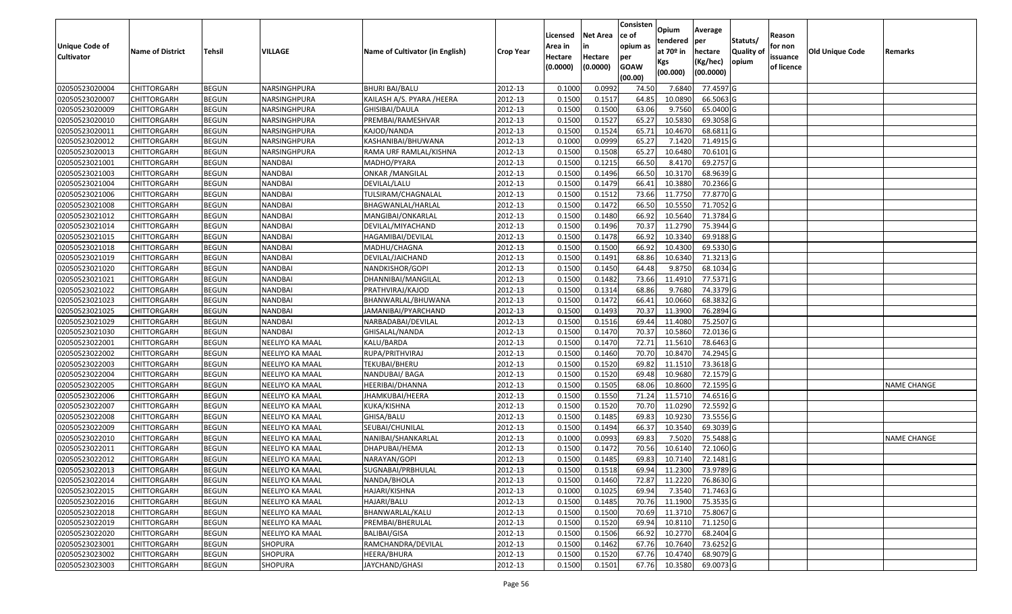|                       |                         |               |                 |                                 |                  |          |                 | Consisten              | Opium       | Average                 |                  |            |                 |                    |
|-----------------------|-------------------------|---------------|-----------------|---------------------------------|------------------|----------|-----------------|------------------------|-------------|-------------------------|------------------|------------|-----------------|--------------------|
|                       |                         |               |                 |                                 |                  | Licensed | <b>Net Area</b> | ce of                  | tendered    | per                     | Statuts/         | Reason     |                 |                    |
| <b>Unique Code of</b> | <b>Name of District</b> | <b>Tehsil</b> | VILLAGE         | Name of Cultivator (in English) | <b>Crop Year</b> | Area in  | in              | opium as               | at $70°$ in | hectare                 | <b>Quality o</b> | for non    | Old Unique Code | Remarks            |
| <b>Cultivator</b>     |                         |               |                 |                                 |                  | Hectare  | Hectare         | per                    | Kgs         | (Kg/hec)                | opium            | issuance   |                 |                    |
|                       |                         |               |                 |                                 |                  | (0.0000) | (0.0000)        | <b>GOAW</b><br>(00.00) | (00.000)    | (00.0000)               |                  | of licence |                 |                    |
| 02050523020004        | CHITTORGARH             | <b>BEGUN</b>  | NARSINGHPURA    | <b>BHURI BAI/BALU</b>           | 2012-13          | 0.1000   | 0.0992          | 74.50                  | 7.6840      | 77.4597 G               |                  |            |                 |                    |
| 02050523020007        | CHITTORGARH             | <b>BEGUN</b>  | NARSINGHPURA    | KAILASH A/S. PYARA /HEERA       | 2012-13          | 0.1500   | 0.1517          | 64.85                  | 10.0890     | 66.5063 G               |                  |            |                 |                    |
| 02050523020009        | CHITTORGARH             | <b>BEGUN</b>  | NARSINGHPURA    | GHISIBAI/DAULA                  | 2012-13          | 0.1500   | 0.1500          | 63.06                  | 9.7560      | 65.0400 G               |                  |            |                 |                    |
| 02050523020010        | <b>CHITTORGARH</b>      | <b>BEGUN</b>  | NARSINGHPURA    | PREMBAI/RAMESHVAR               | 2012-13          | 0.1500   | 0.1527          | 65.27                  | 10.5830     | 69.3058 G               |                  |            |                 |                    |
| 02050523020011        | CHITTORGARH             | <b>BEGUN</b>  | NARSINGHPURA    | KAJOD/NANDA                     | 2012-13          | 0.1500   | 0.1524          | 65.7                   | 10.4670     | 68.6811 G               |                  |            |                 |                    |
| 02050523020012        | CHITTORGARH             | <b>BEGUN</b>  | NARSINGHPURA    | KASHANIBAI/BHUWANA              | 2012-13          | 0.1000   | 0.0999          | 65.27                  | 7.1420      | 71.4915 G               |                  |            |                 |                    |
| 02050523020013        | CHITTORGARH             | <b>BEGUN</b>  | NARSINGHPURA    | RAMA URF RAMLAL/KISHNA          | 2012-13          | 0.1500   | 0.1508          | 65.27                  | 10.6480     | 70.6101 G               |                  |            |                 |                    |
| 02050523021001        | <b>CHITTORGARH</b>      | <b>BEGUN</b>  | <b>NANDBAI</b>  | MADHO/PYARA                     | 2012-13          | 0.1500   | 0.1215          | 66.50                  | 8.4170      | 69.2757 G               |                  |            |                 |                    |
| 02050523021003        | CHITTORGARH             | <b>BEGUN</b>  | <b>NANDBAI</b>  | <b>ONKAR / MANGILAL</b>         | 2012-13          | 0.1500   | 0.1496          | 66.50                  | 10.3170     | 68.9639 G               |                  |            |                 |                    |
| 02050523021004        | CHITTORGARH             | <b>BEGUN</b>  | <b>NANDBAI</b>  | DEVILAL/LALU                    | 2012-13          | 0.1500   | 0.1479          | 66.41                  | 10.3880     | 70.2366 G               |                  |            |                 |                    |
| 02050523021006        | CHITTORGARH             | <b>BEGUN</b>  | <b>NANDBAI</b>  | TULSIRAM/CHAGNALAL              | 2012-13          | 0.1500   | 0.1512          | 73.66                  | 11.7750     | 77.8770 G               |                  |            |                 |                    |
| 02050523021008        | <b>CHITTORGARH</b>      | <b>BEGUN</b>  | <b>NANDBAI</b>  | BHAGWANLAL/HARLAL               | 2012-13          | 0.1500   | 0.1472          | 66.50                  | 10.5550     | 71.7052 G               |                  |            |                 |                    |
| 02050523021012        | <b>CHITTORGARH</b>      | <b>BEGUN</b>  | <b>NANDBAI</b>  | MANGIBAI/ONKARLAL               | 2012-13          | 0.1500   | 0.1480          | 66.92                  | 10.5640     | 71.3784 G               |                  |            |                 |                    |
| 02050523021014        | <b>CHITTORGARH</b>      | <b>BEGUN</b>  | <b>NANDBAI</b>  | DEVILAL/MIYACHAND               | 2012-13          | 0.1500   | 0.1496          | 70.37                  | 11.2790     | 75.3944 G               |                  |            |                 |                    |
| 02050523021015        | CHITTORGARH             | <b>BEGUN</b>  | <b>NANDBAI</b>  | HAGAMIBAI/DEVILAL               | 2012-13          | 0.1500   | 0.1478          | 66.92                  | 10.3340     | 69.9188 G               |                  |            |                 |                    |
| 02050523021018        | <b>CHITTORGARH</b>      | <b>BEGUN</b>  | <b>NANDBAI</b>  | MADHU/CHAGNA                    | 2012-13          | 0.1500   | 0.1500          | 66.92                  | 10.4300     | 69.5330 G               |                  |            |                 |                    |
| 02050523021019        | CHITTORGARH             | <b>BEGUN</b>  | <b>NANDBAI</b>  | DEVILAL/JAICHAND                | 2012-13          | 0.1500   | 0.1491          | 68.86                  | 10.6340     | 71.3213 G               |                  |            |                 |                    |
| 02050523021020        | CHITTORGARH             | <b>BEGUN</b>  | <b>NANDBAI</b>  | NANDKISHOR/GOPI                 | 2012-13          | 0.1500   | 0.1450          | 64.48                  | 9.875       | 68.1034 G               |                  |            |                 |                    |
| 02050523021021        | CHITTORGARH             | <b>BEGUN</b>  | <b>NANDBAI</b>  | DHANNIBAI/MANGILAL              | 2012-13          | 0.1500   | 0.1482          | 73.66                  | 11.491      | 77.5371 G               |                  |            |                 |                    |
| 02050523021022        | CHITTORGARH             | <b>BEGUN</b>  | <b>NANDBAI</b>  | PRATHVIRAJ/KAJOD                | 2012-13          | 0.1500   | 0.1314          | 68.86                  | 9.7680      | 74.3379 G               |                  |            |                 |                    |
| 02050523021023        | CHITTORGARH             | <b>BEGUN</b>  | <b>NANDBAI</b>  | BHANWARLAL/BHUWANA              | 2012-13          | 0.1500   | 0.1472          | 66.41                  | 10.0660     | 68.3832 G               |                  |            |                 |                    |
| 02050523021025        | CHITTORGARH             | <b>BEGUN</b>  | <b>NANDBAI</b>  | JAMANIBAI/PYARCHAND             | 2012-13          | 0.1500   | 0.1493          | 70.3                   | 11.3900     | 76.2894 G               |                  |            |                 |                    |
| 02050523021029        | CHITTORGARH             | <b>BEGUN</b>  | <b>NANDBAI</b>  | NARBADABAI/DEVILAL              | 2012-13          | 0.1500   | 0.1516          | 69.44                  | 11.4080     | 75.2507 G               |                  |            |                 |                    |
| 02050523021030        | <b>CHITTORGARH</b>      | <b>BEGUN</b>  | NANDBAI         | GHISALAL/NANDA                  | 2012-13          | 0.1500   | 0.1470          | 70.3                   | 10.5860     | 72.0136 G               |                  |            |                 |                    |
| 02050523022001        | CHITTORGARH             | <b>BEGUN</b>  | NEELIYO KA MAAL | KALU/BARDA                      | 2012-13          | 0.1500   | 0.1470          | 72.71                  | 11.5610     | 78.6463 G               |                  |            |                 |                    |
| 02050523022002        | CHITTORGARH             | <b>BEGUN</b>  | NEELIYO KA MAAL | RUPA/PRITHVIRAJ                 | 2012-13          | 0.1500   | 0.1460          | 70.70                  | 10.8470     | 74.2945 G               |                  |            |                 |                    |
| 02050523022003        | CHITTORGARH             | <b>BEGUN</b>  | NEELIYO KA MAAL | TEKUBAI/BHERU                   | 2012-13          | 0.1500   | 0.1520          | 69.82                  | 11.1510     | 73.3618 G               |                  |            |                 |                    |
| 02050523022004        | CHITTORGARH             | <b>BEGUN</b>  | NEELIYO KA MAAL | NANDUBAI/ BAGA                  | 2012-13          | 0.1500   | 0.1520          | 69.48                  | 10.9680     | 72.1579 G               |                  |            |                 |                    |
| 02050523022005        | CHITTORGARH             | <b>BEGUN</b>  | NEELIYO KA MAAL | HEERIBAI/DHANNA                 | 2012-13          | 0.1500   | 0.1505          | 68.06                  | 10.8600     | 72.1595 G               |                  |            |                 | <b>NAME CHANGE</b> |
| 02050523022006        | CHITTORGARH             | <b>BEGUN</b>  | NEELIYO KA MAAL | JHAMKUBAI/HEERA                 | 2012-13          | 0.1500   | 0.1550          | 71.24                  | 11.5710     | 74.6516 G               |                  |            |                 |                    |
| 02050523022007        | CHITTORGARH             | <b>BEGUN</b>  | NEELIYO KA MAAL | KUKA/KISHNA                     | 2012-13          | 0.1500   | 0.1520          | 70.7                   | 11.0290     | 72.5592 G               |                  |            |                 |                    |
| 02050523022008        | CHITTORGARH             | <b>BEGUN</b>  | NEELIYO KA MAAL | GHISA/BALU                      | 2012-13          | 0.1500   | 0.1485          | 69.8                   | 10.9230     | 73.5556 G               |                  |            |                 |                    |
| 02050523022009        | CHITTORGARH             | <b>BEGUN</b>  | NEELIYO KA MAAL | SEUBAI/CHUNILAL                 | 2012-13          | 0.1500   | 0.1494          | 66.37                  | 10.3540     | 69.3039 G               |                  |            |                 |                    |
| 02050523022010        | <b>CHITTORGARH</b>      | <b>BEGUN</b>  | NEELIYO KA MAAL | NANIBAI/SHANKARLAL              | 2012-13          | 0.1000   | 0.0993          | 69.83                  | 7.5020      | 75.5488 G               |                  |            |                 | <b>NAME CHANGE</b> |
| 02050523022011        | CHITTORGARH             | <b>BEGUN</b>  | NEELIYO KA MAAL | DHAPUBAI/HEMA                   | 2012-13          | 0.1500   | 0.1472          | 70.56                  | 10.6140     | 72.1060 G               |                  |            |                 |                    |
| 02050523022012        | CHITTORGARH             | <b>BEGUN</b>  | NEELIYO KA MAAL | NARAYAN/GOPI                    | 2012-13          | 0.1500   | 0.1485          | 69.83                  | 10.7140     | 72.1481G                |                  |            |                 |                    |
| 02050523022013        | <b>CHITTORGARH</b>      | <b>BEGUN</b>  | NEELIYO KA MAAL | SUGNABAI/PRBHULAL               | 2012-13          | 0.1500   | 0.1518          |                        |             | 69.94 11.2300 73.9789 G |                  |            |                 |                    |
| 02050523022014        | <b>CHITTORGARH</b>      | <b>BEGUN</b>  | NEELIYO KA MAAL | NANDA/BHOLA                     | 2012-13          | 0.1500   | 0.1460          | 72.87                  | 11.2220     | 76.8630 G               |                  |            |                 |                    |
| 02050523022015        | <b>CHITTORGARH</b>      | <b>BEGUN</b>  | NEELIYO KA MAAL | HAJARI/KISHNA                   | 2012-13          | 0.1000   | 0.1025          | 69.94                  | 7.3540      | 71.7463 G               |                  |            |                 |                    |
| 02050523022016        | <b>CHITTORGARH</b>      | <b>BEGUN</b>  | NEELIYO KA MAAL | HAJARI/BALU                     | 2012-13          | 0.1500   | 0.1485          | 70.76                  | 11.1900     | 75.3535 G               |                  |            |                 |                    |
| 02050523022018        | <b>CHITTORGARH</b>      | <b>BEGUN</b>  | NEELIYO KA MAAL | BHANWARLAL/KALU                 | 2012-13          | 0.1500   | 0.1500          | 70.69                  | 11.3710     | 75.8067 G               |                  |            |                 |                    |
| 02050523022019        | <b>CHITTORGARH</b>      | <b>BEGUN</b>  | NEELIYO KA MAAL | PREMBAI/BHERULAL                | 2012-13          | 0.1500   | 0.1520          | 69.94                  | 10.8110     | 71.1250 G               |                  |            |                 |                    |
| 02050523022020        | <b>CHITTORGARH</b>      | <b>BEGUN</b>  | NEELIYO KA MAAL | BALIBAI/GISA                    | 2012-13          | 0.1500   | 0.1506          | 66.92                  | 10.2770     | 68.2404 G               |                  |            |                 |                    |
| 02050523023001        | <b>CHITTORGARH</b>      | <b>BEGUN</b>  | SHOPURA         | RAMCHANDRA/DEVILAL              | 2012-13          | 0.1500   | 0.1462          | 67.76                  | 10.7640     | 73.6252 G               |                  |            |                 |                    |
| 02050523023002        | <b>CHITTORGARH</b>      | <b>BEGUN</b>  | SHOPURA         | HEERA/BHURA                     | 2012-13          | 0.1500   | 0.1520          | 67.76                  | 10.4740     | 68.9079 G               |                  |            |                 |                    |
| 02050523023003        | <b>CHITTORGARH</b>      | <b>BEGUN</b>  | SHOPURA         | JAYCHAND/GHASI                  | 2012-13          | 0.1500   | 0.1501          | 67.76                  | 10.3580     | 69.0073 G               |                  |            |                 |                    |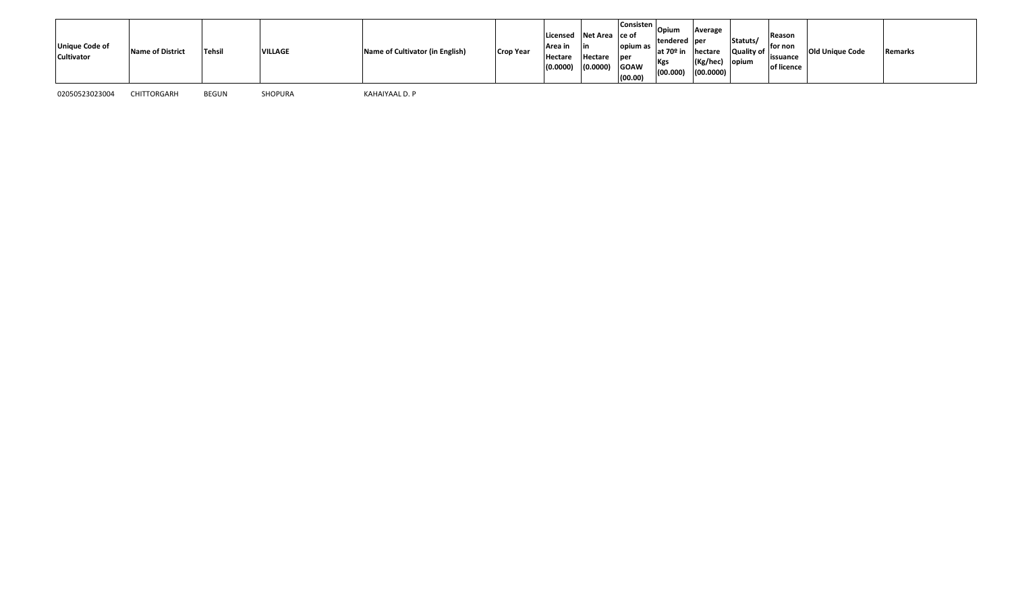| <b>Unique Code of</b><br><b>Cultivator</b> | <b>Name of District</b> | <b>Tehsil</b> | <b>VILLAGE</b> | Name of Cultivator (in English) | <b>Crop Year</b> | Licensed Net Area ce of<br><b>Area in</b><br>Hectare<br>(0.0000) | Hectare<br>(0.0000) | Consisten  <br>opium as<br><b>l</b> per<br><b>GOAW</b><br>(00.00) | Opium<br>tendered per<br>at 70º in<br>Kgs<br>(00.000) | Average<br>hectare<br>$(Kg/hec)$ opium<br>(00.0000) | Statuts/<br>Quality of | Reason<br>lfor non<br>lissuance<br>of licence | <b>Old Unique Code</b> | Remarks |  |
|--------------------------------------------|-------------------------|---------------|----------------|---------------------------------|------------------|------------------------------------------------------------------|---------------------|-------------------------------------------------------------------|-------------------------------------------------------|-----------------------------------------------------|------------------------|-----------------------------------------------|------------------------|---------|--|
|--------------------------------------------|-------------------------|---------------|----------------|---------------------------------|------------------|------------------------------------------------------------------|---------------------|-------------------------------------------------------------------|-------------------------------------------------------|-----------------------------------------------------|------------------------|-----------------------------------------------|------------------------|---------|--|

KAHAIYAAL D. P

02050523023004 CHITTORGARH BEGUN SHOPURA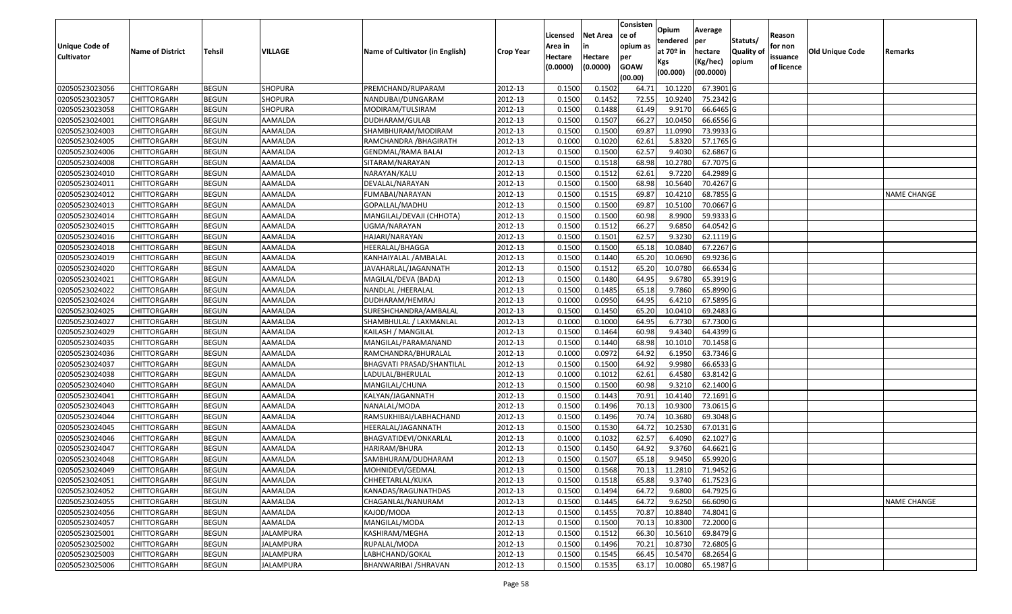| <b>Unique Code of</b> | <b>Name of District</b> | Tehsil       | VILLAGE          | Name of Cultivator (in English) |                  | Licensed<br>Area in | Net Area<br>in      | Consisten<br>ce of<br>opium as | Opium<br>tendered<br>at 70 <sup>o</sup> in | Average<br>per                   | Statuts/<br><b>Quality of</b> | Reason<br>for non      | Old Unique Code |                    |
|-----------------------|-------------------------|--------------|------------------|---------------------------------|------------------|---------------------|---------------------|--------------------------------|--------------------------------------------|----------------------------------|-------------------------------|------------------------|-----------------|--------------------|
| <b>Cultivator</b>     |                         |              |                  |                                 | <b>Crop Year</b> | Hectare<br>(0.0000) | Hectare<br>(0.0000) | per<br><b>GOAW</b><br>(00.00)  | Kgs<br>(00.000)                            | hectare<br>(Kg/hec)<br>(00.0000) | opium                         | issuance<br>of licence |                 | Remarks            |
| 02050523023056        | CHITTORGARH             | <b>BEGUN</b> | SHOPURA          | PREMCHAND/RUPARAM               | 2012-13          | 0.1500              | 0.1502              | 64.71                          | 10.1220                                    | 67.3901 G                        |                               |                        |                 |                    |
| 02050523023057        | CHITTORGARH             | <b>BEGUN</b> | <b>SHOPURA</b>   | NANDUBAI/DUNGARAM               | 2012-13          | 0.1500              | 0.1452              | 72.55                          | 10.9240                                    | 75.2342 G                        |                               |                        |                 |                    |
| 02050523023058        | CHITTORGARH             | <b>BEGUN</b> | SHOPURA          | MODIRAM/TULSIRAM                | 2012-13          | 0.1500              | 0.1488              | 61.49                          | 9.9170                                     | 66.6465 G                        |                               |                        |                 |                    |
| 02050523024001        | <b>CHITTORGARH</b>      | <b>BEGUN</b> | AAMALDA          | DUDHARAM/GULAB                  | 2012-13          | 0.1500              | 0.1507              | 66.27                          | 10.0450                                    | 66.6556 G                        |                               |                        |                 |                    |
| 02050523024003        | CHITTORGARH             | <b>BEGUN</b> | AAMALDA          | SHAMBHURAM/MODIRAM              | 2012-13          | 0.1500              | 0.1500              | 69.87                          | 11.0990                                    | 73.9933 G                        |                               |                        |                 |                    |
| 02050523024005        | CHITTORGARH             | <b>BEGUN</b> | AAMALDA          | RAMCHANDRA / BHAGIRATH          | 2012-13          | 0.1000              | 0.1020              | 62.61                          | 5.8320                                     | 57.1765 G                        |                               |                        |                 |                    |
| 02050523024006        | CHITTORGARH             | <b>BEGUN</b> | AAMALDA          | GENDMAL/RAMA BALAI              | 2012-13          | 0.1500              | 0.1500              | 62.57                          | 9.4030                                     | 62.6867 G                        |                               |                        |                 |                    |
| 02050523024008        | CHITTORGARH             | <b>BEGUN</b> | AAMALDA          | SITARAM/NARAYAN                 | 2012-13          | 0.1500              | 0.1518              | 68.98                          | 10.2780                                    | 67.7075 G                        |                               |                        |                 |                    |
| 02050523024010        | CHITTORGARH             | <b>BEGUN</b> | AAMALDA          | NARAYAN/KALU                    | 2012-13          | 0.1500              | 0.1512              | 62.61                          | 9.7220                                     | 64.2989 G                        |                               |                        |                 |                    |
| 02050523024011        | CHITTORGARH             | <b>BEGUN</b> | AAMALDA          | DEVALAL/NARAYAN                 | 2012-13          | 0.1500              | 0.1500              | 68.98                          | 10.5640                                    | 70.4267 G                        |                               |                        |                 |                    |
| 02050523024012        | CHITTORGARH             | <b>BEGUN</b> | AAMALDA          | FUMABAI/NARAYAN                 | 2012-13          | 0.1500              | 0.1515              | 69.87                          | 10.4210                                    | 68.7855 G                        |                               |                        |                 | <b>NAME CHANGE</b> |
| 02050523024013        | <b>CHITTORGARH</b>      | <b>BEGUN</b> | AAMALDA          | GOPALLAL/MADHU                  | 2012-13          | 0.1500              | 0.1500              | 69.87                          | 10.5100                                    | 70.0667 G                        |                               |                        |                 |                    |
| 02050523024014        | <b>CHITTORGARH</b>      | <b>BEGUN</b> | AAMALDA          | MANGILAL/DEVAJI (CHHOTA)        | 2012-13          | 0.1500              | 0.1500              | 60.98                          | 8.9900                                     | 59.9333 G                        |                               |                        |                 |                    |
| 02050523024015        | <b>CHITTORGARH</b>      | <b>BEGUN</b> | AAMALDA          | UGMA/NARAYAN                    | 2012-13          | 0.1500              | 0.1512              | 66.27                          | 9.6850                                     | 64.0542 G                        |                               |                        |                 |                    |
| 02050523024016        | CHITTORGARH             | <b>BEGUN</b> | AAMALDA          | HAJARI/NARAYAN                  | 2012-13          | 0.1500              | 0.1501              | 62.57                          | 9.3230                                     | 62.1119 G                        |                               |                        |                 |                    |
| 02050523024018        | <b>CHITTORGARH</b>      | <b>BEGUN</b> | AAMALDA          | HEERALAL/BHAGGA                 | 2012-13          | 0.1500              | 0.1500              | 65.18                          | 10.0840                                    | 67.2267 G                        |                               |                        |                 |                    |
| 02050523024019        | CHITTORGARH             | <b>BEGUN</b> | AAMALDA          | KANHAIYALAL / AMBALAL           | 2012-13          | 0.1500              | 0.1440              | 65.20                          | 10.0690                                    | 69.9236 G                        |                               |                        |                 |                    |
| 02050523024020        | CHITTORGARH             | <b>BEGUN</b> | AAMALDA          | JAVAHARLAL/JAGANNATH            | 2012-13          | 0.1500              | 0.1512              | 65.20                          | 10.0780                                    | 66.6534 G                        |                               |                        |                 |                    |
| 02050523024021        | CHITTORGARH             | <b>BEGUN</b> | AAMALDA          | MAGILAL/DEVA (BADA)             | 2012-13          | 0.1500              | 0.1480              | 64.95                          | 9.6780                                     | 65.3919 G                        |                               |                        |                 |                    |
| 02050523024022        | CHITTORGARH             | <b>BEGUN</b> | AAMALDA          | NANDLAL /HEERALAL               | 2012-13          | 0.1500              | 0.1485              | 65.18                          | 9.7860                                     | 65.8990 G                        |                               |                        |                 |                    |
| 02050523024024        | CHITTORGARH             | <b>BEGUN</b> | AAMALDA          | DUDHARAM/HEMRAJ                 | 2012-13          | 0.1000              | 0.0950              | 64.95                          | 6.4210                                     | 67.5895 G                        |                               |                        |                 |                    |
| 02050523024025        | CHITTORGARH             | <b>BEGUN</b> | AAMALDA          | SURESHCHANDRA/AMBALAL           | 2012-13          | 0.1500              | 0.1450              | 65.20                          | 10.0410                                    | 69.2483 G                        |                               |                        |                 |                    |
| 02050523024027        | CHITTORGARH             | <b>BEGUN</b> | AAMALDA          | SHAMBHULAL / LAXMANLAL          | 2012-13          | 0.1000              | 0.1000              | 64.95                          | 6.7730                                     | 67.7300 G                        |                               |                        |                 |                    |
| 02050523024029        | CHITTORGARH             | <b>BEGUN</b> | AAMALDA          | KAILASH / MANGILAL              | 2012-13          | 0.1500              | 0.1464              | 60.98                          | 9.4340                                     | 64.4399 G                        |                               |                        |                 |                    |
| 02050523024035        | CHITTORGARH             | <b>BEGUN</b> | AAMALDA          | MANGILAL/PARAMANAND             | 2012-13          | 0.1500              | 0.1440              | 68.98                          | 10.1010                                    | 70.1458 G                        |                               |                        |                 |                    |
| 02050523024036        | CHITTORGARH             | <b>BEGUN</b> | AAMALDA          | RAMCHANDRA/BHURALAL             | 2012-13          | 0.1000              | 0.0972              | 64.92                          | 6.1950                                     | 63.7346 G                        |                               |                        |                 |                    |
| 02050523024037        | CHITTORGARH             | <b>BEGUN</b> | AAMALDA          | BHAGVATI PRASAD/SHANTILAL       | 2012-13          | 0.1500              | 0.1500              | 64.92                          | 9.9980                                     | 66.6533 G                        |                               |                        |                 |                    |
| 02050523024038        | CHITTORGARH             | <b>BEGUN</b> | AAMALDA          | LADULAL/BHERULAL                | 2012-13          | 0.1000              | 0.1012              | 62.61                          | 6.4580                                     | 63.8142 G                        |                               |                        |                 |                    |
| 02050523024040        | CHITTORGARH             | <b>BEGUN</b> | AAMALDA          | MANGILAL/CHUNA                  | 2012-13          | 0.1500              | 0.1500              | 60.98                          | 9.3210                                     | 62.1400 G                        |                               |                        |                 |                    |
| 02050523024041        | CHITTORGARH             | <b>BEGUN</b> | AAMALDA          | KALYAN/JAGANNATH                | 2012-13          | 0.1500              | 0.1443              | 70.91                          | 10.4140                                    | 72.1691 G                        |                               |                        |                 |                    |
| 02050523024043        | CHITTORGARH             | <b>BEGUN</b> | AAMALDA          | NANALAL/MODA                    | 2012-13          | 0.1500              | 0.1496              | 70.1                           | 10.9300                                    | 73.0615 G                        |                               |                        |                 |                    |
| 02050523024044        | CHITTORGARH             | <b>BEGUN</b> | AAMALDA          | RAMSUKHIBAI/LABHACHAND          | 2012-13          | 0.1500              | 0.1496              | 70.7                           | 10.3680                                    | 69.3048 G                        |                               |                        |                 |                    |
| 02050523024045        | CHITTORGARH             | <b>BEGUN</b> | AAMALDA          | HEERALAL/JAGANNATH              | 2012-13          | 0.1500              | 0.1530              | 64.72                          | 10.2530                                    | 67.0131 G                        |                               |                        |                 |                    |
| 02050523024046        | CHITTORGARH             | <b>BEGUN</b> | AAMALDA          | BHAGVATIDEVI/ONKARLAL           | 2012-13          | 0.1000              | 0.1032              | 62.57                          | 6.4090                                     | 62.1027 G                        |                               |                        |                 |                    |
| 02050523024047        | CHITTORGARH             | <b>BEGUN</b> | AAMALDA          | HARIRAM/BHURA                   | 2012-13          | 0.1500              | 0.1450              | 64.92                          | 9.3760                                     | 64.6621 G                        |                               |                        |                 |                    |
| 02050523024048        | CHITTORGARH             | <b>BEGUN</b> | AAMALDA          | SAMBHURAM/DUDHARAM              | 2012-13          | 0.1500              | 0.1507              | 65.18                          | 9.9450                                     | 65.9920 G                        |                               |                        |                 |                    |
| 02050523024049        | <b>CHITTORGARH</b>      | <b>BEGUN</b> | AAMALDA          | MOHNIDEVI/GEDMAL                | 2012-13          | 0.1500              | 0.1568              | 70.13                          |                                            | 11.2810 71.9452 G                |                               |                        |                 |                    |
| 02050523024051        | <b>CHITTORGARH</b>      | <b>BEGUN</b> | AAMALDA          | CHHEETARLAL/KUKA                | 2012-13          | 0.1500              | 0.1518              | 65.88                          | 9.3740                                     | 61.7523 G                        |                               |                        |                 |                    |
| 02050523024052        | <b>CHITTORGARH</b>      | <b>BEGUN</b> | AAMALDA          | KANADAS/RAGUNATHDAS             | 2012-13          | 0.1500              | 0.1494              | 64.72                          | 9.6800                                     | 64.7925 G                        |                               |                        |                 |                    |
| 02050523024055        | <b>CHITTORGARH</b>      | <b>BEGUN</b> | AAMALDA          | CHAGANLAL/NANURAM               | 2012-13          | 0.1500              | 0.1445              | 64.72                          | 9.6250                                     | 66.6090 G                        |                               |                        |                 | <b>NAME CHANGE</b> |
| 02050523024056        | <b>CHITTORGARH</b>      | <b>BEGUN</b> | AAMALDA          | KAJOD/MODA                      | 2012-13          | 0.1500              | 0.1455              | 70.87                          | 10.8840                                    | 74.8041 G                        |                               |                        |                 |                    |
| 02050523024057        | <b>CHITTORGARH</b>      | <b>BEGUN</b> | AAMALDA          | MANGILAL/MODA                   | 2012-13          | 0.1500              | 0.1500              | 70.13                          | 10.8300                                    | 72.2000 G                        |                               |                        |                 |                    |
| 02050523025001        | <b>CHITTORGARH</b>      | <b>BEGUN</b> | <b>JALAMPURA</b> | KASHIRAM/MEGHA                  | 2012-13          | 0.1500              | 0.1512              | 66.30                          | 10.5610                                    | 69.8479 G                        |                               |                        |                 |                    |
| 02050523025002        | <b>CHITTORGARH</b>      | <b>BEGUN</b> | <b>JALAMPURA</b> | RUPALAL/MODA                    | 2012-13          | 0.1500              | 0.1496              | 70.21                          | 10.8730                                    | 72.6805 G                        |                               |                        |                 |                    |
| 02050523025003        | <b>CHITTORGARH</b>      | <b>BEGUN</b> | JALAMPURA        | LABHCHAND/GOKAL                 | 2012-13          | 0.1500              | 0.1545              | 66.45                          | 10.5470                                    | 68.2654 G                        |                               |                        |                 |                    |
| 02050523025006        | <b>CHITTORGARH</b>      | <b>BEGUN</b> | <b>JALAMPURA</b> | BHANWARIBAI / SHRAVAN           | 2012-13          | 0.1500              | 0.1535              | 63.17                          | 10.0080                                    | 65.1987 G                        |                               |                        |                 |                    |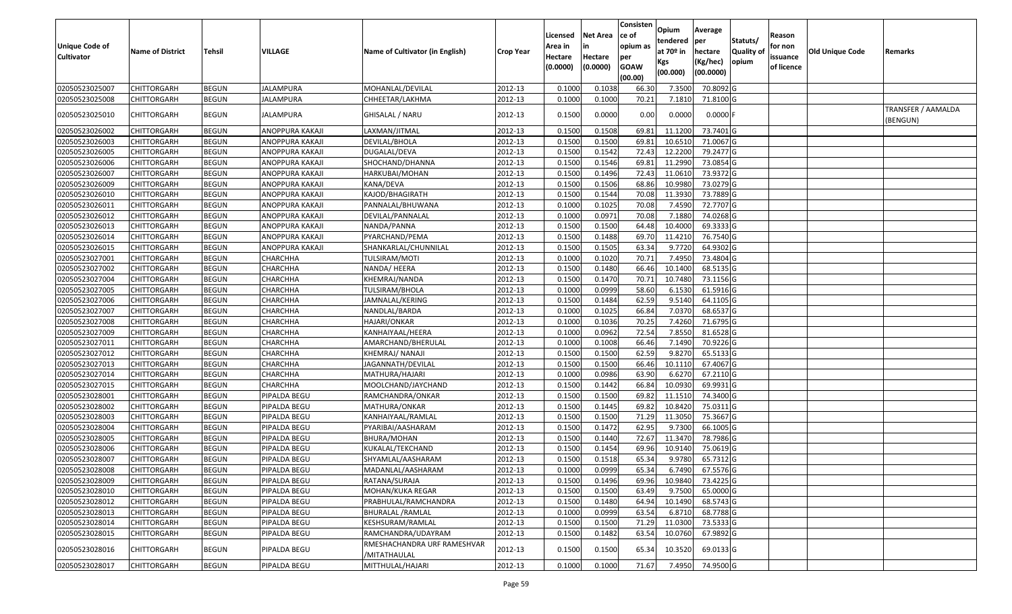| <b>Unique Code of</b><br><b>Cultivator</b> | <b>Name of District</b> | <b>Tehsil</b> | VILLAGE          | Name of Cultivator (in English)             | <b>Crop Year</b> | Licensed<br>Area in<br>Hectare | <b>Net Area</b><br>Hectare | Consisten<br>ce of<br>opium as<br>per | Opium<br>tendered<br>at $70°$ in<br>Kgs | Average<br>per<br>hectare<br>(Kg/hec) | Statuts/<br><b>Quality o</b><br>opium | Reason<br>for non<br>issuance | <b>Old Unique Code</b> | Remarks                        |
|--------------------------------------------|-------------------------|---------------|------------------|---------------------------------------------|------------------|--------------------------------|----------------------------|---------------------------------------|-----------------------------------------|---------------------------------------|---------------------------------------|-------------------------------|------------------------|--------------------------------|
|                                            |                         |               |                  |                                             |                  | (0.0000)                       | (0.0000)                   | <b>GOAW</b><br>(00.00)                | (00.000)                                | (00.0000)                             |                                       | of licence                    |                        |                                |
| 02050523025007                             | CHITTORGARH             | <b>BEGUN</b>  | <b>JALAMPURA</b> | MOHANLAL/DEVILAL                            | 2012-13          | 0.1000                         | 0.1038                     | 66.30                                 | 7.3500                                  | 70.8092G                              |                                       |                               |                        |                                |
| 02050523025008                             | CHITTORGARH             | <b>BEGUN</b>  | JALAMPURA        | CHHEETAR/LAKHMA                             | 2012-13          | 0.1000                         | 0.1000                     | 70.21                                 | 7.1810                                  | 71.8100G                              |                                       |                               |                        |                                |
| 02050523025010                             | CHITTORGARH             | <b>BEGUN</b>  | JALAMPURA        | GHISALAL / NARU                             | 2012-13          | 0.1500                         | 0.0000                     | 0.00                                  | 0.0000                                  | $0.0000$ F                            |                                       |                               |                        | TRANSFER / AAMALDA<br>(BENGUN) |
| 02050523026002                             | <b>CHITTORGARH</b>      | <b>BEGUN</b>  | ANOPPURA KAKAJI  | LAXMAN/JITMAL                               | 2012-13          | 0.1500                         | 0.1508                     | 69.8                                  | 11.1200                                 | 73.7401G                              |                                       |                               |                        |                                |
| 02050523026003                             | CHITTORGARH             | <b>BEGUN</b>  | ANOPPURA KAKAJI  | DEVILAL/BHOLA                               | 2012-13          | 0.1500                         | 0.1500                     | 69.8                                  | 10.651                                  | 71.0067G                              |                                       |                               |                        |                                |
| 02050523026005                             | CHITTORGARH             | <b>BEGUN</b>  | ANOPPURA KAKAJI  | DUGALAL/DEVA                                | 2012-13          | 0.1500                         | 0.1542                     | 72.43                                 | 12.2200                                 | 79.2477 G                             |                                       |                               |                        |                                |
| 02050523026006                             | <b>CHITTORGARH</b>      | <b>BEGUN</b>  | ANOPPURA KAKAJI  | SHOCHAND/DHANNA                             | 2012-13          | 0.1500                         | 0.1546                     | 69.8                                  | 11.2990                                 | 73.0854 G                             |                                       |                               |                        |                                |
| 02050523026007                             | <b>CHITTORGARH</b>      | <b>BEGUN</b>  | ANOPPURA KAKAJI  | HARKUBAI/MOHAN                              | 2012-13          | 0.1500                         | 0.1496                     | 72.43                                 | 11.0610                                 | 73.9372 G                             |                                       |                               |                        |                                |
| 02050523026009                             | <b>CHITTORGARH</b>      | <b>BEGUN</b>  | ANOPPURA KAKAJI  | KANA/DEVA                                   | 2012-13          | 0.1500                         | 0.1506                     | 68.86                                 | 10.9980                                 | 73.0279 G                             |                                       |                               |                        |                                |
| 02050523026010                             | <b>CHITTORGARH</b>      | <b>BEGUN</b>  | ANOPPURA KAKAJI  | KAJOD/BHAGIRATH                             | 2012-13          | 0.1500                         | 0.1544                     | 70.08                                 | 11.3930                                 | 73.7889 G                             |                                       |                               |                        |                                |
| 02050523026011                             | CHITTORGARH             | <b>BEGUN</b>  | ANOPPURA KAKAJI  | PANNALAL/BHUWANA                            | 2012-13          | 0.1000                         | 0.1025                     | 70.08                                 | 7.4590                                  | 72.7707 G                             |                                       |                               |                        |                                |
| 02050523026012                             | <b>CHITTORGARH</b>      | <b>BEGUN</b>  | ANOPPURA KAKAJI  | DEVILAL/PANNALAL                            | 2012-13          | 0.1000                         | 0.0971                     | 70.08                                 | 7.1880                                  | 74.0268 G                             |                                       |                               |                        |                                |
| 02050523026013                             | <b>CHITTORGARH</b>      | <b>BEGUN</b>  | ANOPPURA KAKAJI  | NANDA/PANNA                                 | 2012-13          | 0.1500                         | 0.1500                     | 64.48                                 | 10.4000                                 | 69.3333 G                             |                                       |                               |                        |                                |
| 02050523026014                             | CHITTORGARH             | <b>BEGUN</b>  | ANOPPURA KAKAJI  | PYARCHAND/PEMA                              | 2012-13          | 0.1500                         | 0.1488                     | 69.70                                 | 11.4210                                 | 76.7540 G                             |                                       |                               |                        |                                |
| 02050523026015                             | CHITTORGARH             | <b>BEGUN</b>  | ANOPPURA KAKAJI  | SHANKARLAL/CHUNNILAL                        | 2012-13          | 0.1500                         | 0.1505                     | 63.34                                 | 9.7720                                  | 64.9302 G                             |                                       |                               |                        |                                |
| 02050523027001                             | CHITTORGARH             | <b>BEGUN</b>  | CHARCHHA         | TULSIRAM/MOTI                               | 2012-13          | 0.1000                         | 0.1020                     | 70.71                                 | 7.4950                                  | 73.4804 G                             |                                       |                               |                        |                                |
| 02050523027002                             | CHITTORGARH             | <b>BEGUN</b>  | CHARCHHA         | NANDA/ HEERA                                | 2012-13          | 0.150                          | 0.1480                     | 66.46                                 | 10.1400                                 | 68.5135 G                             |                                       |                               |                        |                                |
| 02050523027004                             | CHITTORGARH             | <b>BEGUN</b>  | CHARCHHA         | KHEMRAJ/NANDA                               | 2012-13          | 0.1500                         | 0.1470                     | 70.72                                 | 10.7480                                 | 73.1156 G                             |                                       |                               |                        |                                |
| 02050523027005                             | CHITTORGARH             | <b>BEGUN</b>  | CHARCHHA         | TULSIRAM/BHOLA                              | 2012-13          | 0.1000                         | 0.0999                     | 58.60                                 | 6.1530                                  | 61.5916 G                             |                                       |                               |                        |                                |
| 02050523027006                             | CHITTORGARH             | <b>BEGUN</b>  | CHARCHHA         | JAMNALAL/KERING                             | 2012-13          | 0.1500                         | 0.1484                     | 62.59                                 | 9.5140                                  | 64.1105 G                             |                                       |                               |                        |                                |
| 02050523027007                             | CHITTORGARH             | <b>BEGUN</b>  | CHARCHHA         | NANDLAL/BARDA                               | 2012-13          | 0.1000                         | 0.1025                     | 66.84                                 | 7.0370                                  | 68.6537 G                             |                                       |                               |                        |                                |
| 02050523027008                             | CHITTORGARH             | <b>BEGUN</b>  | CHARCHHA         | HAJARI/ONKAR                                | 2012-13          | 0.1000                         | 0.1036                     | 70.25                                 | 7.4260                                  | 71.6795 G                             |                                       |                               |                        |                                |
| 02050523027009                             | CHITTORGARH             | <b>BEGUN</b>  | CHARCHHA         | KANHAIYAAL/HEERA                            | 2012-13          | 0.100                          | 0.0962                     | 72.54                                 | 7.8550                                  | 81.6528 G                             |                                       |                               |                        |                                |
| 02050523027011                             | CHITTORGARH             | <b>BEGUN</b>  | CHARCHHA         | AMARCHAND/BHERULAL                          | 2012-13          | 0.1000                         | 0.1008                     | 66.46                                 | 7.1490                                  | 70.9226 G                             |                                       |                               |                        |                                |
| 02050523027012                             | CHITTORGARH             | <b>BEGUN</b>  | CHARCHHA         | KHEMRAJ/ NANAJI                             | 2012-13          | 0.1500                         | 0.1500                     | 62.59                                 | 9.8270                                  | 65.5133 G                             |                                       |                               |                        |                                |
| 02050523027013                             | CHITTORGARH             | <b>BEGUN</b>  | CHARCHHA         | JAGANNATH/DEVILAL                           | 2012-13          | 0.1500                         | 0.1500                     | 66.46                                 | 10.1110                                 | 67.4067 G                             |                                       |                               |                        |                                |
| 02050523027014                             | CHITTORGARH             | <b>BEGUN</b>  | CHARCHHA         | MATHURA/HAJARI                              | 2012-13          | 0.1000                         | 0.0986                     | 63.90                                 | 6.6270                                  | 67.2110 G                             |                                       |                               |                        |                                |
| 02050523027015                             | CHITTORGARH             | <b>BEGUN</b>  | CHARCHHA         | MOOLCHAND/JAYCHAND                          | 2012-13          | 0.1500                         | 0.1442                     | 66.84                                 | 10.0930                                 | 69.9931 G                             |                                       |                               |                        |                                |
| 02050523028001                             | CHITTORGARH             | <b>BEGUN</b>  | PIPALDA BEGU     | RAMCHANDRA/ONKAR                            | 2012-13          | 0.1500                         | 0.1500                     | 69.82                                 | 11.151                                  | 74.3400 G                             |                                       |                               |                        |                                |
| 02050523028002                             | CHITTORGARH             | <b>BEGUN</b>  | PIPALDA BEGU     | MATHURA/ONKAR                               | 2012-13          | 0.1500                         | 0.1445                     | 69.82                                 | 10.8420                                 | 75.0311G                              |                                       |                               |                        |                                |
| 02050523028003                             | CHITTORGARH             | <b>BEGUN</b>  | PIPALDA BEGU     | KANHAIYAAL/RAMLAL                           | 2012-13          | 0.1500                         | 0.1500                     | 71.29                                 | 11.3050                                 | 75.3667 G                             |                                       |                               |                        |                                |
| 02050523028004                             | CHITTORGARH             | <b>BEGUN</b>  | PIPALDA BEGU     | PYARIBAI/AASHARAM                           | 2012-13          | 0.1500                         | 0.1472                     | 62.95                                 | 9.7300                                  | 66.1005 G                             |                                       |                               |                        |                                |
| 02050523028005                             | <b>CHITTORGARH</b>      | <b>BEGUN</b>  | PIPALDA BEGU     | BHURA/MOHAN                                 | 2012-13          | 0.1500                         | 0.1440                     | 72.67                                 | 11.3470                                 | 78.7986 G                             |                                       |                               |                        |                                |
| 02050523028006                             | CHITTORGARH             | <b>BEGUN</b>  | PIPALDA BEGU     | KUKALAL/TEKCHAND                            | 2012-13          | 0.150                          | 0.1454                     | 69.96                                 | 10.9140                                 | 75.0619 G                             |                                       |                               |                        |                                |
| 02050523028007                             | CHITTORGARH             | <b>BEGUN</b>  | PIPALDA BEGU     | SHYAMLAL/AASHARAM                           | 2012-13          | 0.1500                         | 0.1518                     | 65.34                                 | 9.9780                                  | 65.7312G                              |                                       |                               |                        |                                |
| 02050523028008                             | <b>CHITTORGARH</b>      | <b>BEGUN</b>  | PIPALDA BEGU     | MADANLAL/AASHARAM                           | 2012-13          | 0.1000                         | 0.0999                     | 65.34                                 | 6.7490                                  | 67.5576 G                             |                                       |                               |                        |                                |
| 02050523028009                             | <b>CHITTORGARH</b>      | <b>BEGUN</b>  | PIPALDA BEGU     | RATANA/SURAJA                               | 2012-13          | 0.1500                         | 0.1496                     | 69.96                                 | 10.9840                                 | 73.4225 G                             |                                       |                               |                        |                                |
| 02050523028010                             | <b>CHITTORGARH</b>      | <b>BEGUN</b>  | PIPALDA BEGU     | MOHAN/KUKA REGAR                            | 2012-13          | 0.1500                         | 0.1500                     | 63.49                                 | 9.7500                                  | 65.0000 G                             |                                       |                               |                        |                                |
| 02050523028012                             | <b>CHITTORGARH</b>      | <b>BEGUN</b>  | PIPALDA BEGU     | PRABHULAL/RAMCHANDRA                        | 2012-13          | 0.1500                         | 0.1480                     | 64.94                                 | 10.1490                                 | 68.5743 G                             |                                       |                               |                        |                                |
| 02050523028013                             | CHITTORGARH             | <b>BEGUN</b>  | PIPALDA BEGU     | BHURALAL /RAMLAL                            | 2012-13          | 0.1000                         | 0.0999                     | 63.54                                 | 6.8710                                  | 68.7788 G                             |                                       |                               |                        |                                |
| 02050523028014                             | <b>CHITTORGARH</b>      | <b>BEGUN</b>  | PIPALDA BEGU     | KESHSURAM/RAMLAL                            | 2012-13          | 0.1500                         | 0.1500                     | 71.29                                 | 11.0300                                 | 73.5333 G                             |                                       |                               |                        |                                |
| 02050523028015                             | <b>CHITTORGARH</b>      | <b>BEGUN</b>  | PIPALDA BEGU     | RAMCHANDRA/UDAYRAM                          | 2012-13          | 0.1500                         | 0.1482                     | 63.54                                 | 10.0760                                 | 67.9892 G                             |                                       |                               |                        |                                |
| 02050523028016                             | <b>CHITTORGARH</b>      | <b>BEGUN</b>  | PIPALDA BEGU     | RMESHACHANDRA URF RAMESHVAR<br>/MITATHAULAL | 2012-13          | 0.1500                         | 0.1500                     | 65.34                                 | 10.3520                                 | 69.0133 G                             |                                       |                               |                        |                                |
| 02050523028017                             | <b>CHITTORGARH</b>      | <b>BEGUN</b>  | PIPALDA BEGU     | MITTHULAL/HAJARI                            | 2012-13          | 0.1000                         | 0.1000                     | 71.67                                 | 7.4950                                  | 74.9500 G                             |                                       |                               |                        |                                |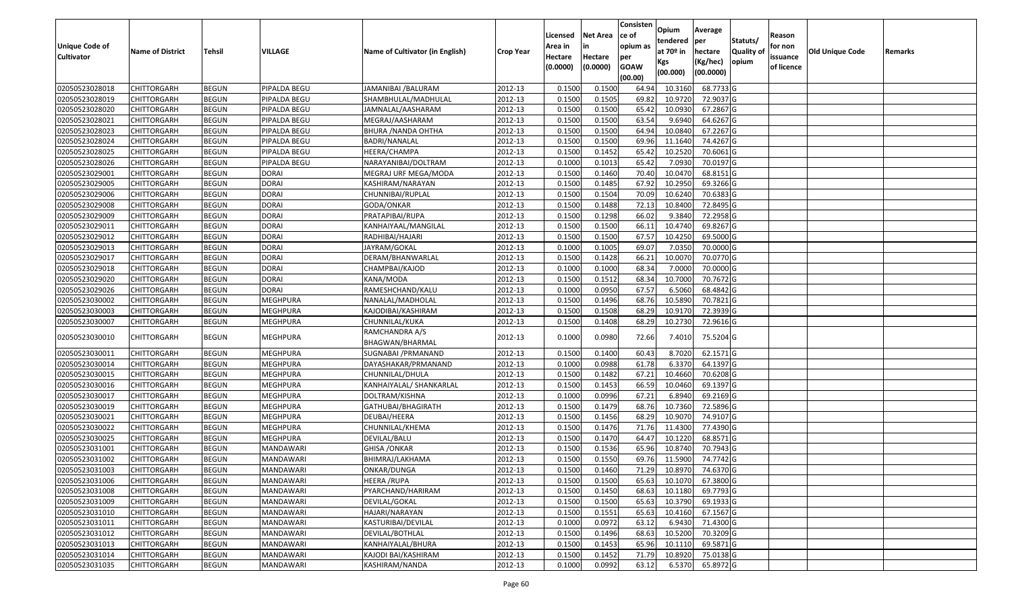| <b>Unique Code of</b><br><b>Cultivator</b> | <b>Name of District</b> | <b>Tehsil</b> | VILLAGE          | Name of Cultivator (in English)   | <b>Crop Year</b> | Licensed<br>Area in<br>Hectare<br>(0.0000) | <b>Net Area</b><br>in<br>Hectare<br>(0.0000) | Consisten<br>ce of<br>opium as<br>per<br><b>GOAW</b><br>(00.00) | Opium<br>tendered<br>at $70°$ in<br>Kgs<br>(00.000) | Average<br>per<br>hectare<br>(Kg/hec)<br>(00.0000) | Statuts/<br>Quality of<br>opium | Reason<br>for non<br>issuance<br>of licence | <b>Old Unique Code</b> | Remarks |
|--------------------------------------------|-------------------------|---------------|------------------|-----------------------------------|------------------|--------------------------------------------|----------------------------------------------|-----------------------------------------------------------------|-----------------------------------------------------|----------------------------------------------------|---------------------------------|---------------------------------------------|------------------------|---------|
| 02050523028018                             | <b>CHITTORGARH</b>      | <b>BEGUN</b>  | PIPALDA BEGU     | JAMANIBAI /BALURAM                | 2012-13          | 0.1500                                     | 0.1500                                       | 64.94                                                           | 10.3160                                             | 68.7733 G                                          |                                 |                                             |                        |         |
| 02050523028019                             | CHITTORGARH             | <b>BEGUN</b>  | PIPALDA BEGU     | SHAMBHULAL/MADHULAL               | 2012-13          | 0.1500                                     | 0.1505                                       | 69.82                                                           | 10.9720                                             | 72.9037 G                                          |                                 |                                             |                        |         |
| 02050523028020                             | CHITTORGARH             | <b>BEGUN</b>  | PIPALDA BEGU     | JAMNALAL/AASHARAM                 | 2012-13          | 0.1500                                     | 0.1500                                       | 65.42                                                           | 10.0930                                             | 67.2867 G                                          |                                 |                                             |                        |         |
| 02050523028021                             | <b>CHITTORGARH</b>      | <b>BEGUN</b>  | PIPALDA BEGU     | MEGRAJ/AASHARAM                   | 2012-13          | 0.1500                                     | 0.1500                                       | 63.54                                                           | 9.6940                                              | 64.6267 G                                          |                                 |                                             |                        |         |
| 02050523028023                             | <b>CHITTORGARH</b>      | <b>BEGUN</b>  | PIPALDA BEGU     | BHURA / NANDA OHTHA               | 2012-13          | 0.1500                                     | 0.1500                                       | 64.94                                                           | 10.0840                                             | 67.2267 G                                          |                                 |                                             |                        |         |
| 02050523028024                             | CHITTORGARH             | <b>BEGUN</b>  | PIPALDA BEGU     | BADRI/NANALAL                     | 2012-13          | 0.1500                                     | 0.1500                                       | 69.96                                                           | 11.1640                                             | 74.4267 G                                          |                                 |                                             |                        |         |
| 02050523028025                             | <b>CHITTORGARH</b>      | <b>BEGUN</b>  | PIPALDA BEGU     | HEERA/CHAMPA                      | 2012-13          | 0.1500                                     | 0.1452                                       | 65.42                                                           | 10.2520                                             | 70.6061G                                           |                                 |                                             |                        |         |
| 02050523028026                             | CHITTORGARH             | <b>BEGUN</b>  | PIPALDA BEGU     | NARAYANIBAI/DOLTRAM               | 2012-13          | 0.1000                                     | 0.1013                                       | 65.42                                                           | 7.0930                                              | 70.0197 G                                          |                                 |                                             |                        |         |
| 02050523029001                             | CHITTORGARH             | <b>BEGUN</b>  | <b>DORAI</b>     | MEGRAJ URF MEGA/MODA              | 2012-13          | 0.1500                                     | 0.1460                                       | 70.40                                                           | 10.0470                                             | 68.8151 G                                          |                                 |                                             |                        |         |
| 02050523029005                             | CHITTORGARH             | <b>BEGUN</b>  | <b>DORAI</b>     | KASHIRAM/NARAYAN                  | 2012-13          | 0.1500                                     | 0.1485                                       | 67.92                                                           | 10.2950                                             | 69.3266 G                                          |                                 |                                             |                        |         |
| 02050523029006                             | <b>CHITTORGARH</b>      | <b>BEGUN</b>  | <b>DORAI</b>     | CHUNNIBAI/RUPLAL                  | 2012-13          | 0.1500                                     | 0.1504                                       | 70.09                                                           | 10.6240                                             | 70.6383 G                                          |                                 |                                             |                        |         |
| 02050523029008                             | CHITTORGARH             | <b>BEGUN</b>  | <b>DORAI</b>     | GODA/ONKAR                        | 2012-13          | 0.1500                                     | 0.1488                                       | 72.13                                                           | 10.8400                                             | 72.8495 G                                          |                                 |                                             |                        |         |
| 02050523029009                             | CHITTORGARH             | <b>BEGUN</b>  | <b>DORAI</b>     | PRATAPIBAI/RUPA                   | 2012-13          | 0.1500                                     | 0.1298                                       | 66.02                                                           | 9.3840                                              | 72.2958 G                                          |                                 |                                             |                        |         |
| 02050523029011                             | CHITTORGARH             | <b>BEGUN</b>  | <b>DORAI</b>     | KANHAIYAAL/MANGILAL               | 2012-13          | 0.1500                                     | 0.1500                                       | 66.1                                                            | 10.4740                                             | 69.8267 G                                          |                                 |                                             |                        |         |
| 02050523029012                             | CHITTORGARH             | <b>BEGUN</b>  | <b>DORAI</b>     | RADHIBAI/HAJARI                   | 2012-13          | 0.1500                                     | 0.1500                                       | 67.57                                                           | 10.4250                                             | 69.5000G                                           |                                 |                                             |                        |         |
| 02050523029013                             | CHITTORGARH             | <b>BEGUN</b>  | <b>DORAI</b>     | JAYRAM/GOKAL                      | 2012-13          | 0.1000                                     | 0.1005                                       | 69.07                                                           | 7.035                                               | 70.0000G                                           |                                 |                                             |                        |         |
| 02050523029017                             | CHITTORGARH             | <b>BEGUN</b>  | <b>DORAI</b>     | DERAM/BHANWARLAL                  | 2012-13          | 0.1500                                     | 0.1428                                       | 66.21                                                           | 10.0070                                             | 70.0770 G                                          |                                 |                                             |                        |         |
| 02050523029018                             | CHITTORGARH             | <b>BEGUN</b>  | <b>DORAI</b>     | CHAMPBAI/KAJOD                    | 2012-13          | 0.1000                                     | 0.1000                                       | 68.34                                                           | 7.0000                                              | 70.0000G                                           |                                 |                                             |                        |         |
| 02050523029020                             | <b>CHITTORGARH</b>      | <b>BEGUN</b>  | <b>DORAI</b>     | KANA/MODA                         | 2012-13          | 0.1500                                     | 0.1512                                       | 68.34                                                           | 10.7000                                             | 70.7672 G                                          |                                 |                                             |                        |         |
| 02050523029026                             | CHITTORGARH             | <b>BEGUN</b>  | <b>DORAI</b>     | RAMESHCHAND/KALU                  | 2012-13          | 0.1000                                     | 0.0950                                       | 67.57                                                           | 6.5060                                              | 68.4842 G                                          |                                 |                                             |                        |         |
| 02050523030002                             | CHITTORGARH             | <b>BEGUN</b>  | <b>MEGHPURA</b>  | NANALAL/MADHOLAL                  | 2012-13          | 0.1500                                     | 0.1496                                       | 68.76                                                           | 10.5890                                             | 70.7821 G                                          |                                 |                                             |                        |         |
| 02050523030003                             | CHITTORGARH             | <b>BEGUN</b>  | <b>MEGHPURA</b>  | KAJODIBAI/KASHIRAM                | 2012-13          | 0.1500                                     | 0.1508                                       | 68.29                                                           | 10.9170                                             | 72.3939 G                                          |                                 |                                             |                        |         |
| 02050523030007                             | CHITTORGARH             | <b>BEGUN</b>  | MEGHPURA         | CHUNNILAL/KUKA                    | 2012-13          | 0.1500                                     | 0.1408                                       | 68.29                                                           | 10.2730                                             | 72.9616 G                                          |                                 |                                             |                        |         |
| 02050523030010                             | CHITTORGARH             | <b>BEGUN</b>  | MEGHPURA         | RAMCHANDRA A/S<br>BHAGWAN/BHARMAL | 2012-13          | 0.1000                                     | 0.0980                                       | 72.66                                                           | 7.4010                                              | 75.5204 G                                          |                                 |                                             |                        |         |
| 02050523030011                             | <b>CHITTORGARH</b>      | <b>BEGUN</b>  | <b>MEGHPURA</b>  | SUGNABAI / PRMANAND               | 2012-13          | 0.1500                                     | 0.1400                                       | 60.43                                                           | 8.7020                                              | 62.1571 G                                          |                                 |                                             |                        |         |
| 02050523030014                             | <b>CHITTORGARH</b>      | <b>BEGUN</b>  | <b>MEGHPURA</b>  | DAYASHAKAR/PRMANAND               | 2012-13          | 0.1000                                     | 0.0988                                       | 61.78                                                           | 6.3370                                              | 64.1397 G                                          |                                 |                                             |                        |         |
| 02050523030015                             | <b>CHITTORGARH</b>      | <b>BEGUN</b>  | <b>MEGHPURA</b>  | CHUNNILAL/DHULA                   | 2012-13          | 0.1500                                     | 0.1482                                       | 67.21                                                           | 10.4660                                             | 70.6208 G                                          |                                 |                                             |                        |         |
| 02050523030016                             | CHITTORGARH             | <b>BEGUN</b>  | MEGHPURA         | KANHAIYALAL/ SHANKARLAL           | 2012-13          | 0.1500                                     | 0.1453                                       | 66.59                                                           | 10.0460                                             | 69.1397 G                                          |                                 |                                             |                        |         |
| 02050523030017                             | <b>CHITTORGARH</b>      | <b>BEGUN</b>  | <b>MEGHPURA</b>  | DOLTRAM/KISHNA                    | 2012-13          | 0.1000                                     | 0.0996                                       | 67.21                                                           | 6.8940                                              | 69.2169 G                                          |                                 |                                             |                        |         |
| 02050523030019                             | CHITTORGARH             | <b>BEGUN</b>  | <b>MEGHPURA</b>  | GATHUBAI/BHAGIRATH                | 2012-13          | 0.1500                                     | 0.1479                                       | 68.76                                                           | 10.7360                                             | 72.5896 G                                          |                                 |                                             |                        |         |
| 02050523030021                             | CHITTORGARH             | <b>BEGUN</b>  | MEGHPURA         | DEUBAI/HEERA                      | 2012-13          | 0.1500                                     | 0.1456                                       | 68.29                                                           | 10.9070                                             | 74.9107 G                                          |                                 |                                             |                        |         |
| 02050523030022                             | CHITTORGARH             | <b>BEGUN</b>  | <b>MEGHPURA</b>  | CHUNNILAL/KHEMA                   | 2012-13          | 0.1500                                     | 0.1476                                       | 71.76                                                           | 11.4300                                             | 77.4390 G                                          |                                 |                                             |                        |         |
| 02050523030025                             | CHITTORGARH             | <b>BEGUN</b>  | <b>MEGHPURA</b>  | DEVILAL/BALU                      | 2012-13          | 0.1500                                     | 0.1470                                       | 64.47                                                           | 10.1220                                             | 68.8571 G                                          |                                 |                                             |                        |         |
| 02050523031001                             | CHITTORGARH             | <b>BEGUN</b>  | MANDAWARI        | <b>GHISA / ONKAR</b>              | 2012-13          | 0.150                                      | 0.1536                                       | 65.96                                                           | 10.874                                              | 70.7943 G                                          |                                 |                                             |                        |         |
| 02050523031002                             | CHITTORGARH             | <b>BEGUN</b>  | MANDAWARI        | BHIMRAJ/LAKHAMA                   | 2012-13          | 0.1500                                     | 0.1550                                       | 69.76                                                           | 11.5900                                             | 74.7742 G                                          |                                 |                                             |                        |         |
| 02050523031003                             | <b>CHITTORGARH</b>      | <b>BEGUN</b>  | MANDAWARI        | ONKAR/DUNGA                       | 2012-13          | 0.1500                                     | 0.1460                                       | 71.29                                                           | 10.8970                                             | 74.6370 G                                          |                                 |                                             |                        |         |
| 02050523031006                             | <b>CHITTORGARH</b>      | <b>BEGUN</b>  | MANDAWARI        | HEERA /RUPA                       | 2012-13          | 0.1500                                     | 0.1500                                       | 65.63                                                           | 10.1070                                             | 67.3800 G                                          |                                 |                                             |                        |         |
| 02050523031008                             | <b>CHITTORGARH</b>      | <b>BEGUN</b>  | <b>MANDAWARI</b> | PYARCHAND/HARIRAM                 | 2012-13          | 0.1500                                     | 0.1450                                       | 68.63                                                           | 10.1180                                             | 69.7793 G                                          |                                 |                                             |                        |         |
| 02050523031009                             | <b>CHITTORGARH</b>      | <b>BEGUN</b>  | <b>MANDAWARI</b> | DEVILAL/GOKAL                     | 2012-13          | 0.1500                                     | 0.1500                                       | 65.63                                                           | 10.3790                                             | 69.1933 G                                          |                                 |                                             |                        |         |
| 02050523031010                             | <b>CHITTORGARH</b>      | <b>BEGUN</b>  | MANDAWARI        | HAJARI/NARAYAN                    | 2012-13          | 0.1500                                     | 0.1551                                       | 65.63                                                           | 10.4160                                             | 67.1567 G                                          |                                 |                                             |                        |         |
| 02050523031011                             | <b>CHITTORGARH</b>      | <b>BEGUN</b>  | MANDAWARI        | KASTURIBAI/DEVILAL                | 2012-13          | 0.1000                                     | 0.0972                                       | 63.12                                                           | 6.9430                                              | 71.4300 G                                          |                                 |                                             |                        |         |
| 02050523031012                             | <b>CHITTORGARH</b>      | <b>BEGUN</b>  | MANDAWARI        | DEVILAL/BOTHLAL                   | 2012-13          | 0.1500                                     | 0.1496                                       | 68.63                                                           | 10.5200                                             | 70.3209 G                                          |                                 |                                             |                        |         |
| 02050523031013                             | <b>CHITTORGARH</b>      | <b>BEGUN</b>  | <b>MANDAWARI</b> | KANHAIYALAL/BHURA                 | 2012-13          | 0.1500                                     | 0.1453                                       | 65.96                                                           | 10.1110                                             | 69.5871 G                                          |                                 |                                             |                        |         |
| 02050523031014                             | CHITTORGARH             | <b>BEGUN</b>  | MANDAWARI        | KAJODI BAI/KASHIRAM               | 2012-13          | 0.1500                                     | 0.1452                                       | 71.79                                                           | 10.8920                                             | 75.0138 G                                          |                                 |                                             |                        |         |
| 02050523031035                             | <b>CHITTORGARH</b>      | <b>BEGUN</b>  | MANDAWARI        | KASHIRAM/NANDA                    | 2012-13          | 0.1000                                     | 0.0992                                       | 63.12                                                           | 6.5370                                              | 65.8972 G                                          |                                 |                                             |                        |         |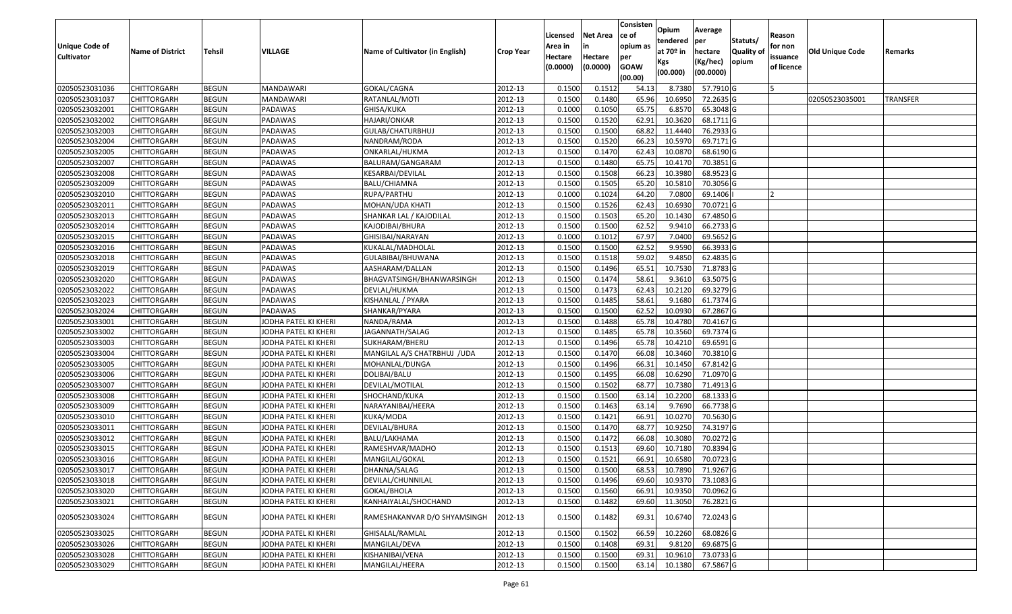| <b>Unique Code of</b><br><b>Cultivator</b> | <b>Name of District</b> | Tehsil       | VILLAGE              | Name of Cultivator (in English) | <b>Crop Year</b> | Licensed<br>Area in<br>Hectare<br>(0.0000) | <b>Net Area</b><br>in<br>Hectare<br>(0.0000) | Consisten<br>ce of<br>opium as<br>per<br><b>GOAW</b> | Opium<br>tendered<br>at $70°$ in<br>Kgs | Average<br>per<br>hectare<br>(Kg/hec) | Statuts/<br>Quality of<br>opium | Reason<br>for non<br>issuance<br>of licence | Old Unique Code | Remarks         |
|--------------------------------------------|-------------------------|--------------|----------------------|---------------------------------|------------------|--------------------------------------------|----------------------------------------------|------------------------------------------------------|-----------------------------------------|---------------------------------------|---------------------------------|---------------------------------------------|-----------------|-----------------|
|                                            |                         |              |                      |                                 |                  |                                            |                                              | (00.00)                                              | (00.000)                                | (00.0000)                             |                                 |                                             |                 |                 |
| 02050523031036                             | <b>CHITTORGARH</b>      | <b>BEGUN</b> | MANDAWARI            | GOKAL/CAGNA                     | 2012-13          | 0.1500                                     | 0.1512                                       | 54.13                                                | 8.7380                                  | 57.7910 G                             |                                 |                                             |                 |                 |
| 02050523031037                             | <b>CHITTORGARH</b>      | <b>BEGUN</b> | MANDAWARI            | RATANLAL/MOTI                   | 2012-13          | 0.1500                                     | 0.1480                                       | 65.96                                                | 10.6950                                 | 72.2635 G                             |                                 |                                             | 02050523035001  | <b>TRANSFER</b> |
| 02050523032001                             | <b>CHITTORGARH</b>      | <b>BEGUN</b> | PADAWAS              | GHISA/KUKA                      | 2012-13          | 0.1000                                     | 0.1050                                       | 65.75                                                | 6.8570                                  | 65.3048 G                             |                                 |                                             |                 |                 |
| 02050523032002                             | <b>CHITTORGARH</b>      | <b>BEGUN</b> | PADAWAS              | HAJARI/ONKAR                    | 2012-13          | 0.1500                                     | 0.1520                                       | 62.91                                                | 10.3620                                 | 68.1711 G                             |                                 |                                             |                 |                 |
| 02050523032003                             | <b>CHITTORGARH</b>      | <b>BEGUN</b> | PADAWAS              | GULAB/CHATURBHUJ                | 2012-13          | 0.1500                                     | 0.1500                                       | 68.82                                                | 11.4440                                 | 76.2933 G                             |                                 |                                             |                 |                 |
| 02050523032004                             | <b>CHITTORGARH</b>      | <b>BEGUN</b> | PADAWAS              | NANDRAM/RODA                    | 2012-13          | 0.1500                                     | 0.1520                                       | 66.23                                                | 10.5970                                 | 69.7171 G                             |                                 |                                             |                 |                 |
| 02050523032005                             | CHITTORGARH             | <b>BEGUN</b> | PADAWAS              | ONKARLAL/HUKMA                  | 2012-13          | 0.1500                                     | 0.1470                                       | 62.43                                                | 10.0870                                 | 68.6190 G                             |                                 |                                             |                 |                 |
| 02050523032007                             | <b>CHITTORGARH</b>      | <b>BEGUN</b> | PADAWAS              | BALURAM/GANGARAM                | 2012-13          | 0.1500                                     | 0.1480                                       | 65.75                                                | 10.4170                                 | 70.3851 G                             |                                 |                                             |                 |                 |
| 02050523032008                             | <b>CHITTORGARH</b>      | <b>BEGUN</b> | PADAWAS              | KESARBAI/DEVILAL                | 2012-13          | 0.1500                                     | 0.1508                                       | 66.23                                                | 10.3980                                 | 68.9523 G                             |                                 |                                             |                 |                 |
| 02050523032009                             | <b>CHITTORGARH</b>      | <b>BEGUN</b> | PADAWAS              | BALU/CHIAMNA                    | 2012-13          | 0.1500                                     | 0.1505                                       | 65.20                                                | 10.5810                                 | 70.3056 G                             |                                 |                                             |                 |                 |
| 02050523032010                             | <b>CHITTORGARH</b>      | <b>BEGUN</b> | PADAWAS              | RUPA/PARTHU                     | 2012-13          | 0.1000                                     | 0.1024                                       | 64.20                                                | 7.0800                                  | 69.1406                               |                                 |                                             |                 |                 |
| 02050523032011                             | <b>CHITTORGARH</b>      | <b>BEGUN</b> | PADAWAS              | MOHAN/UDA KHATI                 | 2012-13          | 0.1500                                     | 0.1526                                       | 62.43                                                | 10.6930                                 | 70.0721 G                             |                                 |                                             |                 |                 |
| 02050523032013                             | <b>CHITTORGARH</b>      | <b>BEGUN</b> | PADAWAS              | SHANKAR LAL / KAJODILAL         | 2012-13          | 0.1500                                     | 0.1503                                       | 65.20                                                | 10.1430                                 | 67.4850 G                             |                                 |                                             |                 |                 |
| 02050523032014                             | <b>CHITTORGARH</b>      | <b>BEGUN</b> | PADAWAS              | KAJODIBAI/BHURA                 | 2012-13          | 0.1500                                     | 0.1500                                       | 62.52                                                | 9.9410                                  | 66.2733 G                             |                                 |                                             |                 |                 |
| 02050523032015                             | <b>CHITTORGARH</b>      | <b>BEGUN</b> | PADAWAS              | GHISIBAI/NARAYAN                | 2012-13          | 0.1000                                     | 0.1012                                       | 67.97                                                | 7.0400                                  | 69.5652 G                             |                                 |                                             |                 |                 |
| 02050523032016                             | <b>CHITTORGARH</b>      | <b>BEGUN</b> | PADAWAS              | KUKALAL/MADHOLAL                | 2012-13          | 0.1500                                     | 0.1500                                       | 62.52                                                | 9.9590                                  | 66.3933 G                             |                                 |                                             |                 |                 |
| 02050523032018                             | <b>CHITTORGARH</b>      | <b>BEGUN</b> | PADAWAS              | GULABIBAI/BHUWANA               | 2012-13          | 0.1500                                     | 0.1518                                       | 59.02                                                | 9.4850                                  | 62.4835 G                             |                                 |                                             |                 |                 |
| 02050523032019                             | <b>CHITTORGARH</b>      | <b>BEGUN</b> | PADAWAS              | AASHARAM/DALLAN                 | 2012-13          | 0.1500                                     | 0.1496                                       | 65.5                                                 | 10.7530                                 | 71.8783 G                             |                                 |                                             |                 |                 |
| 02050523032020                             | <b>CHITTORGARH</b>      | <b>BEGUN</b> | PADAWAS              | BHAGVATSINGH/BHANWARSINGH       | 2012-13          | 0.1500                                     | 0.1474                                       | 58.61                                                | 9.3610                                  | 63.5075 G                             |                                 |                                             |                 |                 |
| 02050523032022                             | <b>CHITTORGARH</b>      | <b>BEGUN</b> | PADAWAS              | DEVLAL/HUKMA                    | 2012-13          | 0.1500                                     | 0.1473                                       | 62.43                                                | 10.2120                                 | 69.3279 G                             |                                 |                                             |                 |                 |
| 02050523032023                             | <b>CHITTORGARH</b>      | <b>BEGUN</b> | PADAWAS              | KISHANLAL / PYARA               | 2012-13          | 0.1500                                     | 0.1485                                       | 58.61                                                | 9.1680                                  | 61.7374 G                             |                                 |                                             |                 |                 |
| 02050523032024                             | <b>CHITTORGARH</b>      | <b>BEGUN</b> | PADAWAS              | SHANKAR/PYARA                   | 2012-13          | 0.1500                                     | 0.1500                                       | 62.52                                                | 10.0930                                 | 67.2867 G                             |                                 |                                             |                 |                 |
| 02050523033001                             | <b>CHITTORGARH</b>      | <b>BEGUN</b> | JODHA PATEL KI KHERI | NANDA/RAMA                      | 2012-13          | 0.1500                                     | 0.1488                                       | 65.78                                                | 10.4780                                 | 70.4167 G                             |                                 |                                             |                 |                 |
| 02050523033002                             | <b>CHITTORGARH</b>      | <b>BEGUN</b> | JODHA PATEL KI KHERI | JAGANNATH/SALAG                 | 2012-13          | 0.1500                                     | 0.1485                                       | 65.78                                                | 10.3560                                 | 69.7374 G                             |                                 |                                             |                 |                 |
| 02050523033003                             | <b>CHITTORGARH</b>      | <b>BEGUN</b> | JODHA PATEL KI KHERI | SUKHARAM/BHERU                  | 2012-13          | 0.1500                                     | 0.1496                                       | 65.78                                                | 10.4210                                 | 69.6591 G                             |                                 |                                             |                 |                 |
| 02050523033004                             | <b>CHITTORGARH</b>      | <b>BEGUN</b> | JODHA PATEL KI KHERI | MANGILAL A/S CHATRBHUJ /UDA     | 2012-13          | 0.1500                                     | 0.1470                                       | 66.08                                                | 10.3460                                 | 70.3810 G                             |                                 |                                             |                 |                 |
| 02050523033005                             | <b>CHITTORGARH</b>      | <b>BEGUN</b> | JODHA PATEL KI KHERI | MOHANLAL/DUNGA                  | 2012-13          | 0.1500                                     | 0.1496                                       | 66.3                                                 | 10.1450                                 | 67.8142 G                             |                                 |                                             |                 |                 |
| 02050523033006                             | <b>CHITTORGARH</b>      | <b>BEGUN</b> | JODHA PATEL KI KHERI | DOLIBAI/BALU                    | 2012-13          | 0.1500                                     | 0.1495                                       | 66.08                                                | 10.6290                                 | 71.0970 G                             |                                 |                                             |                 |                 |
| 02050523033007                             | <b>CHITTORGARH</b>      | <b>BEGUN</b> | JODHA PATEL KI KHERI | DEVILAL/MOTILAL                 | 2012-13          | 0.1500                                     | 0.1502                                       | 68.77                                                | 10.7380                                 | 71.4913 G                             |                                 |                                             |                 |                 |
| 02050523033008                             | <b>CHITTORGARH</b>      | <b>BEGUN</b> | JODHA PATEL KI KHERI | SHOCHAND/KUKA                   | 2012-13          | 0.1500                                     | 0.1500                                       | 63.14                                                | 10.2200                                 | 68.1333 G                             |                                 |                                             |                 |                 |
| 02050523033009                             | <b>CHITTORGARH</b>      | <b>BEGUN</b> | JODHA PATEL KI KHERI | NARAYANIBAI/HEERA               | 2012-13          | 0.1500                                     | 0.1463                                       | 63.1                                                 | 9.7690                                  | 66.7738 G                             |                                 |                                             |                 |                 |
| 02050523033010                             | CHITTORGARH             | <b>BEGUN</b> | JODHA PATEL KI KHERI | KUKA/MODA                       | 2012-13          | 0.1500                                     | 0.1421                                       | 66.9                                                 | 10.0270                                 | 70.5630 G                             |                                 |                                             |                 |                 |
| 02050523033011                             | <b>CHITTORGARH</b>      | <b>BEGUN</b> | JODHA PATEL KI KHERI | DEVILAL/BHURA                   | 2012-13          | 0.1500                                     | 0.1470                                       | 68.77                                                | 10.9250                                 | 74.3197 G                             |                                 |                                             |                 |                 |
| 02050523033012                             | <b>CHITTORGARH</b>      | <b>BEGUN</b> | JODHA PATEL KI KHERI | BALU/LAKHAMA                    | 2012-13          | 0.1500                                     | 0.1472                                       | 66.08                                                | 10.3080                                 | 70.0272 G                             |                                 |                                             |                 |                 |
| 02050523033015                             | <b>CHITTORGARH</b>      | <b>BEGUN</b> | JODHA PATEL KI KHERI | RAMESHVAR/MADHO                 | 2012-13          | 0.1500                                     | 0.1513                                       | 69.60                                                | 10.7180                                 | 70.8394 G                             |                                 |                                             |                 |                 |
| 02050523033016                             | <b>CHITTORGARH</b>      | <b>BEGUN</b> | JODHA PATEL KI KHERI | MANGILAL/GOKAL                  | 2012-13          | 0.1500                                     | 0.1521                                       | 66.91                                                | 10.6580                                 | 70.0723 G                             |                                 |                                             |                 |                 |
| 02050523033017                             | <b>CHITTORGARH</b>      | <b>BEGUN</b> | JODHA PATEL KI KHERI | DHANNA/SALAG                    | 2012-13          | 0.1500                                     | 0.1500                                       |                                                      |                                         | 68.53 10.7890 71.9267 G               |                                 |                                             |                 |                 |
| 02050523033018                             | <b>CHITTORGARH</b>      | <b>BEGUN</b> | JODHA PATEL KI KHERI | DEVILAL/CHUNNILAL               | 2012-13          | 0.1500                                     | 0.1496                                       | 69.60                                                | 10.9370                                 | 73.1083 G                             |                                 |                                             |                 |                 |
| 02050523033020                             | <b>CHITTORGARH</b>      | <b>BEGUN</b> | JODHA PATEL KI KHERI | GOKAL/BHOLA                     | 2012-13          | 0.1500                                     | 0.1560                                       | 66.91                                                | 10.9350                                 | 70.0962 G                             |                                 |                                             |                 |                 |
| 02050523033021                             | <b>CHITTORGARH</b>      | <b>BEGUN</b> | JODHA PATEL KI KHERI | KANHAIYALAL/SHOCHAND            | 2012-13          | 0.1500                                     | 0.1482                                       | 69.60                                                | 11.3050                                 | 76.2821 G                             |                                 |                                             |                 |                 |
| 02050523033024                             | <b>CHITTORGARH</b>      | <b>BEGUN</b> | JODHA PATEL KI KHERI | RAMESHAKANVAR D/O SHYAMSINGH    | 2012-13          | 0.1500                                     | 0.1482                                       | 69.31                                                | 10.6740                                 | 72.0243 G                             |                                 |                                             |                 |                 |
| 02050523033025                             | <b>CHITTORGARH</b>      | <b>BEGUN</b> | JODHA PATEL KI KHERI | GHISALAL/RAMLAL                 | 2012-13          | 0.1500                                     | 0.1502                                       | 66.59                                                | 10.2260                                 | 68.0826 G                             |                                 |                                             |                 |                 |
| 02050523033026                             | <b>CHITTORGARH</b>      | <b>BEGUN</b> | JODHA PATEL KI KHERI | MANGILAL/DEVA                   | 2012-13          | 0.1500                                     | 0.1408                                       | 69.31                                                | 9.8120                                  | 69.6875 G                             |                                 |                                             |                 |                 |
| 02050523033028                             | <b>CHITTORGARH</b>      | <b>BEGUN</b> | JODHA PATEL KI KHERI | KISHANIBAI/VENA                 | 2012-13          | 0.1500                                     | 0.1500                                       | 69.31                                                | 10.9610                                 | 73.0733 G                             |                                 |                                             |                 |                 |
| 02050523033029                             | <b>CHITTORGARH</b>      | <b>BEGUN</b> | JODHA PATEL KI KHERI | MANGILAL/HEERA                  | 2012-13          | 0.1500                                     | 0.1500                                       | 63.14                                                |                                         | 10.1380 67.5867 G                     |                                 |                                             |                 |                 |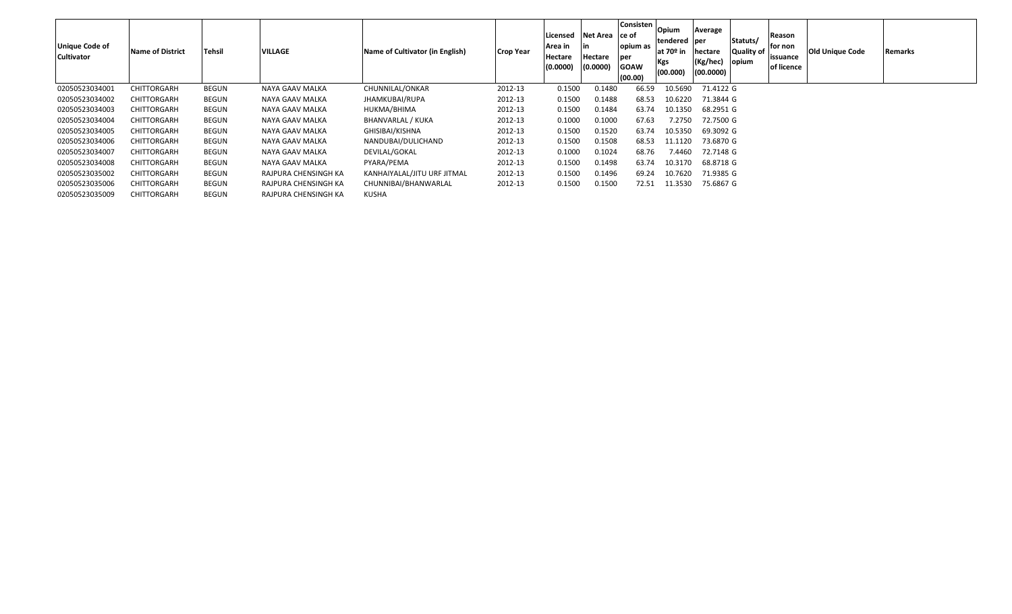| Unique Code of<br><b>Cultivator</b> | <b>Name of District</b> | <b>Tehsil</b> | <b>VILLAGE</b>       | Name of Cultivator (in English) | <b>Crop Year</b> | Licensed<br>Area in<br>Hectare<br>(0.0000) | Net Area<br>Hectare<br>(0.0000) | <b>Consisten</b><br>lce of<br>opium as<br>per<br><b>GOAW</b><br>(00.00) | Opium<br>tendered per<br>at 70 <sup>o</sup> in<br>Kgs<br>(00.000) | Average<br>hectare<br>(Kg/hec)<br>(00.0000) | Statuts/<br>Quality of<br>opium | Reason<br>for non<br>issuance<br>of licence | <b>Old Unique Code</b> | Remarks |
|-------------------------------------|-------------------------|---------------|----------------------|---------------------------------|------------------|--------------------------------------------|---------------------------------|-------------------------------------------------------------------------|-------------------------------------------------------------------|---------------------------------------------|---------------------------------|---------------------------------------------|------------------------|---------|
| 02050523034001                      | CHITTORGARH             | <b>BEGUN</b>  | NAYA GAAV MALKA      | CHUNNILAL/ONKAR                 | 2012-13          | 0.1500                                     | 0.1480                          | 66.59                                                                   | 10.5690                                                           | 71.4122 G                                   |                                 |                                             |                        |         |
| 02050523034002                      | CHITTORGARH             | <b>BEGUN</b>  | NAYA GAAV MALKA      | JHAMKUBAI/RUPA                  | 2012-13          | 0.1500                                     | 0.1488                          | 68.53                                                                   | 10.6220                                                           | 71.3844 G                                   |                                 |                                             |                        |         |
| 02050523034003                      | CHITTORGARH             | <b>BEGUN</b>  | NAYA GAAV MALKA      | HUKMA/BHIMA                     | 2012-13          | 0.1500                                     | 0.1484                          | 63.74                                                                   | 10.1350                                                           | 68.2951 G                                   |                                 |                                             |                        |         |
| 02050523034004                      | CHITTORGARH             | BEGUN         | NAYA GAAV MALKA      | BHANVARLAL / KUKA               | 2012-13          | 0.1000                                     | 0.1000                          | 67.63                                                                   | 7.2750                                                            | 72.7500 G                                   |                                 |                                             |                        |         |
| 02050523034005                      | CHITTORGARH             | <b>BEGUN</b>  | NAYA GAAV MALKA      | GHISIBAI/KISHNA                 | 2012-13          | 0.1500                                     | 0.1520                          | 63.74                                                                   | 10.5350                                                           | 69.3092 G                                   |                                 |                                             |                        |         |
| 02050523034006                      | CHITTORGARH             | <b>BEGUN</b>  | NAYA GAAV MALKA      | NANDUBAI/DULICHAND              | 2012-13          | 0.1500                                     | 0.1508                          | 68.53                                                                   | 11.1120                                                           | 73.6870 G                                   |                                 |                                             |                        |         |
| 02050523034007                      | CHITTORGARH             | BEGUN         | NAYA GAAV MALKA      | DEVILAL/GOKAL                   | 2012-13          | 0.1000                                     | 0.1024                          | 68.76                                                                   | 7.4460                                                            | 72.7148 G                                   |                                 |                                             |                        |         |
| 02050523034008                      | CHITTORGARH             | <b>BEGUN</b>  | NAYA GAAV MALKA      | PYARA/PEMA                      | 2012-13          | 0.1500                                     | 0.1498                          | 63.74                                                                   | 10.3170                                                           | 68.8718 G                                   |                                 |                                             |                        |         |
| 02050523035002                      | CHITTORGARH             | <b>BEGUN</b>  | RAJPURA CHENSINGH KA | KANHAIYALAL/JITU URF JITMAL     | 2012-13          | 0.1500                                     | 0.1496                          | 69.24                                                                   | 10.7620                                                           | 71.9385 G                                   |                                 |                                             |                        |         |
| 02050523035006                      | CHITTORGARH             | <b>BEGUN</b>  | RAJPURA CHENSINGH KA | CHUNNIBAI/BHANWARLAL            | 2012-13          | 0.1500                                     | 0.1500                          | 72.51                                                                   | 11.3530                                                           | 75.6867 G                                   |                                 |                                             |                        |         |
| 02050523035009                      | CHITTORGARH             | <b>BEGUN</b>  | RAJPURA CHENSINGH KA | KUSHA                           |                  |                                            |                                 |                                                                         |                                                                   |                                             |                                 |                                             |                        |         |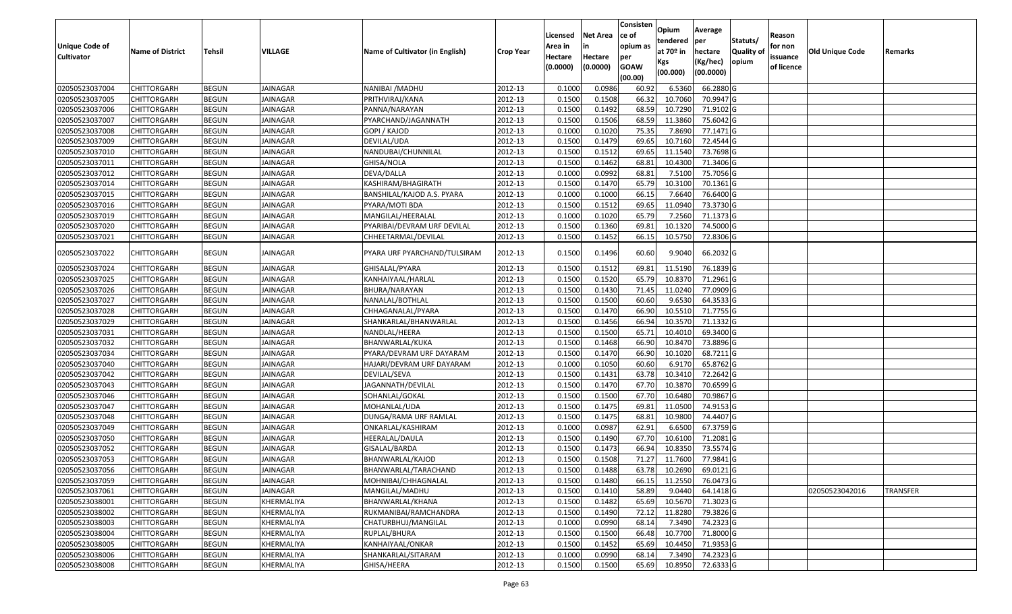|                                            |                         |               |                 |                                 |                  |                    |                 | Consisten          | Opium       | Average   |                  |                     |                 |                 |
|--------------------------------------------|-------------------------|---------------|-----------------|---------------------------------|------------------|--------------------|-----------------|--------------------|-------------|-----------|------------------|---------------------|-----------------|-----------------|
|                                            |                         |               |                 |                                 |                  | Licensed           | <b>Net Area</b> | ce of              | tendered    | per       | Statuts/         | Reason              |                 |                 |
| <b>Unique Code of</b><br><b>Cultivator</b> | <b>Name of District</b> | <b>Tehsil</b> | <b>VILLAGE</b>  | Name of Cultivator (in English) | <b>Crop Year</b> | Area in<br>Hectare | Hectare         | opium as           | at $70°$ in | hectare   | <b>Quality o</b> | for non<br>issuance | Old Unique Code | Remarks         |
|                                            |                         |               |                 |                                 |                  | (0.0000)           | (0.0000)        | per<br><b>GOAW</b> | Kgs         | (Kg/hec)  | opium            | of licence          |                 |                 |
|                                            |                         |               |                 |                                 |                  |                    |                 | (00.00)            | (00.000)    | (00.0000) |                  |                     |                 |                 |
| 02050523037004                             | CHITTORGARH             | <b>BEGUN</b>  | JAINAGAR        | NANIBAI / MADHU                 | 2012-13          | 0.1000             | 0.0986          | 60.92              | 6.5360      | 66.2880 G |                  |                     |                 |                 |
| 02050523037005                             | CHITTORGARH             | <b>BEGUN</b>  | JAINAGAR        | PRITHVIRAJ/KANA                 | 2012-13          | 0.1500             | 0.1508          | 66.32              | 10.7060     | 70.9947 G |                  |                     |                 |                 |
| 02050523037006                             | CHITTORGARH             | <b>BEGUN</b>  | JAINAGAR        | PANNA/NARAYAN                   | 2012-13          | 0.1500             | 0.1492          | 68.59              | 10.7290     | 71.9102 G |                  |                     |                 |                 |
| 02050523037007                             | <b>CHITTORGARH</b>      | <b>BEGUN</b>  | <b>JAINAGAR</b> | PYARCHAND/JAGANNATH             | 2012-13          | 0.1500             | 0.1506          | 68.59              | 11.3860     | 75.6042 G |                  |                     |                 |                 |
| 02050523037008                             | CHITTORGARH             | <b>BEGUN</b>  | <b>JAINAGAR</b> | GOPI / KAJOD                    | 2012-13          | 0.1000             | 0.1020          | 75.35              | 7.8690      | 77.1471 G |                  |                     |                 |                 |
| 02050523037009                             | CHITTORGARH             | <b>BEGUN</b>  | <b>JAINAGAR</b> | DEVILAL/UDA                     | 2012-13          | 0.1500             | 0.1479          | 69.65              | 10.7160     | 72.4544 G |                  |                     |                 |                 |
| 02050523037010                             | CHITTORGARH             | <b>BEGUN</b>  | JAINAGAR        | NANDUBAI/CHUNNILAL              | 2012-13          | 0.1500             | 0.1512          | 69.65              | 11.1540     | 73.7698 G |                  |                     |                 |                 |
| 02050523037011                             | <b>CHITTORGARH</b>      | <b>BEGUN</b>  | JAINAGAR        | GHISA/NOLA                      | 2012-13          | 0.1500             | 0.1462          | 68.81              | 10.4300     | 71.3406 G |                  |                     |                 |                 |
| 02050523037012                             | CHITTORGARH             | <b>BEGUN</b>  | <b>JAINAGAR</b> | DEVA/DALLA                      | 2012-13          | 0.1000             | 0.0992          | 68.81              | 7.5100      | 75.7056 G |                  |                     |                 |                 |
| 02050523037014                             | CHITTORGARH             | <b>BEGUN</b>  | <b>JAINAGAR</b> | KASHIRAM/BHAGIRATH              | 2012-13          | 0.1500             | 0.1470          | 65.79              | 10.3100     | 70.1361G  |                  |                     |                 |                 |
| 02050523037015                             | CHITTORGARH             | <b>BEGUN</b>  | <b>JAINAGAR</b> | BANSHILAL/KAJOD A.S. PYARA      | 2012-13          | 0.1000             | 0.1000          | 66.15              | 7.6640      | 76.6400 G |                  |                     |                 |                 |
| 02050523037016                             | <b>CHITTORGARH</b>      | <b>BEGUN</b>  | <b>JAINAGAR</b> | PYARA/MOTI BDA                  | 2012-13          | 0.1500             | 0.1512          | 69.65              | 11.0940     | 73.3730 G |                  |                     |                 |                 |
| 02050523037019                             | <b>CHITTORGARH</b>      | <b>BEGUN</b>  | <b>JAINAGAR</b> | MANGILAL/HEERALAL               | 2012-13          | 0.1000             | 0.1020          | 65.79              | 7.2560      | 71.1373 G |                  |                     |                 |                 |
| 02050523037020                             | CHITTORGARH             | <b>BEGUN</b>  | JAINAGAR        | PYARIBAI/DEVRAM URF DEVILAL     | 2012-13          | 0.1500             | 0.1360          | 69.81              | 10.1320     | 74.5000 G |                  |                     |                 |                 |
| 02050523037021                             | CHITTORGARH             | <b>BEGUN</b>  | JAINAGAR        | CHHEETARMAL/DEVILAL             | 2012-13          | 0.1500             | 0.1452          | 66.15              | 10.5750     | 72.8306 G |                  |                     |                 |                 |
| 02050523037022                             | CHITTORGARH             | <b>BEGUN</b>  | JAINAGAR        | PYARA URF PYARCHAND/TULSIRAM    | 2012-13          | 0.1500             | 0.1496          | 60.60              | 9.9040      | 66.2032 G |                  |                     |                 |                 |
| 02050523037024                             | CHITTORGARH             | <b>BEGUN</b>  | JAINAGAR        | GHISALAL/PYARA                  | 2012-13          | 0.150              | 0.1512          | 69.8               | 11.5190     | 76.1839 G |                  |                     |                 |                 |
| 02050523037025                             | CHITTORGARH             | <b>BEGUN</b>  | JAINAGAR        | KANHAIYAAL/HARLAL               | 2012-13          | 0.1500             | 0.1520          | 65.79              | 10.8370     | 71.2961 G |                  |                     |                 |                 |
| 02050523037026                             | CHITTORGARH             | <b>BEGUN</b>  | <b>JAINAGAR</b> | BHURA/NARAYAN                   | 2012-13          | 0.1500             | 0.1430          | 71.45              | 11.0240     | 77.0909 G |                  |                     |                 |                 |
| 02050523037027                             | CHITTORGARH             | <b>BEGUN</b>  | <b>JAINAGAR</b> | NANALAL/BOTHLAL                 | 2012-13          | 0.1500             | 0.1500          | 60.60              | 9.6530      | 64.3533 G |                  |                     |                 |                 |
| 02050523037028                             | CHITTORGARH             | <b>BEGUN</b>  | JAINAGAR        | CHHAGANALAL/PYARA               | 2012-13          | 0.1500             | 0.1470          | 66.90              | 10.5510     | 71.7755 G |                  |                     |                 |                 |
| 02050523037029                             | CHITTORGARH             | <b>BEGUN</b>  | <b>JAINAGAR</b> | SHANKARLAL/BHANWARLAL           | 2012-13          | 0.1500             | 0.1456          | 66.94              | 10.3570     | 71.1332G  |                  |                     |                 |                 |
| 02050523037031                             | CHITTORGARH             | <b>BEGUN</b>  | <b>JAINAGAR</b> | NANDLAL/HEERA                   | 2012-13          | 0.1500             | 0.1500          | 65.7               | 10.401      | 69.3400 G |                  |                     |                 |                 |
| 02050523037032                             | CHITTORGARH             | <b>BEGUN</b>  | <b>JAINAGAR</b> | BHANWARLAL/KUKA                 | 2012-13          | 0.1500             | 0.1468          | 66.90              | 10.8470     | 73.8896 G |                  |                     |                 |                 |
| 02050523037034                             | CHITTORGARH             | <b>BEGUN</b>  | JAINAGAR        | PYARA/DEVRAM URF DAYARAM        | 2012-13          | 0.1500             | 0.1470          | 66.90              | 10.1020     | 68.7211G  |                  |                     |                 |                 |
| 02050523037040                             | CHITTORGARH             | <b>BEGUN</b>  | <b>JAINAGAR</b> | HAJARI/DEVRAM URF DAYARAM       | 2012-13          | 0.1000             | 0.1050          | 60.60              | 6.9170      | 65.8762 G |                  |                     |                 |                 |
| 02050523037042                             | CHITTORGARH             | <b>BEGUN</b>  | JAINAGAR        | DEVILAL/SEVA                    | 2012-13          | 0.1500             | 0.1431          | 63.78              | 10.3410     | 72.2642 G |                  |                     |                 |                 |
| 02050523037043                             | <b>CHITTORGARH</b>      | <b>BEGUN</b>  | JAINAGAR        | JAGANNATH/DEVILAL               | 2012-13          | 0.1500             | 0.1470          | 67.70              | 10.3870     | 70.6599 G |                  |                     |                 |                 |
| 02050523037046                             | CHITTORGARH             | <b>BEGUN</b>  | <b>JAINAGAR</b> | SOHANLAL/GOKAL                  | 2012-13          | 0.1500             | 0.1500          | 67.70              | 10.6480     | 70.9867 G |                  |                     |                 |                 |
| 02050523037047                             | CHITTORGARH             | <b>BEGUN</b>  | <b>JAINAGAR</b> | MOHANLAL/UDA                    | 2012-13          | 0.1500             | 0.1475          | 69.8               | 11.0500     | 74.9153 G |                  |                     |                 |                 |
| 02050523037048                             | CHITTORGARH             | <b>BEGUN</b>  | JAINAGAR        | DUNGA/RAMA URF RAMLAL           | 2012-13          | 0.1500             | 0.1475          | 68.83              | 10.9800     | 74.4407 G |                  |                     |                 |                 |
| 02050523037049                             | <b>CHITTORGARH</b>      | <b>BEGUN</b>  | <b>JAINAGAR</b> | ONKARLAL/KASHIRAM               | 2012-13          | 0.1000             | 0.0987          | 62.91              | 6.6500      | 67.3759 G |                  |                     |                 |                 |
| 02050523037050                             | <b>CHITTORGARH</b>      | <b>BEGUN</b>  | <b>JAINAGAR</b> | HEERALAL/DAULA                  | 2012-13          | 0.1500             | 0.1490          | 67.70              | 10.6100     | 71.2081 G |                  |                     |                 |                 |
| 02050523037052                             | CHITTORGARH             | <b>BEGUN</b>  | JAINAGAR        | GISALAL/BARDA                   | 2012-13          | 0.150              | 0.1473          | 66.94              | 10.8350     | 73.5574 G |                  |                     |                 |                 |
| 02050523037053                             | CHITTORGARH             | <b>BEGUN</b>  | JAINAGAR        | BHANWARLAL/KAJOD                | 2012-13          | 0.1500             | 0.1508          | 71.27              | 11.7600     | 77.9841 G |                  |                     |                 |                 |
| 02050523037056                             | <b>CHITTORGARH</b>      | <b>BEGUN</b>  | <b>JAINAGAR</b> | BHANWARLAL/TARACHAND            | 2012-13          | 0.1500             | 0.1488          | 63.78              | 10.2690     | 69.0121 G |                  |                     |                 |                 |
| 02050523037059                             | <b>CHITTORGARH</b>      | <b>BEGUN</b>  | JAINAGAR        | MOHNIBAI/CHHAGNALAL             | 2012-13          | 0.1500             | 0.1480          | 66.15              | 11.2550     | 76.0473 G |                  |                     |                 |                 |
| 02050523037061                             | <b>CHITTORGARH</b>      | <b>BEGUN</b>  | JAINAGAR        | MANGILAL/MADHU                  | 2012-13          | 0.1500             | 0.1410          | 58.89              | 9.0440      | 64.1418 G |                  |                     | 02050523042016  | <b>TRANSFER</b> |
| 02050523038001                             | <b>CHITTORGARH</b>      | <b>BEGUN</b>  | KHERMALIYA      | BHANWARLAL/KHANA                | 2012-13          | 0.1500             | 0.1482          | 65.69              | 10.5670     | 71.3023 G |                  |                     |                 |                 |
| 02050523038002                             | CHITTORGARH             | <b>BEGUN</b>  | KHERMALIYA      | RUKMANIBAI/RAMCHANDRA           | 2012-13          | 0.1500             | 0.1490          | 72.12              | 11.8280     | 79.3826 G |                  |                     |                 |                 |
| 02050523038003                             | <b>CHITTORGARH</b>      | <b>BEGUN</b>  | KHERMALIYA      | CHATURBHUJ/MANGILAL             | 2012-13          | 0.1000             | 0.0990          | 68.14              | 7.3490      | 74.2323 G |                  |                     |                 |                 |
| 02050523038004                             | <b>CHITTORGARH</b>      | <b>BEGUN</b>  | KHERMALIYA      | RUPLAL/BHURA                    | 2012-13          | 0.1500             | 0.1500          | 66.48              | 10.7700     | 71.8000 G |                  |                     |                 |                 |
| 02050523038005                             | CHITTORGARH             | <b>BEGUN</b>  | KHERMALIYA      | KANHAIYAAL/ONKAR                | 2012-13          | 0.1500             | 0.1452          | 65.69              | 10.4450     | 71.9353 G |                  |                     |                 |                 |
| 02050523038006                             | CHITTORGARH             | <b>BEGUN</b>  | KHERMALIYA      | SHANKARLAL/SITARAM              | 2012-13          | 0.1000             | 0.0990          | 68.14              | 7.3490      | 74.2323 G |                  |                     |                 |                 |
| 02050523038008                             | <b>CHITTORGARH</b>      | <b>BEGUN</b>  | KHERMALIYA      | GHISA/HEERA                     | 2012-13          | 0.1500             | 0.1500          | 65.69              | 10.8950     | 72.6333 G |                  |                     |                 |                 |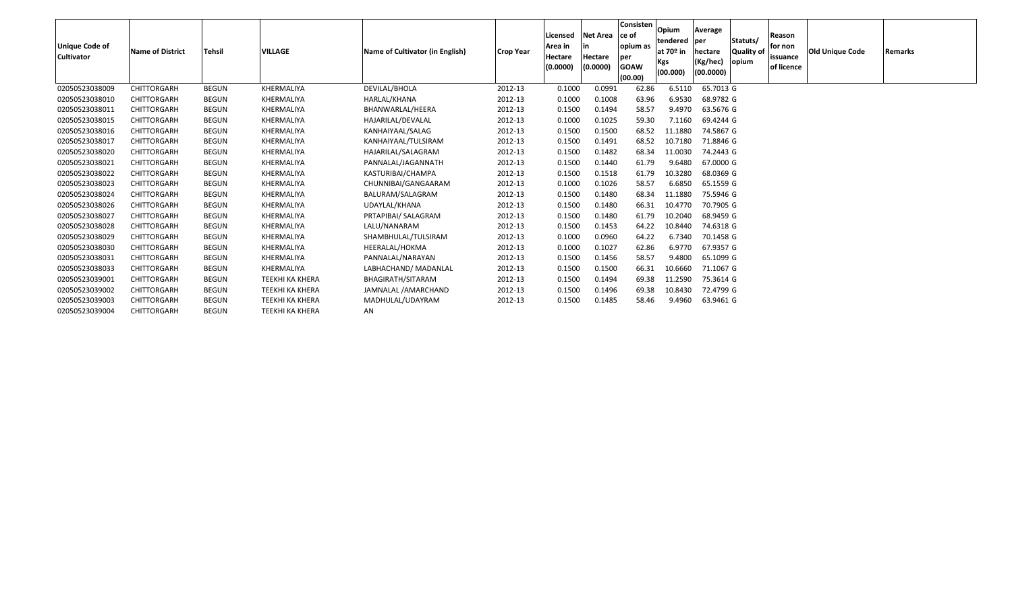| <b>Unique Code of</b><br><b>Cultivator</b> | <b>Name of District</b> | <b>Tehsil</b> | <b>VILLAGE</b>         | Name of Cultivator (in English) | <b>Crop Year</b> | Licensed<br>Area in<br>Hectare<br>(0.0000) | <b>Net Area</b><br>in<br>Hectare<br>(0.0000) | Consisten<br>ce of<br>opium as<br>per<br><b>GOAW</b><br>(00.00) | Opium<br>tendered<br>at 70 <sup>o</sup> in<br>Kgs<br>(00.000) | Average<br>per<br>hectare<br>(Kg/hec)<br>(00.0000) | Statuts/<br>Quality of<br>opium | Reason<br>for non<br>issuance<br>of licence | <b>Old Unique Code</b> | Remarks |
|--------------------------------------------|-------------------------|---------------|------------------------|---------------------------------|------------------|--------------------------------------------|----------------------------------------------|-----------------------------------------------------------------|---------------------------------------------------------------|----------------------------------------------------|---------------------------------|---------------------------------------------|------------------------|---------|
| 02050523038009                             | <b>CHITTORGARH</b>      | <b>BEGUN</b>  | KHERMALIYA             | DEVILAL/BHOLA                   | 2012-13          | 0.1000                                     | 0.0991                                       | 62.86                                                           | 6.5110                                                        | 65.7013 G                                          |                                 |                                             |                        |         |
| 02050523038010                             | <b>CHITTORGARH</b>      | <b>BEGUN</b>  | KHERMALIYA             | HARLAL/KHANA                    | 2012-13          | 0.1000                                     | 0.1008                                       | 63.96                                                           | 6.9530                                                        | 68.9782 G                                          |                                 |                                             |                        |         |
| 02050523038011                             | CHITTORGARH             | <b>BEGUN</b>  | KHERMALIYA             | BHANWARLAL/HEERA                | 2012-13          | 0.1500                                     | 0.1494                                       | 58.57                                                           | 9.4970                                                        | 63.5676 G                                          |                                 |                                             |                        |         |
| 02050523038015                             | CHITTORGARH             | <b>BEGUN</b>  | KHERMALIYA             | HAJARILAL/DEVALAL               | 2012-13          | 0.1000                                     | 0.1025                                       | 59.30                                                           | 7.1160                                                        | 69.4244 G                                          |                                 |                                             |                        |         |
| 02050523038016                             | CHITTORGARH             | <b>BEGUN</b>  | KHERMALIYA             | KANHAIYAAL/SALAG                | 2012-13          | 0.1500                                     | 0.1500                                       | 68.52                                                           | 11.1880                                                       | 74.5867 G                                          |                                 |                                             |                        |         |
| 02050523038017                             | CHITTORGARH             | <b>BEGUN</b>  | KHERMALIYA             | KANHAIYAAL/TULSIRAM             | 2012-13          | 0.1500                                     | 0.1491                                       | 68.52                                                           | 10.7180                                                       | 71.8846 G                                          |                                 |                                             |                        |         |
| 02050523038020                             | CHITTORGARH             | <b>BEGUN</b>  | KHERMALIYA             | HAJARILAL/SALAGRAM              | 2012-13          | 0.1500                                     | 0.1482                                       | 68.34                                                           | 11.0030                                                       | 74.2443 G                                          |                                 |                                             |                        |         |
| 02050523038021                             | <b>CHITTORGARH</b>      | <b>BEGUN</b>  | KHERMALIYA             | PANNALAL/JAGANNATH              | 2012-13          | 0.1500                                     | 0.1440                                       | 61.79                                                           | 9.6480                                                        | 67.0000 G                                          |                                 |                                             |                        |         |
| 02050523038022                             | CHITTORGARH             | <b>BEGUN</b>  | KHERMALIYA             | KASTURIBAI/CHAMPA               | 2012-13          | 0.1500                                     | 0.1518                                       | 61.79                                                           | 10.3280                                                       | 68.0369 G                                          |                                 |                                             |                        |         |
| 02050523038023                             | CHITTORGARH             | <b>BEGUN</b>  | KHERMALIYA             | CHUNNIBAI/GANGAARAM             | 2012-13          | 0.1000                                     | 0.1026                                       | 58.57                                                           | 6.6850                                                        | 65.1559 G                                          |                                 |                                             |                        |         |
| 02050523038024                             | <b>CHITTORGARH</b>      | <b>BEGUN</b>  | KHERMALIYA             | BALURAM/SALAGRAM                | 2012-13          | 0.1500                                     | 0.1480                                       | 68.34                                                           | 11.1880                                                       | 75.5946 G                                          |                                 |                                             |                        |         |
| 02050523038026                             | CHITTORGARH             | <b>BEGUN</b>  | KHERMALIYA             | UDAYLAL/KHANA                   | 2012-13          | 0.1500                                     | 0.1480                                       | 66.31                                                           | 10.4770                                                       | 70.7905 G                                          |                                 |                                             |                        |         |
| 02050523038027                             | CHITTORGARH             | <b>BEGUN</b>  | KHERMALIYA             | PRTAPIBAI/ SALAGRAM             | 2012-13          | 0.1500                                     | 0.1480                                       | 61.79                                                           | 10.2040                                                       | 68.9459 G                                          |                                 |                                             |                        |         |
| 02050523038028                             | CHITTORGARH             | <b>BEGUN</b>  | KHERMALIYA             | LALU/NANARAM                    | 2012-13          | 0.1500                                     | 0.1453                                       | 64.22                                                           | 10.8440                                                       | 74.6318 G                                          |                                 |                                             |                        |         |
| 02050523038029                             | CHITTORGARH             | <b>BEGUN</b>  | KHERMALIYA             | SHAMBHULAL/TULSIRAM             | 2012-13          | 0.1000                                     | 0.0960                                       | 64.22                                                           | 6.7340                                                        | 70.1458 G                                          |                                 |                                             |                        |         |
| 02050523038030                             | CHITTORGARH             | <b>BEGUN</b>  | KHERMALIYA             | HEERALAL/HOKMA                  | 2012-13          | 0.1000                                     | 0.1027                                       | 62.86                                                           | 6.9770                                                        | 67.9357 G                                          |                                 |                                             |                        |         |
| 02050523038031                             | CHITTORGARH             | <b>BEGUN</b>  | KHERMALIYA             | PANNALAL/NARAYAN                | 2012-13          | 0.1500                                     | 0.1456                                       | 58.57                                                           | 9.4800                                                        | 65.1099 G                                          |                                 |                                             |                        |         |
| 02050523038033                             | CHITTORGARH             | <b>BEGUN</b>  | KHERMALIYA             | LABHACHAND/ MADANLAL            | 2012-13          | 0.1500                                     | 0.1500                                       | 66.31                                                           | 10.6660                                                       | 71.1067 G                                          |                                 |                                             |                        |         |
| 02050523039001                             | CHITTORGARH             | <b>BEGUN</b>  | <b>TEEKHI KA KHERA</b> | BHAGIRATH/SITARAM               | 2012-13          | 0.1500                                     | 0.1494                                       | 69.38                                                           | 11.2590                                                       | 75.3614 G                                          |                                 |                                             |                        |         |
| 02050523039002                             | <b>CHITTORGARH</b>      | <b>BEGUN</b>  | <b>TEEKHI KA KHERA</b> | JAMNALAL /AMARCHAND             | 2012-13          | 0.1500                                     | 0.1496                                       | 69.38                                                           | 10.8430                                                       | 72.4799 G                                          |                                 |                                             |                        |         |
| 02050523039003                             | CHITTORGARH             | <b>BEGUN</b>  | <b>TEEKHI KA KHERA</b> | MADHULAL/UDAYRAM                | 2012-13          | 0.1500                                     | 0.1485                                       | 58.46                                                           | 9.4960                                                        | 63.9461 G                                          |                                 |                                             |                        |         |
| 02050523039004                             | CHITTORGARH             | <b>BEGUN</b>  | <b>TEEKHI KA KHERA</b> | AN                              |                  |                                            |                                              |                                                                 |                                                               |                                                    |                                 |                                             |                        |         |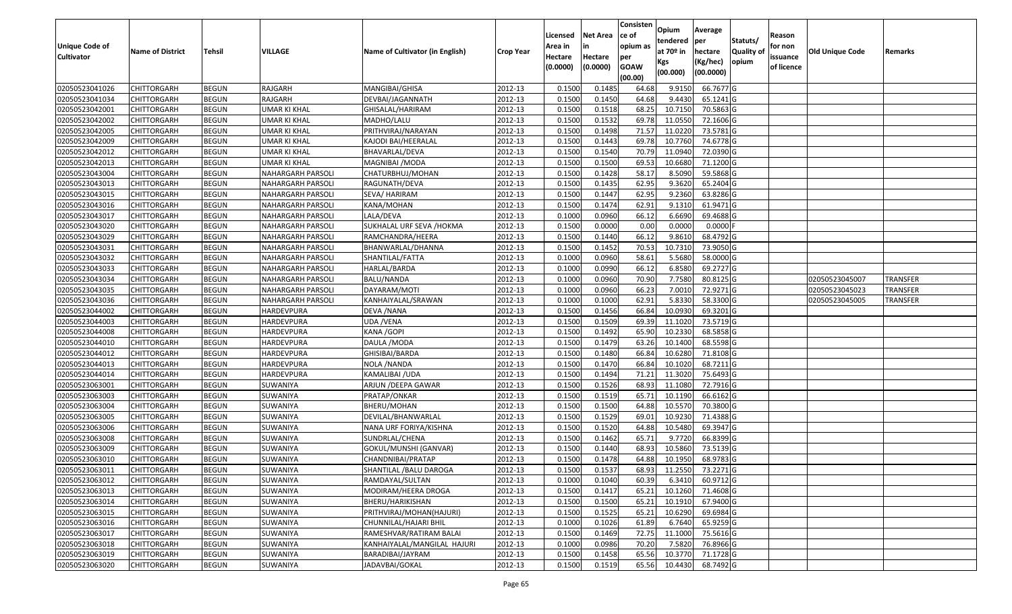|                                  |                                          |                              |                          |                                                   |                    | Licensed         | <b>Net Area</b>  | Consisten<br>ce of     | Opium<br>tendered  | Average<br>per         | Statuts/         | Reason     |                 |                 |
|----------------------------------|------------------------------------------|------------------------------|--------------------------|---------------------------------------------------|--------------------|------------------|------------------|------------------------|--------------------|------------------------|------------------|------------|-----------------|-----------------|
| <b>Unique Code of</b>            | <b>Name of District</b>                  | Tehsil                       | VILLAGE                  | Name of Cultivator (in English)                   | <b>Crop Year</b>   | Area in          | in               | opium as               | at $70°$ in        | hectare                | <b>Quality o</b> | for non    | Old Unique Code | Remarks         |
| <b>Cultivator</b>                |                                          |                              |                          |                                                   |                    | Hectare          | Hectare          | per                    | Kgs                | (Kg/hec)               | opium            | issuance   |                 |                 |
|                                  |                                          |                              |                          |                                                   |                    | (0.0000)         | (0.0000)         | <b>GOAW</b><br>(00.00) | (00.000)           | (00.0000)              |                  | of licence |                 |                 |
| 02050523041026                   | <b>CHITTORGARH</b>                       | <b>BEGUN</b>                 | RAJGARH                  | MANGIBAI/GHISA                                    | 2012-13            | 0.1500           | 0.1485           | 64.68                  | 9.9150             | 66.7677 G              |                  |            |                 |                 |
| 02050523041034                   | <b>CHITTORGARH</b>                       | <b>BEGUN</b>                 | RAJGARH                  | DEVBAI/JAGANNATH                                  | 2012-13            | 0.1500           | 0.1450           | 64.68                  | 9.4430             | 65.1241 G              |                  |            |                 |                 |
| 02050523042001                   | <b>CHITTORGARH</b>                       | <b>BEGUN</b>                 | UMAR KI KHAL             | GHISALAL/HARIRAM                                  | 2012-13            | 0.1500           | 0.1518           | 68.25                  | 10.7150            | 70.5863 G              |                  |            |                 |                 |
| 02050523042002                   | <b>CHITTORGARH</b>                       | <b>BEGUN</b>                 | UMAR KI KHAL             | MADHO/LALU                                        | 2012-13            | 0.1500           | 0.1532           | 69.78                  | 11.0550            | 72.1606 G              |                  |            |                 |                 |
| 02050523042005                   | <b>CHITTORGARH</b>                       | <b>BEGUN</b>                 | UMAR KI KHAL             | PRITHVIRAJ/NARAYAN                                | 2012-13            | 0.1500           | 0.1498           | 71.57                  | 11.0220            | 73.5781 G              |                  |            |                 |                 |
| 02050523042009                   | <b>CHITTORGARH</b>                       | <b>BEGUN</b>                 | UMAR KI KHAL             | KAJODI BAI/HEERALAL                               | 2012-13            | 0.1500           | 0.1443           | 69.78                  | 10.7760            | 74.6778 G              |                  |            |                 |                 |
| 02050523042012                   | CHITTORGARH                              | <b>BEGUN</b>                 | UMAR KI KHAL             | BHAVARLAL/DEVA                                    | 2012-13            | 0.1500           | 0.1540           | 70.79                  | 11.0940            | 72.0390 G              |                  |            |                 |                 |
| 02050523042013                   | <b>CHITTORGARH</b>                       | <b>BEGUN</b>                 | <b>UMAR KI KHAL</b>      | MAGNIBAI /MODA                                    | 2012-13            | 0.1500           | 0.1500           | 69.53                  | 10.6680            | 71.1200 G              |                  |            |                 |                 |
| 02050523043004                   | <b>CHITTORGARH</b>                       | <b>BEGUN</b>                 | NAHARGARH PARSOLI        | CHATURBHUJ/MOHAN                                  | 2012-13            | 0.1500           | 0.1428           | 58.17                  | 8.5090             | 59.5868 G              |                  |            |                 |                 |
| 02050523043013                   | <b>CHITTORGARH</b>                       | <b>BEGUN</b>                 | NAHARGARH PARSOLI        | RAGUNATH/DEVA                                     | 2012-13            | 0.1500           | 0.1435           | 62.95                  | 9.3620             | 65.2404 G              |                  |            |                 |                 |
| 02050523043015                   | <b>CHITTORGARH</b>                       | <b>BEGUN</b>                 | NAHARGARH PARSOLI        | SEVA/ HARIRAM                                     | 2012-13            | 0.1500           | 0.1447           | 62.95                  | 9.2360             | 63.8286 G              |                  |            |                 |                 |
| 02050523043016                   | <b>CHITTORGARH</b>                       | <b>BEGUN</b>                 | NAHARGARH PARSOLI        | KANA/MOHAN                                        | 2012-13            | 0.1500           | 0.1474           | 62.91                  | 9.1310             | 61.9471 G              |                  |            |                 |                 |
| 02050523043017                   | <b>CHITTORGARH</b>                       | <b>BEGUN</b>                 | <b>NAHARGARH PARSOLI</b> | LALA/DEVA                                         | 2012-13            | 0.1000           | 0.0960           | 66.12                  | 6.6690             | 69.4688 G              |                  |            |                 |                 |
| 02050523043020                   | <b>CHITTORGARH</b>                       | <b>BEGUN</b>                 | NAHARGARH PARSOLI        | SUKHALAL URF SEVA /HOKMA                          | 2012-13            | 0.1500           | 0.0000           | 0.00                   | 0.0000             | 0.0000                 |                  |            |                 |                 |
| 02050523043029                   | CHITTORGARH                              | <b>BEGUN</b>                 | NAHARGARH PARSOLI        | RAMCHANDRA/HEERA                                  | 2012-13            | 0.1500           | 0.1440           | 66.12                  | 9.8610             | 68.4792 G              |                  |            |                 |                 |
| 02050523043031                   | <b>CHITTORGARH</b>                       | <b>BEGUN</b>                 | NAHARGARH PARSOLI        | BHANWARLAL/DHANNA                                 | 2012-13            | 0.1500           | 0.1452           | 70.53                  | 10.7310            | 73.9050 G              |                  |            |                 |                 |
| 02050523043032                   | <b>CHITTORGARH</b>                       | <b>BEGUN</b>                 | NAHARGARH PARSOLI        | SHANTILAL/FATTA                                   | 2012-13            | 0.1000           | 0.0960           | 58.61                  | 5.5680             | 58.0000 G              |                  |            |                 |                 |
| 02050523043033                   | <b>CHITTORGARH</b>                       | <b>BEGUN</b>                 | NAHARGARH PARSOLI        | HARLAL/BARDA                                      | 2012-13            | 0.1000           | 0.0990           | 66.12                  | 6.8580             | 69.2727 G              |                  |            |                 |                 |
| 02050523043034                   | <b>CHITTORGARH</b>                       | <b>BEGUN</b>                 | NAHARGARH PARSOLI        | BALU/NANDA                                        | 2012-13            | 0.1000           | 0.0960           | 70.90                  | 7.7580             | 80.8125 G              |                  |            | 02050523045007  | <b>TRANSFER</b> |
| 02050523043035                   | <b>CHITTORGARH</b>                       | <b>BEGUN</b>                 | NAHARGARH PARSOLI        | DAYARAM/MOTI                                      | 2012-13            | 0.1000           | 0.0960           | 66.23                  | 7.0010             | 72.9271 G              |                  |            | 02050523045023  | TRANSFER        |
| 02050523043036                   | <b>CHITTORGARH</b>                       | <b>BEGUN</b>                 | NAHARGARH PARSOLI        | KANHAIYALAL/SRAWAN                                | 2012-13            | 0.1000           | 0.1000           | 62.91                  | 5.8330             | 58.3300 G              |                  |            | 02050523045005  | <b>TRANSFER</b> |
| 02050523044002                   | CHITTORGARH                              | <b>BEGUN</b>                 | HARDEVPURA               | DEVA / NANA                                       | 2012-13            | 0.1500           | 0.1456           | 66.84                  | 10.0930            | 69.3201 G              |                  |            |                 |                 |
| 02050523044003                   | CHITTORGARH                              | <b>BEGUN</b>                 | HARDEVPURA               | UDA /VENA                                         | 2012-13            | 0.1500           | 0.1509           | 69.39                  | 11.1020            | 73.5719 G              |                  |            |                 |                 |
| 02050523044008                   | CHITTORGARH                              | <b>BEGUN</b>                 | HARDEVPURA               | KANA / GOPI                                       | 2012-13            | 0.1500           | 0.1492           | 65.90                  | 10.2330            | 68.5858 G              |                  |            |                 |                 |
| 02050523044010                   | <b>CHITTORGARH</b>                       | <b>BEGUN</b>                 | HARDEVPURA               | DAULA / MODA                                      | 2012-13            | 0.1500           | 0.1479           | 63.26                  | 10.1400            | 68.5598 G              |                  |            |                 |                 |
| 02050523044012                   | <b>CHITTORGARH</b>                       | <b>BEGUN</b>                 | HARDEVPURA               | GHISIBAI/BARDA                                    | 2012-13            | 0.1500           | 0.1480           | 66.84                  | 10.6280            | 71.8108 G              |                  |            |                 |                 |
| 02050523044013                   | <b>CHITTORGARH</b>                       | <b>BEGUN</b>                 | HARDEVPURA               | NOLA /NANDA                                       | 2012-13            | 0.1500           | 0.1470           | 66.84                  | 10.1020            | 68.7211 G              |                  |            |                 |                 |
| 02050523044014                   | <b>CHITTORGARH</b>                       | <b>BEGUN</b>                 | HARDEVPURA               | KAMALIBAI / UDA                                   | 2012-13            | 0.1500           | 0.1494           | 71.21                  | 11.3020            | 75.6493 G              |                  |            |                 |                 |
| 02050523063001                   | <b>CHITTORGARH</b>                       | <b>BEGUN</b>                 | SUWANIYA                 | ARJUN /DEEPA GAWAR                                | 2012-13            | 0.1500           | 0.1526           | 68.93                  | 11.1080            | 72.7916 G              |                  |            |                 |                 |
| 02050523063003                   | <b>CHITTORGARH</b>                       | <b>BEGUN</b>                 | SUWANIYA                 | PRATAP/ONKAR                                      | 2012-13            | 0.1500           | 0.1519           | 65.71                  | 10.1190            | 66.6162 G              |                  |            |                 |                 |
| 02050523063004                   | <b>CHITTORGARH</b>                       | <b>BEGUN</b>                 | SUWANIYA                 | BHERU/MOHAN                                       | 2012-13            | 0.1500           | 0.1500           | 64.88                  | 10.5570            | 70.3800 G              |                  |            |                 |                 |
| 02050523063005                   | CHITTORGARH                              | <b>BEGUN</b>                 | SUWANIYA                 | DEVILAL/BHANWARLAL                                | 2012-13            | 0.1500           | 0.1529           | 69.01                  | 10.9230            | 71.4388 G              |                  |            |                 |                 |
| 02050523063006                   | <b>CHITTORGARH</b>                       | <b>BEGUN</b>                 | SUWANIYA                 | NANA URF FORIYA/KISHNA                            | 2012-13            | 0.1500           | 0.1520           | 64.88                  | 10.5480            | 69.3947 G              |                  |            |                 |                 |
| 02050523063008                   | <b>CHITTORGARH</b>                       | <b>BEGUN</b>                 | SUWANIYA                 | SUNDRLAL/CHENA                                    | 2012-13            | 0.1500           | 0.1462           | 65.7                   | 9.7720             | 66.8399 G              |                  |            |                 |                 |
| 02050523063009                   | CHITTORGARH                              | <b>BEGUN</b>                 | SUWANIYA                 | GOKUL/MUNSHI (GANVAR)                             | 2012-13            | 0.1500           | 0.1440           | 68.93                  | 10.5860            | 73.5139 G              |                  |            |                 |                 |
| 02050523063010                   | <b>CHITTORGARH</b>                       | <b>BEGUN</b>                 | SUWANIYA                 | CHANDNIBAI/PRATAP                                 | 2012-13            | 0.1500           | 0.1478           | 64.88                  | 10.1950            | 68.9783 G              |                  |            |                 |                 |
| 02050523063011                   | <b>CHITTORGARH</b>                       | <b>BEGUN</b>                 | SUWANIYA                 | SHANTILAL / BALU DAROGA                           | 2012-13            | 0.1500           | 0.1537           | 68.93                  |                    | 11.2550 73.2271 G      |                  |            |                 |                 |
| 02050523063012                   | <b>CHITTORGARH</b>                       | <b>BEGUN</b>                 | SUWANIYA                 | RAMDAYAL/SULTAN                                   | 2012-13            | 0.1000           | 0.1040           | 60.39                  | 6.3410             | 60.9712G               |                  |            |                 |                 |
| 02050523063013                   | <b>CHITTORGARH</b>                       | <b>BEGUN</b><br><b>BEGUN</b> | SUWANIYA                 | MODIRAM/HEERA DROGA                               | 2012-13            | 0.1500<br>0.1500 | 0.1417<br>0.1500 | 65.21<br>65.21         | 10.1260<br>10.1910 | 71.4608 G<br>67.9400 G |                  |            |                 |                 |
| 02050523063014<br>02050523063015 | <b>CHITTORGARH</b>                       |                              | SUWANIYA                 | BHERU/HARIKISHAN                                  | 2012-13            |                  |                  |                        |                    | 69.6984 G              |                  |            |                 |                 |
| 02050523063016                   | <b>CHITTORGARH</b><br><b>CHITTORGARH</b> | <b>BEGUN</b><br><b>BEGUN</b> | SUWANIYA<br>SUWANIYA     | PRITHVIRAJ/MOHAN(HAJURI)<br>CHUNNILAL/HAJARI BHIL | 2012-13<br>2012-13 | 0.1500<br>0.1000 | 0.1525<br>0.1026 | 65.21<br>61.89         | 10.6290<br>6.7640  | 65.9259 G              |                  |            |                 |                 |
| 02050523063017                   | <b>CHITTORGARH</b>                       | <b>BEGUN</b>                 | SUWANIYA                 | RAMESHVAR/RATIRAM BALAI                           | 2012-13            | 0.1500           | 0.1469           | 72.75                  | 11.1000            | 75.5616 G              |                  |            |                 |                 |
| 02050523063018                   | <b>CHITTORGARH</b>                       | <b>BEGUN</b>                 | SUWANIYA                 | KANHAIYALAL/MANGILAL HAJURI                       | 2012-13            | 0.1000           | 0.0986           | 70.20                  | 7.5820             | 76.8966 G              |                  |            |                 |                 |
| 02050523063019                   | <b>CHITTORGARH</b>                       | <b>BEGUN</b>                 | SUWANIYA                 | BARADIBAI/JAYRAM                                  | 2012-13            | 0.1500           | 0.1458           | 65.56                  | 10.3770            | 71.1728 G              |                  |            |                 |                 |
| 02050523063020                   | <b>CHITTORGARH</b>                       | <b>BEGUN</b>                 | SUWANIYA                 | JADAVBAI/GOKAL                                    | 2012-13            | 0.1500           | 0.1519           | 65.56                  | 10.4430            | 68.7492 G              |                  |            |                 |                 |
|                                  |                                          |                              |                          |                                                   |                    |                  |                  |                        |                    |                        |                  |            |                 |                 |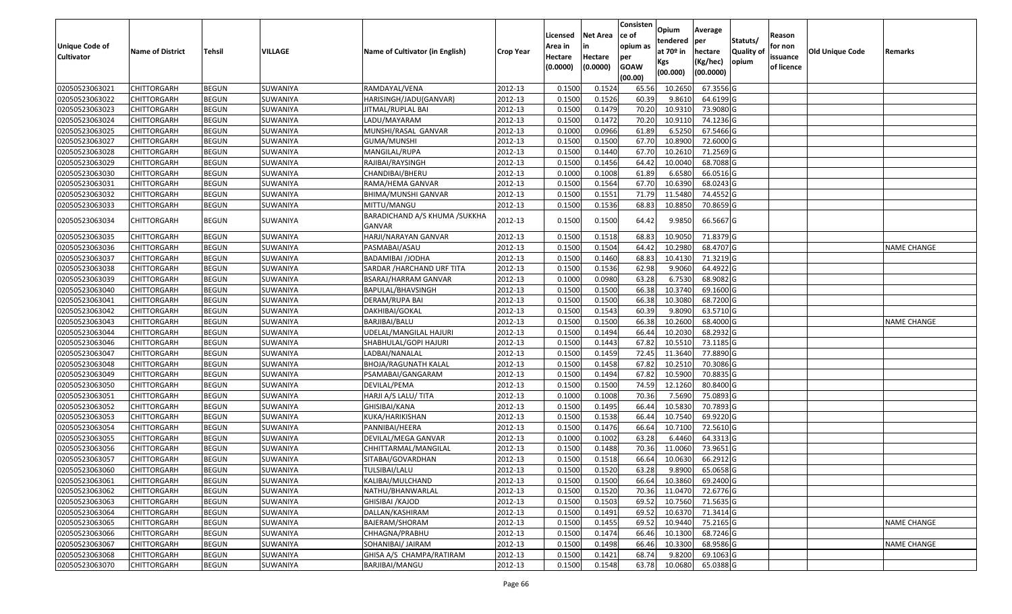|                       |                         |               |                 |                                         |                  |          |                 | Consisten   | Opium       | Average     |                  |            |                 |                    |
|-----------------------|-------------------------|---------------|-----------------|-----------------------------------------|------------------|----------|-----------------|-------------|-------------|-------------|------------------|------------|-----------------|--------------------|
|                       |                         |               |                 |                                         |                  | Licensed | <b>Net Area</b> | lce of      | tendered    | per         | Statuts/         | Reason     |                 |                    |
| <b>Unique Code of</b> | <b>Name of District</b> | <b>Tehsil</b> | VILLAGE         | Name of Cultivator (in English)         | <b>Crop Year</b> | Area in  |                 | opium as    | at $70°$ in | hectare     | <b>Quality o</b> | for non    | Old Unique Code | Remarks            |
| <b>Cultivator</b>     |                         |               |                 |                                         |                  | Hectare  | Hectare         | per         | Kgs         | (Kg/hec)    | opium            | issuance   |                 |                    |
|                       |                         |               |                 |                                         |                  | (0.0000) | (0.0000)        | <b>GOAW</b> | (00.000)    | (00.0000)   |                  | of licence |                 |                    |
|                       |                         |               |                 |                                         |                  |          |                 | (00.00)     |             |             |                  |            |                 |                    |
| 02050523063021        | CHITTORGARH             | <b>BEGUN</b>  | SUWANIYA        | RAMDAYAL/VENA                           | 2012-13          | 0.1500   | 0.1524          | 65.56       | 10.265      | 67.3556 G   |                  |            |                 |                    |
| 02050523063022        | CHITTORGARH             | <b>BEGUN</b>  | SUWANIYA        | HARISINGH/JADU(GANVAR)                  | 2012-13          | 0.1500   | 0.1526          | 60.39       | 9.861       | 64.6199 G   |                  |            |                 |                    |
| 02050523063023        | CHITTORGARH             | <b>BEGUN</b>  | SUWANIYA        | ITMAL/RUPLAL BAI                        | 2012-13          | 0.1500   | 0.1479          | 70.20       | 10.931      | 73.9080 G   |                  |            |                 |                    |
| 02050523063024        | <b>CHITTORGARH</b>      | <b>BEGUN</b>  | SUWANIYA        | LADU/MAYARAM                            | 2012-13          | 0.1500   | 0.1472          | 70.20       | 10.9110     | 74.1236 G   |                  |            |                 |                    |
| 02050523063025        | CHITTORGARH             | <b>BEGUN</b>  | SUWANIYA        | MUNSHI/RASAL GANVAR                     | 2012-13          | 0.1000   | 0.0966          | 61.89       | 6.5250      | 67.5466 G   |                  |            |                 |                    |
| 02050523063027        | CHITTORGARH             | <b>BEGUN</b>  | SUWANIYA        | GUMA/MUNSHI                             | 2012-13          | 0.1500   | 0.1500          | 67.70       | 10.8900     | 72.6000G    |                  |            |                 |                    |
| 02050523063028        | CHITTORGARH             | <b>BEGUN</b>  | SUWANIYA        | MANGILAL/RUPA                           | 2012-13          | 0.1500   | 0.1440          | 67.7        | 10.261      | 71.2569 G   |                  |            |                 |                    |
| 02050523063029        | CHITTORGARH             | <b>BEGUN</b>  | SUWANIYA        | RAJIBAI/RAYSINGH                        | 2012-13          | 0.1500   | 0.1456          | 64.42       | 10.0040     | 68.7088G    |                  |            |                 |                    |
| 02050523063030        | CHITTORGARH             | <b>BEGUN</b>  | SUWANIYA        | CHANDIBAI/BHERU                         | 2012-13          | 0.1000   | 0.1008          | 61.89       | 6.6580      | 66.0516 G   |                  |            |                 |                    |
| 02050523063031        | CHITTORGARH             | <b>BEGUN</b>  | SUWANIYA        | RAMA/HEMA GANVAR                        | 2012-13          | 0.1500   | 0.1564          | 67.70       | 10.6390     | 68.0243 G   |                  |            |                 |                    |
| 02050523063032        | CHITTORGARH             | <b>BEGUN</b>  | SUWANIYA        | BHIMA/MUNSHI GANVAR                     | 2012-13          | 0.1500   | 0.1551          | 71.79       | 11.5480     | 74.4552 G   |                  |            |                 |                    |
| 02050523063033        | CHITTORGARH             | <b>BEGUN</b>  | SUWANIYA        | MITTU/MANGU                             | 2012-13          | 0.1500   | 0.1536          | 68.83       | 10.8850     | 70.8659 G   |                  |            |                 |                    |
| 02050523063034        | CHITTORGARH             | <b>BEGUN</b>  | SUWANIYA        | BARADICHAND A/S KHUMA /SUKKHA<br>GANVAR | 2012-13          | 0.1500   | 0.1500          | 64.42       | 9.9850      | 66.5667 G   |                  |            |                 |                    |
| 02050523063035        | CHITTORGARH             | <b>BEGUN</b>  | SUWANIYA        | HARJI/NARAYAN GANVAR                    | 2012-13          | 0.1500   | 0.1518          | 68.83       | 10.9050     | 71.8379 G   |                  |            |                 |                    |
| 02050523063036        | CHITTORGARH             | <b>BEGUN</b>  | SUWANIYA        | PASMABAI/ASAU                           | 2012-13          | 0.1500   | 0.1504          | 64.42       | 10.298      | 68.4707 G   |                  |            |                 | <b>NAME CHANGE</b> |
| 02050523063037        | CHITTORGARH             | <b>BEGUN</b>  | SUWANIYA        | <b>BADAMIBAI /JODHA</b>                 | 2012-13          | 0.1500   | 0.1460          | 68.83       | 10.4130     | 71.3219 G   |                  |            |                 |                    |
| 02050523063038        | CHITTORGARH             | <b>BEGUN</b>  | SUWANIYA        | SARDAR / HARCHAND URF TITA              | 2012-13          | 0.150    | 0.1536          | 62.98       | 9.9060      | 64.4922 G   |                  |            |                 |                    |
| 02050523063039        | CHITTORGARH             | <b>BEGUN</b>  | SUWANIYA        | BSARAJ/HARRAM GANVAR                    | 2012-13          | 0.1000   | 0.0980          | 63.28       | 6.7530      | 68.9082 G   |                  |            |                 |                    |
| 02050523063040        | CHITTORGARH             | <b>BEGUN</b>  | SUWANIYA        | BAPULAL/BHAVSINGH                       | 2012-13          | 0.150    | 0.1500          | 66.38       | 10.3740     | 69.1600 G   |                  |            |                 |                    |
| 02050523063041        | CHITTORGARH             | <b>BEGUN</b>  | SUWANIYA        | DERAM/RUPA BAI                          | 2012-13          | 0.1500   | 0.1500          | 66.38       | 10.3080     | 68.7200 G   |                  |            |                 |                    |
| 02050523063042        | CHITTORGARH             | <b>BEGUN</b>  | SUWANIYA        | DAKHIBAI/GOKAL                          | 2012-13          | 0.1500   | 0.1543          | 60.39       | 9.8090      | 63.5710 G   |                  |            |                 |                    |
| 02050523063043        | CHITTORGARH             | <b>BEGUN</b>  | SUWANIYA        | BARJIBAI/BALU                           | 2012-13          | 0.1500   | 0.1500          | 66.38       | 10.2600     | 68.4000 G   |                  |            |                 | <b>NAME CHANGE</b> |
| 02050523063044        | CHITTORGARH             | <b>BEGUN</b>  | SUWANIYA        | JDELAL/MANGILAL HAJURI                  | 2012-13          | 0.1500   | 0.1494          | 66.44       | 10.2030     | 68.2932 G   |                  |            |                 |                    |
| 02050523063046        | CHITTORGARH             | <b>BEGUN</b>  | SUWANIYA        | SHABHULAL/GOPI HAJURI                   | 2012-13          | 0.1500   | 0.1443          | 67.82       | 10.5510     | 73.1185 G   |                  |            |                 |                    |
| 02050523063047        | CHITTORGARH             | <b>BEGUN</b>  | SUWANIYA        | LADBAI/NANALAL                          | 2012-13          | 0.1500   | 0.1459          | 72.45       | 11.3640     | 77.8890 G   |                  |            |                 |                    |
| 02050523063048        | CHITTORGARH             | <b>BEGUN</b>  | SUWANIYA        | BHOJA/RAGUNATH KALAL                    | 2012-13          | 0.1500   | 0.1458          | 67.82       | 10.2510     | 70.3086 G   |                  |            |                 |                    |
| 02050523063049        | CHITTORGARH             | <b>BEGUN</b>  | SUWANIYA        | PSAMABAI/GANGARAM                       | 2012-13          | 0.1500   | 0.1494          | 67.82       | 10.5900     | 70.8835 G   |                  |            |                 |                    |
| 02050523063050        | CHITTORGARH             | <b>BEGUN</b>  | SUWANIYA        | DEVILAL/PEMA                            | 2012-13          | 0.1500   | 0.1500          | 74.59       | 12.1260     | 80.8400 G   |                  |            |                 |                    |
| 02050523063051        | CHITTORGARH             | <b>BEGUN</b>  | SUWANIYA        | HARJI A/S LALU/ TITA                    | 2012-13          | 0.1000   | 0.1008          | 70.36       | 7.5690      | 75.0893 G   |                  |            |                 |                    |
| 02050523063052        | CHITTORGARH             | <b>BEGUN</b>  | SUWANIYA        | GHISIBAI/KANA                           | 2012-13          | 0.1500   | 0.1495          | 66.44       | 10.5830     | 70.7893 G   |                  |            |                 |                    |
| 02050523063053        | CHITTORGARH             | <b>BEGUN</b>  | SUWANIYA        | KUKA/HARIKISHAN                         | 2012-13          | 0.1500   | 0.1538          | 66.44       | 10.7540     | 69.9220 G   |                  |            |                 |                    |
| 02050523063054        | CHITTORGARH             | <b>BEGUN</b>  | SUWANIYA        | PANNIBAI/HEERA                          | 2012-13          | 0.1500   | 0.1476          | 66.64       | 10.7100     | 72.5610 G   |                  |            |                 |                    |
| 02050523063055        | <b>CHITTORGARH</b>      | <b>BEGUN</b>  | SUWANIYA        | DEVILAL/MEGA GANVAR                     | 2012-13          | 0.1000   | 0.1002          | 63.28       | 6.4460      | 64.3313 G   |                  |            |                 |                    |
| 02050523063056        | CHITTORGARH             | <b>BEGUN</b>  | SUWANIYA        | CHHITTARMAL/MANGILAL                    | 2012-13          | 0.150    | 0.1488          | 70.36       | 11.0060     | 73.9651G    |                  |            |                 |                    |
| 02050523063057        | CHITTORGARH             | <b>BEGUN</b>  | SUWANIYA        | SITABAI/GOVARDHAN                       | 2012-13          | 0.1500   | 0.1518          | 66.64       | 10.0630     | 66.2912 G   |                  |            |                 |                    |
| 02050523063060        | <b>CHITTORGARH</b>      | <b>BEGUN</b>  | <b>SUWANIYA</b> | TULSIBAI/LALU                           | 2012-13          | 0.1500   | 0.1520          | 63.28       | 9.8900      | 65.0658 G   |                  |            |                 |                    |
| 02050523063061        | <b>CHITTORGARH</b>      | <b>BEGUN</b>  | SUWANIYA        | KALIBAI/MULCHAND                        | 2012-13          | 0.1500   | 0.1500          | 66.64       | 10.3860     | 69.2400 G   |                  |            |                 |                    |
| 02050523063062        | <b>CHITTORGARH</b>      | <b>BEGUN</b>  | SUWANIYA        | NATHU/BHANWARLAL                        | 2012-13          | 0.1500   | 0.1520          | 70.36       | 11.0470     | 72.6776 G   |                  |            |                 |                    |
| 02050523063063        | <b>CHITTORGARH</b>      | <b>BEGUN</b>  | SUWANIYA        | GHISIBAI / KAJOD                        | 2012-13          | 0.1500   | 0.1503          | 69.52       | 10.7560     | $71.5635$ G |                  |            |                 |                    |
| 02050523063064        | <b>CHITTORGARH</b>      | <b>BEGUN</b>  | SUWANIYA        | DALLAN/KASHIRAM                         | 2012-13          | 0.1500   | 0.1491          | 69.52       | 10.6370     | 71.3414 G   |                  |            |                 |                    |
| 02050523063065        | <b>CHITTORGARH</b>      | <b>BEGUN</b>  | SUWANIYA        | BAJERAM/SHORAM                          | 2012-13          | 0.1500   | 0.1455          | 69.52       | 10.9440     | 75.2165 G   |                  |            |                 | <b>NAME CHANGE</b> |
| 02050523063066        | <b>CHITTORGARH</b>      | <b>BEGUN</b>  | SUWANIYA        | CHHAGNA/PRABHU                          | 2012-13          | 0.1500   | 0.1474          | 66.46       | 10.1300     | 68.7246 G   |                  |            |                 |                    |
| 02050523063067        | <b>CHITTORGARH</b>      | <b>BEGUN</b>  | SUWANIYA        | SOHANIBAI/ JAIRAM                       | 2012-13          | 0.1500   | 0.1498          | 66.46       | 10.3300     | 68.9586 G   |                  |            |                 | <b>NAME CHANGE</b> |
| 02050523063068        | <b>CHITTORGARH</b>      | <b>BEGUN</b>  | SUWANIYA        | GHISA A/S CHAMPA/RATIRAM                | 2012-13          | 0.1500   | 0.1421          | 68.74       | 9.8200      | 69.1063 G   |                  |            |                 |                    |
| 02050523063070        | <b>CHITTORGARH</b>      | <b>BEGUN</b>  | SUWANIYA        | BARJIBAI/MANGU                          | 2012-13          | 0.1500   | 0.1548          | 63.78       | 10.0680     | 65.0388 G   |                  |            |                 |                    |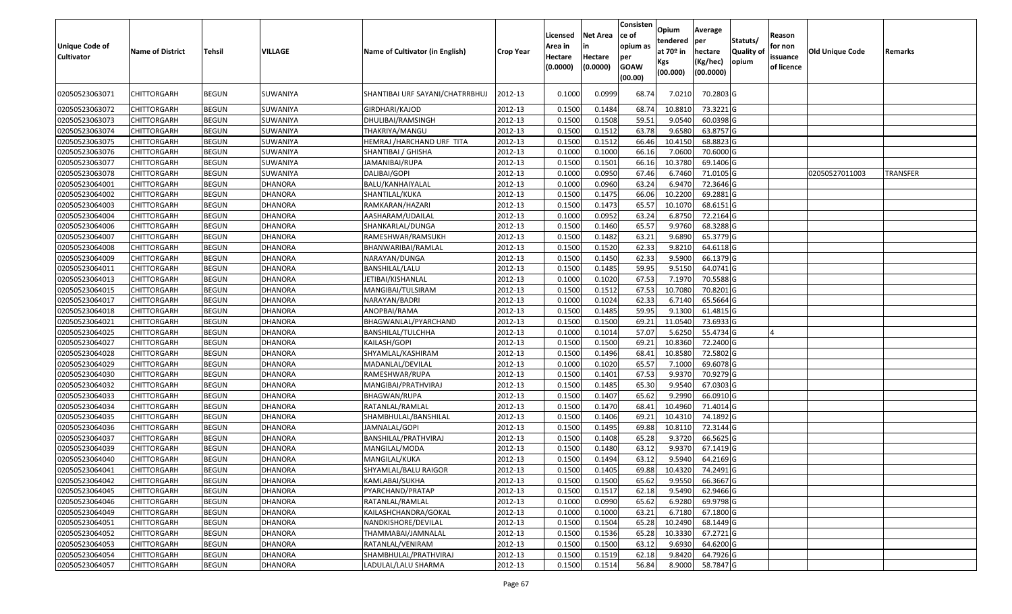| <b>Unique Code of</b><br><b>Cultivator</b> | <b>Name of District</b> | <b>Tehsil</b> | VILLAGE        | Name of Cultivator (in English) | <b>Crop Year</b> | Licensed<br>Area in<br>Hectare<br>(0.0000) | <b>Net Area</b><br>in<br>Hectare<br>(0.0000) | Consisten<br>ce of<br>opium as<br>per<br><b>GOAW</b><br>(00.00) | Opium<br>tendered<br>at $70°$ in<br>Kgs<br>(00.000) | Average<br>per<br>hectare<br>(Kg/hec)<br>(00.0000) | Statuts/<br>Quality of<br>opium | Reason<br>for non<br>issuance<br>of licence | <b>Old Unique Code</b> | Remarks         |
|--------------------------------------------|-------------------------|---------------|----------------|---------------------------------|------------------|--------------------------------------------|----------------------------------------------|-----------------------------------------------------------------|-----------------------------------------------------|----------------------------------------------------|---------------------------------|---------------------------------------------|------------------------|-----------------|
| 02050523063071                             | CHITTORGARH             | <b>BEGUN</b>  | SUWANIYA       | SHANTIBAI URF SAYANI/CHATRRBHUJ | 2012-13          | 0.1000                                     | 0.0999                                       | 68.74                                                           | 7.0210                                              | 70.2803 G                                          |                                 |                                             |                        |                 |
| 02050523063072                             | <b>CHITTORGARH</b>      | <b>BEGUN</b>  | SUWANIYA       | GIRDHARI/KAJOD                  | 2012-13          | 0.1500                                     | 0.1484                                       | 68.74                                                           | 10.881                                              | 73.3221 G                                          |                                 |                                             |                        |                 |
| 02050523063073                             | <b>CHITTORGARH</b>      | <b>BEGUN</b>  | SUWANIYA       | DHULIBAI/RAMSINGH               | 2012-13          | 0.1500                                     | 0.1508                                       | 59.51                                                           | 9.0540                                              | 60.0398 G                                          |                                 |                                             |                        |                 |
| 02050523063074                             | <b>CHITTORGARH</b>      | <b>BEGUN</b>  | SUWANIYA       | THAKRIYA/MANGU                  | 2012-13          | 0.1500                                     | 0.1512                                       | 63.78                                                           | 9.6580                                              | 63.8757 G                                          |                                 |                                             |                        |                 |
| 02050523063075                             | CHITTORGARH             | <b>BEGUN</b>  | SUWANIYA       | HEMRAJ /HARCHAND URF TITA       | 2012-13          | 0.1500                                     | 0.1512                                       | 66.46                                                           | 10.4150                                             | 68.8823 G                                          |                                 |                                             |                        |                 |
| 02050523063076                             | <b>CHITTORGARH</b>      | <b>BEGUN</b>  | SUWANIYA       | SHANTIBAI / GHISHA              | 2012-13          | 0.1000                                     | 0.1000                                       | 66.16                                                           | 7.0600                                              | 70.6000 G                                          |                                 |                                             |                        |                 |
| 02050523063077                             | CHITTORGARH             | <b>BEGUN</b>  | SUWANIYA       | JAMANIBAI/RUPA                  | 2012-13          | 0.1500                                     | 0.1501                                       | 66.16                                                           | 10.3780                                             | 69.1406 G                                          |                                 |                                             |                        |                 |
| 02050523063078                             | CHITTORGARH             | <b>BEGUN</b>  | SUWANIYA       | DALIBAI/GOPI                    | 2012-13          | 0.1000                                     | 0.0950                                       | 67.46                                                           | 6.7460                                              | 71.0105 G                                          |                                 |                                             | 02050527011003         | <b>TRANSFER</b> |
| 02050523064001                             | CHITTORGARH             | <b>BEGUN</b>  | <b>DHANORA</b> | BALU/KANHAIYALAL                | 2012-13          | 0.1000                                     | 0.0960                                       | 63.24                                                           | 6.9470                                              | 72.3646 G                                          |                                 |                                             |                        |                 |
| 02050523064002                             | CHITTORGARH             | <b>BEGUN</b>  | <b>DHANORA</b> | SHANTILAL/KUKA                  | 2012-13          | 0.1500                                     | 0.1475                                       | 66.06                                                           | 10.2200                                             | 69.2881 G                                          |                                 |                                             |                        |                 |
| 02050523064003                             | CHITTORGARH             | <b>BEGUN</b>  | <b>DHANORA</b> | RAMKARAN/HAZARI                 | 2012-13          | 0.1500                                     | 0.1473                                       | 65.57                                                           | 10.1070                                             | 68.6151G                                           |                                 |                                             |                        |                 |
| 02050523064004                             | CHITTORGARH             | <b>BEGUN</b>  | <b>DHANORA</b> | AASHARAM/UDAILAL                | 2012-13          | 0.1000                                     | 0.0952                                       | 63.24                                                           | 6.875                                               | 72.2164 G                                          |                                 |                                             |                        |                 |
| 02050523064006                             | CHITTORGARH             | <b>BEGUN</b>  | <b>DHANORA</b> | SHANKARLAL/DUNGA                | 2012-13          | 0.150                                      | 0.1460                                       | 65.57                                                           | 9.9760                                              | 68.3288 G                                          |                                 |                                             |                        |                 |
| 02050523064007                             | CHITTORGARH             | <b>BEGUN</b>  | <b>DHANORA</b> | RAMESHWAR/RAMSUKH               | 2012-13          | 0.1500                                     | 0.1482                                       | 63.21                                                           | 9.6890                                              | 65.3779 G                                          |                                 |                                             |                        |                 |
| 02050523064008                             | CHITTORGARH             | <b>BEGUN</b>  | <b>DHANORA</b> | BHANWARIBAI/RAMLAL              | 2012-13          | 0.1500                                     | 0.1520                                       | 62.33                                                           | 9.8210                                              | 64.6118 G                                          |                                 |                                             |                        |                 |
| 02050523064009                             | CHITTORGARH             | <b>BEGUN</b>  | <b>DHANORA</b> | NARAYAN/DUNGA                   | 2012-13          | 0.1500                                     | 0.1450                                       | 62.33                                                           | 9.5900                                              | 66.1379 G                                          |                                 |                                             |                        |                 |
| 02050523064011                             | CHITTORGARH             | <b>BEGUN</b>  | <b>DHANORA</b> | BANSHILAL/LALU                  | 2012-13          | 0.1500                                     | 0.1485                                       | 59.95                                                           | 9.5150                                              | 64.0741 G                                          |                                 |                                             |                        |                 |
| 02050523064013                             | CHITTORGARH             | <b>BEGUN</b>  | <b>DHANORA</b> | JETIBAI/KISHANLAL               | 2012-13          | 0.1000                                     | 0.1020                                       | 67.53                                                           | 7.1970                                              | 70.5588 G                                          |                                 |                                             |                        |                 |
| 02050523064015                             | CHITTORGARH             | <b>BEGUN</b>  | <b>DHANORA</b> | MANGIBAI/TULSIRAM               | 2012-13          | 0.1500                                     | 0.1512                                       | 67.53                                                           | 10.7080                                             | 70.8201G                                           |                                 |                                             |                        |                 |
| 02050523064017                             | <b>CHITTORGARH</b>      | <b>BEGUN</b>  | <b>DHANORA</b> | NARAYAN/BADRI                   | 2012-13          | 0.1000                                     | 0.1024                                       | 62.33                                                           | 6.7140                                              | 65.5664 G                                          |                                 |                                             |                        |                 |
| 02050523064018                             | CHITTORGARH             | <b>BEGUN</b>  | <b>DHANORA</b> | ANOPBAI/RAMA                    | 2012-13          | 0.1500                                     | 0.1485                                       | 59.95                                                           | 9.1300                                              | 61.4815 G                                          |                                 |                                             |                        |                 |
| 02050523064021                             | CHITTORGARH             | <b>BEGUN</b>  | <b>DHANORA</b> | BHAGWANLAL/PYARCHAND            | 2012-13          | 0.1500                                     | 0.1500                                       | 69.21                                                           | 11.0540                                             | 73.6933 G                                          |                                 |                                             |                        |                 |
| 02050523064025                             | CHITTORGARH             | <b>BEGUN</b>  | <b>DHANORA</b> | BANSHILAL/TULCHHA               | 2012-13          | 0.1000                                     | 0.1014                                       | 57.07                                                           | 5.6250                                              | 55.4734 G                                          |                                 |                                             |                        |                 |
| 02050523064027                             | CHITTORGARH             | <b>BEGUN</b>  | <b>DHANORA</b> | KAILASH/GOPI                    | 2012-13          | 0.1500                                     | 0.1500                                       | 69.21                                                           | 10.8360                                             | 72.2400 G                                          |                                 |                                             |                        |                 |
| 02050523064028                             | CHITTORGARH             | <b>BEGUN</b>  | <b>DHANORA</b> | SHYAMLAL/KASHIRAM               | 2012-13          | 0.1500                                     | 0.1496                                       | 68.41                                                           | 10.8580                                             | 72.5802 G                                          |                                 |                                             |                        |                 |
| 02050523064029                             | <b>CHITTORGARH</b>      | <b>BEGUN</b>  | DHANORA        | MADANLAL/DEVILAL                | 2012-13          | 0.1000                                     | 0.1020                                       | 65.57                                                           | 7.1000                                              | 69.6078 G                                          |                                 |                                             |                        |                 |
| 02050523064030                             | <b>CHITTORGARH</b>      | <b>BEGUN</b>  | DHANORA        | RAMESHWAR/RUPA                  | 2012-13          | 0.1500                                     | 0.1401                                       | 67.53                                                           | 9.9370                                              | 70.9279 G                                          |                                 |                                             |                        |                 |
| 02050523064032                             | CHITTORGARH             | <b>BEGUN</b>  | <b>DHANORA</b> | MANGIBAI/PRATHVIRAJ             | 2012-13          | 0.1500                                     | 0.1485                                       | 65.30                                                           | 9.9540                                              | 67.0303 G                                          |                                 |                                             |                        |                 |
| 02050523064033                             | CHITTORGARH             | <b>BEGUN</b>  | <b>DHANORA</b> | BHAGWAN/RUPA                    | 2012-13          | 0.1500                                     | 0.1407                                       | 65.62                                                           | 9.2990                                              | 66.0910 G                                          |                                 |                                             |                        |                 |
| 02050523064034                             | CHITTORGARH             | <b>BEGUN</b>  | DHANORA        | RATANLAL/RAMLAL                 | 2012-13          | 0.1500                                     | 0.1470                                       | 68.41                                                           | 10.4960                                             | 71.4014 G                                          |                                 |                                             |                        |                 |
| 02050523064035                             | <b>CHITTORGARH</b>      | <b>BEGUN</b>  | <b>DHANORA</b> | SHAMBHULAL/BANSHILAL            | 2012-13          | 0.1500                                     | 0.1406                                       | 69.21                                                           | 10.4310                                             | 74.1892 G                                          |                                 |                                             |                        |                 |
| 02050523064036                             | CHITTORGARH             | <b>BEGUN</b>  | <b>DHANORA</b> | JAMNALAL/GOPI                   | 2012-13          | 0.1500                                     | 0.1495                                       | 69.88                                                           | 10.8110                                             | 72.3144 G                                          |                                 |                                             |                        |                 |
| 02050523064037                             | CHITTORGARH             | <b>BEGUN</b>  | <b>DHANORA</b> | BANSHILAL/PRATHVIRAJ            | 2012-13          | 0.1500                                     | 0.1408                                       | 65.28                                                           | 9.3720                                              | 66.5625 G                                          |                                 |                                             |                        |                 |
| 02050523064039                             | CHITTORGARH             | <b>BEGUN</b>  | <b>DHANORA</b> | MANGILAL/MODA                   | 2012-13          | 0.150                                      | 0.1480                                       | 63.12                                                           | 9.937                                               | 67.1419 G                                          |                                 |                                             |                        |                 |
| 02050523064040                             | CHITTORGARH             | <b>BEGUN</b>  | <b>DHANORA</b> | MANGILAL/KUKA                   | 2012-13          | 0.1500                                     | 0.1494                                       | 63.12                                                           | 9.5940                                              | 64.2169 G                                          |                                 |                                             |                        |                 |
| 02050523064041                             | <b>CHITTORGARH</b>      | <b>BEGUN</b>  | <b>DHANORA</b> | SHYAMLAL/BALU RAIGOR            | 2012-13          | 0.1500                                     | 0.1405                                       | 69.88                                                           | 10.4320                                             | 74.2491 G                                          |                                 |                                             |                        |                 |
| 02050523064042                             | <b>CHITTORGARH</b>      | <b>BEGUN</b>  | <b>DHANORA</b> | KAMLABAI/SUKHA                  | 2012-13          | 0.1500                                     | 0.1500                                       | 65.62                                                           | 9.9550                                              | 66.3667 G                                          |                                 |                                             |                        |                 |
| 02050523064045                             | <b>CHITTORGARH</b>      | <b>BEGUN</b>  | <b>DHANORA</b> | PYARCHAND/PRATAP                | 2012-13          | 0.1500                                     | 0.1517                                       | 62.18                                                           | 9.5490                                              | 62.9466 G                                          |                                 |                                             |                        |                 |
| 02050523064046                             | <b>CHITTORGARH</b>      | <b>BEGUN</b>  | <b>DHANORA</b> | RATANLAL/RAMLAL                 | 2012-13          | 0.1000                                     | 0.0990                                       | 65.62                                                           | 6.9280                                              | 69.9798 G                                          |                                 |                                             |                        |                 |
| 02050523064049                             | <b>CHITTORGARH</b>      | <b>BEGUN</b>  | <b>DHANORA</b> | KAILASHCHANDRA/GOKAL            | 2012-13          | 0.1000                                     | 0.1000                                       | 63.21                                                           | 6.7180                                              | 67.1800 G                                          |                                 |                                             |                        |                 |
| 02050523064051                             | <b>CHITTORGARH</b>      | <b>BEGUN</b>  | <b>DHANORA</b> | NANDKISHORE/DEVILAL             | 2012-13          | 0.1500                                     | 0.1504                                       | 65.28                                                           | 10.2490                                             | 68.1449 G                                          |                                 |                                             |                        |                 |
| 02050523064052                             | <b>CHITTORGARH</b>      | <b>BEGUN</b>  | <b>DHANORA</b> | THAMMABAI/JAMNALAL              | 2012-13          | 0.1500                                     | 0.1536                                       | 65.28                                                           | 10.3330                                             | 67.2721 G                                          |                                 |                                             |                        |                 |
| 02050523064053                             | CHITTORGARH             | <b>BEGUN</b>  | <b>DHANORA</b> | RATANLAL/VENIRAM                | 2012-13          | 0.1500                                     | 0.1500                                       | 63.12                                                           | 9.6930                                              | 64.6200 G                                          |                                 |                                             |                        |                 |
| 02050523064054                             | CHITTORGARH             | <b>BEGUN</b>  | <b>DHANORA</b> | SHAMBHULAL/PRATHVIRAJ           | 2012-13          | 0.1500                                     | 0.1519                                       | 62.18                                                           | 9.8420                                              | 64.7926 G                                          |                                 |                                             |                        |                 |
| 02050523064057                             | <b>CHITTORGARH</b>      | <b>BEGUN</b>  | DHANORA        | LADULAL/LALU SHARMA             | 2012-13          | 0.1500                                     | 0.1514                                       | 56.84                                                           | 8.9000                                              | 58.7847 G                                          |                                 |                                             |                        |                 |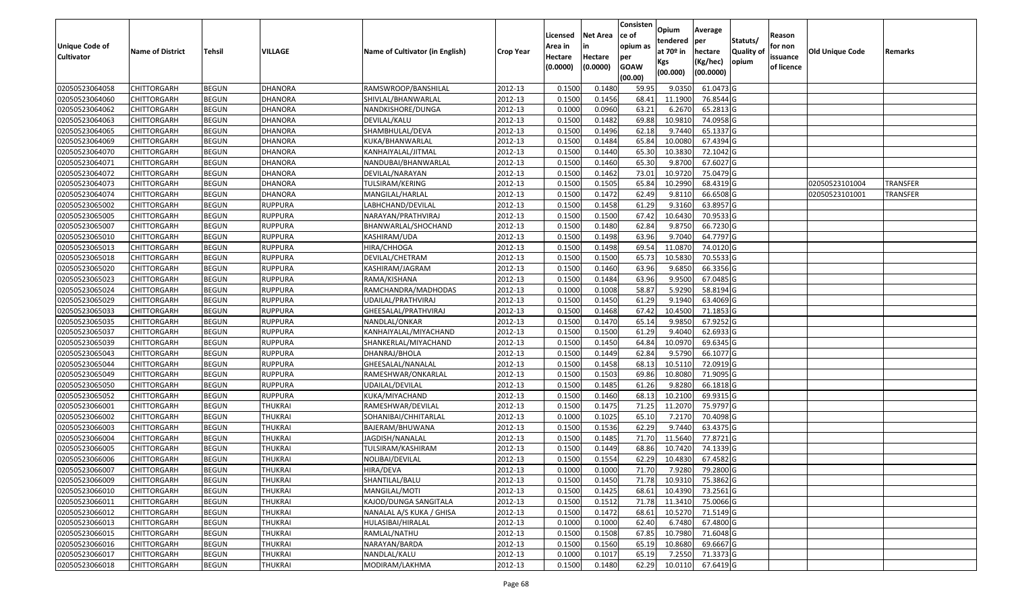|                   |                         |               |                |                                 |                  |          |                 | Consisten              | Opium       | Average   |                  |            |                 |                 |
|-------------------|-------------------------|---------------|----------------|---------------------------------|------------------|----------|-----------------|------------------------|-------------|-----------|------------------|------------|-----------------|-----------------|
|                   |                         |               |                |                                 |                  | Licensed | <b>Net Area</b> | ce of                  | tendered    | per       | Statuts/         | Reason     |                 |                 |
| Unique Code of    | <b>Name of District</b> | <b>Tehsil</b> | VILLAGE        | Name of Cultivator (in English) | <b>Crop Year</b> | Area in  |                 | opium as               | at $70°$ in | hectare   | <b>Quality o</b> | for non    | Old Unique Code | Remarks         |
| <b>Cultivator</b> |                         |               |                |                                 |                  | Hectare  | Hectare         | per                    | Kgs         | (Kg/hec)  | opium            | issuance   |                 |                 |
|                   |                         |               |                |                                 |                  | (0.0000) | (0.0000)        | <b>GOAW</b><br>(00.00) | (00.000)    | (00.0000) |                  | of licence |                 |                 |
| 02050523064058    | CHITTORGARH             | <b>BEGUN</b>  | <b>DHANORA</b> | RAMSWROOP/BANSHILAL             | 2012-13          | 0.1500   | 0.1480          | 59.95                  | 9.035       | 61.0473 G |                  |            |                 |                 |
| 02050523064060    | CHITTORGARH             | <b>BEGUN</b>  | <b>DHANORA</b> | SHIVLAL/BHANWARLAL              | 2012-13          | 0.1500   | 0.1456          | 68.41                  | 11.1900     | 76.8544 G |                  |            |                 |                 |
| 02050523064062    | CHITTORGARH             | <b>BEGUN</b>  | <b>DHANORA</b> | NANDKISHORE/DUNGA               | 2012-13          | 0.1000   | 0.0960          | 63.21                  | 6.2670      | 65.2813 G |                  |            |                 |                 |
| 02050523064063    | <b>CHITTORGARH</b>      | <b>BEGUN</b>  | <b>DHANORA</b> | DEVILAL/KALU                    | 2012-13          | 0.1500   | 0.1482          | 69.88                  | 10.9810     | 74.0958 G |                  |            |                 |                 |
| 02050523064065    | CHITTORGARH             | <b>BEGUN</b>  | <b>DHANORA</b> | SHAMBHULAL/DEVA                 | 2012-13          | 0.1500   | 0.1496          | 62.18                  | 9.7440      | 65.1337 G |                  |            |                 |                 |
| 02050523064069    | CHITTORGARH             | <b>BEGUN</b>  | <b>DHANORA</b> | KUKA/BHANWARLAL                 | 2012-13          | 0.1500   | 0.1484          | 65.84                  | 10.0080     | 67.4394 G |                  |            |                 |                 |
| 02050523064070    | CHITTORGARH             | <b>BEGUN</b>  | <b>DHANORA</b> | KANHAIYALAL/JITMAL              | 2012-13          | 0.1500   | 0.1440          | 65.30                  | 10.3830     | 72.1042 G |                  |            |                 |                 |
| 02050523064071    | CHITTORGARH             | <b>BEGUN</b>  | <b>DHANORA</b> | NANDUBAI/BHANWARLAL             | 2012-13          | 0.1500   | 0.1460          | 65.30                  | 9.8700      | 67.6027 G |                  |            |                 |                 |
| 02050523064072    | CHITTORGARH             | <b>BEGUN</b>  | DHANORA        | DEVILAL/NARAYAN                 | 2012-13          | 0.1500   | 0.1462          | 73.01                  | 10.9720     | 75.0479 G |                  |            |                 |                 |
| 02050523064073    | CHITTORGARH             | <b>BEGUN</b>  | DHANORA        | TULSIRAM/KERING                 | 2012-13          | 0.1500   | 0.1505          | 65.84                  | 10.2990     | 68.4319 G |                  |            | 02050523101004  | TRANSFER        |
| 02050523064074    | CHITTORGARH             | <b>BEGUN</b>  | <b>DHANORA</b> | MANGILAL/HARLAL                 | 2012-13          | 0.1500   | 0.1472          | 62.49                  | 9.8110      | 66.6508 G |                  |            | 02050523101001  | <b>TRANSFER</b> |
| 02050523065002    | CHITTORGARH             | <b>BEGUN</b>  | <b>RUPPURA</b> | LABHCHAND/DEVILAL               | 2012-13          | 0.1500   | 0.1458          | 61.29                  | 9.3160      | 63.8957 G |                  |            |                 |                 |
| 02050523065005    | <b>CHITTORGARH</b>      | <b>BEGUN</b>  | <b>RUPPURA</b> | NARAYAN/PRATHVIRAJ              | 2012-13          | 0.1500   | 0.1500          | 67.42                  | 10.6430     | 70.9533 G |                  |            |                 |                 |
| 02050523065007    | CHITTORGARH             | <b>BEGUN</b>  | <b>RUPPURA</b> | BHANWARLAL/SHOCHAND             | 2012-13          | 0.1500   | 0.1480          | 62.84                  | 9.8750      | 66.7230 G |                  |            |                 |                 |
| 02050523065010    | CHITTORGARH             | <b>BEGUN</b>  | <b>RUPPURA</b> | KASHIRAM/UDA                    | 2012-13          | 0.1500   | 0.1498          | 63.96                  | 9.7040      | 64.7797 G |                  |            |                 |                 |
| 02050523065013    | CHITTORGARH             | <b>BEGUN</b>  | <b>RUPPURA</b> | HIRA/CHHOGA                     | 2012-13          | 0.1500   | 0.1498          | 69.54                  | 11.0870     | 74.0120 G |                  |            |                 |                 |
| 02050523065018    | CHITTORGARH             | <b>BEGUN</b>  | <b>RUPPURA</b> | DEVILAL/CHETRAM                 | 2012-13          | 0.1500   | 0.1500          | 65.73                  | 10.5830     | 70.5533 G |                  |            |                 |                 |
| 02050523065020    | CHITTORGARH             | <b>BEGUN</b>  | <b>RUPPURA</b> | KASHIRAM/JAGRAM                 | 2012-13          | 0.1500   | 0.1460          | 63.96                  | 9.6850      | 66.3356 G |                  |            |                 |                 |
| 02050523065023    | CHITTORGARH             | <b>BEGUN</b>  | <b>RUPPURA</b> | RAMA/KISHANA                    | 2012-13          | 0.1500   | 0.1484          | 63.96                  | 9.9500      | 67.0485 G |                  |            |                 |                 |
| 02050523065024    | CHITTORGARH             | <b>BEGUN</b>  | <b>RUPPURA</b> | RAMCHANDRA/MADHODAS             | 2012-13          | 0.1000   | 0.1008          | 58.87                  | 5.9290      | 58.8194 G |                  |            |                 |                 |
| 02050523065029    | CHITTORGARH             | <b>BEGUN</b>  | <b>RUPPURA</b> | UDAILAL/PRATHVIRAJ              | 2012-13          | 0.1500   | 0.1450          | 61.29                  | 9.1940      | 63.4069 G |                  |            |                 |                 |
| 02050523065033    | CHITTORGARH             | <b>BEGUN</b>  | <b>RUPPURA</b> | GHEESALAL/PRATHVIRAJ            | 2012-13          | 0.150    | 0.1468          | 67.42                  | 10.4500     | 71.1853 G |                  |            |                 |                 |
| 02050523065035    | CHITTORGARH             | <b>BEGUN</b>  | <b>RUPPURA</b> | NANDLAL/ONKAR                   | 2012-13          | 0.1500   | 0.1470          | 65.14                  | 9.9850      | 67.9252 G |                  |            |                 |                 |
| 02050523065037    | CHITTORGARH             | <b>BEGUN</b>  | <b>RUPPURA</b> | KANHAIYALAL/MIYACHAND           | 2012-13          | 0.1500   | 0.1500          | 61.29                  | 9.4040      | 62.6933 G |                  |            |                 |                 |
| 02050523065039    | CHITTORGARH             | <b>BEGUN</b>  | <b>RUPPURA</b> | SHANKERLAL/MIYACHAND            | 2012-13          | 0.1500   | 0.1450          | 64.84                  | 10.0970     | 69.6345 G |                  |            |                 |                 |
| 02050523065043    | CHITTORGARH             | <b>BEGUN</b>  | <b>RUPPURA</b> | DHANRAJ/BHOLA                   | 2012-13          | 0.1500   | 0.1449          | 62.84                  | 9.5790      | 66.1077 G |                  |            |                 |                 |
| 02050523065044    | CHITTORGARH             | <b>BEGUN</b>  | <b>RUPPURA</b> | GHEESALAL/NANALAL               | 2012-13          | 0.1500   | 0.1458          | 68.13                  | 10.5110     | 72.0919 G |                  |            |                 |                 |
| 02050523065049    | CHITTORGARH             | <b>BEGUN</b>  | <b>RUPPURA</b> | RAMESHWAR/ONKARLAL              | 2012-13          | 0.1500   | 0.1503          | 69.86                  | 10.8080     | 71.9095 G |                  |            |                 |                 |
| 02050523065050    | CHITTORGARH             | <b>BEGUN</b>  | <b>RUPPURA</b> | UDAILAL/DEVILAL                 | 2012-13          | 0.1500   | 0.1485          | 61.26                  | 9.8280      | 66.1818 G |                  |            |                 |                 |
| 02050523065052    | CHITTORGARH             | <b>BEGUN</b>  | <b>RUPPURA</b> | KUKA/MIYACHAND                  | 2012-13          | 0.1500   | 0.1460          | 68.13                  | 10.2100     | 69.9315 G |                  |            |                 |                 |
| 02050523066001    | CHITTORGARH             | <b>BEGUN</b>  | <b>THUKRAI</b> | RAMESHWAR/DEVILAL               | 2012-13          | 0.1500   | 0.1475          | 71.25                  | 11.2070     | 75.9797 G |                  |            |                 |                 |
| 02050523066002    | CHITTORGARH             | <b>BEGUN</b>  | <b>THUKRAI</b> | SOHANIBAI/CHHITARLAL            | 2012-13          | 0.1000   | 0.1025          | 65.10                  | 7.2170      | 70.4098 G |                  |            |                 |                 |
| 02050523066003    | CHITTORGARH             | <b>BEGUN</b>  | <b>THUKRAI</b> | BAJERAM/BHUWANA                 | 2012-13          | 0.1500   | 0.1536          | 62.29                  | 9.7440      | 63.4375 G |                  |            |                 |                 |
| 02050523066004    | CHITTORGARH             | <b>BEGUN</b>  | <b>THUKRAI</b> | JAGDISH/NANALAL                 | 2012-13          | 0.1500   | 0.1485          | 71.70                  | 11.5640     | 77.8721 G |                  |            |                 |                 |
| 02050523066005    | CHITTORGARH             | <b>BEGUN</b>  | <b>THUKRAI</b> | TULSIRAM/KASHIRAM               | 2012-13          | 0.150    | 0.1449          | 68.86                  | 10.7420     | 74.1339 G |                  |            |                 |                 |
| 02050523066006    | CHITTORGARH             | <b>BEGUN</b>  | <b>THUKRAI</b> | NOLIBAI/DEVILAL                 | 2012-13          | 0.1500   | 0.1554          | 62.29                  | 10.4830     | 67.4582 G |                  |            |                 |                 |
| 02050523066007    | <b>CHITTORGARH</b>      | <b>BEGUN</b>  | THUKRAI        | HIRA/DEVA                       | 2012-13          | 0.1000   | 0.1000          | 71.70                  | 7.9280      | 79.2800 G |                  |            |                 |                 |
| 02050523066009    | <b>CHITTORGARH</b>      | <b>BEGUN</b>  | <b>THUKRAI</b> | SHANTILAL/BALU                  | 2012-13          | 0.1500   | 0.1450          | 71.78                  | 10.9310     | 75.3862 G |                  |            |                 |                 |
| 02050523066010    | <b>CHITTORGARH</b>      | <b>BEGUN</b>  | <b>THUKRAI</b> | MANGILAL/MOTI                   | 2012-13          | 0.1500   | 0.1425          | 68.61                  | 10.4390     | 73.2561 G |                  |            |                 |                 |
| 02050523066011    | <b>CHITTORGARH</b>      | <b>BEGUN</b>  | <b>THUKRAI</b> | KAJOD/DUNGA SANGITALA           | 2012-13          | 0.1500   | 0.1512          | 71.78                  | 11.3410     | 75.0066 G |                  |            |                 |                 |
| 02050523066012    | <b>CHITTORGARH</b>      | <b>BEGUN</b>  | <b>THUKRAI</b> | NANALAL A/S KUKA / GHISA        | 2012-13          | 0.1500   | 0.1472          | 68.61                  | 10.5270     | 71.5149 G |                  |            |                 |                 |
| 02050523066013    | <b>CHITTORGARH</b>      | <b>BEGUN</b>  | <b>THUKRAI</b> | HULASIBAI/HIRALAL               | 2012-13          | 0.1000   | 0.1000          | 62.40                  | 6.7480      | 67.4800 G |                  |            |                 |                 |
| 02050523066015    | <b>CHITTORGARH</b>      | <b>BEGUN</b>  | <b>THUKRAI</b> | RAMLAL/NATHU                    | 2012-13          | 0.1500   | 0.1508          | 67.85                  | 10.7980     | 71.6048 G |                  |            |                 |                 |
| 02050523066016    | CHITTORGARH             | <b>BEGUN</b>  | <b>THUKRAI</b> | NARAYAN/BARDA                   | 2012-13          | 0.1500   | 0.1560          | 65.19                  | 10.8680     | 69.6667 G |                  |            |                 |                 |
| 02050523066017    | <b>CHITTORGARH</b>      | <b>BEGUN</b>  | <b>THUKRAI</b> | NANDLAL/KALU                    | 2012-13          | 0.1000   | 0.1017          | 65.19                  | 7.2550      | 71.3373 G |                  |            |                 |                 |
| 02050523066018    | <b>CHITTORGARH</b>      | <b>BEGUN</b>  | <b>THUKRAI</b> | MODIRAM/LAKHMA                  | 2012-13          | 0.1500   | 0.1480          | 62.29                  | 10.0110     | 67.6419 G |                  |            |                 |                 |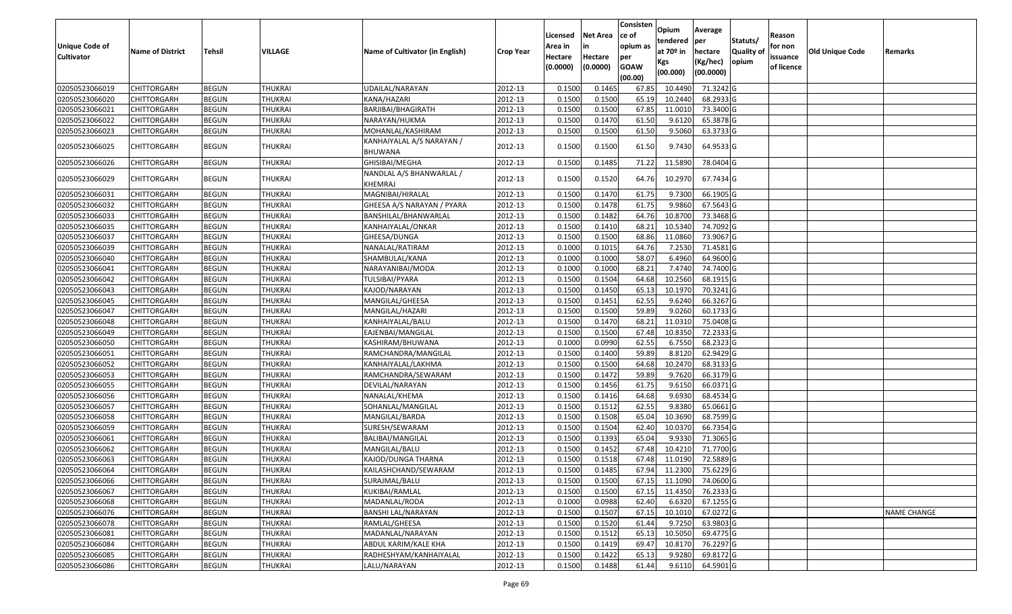| <b>Unique Code of</b><br><b>Cultivator</b> | <b>Name of District</b> | <b>Tehsil</b> | VILLAGE        | Name of Cultivator (in English)      | <b>Crop Year</b> | Licensed<br>Area in<br>Hectare<br>(0.0000) | <b>Net Area</b><br>in<br>Hectare<br>(0.0000) | Consisten<br>ce of<br>opium as<br>per<br><b>GOAW</b><br>(00.00) | Opium<br>tendered<br>at $70°$ in<br>Kgs<br>(00.000) | Average<br>per<br>hectare<br>(Kg/hec)<br>(00.0000) | Statuts/<br>Quality of<br>opium | Reason<br>for non<br>issuance<br>of licence | <b>Old Unique Code</b> | Remarks            |
|--------------------------------------------|-------------------------|---------------|----------------|--------------------------------------|------------------|--------------------------------------------|----------------------------------------------|-----------------------------------------------------------------|-----------------------------------------------------|----------------------------------------------------|---------------------------------|---------------------------------------------|------------------------|--------------------|
| 02050523066019                             | <b>CHITTORGARH</b>      | <b>BEGUN</b>  | <b>THUKRAI</b> | UDAILAL/NARAYAN                      | 2012-13          | 0.1500                                     | 0.1465                                       | 67.85                                                           | 10.449                                              | 71.3242 G                                          |                                 |                                             |                        |                    |
| 02050523066020                             | CHITTORGARH             | <b>BEGUN</b>  | <b>THUKRAI</b> | KANA/HAZARI                          | 2012-13          | 0.1500                                     | 0.1500                                       | 65.19                                                           | 10.2440                                             | 68.2933 G                                          |                                 |                                             |                        |                    |
| 02050523066021                             | CHITTORGARH             | <b>BEGUN</b>  | <b>THUKRAI</b> | BARJIBAI/BHAGIRATH                   | 2012-13          | 0.1500                                     | 0.1500                                       | 67.85                                                           | 11.0010                                             | 73.3400 G                                          |                                 |                                             |                        |                    |
| 02050523066022                             | CHITTORGARH             | <b>BEGUN</b>  | <b>THUKRAI</b> | NARAYAN/HUKMA                        | 2012-13          | 0.1500                                     | 0.1470                                       | 61.50                                                           | 9.6120                                              | 65.3878 G                                          |                                 |                                             |                        |                    |
| 02050523066023                             | CHITTORGARH             | <b>BEGUN</b>  | <b>THUKRAI</b> | MOHANLAL/KASHIRAM                    | 2012-13          | 0.1500                                     | 0.1500                                       | 61.50                                                           | 9.5060                                              | 63.3733 G                                          |                                 |                                             |                        |                    |
| 02050523066025                             | CHITTORGARH             | <b>BEGUN</b>  | THUKRAI        | KANHAIYALAL A/S NARAYAN /<br>BHUWANA | 2012-13          | 0.1500                                     | 0.1500                                       | 61.50                                                           | 9.7430                                              | 64.9533 G                                          |                                 |                                             |                        |                    |
| 02050523066026                             | CHITTORGARH             | <b>BEGUN</b>  | <b>THUKRAI</b> | GHISIBAI/MEGHA                       | 2012-13          | 0.150                                      | 0.1485                                       | 71.22                                                           | 11.5890                                             | 78.0404 G                                          |                                 |                                             |                        |                    |
| 02050523066029                             | CHITTORGARH             | <b>BEGUN</b>  | <b>THUKRAI</b> | NANDLAL A/S BHANWARLAL /<br>KHEMRAJ  | 2012-13          | 0.1500                                     | 0.1520                                       | 64.76                                                           | 10.2970                                             | 67.7434 G                                          |                                 |                                             |                        |                    |
| 02050523066031                             | CHITTORGARH             | <b>BEGUN</b>  | <b>THUKRAI</b> | MAGNIBAI/HIRALAL                     | 2012-13          | 0.1500                                     | 0.1470                                       | 61.75                                                           | 9.7300                                              | 66.1905 G                                          |                                 |                                             |                        |                    |
| 02050523066032                             | CHITTORGARH             | <b>BEGUN</b>  | <b>THUKRAI</b> | GHEESA A/S NARAYAN / PYARA           | 2012-13          | 0.1500                                     | 0.1478                                       | 61.75                                                           | 9.9860                                              | 67.5643 G                                          |                                 |                                             |                        |                    |
| 02050523066033                             | CHITTORGARH             | <b>BEGUN</b>  | <b>THUKRAI</b> | BANSHILAL/BHANWARLAL                 | 2012-13          | 0.1500                                     | 0.1482                                       | 64.76                                                           | 10.8700                                             | 73.3468 G                                          |                                 |                                             |                        |                    |
| 02050523066035                             | CHITTORGARH             | <b>BEGUN</b>  | <b>THUKRAI</b> | KANHAIYALAL/ONKAR                    | 2012-13          | 0.1500                                     | 0.1410                                       | 68.2                                                            | 10.5340                                             | 74.7092 G                                          |                                 |                                             |                        |                    |
| 02050523066037                             | CHITTORGARH             | <b>BEGUN</b>  | <b>THUKRAI</b> | GHEESA/DUNGA                         | 2012-13          | 0.1500                                     | 0.1500                                       | 68.86                                                           | 11.0860                                             | 73.9067 G                                          |                                 |                                             |                        |                    |
| 02050523066039                             | CHITTORGARH             | <b>BEGUN</b>  | <b>THUKRAI</b> | NANALAL/RATIRAM                      | 2012-13          | 0.1000                                     | 0.1015                                       | 64.76                                                           | 7.2530                                              | 71.4581 G                                          |                                 |                                             |                        |                    |
| 02050523066040                             | CHITTORGARH             | <b>BEGUN</b>  | <b>THUKRAI</b> | SHAMBULAL/KANA                       | 2012-13          | 0.1000                                     | 0.1000                                       | 58.07                                                           | 6.4960                                              | 64.9600 G                                          |                                 |                                             |                        |                    |
| 02050523066041                             | CHITTORGARH             | <b>BEGUN</b>  | <b>THUKRAI</b> | NARAYANIBAI/MODA                     | 2012-13          | 0.1000                                     | 0.1000                                       | 68.21                                                           | 7.4740                                              | 74.7400 G                                          |                                 |                                             |                        |                    |
| 02050523066042                             | CHITTORGARH             | <b>BEGUN</b>  | <b>THUKRAI</b> | TULSIBAI/PYARA                       | 2012-13          | 0.1500                                     | 0.1504                                       | 64.68                                                           | 10.2560                                             | 68.1915 G                                          |                                 |                                             |                        |                    |
| 02050523066043                             | CHITTORGARH             | <b>BEGUN</b>  | <b>THUKRAI</b> | KAJOD/NARAYAN                        | 2012-13          | 0.1500                                     | 0.1450                                       | 65.13                                                           | 10.1970                                             | 70.3241 G                                          |                                 |                                             |                        |                    |
| 02050523066045                             | CHITTORGARH             | <b>BEGUN</b>  | <b>THUKRAI</b> | MANGILAL/GHEESA                      | 2012-13          | 0.1500                                     | 0.1451                                       | 62.55                                                           | 9.6240                                              | 66.3267 G                                          |                                 |                                             |                        |                    |
| 02050523066047                             | CHITTORGARH             | <b>BEGUN</b>  | <b>THUKRAI</b> | MANGILAL/HAZARI                      | 2012-13          | 0.1500                                     | 0.1500                                       | 59.89                                                           | 9.0260                                              | 60.1733 G                                          |                                 |                                             |                        |                    |
| 02050523066048                             | CHITTORGARH             | <b>BEGUN</b>  | <b>THUKRAI</b> | KANHAIYALAL/BALU                     | 2012-13          | 0.1500                                     | 0.1470                                       | 68.21                                                           | 11.0310                                             | 75.0408 G                                          |                                 |                                             |                        |                    |
| 02050523066049                             | CHITTORGARH             | <b>BEGUN</b>  | <b>THUKRAI</b> | EAJENBAI/MANGILAL                    | 2012-13          | 0.1500                                     | 0.1500                                       | 67.48                                                           | 10.8350                                             | 72.2333 G                                          |                                 |                                             |                        |                    |
| 02050523066050                             | <b>CHITTORGARH</b>      | <b>BEGUN</b>  | <b>THUKRAI</b> | KASHIRAM/BHUWANA                     | 2012-13          | 0.1000                                     | 0.0990                                       | 62.55                                                           | 6.7550                                              | 68.2323 G                                          |                                 |                                             |                        |                    |
| 02050523066051                             | <b>CHITTORGARH</b>      | <b>BEGUN</b>  | <b>THUKRAI</b> | RAMCHANDRA/MANGILAL                  | 2012-13          | 0.1500                                     | 0.1400                                       | 59.89                                                           | 8.8120                                              | 62.9429 G                                          |                                 |                                             |                        |                    |
| 02050523066052                             | <b>CHITTORGARH</b>      | <b>BEGUN</b>  | <b>THUKRAI</b> | KANHAIYALAL/LAKHMA                   | 2012-13          | 0.150                                      | 0.1500                                       | 64.68                                                           | 10.2470                                             | 68.3133 G                                          |                                 |                                             |                        |                    |
| 02050523066053                             | CHITTORGARH             | <b>BEGUN</b>  | <b>THUKRAI</b> | RAMCHANDRA/SEWARAM                   | 2012-13          | 0.1500                                     | 0.1472                                       | 59.89                                                           | 9.7620                                              | 66.3179 G                                          |                                 |                                             |                        |                    |
| 02050523066055                             | CHITTORGARH             | <b>BEGUN</b>  | <b>THUKRAI</b> | DEVILAL/NARAYAN                      | 2012-13          | 0.1500                                     | 0.1456                                       | 61.75                                                           | 9.6150                                              | 66.0371 G                                          |                                 |                                             |                        |                    |
| 02050523066056                             | CHITTORGARH             | <b>BEGUN</b>  | <b>THUKRAI</b> | NANALAL/KHEMA                        | 2012-13          | 0.1500                                     | 0.1416                                       | 64.68                                                           | 9.6930                                              | 68.4534 G                                          |                                 |                                             |                        |                    |
| 02050523066057                             | CHITTORGARH             | <b>BEGUN</b>  | <b>THUKRAI</b> | SOHANLAL/MANGILAL                    | 2012-13          | 0.1500                                     | 0.1512                                       | 62.55                                                           | 9.8380                                              | 65.0661G                                           |                                 |                                             |                        |                    |
| 02050523066058                             | <b>CHITTORGARH</b>      | <b>BEGUN</b>  | <b>THUKRAI</b> | MANGILAL/BARDA                       | 2012-13          | 0.1500                                     | 0.1508                                       | 65.04                                                           | 10.3690                                             | 68.7599 G                                          |                                 |                                             |                        |                    |
| 02050523066059                             | CHITTORGARH             | <b>BEGUN</b>  | <b>THUKRAI</b> | SURESH/SEWARAM                       | 2012-13          | 0.1500                                     | 0.1504                                       | 62.40                                                           | 10.037                                              | 66.7354 G                                          |                                 |                                             |                        |                    |
| 02050523066061                             | CHITTORGARH             | <b>BEGUN</b>  | <b>THUKRAI</b> | BALIBAI/MANGILAL                     | 2012-13          | 0.1500                                     | 0.1393                                       | 65.04                                                           | 9.9330                                              | 71.3065 G                                          |                                 |                                             |                        |                    |
| 02050523066062                             | CHITTORGARH             | <b>BEGUN</b>  | <b>THUKRAI</b> | MANGILAL/BALU                        | 2012-13          | 0.150                                      | 0.1452                                       | 67.48                                                           | 10.421                                              | 71.7700 G                                          |                                 |                                             |                        |                    |
| 02050523066063                             | CHITTORGARH             | <b>BEGUN</b>  | <b>THUKRAI</b> | KAJOD/DUNGA THARNA                   | 2012-13          | 0.1500                                     | 0.1518                                       | 67.48                                                           | 11.0190                                             | 72.5889 G                                          |                                 |                                             |                        |                    |
| 02050523066064                             | <b>CHITTORGARH</b>      | <b>BEGUN</b>  | <b>THUKRAI</b> | KAILASHCHAND/SEWARAM                 | 2012-13          | 0.1500                                     | 0.1485                                       | 67.94                                                           | 11.2300                                             | 75.6229G                                           |                                 |                                             |                        |                    |
| 02050523066066                             | <b>CHITTORGARH</b>      | <b>BEGUN</b>  | <b>THUKRAI</b> | SURAJMAL/BALU                        | 2012-13          | 0.1500                                     | 0.1500                                       | 67.15                                                           | 11.1090                                             | 74.0600 G                                          |                                 |                                             |                        |                    |
| 02050523066067                             | <b>CHITTORGARH</b>      | <b>BEGUN</b>  | <b>THUKRAI</b> | KUKIBAI/RAMLAL                       | 2012-13          | 0.1500                                     | 0.1500                                       | 67.15                                                           | 11.4350                                             | 76.2333 G                                          |                                 |                                             |                        |                    |
| 02050523066068                             | <b>CHITTORGARH</b>      | <b>BEGUN</b>  | <b>THUKRAI</b> | MADANLAL/RODA                        | 2012-13          | 0.1000                                     | 0.0988                                       | 62.40                                                           | 6.6320                                              | 67.1255 G                                          |                                 |                                             |                        |                    |
| 02050523066076                             | <b>CHITTORGARH</b>      | <b>BEGUN</b>  | <b>THUKRAI</b> | <b>BANSHI LAL/NARAYAN</b>            | 2012-13          | 0.1500                                     | 0.1507                                       | 67.15                                                           | 10.1010                                             | 67.0272 G                                          |                                 |                                             |                        | <b>NAME CHANGE</b> |
| 02050523066078                             | <b>CHITTORGARH</b>      | <b>BEGUN</b>  | <b>THUKRAI</b> | RAMLAL/GHEESA                        | 2012-13          | 0.1500                                     | 0.1520                                       | 61.44                                                           | 9.7250                                              | 63.9803 G                                          |                                 |                                             |                        |                    |
| 02050523066081                             | <b>CHITTORGARH</b>      | <b>BEGUN</b>  | <b>THUKRAI</b> | MADANLAL/NARAYAN                     | 2012-13          | 0.1500                                     | 0.1512                                       | 65.13                                                           | 10.5050                                             | 69.4775 G                                          |                                 |                                             |                        |                    |
| 02050523066084                             | <b>CHITTORGARH</b>      | <b>BEGUN</b>  | <b>THUKRAI</b> | ABDUL KARIM/KALE KHA                 | 2012-13          | 0.1500                                     | 0.1419                                       | 69.47                                                           | 10.8170                                             | 76.2297 G                                          |                                 |                                             |                        |                    |
| 02050523066085                             | CHITTORGARH             | <b>BEGUN</b>  | <b>THUKRAI</b> | RADHESHYAM/KANHAIYALAL               | 2012-13          | 0.1500                                     | 0.1422                                       | 65.13                                                           | 9.9280                                              | 69.8172 G                                          |                                 |                                             |                        |                    |
| 02050523066086                             | <b>CHITTORGARH</b>      | <b>BEGUN</b>  | <b>THUKRAI</b> | LALU/NARAYAN                         | 2012-13          | 0.1500                                     | 0.1488                                       | 61.44                                                           | 9.6110                                              | 64.5901 G                                          |                                 |                                             |                        |                    |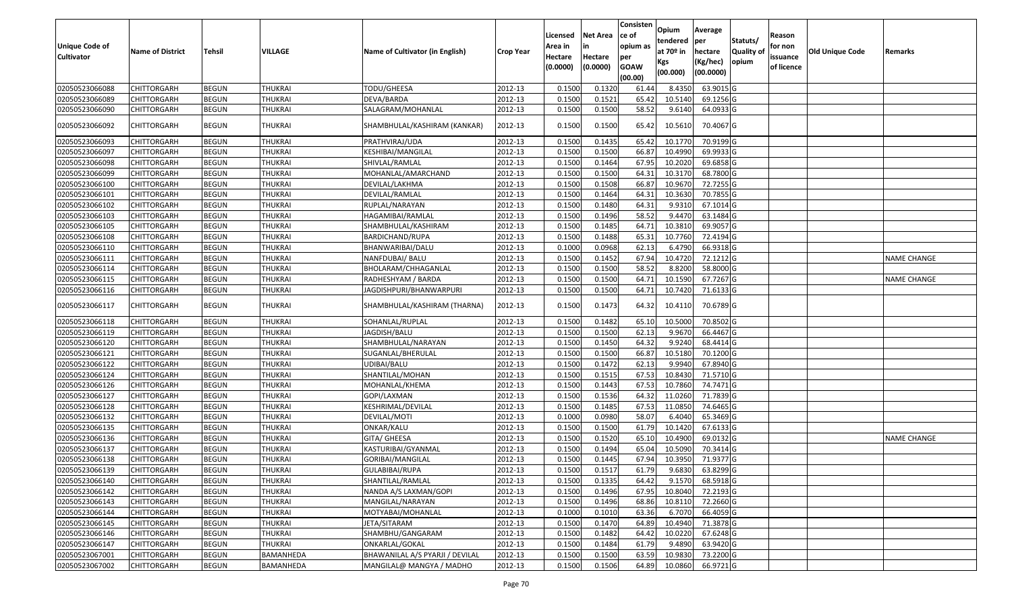| <b>Unique Code of</b><br><b>Cultivator</b> | <b>Name of District</b> | Tehsil       | VILLAGE        | Name of Cultivator (in English) | <b>Crop Year</b> | Licensed<br>Area in<br>Hectare<br>(0.0000) | Net Area<br>in<br>Hectare<br>(0.0000) | Consisten<br>ce of<br>opium as<br>per<br><b>GOAW</b><br>(00.00) | Opium<br>tendered<br>at 70º in<br>Kgs<br>(00.000) | Average<br>per<br>hectare<br>(Kg/hec)<br>(00.0000) | Statuts/<br><b>Quality of</b><br>opium | Reason<br>for non<br>issuance<br>of licence | <b>Old Unique Code</b> | Remarks            |
|--------------------------------------------|-------------------------|--------------|----------------|---------------------------------|------------------|--------------------------------------------|---------------------------------------|-----------------------------------------------------------------|---------------------------------------------------|----------------------------------------------------|----------------------------------------|---------------------------------------------|------------------------|--------------------|
| 02050523066088                             | <b>CHITTORGARH</b>      | <b>BEGUN</b> | <b>THUKRAI</b> | TODU/GHEESA                     | 2012-13          | 0.1500                                     | 0.1320                                | 61.44                                                           | 8.4350                                            | 63.9015 G                                          |                                        |                                             |                        |                    |
| 02050523066089                             | CHITTORGARH             | <b>BEGUN</b> | <b>THUKRAI</b> | DEVA/BARDA                      | 2012-13          | 0.1500                                     | 0.1521                                | 65.42                                                           | 10.5140                                           | 69.1256 G                                          |                                        |                                             |                        |                    |
| 02050523066090                             | CHITTORGARH             | <b>BEGUN</b> | THUKRAI        | SALAGRAM/MOHANLAL               | 2012-13          | 0.1500                                     | 0.1500                                | 58.52                                                           | 9.6140                                            | 64.0933 G                                          |                                        |                                             |                        |                    |
| 02050523066092                             | CHITTORGARH             | <b>BEGUN</b> | THUKRAI        | SHAMBHULAL/KASHIRAM (KANKAR)    | 2012-13          | 0.1500                                     | 0.1500                                | 65.42                                                           | 10.5610                                           | 70.4067 G                                          |                                        |                                             |                        |                    |
| 02050523066093                             | CHITTORGARH             | <b>BEGUN</b> | THUKRAI        | PRATHVIRAJ/UDA                  | 2012-13          | 0.1500                                     | 0.1435                                | 65.42                                                           | 10.1770                                           | 70.9199 G                                          |                                        |                                             |                        |                    |
| 02050523066097                             | CHITTORGARH             | <b>BEGUN</b> | THUKRAI        | KESHIBAI/MANGILAL               | 2012-13          | 0.1500                                     | 0.1500                                | 66.87                                                           | 10.4990                                           | 69.9933 G                                          |                                        |                                             |                        |                    |
| 02050523066098                             | <b>CHITTORGARH</b>      | <b>BEGUN</b> | <b>THUKRAI</b> | SHIVLAL/RAMLAL                  | 2012-13          | 0.1500                                     | 0.1464                                | 67.95                                                           | 10.2020                                           | 69.6858 G                                          |                                        |                                             |                        |                    |
| 02050523066099                             | CHITTORGARH             | <b>BEGUN</b> | <b>THUKRAI</b> | MOHANLAL/AMARCHAND              | 2012-13          | 0.1500                                     | 0.1500                                | 64.31                                                           | 10.3170                                           | 68.7800 G                                          |                                        |                                             |                        |                    |
| 02050523066100                             | CHITTORGARH             | <b>BEGUN</b> | <b>THUKRAI</b> | DEVILAL/LAKHMA                  | 2012-13          | 0.1500                                     | 0.1508                                | 66.87                                                           | 10.9670                                           | 72.7255 G                                          |                                        |                                             |                        |                    |
| 02050523066101                             | CHITTORGARH             | <b>BEGUN</b> | <b>THUKRAI</b> | DEVILAL/RAMLAL                  | 2012-13          | 0.1500                                     | 0.1464                                | 64.31                                                           | 10.3630                                           | 70.7855 G                                          |                                        |                                             |                        |                    |
| 02050523066102                             | <b>CHITTORGARH</b>      | <b>BEGUN</b> | <b>THUKRAI</b> | RUPLAL/NARAYAN                  | 2012-13          | 0.1500                                     | 0.1480                                | 64.31                                                           | 9.9310                                            | 67.1014 G                                          |                                        |                                             |                        |                    |
| 02050523066103                             | <b>CHITTORGARH</b>      | <b>BEGUN</b> | <b>THUKRAI</b> | HAGAMIBAI/RAMLAL                | 2012-13          | 0.1500                                     | 0.1496                                | 58.52                                                           | 9.4470                                            | 63.1484 G                                          |                                        |                                             |                        |                    |
| 02050523066105                             | <b>CHITTORGARH</b>      | <b>BEGUN</b> | <b>THUKRAI</b> | SHAMBHULAL/KASHIRAM             | 2012-13          | 0.1500                                     | 0.1485                                | 64.71                                                           | 10.3810                                           | 69.9057 G                                          |                                        |                                             |                        |                    |
| 02050523066108                             | CHITTORGARH             | <b>BEGUN</b> | THUKRAI        | BARDICHAND/RUPA                 | 2012-13          | 0.1500                                     | 0.1488                                | 65.31                                                           | 10.7760                                           | 72.4194 G                                          |                                        |                                             |                        |                    |
| 02050523066110                             | CHITTORGARH             | <b>BEGUN</b> | <b>THUKRAI</b> | BHANWARIBAI/DALU                | 2012-13          | 0.1000                                     | 0.0968                                | 62.13                                                           | 6.4790                                            | 66.9318 G                                          |                                        |                                             |                        |                    |
| 02050523066111                             | CHITTORGARH             | <b>BEGUN</b> | <b>THUKRAI</b> | NANFDUBAI/ BALU                 | 2012-13          | 0.1500                                     | 0.1452                                | 67.94                                                           | 10.4720                                           | 72.1212 G                                          |                                        |                                             |                        | <b>NAME CHANGE</b> |
| 02050523066114                             | CHITTORGARH             | <b>BEGUN</b> | <b>THUKRAI</b> | BHOLARAM/CHHAGANLAL             | 2012-13          | 0.1500                                     | 0.1500                                | 58.52                                                           | 8.8200                                            | 58.8000 G                                          |                                        |                                             |                        |                    |
| 02050523066115                             | CHITTORGARH             | <b>BEGUN</b> | <b>THUKRAI</b> | RADHESHYAM / BARDA              | 2012-13          | 0.1500                                     | 0.1500                                | 64.71                                                           | 10.1590                                           | 67.7267 G                                          |                                        |                                             |                        | <b>NAME CHANGE</b> |
| 02050523066116                             | CHITTORGARH             | <b>BEGUN</b> | THUKRAI        | JAGDISHPURI/BHANWARPURI         | 2012-13          | 0.1500                                     | 0.1500                                | 64.71                                                           | 10.7420                                           | 71.6133 G                                          |                                        |                                             |                        |                    |
| 02050523066117                             | CHITTORGARH             | <b>BEGUN</b> | THUKRAI        | SHAMBHULAL/KASHIRAM (THARNA)    | 2012-13          | 0.1500                                     | 0.1473                                | 64.32                                                           | 10.4110                                           | 70.6789 G                                          |                                        |                                             |                        |                    |
| 02050523066118                             | CHITTORGARH             | <b>BEGUN</b> | THUKRAI        | SOHANLAL/RUPLAL                 | 2012-13          | 0.1500                                     | 0.1482                                | 65.10                                                           | 10.5000                                           | 70.8502 G                                          |                                        |                                             |                        |                    |
| 02050523066119                             | CHITTORGARH             | <b>BEGUN</b> | <b>THUKRAI</b> | JAGDISH/BALU                    | 2012-13          | 0.1500                                     | 0.1500                                | 62.13                                                           | 9.9670                                            | 66.4467 G                                          |                                        |                                             |                        |                    |
| 02050523066120                             | CHITTORGARH             | <b>BEGUN</b> | <b>THUKRAI</b> | SHAMBHULAL/NARAYAN              | 2012-13          | 0.1500                                     | 0.1450                                | 64.32                                                           | 9.9240                                            | 68.4414 G                                          |                                        |                                             |                        |                    |
| 02050523066121                             | CHITTORGARH             | <b>BEGUN</b> | <b>THUKRAI</b> | SUGANLAL/BHERULAL               | 2012-13          | 0.1500                                     | 0.1500                                | 66.87                                                           | 10.5180                                           | 70.1200 G                                          |                                        |                                             |                        |                    |
| 02050523066122                             | CHITTORGARH             | <b>BEGUN</b> | <b>THUKRAI</b> | UDIBAI/BALU                     | 2012-13          | 0.1500                                     | 0.1472                                | 62.13                                                           | 9.9940                                            | 67.8940 G                                          |                                        |                                             |                        |                    |
| 02050523066124                             | CHITTORGARH             | <b>BEGUN</b> | <b>THUKRAI</b> | SHANTILAL/MOHAN                 | 2012-13          | 0.1500                                     | 0.1515                                | 67.53                                                           | 10.8430                                           | 71.5710 G                                          |                                        |                                             |                        |                    |
| 02050523066126                             | <b>CHITTORGARH</b>      | <b>BEGUN</b> | <b>THUKRAI</b> | MOHANLAL/KHEMA                  | 2012-13          | 0.1500                                     | 0.1443                                | 67.53                                                           | 10.7860                                           | 74.7471 G                                          |                                        |                                             |                        |                    |
| 02050523066127                             | CHITTORGARH             | <b>BEGUN</b> | <b>THUKRAI</b> | GOPI/LAXMAN                     | 2012-13          | 0.1500                                     | 0.1536                                | 64.32                                                           | 11.0260                                           | 71.7839 G                                          |                                        |                                             |                        |                    |
| 02050523066128                             | CHITTORGARH             | <b>BEGUN</b> | <b>THUKRAI</b> | KESHRIMAL/DEVILAL               | 2012-13          | 0.1500                                     | 0.1485                                | 67.53                                                           | 11.0850                                           | 74.6465 G                                          |                                        |                                             |                        |                    |
| 02050523066132                             | CHITTORGARH             | <b>BEGUN</b> | <b>THUKRAI</b> | DEVILAL/MOTI                    | 2012-13          | 0.1000                                     | 0.0980                                | 58.07                                                           | 6.4040                                            | 65.3469 G                                          |                                        |                                             |                        |                    |
| 02050523066135                             | <b>CHITTORGARH</b>      | <b>BEGUN</b> | <b>THUKRAI</b> | ONKAR/KALU                      | 2012-13          | 0.1500                                     | 0.1500                                | 61.79                                                           | 10.1420                                           | 67.6133 G                                          |                                        |                                             |                        |                    |
| 02050523066136                             | <b>CHITTORGARH</b>      | <b>BEGUN</b> | <b>THUKRAI</b> | GITA/ GHEESA                    | 2012-13          | 0.1500                                     | 0.1520                                | 65.10                                                           | 10.4900                                           | 69.0132 G                                          |                                        |                                             |                        | <b>NAME CHANGE</b> |
| 02050523066137                             | CHITTORGARH             | <b>BEGUN</b> | THUKRAI        | KASTURIBAI/GYANMAL              | 2012-13          | 0.1500                                     | 0.1494                                | 65.04                                                           | 10.5090                                           | 70.3414 G                                          |                                        |                                             |                        |                    |
| 02050523066138                             | <b>CHITTORGARH</b>      | <b>BEGUN</b> | <b>THUKRAI</b> | GORIBAI/MANGILAL                | 2012-13          | 0.1500                                     | 0.1445                                | 67.94                                                           | 10.3950                                           | 71.9377 G                                          |                                        |                                             |                        |                    |
| 02050523066139                             | <b>CHITTORGARH</b>      | <b>BEGUN</b> | <b>THUKRAI</b> | GULABIBAI/RUPA                  | 2012-13          | 0.1500                                     | 0.151                                 | 61.79                                                           | 9.6830                                            | 63.8299 G                                          |                                        |                                             |                        |                    |
| 02050523066140                             | <b>CHITTORGARH</b>      | <b>BEGUN</b> | THUKRAI        | SHANTILAL/RAMLAL                | 2012-13          | 0.1500                                     | 0.1335                                | 64.42                                                           | 9.1570                                            | 68.5918 G                                          |                                        |                                             |                        |                    |
| 02050523066142                             | <b>CHITTORGARH</b>      | <b>BEGUN</b> | <b>THUKRAI</b> | NANDA A/S LAXMAN/GOPI           | 2012-13          | 0.1500                                     | 0.1496                                | 67.95                                                           | 10.8040                                           | 72.2193 G                                          |                                        |                                             |                        |                    |
| 02050523066143                             | <b>CHITTORGARH</b>      | <b>BEGUN</b> | <b>THUKRAI</b> | MANGILAL/NARAYAN                | 2012-13          | 0.1500                                     | 0.1496                                | 68.86                                                           | 10.8110                                           | 72.2660 G                                          |                                        |                                             |                        |                    |
| 02050523066144                             | <b>CHITTORGARH</b>      | <b>BEGUN</b> | <b>THUKRAI</b> | MOTYABAI/MOHANLAL               | 2012-13          | 0.1000                                     | 0.1010                                | 63.36                                                           | 6.7070                                            | 66.4059 G                                          |                                        |                                             |                        |                    |
| 02050523066145                             | <b>CHITTORGARH</b>      | <b>BEGUN</b> | <b>THUKRAI</b> | JETA/SITARAM                    | 2012-13          | 0.1500                                     | 0.1470                                | 64.89                                                           | 10.4940                                           | 71.3878 G                                          |                                        |                                             |                        |                    |
| 02050523066146                             | <b>CHITTORGARH</b>      | <b>BEGUN</b> | <b>THUKRAI</b> | SHAMBHU/GANGARAM                | 2012-13          | 0.1500                                     | 0.1482                                | 64.42                                                           | 10.0220                                           | 67.6248 G                                          |                                        |                                             |                        |                    |
| 02050523066147                             | <b>CHITTORGARH</b>      | <b>BEGUN</b> | <b>THUKRAI</b> | ONKARLAL/GOKAL                  | 2012-13          | 0.1500                                     | 0.1484                                | 61.79                                                           | 9.4890                                            | 63.9420 G                                          |                                        |                                             |                        |                    |
| 02050523067001                             | <b>CHITTORGARH</b>      | <b>BEGUN</b> | BAMANHEDA      | BHAWANILAL A/S PYARJI / DEVILAL | 2012-13          | 0.1500                                     | 0.1500                                | 63.59                                                           | 10.9830                                           | 73.2200 G                                          |                                        |                                             |                        |                    |
| 02050523067002                             | <b>CHITTORGARH</b>      | <b>BEGUN</b> | BAMANHEDA      | MANGILAL@ MANGYA / MADHO        | 2012-13          | 0.1500                                     | 0.1506                                | 64.89                                                           | 10.0860                                           | 66.9721 G                                          |                                        |                                             |                        |                    |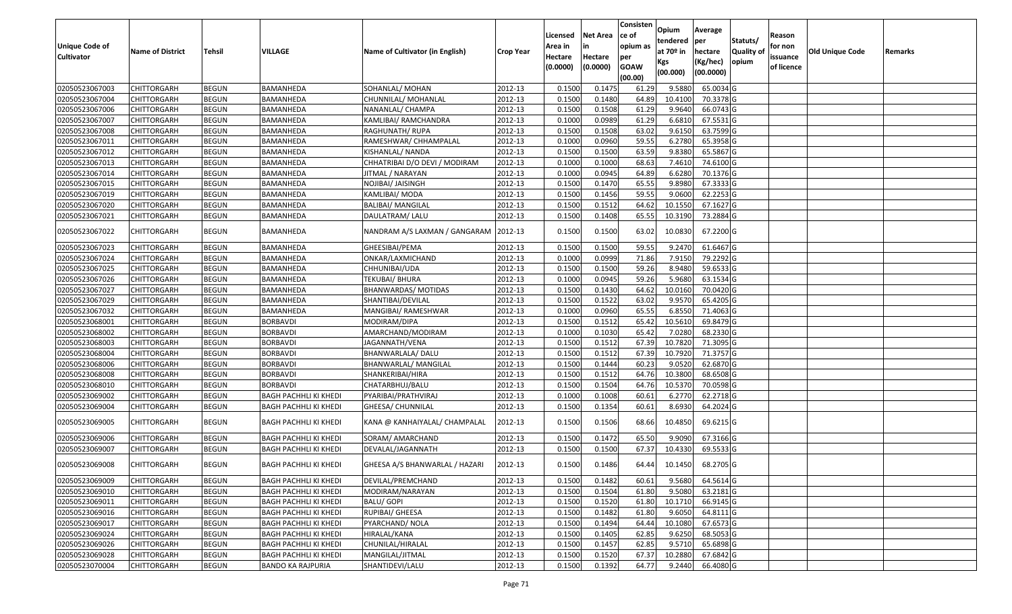| Unique Code of<br><b>Cultivator</b> | <b>Name of District</b> | <b>Tehsil</b> | VILLAGE                      | Name of Cultivator (in English) | <b>Crop Year</b> | Licensed<br>Area in<br>Hectare<br>(0.0000) | <b>Net Area</b><br>in<br>Hectare<br>(0.0000) | Consisten<br>ce of<br>opium as<br>per<br><b>GOAW</b><br>(00.00) | Opium<br>tendered<br>at $70°$ in<br>Kgs<br>(00.000) | Average<br>per<br>hectare<br>(Kg/hec)<br>(00.0000) | Statuts/<br>Quality of<br>opium | Reason<br>for non<br>issuance<br>of licence | <b>Old Unique Code</b> | Remarks |
|-------------------------------------|-------------------------|---------------|------------------------------|---------------------------------|------------------|--------------------------------------------|----------------------------------------------|-----------------------------------------------------------------|-----------------------------------------------------|----------------------------------------------------|---------------------------------|---------------------------------------------|------------------------|---------|
| 02050523067003                      | <b>CHITTORGARH</b>      | <b>BEGUN</b>  | BAMANHEDA                    | SOHANLAL/ MOHAN                 | 2012-13          | 0.1500                                     | 0.1475                                       | 61.29                                                           | 9.5880                                              | 65.0034 G                                          |                                 |                                             |                        |         |
| 02050523067004                      | CHITTORGARH             | <b>BEGUN</b>  | BAMANHEDA                    | CHUNNILAL/ MOHANLAL             | 2012-13          | 0.1500                                     | 0.1480                                       | 64.89                                                           | 10.4100                                             | 70.3378 G                                          |                                 |                                             |                        |         |
| 02050523067006                      | CHITTORGARH             | <b>BEGUN</b>  | BAMANHEDA                    | NANANLAL/ CHAMPA                | 2012-13          | 0.1500                                     | 0.1508                                       | 61.29                                                           | 9.9640                                              | 66.0743 G                                          |                                 |                                             |                        |         |
| 02050523067007                      | <b>CHITTORGARH</b>      | <b>BEGUN</b>  | BAMANHEDA                    | KAMLIBAI/ RAMCHANDRA            | 2012-13          | 0.1000                                     | 0.0989                                       | 61.29                                                           | 6.6810                                              | 67.5531 G                                          |                                 |                                             |                        |         |
| 02050523067008                      | <b>CHITTORGARH</b>      | <b>BEGUN</b>  | BAMANHEDA                    | RAGHUNATH/RUPA                  | 2012-13          | 0.1500                                     | 0.1508                                       | 63.02                                                           | 9.6150                                              | 63.7599 G                                          |                                 |                                             |                        |         |
| 02050523067011                      | CHITTORGARH             | <b>BEGUN</b>  | BAMANHEDA                    | RAMESHWAR/ CHHAMPALAL           | 2012-13          | 0.1000                                     | 0.0960                                       | 59.55                                                           | 6.2780                                              | 65.3958 G                                          |                                 |                                             |                        |         |
| 02050523067012                      | CHITTORGARH             | <b>BEGUN</b>  | BAMANHEDA                    | KISHANLAL/ NANDA                | 2012-13          | 0.1500                                     | 0.1500                                       | 63.59                                                           | 9.8380                                              | 65.5867 G                                          |                                 |                                             |                        |         |
| 02050523067013                      | <b>CHITTORGARH</b>      | <b>BEGUN</b>  | BAMANHEDA                    | CHHATRIBAI D/O DEVI / MODIRAM   | 2012-13          | 0.1000                                     | 0.1000                                       | 68.63                                                           | 7.4610                                              | 74.6100 G                                          |                                 |                                             |                        |         |
| 02050523067014                      | CHITTORGARH             | <b>BEGUN</b>  | BAMANHEDA                    | JITMAL / NARAYAN                | 2012-13          | 0.1000                                     | 0.0945                                       | 64.89                                                           | 6.6280                                              | 70.1376 G                                          |                                 |                                             |                        |         |
| 02050523067015                      | CHITTORGARH             | <b>BEGUN</b>  | BAMANHEDA                    | NOJIBAI/ JAISINGH               | 2012-13          | 0.1500                                     | 0.1470                                       | 65.55                                                           | 9.8980                                              | 67.3333 G                                          |                                 |                                             |                        |         |
| 02050523067019                      | CHITTORGARH             | <b>BEGUN</b>  | BAMANHEDA                    | KAMLIBAI/ MODA                  | 2012-13          | 0.1500                                     | 0.1456                                       | 59.55                                                           | 9.0600                                              | 62.2253 G                                          |                                 |                                             |                        |         |
| 02050523067020                      | CHITTORGARH             | <b>BEGUN</b>  | BAMANHEDA                    | <b>BALIBAI/ MANGILAL</b>        | 2012-13          | 0.1500                                     | 0.1512                                       | 64.62                                                           | 10.1550                                             | 67.1627 G                                          |                                 |                                             |                        |         |
| 02050523067021                      | CHITTORGARH             | <b>BEGUN</b>  | BAMANHEDA                    | DAULATRAM/ LALU                 | 2012-13          | 0.1500                                     | 0.1408                                       | 65.55                                                           | 10.3190                                             | 73.2884 G                                          |                                 |                                             |                        |         |
| 02050523067022                      | CHITTORGARH             | <b>BEGUN</b>  | BAMANHEDA                    | NANDRAM A/S LAXMAN / GANGARAM   | 2012-13          | 0.1500                                     | 0.1500                                       | 63.02                                                           | 10.0830                                             | 67.2200 G                                          |                                 |                                             |                        |         |
| 02050523067023                      | CHITTORGARH             | <b>BEGUN</b>  | BAMANHEDA                    | GHEESIBAI/PEMA                  | 2012-13          | 0.1500                                     | 0.1500                                       | 59.55                                                           | 9.2470                                              | 61.6467 G                                          |                                 |                                             |                        |         |
| 02050523067024                      | CHITTORGARH             | <b>BEGUN</b>  | BAMANHEDA                    | ONKAR/LAXMICHAND                | 2012-13          | 0.1000                                     | 0.0999                                       | 71.86                                                           | 7.9150                                              | 79.2292 G                                          |                                 |                                             |                        |         |
| 02050523067025                      | CHITTORGARH             | <b>BEGUN</b>  | BAMANHEDA                    | CHHUNIBAI/UDA                   | 2012-13          | 0.1500                                     | 0.1500                                       | 59.26                                                           | 8.9480                                              | 59.6533 G                                          |                                 |                                             |                        |         |
| 02050523067026                      | CHITTORGARH             | <b>BEGUN</b>  | BAMANHEDA                    | TEKUBAI/ BHURA                  | 2012-13          | 0.1000                                     | 0.0945                                       | 59.26                                                           | 5.9680                                              | 63.1534 G                                          |                                 |                                             |                        |         |
| 02050523067027                      | CHITTORGARH             | <b>BEGUN</b>  | BAMANHEDA                    | BHANWARDAS/ MOTIDAS             | 2012-13          | 0.1500                                     | 0.1430                                       | 64.62                                                           | 10.0160                                             | 70.0420 G                                          |                                 |                                             |                        |         |
| 02050523067029                      | <b>CHITTORGARH</b>      | <b>BEGUN</b>  | BAMANHEDA                    | SHANTIBAI/DEVILAL               | 2012-13          | 0.1500                                     | 0.1522                                       | 63.02                                                           | 9.9570                                              | 65.4205 G                                          |                                 |                                             |                        |         |
| 02050523067032                      | CHITTORGARH             | <b>BEGUN</b>  | BAMANHEDA                    | MANGIBAI/ RAMESHWAR             | 2012-13          | 0.1000                                     | 0.0960                                       | 65.55                                                           | 6.8550                                              | 71.4063 G                                          |                                 |                                             |                        |         |
| 02050523068001                      | CHITTORGARH             | <b>BEGUN</b>  | <b>BORBAVDI</b>              | MODIRAM/DIPA                    | 2012-13          | 0.1500                                     | 0.1512                                       | 65.42                                                           | 10.561                                              | 69.8479 G                                          |                                 |                                             |                        |         |
| 02050523068002                      | CHITTORGARH             | <b>BEGUN</b>  | <b>BORBAVDI</b>              | AMARCHAND/MODIRAM               | 2012-13          | 0.1000                                     | 0.1030                                       | 65.42                                                           | 7.0280                                              | 68.2330 G                                          |                                 |                                             |                        |         |
| 02050523068003                      | CHITTORGARH             | <b>BEGUN</b>  | <b>BORBAVDI</b>              | JAGANNATH/VENA                  | 2012-13          | 0.1500                                     | 0.1512                                       | 67.39                                                           | 10.7820                                             | 71.3095 G                                          |                                 |                                             |                        |         |
| 02050523068004                      | CHITTORGARH             | <b>BEGUN</b>  | <b>BORBAVDI</b>              | BHANWARLALA/ DALU               | 2012-13          | 0.1500                                     | 0.1512                                       | 67.39                                                           | 10.7920                                             | 71.3757 G                                          |                                 |                                             |                        |         |
| 02050523068006                      | CHITTORGARH             | <b>BEGUN</b>  | <b>BORBAVDI</b>              | BHANWARLAL/ MANGILAL            | 2012-13          | 0.1500                                     | 0.1444                                       | 60.23                                                           | 9.0520                                              | 62.6870 G                                          |                                 |                                             |                        |         |
| 02050523068008                      | CHITTORGARH             | <b>BEGUN</b>  | <b>BORBAVDI</b>              | SHANKERIBAI/HIRA                | 2012-13          | 0.1500                                     | 0.1512                                       | 64.76                                                           | 10.3800                                             | 68.6508 G                                          |                                 |                                             |                        |         |
| 02050523068010                      | CHITTORGARH             | <b>BEGUN</b>  | <b>BORBAVDI</b>              | CHATARBHUJ/BALU                 | 2012-13          | 0.1500                                     | 0.1504                                       | 64.76                                                           | 10.5370                                             | 70.0598 G                                          |                                 |                                             |                        |         |
| 02050523069002                      | CHITTORGARH             | <b>BEGUN</b>  | <b>BAGH PACHHLI KI KHEDI</b> | PYARIBAI/PRATHVIRAJ             | 2012-13          | 0.1000                                     | 0.1008                                       | 60.61                                                           | 6.2770                                              | 62.2718 G                                          |                                 |                                             |                        |         |
| 02050523069004                      | CHITTORGARH             | <b>BEGUN</b>  | <b>BAGH PACHHLI KI KHEDI</b> | GHEESA/ CHUNNILAL               | 2012-13          | 0.1500                                     | 0.1354                                       | 60.61                                                           | 8.6930                                              | 64.2024 G                                          |                                 |                                             |                        |         |
| 02050523069005                      | CHITTORGARH             | <b>BEGUN</b>  | <b>BAGH PACHHLI KI KHEDI</b> | KANA @ KANHAIYALAL/ CHAMPALAL   | 2012-13          | 0.1500                                     | 0.1506                                       | 68.66                                                           | 10.4850                                             | 69.6215 G                                          |                                 |                                             |                        |         |
| 02050523069006                      | CHITTORGARH             | <b>BEGUN</b>  | <b>BAGH PACHHLI KI KHEDI</b> | SORAM/ AMARCHAND                | 2012-13          | 0.1500                                     | 0.1472                                       | 65.50                                                           | 9.9090                                              | 67.3166 G                                          |                                 |                                             |                        |         |
| 02050523069007                      | CHITTORGARH             | <b>BEGUN</b>  | BAGH PACHHLI KI KHEDI        | DEVALAL/JAGANNATH               | 2012-13          | 0.150                                      | 0.1500                                       | 67.37                                                           | 10.4330                                             | 69.5533 G                                          |                                 |                                             |                        |         |
| 02050523069008                      | CHITTORGARH             | <b>BEGUN</b>  | <b>BAGH PACHHLI KI KHEDI</b> | GHEESA A/S BHANWARLAL / HAZARI  | 2012-13          | 0.1500                                     | 0.1486                                       | 64.44                                                           | 10.1450                                             | 68.2705 G                                          |                                 |                                             |                        |         |
| 02050523069009                      | <b>CHITTORGARH</b>      | <b>BEGUN</b>  | <b>BAGH PACHHLI KI KHEDI</b> | DEVILAL/PREMCHAND               | 2012-13          | 0.1500                                     | 0.1482                                       | 60.61                                                           | 9.5680                                              | 64.5614 G                                          |                                 |                                             |                        |         |
| 02050523069010                      | <b>CHITTORGARH</b>      | <b>BEGUN</b>  | BAGH PACHHLI KI KHEDI        | MODIRAM/NARAYAN                 | 2012-13          | 0.1500                                     | 0.1504                                       | 61.80                                                           | 9.5080                                              | 63.2181 G                                          |                                 |                                             |                        |         |
| 02050523069011                      | <b>CHITTORGARH</b>      | <b>BEGUN</b>  | <b>BAGH PACHHLI KI KHEDI</b> | BALU/ GOPI                      | 2012-13          | 0.1500                                     | 0.1520                                       | 61.80                                                           | 10.1710                                             | 66.9145 G                                          |                                 |                                             |                        |         |
| 02050523069016                      | CHITTORGARH             | <b>BEGUN</b>  | BAGH PACHHLI KI KHEDI        | RUPIBAI/ GHEESA                 | 2012-13          | 0.1500                                     | 0.1482                                       | 61.80                                                           | 9.6050                                              | 64.8111 G                                          |                                 |                                             |                        |         |
| 02050523069017                      | <b>CHITTORGARH</b>      | <b>BEGUN</b>  | <b>BAGH PACHHLI KI KHEDI</b> | PYARCHAND/ NOLA                 | 2012-13          | 0.1500                                     | 0.1494                                       | 64.44                                                           | 10.1080                                             | 67.6573 G                                          |                                 |                                             |                        |         |
| 02050523069024                      | <b>CHITTORGARH</b>      | <b>BEGUN</b>  | <b>BAGH PACHHLI KI KHEDI</b> | HIRALAL/KANA                    | 2012-13          | 0.1500                                     | 0.1405                                       | 62.85                                                           | 9.6250                                              | 68.5053 G                                          |                                 |                                             |                        |         |
| 02050523069026                      | <b>CHITTORGARH</b>      | <b>BEGUN</b>  | <b>BAGH PACHHLI KI KHEDI</b> | CHUNILAL/HIRALAL                | 2012-13          | 0.1500                                     | 0.1457                                       | 62.85                                                           | 9.5710                                              | 65.6898 G                                          |                                 |                                             |                        |         |
| 02050523069028                      | CHITTORGARH             | <b>BEGUN</b>  | <b>BAGH PACHHLI KI KHEDI</b> | MANGILAL/JITMAL                 | 2012-13          | 0.1500                                     | 0.1520                                       | 67.37                                                           | 10.2880                                             | 67.6842 G                                          |                                 |                                             |                        |         |
| 02050523070004                      | <b>CHITTORGARH</b>      | <b>BEGUN</b>  | <b>BANDO KA RAJPURIA</b>     | SHANTIDEVI/LALU                 | 2012-13          | 0.1500                                     | 0.1392                                       | 64.77                                                           | 9.2440                                              | 66.4080 G                                          |                                 |                                             |                        |         |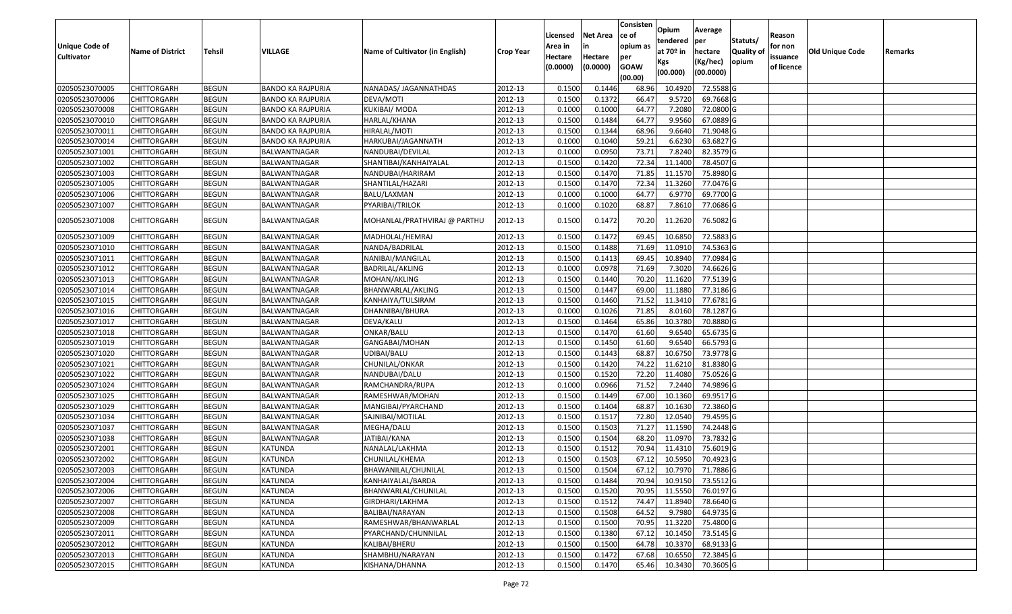|                       |                         |               |                          |                                 |                  |          |                 | Consisten        | Opium       | Average                 |                  |            |                 |         |
|-----------------------|-------------------------|---------------|--------------------------|---------------------------------|------------------|----------|-----------------|------------------|-------------|-------------------------|------------------|------------|-----------------|---------|
|                       |                         |               |                          |                                 |                  | Licensed | <b>Net Area</b> | ce of            | tendered    | per                     | Statuts/         | Reason     |                 |         |
| <b>Unique Code of</b> | <b>Name of District</b> | <b>Tehsil</b> | VILLAGE                  | Name of Cultivator (in English) | <b>Crop Year</b> | Area in  | in              | opium as         | at $70°$ in | hectare                 | <b>Quality o</b> | for non    | Old Unique Code | Remarks |
| <b>Cultivator</b>     |                         |               |                          |                                 |                  | Hectare  | Hectare         | per              | Kgs         | (Kg/hec)                | opium            | issuance   |                 |         |
|                       |                         |               |                          |                                 |                  | (0.0000) | (0.0000)        | <b>GOAW</b>      | (00.000)    | (00.0000)               |                  | of licence |                 |         |
| 02050523070005        | CHITTORGARH             | <b>BEGUN</b>  | <b>BANDO KA RAJPURIA</b> | NANADAS/ JAGANNATHDAS           | 2012-13          | 0.1500   | 0.1446          | (00.00)<br>68.96 | 10.4920     | 72.5588 G               |                  |            |                 |         |
| 02050523070006        | CHITTORGARH             | <b>BEGUN</b>  | <b>BANDO KA RAJPURIA</b> | DEVA/MOTI                       | 2012-13          | 0.1500   | 0.1372          | 66.47            | 9.5720      | 69.7668 G               |                  |            |                 |         |
| 02050523070008        | CHITTORGARH             | <b>BEGUN</b>  | <b>BANDO KA RAJPURIA</b> | KUKIBAI/ MODA                   | 2012-13          | 0.1000   | 0.1000          | 64.77            | 7.2080      | 72.0800G                |                  |            |                 |         |
| 02050523070010        | <b>CHITTORGARH</b>      | <b>BEGUN</b>  | <b>BANDO KA RAJPURIA</b> | HARLAL/KHANA                    | 2012-13          | 0.1500   | 0.1484          | 64.77            | 9.9560      | 67.0889 G               |                  |            |                 |         |
| 02050523070011        | CHITTORGARH             | <b>BEGUN</b>  | <b>BANDO KA RAJPURIA</b> | HIRALAL/MOTI                    | 2012-13          | 0.1500   | 0.1344          | 68.96            | 9.6640      | 71.9048 G               |                  |            |                 |         |
| 02050523070014        | CHITTORGARH             | <b>BEGUN</b>  | <b>BANDO KA RAJPURIA</b> | HARKUBAI/JAGANNATH              | 2012-13          | 0.1000   | 0.1040          | 59.21            | 6.6230      | 63.6827 G               |                  |            |                 |         |
| 02050523071001        | CHITTORGARH             | <b>BEGUN</b>  | BALWANTNAGAR             | NANDUBAI/DEVILAL                | 2012-13          | 0.1000   | 0.0950          | 73.7             | 7.8240      | 82.3579 G               |                  |            |                 |         |
| 02050523071002        | CHITTORGARH             | <b>BEGUN</b>  | BALWANTNAGAR             | SHANTIBAI/KANHAIYALAL           | 2012-13          | 0.1500   | 0.1420          | 72.34            | 11.1400     | 78.4507 G               |                  |            |                 |         |
| 02050523071003        | CHITTORGARH             | <b>BEGUN</b>  | BALWANTNAGAR             | NANDUBAI/HARIRAM                | 2012-13          | 0.1500   | 0.1470          | 71.85            | 11.1570     | 75.8980 G               |                  |            |                 |         |
| 02050523071005        | CHITTORGARH             | <b>BEGUN</b>  | BALWANTNAGAR             | SHANTILAL/HAZARI                | 2012-13          | 0.1500   | 0.1470          | 72.34            | 11.3260     | 77.0476 G               |                  |            |                 |         |
| 02050523071006        | CHITTORGARH             | <b>BEGUN</b>  | BALWANTNAGAR             | BALU/LAXMAN                     | 2012-13          | 0.1000   | 0.1000          | 64.77            | 6.9770      | 69.7700 G               |                  |            |                 |         |
| 02050523071007        | CHITTORGARH             | <b>BEGUN</b>  | BALWANTNAGAR             | PYARIBAI/TRILOK                 | 2012-13          | 0.1000   | 0.1020          | 68.87            | 7.8610      | 77.0686 G               |                  |            |                 |         |
|                       |                         |               |                          |                                 |                  |          |                 |                  |             |                         |                  |            |                 |         |
| 02050523071008        | CHITTORGARH             | <b>BEGUN</b>  | BALWANTNAGAR             | MOHANLAL/PRATHVIRAJ @ PARTHU    | 2012-13          | 0.1500   | 0.1472          | 70.20            | 11.2620     | 76.5082 G               |                  |            |                 |         |
| 02050523071009        | CHITTORGARH             | <b>BEGUN</b>  | BALWANTNAGAR             | MADHOLAL/HEMRAJ                 | 2012-13          | 0.1500   | 0.1472          | 69.45            | 10.6850     | 72.5883 G               |                  |            |                 |         |
| 02050523071010        | CHITTORGARH             | <b>BEGUN</b>  | BALWANTNAGAR             | NANDA/BADRILAL                  | 2012-13          | 0.1500   | 0.1488          | 71.69            | 11.091      | 74.5363 G               |                  |            |                 |         |
| 02050523071011        | CHITTORGARH             | <b>BEGUN</b>  | BALWANTNAGAR             | NANIBAI/MANGILAL                | 2012-13          | 0.1500   | 0.1413          | 69.45            | 10.8940     | 77.0984 G               |                  |            |                 |         |
| 02050523071012        | CHITTORGARH             | <b>BEGUN</b>  | BALWANTNAGAR             | BADRILAL/AKLING                 | 2012-13          | 0.100    | 0.0978          | 71.69            | 7.3020      | 74.6626 G               |                  |            |                 |         |
| 02050523071013        | CHITTORGARH             | <b>BEGUN</b>  | BALWANTNAGAR             | MOHAN/AKLING                    | 2012-13          | 0.1500   | 0.1440          | 70.20            | 11.1620     | 77.5139 G               |                  |            |                 |         |
| 02050523071014        | CHITTORGARH             | <b>BEGUN</b>  | BALWANTNAGAR             | BHANWARLAL/AKLING               | 2012-13          | 0.1500   | 0.1447          | 69.00            | 11.1880     | 77.3186 G               |                  |            |                 |         |
| 02050523071015        | CHITTORGARH             | <b>BEGUN</b>  | BALWANTNAGAR             | KANHAIYA/TULSIRAM               | 2012-13          | 0.1500   | 0.1460          | 71.52            | 11.3410     | 77.6781 G               |                  |            |                 |         |
| 02050523071016        | CHITTORGARH             | <b>BEGUN</b>  | BALWANTNAGAR             | DHANNIBAI/BHURA                 | 2012-13          | 0.1000   | 0.1026          | 71.85            | 8.0160      | 78.1287 G               |                  |            |                 |         |
| 02050523071017        | CHITTORGARH             | <b>BEGUN</b>  | BALWANTNAGAR             | DEVA/KALU                       | 2012-13          | 0.1500   | 0.1464          | 65.86            | 10.3780     | 70.8880 G               |                  |            |                 |         |
| 02050523071018        | CHITTORGARH             | <b>BEGUN</b>  | BALWANTNAGAR             | ONKAR/BALU                      | 2012-13          | 0.1500   | 0.1470          | 61.60            | 9.6540      | 65.6735 G               |                  |            |                 |         |
| 02050523071019        | CHITTORGARH             | <b>BEGUN</b>  | BALWANTNAGAR             | GANGABAI/MOHAN                  | 2012-13          | 0.1500   | 0.1450          | 61.60            | 9.6540      | 66.5793 G               |                  |            |                 |         |
| 02050523071020        | CHITTORGARH             | <b>BEGUN</b>  | BALWANTNAGAR             | UDIBAI/BALU                     | 2012-13          | 0.1500   | 0.1443          | 68.87            | 10.675      | 73.9778 G               |                  |            |                 |         |
| 02050523071021        | CHITTORGARH             | <b>BEGUN</b>  | BALWANTNAGAR             | CHUNILAL/ONKAR                  | 2012-13          | 0.1500   | 0.1420          | 74.22            | 11.6210     | 81.8380 G               |                  |            |                 |         |
| 02050523071022        | CHITTORGARH             | <b>BEGUN</b>  | BALWANTNAGAR             | NANDUBAI/DALU                   | 2012-13          | 0.1500   | 0.1520          | 72.20            | 11.4080     | 75.0526 G               |                  |            |                 |         |
| 02050523071024        | CHITTORGARH             | <b>BEGUN</b>  | BALWANTNAGAR             | RAMCHANDRA/RUPA                 | 2012-13          | 0.1000   | 0.0966          | 71.52            | 7.2440      | 74.9896 G               |                  |            |                 |         |
| 02050523071025        | CHITTORGARH             | <b>BEGUN</b>  | BALWANTNAGAR             | RAMESHWAR/MOHAN                 | 2012-13          | 0.1500   | 0.1449          | 67.00            | 10.1360     | 69.9517 G               |                  |            |                 |         |
| 02050523071029        | CHITTORGARH             | <b>BEGUN</b>  | BALWANTNAGAR             | MANGIBAI/PYARCHAND              | 2012-13          | 0.1500   | 0.1404          | 68.87            | 10.1630     | 72.3860 G               |                  |            |                 |         |
| 02050523071034        | CHITTORGARH             | <b>BEGUN</b>  | BALWANTNAGAR             | SAJNIBAI/MOTILAL                | 2012-13          | 0.1500   | 0.1517          | 72.80            | 12.0540     | 79.4595 G               |                  |            |                 |         |
| 02050523071037        | CHITTORGARH             | <b>BEGUN</b>  | BALWANTNAGAR             | MEGHA/DALU                      | 2012-13          | 0.1500   | 0.1503          | 71.27            | 11.1590     | 74.2448 G               |                  |            |                 |         |
| 02050523071038        | <b>CHITTORGARH</b>      | <b>BEGUN</b>  | BALWANTNAGAR             | JATIBAI/KANA                    | 2012-13          | 0.1500   | 0.1504          | 68.20            | 11.0970     | 73.7832 G               |                  |            |                 |         |
| 02050523072001        | CHITTORGARH             | <b>BEGUN</b>  | KATUNDA                  | NANALAL/LAKHMA                  | 2012-13          | 0.150    | 0.1512          | 70.94            | 11.4310     | 75.6019 G               |                  |            |                 |         |
| 02050523072002        | CHITTORGARH             | <b>BEGUN</b>  | KATUNDA                  | CHUNILAL/KHEMA                  | 2012-13          | 0.1500   | 0.1503          | 67.12            | 10.5950     | 70.4923 G               |                  |            |                 |         |
| 02050523072003        | <b>CHITTORGARH</b>      | <b>BEGUN</b>  | <b>KATUNDA</b>           | BHAWANILAL/CHUNILAL             | 2012-13          | 0.1500   | 0.1504          |                  |             | 67.12 10.7970 71.7886 G |                  |            |                 |         |
| 02050523072004        | <b>CHITTORGARH</b>      | <b>BEGUN</b>  | KATUNDA                  | KANHAIYALAL/BARDA               | 2012-13          | 0.1500   | 0.1484          | 70.94            | 10.9150     | 73.5512 G               |                  |            |                 |         |
| 02050523072006        | <b>CHITTORGARH</b>      | <b>BEGUN</b>  | KATUNDA                  | BHANWARLAL/CHUNILAL             | 2012-13          | 0.1500   | 0.1520          | 70.95            | 11.5550     | 76.0197 G               |                  |            |                 |         |
| 02050523072007        | <b>CHITTORGARH</b>      | <b>BEGUN</b>  | <b>KATUNDA</b>           | GIRDHARI/LAKHMA                 | 2012-13          | 0.1500   | 0.1512          | 74.47            | 11.8940     | 78.6640 G               |                  |            |                 |         |
| 02050523072008        | CHITTORGARH             | <b>BEGUN</b>  | KATUNDA                  | BALIBAI/NARAYAN                 | 2012-13          | 0.1500   | 0.1508          | 64.52            | 9.7980      | 64.9735 G               |                  |            |                 |         |
| 02050523072009        | <b>CHITTORGARH</b>      | <b>BEGUN</b>  | <b>KATUNDA</b>           | RAMESHWAR/BHANWARLAL            | 2012-13          | 0.1500   | 0.1500          | 70.95            | 11.3220     | 75.4800 G               |                  |            |                 |         |
| 02050523072011        | <b>CHITTORGARH</b>      | <b>BEGUN</b>  | <b>KATUNDA</b>           | PYARCHAND/CHUNNILAL             | 2012-13          | 0.1500   | 0.1380          | 67.12            | 10.1450     | 73.5145 G               |                  |            |                 |         |
| 02050523072012        | <b>CHITTORGARH</b>      | <b>BEGUN</b>  | KATUNDA                  | KALIBAI/BHERU                   | 2012-13          | 0.1500   | 0.1500          | 64.78            | 10.3370     | 68.9133 G               |                  |            |                 |         |
| 02050523072013        | <b>CHITTORGARH</b>      | <b>BEGUN</b>  | KATUNDA                  | SHAMBHU/NARAYAN                 | 2012-13          | 0.1500   | 0.1472          | 67.68            | 10.6550     | 72.3845 G               |                  |            |                 |         |
| 02050523072015        | <b>CHITTORGARH</b>      | <b>BEGUN</b>  | KATUNDA                  | KISHANA/DHANNA                  | 2012-13          | 0.1500   | 0.1470          | 65.46            | 10.3430     | 70.3605 G               |                  |            |                 |         |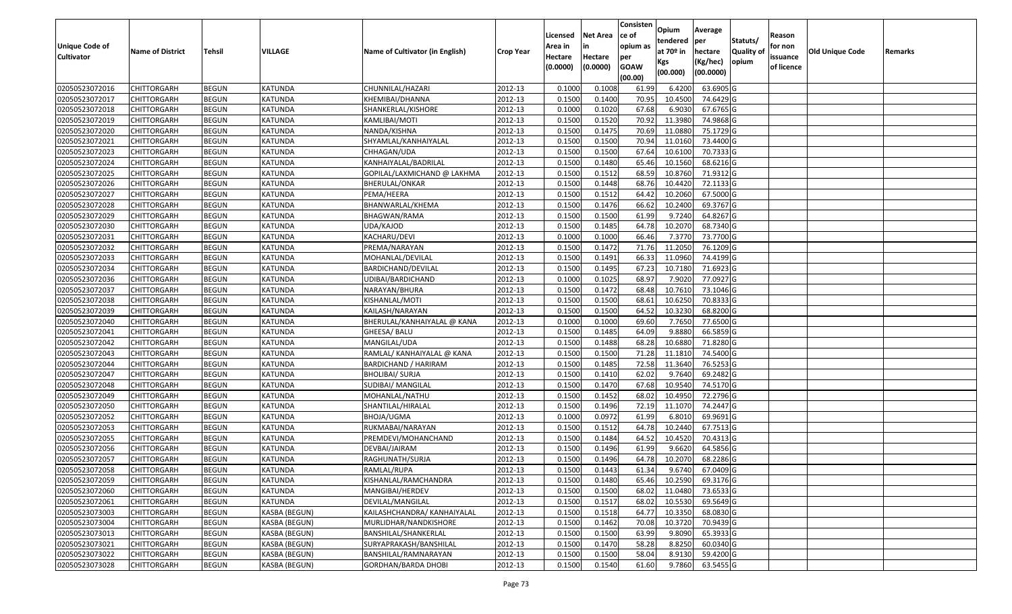|                       |                         |               |                      |                                 |                  |          |                 | Consisten              | Opium       | Average   |                  |            |                        |         |
|-----------------------|-------------------------|---------------|----------------------|---------------------------------|------------------|----------|-----------------|------------------------|-------------|-----------|------------------|------------|------------------------|---------|
|                       |                         |               |                      |                                 |                  | Licensed | <b>Net Area</b> | ce of                  | tendered    | per       | Statuts/         | Reason     |                        |         |
| <b>Unique Code of</b> | <b>Name of District</b> | <b>Tehsil</b> | VILLAGE              | Name of Cultivator (in English) | <b>Crop Year</b> | Area in  |                 | opium as               | at $70°$ in | hectare   | <b>Quality o</b> | for non    | <b>Old Unique Code</b> | Remarks |
| <b>Cultivator</b>     |                         |               |                      |                                 |                  | Hectare  | Hectare         | per                    | Kgs         | (Kg/hec)  | opium            | issuance   |                        |         |
|                       |                         |               |                      |                                 |                  | (0.0000) | (0.0000)        | <b>GOAW</b><br>(00.00) | (00.000)    | (00.0000) |                  | of licence |                        |         |
| 02050523072016        | CHITTORGARH             | <b>BEGUN</b>  | KATUNDA              | CHUNNILAL/HAZARI                | 2012-13          | 0.1000   | 0.1008          | 61.99                  | 6.4200      | 63.6905 G |                  |            |                        |         |
| 02050523072017        | CHITTORGARH             | <b>BEGUN</b>  | KATUNDA              | KHEMIBAI/DHANNA                 | 2012-13          | 0.1500   | 0.1400          | 70.95                  | 10.4500     | 74.6429 G |                  |            |                        |         |
| 02050523072018        | CHITTORGARH             | <b>BEGUN</b>  | KATUNDA              | SHANKERLAL/KISHORE              | 2012-13          | 0.1000   | 0.1020          | 67.68                  | 6.9030      | 67.6765 G |                  |            |                        |         |
| 02050523072019        | <b>CHITTORGARH</b>      | <b>BEGUN</b>  | <b>KATUNDA</b>       | KAMLIBAI/MOTI                   | 2012-13          | 0.1500   | 0.1520          | 70.92                  | 11.3980     | 74.9868 G |                  |            |                        |         |
| 02050523072020        | CHITTORGARH             | <b>BEGUN</b>  | <b>KATUNDA</b>       | NANDA/KISHNA                    | 2012-13          | 0.1500   | 0.1475          | 70.69                  | 11.0880     | 75.1729 G |                  |            |                        |         |
| 02050523072021        | CHITTORGARH             | <b>BEGUN</b>  | <b>KATUNDA</b>       | SHYAMLAL/KANHAIYALAL            | 2012-13          | 0.1500   | 0.1500          | 70.94                  | 11.0160     | 73.4400 G |                  |            |                        |         |
| 02050523072023        | CHITTORGARH             | <b>BEGUN</b>  | <b>KATUNDA</b>       | CHHAGAN/UDA                     | 2012-13          | 0.1500   | 0.1500          | 67.64                  | 10.6100     | 70.7333 G |                  |            |                        |         |
| 02050523072024        | CHITTORGARH             | <b>BEGUN</b>  | <b>KATUNDA</b>       | KANHAIYALAL/BADRILAL            | 2012-13          | 0.1500   | 0.1480          | 65.46                  | 10.1560     | 68.6216 G |                  |            |                        |         |
| 02050523072025        | CHITTORGARH             | <b>BEGUN</b>  | <b>KATUNDA</b>       | GOPILAL/LAXMICHAND @ LAKHMA     | 2012-13          | 0.1500   | 0.1512          | 68.59                  | 10.8760     | 71.9312 G |                  |            |                        |         |
| 02050523072026        | CHITTORGARH             | <b>BEGUN</b>  | <b>KATUNDA</b>       | BHERULAL/ONKAR                  | 2012-13          | 0.1500   | 0.1448          | 68.76                  | 10.4420     | 72.1133 G |                  |            |                        |         |
| 02050523072027        | CHITTORGARH             | <b>BEGUN</b>  | <b>KATUNDA</b>       | PEMA/HEERA                      | 2012-13          | 0.1500   | 0.1512          | 64.42                  | 10.2060     | 67.5000G  |                  |            |                        |         |
| 02050523072028        | CHITTORGARH             | <b>BEGUN</b>  | KATUNDA              | BHANWARLAL/KHEMA                | 2012-13          | 0.1500   | 0.1476          | 66.62                  | 10.2400     | 69.3767 G |                  |            |                        |         |
| 02050523072029        | <b>CHITTORGARH</b>      | <b>BEGUN</b>  | <b>KATUNDA</b>       | BHAGWAN/RAMA                    | 2012-13          | 0.1500   | 0.1500          | 61.99                  | 9.7240      | 64.8267 G |                  |            |                        |         |
| 02050523072030        | CHITTORGARH             | <b>BEGUN</b>  | KATUNDA              | UDA/KAJOD                       | 2012-13          | 0.1500   | 0.1485          | 64.78                  | 10.2070     | 68.7340 G |                  |            |                        |         |
| 02050523072031        | CHITTORGARH             | <b>BEGUN</b>  | KATUNDA              | KACHARU/DEVI                    | 2012-13          | 0.1000   | 0.1000          | 66.46                  | 7.3770      | 73.7700 G |                  |            |                        |         |
| 02050523072032        | CHITTORGARH             | <b>BEGUN</b>  | KATUNDA              | PREMA/NARAYAN                   | 2012-13          | 0.1500   | 0.1472          | 71.76                  | 11.2050     | 76.1209 G |                  |            |                        |         |
| 02050523072033        | CHITTORGARH             | <b>BEGUN</b>  | KATUNDA              | MOHANLAL/DEVILAL                | 2012-13          | 0.1500   | 0.1491          | 66.33                  | 11.0960     | 74.4199 G |                  |            |                        |         |
| 02050523072034        | CHITTORGARH             | <b>BEGUN</b>  | KATUNDA              | BARDICHAND/DEVILAL              | 2012-13          | 0.1500   | 0.1495          | 67.23                  | 10.7180     | 71.6923 G |                  |            |                        |         |
| 02050523072036        | CHITTORGARH             | <b>BEGUN</b>  | KATUNDA              | UDIBAI/BARDICHAND               | 2012-13          | 0.1000   | 0.1025          | 68.97                  | 7.9020      | 77.0927 G |                  |            |                        |         |
| 02050523072037        | CHITTORGARH             | <b>BEGUN</b>  | <b>KATUNDA</b>       | NARAYAN/BHURA                   | 2012-13          | 0.150    | 0.1472          | 68.48                  | 10.7610     | 73.1046 G |                  |            |                        |         |
| 02050523072038        | CHITTORGARH             | <b>BEGUN</b>  | <b>KATUNDA</b>       | KISHANLAL/MOTI                  | 2012-13          | 0.1500   | 0.1500          | 68.6                   | 10.6250     | 70.8333 G |                  |            |                        |         |
| 02050523072039        | CHITTORGARH             | <b>BEGUN</b>  | KATUNDA              | KAILASH/NARAYAN                 | 2012-13          | 0.150    | 0.1500          | 64.52                  | 10.3230     | 68.8200 G |                  |            |                        |         |
| 02050523072040        | CHITTORGARH             | <b>BEGUN</b>  | KATUNDA              | BHERULAL/KANHAIYALAL @ KANA     | 2012-13          | 0.1000   | 0.1000          | 69.60                  | 7.7650      | 77.6500 G |                  |            |                        |         |
| 02050523072041        | CHITTORGARH             | <b>BEGUN</b>  | KATUNDA              | GHEESA/ BALU                    | 2012-13          | 0.150    | 0.1485          | 64.09                  | 9.8880      | 66.5859 G |                  |            |                        |         |
| 02050523072042        | CHITTORGARH             | <b>BEGUN</b>  | <b>KATUNDA</b>       | MANGILAL/UDA                    | 2012-13          | 0.1500   | 0.1488          | 68.28                  | 10.6880     | 71.8280 G |                  |            |                        |         |
| 02050523072043        | CHITTORGARH             | <b>BEGUN</b>  | KATUNDA              | RAMLAL/ KANHAIYALAL @ KANA      | 2012-13          | 0.1500   | 0.1500          | 71.28                  | 11.181      | 74.5400 G |                  |            |                        |         |
| 02050523072044        | CHITTORGARH             | <b>BEGUN</b>  | KATUNDA              | <b>BARDICHAND / HARIRAM</b>     | 2012-13          | 0.1500   | 0.1485          | 72.58                  | 11.3640     | 76.5253 G |                  |            |                        |         |
| 02050523072047        | CHITTORGARH             | <b>BEGUN</b>  | KATUNDA              | <b>BHOLIBAI/ SURJA</b>          | 2012-13          | 0.1500   | 0.1410          | 62.02                  | 9.7640      | 69.2482 G |                  |            |                        |         |
| 02050523072048        | CHITTORGARH             | <b>BEGUN</b>  | <b>KATUNDA</b>       | SUDIBAI/ MANGILAL               | 2012-13          | 0.1500   | 0.1470          | 67.68                  | 10.9540     | 74.5170 G |                  |            |                        |         |
| 02050523072049        | CHITTORGARH             | <b>BEGUN</b>  | <b>KATUNDA</b>       | MOHANLAL/NATHU                  | 2012-13          | 0.1500   | 0.1452          | 68.02                  | 10.495      | 72.2796 G |                  |            |                        |         |
| 02050523072050        | CHITTORGARH             | <b>BEGUN</b>  | <b>KATUNDA</b>       | SHANTILAL/HIRALAL               | 2012-13          | 0.1500   | 0.1496          | 72.19                  | 11.1070     | 74.2447 G |                  |            |                        |         |
| 02050523072052        | CHITTORGARH             | <b>BEGUN</b>  | KATUNDA              | BHOJA/UGMA                      | 2012-13          | 0.1000   | 0.0972          | 61.99                  | 6.801       | 69.9691 G |                  |            |                        |         |
| 02050523072053        | CHITTORGARH             | <b>BEGUN</b>  | <b>KATUNDA</b>       | RUKMABAI/NARAYAN                | 2012-13          | 0.1500   | 0.1512          | 64.78                  | 10.2440     | 67.7513 G |                  |            |                        |         |
| 02050523072055        | CHITTORGARH             | <b>BEGUN</b>  | <b>KATUNDA</b>       | PREMDEVI/MOHANCHAND             | 2012-13          | 0.1500   | 0.1484          | 64.52                  | 10.4520     | 70.4313 G |                  |            |                        |         |
| 02050523072056        | CHITTORGARH             | <b>BEGUN</b>  | <b>KATUNDA</b>       | DEVBAI/JAIRAM                   | 2012-13          | 0.150    | 0.1496          | 61.99                  | 9.6620      | 64.5856 G |                  |            |                        |         |
| 02050523072057        | CHITTORGARH             | <b>BEGUN</b>  | KATUNDA              | RAGHUNATH/SURJA                 | 2012-13          | 0.1500   | 0.1496          | 64.78                  | 10.2070     | 68.2286 G |                  |            |                        |         |
| 02050523072058        | <b>CHITTORGARH</b>      | <b>BEGUN</b>  | KATUNDA              | RAMLAL/RUPA                     | 2012-13          | 0.1500   | 0.1443          | 61.34                  | 9.6740      | 67.0409 G |                  |            |                        |         |
| 02050523072059        | <b>CHITTORGARH</b>      | <b>BEGUN</b>  | KATUNDA              | KISHANLAL/RAMCHANDRA            | 2012-13          | 0.1500   | 0.1480          | 65.46                  | 10.2590     | 69.3176 G |                  |            |                        |         |
| 02050523072060        | <b>CHITTORGARH</b>      | <b>BEGUN</b>  | KATUNDA              | MANGIBAI/HERDEV                 | 2012-13          | 0.1500   | 0.1500          | 68.02                  | 11.0480     | 73.6533 G |                  |            |                        |         |
| 02050523072061        | <b>CHITTORGARH</b>      | <b>BEGUN</b>  | KATUNDA              | DEVILAL/MANGILAL                | 2012-13          | 0.1500   | 0.1517          | 68.02                  | 10.5530     | 69.5649 G |                  |            |                        |         |
| 02050523073003        | CHITTORGARH             | <b>BEGUN</b>  | KASBA (BEGUN)        | KAILASHCHANDRA/ KANHAIYALAL     | 2012-13          | 0.1500   | 0.1518          | 64.77                  | 10.3350     | 68.0830 G |                  |            |                        |         |
| 02050523073004        | <b>CHITTORGARH</b>      | <b>BEGUN</b>  | <b>KASBA (BEGUN)</b> | MURLIDHAR/NANDKISHORE           | 2012-13          | 0.1500   | 0.1462          | 70.08                  | 10.3720     | 70.9439 G |                  |            |                        |         |
| 02050523073013        | <b>CHITTORGARH</b>      | <b>BEGUN</b>  | KASBA (BEGUN)        | BANSHILAL/SHANKERLAL            | 2012-13          | 0.1500   | 0.1500          | 63.99                  | 9.8090      | 65.3933 G |                  |            |                        |         |
| 02050523073021        | <b>CHITTORGARH</b>      | <b>BEGUN</b>  | KASBA (BEGUN)        | SURYAPRAKASH/BANSHILAL          | 2012-13          | 0.1500   | 0.1470          | 58.28                  | 8.8250      | 60.0340 G |                  |            |                        |         |
| 02050523073022        | <b>CHITTORGARH</b>      | <b>BEGUN</b>  | KASBA (BEGUN)        | BANSHILAL/RAMNARAYAN            | 2012-13          | 0.1500   | 0.1500          | 58.04                  | 8.9130      | 59.4200 G |                  |            |                        |         |
| 02050523073028        | <b>CHITTORGARH</b>      | <b>BEGUN</b>  | KASBA (BEGUN)        | <b>GORDHAN/BARDA DHOBI</b>      | 2012-13          | 0.1500   | 0.1540          | 61.60                  | 9.7860      | 63.5455 G |                  |            |                        |         |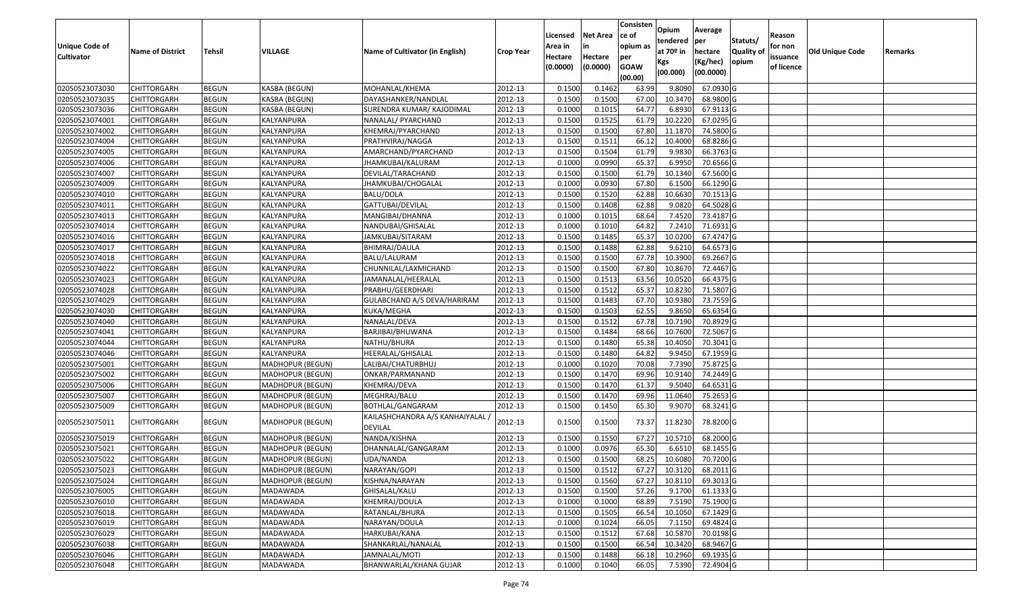| <b>Unique Code of</b><br><b>Cultivator</b> | <b>Name of District</b> | <b>Tehsil</b> | VILLAGE                 | Name of Cultivator (in English)           | <b>Crop Year</b> | Licensed<br>Area in<br>Hectare<br>(0.0000) | <b>Net Area</b><br>in<br>Hectare<br>(0.0000) | Consisten<br>ce of<br>opium as<br>per<br><b>GOAW</b><br>(00.00) | Opium<br>tendered<br>at $70°$ in<br>Kgs<br>(00.000) | Average<br>per<br>hectare<br>(Kg/hec)<br>(00.0000) | Statuts/<br>Quality of<br>opium | Reason<br>for non<br>issuance<br>of licence | <b>Old Unique Code</b> | Remarks |
|--------------------------------------------|-------------------------|---------------|-------------------------|-------------------------------------------|------------------|--------------------------------------------|----------------------------------------------|-----------------------------------------------------------------|-----------------------------------------------------|----------------------------------------------------|---------------------------------|---------------------------------------------|------------------------|---------|
| 02050523073030                             | <b>CHITTORGARH</b>      | <b>BEGUN</b>  | KASBA (BEGUN)           | MOHANLAL/KHEMA                            | 2012-13          | 0.1500                                     | 0.1462                                       | 63.99                                                           | 9.8090                                              | 67.0930 G                                          |                                 |                                             |                        |         |
| 02050523073035                             | CHITTORGARH             | <b>BEGUN</b>  | KASBA (BEGUN)           | DAYASHANKER/NANDLAL                       | 2012-13          | 0.1500                                     | 0.1500                                       | 67.00                                                           | 10.3470                                             | 68.9800 G                                          |                                 |                                             |                        |         |
| 02050523073036                             | CHITTORGARH             | <b>BEGUN</b>  | KASBA (BEGUN)           | SURENDRA KUMAR/ KAJODIMAL                 | 2012-13          | 0.1000                                     | 0.1015                                       | 64.77                                                           | 6.8930                                              | 67.9113 G                                          |                                 |                                             |                        |         |
| 02050523074001                             | <b>CHITTORGARH</b>      | <b>BEGUN</b>  | KALYANPURA              | NANALAL/ PYARCHAND                        | 2012-13          | 0.1500                                     | 0.1525                                       | 61.79                                                           | 10.2220                                             | 67.0295 G                                          |                                 |                                             |                        |         |
| 02050523074002                             | <b>CHITTORGARH</b>      | <b>BEGUN</b>  | KALYANPURA              | KHEMRAJ/PYARCHAND                         | 2012-13          | 0.1500                                     | 0.1500                                       | 67.80                                                           | 11.1870                                             | 74.5800 G                                          |                                 |                                             |                        |         |
| 02050523074004                             | CHITTORGARH             | <b>BEGUN</b>  | KALYANPURA              | PRATHVIRAJ/NAGGA                          | 2012-13          | 0.1500                                     | 0.1511                                       | 66.1                                                            | 10.4000                                             | 68.8286 G                                          |                                 |                                             |                        |         |
| 02050523074005                             | <b>CHITTORGARH</b>      | <b>BEGUN</b>  | KALYANPURA              | AMARCHAND/PYARCHAND                       | 2012-13          | 0.1500                                     | 0.1504                                       | 61.79                                                           | 9.9830                                              | 66.3763 G                                          |                                 |                                             |                        |         |
| 02050523074006                             | CHITTORGARH             | <b>BEGUN</b>  | KALYANPURA              | JHAMKUBAI/KALURAM                         | 2012-13          | 0.1000                                     | 0.0990                                       | 65.37                                                           | 6.995                                               | 70.6566 G                                          |                                 |                                             |                        |         |
| 02050523074007                             | CHITTORGARH             | <b>BEGUN</b>  | KALYANPURA              | DEVILAL/TARACHAND                         | 2012-13          | 0.1500                                     | 0.1500                                       | 61.79                                                           | 10.1340                                             | 67.5600 G                                          |                                 |                                             |                        |         |
| 02050523074009                             | CHITTORGARH             | <b>BEGUN</b>  | KALYANPURA              | JHAMKUBAI/CHOGALAL                        | 2012-13          | 0.1000                                     | 0.0930                                       | 67.80                                                           | 6.1500                                              | 66.1290 G                                          |                                 |                                             |                        |         |
| 02050523074010                             | CHITTORGARH             | <b>BEGUN</b>  | KALYANPURA              | BALU/DOLA                                 | 2012-13          | 0.1500                                     | 0.1520                                       | 62.88                                                           | 10.6630                                             | 70.1513 G                                          |                                 |                                             |                        |         |
| 02050523074011                             | CHITTORGARH             | <b>BEGUN</b>  | KALYANPURA              | GATTUBAI/DEVILAL                          | 2012-13          | 0.1500                                     | 0.1408                                       | 62.88                                                           | 9.0820                                              | 64.5028 G                                          |                                 |                                             |                        |         |
| 02050523074013                             | CHITTORGARH             | <b>BEGUN</b>  | KALYANPURA              | MANGIBAI/DHANNA                           | 2012-13          | 0.1000                                     | 0.1015                                       | 68.64                                                           | 7.4520                                              | 73.4187 G                                          |                                 |                                             |                        |         |
| 02050523074014                             | CHITTORGARH             | <b>BEGUN</b>  | KALYANPURA              | NANDUBAI/GHISALAL                         | 2012-13          | 0.1000                                     | 0.1010                                       | 64.82                                                           | 7.2410                                              | 71.6931 G                                          |                                 |                                             |                        |         |
| 02050523074016                             | CHITTORGARH             | <b>BEGUN</b>  | KALYANPURA              | JAMKUBAI/SITARAM                          | 2012-13          | 0.1500                                     | 0.1485                                       | 65.37                                                           | 10.0200                                             | 67.4747 G                                          |                                 |                                             |                        |         |
| 02050523074017                             | CHITTORGARH             | <b>BEGUN</b>  | KALYANPURA              | BHIMRAJ/DAULA                             | 2012-13          | 0.1500                                     | 0.1488                                       | 62.88                                                           | 9.621                                               | 64.6573 G                                          |                                 |                                             |                        |         |
| 02050523074018                             | CHITTORGARH             | <b>BEGUN</b>  | KALYANPURA              | BALU/LALURAM                              | 2012-13          | 0.1500                                     | 0.1500                                       | 67.78                                                           | 10.3900                                             | 69.2667G                                           |                                 |                                             |                        |         |
| 02050523074022                             | CHITTORGARH             | <b>BEGUN</b>  | KALYANPURA              | CHUNNILAL/LAXMICHAND                      | 2012-13          | 0.1500                                     | 0.1500                                       | 67.80                                                           | 10.867                                              | 72.4467 G                                          |                                 |                                             |                        |         |
| 02050523074023                             | CHITTORGARH             | <b>BEGUN</b>  | KALYANPURA              | JAMANALAL/HEERALAL                        | 2012-13          | 0.1500                                     | 0.1513                                       | 63.56                                                           | 10.0520                                             | 66.4375 G                                          |                                 |                                             |                        |         |
| 02050523074028                             | CHITTORGARH             | <b>BEGUN</b>  | KALYANPURA              | PRABHU/GEERDHARI                          | 2012-13          | 0.1500                                     | 0.1512                                       | 65.37                                                           | 10.8230                                             | 71.5807 G                                          |                                 |                                             |                        |         |
| 02050523074029                             | <b>CHITTORGARH</b>      | <b>BEGUN</b>  | KALYANPURA              | GULABCHAND A/S DEVA/HARIRAM               | 2012-13          | 0.1500                                     | 0.1483                                       | 67.70                                                           | 10.9380                                             | 73.7559 G                                          |                                 |                                             |                        |         |
| 02050523074030                             | CHITTORGARH             | <b>BEGUN</b>  | KALYANPURA              | KUKA/MEGHA                                | 2012-13          | 0.1500                                     | 0.1503                                       | 62.55                                                           | 9.8650                                              | 65.6354 G                                          |                                 |                                             |                        |         |
| 02050523074040                             | CHITTORGARH             | <b>BEGUN</b>  | KALYANPURA              | NANALAL/DEVA                              | 2012-13          | 0.1500                                     | 0.1512                                       | 67.78                                                           | 10.7190                                             | 70.8929 G                                          |                                 |                                             |                        |         |
| 02050523074041                             | CHITTORGARH             | <b>BEGUN</b>  | KALYANPURA              | BARJIBAI/BHUWANA                          | 2012-13          | 0.1500                                     | 0.1484                                       | 68.66                                                           | 10.7600                                             | 72.5067 G                                          |                                 |                                             |                        |         |
| 02050523074044                             | CHITTORGARH             | <b>BEGUN</b>  | KALYANPURA              | NATHU/BHURA                               | 2012-13          | 0.1500                                     | 0.1480                                       | 65.38                                                           | 10.4050                                             | 70.3041 G                                          |                                 |                                             |                        |         |
| 02050523074046                             | CHITTORGARH             | <b>BEGUN</b>  | KALYANPURA              | HEERALAL/GHISALAL                         | 2012-13          | 0.1500                                     | 0.1480                                       | 64.82                                                           | 9.9450                                              | 67.1959 G                                          |                                 |                                             |                        |         |
| 02050523075001                             | CHITTORGARH             | <b>BEGUN</b>  | MADHOPUR (BEGUN)        | LALIBAI/CHATURBHUJ                        | 2012-13          | 0.1000                                     | 0.1020                                       | 70.08                                                           | 7.7390                                              | 75.8725 G                                          |                                 |                                             |                        |         |
| 02050523075002                             | CHITTORGARH             | <b>BEGUN</b>  | MADHOPUR (BEGUN)        | ONKAR/PARMANAND                           | 2012-13          | 0.1500                                     | 0.1470                                       | 69.96                                                           | 10.9140                                             | 74.2449 G                                          |                                 |                                             |                        |         |
| 02050523075006                             | <b>CHITTORGARH</b>      | <b>BEGUN</b>  | MADHOPUR (BEGUN)        | KHEMRAJ/DEVA                              | 2012-13          | 0.1500                                     | 0.1470                                       | 61.37                                                           | 9.5040                                              | 64.6531 G                                          |                                 |                                             |                        |         |
| 02050523075007                             | <b>CHITTORGARH</b>      | <b>BEGUN</b>  | MADHOPUR (BEGUN)        | MEGHRAJ/BALU                              | 2012-13          | 0.1500                                     | 0.1470                                       | 69.96                                                           | 11.0640                                             | 75.2653 G                                          |                                 |                                             |                        |         |
| 02050523075009                             | CHITTORGARH             | <b>BEGUN</b>  | MADHOPUR (BEGUN)        | BOTHLAL/GANGARAM                          | 2012-13          | 0.1500                                     | 0.1450                                       | 65.30                                                           | 9.9070                                              | 68.3241 G                                          |                                 |                                             |                        |         |
| 02050523075011                             | CHITTORGARH             | <b>BEGUN</b>  | <b>MADHOPUR (BEGUN)</b> | KAILASHCHANDRA A/S KANHAIYALAL<br>DEVILAL | 2012-13          | 0.1500                                     | 0.1500                                       | 73.37                                                           | 11.8230                                             | 78.8200 G                                          |                                 |                                             |                        |         |
| 02050523075019                             | CHITTORGARH             | <b>BEGUN</b>  | MADHOPUR (BEGUN)        | NANDA/KISHNA                              | 2012-13          | 0.1500                                     | 0.1550                                       | 67.27                                                           | 10.5710                                             | 68.2000 G                                          |                                 |                                             |                        |         |
| 02050523075021                             | CHITTORGARH             | <b>BEGUN</b>  | MADHOPUR (BEGUN)        | DHANNALAL/GANGARAM                        | 2012-13          | 0.1000                                     | 0.0976                                       | 65.30                                                           | 6.651                                               | 68.1455 G                                          |                                 |                                             |                        |         |
| 02050523075022                             | CHITTORGARH             | <b>BEGUN</b>  | MADHOPUR (BEGUN)        | UDA/NANDA                                 | 2012-13          | 0.1500                                     | 0.1500                                       | 68.25                                                           | 10.6080                                             | 70.7200 G                                          |                                 |                                             |                        |         |
| 02050523075023                             | <b>CHITTORGARH</b>      | <b>BEGUN</b>  | MADHOPUR (BEGUN)        | NARAYAN/GOPI                              | 2012-13          | 0.1500                                     | 0.1512                                       | 67.27                                                           | 10.3120                                             | 68.2011 G                                          |                                 |                                             |                        |         |
| 02050523075024                             | <b>CHITTORGARH</b>      | <b>BEGUN</b>  | <b>MADHOPUR (BEGUN)</b> | KISHNA/NARAYAN                            | 2012-13          | 0.1500                                     | 0.1560                                       | 67.27                                                           | 10.8110                                             | 69.3013 G                                          |                                 |                                             |                        |         |
| 02050523076005                             | <b>CHITTORGARH</b>      | <b>BEGUN</b>  | MADAWADA                | GHISALAL/KALU                             | 2012-13          | 0.1500                                     | 0.1500                                       | 57.26                                                           | 9.1700                                              | 61.1333 G                                          |                                 |                                             |                        |         |
| 02050523076010                             | <b>CHITTORGARH</b>      | <b>BEGUN</b>  | <b>MADAWADA</b>         | KHEMRAJ/DOULA                             | 2012-13          | 0.1000                                     | 0.1000                                       | 68.89                                                           | 7.5190                                              | 75.1900 G                                          |                                 |                                             |                        |         |
| 02050523076018                             | <b>CHITTORGARH</b>      | <b>BEGUN</b>  | MADAWADA                | RATANLAL/BHURA                            | 2012-13          | 0.1500                                     | 0.1505                                       | 66.54                                                           | 10.1050                                             | 67.1429 G                                          |                                 |                                             |                        |         |
| 02050523076019                             | <b>CHITTORGARH</b>      | <b>BEGUN</b>  | MADAWADA                | NARAYAN/DOULA                             | 2012-13          | 0.1000                                     | 0.1024                                       | 66.05                                                           | 7.1150                                              | 69.4824 G                                          |                                 |                                             |                        |         |
| 02050523076029                             | <b>CHITTORGARH</b>      | <b>BEGUN</b>  | MADAWADA                | HARKUBAI/KANA                             | 2012-13          | 0.1500                                     | 0.1512                                       | 67.68                                                           | 10.5870                                             | 70.0198 G                                          |                                 |                                             |                        |         |
| 02050523076038                             | <b>CHITTORGARH</b>      | <b>BEGUN</b>  | MADAWADA                | SHANKARLAL/NANALAL                        | 2012-13          | 0.1500                                     | 0.1500                                       | 66.54                                                           | 10.3420                                             | 68.9467 G                                          |                                 |                                             |                        |         |
| 02050523076046                             | CHITTORGARH             | <b>BEGUN</b>  | MADAWADA                | JAMNALAL/MOTI                             | 2012-13          | 0.1500                                     | 0.1488                                       | 66.18                                                           | 10.2960                                             | 69.1935 G                                          |                                 |                                             |                        |         |
| 02050523076048                             | <b>CHITTORGARH</b>      | <b>BEGUN</b>  | MADAWADA                | BHANWARLAL/KHANA GUJAR                    | 2012-13          | 0.1000                                     | 0.1040                                       | 66.05                                                           | 7.5390                                              | 72.4904 G                                          |                                 |                                             |                        |         |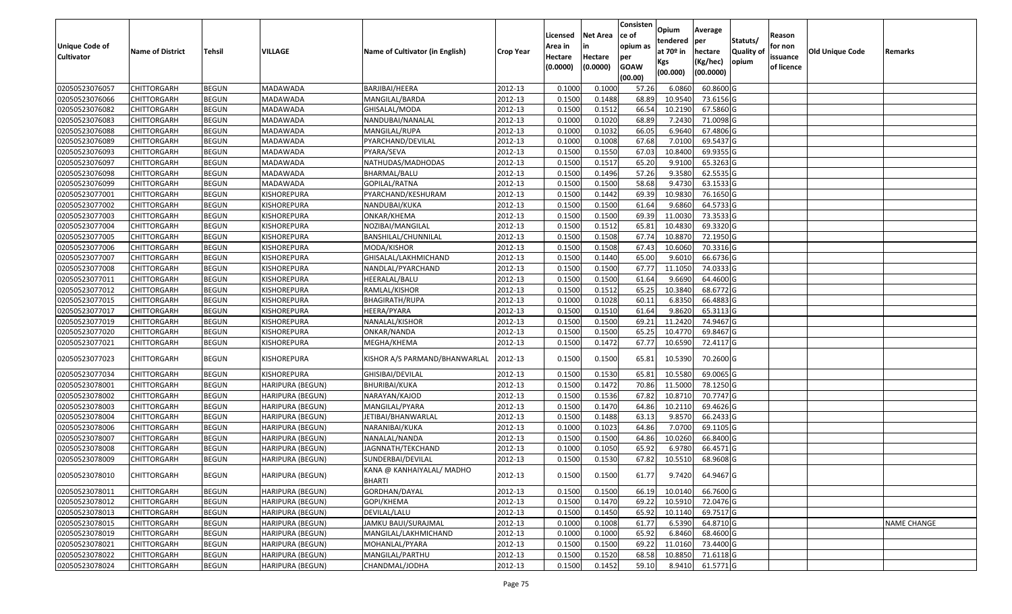| <b>Unique Code of</b><br><b>Cultivator</b> | <b>Name of District</b> | <b>Tehsil</b> | VILLAGE                 | Name of Cultivator (in English)            | <b>Crop Year</b> | Licensed<br>Area in<br>Hectare<br>(0.0000) | <b>Net Area</b><br>in<br>Hectare<br>(0.0000) | Consisten<br>ce of<br>opium as<br>per<br><b>GOAW</b><br>(00.00) | Opium<br>tendered<br>at $70°$ in<br>Kgs<br>(00.000) | Average<br>per<br>hectare<br>(Kg/hec)<br>(00.0000) | Statuts/<br>Quality of<br>opium | Reason<br>for non<br>issuance<br>of licence | <b>Old Unique Code</b> | Remarks            |
|--------------------------------------------|-------------------------|---------------|-------------------------|--------------------------------------------|------------------|--------------------------------------------|----------------------------------------------|-----------------------------------------------------------------|-----------------------------------------------------|----------------------------------------------------|---------------------------------|---------------------------------------------|------------------------|--------------------|
| 02050523076057                             | <b>CHITTORGARH</b>      | <b>BEGUN</b>  | MADAWADA                | BARJIBAI/HEERA                             | 2012-13          | 0.1000                                     | 0.1000                                       | 57.26                                                           | 6.0860                                              | 60.8600 G                                          |                                 |                                             |                        |                    |
| 02050523076066                             | CHITTORGARH             | <b>BEGUN</b>  | MADAWADA                | MANGILAL/BARDA                             | 2012-13          | 0.1500                                     | 0.1488                                       | 68.89                                                           | 10.9540                                             | 73.6156 G                                          |                                 |                                             |                        |                    |
| 02050523076082                             | CHITTORGARH             | <b>BEGUN</b>  | MADAWADA                | GHISALAL/MODA                              | 2012-13          | 0.1500                                     | 0.1512                                       | 66.54                                                           | 10.2190                                             | 67.5860 G                                          |                                 |                                             |                        |                    |
| 02050523076083                             | <b>CHITTORGARH</b>      | <b>BEGUN</b>  | MADAWADA                | NANDUBAI/NANALAL                           | 2012-13          | 0.1000                                     | 0.1020                                       | 68.89                                                           | 7.2430                                              | 71.0098 G                                          |                                 |                                             |                        |                    |
| 02050523076088                             | <b>CHITTORGARH</b>      | <b>BEGUN</b>  | MADAWADA                | MANGILAL/RUPA                              | 2012-13          | 0.1000                                     | 0.1032                                       | 66.05                                                           | 6.9640                                              | 67.4806 G                                          |                                 |                                             |                        |                    |
| 02050523076089                             | CHITTORGARH             | <b>BEGUN</b>  | MADAWADA                | PYARCHAND/DEVILAL                          | 2012-13          | 0.1000                                     | 0.1008                                       | 67.68                                                           | 7.0100                                              | 69.5437 G                                          |                                 |                                             |                        |                    |
| 02050523076093                             | CHITTORGARH             | <b>BEGUN</b>  | MADAWADA                | PYARA/SEVA                                 | 2012-13          | 0.1500                                     | 0.1550                                       | 67.03                                                           | 10.8400                                             | 69.9355 G                                          |                                 |                                             |                        |                    |
| 02050523076097                             | CHITTORGARH             | <b>BEGUN</b>  | MADAWADA                | NATHUDAS/MADHODAS                          | 2012-13          | 0.1500                                     | 0.1517                                       | 65.20                                                           | 9.9100                                              | 65.3263 G                                          |                                 |                                             |                        |                    |
| 02050523076098                             | CHITTORGARH             | <b>BEGUN</b>  | MADAWADA                | BHARMAL/BALU                               | 2012-13          | 0.1500                                     | 0.1496                                       | 57.26                                                           | 9.3580                                              | 62.5535 G                                          |                                 |                                             |                        |                    |
| 02050523076099                             | CHITTORGARH             | <b>BEGUN</b>  | MADAWADA                | GOPILAL/RATNA                              | 2012-13          | 0.1500                                     | 0.1500                                       | 58.68                                                           | 9.4730                                              | 63.1533 G                                          |                                 |                                             |                        |                    |
| 02050523077001                             | CHITTORGARH             | <b>BEGUN</b>  | KISHOREPURA             | PYARCHAND/KESHURAM                         | 2012-13          | 0.1500                                     | 0.1442                                       | 69.39                                                           | 10.9830                                             | 76.1650 G                                          |                                 |                                             |                        |                    |
| 02050523077002                             | CHITTORGARH             | <b>BEGUN</b>  | KISHOREPURA             | NANDUBAI/KUKA                              | 2012-13          | 0.1500                                     | 0.1500                                       | 61.64                                                           | 9.6860                                              | 64.5733 G                                          |                                 |                                             |                        |                    |
| 02050523077003                             | CHITTORGARH             | <b>BEGUN</b>  | KISHOREPURA             | ONKAR/KHEMA                                | 2012-13          | 0.1500                                     | 0.1500                                       | 69.39                                                           | 11.0030                                             | 73.3533 G                                          |                                 |                                             |                        |                    |
| 02050523077004                             | CHITTORGARH             | <b>BEGUN</b>  | KISHOREPURA             | NOZIBAI/MANGILAL                           | 2012-13          | 0.1500                                     | 0.1512                                       | 65.81                                                           | 10.4830                                             | 69.3320 G                                          |                                 |                                             |                        |                    |
| 02050523077005                             | CHITTORGARH             | <b>BEGUN</b>  | KISHOREPURA             | BANSHILAL/CHUNNILAL                        | 2012-13          | 0.1500                                     | 0.1508                                       | 67.74                                                           | 10.8870                                             | 72.1950 G                                          |                                 |                                             |                        |                    |
| 02050523077006                             | CHITTORGARH             | <b>BEGUN</b>  | KISHOREPURA             | MODA/KISHOR                                | 2012-13          | 0.1500                                     | 0.1508                                       | 67.43                                                           | 10.6060                                             | 70.3316 G                                          |                                 |                                             |                        |                    |
| 02050523077007                             | CHITTORGARH             | <b>BEGUN</b>  | KISHOREPURA             | GHISALAL/LAKHMICHAND                       | 2012-13          | 0.1500                                     | 0.1440                                       | 65.00                                                           | 9.6010                                              | 66.6736 G                                          |                                 |                                             |                        |                    |
| 02050523077008                             | CHITTORGARH             | <b>BEGUN</b>  | KISHOREPURA             | NANDLAL/PYARCHAND                          | 2012-13          | 0.1500                                     | 0.1500                                       | 67.77                                                           | 11.105                                              | 74.0333 G                                          |                                 |                                             |                        |                    |
| 02050523077011                             | <b>CHITTORGARH</b>      | <b>BEGUN</b>  | KISHOREPURA             | HEERALAL/BALU                              | 2012-13          | 0.1500                                     | 0.1500                                       | 61.64                                                           | 9.6690                                              | 64.4600 G                                          |                                 |                                             |                        |                    |
| 02050523077012                             | CHITTORGARH             | <b>BEGUN</b>  | KISHOREPURA             | RAMLAL/KISHOR                              | 2012-13          | 0.1500                                     | 0.1512                                       | 65.25                                                           | 10.3840                                             | 68.6772 G                                          |                                 |                                             |                        |                    |
| 02050523077015                             | <b>CHITTORGARH</b>      | <b>BEGUN</b>  | KISHOREPURA             | <b>BHAGIRATH/RUPA</b>                      | 2012-13          | 0.1000                                     | 0.1028                                       | 60.11                                                           | 6.8350                                              | 66.4883 G                                          |                                 |                                             |                        |                    |
| 02050523077017                             | CHITTORGARH             | <b>BEGUN</b>  | KISHOREPURA             | HEERA/PYARA                                | 2012-13          | 0.1500                                     | 0.1510                                       | 61.64                                                           | 9.8620                                              | 65.3113 G                                          |                                 |                                             |                        |                    |
| 02050523077019                             | CHITTORGARH             | <b>BEGUN</b>  | KISHOREPURA             | NANALAL/KISHOR                             | 2012-13          | 0.1500                                     | 0.1500                                       | 69.21                                                           | 11.2420                                             | 74.9467 G                                          |                                 |                                             |                        |                    |
| 02050523077020                             | CHITTORGARH             | <b>BEGUN</b>  | KISHOREPURA             | ONKAR/NANDA                                | 2012-13          | 0.1500                                     | 0.1500                                       | 65.25                                                           | 10.4770                                             | 69.8467 G                                          |                                 |                                             |                        |                    |
| 02050523077021                             | CHITTORGARH             | <b>BEGUN</b>  | KISHOREPURA             | MEGHA/KHEMA                                | 2012-13          | 0.1500                                     | 0.1472                                       | 67.77                                                           | 10.6590                                             | 72.4117 G                                          |                                 |                                             |                        |                    |
| 02050523077023                             | CHITTORGARH             | <b>BEGUN</b>  | <b>KISHOREPURA</b>      | KISHOR A/S PARMAND/BHANWARLAL              | 2012-13          | 0.1500                                     | 0.1500                                       | 65.81                                                           | 10.5390                                             | 70.2600 G                                          |                                 |                                             |                        |                    |
| 02050523077034                             | CHITTORGARH             | <b>BEGUN</b>  | KISHOREPURA             | GHISIBAI/DEVILAL                           | 2012-13          | 0.1500                                     | 0.1530                                       | 65.81                                                           | 10.5580                                             | 69.0065 G                                          |                                 |                                             |                        |                    |
| 02050523078001                             | CHITTORGARH             | <b>BEGUN</b>  | <b>HARIPURA (BEGUN)</b> | <b>BHURIBAI/KUKA</b>                       | 2012-13          | 0.1500                                     | 0.1472                                       | 70.86                                                           | 11.5000                                             | 78.1250 G                                          |                                 |                                             |                        |                    |
| 02050523078002                             | <b>CHITTORGARH</b>      | <b>BEGUN</b>  | HARIPURA (BEGUN)        | NARAYAN/KAJOD                              | 2012-13          | 0.1500                                     | 0.1536                                       | 67.82                                                           | 10.8710                                             | 70.7747 G                                          |                                 |                                             |                        |                    |
| 02050523078003                             | CHITTORGARH             | <b>BEGUN</b>  | HARIPURA (BEGUN)        | MANGILAL/PYARA                             | 2012-13          | 0.1500                                     | 0.1470                                       | 64.86                                                           | 10.2110                                             | 69.4626 G                                          |                                 |                                             |                        |                    |
| 02050523078004                             | <b>CHITTORGARH</b>      | <b>BEGUN</b>  | HARIPURA (BEGUN)        | JETIBAI/BHANWARLAL                         | 2012-13          | 0.1500                                     | 0.1488                                       | 63.13                                                           | 9.8570                                              | 66.2433 G                                          |                                 |                                             |                        |                    |
| 02050523078006                             | CHITTORGARH             | <b>BEGUN</b>  | HARIPURA (BEGUN)        | NARANIBAI/KUKA                             | 2012-13          | 0.1000                                     | 0.1023                                       | 64.86                                                           | 7.0700                                              | 69.1105 G                                          |                                 |                                             |                        |                    |
| 02050523078007                             | <b>CHITTORGARH</b>      | <b>BEGUN</b>  | HARIPURA (BEGUN)        | NANALAL/NANDA                              | 2012-13          | 0.1500                                     | 0.1500                                       | 64.86                                                           | 10.0260                                             | 66.8400 G                                          |                                 |                                             |                        |                    |
| 02050523078008                             | CHITTORGARH             | <b>BEGUN</b>  | HARIPURA (BEGUN)        | JAGNNATH/TEKCHAND                          | 2012-13          | 0.1000                                     | 0.1050                                       | 65.92                                                           | 6.9780                                              | 66.4571 G                                          |                                 |                                             |                        |                    |
| 02050523078009                             | CHITTORGARH             | <b>BEGUN</b>  | <b>HARIPURA (BEGUN)</b> | SUNDERBAI/DEVILAL                          | 2012-13          | 0.1500                                     | 0.1530                                       | 67.82                                                           | 10.5510                                             | 68.9608 G                                          |                                 |                                             |                        |                    |
| 02050523078010                             | <b>CHITTORGARH</b>      | <b>BEGUN</b>  | <b>HARIPURA (BEGUN)</b> | KANA @ KANHAIYALAL/ MADHO<br><b>BHARTI</b> | 2012-13          | 0.1500                                     | 0.1500                                       | 61.77                                                           | 9.7420                                              | 64.9467 G                                          |                                 |                                             |                        |                    |
| 02050523078011                             | <b>CHITTORGARH</b>      | <b>BEGUN</b>  | HARIPURA (BEGUN)        | GORDHAN/DAYAL                              | 2012-13          | 0.1500                                     | 0.1500                                       | 66.19                                                           | 10.0140                                             | 66.7600 G                                          |                                 |                                             |                        |                    |
| 02050523078012                             | <b>CHITTORGARH</b>      | <b>BEGUN</b>  | <b>HARIPURA (BEGUN)</b> | GOPI/KHEMA                                 | 2012-13          | 0.1500                                     | 0.1470                                       | 69.22                                                           | 10.5910                                             | 72.0476 G                                          |                                 |                                             |                        |                    |
| 02050523078013                             | <b>CHITTORGARH</b>      | <b>BEGUN</b>  | <b>HARIPURA (BEGUN)</b> | DEVILAL/LALU                               | 2012-13          | 0.1500                                     | 0.1450                                       | 65.92                                                           | 10.1140                                             | 69.7517 G                                          |                                 |                                             |                        |                    |
| 02050523078015                             | <b>CHITTORGARH</b>      | <b>BEGUN</b>  | HARIPURA (BEGUN)        | JAMKU BAUI/SURAJMAL                        | 2012-13          | 0.1000                                     | 0.1008                                       | 61.77                                                           | 6.5390                                              | 64.8710 G                                          |                                 |                                             |                        | <b>NAME CHANGE</b> |
| 02050523078019                             | <b>CHITTORGARH</b>      | <b>BEGUN</b>  | HARIPURA (BEGUN)        | MANGILAL/LAKHMICHAND                       | 2012-13          | 0.1000                                     | 0.1000                                       | 65.92                                                           | 6.8460                                              | 68.4600 G                                          |                                 |                                             |                        |                    |
| 02050523078021                             | CHITTORGARH             | <b>BEGUN</b>  | HARIPURA (BEGUN)        | MOHANLAL/PYARA                             | 2012-13          | 0.1500                                     | 0.1500                                       | 69.22                                                           | 11.0160                                             | 73.4400 G                                          |                                 |                                             |                        |                    |
| 02050523078022                             | <b>CHITTORGARH</b>      | <b>BEGUN</b>  | HARIPURA (BEGUN)        | MANGILAL/PARTHU                            | 2012-13          | 0.1500                                     | 0.1520                                       | 68.58                                                           | 10.8850                                             | 71.6118 G                                          |                                 |                                             |                        |                    |
| 02050523078024                             | CHITTORGARH             | <b>BEGUN</b>  | HARIPURA (BEGUN)        | CHANDMAL/JODHA                             | 2012-13          | 0.1500                                     | 0.1452                                       | 59.10                                                           | 8.9410                                              | 61.5771 G                                          |                                 |                                             |                        |                    |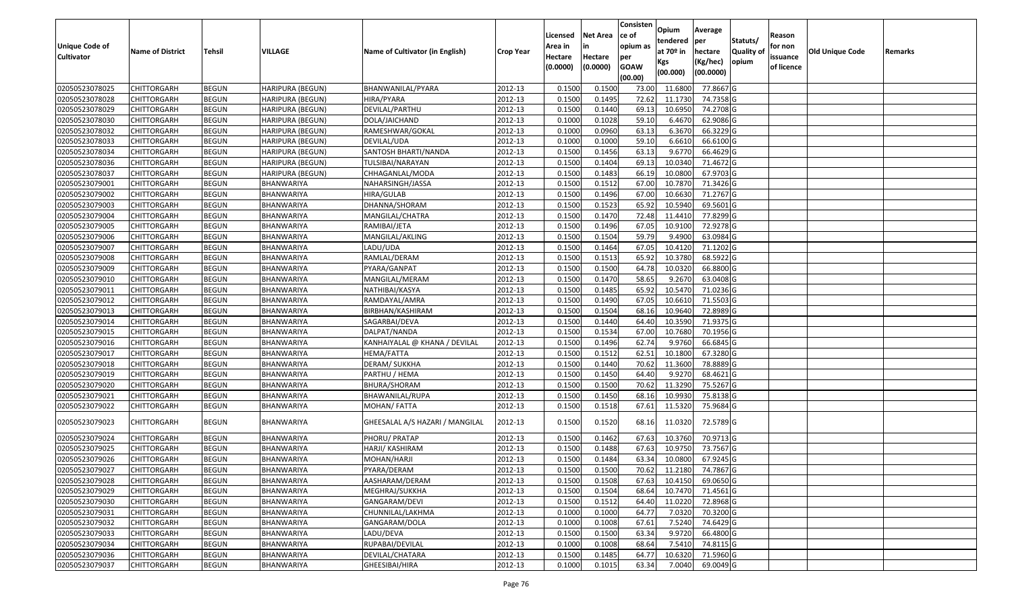| <b>Unique Code of</b><br><b>Cultivator</b> | <b>Name of District</b> | <b>Tehsil</b> | VILLAGE                 | Name of Cultivator (in English) | <b>Crop Year</b> | Licensed<br>Area in<br>Hectare<br>(0.0000) | <b>Net Area</b><br>in<br>Hectare<br>(0.0000) | Consisten<br>ce of<br>opium as<br>per<br><b>GOAW</b><br>(00.00) | Opium<br>tendered<br>at $70°$ in<br>Kgs<br>(00.000) | Average<br>per<br>hectare<br>(Kg/hec)<br>(00.0000) | Statuts/<br>Quality of<br>opium | Reason<br>for non<br>issuance<br>of licence | <b>Old Unique Code</b> | Remarks |
|--------------------------------------------|-------------------------|---------------|-------------------------|---------------------------------|------------------|--------------------------------------------|----------------------------------------------|-----------------------------------------------------------------|-----------------------------------------------------|----------------------------------------------------|---------------------------------|---------------------------------------------|------------------------|---------|
| 02050523078025                             | <b>CHITTORGARH</b>      | <b>BEGUN</b>  | <b>HARIPURA (BEGUN)</b> | BHANWANILAL/PYARA               | 2012-13          | 0.1500                                     | 0.1500                                       | 73.00                                                           | 11.6800                                             | 77.8667 G                                          |                                 |                                             |                        |         |
| 02050523078028                             | CHITTORGARH             | <b>BEGUN</b>  | HARIPURA (BEGUN)        | HIRA/PYARA                      | 2012-13          | 0.1500                                     | 0.1495                                       | 72.62                                                           | 11.1730                                             | 74.7358 G                                          |                                 |                                             |                        |         |
| 02050523078029                             | CHITTORGARH             | <b>BEGUN</b>  | HARIPURA (BEGUN)        | DEVILAL/PARTHU                  | 2012-13          | 0.1500                                     | 0.1440                                       | 69.13                                                           | 10.6950                                             | 74.2708 G                                          |                                 |                                             |                        |         |
| 02050523078030                             | <b>CHITTORGARH</b>      | <b>BEGUN</b>  | HARIPURA (BEGUN)        | DOLA/JAICHAND                   | 2012-13          | 0.1000                                     | 0.1028                                       | 59.1                                                            | 6.4670                                              | 62.9086 G                                          |                                 |                                             |                        |         |
| 02050523078032                             | <b>CHITTORGARH</b>      | <b>BEGUN</b>  | HARIPURA (BEGUN)        | RAMESHWAR/GOKAL                 | 2012-13          | 0.1000                                     | 0.0960                                       | 63.13                                                           | 6.3670                                              | 66.3229 G                                          |                                 |                                             |                        |         |
| 02050523078033                             | CHITTORGARH             | <b>BEGUN</b>  | HARIPURA (BEGUN)        | DEVILAL/UDA                     | 2012-13          | 0.1000                                     | 0.1000                                       | 59.1                                                            | 6.6610                                              | 66.6100 G                                          |                                 |                                             |                        |         |
| 02050523078034                             | <b>CHITTORGARH</b>      | <b>BEGUN</b>  | HARIPURA (BEGUN)        | SANTOSH BHARTI/NANDA            | 2012-13          | 0.1500                                     | 0.1456                                       | 63.13                                                           | 9.6770                                              | 66.4629 G                                          |                                 |                                             |                        |         |
| 02050523078036                             | <b>CHITTORGARH</b>      | <b>BEGUN</b>  | HARIPURA (BEGUN)        | TULSIBAI/NARAYAN                | 2012-13          | 0.1500                                     | 0.1404                                       | 69.13                                                           | 10.0340                                             | 71.4672G                                           |                                 |                                             |                        |         |
| 02050523078037                             | <b>CHITTORGARH</b>      | <b>BEGUN</b>  | HARIPURA (BEGUN)        | CHHAGANLAL/MODA                 | 2012-13          | 0.1500                                     | 0.1483                                       | 66.19                                                           | 10.0800                                             | 67.9703 G                                          |                                 |                                             |                        |         |
| 02050523079001                             | CHITTORGARH             | <b>BEGUN</b>  | BHANWARIYA              | NAHARSINGH/JASSA                | 2012-13          | 0.1500                                     | 0.1512                                       | 67.00                                                           | 10.787                                              | 71.3426 G                                          |                                 |                                             |                        |         |
| 02050523079002                             | <b>CHITTORGARH</b>      | <b>BEGUN</b>  | BHANWARIYA              | HIRA/GULAB                      | 2012-13          | 0.1500                                     | 0.1496                                       | 67.00                                                           | 10.6630                                             | 71.2767 G                                          |                                 |                                             |                        |         |
| 02050523079003                             | CHITTORGARH             | <b>BEGUN</b>  | BHANWARIYA              | DHANNA/SHORAM                   | 2012-13          | 0.1500                                     | 0.1523                                       | 65.92                                                           | 10.5940                                             | 69.5601G                                           |                                 |                                             |                        |         |
| 02050523079004                             | CHITTORGARH             | <b>BEGUN</b>  | BHANWARIYA              | MANGILAL/CHATRA                 | 2012-13          | 0.1500                                     | 0.1470                                       | 72.48                                                           | 11.4410                                             | 77.8299 G                                          |                                 |                                             |                        |         |
| 02050523079005                             | CHITTORGARH             | <b>BEGUN</b>  | BHANWARIYA              | RAMIBAI/JETA                    | 2012-13          | 0.1500                                     | 0.1496                                       | 67.05                                                           | 10.9100                                             | 72.9278 G                                          |                                 |                                             |                        |         |
| 02050523079006                             | CHITTORGARH             | <b>BEGUN</b>  | BHANWARIYA              | MANGILAL/AKLING                 | 2012-13          | 0.1500                                     | 0.1504                                       | 59.79                                                           | 9.4900                                              | 63.0984 G                                          |                                 |                                             |                        |         |
| 02050523079007                             | CHITTORGARH             | <b>BEGUN</b>  | BHANWARIYA              | LADU/UDA                        | 2012-13          | 0.1500                                     | 0.1464                                       | 67.05                                                           | 10.4120                                             | 71.1202G                                           |                                 |                                             |                        |         |
| 02050523079008                             | CHITTORGARH             | <b>BEGUN</b>  | <b>BHANWARIYA</b>       | RAMLAL/DERAM                    | 2012-13          | 0.1500                                     | 0.1513                                       | 65.92                                                           | 10.3780                                             | 68.5922 G                                          |                                 |                                             |                        |         |
| 02050523079009                             | CHITTORGARH             | <b>BEGUN</b>  | BHANWARIYA              | PYARA/GANPAT                    | 2012-13          | 0.1500                                     | 0.1500                                       | 64.78                                                           | 10.0320                                             | 66.8800 G                                          |                                 |                                             |                        |         |
| 02050523079010                             | <b>CHITTORGARH</b>      | <b>BEGUN</b>  | BHANWARIYA              | MANGILAL/MERAM                  | 2012-13          | 0.1500                                     | 0.1470                                       | 58.65                                                           | 9.2670                                              | 63.0408 G                                          |                                 |                                             |                        |         |
| 02050523079011                             | CHITTORGARH             | <b>BEGUN</b>  | BHANWARIYA              | NATHIBAI/KASYA                  | 2012-13          | 0.1500                                     | 0.1485                                       | 65.92                                                           | 10.5470                                             | 71.0236 G                                          |                                 |                                             |                        |         |
| 02050523079012                             | <b>CHITTORGARH</b>      | <b>BEGUN</b>  | BHANWARIYA              | RAMDAYAL/AMRA                   | 2012-13          | 0.1500                                     | 0.1490                                       | 67.05                                                           | 10.6610                                             | 71.5503 G                                          |                                 |                                             |                        |         |
| 02050523079013                             | CHITTORGARH             | <b>BEGUN</b>  | BHANWARIYA              | BIRBHAN/KASHIRAM                | 2012-13          | 0.1500                                     | 0.1504                                       | 68.16                                                           | 10.9640                                             | 72.8989 G                                          |                                 |                                             |                        |         |
| 02050523079014                             | CHITTORGARH             | <b>BEGUN</b>  | BHANWARIYA              | SAGARBAI/DEVA                   | 2012-13          | 0.1500                                     | 0.1440                                       | 64.40                                                           | 10.3590                                             | 71.9375 G                                          |                                 |                                             |                        |         |
| 02050523079015                             | CHITTORGARH             | <b>BEGUN</b>  | BHANWARIYA              | DALPAT/NANDA                    | 2012-13          | 0.1500                                     | 0.1534                                       | 67.00                                                           | 10.7680                                             | 70.1956 G                                          |                                 |                                             |                        |         |
| 02050523079016                             | CHITTORGARH             | <b>BEGUN</b>  | BHANWARIYA              | KANHAIYALAL @ KHANA / DEVILAL   | 2012-13          | 0.1500                                     | 0.1496                                       | 62.74                                                           | 9.9760                                              | 66.6845 G                                          |                                 |                                             |                        |         |
| 02050523079017                             | CHITTORGARH             | <b>BEGUN</b>  | BHANWARIYA              | HEMA/FATTA                      | 2012-13          | 0.1500                                     | 0.1512                                       | 62.51                                                           | 10.1800                                             | 67.3280 G                                          |                                 |                                             |                        |         |
| 02050523079018                             | CHITTORGARH             | <b>BEGUN</b>  | BHANWARIYA              | DERAM/ SUKKHA                   | 2012-13          | 0.1500                                     | 0.1440                                       | 70.62                                                           | 11.3600                                             | 78.8889 G                                          |                                 |                                             |                        |         |
| 02050523079019                             | CHITTORGARH             | <b>BEGUN</b>  | BHANWARIYA              | PARTHU / HEMA                   | 2012-13          | 0.1500                                     | 0.1450                                       | 64.40                                                           | 9.9270                                              | 68.4621 G                                          |                                 |                                             |                        |         |
| 02050523079020                             | <b>CHITTORGARH</b>      | <b>BEGUN</b>  | BHANWARIYA              | BHURA/SHORAM                    | 2012-13          | 0.1500                                     | 0.1500                                       | 70.62                                                           | 11.3290                                             | 75.5267 G                                          |                                 |                                             |                        |         |
| 02050523079021                             | <b>CHITTORGARH</b>      | <b>BEGUN</b>  | BHANWARIYA              | BHAWANILAL/RUPA                 | 2012-13          | 0.1500                                     | 0.1450                                       | 68.1                                                            | 10.9930                                             | 75.8138 G                                          |                                 |                                             |                        |         |
| 02050523079022                             | CHITTORGARH             | <b>BEGUN</b>  | BHANWARIYA              | MOHAN/FATTA                     | 2012-13          | 0.1500                                     | 0.1518                                       | 67.61                                                           | 11.5320                                             | 75.9684 G                                          |                                 |                                             |                        |         |
| 02050523079023                             | CHITTORGARH             | <b>BEGUN</b>  | BHANWARIYA              | GHEESALAL A/S HAZARI / MANGILAL | 2012-13          | 0.1500                                     | 0.1520                                       | 68.16                                                           | 11.0320                                             | 72.5789 G                                          |                                 |                                             |                        |         |
| 02050523079024                             | CHITTORGARH             | <b>BEGUN</b>  | BHANWARIYA              | PHORU/ PRATAP                   | 2012-13          | 0.1500                                     | 0.1462                                       | 67.63                                                           | 10.3760                                             | $\overline{70.9713}$ G                             |                                 |                                             |                        |         |
| 02050523079025                             | CHITTORGARH             | <b>BEGUN</b>  | BHANWARIYA              | HARJI/ KASHIRAM                 | 2012-13          | 0.150                                      | 0.1488                                       | 67.63                                                           | 10.975                                              | 73.7567 G                                          |                                 |                                             |                        |         |
| 02050523079026                             | CHITTORGARH             | <b>BEGUN</b>  | BHANWARIYA              | MOHAN/HARJI                     | 2012-13          | 0.1500                                     | 0.1484                                       | 63.34                                                           | 10.0800                                             | 67.9245 G                                          |                                 |                                             |                        |         |
| 02050523079027                             | <b>CHITTORGARH</b>      | <b>BEGUN</b>  | <b>BHANWARIYA</b>       | PYARA/DERAM                     | 2012-13          | 0.1500                                     | 0.1500                                       | 70.62                                                           | 11.2180                                             | 74.7867 G                                          |                                 |                                             |                        |         |
| 02050523079028                             | <b>CHITTORGARH</b>      | <b>BEGUN</b>  | BHANWARIYA              | AASHARAM/DERAM                  | 2012-13          | 0.1500                                     | 0.1508                                       | 67.63                                                           | 10.4150                                             | 69.0650 G                                          |                                 |                                             |                        |         |
| 02050523079029                             | <b>CHITTORGARH</b>      | <b>BEGUN</b>  | BHANWARIYA              | MEGHRAJ/SUKKHA                  | 2012-13          | 0.1500                                     | 0.1504                                       | 68.64                                                           | 10.7470                                             | 71.4561 G                                          |                                 |                                             |                        |         |
| 02050523079030                             | <b>CHITTORGARH</b>      | <b>BEGUN</b>  | BHANWARIYA              | GANGARAM/DEVI                   | 2012-13          | 0.1500                                     | 0.1512                                       | 64.40                                                           | 11.0220                                             | 72.8968 G                                          |                                 |                                             |                        |         |
| 02050523079031                             | CHITTORGARH             | <b>BEGUN</b>  | BHANWARIYA              | CHUNNILAL/LAKHMA                | 2012-13          | 0.1000                                     | 0.1000                                       | 64.77                                                           | 7.0320                                              | 70.3200 G                                          |                                 |                                             |                        |         |
| 02050523079032                             | <b>CHITTORGARH</b>      | <b>BEGUN</b>  | BHANWARIYA              | GANGARAM/DOLA                   | 2012-13          | 0.1000                                     | 0.1008                                       | 67.61                                                           | 7.5240                                              | 74.6429 G                                          |                                 |                                             |                        |         |
| 02050523079033                             | <b>CHITTORGARH</b>      | <b>BEGUN</b>  | BHANWARIYA              | LADU/DEVA                       | 2012-13          | 0.1500                                     | 0.1500                                       | 63.34                                                           | 9.9720                                              | 66.4800 G                                          |                                 |                                             |                        |         |
| 02050523079034                             | <b>CHITTORGARH</b>      | <b>BEGUN</b>  | <b>BHANWARIYA</b>       | RUPABAI/DEVILAL                 | 2012-13          | 0.1000                                     | 0.1008                                       | 68.64                                                           | 7.5410                                              | 74.8115 G                                          |                                 |                                             |                        |         |
| 02050523079036                             | CHITTORGARH             | <b>BEGUN</b>  | BHANWARIYA              | DEVILAL/CHATARA                 | 2012-13          | 0.1500                                     | 0.1485                                       | 64.77                                                           | 10.6320                                             | 71.5960 G                                          |                                 |                                             |                        |         |
| 02050523079037                             | <b>CHITTORGARH</b>      | <b>BEGUN</b>  | BHANWARIYA              | GHEESIBAI/HIRA                  | 2012-13          | 0.1000                                     | 0.1015                                       | 63.34                                                           | 7.0040                                              | 69.0049 G                                          |                                 |                                             |                        |         |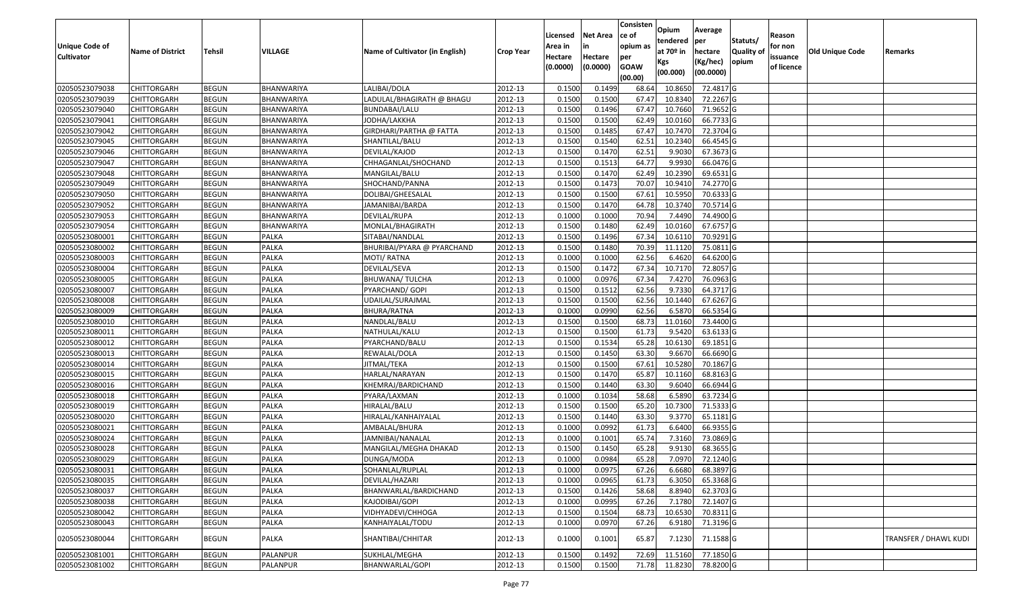|                       |                         |               |                   |                                 |                  |          |                 | Consisten        | Opium       | Average   |                  |            |                 |                       |
|-----------------------|-------------------------|---------------|-------------------|---------------------------------|------------------|----------|-----------------|------------------|-------------|-----------|------------------|------------|-----------------|-----------------------|
|                       |                         |               |                   |                                 |                  | Licensed | <b>Net Area</b> | ce of            | tendered    | per       | Statuts/         | Reason     |                 |                       |
| <b>Unique Code of</b> | <b>Name of District</b> | <b>Tehsil</b> | VILLAGE           | Name of Cultivator (in English) | <b>Crop Year</b> | Area in  |                 | opium as         | at $70°$ in | hectare   | <b>Quality o</b> | for non    | Old Unique Code | Remarks               |
| <b>Cultivator</b>     |                         |               |                   |                                 |                  | Hectare  | Hectare         | per              | Kgs         | (Kg/hec)  | opium            | issuance   |                 |                       |
|                       |                         |               |                   |                                 |                  | (0.0000) | (0.0000)        | <b>GOAW</b>      | (00.000)    | (00.0000) |                  | of licence |                 |                       |
| 02050523079038        | CHITTORGARH             | <b>BEGUN</b>  | BHANWARIYA        | LALIBAI/DOLA                    | 2012-13          | 0.1500   | 0.1499          | (00.00)<br>68.64 | 10.865      | 72.4817 G |                  |            |                 |                       |
| 02050523079039        | CHITTORGARH             | <b>BEGUN</b>  | BHANWARIYA        | LADULAL/BHAGIRATH @ BHAGU       | 2012-13          | 0.1500   | 0.1500          | 67.47            | 10.8340     | 72.2267 G |                  |            |                 |                       |
| 02050523079040        | CHITTORGARH             | <b>BEGUN</b>  | BHANWARIYA        | BUNDABAI/LALU                   | 2012-13          | 0.1500   | 0.1496          | 67.47            | 10.7660     | 71.9652 G |                  |            |                 |                       |
| 02050523079041        | <b>CHITTORGARH</b>      | <b>BEGUN</b>  | <b>BHANWARIYA</b> | JODHA/LAKKHA                    | 2012-13          | 0.1500   | 0.1500          | 62.49            | 10.0160     | 66.7733 G |                  |            |                 |                       |
| 02050523079042        | CHITTORGARH             | <b>BEGUN</b>  | BHANWARIYA        | GIRDHARI/PARTHA @ FATTA         | 2012-13          | 0.1500   | 0.1485          | 67.47            | 10.7470     | 72.3704 G |                  |            |                 |                       |
| 02050523079045        | CHITTORGARH             | <b>BEGUN</b>  | BHANWARIYA        | SHANTILAL/BALU                  | 2012-13          | 0.1500   | 0.1540          | 62.51            | 10.2340     | 66.4545 G |                  |            |                 |                       |
| 02050523079046        | CHITTORGARH             | <b>BEGUN</b>  | BHANWARIYA        | DEVILAL/KAJOD                   | 2012-13          | 0.1500   | 0.1470          | 62.51            | 9.9030      | 67.3673 G |                  |            |                 |                       |
| 02050523079047        | CHITTORGARH             | <b>BEGUN</b>  | BHANWARIYA        | CHHAGANLAL/SHOCHAND             | 2012-13          | 0.1500   | 0.1513          | 64.77            | 9.993       | 66.0476 G |                  |            |                 |                       |
| 02050523079048        | CHITTORGARH             | <b>BEGUN</b>  | BHANWARIYA        | MANGILAL/BALU                   | 2012-13          | 0.1500   | 0.1470          | 62.49            | 10.2390     | 69.6531 G |                  |            |                 |                       |
| 02050523079049        | CHITTORGARH             | <b>BEGUN</b>  | BHANWARIYA        | SHOCHAND/PANNA                  | 2012-13          | 0.1500   | 0.1473          | 70.07            | 10.941      | 74.2770 G |                  |            |                 |                       |
| 02050523079050        | CHITTORGARH             | <b>BEGUN</b>  | BHANWARIYA        | DOLIBAI/GHEESALAL               | 2012-13          | 0.1500   | 0.1500          | 67.61            | 10.5950     | 70.6333 G |                  |            |                 |                       |
| 02050523079052        | <b>CHITTORGARH</b>      | <b>BEGUN</b>  | BHANWARIYA        | JAMANIBAI/BARDA                 | 2012-13          | 0.1500   | 0.1470          | 64.78            | 10.3740     | 70.5714 G |                  |            |                 |                       |
| 02050523079053        | <b>CHITTORGARH</b>      | <b>BEGUN</b>  | BHANWARIYA        | DEVILAL/RUPA                    | 2012-13          | 0.1000   | 0.1000          | 70.94            | 7.4490      | 74.4900 G |                  |            |                 |                       |
| 02050523079054        | CHITTORGARH             | <b>BEGUN</b>  | BHANWARIYA        | MONLAL/BHAGIRATH                | 2012-13          | 0.1500   | 0.1480          | 62.49            | 10.0160     | 67.6757 G |                  |            |                 |                       |
| 02050523080001        | CHITTORGARH             | <b>BEGUN</b>  | PALKA             | SITABAI/NANDLAL                 | 2012-13          | 0.1500   | 0.1496          | 67.34            | 10.6110     | 70.9291G  |                  |            |                 |                       |
| 02050523080002        | CHITTORGARH             | <b>BEGUN</b>  | <b>PALKA</b>      | BHURIBAI/PYARA @ PYARCHAND      | 2012-13          | 0.1500   | 0.1480          | 70.39            | 11.1120     | 75.0811 G |                  |            |                 |                       |
| 02050523080003        | CHITTORGARH             | <b>BEGUN</b>  | PALKA             | MOTI/ RATNA                     | 2012-13          | 0.1000   | 0.1000          | 62.56            | 6.4620      | 64.6200 G |                  |            |                 |                       |
| 02050523080004        | CHITTORGARH             | <b>BEGUN</b>  | <b>PALKA</b>      | DEVILAL/SEVA                    | 2012-13          | 0.1500   | 0.1472          | 67.34            | 10.7170     | 72.8057 G |                  |            |                 |                       |
| 02050523080005        | CHITTORGARH             | <b>BEGUN</b>  | PALKA             | BHUWANA/ TULCHA                 | 2012-13          | 0.1000   | 0.0976          | 67.34            | 7.4270      | 76.0963 G |                  |            |                 |                       |
| 02050523080007        | CHITTORGARH             | <b>BEGUN</b>  | <b>PALKA</b>      | PYARCHAND/ GOPI                 | 2012-13          | 0.1500   | 0.1512          | 62.56            | 9.7330      | 64.3717 G |                  |            |                 |                       |
| 02050523080008        | CHITTORGARH             | <b>BEGUN</b>  | <b>PALKA</b>      | UDAILAL/SURAJMAL                | 2012-13          | 0.1500   | 0.1500          | 62.56            | 10.1440     | 67.6267 G |                  |            |                 |                       |
| 02050523080009        | CHITTORGARH             | <b>BEGUN</b>  | <b>PALKA</b>      | BHURA/RATNA                     | 2012-13          | 0.1000   | 0.0990          | 62.56            | 6.5870      | 66.5354 G |                  |            |                 |                       |
| 02050523080010        | CHITTORGARH             | <b>BEGUN</b>  | <b>PALKA</b>      | NANDLAL/BALU                    | 2012-13          | 0.1500   | 0.1500          | 68.73            | 11.0160     | 73.4400 G |                  |            |                 |                       |
| 02050523080011        | CHITTORGARH             | <b>BEGUN</b>  | <b>PALKA</b>      | NATHULAL/KALU                   | 2012-13          | 0.1500   | 0.1500          | 61.73            | 9.5420      | 63.6133 G |                  |            |                 |                       |
| 02050523080012        | CHITTORGARH             | <b>BEGUN</b>  | PALKA             | PYARCHAND/BALU                  | 2012-13          | 0.1500   | 0.1534          | 65.28            | 10.6130     | 69.1851 G |                  |            |                 |                       |
| 02050523080013        | CHITTORGARH             | <b>BEGUN</b>  | <b>PALKA</b>      | REWALAL/DOLA                    | 2012-13          | 0.1500   | 0.1450          | 63.30            | 9.6670      | 66.6690 G |                  |            |                 |                       |
| 02050523080014        | CHITTORGARH             | <b>BEGUN</b>  | PALKA             | <b>ITMAL/TEKA</b>               | 2012-13          | 0.1500   | 0.1500          | 67.61            | 10.5280     | 70.1867 G |                  |            |                 |                       |
| 02050523080015        | CHITTORGARH             | <b>BEGUN</b>  | <b>PALKA</b>      | HARLAL/NARAYAN                  | 2012-13          | 0.1500   | 0.1470          | 65.87            | 10.1160     | 68.8163 G |                  |            |                 |                       |
| 02050523080016        | CHITTORGARH             | <b>BEGUN</b>  | <b>PALKA</b>      | KHEMRAJ/BARDICHAND              | 2012-13          | 0.1500   | 0.1440          | 63.30            | 9.6040      | 66.6944 G |                  |            |                 |                       |
| 02050523080018        | CHITTORGARH             | <b>BEGUN</b>  | <b>PALKA</b>      | PYARA/LAXMAN                    | 2012-13          | 0.1000   | 0.1034          | 58.68            | 6.5890      | 63.7234 G |                  |            |                 |                       |
| 02050523080019        | CHITTORGARH             | <b>BEGUN</b>  | PALKA             | HIRALAL/BALU                    | 2012-13          | 0.1500   | 0.1500          | 65.20            | 10.7300     | 71.5333 G |                  |            |                 |                       |
| 02050523080020        | CHITTORGARH             | <b>BEGUN</b>  | PALKA             | HIRALAL/KANHAIYALAL             | 2012-13          | 0.1500   | 0.1440          | 63.30            | 9.3770      | 65.1181G  |                  |            |                 |                       |
| 02050523080021        | CHITTORGARH             | <b>BEGUN</b>  | PALKA             | AMBALAL/BHURA                   | 2012-13          | 0.1000   | 0.0992          | 61.73            | 6.6400      | 66.9355 G |                  |            |                 |                       |
| 02050523080024        | CHITTORGARH             | <b>BEGUN</b>  | PALKA             | JAMNIBAI/NANALAL                | 2012-13          | 0.1000   | 0.1001          | 65.74            | 7.3160      | 73.0869 G |                  |            |                 |                       |
| 02050523080028        | CHITTORGARH             | <b>BEGUN</b>  | PALKA             | MANGILAL/MEGHA DHAKAD           | 2012-13          | 0.150    | 0.1450          | 65.28            | 9.913       | 68.3655 G |                  |            |                 |                       |
| 02050523080029        | CHITTORGARH             | <b>BEGUN</b>  | <b>PALKA</b>      | DUNGA/MODA                      | 2012-13          | 0.1000   | 0.0984          | 65.28            | 7.0970      | 72.1240 G |                  |            |                 |                       |
| 02050523080031        | <b>CHITTORGARH</b>      | <b>BEGUN</b>  | PALKA             | SOHANLAL/RUPLAL                 | 2012-13          | 0.1000   | 0.0975          | 67.26            | 6.6680      | 68.3897 G |                  |            |                 |                       |
| 02050523080035        | <b>CHITTORGARH</b>      | <b>BEGUN</b>  | PALKA             | DEVILAL/HAZARI                  | 2012-13          | 0.1000   | 0.0965          | 61.73            | 6.3050      | 65.3368 G |                  |            |                 |                       |
| 02050523080037        | <b>CHITTORGARH</b>      | <b>BEGUN</b>  | PALKA             | BHANWARLAL/BARDICHAND           | 2012-13          | 0.1500   | 0.1426          | 58.68            | 8.8940      | 62.3703 G |                  |            |                 |                       |
| 02050523080038        | <b>CHITTORGARH</b>      | <b>BEGUN</b>  | <b>PALKA</b>      | KAJODIBAI/GOPI                  | 2012-13          | 0.1000   | 0.0995          | 67.26            | 7.1780      | 72.1407 G |                  |            |                 |                       |
| 02050523080042        | <b>CHITTORGARH</b>      | <b>BEGUN</b>  | PALKA             | VIDHYADEVI/CHHOGA               | 2012-13          | 0.1500   | 0.1504          | 68.73            | 10.6530     | 70.8311 G |                  |            |                 |                       |
| 02050523080043        | <b>CHITTORGARH</b>      | <b>BEGUN</b>  | <b>PALKA</b>      | KANHAIYALAL/TODU                | 2012-13          | 0.1000   | 0.0970          | 67.26            | 6.9180      | 71.3196 G |                  |            |                 |                       |
| 02050523080044        | <b>CHITTORGARH</b>      | <b>BEGUN</b>  | PALKA             | SHANTIBAI/CHHITAR               | 2012-13          | 0.1000   | 0.1001          | 65.87            | 7.1230      | 71.1588 G |                  |            |                 | TRANSFER / DHAWL KUDI |
|                       |                         |               |                   |                                 |                  |          |                 |                  |             |           |                  |            |                 |                       |
| 02050523081001        | <b>CHITTORGARH</b>      | <b>BEGUN</b>  | PALANPUR          | SUKHLAL/MEGHA                   | 2012-13          | 0.1500   | 0.1492          | 72.69            | 11.5160     | 77.1850 G |                  |            |                 |                       |
| 02050523081002        | <b>CHITTORGARH</b>      | <b>BEGUN</b>  | PALANPUR          | BHANWARLAL/GOPI                 | 2012-13          | 0.1500   | 0.1500          | 71.78            | 11.8230     | 78.8200G  |                  |            |                 |                       |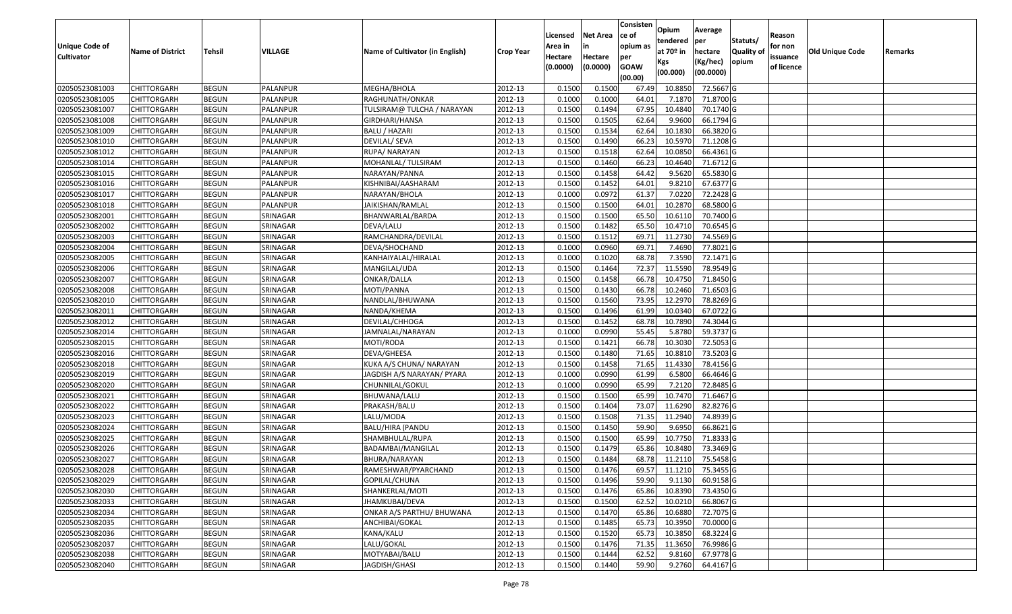|                       |                         |               |                 |                                 |                  |          |                 | Consisten   |                         | Average        |                  |            |                 |         |
|-----------------------|-------------------------|---------------|-----------------|---------------------------------|------------------|----------|-----------------|-------------|-------------------------|----------------|------------------|------------|-----------------|---------|
|                       |                         |               |                 |                                 |                  | Licensed | <b>Net Area</b> | ce of       | Opium                   |                | Statuts/         | Reason     |                 |         |
| <b>Unique Code of</b> | <b>Name of District</b> | <b>Tehsil</b> | VILLAGE         | Name of Cultivator (in English) | <b>Crop Year</b> | Area in  | in              | opium as    | tendered<br>at $70°$ in | per<br>hectare | <b>Quality o</b> | for non    | Old Unique Code | Remarks |
| <b>Cultivator</b>     |                         |               |                 |                                 |                  | Hectare  | Hectare         | per         | Kgs                     | (Kg/hec)       | opium            | issuance   |                 |         |
|                       |                         |               |                 |                                 |                  | (0.0000) | (0.0000)        | <b>GOAW</b> | (00.000)                | (00.0000)      |                  | of licence |                 |         |
|                       |                         |               |                 |                                 |                  |          |                 | (00.00)     |                         |                |                  |            |                 |         |
| 02050523081003        | CHITTORGARH             | <b>BEGUN</b>  | PALANPUR        | MEGHA/BHOLA                     | 2012-13          | 0.1500   | 0.1500          | 67.49       | 10.885                  | 72.5667 G      |                  |            |                 |         |
| 02050523081005        | CHITTORGARH             | <b>BEGUN</b>  | PALANPUR        | RAGHUNATH/ONKAR                 | 2012-13          | 0.1000   | 0.1000          | 64.01       | 7.1870                  | 71.8700 G      |                  |            |                 |         |
| 02050523081007        | CHITTORGARH             | <b>BEGUN</b>  | PALANPUR        | TULSIRAM@ TULCHA / NARAYAN      | 2012-13          | 0.1500   | 0.1494          | 67.95       | 10.4840                 | 70.1740 G      |                  |            |                 |         |
| 02050523081008        | <b>CHITTORGARH</b>      | <b>BEGUN</b>  | <b>PALANPUR</b> | GIRDHARI/HANSA                  | 2012-13          | 0.1500   | 0.1505          | 62.64       | 9.9600                  | 66.1794 G      |                  |            |                 |         |
| 02050523081009        | CHITTORGARH             | <b>BEGUN</b>  | PALANPUR        | <b>BALU / HAZARI</b>            | 2012-13          | 0.1500   | 0.1534          | 62.64       | 10.183                  | 66.3820 G      |                  |            |                 |         |
| 02050523081010        | CHITTORGARH             | <b>BEGUN</b>  | PALANPUR        | DEVILAL/ SEVA                   | 2012-13          | 0.1500   | 0.1490          | 66.23       | 10.5970                 | $71.1208$ G    |                  |            |                 |         |
| 02050523081012        | CHITTORGARH             | <b>BEGUN</b>  | PALANPUR        | RUPA/ NARAYAN                   | 2012-13          | 0.1500   | 0.1518          | 62.64       | 10.085                  | 66.4361 G      |                  |            |                 |         |
| 02050523081014        | CHITTORGARH             | <b>BEGUN</b>  | PALANPUR        | MOHANLAL/ TULSIRAM              | 2012-13          | 0.1500   | 0.1460          | 66.23       | 10.4640                 | 71.6712G       |                  |            |                 |         |
| 02050523081015        | CHITTORGARH             | <b>BEGUN</b>  | PALANPUR        | NARAYAN/PANNA                   | 2012-13          | 0.1500   | 0.1458          | 64.42       | 9.5620                  | 65.5830 G      |                  |            |                 |         |
| 02050523081016        | CHITTORGARH             | <b>BEGUN</b>  | PALANPUR        | KISHNIBAI/AASHARAM              | 2012-13          | 0.1500   | 0.1452          | 64.01       | 9.8210                  | 67.6377 G      |                  |            |                 |         |
| 02050523081017        | CHITTORGARH             | <b>BEGUN</b>  | PALANPUR        | NARAYAN/BHOLA                   | 2012-13          | 0.1000   | 0.0972          | 61.37       | 7.0220                  | 72.2428 G      |                  |            |                 |         |
| 02050523081018        | CHITTORGARH             | <b>BEGUN</b>  | PALANPUR        | JAIKISHAN/RAMLAL                | 2012-13          | 0.1500   | 0.1500          | 64.01       | 10.2870                 | 68.5800 G      |                  |            |                 |         |
| 02050523082001        | <b>CHITTORGARH</b>      | <b>BEGUN</b>  | SRINAGAR        | BHANWARLAL/BARDA                | 2012-13          | 0.1500   | 0.1500          | 65.50       | 10.6110                 | 70.7400 G      |                  |            |                 |         |
| 02050523082002        | <b>CHITTORGARH</b>      | <b>BEGUN</b>  | SRINAGAR        | DEVA/LALU                       | 2012-13          | 0.1500   | 0.1482          | 65.50       | 10.4710                 | 70.6545 G      |                  |            |                 |         |
| 02050523082003        | CHITTORGARH             | <b>BEGUN</b>  | SRINAGAR        | RAMCHANDRA/DEVILAL              | 2012-13          | 0.1500   | 0.1512          | 69.7        | 11.2730                 | 74.5569 G      |                  |            |                 |         |
| 02050523082004        | <b>CHITTORGARH</b>      | <b>BEGUN</b>  | SRINAGAR        | DEVA/SHOCHAND                   | 2012-13          | 0.1000   | 0.0960          | 69.71       | 7.4690                  | 77.8021 G      |                  |            |                 |         |
| 02050523082005        | CHITTORGARH             | <b>BEGUN</b>  | SRINAGAR        | KANHAIYALAL/HIRALAL             | 2012-13          | 0.1000   | 0.1020          | 68.78       | 7.3590                  | 72.1471 G      |                  |            |                 |         |
| 02050523082006        | CHITTORGARH             | <b>BEGUN</b>  | SRINAGAR        | MANGILAL/UDA                    | 2012-13          | 0.1500   | 0.1464          | 72.37       | 11.5590                 | 78.9549 G      |                  |            |                 |         |
| 02050523082007        | CHITTORGARH             | <b>BEGUN</b>  | SRINAGAR        | ONKAR/DALLA                     | 2012-13          | 0.1500   | 0.1458          | 66.78       | 10.475                  | 71.8450 G      |                  |            |                 |         |
| 02050523082008        | CHITTORGARH             | <b>BEGUN</b>  | SRINAGAR        | MOTI/PANNA                      | 2012-13          | 0.1500   | 0.1430          | 66.78       | 10.2460                 | 71.6503 G      |                  |            |                 |         |
| 02050523082010        | CHITTORGARH             | <b>BEGUN</b>  | SRINAGAR        | NANDLAL/BHUWANA                 | 2012-13          | 0.1500   | 0.1560          | 73.95       | 12.2970                 | 78.8269 G      |                  |            |                 |         |
| 02050523082011        | CHITTORGARH             | <b>BEGUN</b>  | SRINAGAR        | NANDA/KHEMA                     | 2012-13          | 0.1500   | 0.1496          | 61.99       | 10.034                  | 67.0722G       |                  |            |                 |         |
| 02050523082012        | CHITTORGARH             | <b>BEGUN</b>  | SRINAGAR        | DEVILAL/CHHOGA                  | 2012-13          | 0.1500   | 0.1452          | 68.78       | 10.7890                 | 74.3044 G      |                  |            |                 |         |
| 02050523082014        | CHITTORGARH             | <b>BEGUN</b>  | SRINAGAR        | JAMNALAL/NARAYAN                | 2012-13          | 0.1000   | 0.0990          | 55.45       | 5.8780                  | 59.3737 G      |                  |            |                 |         |
| 02050523082015        | CHITTORGARH             | <b>BEGUN</b>  | SRINAGAR        | MOTI/RODA                       | 2012-13          | 0.1500   | 0.1421          | 66.78       | 10.3030                 | 72.5053 G      |                  |            |                 |         |
| 02050523082016        | CHITTORGARH             | <b>BEGUN</b>  | SRINAGAR        | DEVA/GHEESA                     | 2012-13          | 0.1500   | 0.1480          | 71.65       | 10.881                  | 73.5203 G      |                  |            |                 |         |
| 02050523082018        | CHITTORGARH             | <b>BEGUN</b>  | SRINAGAR        | KUKA A/S CHUNA/ NARAYAN         | 2012-13          | 0.1500   | 0.1458          | 71.65       | 11.4330                 | 78.4156 G      |                  |            |                 |         |
| 02050523082019        | CHITTORGARH             | <b>BEGUN</b>  | SRINAGAR        | JAGDISH A/S NARAYAN/ PYARA      | 2012-13          | 0.1000   | 0.0990          | 61.99       | 6.5800                  | 66.4646 G      |                  |            |                 |         |
| 02050523082020        | CHITTORGARH             | <b>BEGUN</b>  | SRINAGAR        | CHUNNILAL/GOKUL                 | 2012-13          | 0.1000   | 0.0990          | 65.99       | 7.2120                  | 72.8485 G      |                  |            |                 |         |
| 02050523082021        | CHITTORGARH             | <b>BEGUN</b>  | SRINAGAR        | BHUWANA/LALU                    | 2012-13          | 0.1500   | 0.1500          | 65.99       | 10.7470                 | 71.6467 G      |                  |            |                 |         |
| 02050523082022        | CHITTORGARH             | <b>BEGUN</b>  | SRINAGAR        | PRAKASH/BALU                    | 2012-13          | 0.1500   | 0.1404          | 73.07       | 11.6290                 | 82.8276 G      |                  |            |                 |         |
| 02050523082023        | CHITTORGARH             | <b>BEGUN</b>  | SRINAGAR        | LALU/MODA                       | 2012-13          | 0.1500   | 0.1508          | 71.35       | 11.2940                 | 74.8939 G      |                  |            |                 |         |
| 02050523082024        | CHITTORGARH             | <b>BEGUN</b>  | SRINAGAR        | BALU/HIRA (PANDU                | 2012-13          | 0.1500   | 0.1450          | 59.90       | 9.695                   | 66.8621 G      |                  |            |                 |         |
| 02050523082025        | CHITTORGARH             | <b>BEGUN</b>  | SRINAGAR        | SHAMBHULAL/RUPA                 | 2012-13          | 0.1500   | 0.1500          | 65.99       | 10.775                  | 71.8333 G      |                  |            |                 |         |
| 02050523082026        | CHITTORGARH             | <b>BEGUN</b>  | SRINAGAR        | BADAMBAI/MANGILAL               | 2012-13          | 0.1500   | 0.1479          | 65.86       | 10.8480                 | 73.3469 G      |                  |            |                 |         |
| 02050523082027        | CHITTORGARH             | <b>BEGUN</b>  | SRINAGAR        | BHURA/NARAYAN                   | 2012-13          | 0.1500   | 0.1484          | 68.78       | 11.2110                 | 75.5458 G      |                  |            |                 |         |
| 02050523082028        | <b>CHITTORGARH</b>      | <b>BEGUN</b>  | SRINAGAR        | RAMESHWAR/PYARCHAND             | 2012-13          | 0.1500   | 0.1476          |             | 69.57 11.1210           | 75.3455 G      |                  |            |                 |         |
| 02050523082029        | <b>CHITTORGARH</b>      | <b>BEGUN</b>  | SRINAGAR        | GOPILAL/CHUNA                   | 2012-13          | 0.1500   | 0.1496          | 59.90       | 9.1130                  | 60.9158 G      |                  |            |                 |         |
| 02050523082030        | <b>CHITTORGARH</b>      | <b>BEGUN</b>  | SRINAGAR        | SHANKERLAL/MOTI                 | 2012-13          | 0.1500   | 0.1476          | 65.86       | 10.8390                 | 73.4350 G      |                  |            |                 |         |
| 02050523082033        | <b>CHITTORGARH</b>      | <b>BEGUN</b>  | SRINAGAR        | JHAMKUBAI/DEVA                  | 2012-13          | 0.1500   | 0.1500          | 62.52       | 10.0210                 | 66.8067 G      |                  |            |                 |         |
| 02050523082034        | <b>CHITTORGARH</b>      | <b>BEGUN</b>  | SRINAGAR        | ONKAR A/S PARTHU/ BHUWANA       | 2012-13          | 0.1500   | 0.1470          | 65.86       | 10.6880                 | 72.7075 G      |                  |            |                 |         |
| 02050523082035        | <b>CHITTORGARH</b>      | <b>BEGUN</b>  | SRINAGAR        | ANCHIBAI/GOKAL                  | 2012-13          | 0.1500   | 0.1485          | 65.73       | 10.3950                 | 70.0000G       |                  |            |                 |         |
| 02050523082036        | <b>CHITTORGARH</b>      | <b>BEGUN</b>  | SRINAGAR        | KANA/KALU                       | 2012-13          | 0.1500   | 0.1520          | 65.73       | 10.3850                 | 68.3224 G      |                  |            |                 |         |
| 02050523082037        | <b>CHITTORGARH</b>      | <b>BEGUN</b>  | SRINAGAR        | LALU/GOKAL                      | 2012-13          | 0.1500   | 0.1476          | 71.35       | 11.3650                 | 76.9986 G      |                  |            |                 |         |
| 02050523082038        | <b>CHITTORGARH</b>      | <b>BEGUN</b>  | SRINAGAR        | MOTYABAI/BALU                   | 2012-13          | 0.1500   | 0.1444          | 62.52       | 9.8160                  | 67.9778 G      |                  |            |                 |         |
| 02050523082040        | <b>CHITTORGARH</b>      | <b>BEGUN</b>  | SRINAGAR        | JAGDISH/GHASI                   | 2012-13          | 0.1500   | 0.1440          | 59.90       | 9.2760                  | 64.4167 G      |                  |            |                 |         |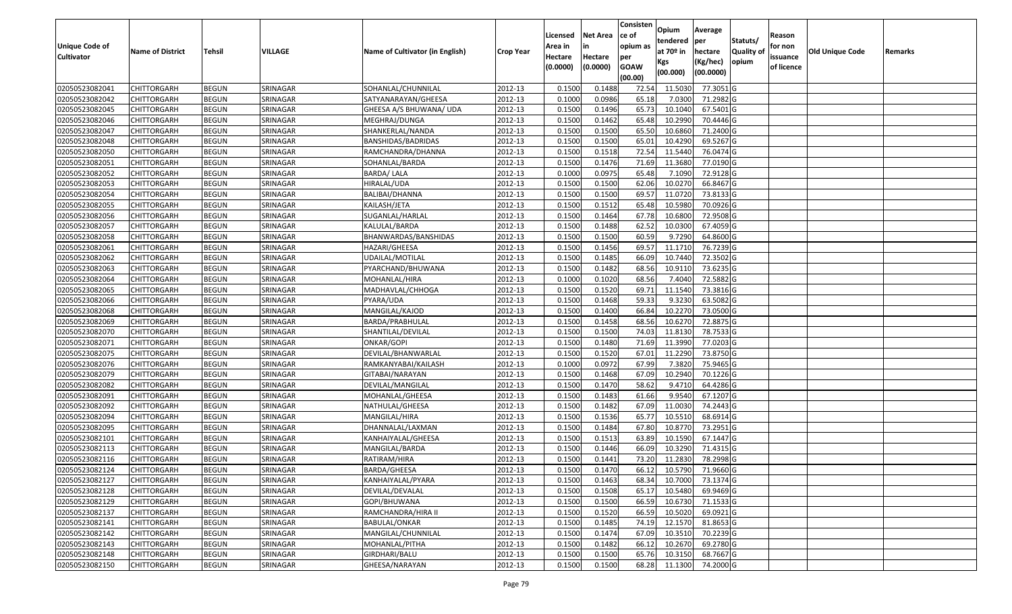|                   |                         |               |          |                                 |                  |          |                 | Consisten   | Opium       | Average                 |                  |            |                 |         |
|-------------------|-------------------------|---------------|----------|---------------------------------|------------------|----------|-----------------|-------------|-------------|-------------------------|------------------|------------|-----------------|---------|
|                   |                         |               |          |                                 |                  | Licensed | <b>Net Area</b> | lce of      | tendered    | per                     | Statuts/         | Reason     |                 |         |
| Unique Code of    | <b>Name of District</b> | <b>Tehsil</b> | VILLAGE  | Name of Cultivator (in English) | <b>Crop Year</b> | Area in  | in              | opium as    | at $70°$ in | hectare                 | <b>Quality o</b> | for non    | Old Unique Code | Remarks |
| <b>Cultivator</b> |                         |               |          |                                 |                  | Hectare  | Hectare         | per         | Kgs         | (Kg/hec)                | opium            | issuance   |                 |         |
|                   |                         |               |          |                                 |                  | (0.0000) | (0.0000)        | <b>GOAW</b> | (00.000)    | (00.0000)               |                  | of licence |                 |         |
|                   |                         |               |          |                                 |                  |          |                 | (00.00)     |             |                         |                  |            |                 |         |
| 02050523082041    | CHITTORGARH             | <b>BEGUN</b>  | SRINAGAR | SOHANLAL/CHUNNILAL              | 2012-13          | 0.1500   | 0.1488          | 72.54       | 11.503      | 77.3051 G               |                  |            |                 |         |
| 02050523082042    | CHITTORGARH             | <b>BEGUN</b>  | SRINAGAR | SATYANARAYAN/GHEESA             | 2012-13          | 0.1000   | 0.0986          | 65.18       | 7.0300      | 71.2982 G               |                  |            |                 |         |
| 02050523082045    | CHITTORGARH             | <b>BEGUN</b>  | SRINAGAR | GHEESA A/S BHUWANA/ UDA         | 2012-13          | 0.1500   | 0.1496          | 65.73       | 10.1040     | 67.5401 G               |                  |            |                 |         |
| 02050523082046    | <b>CHITTORGARH</b>      | <b>BEGUN</b>  | SRINAGAR | MEGHRAJ/DUNGA                   | 2012-13          | 0.1500   | 0.1462          | 65.48       | 10.2990     | 70.4446 G               |                  |            |                 |         |
| 02050523082047    | CHITTORGARH             | <b>BEGUN</b>  | SRINAGAR | SHANKERLAL/NANDA                | 2012-13          | 0.1500   | 0.1500          | 65.50       | 10.6860     | 71.2400 G               |                  |            |                 |         |
| 02050523082048    | CHITTORGARH             | <b>BEGUN</b>  | SRINAGAR | BANSHIDAS/BADRIDAS              | 2012-13          | 0.1500   | 0.1500          | 65.01       | 10.4290     | 69.5267 G               |                  |            |                 |         |
| 02050523082050    | CHITTORGARH             | <b>BEGUN</b>  | SRINAGAR | RAMCHANDRA/DHANNA               | 2012-13          | 0.1500   | 0.1518          | 72.54       | 11.5440     | 76.0474 G               |                  |            |                 |         |
| 02050523082051    | CHITTORGARH             | <b>BEGUN</b>  | SRINAGAR | SOHANLAL/BARDA                  | 2012-13          | 0.1500   | 0.1476          | 71.69       | 11.3680     | 77.0190G                |                  |            |                 |         |
| 02050523082052    | CHITTORGARH             | <b>BEGUN</b>  | SRINAGAR | <b>BARDA/ LALA</b>              | 2012-13          | 0.1000   | 0.0975          | 65.48       | 7.1090      | 72.9128 G               |                  |            |                 |         |
| 02050523082053    | CHITTORGARH             | <b>BEGUN</b>  | SRINAGAR | HIRALAL/UDA                     | 2012-13          | 0.1500   | 0.1500          | 62.06       | 10.0270     | 66.8467 G               |                  |            |                 |         |
| 02050523082054    | CHITTORGARH             | <b>BEGUN</b>  | SRINAGAR | BALIBAI/DHANNA                  | 2012-13          | 0.1500   | 0.1500          | 69.57       | 11.0720     | 73.8133 G               |                  |            |                 |         |
| 02050523082055    | CHITTORGARH             | <b>BEGUN</b>  | SRINAGAR | KAILASH/JETA                    | 2012-13          | 0.1500   | 0.1512          | 65.48       | 10.5980     | 70.0926 G               |                  |            |                 |         |
| 02050523082056    | <b>CHITTORGARH</b>      | <b>BEGUN</b>  | SRINAGAR | SUGANLAL/HARLAL                 | 2012-13          | 0.1500   | 0.1464          | 67.78       | 10.6800     | 72.9508 G               |                  |            |                 |         |
| 02050523082057    | CHITTORGARH             | <b>BEGUN</b>  | SRINAGAR | KALULAL/BARDA                   | 2012-13          | 0.1500   | 0.1488          | 62.52       | 10.0300     | 67.4059 G               |                  |            |                 |         |
| 02050523082058    | CHITTORGARH             | <b>BEGUN</b>  | SRINAGAR | BHANWARDAS/BANSHIDAS            | 2012-13          | 0.1500   | 0.1500          | 60.59       | 9.7290      | 64.8600 G               |                  |            |                 |         |
| 02050523082061    | <b>CHITTORGARH</b>      | <b>BEGUN</b>  | SRINAGAR | HAZARI/GHEESA                   | 2012-13          | 0.1500   | 0.1456          | 69.57       | 11.1710     | 76.7239 G               |                  |            |                 |         |
| 02050523082062    | CHITTORGARH             | <b>BEGUN</b>  | SRINAGAR | UDAILAL/MOTILAL                 | 2012-13          | 0.1500   | 0.1485          | 66.09       | 10.7440     | 72.3502 G               |                  |            |                 |         |
| 02050523082063    | CHITTORGARH             | <b>BEGUN</b>  | SRINAGAR | PYARCHAND/BHUWANA               | 2012-13          | 0.1500   | 0.1482          | 68.56       | 10.9110     | 73.6235 G               |                  |            |                 |         |
| 02050523082064    | CHITTORGARH             | <b>BEGUN</b>  | SRINAGAR | MOHANLAL/HIRA                   | 2012-13          | 0.1000   | 0.1020          | 68.56       | 7.4040      | 72.5882 G               |                  |            |                 |         |
| 02050523082065    | CHITTORGARH             | <b>BEGUN</b>  | SRINAGAR | MADHAVLAL/CHHOGA                | 2012-13          | 0.1500   | 0.1520          | 69.7        | 11.1540     | 73.3816 G               |                  |            |                 |         |
| 02050523082066    | CHITTORGARH             | <b>BEGUN</b>  | SRINAGAR | PYARA/UDA                       | 2012-13          | 0.1500   | 0.1468          | 59.33       | 9.3230      | 63.5082G                |                  |            |                 |         |
| 02050523082068    | CHITTORGARH             | <b>BEGUN</b>  | SRINAGAR | MANGILAL/KAJOD                  | 2012-13          | 0.150    | 0.1400          | 66.84       | 10.2270     | 73.0500G                |                  |            |                 |         |
| 02050523082069    | CHITTORGARH             | <b>BEGUN</b>  | SRINAGAR | BARDA/PRABHULAL                 | 2012-13          | 0.1500   | 0.1458          | 68.56       | 10.6270     | 72.8875 G               |                  |            |                 |         |
| 02050523082070    | <b>CHITTORGARH</b>      | <b>BEGUN</b>  | SRINAGAR | SHANTILAL/DEVILAL               | 2012-13          | 0.1500   | 0.1500          | 74.03       | 11.8130     | 78.7533 G               |                  |            |                 |         |
| 02050523082071    | <b>CHITTORGARH</b>      | <b>BEGUN</b>  | SRINAGAR | ONKAR/GOPI                      | 2012-13          | 0.1500   | 0.1480          | 71.69       | 11.3990     | 77.0203 G               |                  |            |                 |         |
| 02050523082075    | CHITTORGARH             | <b>BEGUN</b>  | SRINAGAR | DEVILAL/BHANWARLAL              | 2012-13          | 0.1500   | 0.1520          | 67.01       | 11.2290     | 73.8750 G               |                  |            |                 |         |
| 02050523082076    | CHITTORGARH             | <b>BEGUN</b>  | SRINAGAR | RAMKANYABAI/KAILASH             | 2012-13          | 0.1000   | 0.0972          | 67.99       | 7.3820      | 75.9465 G               |                  |            |                 |         |
| 02050523082079    | CHITTORGARH             | <b>BEGUN</b>  | SRINAGAR | GITABAI/NARAYAN                 | 2012-13          | 0.1500   | 0.1468          | 67.09       | 10.2940     | 70.1226 G               |                  |            |                 |         |
| 02050523082082    | CHITTORGARH             | <b>BEGUN</b>  | SRINAGAR | DEVILAL/MANGILAL                | 2012-13          | 0.1500   | 0.1470          | 58.62       | 9.4710      | 64.4286 G               |                  |            |                 |         |
| 02050523082091    | CHITTORGARH             | <b>BEGUN</b>  | SRINAGAR | MOHANLAL/GHEESA                 | 2012-13          | 0.1500   | 0.1483          | 61.66       | 9.9540      | 67.1207 G               |                  |            |                 |         |
| 02050523082092    | CHITTORGARH             | <b>BEGUN</b>  | SRINAGAR | NATHULAL/GHEESA                 | 2012-13          | 0.1500   | 0.1482          | 67.09       | 11.003      | 74.2443 G               |                  |            |                 |         |
| 02050523082094    | CHITTORGARH             | <b>BEGUN</b>  | SRINAGAR | MANGILAL/HIRA                   | 2012-13          | 0.1500   | 0.1536          | 65.77       | 10.551      | 68.6914 G               |                  |            |                 |         |
| 02050523082095    | CHITTORGARH             | <b>BEGUN</b>  | SRINAGAR | DHANNALAL/LAXMAN                | 2012-13          | 0.1500   | 0.1484          | 67.80       | 10.8770     | 73.2951G                |                  |            |                 |         |
| 02050523082101    | CHITTORGARH             | <b>BEGUN</b>  | SRINAGAR | KANHAIYALAL/GHEESA              | 2012-13          | 0.1500   | 0.1513          | 63.89       | 10.1590     | 67.1447 G               |                  |            |                 |         |
| 02050523082113    | CHITTORGARH             | <b>BEGUN</b>  | SRINAGAR | MANGILAL/BARDA                  | 2012-13          | 0.1500   | 0.1446          | 66.09       | 10.3290     | 71.4315 G               |                  |            |                 |         |
| 02050523082116    | CHITTORGARH             | <b>BEGUN</b>  | SRINAGAR | RATIRAM/HIRA                    | 2012-13          | 0.1500   | 0.1441          | 73.20       | 11.2830     | 78.2998 G               |                  |            |                 |         |
| 02050523082124    | <b>CHITTORGARH</b>      | <b>BEGUN</b>  | SRINAGAR | BARDA/GHEESA                    | 2012-13          | 0.1500   | 0.1470          |             |             | 66.12 10.5790 71.9660 G |                  |            |                 |         |
| 02050523082127    | <b>CHITTORGARH</b>      | <b>BEGUN</b>  | SRINAGAR | KANHAIYALAL/PYARA               | 2012-13          | 0.1500   | 0.1463          | 68.34       | 10.7000     | 73.1374 G               |                  |            |                 |         |
| 02050523082128    | <b>CHITTORGARH</b>      | <b>BEGUN</b>  | SRINAGAR | DEVILAL/DEVALAL                 | 2012-13          | 0.1500   | 0.1508          | 65.17       | 10.5480     | 69.9469 G               |                  |            |                 |         |
| 02050523082129    | <b>CHITTORGARH</b>      | <b>BEGUN</b>  | SRINAGAR | GOPI/BHUWANA                    | 2012-13          | 0.1500   | 0.1500          | 66.59       | 10.6730     | 71.1533 G               |                  |            |                 |         |
| 02050523082137    | CHITTORGARH             | <b>BEGUN</b>  | SRINAGAR | RAMCHANDRA/HIRA II              | 2012-13          | 0.1500   | 0.1520          | 66.59       | 10.5020     | 69.0921 G               |                  |            |                 |         |
| 02050523082141    | <b>CHITTORGARH</b>      | <b>BEGUN</b>  | SRINAGAR | <b>BABULAL/ONKAR</b>            | 2012-13          | 0.1500   | 0.1485          | 74.19       | 12.1570     | 81.8653 G               |                  |            |                 |         |
| 02050523082142    | <b>CHITTORGARH</b>      | <b>BEGUN</b>  | SRINAGAR | MANGILAL/CHUNNILAL              | 2012-13          | 0.1500   | 0.1474          | 67.09       | 10.3510     | 70.2239 G               |                  |            |                 |         |
| 02050523082143    | <b>CHITTORGARH</b>      | <b>BEGUN</b>  | SRINAGAR | MOHANLAL/PITHA                  | 2012-13          | 0.1500   | 0.1482          | 66.12       | 10.2670     | 69.2780 G               |                  |            |                 |         |
| 02050523082148    | <b>CHITTORGARH</b>      | <b>BEGUN</b>  | SRINAGAR | GIRDHARI/BALU                   | 2012-13          | 0.1500   | 0.1500          | 65.76       | 10.3150     | 68.7667 G               |                  |            |                 |         |
| 02050523082150    | <b>CHITTORGARH</b>      | <b>BEGUN</b>  | SRINAGAR | GHEESA/NARAYAN                  | 2012-13          | 0.1500   | 0.1500          | 68.28       | 11.1300     | 74.2000 G               |                  |            |                 |         |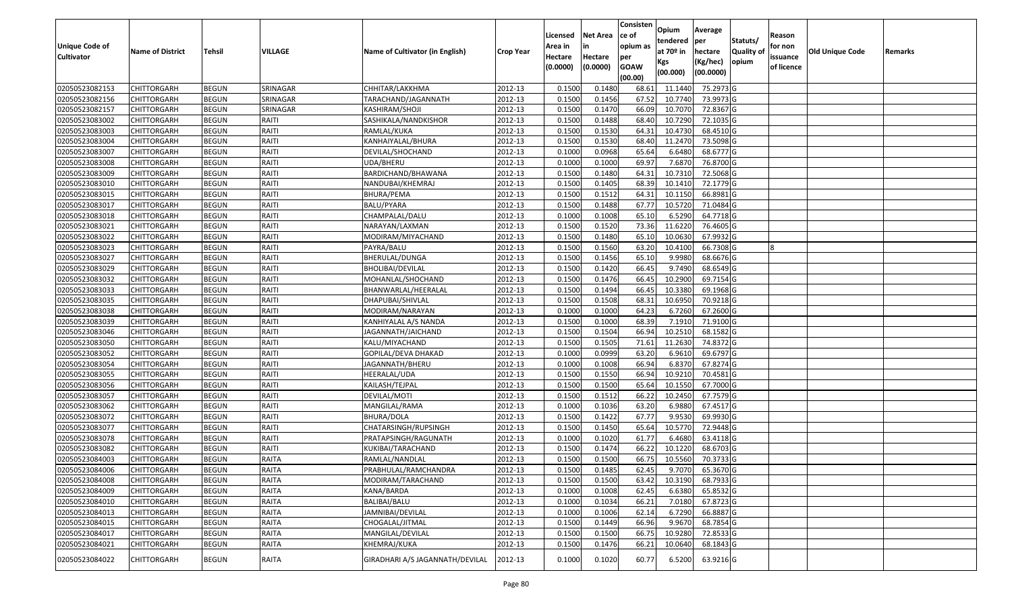|                       |                         |               |              |                                 |                  | Licensed | <b>Net Area</b> | Consisten<br>ce of | Opium       | Average   |                  | Reason     |                 |         |
|-----------------------|-------------------------|---------------|--------------|---------------------------------|------------------|----------|-----------------|--------------------|-------------|-----------|------------------|------------|-----------------|---------|
| <b>Unique Code of</b> |                         |               |              |                                 |                  | Area in  |                 | opium as           | tendered    | per       | Statuts/         | for non    |                 |         |
| <b>Cultivator</b>     | <b>Name of District</b> | <b>Tehsil</b> | VILLAGE      | Name of Cultivator (in English) | <b>Crop Year</b> | Hectare  | Hectare         | per                | at $70°$ in | hectare   | <b>Quality o</b> | issuance   | Old Unique Code | Remarks |
|                       |                         |               |              |                                 |                  | (0.0000) | (0.0000)        | <b>GOAW</b>        | Kgs         | (Kg/hec)  | opium            | of licence |                 |         |
|                       |                         |               |              |                                 |                  |          |                 | (00.00)            | (00.000)    | (00.0000) |                  |            |                 |         |
| 02050523082153        | CHITTORGARH             | <b>BEGUN</b>  | SRINAGAR     | CHHITAR/LAKKHMA                 | 2012-13          | 0.1500   | 0.1480          | 68.61              | 11.1440     | 75.2973 G |                  |            |                 |         |
| 02050523082156        | CHITTORGARH             | <b>BEGUN</b>  | SRINAGAR     | TARACHAND/JAGANNATH             | 2012-13          | 0.1500   | 0.1456          | 67.52              | 10.7740     | 73.9973 G |                  |            |                 |         |
| 02050523082157        | CHITTORGARH             | <b>BEGUN</b>  | SRINAGAR     | KASHIRAM/SHOJI                  | 2012-13          | 0.1500   | 0.1470          | 66.09              | 10.7070     | 72.8367 G |                  |            |                 |         |
| 02050523083002        | <b>CHITTORGARH</b>      | <b>BEGUN</b>  | RAITI        | SASHIKALA/NANDKISHOR            | 2012-13          | 0.1500   | 0.1488          | 68.40              | 10.7290     | 72.1035 G |                  |            |                 |         |
| 02050523083003        | CHITTORGARH             | <b>BEGUN</b>  | RAITI        | RAMLAL/KUKA                     | 2012-13          | 0.1500   | 0.1530          | 64.3               | 10.4730     | 68.4510 G |                  |            |                 |         |
| 02050523083004        | CHITTORGARH             | <b>BEGUN</b>  | RAITI        | KANHAIYALAL/BHURA               | 2012-13          | 0.1500   | 0.1530          | 68.40              | 11.2470     | 73.5098 G |                  |            |                 |         |
| 02050523083007        | CHITTORGARH             | <b>BEGUN</b>  | RAITI        | DEVILAL/SHOCHAND                | 2012-13          | 0.1000   | 0.0968          | 65.64              | 6.6480      | 68.6777 G |                  |            |                 |         |
| 02050523083008        | CHITTORGARH             | <b>BEGUN</b>  | RAITI        | UDA/BHERU                       | 2012-13          | 0.1000   | 0.1000          | 69.97              | 7.6870      | 76.8700G  |                  |            |                 |         |
| 02050523083009        | CHITTORGARH             | <b>BEGUN</b>  | RAITI        | BARDICHAND/BHAWANA              | 2012-13          | 0.1500   | 0.1480          | 64.31              | 10.731      | 72.5068 G |                  |            |                 |         |
| 02050523083010        | CHITTORGARH             | <b>BEGUN</b>  | RAITI        | NANDUBAI/KHEMRAJ                | 2012-13          | 0.1500   | 0.1405          | 68.39              | 10.1410     | 72.1779 G |                  |            |                 |         |
| 02050523083015        | CHITTORGARH             | <b>BEGUN</b>  | RAITI        | BHURA/PEMA                      | 2012-13          | 0.1500   | 0.1512          | 64.31              | 10.1150     | 66.8981G  |                  |            |                 |         |
| 02050523083017        | CHITTORGARH             | <b>BEGUN</b>  | RAITI        | BALU/PYARA                      | 2012-13          | 0.1500   | 0.1488          | 67.77              | 10.5720     | 71.0484 G |                  |            |                 |         |
| 02050523083018        | <b>CHITTORGARH</b>      | <b>BEGUN</b>  | RAITI        | CHAMPALAL/DALU                  | 2012-13          | 0.1000   | 0.1008          | 65.10              | 6.5290      | 64.7718 G |                  |            |                 |         |
| 02050523083021        | CHITTORGARH             | <b>BEGUN</b>  | RAITI        | NARAYAN/LAXMAN                  | 2012-13          | 0.1500   | 0.1520          | 73.36              | 11.6220     | 76.4605 G |                  |            |                 |         |
| 02050523083022        | <b>CHITTORGARH</b>      | <b>BEGUN</b>  | RAITI        | MODIRAM/MIYACHAND               | 2012-13          | 0.1500   | 0.1480          | 65.10              | 10.0630     | 67.9932 G |                  |            |                 |         |
| 02050523083023        | CHITTORGARH             | <b>BEGUN</b>  | RAITI        | PAYRA/BALU                      | 2012-13          | 0.1500   | 0.1560          | 63.20              | 10.4100     | 66.7308 G |                  |            |                 |         |
| 02050523083027        | CHITTORGARH             | <b>BEGUN</b>  | RAITI        | BHERULAL/DUNGA                  | 2012-13          | 0.1500   | 0.1456          | 65.10              | 9.9980      | 68.6676 G |                  |            |                 |         |
| 02050523083029        | CHITTORGARH             | <b>BEGUN</b>  | RAITI        | BHOLIBAI/DEVILAL                | 2012-13          | 0.1500   | 0.1420          | 66.45              | 9.7490      | 68.6549 G |                  |            |                 |         |
| 02050523083032        | CHITTORGARH             | <b>BEGUN</b>  | RAITI        | MOHANLAL/SHOCHAND               | 2012-13          | 0.1500   | 0.1476          | 66.45              | 10.2900     | 69.7154 G |                  |            |                 |         |
| 02050523083033        | CHITTORGARH             | <b>BEGUN</b>  | RAITI        | BHANWARLAL/HEERALAL             | 2012-13          | 0.1500   | 0.1494          | 66.45              | 10.3380     | 69.1968 G |                  |            |                 |         |
| 02050523083035        | CHITTORGARH             | <b>BEGUN</b>  | RAITI        | DHAPUBAI/SHIVLAL                | 2012-13          | 0.1500   | 0.1508          | 68.3               | 10.6950     | 70.9218 G |                  |            |                 |         |
| 02050523083038        | CHITTORGARH             | <b>BEGUN</b>  | RAITI        | MODIRAM/NARAYAN                 | 2012-13          | 0.1000   | 0.1000          | 64.23              | 6.7260      | 67.2600 G |                  |            |                 |         |
| 02050523083039        | CHITTORGARH             | <b>BEGUN</b>  | RAITI        | KANHIYALAL A/S NANDA            | 2012-13          | 0.1500   | 0.1000          | 68.39              | 7.1910      | 71.9100G  |                  |            |                 |         |
| 02050523083046        | CHITTORGARH             | <b>BEGUN</b>  | RAITI        | JAGANNATH/JAICHAND              | 2012-13          | 0.1500   | 0.1504          | 66.94              | 10.2510     | 68.1582 G |                  |            |                 |         |
| 02050523083050        | <b>CHITTORGARH</b>      | <b>BEGUN</b>  | RAITI        | KALU/MIYACHAND                  | 2012-13          | 0.1500   | 0.1505          | 71.61              | 11.2630     | 74.8372 G |                  |            |                 |         |
| 02050523083052        | CHITTORGARH             | <b>BEGUN</b>  | RAITI        | GOPILAL/DEVA DHAKAD             | 2012-13          | 0.1000   | 0.0999          | 63.20              | 6.9610      | 69.6797 G |                  |            |                 |         |
| 02050523083054        | CHITTORGARH             | <b>BEGUN</b>  | RAITI        | JAGANNATH/BHERU                 | 2012-13          | 0.1000   | 0.1008          | 66.94              | 6.8370      | 67.8274 G |                  |            |                 |         |
| 02050523083055        | CHITTORGARH             | <b>BEGUN</b>  | RAITI        | HEERALAL/UDA                    | 2012-13          | 0.1500   | 0.1550          | 66.94              | 10.9210     | 70.4581G  |                  |            |                 |         |
| 02050523083056        | CHITTORGARH             | <b>BEGUN</b>  | RAITI        | KAILASH/TEJPAL                  | 2012-13          | 0.1500   | 0.1500          | 65.64              | 10.1550     | 67.7000 G |                  |            |                 |         |
| 02050523083057        | CHITTORGARH             | <b>BEGUN</b>  | RAITI        | DEVILAL/MOTI                    | 2012-13          | 0.1500   | 0.1512          | 66.22              | 10.2450     | 67.7579 G |                  |            |                 |         |
| 02050523083062        | CHITTORGARH             | <b>BEGUN</b>  | RAITI        | MANGILAL/RAMA                   | 2012-13          | 0.1000   | 0.1036          | 63.20              | 6.9880      | 67.4517 G |                  |            |                 |         |
| 02050523083072        | CHITTORGARH             | <b>BEGUN</b>  | RAITI        | <b>BHURA/DOLA</b>               | 2012-13          | 0.1500   | 0.1422          | 67.77              | 9.9530      | 69.9930 G |                  |            |                 |         |
| 02050523083077        | CHITTORGARH             | <b>BEGUN</b>  | RAITI        | CHATARSINGH/RUPSINGH            | 2012-13          | 0.1500   | 0.1450          | 65.64              | 10.5770     | 72.9448 G |                  |            |                 |         |
| 02050523083078        | CHITTORGARH             | <b>BEGUN</b>  | RAITI        | PRATAPSINGH/RAGUNATH            | 2012-13          | 0.1000   | 0.1020          | 61.77              | 6.4680      | 63.4118 G |                  |            |                 |         |
| 02050523083082        | CHITTORGARH             | <b>BEGUN</b>  | RAITI        | KUKIBAI/TARACHAND               | 2012-13          | 0.150    | 0.1474          | 66.22              | 10.1220     | 68.6703 G |                  |            |                 |         |
| 02050523084003        | CHITTORGARH             | <b>BEGUN</b>  | RAITA        | RAMLAL/NANDLAL                  | 2012-13          | 0.1500   | 0.1500          | 66.75              | 10.5560     | 70.3733 G |                  |            |                 |         |
| 02050523084006        | <b>CHITTORGARH</b>      | <b>BEGUN</b>  | RAITA        | PRABHULAL/RAMCHANDRA            | 2012-13          | 0.1500   | 0.1485          | 62.45              | 9.7070      | 65.3670 G |                  |            |                 |         |
| 02050523084008        | <b>CHITTORGARH</b>      | <b>BEGUN</b>  | RAITA        | MODIRAM/TARACHAND               | 2012-13          | 0.1500   | 0.1500          | 63.42              | 10.3190     | 68.7933 G |                  |            |                 |         |
| 02050523084009        | <b>CHITTORGARH</b>      | <b>BEGUN</b>  | <b>RAITA</b> | KANA/BARDA                      | 2012-13          | 0.1000   | 0.1008          | 62.45              | 6.6380      | 65.8532 G |                  |            |                 |         |
| 02050523084010        | <b>CHITTORGARH</b>      | <b>BEGUN</b>  | <b>RAITA</b> | BALIBAI/BALU                    | 2012-13          | 0.1000   | 0.1034          | 66.21              | 7.0180      | 67.8723 G |                  |            |                 |         |
| 02050523084013        | CHITTORGARH             | <b>BEGUN</b>  | RAITA        | JAMNIBAI/DEVILAL                | 2012-13          | 0.1000   | 0.1006          | 62.14              | 6.7290      | 66.8887 G |                  |            |                 |         |
| 02050523084015        | <b>CHITTORGARH</b>      | <b>BEGUN</b>  | <b>RAITA</b> | CHOGALAL/JITMAL                 | 2012-13          | 0.1500   | 0.1449          | 66.96              | 9.9670      | 68.7854 G |                  |            |                 |         |
| 02050523084017        | <b>CHITTORGARH</b>      | <b>BEGUN</b>  | <b>RAITA</b> | MANGILAL/DEVILAL                | 2012-13          | 0.1500   | 0.1500          | 66.75              | 10.9280     | 72.8533 G |                  |            |                 |         |
| 02050523084021        | CHITTORGARH             | <b>BEGUN</b>  | <b>RAITA</b> | KHEMRAJ/KUKA                    | 2012-13          | 0.1500   | 0.1476          | 66.21              | 10.0640     | 68.1843 G |                  |            |                 |         |
| 02050523084022        | <b>CHITTORGARH</b>      | <b>BEGUN</b>  | RAITA        | GIRADHARI A/S JAGANNATH/DEVILAL | 2012-13          | 0.1000   | 0.1020          | 60.77              | 6.5200      | 63.9216 G |                  |            |                 |         |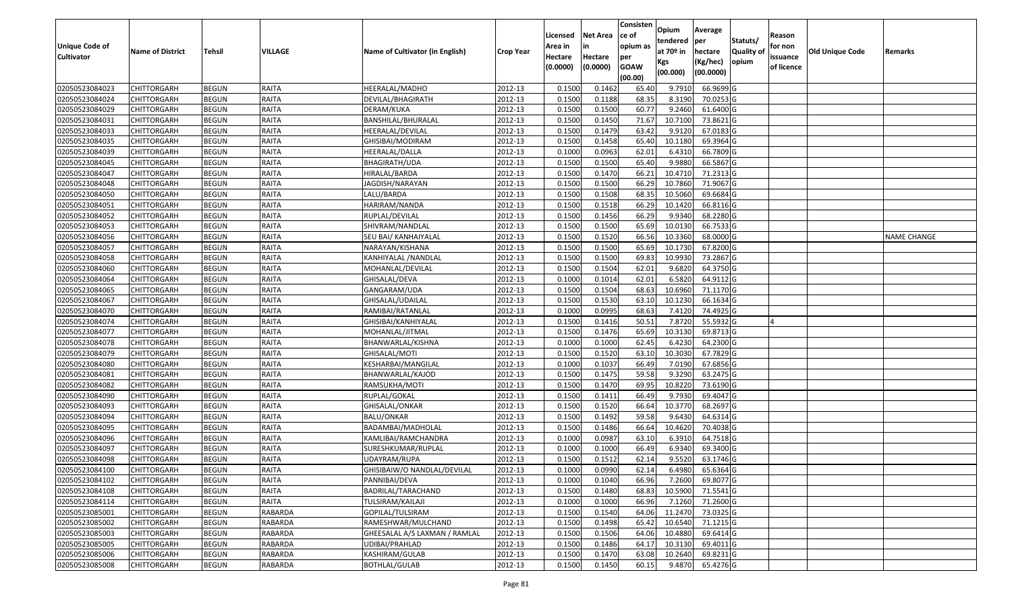| Unique Code of<br><b>Cultivator</b> | <b>Name of District</b> | <b>Tehsil</b> | VILLAGE        | Name of Cultivator (in English) | <b>Crop Year</b> | Licensed<br>Area in<br>Hectare<br>(0.0000) | <b>Net Area</b><br>in<br>Hectare<br>(0.0000) | Consisten<br>ce of<br>opium as<br>per<br><b>GOAW</b> | Opium<br>tendered<br>at $70°$ in<br>Kgs<br>(00.000) | Average<br>per<br>hectare<br>(Kg/hec)<br>(00.0000) | Statuts/<br>Quality of<br>opium | Reason<br>for non<br>issuance<br>of licence | <b>Old Unique Code</b> | Remarks            |
|-------------------------------------|-------------------------|---------------|----------------|---------------------------------|------------------|--------------------------------------------|----------------------------------------------|------------------------------------------------------|-----------------------------------------------------|----------------------------------------------------|---------------------------------|---------------------------------------------|------------------------|--------------------|
|                                     |                         |               |                |                                 |                  |                                            |                                              | (00.00)                                              |                                                     |                                                    |                                 |                                             |                        |                    |
| 02050523084023                      | CHITTORGARH             | <b>BEGUN</b>  | RAITA          | HEERALAL/MADHO                  | 2012-13          | 0.1500                                     | 0.1462                                       | 65.40                                                | 9.791                                               | 66.9699 G                                          |                                 |                                             |                        |                    |
| 02050523084024                      | CHITTORGARH             | <b>BEGUN</b>  | RAITA          | DEVILAL/BHAGIRATH               | 2012-13          | 0.1500                                     | 0.1188                                       | 68.35                                                | 8.3190                                              | 70.0253 G                                          |                                 |                                             |                        |                    |
| 02050523084029                      | CHITTORGARH             | <b>BEGUN</b>  | <b>RAITA</b>   | DERAM/KUKA                      | 2012-13          | 0.1500                                     | 0.1500                                       | 60.77                                                | 9.2460                                              | 61.6400 G                                          |                                 |                                             |                        |                    |
| 02050523084031                      | CHITTORGARH             | <b>BEGUN</b>  | RAITA          | BANSHILAL/BHURALAL              | 2012-13          | 0.1500                                     | 0.1450                                       | 71.67                                                | 10.7100                                             | 73.8621 G                                          |                                 |                                             |                        |                    |
| 02050523084033                      | CHITTORGARH             | <b>BEGUN</b>  | RAITA          | HEERALAL/DEVILAL                | 2012-13          | 0.1500                                     | 0.1479                                       | 63.42                                                | 9.9120                                              | 67.0183 G                                          |                                 |                                             |                        |                    |
| 02050523084035                      | CHITTORGARH             | <b>BEGUN</b>  | RAITA          | GHISIBAI/MODIRAM                | 2012-13          | 0.1500                                     | 0.1458                                       | 65.40                                                | 10.1180                                             | 69.3964 G                                          |                                 |                                             |                        |                    |
| 02050523084039                      | CHITTORGARH             | <b>BEGUN</b>  | RAITA          | HEERALAL/DALLA                  | 2012-13          | 0.1000                                     | 0.0963                                       | 62.01                                                | 6.4310                                              | 66.7809 G                                          |                                 |                                             |                        |                    |
| 02050523084045                      | CHITTORGARH             | <b>BEGUN</b>  | RAITA          | BHAGIRATH/UDA                   | 2012-13          | 0.1500                                     | 0.1500                                       | 65.40                                                | 9.9880                                              | 66.5867 G                                          |                                 |                                             |                        |                    |
| 02050523084047                      | CHITTORGARH             | <b>BEGUN</b>  | RAITA          | HIRALAL/BARDA                   | 2012-13          | 0.1500                                     | 0.1470                                       | 66.21                                                | 10.4710                                             | 71.2313 G                                          |                                 |                                             |                        |                    |
| 02050523084048                      | CHITTORGARH             | <b>BEGUN</b>  | <b>RAITA</b>   | JAGDISH/NARAYAN                 | 2012-13          | 0.1500                                     | 0.1500                                       | 66.29                                                | 10.7860                                             | 71.9067 G                                          |                                 |                                             |                        |                    |
| 02050523084050                      | CHITTORGARH             | <b>BEGUN</b>  | <b>RAITA</b>   | LALU/BARDA                      | 2012-13          | 0.1500                                     | 0.1508                                       | 68.35                                                | 10.5060                                             | 69.6684 G                                          |                                 |                                             |                        |                    |
| 02050523084051                      | <b>CHITTORGARH</b>      | <b>BEGUN</b>  | RAITA          | HARIRAM/NANDA                   | 2012-13          | 0.1500                                     | 0.1518                                       | 66.29                                                | 10.1420                                             | 66.8116 G                                          |                                 |                                             |                        |                    |
| 02050523084052                      | CHITTORGARH             | <b>BEGUN</b>  | <b>RAITA</b>   | RUPLAL/DEVILAL                  | 2012-13          | 0.1500                                     | 0.1456                                       | 66.29                                                | 9.934                                               | 68.2280 G                                          |                                 |                                             |                        |                    |
| 02050523084053                      | CHITTORGARH             | <b>BEGUN</b>  | RAITA          | SHIVRAM/NANDLAL                 | 2012-13          | 0.1500                                     | 0.1500                                       | 65.69                                                | 10.0130                                             | 66.7533 G                                          |                                 |                                             |                        |                    |
| 02050523084056                      | CHITTORGARH             | <b>BEGUN</b>  | <b>RAITA</b>   | SEU BAI/ KANHAIYALAL            | 2012-13          | 0.1500                                     | 0.1520                                       | 66.56                                                | 10.3360                                             | 68.0000G                                           |                                 |                                             |                        | <b>NAME CHANGE</b> |
| 02050523084057                      | CHITTORGARH             | <b>BEGUN</b>  | <b>RAITA</b>   | NARAYAN/KISHANA                 | 2012-13          | 0.1500                                     | 0.1500                                       | 65.69                                                | 10.1730                                             | 67.8200 G                                          |                                 |                                             |                        |                    |
| 02050523084058                      | CHITTORGARH             | <b>BEGUN</b>  | RAITA          | KANHIYALAL /NANDLAL             | 2012-13          | 0.1500                                     | 0.1500                                       | 69.83                                                | 10.9930                                             | 73.2867 G                                          |                                 |                                             |                        |                    |
| 02050523084060                      | CHITTORGARH             | <b>BEGUN</b>  | <b>RAITA</b>   | MOHANLAL/DEVILAL                | 2012-13          | 0.1500                                     | 0.1504                                       | 62.0                                                 | 9.6820                                              | 64.3750 G                                          |                                 |                                             |                        |                    |
| 02050523084064                      | <b>CHITTORGARH</b>      | <b>BEGUN</b>  | <b>RAITA</b>   | GHISALAL/DEVA                   | 2012-13          | 0.1000                                     | 0.1014                                       | 62.01                                                | 6.5820                                              | 64.9112 G                                          |                                 |                                             |                        |                    |
| 02050523084065                      | CHITTORGARH             | <b>BEGUN</b>  | <b>RAITA</b>   | GANGARAM/UDA                    | 2012-13          | 0.1500                                     | 0.1504                                       | 68.63                                                | 10.6960                                             | 71.1170G                                           |                                 |                                             |                        |                    |
| 02050523084067                      | <b>CHITTORGARH</b>      | <b>BEGUN</b>  | <b>RAITA</b>   | GHISALAL/UDAILAL                | 2012-13          | 0.1500                                     | 0.1530                                       | 63.10                                                | 10.1230                                             | 66.1634 G                                          |                                 |                                             |                        |                    |
| 02050523084070                      | CHITTORGARH             | <b>BEGUN</b>  | <b>RAITA</b>   | RAMIBAI/RATANLAL                | 2012-13          | 0.1000                                     | 0.0995                                       | 68.63                                                | 7.4120                                              | 74.4925 G                                          |                                 |                                             |                        |                    |
| 02050523084074                      | <b>CHITTORGARH</b>      | <b>BEGUN</b>  | <b>RAITA</b>   | GHISIBAI/KANHIYALAL             | 2012-13          | 0.1500                                     | 0.1416                                       | 50.51                                                | 7.8720                                              | 55.5932 G                                          |                                 |                                             |                        |                    |
| 02050523084077                      | CHITTORGARH             | <b>BEGUN</b>  | <b>RAITA</b>   | MOHANLAL/JITMAL                 | 2012-13          | 0.1500                                     | 0.1476                                       | 65.69                                                | 10.3130                                             | 69.8713 G                                          |                                 |                                             |                        |                    |
| 02050523084078                      | CHITTORGARH             | <b>BEGUN</b>  | RAITA          | BHANWARLAL/KISHNA               | 2012-13          | 0.1000                                     | 0.1000                                       | 62.45                                                | 6.4230                                              | 64.2300 G                                          |                                 |                                             |                        |                    |
| 02050523084079                      | CHITTORGARH             | <b>BEGUN</b>  | RAITA          | GHISALAL/MOTI                   | 2012-13          | 0.150                                      | 0.1520                                       | 63.10                                                | 10.3030                                             | 67.7829 G                                          |                                 |                                             |                        |                    |
| 02050523084080                      | CHITTORGARH             | <b>BEGUN</b>  | <b>RAITA</b>   | KESHARBAI/MANGILAL              | 2012-13          | 0.1000                                     | 0.1037                                       | 66.49                                                | 7.0190                                              | 67.6856 G                                          |                                 |                                             |                        |                    |
| 02050523084081                      | CHITTORGARH             | <b>BEGUN</b>  | <b>RAITA</b>   | BHANWARLAL/KAJOD                | 2012-13          | 0.1500                                     | 0.1475                                       | 59.58                                                | 9.3290                                              | 63.2475 G                                          |                                 |                                             |                        |                    |
| 02050523084082                      | CHITTORGARH             | <b>BEGUN</b>  | RAITA          | RAMSUKHA/MOTI                   | 2012-13          | 0.1500                                     | 0.1470                                       | 69.95                                                | 10.8220                                             | 73.6190 G                                          |                                 |                                             |                        |                    |
| 02050523084090                      | CHITTORGARH             | <b>BEGUN</b>  | RAITA          | RUPLAL/GOKAL                    | 2012-13          | 0.1500                                     | 0.1411                                       | 66.49                                                | 9.793                                               | 69.4047 G                                          |                                 |                                             |                        |                    |
| 02050523084093                      | CHITTORGARH             | <b>BEGUN</b>  | RAITA          | GHISALAL/ONKAR                  | 2012-13          | 0.1500                                     | 0.1520                                       | 66.64                                                | 10.3770                                             | 68.2697 G                                          |                                 |                                             |                        |                    |
| 02050523084094                      | CHITTORGARH             | <b>BEGUN</b>  | RAITA          | <b>BALU/ONKAR</b>               | 2012-13          | 0.1500                                     | 0.1492                                       | 59.58                                                | 9.6430                                              | 64.6314 G                                          |                                 |                                             |                        |                    |
| 02050523084095                      | CHITTORGARH             | <b>BEGUN</b>  | RAITA          | BADAMBAI/MADHOLAL               | 2012-13          | 0.1500                                     | 0.1486                                       | 66.64                                                | 10.4620                                             | 70.4038 G                                          |                                 |                                             |                        |                    |
| 02050523084096                      | CHITTORGARH             | <b>BEGUN</b>  | RAITA          | KAMLIBAI/RAMCHANDRA             | 2012-13          | 0.1000                                     | 0.0987                                       | 63.10                                                | 6.3910                                              | 64.7518 G                                          |                                 |                                             |                        |                    |
| 02050523084097                      | CHITTORGARH             | <b>BEGUN</b>  | RAITA          | SURESHKUMAR/RUPLAL              | 2012-13          | 0.1000                                     | 0.1000                                       | 66.49                                                | 6.9340                                              | 69.3400 G                                          |                                 |                                             |                        |                    |
| 02050523084098                      | CHITTORGARH             | <b>BEGUN</b>  | RAITA          | JDAYRAM/RUPA                    | 2012-13          | 0.1500                                     | 0.1512                                       | 62.14                                                | 9.5520                                              | 63.1746 G                                          |                                 |                                             |                        |                    |
| 02050523084100                      | <b>CHITTORGARH</b>      | <b>BEGUN</b>  | RAITA          | GHISIBAIW/O NANDLAL/DEVILAL     | 2012-13          | 0.1000                                     | 0.0990                                       | 62.14                                                | 6.4980                                              | 65.6364 G                                          |                                 |                                             |                        |                    |
| 02050523084102                      | <b>CHITTORGARH</b>      | <b>BEGUN</b>  | RAITA          | PANNIBAI/DEVA                   | 2012-13          | 0.1000                                     | 0.1040                                       | 66.96                                                | 7.2600                                              | 69.8077 G                                          |                                 |                                             |                        |                    |
| 02050523084108                      | <b>CHITTORGARH</b>      | <b>BEGUN</b>  | <b>RAITA</b>   | BADRILAL/TARACHAND              | 2012-13          | 0.1500                                     | 0.1480                                       | 68.83                                                | 10.5900                                             | 71.5541 G                                          |                                 |                                             |                        |                    |
| 02050523084114                      | <b>CHITTORGARH</b>      | <b>BEGUN</b>  | RAITA          | TULSIRAM/KAILAJI                | 2012-13          | 0.1000                                     | 0.1000                                       | 66.96                                                | 7.1260                                              | 71.2600 G                                          |                                 |                                             |                        |                    |
| 02050523085001                      | <b>CHITTORGARH</b>      | <b>BEGUN</b>  | <b>RABARDA</b> | GOPILAL/TULSIRAM                | 2012-13          | 0.1500                                     | 0.1540                                       | 64.06                                                | 11.2470                                             | 73.0325 G                                          |                                 |                                             |                        |                    |
| 02050523085002                      | <b>CHITTORGARH</b>      | <b>BEGUN</b>  | <b>RABARDA</b> | RAMESHWAR/MULCHAND              | 2012-13          | 0.1500                                     | 0.1498                                       | 65.42                                                | 10.6540                                             | 71.1215 G                                          |                                 |                                             |                        |                    |
| 02050523085003                      | <b>CHITTORGARH</b>      | <b>BEGUN</b>  | <b>RABARDA</b> | GHEESALAL A/S LAXMAN / RAMLAL   | 2012-13          | 0.1500                                     | 0.1506                                       | 64.06                                                | 10.4880                                             | 69.6414 G                                          |                                 |                                             |                        |                    |
| 02050523085005                      | <b>CHITTORGARH</b>      | <b>BEGUN</b>  | RABARDA        | UDIBAI/PRAHLAD                  | 2012-13          | 0.1500                                     | 0.1486                                       | 64.17                                                | 10.3130                                             | 69.4011 G                                          |                                 |                                             |                        |                    |
| 02050523085006                      | <b>CHITTORGARH</b>      | <b>BEGUN</b>  | <b>RABARDA</b> | KASHIRAM/GULAB                  | 2012-13          | 0.1500                                     | 0.1470                                       | 63.08                                                | 10.2640                                             | 69.8231 G                                          |                                 |                                             |                        |                    |
| 02050523085008                      | <b>CHITTORGARH</b>      | <b>BEGUN</b>  | <b>RABARDA</b> | BOTHLAL/GULAB                   | 2012-13          | 0.1500                                     | 0.1450                                       | 60.15                                                | 9.4870                                              | 65.4276 G                                          |                                 |                                             |                        |                    |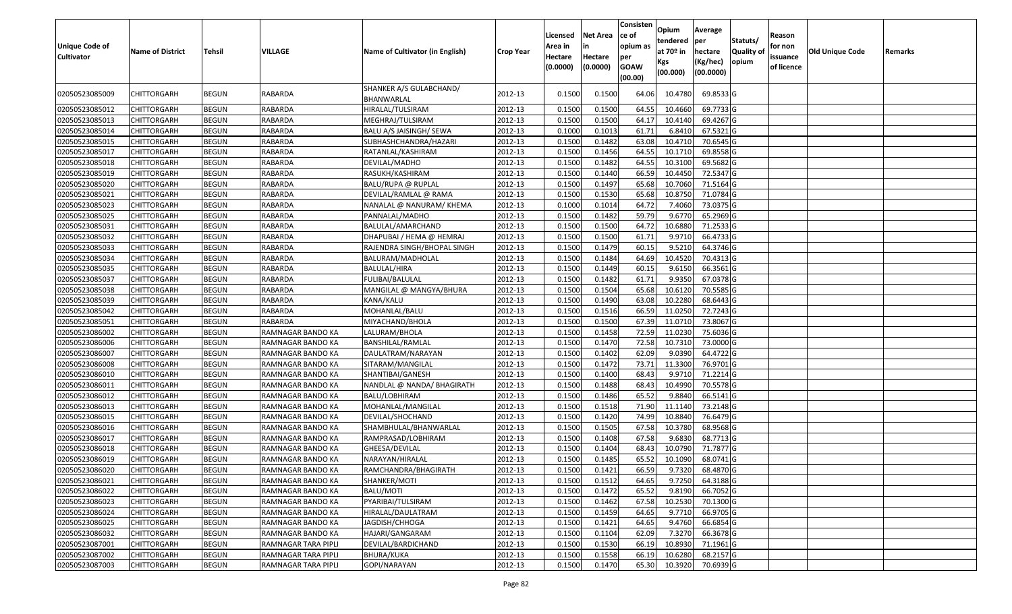| <b>Unique Code of</b><br><b>Cultivator</b> | <b>Name of District</b>                  | Tehsil                       | VILLAGE                                | Name of Cultivator (in English)         | <b>Crop Year</b>   | Licensed<br>Area in<br>Hectare<br>(0.0000) | <b>Net Area</b><br>in<br>Hectare<br>(0.0000) | Consisten<br>ce of<br>opium as<br>per<br><b>GOAW</b><br>(00.00) | Opium<br>tendered<br>at 70º in<br>Kgs<br>(00.000) | Average<br>per<br>hectare<br>(Kg/hec)<br>(00.0000) | Statuts/<br>Quality of<br>opium | Reason<br>for non<br>issuance<br>of licence | <b>Old Unique Code</b> | Remarks |
|--------------------------------------------|------------------------------------------|------------------------------|----------------------------------------|-----------------------------------------|--------------------|--------------------------------------------|----------------------------------------------|-----------------------------------------------------------------|---------------------------------------------------|----------------------------------------------------|---------------------------------|---------------------------------------------|------------------------|---------|
| 02050523085009                             | CHITTORGARH                              | <b>BEGUN</b>                 | RABARDA                                | SHANKER A/S GULABCHAND/<br>BHANWARLAL   | 2012-13            | 0.1500                                     | 0.1500                                       | 64.06                                                           | 10.4780                                           | 69.8533 G                                          |                                 |                                             |                        |         |
| 02050523085012                             | <b>CHITTORGARH</b>                       | <b>BEGUN</b>                 | RABARDA                                | HIRALAL/TULSIRAM                        | 2012-13            | 0.1500                                     | 0.1500                                       | 64.55                                                           | 10.4660                                           | 69.7733 G                                          |                                 |                                             |                        |         |
| 02050523085013                             | <b>CHITTORGARH</b>                       | <b>BEGUN</b>                 | RABARDA                                | MEGHRAJ/TULSIRAM                        | 2012-13            | 0.1500                                     | 0.1500                                       | 64.17                                                           | 10.4140                                           | 69.4267 G                                          |                                 |                                             |                        |         |
| 02050523085014                             | <b>CHITTORGARH</b>                       | <b>BEGUN</b>                 | RABARDA                                | BALU A/S JAISINGH/ SEWA                 | 2012-13            | 0.1000                                     | 0.1013                                       | 61.71                                                           | 6.8410                                            | 67.5321 G                                          |                                 |                                             |                        |         |
| 02050523085015                             | <b>CHITTORGARH</b>                       | <b>BEGUN</b>                 | RABARDA                                | SUBHASHCHANDRA/HAZARI                   | 2012-13            | 0.1500                                     | 0.1482                                       | 63.08                                                           | 10.4710                                           | 70.6545 G                                          |                                 |                                             |                        |         |
| 02050523085017                             | CHITTORGARH                              | <b>BEGUN</b>                 | RABARDA                                | RATANLAL/KASHIRAM                       | 2012-13            | 0.1500                                     | 0.1456                                       | 64.55                                                           | 10.1710                                           | 69.8558 G                                          |                                 |                                             |                        |         |
| 02050523085018                             | <b>CHITTORGARH</b>                       | <b>BEGUN</b>                 | RABARDA                                | DEVILAL/MADHO                           | 2012-13            | 0.1500                                     | 0.1482                                       | 64.55                                                           | 10.3100                                           | 69.5682 G                                          |                                 |                                             |                        |         |
| 02050523085019                             | <b>CHITTORGARH</b>                       | <b>BEGUN</b>                 | RABARDA                                | RASUKH/KASHIRAM                         | 2012-13            | 0.1500                                     | 0.1440                                       | 66.59                                                           | 10.4450                                           | 72.5347 G                                          |                                 |                                             |                        |         |
| 02050523085020                             | <b>CHITTORGARH</b>                       | <b>BEGUN</b>                 | RABARDA                                | BALU/RUPA @ RUPLAL                      | 2012-13            | 0.1500                                     | 0.1497                                       | 65.68                                                           | 10.7060                                           | 71.5164 G                                          |                                 |                                             |                        |         |
| 02050523085021                             | <b>CHITTORGARH</b>                       | <b>BEGUN</b>                 | RABARDA                                | DEVILAL/RAMLAL @ RAMA                   | 2012-13            | 0.1500                                     | 0.1530                                       | 65.68                                                           | 10.8750                                           | 71.0784 G                                          |                                 |                                             |                        |         |
| 02050523085023                             | <b>CHITTORGARH</b>                       | <b>BEGUN</b>                 | RABARDA                                | NANALAL @ NANURAM/ KHEMA                | 2012-13            | 0.1000                                     | 0.1014                                       | 64.72                                                           | 7.4060                                            | 73.0375 G                                          |                                 |                                             |                        |         |
| 02050523085025                             | <b>CHITTORGARH</b>                       | <b>BEGUN</b>                 | <b>RABARDA</b>                         | PANNALAL/MADHO                          | 2012-13            | 0.1500                                     | 0.1482                                       | 59.79                                                           | 9.6770                                            | 65.2969 G                                          |                                 |                                             |                        |         |
| 02050523085031                             | <b>CHITTORGARH</b>                       | <b>BEGUN</b>                 | RABARDA                                | BALULAL/AMARCHAND                       | 2012-13            | 0.1500                                     | 0.1500                                       | 64.72                                                           | 10.6880                                           | 71.2533 G                                          |                                 |                                             |                        |         |
| 02050523085032                             | <b>CHITTORGARH</b>                       | <b>BEGUN</b>                 | RABARDA                                | DHAPUBAI / HEMA @ HEMRAJ                | 2012-13            | 0.1500                                     | 0.1500                                       | 61.71                                                           | 9.9710                                            | 66.4733 G                                          |                                 |                                             |                        |         |
| 02050523085033                             | <b>CHITTORGARH</b>                       | <b>BEGUN</b>                 | RABARDA                                | RAJENDRA SINGH/BHOPAL SINGH             | 2012-13            | 0.1500                                     | 0.1479                                       | 60.15                                                           | 9.5210                                            | 64.3746 G                                          |                                 |                                             |                        |         |
| 02050523085034                             | <b>CHITTORGARH</b>                       | <b>BEGUN</b>                 | <b>RABARDA</b>                         | BALURAM/MADHOLAL                        | 2012-13            | 0.1500                                     | 0.1484                                       | 64.69                                                           | 10.4520                                           | 70.4313 G                                          |                                 |                                             |                        |         |
| 02050523085035                             | <b>CHITTORGARH</b>                       | <b>BEGUN</b>                 | RABARDA                                | BALULAL/HIRA                            | 2012-13            | 0.1500                                     | 0.1449                                       | 60.15                                                           | 9.6150                                            | 66.3561 G                                          |                                 |                                             |                        |         |
| 02050523085037                             | <b>CHITTORGARH</b>                       | <b>BEGUN</b>                 | <b>RABARDA</b>                         | FULIBAI/BALULAL                         | 2012-13            | 0.1500                                     | 0.1482                                       | 61.71                                                           | 9.9350                                            | 67.0378 G                                          |                                 |                                             |                        |         |
| 02050523085038                             | <b>CHITTORGARH</b>                       | <b>BEGUN</b>                 | RABARDA                                | MANGILAL @ MANGYA/BHURA                 | 2012-13            | 0.1500                                     | 0.1504                                       | 65.68                                                           | 10.6120                                           | 70.5585 G                                          |                                 |                                             |                        |         |
| 02050523085039                             | <b>CHITTORGARH</b>                       | <b>BEGUN</b>                 | <b>RABARDA</b>                         | KANA/KALU                               | 2012-13            | 0.1500                                     | 0.1490                                       | 63.08                                                           | 10.2280                                           | 68.6443 G                                          |                                 |                                             |                        |         |
| 02050523085042                             | <b>CHITTORGARH</b>                       | <b>BEGUN</b>                 | <b>RABARDA</b>                         | MOHANLAL/BALU                           | 2012-13            | 0.1500                                     | 0.1516                                       | 66.59                                                           | 11.0250                                           | 72.7243 G                                          |                                 |                                             |                        |         |
| 02050523085051                             | <b>CHITTORGARH</b>                       | <b>BEGUN</b>                 | RABARDA                                | MIYACHAND/BHOLA                         | 2012-13            | 0.1500                                     | 0.1500                                       | 67.39                                                           | 11.0710                                           | 73.8067 G                                          |                                 |                                             |                        |         |
| 02050523086002                             | CHITTORGARH                              | <b>BEGUN</b>                 | RAMNAGAR BANDO KA                      | LALURAM/BHOLA                           | 2012-13            | 0.1500                                     | 0.1458                                       | 72.59                                                           | 11.0230                                           | 75.6036 G                                          |                                 |                                             |                        |         |
| 02050523086006                             | <b>CHITTORGARH</b>                       | <b>BEGUN</b>                 | RAMNAGAR BANDO KA                      | BANSHILAL/RAMLAL                        | 2012-13            | 0.1500                                     | 0.1470                                       | 72.58                                                           | 10.7310                                           | 73.0000 G                                          |                                 |                                             |                        |         |
| 02050523086007                             | <b>CHITTORGARH</b>                       | <b>BEGUN</b>                 | RAMNAGAR BANDO KA                      | DAULATRAM/NARAYAN                       | 2012-13            | 0.1500                                     | 0.1402                                       | 62.09                                                           | 9.0390                                            | 64.4722 G                                          |                                 |                                             |                        |         |
| 02050523086008                             | <b>CHITTORGARH</b>                       | <b>BEGUN</b>                 | RAMNAGAR BANDO KA                      | SITARAM/MANGILAL                        | 2012-13            | 0.1500                                     | 0.1472                                       | 73.71                                                           | 11.3300                                           | 76.9701 G                                          |                                 |                                             |                        |         |
| 02050523086010                             | <b>CHITTORGARH</b>                       | <b>BEGUN</b>                 | RAMNAGAR BANDO KA                      | SHANTIBAI/GANESH                        | 2012-13            | 0.1500                                     | 0.1400                                       | 68.43                                                           | 9.9710                                            | 71.2214 G                                          |                                 |                                             |                        |         |
| 02050523086011                             | <b>CHITTORGARH</b>                       | <b>BEGUN</b>                 | RAMNAGAR BANDO KA                      | NANDLAL @ NANDA/ BHAGIRATH              | 2012-13            | 0.1500                                     | 0.1488                                       | 68.43                                                           | 10.4990                                           | 70.5578 G                                          |                                 |                                             |                        |         |
| 02050523086012                             | <b>CHITTORGARH</b>                       | <b>BEGUN</b>                 | RAMNAGAR BANDO KA                      | BALU/LOBHIRAM                           | 2012-13            | 0.1500                                     | 0.1486                                       | 65.52                                                           | 9.8840                                            | 66.5141 G                                          |                                 |                                             |                        |         |
| 02050523086013                             | <b>CHITTORGARH</b>                       | <b>BEGUN</b>                 | RAMNAGAR BANDO KA                      | MOHANLAL/MANGILAL                       | 2012-13            | 0.1500                                     | 0.1518                                       | 71.90                                                           | 11.1140                                           | 73.2148 G                                          |                                 |                                             |                        |         |
| 02050523086015                             | <b>CHITTORGARH</b>                       | <b>BEGUN</b>                 | RAMNAGAR BANDO KA                      | DEVILAL/SHOCHAND                        | 2012-13            | 0.1500                                     | 0.1420                                       | 74.99                                                           | 10.8840                                           | 76.6479 G                                          |                                 |                                             |                        |         |
| 02050523086016                             | <b>CHITTORGARH</b>                       | <b>BEGUN</b>                 | RAMNAGAR BANDO KA                      | SHAMBHULAL/BHANWARLAL                   | 2012-13            | 0.1500                                     | 0.1505                                       | 67.58                                                           | 10.3780                                           | 68.9568 G                                          |                                 |                                             |                        |         |
| 02050523086017                             | <b>CHITTORGARH</b>                       | <b>BEGUN</b>                 | RAMNAGAR BANDO KA                      | RAMPRASAD/LOBHIRAM                      | 2012-13            | 0.1500                                     | 0.1408                                       | 67.58                                                           | 9.6830                                            | 68.7713 G                                          |                                 |                                             |                        |         |
| 02050523086018                             | CHITTORGARH                              | <b>BEGUN</b>                 | RAMNAGAR BANDO KA                      | GHEESA/DEVILAL                          | 2012-13            | 0.150<br>0.1500                            | 0.1404<br>0.1485                             | 68.43<br>65.52                                                  | 10.0790<br>10.1090                                | 71.7877 G<br>68.0741 G                             |                                 |                                             |                        |         |
| 02050523086019<br>02050523086020           | <b>CHITTORGARH</b><br><b>CHITTORGARH</b> | <b>BEGUN</b><br><b>BEGUN</b> | RAMNAGAR BANDO KA<br>RAMNAGAR BANDO KA | NARAYAN/HIRALAL<br>RAMCHANDRA/BHAGIRATH | 2012-13<br>2012-13 | 0.1500                                     | 0.1421                                       | 66.59                                                           | 9.7320                                            | 68.4870 G                                          |                                 |                                             |                        |         |
| 02050523086021                             | <b>CHITTORGARH</b>                       | <b>BEGUN</b>                 | RAMNAGAR BANDO KA                      |                                         | 2012-13            | 0.1500                                     | 0.1512                                       | 64.65                                                           | 9.7250                                            | 64.3188 G                                          |                                 |                                             |                        |         |
| 02050523086022                             | <b>CHITTORGARH</b>                       | <b>BEGUN</b>                 | RAMNAGAR BANDO KA                      | SHANKER/MOTI<br>BALU/MOTI               | 2012-13            | 0.1500                                     | 0.1472                                       | 65.52                                                           | 9.8190                                            | 66.7052 G                                          |                                 |                                             |                        |         |
| 02050523086023                             | <b>CHITTORGARH</b>                       | <b>BEGUN</b>                 | RAMNAGAR BANDO KA                      | PYARIBAI/TULSIRAM                       | 2012-13            | 0.1500                                     | 0.1462                                       | 67.58                                                           | 10.2530                                           | 70.1300 G                                          |                                 |                                             |                        |         |
|                                            |                                          |                              |                                        |                                         |                    |                                            | 0.1459                                       |                                                                 | 9.7710                                            | 66.9705 G                                          |                                 |                                             |                        |         |
| 02050523086024<br>02050523086025           | <b>CHITTORGARH</b><br><b>CHITTORGARH</b> | <b>BEGUN</b><br><b>BEGUN</b> | RAMNAGAR BANDO KA<br>RAMNAGAR BANDO KA | HIRALAL/DAULATRAM<br>JAGDISH/CHHOGA     | 2012-13<br>2012-13 | 0.1500<br>0.1500                           | 0.1421                                       | 64.65<br>64.65                                                  | 9.4760                                            | 66.6854 G                                          |                                 |                                             |                        |         |
| 02050523086032                             | <b>CHITTORGARH</b>                       | <b>BEGUN</b>                 | RAMNAGAR BANDO KA                      | HAJARI/GANGARAM                         | 2012-13            | 0.1500                                     | 0.1104                                       | 62.09                                                           | 7.3270                                            | 66.3678 G                                          |                                 |                                             |                        |         |
| 02050523087001                             | <b>CHITTORGARH</b>                       | <b>BEGUN</b>                 | RAMNAGAR TARA PIPLI                    | DEVILAL/BARDICHAND                      | 2012-13            | 0.1500                                     | 0.1530                                       | 66.19                                                           | 10.8930                                           | 71.1961G                                           |                                 |                                             |                        |         |
| 02050523087002                             | CHITTORGARH                              | <b>BEGUN</b>                 | RAMNAGAR TARA PIPLI                    | BHURA/KUKA                              | 2012-13            | 0.1500                                     | 0.1558                                       | 66.19                                                           | 10.6280                                           | 68.2157 G                                          |                                 |                                             |                        |         |
| 02050523087003                             | <b>CHITTORGARH</b>                       | <b>BEGUN</b>                 | RAMNAGAR TARA PIPLI                    | GOPI/NARAYAN                            | 2012-13            | 0.1500                                     | 0.1470                                       | 65.30                                                           | 10.3920                                           | 70.6939 G                                          |                                 |                                             |                        |         |
|                                            |                                          |                              |                                        |                                         |                    |                                            |                                              |                                                                 |                                                   |                                                    |                                 |                                             |                        |         |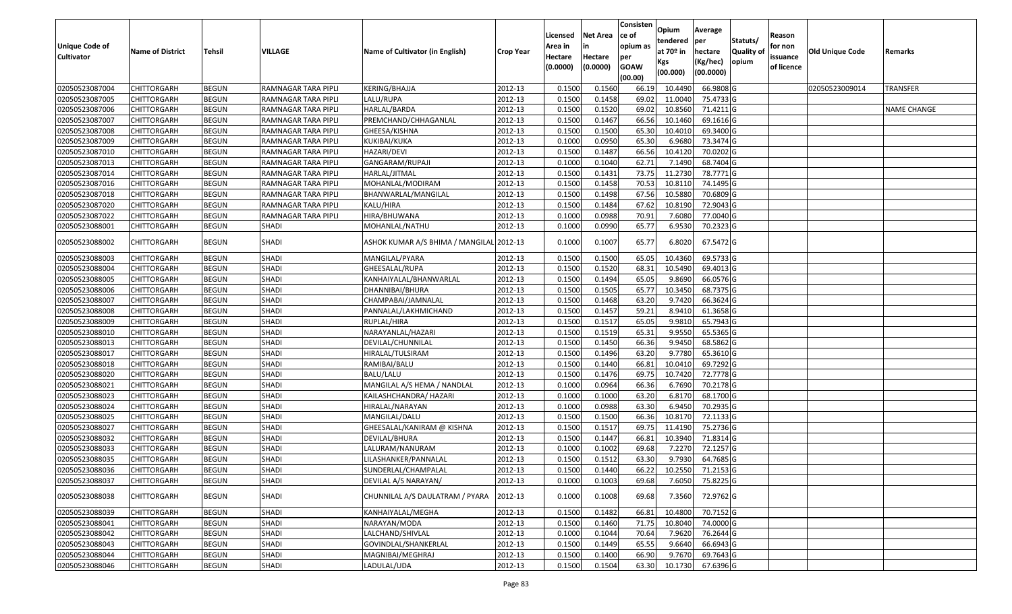| Unique Code of<br><b>Cultivator</b> | <b>Name of District</b> | <b>Tehsil</b> | VILLAGE             | Name of Cultivator (in English)          | <b>Crop Year</b> | Licensed<br>Area in<br>Hectare<br>(0.0000) | Net Area<br>in<br>Hectare<br>(0.0000) | Consisten<br>ce of<br>opium as<br>per<br><b>GOAW</b><br>(00.00) | Opium<br>tendered<br>at $70°$ in<br>Kgs<br>(00.000) | Average<br>per<br>hectare<br>(Kg/hec)<br>(00.0000) | Statuts/<br><b>Quality of</b><br>opium | Reason<br>for non<br>issuance<br>of licence | <b>Old Unique Code</b> | Remarks         |
|-------------------------------------|-------------------------|---------------|---------------------|------------------------------------------|------------------|--------------------------------------------|---------------------------------------|-----------------------------------------------------------------|-----------------------------------------------------|----------------------------------------------------|----------------------------------------|---------------------------------------------|------------------------|-----------------|
| 02050523087004                      | <b>CHITTORGARH</b>      | <b>BEGUN</b>  | RAMNAGAR TARA PIPLI | <b>KERING/BHAJJA</b>                     | 2012-13          | 0.1500                                     | 0.1560                                | 66.19                                                           | 10.4490                                             | 66.9808 G                                          |                                        |                                             | 02050523009014         | <b>TRANSFER</b> |
| 02050523087005                      | CHITTORGARH             | <b>BEGUN</b>  | RAMNAGAR TARA PIPLI | LALU/RUPA                                | 2012-13          | 0.1500                                     | 0.1458                                | 69.02                                                           | 11.0040                                             | 75.4733 G                                          |                                        |                                             |                        |                 |
| 02050523087006                      | CHITTORGARH             | <b>BEGUN</b>  | RAMNAGAR TARA PIPLI | HARLAL/BARDA                             | 2012-13          | 0.1500                                     | 0.1520                                | 69.02                                                           | 10.8560                                             | 71.4211 G                                          |                                        |                                             |                        | NAME CHANGE     |
| 02050523087007                      | <b>CHITTORGARH</b>      | <b>BEGUN</b>  | RAMNAGAR TARA PIPLI | PREMCHAND/CHHAGANLAL                     | 2012-13          | 0.1500                                     | 0.1467                                | 66.56                                                           | 10.1460                                             | 69.1616 G                                          |                                        |                                             |                        |                 |
| 02050523087008                      | <b>CHITTORGARH</b>      | <b>BEGUN</b>  | RAMNAGAR TARA PIPLI | GHEESA/KISHNA                            | 2012-13          | 0.1500                                     | 0.1500                                | 65.30                                                           | 10.4010                                             | 69.3400 G                                          |                                        |                                             |                        |                 |
| 02050523087009                      | <b>CHITTORGARH</b>      | <b>BEGUN</b>  | RAMNAGAR TARA PIPLI | KUKIBAI/KUKA                             | 2012-13          | 0.1000                                     | 0.0950                                | 65.30                                                           | 6.9680                                              | 73.3474 G                                          |                                        |                                             |                        |                 |
| 02050523087010                      | CHITTORGARH             | <b>BEGUN</b>  | RAMNAGAR TARA PIPLI | HAZARI/DEVI                              | 2012-13          | 0.1500                                     | 0.1487                                | 66.56                                                           | 10.4120                                             | 70.0202G                                           |                                        |                                             |                        |                 |
| 02050523087013                      | <b>CHITTORGARH</b>      | <b>BEGUN</b>  | RAMNAGAR TARA PIPLI | GANGARAM/RUPAJI                          | 2012-13          | 0.1000                                     | 0.1040                                | 62.71                                                           | 7.1490                                              | 68.7404 G                                          |                                        |                                             |                        |                 |
| 02050523087014                      | <b>CHITTORGARH</b>      | <b>BEGUN</b>  | RAMNAGAR TARA PIPLI | HARLAL/JITMAL                            | 2012-13          | 0.1500                                     | 0.1431                                | 73.75                                                           | 11.2730                                             | 78.7771 G                                          |                                        |                                             |                        |                 |
| 02050523087016                      | <b>CHITTORGARH</b>      | <b>BEGUN</b>  | RAMNAGAR TARA PIPLI | MOHANLAL/MODIRAM                         | 2012-13          | 0.1500                                     | 0.1458                                | 70.53                                                           | 10.8110                                             | 74.1495 G                                          |                                        |                                             |                        |                 |
| 02050523087018                      | CHITTORGARH             | <b>BEGUN</b>  | RAMNAGAR TARA PIPLI | BHANWARLAL/MANGILAL                      | 2012-13          | 0.1500                                     | 0.1498                                | 67.56                                                           | 10.5880                                             | 70.6809 G                                          |                                        |                                             |                        |                 |
| 02050523087020                      | CHITTORGARH             | <b>BEGUN</b>  | RAMNAGAR TARA PIPLI | KALU/HIRA                                | 2012-13          | 0.1500                                     | 0.1484                                | 67.62                                                           | 10.8190                                             | 72.9043 G                                          |                                        |                                             |                        |                 |
| 02050523087022                      | CHITTORGARH             | <b>BEGUN</b>  | RAMNAGAR TARA PIPLI | HIRA/BHUWANA                             | 2012-13          | 0.1000                                     | 0.0988                                | 70.91                                                           | 7.6080                                              | 77.0040 G                                          |                                        |                                             |                        |                 |
| 02050523088001                      | CHITTORGARH             | <b>BEGUN</b>  | SHADI               | MOHANLAL/NATHU                           | 2012-13          | 0.1000                                     | 0.0990                                | 65.77                                                           | 6.9530                                              | 70.2323 G                                          |                                        |                                             |                        |                 |
| 02050523088002                      | CHITTORGARH             | <b>BEGUN</b>  | SHADI               | ASHOK KUMAR A/S BHIMA / MANGILAL 2012-13 |                  | 0.1000                                     | 0.1007                                | 65.77                                                           | 6.8020                                              | 67.5472 G                                          |                                        |                                             |                        |                 |
| 02050523088003                      | CHITTORGARH             | <b>BEGUN</b>  | SHADI               | MANGILAL/PYARA                           | 2012-13          | 0.1500                                     | 0.1500                                | 65.05                                                           | 10.4360                                             | 69.5733 G                                          |                                        |                                             |                        |                 |
| 02050523088004                      | CHITTORGARH             | <b>BEGUN</b>  | SHADI               | GHEESALAL/RUPA                           | 2012-13          | 0.1500                                     | 0.1520                                | 68.31                                                           | 10.5490                                             | 69.4013 G                                          |                                        |                                             |                        |                 |
| 02050523088005                      | <b>CHITTORGARH</b>      | <b>BEGUN</b>  | SHADI               | KANHAIYALAL/BHANWARLAL                   | 2012-13          | 0.1500                                     | 0.1494                                | 65.05                                                           | 9.8690                                              | 66.0576 G                                          |                                        |                                             |                        |                 |
| 02050523088006                      | CHITTORGARH             | <b>BEGUN</b>  | <b>SHADI</b>        | DHANNIBAI/BHURA                          | 2012-13          | 0.1500                                     | 0.1505                                | 65.77                                                           | 10.3450                                             | 68.7375 G                                          |                                        |                                             |                        |                 |
| 02050523088007                      | CHITTORGARH             | <b>BEGUN</b>  | <b>SHADI</b>        | CHAMPABAI/JAMNALAL                       | 2012-13          | 0.1500                                     | 0.1468                                | 63.20                                                           | 9.7420                                              | 66.3624 G                                          |                                        |                                             |                        |                 |
| 02050523088008                      | CHITTORGARH             | <b>BEGUN</b>  | <b>SHADI</b>        | PANNALAL/LAKHMICHAND                     | 2012-13          | 0.1500                                     | 0.1457                                | 59.21                                                           | 8.9410                                              | 61.3658 G                                          |                                        |                                             |                        |                 |
| 02050523088009                      | <b>CHITTORGARH</b>      | <b>BEGUN</b>  | <b>SHADI</b>        | RUPLAL/HIRA                              | 2012-13          | 0.1500                                     | 0.1517                                | 65.05                                                           | 9.9810                                              | 65.7943 G                                          |                                        |                                             |                        |                 |
| 02050523088010                      | CHITTORGARH             | <b>BEGUN</b>  | <b>SHADI</b>        | NARAYANLAL/HAZARI                        | 2012-13          | 0.1500                                     | 0.1519                                | 65.31                                                           | 9.9550                                              | 65.5365 G                                          |                                        |                                             |                        |                 |
| 02050523088013                      | <b>CHITTORGARH</b>      | <b>BEGUN</b>  | SHADI               | DEVILAL/CHUNNILAL                        | 2012-13          | 0.1500                                     | 0.1450                                | 66.36                                                           | 9.9450                                              | 68.5862 G                                          |                                        |                                             |                        |                 |
| 02050523088017                      | CHITTORGARH             | <b>BEGUN</b>  | <b>SHADI</b>        | HIRALAL/TULSIRAM                         | 2012-13          | 0.1500                                     | 0.1496                                | 63.20                                                           | 9.7780                                              | 65.3610 G                                          |                                        |                                             |                        |                 |
| 02050523088018                      | CHITTORGARH             | <b>BEGUN</b>  | <b>SHADI</b>        | RAMIBAI/BALU                             | 2012-13          | 0.1500                                     | 0.1440                                | 66.81                                                           | 10.0410                                             | 69.7292 G                                          |                                        |                                             |                        |                 |
| 02050523088020                      | CHITTORGARH             | <b>BEGUN</b>  | <b>SHADI</b>        | BALU/LALU                                | 2012-13          | 0.1500                                     | 0.1476                                | 69.75                                                           | 10.7420                                             | 72.7778 G                                          |                                        |                                             |                        |                 |
| 02050523088021                      | <b>CHITTORGARH</b>      | <b>BEGUN</b>  | <b>SHADI</b>        | MANGILAL A/S HEMA / NANDLAL              | 2012-13          | 0.1000                                     | 0.0964                                | 66.36                                                           | 6.7690                                              | 70.2178 G                                          |                                        |                                             |                        |                 |
| 02050523088023                      | <b>CHITTORGARH</b>      | <b>BEGUN</b>  | SHADI               | KAILASHCHANDRA/ HAZARI                   | 2012-13          | 0.1000                                     | 0.1000                                | 63.20                                                           | 6.8170                                              | 68.1700 G                                          |                                        |                                             |                        |                 |
| 02050523088024                      | CHITTORGARH             | <b>BEGUN</b>  | <b>SHADI</b>        | HIRALAL/NARAYAN                          | 2012-13          | 0.1000                                     | 0.0988                                | 63.30                                                           | 6.9450                                              | 70.2935 G                                          |                                        |                                             |                        |                 |
| 02050523088025                      | CHITTORGARH             | <b>BEGUN</b>  | <b>SHADI</b>        | MANGILAL/DALU                            | 2012-13          | 0.1500                                     | 0.1500                                | 66.36                                                           | 10.8170                                             | 72.1133 G                                          |                                        |                                             |                        |                 |
| 02050523088027                      | CHITTORGARH             | <b>BEGUN</b>  | <b>SHADI</b>        | GHEESALAL/KANIRAM @ KISHNA               | 2012-13          | 0.1500                                     | 0.1517                                | 69.75                                                           | 11.4190                                             | 75.2736 G                                          |                                        |                                             |                        |                 |
| 02050523088032                      | CHITTORGARH             | <b>BEGUN</b>  | SHADI               | DEVILAL/BHURA                            | 2012-13          | 0.1500                                     | 0.1447                                | 66.81                                                           | 10.3940                                             | 71.8314 G                                          |                                        |                                             |                        |                 |
| 02050523088033                      | CHITTORGARH             | <b>BEGUN</b>  | SHADI               | LALURAM/NANURAM                          | 2012-13          | 0.1000                                     | 0.1002                                | 69.68                                                           | 7.2270                                              | 72.1257 G                                          |                                        |                                             |                        |                 |
| 02050523088035                      | CHITTORGARH             | <b>BEGUN</b>  | <b>SHADI</b>        | LILASHANKER/PANNALAL                     | 2012-13          | 0.1500                                     | 0.1512                                | 63.30                                                           | 9.7930                                              | 64.7685 G                                          |                                        |                                             |                        |                 |
| 02050523088036                      | <b>CHITTORGARH</b>      | <b>BEGUN</b>  | <b>SHADI</b>        | SUNDERLAL/CHAMPALAL                      | 2012-13          | 0.1500                                     | 0.1440                                | 66.22                                                           |                                                     | 10.2550 71.2153 G                                  |                                        |                                             |                        |                 |
| 02050523088037                      | <b>CHITTORGARH</b>      | <b>BEGUN</b>  | SHADI               | DEVILAL A/S NARAYAN/                     | 2012-13          | 0.1000                                     | 0.1003                                | 69.68                                                           | 7.6050                                              | 75.8225 G                                          |                                        |                                             |                        |                 |
| 02050523088038                      | CHITTORGARH             | <b>BEGUN</b>  | SHADI               | CHUNNILAL A/S DAULATRAM / PYARA          | 2012-13          | 0.1000                                     | 0.1008                                | 69.68                                                           | 7.3560                                              | 72.9762 G                                          |                                        |                                             |                        |                 |
| 02050523088039                      | <b>CHITTORGARH</b>      | <b>BEGUN</b>  | <b>SHADI</b>        | KANHAIYALAL/MEGHA                        | 2012-13          | 0.1500                                     | 0.1482                                | 66.81                                                           | 10.4800                                             | 70.7152 G                                          |                                        |                                             |                        |                 |
| 02050523088041                      | <b>CHITTORGARH</b>      | <b>BEGUN</b>  | <b>SHADI</b>        | NARAYAN/MODA                             | 2012-13          | 0.1500                                     | 0.1460                                | 71.75                                                           | 10.8040                                             | 74.0000G                                           |                                        |                                             |                        |                 |
| 02050523088042                      | <b>CHITTORGARH</b>      | <b>BEGUN</b>  | <b>SHADI</b>        | LALCHAND/SHIVLAL                         | 2012-13          | 0.1000                                     | 0.1044                                | 70.64                                                           | 7.9620                                              | 76.2644 G                                          |                                        |                                             |                        |                 |
| 02050523088043                      | <b>CHITTORGARH</b>      | <b>BEGUN</b>  | <b>SHADI</b>        | GOVINDLAL/SHANKERLAL                     | 2012-13          | 0.1500                                     | 0.1449                                | 65.55                                                           | 9.6640                                              | 66.6943 G                                          |                                        |                                             |                        |                 |
| 02050523088044                      | CHITTORGARH             | <b>BEGUN</b>  | SHADI               | MAGNIBAI/MEGHRAJ                         | 2012-13          | 0.1500                                     | 0.1400                                | 66.90                                                           | 9.7670                                              | 69.7643 G                                          |                                        |                                             |                        |                 |
| 02050523088046                      | <b>CHITTORGARH</b>      | <b>BEGUN</b>  | SHADI               | LADULAL/UDA                              | 2012-13          | 0.1500                                     | 0.1504                                | 63.30                                                           | 10.1730                                             | 67.6396 G                                          |                                        |                                             |                        |                 |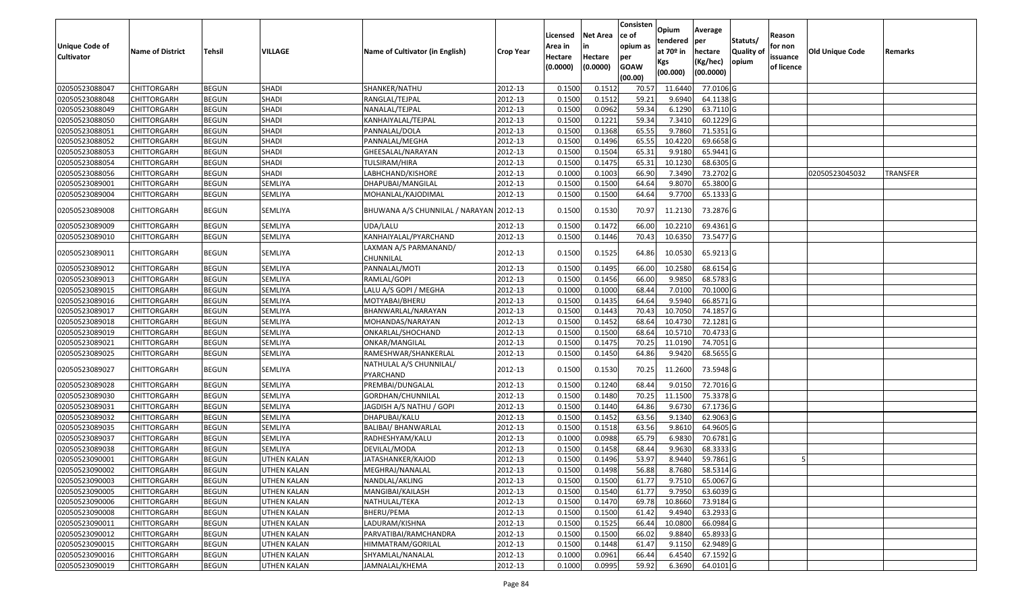| <b>Unique Code of</b><br><b>Cultivator</b> | <b>Name of District</b> | Tehsil       | VILLAGE            | Name of Cultivator (in English)         | <b>Crop Year</b> | Licensed<br>Area in<br>Hectare | Net Area<br>in<br>Hectare | Consisten<br>ce of<br>opium as<br>per | <b>Opium</b><br>tendered<br>at 70º in | Average<br>per<br>hectare | Statuts/<br><b>Quality of</b> | Reason<br>for non<br>issuance | <b>Old Unique Code</b> | Remarks         |
|--------------------------------------------|-------------------------|--------------|--------------------|-----------------------------------------|------------------|--------------------------------|---------------------------|---------------------------------------|---------------------------------------|---------------------------|-------------------------------|-------------------------------|------------------------|-----------------|
|                                            |                         |              |                    |                                         |                  | (0.0000)                       | (0.0000)                  | <b>GOAW</b><br>(00.00)                | Kgs<br>(00.000)                       | (Kg/hec)<br>(00.0000)     | opium                         | of licence                    |                        |                 |
| 02050523088047                             | <b>CHITTORGARH</b>      | <b>BEGUN</b> | <b>SHADI</b>       | SHANKER/NATHU                           | 2012-13          | 0.1500                         | 0.151                     | 70.57                                 | 11.6440                               | 77.0106 G                 |                               |                               |                        |                 |
| 02050523088048                             | CHITTORGARH             | <b>BEGUN</b> | SHADI              | RANGLAL/TEJPAL                          | 2012-13          | 0.1500                         | 0.1512                    | 59.21                                 | 9.6940                                | 64.1138 G                 |                               |                               |                        |                 |
| 02050523088049                             | CHITTORGARH             | <b>BEGUN</b> | <b>SHADI</b>       | NANALAL/TEJPAL                          | 2012-13          | 0.1500                         | 0.0962                    | 59.34                                 | 6.1290                                | 63.7110 G                 |                               |                               |                        |                 |
| 02050523088050                             | <b>CHITTORGARH</b>      | <b>BEGUN</b> | SHADI              | KANHAIYALAL/TEJPAL                      | 2012-13          | 0.1500                         | 0.1221                    | 59.34                                 | 7.3410                                | 60.1229 G                 |                               |                               |                        |                 |
| 02050523088051                             | CHITTORGARH             | <b>BEGUN</b> | <b>SHADI</b>       | PANNALAL/DOLA                           | 2012-13          | 0.1500                         | 0.1368                    | 65.55                                 | 9.7860                                | 71.5351 G                 |                               |                               |                        |                 |
| 02050523088052                             | CHITTORGARH             | <b>BEGUN</b> | <b>SHADI</b>       | PANNALAL/MEGHA                          | 2012-13          | 0.1500                         | 0.1496                    | 65.55                                 | 10.4220                               | 69.6658 G                 |                               |                               |                        |                 |
| 02050523088053                             | CHITTORGARH             | <b>BEGUN</b> | <b>SHADI</b>       | GHEESALAL/NARAYAN                       | 2012-13          | 0.1500                         | 0.1504                    | 65.31                                 | 9.9180                                | 65.9441 G                 |                               |                               |                        |                 |
| 02050523088054                             | <b>CHITTORGARH</b>      | <b>BEGUN</b> | <b>SHADI</b>       | TULSIRAM/HIRA                           | 2012-13          | 0.1500                         | 0.1475                    | 65.31                                 | 10.1230                               | 68.6305 G                 |                               |                               |                        |                 |
| 02050523088056                             | CHITTORGARH             | <b>BEGUN</b> | <b>SHADI</b>       | LABHCHAND/KISHORE                       | 2012-13          | 0.1000                         | 0.1003                    | 66.90                                 | 7.3490                                | 73.2702 G                 |                               |                               | 02050523045032         | <b>TRANSFER</b> |
| 02050523089001                             | CHITTORGARH             | <b>BEGUN</b> | SEMLIYA            | DHAPUBAI/MANGILAL                       | 2012-13          | 0.1500                         | 0.1500                    | 64.64                                 | 9.8070                                | 65.3800 G                 |                               |                               |                        |                 |
| 02050523089004                             | CHITTORGARH             | <b>BEGUN</b> | SEMLIYA            | MOHANLAL/KAJODIMAL                      | 2012-13          | 0.1500                         | 0.1500                    | 64.64                                 | 9.7700                                | 65.1333 G                 |                               |                               |                        |                 |
| 02050523089008                             | CHITTORGARH             | <b>BEGUN</b> | SEMLIYA            | BHUWANA A/S CHUNNILAL / NARAYAN 2012-13 |                  | 0.1500                         | 0.1530                    | 70.97                                 | 11.2130                               | 73.2876 G                 |                               |                               |                        |                 |
| 02050523089009                             | CHITTORGARH             | <b>BEGUN</b> | SEMLIYA            | UDA/LALU                                | 2012-13          | 0.1500                         | 0.1472                    | 66.00                                 | 10.2210                               | 69.4361 G                 |                               |                               |                        |                 |
| 02050523089010                             | CHITTORGARH             | <b>BEGUN</b> | SEMLIYA            | KANHAIYALAL/PYARCHAND                   | 2012-13          | 0.1500                         | 0.1446                    | 70.43                                 | 10.6350                               | 73.5477 G                 |                               |                               |                        |                 |
| 02050523089011                             | CHITTORGARH             | <b>BEGUN</b> | SEMLIYA            | LAXMAN A/S PARMANAND/<br>CHUNNILAL      | 2012-13          | 0.1500                         | 0.1525                    | 64.86                                 | 10.0530                               | 65.9213 G                 |                               |                               |                        |                 |
| 02050523089012                             | CHITTORGARH             | <b>BEGUN</b> | SEMLIYA            | PANNALAL/MOTI                           | 2012-13          | 0.1500                         | 0.1495                    | 66.00                                 | 10.2580                               | 68.6154 G                 |                               |                               |                        |                 |
| 02050523089013                             | CHITTORGARH             | <b>BEGUN</b> | SEMLIYA            | RAMLAL/GOPI                             | 2012-13          | 0.1500                         | 0.1456                    | 66.00                                 | 9.9850                                | 68.5783 G                 |                               |                               |                        |                 |
| 02050523089015                             | CHITTORGARH             | <b>BEGUN</b> | SEMLIYA            | LALU A/S GOPI / MEGHA                   | 2012-13          | 0.1000                         | 0.1000                    | 68.44                                 | 7.0100                                | 70.1000 G                 |                               |                               |                        |                 |
| 02050523089016                             | <b>CHITTORGARH</b>      | <b>BEGUN</b> | SEMLIYA            | MOTYABAI/BHERU                          | 2012-13          | 0.1500                         | 0.1435                    | 64.64                                 | 9.5940                                | 66.8571 G                 |                               |                               |                        |                 |
| 02050523089017                             | CHITTORGARH             | <b>BEGUN</b> | SEMLIYA            | BHANWARLAL/NARAYAN                      | 2012-13          | 0.1500                         | 0.1443                    | 70.43                                 | 10.7050                               | 74.1857 G                 |                               |                               |                        |                 |
| 02050523089018                             | CHITTORGARH             | <b>BEGUN</b> | SEMLIYA            | MOHANDAS/NARAYAN                        | 2012-13          | 0.1500                         | 0.1452                    | 68.64                                 | 10.4730                               | 72.1281 G                 |                               |                               |                        |                 |
| 02050523089019                             | CHITTORGARH             | <b>BEGUN</b> | SEMLIYA            | ONKARLAL/SHOCHAND                       | 2012-13          | 0.1500                         | 0.1500                    | 68.64                                 | 10.5710                               | 70.4733 G                 |                               |                               |                        |                 |
| 02050523089021                             | CHITTORGARH             | <b>BEGUN</b> | SEMLIYA            | ONKAR/MANGILAL                          | 2012-13          | 0.1500                         | 0.1475                    | 70.25                                 | 11.0190                               | 74.7051 G                 |                               |                               |                        |                 |
| 02050523089025                             | CHITTORGARH             | <b>BEGUN</b> | SEMLIYA            | RAMESHWAR/SHANKERLAL                    | 2012-13          | 0.1500                         | 0.1450                    | 64.86                                 | 9.9420                                | 68.5655 G                 |                               |                               |                        |                 |
| 02050523089027                             | CHITTORGARH             | <b>BEGUN</b> | SEMLIYA            | NATHULAL A/S CHUNNILAL/<br>PYARCHAND    | 2012-13          | 0.1500                         | 0.1530                    | 70.25                                 | 11.2600                               | 73.5948 G                 |                               |                               |                        |                 |
| 02050523089028                             | <b>CHITTORGARH</b>      | <b>BEGUN</b> | SEMLIYA            | PREMBAI/DUNGALAL                        | 2012-13          | 0.1500                         | 0.1240                    | 68.44                                 | 9.0150                                | 72.7016 G                 |                               |                               |                        |                 |
| 02050523089030                             | <b>CHITTORGARH</b>      | <b>BEGUN</b> | SEMLIYA            | GORDHAN/CHUNNILAL                       | 2012-13          | 0.1500                         | 0.1480                    | 70.25                                 | 11.1500                               | 75.3378 G                 |                               |                               |                        |                 |
| 02050523089031                             | <b>CHITTORGARH</b>      | <b>BEGUN</b> | SEMLIYA            | JAGDISH A/S NATHU / GOPI                | 2012-13          | 0.1500                         | 0.1440                    | 64.86                                 | 9.6730                                | 67.1736 G                 |                               |                               |                        |                 |
| 02050523089032                             | CHITTORGARH             | <b>BEGUN</b> | SEMLIYA            | DHAPUBAI/KALU                           | 2012-13          | 0.1500                         | 0.1452                    | 63.56                                 | 9.1340                                | 62.9063 G                 |                               |                               |                        |                 |
| 02050523089035                             | <b>CHITTORGARH</b>      | <b>BEGUN</b> | SEMLIYA            | BALIBAI/ BHANWARLAL                     | 2012-13          | 0.1500                         | 0.1518                    | 63.56                                 | 9.8610                                | 64.9605 G                 |                               |                               |                        |                 |
| 02050523089037                             | CHITTORGARH             | <b>BEGUN</b> | SEMLIYA            | RADHESHYAM/KALU                         | 2012-13          | 0.1000                         | 0.0988                    | 65.79                                 | 6.9830                                | 70.6781 G                 |                               |                               |                        |                 |
| 02050523089038                             | CHITTORGARH             | <b>BEGUN</b> | SEMLIYA            | DEVILAL/MODA                            | 2012-13          | 0.1500                         | 0.1458                    | 68.44                                 | 9.9630                                | 68.3333 G                 |                               |                               |                        |                 |
| 02050523090001                             | <b>CHITTORGARH</b>      | <b>BEGUN</b> | UTHEN KALAN        | JATASHANKER/KAJOD                       | 2012-13          | 0.1500                         | 0.1496                    | 53.97                                 | 8.9440                                | 59.7861 G                 |                               |                               |                        |                 |
| 02050523090002                             | <b>CHITTORGARH</b>      | <b>BEGUN</b> | <b>UTHEN KALAN</b> | MEGHRAJ/NANALAL                         | 2012-13          | 0.1500                         | 0.1498                    | 56.88                                 |                                       | 8.7680 58.5314 G          |                               |                               |                        |                 |
| 02050523090003                             | <b>CHITTORGARH</b>      | <b>BEGUN</b> | UTHEN KALAN        | NANDLAL/AKLING                          | 2012-13          | 0.1500                         | 0.1500                    | 61.77                                 | 9.7510                                | 65.0067 G                 |                               |                               |                        |                 |
| 02050523090005                             | <b>CHITTORGARH</b>      | <b>BEGUN</b> | UTHEN KALAN        | MANGIBAI/KAILASH                        | 2012-13          | 0.1500                         | 0.1540                    | 61.77                                 | 9.7950                                | 63.6039 G                 |                               |                               |                        |                 |
| 02050523090006                             | <b>CHITTORGARH</b>      | <b>BEGUN</b> | UTHEN KALAN        | NATHULAL/TEKA                           | 2012-13          | 0.1500                         | 0.1470                    | 69.78                                 | 10.8660                               | 73.9184 G                 |                               |                               |                        |                 |
| 02050523090008                             | <b>CHITTORGARH</b>      | <b>BEGUN</b> | UTHEN KALAN        | BHERU/PEMA                              | 2012-13          | 0.1500                         | 0.1500                    | 61.42                                 | 9.4940                                | 63.2933 G                 |                               |                               |                        |                 |
| 02050523090011                             | <b>CHITTORGARH</b>      | <b>BEGUN</b> | UTHEN KALAN        | LADURAM/KISHNA                          | 2012-13          | 0.1500                         | 0.1525                    | 66.44                                 | 10.0800                               | 66.0984 G                 |                               |                               |                        |                 |
| 02050523090012                             | <b>CHITTORGARH</b>      | <b>BEGUN</b> | UTHEN KALAN        | PARVATIBAI/RAMCHANDRA                   | 2012-13          | 0.1500                         | 0.1500                    | 66.02                                 | 9.8840                                | 65.8933 G                 |                               |                               |                        |                 |
| 02050523090015                             | <b>CHITTORGARH</b>      | <b>BEGUN</b> | UTHEN KALAN        | HIMMATRAM/GORILAL                       | 2012-13          | 0.1500                         | 0.1448                    | 61.47                                 | 9.1150                                | 62.9489 G                 |                               |                               |                        |                 |
| 02050523090016                             | <b>CHITTORGARH</b>      | <b>BEGUN</b> | UTHEN KALAN        | SHYAMLAL/NANALAL                        | 2012-13          | 0.1000                         | 0.0961                    | 66.44                                 | 6.4540                                | 67.1592 G                 |                               |                               |                        |                 |
| 02050523090019                             | <b>CHITTORGARH</b>      | <b>BEGUN</b> | <b>UTHEN KALAN</b> | JAMNALAL/KHEMA                          | 2012-13          | 0.1000                         | 0.0995                    | 59.92                                 | 6.3690                                | 64.0101 G                 |                               |                               |                        |                 |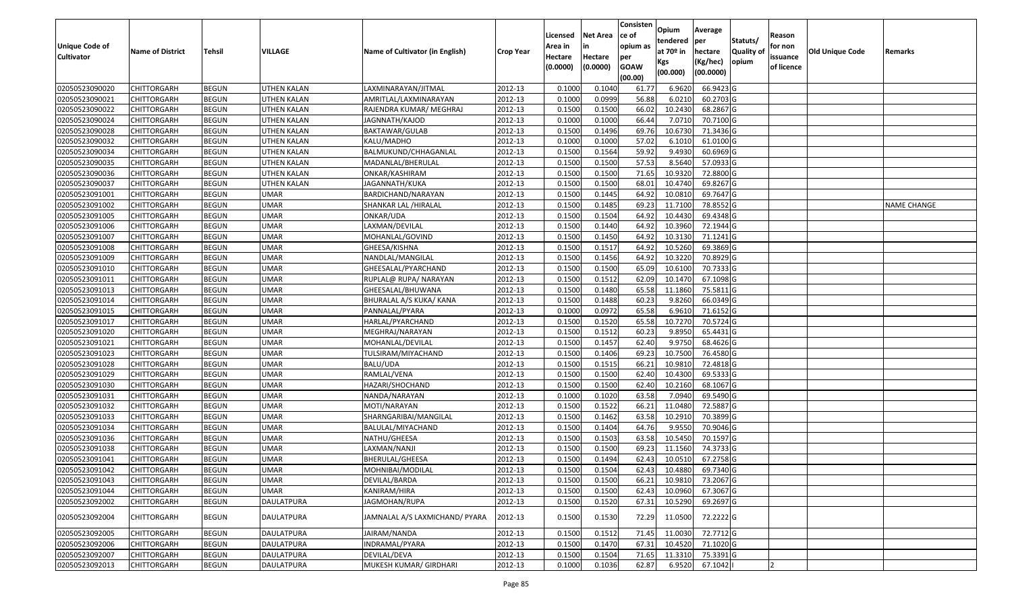|                   |                         |               |                    |                                 |                  |          |                 | Consisten              | Opium         | Average   |                  |            |                 |                    |
|-------------------|-------------------------|---------------|--------------------|---------------------------------|------------------|----------|-----------------|------------------------|---------------|-----------|------------------|------------|-----------------|--------------------|
|                   |                         |               |                    |                                 |                  | Licensed | <b>Net Area</b> | ce of                  | tendered      | per       | Statuts/         | Reason     |                 |                    |
| Unique Code of    | <b>Name of District</b> | <b>Tehsil</b> | VILLAGE            | Name of Cultivator (in English) | <b>Crop Year</b> | Area in  | in              | opium as               | at $70°$ in   | hectare   | <b>Quality o</b> | for non    | Old Unique Code | Remarks            |
| <b>Cultivator</b> |                         |               |                    |                                 |                  | Hectare  | Hectare         | per                    | Kgs           | (Kg/hec)  | opium            | issuance   |                 |                    |
|                   |                         |               |                    |                                 |                  | (0.0000) | (0.0000)        | <b>GOAW</b><br>(00.00) | (00.000)      | (00.0000) |                  | of licence |                 |                    |
| 02050523090020    | CHITTORGARH             | <b>BEGUN</b>  | UTHEN KALAN        | LAXMINARAYAN/JITMAL             | 2012-13          | 0.1000   | 0.1040          | 61.77                  | 6.9620        | 66.9423 G |                  |            |                 |                    |
| 02050523090021    | CHITTORGARH             | <b>BEGUN</b>  | UTHEN KALAN        | AMRITLAL/LAXMINARAYAN           | 2012-13          | 0.1000   | 0.0999          | 56.88                  | 6.0210        | 60.2703 G |                  |            |                 |                    |
| 02050523090022    | CHITTORGARH             | <b>BEGUN</b>  | UTHEN KALAN        | RAJENDRA KUMAR/ MEGHRAJ         | 2012-13          | 0.1500   | 0.1500          | 66.02                  | 10.2430       | 68.2867 G |                  |            |                 |                    |
| 02050523090024    | <b>CHITTORGARH</b>      | <b>BEGUN</b>  | <b>UTHEN KALAN</b> | JAGNNATH/KAJOD                  | 2012-13          | 0.1000   | 0.1000          | 66.44                  | 7.0710        | 70.7100G  |                  |            |                 |                    |
| 02050523090028    | CHITTORGARH             | <b>BEGUN</b>  | UTHEN KALAN        | BAKTAWAR/GULAB                  | 2012-13          | 0.1500   | 0.1496          | 69.76                  | 10.6730       | 71.3436 G |                  |            |                 |                    |
| 02050523090032    | CHITTORGARH             | <b>BEGUN</b>  | <b>UTHEN KALAN</b> | KALU/MADHO                      | 2012-13          | 0.1000   | 0.1000          | 57.02                  | 6.1010        | 61.0100 G |                  |            |                 |                    |
| 02050523090034    | CHITTORGARH             | <b>BEGUN</b>  | UTHEN KALAN        | BALMUKUND/CHHAGANLAL            | 2012-13          | 0.1500   | 0.1564          | 59.92                  | 9.4930        | 60.6969 G |                  |            |                 |                    |
| 02050523090035    | <b>CHITTORGARH</b>      | <b>BEGUN</b>  | <b>UTHEN KALAN</b> | MADANLAL/BHERULAL               | 2012-13          | 0.1500   | 0.1500          | 57.53                  | 8.5640        | 57.0933 G |                  |            |                 |                    |
| 02050523090036    | CHITTORGARH             | <b>BEGUN</b>  | UTHEN KALAN        | ONKAR/KASHIRAM                  | 2012-13          | 0.1500   | 0.1500          | 71.65                  | 10.9320       | 72.8800 G |                  |            |                 |                    |
| 02050523090037    | CHITTORGARH             | <b>BEGUN</b>  | UTHEN KALAN        | JAGANNATH/KUKA                  | 2012-13          | 0.1500   | 0.1500          | 68.01                  | 10.4740       | 69.8267 G |                  |            |                 |                    |
| 02050523091001    | CHITTORGARH             | <b>BEGUN</b>  | <b>UMAR</b>        | BARDICHAND/NARAYAN              | 2012-13          | 0.1500   | 0.1445          | 64.92                  | 10.0810       | 69.7647 G |                  |            |                 |                    |
| 02050523091002    | <b>CHITTORGARH</b>      | <b>BEGUN</b>  | <b>UMAR</b>        | SHANKAR LAL / HIRALAL           | 2012-13          | 0.1500   | 0.1485          | 69.23                  | 11.7100       | 78.8552 G |                  |            |                 | <b>NAME CHANGE</b> |
| 02050523091005    | <b>CHITTORGARH</b>      | <b>BEGUN</b>  | <b>UMAR</b>        | ONKAR/UDA                       | 2012-13          | 0.1500   | 0.1504          | 64.92                  | 10.4430       | 69.4348 G |                  |            |                 |                    |
| 02050523091006    | <b>CHITTORGARH</b>      | <b>BEGUN</b>  | <b>UMAR</b>        | LAXMAN/DEVILAL                  | 2012-13          | 0.1500   | 0.1440          | 64.92                  | 10.3960       | 72.1944 G |                  |            |                 |                    |
| 02050523091007    | <b>CHITTORGARH</b>      | <b>BEGUN</b>  | <b>UMAR</b>        | MOHANLAL/GOVIND                 | 2012-13          | 0.1500   | 0.1450          | 64.92                  | 10.3130       | 71.1241 G |                  |            |                 |                    |
| 02050523091008    | CHITTORGARH             | <b>BEGUN</b>  | <b>UMAR</b>        | GHEESA/KISHNA                   | 2012-13          | 0.1500   | 0.1517          | 64.92                  | 10.5260       | 69.3869 G |                  |            |                 |                    |
| 02050523091009    | CHITTORGARH             | <b>BEGUN</b>  | <b>UMAR</b>        | NANDLAL/MANGILAL                | 2012-13          | 0.1500   | 0.1456          | 64.92                  | 10.3220       | 70.8929 G |                  |            |                 |                    |
| 02050523091010    | CHITTORGARH             | <b>BEGUN</b>  | <b>UMAR</b>        | GHEESALAL/PYARCHAND             | 2012-13          | 0.1500   | 0.1500          | 65.09                  | 10.6100       | 70.7333 G |                  |            |                 |                    |
| 02050523091011    | CHITTORGARH             | <b>BEGUN</b>  | <b>UMAR</b>        | RUPLAL@ RUPA/ NARAYAN           | 2012-13          | 0.1500   | 0.1512          | 62.09                  | 10.1470       | 67.1098 G |                  |            |                 |                    |
| 02050523091013    | CHITTORGARH             | <b>BEGUN</b>  | <b>UMAR</b>        | GHEESALAL/BHUWANA               | 2012-13          | 0.1500   | 0.1480          | 65.58                  | 11.1860       | 75.5811G  |                  |            |                 |                    |
| 02050523091014    | CHITTORGARH             | <b>BEGUN</b>  | <b>UMAR</b>        | BHURALAL A/S KUKA/ KANA         | 2012-13          | 0.1500   | 0.1488          | 60.23                  | 9.8260        | 66.0349 G |                  |            |                 |                    |
| 02050523091015    | CHITTORGARH             | <b>BEGUN</b>  | <b>UMAR</b>        | PANNALAL/PYARA                  | 2012-13          | 0.1000   | 0.0972          | 65.58                  | 6.961         | 71.6152G  |                  |            |                 |                    |
| 02050523091017    | CHITTORGARH             | <b>BEGUN</b>  | <b>UMAR</b>        | HARLAL/PYARCHAND                | 2012-13          | 0.1500   | 0.1520          | 65.58                  | 10.7270       | 70.5724 G |                  |            |                 |                    |
| 02050523091020    | CHITTORGARH             | <b>BEGUN</b>  | <b>UMAR</b>        | MEGHRAJ/NARAYAN                 | 2012-13          | 0.1500   | 0.1512          | 60.23                  | 9.895         | 65.4431 G |                  |            |                 |                    |
| 02050523091021    | <b>CHITTORGARH</b>      | <b>BEGUN</b>  | <b>UMAR</b>        | MOHANLAL/DEVILAL                | 2012-13          | 0.1500   | 0.1457          | 62.40                  | 9.975         | 68.4626 G |                  |            |                 |                    |
| 02050523091023    | CHITTORGARH             | <b>BEGUN</b>  | <b>UMAR</b>        | TULSIRAM/MIYACHAND              | 2012-13          | 0.1500   | 0.1406          | 69.23                  | 10.7500       | 76.4580 G |                  |            |                 |                    |
| 02050523091028    | CHITTORGARH             | <b>BEGUN</b>  | <b>UMAR</b>        | BALU/UDA                        | 2012-13          | 0.1500   | 0.1515          | 66.21                  | 10.981        | 72.4818 G |                  |            |                 |                    |
| 02050523091029    | CHITTORGARH             | <b>BEGUN</b>  | <b>UMAR</b>        | RAMLAL/VENA                     | 2012-13          | 0.1500   | 0.1500          | 62.40                  | 10.4300       | 69.5333 G |                  |            |                 |                    |
| 02050523091030    | CHITTORGARH             | <b>BEGUN</b>  | <b>UMAR</b>        | HAZARI/SHOCHAND                 | 2012-13          | 0.1500   | 0.1500          | 62.40                  | 10.2160       | 68.1067 G |                  |            |                 |                    |
| 02050523091031    | CHITTORGARH             | <b>BEGUN</b>  | <b>UMAR</b>        | NANDA/NARAYAN                   | 2012-13          | 0.1000   | 0.1020          | 63.58                  | 7.0940        | 69.5490 G |                  |            |                 |                    |
| 02050523091032    | CHITTORGARH             | <b>BEGUN</b>  | <b>UMAR</b>        | MOTI/NARAYAN                    | 2012-13          | 0.1500   | 0.1522          | 66.2                   | 11.0480       | 72.5887 G |                  |            |                 |                    |
| 02050523091033    | CHITTORGARH             | <b>BEGUN</b>  | <b>UMAR</b>        | SHARNGARIBAI/MANGILAL           | 2012-13          | 0.1500   | 0.1462          | 63.58                  | 10.2910       | 70.3899 G |                  |            |                 |                    |
| 02050523091034    | CHITTORGARH             | <b>BEGUN</b>  | <b>UMAR</b>        | BALULAL/MIYACHAND               | 2012-13          | 0.1500   | 0.1404          | 64.76                  | 9.955         | 70.9046 G |                  |            |                 |                    |
| 02050523091036    | CHITTORGARH             | <b>BEGUN</b>  | <b>UMAR</b>        | NATHU/GHEESA                    | 2012-13          | 0.1500   | 0.1503          | 63.58                  | 10.545        | 70.1597 G |                  |            |                 |                    |
| 02050523091038    | CHITTORGARH             | <b>BEGUN</b>  | <b>UMAR</b>        | LAXMAN/NANJI                    | 2012-13          | 0.1500   | 0.1500          | 69.23                  | 11.1560       | 74.3733 G |                  |            |                 |                    |
| 02050523091041    | CHITTORGARH             | <b>BEGUN</b>  | <b>UMAR</b>        | BHERULAL/GHEESA                 | 2012-13          | 0.1500   | 0.1494          | 62.43                  | 10.0510       | 67.2758 G |                  |            |                 |                    |
| 02050523091042    | <b>CHITTORGARH</b>      | <b>BEGUN</b>  | <b>UMAR</b>        | MOHNIBAI/MODILAL                | 2012-13          | 0.1500   | 0.1504          |                        | 62.43 10.4880 | 69.7340 G |                  |            |                 |                    |
| 02050523091043    | <b>CHITTORGARH</b>      | <b>BEGUN</b>  | <b>UMAR</b>        | DEVILAL/BARDA                   | 2012-13          | 0.1500   | 0.1500          | 66.21                  | 10.9810       | 73.2067 G |                  |            |                 |                    |
| 02050523091044    | <b>CHITTORGARH</b>      | <b>BEGUN</b>  | <b>UMAR</b>        | KANIRAM/HIRA                    | 2012-13          | 0.1500   | 0.1500          | 62.43                  | 10.0960       | 67.3067 G |                  |            |                 |                    |
| 02050523092002    | <b>CHITTORGARH</b>      | <b>BEGUN</b>  | <b>DAULATPURA</b>  | JAGMOHAN/RUPA                   | 2012-13          | 0.1500   | 0.1520          | 67.31                  | 10.5290       | 69.2697 G |                  |            |                 |                    |
| 02050523092004    | <b>CHITTORGARH</b>      | <b>BEGUN</b>  | DAULATPURA         | JAMNALAL A/S LAXMICHAND/ PYARA  | 2012-13          | 0.1500   | 0.1530          | 72.29                  | 11.0500       | 72.2222 G |                  |            |                 |                    |
| 02050523092005    | <b>CHITTORGARH</b>      | <b>BEGUN</b>  | <b>DAULATPURA</b>  | JAIRAM/NANDA                    | 2012-13          | 0.1500   | 0.1512          | 71.45                  | 11.0030       | 72.7712 G |                  |            |                 |                    |
| 02050523092006    | <b>CHITTORGARH</b>      | <b>BEGUN</b>  | DAULATPURA         | INDRAMAL/PYARA                  | 2012-13          | 0.1500   | 0.1470          | 67.31                  | 10.4520       | 71.1020 G |                  |            |                 |                    |
| 02050523092007    | CHITTORGARH             | <b>BEGUN</b>  | DAULATPURA         | DEVILAL/DEVA                    | 2012-13          | 0.1500   | 0.1504          | 71.65                  | 11.3310       | 75.3391 G |                  |            |                 |                    |
| 02050523092013    | <b>CHITTORGARH</b>      | <b>BEGUN</b>  | <b>DAULATPURA</b>  | MUKESH KUMAR/ GIRDHARI          | 2012-13          | 0.1000   | 0.1036          | 62.87                  | 6.9520        | 67.1042   |                  | <b>2</b>   |                 |                    |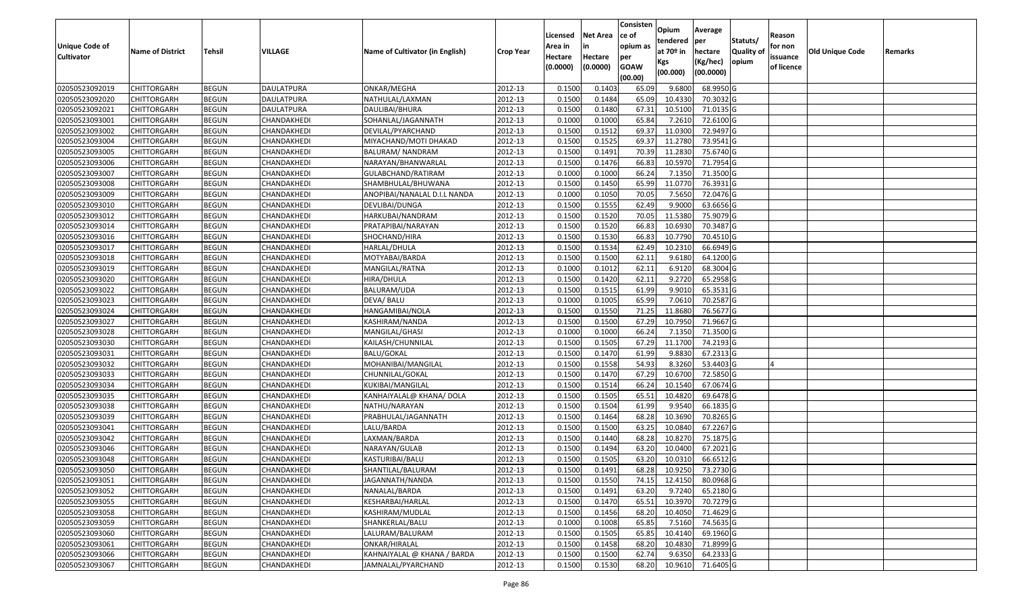|                       |                         |               |                   |                                 |                  |          |                 | Consisten              | Opium       | Average   |                  |            |                 |         |
|-----------------------|-------------------------|---------------|-------------------|---------------------------------|------------------|----------|-----------------|------------------------|-------------|-----------|------------------|------------|-----------------|---------|
|                       |                         |               |                   |                                 |                  | Licensed | <b>Net Area</b> | ce of                  | tendered    | per       | Statuts/         | Reason     |                 |         |
| <b>Unique Code of</b> | <b>Name of District</b> | <b>Tehsil</b> | VILLAGE           | Name of Cultivator (in English) | <b>Crop Year</b> | Area in  | in              | opium as               | at $70°$ in | hectare   | <b>Quality o</b> | for non    | Old Unique Code | Remarks |
| <b>Cultivator</b>     |                         |               |                   |                                 |                  | Hectare  | Hectare         | per                    | Kgs         | (Kg/hec)  | opium            | issuance   |                 |         |
|                       |                         |               |                   |                                 |                  | (0.0000) | (0.0000)        | <b>GOAW</b><br>(00.00) | (00.000)    | (00.0000) |                  | of licence |                 |         |
| 02050523092019        | CHITTORGARH             | <b>BEGUN</b>  | <b>DAULATPURA</b> | ONKAR/MEGHA                     | 2012-13          | 0.1500   | 0.1403          | 65.09                  | 9.6800      | 68.9950 G |                  |            |                 |         |
| 02050523092020        | CHITTORGARH             | <b>BEGUN</b>  | DAULATPURA        | NATHULAL/LAXMAN                 | 2012-13          | 0.1500   | 0.1484          | 65.09                  | 10.4330     | 70.3032G  |                  |            |                 |         |
| 02050523092021        | CHITTORGARH             | <b>BEGUN</b>  | DAULATPURA        | DAULIBAI/BHURA                  | 2012-13          | 0.1500   | 0.1480          | 67.31                  | 10.5100     | 71.0135 G |                  |            |                 |         |
| 02050523093001        | <b>CHITTORGARH</b>      | <b>BEGUN</b>  | CHANDAKHEDI       | SOHANLAL/JAGANNATH              | 2012-13          | 0.1000   | 0.1000          | 65.84                  | 7.2610      | 72.6100G  |                  |            |                 |         |
| 02050523093002        | CHITTORGARH             | <b>BEGUN</b>  | CHANDAKHEDI       | DEVILAL/PYARCHAND               | 2012-13          | 0.1500   | 0.1512          | 69.37                  | 11.0300     | 72.9497 G |                  |            |                 |         |
| 02050523093004        | CHITTORGARH             | <b>BEGUN</b>  | CHANDAKHEDI       | MIYACHAND/MOTI DHAKAD           | 2012-13          | 0.1500   | 0.1525          | 69.37                  | 11.2780     | 73.9541 G |                  |            |                 |         |
| 02050523093005        | CHITTORGARH             | <b>BEGUN</b>  | CHANDAKHEDI       | BALURAM/ NANDRAM                | 2012-13          | 0.1500   | 0.1491          | 70.39                  | 11.2830     | 75.6740 G |                  |            |                 |         |
| 02050523093006        | CHITTORGARH             | <b>BEGUN</b>  | CHANDAKHEDI       | NARAYAN/BHANWARLAL              | 2012-13          | 0.1500   | 0.1476          | 66.83                  | 10.5970     | 71.7954G  |                  |            |                 |         |
| 02050523093007        | CHITTORGARH             | <b>BEGUN</b>  | CHANDAKHEDI       | GULABCHAND/RATIRAM              | 2012-13          | 0.1000   | 0.1000          | 66.24                  | 7.1350      | 71.3500 G |                  |            |                 |         |
| 02050523093008        | CHITTORGARH             | <b>BEGUN</b>  | CHANDAKHEDI       | SHAMBHULAL/BHUWANA              | 2012-13          | 0.1500   | 0.1450          | 65.99                  | 11.0770     | 76.3931 G |                  |            |                 |         |
| 02050523093009        | CHITTORGARH             | <b>BEGUN</b>  | CHANDAKHEDI       | ANOPIBAI/NANALAL D.I.L NANDA    | 2012-13          | 0.1000   | 0.1050          | 70.05                  | 7.5650      | 72.0476 G |                  |            |                 |         |
| 02050523093010        | CHITTORGARH             | <b>BEGUN</b>  | CHANDAKHEDI       | DEVLIBAI/DUNGA                  | 2012-13          | 0.1500   | 0.1555          | 62.49                  | 9.9000      | 63.6656 G |                  |            |                 |         |
| 02050523093012        | <b>CHITTORGARH</b>      | <b>BEGUN</b>  | CHANDAKHEDI       | HARKUBAI/NANDRAM                | 2012-13          | 0.1500   | 0.1520          | 70.05                  | 11.5380     | 75.9079 G |                  |            |                 |         |
| 02050523093014        | CHITTORGARH             | <b>BEGUN</b>  | CHANDAKHEDI       | PRATAPIBAI/NARAYAN              | 2012-13          | 0.1500   | 0.1520          | 66.83                  | 10.6930     | 70.3487 G |                  |            |                 |         |
| 02050523093016        | CHITTORGARH             | <b>BEGUN</b>  | CHANDAKHEDI       | SHOCHAND/HIRA                   | 2012-13          | 0.1500   | 0.1530          | 66.83                  | 10.7790     | 70.4510 G |                  |            |                 |         |
| 02050523093017        | <b>CHITTORGARH</b>      | <b>BEGUN</b>  | CHANDAKHEDI       | HARLAL/DHULA                    | 2012-13          | 0.1500   | 0.1534          | 62.49                  | 10.2310     | 66.6949 G |                  |            |                 |         |
| 02050523093018        | CHITTORGARH             | <b>BEGUN</b>  | CHANDAKHEDI       | MOTYABAI/BARDA                  | 2012-13          | 0.1500   | 0.1500          | 62.1                   | 9.6180      | 64.1200 G |                  |            |                 |         |
| 02050523093019        | CHITTORGARH             | <b>BEGUN</b>  | CHANDAKHEDI       | MANGILAL/RATNA                  | 2012-13          | 0.1000   | 0.1012          | 62.1                   | 6.9120      | 68.3004 G |                  |            |                 |         |
| 02050523093020        | CHITTORGARH             | <b>BEGUN</b>  | CHANDAKHEDI       | HIRA/DHULA                      | 2012-13          | 0.1500   | 0.1420          | 62.11                  | 9.2720      | 65.2958 G |                  |            |                 |         |
| 02050523093022        | CHITTORGARH             | <b>BEGUN</b>  | CHANDAKHEDI       | BALURAM/UDA                     | 2012-13          | 0.1500   | 0.1515          | 61.99                  | 9.9010      | 65.3531G  |                  |            |                 |         |
| 02050523093023        | CHITTORGARH             | <b>BEGUN</b>  | CHANDAKHEDI       | DEVA/ BALU                      | 2012-13          | 0.1000   | 0.1005          | 65.99                  | 7.0610      | 70.2587 G |                  |            |                 |         |
| 02050523093024        | CHITTORGARH             | <b>BEGUN</b>  | CHANDAKHEDI       | HANGAMIBAI/NOLA                 | 2012-13          | 0.150    | 0.1550          | 71.25                  | 11.8680     | 76.5677 G |                  |            |                 |         |
| 02050523093027        | CHITTORGARH             | <b>BEGUN</b>  | CHANDAKHEDI       | KASHIRAM/NANDA                  | 2012-13          | 0.1500   | 0.1500          | 67.29                  | 10.7950     | 71.9667 G |                  |            |                 |         |
| 02050523093028        | CHITTORGARH             | <b>BEGUN</b>  | CHANDAKHEDI       | MANGILAL/GHASI                  | 2012-13          | 0.1000   | 0.1000          | 66.24                  | 7.135       | 71.3500G  |                  |            |                 |         |
| 02050523093030        | CHITTORGARH             | <b>BEGUN</b>  | CHANDAKHEDI       | KAILASH/CHUNNILAL               | 2012-13          | 0.1500   | 0.1505          | 67.29                  | 11.1700     | 74.2193 G |                  |            |                 |         |
| 02050523093031        | CHITTORGARH             | <b>BEGUN</b>  | CHANDAKHEDI       | <b>BALU/GOKAL</b>               | 2012-13          | 0.1500   | 0.1470          | 61.99                  | 9.8830      | 67.2313 G |                  |            |                 |         |
| 02050523093032        | CHITTORGARH             | <b>BEGUN</b>  | CHANDAKHEDI       | MOHANIBAI/MANGILAL              | 2012-13          | 0.1500   | 0.1558          | 54.93                  | 8.3260      | 53.4403 G |                  |            |                 |         |
| 02050523093033        | CHITTORGARH             | <b>BEGUN</b>  | CHANDAKHEDI       | CHUNNILAL/GOKAL                 | 2012-13          | 0.1500   | 0.1470          | 67.29                  | 10.6700     | 72.5850 G |                  |            |                 |         |
| 02050523093034        | CHITTORGARH             | <b>BEGUN</b>  | CHANDAKHEDI       | KUKIBAI/MANGILAL                | 2012-13          | 0.1500   | 0.1514          | 66.24                  | 10.1540     | 67.0674 G |                  |            |                 |         |
| 02050523093035        | CHITTORGARH             | <b>BEGUN</b>  | CHANDAKHEDI       | KANHAIYALAL@ KHANA/ DOLA        | 2012-13          | 0.1500   | 0.1505          | 65.51                  | 10.4820     | 69.6478 G |                  |            |                 |         |
| 02050523093038        | CHITTORGARH             | <b>BEGUN</b>  | CHANDAKHEDI       | NATHU/NARAYAN                   | 2012-13          | 0.1500   | 0.1504          | 61.99                  | 9.954       | 66.1835 G |                  |            |                 |         |
| 02050523093039        | CHITTORGARH             | <b>BEGUN</b>  | CHANDAKHEDI       | PRABHULAL/JAGANNATH             | 2012-13          | 0.1500   | 0.1464          | 68.28                  | 10.3690     | 70.8265G  |                  |            |                 |         |
| 02050523093041        | CHITTORGARH             | <b>BEGUN</b>  | CHANDAKHEDI       | LALU/BARDA                      | 2012-13          | 0.1500   | 0.1500          | 63.25                  | 10.0840     | 67.2267 G |                  |            |                 |         |
| 02050523093042        | CHITTORGARH             | <b>BEGUN</b>  | CHANDAKHEDI       | LAXMAN/BARDA                    | 2012-13          | 0.1500   | 0.1440          | 68.28                  | 10.827      | 75.1875 G |                  |            |                 |         |
| 02050523093046        | CHITTORGARH             | <b>BEGUN</b>  | CHANDAKHEDI       | NARAYAN/GULAB                   | 2012-13          | 0.150    | 0.1494          | 63.20                  | 10.0400     | 67.2021G  |                  |            |                 |         |
| 02050523093048        | CHITTORGARH             | <b>BEGUN</b>  | CHANDAKHEDI       | KASTURIBAI/BALU                 | 2012-13          | 0.1500   | 0.1505          | 63.20                  | 10.0310     | 66.6512G  |                  |            |                 |         |
| 02050523093050        | CHITTORGARH             | <b>BEGUN</b>  | CHANDAKHEDI       | SHANTILAL/BALURAM               | 2012-13          | 0.1500   | 0.1491          | 68.28                  | 10.9250     | 73.2730 G |                  |            |                 |         |
| 02050523093051        | CHITTORGARH             | <b>BEGUN</b>  | CHANDAKHEDI       | JAGANNATH/NANDA                 | 2012-13          | 0.1500   | 0.1550          | 74.15                  | 12.4150     | 80.0968 G |                  |            |                 |         |
| 02050523093052        | <b>CHITTORGARH</b>      | <b>BEGUN</b>  | CHANDAKHEDI       | NANALAL/BARDA                   | 2012-13          | 0.1500   | 0.1491          | 63.20                  | 9.7240      | 65.2180 G |                  |            |                 |         |
| 02050523093055        | <b>CHITTORGARH</b>      | <b>BEGUN</b>  | CHANDAKHEDI       | KESHARBAI/HARLAL                | 2012-13          | 0.1500   | 0.1470          | 65.51                  | 10.3970     | 70.7279 G |                  |            |                 |         |
| 02050523093058        | <b>CHITTORGARH</b>      | <b>BEGUN</b>  | CHANDAKHEDI       | KASHIRAM/MUDLAL                 | 2012-13          | 0.1500   | 0.1456          | 68.20                  | 10.4050     | 71.4629 G |                  |            |                 |         |
| 02050523093059        | <b>CHITTORGARH</b>      | <b>BEGUN</b>  | CHANDAKHEDI       | SHANKERLAL/BALU                 | 2012-13          | 0.1000   | 0.1008          | 65.85                  | 7.5160      | 74.5635 G |                  |            |                 |         |
| 02050523093060        | <b>CHITTORGARH</b>      | <b>BEGUN</b>  | CHANDAKHEDI       | LALURAM/BALURAM                 | 2012-13          | 0.1500   | 0.1505          | 65.85                  | 10.4140     | 69.1960 G |                  |            |                 |         |
| 02050523093061        | <b>CHITTORGARH</b>      | <b>BEGUN</b>  | CHANDAKHEDI       | ONKAR/HIRALAL                   | 2012-13          | 0.1500   | 0.1458          | 68.20                  | 10.4830     | 71.8999 G |                  |            |                 |         |
| 02050523093066        | <b>CHITTORGARH</b>      | <b>BEGUN</b>  | CHANDAKHEDI       | KAHNAIYALAL @ KHANA / BARDA     | 2012-13          | 0.1500   | 0.1500          | 62.74                  | 9.6350      | 64.2333 G |                  |            |                 |         |
| 02050523093067        | <b>CHITTORGARH</b>      | <b>BEGUN</b>  | CHANDAKHEDI       | JAMNALAL/PYARCHAND              | 2012-13          | 0.1500   | 0.1530          | 68.20                  | 10.9610     | 71.6405 G |                  |            |                 |         |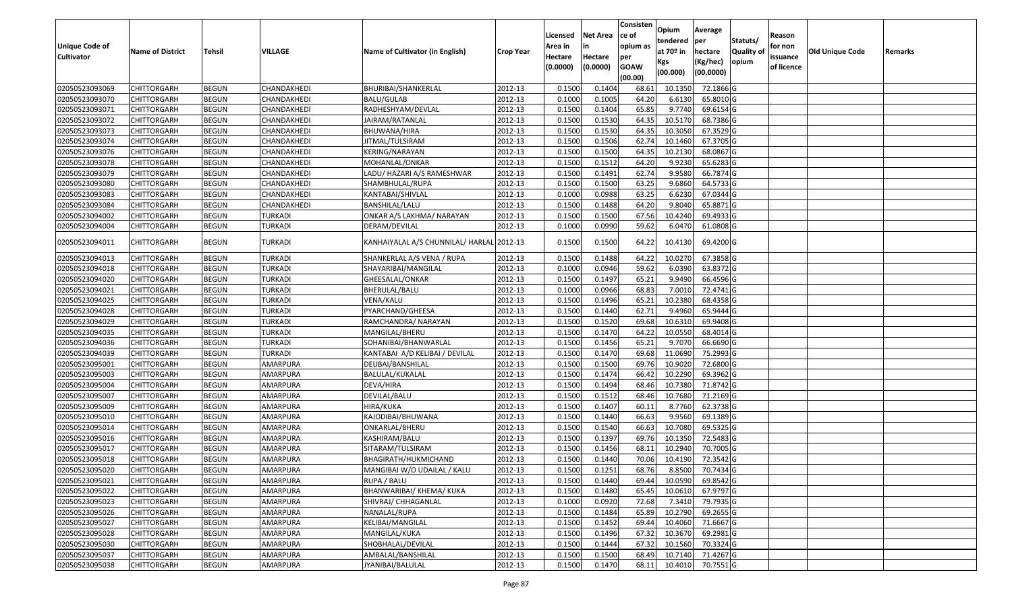|                       |                         |               |                |                                           |                  |                     |                     | Consisten          | Opium       | Average   |           |                        |                 |         |
|-----------------------|-------------------------|---------------|----------------|-------------------------------------------|------------------|---------------------|---------------------|--------------------|-------------|-----------|-----------|------------------------|-----------------|---------|
|                       |                         |               |                |                                           |                  | Licensed            | <b>Net Area</b>     | ce of              | tendered    | per       | Statuts/  | Reason                 |                 |         |
| <b>Unique Code of</b> | <b>Name of District</b> | <b>Tehsil</b> | VILLAGE        | Name of Cultivator (in English)           | <b>Crop Year</b> | Area in             |                     | opium as           | at $70°$ in | hectare   | Quality o | for non                | Old Unique Code | Remarks |
| <b>Cultivator</b>     |                         |               |                |                                           |                  | Hectare<br>(0.0000) | Hectare<br>(0.0000) | per<br><b>GOAW</b> | Kgs         | (Kg/hec)  | opium     | issuance<br>of licence |                 |         |
|                       |                         |               |                |                                           |                  |                     |                     | (00.00)            | (00.000)    | (00.0000) |           |                        |                 |         |
| 02050523093069        | CHITTORGARH             | <b>BEGUN</b>  | CHANDAKHEDI    | BHURIBAI/SHANKERLAL                       | 2012-13          | 0.1500              | 0.1404              | 68.61              | 10.135      | 72.1866 G |           |                        |                 |         |
| 02050523093070        | CHITTORGARH             | <b>BEGUN</b>  | CHANDAKHEDI    | <b>BALU/GULAB</b>                         | 2012-13          | 0.1000              | 0.1005              | 64.20              | 6.6130      | 65.8010 G |           |                        |                 |         |
| 02050523093071        | CHITTORGARH             | <b>BEGUN</b>  | CHANDAKHEDI    | RADHESHYAM/DEVLAL                         | 2012-13          | 0.1500              | 0.1404              | 65.85              | 9.7740      | 69.6154 G |           |                        |                 |         |
| 02050523093072        | <b>CHITTORGARH</b>      | <b>BEGUN</b>  | CHANDAKHEDI    | JAIRAM/RATANLAL                           | 2012-13          | 0.1500              | 0.1530              | 64.35              | 10.5170     | 68.7386 G |           |                        |                 |         |
| 02050523093073        | CHITTORGARH             | <b>BEGUN</b>  | CHANDAKHEDI    | BHUWANA/HIRA                              | 2012-13          | 0.1500              | 0.1530              | 64.35              | 10.305      | 67.3529 G |           |                        |                 |         |
| 02050523093074        | CHITTORGARH             | <b>BEGUN</b>  | CHANDAKHEDI    | JITMAL/TULSIRAM                           | 2012-13          | 0.1500              | 0.1506              | 62.74              | 10.1460     | 67.3705 G |           |                        |                 |         |
| 02050523093076        | CHITTORGARH             | <b>BEGUN</b>  | CHANDAKHEDI    | KERING/NARAYAN                            | 2012-13          | 0.1500              | 0.1500              | 64.35              | 10.2130     | 68.0867 G |           |                        |                 |         |
| 02050523093078        | CHITTORGARH             | <b>BEGUN</b>  | CHANDAKHEDI    | MOHANLAL/ONKAR                            | 2012-13          | 0.1500              | 0.1512              | 64.20              | 9.9230      | 65.6283 G |           |                        |                 |         |
| 02050523093079        | CHITTORGARH             | <b>BEGUN</b>  | CHANDAKHEDI    | LADU/ HAZARI A/S RAMESHWAR                | 2012-13          | 0.1500              | 0.1491              | 62.74              | 9.9580      | 66.7874 G |           |                        |                 |         |
| 02050523093080        | CHITTORGARH             | <b>BEGUN</b>  | CHANDAKHEDI    | SHAMBHULAL/RUPA                           | 2012-13          | 0.1500              | 0.1500              | 63.25              | 9.6860      | 64.5733 G |           |                        |                 |         |
| 02050523093083        | CHITTORGARH             | <b>BEGUN</b>  | CHANDAKHEDI    | KANTABAI/SHIVLAL                          | 2012-13          | 0.1000              | 0.0988              | 63.25              | 6.6230      | 67.0344 G |           |                        |                 |         |
| 02050523093084        | CHITTORGARH             | <b>BEGUN</b>  | CHANDAKHEDI    | BANSHILAL/LALU                            | 2012-13          | 0.1500              | 0.1488              | 64.20              | 9.8040      | 65.8871 G |           |                        |                 |         |
| 02050523094002        | <b>CHITTORGARH</b>      | <b>BEGUN</b>  | <b>TURKADI</b> | ONKAR A/S LAKHMA/ NARAYAN                 | 2012-13          | 0.1500              | 0.1500              | 67.56              | 10.4240     | 69.4933 G |           |                        |                 |         |
| 02050523094004        | CHITTORGARH             | <b>BEGUN</b>  | TURKADI        | DERAM/DEVILAL                             | 2012-13          | 0.1000              | 0.0990              | 59.62              | 6.0470      | 61.0808 G |           |                        |                 |         |
| 02050523094011        | CHITTORGARH             | <b>BEGUN</b>  | TURKADI        | KANHAIYALAL A/S CHUNNILAL/ HARLAL 2012-13 |                  | 0.1500              | 0.1500              | 64.22              | 10.4130     | 69.4200 G |           |                        |                 |         |
| 02050523094013        | CHITTORGARH             | <b>BEGUN</b>  | <b>TURKADI</b> | SHANKERLAL A/S VENA / RUPA                | 2012-13          | 0.1500              | 0.1488              | 64.22              | 10.0270     | 67.3858 G |           |                        |                 |         |
| 02050523094018        | CHITTORGARH             | <b>BEGUN</b>  | <b>TURKADI</b> | SHAYARIBAI/MANGILAL                       | 2012-13          | 0.1000              | 0.0946              | 59.62              | 6.0390      | 63.8372 G |           |                        |                 |         |
| 02050523094020        | CHITTORGARH             | <b>BEGUN</b>  | TURKADI        | GHEESALAL/ONKAR                           | 2012-13          | 0.1500              | 0.1497              | 65.21              | 9.9490      | 66.4596 G |           |                        |                 |         |
| 02050523094021        | CHITTORGARH             | <b>BEGUN</b>  | <b>TURKADI</b> | BHERULAL/BALU                             | 2012-13          | 0.1000              | 0.0966              | 68.83              | 7.0010      | 72.4741 G |           |                        |                 |         |
| 02050523094025        | CHITTORGARH             | <b>BEGUN</b>  | <b>TURKADI</b> | VENA/KALU                                 | 2012-13          | 0.1500              | 0.1496              | 65.21              | 10.2380     | 68.4358 G |           |                        |                 |         |
| 02050523094028        | CHITTORGARH             | <b>BEGUN</b>  | <b>TURKADI</b> | PYARCHAND/GHEESA                          | 2012-13          | 0.1500              | 0.1440              | 62.72              | 9.4960      | 65.9444 G |           |                        |                 |         |
| 02050523094029        | CHITTORGARH             | <b>BEGUN</b>  | <b>TURKADI</b> | RAMCHANDRA/ NARAYAN                       | 2012-13          | 0.1500              | 0.1520              | 69.68              | 10.6310     | 69.9408 G |           |                        |                 |         |
| 02050523094035        | CHITTORGARH             | <b>BEGUN</b>  | TURKADI        | MANGILAL/BHERU                            | 2012-13          | 0.1500              | 0.1470              | 64.22              | 10.0550     | 68.4014 G |           |                        |                 |         |
| 02050523094036        | CHITTORGARH             | <b>BEGUN</b>  | <b>TURKADI</b> | SOHANIBAI/BHANWARLAL                      | 2012-13          | 0.1500              | 0.1456              | 65.21              | 9.7070      | 66.6690 G |           |                        |                 |         |
| 02050523094039        | CHITTORGARH             | <b>BEGUN</b>  | <b>TURKADI</b> | KANTABAI A/D KELIBAI / DEVILAL            | 2012-13          | 0.1500              | 0.1470              | 69.68              | 11.0690     | 75.2993 G |           |                        |                 |         |
| 02050523095001        | CHITTORGARH             | <b>BEGUN</b>  | AMARPURA       | DEUBAI/BANSHILAL                          | 2012-13          | 0.1500              | 0.1500              | 69.76              | 10.9020     | 72.6800 G |           |                        |                 |         |
| 02050523095003        | CHITTORGARH             | <b>BEGUN</b>  | AMARPURA       | BALULAL/KUKALAL                           | 2012-13          | 0.1500              | 0.1474              | 66.42              | 10.2290     | 69.3962 G |           |                        |                 |         |
| 02050523095004        | CHITTORGARH             | <b>BEGUN</b>  | AMARPURA       | DEVA/HIRA                                 | 2012-13          | 0.1500              | 0.1494              | 68.46              | 10.7380     | 71.8742 G |           |                        |                 |         |
| 02050523095007        | CHITTORGARH             | <b>BEGUN</b>  | AMARPURA       | DEVILAL/BALU                              | 2012-13          | 0.1500              | 0.1512              | 68.46              | 10.7680     | 71.2169 G |           |                        |                 |         |
| 02050523095009        | CHITTORGARH             | <b>BEGUN</b>  | AMARPURA       | HIRA/KUKA                                 | 2012-13          | 0.1500              | 0.1407              | 60.1               | 8.7760      | 62.3738 G |           |                        |                 |         |
| 02050523095010        | CHITTORGARH             | <b>BEGUN</b>  | AMARPURA       | KAJODIBAI/BHUWANA                         | 2012-13          | 0.1500              | 0.1440              | 66.63              | 9.9560      | 69.1389 G |           |                        |                 |         |
| 02050523095014        | CHITTORGARH             | <b>BEGUN</b>  | AMARPURA       | ONKARLAL/BHERU                            | 2012-13          | 0.1500              | 0.1540              | 66.63              | 10.7080     | 69.5325 G |           |                        |                 |         |
| 02050523095016        | <b>CHITTORGARH</b>      | <b>BEGUN</b>  | AMARPURA       | KASHIRAM/BALU                             | 2012-13          | 0.1500              | 0.1397              | 69.76              | 10.1350     | 72.5483 G |           |                        |                 |         |
| 02050523095017        | CHITTORGARH             | <b>BEGUN</b>  | AMARPURA       | SITARAM/TULSIRAM                          | 2012-13          | 0.150               | 0.1456              | 68.1               | 10.2940     | 70.7005 G |           |                        |                 |         |
| 02050523095018        | CHITTORGARH             | <b>BEGUN</b>  | AMARPURA       | BHAGIRATH/HUKMICHAND                      | 2012-13          | 0.1500              | 0.1440              | 70.06              | 10.4190     | 72.3542 G |           |                        |                 |         |
| 02050523095020        | CHITTORGARH             | <b>BEGUN</b>  | AMARPURA       | MANGIBAI W/O UDAILAL / KALU               | 2012-13          | 0.1500              | 0.1251              | 68.76              | 8.8500      | 70.7434 G |           |                        |                 |         |
| 02050523095021        | <b>CHITTORGARH</b>      | <b>BEGUN</b>  | AMARPURA       | RUPA / BALU                               | 2012-13          | 0.1500              | 0.1440              | 69.44              | 10.0590     | 69.8542 G |           |                        |                 |         |
| 02050523095022        | <b>CHITTORGARH</b>      | <b>BEGUN</b>  | AMARPURA       | BHANWARIBAI/ KHEMA/ KUKA                  | 2012-13          | 0.1500              | 0.1480              | 65.45              | 10.0610     | 67.9797 G |           |                        |                 |         |
| 02050523095023        | <b>CHITTORGARH</b>      | <b>BEGUN</b>  | AMARPURA       | SHIVRAJ/ CHHAGANLAL                       | 2012-13          | 0.1000              | 0.0920              | 72.68              | 7.3410      | 79.7935 G |           |                        |                 |         |
| 02050523095026        | CHITTORGARH             | <b>BEGUN</b>  | AMARPURA       | NANALAL/RUPA                              | 2012-13          | 0.1500              | 0.1484              | 65.89              | 10.2790     | 69.2655 G |           |                        |                 |         |
| 02050523095027        | <b>CHITTORGARH</b>      | <b>BEGUN</b>  | AMARPURA       | KELIBAI/MANGILAL                          | 2012-13          | 0.1500              | 0.1452              | 69.44              | 10.4060     | 71.6667 G |           |                        |                 |         |
| 02050523095028        | <b>CHITTORGARH</b>      | <b>BEGUN</b>  | AMARPURA       | MANGILAL/KUKA                             | 2012-13          | 0.1500              | 0.1496              | 67.32              | 10.3670     | 69.2981 G |           |                        |                 |         |
| 02050523095030        | CHITTORGARH             | <b>BEGUN</b>  | AMARPURA       | SHOBHALAL/DEVILAL                         | 2012-13          | 0.1500              | 0.1444              | 67.32              | 10.1560     | 70.3324 G |           |                        |                 |         |
| 02050523095037        | <b>CHITTORGARH</b>      | <b>BEGUN</b>  | AMARPURA       | AMBALAL/BANSHILAL                         | 2012-13          | 0.1500              | 0.1500              | 68.49              | 10.7140     | 71.4267 G |           |                        |                 |         |
| 02050523095038        | <b>CHITTORGARH</b>      | <b>BEGUN</b>  | AMARPURA       | JYANIBAI/BALULAL                          | 2012-13          | 0.1500              | 0.1470              | 68.11              | 10.4010     | 70.7551 G |           |                        |                 |         |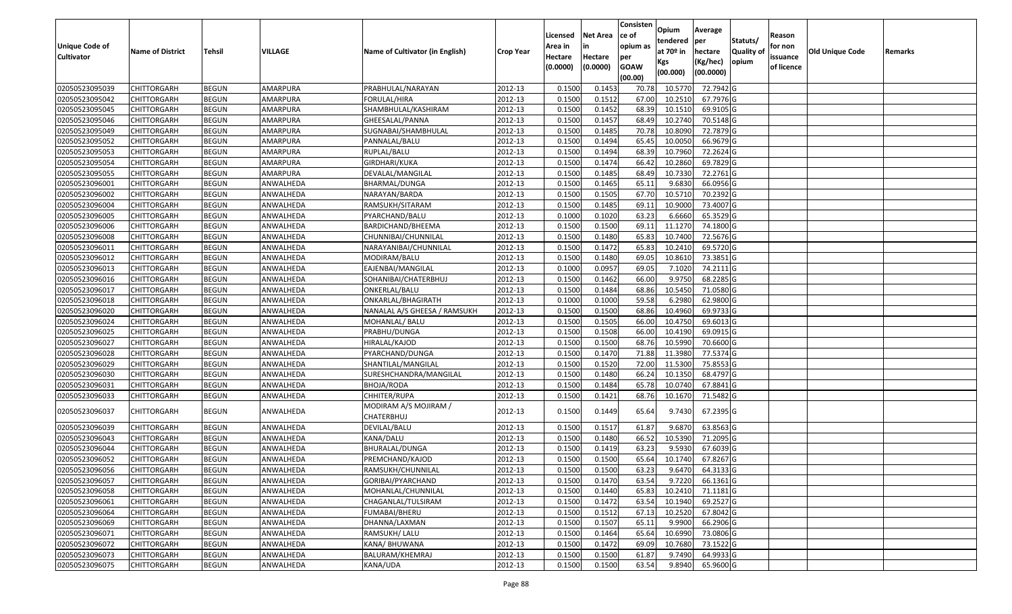|                                  |                            |                              |                        |                                     |                    | Licensed         | <b>Net Area</b>  | Consisten<br>ce of | Opium             | Average                |                  | Reason     |                 |         |
|----------------------------------|----------------------------|------------------------------|------------------------|-------------------------------------|--------------------|------------------|------------------|--------------------|-------------------|------------------------|------------------|------------|-----------------|---------|
| <b>Unique Code of</b>            |                            |                              |                        |                                     |                    | Area in          |                  | opium as           | tendered          | per                    | Statuts/         | for non    |                 |         |
| <b>Cultivator</b>                | <b>Name of District</b>    | <b>Tehsil</b>                | VILLAGE                | Name of Cultivator (in English)     | <b>Crop Year</b>   | Hectare          | Hectare          | per                | at $70°$ in       | hectare                | <b>Quality o</b> | issuance   | Old Unique Code | Remarks |
|                                  |                            |                              |                        |                                     |                    | (0.0000)         | (0.0000)         | <b>GOAW</b>        | Kgs               | (Kg/hec)               | opium            | of licence |                 |         |
|                                  |                            |                              |                        |                                     |                    |                  |                  | (00.00)            | (00.000)          | (00.0000)              |                  |            |                 |         |
| 02050523095039                   | CHITTORGARH                | <b>BEGUN</b>                 | AMARPURA               | PRABHULAL/NARAYAN                   | 2012-13            | 0.1500           | 0.1453           | 70.78              | 10.5770           | 72.7942 G              |                  |            |                 |         |
| 02050523095042                   | CHITTORGARH                | <b>BEGUN</b>                 | AMARPURA               | FORULAL/HIRA                        | 2012-13            | 0.1500           | 0.1512           | 67.00              | 10.2510           | 67.7976 G              |                  |            |                 |         |
| 02050523095045                   | CHITTORGARH                | <b>BEGUN</b>                 | AMARPURA               | SHAMBHULAL/KASHIRAM                 | 2012-13            | 0.1500           | 0.1452           | 68.39              | 10.1510           | 69.9105 G              |                  |            |                 |         |
| 02050523095046                   | <b>CHITTORGARH</b>         | <b>BEGUN</b>                 | AMARPURA               | GHEESALAL/PANNA                     | 2012-13            | 0.1500           | 0.1457           | 68.49              | 10.2740           | 70.5148 G              |                  |            |                 |         |
| 02050523095049                   | CHITTORGARH                | <b>BEGUN</b>                 | AMARPURA               | SUGNABAI/SHAMBHULAL                 | 2012-13            | 0.1500           | 0.1485           | 70.78              | 10.8090           | 72.7879 G              |                  |            |                 |         |
| 02050523095052                   | CHITTORGARH                | <b>BEGUN</b>                 | AMARPURA               | PANNALAL/BALU                       | 2012-13            | 0.1500           | 0.1494           | 65.45              | 10.0050           | 66.9679 G              |                  |            |                 |         |
| 02050523095053                   | CHITTORGARH                | <b>BEGUN</b>                 | AMARPURA               | RUPLAL/BALU                         | 2012-13            | 0.1500           | 0.1494           | 68.39              | 10.7960           | 72.2624 G              |                  |            |                 |         |
| 02050523095054                   | CHITTORGARH                | <b>BEGUN</b>                 | AMARPURA               | GIRDHARI/KUKA                       | 2012-13            | 0.1500           | 0.1474           | 66.42              | 10.2860           | 69.7829 G              |                  |            |                 |         |
| 02050523095055                   | CHITTORGARH                | <b>BEGUN</b>                 | AMARPURA               | DEVALAL/MANGILAL                    | 2012-13            | 0.1500           | 0.1485           | 68.49              | 10.7330           | 72.2761 G              |                  |            |                 |         |
| 02050523096001                   | CHITTORGARH                | <b>BEGUN</b>                 | ANWALHEDA              | BHARMAL/DUNGA                       | 2012-13            | 0.1500           | 0.1465           | 65.1               | 9.6830            | 66.0956 G              |                  |            |                 |         |
| 02050523096002                   | CHITTORGARH                | <b>BEGUN</b>                 | ANWALHEDA              | NARAYAN/BARDA                       | 2012-13            | 0.1500           | 0.1505           | 67.70              | 10.5710           | 70.2392 G              |                  |            |                 |         |
| 02050523096004                   | CHITTORGARH                | <b>BEGUN</b>                 | ANWALHEDA              | RAMSUKH/SITARAM                     | 2012-13            | 0.1500           | 0.1485           | 69.1               | 10.9000           | 73.4007 G              |                  |            |                 |         |
| 02050523096005                   | <b>CHITTORGARH</b>         | <b>BEGUN</b>                 | ANWALHEDA              | PYARCHAND/BALU                      | 2012-13            | 0.1000           | 0.1020           | 63.23              | 6.6660            | 65.3529 G              |                  |            |                 |         |
| 02050523096006                   | CHITTORGARH                | <b>BEGUN</b>                 | ANWALHEDA              | BARDICHAND/BHEEMA                   | 2012-13            | 0.1500           | 0.1500           | 69.1               | 11.1270           | 74.1800 G              |                  |            |                 |         |
| 02050523096008                   | CHITTORGARH                | <b>BEGUN</b>                 | ANWALHEDA              | CHUNNIBAI/CHUNNILAL                 | 2012-13            | 0.1500           | 0.1480           | 65.83              | 10.7400           | 72.5676 G              |                  |            |                 |         |
| 02050523096011                   | <b>CHITTORGARH</b>         | <b>BEGUN</b>                 | ANWALHEDA              | NARAYANIBAI/CHUNNILAL               | 2012-13            | 0.1500           | 0.1472           | 65.83              | 10.2410           | 69.5720 G              |                  |            |                 |         |
| 02050523096012                   | CHITTORGARH                | <b>BEGUN</b>                 | ANWALHEDA              | MODIRAM/BALU                        | 2012-13            | 0.1500           | 0.1480           | 69.05              | 10.8610           | 73.3851 G              |                  |            |                 |         |
| 02050523096013                   | CHITTORGARH                | <b>BEGUN</b>                 | ANWALHEDA              | EAJENBAI/MANGILAL                   | 2012-13            | 0.1000           | 0.0957           | 69.05              | 7.1020            | 74.2111G               |                  |            |                 |         |
| 02050523096016                   | CHITTORGARH                | <b>BEGUN</b>                 | ANWALHEDA              | SOHANIBAI/CHATERBHUJ                | 2012-13            | 0.1500           | 0.1462           | 66.00              | 9.975             | 68.2285 G              |                  |            |                 |         |
| 02050523096017                   | CHITTORGARH                | <b>BEGUN</b>                 | ANWALHEDA              | ONKERLAL/BALU                       | 2012-13            | 0.1500           | 0.1484           | 68.86              | 10.545            | 71.0580G               |                  |            |                 |         |
| 02050523096018                   | CHITTORGARH                | <b>BEGUN</b>                 | ANWALHEDA              | ONKARLAL/BHAGIRATH                  | 2012-13            | 0.100            | 0.1000           | 59.58              | 6.2980            | 62.9800 G              |                  |            |                 |         |
| 02050523096020                   | CHITTORGARH                | <b>BEGUN</b>                 | ANWALHEDA              | NANALAL A/S GHEESA / RAMSUKH        | 2012-13            | 0.150            | 0.1500           | 68.86              | 10.4960           | 69.9733 G              |                  |            |                 |         |
| 02050523096024                   | CHITTORGARH                | <b>BEGUN</b>                 | ANWALHEDA              | MOHANLAL/ BALU                      | 2012-13            | 0.1500           | 0.1505           | 66.00              | 10.475            | 69.6013 G              |                  |            |                 |         |
| 02050523096025                   | CHITTORGARH                | <b>BEGUN</b>                 | ANWALHEDA              | PRABHU/DUNGA                        | 2012-13            | 0.1500           | 0.1508           | 66.00              | 10.4190           | 69.0915 G              |                  |            |                 |         |
| 02050523096027                   | CHITTORGARH                | <b>BEGUN</b>                 | ANWALHEDA              | HIRALAL/KAJOD                       | 2012-13            | 0.1500           | 0.1500           | 68.76              | 10.5990           | 70.6600 G              |                  |            |                 |         |
| 02050523096028                   | CHITTORGARH                | <b>BEGUN</b>                 | ANWALHEDA              | PYARCHAND/DUNGA                     | 2012-13            | 0.1500           | 0.1470           | 71.88              | 11.3980           | 77.5374 G              |                  |            |                 |         |
| 02050523096029                   | CHITTORGARH                | <b>BEGUN</b>                 | ANWALHEDA              | SHANTILAL/MANGILAL                  | 2012-13            | 0.1500           | 0.1520           | 72.00              | 11.5300           | 75.8553 G              |                  |            |                 |         |
| 02050523096030                   | CHITTORGARH                | <b>BEGUN</b><br><b>BEGUN</b> | ANWALHEDA<br>ANWALHEDA | SURESHCHANDRA/MANGILAL              | 2012-13            | 0.1500<br>0.1500 | 0.1480<br>0.1484 | 66.24              | 10.1350           | 68.4797 G              |                  |            |                 |         |
| 02050523096031<br>02050523096033 | CHITTORGARH<br>CHITTORGARH | <b>BEGUN</b>                 | ANWALHEDA              | <b>BHOJA/RODA</b><br>CHHITER/RUPA   | 2012-13<br>2012-13 | 0.1500           | 0.1421           | 65.78<br>68.76     | 10.074<br>10.1670 | 67.8841 G<br>71.5482 G |                  |            |                 |         |
|                                  |                            |                              |                        |                                     |                    |                  |                  |                    |                   |                        |                  |            |                 |         |
| 02050523096037                   | CHITTORGARH                | <b>BEGUN</b>                 | ANWALHEDA              | MODIRAM A/S MOJIRAM /<br>CHATERBHUJ | 2012-13            | 0.1500           | 0.1449           | 65.64              | 9.7430            | 67.2395 G              |                  |            |                 |         |
| 02050523096039                   | CHITTORGARH                | <b>BEGUN</b>                 | ANWALHEDA              | DEVILAL/BALU                        | 2012-13            | 0.1500           | 0.1517           | 61.87              | 9.6870            | 63.8563 G              |                  |            |                 |         |
| 02050523096043                   | <b>CHITTORGARH</b>         | <b>BEGUN</b>                 | ANWALHEDA              | KANA/DALU                           | 2012-13            | 0.1500           | 0.1480           | 66.52              | 10.5390           | 71.2095 G              |                  |            |                 |         |
| 02050523096044                   | CHITTORGARH                | <b>BEGUN</b>                 | ANWALHEDA              | BHURALAL/DUNGA                      | 2012-13            | 0.150            | 0.1419           | 63.23              | 9.593             | 67.6039 G              |                  |            |                 |         |
| 02050523096052                   | CHITTORGARH                | <b>BEGUN</b>                 | ANWALHEDA              | PREMCHAND/KAJOD                     | 2012-13            | 0.1500           | 0.1500           | 65.64              | 10.1740           | 67.8267 G              |                  |            |                 |         |
| 02050523096056                   | <b>CHITTORGARH</b>         | <b>BEGUN</b>                 | ANWALHEDA              | RAMSUKH/CHUNNILAL                   | 2012-13            | 0.1500           | 0.1500           | 63.23              | 9.6470            | 64.3133 G              |                  |            |                 |         |
| 02050523096057                   | <b>CHITTORGARH</b>         | <b>BEGUN</b>                 | ANWALHEDA              | GORIBAI/PYARCHAND                   | 2012-13            | 0.1500           | 0.1470           | 63.54              | 9.7220            | 66.1361 G              |                  |            |                 |         |
| 02050523096058                   | <b>CHITTORGARH</b>         | <b>BEGUN</b>                 | ANWALHEDA              | MOHANLAL/CHUNNILAL                  | 2012-13            | 0.1500           | 0.1440           | 65.83              | 10.2410           | 71.1181 G              |                  |            |                 |         |
| 02050523096061                   | <b>CHITTORGARH</b>         | <b>BEGUN</b>                 | ANWALHEDA              | CHAGANLAL/TULSIRAM                  | 2012-13            | 0.1500           | 0.1472           | 63.54              | 10.1940           | 69.2527 G              |                  |            |                 |         |
| 02050523096064                   | CHITTORGARH                | <b>BEGUN</b>                 | ANWALHEDA              | FUMABAI/BHERU                       | 2012-13            | 0.1500           | 0.1512           | 67.13              | 10.2520           | 67.8042 G              |                  |            |                 |         |
| 02050523096069                   | <b>CHITTORGARH</b>         | <b>BEGUN</b>                 | ANWALHEDA              | DHANNA/LAXMAN                       | 2012-13            | 0.1500           | 0.1507           | 65.11              | 9.9900            | 66.2906 G              |                  |            |                 |         |
| 02050523096071                   | <b>CHITTORGARH</b>         | <b>BEGUN</b>                 | ANWALHEDA              | RAMSUKH/ LALU                       | 2012-13            | 0.1500           | 0.1464           | 65.64              | 10.6990           | 73.0806 G              |                  |            |                 |         |
| 02050523096072                   | <b>CHITTORGARH</b>         | <b>BEGUN</b>                 | ANWALHEDA              | KANA/ BHUWANA                       | 2012-13            | 0.1500           | 0.1472           | 69.09              | 10.7680           | 73.1522 G              |                  |            |                 |         |
| 02050523096073                   | <b>CHITTORGARH</b>         | <b>BEGUN</b>                 | ANWALHEDA              | BALURAM/KHEMRAJ                     | 2012-13            | 0.1500           | 0.1500           | 61.87              | 9.7490            | 64.9933 G              |                  |            |                 |         |
| 02050523096075                   | <b>CHITTORGARH</b>         | <b>BEGUN</b>                 | ANWALHEDA              | KANA/UDA                            | 2012-13            | 0.1500           | 0.1500           | 63.54              | 9.8940            | 65.9600 G              |                  |            |                 |         |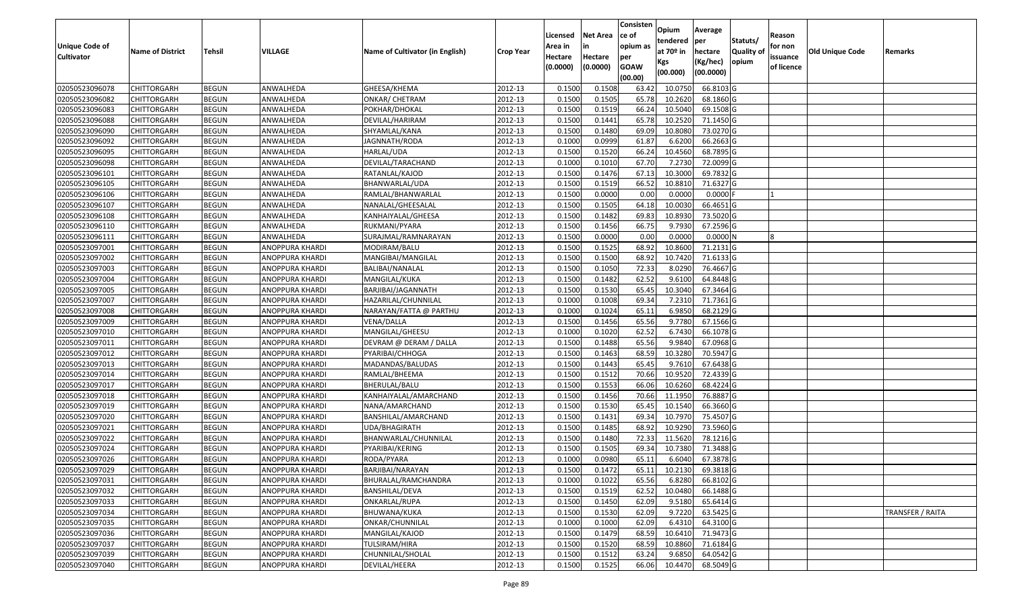|                       |                         |               |                        |                                 |                  |          |                 | Consisten   |                         |            |                  |            |                 |                  |
|-----------------------|-------------------------|---------------|------------------------|---------------------------------|------------------|----------|-----------------|-------------|-------------------------|------------|------------------|------------|-----------------|------------------|
|                       |                         |               |                        |                                 |                  | Licensed | <b>Net Area</b> | ce of       | Opium                   | Average    |                  | Reason     |                 |                  |
| <b>Unique Code of</b> |                         |               |                        |                                 |                  | Area in  |                 | opium as    | tendered<br>at $70°$ in | per        | Statuts/         | for non    |                 |                  |
| <b>Cultivator</b>     | <b>Name of District</b> | <b>Tehsil</b> | VILLAGE                | Name of Cultivator (in English) | <b>Crop Year</b> | Hectare  | Hectare         | per         |                         | hectare    | <b>Quality o</b> | issuance   | Old Unique Code | Remarks          |
|                       |                         |               |                        |                                 |                  | (0.0000) | (0.0000)        | <b>GOAW</b> | Kgs                     | (Kg/hec)   | opium            | of licence |                 |                  |
|                       |                         |               |                        |                                 |                  |          |                 | (00.00)     | (00.000)                | (00.0000)  |                  |            |                 |                  |
| 02050523096078        | CHITTORGARH             | <b>BEGUN</b>  | ANWALHEDA              | GHEESA/KHEMA                    | 2012-13          | 0.1500   | 0.1508          | 63.42       | 10.075                  | 66.8103 G  |                  |            |                 |                  |
| 02050523096082        | CHITTORGARH             | <b>BEGUN</b>  | ANWALHEDA              | ONKAR/ CHETRAM                  | 2012-13          | 0.1500   | 0.1505          | 65.78       | 10.2620                 | 68.1860 G  |                  |            |                 |                  |
| 02050523096083        | CHITTORGARH             | <b>BEGUN</b>  | ANWALHEDA              | POKHAR/DHOKAL                   | 2012-13          | 0.1500   | 0.1519          | 66.24       | 10.5040                 | 69.1508 G  |                  |            |                 |                  |
| 02050523096088        | CHITTORGARH             | <b>BEGUN</b>  | ANWALHEDA              | DEVILAL/HARIRAM                 | 2012-13          | 0.1500   | 0.1441          | 65.78       | 10.2520                 | 71.1450 G  |                  |            |                 |                  |
| 02050523096090        | CHITTORGARH             | <b>BEGUN</b>  | ANWALHEDA              | SHYAMLAL/KANA                   | 2012-13          | 0.1500   | 0.1480          | 69.09       | 10.8080                 | 73.0270 G  |                  |            |                 |                  |
| 02050523096092        | CHITTORGARH             | <b>BEGUN</b>  | ANWALHEDA              | JAGNNATH/RODA                   | 2012-13          | 0.1000   | 0.0999          | 61.87       | 6.6200                  | 66.2663 G  |                  |            |                 |                  |
| 02050523096095        | CHITTORGARH             | <b>BEGUN</b>  | ANWALHEDA              | HARLAL/UDA                      | 2012-13          | 0.1500   | 0.1520          | 66.24       | 10.4560                 | 68.7895 G  |                  |            |                 |                  |
| 02050523096098        | CHITTORGARH             | <b>BEGUN</b>  | ANWALHEDA              | DEVILAL/TARACHAND               | 2012-13          | 0.1000   | 0.1010          | 67.70       | 7.2730                  | 72.0099 G  |                  |            |                 |                  |
| 02050523096101        | <b>CHITTORGARH</b>      | <b>BEGUN</b>  | ANWALHEDA              | RATANLAL/KAJOD                  | 2012-13          | 0.1500   | 0.1476          | 67.13       | 10.300                  | 69.7832 G  |                  |            |                 |                  |
| 02050523096105        | CHITTORGARH             | <b>BEGUN</b>  | ANWALHEDA              | BHANWARLAL/UDA                  | 2012-13          | 0.1500   | 0.1519          | 66.52       | 10.8810                 | 71.6327 G  |                  |            |                 |                  |
| 02050523096106        | CHITTORGARH             | <b>BEGUN</b>  | ANWALHEDA              | RAMLAL/BHANWARLAL               | 2012-13          | 0.1500   | 0.0000          | 0.00        | 0.0000                  | $0.0000$ F |                  |            |                 |                  |
| 02050523096107        | CHITTORGARH             | <b>BEGUN</b>  | ANWALHEDA              | NANALAL/GHEESALAL               | 2012-13          | 0.1500   | 0.1505          | 64.18       | 10.003                  | 66.4651 G  |                  |            |                 |                  |
| 02050523096108        | <b>CHITTORGARH</b>      | <b>BEGUN</b>  | ANWALHEDA              | KANHAIYALAL/GHEESA              | 2012-13          | 0.1500   | 0.1482          | 69.83       | 10.8930                 | 73.5020 G  |                  |            |                 |                  |
| 02050523096110        | <b>CHITTORGARH</b>      | <b>BEGUN</b>  | ANWALHEDA              | RUKMANI/PYARA                   | 2012-13          | 0.1500   | 0.1456          | 66.75       | 9.7930                  | 67.2596 G  |                  |            |                 |                  |
| 02050523096111        | CHITTORGARH             | <b>BEGUN</b>  | ANWALHEDA              | SURAJMAL/RAMNARAYAN             | 2012-13          | 0.1500   | 0.0000          | 0.00        | 0.0000                  | 0.0000N    |                  |            |                 |                  |
| 02050523097001        | <b>CHITTORGARH</b>      | <b>BEGUN</b>  | ANOPPURA KHARDI        | MODIRAM/BALU                    | 2012-13          | 0.1500   | 0.1525          | 68.92       | 10.8600                 | 71.2131 G  |                  |            |                 |                  |
| 02050523097002        | CHITTORGARH             | <b>BEGUN</b>  | ANOPPURA KHARDI        | MANGIBAI/MANGILAL               | 2012-13          | 0.1500   | 0.1500          | 68.92       | 10.7420                 | 71.6133 G  |                  |            |                 |                  |
| 02050523097003        | CHITTORGARH             | <b>BEGUN</b>  | ANOPPURA KHARDI        | BALIBAI/NANALAL                 | 2012-13          | 0.1500   | 0.1050          | 72.33       | 8.0290                  | 76.4667 G  |                  |            |                 |                  |
| 02050523097004        | CHITTORGARH             | <b>BEGUN</b>  | ANOPPURA KHARDI        | MANGILAL/KUKA                   | 2012-13          | 0.1500   | 0.1482          | 62.52       | 9.6100                  | 64.8448 G  |                  |            |                 |                  |
| 02050523097005        | CHITTORGARH             | <b>BEGUN</b>  | ANOPPURA KHARDI        | BARJIBAI/JAGANNATH              | 2012-13          | 0.1500   | 0.1530          | 65.45       | 10.3040                 | 67.3464 G  |                  |            |                 |                  |
| 02050523097007        | CHITTORGARH             | <b>BEGUN</b>  | ANOPPURA KHARDI        | HAZARILAL/CHUNNILAL             | 2012-13          | 0.1000   | 0.1008          | 69.34       | 7.2310                  | 71.7361 G  |                  |            |                 |                  |
| 02050523097008        | CHITTORGARH             | <b>BEGUN</b>  | ANOPPURA KHARDI        | NARAYAN/FATTA @ PARTHU          | 2012-13          | 0.1000   | 0.1024          | 65.1        | 6.985                   | 68.2129 G  |                  |            |                 |                  |
| 02050523097009        | CHITTORGARH             | <b>BEGUN</b>  | ANOPPURA KHARDI        | VENA/DALLA                      | 2012-13          | 0.1500   | 0.1456          | 65.56       | 9.7780                  | 67.1566 G  |                  |            |                 |                  |
| 02050523097010        | CHITTORGARH             | <b>BEGUN</b>  | ANOPPURA KHARDI        | MANGILAL/GHEESU                 | 2012-13          | 0.1000   | 0.1020          | 62.52       | 6.7430                  | 66.1078 G  |                  |            |                 |                  |
| 02050523097011        | CHITTORGARH             | <b>BEGUN</b>  | ANOPPURA KHARDI        | DEVRAM @ DERAM / DALLA          | 2012-13          | 0.1500   | 0.1488          | 65.56       | 9.9840                  | 67.0968 G  |                  |            |                 |                  |
| 02050523097012        | CHITTORGARH             | <b>BEGUN</b>  | ANOPPURA KHARDI        | PYARIBAI/CHHOGA                 | 2012-13          | 0.1500   | 0.1463          | 68.59       | 10.3280                 | 70.5947 G  |                  |            |                 |                  |
| 02050523097013        | CHITTORGARH             | <b>BEGUN</b>  | ANOPPURA KHARDI        | MADANDAS/BALUDAS                | 2012-13          | 0.1500   | 0.1443          | 65.45       | 9.7610                  | 67.6438 G  |                  |            |                 |                  |
| 02050523097014        | CHITTORGARH             | <b>BEGUN</b>  | ANOPPURA KHARDI        | RAMLAL/BHEEMA                   | 2012-13          | 0.1500   | 0.1512          | 70.66       | 10.9520                 | 72.4339 G  |                  |            |                 |                  |
| 02050523097017        | CHITTORGARH             | <b>BEGUN</b>  | ANOPPURA KHARDI        | BHERULAL/BALU                   | 2012-13          | 0.1500   | 0.1553          | 66.06       | 10.6260                 | 68.4224 G  |                  |            |                 |                  |
| 02050523097018        | CHITTORGARH             | <b>BEGUN</b>  | ANOPPURA KHARDI        | KANHAIYALAL/AMARCHAND           | 2012-13          | 0.1500   | 0.1456          | 70.66       | 11.1950                 | 76.8887 G  |                  |            |                 |                  |
| 02050523097019        | CHITTORGARH             | <b>BEGUN</b>  | ANOPPURA KHARDI        | NANA/AMARCHAND                  | 2012-13          | 0.1500   | 0.1530          | 65.45       | 10.1540                 | 66.3660 G  |                  |            |                 |                  |
| 02050523097020        | CHITTORGARH             | <b>BEGUN</b>  | ANOPPURA KHARDI        | BANSHILAL/AMARCHAND             | 2012-13          | 0.1500   | 0.1431          | 69.3        | 10.797                  | 75.4507 G  |                  |            |                 |                  |
| 02050523097021        | CHITTORGARH             | <b>BEGUN</b>  | ANOPPURA KHARDI        | UDA/BHAGIRATH                   | 2012-13          | 0.1500   | 0.1485          | 68.92       | 10.9290                 | 73.5960 G  |                  |            |                 |                  |
| 02050523097022        | <b>CHITTORGARH</b>      | <b>BEGUN</b>  | ANOPPURA KHARDI        | BHANWARLAL/CHUNNILAL            | 2012-13          | 0.1500   | 0.1480          | 72.33       | 11.5620                 | 78.1216 G  |                  |            |                 |                  |
| 02050523097024        | CHITTORGARH             | <b>BEGUN</b>  | ANOPPURA KHARDI        | PYARIBAI/KERING                 | 2012-13          | 0.1500   | 0.1505          | 69.3        | 10.7380                 | 71.3488 G  |                  |            |                 |                  |
| 02050523097026        | CHITTORGARH             | <b>BEGUN</b>  | <b>ANOPPURA KHARDI</b> | RODA/PYARA                      | 2012-13          | 0.1000   | 0.0980          | 65.1        | 6.6040                  | 67.3878 G  |                  |            |                 |                  |
| 02050523097029        | <b>CHITTORGARH</b>      | <b>BEGUN</b>  | <b>ANOPPURA KHARDI</b> | BARJIBAI/NARAYAN                | 2012-13          | 0.1500   | 0.1472          | 65.11       | 10.2130                 | 69.3818 G  |                  |            |                 |                  |
| 02050523097031        | <b>CHITTORGARH</b>      | <b>BEGUN</b>  | ANOPPURA KHARDI        | BHURALAL/RAMCHANDRA             | 2012-13          | 0.1000   | 0.1022          | 65.56       | 6.8280                  | 66.8102 G  |                  |            |                 |                  |
| 02050523097032        | <b>CHITTORGARH</b>      | <b>BEGUN</b>  | ANOPPURA KHARDI        | BANSHILAL/DEVA                  | 2012-13          | 0.1500   | 0.1519          | 62.52       | 10.0480                 | 66.1488 G  |                  |            |                 |                  |
| 02050523097033        | <b>CHITTORGARH</b>      | <b>BEGUN</b>  | ANOPPURA KHARDI        | ONKARLAL/RUPA                   | 2012-13          | 0.1500   | 0.1450          | 62.09       | 9.5180                  | 65.6414 G  |                  |            |                 |                  |
| 02050523097034        | <b>CHITTORGARH</b>      | <b>BEGUN</b>  | ANOPPURA KHARDI        | BHUWANA/KUKA                    | 2012-13          | 0.1500   | 0.1530          | 62.09       | 9.7220                  | 63.5425 G  |                  |            |                 | TRANSFER / RAITA |
| 02050523097035        | <b>CHITTORGARH</b>      | <b>BEGUN</b>  | <b>ANOPPURA KHARDI</b> | ONKAR/CHUNNILAL                 | 2012-13          | 0.1000   | 0.1000          | 62.09       | 6.4310                  | 64.3100 G  |                  |            |                 |                  |
| 02050523097036        | <b>CHITTORGARH</b>      | <b>BEGUN</b>  | ANOPPURA KHARDI        | MANGILAL/KAJOD                  | 2012-13          | 0.1500   | 0.1479          | 68.59       | 10.6410                 | 71.9473 G  |                  |            |                 |                  |
| 02050523097037        | <b>CHITTORGARH</b>      | <b>BEGUN</b>  | ANOPPURA KHARDI        | TULSIRAM/HIRA                   | 2012-13          | 0.1500   | 0.1520          | 68.59       | 10.8860                 | 71.6184 G  |                  |            |                 |                  |
| 02050523097039        | <b>CHITTORGARH</b>      | <b>BEGUN</b>  | ANOPPURA KHARDI        | CHUNNILAL/SHOLAL                | 2012-13          | 0.1500   | 0.1512          | 63.24       | 9.6850                  | 64.0542 G  |                  |            |                 |                  |
| 02050523097040        | <b>CHITTORGARH</b>      | <b>BEGUN</b>  | ANOPPURA KHARDI        | DEVILAL/HEERA                   | 2012-13          | 0.1500   | 0.1525          | 66.06       | 10.4470                 | 68.5049 G  |                  |            |                 |                  |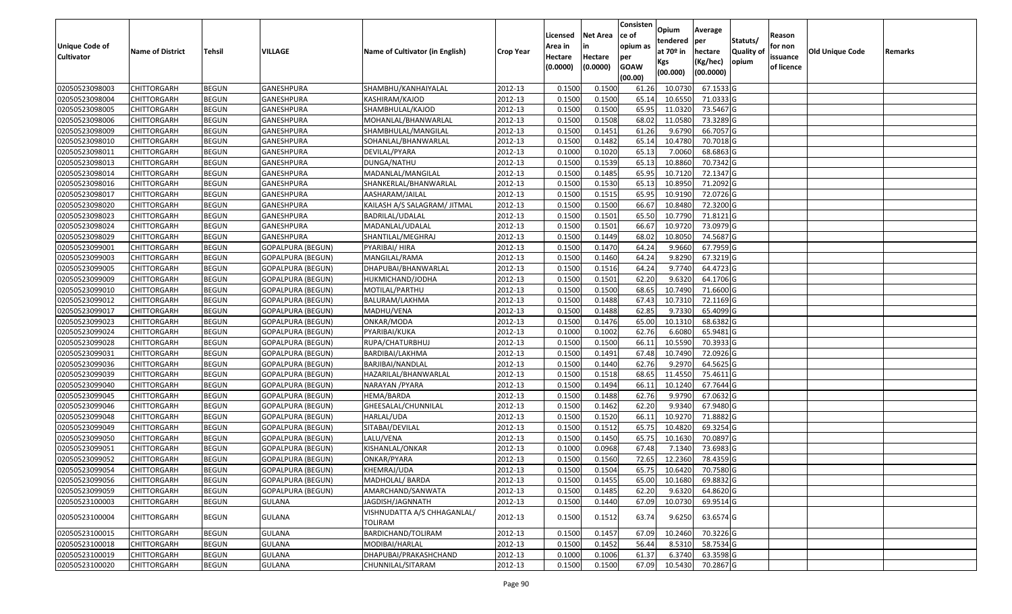| <b>Unique Code of</b> |                         |              |                          |                                        |                  | Licensed<br>Area in | <b>Net Area</b><br>in | Consisten<br>ce of<br>opium as | Opium<br>tendered            | Average<br>per                   | Statuts/            | Reason<br>for non      |                 |         |
|-----------------------|-------------------------|--------------|--------------------------|----------------------------------------|------------------|---------------------|-----------------------|--------------------------------|------------------------------|----------------------------------|---------------------|------------------------|-----------------|---------|
| <b>Cultivator</b>     | <b>Name of District</b> | Tehsil       | VILLAGE                  | Name of Cultivator (in English)        | <b>Crop Year</b> | Hectare<br>(0.0000) | Hectare<br>(0.0000)   | per<br><b>GOAW</b><br>(00.00)  | at 70º in<br>Kgs<br>(00.000) | hectare<br>(Kg/hec)<br>(00.0000) | Quality of<br>opium | issuance<br>of licence | Old Unique Code | Remarks |
| 02050523098003        | <b>CHITTORGARH</b>      | <b>BEGUN</b> | GANESHPURA               | SHAMBHU/KANHAIYALAL                    | 2012-13          | 0.1500              | 0.1500                | 61.26                          | 10.0730                      | 67.1533 G                        |                     |                        |                 |         |
| 02050523098004        | <b>CHITTORGARH</b>      | <b>BEGUN</b> | GANESHPURA               | KASHIRAM/KAJOD                         | 2012-13          | 0.1500              | 0.1500                | 65.14                          | 10.6550                      | 71.0333 G                        |                     |                        |                 |         |
| 02050523098005        | <b>CHITTORGARH</b>      | <b>BEGUN</b> | GANESHPURA               | SHAMBHULAL/KAJOD                       | 2012-13          | 0.1500              | 0.1500                | 65.95                          | 11.0320                      | 73.5467 G                        |                     |                        |                 |         |
| 02050523098006        | <b>CHITTORGARH</b>      | <b>BEGUN</b> | GANESHPURA               | MOHANLAL/BHANWARLAL                    | 2012-13          | 0.1500              | 0.1508                | 68.02                          | 11.0580                      | 73.3289 G                        |                     |                        |                 |         |
| 02050523098009        | <b>CHITTORGARH</b>      | <b>BEGUN</b> | GANESHPURA               | SHAMBHULAL/MANGILAL                    | 2012-13          | 0.1500              | 0.1451                | 61.26                          | 9.6790                       | 66.7057 G                        |                     |                        |                 |         |
| 02050523098010        | <b>CHITTORGARH</b>      | <b>BEGUN</b> | GANESHPURA               | SOHANLAL/BHANWARLAL                    | 2012-13          | 0.1500              | 0.1482                | 65.14                          | 10.4780                      | 70.7018 G                        |                     |                        |                 |         |
| 02050523098011        | CHITTORGARH             | <b>BEGUN</b> | GANESHPURA               | DEVILAL/PYARA                          | 2012-13          | 0.1000              | 0.1020                | 65.13                          | 7.0060                       | 68.6863 G                        |                     |                        |                 |         |
| 02050523098013        | <b>CHITTORGARH</b>      | <b>BEGUN</b> | GANESHPURA               | DUNGA/NATHU                            | 2012-13          | 0.1500              | 0.1539                | 65.13                          | 10.8860                      | 70.7342 G                        |                     |                        |                 |         |
| 02050523098014        | <b>CHITTORGARH</b>      | <b>BEGUN</b> | GANESHPURA               | MADANLAL/MANGILAL                      | 2012-13          | 0.1500              | 0.1485                | 65.95                          | 10.7120                      | 72.1347 G                        |                     |                        |                 |         |
| 02050523098016        | <b>CHITTORGARH</b>      | <b>BEGUN</b> | GANESHPURA               | SHANKERLAL/BHANWARLAL                  | 2012-13          | 0.1500              | 0.1530                | 65.13                          | 10.8950                      | 71.2092 G                        |                     |                        |                 |         |
| 02050523098017        | <b>CHITTORGARH</b>      | <b>BEGUN</b> | GANESHPURA               | AASHARAM/JAILAL                        | 2012-13          | 0.1500              | 0.1515                | 65.95                          | 10.9190                      | 72.0726 G                        |                     |                        |                 |         |
| 02050523098020        | <b>CHITTORGARH</b>      | <b>BEGUN</b> | GANESHPURA               | KAILASH A/S SALAGRAM/ JITMAL           | 2012-13          | 0.1500              | 0.1500                | 66.67                          | 10.8480                      | 72.3200 G                        |                     |                        |                 |         |
| 02050523098023        | <b>CHITTORGARH</b>      | <b>BEGUN</b> | GANESHPURA               | BADRILAL/UDALAL                        | 2012-13          | 0.1500              | 0.1501                | 65.50                          | 10.7790                      | 71.8121 G                        |                     |                        |                 |         |
| 02050523098024        | <b>CHITTORGARH</b>      | <b>BEGUN</b> | GANESHPURA               | MADANLAL/UDALAL                        | 2012-13          | 0.1500              | 0.1501                | 66.67                          | 10.9720                      | 73.0979 G                        |                     |                        |                 |         |
| 02050523098029        | <b>CHITTORGARH</b>      | <b>BEGUN</b> | GANESHPURA               | SHANTILAL/MEGHRAJ                      | 2012-13          | 0.1500              | 0.1449                | 68.02                          | 10.8050                      | 74.5687 G                        |                     |                        |                 |         |
| 02050523099001        | <b>CHITTORGARH</b>      | <b>BEGUN</b> | <b>GOPALPURA (BEGUN)</b> | PYARIBAI/ HIRA                         | 2012-13          | 0.1500              | 0.1470                | 64.24                          | 9.9660                       | 67.7959 G                        |                     |                        |                 |         |
| 02050523099003        | <b>CHITTORGARH</b>      | <b>BEGUN</b> | <b>GOPALPURA (BEGUN)</b> | MANGILAL/RAMA                          | 2012-13          | 0.1500              | 0.1460                | 64.24                          | 9.8290                       | 67.3219 G                        |                     |                        |                 |         |
| 02050523099005        | <b>CHITTORGARH</b>      | <b>BEGUN</b> | GOPALPURA (BEGUN)        | DHAPUBAI/BHANWARLAL                    | 2012-13          | 0.1500              | 0.1516                | 64.24                          | 9.7740                       | 64.4723 G                        |                     |                        |                 |         |
| 02050523099009        | <b>CHITTORGARH</b>      | <b>BEGUN</b> | <b>GOPALPURA (BEGUN)</b> | HUKMICHAND/JODHA                       | 2012-13          | 0.1500              | 0.1501                | 62.20                          | 9.6320                       | 64.1706 G                        |                     |                        |                 |         |
| 02050523099010        | <b>CHITTORGARH</b>      | <b>BEGUN</b> | <b>GOPALPURA (BEGUN)</b> | MOTILAL/PARTHU                         | 2012-13          | 0.1500              | 0.1500                | 68.65                          | 10.7490                      | 71.6600 G                        |                     |                        |                 |         |
| 02050523099012        | <b>CHITTORGARH</b>      | <b>BEGUN</b> | <b>GOPALPURA (BEGUN)</b> | BALURAM/LAKHMA                         | 2012-13          | 0.1500              | 0.1488                | 67.43                          | 10.7310                      | 72.1169 G                        |                     |                        |                 |         |
| 02050523099017        | CHITTORGARH             | <b>BEGUN</b> | <b>GOPALPURA (BEGUN)</b> | MADHU/VENA                             | 2012-13          | 0.1500              | 0.1488                | 62.85                          | 9.7330                       | 65.4099 G                        |                     |                        |                 |         |
| 02050523099023        | <b>CHITTORGARH</b>      | <b>BEGUN</b> | <b>GOPALPURA (BEGUN)</b> | ONKAR/MODA                             | 2012-13          | 0.1500              | 0.1476                | 65.00                          | 10.1310                      | 68.6382 G                        |                     |                        |                 |         |
| 02050523099024        | <b>CHITTORGARH</b>      | <b>BEGUN</b> | GOPALPURA (BEGUN)        | PYARIBAI/KUKA                          | 2012-13          | 0.1000              | 0.1002                | 62.76                          | 6.6080                       | 65.9481 G                        |                     |                        |                 |         |
| 02050523099028        | <b>CHITTORGARH</b>      | <b>BEGUN</b> | <b>GOPALPURA (BEGUN)</b> | RUPA/CHATURBHUJ                        | 2012-13          | 0.1500              | 0.1500                | 66.11                          | 10.5590                      | 70.3933 G                        |                     |                        |                 |         |
| 02050523099031        | <b>CHITTORGARH</b>      | <b>BEGUN</b> | <b>GOPALPURA (BEGUN)</b> | BARDIBAI/LAKHMA                        | 2012-13          | 0.1500              | 0.1491                | 67.48                          | 10.7490                      | 72.0926 G                        |                     |                        |                 |         |
| 02050523099036        | <b>CHITTORGARH</b>      | <b>BEGUN</b> | GOPALPURA (BEGUN)        | BARJIBAI/NANDLAL                       | 2012-13          | 0.1500              | 0.1440                | 62.76                          | 9.2970                       | 64.5625 G                        |                     |                        |                 |         |
| 02050523099039        | <b>CHITTORGARH</b>      | <b>BEGUN</b> | GOPALPURA (BEGUN)        | HAZARILAL/BHANWARLAL                   | 2012-13          | 0.1500              | 0.1518                | 68.65                          | 11.4550                      | 75.4611 G                        |                     |                        |                 |         |
| 02050523099040        | <b>CHITTORGARH</b>      | <b>BEGUN</b> | <b>GOPALPURA (BEGUN)</b> | NARAYAN / PYARA                        | 2012-13          | 0.1500              | 0.1494                | 66.1                           | 10.1240                      | 67.7644 G                        |                     |                        |                 |         |
| 02050523099045        | <b>CHITTORGARH</b>      | <b>BEGUN</b> | <b>GOPALPURA (BEGUN)</b> | HEMA/BARDA                             | 2012-13          | 0.1500              | 0.1488                | 62.76                          | 9.9790                       | 67.0632 G                        |                     |                        |                 |         |
| 02050523099046        | <b>CHITTORGARH</b>      | <b>BEGUN</b> | <b>GOPALPURA (BEGUN)</b> | GHEESALAL/CHUNNILAL                    | 2012-13          | 0.1500              | 0.1462                | 62.20                          | 9.9340                       | 67.9480 G                        |                     |                        |                 |         |
| 02050523099048        | CHITTORGARH             | <b>BEGUN</b> | GOPALPURA (BEGUN)        | HARLAL/UDA                             | 2012-13          | 0.1500              | 0.1520                | 66.1                           | 10.9270                      | 71.8882 G                        |                     |                        |                 |         |
| 02050523099049        | <b>CHITTORGARH</b>      | <b>BEGUN</b> | <b>GOPALPURA (BEGUN)</b> | SITABAI/DEVILAL                        | 2012-13          | 0.1500              | 0.1512                | 65.75                          | 10.4820                      | 69.3254 G                        |                     |                        |                 |         |
| 02050523099050        | CHITTORGARH             | <b>BEGUN</b> | <b>GOPALPURA (BEGUN)</b> | LALU/VENA                              | 2012-13          | 0.1500              | 0.1450                | 65.75                          | 10.1630                      | 70.0897 G                        |                     |                        |                 |         |
| 02050523099051        | CHITTORGARH             | <b>BEGUN</b> | <b>GOPALPURA (BEGUN)</b> | KISHANLAL/ONKAR                        | 2012-13          | 0.1000              | 0.0968                | 67.48                          | 7.1340                       | 73.6983 G                        |                     |                        |                 |         |
| 02050523099052        | <b>CHITTORGARH</b>      | <b>BEGUN</b> | GOPALPURA (BEGUN)        | ONKAR/PYARA                            | 2012-13          | 0.1500              | 0.1560                | 72.65                          | 12.2360                      | 78.4359 G                        |                     |                        |                 |         |
| 02050523099054        | <b>CHITTORGARH</b>      | <b>BEGUN</b> | <b>GOPALPURA (BEGUN)</b> | KHEMRAJ/UDA                            | 2012-13          | 0.1500              | 0.1504                |                                |                              | 65.75 10.6420 70.7580 G          |                     |                        |                 |         |
| 02050523099056        | <b>CHITTORGARH</b>      | <b>BEGUN</b> | <b>GOPALPURA (BEGUN)</b> | MADHOLAL/ BARDA                        | 2012-13          | 0.1500              | 0.1455                | 65.00                          | 10.1680                      | 69.8832 G                        |                     |                        |                 |         |
| 02050523099059        | <b>CHITTORGARH</b>      | <b>BEGUN</b> | <b>GOPALPURA (BEGUN)</b> | AMARCHAND/SANWATA                      | 2012-13          | 0.1500              | 0.1485                | 62.20                          | 9.6320                       | 64.8620 G                        |                     |                        |                 |         |
| 02050523100003        | <b>CHITTORGARH</b>      | <b>BEGUN</b> | <b>GULANA</b>            | JAGDISH/JAGNNATH                       | 2012-13          | 0.1500              | 0.1440                | 67.09                          | 10.0730                      | 69.9514 G                        |                     |                        |                 |         |
| 02050523100004        | <b>CHITTORGARH</b>      | <b>BEGUN</b> | GULANA                   | VISHNUDATTA A/S CHHAGANLAL/<br>TOLIRAM | 2012-13          | 0.1500              | 0.1512                | 63.74                          | 9.6250                       | 63.6574 G                        |                     |                        |                 |         |
| 02050523100015        | <b>CHITTORGARH</b>      | <b>BEGUN</b> | <b>GULANA</b>            | BARDICHAND/TOLIRAM                     | 2012-13          | 0.1500              | 0.1457                | 67.09                          | 10.2460                      | 70.3226 G                        |                     |                        |                 |         |
| 02050523100018        | <b>CHITTORGARH</b>      | <b>BEGUN</b> | <b>GULANA</b>            | MODIBAI/HARLAL                         | 2012-13          | 0.1500              | 0.1452                | 56.44                          | 8.5310                       | 58.7534 G                        |                     |                        |                 |         |
| 02050523100019        | <b>CHITTORGARH</b>      | <b>BEGUN</b> | GULANA                   | DHAPUBAI/PRAKASHCHAND                  | 2012-13          | 0.1000              | 0.1006                | 61.37                          | 6.3740                       | 63.3598 G                        |                     |                        |                 |         |
| 02050523100020        | <b>CHITTORGARH</b>      | <b>BEGUN</b> | GULANA                   | CHUNNILAL/SITARAM                      | 2012-13          | 0.1500              | 0.1500                | 67.09                          | 10.5430                      | 70.2867 G                        |                     |                        |                 |         |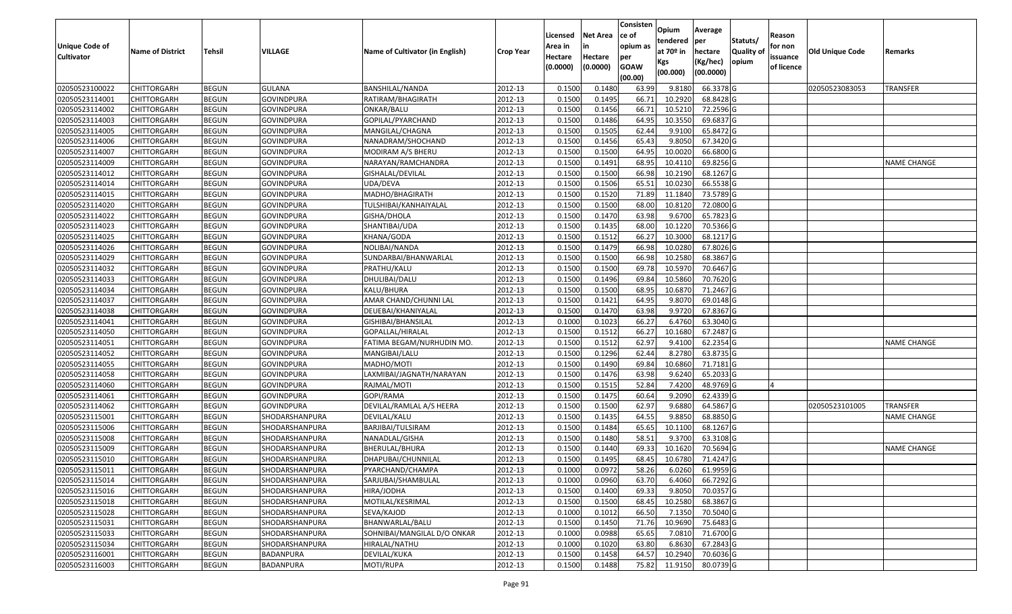|                       |                         |               |                       |                                 |                  | Licensed | <b>Net Area</b> | Consisten<br>lce of    | Opium           | Average               |            | Reason     |                        |                    |
|-----------------------|-------------------------|---------------|-----------------------|---------------------------------|------------------|----------|-----------------|------------------------|-----------------|-----------------------|------------|------------|------------------------|--------------------|
| <b>Unique Code of</b> |                         |               |                       |                                 |                  | Area in  |                 | opium as               | tendered        | per                   | Statuts/   | for non    |                        |                    |
| <b>Cultivator</b>     | <b>Name of District</b> | <b>Tehsil</b> | VILLAGE               | Name of Cultivator (in English) | <b>Crop Year</b> | Hectare  | Hectare         | per                    | at $70°$ in     | hectare               | Quality of | issuance   | <b>Old Unique Code</b> | Remarks            |
|                       |                         |               |                       |                                 |                  | (0.0000) | (0.0000)        | <b>GOAW</b><br>(00.00) | Kgs<br>(00.000) | (Kg/hec)<br>(00.0000) | opium      | of licence |                        |                    |
| 02050523100022        | <b>CHITTORGARH</b>      | <b>BEGUN</b>  | <b>GULANA</b>         | BANSHILAL/NANDA                 | 2012-13          | 0.1500   | 0.1480          | 63.99                  | 9.8180          | 66.3378 G             |            |            | 02050523083053         | <b>TRANSFER</b>    |
| 02050523114001        | CHITTORGARH             | <b>BEGUN</b>  | <b>GOVINDPURA</b>     | RATIRAM/BHAGIRATH               | 2012-13          | 0.1500   | 0.1495          | 66.7                   | 10.2920         | 68.8428 G             |            |            |                        |                    |
| 02050523114002        | <b>CHITTORGARH</b>      | <b>BEGUN</b>  | GOVINDPURA            | ONKAR/BALU                      | 2012-13          | 0.1500   | 0.1456          | 66.7                   | 10.5210         | 72.2596 G             |            |            |                        |                    |
| 02050523114003        | <b>CHITTORGARH</b>      | <b>BEGUN</b>  | <b>GOVINDPURA</b>     | GOPILAL/PYARCHAND               | 2012-13          | 0.1500   | 0.1486          | 64.95                  | 10.3550         | 69.6837 G             |            |            |                        |                    |
| 02050523114005        | <b>CHITTORGARH</b>      | <b>BEGUN</b>  | <b>GOVINDPURA</b>     | MANGILAL/CHAGNA                 | 2012-13          | 0.1500   | 0.1505          | 62.44                  | 9.9100          | 65.8472 G             |            |            |                        |                    |
| 02050523114006        | CHITTORGARH             | <b>BEGUN</b>  | <b>GOVINDPURA</b>     | NANADRAM/SHOCHAND               | 2012-13          | 0.1500   | 0.1456          | 65.43                  | 9.8050          | 67.3420 G             |            |            |                        |                    |
| 02050523114007        | CHITTORGARH             | <b>BEGUN</b>  | <b>GOVINDPURA</b>     | MODIRAM A/S BHERU               | 2012-13          | 0.1500   | 0.1500          | 64.95                  | 10.0020         | 66.6800 G             |            |            |                        |                    |
| 02050523114009        | <b>CHITTORGARH</b>      | <b>BEGUN</b>  | <b>GOVINDPURA</b>     | NARAYAN/RAMCHANDRA              | 2012-13          | 0.1500   | 0.1491          | 68.95                  | 10.4110         | 69.8256 G             |            |            |                        | <b>NAME CHANGE</b> |
| 02050523114012        | <b>CHITTORGARH</b>      | <b>BEGUN</b>  | <b>GOVINDPURA</b>     | GISHALAL/DEVILAL                | 2012-13          | 0.1500   | 0.1500          | 66.98                  | 10.2190         | 68.1267 G             |            |            |                        |                    |
| 02050523114014        | <b>CHITTORGARH</b>      | <b>BEGUN</b>  | <b>GOVINDPURA</b>     | UDA/DEVA                        | 2012-13          | 0.1500   | 0.1506          | 65.5                   | 10.0230         | 66.5538 G             |            |            |                        |                    |
| 02050523114015        | <b>CHITTORGARH</b>      | <b>BEGUN</b>  | <b>GOVINDPURA</b>     | MADHO/BHAGIRATH                 | 2012-13          | 0.1500   | 0.1520          | 71.89                  | 11.1840         | 73.5789 G             |            |            |                        |                    |
| 02050523114020        | <b>CHITTORGARH</b>      | <b>BEGUN</b>  | <b>GOVINDPURA</b>     | TULSHIBAI/KANHAIYALAL           | 2012-13          | 0.1500   | 0.1500          | 68.00                  | 10.8120         | 72.0800 G             |            |            |                        |                    |
| 02050523114022        | <b>CHITTORGARH</b>      | <b>BEGUN</b>  | <b>GOVINDPURA</b>     | GISHA/DHOLA                     | 2012-13          | 0.1500   | 0.1470          | 63.98                  | 9.6700          | 65.7823 G             |            |            |                        |                    |
| 02050523114023        | <b>CHITTORGARH</b>      | <b>BEGUN</b>  | <b>GOVINDPURA</b>     | SHANTIBAI/UDA                   | 2012-13          | 0.1500   | 0.1435          | 68.00                  | 10.1220         | 70.5366 G             |            |            |                        |                    |
| 02050523114025        | <b>CHITTORGARH</b>      | <b>BEGUN</b>  | <b>GOVINDPURA</b>     | KHANA/GODA                      | 2012-13          | 0.1500   | 0.1512          | 66.27                  | 10.3000         | 68.1217 G             |            |            |                        |                    |
| 02050523114026        | <b>CHITTORGARH</b>      | <b>BEGUN</b>  | <b>GOVINDPURA</b>     | NOLIBAI/NANDA                   | 2012-13          | 0.1500   | 0.1479          | 66.98                  | 10.0280         | 67.8026 G             |            |            |                        |                    |
| 02050523114029        | <b>CHITTORGARH</b>      | <b>BEGUN</b>  | <b>GOVINDPURA</b>     | SUNDARBAI/BHANWARLAL            | 2012-13          | 0.1500   | 0.1500          | 66.98                  | 10.2580         | 68.3867 G             |            |            |                        |                    |
| 02050523114032        | <b>CHITTORGARH</b>      | <b>BEGUN</b>  | <b>GOVINDPURA</b>     | PRATHU/KALU                     | 2012-13          | 0.1500   | 0.1500          | 69.78                  | 10.5970         | 70.6467 G             |            |            |                        |                    |
| 02050523114033        | <b>CHITTORGARH</b>      | <b>BEGUN</b>  | <b>GOVINDPURA</b>     | DHULIBAI/DALU                   | 2012-13          | 0.1500   | 0.1496          | 69.84                  | 10.5860         | 70.7620 G             |            |            |                        |                    |
| 02050523114034        | <b>CHITTORGARH</b>      | <b>BEGUN</b>  | <b>GOVINDPURA</b>     | KALU/BHURA                      | 2012-13          | 0.1500   | 0.1500          | 68.95                  | 10.6870         | 71.2467 G             |            |            |                        |                    |
| 02050523114037        | <b>CHITTORGARH</b>      | <b>BEGUN</b>  | <b>GOVINDPURA</b>     | AMAR CHAND/CHUNNI LAL           | 2012-13          | 0.1500   | 0.1421          | 64.95                  | 9.8070          | 69.0148 G             |            |            |                        |                    |
| 02050523114038        | <b>CHITTORGARH</b>      | <b>BEGUN</b>  | <b>GOVINDPURA</b>     | DEUEBAI/KHANIYALAL              | 2012-13          | 0.1500   | 0.1470          | 63.98                  | 9.9720          | 67.8367 G             |            |            |                        |                    |
| 02050523114041        | CHITTORGARH             | <b>BEGUN</b>  | <b>GOVINDPURA</b>     | GISHIBAI/BHANSILAL              | 2012-13          | 0.1000   | 0.1023          | 66.27                  | 6.4760          | 63.3040 G             |            |            |                        |                    |
| 02050523114050        | <b>CHITTORGARH</b>      | <b>BEGUN</b>  | <b>GOVINDPURA</b>     | GOPALLAL/HIRALAL                | 2012-13          | 0.1500   | 0.1512          | 66.27                  | 10.1680         | 67.2487 G             |            |            |                        |                    |
| 02050523114051        | <b>CHITTORGARH</b>      | <b>BEGUN</b>  | <b>GOVINDPURA</b>     | FATIMA BEGAM/NURHUDIN MO.       | 2012-13          | 0.1500   | 0.1512          | 62.97                  | 9.4100          | 62.2354 G             |            |            |                        | <b>NAME CHANGE</b> |
| 02050523114052        | <b>CHITTORGARH</b>      | <b>BEGUN</b>  | GOVINDPURA            | MANGIBAI/LALU                   | 2012-13          | 0.1500   | 0.1296          | 62.44                  | 8.2780          | 63.8735 G             |            |            |                        |                    |
| 02050523114055        | <b>CHITTORGARH</b>      | <b>BEGUN</b>  | <b>GOVINDPURA</b>     | MADHO/MOTI                      | 2012-13          | 0.1500   | 0.1490          | 69.84                  | 10.6860         | 71.7181 G             |            |            |                        |                    |
| 02050523114058        | <b>CHITTORGARH</b>      | <b>BEGUN</b>  | GOVINDPURA            | LAXMIBAI/JAGNATH/NARAYAN        | 2012-13          | 0.1500   | 0.1476          | 63.98                  | 9.6240          | 65.2033 G             |            |            |                        |                    |
| 02050523114060        | <b>CHITTORGARH</b>      | <b>BEGUN</b>  | <b>GOVINDPURA</b>     | RAJMAL/MOTI                     | 2012-13          | 0.1500   | 0.1515          | 52.84                  | 7.4200          | 48.9769 G             |            |            |                        |                    |
| 02050523114061        | <b>CHITTORGARH</b>      | <b>BEGUN</b>  | GOVINDPURA            | GOPI/RAMA                       | 2012-13          | 0.1500   | 0.1475          | 60.64                  | 9.2090          | 62.4339 G             |            |            |                        |                    |
| 02050523114062        | CHITTORGARH             | <b>BEGUN</b>  | <b>GOVINDPURA</b>     | DEVILAL/RAMLAL A/S HEERA        | 2012-13          | 0.1500   | 0.1500          | 62.97                  | 9.6880          | 64.5867 G             |            |            | 02050523101005         | TRANSFER           |
| 02050523115001        | CHITTORGARH             | <b>BEGUN</b>  | SHODARSHANPURA        | DEVILAL/KALU                    | 2012-13          | 0.1500   | 0.1435          | 64.55                  | 9.8850          | 68.8850 G             |            |            |                        | NAME CHANGE        |
| 02050523115006        | <b>CHITTORGARH</b>      | <b>BEGUN</b>  | <b>SHODARSHANPURA</b> | BARJIBAI/TULSIRAM               | 2012-13          | 0.1500   | 0.1484          | 65.65                  | 10.1100         | 68.1267 G             |            |            |                        |                    |
| 02050523115008        | <b>CHITTORGARH</b>      | <b>BEGUN</b>  | SHODARSHANPURA        | NANADLAL/GISHA                  | 2012-13          | 0.1500   | 0.1480          | 58.53                  | 9.3700          | 63.3108 G             |            |            |                        |                    |
| 02050523115009        | CHITTORGARH             | <b>BEGUN</b>  | SHODARSHANPURA        | BHERULAL/BHURA                  | 2012-13          | 0.1500   | 0.1440          | 69.33                  | 10.1620         | 70.5694 G             |            |            |                        | <b>NAME CHANGE</b> |
| 02050523115010        | <b>CHITTORGARH</b>      | <b>BEGUN</b>  | SHODARSHANPURA        | DHAPUBAI/CHUNNILAL              | 2012-13          | 0.1500   | 0.1495          | 68.45                  | 10.6780         | 71.4247 G             |            |            |                        |                    |
| 02050523115011        | <b>CHITTORGARH</b>      | <b>BEGUN</b>  | SHODARSHANPURA        | PYARCHAND/CHAMPA                | 2012-13          | 0.1000   | 0.0972          | 58.26                  | 6.0260          | 61.9959 G             |            |            |                        |                    |
| 02050523115014        | CHITTORGARH             | <b>BEGUN</b>  | SHODARSHANPURA        | SARJUBAI/SHAMBULAL              | 2012-13          | 0.1000   | 0.0960          | 63.70                  | 6.4060          | 66.7292 G             |            |            |                        |                    |
| 02050523115016        | <b>CHITTORGARH</b>      | <b>BEGUN</b>  | SHODARSHANPURA        | HIRA/JODHA                      | 2012-13          | 0.1500   | 0.1400          | 69.33                  | 9.8050          | 70.0357 G             |            |            |                        |                    |
| 02050523115018        | <b>CHITTORGARH</b>      | <b>BEGUN</b>  | SHODARSHANPURA        | MOTILAL/KESRIMAL                | 2012-13          | 0.1500   | 0.1500          | 68.45                  | 10.2580         | 68.3867 G             |            |            |                        |                    |
| 02050523115028        | CHITTORGARH             | <b>BEGUN</b>  | SHODARSHANPURA        | SEVA/KAJOD                      | 2012-13          | 0.1000   | 0.1012          | 66.50                  | 7.1350          | 70.5040 G             |            |            |                        |                    |
| 02050523115031        | <b>CHITTORGARH</b>      | <b>BEGUN</b>  | SHODARSHANPURA        | BHANWARLAL/BALU                 | 2012-13          | 0.1500   | 0.1450          | 71.76                  | 10.9690         | 75.6483 G             |            |            |                        |                    |
| 02050523115033        | <b>CHITTORGARH</b>      | <b>BEGUN</b>  | SHODARSHANPURA        | SOHNIBAI/MANGILAL D/O ONKAR     | 2012-13          | 0.1000   | 0.0988          | 65.65                  | 7.0810          | 71.6700 G             |            |            |                        |                    |
| 02050523115034        | <b>CHITTORGARH</b>      | <b>BEGUN</b>  | SHODARSHANPURA        | HIRALAL/NATHU                   | 2012-13          | 0.1000   | 0.1020          | 63.80                  | 6.8630          | 67.2843 G             |            |            |                        |                    |
| 02050523116001        | CHITTORGARH             | <b>BEGUN</b>  | BADANPURA             | DEVILAL/KUKA                    | 2012-13          | 0.1500   | 0.1458          | 64.57                  | 10.2940         | 70.6036 G             |            |            |                        |                    |
| 02050523116003        | <b>CHITTORGARH</b>      | <b>BEGUN</b>  | BADANPURA             | MOTI/RUPA                       | 2012-13          | 0.1500   | 0.1488          | 75.82                  | 11.9150         | 80.0739 G             |            |            |                        |                    |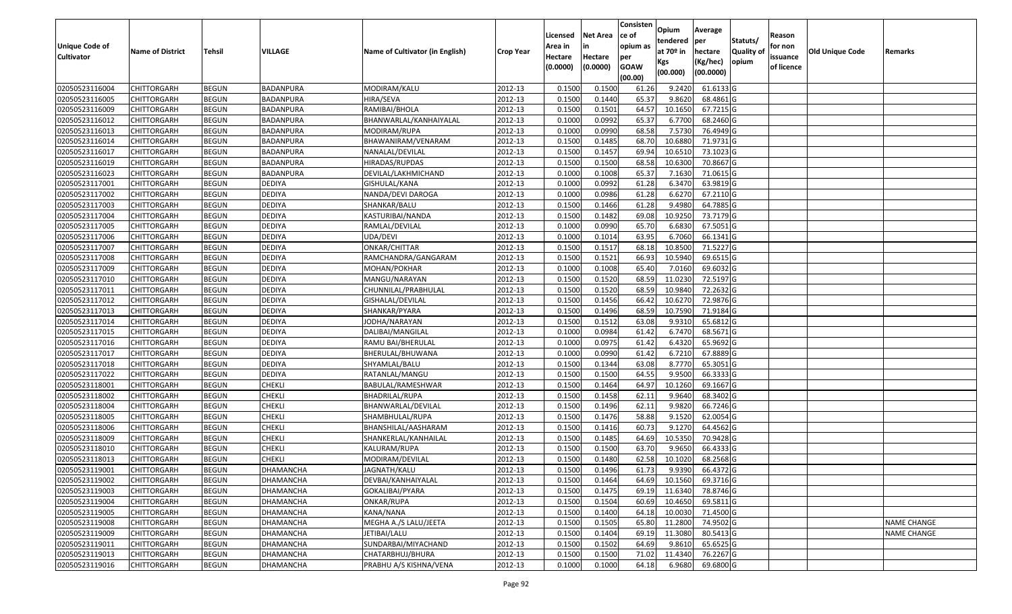|                   |                         |               |                  |                                 |                  |          |                 | Consisten   | Opium       | Average   |                  |            |                 |                    |
|-------------------|-------------------------|---------------|------------------|---------------------------------|------------------|----------|-----------------|-------------|-------------|-----------|------------------|------------|-----------------|--------------------|
|                   |                         |               |                  |                                 |                  | Licensed | <b>Net Area</b> | ce of       | tendered    | per       | Statuts/         | Reason     |                 |                    |
| Unique Code of    | <b>Name of District</b> | <b>Tehsil</b> | VILLAGE          | Name of Cultivator (in English) | <b>Crop Year</b> | Area in  | in              | opium as    | at $70°$ in | hectare   | <b>Quality o</b> | for non    | Old Unique Code | Remarks            |
| <b>Cultivator</b> |                         |               |                  |                                 |                  | Hectare  | Hectare         | per         | Kgs         | (Kg/hec)  | opium            | issuance   |                 |                    |
|                   |                         |               |                  |                                 |                  | (0.0000) | (0.0000)        | <b>GOAW</b> | (00.000)    | (00.0000) |                  | of licence |                 |                    |
|                   |                         |               |                  |                                 |                  |          |                 | (00.00)     |             |           |                  |            |                 |                    |
| 02050523116004    | CHITTORGARH             | <b>BEGUN</b>  | BADANPURA        | MODIRAM/KALU                    | 2012-13          | 0.1500   | 0.1500          | 61.26       | 9.2420      | 61.6133 G |                  |            |                 |                    |
| 02050523116005    | CHITTORGARH             | <b>BEGUN</b>  | BADANPURA        | HIRA/SEVA                       | 2012-13          | 0.1500   | 0.1440          | 65.37       | 9.8620      | 68.4861G  |                  |            |                 |                    |
| 02050523116009    | CHITTORGARH             | <b>BEGUN</b>  | BADANPURA        | RAMIBAI/BHOLA                   | 2012-13          | 0.1500   | 0.1501          | 64.57       | 10.1650     | 67.7215 G |                  |            |                 |                    |
| 02050523116012    | <b>CHITTORGARH</b>      | <b>BEGUN</b>  | <b>BADANPURA</b> | BHANWARLAL/KANHAIYALAL          | 2012-13          | 0.1000   | 0.0992          | 65.37       | 6.7700      | 68.2460 G |                  |            |                 |                    |
| 02050523116013    | CHITTORGARH             | <b>BEGUN</b>  | BADANPURA        | MODIRAM/RUPA                    | 2012-13          | 0.1000   | 0.0990          | 68.58       | 7.5730      | 76.4949 G |                  |            |                 |                    |
| 02050523116014    | CHITTORGARH             | <b>BEGUN</b>  | BADANPURA        | BHAWANIRAM/VENARAM              | 2012-13          | 0.1500   | 0.1485          | 68.70       | 10.6880     | 71.9731 G |                  |            |                 |                    |
| 02050523116017    | CHITTORGARH             | <b>BEGUN</b>  | BADANPURA        | NANALAL/DEVILAL                 | 2012-13          | 0.1500   | 0.1457          | 69.94       | 10.651      | 73.1023 G |                  |            |                 |                    |
| 02050523116019    | <b>CHITTORGARH</b>      | <b>BEGUN</b>  | <b>BADANPURA</b> | HIRADAS/RUPDAS                  | 2012-13          | 0.1500   | 0.1500          | 68.58       | 10.6300     | 70.8667 G |                  |            |                 |                    |
| 02050523116023    | CHITTORGARH             | <b>BEGUN</b>  | BADANPURA        | DEVILAL/LAKHMICHAND             | 2012-13          | 0.1000   | 0.1008          | 65.37       | 7.1630      | 71.0615 G |                  |            |                 |                    |
| 02050523117001    | CHITTORGARH             | <b>BEGUN</b>  | <b>DEDIYA</b>    | GISHULAL/KANA                   | 2012-13          | 0.1000   | 0.0992          | 61.28       | 6.3470      | 63.9819 G |                  |            |                 |                    |
| 02050523117002    | CHITTORGARH             | <b>BEGUN</b>  | <b>DEDIYA</b>    | NANDA/DEVI DAROGA               | 2012-13          | 0.1000   | 0.0986          | 61.28       | 6.6270      | 67.2110 G |                  |            |                 |                    |
| 02050523117003    | <b>CHITTORGARH</b>      | <b>BEGUN</b>  | <b>DEDIYA</b>    | SHANKAR/BALU                    | 2012-13          | 0.1500   | 0.1466          | 61.28       | 9.4980      | 64.7885 G |                  |            |                 |                    |
| 02050523117004    | <b>CHITTORGARH</b>      | <b>BEGUN</b>  | <b>DEDIYA</b>    | KASTURIBAI/NANDA                | 2012-13          | 0.1500   | 0.1482          | 69.08       | 10.9250     | 73.7179 G |                  |            |                 |                    |
| 02050523117005    | <b>CHITTORGARH</b>      | <b>BEGUN</b>  | <b>DEDIYA</b>    | RAMLAL/DEVILAL                  | 2012-13          | 0.1000   | 0.0990          | 65.70       | 6.6830      | 67.5051 G |                  |            |                 |                    |
| 02050523117006    | CHITTORGARH             | <b>BEGUN</b>  | <b>DEDIYA</b>    | UDA/DEVI                        | 2012-13          | 0.1000   | 0.1014          | 63.95       | 6.7060      | 66.1341 G |                  |            |                 |                    |
| 02050523117007    | CHITTORGARH             | <b>BEGUN</b>  | <b>DEDIYA</b>    | ONKAR/CHITTAR                   | 2012-13          | 0.1500   | 0.1517          | 68.18       | 10.8500     | 71.5227 G |                  |            |                 |                    |
| 02050523117008    | CHITTORGARH             | <b>BEGUN</b>  | <b>DEDIYA</b>    | RAMCHANDRA/GANGARAM             | 2012-13          | 0.1500   | 0.1521          | 66.93       | 10.5940     | 69.6515 G |                  |            |                 |                    |
| 02050523117009    | CHITTORGARH             | <b>BEGUN</b>  | <b>DEDIYA</b>    | MOHAN/POKHAR                    | 2012-13          | 0.1000   | 0.1008          | 65.40       | 7.0160      | 69.6032 G |                  |            |                 |                    |
| 02050523117010    | CHITTORGARH             | <b>BEGUN</b>  | <b>DEDIYA</b>    | MANGU/NARAYAN                   | 2012-13          | 0.1500   | 0.1520          | 68.59       | 11.0230     | 72.5197 G |                  |            |                 |                    |
| 02050523117011    | CHITTORGARH             | <b>BEGUN</b>  | <b>DEDIYA</b>    | CHUNNILAL/PRABHULAL             | 2012-13          | 0.1500   | 0.1520          | 68.59       | 10.9840     | 72.2632 G |                  |            |                 |                    |
| 02050523117012    | CHITTORGARH             | <b>BEGUN</b>  | <b>DEDIYA</b>    | GISHALAL/DEVILAL                | 2012-13          | 0.1500   | 0.1456          | 66.42       | 10.6270     | 72.9876 G |                  |            |                 |                    |
| 02050523117013    | CHITTORGARH             | <b>BEGUN</b>  | <b>DEDIYA</b>    | SHANKAR/PYARA                   | 2012-13          | 0.150    | 0.1496          | 68.59       | 10.7590     | 71.9184 G |                  |            |                 |                    |
| 02050523117014    | CHITTORGARH             | <b>BEGUN</b>  | <b>DEDIYA</b>    | IODHA/NARAYAN                   | 2012-13          | 0.1500   | 0.1512          | 63.08       | 9.9310      | 65.6812G  |                  |            |                 |                    |
| 02050523117015    | CHITTORGARH             | <b>BEGUN</b>  | <b>DEDIYA</b>    | DALIBAI/MANGILAL                | 2012-13          | 0.1000   | 0.0984          | 61.42       | 6.7470      | 68.5671 G |                  |            |                 |                    |
| 02050523117016    | <b>CHITTORGARH</b>      | <b>BEGUN</b>  | <b>DEDIYA</b>    | RAMU BAI/BHERULAL               | 2012-13          | 0.1000   | 0.0975          | 61.42       | 6.4320      | 65.9692 G |                  |            |                 |                    |
| 02050523117017    | CHITTORGARH             | <b>BEGUN</b>  | <b>DEDIYA</b>    | BHERULAL/BHUWANA                | 2012-13          | 0.1000   | 0.0990          | 61.42       | 6.7210      | 67.8889 G |                  |            |                 |                    |
| 02050523117018    | CHITTORGARH             | <b>BEGUN</b>  | <b>DEDIYA</b>    | SHYAMLAL/BALU                   | 2012-13          | 0.1500   | 0.1344          | 63.08       | 8.7770      | 65.3051G  |                  |            |                 |                    |
| 02050523117022    | CHITTORGARH             | <b>BEGUN</b>  | <b>DEDIYA</b>    | RATANLAL/MANGU                  | 2012-13          | 0.1500   | 0.1500          | 64.55       | 9.9500      | 66.3333 G |                  |            |                 |                    |
| 02050523118001    | CHITTORGARH             | <b>BEGUN</b>  | <b>CHEKLI</b>    | BABULAL/RAMESHWAR               | 2012-13          | 0.1500   | 0.1464          | 64.97       | 10.1260     | 69.1667 G |                  |            |                 |                    |
| 02050523118002    | CHITTORGARH             | <b>BEGUN</b>  | <b>CHEKLI</b>    | BHADRILAL/RUPA                  | 2012-13          | 0.1500   | 0.1458          | 62.11       | 9.9640      | 68.3402 G |                  |            |                 |                    |
| 02050523118004    | CHITTORGARH             | <b>BEGUN</b>  | <b>CHEKLI</b>    | BHANWARLAL/DEVILAL              | 2012-13          | 0.1500   | 0.1496          | 62.1        | 9.9820      | 66.7246 G |                  |            |                 |                    |
| 02050523118005    | CHITTORGARH             | <b>BEGUN</b>  | <b>CHEKLI</b>    | SHAMBHULAL/RUPA                 | 2012-13          | 0.1500   | 0.1476          | 58.88       | 9.1520      | 62.0054 G |                  |            |                 |                    |
| 02050523118006    | CHITTORGARH             | <b>BEGUN</b>  | <b>CHEKLI</b>    | BHANSHILAL/AASHARAM             | 2012-13          | 0.1500   | 0.1416          | 60.73       | 9.1270      | 64.4562 G |                  |            |                 |                    |
| 02050523118009    | CHITTORGARH             | <b>BEGUN</b>  | <b>CHEKLI</b>    | SHANKERLAL/KANHAILAL            | 2012-13          | 0.1500   | 0.1485          | 64.69       | 10.5350     | 70.9428 G |                  |            |                 |                    |
| 02050523118010    | CHITTORGARH             | <b>BEGUN</b>  | <b>CHEKLI</b>    | KALURAM/RUPA                    | 2012-13          | 0.1500   | 0.1500          | 63.70       | 9.9650      | 66.4333 G |                  |            |                 |                    |
| 02050523118013    | CHITTORGARH             | <b>BEGUN</b>  | <b>CHEKLI</b>    | MODIRAM/DEVILAL                 | 2012-13          | 0.1500   | 0.1480          | 62.58       | 10.1020     | 68.2568 G |                  |            |                 |                    |
| 02050523119001    | <b>CHITTORGARH</b>      | <b>BEGUN</b>  | <b>DHAMANCHA</b> | JAGNATH/KALU                    | 2012-13          | 0.1500   | 0.1496          | 61.73       | 9.9390      | 66.4372 G |                  |            |                 |                    |
| 02050523119002    | <b>CHITTORGARH</b>      | <b>BEGUN</b>  | DHAMANCHA        | DEVBAI/KANHAIYALAL              | 2012-13          | 0.1500   | 0.1464          | 64.69       | 10.1560     | 69.3716 G |                  |            |                 |                    |
| 02050523119003    | <b>CHITTORGARH</b>      | <b>BEGUN</b>  | <b>DHAMANCHA</b> | GOKALIBAI/PYARA                 | 2012-13          | 0.1500   | 0.1475          | 69.19       | 11.6340     | 78.8746 G |                  |            |                 |                    |
| 02050523119004    | <b>CHITTORGARH</b>      | <b>BEGUN</b>  | <b>DHAMANCHA</b> | ONKAR/RUPA                      | 2012-13          | 0.1500   | 0.1504          | 60.69       | 10.4650     | 69.5811 G |                  |            |                 |                    |
| 02050523119005    | CHITTORGARH             | <b>BEGUN</b>  | <b>DHAMANCHA</b> | KANA/NANA                       | 2012-13          | 0.1500   | 0.1400          | 64.18       | 10.0030     | 71.4500 G |                  |            |                 |                    |
| 02050523119008    | <b>CHITTORGARH</b>      | <b>BEGUN</b>  | <b>DHAMANCHA</b> | MEGHA A./S LALU/JEETA           | 2012-13          | 0.1500   | 0.1505          | 65.80       | 11.2800     | 74.9502 G |                  |            |                 | <b>NAME CHANGE</b> |
| 02050523119009    | <b>CHITTORGARH</b>      | <b>BEGUN</b>  | DHAMANCHA        | JETIBAI/LALU                    | 2012-13          | 0.1500   | 0.1404          | 69.19       | 11.3080     | 80.5413 G |                  |            |                 | NAME CHANGE        |
| 02050523119011    | <b>CHITTORGARH</b>      | <b>BEGUN</b>  | DHAMANCHA        | SUNDARBAI/MIYACHAND             | 2012-13          | 0.1500   | 0.1502          | 64.69       | 9.8610      | 65.6525 G |                  |            |                 |                    |
| 02050523119013    | <b>CHITTORGARH</b>      | <b>BEGUN</b>  | DHAMANCHA        | CHATARBHUJ/BHURA                | 2012-13          | 0.1500   | 0.1500          | 71.02       | 11.4340     | 76.2267 G |                  |            |                 |                    |
| 02050523119016    | <b>CHITTORGARH</b>      | <b>BEGUN</b>  | DHAMANCHA        | PRABHU A/S KISHNA/VENA          | 2012-13          | 0.1000   | 0.1000          | 64.18       | 6.9680      | 69.6800 G |                  |            |                 |                    |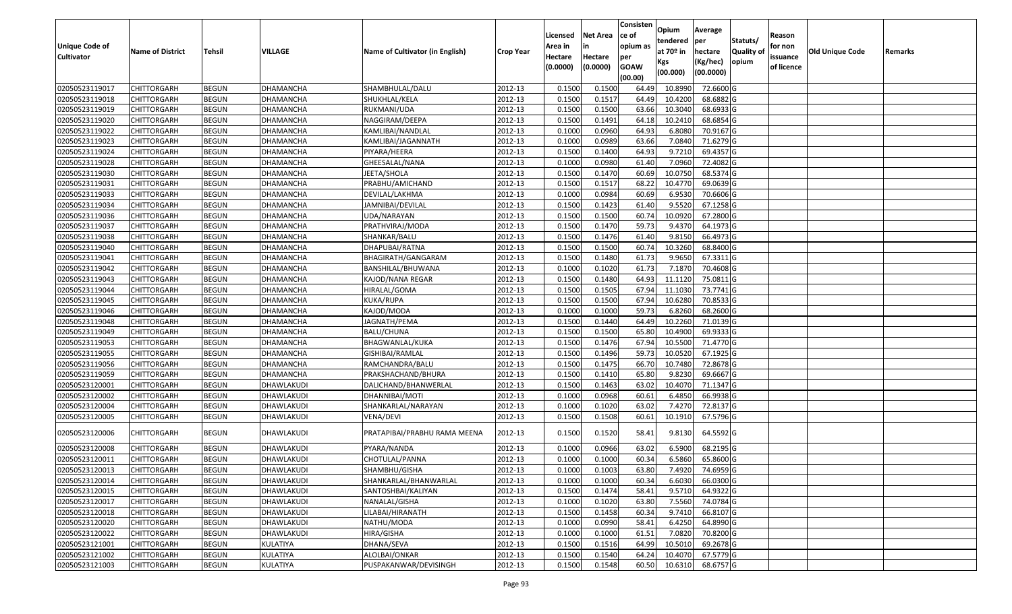|                   |                         |               |                  |                                 |                  | Licensed | <b>Net Area</b> | Consisten<br>ce of | Opium       | Average          |                  | Reason     |                        |         |
|-------------------|-------------------------|---------------|------------------|---------------------------------|------------------|----------|-----------------|--------------------|-------------|------------------|------------------|------------|------------------------|---------|
| Unique Code of    |                         |               |                  |                                 |                  | Area in  | in              | opium as           | tendered    | per              | Statuts/         | for non    |                        |         |
| <b>Cultivator</b> | <b>Name of District</b> | <b>Tehsil</b> | VILLAGE          | Name of Cultivator (in English) | <b>Crop Year</b> | Hectare  | Hectare         | per                | at $70°$ in | hectare          | <b>Quality o</b> | issuance   | <b>Old Unique Code</b> | Remarks |
|                   |                         |               |                  |                                 |                  | (0.0000) | (0.0000)        | <b>GOAW</b>        | Kgs         | (Kg/hec)         | opium            | of licence |                        |         |
|                   |                         |               |                  |                                 |                  |          |                 | (00.00)            | (00.000)    | (00.0000)        |                  |            |                        |         |
| 02050523119017    | CHITTORGARH             | <b>BEGUN</b>  | DHAMANCHA        | SHAMBHULAL/DALU                 | 2012-13          | 0.1500   | 0.1500          | 64.49              | 10.8990     | 72.6600 G        |                  |            |                        |         |
| 02050523119018    | CHITTORGARH             | <b>BEGUN</b>  | DHAMANCHA        | SHUKHLAL/KELA                   | 2012-13          | 0.1500   | 0.1517          | 64.49              | 10.4200     | 68.6882 G        |                  |            |                        |         |
| 02050523119019    | CHITTORGARH             | <b>BEGUN</b>  | DHAMANCHA        | RUKMANI/UDA                     | 2012-13          | 0.1500   | 0.1500          | 63.66              | 10.3040     | 68.6933 G        |                  |            |                        |         |
| 02050523119020    | <b>CHITTORGARH</b>      | <b>BEGUN</b>  | DHAMANCHA        | NAGGIRAM/DEEPA                  | 2012-13          | 0.1500   | 0.1491          | 64.18              | 10.2410     | 68.6854 G        |                  |            |                        |         |
| 02050523119022    | CHITTORGARH             | <b>BEGUN</b>  | DHAMANCHA        | KAMLIBAI/NANDLAL                | 2012-13          | 0.1000   | 0.0960          | 64.93              | 6.8080      | 70.9167 G        |                  |            |                        |         |
| 02050523119023    | <b>CHITTORGARH</b>      | <b>BEGUN</b>  | DHAMANCHA        | KAMLIBAI/JAGANNATH              | 2012-13          | 0.1000   | 0.0989          | 63.66              | 7.0840      | 71.6279 G        |                  |            |                        |         |
| 02050523119024    | CHITTORGARH             | <b>BEGUN</b>  | DHAMANCHA        | PIYARA/HEERA                    | 2012-13          | 0.1500   | 0.1400          | 64.93              | 9.7210      | 69.4357 G        |                  |            |                        |         |
| 02050523119028    | CHITTORGARH             | <b>BEGUN</b>  | DHAMANCHA        | GHEESALAL/NANA                  | 2012-13          | 0.1000   | 0.0980          | 61.40              | 7.0960      | 72.4082G         |                  |            |                        |         |
| 02050523119030    | CHITTORGARH             | <b>BEGUN</b>  | DHAMANCHA        | JEETA/SHOLA                     | 2012-13          | 0.1500   | 0.1470          | 60.69              | 10.075      | 68.5374 G        |                  |            |                        |         |
| 02050523119031    | CHITTORGARH             | <b>BEGUN</b>  | DHAMANCHA        | PRABHU/AMICHAND                 | 2012-13          | 0.1500   | 0.1517          | 68.22              | 10.4770     | 69.0639 G        |                  |            |                        |         |
| 02050523119033    | CHITTORGARH             | <b>BEGUN</b>  | DHAMANCHA        | DEVILAL/LAKHMA                  | 2012-13          | 0.1000   | 0.0984          | 60.69              | 6.9530      | 70.6606 G        |                  |            |                        |         |
| 02050523119034    | CHITTORGARH             | <b>BEGUN</b>  | DHAMANCHA        | JAMNIBAI/DEVILAL                | 2012-13          | 0.1500   | 0.1423          | 61.40              | 9.5520      | 67.1258 G        |                  |            |                        |         |
| 02050523119036    | <b>CHITTORGARH</b>      | <b>BEGUN</b>  | DHAMANCHA        | UDA/NARAYAN                     | 2012-13          | 0.1500   | 0.1500          | 60.74              | 10.0920     | 67.2800 G        |                  |            |                        |         |
| 02050523119037    | CHITTORGARH             | <b>BEGUN</b>  | DHAMANCHA        | PRATHVIRAJ/MODA                 | 2012-13          | 0.1500   | 0.1470          | 59.73              | 9.4370      | 64.1973 G        |                  |            |                        |         |
| 02050523119038    | CHITTORGARH             | <b>BEGUN</b>  | DHAMANCHA        | SHANKAR/BALU                    | 2012-13          | 0.1500   | 0.1476          | 61.40              | 9.8150      | 66.4973 G        |                  |            |                        |         |
| 02050523119040    | CHITTORGARH             | <b>BEGUN</b>  | DHAMANCHA        | DHAPUBAI/RATNA                  | 2012-13          | 0.1500   | 0.1500          | 60.74              | 10.3260     | 68.8400 G        |                  |            |                        |         |
| 02050523119041    | CHITTORGARH             | <b>BEGUN</b>  | DHAMANCHA        | BHAGIRATH/GANGARAM              | 2012-13          | 0.1500   | 0.1480          | 61.73              | 9.9650      | 67.3311 G        |                  |            |                        |         |
| 02050523119042    | CHITTORGARH             | <b>BEGUN</b>  | DHAMANCHA        | BANSHILAL/BHUWANA               | 2012-13          | 0.1000   | 0.1020          | 61.73              | 7.1870      | 70.4608 G        |                  |            |                        |         |
| 02050523119043    | CHITTORGARH             | <b>BEGUN</b>  | <b>DHAMANCHA</b> | KAJOD/NANA REGAR                | 2012-13          | 0.1500   | 0.1480          | 64.93              | 11.1120     | 75.0811G         |                  |            |                        |         |
| 02050523119044    | CHITTORGARH             | <b>BEGUN</b>  | DHAMANCHA        | HIRALAL/GOMA                    | 2012-13          | 0.1500   | 0.1505          | 67.94              | 11.1030     | 73.7741 G        |                  |            |                        |         |
| 02050523119045    | CHITTORGARH             | <b>BEGUN</b>  | DHAMANCHA        | KUKA/RUPA                       | 2012-13          | 0.1500   | 0.1500          | 67.94              | 10.6280     | 70.8533 G        |                  |            |                        |         |
| 02050523119046    | CHITTORGARH             | <b>BEGUN</b>  | DHAMANCHA        | KAJOD/MODA                      | 2012-13          | 0.100    | 0.1000          | 59.73              | 6.8260      | 68.2600 G        |                  |            |                        |         |
| 02050523119048    | CHITTORGARH             | <b>BEGUN</b>  | DHAMANCHA        | JAGNATH/PEMA                    | 2012-13          | 0.1500   | 0.1440          | 64.49              | 10.2260     | 71.0139 G        |                  |            |                        |         |
| 02050523119049    | <b>CHITTORGARH</b>      | <b>BEGUN</b>  | DHAMANCHA        | BALU/CHUNA                      | 2012-13          | 0.1500   | 0.1500          | 65.80              | 10.4900     | 69.9333 G        |                  |            |                        |         |
| 02050523119053    | <b>CHITTORGARH</b>      | <b>BEGUN</b>  | DHAMANCHA        | BHAGWANLAL/KUKA                 | 2012-13          | 0.1500   | 0.1476          | 67.94              | 10.5500     | 71.4770 G        |                  |            |                        |         |
| 02050523119055    | CHITTORGARH             | <b>BEGUN</b>  | DHAMANCHA        | GISHIBAI/RAMLAL                 | 2012-13          | 0.1500   | 0.1496          | 59.73              | 10.0520     | 67.1925 G        |                  |            |                        |         |
| 02050523119056    | CHITTORGARH             | <b>BEGUN</b>  | <b>DHAMANCHA</b> | RAMCHANDRA/BALU                 | 2012-13          | 0.1500   | 0.1475          | 66.70              | 10.7480     | 72.8678 G        |                  |            |                        |         |
| 02050523119059    | CHITTORGARH             | <b>BEGUN</b>  | DHAMANCHA        | PRAKSHACHAND/BHURA              | 2012-13          | 0.1500   | 0.1410          | 65.80              | 9.8230      | 69.6667 G        |                  |            |                        |         |
| 02050523120001    | CHITTORGARH             | <b>BEGUN</b>  | DHAWLAKUDI       | DALICHAND/BHANWERLAL            | 2012-13          | 0.1500   | 0.1463          | 63.02              | 10.4070     | 71.1347 G        |                  |            |                        |         |
| 02050523120002    | CHITTORGARH             | <b>BEGUN</b>  | DHAWLAKUDI       | DHANNIBAI/MOTI                  | 2012-13          | 0.1000   | 0.0968          | 60.61              | 6.4850      | $66.9938$ G      |                  |            |                        |         |
| 02050523120004    | CHITTORGARH             | <b>BEGUN</b>  | DHAWLAKUDI       | SHANKARLAL/NARAYAN              | 2012-13          | 0.100    | 0.1020          | 63.02              | 7.4270      | 72.8137 G        |                  |            |                        |         |
| 02050523120005    | CHITTORGARH             | <b>BEGUN</b>  | DHAWLAKUDI       | VENA/DEVI                       | 2012-13          | 0.1500   | 0.1508          | 60.6               | 10.1910     | 67.5796 G        |                  |            |                        |         |
| 02050523120006    | CHITTORGARH             | <b>BEGUN</b>  | DHAWLAKUDI       | PRATAPIBAI/PRABHU RAMA MEENA    | 2012-13          | 0.1500   | 0.1520          | 58.41              | 9.8130      | 64.5592 G        |                  |            |                        |         |
| 02050523120008    | CHITTORGARH             | <b>BEGUN</b>  | DHAWLAKUDI       | PYARA/NANDA                     | 2012-13          | 0.100    | 0.0966          | 63.02              | 6.5900      | 68.2195 G        |                  |            |                        |         |
| 02050523120011    | CHITTORGARH             | <b>BEGUN</b>  | DHAWLAKUDI       | CHOTULAL/PANNA                  | 2012-13          | 0.1000   | 0.1000          | 60.34              | 6.5860      | 65.8600 G        |                  |            |                        |         |
| 02050523120013    | <b>CHITTORGARH</b>      | <b>BEGUN</b>  | DHAWLAKUDI       | SHAMBHU/GISHA                   | 2012-13          | 0.1000   | 0.1003          | 63.80              |             | 7.4920 74.6959 G |                  |            |                        |         |
| 02050523120014    | <b>CHITTORGARH</b>      | <b>BEGUN</b>  | DHAWLAKUDI       | SHANKARLAL/BHANWARLAL           | 2012-13          | 0.1000   | 0.1000          | 60.34              | 6.6030      | 66.0300 G        |                  |            |                        |         |
| 02050523120015    | <b>CHITTORGARH</b>      | <b>BEGUN</b>  | DHAWLAKUDI       | SANTOSHBAI/KALIYAN              | 2012-13          | 0.1500   | 0.1474          | 58.41              | 9.5710      | 64.9322 G        |                  |            |                        |         |
| 02050523120017    | <b>CHITTORGARH</b>      | <b>BEGUN</b>  | DHAWLAKUDI       | NANALAL/GISHA                   | 2012-13          | 0.1000   | 0.1020          | 63.80              | 7.5560      | 74.0784 G        |                  |            |                        |         |
| 02050523120018    | <b>CHITTORGARH</b>      | <b>BEGUN</b>  | DHAWLAKUDI       | LILABAI/HIRANATH                | 2012-13          | 0.1500   | 0.1458          | 60.34              | 9.7410      | 66.8107 G        |                  |            |                        |         |
| 02050523120020    | <b>CHITTORGARH</b>      | <b>BEGUN</b>  | DHAWLAKUDI       | NATHU/MODA                      | 2012-13          | 0.1000   | 0.0990          | 58.41              | 6.4250      | 64.8990 G        |                  |            |                        |         |
| 02050523120022    | <b>CHITTORGARH</b>      | <b>BEGUN</b>  | DHAWLAKUDI       | HIRA/GISHA                      | 2012-13          | 0.1000   | 0.1000          | 61.51              | 7.0820      | 70.8200 G        |                  |            |                        |         |
| 02050523121001    | <b>CHITTORGARH</b>      | <b>BEGUN</b>  | KULATIYA         | DHANA/SEVA                      | 2012-13          | 0.1500   | 0.1516          | 64.99              | 10.5010     | 69.2678 G        |                  |            |                        |         |
| 02050523121002    | <b>CHITTORGARH</b>      | <b>BEGUN</b>  | KULATIYA         | ALOLBAI/ONKAR                   | 2012-13          | 0.1500   | 0.1540          | 64.24              | 10.4070     | 67.5779 G        |                  |            |                        |         |
| 02050523121003    | <b>CHITTORGARH</b>      | <b>BEGUN</b>  | KULATIYA         | PUSPAKANWAR/DEVISINGH           | 2012-13          | 0.1500   | 0.1548          | 60.50              | 10.6310     | 68.6757 G        |                  |            |                        |         |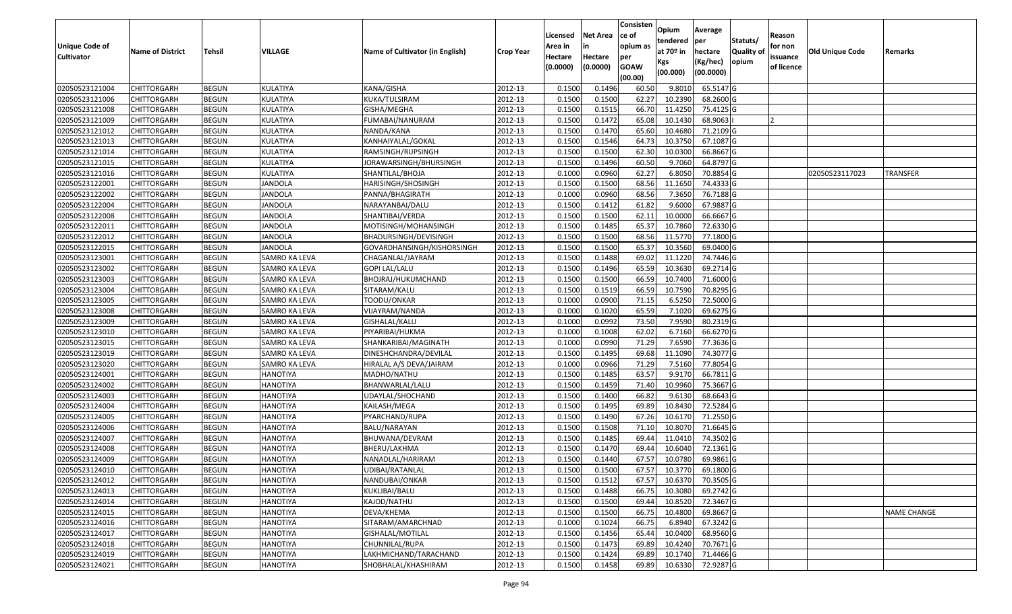|                       |                         |               |                      |                                 |                  |          |                 | Consisten              | Opium         | Average     |                  |            |                 |                    |
|-----------------------|-------------------------|---------------|----------------------|---------------------------------|------------------|----------|-----------------|------------------------|---------------|-------------|------------------|------------|-----------------|--------------------|
|                       |                         |               |                      |                                 |                  | Licensed | <b>Net Area</b> | ce of                  | tendered      | per         | Statuts/         | Reason     |                 |                    |
| <b>Unique Code of</b> | <b>Name of District</b> | <b>Tehsil</b> | VILLAGE              | Name of Cultivator (in English) | <b>Crop Year</b> | Area in  | in              | opium as               | at $70°$ in   | hectare     | <b>Quality o</b> | for non    | Old Unique Code | Remarks            |
| <b>Cultivator</b>     |                         |               |                      |                                 |                  | Hectare  | Hectare         | per                    | Kgs           | (Kg/hec)    | opium            | issuance   |                 |                    |
|                       |                         |               |                      |                                 |                  | (0.0000) | (0.0000)        | <b>GOAW</b><br>(00.00) | (00.000)      | (00.0000)   |                  | of licence |                 |                    |
| 02050523121004        | CHITTORGARH             | <b>BEGUN</b>  | KULATIYA             | KANA/GISHA                      | 2012-13          | 0.1500   | 0.1496          | 60.50                  | 9.8010        | 65.5147 G   |                  |            |                 |                    |
| 02050523121006        | CHITTORGARH             | <b>BEGUN</b>  | KULATIYA             | KUKA/TULSIRAM                   | 2012-13          | 0.1500   | 0.1500          | 62.27                  | 10.2390       | 68.2600 G   |                  |            |                 |                    |
| 02050523121008        | CHITTORGARH             | <b>BEGUN</b>  | KULATIYA             | GISHA/MEGHA                     | 2012-13          | 0.1500   | 0.1515          | 66.70                  | 11.4250       | 75.4125 G   |                  |            |                 |                    |
| 02050523121009        | <b>CHITTORGARH</b>      | <b>BEGUN</b>  | KULATIYA             | FUMABAI/NANURAM                 | 2012-13          | 0.1500   | 0.1472          | 65.08                  | 10.1430       | 68.9063     |                  |            |                 |                    |
| 02050523121012        | CHITTORGARH             | <b>BEGUN</b>  | KULATIYA             | NANDA/KANA                      | 2012-13          | 0.1500   | 0.1470          | 65.60                  | 10.4680       | 71.2109 G   |                  |            |                 |                    |
| 02050523121013        | CHITTORGARH             | <b>BEGUN</b>  | KULATIYA             | KANHAIYALAL/GOKAL               | 2012-13          | 0.1500   | 0.1546          | 64.73                  | 10.3750       | 67.1087 G   |                  |            |                 |                    |
| 02050523121014        | CHITTORGARH             | <b>BEGUN</b>  | KULATIYA             | RAMSINGH/RUPSINGH               | 2012-13          | 0.1500   | 0.1500          | 62.30                  | 10.0300       | 66.8667 G   |                  |            |                 |                    |
| 02050523121015        | <b>CHITTORGARH</b>      | <b>BEGUN</b>  | KULATIYA             | JORAWARSINGH/BHURSINGH          | 2012-13          | 0.1500   | 0.1496          | 60.50                  | 9.7060        | 64.8797 G   |                  |            |                 |                    |
| 02050523121016        | CHITTORGARH             | <b>BEGUN</b>  | KULATIYA             | SHANTILAL/BHOJA                 | 2012-13          | 0.1000   | 0.0960          | 62.27                  | 6.805         | 70.8854 G   |                  |            | 02050523117023  | <b>TRANSFER</b>    |
| 02050523122001        | CHITTORGARH             | <b>BEGUN</b>  | <b>JANDOLA</b>       | HARISINGH/SHOSINGH              | 2012-13          | 0.1500   | 0.1500          | 68.56                  | 11.1650       | 74.4333 G   |                  |            |                 |                    |
| 02050523122002        | CHITTORGARH             | <b>BEGUN</b>  | <b>JANDOLA</b>       | PANNA/BHAGIRATH                 | 2012-13          | 0.1000   | 0.0960          | 68.56                  | 7.3650        | 76.7188G    |                  |            |                 |                    |
| 02050523122004        | CHITTORGARH             | <b>BEGUN</b>  | <b>JANDOLA</b>       | NARAYANBAI/DALU                 | 2012-13          | 0.1500   | 0.1412          | 61.82                  | 9.6000        | 67.9887 G   |                  |            |                 |                    |
| 02050523122008        | <b>CHITTORGARH</b>      | <b>BEGUN</b>  | <b>JANDOLA</b>       | SHANTIBAI/VERDA                 | 2012-13          | 0.1500   | 0.1500          | 62.11                  | 10.0000       | 66.6667 G   |                  |            |                 |                    |
| 02050523122011        | <b>CHITTORGARH</b>      | <b>BEGUN</b>  | JANDOLA              | MOTISINGH/MOHANSINGH            | 2012-13          | 0.1500   | 0.1485          | 65.37                  | 10.7860       | 72.6330 G   |                  |            |                 |                    |
| 02050523122012        | CHITTORGARH             | <b>BEGUN</b>  | JANDOLA              | BHADURSINGH/DEVISINGH           | 2012-13          | 0.1500   | 0.1500          | 68.56                  | 11.5770       | 77.1800 G   |                  |            |                 |                    |
| 02050523122015        | CHITTORGARH             | <b>BEGUN</b>  | <b>JANDOLA</b>       | GOVARDHANSINGH/KISHORSINGH      | 2012-13          | 0.1500   | 0.1500          | 65.37                  | 10.3560       | 69.0400 G   |                  |            |                 |                    |
| 02050523123001        | CHITTORGARH             | <b>BEGUN</b>  | SAMRO KA LEVA        | CHAGANLAL/JAYRAM                | 2012-13          | 0.1500   | 0.1488          | 69.02                  | 11.1220       | 74.7446 G   |                  |            |                 |                    |
| 02050523123002        | CHITTORGARH             | <b>BEGUN</b>  | SAMRO KA LEVA        | GOPI LAL/LALU                   | 2012-13          | 0.1500   | 0.1496          | 65.59                  | 10.3630       | 69.2714 G   |                  |            |                 |                    |
| 02050523123003        | CHITTORGARH             | <b>BEGUN</b>  | SAMRO KA LEVA        | BHOJRAJ/HUKUMCHAND              | 2012-13          | 0.1500   | 0.1500          | 66.59                  | 10.7400       | 71.6000 G   |                  |            |                 |                    |
| 02050523123004        | CHITTORGARH             | <b>BEGUN</b>  | SAMRO KA LEVA        | SITARAM/KALU                    | 2012-13          | 0.1500   | 0.1519          | 66.59                  | 10.7590       | 70.8295 G   |                  |            |                 |                    |
| 02050523123005        | CHITTORGARH             | <b>BEGUN</b>  | SAMRO KA LEVA        | TOODU/ONKAR                     | 2012-13          | 0.100    | 0.0900          | 71.15                  | 6.5250        | 72.5000G    |                  |            |                 |                    |
| 02050523123008        | CHITTORGARH             | <b>BEGUN</b>  | SAMRO KA LEVA        | VIJAYRAM/NANDA                  | 2012-13          | 0.100    | 0.1020          | 65.59                  | 7.1020        | 69.6275 G   |                  |            |                 |                    |
| 02050523123009        | CHITTORGARH             | <b>BEGUN</b>  | SAMRO KA LEVA        | GISHALAL/KALU                   | 2012-13          | 0.1000   | 0.0992          | 73.50                  | 7.9590        | 80.2319 G   |                  |            |                 |                    |
| 02050523123010        | CHITTORGARH             | <b>BEGUN</b>  | SAMRO KA LEVA        | PIYARIBAI/HUKMA                 | 2012-13          | 0.100    | 0.1008          | 62.02                  | 6.7160        | 66.6270 G   |                  |            |                 |                    |
| 02050523123015        | CHITTORGARH             | <b>BEGUN</b>  | <b>SAMRO KA LEVA</b> | SHANKARIBAI/MAGINATH            | 2012-13          | 0.100    | 0.0990          | 71.29                  | 7.6590        | 77.3636 G   |                  |            |                 |                    |
| 02050523123019        | CHITTORGARH             | <b>BEGUN</b>  | SAMRO KA LEVA        | DINESHCHANDRA/DEVILAL           | 2012-13          | 0.1500   | 0.1495          | 69.68                  | 11.1090       | 74.3077 G   |                  |            |                 |                    |
| 02050523123020        | CHITTORGARH             | <b>BEGUN</b>  | SAMRO KA LEVA        | HIRALAL A/S DEVA/JAIRAM         | 2012-13          | 0.100    | 0.0966          | 71.29                  | 7.5160        | 77.8054 G   |                  |            |                 |                    |
| 02050523124001        | CHITTORGARH             | <b>BEGUN</b>  | <b>HANOTIYA</b>      | MADHO/NATHU                     | 2012-13          | 0.1500   | 0.1485          | 63.57                  | 9.9170        | 66.7811G    |                  |            |                 |                    |
| 02050523124002        | CHITTORGARH             | <b>BEGUN</b>  | <b>HANOTIYA</b>      | BHANWARLAL/LALU                 | 2012-13          | 0.1500   | 0.1459          | 71.40                  | 10.9960       | 75.3667 G   |                  |            |                 |                    |
| 02050523124003        | CHITTORGARH             | <b>BEGUN</b>  | <b>HANOTIYA</b>      | UDAYLAL/SHOCHAND                | 2012-13          | 0.1500   | 0.1400          | 66.82                  | 9.6130        | $68.6643$ G |                  |            |                 |                    |
| 02050523124004        | CHITTORGARH             | <b>BEGUN</b>  | <b>HANOTIYA</b>      | KAILASH/MEGA                    | 2012-13          | 0.1500   | 0.1495          | 69.89                  | 10.8430       | 72.5284 G   |                  |            |                 |                    |
| 02050523124005        | CHITTORGARH             | <b>BEGUN</b>  | <b>HANOTIYA</b>      | PYARCHAND/RUPA                  | 2012-13          | 0.1500   | 0.1490          | 67.26                  | 10.617        | 71.2550G    |                  |            |                 |                    |
| 02050523124006        | CHITTORGARH             | <b>BEGUN</b>  | <b>HANOTIYA</b>      | BALU/NARAYAN                    | 2012-13          | 0.1500   | 0.1508          | 71.10                  | 10.807        | 71.6645 G   |                  |            |                 |                    |
| 02050523124007        | CHITTORGARH             | <b>BEGUN</b>  | <b>HANOTIYA</b>      | BHUWANA/DEVRAM                  | 2012-13          | 0.1500   | 0.1485          | 69.44                  | 11.041        | 74.3502 G   |                  |            |                 |                    |
| 02050523124008        | CHITTORGARH             | <b>BEGUN</b>  | <b>HANOTIYA</b>      | BHERU/LAKHMA                    | 2012-13          | 0.150    | 0.1470          | 69.4                   | 10.6040       | 72.1361G    |                  |            |                 |                    |
| 02050523124009        | CHITTORGARH             | <b>BEGUN</b>  | <b>HANOTIYA</b>      | NANADLAL/HARIRAM                | 2012-13          | 0.1500   | 0.1440          | 67.57                  | 10.0780       | 69.9861 G   |                  |            |                 |                    |
| 02050523124010        | <b>CHITTORGARH</b>      | <b>BEGUN</b>  | <b>HANOTIYA</b>      | UDIBAI/RATANLAL                 | 2012-13          | 0.1500   | 0.1500          |                        | 67.57 10.3770 | 69.1800 G   |                  |            |                 |                    |
| 02050523124012        | <b>CHITTORGARH</b>      | <b>BEGUN</b>  | <b>HANOTIYA</b>      | NANDUBAI/ONKAR                  | 2012-13          | 0.1500   | 0.1512          | 67.57                  | 10.6370       | 70.3505 G   |                  |            |                 |                    |
| 02050523124013        | <b>CHITTORGARH</b>      | <b>BEGUN</b>  | <b>HANOTIYA</b>      | KUKLIBAI/BALU                   | 2012-13          | 0.1500   | 0.1488          | 66.75                  | 10.3080       | 69.2742 G   |                  |            |                 |                    |
| 02050523124014        | <b>CHITTORGARH</b>      | <b>BEGUN</b>  | <b>HANOTIYA</b>      | KAJOD/NATHU                     | 2012-13          | 0.1500   | 0.1500          | 69.44                  | 10.8520       | 72.3467 G   |                  |            |                 |                    |
| 02050523124015        | <b>CHITTORGARH</b>      | <b>BEGUN</b>  | <b>HANOTIYA</b>      | DEVA/KHEMA                      | 2012-13          | 0.1500   | 0.1500          | 66.75                  | 10.4800       | 69.8667 G   |                  |            |                 | <b>NAME CHANGE</b> |
| 02050523124016        | <b>CHITTORGARH</b>      | <b>BEGUN</b>  | <b>HANOTIYA</b>      | SITARAM/AMARCHNAD               | 2012-13          | 0.1000   | 0.1024          | 66.75                  | 6.8940        | 67.3242 G   |                  |            |                 |                    |
| 02050523124017        | <b>CHITTORGARH</b>      | <b>BEGUN</b>  | <b>HANOTIYA</b>      | GISHALAL/MOTILAL                | 2012-13          | 0.1500   | 0.1456          | 65.44                  | 10.0400       | 68.9560 G   |                  |            |                 |                    |
| 02050523124018        | CHITTORGARH             | <b>BEGUN</b>  | <b>HANOTIYA</b>      | CHUNNILAL/RUPA                  | 2012-13          | 0.1500   | 0.1473          | 69.89                  | 10.4240       | 70.7671 G   |                  |            |                 |                    |
| 02050523124019        | <b>CHITTORGARH</b>      | <b>BEGUN</b>  | <b>HANOTIYA</b>      | LAKHMICHAND/TARACHAND           | 2012-13          | 0.1500   | 0.1424          | 69.89                  | 10.1740       | 71.4466 G   |                  |            |                 |                    |
| 02050523124021        | <b>CHITTORGARH</b>      | <b>BEGUN</b>  | <b>HANOTIYA</b>      | SHOBHALAL/KHASHIRAM             | 2012-13          | 0.1500   | 0.1458          | 69.89                  | 10.6330       | 72.9287 G   |                  |            |                 |                    |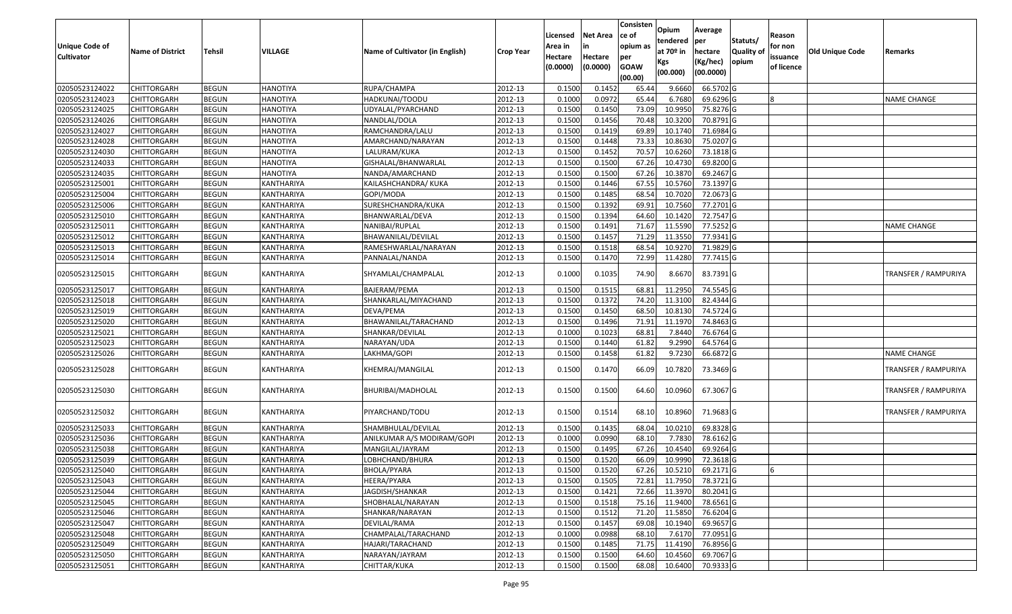|                       |                         |               |                 |                                 |                  | Licensed | <b>Net Area</b> | Consisten<br>ce of | Opium<br>tendered     | Average<br>per | Statuts/         | Reason     |                        |                             |
|-----------------------|-------------------------|---------------|-----------------|---------------------------------|------------------|----------|-----------------|--------------------|-----------------------|----------------|------------------|------------|------------------------|-----------------------------|
| <b>Unique Code of</b> | <b>Name of District</b> | <b>Tehsil</b> | VILLAGE         | Name of Cultivator (in English) | <b>Crop Year</b> | Area in  |                 | opium as           | at 70 <sup>o</sup> in | hectare        | <b>Quality o</b> | for non    | <b>Old Unique Code</b> | Remarks                     |
| <b>Cultivator</b>     |                         |               |                 |                                 |                  | Hectare  | Hectare         | per<br><b>GOAW</b> | Kgs                   | (Kg/hec)       | opium            | issuance   |                        |                             |
|                       |                         |               |                 |                                 |                  | (0.0000) | (0.0000)        | (00.00)            | (00.000)              | (00.0000)      |                  | of licence |                        |                             |
| 02050523124022        | CHITTORGARH             | <b>BEGUN</b>  | <b>HANOTIYA</b> | RUPA/CHAMPA                     | 2012-13          | 0.1500   | 0.1452          | 65.44              | 9.6660                | 66.5702 G      |                  |            |                        |                             |
| 02050523124023        | CHITTORGARH             | <b>BEGUN</b>  | <b>HANOTIYA</b> | HADKUNAI/TOODU                  | 2012-13          | 0.1000   | 0.0972          | 65.44              | 6.7680                | 69.6296 G      |                  |            |                        | <b>NAME CHANGE</b>          |
| 02050523124025        | CHITTORGARH             | <b>BEGUN</b>  | <b>HANOTIYA</b> | UDYALAL/PYARCHAND               | 2012-13          | 0.1500   | 0.1450          | 73.09              | 10.995                | 75.8276 G      |                  |            |                        |                             |
| 02050523124026        | CHITTORGARH             | <b>BEGUN</b>  | <b>HANOTIYA</b> | NANDLAL/DOLA                    | 2012-13          | 0.1500   | 0.1456          | 70.48              | 10.3200               | 70.8791G       |                  |            |                        |                             |
| 02050523124027        | CHITTORGARH             | <b>BEGUN</b>  | <b>HANOTIYA</b> | RAMCHANDRA/LALU                 | 2012-13          | 0.1500   | 0.1419          | 69.89              | 10.174                | 71.6984 G      |                  |            |                        |                             |
| 02050523124028        | CHITTORGARH             | <b>BEGUN</b>  | <b>HANOTIYA</b> | AMARCHAND/NARAYAN               | 2012-13          | 0.1500   | 0.1448          | 73.33              | 10.8630               | 75.0207 G      |                  |            |                        |                             |
| 02050523124030        | CHITTORGARH             | <b>BEGUN</b>  | <b>HANOTIYA</b> | LALURAM/KUKA                    | 2012-13          | 0.1500   | 0.1452          | 70.5               | 10.6260               | 73.1818G       |                  |            |                        |                             |
| 02050523124033        | CHITTORGARH             | <b>BEGUN</b>  | <b>HANOTIYA</b> | GISHALAL/BHANWARLAL             | 2012-13          | 0.1500   | 0.1500          | 67.26              | 10.473                | 69.8200 G      |                  |            |                        |                             |
| 02050523124035        | CHITTORGARH             | <b>BEGUN</b>  | <b>HANOTIYA</b> | NANDA/AMARCHAND                 | 2012-13          | 0.1500   | 0.1500          | 67.26              | 10.387                | 69.2467 G      |                  |            |                        |                             |
| 02050523125001        | <b>CHITTORGARH</b>      | <b>BEGUN</b>  | KANTHARIYA      | KAILASHCHANDRA/ KUKA            | 2012-13          | 0.1500   | 0.1446          | 67.55              | 10.5760               | 73.1397 G      |                  |            |                        |                             |
| 02050523125004        | CHITTORGARH             | <b>BEGUN</b>  | KANTHARIYA      | GOPI/MODA                       | 2012-13          | 0.1500   | 0.1485          | 68.54              | 10.7020               | 72.0673 G      |                  |            |                        |                             |
| 02050523125006        | CHITTORGARH             | <b>BEGUN</b>  | KANTHARIYA      | SURESHCHANDRA/KUKA              | 2012-13          | 0.1500   | 0.1392          | 69.91              | 10.7560               | 77.2701 G      |                  |            |                        |                             |
| 02050523125010        | <b>CHITTORGARH</b>      | <b>BEGUN</b>  | KANTHARIYA      | BHANWARLAL/DEVA                 | 2012-13          | 0.1500   | 0.1394          | 64.60              | 10.1420               | 72.7547 G      |                  |            |                        |                             |
| 02050523125011        | CHITTORGARH             | <b>BEGUN</b>  | KANTHARIYA      | NANIBAI/RUPLAL                  | 2012-13          | 0.1500   | 0.1491          | 71.67              | 11.5590               | 77.5252 G      |                  |            |                        | <b>NAME CHANGE</b>          |
| 02050523125012        | <b>CHITTORGARH</b>      | <b>BEGUN</b>  | KANTHARIYA      | BHAWANILAL/DEVILAL              | 2012-13          | 0.1500   | 0.1457          | 71.29              | 11.3550               | 77.9341 G      |                  |            |                        |                             |
| 02050523125013        | <b>CHITTORGARH</b>      | <b>BEGUN</b>  | KANTHARIYA      | RAMESHWARLAL/NARAYAN            | 2012-13          | 0.1500   | 0.1518          | 68.54              | 10.9270               | 71.9829 G      |                  |            |                        |                             |
| 02050523125014        | CHITTORGARH             | <b>BEGUN</b>  | KANTHARIYA      | PANNALAL/NANDA                  | 2012-13          | 0.1500   | 0.1470          | 72.99              | 11.4280               | 77.7415 G      |                  |            |                        |                             |
| 02050523125015        | CHITTORGARH             | <b>BEGUN</b>  | KANTHARIYA      | SHYAMLAL/CHAMPALAL              | 2012-13          | 0.1000   | 0.1035          | 74.90              | 8.6670                | 83.7391G       |                  |            |                        | <b>TRANSFER / RAMPURIYA</b> |
| 02050523125017        | CHITTORGARH             | <b>BEGUN</b>  | KANTHARIYA      | BAJERAM/PEMA                    | 2012-13          | 0.1500   | 0.1515          | 68.81              | 11.295                | 74.5545 G      |                  |            |                        |                             |
| 02050523125018        | CHITTORGARH             | <b>BEGUN</b>  | KANTHARIYA      | SHANKARLAL/MIYACHAND            | 2012-13          | 0.1500   | 0.1372          | 74.20              | 11.3100               | 82.4344 G      |                  |            |                        |                             |
| 02050523125019        | CHITTORGARH             | <b>BEGUN</b>  | KANTHARIYA      | DEVA/PEMA                       | 2012-13          | 0.1500   | 0.1450          | 68.50              | 10.8130               | 74.5724 G      |                  |            |                        |                             |
| 02050523125020        | CHITTORGARH             | <b>BEGUN</b>  | KANTHARIYA      | BHAWANILAL/TARACHAND            | 2012-13          | 0.1500   | 0.1496          | 71.91              | 11.1970               | 74.8463 G      |                  |            |                        |                             |
| 02050523125021        | CHITTORGARH             | <b>BEGUN</b>  | KANTHARIYA      | SHANKAR/DEVILAL                 | 2012-13          | 0.100    | 0.1023          | 68.8               | 7.8440                | 76.6764 G      |                  |            |                        |                             |
| 02050523125023        | CHITTORGARH             | <b>BEGUN</b>  | KANTHARIYA      | NARAYAN/UDA                     | 2012-13          | 0.1500   | 0.1440          | 61.82              | 9.2990                | 64.5764 G      |                  |            |                        |                             |
| 02050523125026        | CHITTORGARH             | <b>BEGUN</b>  | KANTHARIYA      | LAKHMA/GOPI                     | 2012-13          | 0.1500   | 0.1458          | 61.82              | 9.7230                | 66.6872 G      |                  |            |                        | <b>NAME CHANGE</b>          |
| 02050523125028        | CHITTORGARH             | <b>BEGUN</b>  | KANTHARIYA      | KHEMRAJ/MANGILAL                | 2012-13          | 0.1500   | 0.1470          | 66.09              | 10.7820               | 73.3469 G      |                  |            |                        | TRANSFER / RAMPURIYA        |
| 02050523125030        | CHITTORGARH             | <b>BEGUN</b>  | KANTHARIYA      | BHURIBAI/MADHOLAL               | 2012-13          | 0.1500   | 0.1500          | 64.60              | 10.0960               | 67.3067 G      |                  |            |                        | <b>TRANSFER / RAMPURIYA</b> |
| 02050523125032        | CHITTORGARH             | <b>BEGUN</b>  | KANTHARIYA      | PIYARCHAND/TODU                 | 2012-13          | 0.1500   | 0.1514          | 68.10              | 10.8960               | 71.9683 G      |                  |            |                        | TRANSFER / RAMPURIYA        |
| 02050523125033        | CHITTORGARH             | <b>BEGUN</b>  | KANTHARIYA      | SHAMBHULAL/DEVILAL              | 2012-13          | 0.1500   | 0.1435          | 68.04              | 10.021                | 69.8328 G      |                  |            |                        |                             |
| 02050523125036        | CHITTORGARH             | <b>BEGUN</b>  | KANTHARIYA      | ANILKUMAR A/S MODIRAM/GOPI      | 2012-13          | 0.1000   | 0.0990          | 68.10              | 7.7830                | $78.6162$ G    |                  |            |                        |                             |
| 02050523125038        | CHITTORGARH             | <b>BEGUN</b>  | KANTHARIYA      | MANGILAL/JAYRAM                 | 2012-13          | 0.150    | 0.1495          | 67.26              | 10.4540               | 69.9264 G      |                  |            |                        |                             |
| 02050523125039        | CHITTORGARH             | <b>BEGUN</b>  | KANTHARIYA      | LOBHCHAND/BHURA                 | 2012-13          | 0.1500   | 0.1520          | 66.09              | 10.9990               | 72.3618G       |                  |            |                        |                             |
| 02050523125040        | <b>CHITTORGARH</b>      | <b>BEGUN</b>  | KANTHARIYA      | BHOLA/PYARA                     | 2012-13          | 0.1500   | 0.1520          | 67.26              | 10.5210               | 69.2171 G      |                  | IЬ         |                        |                             |
| 02050523125043        | <b>CHITTORGARH</b>      | <b>BEGUN</b>  | KANTHARIYA      | HEERA/PYARA                     | 2012-13          | 0.1500   | 0.1505          | 72.81              | 11.7950               | 78.3721 G      |                  |            |                        |                             |
| 02050523125044        | <b>CHITTORGARH</b>      | <b>BEGUN</b>  | KANTHARIYA      | JAGDISH/SHANKAR                 | 2012-13          | 0.1500   | 0.1421          | 72.66              | 11.3970               | 80.2041 G      |                  |            |                        |                             |
| 02050523125045        | <b>CHITTORGARH</b>      | <b>BEGUN</b>  | KANTHARIYA      | SHOBHALAL/NARAYAN               | 2012-13          | 0.1500   | 0.1518          | 75.16              | 11.9400               | 78.6561 G      |                  |            |                        |                             |
| 02050523125046        | <b>CHITTORGARH</b>      | <b>BEGUN</b>  | KANTHARIYA      | SHANKAR/NARAYAN                 | 2012-13          | 0.1500   | 0.1512          | 71.20              | 11.5850               | 76.6204 G      |                  |            |                        |                             |
| 02050523125047        | <b>CHITTORGARH</b>      | <b>BEGUN</b>  | KANTHARIYA      | DEVILAL/RAMA                    | 2012-13          | 0.1500   | 0.1457          | 69.08              | 10.1940               | 69.9657 G      |                  |            |                        |                             |
| 02050523125048        | <b>CHITTORGARH</b>      | <b>BEGUN</b>  | KANTHARIYA      | CHAMPALAL/TARACHAND             | 2012-13          | 0.1000   | 0.0988          | 68.10              | 7.6170                | 77.0951 G      |                  |            |                        |                             |
| 02050523125049        | <b>CHITTORGARH</b>      | <b>BEGUN</b>  | KANTHARIYA      | HAJARI/TARACHAND                | 2012-13          | 0.1500   | 0.1485          | 71.75              | 11.4190               | 76.8956 G      |                  |            |                        |                             |
| 02050523125050        | CHITTORGARH             | <b>BEGUN</b>  | KANTHARIYA      | NARAYAN/JAYRAM                  | 2012-13          | 0.1500   | 0.1500          | 64.60              | 10.4560               | 69.7067 G      |                  |            |                        |                             |
| 02050523125051        | <b>CHITTORGARH</b>      | <b>BEGUN</b>  | KANTHARIYA      | CHITTAR/KUKA                    | 2012-13          | 0.1500   | 0.1500          | 68.08              | 10.6400               | 70.9333 G      |                  |            |                        |                             |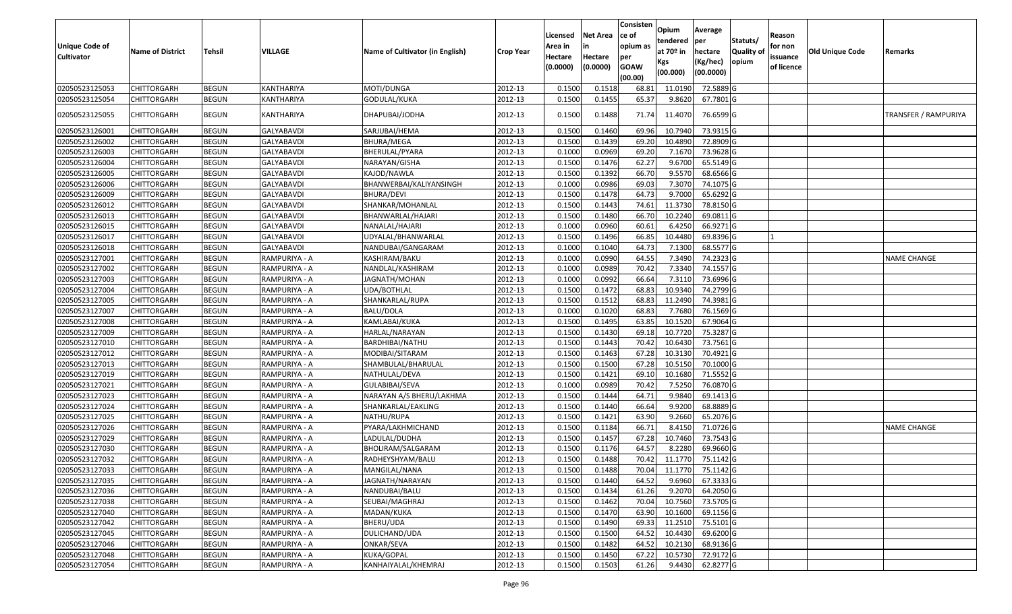|                       |                         |               |                   |                                 |                  | Licensed | <b>Net Area</b> | Consisten<br>ce of | Opium<br>tendered | Average<br>per          | Statuts/         | Reason     |                        |                      |
|-----------------------|-------------------------|---------------|-------------------|---------------------------------|------------------|----------|-----------------|--------------------|-------------------|-------------------------|------------------|------------|------------------------|----------------------|
| <b>Unique Code of</b> | <b>Name of District</b> | <b>Tehsil</b> | VILLAGE           | Name of Cultivator (in English) | <b>Crop Year</b> | Area in  |                 | opium as           | at $70°$ in       | hectare                 | <b>Quality o</b> | for non    | <b>Old Unique Code</b> | Remarks              |
| <b>Cultivator</b>     |                         |               |                   |                                 |                  | Hectare  | Hectare         | per                | Kgs               | (Kg/hec)                | opium            | issuance   |                        |                      |
|                       |                         |               |                   |                                 |                  | (0.0000) | (0.0000)        | <b>GOAW</b>        | (00.000)          | (00.0000)               |                  | of licence |                        |                      |
| 02050523125053        | CHITTORGARH             | <b>BEGUN</b>  | KANTHARIYA        | MOTI/DUNGA                      | 2012-13          | 0.1500   | 0.1518          | (00.00)<br>68.81   | 11.0190           | 72.5889 G               |                  |            |                        |                      |
| 02050523125054        | CHITTORGARH             | <b>BEGUN</b>  | KANTHARIYA        | GODULAL/KUKA                    | 2012-13          | 0.1500   | 0.1455          | 65.37              | 9.8620            | 67.7801G                |                  |            |                        |                      |
|                       |                         |               |                   |                                 |                  |          |                 |                    |                   |                         |                  |            |                        |                      |
| 02050523125055        | CHITTORGARH             | <b>BEGUN</b>  | KANTHARIYA        | DHAPUBAI/JODHA                  | 2012-13          | 0.1500   | 0.1488          | 71.74              | 11.4070           | 76.6599 G               |                  |            |                        | TRANSFER / RAMPURIYA |
| 02050523126001        | <b>CHITTORGARH</b>      | <b>BEGUN</b>  | <b>GALYABAVDI</b> | SARJUBAI/HEMA                   | 2012-13          | 0.150    | 0.1460          | 69.96              | 10.794            | 73.9315 G               |                  |            |                        |                      |
| 02050523126002        | CHITTORGARH             | <b>BEGUN</b>  | GALYABAVDI        | BHURA/MEGA                      | 2012-13          | 0.1500   | 0.1439          | 69.20              | 10.4890           | 72.8909 G               |                  |            |                        |                      |
| 02050523126003        | CHITTORGARH             | <b>BEGUN</b>  | GALYABAVDI        | BHERULAL/PYARA                  | 2012-13          | 0.1000   | 0.0969          | 69.20              | 7.1670            | 73.9628 G               |                  |            |                        |                      |
| 02050523126004        | <b>CHITTORGARH</b>      | <b>BEGUN</b>  | <b>GALYABAVDI</b> | NARAYAN/GISHA                   | 2012-13          | 0.1500   | 0.1476          | 62.27              | 9.6700            | 65.5149 G               |                  |            |                        |                      |
| 02050523126005        | CHITTORGARH             | <b>BEGUN</b>  | <b>GALYABAVDI</b> | KAJOD/NAWLA                     | 2012-13          | 0.1500   | 0.1392          | 66.70              | 9.5570            | 68.6566 G               |                  |            |                        |                      |
| 02050523126006        | CHITTORGARH             | <b>BEGUN</b>  | GALYABAVDI        | BHANWERBAI/KALIYANSINGH         | 2012-13          | 0.1000   | 0.0986          | 69.03              | 7.3070            | 74.1075 G               |                  |            |                        |                      |
| 02050523126009        | CHITTORGARH             | <b>BEGUN</b>  | GALYABAVDI        | BHURA/DEVI                      | 2012-13          | 0.1500   | 0.1478          | 64.73              | 9.7000            | 65.6292 G               |                  |            |                        |                      |
| 02050523126012        | CHITTORGARH             | <b>BEGUN</b>  | <b>GALYABAVDI</b> | SHANKAR/MOHANLAL                | 2012-13          | 0.1500   | 0.1443          | 74.61              | 11.3730           | 78.8150 G               |                  |            |                        |                      |
| 02050523126013        | <b>CHITTORGARH</b>      | <b>BEGUN</b>  | <b>GALYABAVDI</b> | BHANWARLAL/HAJARI               | 2012-13          | 0.1500   | 0.1480          | 66.70              | 10.2240           | 69.0811G                |                  |            |                        |                      |
| 02050523126015        | CHITTORGARH             | <b>BEGUN</b>  | GALYABAVDI        | NANALAL/HAJARI                  | 2012-13          | 0.1000   | 0.0960          | 60.6               | 6.4250            | 66.9271 G               |                  |            |                        |                      |
| 02050523126017        | CHITTORGARH             | <b>BEGUN</b>  | GALYABAVDI        | UDYALAL/BHANWARLAL              | 2012-13          | 0.1500   | 0.1496          | 66.85              | 10.4480           | 69.8396 G               |                  |            |                        |                      |
| 02050523126018        | CHITTORGARH             | <b>BEGUN</b>  | <b>GALYABAVDI</b> | NANDUBAI/GANGARAM               | 2012-13          | 0.1000   | 0.1040          | 64.73              | 7.1300            | 68.5577 G               |                  |            |                        |                      |
| 02050523127001        | CHITTORGARH             | <b>BEGUN</b>  | RAMPURIYA - A     | KASHIRAM/BAKU                   | 2012-13          | 0.100    | 0.0990          | 64.55              | 7.3490            | 74.2323 G               |                  |            |                        | <b>NAME CHANGE</b>   |
| 02050523127002        | CHITTORGARH             | <b>BEGUN</b>  | RAMPURIYA - A     | NANDLAL/KASHIRAM                | 2012-13          | 0.100    | 0.0989          | 70.42              | 7.3340            | 74.1557 G               |                  |            |                        |                      |
| 02050523127003        | CHITTORGARH             | <b>BEGUN</b>  | RAMPURIYA - A     | JAGNATH/MOHAN                   | 2012-13          | 0.100    | 0.0992          | 66.64              | 7.3110            | 73.6996 G               |                  |            |                        |                      |
| 02050523127004        | CHITTORGARH             | <b>BEGUN</b>  | RAMPURIYA - A     | JDA/BOTHLAL                     | 2012-13          | 0.1500   | 0.1472          | 68.83              | 10.934            | 74.2799 G               |                  |            |                        |                      |
| 02050523127005        | CHITTORGARH             | <b>BEGUN</b>  | RAMPURIYA - A     | SHANKARLAL/RUPA                 | 2012-13          | 0.1500   | 0.1512          | 68.83              | 11.2490           | 74.3981G                |                  |            |                        |                      |
| 02050523127007        | CHITTORGARH             | <b>BEGUN</b>  | RAMPURIYA - A     | BALU/DOLA                       | 2012-13          | 0.1000   | 0.1020          | 68.83              | 7.7680            | 76.1569 G               |                  |            |                        |                      |
| 02050523127008        | CHITTORGARH             | <b>BEGUN</b>  | RAMPURIYA - A     | KAMLABAI/KUKA                   | 2012-13          | 0.1500   | 0.1495          | 63.85              | 10.1520           | 67.9064 G               |                  |            |                        |                      |
| 02050523127009        | CHITTORGARH             | <b>BEGUN</b>  | RAMPURIYA - A     | HARLAL/NARAYAN                  | 2012-13          | 0.1500   | 0.1430          | 69.18              | 10.7720           | 75.3287 G               |                  |            |                        |                      |
| 02050523127010        | CHITTORGARH             | <b>BEGUN</b>  | RAMPURIYA - A     | BARDHIBAI/NATHU                 | 2012-13          | 0.1500   | 0.1443          | 70.42              | 10.643            | 73.7561G                |                  |            |                        |                      |
| 02050523127012        | CHITTORGARH             | <b>BEGUN</b>  | RAMPURIYA - A     | MODIBAI/SITARAM                 | 2012-13          | 0.1500   | 0.1463          | 67.28              | 10.3130           | 70.4921 G               |                  |            |                        |                      |
| 02050523127013        | CHITTORGARH             | <b>BEGUN</b>  | RAMPURIYA - A     | SHAMBULAL/BHARULAL              | 2012-13          | 0.1500   | 0.1500          | 67.28              | 10.5150           | 70.1000 G               |                  |            |                        |                      |
| 02050523127019        | CHITTORGARH             | <b>BEGUN</b>  | RAMPURIYA - A     | NATHULAL/DEVA                   | 2012-13          | 0.1500   | 0.1421          | 69.10              | 10.1680           | 71.5552 G               |                  |            |                        |                      |
| 02050523127021        | <b>CHITTORGARH</b>      | <b>BEGUN</b>  | RAMPURIYA - A     | GULABIBAI/SEVA                  | 2012-13          | 0.1000   | 0.0989          | 70.42              | 7.5250            | 76.0870 G               |                  |            |                        |                      |
| 02050523127023        | CHITTORGARH             | <b>BEGUN</b>  | RAMPURIYA - A     | NARAYAN A/S BHERU/LAKHMA        | 2012-13          | 0.1500   | 0.1444          | 64.71              | 9.9840            | 69.1413 G               |                  |            |                        |                      |
| 02050523127024        | CHITTORGARH             | <b>BEGUN</b>  | RAMPURIYA - A     | SHANKARLAL/EAKLING              | 2012-13          | 0.1500   | 0.1440          | 66.64              | 9.9200            | 68.8889 G               |                  |            |                        |                      |
| 02050523127025        | CHITTORGARH             | <b>BEGUN</b>  | RAMPURIYA - A     | NATHU/RUPA                      | 2012-13          | 0.1500   | 0.1421          | 63.90              | 9.2660            | 65.2076 G               |                  |            |                        |                      |
| 02050523127026        | CHITTORGARH             | <b>BEGUN</b>  | RAMPURIYA - A     | PYARA/LAKHMICHAND               | 2012-13          | 0.1500   | 0.1184          | 66.71              | 8.4150            | 71.0726 G               |                  |            |                        | <b>NAME CHANGE</b>   |
| 02050523127029        | <b>CHITTORGARH</b>      | <b>BEGUN</b>  | RAMPURIYA - A     | LADULAL/DUDHA                   | 2012-13          | 0.1500   | 0.1457          | 67.28              | 10.7460           | 73.7543 G               |                  |            |                        |                      |
| 02050523127030        | CHITTORGARH             | <b>BEGUN</b>  | RAMPURIYA - A     | BHOLIRAM/SALGARAM               | 2012-13          | 0.150    | 0.1176          | 64.57              | 8.2280            | 69.9660 G               |                  |            |                        |                      |
| 02050523127032        | CHITTORGARH             | <b>BEGUN</b>  | RAMPURIYA - A     | RADHEYSHYAM/BALU                | 2012-13          | 0.1500   | 0.1488          | 70.42              | 11.1770           | 75.1142 G               |                  |            |                        |                      |
| 02050523127033        | <b>CHITTORGARH</b>      | <b>BEGUN</b>  | RAMPURIYA - A     | MANGILAL/NANA                   | 2012-13          | 0.1500   | 0.1488          |                    |                   | 70.04 11.1770 75.1142 G |                  |            |                        |                      |
| 02050523127035        | <b>CHITTORGARH</b>      | <b>BEGUN</b>  | RAMPURIYA - A     | JAGNATH/NARAYAN                 | 2012-13          | 0.1500   | 0.1440          | 64.52              | 9.6960            | 67.3333 G               |                  |            |                        |                      |
| 02050523127036        | <b>CHITTORGARH</b>      | <b>BEGUN</b>  | RAMPURIYA - A     | NANDUBAI/BALU                   | 2012-13          | 0.1500   | 0.1434          | 61.26              | 9.2070            | 64.2050 G               |                  |            |                        |                      |
| 02050523127038        | <b>CHITTORGARH</b>      | <b>BEGUN</b>  | RAMPURIYA - A     | SEUBAI/MAGHRAJ                  | 2012-13          | 0.1500   | 0.1462          | 70.04              | 10.7560           | 73.5705 G               |                  |            |                        |                      |
| 02050523127040        | <b>CHITTORGARH</b>      | <b>BEGUN</b>  | RAMPURIYA - A     | MADAN/KUKA                      | 2012-13          | 0.1500   | 0.1470          | 63.90              | 10.1600           | 69.1156 G               |                  |            |                        |                      |
| 02050523127042        | <b>CHITTORGARH</b>      | <b>BEGUN</b>  | RAMPURIYA - A     | BHERU/UDA                       | 2012-13          | 0.1500   | 0.1490          | 69.33              | 11.2510           | 75.5101 G               |                  |            |                        |                      |
| 02050523127045        | <b>CHITTORGARH</b>      | <b>BEGUN</b>  | RAMPURIYA - A     | DULICHAND/UDA                   | 2012-13          | 0.1500   | 0.1500          | 64.52              | 10.4430           | 69.6200 G               |                  |            |                        |                      |
| 02050523127046        | <b>CHITTORGARH</b>      | <b>BEGUN</b>  | RAMPURIYA - A     | ONKAR/SEVA                      | 2012-13          | 0.1500   | 0.1482          | 64.52              | 10.2130           | 68.9136 G               |                  |            |                        |                      |
| 02050523127048        | <b>CHITTORGARH</b>      | <b>BEGUN</b>  | RAMPURIYA - A     | KUKA/GOPAL                      | 2012-13          | 0.1500   | 0.1450          | 67.22              | 10.5730           | 72.9172 G               |                  |            |                        |                      |
| 02050523127054        | <b>CHITTORGARH</b>      | <b>BEGUN</b>  | RAMPURIYA - A     | KANHAIYALAL/KHEMRAJ             | 2012-13          | 0.1500   | 0.1503          | 61.26              | 9.4430            | 62.8277 G               |                  |            |                        |                      |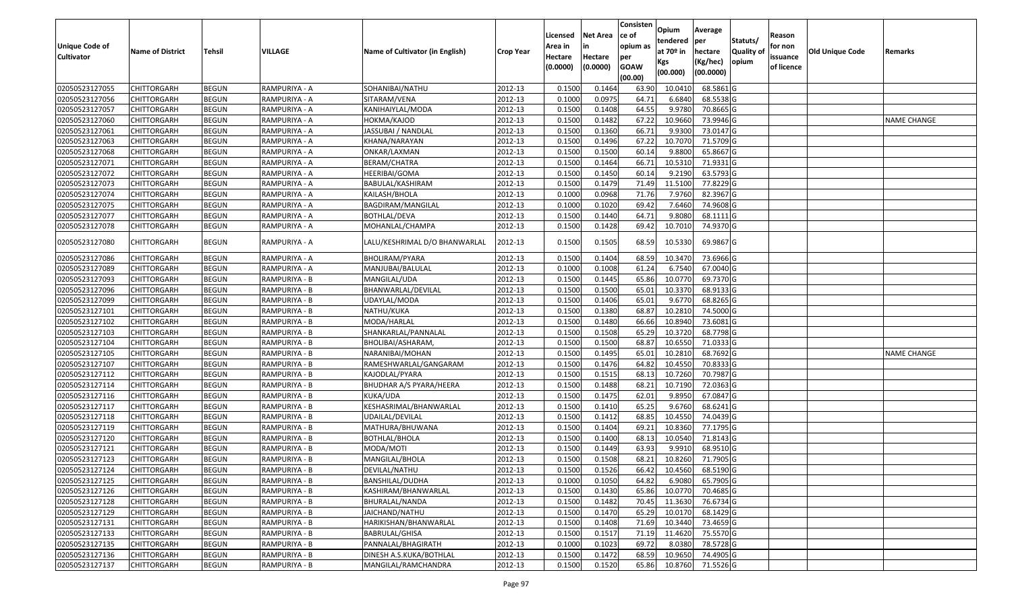|                                     |                         |               |               |                                 |                  |                    |                       | Consisten          | Opium         | Average     |                  |                     |                 |                    |
|-------------------------------------|-------------------------|---------------|---------------|---------------------------------|------------------|--------------------|-----------------------|--------------------|---------------|-------------|------------------|---------------------|-----------------|--------------------|
|                                     |                         |               |               |                                 |                  | Licensed           | <b>Net Area</b><br>in | ce of<br>opium as  | tendered      | per         | Statuts/         | Reason              |                 |                    |
| Unique Code of<br><b>Cultivator</b> | <b>Name of District</b> | <b>Tehsil</b> | VILLAGE       | Name of Cultivator (in English) | <b>Crop Year</b> | Area in<br>Hectare | Hectare               |                    | at $70°$ in   | hectare     | <b>Quality o</b> | for non<br>issuance | Old Unique Code | Remarks            |
|                                     |                         |               |               |                                 |                  | (0.0000)           | (0.0000)              | per<br><b>GOAW</b> | Kgs           | (Kg/hec)    | opium            | of licence          |                 |                    |
|                                     |                         |               |               |                                 |                  |                    |                       | (00.00)            | (00.000)      | (00.0000)   |                  |                     |                 |                    |
| 02050523127055                      | CHITTORGARH             | <b>BEGUN</b>  | RAMPURIYA - A | SOHANIBAI/NATHU                 | 2012-13          | 0.1500             | 0.1464                | 63.90              | 10.0410       | 68.5861G    |                  |                     |                 |                    |
| 02050523127056                      | CHITTORGARH             | <b>BEGUN</b>  | RAMPURIYA - A | SITARAM/VENA                    | 2012-13          | 0.1000             | 0.0975                | 64.71              | 6.6840        | 68.5538 G   |                  |                     |                 |                    |
| 02050523127057                      | CHITTORGARH             | <b>BEGUN</b>  | RAMPURIYA - A | KANIHAIYLAL/MODA                | 2012-13          | 0.1500             | 0.1408                | 64.55              | 9.978         | 70.8665 G   |                  |                     |                 |                    |
| 02050523127060                      | <b>CHITTORGARH</b>      | <b>BEGUN</b>  | RAMPURIYA - A | HOKMA/KAJOD                     | 2012-13          | 0.1500             | 0.1482                | 67.22              | 10.9660       | 73.9946 G   |                  |                     |                 | <b>NAME CHANGE</b> |
| 02050523127061                      | CHITTORGARH             | <b>BEGUN</b>  | RAMPURIYA - A | JASSUBAI / NANDLAL              | 2012-13          | 0.1500             | 0.1360                | 66.7               | 9.9300        | 73.0147 G   |                  |                     |                 |                    |
| 02050523127063                      | CHITTORGARH             | <b>BEGUN</b>  | RAMPURIYA - A | KHANA/NARAYAN                   | 2012-13          | 0.1500             | 0.1496                | 67.22              | 10.7070       | $71.5709$ G |                  |                     |                 |                    |
| 02050523127068                      | CHITTORGARH             | <b>BEGUN</b>  | RAMPURIYA - A | ONKAR/LAXMAN                    | 2012-13          | 0.1500             | 0.1500                | 60.1               | 9.8800        | 65.8667G    |                  |                     |                 |                    |
| 02050523127071                      | <b>CHITTORGARH</b>      | <b>BEGUN</b>  | RAMPURIYA - A | BERAM/CHATRA                    | 2012-13          | 0.1500             | 0.1464                | 66.71              | 10.5310       | 71.9331 G   |                  |                     |                 |                    |
| 02050523127072                      | CHITTORGARH             | <b>BEGUN</b>  | RAMPURIYA - A | HEERIBAI/GOMA                   | 2012-13          | 0.1500             | 0.1450                | 60.14              | 9.2190        | 63.5793 G   |                  |                     |                 |                    |
| 02050523127073                      | CHITTORGARH             | <b>BEGUN</b>  | RAMPURIYA - A | BABULAL/KASHIRAM                | 2012-13          | 0.1500             | 0.1479                | 71.49              | 11.5100       | 77.8229 G   |                  |                     |                 |                    |
| 02050523127074                      | CHITTORGARH             | <b>BEGUN</b>  | RAMPURIYA - A | KAILASH/BHOLA                   | 2012-13          | 0.1000             | 0.0968                | 71.76              | 7.9760        | 82.3967 G   |                  |                     |                 |                    |
| 02050523127075                      | <b>CHITTORGARH</b>      | <b>BEGUN</b>  | RAMPURIYA - A | BAGDIRAM/MANGILAL               | 2012-13          | 0.1000             | 0.1020                | 69.42              | 7.6460        | 74.9608 G   |                  |                     |                 |                    |
| 02050523127077                      | <b>CHITTORGARH</b>      | <b>BEGUN</b>  | RAMPURIYA - A | BOTHLAL/DEVA                    | 2012-13          | 0.1500             | 0.1440                | 64.71              | 9.8080        | 68.1111G    |                  |                     |                 |                    |
| 02050523127078                      | CHITTORGARH             | <b>BEGUN</b>  | RAMPURIYA - A | MOHANLAL/CHAMPA                 | 2012-13          | 0.1500             | 0.1428                | 69.42              | 10.7010       | 74.9370 G   |                  |                     |                 |                    |
| 02050523127080                      | CHITTORGARH             | <b>BEGUN</b>  | RAMPURIYA - A | LALU/KESHRIMAL D/O BHANWARLAL   | 2012-13          | 0.1500             | 0.1505                | 68.59              | 10.5330       | 69.9867 G   |                  |                     |                 |                    |
| 02050523127086                      | CHITTORGARH             | <b>BEGUN</b>  | RAMPURIYA - A | <b>BHOLIRAM/PYARA</b>           | 2012-13          | 0.1500             | 0.1404                | 68.59              | 10.3470       | 73.6966 G   |                  |                     |                 |                    |
| 02050523127089                      | CHITTORGARH             | <b>BEGUN</b>  | RAMPURIYA - A | MANJUBAI/BALULAL                | 2012-13          | 0.100              | 0.1008                | 61.24              | 6.7540        | 67.0040 G   |                  |                     |                 |                    |
| 02050523127093                      | CHITTORGARH             | <b>BEGUN</b>  | RAMPURIYA - B | MANGILAL/UDA                    | 2012-13          | 0.1500             | 0.1445                | 65.86              | 10.0770       | 69.7370 G   |                  |                     |                 |                    |
| 02050523127096                      | CHITTORGARH             | <b>BEGUN</b>  | RAMPURIYA - B | BHANWARLAL/DEVILAL              | 2012-13          | 0.1500             | 0.1500                | 65.01              | 10.3370       | 68.9133 G   |                  |                     |                 |                    |
| 02050523127099                      | CHITTORGARH             | <b>BEGUN</b>  | RAMPURIYA - B | UDAYLAL/MODA                    | 2012-13          | 0.1500             | 0.1406                | 65.01              | 9.6770        | 68.8265 G   |                  |                     |                 |                    |
| 02050523127101                      | CHITTORGARH             | <b>BEGUN</b>  | RAMPURIYA - B | NATHU/KUKA                      | 2012-13          | 0.1500             | 0.1380                | 68.87              | 10.281        | 74.5000 G   |                  |                     |                 |                    |
| 02050523127102                      | CHITTORGARH             | <b>BEGUN</b>  | RAMPURIYA - B | MODA/HARLAL                     | 2012-13          | 0.1500             | 0.1480                | 66.66              | 10.8940       | 73.6081G    |                  |                     |                 |                    |
| 02050523127103                      | CHITTORGARH             | <b>BEGUN</b>  | RAMPURIYA - B | SHANKARLAL/PANNALAL             | 2012-13          | 0.1500             | 0.1508                | 65.29              | 10.3720       | 68.7798 G   |                  |                     |                 |                    |
| 02050523127104                      | CHITTORGARH             | <b>BEGUN</b>  | RAMPURIYA - B | BHOLIBAI/ASHARAM                | 2012-13          | 0.1500             | 0.1500                | 68.87              | 10.6550       | 71.0333 G   |                  |                     |                 |                    |
| 02050523127105                      | CHITTORGARH             | <b>BEGUN</b>  | RAMPURIYA - B | NARANIBAI/MOHAN                 | 2012-13          | 0.1500             | 0.1495                | 65.01              | 10.2810       | 68.7692 G   |                  |                     |                 | <b>NAME CHANGE</b> |
| 02050523127107                      | CHITTORGARH             | <b>BEGUN</b>  | RAMPURIYA - B | RAMESHWARLAL/GANGARAM           | 2012-13          | 0.1500             | 0.1476                | 64.82              | 10.4550       | 70.8333 G   |                  |                     |                 |                    |
| 02050523127112                      | CHITTORGARH             | <b>BEGUN</b>  | RAMPURIYA - B | KAJODLAL/PYARA                  | 2012-13          | 0.1500             | 0.1515                | 68.13              | 10.7260       | 70.7987 G   |                  |                     |                 |                    |
| 02050523127114                      | <b>CHITTORGARH</b>      | <b>BEGUN</b>  | RAMPURIYA - B | BHUDHAR A/S PYARA/HEERA         | 2012-13          | 0.1500             | 0.1488                | 68.21              | 10.7190       | 72.0363 G   |                  |                     |                 |                    |
| 02050523127116                      | CHITTORGARH             | <b>BEGUN</b>  | RAMPURIYA - B | KUKA/UDA                        | 2012-13          | 0.1500             | 0.1475                | 62.01              | 9.8950        | 67.0847 G   |                  |                     |                 |                    |
| 02050523127117                      | CHITTORGARH             | <b>BEGUN</b>  | RAMPURIYA - B | KESHASRIMAL/BHANWARLAL          | 2012-13          | 0.1500             | 0.1410                | 65.25              | 9.6760        | 68.6241 G   |                  |                     |                 |                    |
| 02050523127118                      | CHITTORGARH             | <b>BEGUN</b>  | RAMPURIYA - B | UDAILAL/DEVILAL                 | 2012-13          | 0.1500             | 0.1412                | 68.85              | 10.4550       | 74.0439 G   |                  |                     |                 |                    |
| 02050523127119                      | CHITTORGARH             | <b>BEGUN</b>  | RAMPURIYA - B | MATHURA/BHUWANA                 | 2012-13          | 0.1500             | 0.1404                | 69.21              | 10.8360       | 77.1795 G   |                  |                     |                 |                    |
| 02050523127120                      | <b>CHITTORGARH</b>      | <b>BEGUN</b>  | RAMPURIYA - B | BOTHLAL/BHOLA                   | 2012-13          | 0.1500             | 0.1400                | 68.13              | 10.0540       | 71.8143 G   |                  |                     |                 |                    |
| 02050523127121                      | CHITTORGARH             | <b>BEGUN</b>  | RAMPURIYA - B | MODA/MOTI                       | 2012-13          | 0.150              | 0.1449                | 63.93              | 9.991         | 68.9510 G   |                  |                     |                 |                    |
| 02050523127123                      | CHITTORGARH             | <b>BEGUN</b>  | RAMPURIYA - B | MANGILAL/BHOLA                  | 2012-13          | 0.1500             | 0.1508                | 68.21              | 10.8260       | 71.7905 G   |                  |                     |                 |                    |
| 02050523127124                      | CHITTORGARH             | <b>BEGUN</b>  | RAMPURIYA - B | DEVILAL/NATHU                   | 2012-13          | 0.1500             | 0.1526                |                    | 66.42 10.4560 | 68.5190 G   |                  |                     |                 |                    |
| 02050523127125                      | <b>CHITTORGARH</b>      | <b>BEGUN</b>  | RAMPURIYA - B | BANSHILAL/DUDHA                 | 2012-13          | 0.1000             | 0.1050                | 64.82              | 6.9080        | 65.7905 G   |                  |                     |                 |                    |
| 02050523127126                      | <b>CHITTORGARH</b>      | <b>BEGUN</b>  | RAMPURIYA - B | KASHIRAM/BHANWARLAL             | 2012-13          | 0.1500             | 0.1430                | 65.86              | 10.0770       | 70.4685 G   |                  |                     |                 |                    |
| 02050523127128                      | <b>CHITTORGARH</b>      | <b>BEGUN</b>  | RAMPURIYA - B | BHURALAL/NANDA                  | 2012-13          | 0.1500             | 0.1482                | 70.45              | 11.3630       | 76.6734 G   |                  |                     |                 |                    |
| 02050523127129                      | <b>CHITTORGARH</b>      | <b>BEGUN</b>  | RAMPURIYA - B | JAICHAND/NATHU                  | 2012-13          | 0.1500             | 0.1470                | 65.29              | 10.0170       | 68.1429 G   |                  |                     |                 |                    |
| 02050523127131                      | <b>CHITTORGARH</b>      | <b>BEGUN</b>  | RAMPURIYA - B | HARIKISHAN/BHANWARLAL           | 2012-13          | 0.1500             | 0.1408                | 71.69              | 10.3440       | 73.4659 G   |                  |                     |                 |                    |
| 02050523127133                      | <b>CHITTORGARH</b>      | <b>BEGUN</b>  | RAMPURIYA - B | BABRULAL/GHISA                  | 2012-13          | 0.1500             | 0.1517                | 71.19              | 11.4620       | 75.5570 G   |                  |                     |                 |                    |
| 02050523127135                      | <b>CHITTORGARH</b>      | <b>BEGUN</b>  | RAMPURIYA - B | PANNALAL/BHAGIRATH              | 2012-13          | 0.1000             | 0.1023                | 69.72              | 8.0380        | 78.5728 G   |                  |                     |                 |                    |
| 02050523127136                      | <b>CHITTORGARH</b>      | <b>BEGUN</b>  | RAMPURIYA - B | DINESH A.S.KUKA/BOTHLAL         | 2012-13          | 0.1500             | 0.1472                | 68.59              | 10.9650       | 74.4905 G   |                  |                     |                 |                    |
| 02050523127137                      | <b>CHITTORGARH</b>      | <b>BEGUN</b>  | RAMPURIYA - B | MANGILAL/RAMCHANDRA             | 2012-13          | 0.1500             | 0.1520                | 65.86              | 10.8760       | 71.5526 G   |                  |                     |                 |                    |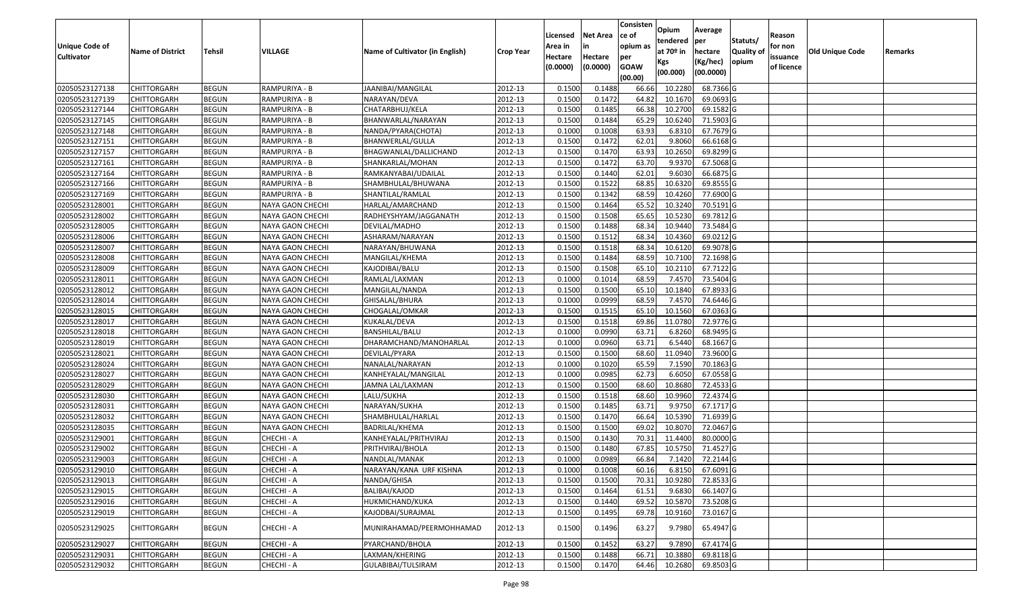| <b>Unique Code of</b> | <b>Name of District</b> | Tehsil       | VILLAGE                 | Name of Cultivator (in English) | <b>Crop Year</b> | Licensed<br>Area in | <b>Net Area</b><br>in | Consisten<br>ce of<br>opium as | Opium<br>tendered<br>at 70º in | Average<br>per<br>hectare | Statuts/<br><b>Quality o</b> | Reason<br>for non      | Old Unique Code | Remarks |
|-----------------------|-------------------------|--------------|-------------------------|---------------------------------|------------------|---------------------|-----------------------|--------------------------------|--------------------------------|---------------------------|------------------------------|------------------------|-----------------|---------|
| <b>Cultivator</b>     |                         |              |                         |                                 |                  | Hectare<br>(0.0000) | Hectare<br>(0.0000)   | per<br><b>GOAW</b><br>(00.00)  | Kgs<br>(00.000)                | (Kg/hec)<br>(00.0000)     | opium                        | issuance<br>of licence |                 |         |
| 02050523127138        | <b>CHITTORGARH</b>      | <b>BEGUN</b> | RAMPURIYA - B           | JAANIBAI/MANGILAL               | 2012-13          | 0.1500              | 0.1488                | 66.66                          | 10.2280                        | 68.7366 G                 |                              |                        |                 |         |
| 02050523127139        | <b>CHITTORGARH</b>      | <b>BEGUN</b> | RAMPURIYA - B           | NARAYAN/DEVA                    | 2012-13          | 0.1500              | 0.1472                | 64.82                          | 10.1670                        | 69.0693 G                 |                              |                        |                 |         |
| 02050523127144        | <b>CHITTORGARH</b>      | <b>BEGUN</b> | RAMPURIYA - B           | CHATARBHUJ/KELA                 | 2012-13          | 0.1500              | 0.1485                | 66.38                          | 10.2700                        | 69.1582 G                 |                              |                        |                 |         |
| 02050523127145        | <b>CHITTORGARH</b>      | <b>BEGUN</b> | RAMPURIYA - B           | BHANWARLAL/NARAYAN              | 2012-13          | 0.1500              | 0.1484                | 65.29                          | 10.6240                        | 71.5903 G                 |                              |                        |                 |         |
| 02050523127148        | <b>CHITTORGARH</b>      | <b>BEGUN</b> | RAMPURIYA - B           | NANDA/PYARA(CHOTA)              | 2012-13          | 0.1000              | 0.1008                | 63.93                          | 6.8310                         | 67.7679 G                 |                              |                        |                 |         |
| 02050523127151        | <b>CHITTORGARH</b>      | <b>BEGUN</b> | RAMPURIYA - B           | BHANWERLAL/GULLA                | 2012-13          | 0.1500              | 0.1472                | 62.01                          | 9.8060                         | 66.6168 G                 |                              |                        |                 |         |
| 02050523127157        | CHITTORGARH             | <b>BEGUN</b> | RAMPURIYA - B           | BHAGWANLAL/DALLICHAND           | 2012-13          | 0.1500              | 0.1470                | 63.93                          | 10.2650                        | 69.8299 G                 |                              |                        |                 |         |
| 02050523127161        | <b>CHITTORGARH</b>      | <b>BEGUN</b> | RAMPURIYA - B           | SHANKARLAL/MOHAN                | 2012-13          | 0.1500              | 0.1472                | 63.70                          | 9.9370                         | 67.5068 G                 |                              |                        |                 |         |
| 02050523127164        | <b>CHITTORGARH</b>      | <b>BEGUN</b> | RAMPURIYA - B           | RAMKANYABAI/UDAILAL             | 2012-13          | 0.1500              | 0.1440                | 62.01                          | 9.6030                         | 66.6875 G                 |                              |                        |                 |         |
| 02050523127166        | <b>CHITTORGARH</b>      | <b>BEGUN</b> | RAMPURIYA - B           | SHAMBHULAL/BHUWANA              | 2012-13          | 0.1500              | 0.1522                | 68.85                          | 10.6320                        | 69.8555 G                 |                              |                        |                 |         |
| 02050523127169        | <b>CHITTORGARH</b>      | <b>BEGUN</b> | RAMPURIYA - B           | SHANTILAL/RAMLAL                | 2012-13          | 0.1500              | 0.1342                | 68.59                          | 10.4260                        | 77.6900 G                 |                              |                        |                 |         |
| 02050523128001        | <b>CHITTORGARH</b>      | <b>BEGUN</b> | NAYA GAON CHECHI        | HARLAL/AMARCHAND                | 2012-13          | 0.1500              | 0.1464                | 65.52                          | 10.3240                        | 70.5191 G                 |                              |                        |                 |         |
| 02050523128002        | <b>CHITTORGARH</b>      | <b>BEGUN</b> | NAYA GAON CHECHI        | RADHEYSHYAM/JAGGANATH           | 2012-13          | 0.1500              | 0.1508                | 65.65                          | 10.5230                        | 69.7812 G                 |                              |                        |                 |         |
| 02050523128005        | <b>CHITTORGARH</b>      | <b>BEGUN</b> | NAYA GAON CHECHI        | DEVILAL/MADHO                   | 2012-13          | 0.1500              | 0.1488                | 68.34                          | 10.9440                        | 73.5484 G                 |                              |                        |                 |         |
| 02050523128006        | CHITTORGARH             | <b>BEGUN</b> | NAYA GAON CHECHI        | ASHARAM/NARAYAN                 | 2012-13          | 0.1500              | 0.1512                | 68.34                          | 10.4360                        | 69.0212 G                 |                              |                        |                 |         |
| 02050523128007        | <b>CHITTORGARH</b>      | <b>BEGUN</b> | NAYA GAON CHECHI        | NARAYAN/BHUWANA                 | 2012-13          | 0.1500              | 0.1518                | 68.34                          | 10.6120                        | 69.9078 G                 |                              |                        |                 |         |
| 02050523128008        | <b>CHITTORGARH</b>      | <b>BEGUN</b> | <b>NAYA GAON CHECHI</b> | MANGILAL/KHEMA                  | 2012-13          | 0.1500              | 0.1484                | 68.59                          | 10.7100                        | 72.1698 G                 |                              |                        |                 |         |
| 02050523128009        | <b>CHITTORGARH</b>      | <b>BEGUN</b> | NAYA GAON CHECHI        | KAJODIBAI/BALU                  | 2012-13          | 0.1500              | 0.1508                | 65.10                          | 10.2110                        | 67.7122 G                 |                              |                        |                 |         |
| 02050523128011        | <b>CHITTORGARH</b>      | <b>BEGUN</b> | NAYA GAON CHECHI        | RAMLAL/LAXMAN                   | 2012-13          | 0.1000              | 0.1014                | 68.59                          | 7.4570                         | 73.5404 G                 |                              |                        |                 |         |
| 02050523128012        | <b>CHITTORGARH</b>      | <b>BEGUN</b> | NAYA GAON CHECHI        | MANGILAL/NANDA                  | 2012-13          | 0.1500              | 0.1500                | 65.10                          | 10.1840                        | 67.8933 G                 |                              |                        |                 |         |
| 02050523128014        | <b>CHITTORGARH</b>      | <b>BEGUN</b> | NAYA GAON CHECHI        | GHISALAL/BHURA                  | 2012-13          | 0.1000              | 0.0999                | 68.59                          | 7.4570                         | 74.6446 G                 |                              |                        |                 |         |
| 02050523128015        | <b>CHITTORGARH</b>      | <b>BEGUN</b> | NAYA GAON CHECHI        | CHOGALAL/OMKAR                  | 2012-13          | 0.1500              | 0.1515                | 65.10                          | 10.1560                        | 67.0363 G                 |                              |                        |                 |         |
| 02050523128017        | <b>CHITTORGARH</b>      | <b>BEGUN</b> | NAYA GAON CHECHI        | KUKALAL/DEVA                    | 2012-13          | 0.1500              | 0.1518                | 69.86                          | 11.0780                        | 72.9776 G                 |                              |                        |                 |         |
| 02050523128018        | <b>CHITTORGARH</b>      | <b>BEGUN</b> | NAYA GAON CHECHI        | BANSHILAL/BALU                  | 2012-13          | 0.1000              | 0.0990                | 63.71                          | 6.8260                         | 68.9495 G                 |                              |                        |                 |         |
| 02050523128019        | <b>CHITTORGARH</b>      | <b>BEGUN</b> | NAYA GAON CHECHI        | DHARAMCHAND/MANOHARLAL          | 2012-13          | 0.1000              | 0.0960                | 63.71                          | 6.5440                         | 68.1667 G                 |                              |                        |                 |         |
| 02050523128021        | <b>CHITTORGARH</b>      | <b>BEGUN</b> | NAYA GAON CHECHI        | DEVILAL/PYARA                   | 2012-13          | 0.1500              | 0.1500                | 68.60                          | 11.0940                        | 73.9600 G                 |                              |                        |                 |         |
| 02050523128024        | <b>CHITTORGARH</b>      | <b>BEGUN</b> | NAYA GAON CHECHI        | NANALAL/NARAYAN                 | 2012-13          | 0.1000              | 0.1020                | 65.59                          | 7.1590                         | 70.1863 G                 |                              |                        |                 |         |
| 02050523128027        | <b>CHITTORGARH</b>      | <b>BEGUN</b> | NAYA GAON CHECHI        | KANHEYALAL/MANGILAL             | 2012-13          | 0.1000              | 0.0985                | 62.73                          | 6.6050                         | 67.0558 G                 |                              |                        |                 |         |
| 02050523128029        | <b>CHITTORGARH</b>      | <b>BEGUN</b> | NAYA GAON CHECHI        | JAMNA LAL/LAXMAN                | 2012-13          | 0.1500              | 0.1500                | 68.60                          | 10.8680                        | 72.4533 G                 |                              |                        |                 |         |
| 02050523128030        | <b>CHITTORGARH</b>      | <b>BEGUN</b> | NAYA GAON CHECHI        | LALU/SUKHA                      | 2012-13          | 0.1500              | 0.1518                | 68.60                          | 10.9960                        | 72.4374 G                 |                              |                        |                 |         |
| 02050523128031        | <b>CHITTORGARH</b>      | <b>BEGUN</b> | NAYA GAON CHECHI        | NARAYAN/SUKHA                   | 2012-13          | 0.1500              | 0.1485                | 63.7                           | 9.9750                         | 67.1717 G                 |                              |                        |                 |         |
| 02050523128032        | CHITTORGARH             | <b>BEGUN</b> | NAYA GAON CHECHI        | SHAMBHULAL/HARLAL               | 2012-13          | 0.1500              | 0.1470                | 66.64                          | 10.5390                        | 71.6939 G                 |                              |                        |                 |         |
| 02050523128035        | <b>CHITTORGARH</b>      | <b>BEGUN</b> | NAYA GAON CHECHI        | <b>BADRILAL/KHEMA</b>           | 2012-13          | 0.1500              | 0.1500                | 69.02                          | 10.8070                        | 72.0467 G                 |                              |                        |                 |         |
| 02050523129001        | <b>CHITTORGARH</b>      | <b>BEGUN</b> | CHECHI - A              | KANHEYALAL/PRITHVIRAJ           | 2012-13          | 0.1500              | 0.1430                | 70.3                           | 11.4400                        | 80.0000 G                 |                              |                        |                 |         |
| 02050523129002        | <b>CHITTORGARH</b>      | <b>BEGUN</b> | CHECHI - A              | PRITHVIRAJ/BHOLA                | 2012-13          | 0.1500              | 0.1480                | 67.85                          | 10.5750                        | 71.4527 G                 |                              |                        |                 |         |
| 02050523129003        | <b>CHITTORGARH</b>      | <b>BEGUN</b> | CHECHI - A              | NANDLAL/MANAK                   | 2012-13          | 0.1000              | 0.0989                | 66.84                          | 7.1420                         | 72.2144 G                 |                              |                        |                 |         |
| 02050523129010        | <b>CHITTORGARH</b>      | <b>BEGUN</b> | CHECHI - A              | NARAYAN/KANA URF KISHNA         | 2012-13          | 0.1000              | 0.1008                | 60.16                          | 6.8150                         | 67.6091 G                 |                              |                        |                 |         |
| 02050523129013        | <b>CHITTORGARH</b>      | <b>BEGUN</b> | CHECHI - A              | NANDA/GHISA                     | 2012-13          | 0.1500              | 0.1500                | 70.31                          | 10.9280                        | 72.8533 G                 |                              |                        |                 |         |
| 02050523129015        | <b>CHITTORGARH</b>      | <b>BEGUN</b> | CHECHI - A              | BALIBAI/KAJOD                   | 2012-13          | 0.1500              | 0.1464                | 61.51                          | 9.6830                         | 66.1407 G                 |                              |                        |                 |         |
| 02050523129016        | <b>CHITTORGARH</b>      | <b>BEGUN</b> | CHECHI - A              | HUKMICHAND/KUKA                 | 2012-13          | 0.1500              | 0.1440                | 69.52                          | 10.5870                        | 73.5208 G                 |                              |                        |                 |         |
| 02050523129019        | <b>CHITTORGARH</b>      | <b>BEGUN</b> | CHECHI - A              | KAJODBAI/SURAJMAL               | 2012-13          | 0.1500              | 0.1495                | 69.78                          | 10.9160                        | 73.0167 G                 |                              |                        |                 |         |
| 02050523129025        | <b>CHITTORGARH</b>      | <b>BEGUN</b> | CHECHI - A              | MUNIRAHAMAD/PEERMOHHAMAD        | 2012-13          | 0.1500              | 0.1496                | 63.27                          | 9.7980                         | 65.4947 G                 |                              |                        |                 |         |
| 02050523129027        | <b>CHITTORGARH</b>      | <b>BEGUN</b> | CHECHI - A              | PYARCHAND/BHOLA                 | 2012-13          | 0.1500              | 0.1452                | 63.27                          | 9.7890                         | 67.4174 G                 |                              |                        |                 |         |
| 02050523129031        | <b>CHITTORGARH</b>      | <b>BEGUN</b> | CHECHI - A              | LAXMAN/KHERING                  | 2012-13          | 0.1500              | 0.1488                | 66.71                          | 10.3880                        | 69.8118 G                 |                              |                        |                 |         |
| 02050523129032        | <b>CHITTORGARH</b>      | <b>BEGUN</b> | CHECHI - A              | GULABIBAI/TULSIRAM              | 2012-13          | 0.1500              | 0.1470                | 64.46                          | 10.2680                        | 69.8503 G                 |                              |                        |                 |         |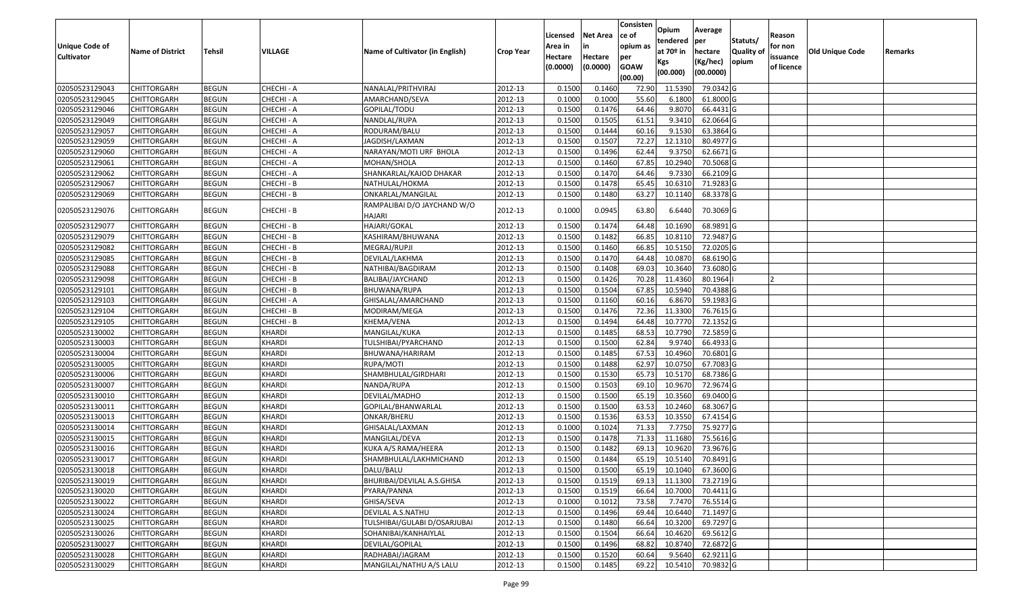|                       |                         |               |               |                                 |                  |          |                 | Consisten        | Opium         | Average                |                  |            |                 |         |
|-----------------------|-------------------------|---------------|---------------|---------------------------------|------------------|----------|-----------------|------------------|---------------|------------------------|------------------|------------|-----------------|---------|
|                       |                         |               |               |                                 |                  | Licensed | <b>Net Area</b> | ce of            | tendered      | per                    | Statuts/         | Reason     |                 |         |
| <b>Unique Code of</b> | <b>Name of District</b> | <b>Tehsil</b> | VILLAGE       | Name of Cultivator (in English) | <b>Crop Year</b> | Area in  |                 | opium as         | at $70°$ in   | hectare                | <b>Quality o</b> | for non    | Old Unique Code | Remarks |
| <b>Cultivator</b>     |                         |               |               |                                 |                  | Hectare  | Hectare         | per              | Kgs           | (Kg/hec)               | opium            | issuance   |                 |         |
|                       |                         |               |               |                                 |                  | (0.0000) | (0.0000)        | <b>GOAW</b>      | (00.000)      | (00.0000)              |                  | of licence |                 |         |
| 02050523129043        | CHITTORGARH             | <b>BEGUN</b>  | CHECHI - A    | NANALAL/PRITHVIRAJ              | 2012-13          | 0.1500   | 0.1460          | (00.00)<br>72.90 | 11.5390       | 79.0342 G              |                  |            |                 |         |
| 02050523129045        | CHITTORGARH             | <b>BEGUN</b>  | CHECHI - A    | AMARCHAND/SEVA                  | 2012-13          | 0.1000   | 0.1000          | 55.60            | 6.1800        | 61.8000 G              |                  |            |                 |         |
| 02050523129046        | CHITTORGARH             | <b>BEGUN</b>  | CHECHI - A    | GOPILAL/TODU                    | 2012-13          | 0.1500   | 0.1476          | 64.46            | 9.8070        | 66.4431 G              |                  |            |                 |         |
| 02050523129049        | <b>CHITTORGARH</b>      | <b>BEGUN</b>  | CHECHI - A    | NANDLAL/RUPA                    | 2012-13          | 0.1500   | 0.1505          | 61.51            | 9.3410        | 62.0664 G              |                  |            |                 |         |
| 02050523129057        | CHITTORGARH             | <b>BEGUN</b>  | CHECHI - A    | RODURAM/BALU                    | 2012-13          | 0.1500   | 0.1444          | 60.16            | 9.1530        | 63.3864 G              |                  |            |                 |         |
| 02050523129059        | CHITTORGARH             | <b>BEGUN</b>  | CHECHI - A    | JAGDISH/LAXMAN                  | 2012-13          | 0.1500   | 0.1507          | 72.27            | 12.1310       | 80.4977 G              |                  |            |                 |         |
| 02050523129060        | CHITTORGARH             | <b>BEGUN</b>  | CHECHI - A    | NARAYAN/MOTI URF BHOLA          | 2012-13          | 0.1500   | 0.1496          | 62.44            | 9.375         | 62.6671G               |                  |            |                 |         |
| 02050523129061        | CHITTORGARH             | <b>BEGUN</b>  | CHECHI - A    | MOHAN/SHOLA                     | 2012-13          | 0.1500   | 0.1460          | 67.85            | 10.2940       | 70.5068 G              |                  |            |                 |         |
| 02050523129062        | CHITTORGARH             | <b>BEGUN</b>  | CHECHI - A    | SHANKARLAL/KAJOD DHAKAR         | 2012-13          | 0.1500   | 0.1470          | 64.46            | 9.7330        | 66.2109 G              |                  |            |                 |         |
| 02050523129067        | CHITTORGARH             | <b>BEGUN</b>  | CHECHI - B    | NATHULAL/HOKMA                  | 2012-13          | 0.1500   | 0.1478          | 65.45            | 10.6310       | 71.9283 G              |                  |            |                 |         |
| 02050523129069        | CHITTORGARH             | <b>BEGUN</b>  | CHECHI - B    | ONKARLAL/MANGILAL               | 2012-13          | 0.1500   | 0.1480          | 63.27            | 10.1140       | 68.3378 G              |                  |            |                 |         |
|                       |                         |               |               | RAMPALIBAI D/O JAYCHAND W/O     |                  |          |                 |                  |               |                        |                  |            |                 |         |
| 02050523129076        | CHITTORGARH             | <b>BEGUN</b>  | CHECHI - B    | <b>HAJARI</b>                   | 2012-13          | 0.1000   | 0.0945          | 63.80            | 6.6440        | 70.3069 G              |                  |            |                 |         |
| 02050523129077        | CHITTORGARH             | <b>BEGUN</b>  | CHECHI - B    | HAJARI/GOKAL                    | 2012-13          | 0.150    | 0.1474          | 64.48            | 10.1690       | 68.9891 G              |                  |            |                 |         |
| 02050523129079        | CHITTORGARH             | <b>BEGUN</b>  | CHECHI - B    | KASHIRAM/BHUWANA                | 2012-13          | 0.1500   | 0.1482          | 66.85            | 10.8110       | 72.9487 G              |                  |            |                 |         |
| 02050523129082        | CHITTORGARH             | <b>BEGUN</b>  | CHECHI - B    | MEGRAJ/RUPJI                    | 2012-13          | 0.1500   | 0.1460          | 66.85            | 10.515        | 72.0205G               |                  |            |                 |         |
| 02050523129085        | CHITTORGARH             | <b>BEGUN</b>  | CHECHI - B    | DEVILAL/LAKHMA                  | 2012-13          | 0.1500   | 0.1470          | 64.48            | 10.0870       | 68.6190G               |                  |            |                 |         |
| 02050523129088        | CHITTORGARH             | <b>BEGUN</b>  | CHECHI - B    | NATHIBAI/BAGDIRAM               | 2012-13          | 0.150    | 0.1408          | 69.03            | 10.3640       | 73.6080G               |                  |            |                 |         |
| 02050523129098        | CHITTORGARH             | <b>BEGUN</b>  | CHECHI - B    | BALIBAI/JAYCHAND                | 2012-13          | 0.1500   | 0.1426          | 70.28            | 11.4360       | 80.1964                |                  |            |                 |         |
| 02050523129101        | CHITTORGARH             | <b>BEGUN</b>  | CHECHI - B    | BHUWANA/RUPA                    | 2012-13          | 0.1500   | 0.1504          | 67.85            | 10.5940       | 70.4388 G              |                  |            |                 |         |
| 02050523129103        | CHITTORGARH             | <b>BEGUN</b>  | CHECHI - A    | GHISALAL/AMARCHAND              | 2012-13          | 0.1500   | 0.1160          | 60.16            | 6.8670        | 59.1983 G              |                  |            |                 |         |
| 02050523129104        | CHITTORGARH             | <b>BEGUN</b>  | CHECHI - B    | MODIRAM/MEGA                    | 2012-13          | 0.1500   | 0.1476          | 72.36            | 11.3300       | 76.7615 G              |                  |            |                 |         |
| 02050523129105        | CHITTORGARH             | <b>BEGUN</b>  | CHECHI - B    | KHEMA/VENA                      | 2012-13          | 0.1500   | 0.1494          | 64.48            | 10.7770       | 72.1352 G              |                  |            |                 |         |
| 02050523130002        | CHITTORGARH             | <b>BEGUN</b>  | KHARDI        | MANGILAL/KUKA                   | 2012-13          | 0.1500   | 0.1485          | 68.53            | 10.7790       | 72.5859 G              |                  |            |                 |         |
| 02050523130003        | CHITTORGARH             | <b>BEGUN</b>  | KHARDI        | TULSHIBAI/PYARCHAND             | 2012-13          | 0.1500   | 0.1500          | 62.84            | 9.9740        | 66.4933 G              |                  |            |                 |         |
| 02050523130004        | CHITTORGARH             | <b>BEGUN</b>  | <b>KHARDI</b> | BHUWANA/HARIRAM                 | 2012-13          | 0.1500   | 0.1485          | 67.53            | 10.4960       | 70.6801 G              |                  |            |                 |         |
| 02050523130005        | CHITTORGARH             | <b>BEGUN</b>  | KHARDI        | RUPA/MOTI                       | 2012-13          | 0.1500   | 0.1488          | 62.97            | 10.0750       | 67.7083 G              |                  |            |                 |         |
| 02050523130006        | CHITTORGARH             | <b>BEGUN</b>  | <b>KHARDI</b> | SHAMBHULAL/GIRDHARI             | 2012-13          | 0.1500   | 0.1530          | 65.73            | 10.5170       | 68.7386 G              |                  |            |                 |         |
| 02050523130007        | CHITTORGARH             | <b>BEGUN</b>  | <b>KHARDI</b> | NANDA/RUPA                      | 2012-13          | 0.1500   | 0.1503          | 69.10            | 10.967        | 72.9674 G              |                  |            |                 |         |
| 02050523130010        | CHITTORGARH             | <b>BEGUN</b>  | KHARDI        | DEVILAL/MADHO                   | 2012-13          | 0.1500   | 0.1500          | 65.19            | 10.3560       | 69.0400 G              |                  |            |                 |         |
| 02050523130011        | CHITTORGARH             | <b>BEGUN</b>  | KHARDI        | GOPILAL/BHANWARLAL              | 2012-13          | 0.1500   | 0.1500          | 63.53            | 10.2460       | 68.3067 G              |                  |            |                 |         |
| 02050523130013        | CHITTORGARH             | <b>BEGUN</b>  | <b>KHARDI</b> | ONKAR/BHERU                     | 2012-13          | 0.1500   | 0.1536          | 63.53            | 10.3550       | 67.4154 G              |                  |            |                 |         |
| 02050523130014        | CHITTORGARH             | <b>BEGUN</b>  | <b>KHARDI</b> | GHISALAL/LAXMAN                 | 2012-13          | 0.1000   | 0.1024          | 71.33            | 7.7750        | 75.9277 G              |                  |            |                 |         |
| 02050523130015        | <b>CHITTORGARH</b>      | <b>BEGUN</b>  | KHARDI        | MANGILAL/DEVA                   | 2012-13          | 0.1500   | 0.1478          | 71.33            | 11.1680       | 75.5616 G              |                  |            |                 |         |
| 02050523130016        | CHITTORGARH             | <b>BEGUN</b>  | <b>KHARDI</b> | KUKA A/S RAMA/HEERA             | 2012-13          | 0.150    | 0.1482          | 69.13            | 10.9620       | 73.9676 G              |                  |            |                 |         |
| 02050523130017        | CHITTORGARH             | <b>BEGUN</b>  | <b>KHARDI</b> | SHAMBHULAL/LAKHMICHAND          | 2012-13          | 0.1500   | 0.1484          | 65.19            | 10.5140       | 70.8491 G              |                  |            |                 |         |
| 02050523130018        | <b>CHITTORGARH</b>      | <b>BEGUN</b>  | <b>KHARDI</b> | DALU/BALU                       | 2012-13          | 0.1500   | 0.1500          |                  | 65.19 10.1040 | 67.3600G               |                  |            |                 |         |
| 02050523130019        | <b>CHITTORGARH</b>      | <b>BEGUN</b>  | <b>KHARDI</b> | BHURIBAI/DEVILAL A.S.GHISA      | 2012-13          | 0.1500   | 0.1519          | 69.13            | 11.1300       | 73.2719 G              |                  |            |                 |         |
| 02050523130020        | <b>CHITTORGARH</b>      | <b>BEGUN</b>  | KHARDI        | PYARA/PANNA                     | 2012-13          | 0.1500   | 0.1519          | 66.64            | 10.7000       | 70.4411 G              |                  |            |                 |         |
| 02050523130022        | <b>CHITTORGARH</b>      | <b>BEGUN</b>  | KHARDI        | GHISA/SEVA                      | 2012-13          | 0.1000   | 0.1012          | 73.58            | 7.7470        | 76.5514 G              |                  |            |                 |         |
| 02050523130024        | <b>CHITTORGARH</b>      | <b>BEGUN</b>  | <b>KHARDI</b> | DEVILAL A.S.NATHU               | 2012-13          | 0.1500   | 0.1496          | 69.44            | 10.6440       | 71.1497 G              |                  |            |                 |         |
| 02050523130025        | <b>CHITTORGARH</b>      | <b>BEGUN</b>  | <b>KHARDI</b> | TULSHIBAI/GULABI D/OSARJUBAI    | 2012-13          | 0.1500   | 0.1480          | 66.64            | 10.3200       | 69.7297 G              |                  |            |                 |         |
| 02050523130026        | <b>CHITTORGARH</b>      | <b>BEGUN</b>  | <b>KHARDI</b> | SOHANIBAI/KANHAIYLAL            | 2012-13          | 0.1500   | 0.1504          | 66.64            | 10.4620       | 69.5612 G              |                  |            |                 |         |
| 02050523130027        | <b>CHITTORGARH</b>      | <b>BEGUN</b>  | KHARDI        | DEVILAL/GOPILAL                 | 2012-13          | 0.1500   | 0.1496          | 68.82            | 10.8740       | $\overline{72.6872}$ G |                  |            |                 |         |
| 02050523130028        | <b>CHITTORGARH</b>      | <b>BEGUN</b>  | <b>KHARDI</b> | RADHABAI/JAGRAM                 | 2012-13          | 0.1500   | 0.1520          | 60.64            | 9.5640        | 62.9211 G              |                  |            |                 |         |
| 02050523130029        | <b>CHITTORGARH</b>      | <b>BEGUN</b>  | KHARDI        | MANGILAL/NATHU A/S LALU         | 2012-13          | 0.1500   | 0.1485          | 69.22            | 10.5410       | 70.9832 G              |                  |            |                 |         |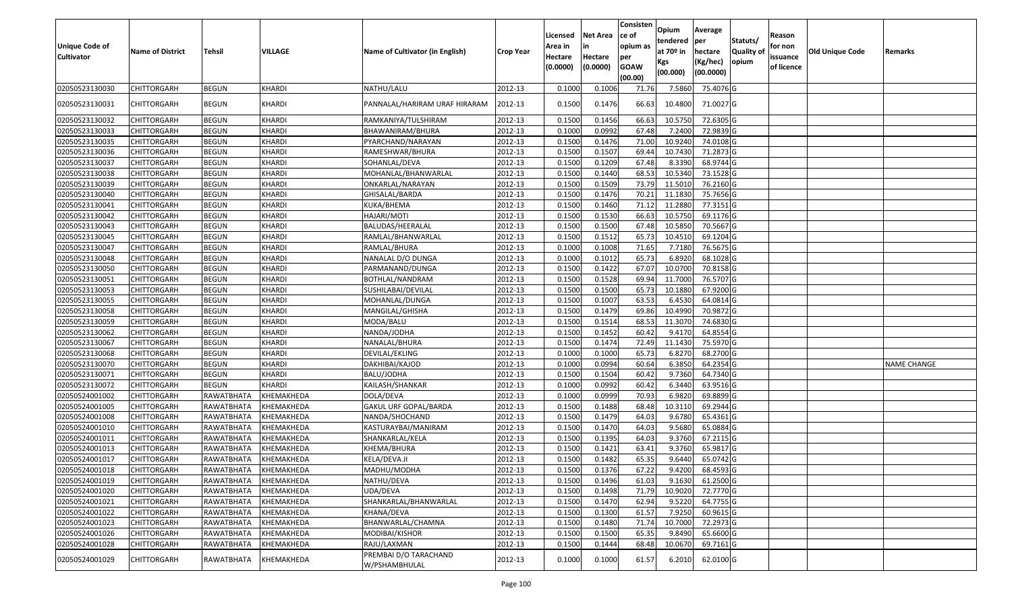| Unique Code of<br><b>Cultivator</b> | <b>Name of District</b> | <b>Tehsil</b> | VILLAGE       | Name of Cultivator (in English)        | <b>Crop Year</b> | Licensed<br>Area in<br>Hectare | <b>Net Area</b><br>in<br>Hectare | Consisten<br>ce of<br>opium as<br>per | Opium<br>tendered<br>at $70°$ in<br>Kgs | Average<br>per<br>hectare<br>(Kg/hec) | Statuts/<br><b>Quality o</b><br>opium | Reason<br>for non<br>issuance | <b>Old Unique Code</b> | Remarks            |
|-------------------------------------|-------------------------|---------------|---------------|----------------------------------------|------------------|--------------------------------|----------------------------------|---------------------------------------|-----------------------------------------|---------------------------------------|---------------------------------------|-------------------------------|------------------------|--------------------|
|                                     |                         |               |               |                                        |                  | (0.0000)                       | (0.0000)                         | <b>GOAW</b><br>(00.00)                | (00.000)                                | (00.0000)                             |                                       | of licence                    |                        |                    |
| 02050523130030                      | CHITTORGARH             | <b>BEGUN</b>  | <b>KHARDI</b> | NATHU/LALU                             | 2012-13          | 0.1000                         | 0.1006                           | 71.76                                 | 7.5860                                  | 75.4076 G                             |                                       |                               |                        |                    |
| 02050523130031                      | CHITTORGARH             | <b>BEGUN</b>  | KHARDI        | PANNALAL/HARIRAM URAF HIRARAM          | 2012-13          | 0.1500                         | 0.1476                           | 66.63                                 | 10.4800                                 | 71.0027 G                             |                                       |                               |                        |                    |
| 02050523130032                      | CHITTORGARH             | <b>BEGUN</b>  | KHARDI        | RAMKANIYA/TULSHIRAM                    | 2012-13          | 0.1500                         | 0.1456                           | 66.63                                 | 10.575                                  | 72.6305 G                             |                                       |                               |                        |                    |
| 02050523130033                      | <b>CHITTORGARH</b>      | <b>BEGUN</b>  | <b>KHARDI</b> | BHAWANIRAM/BHURA                       | 2012-13          | 0.1000                         | 0.0992                           | 67.48                                 | 7.2400                                  | 72.9839 G                             |                                       |                               |                        |                    |
| 02050523130035                      | CHITTORGARH             | <b>BEGUN</b>  | <b>KHARDI</b> | PYARCHAND/NARAYAN                      | 2012-13          | 0.1500                         | 0.1476                           | 71.00                                 | 10.9240                                 | 74.0108G                              |                                       |                               |                        |                    |
| 02050523130036                      | CHITTORGARH             | <b>BEGUN</b>  | <b>KHARDI</b> | RAMESHWAR/BHURA                        | 2012-13          | 0.1500                         | 0.1507                           | 69.44                                 | 10.7430                                 | 71.2873 G                             |                                       |                               |                        |                    |
| 02050523130037                      | CHITTORGARH             | <b>BEGUN</b>  | <b>KHARDI</b> | SOHANLAL/DEVA                          | 2012-13          | 0.1500                         | 0.1209                           | 67.48                                 | 8.3390                                  | 68.9744 G                             |                                       |                               |                        |                    |
| 02050523130038                      | CHITTORGARH             | <b>BEGUN</b>  | <b>KHARDI</b> | MOHANLAL/BHANWARLAL                    | 2012-13          | 0.1500                         | 0.1440                           | 68.53                                 | 10.5340                                 | 73.1528 G                             |                                       |                               |                        |                    |
| 02050523130039                      | <b>CHITTORGARH</b>      | <b>BEGUN</b>  | KHARDI        | ONKARLAL/NARAYAN                       | 2012-13          | 0.1500                         | 0.1509                           | 73.79                                 | 11.5010                                 | 76.2160 G                             |                                       |                               |                        |                    |
| 02050523130040                      | CHITTORGARH             | <b>BEGUN</b>  | KHARDI        | GHISALAL/BARDA                         | 2012-13          | 0.1500                         | 0.1476                           | 70.21                                 | 11.1830                                 | 75.7656 G                             |                                       |                               |                        |                    |
| 02050523130041                      | CHITTORGARH             | <b>BEGUN</b>  | KHARDI        | KUKA/BHEMA                             | 2012-13          | 0.1500                         | 0.1460                           | 71.12                                 | 11.2880                                 | 77.3151 G                             |                                       |                               |                        |                    |
| 02050523130042                      | <b>CHITTORGARH</b>      | <b>BEGUN</b>  | <b>KHARDI</b> | HAJARI/MOTI                            | 2012-13          | 0.1500                         | 0.1530                           | 66.63                                 | 10.5750                                 | 69.1176 G                             |                                       |                               |                        |                    |
| 02050523130043                      | CHITTORGARH             | <b>BEGUN</b>  | KHARDI        | BALUDAS/HEERALAL                       | 2012-13          | 0.1500                         | 0.1500                           | 67.48                                 | 10.5850                                 | 70.5667 G                             |                                       |                               |                        |                    |
| 02050523130045                      | CHITTORGARH             | <b>BEGUN</b>  | KHARDI        | RAMLAL/BHANWARLAL                      | 2012-13          | 0.1500                         | 0.1512                           | 65.73                                 | 10.4510                                 | 69.1204 G                             |                                       |                               |                        |                    |
| 02050523130047                      | CHITTORGARH             | <b>BEGUN</b>  | <b>KHARDI</b> | RAMLAL/BHURA                           | 2012-13          | 0.1000                         | 0.1008                           | 71.65                                 | 7.7180                                  | 76.5675 G                             |                                       |                               |                        |                    |
| 02050523130048                      | CHITTORGARH             | <b>BEGUN</b>  | KHARDI        | NANALAL D/O DUNGA                      | 2012-13          | 0.100                          | 0.1012                           | 65.73                                 | 6.8920                                  | 68.1028 G                             |                                       |                               |                        |                    |
| 02050523130050                      | CHITTORGARH             | <b>BEGUN</b>  | <b>KHARDI</b> | PARMANAND/DUNGA                        | 2012-13          | 0.150                          | 0.1422                           | 67.07                                 | 10.0700                                 | 70.8158 G                             |                                       |                               |                        |                    |
| 02050523130051                      | CHITTORGARH             | <b>BEGUN</b>  | KHARDI        | BOTHLAL/NANDRAM                        | 2012-13          | 0.1500                         | 0.1528                           | 69.94                                 | 11.7000                                 | 76.5707 G                             |                                       |                               |                        |                    |
| 02050523130053                      | CHITTORGARH             | <b>BEGUN</b>  | KHARDI        | SUSHILABAI/DEVILAL                     | 2012-13          | 0.1500                         | 0.1500                           | 65.73                                 | 10.1880                                 | 67.9200 G                             |                                       |                               |                        |                    |
| 02050523130055                      | CHITTORGARH             | <b>BEGUN</b>  | KHARDI        | MOHANLAL/DUNGA                         | 2012-13          | 0.1500                         | 0.1007                           | 63.53                                 | 6.4530                                  | 64.0814 G                             |                                       |                               |                        |                    |
| 02050523130058                      | CHITTORGARH             | <b>BEGUN</b>  | <b>KHARDI</b> | MANGILAL/GHISHA                        | 2012-13          | 0.1500                         | 0.1479                           | 69.86                                 | 10.4990                                 | 70.9872 G                             |                                       |                               |                        |                    |
| 02050523130059                      | CHITTORGARH             | <b>BEGUN</b>  | <b>KHARDI</b> | MODA/BALU                              | 2012-13          | 0.1500                         | 0.1514                           | 68.53                                 | 11.3070                                 | 74.6830 G                             |                                       |                               |                        |                    |
| 02050523130062                      | CHITTORGARH             | <b>BEGUN</b>  | <b>KHARDI</b> | NANDA/JODHA                            | 2012-13          | 0.1500                         | 0.1452                           | 60.42                                 | 9.4170                                  | 64.8554 G                             |                                       |                               |                        |                    |
| 02050523130067                      | <b>CHITTORGARH</b>      | <b>BEGUN</b>  | <b>KHARDI</b> | NANALAL/BHURA                          | 2012-13          | 0.1500                         | 0.1474                           | 72.49                                 | 11.1430                                 | 75.5970 G                             |                                       |                               |                        |                    |
| 02050523130068                      | CHITTORGARH             | <b>BEGUN</b>  | <b>KHARDI</b> | DEVILAL/EKLING                         | 2012-13          | 0.1000                         | 0.1000                           | 65.73                                 | 6.8270                                  | 68.2700 G                             |                                       |                               |                        |                    |
| 02050523130070                      | CHITTORGARH             | <b>BEGUN</b>  | KHARDI        | DAKHIBAI/KAJOD                         | 2012-13          | 0.1000                         | 0.0994                           | 60.64                                 | 6.3850                                  | 64.2354 G                             |                                       |                               |                        | <b>NAME CHANGE</b> |
| 02050523130071                      | CHITTORGARH             | <b>BEGUN</b>  | KHARDI        | BALU/JODHA                             | 2012-13          | 0.1500                         | 0.1504                           | 60.42                                 | 9.7360                                  | 64.7340 G                             |                                       |                               |                        |                    |
| 02050523130072                      | <b>CHITTORGARH</b>      | <b>BEGUN</b>  | KHARDI        | KAILASH/SHANKAR                        | 2012-13          | 0.1000                         | 0.0992                           | 60.42                                 | 6.3440                                  | 63.9516 G                             |                                       |                               |                        |                    |
| 02050524001002                      | CHITTORGARH             | RAWATBHATA    | KHEMAKHEDA    | DOLA/DEVA                              | 2012-13          | 0.1000                         | 0.0999                           | 70.93                                 | 6.9820                                  | 69.8899 G                             |                                       |                               |                        |                    |
| 02050524001005                      | CHITTORGARH             | RAWATBHATA    | KHEMAKHEDA    | GAKUL URF GOPAL/BARDA                  | 2012-13          | 0.1500                         | 0.1488                           | 68.48                                 | 10.3110                                 | 69.2944 G                             |                                       |                               |                        |                    |
| 02050524001008                      | CHITTORGARH             | RAWATBHATA    | KHEMAKHEDA    | NANDA/SHOCHAND                         | 2012-13          | 0.1500                         | 0.1479                           | 64.03                                 | 9.6780                                  | 65.4361G                              |                                       |                               |                        |                    |
| 02050524001010                      | <b>CHITTORGARH</b>      | RAWATBHATA    | KHEMAKHEDA    | KASTURAYBAI/MANIRAM                    | 2012-13          | 0.1500                         | 0.1470                           | 64.03                                 | 9.5680                                  | 65.0884 G                             |                                       |                               |                        |                    |
| 02050524001011                      | <b>CHITTORGARH</b>      | RAWATBHATA    | KHEMAKHEDA    | SHANKARLAL/KELA                        | 2012-13          | 0.1500                         | 0.1395                           | 64.03                                 | 9.3760                                  | 67.2115 G                             |                                       |                               |                        |                    |
| 02050524001013                      | CHITTORGARH             | RAWATBHATA    | KHEMAKHEDA    | KHEMA/BHURA                            | 2012-13          | 0.150                          | 0.1421                           | 63.41                                 | 9.3760                                  | 65.9817 G                             |                                       |                               |                        |                    |
| 02050524001017                      | CHITTORGARH             | RAWATBHATA    | KHEMAKHEDA    | KELA/DEVA JI                           | 2012-13          | 0.1500                         | 0.1482                           | 65.35                                 | 9.6440                                  | 65.0742 G                             |                                       |                               |                        |                    |
| 02050524001018                      | CHITTORGARH             | RAWATBHATA    | KHEMAKHEDA    | MADHU/MODHA                            | 2012-13          | 0.1500                         | 0.1376                           | 67.22                                 | 9.4200                                  | 68.4593 G                             |                                       |                               |                        |                    |
| 02050524001019                      | <b>CHITTORGARH</b>      | RAWATBHATA    | KHEMAKHEDA    | NATHU/DEVA                             | 2012-13          | 0.1500                         | 0.1496                           | 61.03                                 | 9.1630                                  | 61.2500 G                             |                                       |                               |                        |                    |
| 02050524001020                      | <b>CHITTORGARH</b>      | RAWATBHATA    | KHEMAKHEDA    | UDA/DEVA                               | 2012-13          | 0.1500                         | 0.1498                           | 71.79                                 | 10.9020                                 | 72.7770 G                             |                                       |                               |                        |                    |
| 02050524001021                      | <b>CHITTORGARH</b>      | RAWATBHATA    | KHEMAKHEDA    | SHANKARLAL/BHANWARLAL                  | 2012-13          | 0.1500                         | 0.1470                           | 62.94                                 | 9.5220                                  | 64.7755 G                             |                                       |                               |                        |                    |
| 02050524001022                      | CHITTORGARH             | RAWATBHATA    | KHEMAKHEDA    | KHANA/DEVA                             | 2012-13          | 0.1500                         | 0.1300                           | 61.57                                 | 7.9250                                  | 60.9615 G                             |                                       |                               |                        |                    |
| 02050524001023                      | <b>CHITTORGARH</b>      | RAWATBHATA    | KHEMAKHEDA    | BHANWARLAL/CHAMNA                      | 2012-13          | 0.1500                         | 0.1480                           | 71.74                                 | 10.7000                                 | 72.2973 G                             |                                       |                               |                        |                    |
| 02050524001026                      | <b>CHITTORGARH</b>      | RAWATBHATA    | KHEMAKHEDA    | MODIBAI/KISHOR                         | 2012-13          | 0.1500                         | 0.1500                           | 65.35                                 | 9.8490                                  | 65.6600 G                             |                                       |                               |                        |                    |
| 02050524001028                      | CHITTORGARH             | RAWATBHATA    | KHEMAKHEDA    | RAJU/LAXMAN                            | 2012-13          | 0.1500                         | 0.1444                           | 68.48                                 | 10.0670                                 | 69.7161 G                             |                                       |                               |                        |                    |
| 02050524001029                      | <b>CHITTORGARH</b>      | RAWATBHATA    | KHEMAKHEDA    | PREMBAI D/O TARACHAND<br>W/PSHAMBHULAL | 2012-13          | 0.1000                         | 0.1000                           | 61.57                                 | 6.2010                                  | 62.0100 G                             |                                       |                               |                        |                    |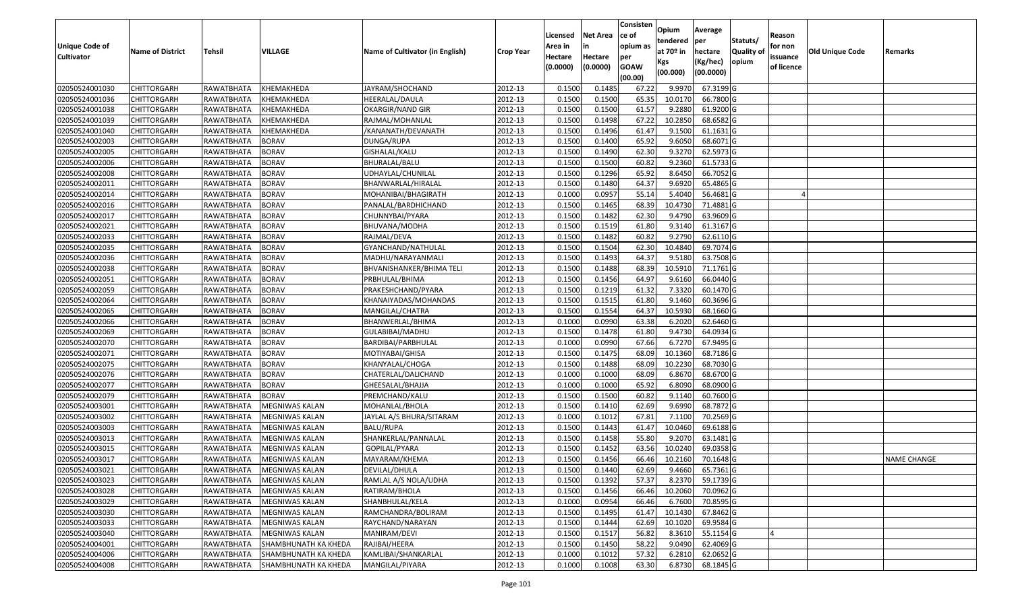| <b>Unique Code of</b><br><b>Cultivator</b> | <b>Name of District</b> | <b>Tehsil</b>     | VILLAGE                     | Name of Cultivator (in English) | <b>Crop Year</b> | Licensed<br>Area in<br>Hectare | <b>Net Area</b><br>in<br>Hectare | Consisten<br>ce of<br>opium as<br>per | Opium<br>tendered<br>at $70°$ in<br>Kgs | Average<br>per<br>hectare<br>(Kg/hec) | Statuts/<br>Quality of<br>opium | Reason<br>for non<br>issuance | <b>Old Unique Code</b> | Remarks            |
|--------------------------------------------|-------------------------|-------------------|-----------------------------|---------------------------------|------------------|--------------------------------|----------------------------------|---------------------------------------|-----------------------------------------|---------------------------------------|---------------------------------|-------------------------------|------------------------|--------------------|
|                                            |                         |                   |                             |                                 |                  | (0.0000)                       | (0.0000)                         | <b>GOAW</b><br>(00.00)                | (00.000)                                | (00.0000)                             |                                 | of licence                    |                        |                    |
| 02050524001030                             | <b>CHITTORGARH</b>      | RAWATBHATA        | KHEMAKHEDA                  | JAYRAM/SHOCHAND                 | 2012-13          | 0.1500                         | 0.1485                           | 67.22                                 | 9.997                                   | 67.3199 G                             |                                 |                               |                        |                    |
| 02050524001036                             | CHITTORGARH             | RAWATBHATA        | KHEMAKHEDA                  | HEERALAL/DAULA                  | 2012-13          | 0.1500                         | 0.1500                           | 65.35                                 | 10.0170                                 | 66.7800 G                             |                                 |                               |                        |                    |
| 02050524001038                             | CHITTORGARH             | RAWATBHATA        | KHEMAKHEDA                  | OKARGIR/NAND GIR                | 2012-13          | 0.1500                         | 0.1500                           | 61.57                                 | 9.2880                                  | 61.9200 G                             |                                 |                               |                        |                    |
| 02050524001039                             | <b>CHITTORGARH</b>      | RAWATBHATA        | KHEMAKHEDA                  | RAJMAL/MOHANLAL                 | 2012-13          | 0.1500                         | 0.1498                           | 67.22                                 | 10.2850                                 | 68.6582 G                             |                                 |                               |                        |                    |
| 02050524001040                             | <b>CHITTORGARH</b>      | RAWATBHATA        | KHEMAKHEDA                  | /KANANATH/DEVANATH              | 2012-13          | 0.1500                         | 0.1496                           | 61.47                                 | 9.1500                                  | 61.1631 G                             |                                 |                               |                        |                    |
| 02050524002003                             | CHITTORGARH             | RAWATBHATA        | <b>BORAV</b>                | DUNGA/RUPA                      | 2012-13          | 0.1500                         | 0.1400                           | 65.92                                 | 9.6050                                  | 68.6071 G                             |                                 |                               |                        |                    |
| 02050524002005                             | <b>CHITTORGARH</b>      | RAWATBHATA        | <b>BORAV</b>                | GISHALAL/KALU                   | 2012-13          | 0.1500                         | 0.1490                           | 62.30                                 | 9.3270                                  | 62.5973 G                             |                                 |                               |                        |                    |
| 02050524002006                             | <b>CHITTORGARH</b>      | RAWATBHATA        | <b>BORAV</b>                | BHURALAL/BALU                   | 2012-13          | 0.1500                         | 0.1500                           | 60.82                                 | 9.2360                                  | 61.5733 G                             |                                 |                               |                        |                    |
| 02050524002008                             | <b>CHITTORGARH</b>      | RAWATBHATA        | <b>BORAV</b>                | UDHAYLAL/CHUNILAL               | 2012-13          | 0.1500                         | 0.1296                           | 65.92                                 | 8.6450                                  | 66.7052 G                             |                                 |                               |                        |                    |
| 02050524002011                             | CHITTORGARH             | RAWATBHATA        | <b>BORAV</b>                | BHANWARLAL/HIRALAL              | 2012-13          | 0.1500                         | 0.1480                           | 64.37                                 | 9.6920                                  | 65.4865 G                             |                                 |                               |                        |                    |
| 02050524002014                             | <b>CHITTORGARH</b>      | RAWATBHATA        | <b>BORAV</b>                | MOHANIBAI/BHAGIRATH             | 2012-13          | 0.1000                         | 0.0957                           | 55.14                                 | 5.4040                                  | 56.4681 G                             |                                 |                               |                        |                    |
| 02050524002016                             | <b>CHITTORGARH</b>      | RAWATBHATA        | <b>BORAV</b>                | PANALAL/BARDHICHAND             | 2012-13          | 0.1500                         | 0.1465                           | 68.39                                 | 10.4730                                 | 71.4881 G                             |                                 |                               |                        |                    |
| 02050524002017                             | <b>CHITTORGARH</b>      | RAWATBHATA        | <b>BORAV</b>                | CHUNNYBAI/PYARA                 | 2012-13          | 0.1500                         | 0.1482                           | 62.30                                 | 9.4790                                  | 63.9609 G                             |                                 |                               |                        |                    |
| 02050524002021                             | CHITTORGARH             | RAWATBHATA        | <b>BORAV</b>                | BHUVANA/MODHA                   | 2012-13          | 0.150                          | 0.1519                           | 61.80                                 | 9.3140                                  | 61.3167 G                             |                                 |                               |                        |                    |
| 02050524002033                             | CHITTORGARH             | RAWATBHATA        | <b>BORAV</b>                | RAJMAL/DEVA                     | 2012-13          | 0.1500                         | 0.1482                           | 60.82                                 | 9.2790                                  | 62.6110G                              |                                 |                               |                        |                    |
| 02050524002035                             | CHITTORGARH             | RAWATBHATA        | <b>BORAV</b>                | GYANCHAND/NATHULAL              | 2012-13          | 0.150                          | 0.1504                           | 62.30                                 | 10.4840                                 | 69.7074 G                             |                                 |                               |                        |                    |
| 02050524002036                             | CHITTORGARH             | RAWATBHATA        | <b>BORAV</b>                | MADHU/NARAYANMALI               | 2012-13          | 0.1500                         | 0.1493                           | 64.37                                 | 9.5180                                  | 63.7508 G                             |                                 |                               |                        |                    |
| 02050524002038                             | <b>CHITTORGARH</b>      | <b>RAWATBHATA</b> | <b>BORAV</b>                | BHVANISHANKER/BHIMA TELI        | 2012-13          | 0.1500                         | 0.1488                           | 68.39                                 | 10.591                                  | 71.1761 G                             |                                 |                               |                        |                    |
| 02050524002051                             | <b>CHITTORGARH</b>      | <b>RAWATBHATA</b> | <b>BORAV</b>                | PRBHULAL/BHIMA                  | 2012-13          | 0.1500                         | 0.1456                           | 64.97                                 | 9.6160                                  | 66.0440 G                             |                                 |                               |                        |                    |
| 02050524002059                             | CHITTORGARH             | RAWATBHATA        | <b>BORAV</b>                | PRAKESHCHAND/PYARA              | 2012-13          | 0.1500                         | 0.1219                           | 61.32                                 | 7.3320                                  | 60.1470 G                             |                                 |                               |                        |                    |
| 02050524002064                             | <b>CHITTORGARH</b>      | RAWATBHATA        | <b>BORAV</b>                | KHANAIYADAS/MOHANDAS            | 2012-13          | 0.1500                         | 0.1515                           | 61.80                                 | 9.1460                                  | 60.3696 G                             |                                 |                               |                        |                    |
| 02050524002065                             | CHITTORGARH             | RAWATBHATA        | <b>BORAV</b>                | MANGILAL/CHATRA                 | 2012-13          | 0.1500                         | 0.1554                           | 64.37                                 | 10.5930                                 | 68.1660 G                             |                                 |                               |                        |                    |
| 02050524002066                             | <b>CHITTORGARH</b>      | RAWATBHATA        | <b>BORAV</b>                | BHANWERLAL/BHIMA                | 2012-13          | 0.1000                         | 0.0990                           | 63.38                                 | 6.2020                                  | 62.6460 G                             |                                 |                               |                        |                    |
| 02050524002069                             | CHITTORGARH             | RAWATBHATA        | <b>BORAV</b>                | GULABIBAI/MADHU                 | 2012-13          | 0.1500                         | 0.1478                           | 61.80                                 | 9.4730                                  | 64.0934 G                             |                                 |                               |                        |                    |
| 02050524002070                             | CHITTORGARH             | RAWATBHATA        | <b>BORAV</b>                | BARDIBAI/PARBHULAL              | 2012-13          | 0.1000                         | 0.0990                           | 67.66                                 | 6.7270                                  | 67.9495 G                             |                                 |                               |                        |                    |
| 02050524002071                             | <b>CHITTORGARH</b>      | RAWATBHATA        | <b>BORAV</b>                | MOTIYABAI/GHISA                 | 2012-13          | 0.1500                         | 0.1475                           | 68.09                                 | 10.1360                                 | 68.7186 G                             |                                 |                               |                        |                    |
| 02050524002075                             | CHITTORGARH             | RAWATBHATA        | <b>BORAV</b>                | KHANYALAL/CHOGA                 | 2012-13          | 0.1500                         | 0.1488                           | 68.09                                 | 10.2230                                 | 68.7030 G                             |                                 |                               |                        |                    |
| 02050524002076                             | <b>CHITTORGARH</b>      | RAWATBHATA        | <b>BORAV</b>                | CHATERLAL/DALICHAND             | 2012-13          | 0.1000                         | 0.1000                           | 68.09                                 | 6.8670                                  | 68.6700 G                             |                                 |                               |                        |                    |
| 02050524002077                             | <b>CHITTORGARH</b>      | RAWATBHATA        | <b>BORAV</b>                | GHEESALAL/BHAJJA                | 2012-13          | 0.1000                         | 0.1000                           | 65.92                                 | 6.8090                                  | 68.0900 G                             |                                 |                               |                        |                    |
| 02050524002079                             | <b>CHITTORGARH</b>      | RAWATBHATA        | <b>BORAV</b>                | PREMCHAND/KALU                  | 2012-13          | 0.1500                         | 0.1500                           | 60.82                                 | 9.1140                                  | 60.7600 G                             |                                 |                               |                        |                    |
| 02050524003001                             | <b>CHITTORGARH</b>      | RAWATBHATA        | <b>MEGNIWAS KALAN</b>       | MOHANLAL/BHOLA                  | 2012-13          | 0.1500                         | 0.1410                           | 62.69                                 | 9.6990                                  | 68.7872 G                             |                                 |                               |                        |                    |
| 02050524003002                             | <b>CHITTORGARH</b>      | RAWATBHATA        | MEGNIWAS KALAN              | JAYLAL A/S BHURA/SITARAM        | 2012-13          | 0.1000                         | 0.1012                           | 67.81                                 | 7.1100                                  | 70.2569 G                             |                                 |                               |                        |                    |
| 02050524003003                             | <b>CHITTORGARH</b>      | RAWATBHATA        | MEGNIWAS KALAN              | BALU/RUPA                       | 2012-13          | 0.1500                         | 0.1443                           | 61.47                                 | 10.0460                                 | 69.6188 G                             |                                 |                               |                        |                    |
| 02050524003013                             | <b>CHITTORGARH</b>      | RAWATBHATA        | MEGNIWAS KALAN              | SHANKERLAL/PANNALAL             | 2012-13          | 0.1500                         | 0.1458                           | 55.80                                 | 9.2070                                  | 63.1481 G                             |                                 |                               |                        |                    |
| 02050524003015                             | CHITTORGARH             | RAWATBHATA        | MEGNIWAS KALAN              | GOPILAL/PYARA                   | 2012-13          | 0.150                          | 0.1452                           | 63.56                                 | 10.024                                  | 69.0358 G                             |                                 |                               |                        |                    |
| 02050524003017                             | CHITTORGARH             | RAWATBHATA        | MEGNIWAS KALAN              | MAYARAM/KHEMA                   | 2012-13          | 0.1500                         | 0.1456                           | 66.46                                 | 10.2160                                 | 70.1648 G                             |                                 |                               |                        | <b>NAME CHANGE</b> |
| 02050524003021                             | <b>CHITTORGARH</b>      | RAWATBHATA        | <b>MEGNIWAS KALAN</b>       | DEVILAL/DHULA                   | 2012-13          | 0.1500                         | 0.1440                           | 62.69                                 | 9.4660                                  | 65.7361 G                             |                                 |                               |                        |                    |
| 02050524003023                             | <b>CHITTORGARH</b>      | RAWATBHATA        | MEGNIWAS KALAN              | RAMLAL A/S NOLA/UDHA            | 2012-13          | 0.1500                         | 0.1392                           | 57.37                                 | 8.2370                                  | 59.1739 G                             |                                 |                               |                        |                    |
| 02050524003028                             | <b>CHITTORGARH</b>      | RAWATBHATA        | <b>MEGNIWAS KALAN</b>       | RATIRAM/BHOLA                   | 2012-13          | 0.1500                         | 0.1456                           | 66.46                                 | 10.2060                                 | 70.0962 G                             |                                 |                               |                        |                    |
| 02050524003029                             | <b>CHITTORGARH</b>      | RAWATBHATA        | MEGNIWAS KALAN              | SHANBHULAL/KELA                 | 2012-13          | 0.1000                         | 0.0954                           | 66.46                                 | 6.7600                                  | 70.8595 G                             |                                 |                               |                        |                    |
| 02050524003030                             | <b>CHITTORGARH</b>      | RAWATBHATA        | <b>MEGNIWAS KALAN</b>       | RAMCHANDRA/BOLIRAM              | 2012-13          | 0.1500                         | 0.1495                           | 61.47                                 | 10.1430                                 | 67.8462 G                             |                                 |                               |                        |                    |
| 02050524003033                             | <b>CHITTORGARH</b>      | RAWATBHATA        | <b>MEGNIWAS KALAN</b>       | RAYCHAND/NARAYAN                | 2012-13          | 0.1500                         | 0.1444                           | 62.69                                 | 10.1020                                 | 69.9584 G                             |                                 |                               |                        |                    |
| 02050524003040                             | <b>CHITTORGARH</b>      | RAWATBHATA        | MEGNIWAS KALAN              | MANIRAM/DEVI                    | 2012-13          | 0.1500                         | 0.1517                           | 56.82                                 | 8.3610                                  | 55.1154 G                             |                                 |                               |                        |                    |
| 02050524004001                             | <b>CHITTORGARH</b>      | RAWATBHATA        | <b>SHAMBHUNATH KA KHEDA</b> | RAJIBAI/HEERA                   | 2012-13          | 0.1500                         | 0.1450                           | 58.22                                 | 9.0490                                  | 62.4069 G                             |                                 |                               |                        |                    |
| 02050524004006                             | <b>CHITTORGARH</b>      | RAWATBHATA        | SHAMBHUNATH KA KHEDA        | KAMLIBAI/SHANKARLAL             | 2012-13          | 0.1000                         | 0.1012                           | 57.32                                 | 6.2810                                  | 62.0652 G                             |                                 |                               |                        |                    |
| 02050524004008                             | <b>CHITTORGARH</b>      | RAWATBHATA        | SHAMBHUNATH KA KHEDA        | MANGILAL/PIYARA                 | 2012-13          | 0.1000                         | 0.1008                           | 63.30                                 | 6.8730                                  | 68.1845 G                             |                                 |                               |                        |                    |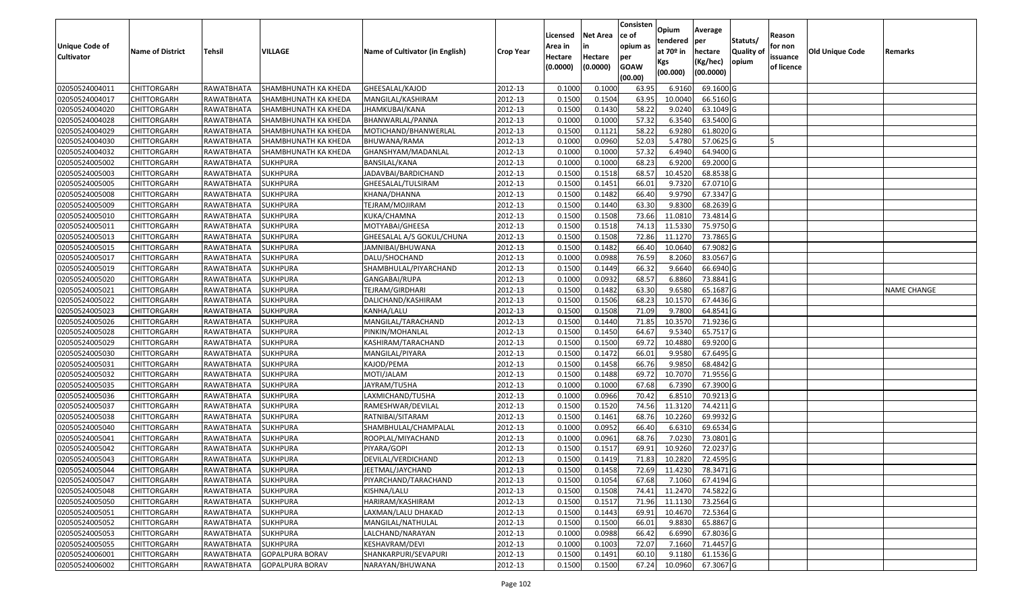|                   |                         |                     |                             |                                 |                  | Licensed | <b>Net Area</b> | Consisten<br>ce of | Opium       | Average                 |                  | Reason     |                 |                    |
|-------------------|-------------------------|---------------------|-----------------------------|---------------------------------|------------------|----------|-----------------|--------------------|-------------|-------------------------|------------------|------------|-----------------|--------------------|
| Unique Code of    |                         |                     |                             |                                 |                  | Area in  |                 | opium as           | tendered    | per                     | Statuts/         | for non    |                 |                    |
| <b>Cultivator</b> | <b>Name of District</b> | <b>Tehsil</b>       | VILLAGE                     | Name of Cultivator (in English) | <b>Crop Year</b> | Hectare  | Hectare         | per                | at $70°$ in | hectare                 | <b>Quality o</b> | issuance   | Old Unique Code | Remarks            |
|                   |                         |                     |                             |                                 |                  | (0.0000) | (0.0000)        | <b>GOAW</b>        | Kgs         | (Kg/hec)                | opium            | of licence |                 |                    |
|                   |                         |                     |                             |                                 |                  |          |                 | (00.00)            | (00.000)    | (00.0000)               |                  |            |                 |                    |
| 02050524004011    | CHITTORGARH             | RAWATBHATA          | SHAMBHUNATH KA KHEDA        | GHEESALAL/KAJOD                 | 2012-13          | 0.1000   | 0.1000          | 63.95              | 6.9160      | 69.1600 G               |                  |            |                 |                    |
| 02050524004017    | CHITTORGARH             | RAWATBHATA          | SHAMBHUNATH KA KHEDA        | MANGILAL/KASHIRAM               | 2012-13          | 0.1500   | 0.1504          | 63.95              | 10.0040     | 66.5160 G               |                  |            |                 |                    |
| 02050524004020    | CHITTORGARH             | RAWATBHATA          | SHAMBHUNATH KA KHEDA        | JHAMKUBAI/KANA                  | 2012-13          | 0.1500   | 0.1430          | 58.22              | 9.0240      | 63.1049 G               |                  |            |                 |                    |
| 02050524004028    | <b>CHITTORGARH</b>      | RAWATBHATA          | <b>SHAMBHUNATH KA KHEDA</b> | BHANWARLAL/PANNA                | 2012-13          | 0.1000   | 0.1000          | 57.32              | 6.3540      | 63.5400 G               |                  |            |                 |                    |
| 02050524004029    | CHITTORGARH             | RAWATBHATA          | SHAMBHUNATH KA KHEDA        | MOTICHAND/BHANWERLAL            | 2012-13          | 0.1500   | 0.1121          | 58.22              | 6.928       | 61.8020 G               |                  |            |                 |                    |
| 02050524004030    | CHITTORGARH             | RAWATBHATA          | SHAMBHUNATH KA KHEDA        | BHUWANA/RAMA                    | 2012-13          | 0.1000   | 0.0960          | 52.03              | 5.4780      | 57.0625 G               |                  |            |                 |                    |
| 02050524004032    | CHITTORGARH             | RAWATBHATA          | SHAMBHUNATH KA KHEDA        | GHANSHYAM/MADANLAL              | 2012-13          | 0.1000   | 0.1000          | 57.32              | 6.4940      | 64.9400 G               |                  |            |                 |                    |
| 02050524005002    | CHITTORGARH             | RAWATBHATA          | <b>SUKHPURA</b>             | BANSILAL/KANA                   | 2012-13          | 0.1000   | 0.1000          | 68.23              | 6.9200      | 69.2000 G               |                  |            |                 |                    |
| 02050524005003    | <b>CHITTORGARH</b>      | RAWATBHATA          | <b>SUKHPURA</b>             | JADAVBAI/BARDICHAND             | 2012-13          | 0.1500   | 0.1518          | 68.57              | 10.4520     | 68.8538 G               |                  |            |                 |                    |
| 02050524005005    | CHITTORGARH             | RAWATBHATA          | <b>SUKHPURA</b>             | GHEESALAL/TULSIRAM              | 2012-13          | 0.1500   | 0.1451          | 66.01              | 9.7320      | 67.0710 G               |                  |            |                 |                    |
| 02050524005008    | CHITTORGARH             | RAWATBHATA          | <b>SUKHPURA</b>             | KHANA/DHANNA                    | 2012-13          | 0.1500   | 0.1482          | 66.40              | 9.9790      | 67.3347 G               |                  |            |                 |                    |
| 02050524005009    | CHITTORGARH             | RAWATBHATA          | <b>SUKHPURA</b>             | TEJRAM/MOJIRAM                  | 2012-13          | 0.1500   | 0.1440          | 63.30              | 9.8300      | 68.2639 G               |                  |            |                 |                    |
| 02050524005010    | <b>CHITTORGARH</b>      | RAWATBHATA          | <b>SUKHPURA</b>             | KUKA/CHAMNA                     | 2012-13          | 0.1500   | 0.1508          | 73.66              | 11.0810     | 73.4814 G               |                  |            |                 |                    |
| 02050524005011    | <b>CHITTORGARH</b>      | RAWATBHATA          | <b>SUKHPURA</b>             | MOTYABAI/GHEESA                 | 2012-13          | 0.1500   | 0.1518          | 74.13              | 11.5330     | 75.9750 G               |                  |            |                 |                    |
| 02050524005013    | <b>CHITTORGARH</b>      | RAWATBHATA          | <b>SUKHPURA</b>             | GHEESALAL A/S GOKUL/CHUNA       | 2012-13          | 0.1500   | 0.1508          | 72.86              | 11.1270     | 73.7865 G               |                  |            |                 |                    |
| 02050524005015    | <b>CHITTORGARH</b>      | RAWATBHATA          | <b>SUKHPURA</b>             | JAMNIBAI/BHUWANA                | 2012-13          | 0.1500   | 0.1482          | 66.40              | 10.0640     | 67.9082 G               |                  |            |                 |                    |
| 02050524005017    | <b>CHITTORGARH</b>      | RAWATBHATA          | <b>SUKHPURA</b>             | DALU/SHOCHAND                   | 2012-13          | 0.100    | 0.0988          | 76.59              | 8.2060      | 83.0567 G               |                  |            |                 |                    |
| 02050524005019    | CHITTORGARH             | RAWATBHATA          | <b>SUKHPURA</b>             | SHAMBHULAL/PIYARCHAND           | 2012-13          | 0.1500   | 0.1449          | 66.32              | 9.6640      | 66.6940 G               |                  |            |                 |                    |
| 02050524005020    | CHITTORGARH             | RAWATBHATA          | <b>SUKHPURA</b>             | GANGABAI/RUPA                   | 2012-13          | 0.100    | 0.0932          | 68.5               | 6.8860      | 73.8841G                |                  |            |                 |                    |
| 02050524005021    | CHITTORGARH             | RAWATBHATA          | <b>SUKHPURA</b>             | TEJRAM/GIRDHARI                 | 2012-13          | 0.150    | 0.1482          | 63.30              | 9.6580      | 65.1687 G               |                  |            |                 | <b>NAME CHANGE</b> |
| 02050524005022    | CHITTORGARH             | RAWATBHATA          | <b>SUKHPURA</b>             | DALICHAND/KASHIRAM              | 2012-13          | 0.1500   | 0.1506          | 68.23              | 10.1570     | 67.4436 G               |                  |            |                 |                    |
| 02050524005023    | CHITTORGARH             | RAWATBHATA          | <b>SUKHPURA</b>             | KANHA/LALU                      | 2012-13          | 0.150    | 0.1508          | 71.09              | 9.7800      | 64.8541 G               |                  |            |                 |                    |
| 02050524005026    | CHITTORGARH             | RAWATBHATA          | <b>SUKHPURA</b>             | MANGILAL/TARACHAND              | 2012-13          | 0.1500   | 0.1440          | 71.85              | 10.3570     | 71.9236 G               |                  |            |                 |                    |
| 02050524005028    | CHITTORGARH             | RAWATBHATA          | <b>SUKHPURA</b>             | PINKIN/MOHANLAL                 | 2012-13          | 0.1500   | 0.1450          | 64.67              | 9.5340      | 65.7517 G               |                  |            |                 |                    |
| 02050524005029    | <b>CHITTORGARH</b>      | <b>RAWATBHATA</b>   | <b>SUKHPURA</b>             | KASHIRAM/TARACHAND              | 2012-13          | 0.1500   | 0.1500          | 69.72              | 10.4880     | 69.9200 G               |                  |            |                 |                    |
| 02050524005030    | CHITTORGARH             | RAWATBHATA          | <b>SUKHPURA</b>             | MANGILAL/PIYARA                 | 2012-13          | 0.1500   | 0.1472          | 66.01              | 9.9580      | 67.6495 G               |                  |            |                 |                    |
| 02050524005031    | CHITTORGARH             | RAWATBHATA          | <b>SUKHPURA</b>             | KAJOD/PEMA                      | 2012-13          | 0.1500   | 0.1458          | 66.76              | 9.9850      | 68.4842 G               |                  |            |                 |                    |
| 02050524005032    | CHITTORGARH             | RAWATBHATA          | <b>SUKHPURA</b>             | MOTI/JALAM                      | 2012-13          | 0.1500   | 0.1488          | 69.72              | 10.7070     | 71.9556 G               |                  |            |                 |                    |
| 02050524005035    | CHITTORGARH             | RAWATBHATA          | <b>SUKHPURA</b>             | JAYRAM/TU5HA                    | 2012-13          | 0.1000   | 0.1000          | 67.68              | 6.7390      | 67.3900 G               |                  |            |                 |                    |
| 02050524005036    | CHITTORGARH             | RAWATBHATA          | <b>SUKHPURA</b>             | LAXMICHAND/TU5HA                | 2012-13          | 0.1000   | 0.0966          | 70.42              | 6.8510      | 70.9213 G               |                  |            |                 |                    |
| 02050524005037    | CHITTORGARH             | RAWATBHATA          | <b>SUKHPURA</b>             | RAMESHWAR/DEVILAL               | 2012-13          | 0.1500   | 0.1520          | 74.56              | 11.3120     | 74.4211G                |                  |            |                 |                    |
| 02050524005038    | CHITTORGARH             | RAWATBHATA          | <b>SUKHPURA</b>             | RATNIBAI/SITARAM                | 2012-13          | 0.1500   | 0.1461          | 68.76              | 10.2260     | 69.9932 G               |                  |            |                 |                    |
| 02050524005040    | CHITTORGARH             | RAWATBHATA          | <b>SUKHPURA</b>             | SHAMBHULAL/CHAMPALAL            | 2012-13          | 0.1000   | 0.0952          | 66.40              | 6.6310      | 69.6534 G               |                  |            |                 |                    |
| 02050524005041    | <b>CHITTORGARH</b>      | RAWATBHATA          | <b>SUKHPURA</b>             | ROOPLAL/MIYACHAND               | 2012-13          | 0.1000   | 0.0961          | 68.76              | 7.023       | 73.0801 G               |                  |            |                 |                    |
| 02050524005042    | CHITTORGARH             | RAWATBHATA          | <b>SUKHPURA</b>             | PIYARA/GOPI                     | 2012-13          | 0.150    | 0.1517          | 69.91              | 10.9260     | 72.0237 G               |                  |            |                 |                    |
| 02050524005043    | CHITTORGARH             | RAWATBHATA          | <b>SUKHPURA</b>             | DEVILAL/VERDICHAND              | 2012-13          | 0.1500   | 0.1419          | 71.83              | 10.2820     | 72.4595 G               |                  |            |                 |                    |
| 02050524005044    | CHITTORGARH             | RAWATBHATA SUKHPURA |                             | JEETMAL/JAYCHAND                | 2012-13          | 0.1500   | 0.1458          |                    |             | 72.69 11.4230 78.3471 G |                  |            |                 |                    |
| 02050524005047    | <b>CHITTORGARH</b>      | RAWATBHATA          | <b>SUKHPURA</b>             | PIYARCHAND/TARACHAND            | 2012-13          | 0.1500   | 0.1054          | 67.68              | 7.1060      | 67.4194 G               |                  |            |                 |                    |
| 02050524005048    | <b>CHITTORGARH</b>      | RAWATBHATA          | <b>SUKHPURA</b>             | KISHNA/LALU                     | 2012-13          | 0.1500   | 0.1508          | 74.41              | 11.2470     | 74.5822 G               |                  |            |                 |                    |
| 02050524005050    | <b>CHITTORGARH</b>      | RAWATBHATA          | <b>SUKHPURA</b>             | HARIRAM/KASHIRAM                | 2012-13          | 0.1500   | 0.1517          | 71.96              | 11.1130     | 73.2564 G               |                  |            |                 |                    |
| 02050524005051    | CHITTORGARH             | RAWATBHATA          | <b>SUKHPURA</b>             | LAXMAN/LALU DHAKAD              | 2012-13          | 0.1500   | 0.1443          | 69.91              | 10.4670     | 72.5364 G               |                  |            |                 |                    |
| 02050524005052    | <b>CHITTORGARH</b>      | RAWATBHATA          | <b>SUKHPURA</b>             | MANGILAL/NATHULAL               | 2012-13          | 0.1500   | 0.1500          | 66.01              | 9.8830      | 65.8867 G               |                  |            |                 |                    |
| 02050524005053    | <b>CHITTORGARH</b>      | RAWATBHATA          | <b>SUKHPURA</b>             | LALCHAND/NARAYAN                | 2012-13          | 0.1000   | 0.0988          | 66.42              | 6.6990      | 67.8036 G               |                  |            |                 |                    |
| 02050524005055    | CHITTORGARH             | RAWATBHATA          | <b>SUKHPURA</b>             | KESHAVRAM/DEVI                  | 2012-13          | 0.1000   | 0.1003          | 72.07              | 7.1660      | 71.4457 G               |                  |            |                 |                    |
| 02050524006001    | <b>CHITTORGARH</b>      | RAWATBHATA          | <b>GOPALPURA BORAV</b>      | SHANKARPURI/SEVAPURI            | 2012-13          | 0.1500   | 0.1491          | 60.10              | 9.1180      | 61.1536 G               |                  |            |                 |                    |
| 02050524006002    | <b>CHITTORGARH</b>      | RAWATBHATA          | <b>GOPALPURA BORAV</b>      | NARAYAN/BHUWANA                 | 2012-13          | 0.1500   | 0.1500          | 67.24              | 10.0960     | 67.3067 G               |                  |            |                 |                    |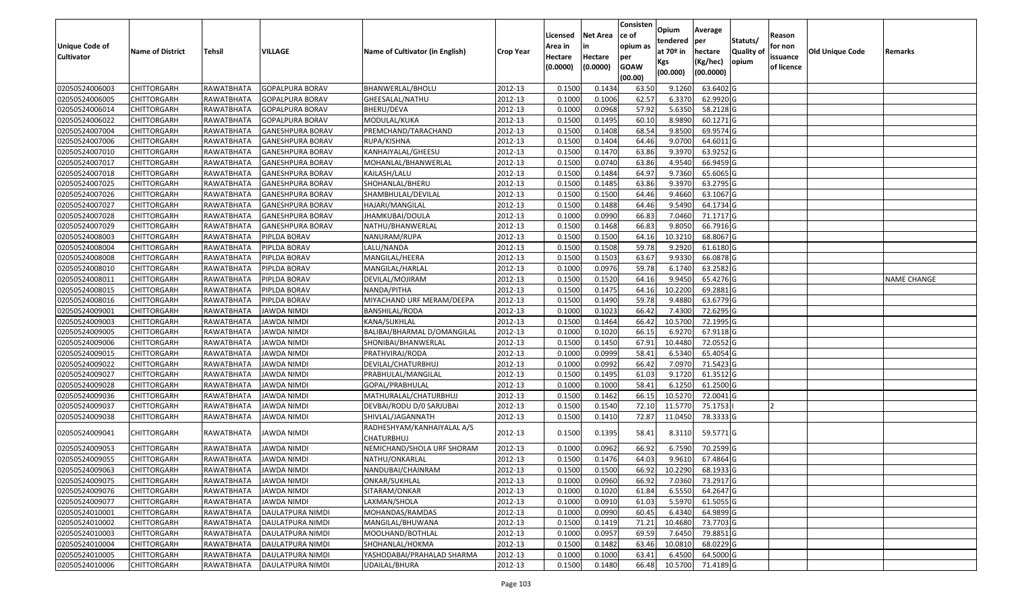| <b>Unique Code of</b><br><b>Cultivator</b> | <b>Name of District</b> | Tehsil            | VILLAGE                 | Name of Cultivator (in English)                 | <b>Crop Year</b> | Licensed<br>Area in<br>Hectare<br>(0.0000) | <b>Net Area</b><br>in<br>Hectare<br>(0.0000) | Consisten<br>ce of<br>opium as<br>per<br><b>GOAW</b><br>(00.00) | Opium<br>tendered<br>at 70º in<br>Kgs<br>(00.000) | Average<br>per<br>hectare<br>(Kg/hec)<br>(00.0000) | Statuts/<br><b>Quality of</b><br>opium | Reason<br>for non<br>issuance<br>of licence | <b>Old Unique Code</b> | Remarks            |
|--------------------------------------------|-------------------------|-------------------|-------------------------|-------------------------------------------------|------------------|--------------------------------------------|----------------------------------------------|-----------------------------------------------------------------|---------------------------------------------------|----------------------------------------------------|----------------------------------------|---------------------------------------------|------------------------|--------------------|
| 02050524006003                             | <b>CHITTORGARH</b>      | RAWATBHATA        | <b>GOPALPURA BORAV</b>  | BHANWERLAL/BHOLU                                | 2012-13          | 0.1500                                     | 0.1434                                       | 63.50                                                           | 9.1260                                            | 63.6402 G                                          |                                        |                                             |                        |                    |
| 02050524006005                             | CHITTORGARH             | RAWATBHATA        | <b>GOPALPURA BORAV</b>  | GHEESALAL/NATHU                                 | 2012-13          | 0.1000                                     | 0.1006                                       | 62.57                                                           | 6.3370                                            | 62.9920 G                                          |                                        |                                             |                        |                    |
| 02050524006014                             | CHITTORGARH             | RAWATBHATA        | GOPALPURA BORAV         | BHERU/DEVA                                      | 2012-13          | 0.1000                                     | 0.0968                                       | 57.92                                                           | 5.6350                                            | 58.2128 G                                          |                                        |                                             |                        |                    |
| 02050524006022                             | <b>CHITTORGARH</b>      | RAWATBHATA        | GOPALPURA BORAV         | MODULAL/KUKA                                    | 2012-13          | 0.1500                                     | 0.1495                                       | 60.10                                                           | 8.9890                                            | 60.1271 G                                          |                                        |                                             |                        |                    |
| 02050524007004                             | <b>CHITTORGARH</b>      | RAWATBHATA        | <b>GANESHPURA BORAV</b> | PREMCHAND/TARACHAND                             | 2012-13          | 0.1500                                     | 0.1408                                       | 68.54                                                           | 9.8500                                            | 69.9574 G                                          |                                        |                                             |                        |                    |
| 02050524007006                             | <b>CHITTORGARH</b>      | RAWATBHATA        | <b>GANESHPURA BORAV</b> | RUPA/KISHNA                                     | 2012-13          | 0.1500                                     | 0.1404                                       | 64.46                                                           | 9.0700                                            | 64.6011 G                                          |                                        |                                             |                        |                    |
| 02050524007010                             | <b>CHITTORGARH</b>      | RAWATBHATA        | GANESHPURA BORAV        | KANHAIYALAL/GHEESU                              | 2012-13          | 0.1500                                     | 0.1470                                       | 63.86                                                           | 9.3970                                            | 63.9252 G                                          |                                        |                                             |                        |                    |
| 02050524007017                             | <b>CHITTORGARH</b>      | RAWATBHATA        | <b>GANESHPURA BORAV</b> | MOHANLAL/BHANWERLAL                             | 2012-13          | 0.1500                                     | 0.0740                                       | 63.86                                                           | 4.9540                                            | 66.9459 G                                          |                                        |                                             |                        |                    |
| 02050524007018                             | <b>CHITTORGARH</b>      | RAWATBHATA        | <b>GANESHPURA BORAV</b> | KAILASH/LALU                                    | 2012-13          | 0.1500                                     | 0.1484                                       | 64.97                                                           | 9.7360                                            | 65.6065 G                                          |                                        |                                             |                        |                    |
| 02050524007025                             | <b>CHITTORGARH</b>      | RAWATBHATA        | <b>GANESHPURA BORAV</b> | SHOHANLAL/BHERU                                 | 2012-13          | 0.1500                                     | 0.1485                                       | 63.86                                                           | 9.3970                                            | 63.2795 G                                          |                                        |                                             |                        |                    |
| 02050524007026                             | <b>CHITTORGARH</b>      | RAWATBHATA        | <b>GANESHPURA BORAV</b> | SHAMBHULAL/DEVILAL                              | 2012-13          | 0.1500                                     | 0.1500                                       | 64.46                                                           | 9.4660                                            | 63.1067 G                                          |                                        |                                             |                        |                    |
| 02050524007027                             | <b>CHITTORGARH</b>      | RAWATBHATA        | <b>GANESHPURA BORAV</b> | HAJARI/MANGILAL                                 | 2012-13          | 0.1500                                     | 0.1488                                       | 64.46                                                           | 9.5490                                            | 64.1734 G                                          |                                        |                                             |                        |                    |
| 02050524007028                             | <b>CHITTORGARH</b>      | RAWATBHATA        | <b>GANESHPURA BORAV</b> | JHAMKUBAI/DOULA                                 | 2012-13          | 0.1000                                     | 0.0990                                       | 66.83                                                           | 7.0460                                            | 71.1717 G                                          |                                        |                                             |                        |                    |
| 02050524007029                             | <b>CHITTORGARH</b>      | RAWATBHATA        | <b>GANESHPURA BORAV</b> | NATHU/BHANWERLAL                                | 2012-13          | 0.1500                                     | 0.1468                                       | 66.83                                                           | 9.8050                                            | 66.7916 G                                          |                                        |                                             |                        |                    |
| 02050524008003                             | <b>CHITTORGARH</b>      | RAWATBHATA        | PIPLDA BORAV            | NANURAM/RUPA                                    | 2012-13          | 0.1500                                     | 0.1500                                       | 64.16                                                           | 10.3210                                           | 68.8067 G                                          |                                        |                                             |                        |                    |
| 02050524008004                             | <b>CHITTORGARH</b>      | RAWATBHATA        | PIPLDA BORAV            | LALU/NANDA                                      | 2012-13          | 0.1500                                     | 0.1508                                       | 59.78                                                           | 9.2920                                            | 61.6180 G                                          |                                        |                                             |                        |                    |
| 02050524008008                             | <b>CHITTORGARH</b>      | RAWATBHATA        | PIPLDA BORAV            | MANGILAL/HEERA                                  | 2012-13          | 0.1500                                     | 0.1503                                       | 63.67                                                           | 9.9330                                            | 66.0878 G                                          |                                        |                                             |                        |                    |
| 02050524008010                             | <b>CHITTORGARH</b>      | RAWATBHATA        | PIPLDA BORAV            | MANGILAL/HARLAL                                 | 2012-13          | 0.1000                                     | 0.0976                                       | 59.78                                                           | 6.1740                                            | 63.2582 G                                          |                                        |                                             |                        |                    |
| 02050524008011                             | <b>CHITTORGARH</b>      | RAWATBHATA        | PIPLDA BORAV            | DEVILAL/MOJIRAM                                 | 2012-13          | 0.1500                                     | 0.1520                                       | 64.16                                                           | 9.9450                                            | 65.4276 G                                          |                                        |                                             |                        | <b>NAME CHANGE</b> |
| 02050524008015                             | <b>CHITTORGARH</b>      | RAWATBHATA        | PIPLDA BORAV            | NANDA/PITHA                                     | 2012-13          | 0.1500                                     | 0.1475                                       | 64.16                                                           | 10.2200                                           | 69.2881 G                                          |                                        |                                             |                        |                    |
| 02050524008016                             | <b>CHITTORGARH</b>      | RAWATBHATA        | PIPLDA BORAV            | MIYACHAND URF MERAM/DEEPA                       | 2012-13          | 0.1500                                     | 0.1490                                       | 59.78                                                           | 9.4880                                            | 63.6779 G                                          |                                        |                                             |                        |                    |
| 02050524009001                             | <b>CHITTORGARH</b>      | RAWATBHATA        | JAWDA NIMDI             | BANSHILAL/RODA                                  | 2012-13          | 0.1000                                     | 0.1023                                       | 66.42                                                           | 7.4300                                            | 72.6295 G                                          |                                        |                                             |                        |                    |
| 02050524009003                             | <b>CHITTORGARH</b>      | RAWATBHATA        | JAWDA NIMDI             | KANA/SUKHLAL                                    | 2012-13          | 0.1500                                     | 0.1464                                       | 66.42                                                           | 10.5700                                           | 72.1995 G                                          |                                        |                                             |                        |                    |
| 02050524009005                             | <b>CHITTORGARH</b>      | RAWATBHATA        | <b>JAWDA NIMDI</b>      | BALIBAI/BHARMAL D/OMANGILAL                     | 2012-13          | 0.1000                                     | 0.1020                                       | 66.15                                                           | 6.9270                                            | 67.9118 G                                          |                                        |                                             |                        |                    |
| 02050524009006                             | <b>CHITTORGARH</b>      | RAWATBHATA        | <b>JAWDA NIMDI</b>      | SHONIBAI/BHANWERLAL                             | 2012-13          | 0.1500                                     | 0.1450                                       | 67.91                                                           | 10.4480                                           | 72.0552 G                                          |                                        |                                             |                        |                    |
| 02050524009015                             | <b>CHITTORGARH</b>      | RAWATBHATA        | JAWDA NIMDI             | PRATHVIRAJ/RODA                                 | 2012-13          | 0.1000                                     | 0.0999                                       | 58.41                                                           | 6.5340                                            | 65.4054 G                                          |                                        |                                             |                        |                    |
| 02050524009022                             | <b>CHITTORGARH</b>      | RAWATBHATA        | JAWDA NIMDI             | DEVILAL/CHATURBHUJ                              | 2012-13          | 0.1000                                     | 0.0992                                       | 66.42                                                           | 7.0970                                            | 71.5423 G                                          |                                        |                                             |                        |                    |
| 02050524009027                             | <b>CHITTORGARH</b>      | RAWATBHATA        | JAWDA NIMDI             | PRABHULAL/MANGILAL                              | 2012-13          | 0.1500                                     | 0.1495                                       | 61.03                                                           | 9.1720                                            | 61.3512 G                                          |                                        |                                             |                        |                    |
| 02050524009028                             | <b>CHITTORGARH</b>      | RAWATBHATA        | <b>JAWDA NIMDI</b>      | GOPAL/PRABHULAL                                 | 2012-13          | 0.1000                                     | 0.1000                                       | 58.41                                                           | 6.1250                                            | 61.2500 G                                          |                                        |                                             |                        |                    |
| 02050524009036                             | <b>CHITTORGARH</b>      | RAWATBHATA        | <b>JAWDA NIMDI</b>      | MATHURALAL/CHATURBHUJ                           | 2012-13          | 0.1500                                     | 0.1462                                       | 66.15                                                           | 10.5270                                           | 72.0041G                                           |                                        |                                             |                        |                    |
| 02050524009037                             | <b>CHITTORGARH</b>      | RAWATBHATA        | <b>JAWDA NIMDI</b>      | DEVBAI/RODU D/0 SARJUBAI                        | 2012-13          | 0.1500                                     | 0.1540                                       | 72.10                                                           | 11.5770                                           | 75.1753                                            |                                        |                                             |                        |                    |
| 02050524009038                             | <b>CHITTORGARH</b>      | RAWATBHATA        | JAWDA NIMDI             | SHIVLAL/JAGANNATH                               | 2012-13          | 0.1500                                     | 0.1410                                       | 72.87                                                           | 11.0450                                           | 78.3333 G                                          |                                        |                                             |                        |                    |
| 02050524009041                             | <b>CHITTORGARH</b>      | RAWATBHATA        | JAWDA NIMDI             | RADHESHYAM/KANHAIYALAL A/S<br><b>CHATURBHUJ</b> | 2012-13          | 0.1500                                     | 0.1395                                       | 58.41                                                           | 8.3110                                            | 59.5771 G                                          |                                        |                                             |                        |                    |
| 02050524009053                             | CHITTORGARH             | RAWATBHATA        | JAWDA NIMDI             | NEMICHAND/SHOLA URF SHORAM                      | 2012-13          | 0.1000                                     | 0.0962                                       | 66.92                                                           | 6.7590                                            | 70.2599 G                                          |                                        |                                             |                        |                    |
| 02050524009055                             | <b>CHITTORGARH</b>      | RAWATBHATA        | <b>JAWDA NIMDI</b>      | NATHU/ONKARLAL                                  | 2012-13          | 0.1500                                     | 0.1476                                       | 64.03                                                           | 9.9610                                            | 67.4864 G                                          |                                        |                                             |                        |                    |
| 02050524009063                             | <b>CHITTORGARH</b>      | RAWATBHATA        | <b>JAWDA NIMDI</b>      | NANDUBAI/CHAINRAM                               | 2012-13          | 0.1500                                     | 0.1500                                       | 66.92                                                           | 10.2290                                           | 68.1933 G                                          |                                        |                                             |                        |                    |
| 02050524009075                             | <b>CHITTORGARH</b>      | RAWATBHATA        | JAWDA NIMDI             | ONKAR/SUKHLAL                                   | 2012-13          | 0.1000                                     | 0.0960                                       | 66.92                                                           | 7.0360                                            | 73.2917 G                                          |                                        |                                             |                        |                    |
| 02050524009076                             | <b>CHITTORGARH</b>      | RAWATBHATA        | JAWDA NIMDI             | SITARAM/ONKAR                                   | 2012-13          | 0.1000                                     | 0.1020                                       | 61.84                                                           | 6.5550                                            | 64.2647 G                                          |                                        |                                             |                        |                    |
| 02050524009077                             | <b>CHITTORGARH</b>      | RAWATBHATA        | JAWDA NIMDI             | LAXMAN/SHOLA                                    | 2012-13          | 0.1000                                     | 0.0910                                       | 61.03                                                           | 5.5970                                            | 61.5055 G                                          |                                        |                                             |                        |                    |
| 02050524010001                             | <b>CHITTORGARH</b>      | RAWATBHATA        | DAULATPURA NIMDI        | MOHANDAS/RAMDAS                                 | 2012-13          | 0.1000                                     | 0.0990                                       | 60.45                                                           | 6.4340                                            | 64.9899 G                                          |                                        |                                             |                        |                    |
| 02050524010002                             | <b>CHITTORGARH</b>      | <b>RAWATBHATA</b> | DAULATPURA NIMDI        | MANGILAL/BHUWANA                                | 2012-13          | 0.1500                                     | 0.1419                                       | 71.21                                                           | 10.4680                                           | 73.7703 G                                          |                                        |                                             |                        |                    |
| 02050524010003                             | <b>CHITTORGARH</b>      | RAWATBHATA        | DAULATPURA NIMDI        | MOOLHAND/BOTHLAL                                | 2012-13          | 0.1000                                     | 0.0957                                       | 69.59                                                           | 7.6450                                            | 79.8851 G                                          |                                        |                                             |                        |                    |
| 02050524010004                             | <b>CHITTORGARH</b>      | RAWATBHATA        | DAULATPURA NIMDI        | SHOHANLAL/HOKMA                                 | 2012-13          | 0.1500                                     | 0.1482                                       | 63.46                                                           | 10.0810                                           | 68.0229 G                                          |                                        |                                             |                        |                    |
| 02050524010005                             | <b>CHITTORGARH</b>      | RAWATBHATA        | DAULATPURA NIMDI        | YASHODABAI/PRAHALAD SHARMA                      | 2012-13          | 0.1000                                     | 0.1000                                       | 63.41                                                           | 6.4500                                            | 64.5000 G                                          |                                        |                                             |                        |                    |
| 02050524010006                             | <b>CHITTORGARH</b>      | RAWATBHATA        | DAULATPURA NIMDI        | UDAILAL/BHURA                                   | 2012-13          | 0.1500                                     | 0.1480                                       | 66.48                                                           | 10.5700                                           | 71.4189 G                                          |                                        |                                             |                        |                    |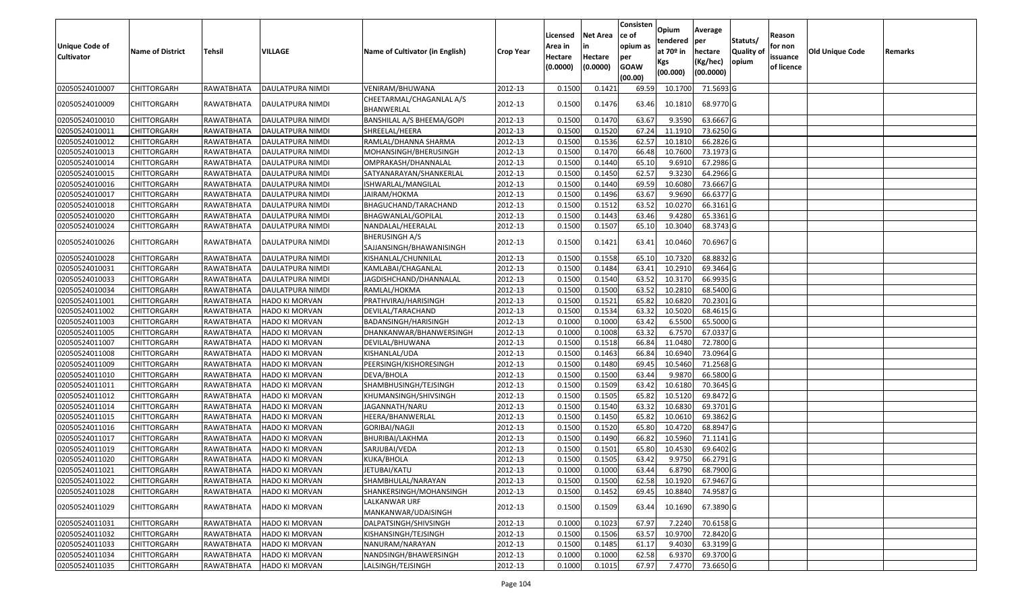| <b>Unique Code of</b><br><b>Cultivator</b> | <b>Name of District</b> | Tehsil     | VILLAGE                 | Name of Cultivator (in English)                   | <b>Crop Year</b> | Licensed<br>Area in<br>Hectare<br>(0.0000) | <b>Net Area</b><br>in<br>Hectare<br>(0.0000) | Consisten<br>ce of<br>opium as<br>per<br><b>GOAW</b><br>(00.00) | Opium<br>tendered<br>at $70°$ in<br>Kgs<br>(00.000) | Average<br>per<br>hectare<br>(Kg/hec)<br>(00.0000) | Statuts/<br>Quality of<br>opium | Reason<br>for non<br>issuance<br>of licence | Old Unique Code | Remarks |
|--------------------------------------------|-------------------------|------------|-------------------------|---------------------------------------------------|------------------|--------------------------------------------|----------------------------------------------|-----------------------------------------------------------------|-----------------------------------------------------|----------------------------------------------------|---------------------------------|---------------------------------------------|-----------------|---------|
| 02050524010007                             | <b>CHITTORGARH</b>      | RAWATBHATA | <b>DAULATPURA NIMDI</b> | VENIRAM/BHUWANA                                   | 2012-13          | 0.1500                                     | 0.1421                                       | 69.59                                                           | 10.1700                                             | 71.5693 G                                          |                                 |                                             |                 |         |
| 02050524010009                             | CHITTORGARH             | RAWATBHATA | DAULATPURA NIMDI        | CHEETARMAL/CHAGANLAL A/S<br>BHANWERLAL            | 2012-13          | 0.1500                                     | 0.1476                                       | 63.46                                                           | 10.1810                                             | 68.9770 G                                          |                                 |                                             |                 |         |
| 02050524010010                             | <b>CHITTORGARH</b>      | RAWATBHATA | DAULATPURA NIMDI        | BANSHILAL A/S BHEEMA/GOPI                         | 2012-13          | 0.1500                                     | 0.1470                                       | 63.67                                                           | 9.3590                                              | 63.6667 G                                          |                                 |                                             |                 |         |
| 02050524010011                             | <b>CHITTORGARH</b>      | RAWATBHATA | DAULATPURA NIMDI        | SHREELAL/HEERA                                    | 2012-13          | 0.1500                                     | 0.1520                                       | 67.24                                                           | 11.1910                                             | 73.6250 G                                          |                                 |                                             |                 |         |
| 02050524010012                             | <b>CHITTORGARH</b>      | RAWATBHATA | DAULATPURA NIMDI        | RAMLAL/DHANNA SHARMA                              | 2012-13          | 0.1500                                     | 0.1536                                       | 62.57                                                           | 10.1810                                             | 66.2826 G                                          |                                 |                                             |                 |         |
| 02050524010013                             | CHITTORGARH             | RAWATBHATA | DAULATPURA NIMDI        | MOHANSINGH/BHERUSINGH                             | 2012-13          | 0.1500                                     | 0.1470                                       | 66.48                                                           | 10.7600                                             | 73.1973 G                                          |                                 |                                             |                 |         |
| 02050524010014                             | <b>CHITTORGARH</b>      | RAWATBHATA | DAULATPURA NIMDI        | OMPRAKASH/DHANNALAL                               | 2012-13          | 0.1500                                     | 0.1440                                       | 65.10                                                           | 9.6910                                              | 67.2986 G                                          |                                 |                                             |                 |         |
| 02050524010015                             | <b>CHITTORGARH</b>      | RAWATBHATA | DAULATPURA NIMDI        | SATYANARAYAN/SHANKERLAL                           | 2012-13          | 0.1500                                     | 0.1450                                       | 62.57                                                           | 9.3230                                              | 64.2966 G                                          |                                 |                                             |                 |         |
| 02050524010016                             | <b>CHITTORGARH</b>      | RAWATBHATA | DAULATPURA NIMDI        | ISHWARLAL/MANGILAL                                | 2012-13          | 0.1500                                     | 0.1440                                       | 69.59                                                           | 10.6080                                             | 73.6667 G                                          |                                 |                                             |                 |         |
| 02050524010017                             | <b>CHITTORGARH</b>      | RAWATBHATA | DAULATPURA NIMDI        | JAIRAM/HOKMA                                      | 2012-13          | 0.1500                                     | 0.1496                                       | 63.67                                                           | 9.9690                                              | 66.6377 G                                          |                                 |                                             |                 |         |
| 02050524010018                             | <b>CHITTORGARH</b>      | RAWATBHATA | DAULATPURA NIMDI        | BHAGUCHAND/TARACHAND                              | 2012-13          | 0.1500                                     | 0.1512                                       | 63.52                                                           | 10.0270                                             | 66.3161 G                                          |                                 |                                             |                 |         |
| 02050524010020                             | <b>CHITTORGARH</b>      | RAWATBHATA | <b>DAULATPURA NIMDI</b> | BHAGWANLAL/GOPILAL                                | 2012-13          | 0.1500                                     | 0.1443                                       | 63.46                                                           | 9.4280                                              | 65.3361 G                                          |                                 |                                             |                 |         |
| 02050524010024                             | <b>CHITTORGARH</b>      | RAWATBHATA | DAULATPURA NIMDI        | NANDALAL/HEERALAL                                 | 2012-13          | 0.1500                                     | 0.1507                                       | 65.10                                                           | 10.3040                                             | 68.3743 G                                          |                                 |                                             |                 |         |
| 02050524010026                             | <b>CHITTORGARH</b>      | RAWATBHATA | DAULATPURA NIMDI        | <b>BHERUSINGH A/S</b><br>SAJJANSINGH/BHAWANISINGH | 2012-13          | 0.1500                                     | 0.1421                                       | 63.41                                                           | 10.0460                                             | 70.6967 G                                          |                                 |                                             |                 |         |
| 02050524010028                             | <b>CHITTORGARH</b>      | RAWATBHATA | DAULATPURA NIMDI        | KISHANLAL/CHUNNILAL                               | 2012-13          | 0.1500                                     | 0.1558                                       | 65.10                                                           | 10.7320                                             | 68.8832 G                                          |                                 |                                             |                 |         |
| 02050524010031                             | <b>CHITTORGARH</b>      | RAWATBHATA | DAULATPURA NIMDI        | KAMLABAI/CHAGANLAL                                | 2012-13          | 0.1500                                     | 0.1484                                       | 63.41                                                           | 10.2910                                             | 69.3464 G                                          |                                 |                                             |                 |         |
| 02050524010033                             | <b>CHITTORGARH</b>      | RAWATBHATA | DAULATPURA NIMDI        | JAGDISHCHAND/DHANNALAL                            | 2012-13          | 0.1500                                     | 0.1540                                       | 63.52                                                           | 10.3170                                             | 66.9935 G                                          |                                 |                                             |                 |         |
| 02050524010034                             | <b>CHITTORGARH</b>      | RAWATBHATA | DAULATPURA NIMDI        | RAMLAL/HOKMA                                      | 2012-13          | 0.1500                                     | 0.1500                                       | 63.52                                                           | 10.2810                                             | 68.5400 G                                          |                                 |                                             |                 |         |
| 02050524011001                             | <b>CHITTORGARH</b>      | RAWATBHATA | <b>HADO KI MORVAN</b>   | PRATHVIRAJ/HARISINGH                              | 2012-13          | 0.1500                                     | 0.1521                                       | 65.82                                                           | 10.6820                                             | 70.2301G                                           |                                 |                                             |                 |         |
| 02050524011002                             | <b>CHITTORGARH</b>      | RAWATBHATA | <b>HADO KI MORVAN</b>   | DEVILAL/TARACHAND                                 | 2012-13          | 0.1500                                     | 0.1534                                       | 63.32                                                           | 10.5020                                             | 68.4615 G                                          |                                 |                                             |                 |         |
| 02050524011003                             | <b>CHITTORGARH</b>      | RAWATBHATA | <b>HADO KI MORVAN</b>   | BADANSINGH/HARISINGH                              | 2012-13          | 0.1000                                     | 0.1000                                       | 63.42                                                           | 6.5500                                              | 65.5000 G                                          |                                 |                                             |                 |         |
| 02050524011005                             | <b>CHITTORGARH</b>      | RAWATBHATA | HADO KI MORVAN          | DHANKANWAR/BHANWERSINGH                           | 2012-13          | 0.1000                                     | 0.1008                                       | 63.32                                                           | 6.7570                                              | 67.0337 G                                          |                                 |                                             |                 |         |
| 02050524011007                             | <b>CHITTORGARH</b>      | RAWATBHATA | <b>HADO KI MORVAN</b>   | DEVILAL/BHUWANA                                   | 2012-13          | 0.1500                                     | 0.1518                                       | 66.84                                                           | 11.0480                                             | 72.7800 G                                          |                                 |                                             |                 |         |
| 02050524011008                             | <b>CHITTORGARH</b>      | RAWATBHATA | <b>HADO KI MORVAN</b>   | KISHANLAL/UDA                                     | 2012-13          | 0.1500                                     | 0.1463                                       | 66.84                                                           | 10.6940                                             | 73.0964 G                                          |                                 |                                             |                 |         |
| 02050524011009                             | <b>CHITTORGARH</b>      | RAWATBHATA | HADO KI MORVAN          | PEERSINGH/KISHORESINGH                            | 2012-13          | 0.1500                                     | 0.1480                                       | 69.45                                                           | 10.5460                                             | 71.2568 G                                          |                                 |                                             |                 |         |
| 02050524011010                             | CHITTORGARH             | RAWATBHATA | HADO KI MORVAN          | DEVA/BHOLA                                        | 2012-13          | 0.1500                                     | 0.1500                                       | 63.44                                                           | 9.9870                                              | 66.5800 G                                          |                                 |                                             |                 |         |
| 02050524011011                             | <b>CHITTORGARH</b>      | RAWATBHATA | HADO KI MORVAN          | SHAMBHUSINGH/TEJSINGH                             | 2012-13          | 0.1500                                     | 0.1509                                       | 63.42                                                           | 10.6180                                             | 70.3645 G                                          |                                 |                                             |                 |         |
| 02050524011012                             | <b>CHITTORGARH</b>      | RAWATBHATA | HADO KI MORVAN          | KHUMANSINGH/SHIVSINGH                             | 2012-13          | 0.1500                                     | 0.1505                                       | 65.82                                                           | 10.5120                                             | 69.8472 G                                          |                                 |                                             |                 |         |
| 02050524011014                             | <b>CHITTORGARH</b>      | RAWATBHATA | HADO KI MORVAN          | JAGANNATH/NARU                                    | 2012-13          | 0.1500                                     | 0.1540                                       | 63.32                                                           | 10.6830                                             | 69.3701 G                                          |                                 |                                             |                 |         |
| 02050524011015                             | <b>CHITTORGARH</b>      | RAWATBHATA | <b>HADO KI MORVAN</b>   | HEERA/BHANWERLAL                                  | 2012-13          | 0.1500                                     | 0.1450                                       | 65.82                                                           | 10.0610                                             | 69.3862 G                                          |                                 |                                             |                 |         |
| 02050524011016                             | <b>CHITTORGARH</b>      | RAWATBHATA | <b>HADO KI MORVAN</b>   | <b>GORIBAI/NAGJI</b>                              | 2012-13          | 0.1500                                     | 0.1520                                       | 65.80                                                           | 10.4720                                             | 68.8947 G                                          |                                 |                                             |                 |         |
| 02050524011017                             | <b>CHITTORGARH</b>      | RAWATBHATA | HADO KI MORVAN          | BHURIBAI/LAKHMA                                   | 2012-13          | 0.1500                                     | 0.1490                                       | 66.82                                                           | 10.5960                                             | 71.1141 G                                          |                                 |                                             |                 |         |
| 02050524011019                             | <b>CHITTORGARH</b>      | RAWATBHATA | HADO KI MORVAN          | SARJUBAI/VEDA                                     | 2012-13          | 0.1500                                     | 0.1501                                       | 65.80                                                           | 10.4530                                             | 69.6402 G                                          |                                 |                                             |                 |         |
| 02050524011020                             | <b>CHITTORGARH</b>      | RAWATBHATA | HADO KI MORVAN          | KUKA/BHOLA                                        | 2012-13          | 0.1500                                     | 0.1505                                       | 63.42                                                           | 9.9750                                              | 66.2791 G                                          |                                 |                                             |                 |         |
| 02050524011021                             | CHITTORGARH             | RAWATBHATA | <b>HADO KI MORVAN</b>   | JETUBAI/KATU                                      | 2012-13          | 0.1000                                     | 0.1000                                       | 63.44                                                           | 6.8790                                              | 68.7900 G                                          |                                 |                                             |                 |         |
| 02050524011022                             | <b>CHITTORGARH</b>      | RAWATBHATA | HADO KI MORVAN          | SHAMBHULAL/NARAYAN                                | 2012-13          | 0.1500                                     | 0.1500                                       | 62.58                                                           | 10.1920                                             | 67.9467 G                                          |                                 |                                             |                 |         |
| 02050524011028                             | <b>CHITTORGARH</b>      | RAWATBHATA | <b>HADO KI MORVAN</b>   | SHANKERSINGH/MOHANSINGH                           | 2012-13          | 0.1500                                     | 0.1452                                       | 69.45                                                           | 10.8840                                             | 74.9587 G                                          |                                 |                                             |                 |         |
| 02050524011029                             | <b>CHITTORGARH</b>      | RAWATBHATA | HADO KI MORVAN          | LALKANWAR URF<br>MANKANWAR/UDAISINGH              | 2012-13          | 0.1500                                     | 0.1509                                       | 63.44                                                           | 10.1690                                             | 67.3890 G                                          |                                 |                                             |                 |         |
| 02050524011031                             | <b>CHITTORGARH</b>      | RAWATBHATA | <b>HADO KI MORVAN</b>   | DALPATSINGH/SHIVSINGH                             | 2012-13          | 0.1000                                     | 0.1023                                       | 67.97                                                           | 7.2240                                              | 70.6158 G                                          |                                 |                                             |                 |         |
| 02050524011032                             | <b>CHITTORGARH</b>      | RAWATBHATA | HADO KI MORVAN          | KISHANSINGH/TEJSINGH                              | 2012-13          | 0.1500                                     | 0.1506                                       | 63.57                                                           | 10.9700                                             | 72.8420 G                                          |                                 |                                             |                 |         |
| 02050524011033                             | <b>CHITTORGARH</b>      | RAWATBHATA | HADO KI MORVAN          | NANURAM/NARAYAN                                   | 2012-13          | 0.1500                                     | 0.1485                                       | 61.17                                                           | 9.4030                                              | 63.3199 G                                          |                                 |                                             |                 |         |
| 02050524011034                             | <b>CHITTORGARH</b>      | RAWATBHATA | HADO KI MORVAN          | NANDSINGH/BHAWERSINGH                             | 2012-13          | 0.1000                                     | 0.1000                                       | 62.58                                                           | 6.9370                                              | 69.3700 G                                          |                                 |                                             |                 |         |
| 02050524011035                             | <b>CHITTORGARH</b>      | RAWATBHATA | <b>HADO KI MORVAN</b>   | LALSINGH/TEJSINGH                                 | 2012-13          | 0.1000                                     | 0.1015                                       | 67.97                                                           | 7.4770                                              | 73.6650 G                                          |                                 |                                             |                 |         |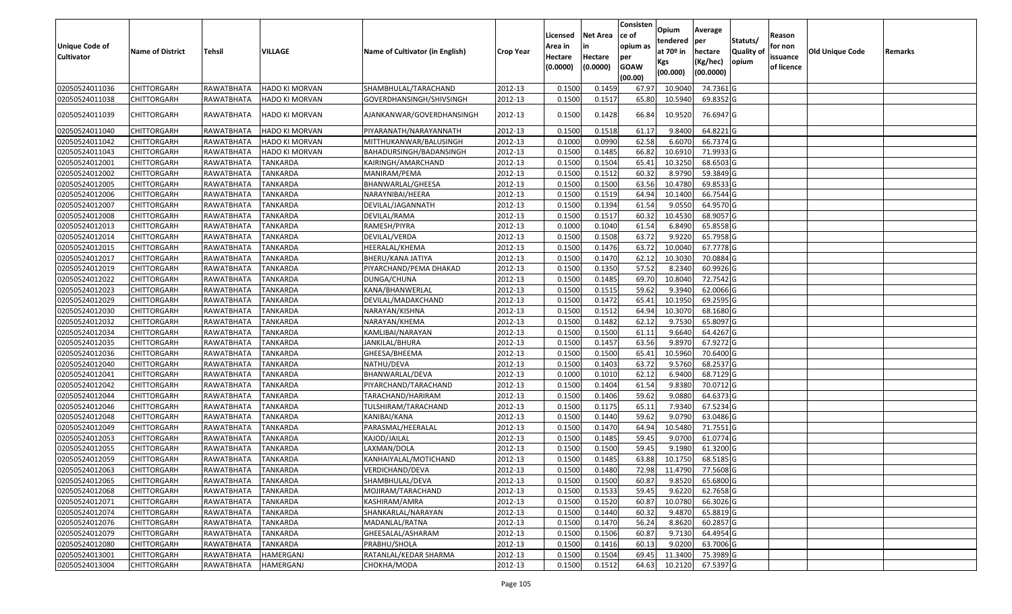|                   |                         |               |                       |                                 |                  | Licensed            | <b>Net Area</b>     | Consisten<br>ce of | Opium<br>tendered | Average<br>per | Statuts/         | Reason                 |                 |         |
|-------------------|-------------------------|---------------|-----------------------|---------------------------------|------------------|---------------------|---------------------|--------------------|-------------------|----------------|------------------|------------------------|-----------------|---------|
| Unique Code of    | <b>Name of District</b> | <b>Tehsil</b> | VILLAGE               | Name of Cultivator (in English) | <b>Crop Year</b> | Area in             |                     | opium as           | at $70°$ in       | hectare        | <b>Quality o</b> | for non                | Old Unique Code | Remarks |
| <b>Cultivator</b> |                         |               |                       |                                 |                  | Hectare<br>(0.0000) | Hectare<br>(0.0000) | per<br><b>GOAW</b> | Kgs               | (Kg/hec)       | opium            | issuance<br>of licence |                 |         |
|                   |                         |               |                       |                                 |                  |                     |                     | (00.00)            | (00.000)          | (00.0000)      |                  |                        |                 |         |
| 02050524011036    | CHITTORGARH             | RAWATBHATA    | HADO KI MORVAN        | SHAMBHULAL/TARACHAND            | 2012-13          | 0.1500              | 0.1459              | 67.97              | 10.9040           | 74.7361G       |                  |                        |                 |         |
| 02050524011038    | CHITTORGARH             | RAWATBHATA    | <b>HADO KI MORVAN</b> | GOVERDHANSINGH/SHIVSINGH        | 2012-13          | 0.1500              | 0.1517              | 65.80              | 10.5940           | 69.8352 G      |                  |                        |                 |         |
| 02050524011039    | CHITTORGARH             | RAWATBHATA    | HADO KI MORVAN        | AJANKANWAR/GOVERDHANSINGH       | 2012-13          | 0.1500              | 0.1428              | 66.84              | 10.9520           | 76.6947 G      |                  |                        |                 |         |
| 02050524011040    | <b>CHITTORGARH</b>      | RAWATBHATA    | HADO KI MORVAN        | PIYARANATH/NARAYANNATH          | 2012-13          | 0.150               | 0.1518              | 61.17              | 9.8400            | 64.8221 G      |                  |                        |                 |         |
| 02050524011042    | CHITTORGARH             | RAWATBHATA    | HADO KI MORVAN        | MITTHUKANWAR/BALUSINGH          | 2012-13          | 0.1000              | 0.0990              | 62.58              | 6.6070            | 66.7374 G      |                  |                        |                 |         |
| 02050524011043    | CHITTORGARH             | RAWATBHATA    | HADO KI MORVAN        | BAHADURSINGH/BADANSINGH         | 2012-13          | 0.1500              | 0.1485              | 66.82              | 10.691            | 71.9933 G      |                  |                        |                 |         |
| 02050524012001    | <b>CHITTORGARH</b>      | RAWATBHATA    | <b>TANKARDA</b>       | KAIRINGH/AMARCHAND              | 2012-13          | 0.1500              | 0.1504              | 65.41              | 10.3250           | 68.6503 G      |                  |                        |                 |         |
| 02050524012002    | CHITTORGARH             | RAWATBHATA    | TANKARDA              | MANIRAM/PEMA                    | 2012-13          | 0.1500              | 0.1512              | 60.32              | 8.9790            | 59.3849 G      |                  |                        |                 |         |
| 02050524012005    | CHITTORGARH             | RAWATBHATA    | TANKARDA              | BHANWARLAL/GHEESA               | 2012-13          | 0.1500              | 0.1500              | 63.56              | 10.4780           | 69.8533 G      |                  |                        |                 |         |
| 02050524012006    | CHITTORGARH             | RAWATBHATA    | <b>TANKARDA</b>       | NARAYNIBAI/HEERA                | 2012-13          | 0.1500              | 0.1519              | 64.94              | 10.1400           | 66.7544 G      |                  |                        |                 |         |
| 02050524012007    | CHITTORGARH             | RAWATBHATA    | <b>TANKARDA</b>       | DEVILAL/JAGANNATH               | 2012-13          | 0.1500              | 0.1394              | 61.54              | 9.055             | 64.9570 G      |                  |                        |                 |         |
| 02050524012008    | <b>CHITTORGARH</b>      | RAWATBHATA    | <b>TANKARDA</b>       | DEVILAL/RAMA                    | 2012-13          | 0.1500              | 0.1517              | 60.32              | 10.4530           | 68.9057 G      |                  |                        |                 |         |
| 02050524012013    | CHITTORGARH             | RAWATBHATA    | <b>TANKARDA</b>       | RAMESH/PIYRA                    | 2012-13          | 0.1000              | 0.1040              | 61.54              | 6.8490            | 65.8558 G      |                  |                        |                 |         |
| 02050524012014    | <b>CHITTORGARH</b>      | RAWATBHATA    | <b>TANKARDA</b>       | DEVILAL/VERDA                   | 2012-13          | 0.1500              | 0.1508              | 63.72              | 9.9220            | 65.7958 G      |                  |                        |                 |         |
| 02050524012015    | <b>CHITTORGARH</b>      | RAWATBHATA    | <b>TANKARDA</b>       | HEERALAL/KHEMA                  | 2012-13          | 0.1500              | 0.1476              | 63.72              | 10.0040           | 67.7778 G      |                  |                        |                 |         |
| 02050524012017    | CHITTORGARH             | RAWATBHATA    | <b>TANKARDA</b>       | BHERU/KANA JATIYA               | 2012-13          | 0.1500              | 0.1470              | 62.12              | 10.3030           | 70.0884 G      |                  |                        |                 |         |
| 02050524012019    | <b>CHITTORGARH</b>      | RAWATBHATA    | <b>TANKARDA</b>       | PIYARCHAND/PEMA DHAKAD          | 2012-13          | 0.150               | 0.1350              | 57.52              | 8.2340            | 60.9926 G      |                  |                        |                 |         |
| 02050524012022    | CHITTORGARH             | RAWATBHATA    | <b>TANKARDA</b>       | DUNGA/CHUNA                     | 2012-13          | 0.1500              | 0.1485              | 69.70              | 10.8040           | 72.7542 G      |                  |                        |                 |         |
| 02050524012023    | CHITTORGARH             | RAWATBHATA    | <b>TANKARDA</b>       | KANA/BHANWERLAL                 | 2012-13          | 0.1500              | 0.1515              | 59.62              | 9.394             | 62.0066 G      |                  |                        |                 |         |
| 02050524012029    | CHITTORGARH             | RAWATBHATA    | <b>TANKARDA</b>       | DEVILAL/MADAKCHAND              | 2012-13          | 0.1500              | 0.1472              | 65.41              | 10.1950           | 69.2595 G      |                  |                        |                 |         |
| 02050524012030    | <b>CHITTORGARH</b>      | RAWATBHATA    | <b>TANKARDA</b>       | NARAYAN/KISHNA                  | 2012-13          | 0.1500              | 0.1512              | 64.94              | 10.3070           | 68.1680 G      |                  |                        |                 |         |
| 02050524012032    | CHITTORGARH             | RAWATBHATA    | <b>TANKARDA</b>       | NARAYAN/KHEMA                   | 2012-13          | 0.1500              | 0.1482              | 62.12              | 9.7530            | 65.8097 G      |                  |                        |                 |         |
| 02050524012034    | CHITTORGARH             | RAWATBHATA    | <b>TANKARDA</b>       | KAMLIBAI/NARAYAN                | 2012-13          | 0.1500              | 0.1500              | 61.11              | 9.6640            | 64.4267 G      |                  |                        |                 |         |
| 02050524012035    | <b>CHITTORGARH</b>      | RAWATBHATA    | <b>TANKARDA</b>       | JANKILAL/BHURA                  | 2012-13          | 0.1500              | 0.1457              | 63.56              | 9.8970            | 67.9272 G      |                  |                        |                 |         |
| 02050524012036    | CHITTORGARH             | RAWATBHATA    | <b>TANKARDA</b>       | GHEESA/BHEEMA                   | 2012-13          | 0.1500              | 0.1500              | 65.41              | 10.5960           | 70.6400 G      |                  |                        |                 |         |
| 02050524012040    | CHITTORGARH             | RAWATBHATA    | TANKARDA              | NATHU/DEVA                      | 2012-13          | 0.1500              | 0.1403              | 63.72              | 9.5760            | 68.2537 G      |                  |                        |                 |         |
| 02050524012041    | CHITTORGARH             | RAWATBHATA    | <b>TANKARDA</b>       | BHANWARLAL/DEVA                 | 2012-13          | 0.1000              | 0.1010              | 62.12              | 6.9400            | 68.7129 G      |                  |                        |                 |         |
| 02050524012042    | CHITTORGARH             | RAWATBHATA    | <b>TANKARDA</b>       | PIYARCHAND/TARACHAND            | 2012-13          | 0.1500              | 0.1404              | 61.54              | 9.8380            | 70.0712 G      |                  |                        |                 |         |
| 02050524012044    | CHITTORGARH             | RAWATBHATA    | <b>TANKARDA</b>       | TARACHAND/HARIRAM               | 2012-13          | 0.1500              | 0.1406              | 59.62              | 9.0880            | 64.6373 G      |                  |                        |                 |         |
| 02050524012046    | CHITTORGARH             | RAWATBHATA    | <b>TANKARDA</b>       | TULSHIRAM/TARACHAND             | 2012-13          | 0.1500              | 0.1175              | 65.1               | 7.9340            | 67.5234 G      |                  |                        |                 |         |
| 02050524012048    | CHITTORGARH             | RAWATBHATA    | <b>TANKARDA</b>       | KANIBAI/KANA                    | 2012-13          | 0.1500              | 0.1440              | 59.62              | 9.0790            | 63.0486 G      |                  |                        |                 |         |
| 02050524012049    | CHITTORGARH             | RAWATBHATA    | <b>TANKARDA</b>       | PARASMAL/HEERALAL               | 2012-13          | 0.1500              | 0.1470              | 64.94              | 10.5480           | 71.7551G       |                  |                        |                 |         |
| 02050524012053    | <b>CHITTORGARH</b>      | RAWATBHATA    | <b>TANKARDA</b>       | KAJOD/JAILAL                    | 2012-13          | 0.1500              | 0.1485              | 59.45              | 9.0700            | 61.0774 G      |                  |                        |                 |         |
| 02050524012055    | CHITTORGARH             | RAWATBHATA    | <b>TANKARDA</b>       | LAXMAN/DOLA                     | 2012-13          | 0.150               | 0.1500              | 59.45              | 9.1980            | 61.3200 G      |                  |                        |                 |         |
| 02050524012059    | CHITTORGARH             | RAWATBHATA    | <b>TANKARDA</b>       | KANHAIYALAL/MOTICHAND           | 2012-13          | 0.1500              | 0.1485              | 63.88              | 10.1750           | 68.5185 G      |                  |                        |                 |         |
| 02050524012063    | <b>CHITTORGARH</b>      | RAWATBHATA    | TANKARDA              | VERDICHAND/DEVA                 | 2012-13          | 0.1500              | 0.1480              |                    | 72.98 11.4790     | 77.5608 G      |                  |                        |                 |         |
| 02050524012065    | <b>CHITTORGARH</b>      | RAWATBHATA    | TANKARDA              | SHAMBHULAL/DEVA                 | 2012-13          | 0.1500              | 0.1500              | 60.87              | 9.8520            | 65.6800 G      |                  |                        |                 |         |
| 02050524012068    | <b>CHITTORGARH</b>      | RAWATBHATA    | TANKARDA              | MOJIRAM/TARACHAND               | 2012-13          | 0.1500              | 0.1533              | 59.45              | 9.6220            | 62.7658 G      |                  |                        |                 |         |
| 02050524012071    | <b>CHITTORGARH</b>      | RAWATBHATA    | <b>TANKARDA</b>       | KASHIRAM/AMRA                   | 2012-13          | 0.1500              | 0.1520              | 60.87              | 10.0780           | 66.3026 G      |                  |                        |                 |         |
| 02050524012074    | <b>CHITTORGARH</b>      | RAWATBHATA    | <b>TANKARDA</b>       | SHANKARLAL/NARAYAN              | 2012-13          | 0.1500              | 0.1440              | 60.32              | 9.4870            | 65.8819 G      |                  |                        |                 |         |
| 02050524012076    | <b>CHITTORGARH</b>      | RAWATBHATA    | <b>TANKARDA</b>       | MADANLAL/RATNA                  | 2012-13          | 0.1500              | 0.1470              | 56.24              | 8.8620            | 60.2857 G      |                  |                        |                 |         |
| 02050524012079    | <b>CHITTORGARH</b>      | RAWATBHATA    | <b>TANKARDA</b>       | GHEESALAL/ASHARAM               | 2012-13          | 0.1500              | 0.1506              | 60.87              | 9.7130            | 64.4954 G      |                  |                        |                 |         |
| 02050524012080    | CHITTORGARH             | RAWATBHATA    | TANKARDA              | PRABHU/SHOLA                    | 2012-13          | 0.1500              | 0.1416              | 60.13              | 9.0200            | 63.7006 G      |                  |                        |                 |         |
| 02050524013001    | <b>CHITTORGARH</b>      | RAWATBHATA    | HAMERGANJ             | RATANLAL/KEDAR SHARMA           | 2012-13          | 0.1500              | 0.1504              | 69.45              | 11.3400           | 75.3989 G      |                  |                        |                 |         |
| 02050524013004    | <b>CHITTORGARH</b>      | RAWATBHATA    | HAMERGANJ             | СНОКНА/МОDА                     | 2012-13          | 0.1500              | 0.1512              | 64.63              | 10.2120           | 67.5397 G      |                  |                        |                 |         |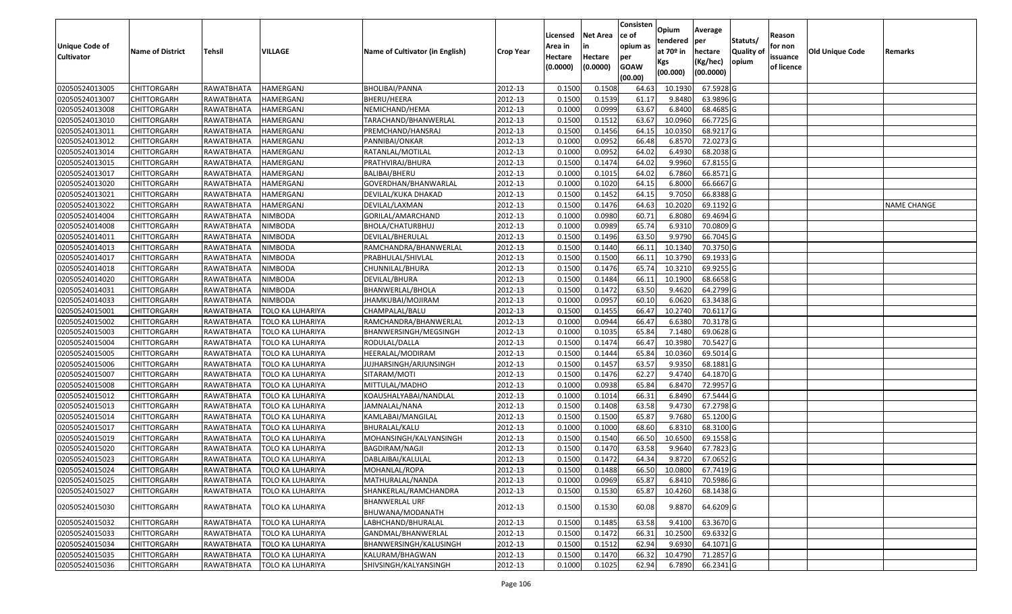| <b>Unique Code of</b> |                         |                   |                               |                                    |                  | Licensed<br>Area in | <b>Net Area</b>     | Consisten<br>ce of<br>opium as | Opium<br>tendered<br>at $70°$ in | Average<br>per                   | Statuts/            | Reason<br>for non      |                        |             |
|-----------------------|-------------------------|-------------------|-------------------------------|------------------------------------|------------------|---------------------|---------------------|--------------------------------|----------------------------------|----------------------------------|---------------------|------------------------|------------------------|-------------|
| <b>Cultivator</b>     | <b>Name of District</b> | <b>Tehsil</b>     | <b>VILLAGE</b>                | Name of Cultivator (in English)    | <b>Crop Year</b> | Hectare<br>(0.0000) | Hectare<br>(0.0000) | per<br><b>GOAW</b><br>(00.00)  | Kgs<br>(00.000)                  | hectare<br>(Kg/hec)<br>(00.0000) | Quality of<br>opium | issuance<br>of licence | <b>Old Unique Code</b> | Remarks     |
| 02050524013005        | <b>CHITTORGARH</b>      | RAWATBHATA        | HAMERGANJ                     | BHOLIBAI/PANNA                     | 2012-13          | 0.1500              | 0.1508              | 64.63                          | 10.1930                          | 67.5928 G                        |                     |                        |                        |             |
| 02050524013007        | CHITTORGARH             | RAWATBHATA        | HAMERGANJ                     | BHERU/HEERA                        | 2012-13          | 0.1500              | 0.1539              | 61.17                          | 9.8480                           | 63.9896 G                        |                     |                        |                        |             |
| 02050524013008        | <b>CHITTORGARH</b>      | RAWATBHATA        | HAMERGANJ                     | NEMICHAND/HEMA                     | 2012-13          | 0.1000              | 0.0999              | 63.67                          | 6.8400                           | 68.4685 G                        |                     |                        |                        |             |
| 02050524013010        | <b>CHITTORGARH</b>      | <b>RAWATBHATA</b> | <b>HAMERGANJ</b>              | TARACHAND/BHANWERLAL               | 2012-13          | 0.1500              | 0.1512              | 63.67                          | 10.0960                          | 66.7725 G                        |                     |                        |                        |             |
| 02050524013011        | <b>CHITTORGARH</b>      | RAWATBHATA        | HAMERGANJ                     | PREMCHAND/HANSRAJ                  | 2012-13          | 0.1500              | 0.1456              | 64.1                           | 10.0350                          | 68.9217 G                        |                     |                        |                        |             |
| 02050524013012        | CHITTORGARH             | RAWATBHATA        | HAMERGANJ                     | PANNIBAI/ONKAR                     | 2012-13          | 0.1000              | 0.0952              | 66.48                          | 6.8570                           | 72.0273 G                        |                     |                        |                        |             |
| 02050524013014        | CHITTORGARH             | RAWATBHATA        | HAMERGANJ                     | RATANLAL/MOTILAL                   | 2012-13          | 0.1000              | 0.0952              | 64.02                          | 6.4930                           | 68.2038 G                        |                     |                        |                        |             |
| 02050524013015        | <b>CHITTORGARH</b>      | RAWATBHATA        | HAMERGANJ                     | PRATHVIRAJ/BHURA                   | 2012-13          | 0.1500              | 0.1474              | 64.02                          | 9.9960                           | 67.8155 G                        |                     |                        |                        |             |
| 02050524013017        | <b>CHITTORGARH</b>      | RAWATBHATA        | HAMERGANJ                     | BALIBAI/BHERU                      | 2012-13          | 0.100               | 0.1015              | 64.02                          | 6.7860                           | 66.8571 G                        |                     |                        |                        |             |
| 02050524013020        | CHITTORGARH             | RAWATBHATA        | HAMERGANJ                     | GOVERDHAN/BHANWARLAL               | 2012-13          | 0.1000              | 0.1020              | 64.15                          | 6.8000                           | 66.6667 G                        |                     |                        |                        |             |
| 02050524013021        | <b>CHITTORGARH</b>      | RAWATBHATA        | HAMERGANJ                     | DEVILAL/KUKA DHAKAD                | 2012-13          | 0.1500              | 0.1452              | 64.15                          | 9.7050                           | 66.8388 G                        |                     |                        |                        |             |
| 02050524013022        | <b>CHITTORGARH</b>      | RAWATBHATA        | HAMERGANJ                     | DEVILAL/LAXMAN                     | 2012-13          | 0.1500              | 0.1476              | 64.63                          | 10.2020                          | 69.1192 G                        |                     |                        |                        | NAME CHANGE |
| 02050524014004        | <b>CHITTORGARH</b>      | RAWATBHATA        | <b>NIMBODA</b>                | GORILAL/AMARCHAND                  | 2012-13          | 0.1000              | 0.0980              | 60.7                           | 6.8080                           | 69.4694 G                        |                     |                        |                        |             |
| 02050524014008        | <b>CHITTORGARH</b>      | RAWATBHATA        | <b>NIMBODA</b>                | BHOLA/CHATURBHUJ                   | 2012-13          | 0.1000              | 0.0989              | 65.74                          | 6.9310                           | 70.0809 G                        |                     |                        |                        |             |
| 02050524014011        | <b>CHITTORGARH</b>      | RAWATBHATA        | <b>NIMBODA</b>                | DEVILAL/BHERULAL                   | 2012-13          | 0.1500              | 0.1496              | 63.50                          | 9.9790                           | 66.7045 G                        |                     |                        |                        |             |
| 02050524014013        | <b>CHITTORGARH</b>      | RAWATBHATA        | <b>NIMBODA</b>                | RAMCHANDRA/BHANWERLAL              | 2012-13          | 0.1500              | 0.1440              | 66.1                           | 10.1340                          | 70.3750 G                        |                     |                        |                        |             |
| 02050524014017        | <b>CHITTORGARH</b>      | RAWATBHATA        | <b>NIMBODA</b>                | PRABHULAL/SHIVLAL                  | 2012-13          | 0.1500              | 0.1500              | 66.1                           | 10.3790                          | 69.1933 G                        |                     |                        |                        |             |
| 02050524014018        | <b>CHITTORGARH</b>      | RAWATBHATA        | <b>NIMBODA</b>                | CHUNNILAL/BHURA                    | 2012-13          | 0.1500              | 0.1476              | 65.74                          | 10.3210                          | 69.9255 G                        |                     |                        |                        |             |
| 02050524014020        | CHITTORGARH             | RAWATBHATA        | <b>NIMBODA</b>                | DEVILAL/BHURA                      | 2012-13          | 0.1500              | 0.1484              | 66.1                           | 10.1900                          | 68.6658 G                        |                     |                        |                        |             |
| 02050524014031        | <b>CHITTORGARH</b>      | RAWATBHATA        | <b>NIMBODA</b>                | BHANWERLAL/BHOLA                   | 2012-13          | 0.1500              | 0.1472              | 63.50                          | 9.4620                           | 64.2799 G                        |                     |                        |                        |             |
| 02050524014033        | <b>CHITTORGARH</b>      | RAWATBHATA        | <b>NIMBODA</b>                | JHAMKUBAI/MOJIRAM                  | 2012-13          | 0.1000              | 0.0957              | 60.10                          | 6.0620                           | 63.3438 G                        |                     |                        |                        |             |
| 02050524015001        | <b>CHITTORGARH</b>      | RAWATBHATA        | TOLO KA LUHARIYA              | CHAMPALAL/BALU                     | 2012-13          | 0.1500              | 0.1455              | 66.47                          | 10.2740                          | 70.6117 G                        |                     |                        |                        |             |
| 02050524015002        | CHITTORGARH             | RAWATBHATA        | TOLO KA LUHARIYA              | RAMCHANDRA/BHANWERLAL              | 2012-13          | 0.1000              | 0.0944              | 66.47                          | 6.6380                           | 70.3178 G                        |                     |                        |                        |             |
| 02050524015003        | <b>CHITTORGARH</b>      | RAWATBHATA        | TOLO KA LUHARIYA              | BHANWERSINGH/MEGSINGH              | 2012-13          | 0.1000              | 0.1035              | 65.84                          | 7.1480                           | 69.0628 G                        |                     |                        |                        |             |
| 02050524015004        | <b>CHITTORGARH</b>      | RAWATBHATA        | <b>TOLO KA LUHARIYA</b>       | RODULAL/DALLA                      | 2012-13          | 0.1500              | 0.1474              | 66.4                           | 10.3980                          | 70.5427 G                        |                     |                        |                        |             |
| 02050524015005        | <b>CHITTORGARH</b>      | RAWATBHATA        | TOLO KA LUHARIYA              | HEERALAL/MODIRAM                   | 2012-13          | 0.1500              | 0.1444              | 65.84                          | 10.0360                          | 69.5014 G                        |                     |                        |                        |             |
| 02050524015006        | CHITTORGARH             | RAWATBHATA        | <b>TOLO KA LUHARIYA</b>       | IUJHARSINGH/ARJUNSINGH             | 2012-13          | 0.1500              | 0.1457              | 63.57                          | 9.9350                           | 68.1881 G                        |                     |                        |                        |             |
| 02050524015007        | <b>CHITTORGARH</b>      | RAWATBHATA        | TOLO KA LUHARIYA              | SITARAM/MOTI                       | 2012-13          | 0.1500              | 0.1476              | 62.27                          | 9.4740                           | 64.1870 G                        |                     |                        |                        |             |
| 02050524015008        | <b>CHITTORGARH</b>      | RAWATBHATA        | <b>TOLO KA LUHARIYA</b>       | MITTULAL/MADHO                     | 2012-13          | 0.1000              | 0.0938              | 65.84                          | 6.8470                           | 72.9957 G                        |                     |                        |                        |             |
| 02050524015012        | <b>CHITTORGARH</b>      | RAWATBHATA        | TOLO KA LUHARIYA              | KOAUSHALYABAI/NANDLAL              | 2012-13          | 0.1000              | 0.1014              | 66.31                          | 6.8490                           | 67.5444 G                        |                     |                        |                        |             |
| 02050524015013        | CHITTORGARH             | RAWATBHATA        | TOLO KA LUHARIYA              | JAMNALAL/NANA                      | 2012-13          | 0.1500              | 0.1408              | 63.58                          | 9.4730                           | 67.2798 G                        |                     |                        |                        |             |
| 02050524015014        | CHITTORGARH             | RAWATBHATA        | TOLO KA LUHARIYA              | KAMLABAI/MANGILAL                  | 2012-13          | 0.1500              | 0.1500              | 65.87                          | 9.7680                           | 65.1200 G                        |                     |                        |                        |             |
| 02050524015017        | <b>CHITTORGARH</b>      | RAWATBHATA        | <b>TOLO KA LUHARIYA</b>       | BHURALAL/KALU                      | 2012-13          | 0.1000              | 0.1000              | 68.60                          | 6.8310                           | 68.3100 G                        |                     |                        |                        |             |
| 02050524015019        | CHITTORGARH             | RAWATBHATA        | TOLO KA LUHARIYA              | MOHANSINGH/KALYANSINGH             | 2012-13          | 0.1500              | 0.1540              | 66.50                          | 10.6500                          | 69.1558 G                        |                     |                        |                        |             |
| 02050524015020        | CHITTORGARH             | RAWATBHATA        | TOLO KA LUHARIYA              | BAGDIRAM/NAGJI                     | 2012-13          | 0.1500              | 0.1470              | 63.58                          | 9.9640                           | 67.7823 G                        |                     |                        |                        |             |
| 02050524015023        | <b>CHITTORGARH</b>      | RAWATBHATA        | TOLO KA LUHARIYA              | DABLAIBAI/KALULAL                  | 2012-13          | 0.1500              | 0.1472              | 64.34                          | 9.8720                           | 67.0652 G                        |                     |                        |                        |             |
| 02050524015024        | <b>CHITTORGARH</b>      |                   | RAWATBHATA   TOLO KA LUHARIYA | MOHANLAL/ROPA                      | 2012-13          | 0.1500              | 0.1488              | 66.50                          | 10.0800                          | 67.7419 G                        |                     |                        |                        |             |
| 02050524015025        | <b>CHITTORGARH</b>      | RAWATBHATA        | <b>TOLO KA LUHARIYA</b>       | MATHURALAL/NANDA                   | 2012-13          | 0.1000              | 0.0969              | 65.87                          | 6.8410                           | 70.5986 G                        |                     |                        |                        |             |
| 02050524015027        | <b>CHITTORGARH</b>      | RAWATBHATA        | TOLO KA LUHARIYA              | SHANKERLAL/RAMCHANDRA              | 2012-13          | 0.1500              | 0.1530              | 65.87                          | 10.4260                          | 68.1438 G                        |                     |                        |                        |             |
| 02050524015030        | <b>CHITTORGARH</b>      | RAWATBHATA        | <b>TOLO KA LUHARIYA</b>       | BHANWERLAL URF<br>BHUWANA/MODANATH | 2012-13          | 0.1500              | 0.1530              | 60.08                          | 9.8870                           | 64.6209 G                        |                     |                        |                        |             |
| 02050524015032        | <b>CHITTORGARH</b>      | RAWATBHATA        | <b>TOLO KA LUHARIYA</b>       | LABHCHAND/BHURALAL                 | 2012-13          | 0.1500              | 0.1485              | 63.58                          | 9.4100                           | 63.3670 G                        |                     |                        |                        |             |
| 02050524015033        | <b>CHITTORGARH</b>      | RAWATBHATA        | TOLO KA LUHARIYA              | GANDMAL/BHANWERLAL                 | 2012-13          | 0.1500              | 0.1472              | 66.31                          | 10.2500                          | 69.6332 G                        |                     |                        |                        |             |
| 02050524015034        | <b>CHITTORGARH</b>      | RAWATBHATA        | <b>TOLO KA LUHARIYA</b>       | BHANWERSINGH/KALUSINGH             | 2012-13          | 0.1500              | 0.1512              | 62.94                          | 9.6930                           | 64.1071 G                        |                     |                        |                        |             |
| 02050524015035        | <b>CHITTORGARH</b>      | RAWATBHATA        | TOLO KA LUHARIYA              | KALURAM/BHAGWAN                    | 2012-13          | 0.1500              | 0.1470              | 66.32                          | 10.4790                          | 71.2857 G                        |                     |                        |                        |             |
| 02050524015036        | <b>CHITTORGARH</b>      | RAWATBHATA        | <b>TOLO KA LUHARIYA</b>       | SHIVSINGH/KALYANSINGH              | 2012-13          | 0.1000              | 0.1025              | 62.94                          | 6.7890                           | 66.2341 G                        |                     |                        |                        |             |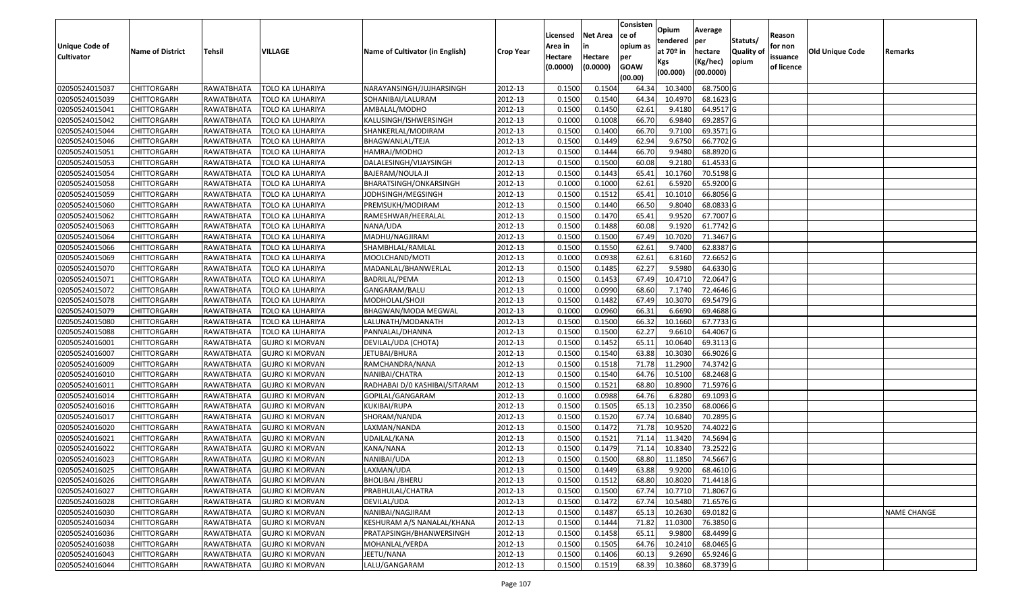| <b>Unique Code of</b> |                         |            |                        |                                 |                  | Licensed<br>Area in | <b>Net Area</b><br>in | Consisten<br>ce of<br>opium as | Opium<br>tendered              | Average<br>per                   | Statuts/                  | Reason<br>for non      |                 |                    |
|-----------------------|-------------------------|------------|------------------------|---------------------------------|------------------|---------------------|-----------------------|--------------------------------|--------------------------------|----------------------------------|---------------------------|------------------------|-----------------|--------------------|
| <b>Cultivator</b>     | <b>Name of District</b> | Tehsil     | VILLAGE                | Name of Cultivator (in English) | <b>Crop Year</b> | Hectare<br>(0.0000) | Hectare<br>(0.0000)   | per<br><b>GOAW</b><br>(00.00)  | at $70°$ in<br>Kgs<br>(00.000) | hectare<br>(Kg/hec)<br>(00.0000) | <b>Quality o</b><br>opium | issuance<br>of licence | Old Unique Code | Remarks            |
| 02050524015037        | <b>CHITTORGARH</b>      | RAWATBHATA | TOLO KA LUHARIYA       | NARAYANSINGH/JUJHARSINGH        | 2012-13          | 0.1500              | 0.1504                | 64.34                          | 10.3400                        | 68.7500 G                        |                           |                        |                 |                    |
| 02050524015039        | <b>CHITTORGARH</b>      | RAWATBHATA | TOLO KA LUHARIYA       | SOHANIBAI/LALURAM               | 2012-13          | 0.1500              | 0.1540                | 64.34                          | 10.4970                        | 68.1623 G                        |                           |                        |                 |                    |
| 02050524015041        | <b>CHITTORGARH</b>      | RAWATBHATA | TOLO KA LUHARIYA       | AMBALAL/MODHO                   | 2012-13          | 0.1500              | 0.1450                | 62.61                          | 9.4180                         | 64.9517 G                        |                           |                        |                 |                    |
| 02050524015042        | <b>CHITTORGARH</b>      | RAWATBHATA | TOLO KA LUHARIYA       | KALUSINGH/ISHWERSINGH           | 2012-13          | 0.1000              | 0.1008                | 66.70                          | 6.9840                         | 69.2857 G                        |                           |                        |                 |                    |
| 02050524015044        | <b>CHITTORGARH</b>      | RAWATBHATA | TOLO KA LUHARIYA       | SHANKERLAL/MODIRAM              | 2012-13          | 0.1500              | 0.1400                | 66.70                          | 9.7100                         | 69.3571 G                        |                           |                        |                 |                    |
| 02050524015046        | <b>CHITTORGARH</b>      | RAWATBHATA | TOLO KA LUHARIYA       | BHAGWANLAL/TEJA                 | 2012-13          | 0.1500              | 0.1449                | 62.94                          | 9.6750                         | 66.7702 G                        |                           |                        |                 |                    |
| 02050524015051        | CHITTORGARH             | RAWATBHATA | TOLO KA LUHARIYA       | HAMRAJ/MODHO                    | 2012-13          | 0.1500              | 0.1444                | 66.70                          | 9.9480                         | 68.8920 G                        |                           |                        |                 |                    |
| 02050524015053        | <b>CHITTORGARH</b>      | RAWATBHATA | TOLO KA LUHARIYA       | DALALESINGH/VIJAYSINGH          | 2012-13          | 0.1500              | 0.1500                | 60.08                          | 9.2180                         | 61.4533 G                        |                           |                        |                 |                    |
| 02050524015054        | <b>CHITTORGARH</b>      | RAWATBHATA | TOLO KA LUHARIYA       | BAJERAM/NOULA JI                | 2012-13          | 0.1500              | 0.1443                | 65.41                          | 10.1760                        | 70.5198 G                        |                           |                        |                 |                    |
| 02050524015058        | <b>CHITTORGARH</b>      | RAWATBHATA | TOLO KA LUHARIYA       | BHARATSINGH/ONKARSINGH          | 2012-13          | 0.1000              | 0.1000                | 62.61                          | 6.5920                         | 65.9200 G                        |                           |                        |                 |                    |
| 02050524015059        | <b>CHITTORGARH</b>      | RAWATBHATA | TOLO KA LUHARIYA       | JODHSINGH/MEGSINGH              | 2012-13          | 0.1500              | 0.1512                | 65.41                          | 10.1010                        | 66.8056 G                        |                           |                        |                 |                    |
| 02050524015060        | <b>CHITTORGARH</b>      | RAWATBHATA | TOLO KA LUHARIYA       | PREMSUKH/MODIRAM                | 2012-13          | 0.1500              | 0.1440                | 66.50                          | 9.8040                         | 68.0833 G                        |                           |                        |                 |                    |
| 02050524015062        | <b>CHITTORGARH</b>      | RAWATBHATA | TOLO KA LUHARIYA       | RAMESHWAR/HEERALAL              | 2012-13          | 0.1500              | 0.1470                | 65.41                          | 9.9520                         | 67.7007 G                        |                           |                        |                 |                    |
| 02050524015063        | <b>CHITTORGARH</b>      | RAWATBHATA | TOLO KA LUHARIYA       | NANA/UDA                        | 2012-13          | 0.1500              | 0.1488                | 60.08                          | 9.1920                         | 61.7742 G                        |                           |                        |                 |                    |
| 02050524015064        | <b>CHITTORGARH</b>      | RAWATBHATA | TOLO KA LUHARIYA       | MADHU/NAGJIRAM                  | 2012-13          | 0.1500              | 0.1500                | 67.49                          | 10.7020                        | 71.3467 G                        |                           |                        |                 |                    |
| 02050524015066        | <b>CHITTORGARH</b>      | RAWATBHATA | TOLO KA LUHARIYA       | SHAMBHLAL/RAMLAL                | 2012-13          | 0.1500              | 0.1550                | 62.61                          | 9.7400                         | 62.8387 G                        |                           |                        |                 |                    |
| 02050524015069        | <b>CHITTORGARH</b>      | RAWATBHATA | TOLO KA LUHARIYA       | MOOLCHAND/MOTI                  | 2012-13          | 0.1000              | 0.0938                | 62.61                          | 6.8160                         | 72.6652 G                        |                           |                        |                 |                    |
| 02050524015070        | <b>CHITTORGARH</b>      | RAWATBHATA | TOLO KA LUHARIYA       | MADANLAL/BHANWERLAL             | 2012-13          | 0.1500              | 0.1485                | 62.27                          | 9.5980                         | 64.6330 G                        |                           |                        |                 |                    |
| 02050524015071        | <b>CHITTORGARH</b>      | RAWATBHATA | TOLO KA LUHARIYA       | BADRILAL/PEMA                   | 2012-13          | 0.1500              | 0.1453                | 67.49                          | 10.4710                        | 72.0647 G                        |                           |                        |                 |                    |
| 02050524015072        | <b>CHITTORGARH</b>      | RAWATBHATA | TOLO KA LUHARIYA       | GANGARAM/BALU                   | 2012-13          | 0.1000              | 0.0990                | 68.60                          | 7.1740                         | 72.4646 G                        |                           |                        |                 |                    |
| 02050524015078        | <b>CHITTORGARH</b>      | RAWATBHATA | TOLO KA LUHARIYA       | MODHOLAL/SHOJI                  | 2012-13          | 0.1500              | 0.1482                | 67.49                          | 10.3070                        | 69.5479 G                        |                           |                        |                 |                    |
| 02050524015079        | <b>CHITTORGARH</b>      | RAWATBHATA | TOLO KA LUHARIYA       | BHAGWAN/MODA MEGWAL             | 2012-13          | 0.1000              | 0.0960                | 66.31                          | 6.6690                         | 69.4688 G                        |                           |                        |                 |                    |
| 02050524015080        | <b>CHITTORGARH</b>      | RAWATBHATA | TOLO KA LUHARIYA       | LALUNATH/MODANATH               | 2012-13          | 0.1500              | 0.1500                | 66.32                          | 10.1660                        | 67.7733 G                        |                           |                        |                 |                    |
| 02050524015088        | <b>CHITTORGARH</b>      | RAWATBHATA | TOLO KA LUHARIYA       | PANNALAL/DHANNA                 | 2012-13          | 0.1500              | 0.1500                | 62.27                          | 9.6610                         | 64.4067 G                        |                           |                        |                 |                    |
| 02050524016001        | <b>CHITTORGARH</b>      | RAWATBHATA | <b>GUJRO KI MORVAN</b> | DEVILAL/UDA (CHOTA)             | 2012-13          | 0.1500              | 0.1452                | 65.11                          | 10.0640                        | 69.3113 G                        |                           |                        |                 |                    |
| 02050524016007        | <b>CHITTORGARH</b>      | RAWATBHATA | <b>GUJRO KI MORVAN</b> | JETUBAI/BHURA                   | 2012-13          | 0.1500              | 0.1540                | 63.88                          | 10.3030                        | 66.9026 G                        |                           |                        |                 |                    |
| 02050524016009        | <b>CHITTORGARH</b>      | RAWATBHATA | <b>GUJRO KI MORVAN</b> | RAMCHANDRA/NANA                 | 2012-13          | 0.1500              | 0.1518                | 71.78                          | 11.2900                        | 74.3742 G                        |                           |                        |                 |                    |
| 02050524016010        | <b>CHITTORGARH</b>      | RAWATBHATA | <b>GUJRO KI MORVAN</b> | NANIBAI/CHATRA                  | 2012-13          | 0.1500              | 0.1540                | 64.76                          | 10.5100                        | 68.2468 G                        |                           |                        |                 |                    |
| 02050524016011        | <b>CHITTORGARH</b>      | RAWATBHATA | <b>GUJRO KI MORVAN</b> | RADHABAI D/0 KASHIBAI/SITARAM   | 2012-13          | 0.1500              | 0.1521                | 68.80                          | 10.8900                        | 71.5976 G                        |                           |                        |                 |                    |
| 02050524016014        | <b>CHITTORGARH</b>      | RAWATBHATA | <b>GUJRO KI MORVAN</b> | GOPILAL/GANGARAM                | 2012-13          | 0.1000              | 0.0988                | 64.76                          | 6.8280                         | 69.1093 G                        |                           |                        |                 |                    |
| 02050524016016        | <b>CHITTORGARH</b>      | RAWATBHATA | <b>GUJRO KI MORVAN</b> | KUKIBAI/RUPA                    | 2012-13          | 0.1500              | 0.1505                | 65.1                           | 10.2350                        | 68.0066 G                        |                           |                        |                 |                    |
| 02050524016017        | CHITTORGARH             | RAWATBHATA | <b>GUJRO KI MORVAN</b> | SHORAM/NANDA                    | 2012-13          | 0.1500              | 0.1520                | 67.7                           | 10.6840                        | 70.2895 G                        |                           |                        |                 |                    |
| 02050524016020        | <b>CHITTORGARH</b>      | RAWATBHATA | <b>GUJRO KI MORVAN</b> | LAXMAN/NANDA                    | 2012-13          | 0.1500              | 0.1472                | 71.78                          | 10.9520                        | 74.4022 G                        |                           |                        |                 |                    |
| 02050524016021        | <b>CHITTORGARH</b>      | RAWATBHATA | <b>GUJRO KI MORVAN</b> | UDAILAL/KANA                    | 2012-13          | 0.1500              | 0.1521                | 71.1                           | 11.3420                        | 74.5694 G                        |                           |                        |                 |                    |
| 02050524016022        | <b>CHITTORGARH</b>      | RAWATBHATA | <b>GUJRO KI MORVAN</b> | KANA/NANA                       | 2012-13          | 0.1500              | 0.1479                | 71.14                          | 10.8340                        | 73.2522 G                        |                           |                        |                 |                    |
| 02050524016023        | <b>CHITTORGARH</b>      | RAWATBHATA | <b>GUJRO KI MORVAN</b> | NANIBAI/UDA                     | 2012-13          | 0.1500              | 0.1500                | 68.80                          | 11.1850                        | 74.5667 G                        |                           |                        |                 |                    |
| 02050524016025        | CHITTORGARH             | RAWATBHATA | <b>GUJRO KI MORVAN</b> | LAXMAN/UDA                      | 2012-13          | 0.1500              | 0.1449                | 63.88                          | 9.9200                         | 68.4610 G                        |                           |                        |                 |                    |
| 02050524016026        | <b>CHITTORGARH</b>      | RAWATBHATA | <b>GUJRO KI MORVAN</b> | <b>BHOLIBAI /BHERU</b>          | 2012-13          | 0.1500              | 0.1512                | 68.80                          | 10.8020                        | 71.4418 G                        |                           |                        |                 |                    |
| 02050524016027        | <b>CHITTORGARH</b>      | RAWATBHATA | <b>GUJRO KI MORVAN</b> | PRABHULAL/CHATRA                | 2012-13          | 0.1500              | 0.1500                | 67.74                          | 10.7710                        | 71.8067 G                        |                           |                        |                 |                    |
| 02050524016028        | <b>CHITTORGARH</b>      | RAWATBHATA | <b>GUJRO KI MORVAN</b> | DEVILAL/UDA                     | 2012-13          | 0.1500              | 0.1472                | 67.74                          | 10.5480                        | 71.6576 G                        |                           |                        |                 |                    |
| 02050524016030        | <b>CHITTORGARH</b>      | RAWATBHATA | <b>GUJRO KI MORVAN</b> | NANIBAI/NAGJIRAM                | 2012-13          | 0.1500              | 0.1487                | 65.13                          | 10.2630                        | 69.0182G                         |                           |                        |                 | <b>NAME CHANGE</b> |
| 02050524016034        | <b>CHITTORGARH</b>      | RAWATBHATA | <b>GUJRO KI MORVAN</b> | KESHURAM A/S NANALAL/KHANA      | 2012-13          | 0.1500              | 0.1444                | 71.82                          | 11.0300                        | 76.3850 G                        |                           |                        |                 |                    |
| 02050524016036        | <b>CHITTORGARH</b>      | RAWATBHATA | <b>GUJRO KI MORVAN</b> | PRATAPSINGH/BHANWERSINGH        | 2012-13          | 0.1500              | 0.1458                | 65.11                          | 9.9800                         | 68.4499 G                        |                           |                        |                 |                    |
| 02050524016038        | <b>CHITTORGARH</b>      | RAWATBHATA | <b>GUJRO KI MORVAN</b> | MOHANLAL/VERDA                  | 2012-13          | 0.1500              | 0.1505                | 64.76                          | 10.2410                        | 68.0465 G                        |                           |                        |                 |                    |
| 02050524016043        | <b>CHITTORGARH</b>      | RAWATBHATA | <b>GUJRO KI MORVAN</b> | JEETU/NANA                      | 2012-13          | 0.1500              | 0.1406                | 60.13                          | 9.2690                         | 65.9246 G                        |                           |                        |                 |                    |
| 02050524016044        | <b>CHITTORGARH</b>      | RAWATBHATA | <b>GUJRO KI MORVAN</b> | LALU/GANGARAM                   | 2012-13          | 0.1500              | 0.1519                | 68.39                          | 10.3860                        | 68.3739 G                        |                           |                        |                 |                    |